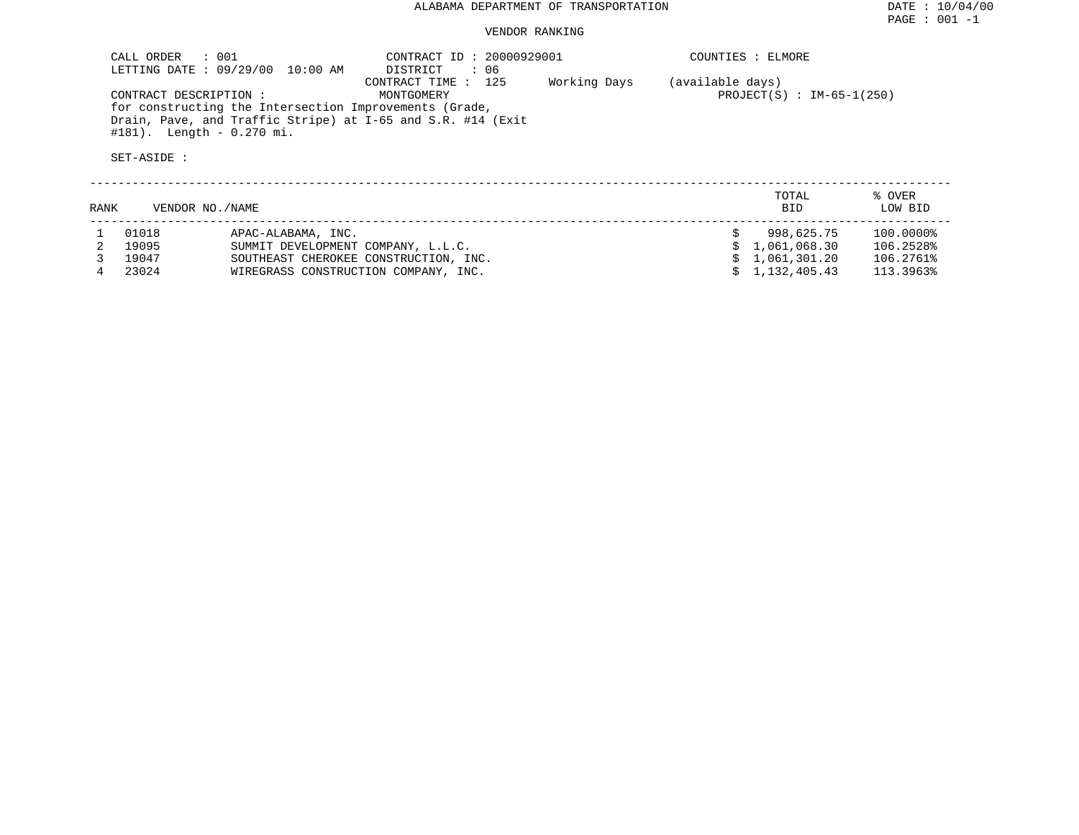|      | CALL ORDER<br>$\therefore$ 001                                        | LETTING DATE : 09/29/00 10:00 AM                                                                                      | CONTRACT ID: 20000929001<br>DISTRICT<br>: 06    |  |  | COUNTIES : ELMORE   |                   |  |  |
|------|-----------------------------------------------------------------------|-----------------------------------------------------------------------------------------------------------------------|-------------------------------------------------|--|--|---------------------|-------------------|--|--|
|      | CONTRACT DESCRIPTION :<br>$#181$ ). Length - 0.270 mi.<br>SET-ASIDE : | for constructing the Intersection Improvements (Grade,<br>Drain, Pave, and Traffic Stripe) at I-65 and S.R. #14 (Exit | (available days)<br>$PROJECT(S) : IM-65-1(250)$ |  |  |                     |                   |  |  |
| RANK | VENDOR NO./NAME                                                       |                                                                                                                       |                                                 |  |  | TOTAL<br><b>BID</b> | % OVER<br>LOW BID |  |  |
|      | 01018                                                                 | APAC-ALABAMA, INC.                                                                                                    |                                                 |  |  | 998,625.75          | 100.0000%         |  |  |
|      | 19095                                                                 | SUMMIT DEVELOPMENT COMPANY, L.L.C.                                                                                    |                                                 |  |  | 1,061,068.30        | 106.2528%         |  |  |
|      | 19047                                                                 |                                                                                                                       | SOUTHEAST CHEROKEE CONSTRUCTION, INC.           |  |  | 1,061,301.20        | 106.2761%         |  |  |
|      | 23024                                                                 | WIREGRASS CONSTRUCTION COMPANY, INC.                                                                                  |                                                 |  |  | 1,132,405.43        | 113.3963%         |  |  |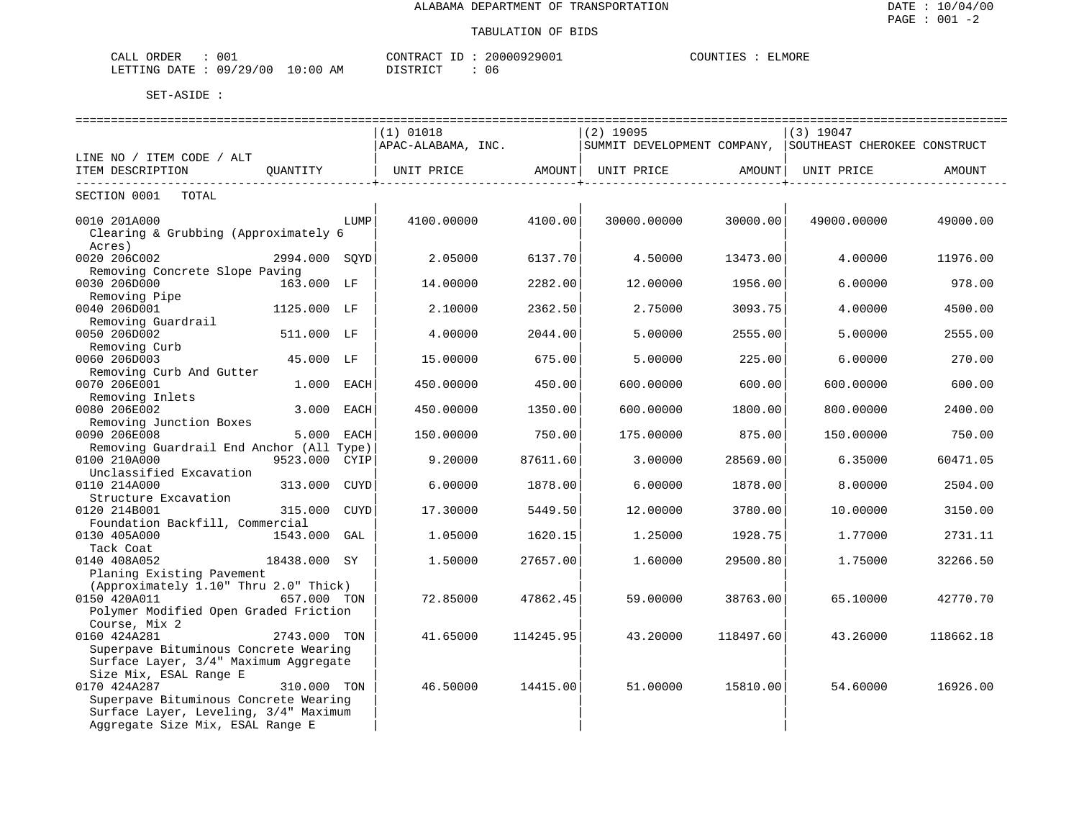| CALL ORDER | 001                              | CONTRACT ID : |  | 20000929001 | COUNTIES | ELMORE |
|------------|----------------------------------|---------------|--|-------------|----------|--------|
|            | LETTING DATE : 09/29/00 10:00 AM | DISTRICT      |  | 06          |          |        |

|                                                                    |               |      | ============================== |                     | ----------------------------                             |                      | -------------------------------- |           |
|--------------------------------------------------------------------|---------------|------|--------------------------------|---------------------|----------------------------------------------------------|----------------------|----------------------------------|-----------|
|                                                                    |               |      | $(1)$ 01018                    |                     | $(2)$ 19095                                              |                      | $(3)$ 19047                      |           |
|                                                                    |               |      | APAC-ALABAMA, INC.             |                     | SUMMIT DEVELOPMENT COMPANY, SOUTHEAST CHEROKEE CONSTRUCT |                      |                                  |           |
| LINE NO / ITEM CODE / ALT                                          |               |      |                                |                     |                                                          |                      |                                  |           |
| ITEM DESCRIPTION QUANTITY<br>------------------------------------- |               |      | UNIT PRICE AMOUNT              | -----------------+- | UNIT PRICE AMOUNT                                        | -------------------- | UNIT PRICE                       | AMOUNT    |
| SECTION 0001 TOTAL                                                 |               |      |                                |                     |                                                          |                      |                                  |           |
| 0010 201A000                                                       |               | LUMP | 4100.00000                     | 4100.00             | 30000.00000                                              | 30000.00             | 49000.00000                      | 49000.00  |
| Clearing & Grubbing (Approximately 6                               |               |      |                                |                     |                                                          |                      |                                  |           |
| Acres)                                                             |               |      |                                |                     |                                                          |                      |                                  |           |
| 0020 206C002                                                       | 2994.000 SOYD |      | 2.05000                        | 6137.70             | 4.50000                                                  | 13473.00             | 4.00000                          | 11976.00  |
| Removing Concrete Slope Paving                                     |               |      |                                |                     |                                                          |                      |                                  |           |
| 0030 206D000                                                       | 163.000 LF    |      | 14,00000                       | 2282.00             | 12,00000                                                 | 1956.00              | 6,00000                          | 978.00    |
| Removing Pipe                                                      |               |      |                                |                     |                                                          |                      |                                  |           |
| 0040 206D001                                                       | 1125.000 LF   |      | 2.10000                        | 2362.50             | 2.75000                                                  | 3093.75              | 4.00000                          | 4500.00   |
| Removing Guardrail                                                 |               |      |                                |                     |                                                          |                      |                                  |           |
| 0050 206D002                                                       | 511.000 LF    |      | 4.00000                        | 2044.00             | 5,00000                                                  | 2555.00              | 5,00000                          | 2555.00   |
| Removing Curb                                                      |               |      |                                |                     |                                                          |                      |                                  |           |
| 0060 206D003                                                       | 45.000 LF     |      | 15.00000                       | 675.00              | 5.00000                                                  | 225.00               | 6.00000                          | 270.00    |
| Removing Curb And Gutter                                           |               |      |                                |                     |                                                          |                      |                                  |           |
| 0070 206E001                                                       | $1.000$ EACH  |      | 450.00000                      | 450.00              | 600.00000                                                | 600.00               | 600,00000                        | 600.00    |
| Removing Inlets                                                    |               |      |                                |                     |                                                          |                      |                                  |           |
| 0080 206E002                                                       | 3.000 EACH    |      | 450.00000                      | 1350.00             | 600.00000                                                | 1800.00              | 800,00000                        | 2400.00   |
| Removing Junction Boxes                                            |               |      |                                |                     |                                                          |                      |                                  |           |
| 0090 206E008                                                       | 5.000 EACH    |      | 150.00000                      | 750.00              | 175.00000                                                | 875.00               | 150.00000                        | 750.00    |
| Removing Guardrail End Anchor (All Type)                           |               |      | 9.20000                        |                     |                                                          |                      |                                  |           |
| 0100 210A000<br>Unclassified Excavation                            | 9523.000 CYIP |      |                                | 87611.60            | 3.00000                                                  | 28569.00             | 6.35000                          | 60471.05  |
| 0110 214A000                                                       | 313.000 CUYD  |      | 6.00000                        | 1878.00             | 6.00000                                                  | 1878.00              | 8.00000                          | 2504.00   |
| Structure Excavation                                               |               |      |                                |                     |                                                          |                      |                                  |           |
| 0120 214B001                                                       | 315.000 CUYD  |      | 17.30000                       | 5449.50             | 12.00000                                                 | 3780.00              | 10.00000                         | 3150.00   |
| Foundation Backfill, Commercial                                    |               |      |                                |                     |                                                          |                      |                                  |           |
| 0130 405A000                                                       | 1543.000 GAL  |      | 1.05000                        | 1620.15             | 1.25000                                                  | 1928.75              | 1.77000                          | 2731.11   |
| Tack Coat                                                          |               |      |                                |                     |                                                          |                      |                                  |           |
| 0140 408A052                                                       | 18438.000 SY  |      | 1.50000                        | 27657.00            | 1,60000                                                  | 29500.80             | 1.75000                          | 32266.50  |
| Planing Existing Pavement                                          |               |      |                                |                     |                                                          |                      |                                  |           |
| (Approximately 1.10" Thru 2.0" Thick)                              |               |      |                                |                     |                                                          |                      |                                  |           |
| 0150 420A011                                                       | 657.000 TON   |      | 72.85000                       | 47862.45            | 59.00000                                                 | 38763.00             | 65.10000                         | 42770.70  |
| Polymer Modified Open Graded Friction                              |               |      |                                |                     |                                                          |                      |                                  |           |
| Course, Mix 2                                                      |               |      |                                |                     |                                                          |                      |                                  |           |
| 0160 424A281                                                       | 2743.000 TON  |      | 41.65000                       | 114245.95           | 43.20000                                                 | 118497.60            | 43.26000                         | 118662.18 |
| Superpave Bituminous Concrete Wearing                              |               |      |                                |                     |                                                          |                      |                                  |           |
| Surface Layer, 3/4" Maximum Aggregate                              |               |      |                                |                     |                                                          |                      |                                  |           |
| Size Mix, ESAL Range E                                             |               |      |                                |                     |                                                          |                      |                                  |           |
| 0170 424A287                                                       | 310.000 TON   |      | 46.50000                       | 14415.00            | 51.00000                                                 | 15810.00             | 54.60000                         | 16926.00  |
| Superpave Bituminous Concrete Wearing                              |               |      |                                |                     |                                                          |                      |                                  |           |
| Surface Layer, Leveling, 3/4" Maximum                              |               |      |                                |                     |                                                          |                      |                                  |           |
| Aggregate Size Mix, ESAL Range E                                   |               |      |                                |                     |                                                          |                      |                                  |           |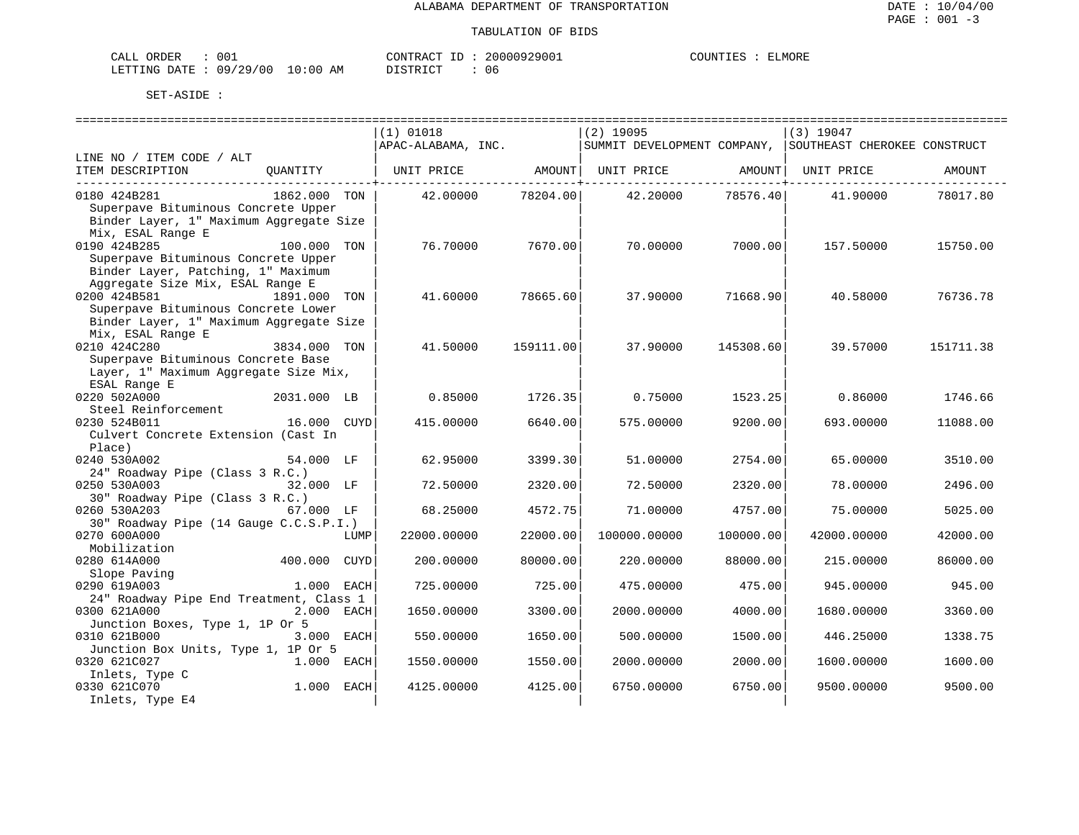| CALL<br>ORDER                | 001 |    | CONTRACT ID: | 20000929001 | COUNTIES | ELMORE |
|------------------------------|-----|----|--------------|-------------|----------|--------|
| LETTING DATE: 09/29/00 10:00 |     | AΜ | DISTRICT     | u c         |          |        |

|                                         |              |      | $(1)$ 01018                                                                           |           | $(2)$ 19095                   |           | (3) 19047                                                |           |
|-----------------------------------------|--------------|------|---------------------------------------------------------------------------------------|-----------|-------------------------------|-----------|----------------------------------------------------------|-----------|
|                                         |              |      | APAC-ALABAMA, INC.                                                                    |           |                               |           | SUMMIT DEVELOPMENT COMPANY, SOUTHEAST CHEROKEE CONSTRUCT |           |
| LINE NO / ITEM CODE / ALT               |              |      |                                                                                       |           |                               |           |                                                          |           |
| ITEM DESCRIPTION                        | OUANTITY     |      | UNIT PRICE                AMOUNT    UNIT PRICE                   AMOUNT    UNIT PRICE |           |                               |           |                                                          | AMOUNT    |
| ----------------------------------      |              |      |                                                                                       |           | --------------+-------------- |           |                                                          |           |
| 0180 424B281                            | 1862.000 TON |      | 42.00000                                                                              | 78204.00  | 42.20000                      | 78576.40  | 41.90000                                                 | 78017.80  |
| Superpave Bituminous Concrete Upper     |              |      |                                                                                       |           |                               |           |                                                          |           |
| Binder Layer, 1" Maximum Aggregate Size |              |      |                                                                                       |           |                               |           |                                                          |           |
| Mix, ESAL Range E                       |              |      |                                                                                       |           |                               |           |                                                          |           |
| 0190 424B285                            | 100.000 TON  |      | 76.70000                                                                              | 7670.00   | 70.00000                      | 7000.00   | 157.50000                                                | 15750.00  |
| Superpave Bituminous Concrete Upper     |              |      |                                                                                       |           |                               |           |                                                          |           |
| Binder Layer, Patching, 1" Maximum      |              |      |                                                                                       |           |                               |           |                                                          |           |
| Aggregate Size Mix, ESAL Range E        |              |      |                                                                                       |           |                               |           |                                                          |           |
| 0200 424B581<br>1891.000 TON            |              |      | 41.60000                                                                              | 78665.60  | 37.90000                      | 71668.90  | 40.58000                                                 | 76736.78  |
| Superpave Bituminous Concrete Lower     |              |      |                                                                                       |           |                               |           |                                                          |           |
| Binder Layer, 1" Maximum Aggregate Size |              |      |                                                                                       |           |                               |           |                                                          |           |
| Mix, ESAL Range E                       |              |      |                                                                                       |           |                               |           |                                                          |           |
| 0210 424C280                            | 3834.000 TON |      | 41.50000                                                                              | 159111.00 | 37.90000                      | 145308.60 | 39.57000                                                 | 151711.38 |
| Superpave Bituminous Concrete Base      |              |      |                                                                                       |           |                               |           |                                                          |           |
| Layer, 1" Maximum Aggregate Size Mix,   |              |      |                                                                                       |           |                               |           |                                                          |           |
| ESAL Range E                            |              |      |                                                                                       |           |                               |           |                                                          |           |
| 0220 502A000                            | 2031.000 LB  |      | 0.85000                                                                               | 1726.35   | 0.75000                       | 1523.25   | 0.86000                                                  | 1746.66   |
| Steel Reinforcement                     |              |      |                                                                                       |           |                               |           |                                                          |           |
| 0230 524B011                            | 16.000 CUYD  |      | 415.00000                                                                             | 6640.00   | 575.00000                     | 9200.00   | 693.00000                                                | 11088.00  |
| Culvert Concrete Extension (Cast In     |              |      |                                                                                       |           |                               |           |                                                          |           |
| Place)                                  |              |      |                                                                                       |           |                               |           |                                                          |           |
| 0240 530A002                            | 54.000 LF    |      | 62.95000                                                                              | 3399.30   | 51,00000                      | 2754.00   | 65.00000                                                 | 3510.00   |
| 24" Roadway Pipe (Class 3 R.C.)         |              |      |                                                                                       |           |                               |           |                                                          |           |
| 0250 530A003                            | 32.000 LF    |      | 72.50000                                                                              | 2320.00   | 72.50000                      | 2320.00   | 78.00000                                                 | 2496.00   |
| 30" Roadway Pipe (Class 3 R.C.)         |              |      |                                                                                       |           |                               |           |                                                          |           |
| 0260 530A203                            | 67.000 LF    |      | 68.25000                                                                              | 4572.75   | 71.00000                      | 4757.00   | 75.00000                                                 | 5025.00   |
| 30" Roadway Pipe (14 Gauge C.C.S.P.I.)  |              |      |                                                                                       |           |                               |           |                                                          |           |
| 0270 600A000                            |              | LUMP | 22000.00000                                                                           | 22000.00  | 100000.00000                  | 100000.00 | 42000.00000                                              | 42000.00  |
| Mobilization<br>0280 614A000            | 400.000 CUYD |      | 200.00000                                                                             | 80000.00  | 220.00000                     | 88000.00  | 215,00000                                                | 86000.00  |
| Slope Paving                            |              |      |                                                                                       |           |                               |           |                                                          |           |
| 0290 619A003                            | 1.000 EACH   |      | 725.00000                                                                             | 725.00    | 475.00000                     | 475.00    | 945.00000                                                | 945.00    |
| 24" Roadway Pipe End Treatment, Class 1 |              |      |                                                                                       |           |                               |           |                                                          |           |
| 0300 621A000                            | 2.000 EACH   |      | 1650.00000                                                                            | 3300.00   | 2000.00000                    | 4000.00   | 1680.00000                                               | 3360.00   |
| Junction Boxes, Type 1, 1P Or 5         |              |      |                                                                                       |           |                               |           |                                                          |           |
| 0310 621B000                            | 3.000 EACH   |      | 550.00000                                                                             | 1650.00   | 500.00000                     | 1500.00   | 446.25000                                                | 1338.75   |
| Junction Box Units, Type 1, 1P Or 5     |              |      |                                                                                       |           |                               |           |                                                          |           |
| 0320 621C027                            | $1.000$ EACH |      | 1550.00000                                                                            | 1550.00   | 2000.00000                    | 2000.00   | 1600.00000                                               | 1600.00   |
| Inlets, Type C                          |              |      |                                                                                       |           |                               |           |                                                          |           |
| 0330 621C070                            | 1.000 EACH   |      | 4125.00000                                                                            | 4125.00   | 6750.00000                    | 6750.00   | 9500.00000                                               | 9500.00   |
| Inlets, Type E4                         |              |      |                                                                                       |           |                               |           |                                                          |           |
|                                         |              |      |                                                                                       |           |                               |           |                                                          |           |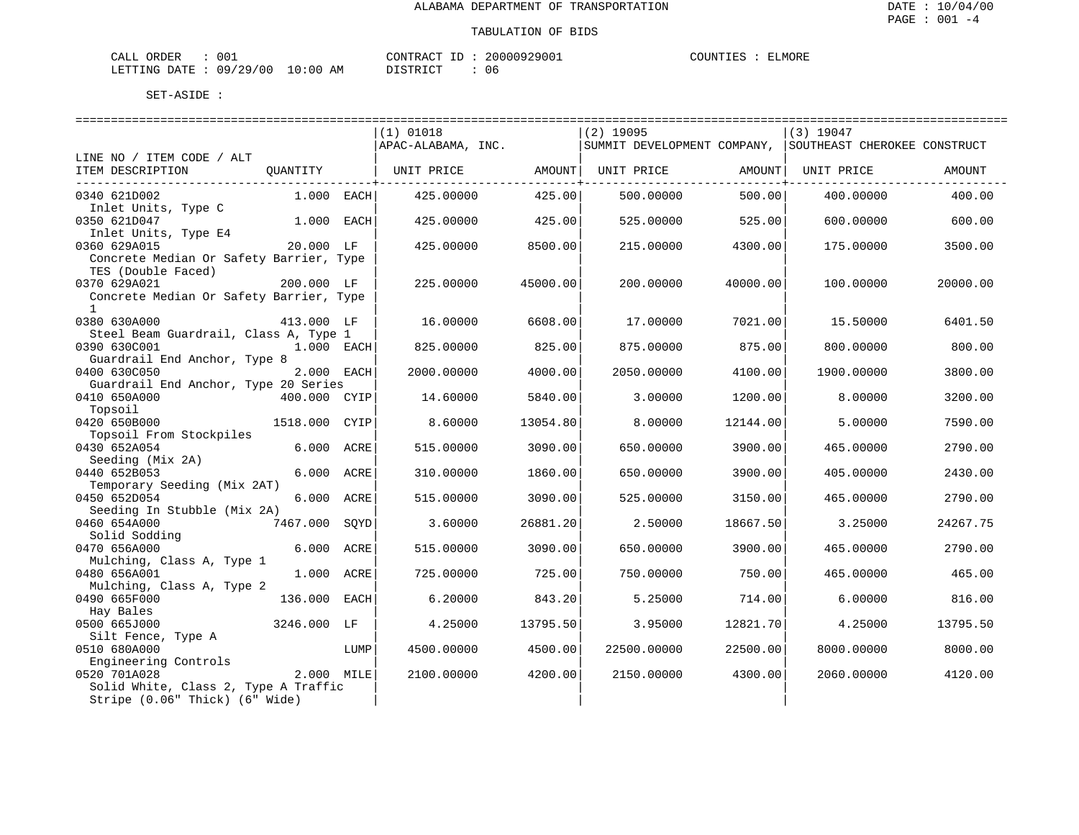| CALL ORDER                       | 001 |          |  | CONTRACT ID: 20000929001 | COUNTIES | ELMORE |
|----------------------------------|-----|----------|--|--------------------------|----------|--------|
| LETTING DATE : 09/29/00 10:00 AM |     | DISTRICT |  | 06                       |          |        |

|                                                               |               |      | ============================= |          |                             |          |                              |          |
|---------------------------------------------------------------|---------------|------|-------------------------------|----------|-----------------------------|----------|------------------------------|----------|
|                                                               |               |      | $(1)$ 01018                   |          | $(2)$ 19095                 |          | $(3)$ 19047                  |          |
|                                                               |               |      | APAC-ALABAMA, INC.            |          | SUMMIT DEVELOPMENT COMPANY, |          | SOUTHEAST CHEROKEE CONSTRUCT |          |
| LINE NO / ITEM CODE / ALT                                     |               |      |                               |          |                             |          |                              |          |
| ITEM DESCRIPTION                                              | QUANTITY      |      | UNIT PRICE                    | AMOUNT   | UNIT PRICE AMOUNT           |          | UNIT PRICE                   | AMOUNT   |
| 0340 621D002                                                  | $1.000$ EACH  |      | 425,00000                     | 425.00   | 500,00000                   | 500.00   | 400.00000                    | 400.00   |
| Inlet Units, Type C                                           |               |      |                               |          |                             |          |                              |          |
| 0350 621D047                                                  | 1.000 EACH    |      | 425.00000                     | 425.00   | 525.00000                   | 525.00   | 600.00000                    | 600.00   |
| Inlet Units, Type E4                                          |               |      |                               |          |                             |          |                              |          |
| 0360 629A015                                                  | 20.000 LF     |      | 425.00000                     | 8500.00  | 215.00000                   | 4300.00  | 175.00000                    | 3500.00  |
| Concrete Median Or Safety Barrier, Type<br>TES (Double Faced) |               |      |                               |          |                             |          |                              |          |
| 0370 629A021                                                  | 200.000 LF    |      | 225,00000                     | 45000.00 | 200,00000                   | 40000.00 | 100,00000                    | 20000.00 |
| Concrete Median Or Safety Barrier, Type<br>$\mathbf{1}$       |               |      |                               |          |                             |          |                              |          |
| 0380 630A000                                                  | 413.000 LF    |      | 16.00000                      | 6608.00  | 17.00000                    | 7021.00  | 15.50000                     | 6401.50  |
| Steel Beam Guardrail, Class A, Type 1<br>0390 630C001         | $1.000$ EACH  |      |                               | 825.00   |                             | 875.00   | 800.00000                    |          |
| Guardrail End Anchor, Type 8                                  |               |      | 825.00000                     |          | 875.00000                   |          |                              | 800.00   |
| 0400 630C050                                                  | 2.000 EACH    |      | 2000.00000                    | 4000.00  | 2050.00000                  | 4100.00  | 1900.00000                   | 3800.00  |
| Guardrail End Anchor, Type 20 Series                          |               |      |                               |          |                             |          |                              |          |
| 0410 650A000                                                  | 400.000 CYIP  |      | 14.60000                      | 5840.00  | 3.00000                     | 1200.00  | 8.00000                      | 3200.00  |
| Topsoil                                                       |               |      |                               |          |                             |          |                              |          |
| 0420 650B000                                                  | 1518.000      | CYIP | 8.60000                       | 13054.80 | 8.00000                     | 12144.00 | 5.00000                      | 7590.00  |
| Topsoil From Stockpiles                                       |               |      |                               |          |                             |          |                              |          |
| 0430 652A054                                                  | 6.000 ACRE    |      | 515.00000                     | 3090.00  | 650.00000                   | 3900.00  | 465.00000                    | 2790.00  |
| Seeding (Mix 2A)                                              |               |      |                               |          |                             |          |                              |          |
| 0440 652B053<br>Temporary Seeding (Mix 2AT)                   | 6.000 ACRE    |      | 310.00000                     | 1860.00  | 650.00000                   | 3900.00  | 405.00000                    | 2430.00  |
| 0450 652D054                                                  | 6.000 ACRE    |      | 515.00000                     | 3090.00  | 525.00000                   | 3150.00  | 465.00000                    | 2790.00  |
| Seeding In Stubble (Mix 2A)                                   |               |      |                               |          |                             |          |                              |          |
| 0460 654A000                                                  | 7467.000 SOYD |      | 3.60000                       | 26881.20 | 2.50000                     | 18667.50 | 3.25000                      | 24267.75 |
| Solid Sodding                                                 |               |      |                               |          |                             |          |                              |          |
| 0470 656A000                                                  | 6.000 ACRE    |      | 515.00000                     | 3090.00  | 650.00000                   | 3900.00  | 465.00000                    | 2790.00  |
| Mulching, Class A, Type 1                                     |               |      |                               |          |                             |          |                              |          |
| 0480 656A001                                                  | 1.000 ACRE    |      | 725.00000                     | 725.00   | 750.00000                   | 750.00   | 465.00000                    | 465.00   |
| Mulching, Class A, Type 2                                     |               |      |                               |          |                             |          |                              |          |
| 0490 665F000<br>Hay Bales                                     | 136.000 EACH  |      | 6.20000                       | 843.20   | 5.25000                     | 714.00   | 6.00000                      | 816.00   |
| 0500 665J000                                                  | 3246.000 LF   |      | 4.25000                       | 13795.50 | 3.95000                     | 12821.70 | 4.25000                      | 13795.50 |
| Silt Fence, Type A                                            |               |      |                               |          |                             |          |                              |          |
| 0510 680A000                                                  |               | LUMP | 4500.00000                    | 4500.00  | 22500.00000                 | 22500.00 | 8000.00000                   | 8000.00  |
| Engineering Controls                                          |               |      |                               |          |                             |          |                              |          |
| 0520 701A028                                                  | 2.000 MILE    |      | 2100.00000                    | 4200.00  | 2150.00000                  | 4300.00  | 2060.00000                   | 4120.00  |
| Solid White, Class 2, Type A Traffic                          |               |      |                               |          |                             |          |                              |          |
| Stripe (0.06" Thick) (6" Wide)                                |               |      |                               |          |                             |          |                              |          |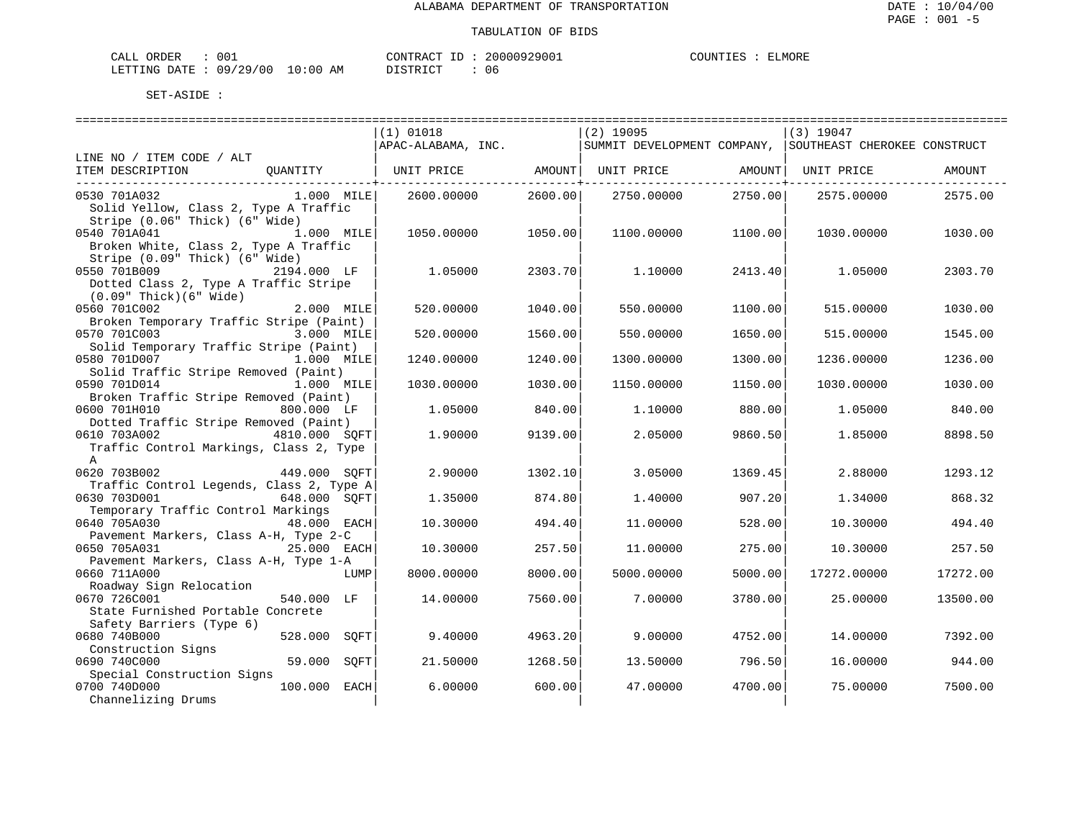| ORDER<br>CALL | 001      |             | TD.<br>CONTRACT | 20000929001 | COUNTIES<br>COUNTIES | ELMORE |
|---------------|----------|-------------|-----------------|-------------|----------------------|--------|
| LETTING DATE  | 09/29/00 | 10:00<br>AM | חימת סידים דרו  | u c         |                      |        |

|                                                                                         |                 | =====================<br>$(1)$ 01018 |         | $(2)$ 19095                                              |         | $(3)$ 19047 |          |
|-----------------------------------------------------------------------------------------|-----------------|--------------------------------------|---------|----------------------------------------------------------|---------|-------------|----------|
|                                                                                         |                 | APAC-ALABAMA, INC.                   |         | SUMMIT DEVELOPMENT COMPANY, SOUTHEAST CHEROKEE CONSTRUCT |         |             |          |
| LINE NO / ITEM CODE / ALT<br>ITEM DESCRIPTION                                           | OUANTITY        | UNIT PRICE                           | AMOUNT  | UNIT PRICE                                               | AMOUNT  | UNIT PRICE  | AMOUNT   |
| 0530 701A032<br>Solid Yellow, Class 2, Type A Traffic<br>Stripe (0.06" Thick) (6" Wide) | 1.000 MILE      | 2600.00000                           | 2600.00 | 2750.00000                                               | 2750.00 | 2575.00000  | 2575.00  |
| 0540 701A041<br>Broken White, Class 2, Type A Traffic<br>Stripe (0.09" Thick) (6" Wide) | 1.000 MILE      | 1050.00000                           | 1050.00 | 1100.00000                                               | 1100.00 | 1030.00000  | 1030.00  |
| 0550 701B009<br>Dotted Class 2, Type A Traffic Stripe<br>$(0.09"$ Thick $)(6"$ Wide $)$ | 2194.000 LF     | 1.05000                              | 2303.70 | 1,10000                                                  | 2413.40 | 1.05000     | 2303.70  |
| 0560 701C002<br>Broken Temporary Traffic Stripe (Paint)                                 | 2.000 MILE      | 520.00000                            | 1040.00 | 550.00000                                                | 1100.00 | 515.00000   | 1030.00  |
| 0570 701C003<br>Solid Temporary Traffic Stripe (Paint)                                  | 3.000 MILE      | 520.00000                            | 1560.00 | 550.00000                                                | 1650.00 | 515.00000   | 1545.00  |
| 0580 701D007<br>Solid Traffic Stripe Removed (Paint)                                    | $1.000$ MILE    | 1240.00000                           | 1240.00 | 1300.00000                                               | 1300.00 | 1236.00000  | 1236.00  |
| 0590 701D014<br>Broken Traffic Stripe Removed (Paint)                                   | $1.000$ MILE    | 1030.00000                           | 1030.00 | 1150.00000                                               | 1150.00 | 1030.00000  | 1030.00  |
| 0600 701H010<br>Dotted Traffic Stripe Removed (Paint)                                   | 800.000 LF      | 1.05000                              | 840.00  | 1,10000                                                  | 880.00  | 1.05000     | 840.00   |
| 0610 703A002<br>Traffic Control Markings, Class 2, Type<br>$\mathsf{A}$                 | 4810.000 SOFT   | 1,90000                              | 9139.00 | 2.05000                                                  | 9860.50 | 1.85000     | 8898.50  |
| 0620 703B002<br>Traffic Control Legends, Class 2, Type A                                | 449.000 SOFT    | 2.90000                              | 1302.10 | 3.05000                                                  | 1369.45 | 2.88000     | 1293.12  |
| 0630 703D001<br>Temporary Traffic Control Markings                                      | 648.000 SOFT    | 1.35000                              | 874.80  | 1,40000                                                  | 907.20  | 1.34000     | 868.32   |
| 0640 705A030<br>Pavement Markers, Class A-H, Type 2-C                                   | 48.000 EACH     | 10.30000                             | 494.40  | 11.00000                                                 | 528.00  | 10.30000    | 494.40   |
| 0650 705A031<br>Pavement Markers, Class A-H, Type 1-A                                   | 25.000 EACH     | 10.30000                             | 257.50  | 11,00000                                                 | 275.00  | 10.30000    | 257.50   |
| 0660 711A000<br>Roadway Sign Relocation                                                 | LUMP            | 8000.00000                           | 8000.00 | 5000.00000                                               | 5000.00 | 17272.00000 | 17272.00 |
| 0670 726C001<br>State Furnished Portable Concrete<br>Safety Barriers (Type 6)           | 540.000 LF      | 14.00000                             | 7560.00 | 7.00000                                                  | 3780.00 | 25.00000    | 13500.00 |
| 0680 740B000<br>Construction Signs                                                      | 528.000<br>SOFT | 9.40000                              | 4963.20 | 9.00000                                                  | 4752.00 | 14.00000    | 7392.00  |
| 0690 740C000<br>Special Construction Signs                                              | 59.000<br>SOFT  | 21.50000                             | 1268.50 | 13.50000                                                 | 796.50  | 16.00000    | 944.00   |
| 0700 740D000<br>Channelizing Drums                                                      | 100.000 EACH    | 6.00000                              | 600.00  | 47.00000                                                 | 4700.00 | 75.00000    | 7500.00  |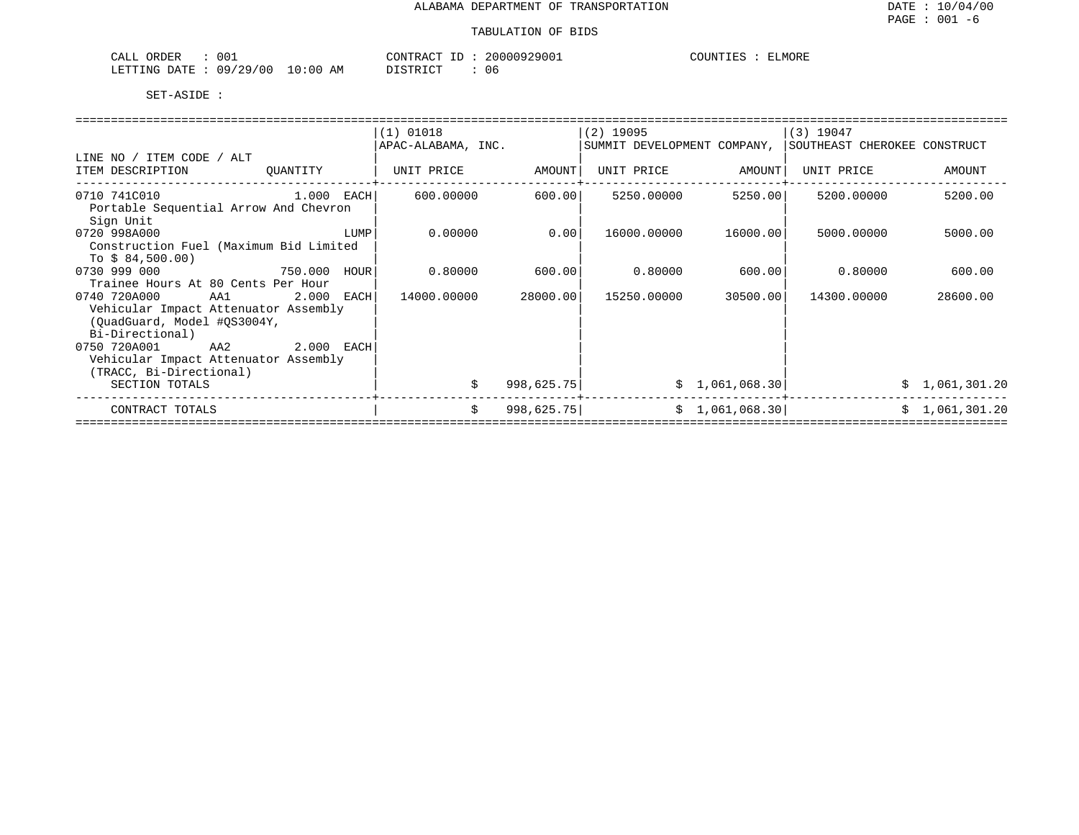| 001<br>CALL<br>ORDER                       |                   | CONTRACT            | 20000929001<br>, UU | COUNT.<br>$E[T M \cap E]$<br><b>WIUKL</b> |
|--------------------------------------------|-------------------|---------------------|---------------------|-------------------------------------------|
| '29/00<br>LETTING<br>09.<br>$\mathbb{R}^n$ | :00<br>AM<br>- 11 | DI STRITOT<br>----- | -06                 |                                           |

|                                        |              |      | $(1)$ 01018        |            | $(2)$ 19095       |                | (3) 19047                                                |                |
|----------------------------------------|--------------|------|--------------------|------------|-------------------|----------------|----------------------------------------------------------|----------------|
|                                        |              |      | APAC-ALABAMA, INC. |            |                   |                | SUMMIT DEVELOPMENT COMPANY, SOUTHEAST CHEROKEE CONSTRUCT |                |
| LINE NO / ITEM CODE / ALT              |              |      |                    |            |                   |                |                                                          |                |
| ITEM DESCRIPTION                       | QUANTITY     |      | UNIT PRICE         | AMOUNT     | UNIT PRICE AMOUNT |                | UNIT PRICE                                               | AMOUNT         |
| 0710 741C010                           | 1.000 EACH   |      | 600.00000          |            | 600.00 5250.00000 | 5250.00        | 5200.00000                                               | 5200.00        |
| Portable Sequential Arrow And Chevron  |              |      |                    |            |                   |                |                                                          |                |
| Sign Unit                              |              |      |                    |            |                   |                |                                                          |                |
| 0720 998A000                           |              | LUMP | 0.00000            | 0.00       | 16000.00000       | 16000.00       | 5000.00000                                               | 5000.00        |
| Construction Fuel (Maximum Bid Limited |              |      |                    |            |                   |                |                                                          |                |
| To $$84,500.00$                        |              |      |                    |            |                   |                |                                                          |                |
| 0730 999 000                           | 750.000 HOUR |      | 0.80000            | 600.00     | 0.80000           | 600.00         | 0.80000                                                  | 600.00         |
| Trainee Hours At 80 Cents Per Hour     |              |      |                    |            |                   |                |                                                          |                |
| 0740 720A000<br>AA1                    | $2.000$ EACH |      | 14000.00000        | 28000.00   | 15250.00000       | 30500.00       | 14300.00000                                              | 28600.00       |
| Vehicular Impact Attenuator Assembly   |              |      |                    |            |                   |                |                                                          |                |
| (QuadGuard, Model #QS3004Y,            |              |      |                    |            |                   |                |                                                          |                |
| Bi-Directional)                        |              |      |                    |            |                   |                |                                                          |                |
| 0750 720A001 AA2                       | 2.000 EACH   |      |                    |            |                   |                |                                                          |                |
| Vehicular Impact Attenuator Assembly   |              |      |                    |            |                   |                |                                                          |                |
| (TRACC, Bi-Directional)                |              |      |                    |            |                   |                |                                                          |                |
| SECTION TOTALS                         |              |      | \$                 | 998,625.75 |                   | \$1,061,068.30 |                                                          | \$1,061,301.20 |
| CONTRACT TOTALS                        |              |      | \$                 | 998,625.75 |                   | \$1,061,068.30 |                                                          | \$1,061,301.20 |
|                                        |              |      |                    |            |                   |                |                                                          |                |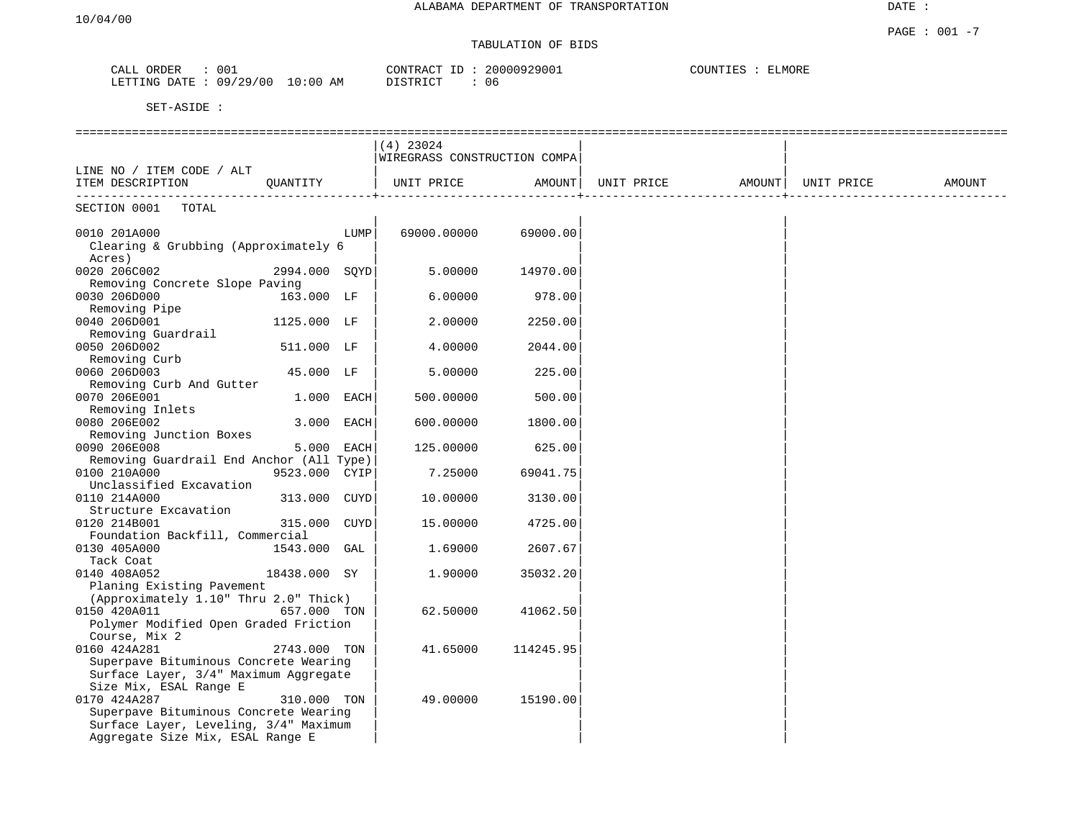# TABULATION OF BIDS

| ORDER<br>CALL | 001      |            | CONTRACT ID | 20000929001 | ELMORE<br>COUNTIES |
|---------------|----------|------------|-------------|-------------|--------------------|
| LETTING DATE  | 09/29/00 | $10:00$ AM | DISTRICT    | 06          |                    |

|                                           |               |      | $(4)$ 23024                  |           |                   |            |        |
|-------------------------------------------|---------------|------|------------------------------|-----------|-------------------|------------|--------|
|                                           |               |      | WIREGRASS CONSTRUCTION COMPA |           |                   |            |        |
| LINE NO / ITEM CODE / ALT                 |               |      |                              |           |                   |            |        |
| ITEM DESCRIPTION                          | OUANTITY      |      | UNIT PRICE                   | AMOUNT    | UNIT PRICE AMOUNT | UNIT PRICE | AMOUNT |
|                                           |               |      |                              |           |                   |            |        |
| SECTION 0001<br>TOTAL                     |               |      |                              |           |                   |            |        |
| 0010 201A000                              |               | LUMP | 69000.00000                  | 69000.00  |                   |            |        |
| Clearing & Grubbing (Approximately 6      |               |      |                              |           |                   |            |        |
| Acres)                                    |               |      |                              |           |                   |            |        |
| 0020 206C002                              | 2994.000 SOYD |      | 5.00000                      | 14970.00  |                   |            |        |
| Removing Concrete Slope Paving            |               |      |                              |           |                   |            |        |
| 0030 206D000                              | 163.000 LF    |      | 6.00000                      | 978.00    |                   |            |        |
| Removing Pipe                             |               |      |                              |           |                   |            |        |
| 0040 206D001                              | 1125.000 LF   |      | 2.00000                      | 2250.00   |                   |            |        |
| Removing Guardrail                        |               |      |                              |           |                   |            |        |
| 0050 206D002                              | 511.000 LF    |      | 4.00000                      | 2044.00   |                   |            |        |
| Removing Curb                             |               |      |                              |           |                   |            |        |
| 0060 206D003                              | 45.000 LF     |      | 5.00000                      | 225.00    |                   |            |        |
| Removing Curb And Gutter                  |               |      |                              |           |                   |            |        |
| 0070 206E001                              | 1.000 EACH    |      | 500.00000                    | 500.00    |                   |            |        |
| Removing Inlets                           |               |      |                              |           |                   |            |        |
| 0080 206E002                              | 3.000         | EACH | 600.00000                    | 1800.00   |                   |            |        |
| Removing Junction Boxes                   |               |      |                              |           |                   |            |        |
| 0090 206E008                              | 5.000 EACH    |      | 125.00000                    | 625.00    |                   |            |        |
| Removing Guardrail End Anchor (All Type)  |               |      |                              |           |                   |            |        |
| 0100 210A000                              | 9523.000 CYIP |      | 7.25000                      | 69041.75  |                   |            |        |
| Unclassified Excavation                   |               |      |                              |           |                   |            |        |
| 0110 214A000                              | 313.000 CUYD  |      | 10.00000                     | 3130.00   |                   |            |        |
| Structure Excavation                      |               |      |                              |           |                   |            |        |
| 0120 214B001                              | 315.000       | CUYD | 15.00000                     | 4725.00   |                   |            |        |
| Foundation Backfill, Commercial           |               |      |                              |           |                   |            |        |
| 0130 405A000                              | 1543.000      | GAL  | 1.69000                      | 2607.67   |                   |            |        |
| Tack Coat                                 |               |      |                              |           |                   |            |        |
| 0140 408A052<br>Planing Existing Pavement | 18438.000 SY  |      | 1.90000                      | 35032.20  |                   |            |        |
| (Approximately 1.10" Thru 2.0" Thick)     |               |      |                              |           |                   |            |        |
| 0150 420A011                              | 657.000 TON   |      | 62.50000                     | 41062.50  |                   |            |        |
| Polymer Modified Open Graded Friction     |               |      |                              |           |                   |            |        |
| Course, Mix 2                             |               |      |                              |           |                   |            |        |
| 0160 424A281                              | 2743.000 TON  |      | 41.65000                     | 114245.95 |                   |            |        |
| Superpave Bituminous Concrete Wearing     |               |      |                              |           |                   |            |        |
| Surface Layer, 3/4" Maximum Aggregate     |               |      |                              |           |                   |            |        |
| Size Mix, ESAL Range E                    |               |      |                              |           |                   |            |        |
| 0170 424A287                              | 310.000 TON   |      | 49.00000                     | 15190.00  |                   |            |        |
| Superpave Bituminous Concrete Wearing     |               |      |                              |           |                   |            |        |
| Surface Layer, Leveling, 3/4" Maximum     |               |      |                              |           |                   |            |        |
| Aggregate Size Mix, ESAL Range E          |               |      |                              |           |                   |            |        |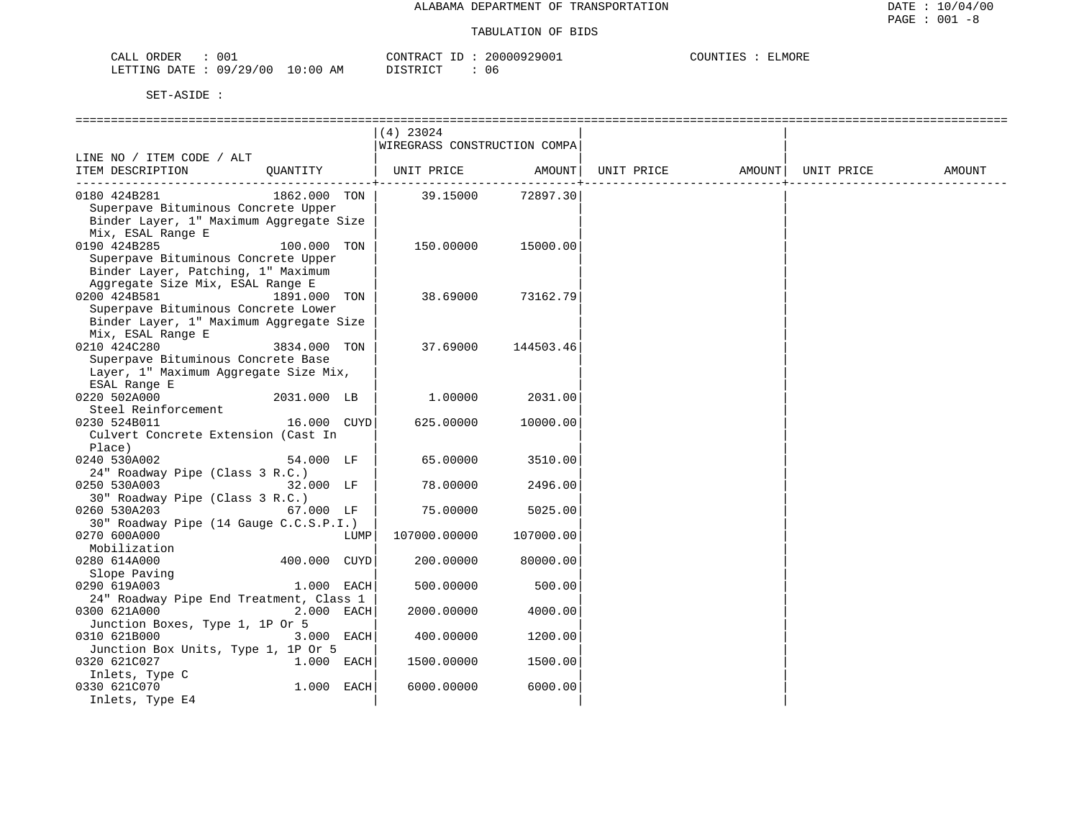| CALL<br>ORDER                | 001 |    | CONTRACT ID: | 20000929001 | COUNTIES | ELMORE |
|------------------------------|-----|----|--------------|-------------|----------|--------|
| LETTING DATE: 09/29/00 10:00 |     | AΜ | DISTRICT     | u c         |          |        |

|                                         |              |      | (4) 23024                    |                                 |                              |  |        |
|-----------------------------------------|--------------|------|------------------------------|---------------------------------|------------------------------|--|--------|
|                                         |              |      | WIREGRASS CONSTRUCTION COMPA |                                 |                              |  |        |
| LINE NO / ITEM CODE / ALT               |              |      |                              |                                 |                              |  |        |
| ITEM DESCRIPTION                        |              |      | QUANTITY   UNIT PRICE AMOUNT |                                 | UNIT PRICE AMOUNT UNIT PRICE |  | AMOUNT |
|                                         |              |      |                              | . _ _ _ _ _ _ _ _ _ _ _ _ _ _ _ |                              |  |        |
| 0180 424B281                            | 1862.000 TON |      | 39.15000 72897.30            |                                 |                              |  |        |
| Superpave Bituminous Concrete Upper     |              |      |                              |                                 |                              |  |        |
| Binder Layer, 1" Maximum Aggregate Size |              |      |                              |                                 |                              |  |        |
| Mix, ESAL Range E                       |              |      |                              |                                 |                              |  |        |
| 0190 424B285                            | 100.000 TON  |      | 150.00000                    | 15000.00                        |                              |  |        |
| Superpave Bituminous Concrete Upper     |              |      |                              |                                 |                              |  |        |
|                                         |              |      |                              |                                 |                              |  |        |
| Binder Layer, Patching, 1" Maximum      |              |      |                              |                                 |                              |  |        |
| Aggregate Size Mix, ESAL Range E        |              |      |                              |                                 |                              |  |        |
| 0200 424B581                            | 1891.000 TON |      | 38.69000                     | 73162.79                        |                              |  |        |
| Superpave Bituminous Concrete Lower     |              |      |                              |                                 |                              |  |        |
| Binder Layer, 1" Maximum Aggregate Size |              |      |                              |                                 |                              |  |        |
| Mix, ESAL Range E                       |              |      |                              |                                 |                              |  |        |
| 0210 424C280                            | 3834.000 TON |      | 37.69000                     | 144503.46                       |                              |  |        |
| Superpave Bituminous Concrete Base      |              |      |                              |                                 |                              |  |        |
| Layer, 1" Maximum Aggregate Size Mix,   |              |      |                              |                                 |                              |  |        |
| ESAL Range E                            |              |      |                              |                                 |                              |  |        |
| 0220 502A000                            | 2031.000 LB  |      | 1.00000                      | 2031.00                         |                              |  |        |
| Steel Reinforcement                     |              |      |                              |                                 |                              |  |        |
| 0230 524B011                            | 16.000 CUYD  |      | 625.00000                    | 10000.00                        |                              |  |        |
| Culvert Concrete Extension (Cast In     |              |      |                              |                                 |                              |  |        |
| Place)                                  |              |      |                              |                                 |                              |  |        |
| 0240 530A002                            | 54.000 LF    |      | 65.00000                     | 3510.00                         |                              |  |        |
| 24" Roadway Pipe (Class 3 R.C.)         |              |      |                              |                                 |                              |  |        |
| 0250 530A003                            | 32.000 LF    |      | 78.00000                     | 2496.00                         |                              |  |        |
| 30" Roadway Pipe (Class 3 R.C.)         |              |      |                              |                                 |                              |  |        |
| 0260 530A203                            | 67.000 LF    |      | 75.00000                     | 5025.00                         |                              |  |        |
| 30" Roadway Pipe (14 Gauge C.C.S.P.I.)  |              |      |                              |                                 |                              |  |        |
| 0270 600A000                            |              | LUMP | 107000.00000                 | 107000.00                       |                              |  |        |
|                                         |              |      |                              |                                 |                              |  |        |
| Mobilization                            |              |      |                              |                                 |                              |  |        |
| 0280 614A000                            | 400.000 CUYD |      | 200.00000                    | 80000.00                        |                              |  |        |
| Slope Paving                            |              |      |                              |                                 |                              |  |        |
| 0290 619A003                            | $1.000$ EACH |      | 500.00000                    | 500.00                          |                              |  |        |
| 24" Roadway Pipe End Treatment, Class 1 |              |      |                              |                                 |                              |  |        |
| 0300 621A000                            | 2.000 EACH   |      | 2000.00000                   | 4000.00                         |                              |  |        |
| Junction Boxes, Type 1, 1P Or 5         |              |      |                              |                                 |                              |  |        |
| 0310 621B000                            | 3.000 EACH   |      | 400.00000                    | 1200.00                         |                              |  |        |
| Junction Box Units, Type 1, 1P Or 5     |              |      |                              |                                 |                              |  |        |
| 0320 621C027                            | 1.000 EACH   |      | 1500.00000                   | 1500.00                         |                              |  |        |
| Inlets, Type C                          |              |      |                              |                                 |                              |  |        |
| 0330 621C070                            | 1.000 EACH   |      | 6000.00000                   | 6000.00                         |                              |  |        |
| Inlets, Type E4                         |              |      |                              |                                 |                              |  |        |
|                                         |              |      |                              |                                 |                              |  |        |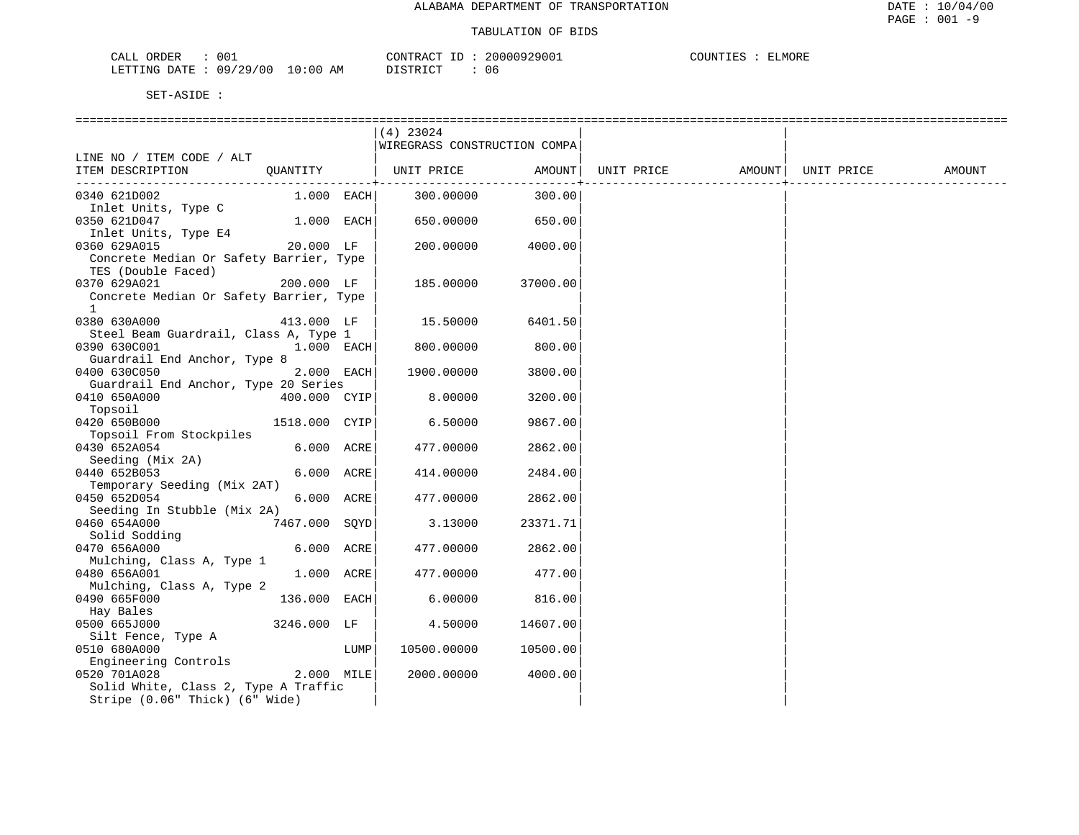| ORDER<br>CALL (               | 001 |    | CONTRACT ID: | 20000929001 | COUNTIES | ELMORE |
|-------------------------------|-----|----|--------------|-------------|----------|--------|
| LETTING DATE : 09/29/00 10:00 |     | AΜ | DISTRICT     | 0 e         |          |        |

|                                                           |      | $(4)$ 23024                  |          |            |                    |        |
|-----------------------------------------------------------|------|------------------------------|----------|------------|--------------------|--------|
|                                                           |      | WIREGRASS CONSTRUCTION COMPA |          |            |                    |        |
| LINE NO / ITEM CODE / ALT                                 |      |                              |          |            |                    |        |
| ITEM DESCRIPTION<br>QUANTITY                              |      | UNIT PRICE                   | AMOUNT   | UNIT PRICE | AMOUNT  UNIT PRICE | AMOUNT |
|                                                           |      |                              |          |            |                    |        |
| 0340 621D002<br>$1.000$ EACH                              |      | 300.00000                    | 300.00   |            |                    |        |
| Inlet Units, Type C                                       |      |                              |          |            |                    |        |
| 0350 621D047<br>$1.000$ EACH                              |      | 650.00000                    | 650.00   |            |                    |        |
| Inlet Units, Type E4                                      |      |                              |          |            |                    |        |
| 0360 629A015<br>20.000 LF                                 |      | 200.00000                    | 4000.001 |            |                    |        |
| Concrete Median Or Safety Barrier, Type                   |      |                              |          |            |                    |        |
| TES (Double Faced)                                        |      |                              |          |            |                    |        |
| 0370 629A021<br>200.000 LF                                |      | 185.00000                    | 37000.00 |            |                    |        |
| Concrete Median Or Safety Barrier, Type                   |      |                              |          |            |                    |        |
| $\mathbf{1}$                                              |      |                              |          |            |                    |        |
| 0380 630A000<br>413.000 LF                                |      | 15.50000                     | 6401.50  |            |                    |        |
| Steel Beam Guardrail, Class A, Type 1<br>1.000 EACH       |      |                              | 800.00   |            |                    |        |
| 0390 630C001<br>Guardrail End Anchor, Type 8              |      | 800.00000                    |          |            |                    |        |
| 0400 630C050<br>2.000 EACH                                |      | 1900.00000                   | 3800.00  |            |                    |        |
| Guardrail End Anchor, Type 20 Series                      |      |                              |          |            |                    |        |
| 0410 650A000<br>400.000 CYIP                              |      | 8.00000                      | 3200.00  |            |                    |        |
| Topsoil                                                   |      |                              |          |            |                    |        |
| 0420 650B000<br>1518.000 CYIP                             |      | 6.50000                      | 9867.00  |            |                    |        |
| Topsoil From Stockpiles                                   |      |                              |          |            |                    |        |
| 0430 652A054<br>6.000 ACRE                                |      | 477.00000                    | 2862.00  |            |                    |        |
| Seeding (Mix 2A)                                          |      |                              |          |            |                    |        |
| 0440 652B053<br>6.000 ACRE                                |      | 414.00000                    | 2484.00  |            |                    |        |
| Temporary Seeding (Mix 2AT)                               |      |                              |          |            |                    |        |
| 6.000 ACRE<br>0450 652D054                                |      | 477.00000                    | 2862.00  |            |                    |        |
| Seeding In Stubble (Mix 2A)                               |      |                              |          |            |                    |        |
| 0460 654A000<br>7467.000 SQYD                             |      | 3.13000                      | 23371.71 |            |                    |        |
| Solid Sodding                                             |      |                              |          |            |                    |        |
| 6.000 ACRE<br>0470 656A000                                |      | 477.00000                    | 2862.00  |            |                    |        |
| Mulching, Class A, Type 1                                 |      |                              |          |            |                    |        |
| 1.000 ACRE<br>0480 656A001                                |      | 477.00000                    | 477.00   |            |                    |        |
| Mulching, Class A, Type 2<br>0490 665F000<br>136.000 EACH |      | 6.00000                      | 816.00   |            |                    |        |
|                                                           |      |                              |          |            |                    |        |
| Hay Bales<br>0500 665J000<br>3246.000 LF                  |      | 4.50000                      | 14607.00 |            |                    |        |
| Silt Fence, Type A                                        |      |                              |          |            |                    |        |
| 0510 680A000                                              | LUMP | 10500.00000                  | 10500.00 |            |                    |        |
| Engineering Controls                                      |      |                              |          |            |                    |        |
| 2.000 MILE<br>0520 701A028                                |      | 2000.00000                   | 4000.00  |            |                    |        |
| Solid White, Class 2, Type A Traffic                      |      |                              |          |            |                    |        |
| Stripe (0.06" Thick) (6" Wide)                            |      |                              |          |            |                    |        |
|                                                           |      |                              |          |            |                    |        |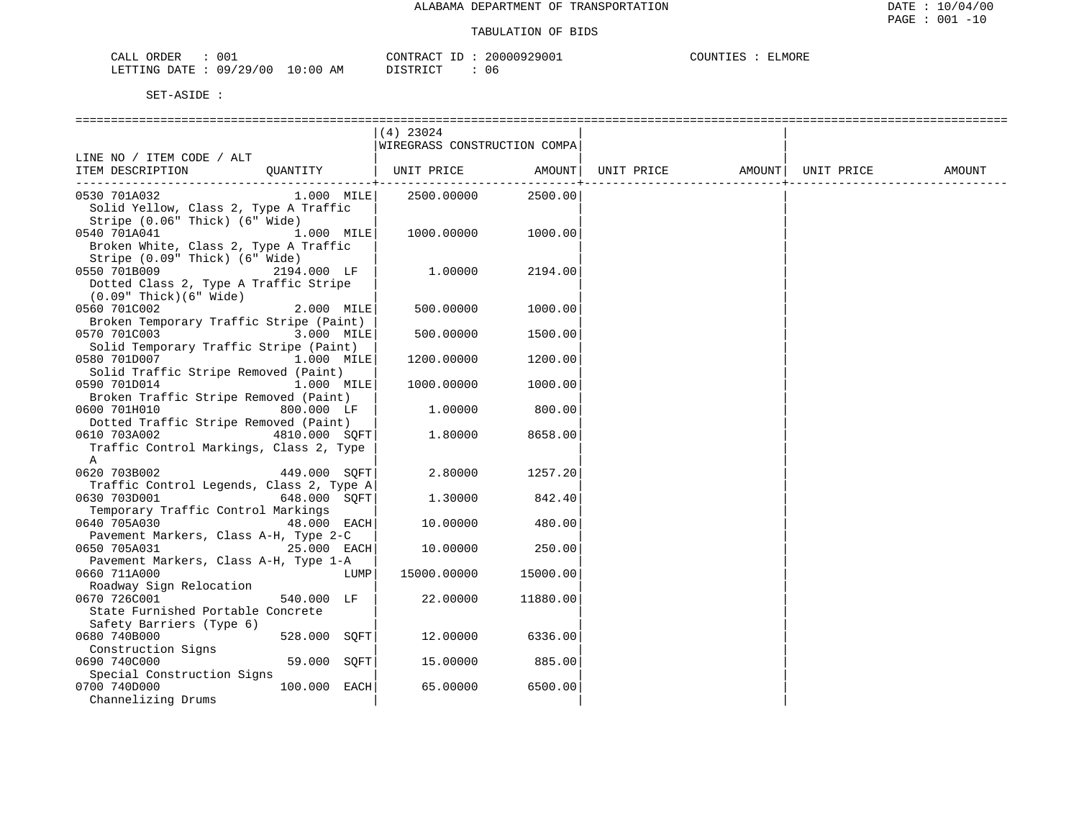| ORDER<br>CALL (               | 001 |    | CONTRACT ID: | 20000929001 | COUNTIES | ELMORE |
|-------------------------------|-----|----|--------------|-------------|----------|--------|
| LETTING DATE : 09/29/00 10:00 |     | AΜ | DISTRICT     | 0 e         |          |        |

| $(4)$ 23024<br>WIREGRASS CONSTRUCTION COMPA<br>LINE NO / ITEM CODE / ALT<br>OUANTITY<br>UNIT PRICE<br>AMOUNT  <br>UNIT PRICE AMOUNT<br>ITEM DESCRIPTION<br>UNIT PRICE<br>AMOUNT<br>1.000 MILE<br>2500.00<br>0530 701A032<br>2500.00000<br>Solid Yellow, Class 2, Type A Traffic<br>Stripe (0.06" Thick) (6" Wide)<br>0540 701A041<br>1.000 MILE<br>1000.00000<br>1000.001<br>Broken White, Class 2, Type A Traffic<br>Stripe (0.09" Thick) (6" Wide)<br>1.00000<br>0550 701B009<br>2194.000 LF<br>2194.00<br>Dotted Class 2, Type A Traffic Stripe<br>$(0.09"$ Thick $)(6"$ Wide)<br>0560 701C002<br>2.000 MILE<br>500.00000<br>1000.00<br>Broken Temporary Traffic Stripe (Paint)<br>0570 701C003<br>3.000 MILE<br>500.00000<br>1500.00<br>Solid Temporary Traffic Stripe (Paint)<br>0580 701D007<br>1.000 MILE<br>1200.00000<br>1200.00<br>Solid Traffic Stripe Removed (Paint)<br>1.000 MILE<br>1000.00<br>0590 701D014<br>1000.00000<br>Broken Traffic Stripe Removed (Paint)<br>0600 701H010<br>800.000 LF<br>1.00000<br>800.001<br>Dotted Traffic Stripe Removed (Paint)<br>4810.000 SQFT<br>1.80000<br>8658.00<br>0610 703A002<br>Traffic Control Markings, Class 2, Type<br>Α<br>0620 703B002<br>449.000 SOFT<br>2.80000<br>1257.20<br>Traffic Control Legends, Class 2, Type A<br>0630 703D001<br>648.000 SOFT<br>1.30000<br>842.40<br>Temporary Traffic Control Markings<br>0640 705A030<br>48.000 EACH<br>10.00000<br>480.00<br>Pavement Markers, Class A-H, Type 2-C<br>0650 705A031<br>25.000 EACH<br>10.00000<br>250.00<br>Pavement Markers, Class A-H, Type 1-A<br>0660 711A000<br>LUMP<br>15000.00000<br>15000.00<br>Roadway Sign Relocation<br>0670 726C001<br>540.000 LF<br>22.00000<br>11880.00<br>State Furnished Portable Concrete<br>Safety Barriers (Type 6)<br>0680 740B000<br>528.000 SOFT<br>12.00000<br>6336.00<br>Construction Signs<br>59.000 SQFT<br>885.00<br>0690 740C000<br>15.00000<br>Special Construction Signs<br>0700 740D000<br>100.000 EACH<br>65.00000<br>6500.00<br>Channelizing Drums |  |  |  |  |
|----------------------------------------------------------------------------------------------------------------------------------------------------------------------------------------------------------------------------------------------------------------------------------------------------------------------------------------------------------------------------------------------------------------------------------------------------------------------------------------------------------------------------------------------------------------------------------------------------------------------------------------------------------------------------------------------------------------------------------------------------------------------------------------------------------------------------------------------------------------------------------------------------------------------------------------------------------------------------------------------------------------------------------------------------------------------------------------------------------------------------------------------------------------------------------------------------------------------------------------------------------------------------------------------------------------------------------------------------------------------------------------------------------------------------------------------------------------------------------------------------------------------------------------------------------------------------------------------------------------------------------------------------------------------------------------------------------------------------------------------------------------------------------------------------------------------------------------------------------------------------------------------------------------------------------------------------------------------------------------------------------------------------------|--|--|--|--|
|                                                                                                                                                                                                                                                                                                                                                                                                                                                                                                                                                                                                                                                                                                                                                                                                                                                                                                                                                                                                                                                                                                                                                                                                                                                                                                                                                                                                                                                                                                                                                                                                                                                                                                                                                                                                                                                                                                                                                                                                                                  |  |  |  |  |
|                                                                                                                                                                                                                                                                                                                                                                                                                                                                                                                                                                                                                                                                                                                                                                                                                                                                                                                                                                                                                                                                                                                                                                                                                                                                                                                                                                                                                                                                                                                                                                                                                                                                                                                                                                                                                                                                                                                                                                                                                                  |  |  |  |  |
|                                                                                                                                                                                                                                                                                                                                                                                                                                                                                                                                                                                                                                                                                                                                                                                                                                                                                                                                                                                                                                                                                                                                                                                                                                                                                                                                                                                                                                                                                                                                                                                                                                                                                                                                                                                                                                                                                                                                                                                                                                  |  |  |  |  |
|                                                                                                                                                                                                                                                                                                                                                                                                                                                                                                                                                                                                                                                                                                                                                                                                                                                                                                                                                                                                                                                                                                                                                                                                                                                                                                                                                                                                                                                                                                                                                                                                                                                                                                                                                                                                                                                                                                                                                                                                                                  |  |  |  |  |
|                                                                                                                                                                                                                                                                                                                                                                                                                                                                                                                                                                                                                                                                                                                                                                                                                                                                                                                                                                                                                                                                                                                                                                                                                                                                                                                                                                                                                                                                                                                                                                                                                                                                                                                                                                                                                                                                                                                                                                                                                                  |  |  |  |  |
|                                                                                                                                                                                                                                                                                                                                                                                                                                                                                                                                                                                                                                                                                                                                                                                                                                                                                                                                                                                                                                                                                                                                                                                                                                                                                                                                                                                                                                                                                                                                                                                                                                                                                                                                                                                                                                                                                                                                                                                                                                  |  |  |  |  |
|                                                                                                                                                                                                                                                                                                                                                                                                                                                                                                                                                                                                                                                                                                                                                                                                                                                                                                                                                                                                                                                                                                                                                                                                                                                                                                                                                                                                                                                                                                                                                                                                                                                                                                                                                                                                                                                                                                                                                                                                                                  |  |  |  |  |
|                                                                                                                                                                                                                                                                                                                                                                                                                                                                                                                                                                                                                                                                                                                                                                                                                                                                                                                                                                                                                                                                                                                                                                                                                                                                                                                                                                                                                                                                                                                                                                                                                                                                                                                                                                                                                                                                                                                                                                                                                                  |  |  |  |  |
|                                                                                                                                                                                                                                                                                                                                                                                                                                                                                                                                                                                                                                                                                                                                                                                                                                                                                                                                                                                                                                                                                                                                                                                                                                                                                                                                                                                                                                                                                                                                                                                                                                                                                                                                                                                                                                                                                                                                                                                                                                  |  |  |  |  |
|                                                                                                                                                                                                                                                                                                                                                                                                                                                                                                                                                                                                                                                                                                                                                                                                                                                                                                                                                                                                                                                                                                                                                                                                                                                                                                                                                                                                                                                                                                                                                                                                                                                                                                                                                                                                                                                                                                                                                                                                                                  |  |  |  |  |
|                                                                                                                                                                                                                                                                                                                                                                                                                                                                                                                                                                                                                                                                                                                                                                                                                                                                                                                                                                                                                                                                                                                                                                                                                                                                                                                                                                                                                                                                                                                                                                                                                                                                                                                                                                                                                                                                                                                                                                                                                                  |  |  |  |  |
|                                                                                                                                                                                                                                                                                                                                                                                                                                                                                                                                                                                                                                                                                                                                                                                                                                                                                                                                                                                                                                                                                                                                                                                                                                                                                                                                                                                                                                                                                                                                                                                                                                                                                                                                                                                                                                                                                                                                                                                                                                  |  |  |  |  |
|                                                                                                                                                                                                                                                                                                                                                                                                                                                                                                                                                                                                                                                                                                                                                                                                                                                                                                                                                                                                                                                                                                                                                                                                                                                                                                                                                                                                                                                                                                                                                                                                                                                                                                                                                                                                                                                                                                                                                                                                                                  |  |  |  |  |
|                                                                                                                                                                                                                                                                                                                                                                                                                                                                                                                                                                                                                                                                                                                                                                                                                                                                                                                                                                                                                                                                                                                                                                                                                                                                                                                                                                                                                                                                                                                                                                                                                                                                                                                                                                                                                                                                                                                                                                                                                                  |  |  |  |  |
|                                                                                                                                                                                                                                                                                                                                                                                                                                                                                                                                                                                                                                                                                                                                                                                                                                                                                                                                                                                                                                                                                                                                                                                                                                                                                                                                                                                                                                                                                                                                                                                                                                                                                                                                                                                                                                                                                                                                                                                                                                  |  |  |  |  |
|                                                                                                                                                                                                                                                                                                                                                                                                                                                                                                                                                                                                                                                                                                                                                                                                                                                                                                                                                                                                                                                                                                                                                                                                                                                                                                                                                                                                                                                                                                                                                                                                                                                                                                                                                                                                                                                                                                                                                                                                                                  |  |  |  |  |
|                                                                                                                                                                                                                                                                                                                                                                                                                                                                                                                                                                                                                                                                                                                                                                                                                                                                                                                                                                                                                                                                                                                                                                                                                                                                                                                                                                                                                                                                                                                                                                                                                                                                                                                                                                                                                                                                                                                                                                                                                                  |  |  |  |  |
|                                                                                                                                                                                                                                                                                                                                                                                                                                                                                                                                                                                                                                                                                                                                                                                                                                                                                                                                                                                                                                                                                                                                                                                                                                                                                                                                                                                                                                                                                                                                                                                                                                                                                                                                                                                                                                                                                                                                                                                                                                  |  |  |  |  |
|                                                                                                                                                                                                                                                                                                                                                                                                                                                                                                                                                                                                                                                                                                                                                                                                                                                                                                                                                                                                                                                                                                                                                                                                                                                                                                                                                                                                                                                                                                                                                                                                                                                                                                                                                                                                                                                                                                                                                                                                                                  |  |  |  |  |
|                                                                                                                                                                                                                                                                                                                                                                                                                                                                                                                                                                                                                                                                                                                                                                                                                                                                                                                                                                                                                                                                                                                                                                                                                                                                                                                                                                                                                                                                                                                                                                                                                                                                                                                                                                                                                                                                                                                                                                                                                                  |  |  |  |  |
|                                                                                                                                                                                                                                                                                                                                                                                                                                                                                                                                                                                                                                                                                                                                                                                                                                                                                                                                                                                                                                                                                                                                                                                                                                                                                                                                                                                                                                                                                                                                                                                                                                                                                                                                                                                                                                                                                                                                                                                                                                  |  |  |  |  |
|                                                                                                                                                                                                                                                                                                                                                                                                                                                                                                                                                                                                                                                                                                                                                                                                                                                                                                                                                                                                                                                                                                                                                                                                                                                                                                                                                                                                                                                                                                                                                                                                                                                                                                                                                                                                                                                                                                                                                                                                                                  |  |  |  |  |
|                                                                                                                                                                                                                                                                                                                                                                                                                                                                                                                                                                                                                                                                                                                                                                                                                                                                                                                                                                                                                                                                                                                                                                                                                                                                                                                                                                                                                                                                                                                                                                                                                                                                                                                                                                                                                                                                                                                                                                                                                                  |  |  |  |  |
|                                                                                                                                                                                                                                                                                                                                                                                                                                                                                                                                                                                                                                                                                                                                                                                                                                                                                                                                                                                                                                                                                                                                                                                                                                                                                                                                                                                                                                                                                                                                                                                                                                                                                                                                                                                                                                                                                                                                                                                                                                  |  |  |  |  |
|                                                                                                                                                                                                                                                                                                                                                                                                                                                                                                                                                                                                                                                                                                                                                                                                                                                                                                                                                                                                                                                                                                                                                                                                                                                                                                                                                                                                                                                                                                                                                                                                                                                                                                                                                                                                                                                                                                                                                                                                                                  |  |  |  |  |
|                                                                                                                                                                                                                                                                                                                                                                                                                                                                                                                                                                                                                                                                                                                                                                                                                                                                                                                                                                                                                                                                                                                                                                                                                                                                                                                                                                                                                                                                                                                                                                                                                                                                                                                                                                                                                                                                                                                                                                                                                                  |  |  |  |  |
|                                                                                                                                                                                                                                                                                                                                                                                                                                                                                                                                                                                                                                                                                                                                                                                                                                                                                                                                                                                                                                                                                                                                                                                                                                                                                                                                                                                                                                                                                                                                                                                                                                                                                                                                                                                                                                                                                                                                                                                                                                  |  |  |  |  |
|                                                                                                                                                                                                                                                                                                                                                                                                                                                                                                                                                                                                                                                                                                                                                                                                                                                                                                                                                                                                                                                                                                                                                                                                                                                                                                                                                                                                                                                                                                                                                                                                                                                                                                                                                                                                                                                                                                                                                                                                                                  |  |  |  |  |
|                                                                                                                                                                                                                                                                                                                                                                                                                                                                                                                                                                                                                                                                                                                                                                                                                                                                                                                                                                                                                                                                                                                                                                                                                                                                                                                                                                                                                                                                                                                                                                                                                                                                                                                                                                                                                                                                                                                                                                                                                                  |  |  |  |  |
|                                                                                                                                                                                                                                                                                                                                                                                                                                                                                                                                                                                                                                                                                                                                                                                                                                                                                                                                                                                                                                                                                                                                                                                                                                                                                                                                                                                                                                                                                                                                                                                                                                                                                                                                                                                                                                                                                                                                                                                                                                  |  |  |  |  |
|                                                                                                                                                                                                                                                                                                                                                                                                                                                                                                                                                                                                                                                                                                                                                                                                                                                                                                                                                                                                                                                                                                                                                                                                                                                                                                                                                                                                                                                                                                                                                                                                                                                                                                                                                                                                                                                                                                                                                                                                                                  |  |  |  |  |
|                                                                                                                                                                                                                                                                                                                                                                                                                                                                                                                                                                                                                                                                                                                                                                                                                                                                                                                                                                                                                                                                                                                                                                                                                                                                                                                                                                                                                                                                                                                                                                                                                                                                                                                                                                                                                                                                                                                                                                                                                                  |  |  |  |  |
|                                                                                                                                                                                                                                                                                                                                                                                                                                                                                                                                                                                                                                                                                                                                                                                                                                                                                                                                                                                                                                                                                                                                                                                                                                                                                                                                                                                                                                                                                                                                                                                                                                                                                                                                                                                                                                                                                                                                                                                                                                  |  |  |  |  |
|                                                                                                                                                                                                                                                                                                                                                                                                                                                                                                                                                                                                                                                                                                                                                                                                                                                                                                                                                                                                                                                                                                                                                                                                                                                                                                                                                                                                                                                                                                                                                                                                                                                                                                                                                                                                                                                                                                                                                                                                                                  |  |  |  |  |
|                                                                                                                                                                                                                                                                                                                                                                                                                                                                                                                                                                                                                                                                                                                                                                                                                                                                                                                                                                                                                                                                                                                                                                                                                                                                                                                                                                                                                                                                                                                                                                                                                                                                                                                                                                                                                                                                                                                                                                                                                                  |  |  |  |  |
|                                                                                                                                                                                                                                                                                                                                                                                                                                                                                                                                                                                                                                                                                                                                                                                                                                                                                                                                                                                                                                                                                                                                                                                                                                                                                                                                                                                                                                                                                                                                                                                                                                                                                                                                                                                                                                                                                                                                                                                                                                  |  |  |  |  |
|                                                                                                                                                                                                                                                                                                                                                                                                                                                                                                                                                                                                                                                                                                                                                                                                                                                                                                                                                                                                                                                                                                                                                                                                                                                                                                                                                                                                                                                                                                                                                                                                                                                                                                                                                                                                                                                                                                                                                                                                                                  |  |  |  |  |
|                                                                                                                                                                                                                                                                                                                                                                                                                                                                                                                                                                                                                                                                                                                                                                                                                                                                                                                                                                                                                                                                                                                                                                                                                                                                                                                                                                                                                                                                                                                                                                                                                                                                                                                                                                                                                                                                                                                                                                                                                                  |  |  |  |  |
|                                                                                                                                                                                                                                                                                                                                                                                                                                                                                                                                                                                                                                                                                                                                                                                                                                                                                                                                                                                                                                                                                                                                                                                                                                                                                                                                                                                                                                                                                                                                                                                                                                                                                                                                                                                                                                                                                                                                                                                                                                  |  |  |  |  |
|                                                                                                                                                                                                                                                                                                                                                                                                                                                                                                                                                                                                                                                                                                                                                                                                                                                                                                                                                                                                                                                                                                                                                                                                                                                                                                                                                                                                                                                                                                                                                                                                                                                                                                                                                                                                                                                                                                                                                                                                                                  |  |  |  |  |
|                                                                                                                                                                                                                                                                                                                                                                                                                                                                                                                                                                                                                                                                                                                                                                                                                                                                                                                                                                                                                                                                                                                                                                                                                                                                                                                                                                                                                                                                                                                                                                                                                                                                                                                                                                                                                                                                                                                                                                                                                                  |  |  |  |  |
|                                                                                                                                                                                                                                                                                                                                                                                                                                                                                                                                                                                                                                                                                                                                                                                                                                                                                                                                                                                                                                                                                                                                                                                                                                                                                                                                                                                                                                                                                                                                                                                                                                                                                                                                                                                                                                                                                                                                                                                                                                  |  |  |  |  |
|                                                                                                                                                                                                                                                                                                                                                                                                                                                                                                                                                                                                                                                                                                                                                                                                                                                                                                                                                                                                                                                                                                                                                                                                                                                                                                                                                                                                                                                                                                                                                                                                                                                                                                                                                                                                                                                                                                                                                                                                                                  |  |  |  |  |
|                                                                                                                                                                                                                                                                                                                                                                                                                                                                                                                                                                                                                                                                                                                                                                                                                                                                                                                                                                                                                                                                                                                                                                                                                                                                                                                                                                                                                                                                                                                                                                                                                                                                                                                                                                                                                                                                                                                                                                                                                                  |  |  |  |  |
|                                                                                                                                                                                                                                                                                                                                                                                                                                                                                                                                                                                                                                                                                                                                                                                                                                                                                                                                                                                                                                                                                                                                                                                                                                                                                                                                                                                                                                                                                                                                                                                                                                                                                                                                                                                                                                                                                                                                                                                                                                  |  |  |  |  |
|                                                                                                                                                                                                                                                                                                                                                                                                                                                                                                                                                                                                                                                                                                                                                                                                                                                                                                                                                                                                                                                                                                                                                                                                                                                                                                                                                                                                                                                                                                                                                                                                                                                                                                                                                                                                                                                                                                                                                                                                                                  |  |  |  |  |
|                                                                                                                                                                                                                                                                                                                                                                                                                                                                                                                                                                                                                                                                                                                                                                                                                                                                                                                                                                                                                                                                                                                                                                                                                                                                                                                                                                                                                                                                                                                                                                                                                                                                                                                                                                                                                                                                                                                                                                                                                                  |  |  |  |  |
|                                                                                                                                                                                                                                                                                                                                                                                                                                                                                                                                                                                                                                                                                                                                                                                                                                                                                                                                                                                                                                                                                                                                                                                                                                                                                                                                                                                                                                                                                                                                                                                                                                                                                                                                                                                                                                                                                                                                                                                                                                  |  |  |  |  |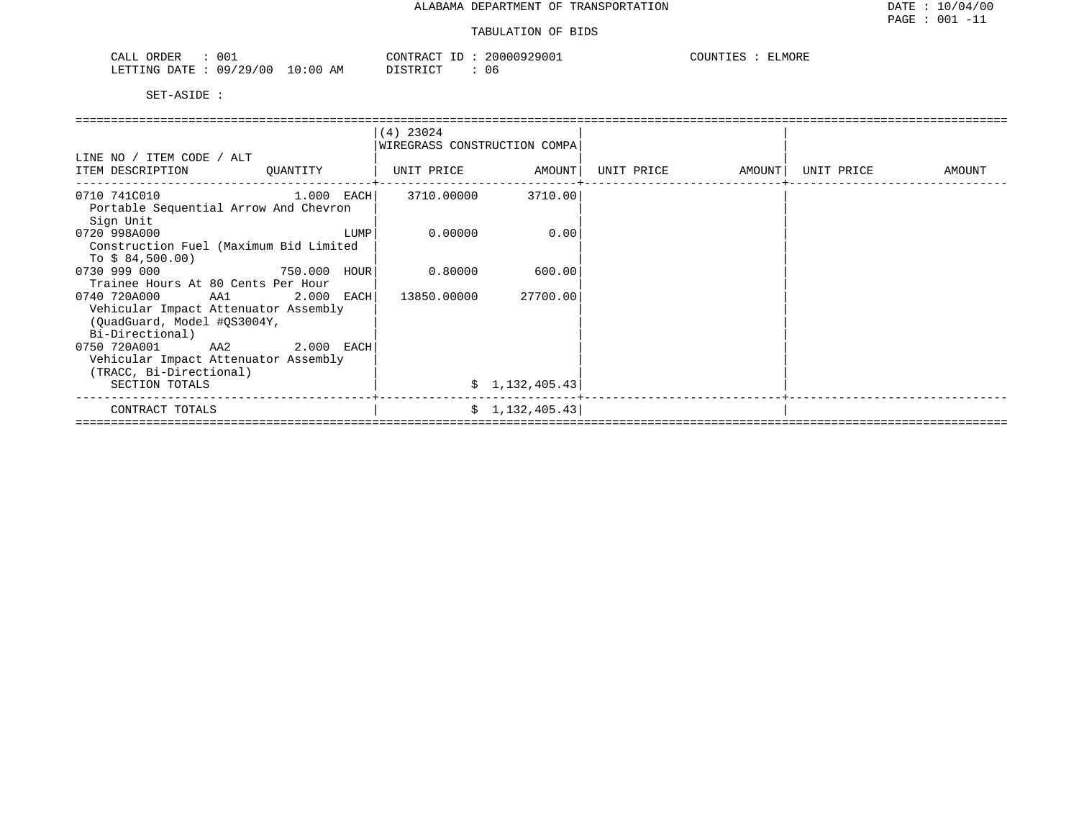| 001<br>ORDER                                                 | 10000929001<br>101<br>ី ∆∩‴ | TLMORE<br>COUN<br>п.,<br>. |
|--------------------------------------------------------------|-----------------------------|----------------------------|
| $'$ 29.<br>0:00<br>/00<br>LETTING<br>DATF<br>∩െ<br>AM<br>۔ ت | TAT<br>תיחים:<br>U6         |                            |

|                                                                  |                | $(4)$ 23024       | WIREGRASS CONSTRUCTION COMPA |                   |            |        |
|------------------------------------------------------------------|----------------|-------------------|------------------------------|-------------------|------------|--------|
| LINE NO / ITEM CODE / ALT<br>ITEM DESCRIPTION                    | QUANTITY       | UNIT PRICE AMOUNT |                              | UNIT PRICE AMOUNT | UNIT PRICE | AMOUNT |
|                                                                  |                |                   |                              |                   |            |        |
| 0710 741C010 1.000 EACH<br>Portable Sequential Arrow And Chevron |                | 3710.00000        | 3710.00                      |                   |            |        |
| Sign Unit                                                        |                |                   |                              |                   |            |        |
| 0720 998A000                                                     | LUMP           | 0.00000           | 0.00                         |                   |            |        |
| Construction Fuel (Maximum Bid Limited                           |                |                   |                              |                   |            |        |
| To $$84,500.00)$                                                 |                |                   |                              |                   |            |        |
| 0730 999 000                                                     | 750.000 HOUR   | 0.80000           | 600.00                       |                   |            |        |
| Trainee Hours At 80 Cents Per Hour                               |                |                   |                              |                   |            |        |
| 0740 720A000                                                     | AA1 2.000 EACH | 13850.00000       | 27700.00                     |                   |            |        |
| Vehicular Impact Attenuator Assembly                             |                |                   |                              |                   |            |        |
| (QuadGuard, Model #QS3004Y,                                      |                |                   |                              |                   |            |        |
| Bi-Directional)                                                  |                |                   |                              |                   |            |        |
| 0750 720A001 AA2 2.000 EACH                                      |                |                   |                              |                   |            |        |
| Vehicular Impact Attenuator Assembly                             |                |                   |                              |                   |            |        |
| (TRACC, Bi-Directional)                                          |                |                   |                              |                   |            |        |
| SECTION TOTALS                                                   |                |                   | \$1,132,405.43               |                   |            |        |
| CONTRACT TOTALS                                                  |                |                   | \$1,132,405.43]              |                   |            |        |
|                                                                  |                |                   |                              |                   |            |        |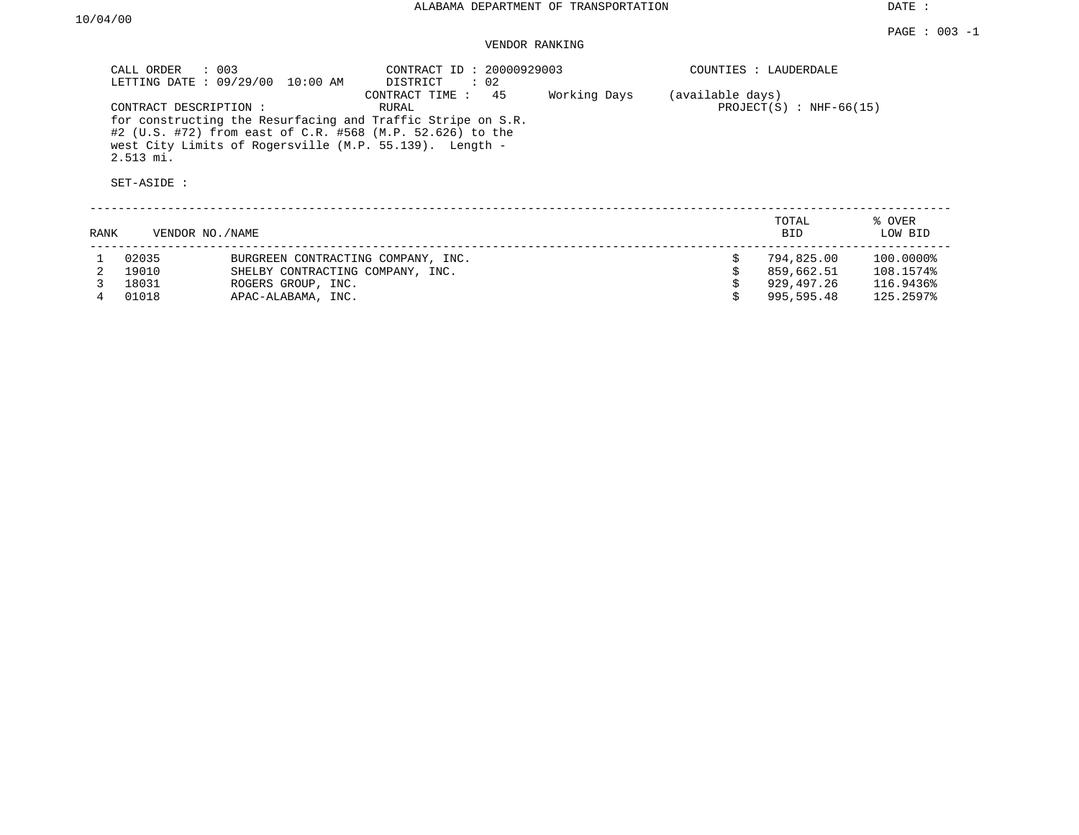DATE :

## VENDOR RANKING

| : 003<br>CALL ORDER<br>LETTING DATE : 09/29/00 10:00 AM                                                                                                                                                                                    | CONTRACT ID: 20000929003<br>$\therefore$ 02<br>DISTRICT |              | COUNTIES : LAUDERDALE                             |
|--------------------------------------------------------------------------------------------------------------------------------------------------------------------------------------------------------------------------------------------|---------------------------------------------------------|--------------|---------------------------------------------------|
| CONTRACT DESCRIPTION:<br>for constructing the Resurfacing and Traffic Stripe on S.R.<br>#2 (U.S. #72) from east of C.R. #568 (M.P. 52.626) to the<br>west City Limits of Rogersville (M.P. 55.139). Length -<br>$2.513$ mi.<br>SET-ASIDE : | CONTRACT TIME:<br>-45<br>RURAL                          | Working Days | (available days)<br>PROJECT $(S)$ : NHF-66 $(15)$ |

| RANK | VENDOR NO./NAME |                                    | TOTAL<br><b>BID</b> | % OVER<br>LOW BID |
|------|-----------------|------------------------------------|---------------------|-------------------|
|      | 02035           | BURGREEN CONTRACTING COMPANY, INC. | 794,825.00          | 100.0000%         |
|      | 19010           | SHELBY CONTRACTING COMPANY, INC.   | 859,662.51          | 108.1574%         |
|      | 18031           | ROGERS GROUP, INC.                 | 929,497.26          | 116.9436%         |
|      | 01018           | APAC-ALABAMA, INC.                 | 995,595.48          | 125.2597%         |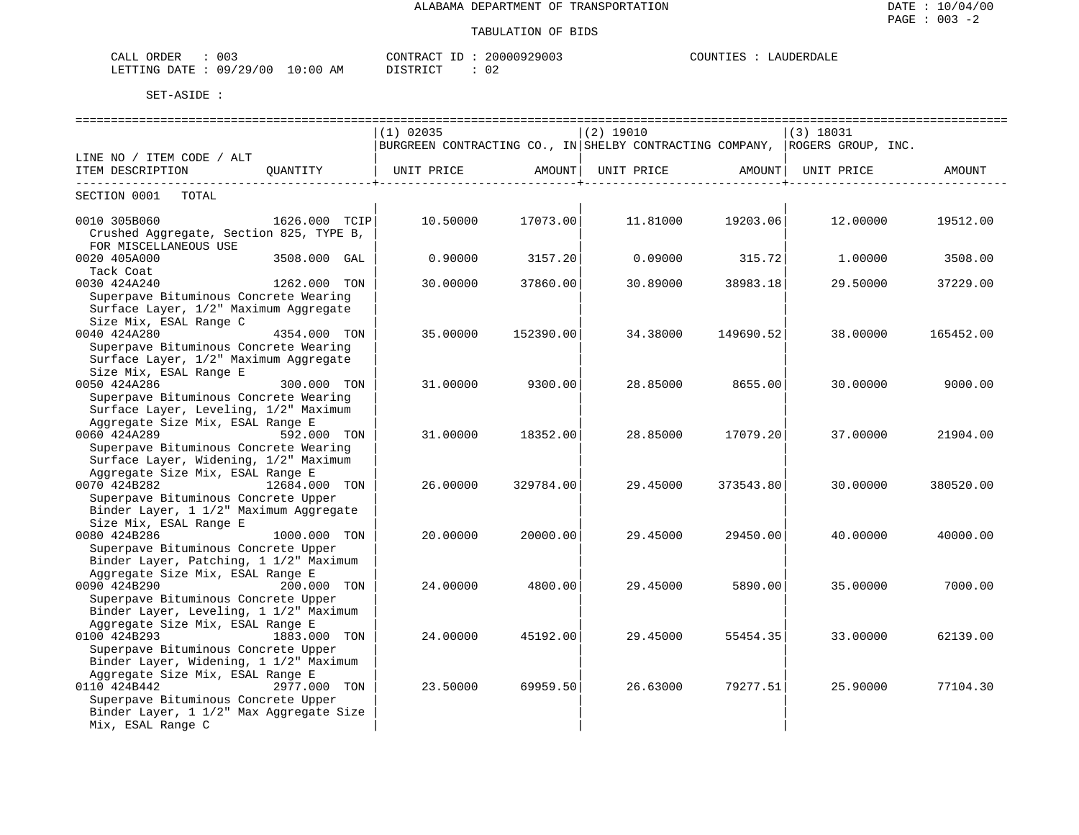| ORDER<br>CALL          | 003 |            | CONTRACT<br>TD | 20000929003  | COUNTIES<br>LAUDERDALE |
|------------------------|-----|------------|----------------|--------------|------------------------|
| LETTING DATE: 09/29/00 |     | $10:00$ AM | DISTRICT       | $\cap$<br>∪∠ |                        |

|                                                                            |               |                   |                           |                                                                              |                          | ===================== |                   |
|----------------------------------------------------------------------------|---------------|-------------------|---------------------------|------------------------------------------------------------------------------|--------------------------|-----------------------|-------------------|
|                                                                            |               | $(1)$ 02035       |                           | $(2)$ 19010                                                                  |                          | $(3)$ 18031           |                   |
|                                                                            |               |                   |                           | BURGREEN CONTRACTING CO., IN SHELBY CONTRACTING COMPANY,  ROGERS GROUP, INC. |                          |                       |                   |
| LINE NO / ITEM CODE / ALT                                                  |               |                   |                           |                                                                              |                          |                       |                   |
| ITEM DESCRIPTION QUANTITY<br>-------------------------------               |               | UNIT PRICE AMOUNT | -----------------+------- | UNIT PRICE AMOUNT                                                            | ------------------+----- |                       | UNIT PRICE AMOUNT |
| SECTION 0001 TOTAL                                                         |               |                   |                           |                                                                              |                          |                       |                   |
| $1626.000$ TCIP<br>0010 305B060                                            |               | 10.50000          | 17073.00                  | 11.81000                                                                     | 19203.06                 | 12.00000              | 19512.00          |
| Crushed Aggregate, Section 825, TYPE B,                                    |               |                   |                           |                                                                              |                          |                       |                   |
| FOR MISCELLANEOUS USE                                                      |               |                   |                           |                                                                              |                          |                       |                   |
| 0020 405A000                                                               | 3508.000 GAL  | 0.90000           | 3157.20                   | $0.09000$ 315.72                                                             |                          | 1.00000               | 3508.00           |
| Tack Coat                                                                  |               |                   |                           |                                                                              |                          |                       |                   |
| 1262.000 TON<br>0030 424A240                                               |               | 30.00000          | 37860.00                  | 30.89000                                                                     | 38983.18                 | 29.50000              | 37229.00          |
| Superpave Bituminous Concrete Wearing                                      |               |                   |                           |                                                                              |                          |                       |                   |
| Surface Layer, 1/2" Maximum Aggregate                                      |               |                   |                           |                                                                              |                          |                       |                   |
| Size Mix, ESAL Range C                                                     |               |                   |                           |                                                                              |                          |                       |                   |
| 0040 424A280                                                               | 4354.000 TON  | 35.00000          | 152390.00                 | 34.38000                                                                     | 149690.52                | 38.00000              | 165452.00         |
| Superpave Bituminous Concrete Wearing                                      |               |                   |                           |                                                                              |                          |                       |                   |
| Surface Layer, 1/2" Maximum Aggregate                                      |               |                   |                           |                                                                              |                          |                       |                   |
| Size Mix, ESAL Range E<br>0050 424A286                                     | 300.000 TON   | 31,00000          | 9300.00                   | 28.85000                                                                     | 8655.00                  | 30.00000              | 9000.00           |
| Superpave Bituminous Concrete Wearing                                      |               |                   |                           |                                                                              |                          |                       |                   |
| Surface Layer, Leveling, 1/2" Maximum                                      |               |                   |                           |                                                                              |                          |                       |                   |
| Aggregate Size Mix, ESAL Range E                                           |               |                   |                           |                                                                              |                          |                       |                   |
| 0060 424A289                                                               | $592.000$ TON | 31,00000          | 18352.00                  | 28.85000                                                                     | 17079.20                 | 37.00000              | 21904.00          |
| Superpave Bituminous Concrete Wearing                                      |               |                   |                           |                                                                              |                          |                       |                   |
| Surface Layer, Widening, 1/2" Maximum                                      |               |                   |                           |                                                                              |                          |                       |                   |
| Aggregate Size Mix, ESAL Range E                                           |               |                   |                           |                                                                              |                          |                       |                   |
| 0070 424B282                                                               | 12684.000 TON | 26.00000          | 329784.00                 | 29.45000                                                                     | 373543.80                | 30.00000              | 380520.00         |
| Superpave Bituminous Concrete Upper                                        |               |                   |                           |                                                                              |                          |                       |                   |
| Binder Layer, 1 1/2" Maximum Aggregate                                     |               |                   |                           |                                                                              |                          |                       |                   |
| Size Mix, ESAL Range E                                                     |               |                   |                           |                                                                              |                          |                       |                   |
| 0080 424B286                                                               | 1000.000 TON  | 20.00000          | 20000.00                  | 29.45000                                                                     | 29450.00                 | 40.00000              | 40000.00          |
| Superpave Bituminous Concrete Upper                                        |               |                   |                           |                                                                              |                          |                       |                   |
| Binder Layer, Patching, 1 1/2" Maximum                                     |               |                   |                           |                                                                              |                          |                       |                   |
| Aggregate Size Mix, ESAL Range E                                           |               |                   |                           |                                                                              |                          |                       |                   |
| 0090 424B290                                                               | 200.000 TON   | 24.00000          | 4800.00                   | 29.45000                                                                     | 5890.00                  | 35.00000              | 7000.00           |
| Superpave Bituminous Concrete Upper                                        |               |                   |                           |                                                                              |                          |                       |                   |
| Binder Layer, Leveling, 1 1/2" Maximum<br>Aggregate Size Mix, ESAL Range E |               |                   |                           |                                                                              |                          |                       |                   |
| 0100 424B293                                                               | 1883.000 TON  | 24.00000          | 45192.00                  | 29.45000                                                                     | 55454.35                 | 33.00000              | 62139.00          |
| Superpave Bituminous Concrete Upper                                        |               |                   |                           |                                                                              |                          |                       |                   |
| Binder Layer, Widening, 1 1/2" Maximum                                     |               |                   |                           |                                                                              |                          |                       |                   |
| Aggregate Size Mix, ESAL Range E                                           |               |                   |                           |                                                                              |                          |                       |                   |
| 0110 424B442                                                               | 2977.000 TON  | 23.50000          | 69959.50                  | 26.63000                                                                     | 79277.51                 | 25.90000              | 77104.30          |
| Superpave Bituminous Concrete Upper                                        |               |                   |                           |                                                                              |                          |                       |                   |
| Binder Layer, 1 1/2" Max Aggregate Size                                    |               |                   |                           |                                                                              |                          |                       |                   |
| Mix, ESAL Range C                                                          |               |                   |                           |                                                                              |                          |                       |                   |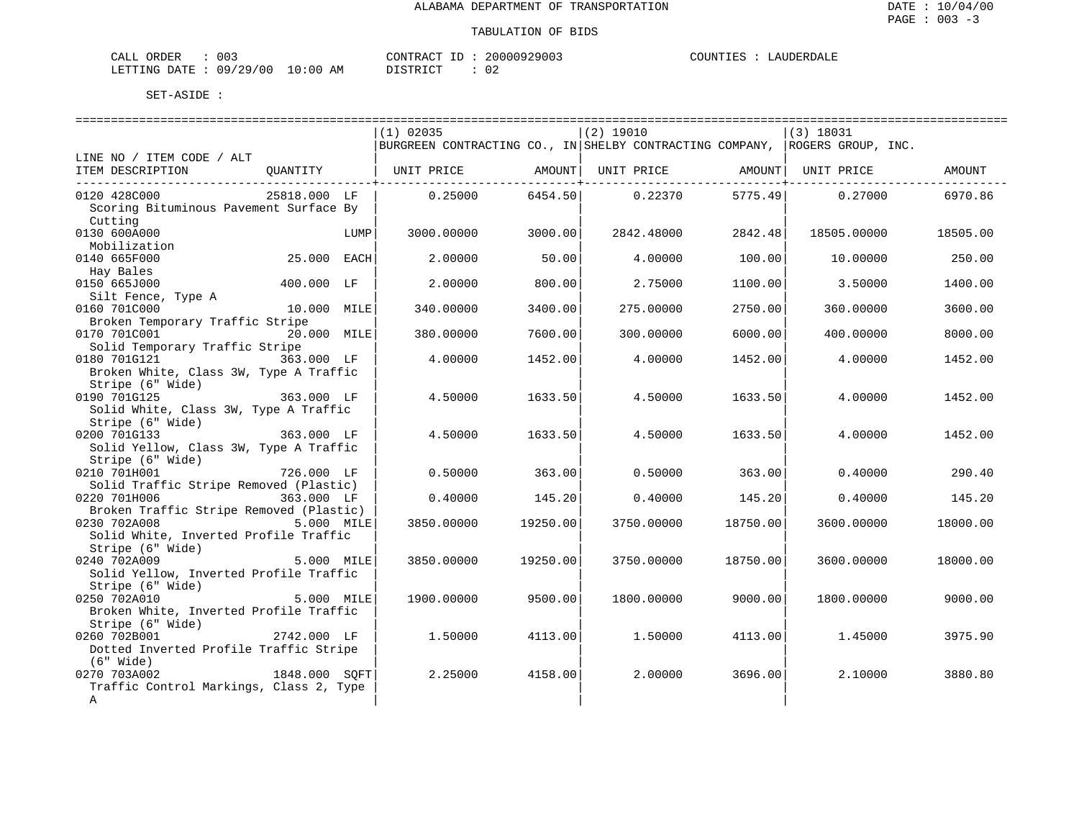LAUDERDALE

| 003<br>JRDER<br>$\sim$ $ -$<br>-'ALL |                       | CONTR)<br>ID<br>TRAC: | 7900. | $\sim$ $\sim$ $\sim$ $\sim$ $\sim$ $\sim$ $\sim$ | <sup>י</sup> "יראה אחונ <sub>ם</sub> |
|--------------------------------------|-----------------------|-----------------------|-------|--------------------------------------------------|--------------------------------------|
| $\cap$ $\Omega$ .<br>DATE<br>LETTING | .0:00<br>/29/00<br>ΑM | . J                   | ◡▵    |                                                  |                                      |

|                                                        |               |      | $(1)$ 02035                                                                 |            | $(2)$ 19010 |          | $(3)$ 18031         |          |
|--------------------------------------------------------|---------------|------|-----------------------------------------------------------------------------|------------|-------------|----------|---------------------|----------|
|                                                        |               |      | BURGREEN CONTRACTING CO., IN SHELBY CONTRACTING COMPANY, ROGERS GROUP, INC. |            |             |          |                     |          |
| LINE NO / ITEM CODE / ALT                              |               |      |                                                                             |            |             |          |                     |          |
| ITEM DESCRIPTION                                       | OUANTITY      |      | UNIT PRICE                                                                  | AMOUNT     | UNIT PRICE  |          | AMOUNT   UNIT PRICE | AMOUNT   |
|                                                        |               |      |                                                                             | ---------- |             |          |                     |          |
| 0120 428C000<br>Scoring Bituminous Pavement Surface By | 25818.000 LF  |      | 0.25000                                                                     | 6454.50    | 0.22370     | 5775.49  | 0.27000             | 6970.86  |
| Cutting                                                |               |      |                                                                             |            |             |          |                     |          |
| 0130 600A000                                           |               | LUMP | 3000.00000                                                                  | 3000.00    | 2842.48000  | 2842.48  | 18505.00000         | 18505.00 |
| Mobilization                                           |               |      |                                                                             | 50.00      |             |          |                     |          |
| 0140 665F000<br>Hay Bales                              | 25.000 EACH   |      | 2.00000                                                                     |            | 4.00000     | 100.00   | 10.00000            | 250.00   |
| 0150 665J000                                           | 400.000 LF    |      | 2.00000                                                                     | 800.00     | 2.75000     | 1100.00  | 3.50000             | 1400.00  |
| Silt Fence, Type A                                     |               |      |                                                                             |            |             |          |                     |          |
| 0160 701C000                                           | 10.000 MILE   |      | 340.00000                                                                   | 3400.00    | 275.00000   | 2750.00  | 360.00000           | 3600.00  |
| Broken Temporary Traffic Stripe<br>0170 701C001        | 20.000 MILE   |      | 380.00000                                                                   | 7600.00    | 300.00000   | 6000.00  | 400.00000           | 8000.00  |
| Solid Temporary Traffic Stripe                         |               |      |                                                                             |            |             |          |                     |          |
| 0180 701G121                                           | 363.000 LF    |      | 4.00000                                                                     | 1452.00    | 4.00000     | 1452.00  | 4.00000             | 1452.00  |
| Broken White, Class 3W, Type A Traffic                 |               |      |                                                                             |            |             |          |                     |          |
| Stripe (6" Wide)                                       |               |      |                                                                             |            |             |          |                     |          |
| 0190 701G125                                           | 363.000 LF    |      | 4.50000                                                                     | 1633.50    | 4.50000     | 1633.50  | 4.00000             | 1452.00  |
| Solid White, Class 3W, Type A Traffic                  |               |      |                                                                             |            |             |          |                     |          |
| Stripe (6" Wide)                                       |               |      |                                                                             |            |             |          |                     |          |
| 0200 701G133                                           | 363.000 LF    |      | 4.50000                                                                     | 1633.50    | 4.50000     | 1633.50  | 4.00000             | 1452.00  |
| Solid Yellow, Class 3W, Type A Traffic                 |               |      |                                                                             |            |             |          |                     |          |
| Stripe (6" Wide)                                       |               |      |                                                                             |            |             |          |                     |          |
| 0210 701H001                                           | 726.000 LF    |      | 0.50000                                                                     | 363.00     | 0.50000     | 363.00   | 0.40000             | 290.40   |
| Solid Traffic Stripe Removed (Plastic)                 |               |      |                                                                             |            |             |          |                     |          |
| 0220 701H006                                           | 363.000 LF    |      | 0.40000                                                                     | 145.20     | 0.40000     | 145.20   | 0.40000             | 145.20   |
| Broken Traffic Stripe Removed (Plastic)                |               |      |                                                                             |            |             |          |                     |          |
| 0230 702A008                                           | 5.000 MILE    |      | 3850.00000                                                                  | 19250.00   | 3750.00000  | 18750.00 | 3600.00000          | 18000.00 |
| Solid White, Inverted Profile Traffic                  |               |      |                                                                             |            |             |          |                     |          |
| Stripe (6" Wide)                                       |               |      |                                                                             |            |             |          |                     |          |
| 0240 702A009                                           | 5.000 MILE    |      | 3850.00000                                                                  | 19250.00   | 3750.00000  | 18750.00 | 3600.00000          | 18000.00 |
| Solid Yellow, Inverted Profile Traffic                 |               |      |                                                                             |            |             |          |                     |          |
| Stripe (6" Wide)                                       |               |      |                                                                             |            |             |          |                     |          |
| 0250 702A010                                           | 5.000 MILE    |      | 1900.00000                                                                  | 9500.00    | 1800.00000  | 9000.00  | 1800.00000          | 9000.00  |
| Broken White, Inverted Profile Traffic                 |               |      |                                                                             |            |             |          |                     |          |
| Stripe (6" Wide)                                       |               |      |                                                                             |            |             |          |                     |          |
| 0260 702B001                                           | 2742.000 LF   |      | 1.50000                                                                     | 4113.00    | 1.50000     | 4113.00  | 1.45000             | 3975.90  |
| Dotted Inverted Profile Traffic Stripe                 |               |      |                                                                             |            |             |          |                     |          |
| $(6"$ Wide)<br>0270 703A002                            | 1848.000 SOFT |      | 2.25000                                                                     | 4158.00    | 2,00000     | 3696.00  | 2,10000             | 3880.80  |
| Traffic Control Markings, Class 2, Type                |               |      |                                                                             |            |             |          |                     |          |
| Α                                                      |               |      |                                                                             |            |             |          |                     |          |
|                                                        |               |      |                                                                             |            |             |          |                     |          |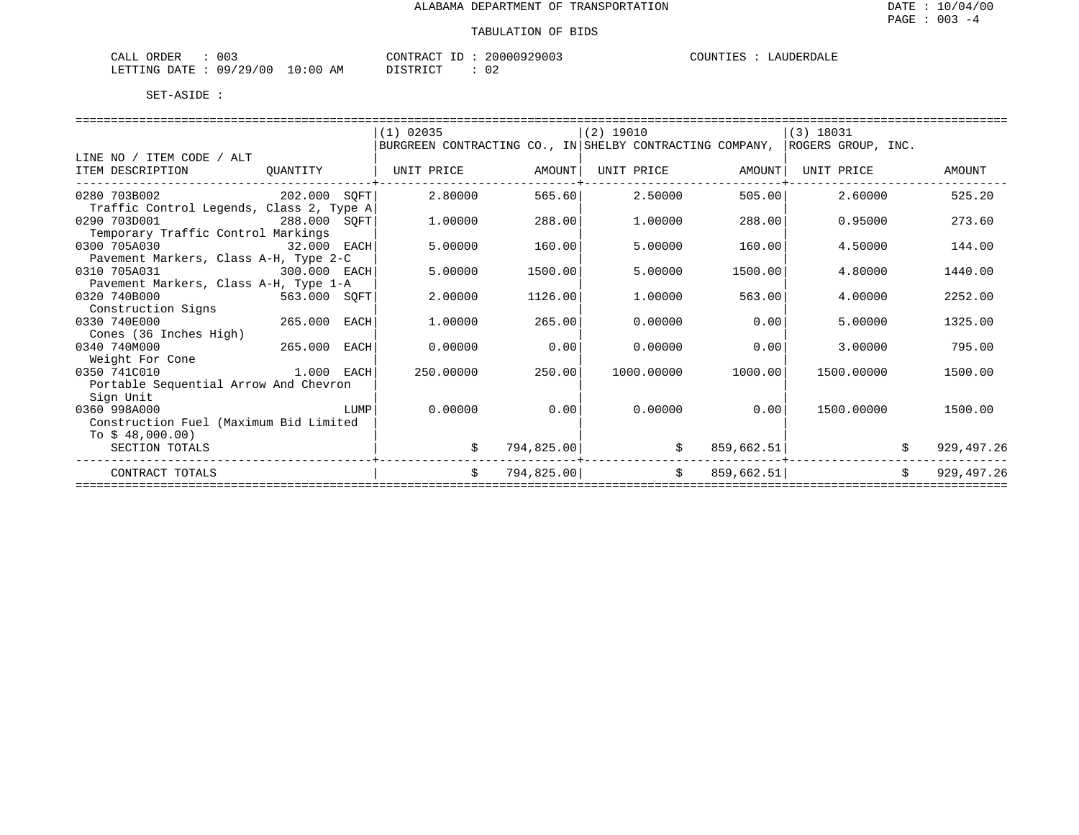| $\cap$ $\cap$ $\sim$<br>ORDER<br>' بـ∆A_<br>u u s                    |            | $\gamma$ ONTR.<br>$\sim$ | 929003<br>? በ በ | $\ldots$ in the property $\tau$<br>יז הד<br>$\overline{1}$ |
|----------------------------------------------------------------------|------------|--------------------------|-----------------|------------------------------------------------------------|
| 0 <sub>0</sub><br>$\sim$ $\sim$<br>.ETTTIMG<br>״ת ∆רו<br>וט ו<br>. ن | AΜ<br>÷00. | $T$ $C1D$<br>חחר         | ົ<br>◡∠         |                                                            |

|                                          |              |      | $(1)$ 02035                                                                 |            | (2) 19010  |            | $(3)$ 18031 |    |             |
|------------------------------------------|--------------|------|-----------------------------------------------------------------------------|------------|------------|------------|-------------|----|-------------|
|                                          |              |      | BURGREEN CONTRACTING CO., IN SHELBY CONTRACTING COMPANY, ROGERS GROUP, INC. |            |            |            |             |    |             |
| LINE NO / ITEM CODE / ALT                |              |      |                                                                             |            |            |            |             |    |             |
| ITEM DESCRIPTION                         | QUANTITY     |      | UNIT PRICE                                                                  | AMOUNT     | UNIT PRICE | AMOUNT     | UNIT PRICE  |    | AMOUNT      |
|                                          |              |      |                                                                             |            |            |            |             |    |             |
| 0280 703B002                             | 202.000 SOFT |      | 2.80000                                                                     | 565.60     | 2.50000    | 505.00     | 2.60000     |    | 525.20      |
| Traffic Control Legends, Class 2, Type A |              |      |                                                                             |            |            |            |             |    |             |
| 0290 703D001                             | 288.000 SOFT |      | 1,00000                                                                     | 288.00     | 1,00000    | 288.00     | 0.95000     |    | 273.60      |
| Temporary Traffic Control Markings       |              |      |                                                                             |            |            |            |             |    |             |
| 0300 705A030<br>32.000 EACH              |              |      | 5.00000                                                                     | 160.00     | 5,00000    | 160.00     | 4.50000     |    | 144.00      |
| Pavement Markers, Class A-H, Type 2-C    |              |      |                                                                             |            |            |            |             |    |             |
| 0310 705A031                             | 300.000 EACH |      | 5.00000                                                                     | 1500.00    | 5.00000    | 1500.00    | 4.80000     |    | 1440.00     |
| Pavement Markers, Class A-H, Type 1-A    |              |      |                                                                             |            |            |            |             |    |             |
| 0320 740B000                             | 563.000 SOFT |      | 2,00000                                                                     | 1126.00    | 1,00000    | 563.00     | 4.00000     |    | 2252.00     |
| Construction Signs                       |              |      |                                                                             |            |            |            |             |    |             |
| 0330 740E000                             | 265.000      | EACH | 1,00000                                                                     | 265.00     | 0.00000    | 0.00       | 5.00000     |    | 1325.00     |
| Cones (36 Inches High)                   |              |      |                                                                             |            |            |            |             |    |             |
| 0340 740M000                             | 265.000      | EACH | 0.00000                                                                     | 0.00       | 0.00000    | 0.00       | 3,00000     |    | 795.00      |
| Weight For Cone                          |              |      |                                                                             |            |            |            |             |    |             |
| 0350 741C010                             | $1.000$ EACH |      | 250.00000                                                                   | 250.00     | 1000.00000 | 1000.00    | 1500.00000  |    | 1500.00     |
| Portable Sequential Arrow And Chevron    |              |      |                                                                             |            |            |            |             |    |             |
| Sign Unit                                |              |      |                                                                             |            |            |            |             |    |             |
| 0360 998A000                             |              | LUMP | 0.00000                                                                     | 0.00       | 0.00000    | 0.00       | 1500.00000  |    | 1500.00     |
| Construction Fuel (Maximum Bid Limited   |              |      |                                                                             |            |            |            |             |    |             |
| To $$48,000.00)$                         |              |      |                                                                             |            |            |            |             |    |             |
| SECTION TOTALS                           |              |      | \$                                                                          | 794,825.00 |            | 859,662.51 |             |    | 929, 497.26 |
| CONTRACT TOTALS                          |              |      | \$                                                                          | 794,825.00 | \$         | 859,662.51 |             | Ŝ. | 929, 497.26 |
|                                          |              |      |                                                                             |            |            |            |             |    |             |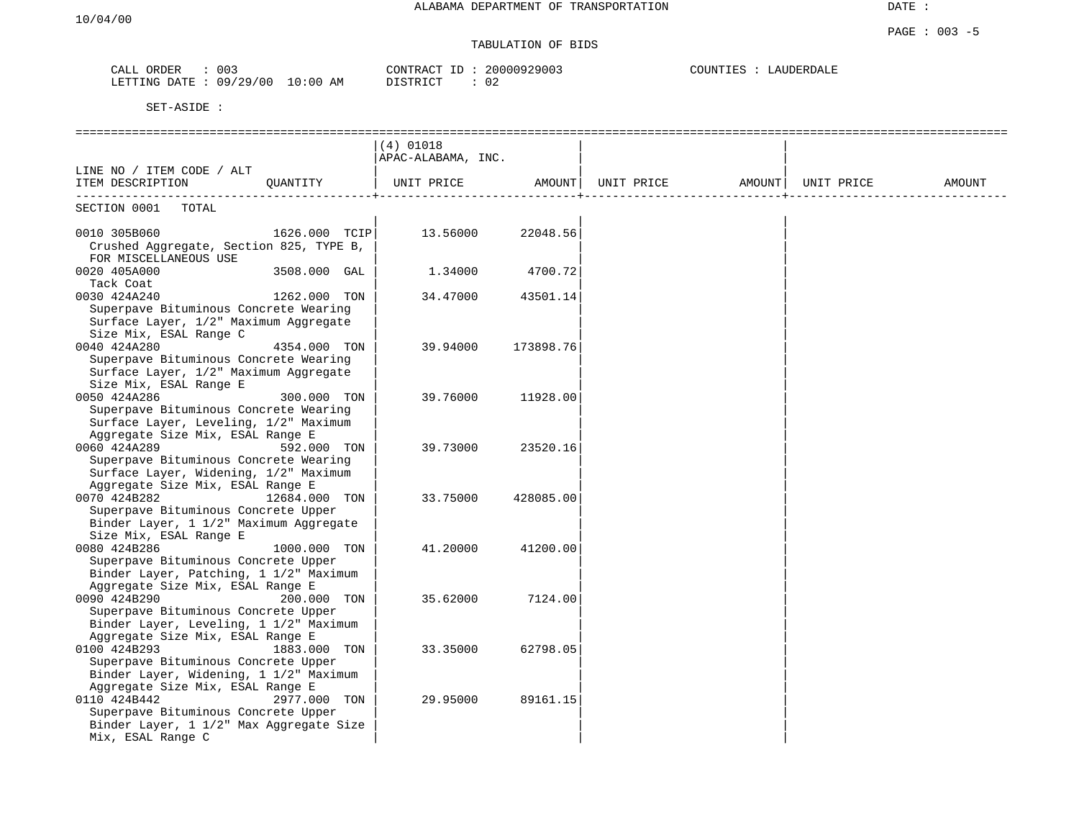# TABULATION OF BIDS

| 003<br>ORDER<br>ו בי<br>ىلىلەت           | CONTR<br>'R Δ              | 200<br>`929005  | <b>TINE</b><br>IDEI<br>''ا ا∆…<br>$\overline{A}$<br>اسا نظامت اله |
|------------------------------------------|----------------------------|-----------------|-------------------------------------------------------------------|
| LETTINC<br>09<br>'nn<br>חות ה<br>$'$ 29, | : 00<br>חת סידים דרו<br>ΆM | $\sim$<br>- U 4 |                                                                   |

|                                                                  |               | $(4)$ 01018        |           |                                                                                      |  |        |
|------------------------------------------------------------------|---------------|--------------------|-----------|--------------------------------------------------------------------------------------|--|--------|
|                                                                  |               | APAC-ALABAMA, INC. |           |                                                                                      |  |        |
| LINE NO / ITEM CODE / ALT                                        |               |                    |           |                                                                                      |  |        |
| ITEM DESCRIPTION                                                 | QUANTITY      |                    |           | UNIT PRICE                 AMOUNT    UNIT PRICE                 AMOUNT    UNIT PRICE |  | AMOUNT |
| SECTION 0001 TOTAL                                               |               |                    |           |                                                                                      |  |        |
|                                                                  |               |                    |           |                                                                                      |  |        |
| 0010 305B060                                                     | 1626.000 TCIP | 13.56000           | 22048.56  |                                                                                      |  |        |
| Crushed Aggregate, Section 825, TYPE B,                          |               |                    |           |                                                                                      |  |        |
| FOR MISCELLANEOUS USE                                            |               |                    |           |                                                                                      |  |        |
| 0020 405A000                                                     | 3508.000 GAL  | 1.34000            | 4700.72   |                                                                                      |  |        |
| Tack Coat                                                        |               |                    |           |                                                                                      |  |        |
| 0030 424A240                                                     | 1262.000 TON  | 34.47000           | 43501.14  |                                                                                      |  |        |
| Superpave Bituminous Concrete Wearing                            |               |                    |           |                                                                                      |  |        |
| Surface Layer, 1/2" Maximum Aggregate<br>Size Mix, ESAL Range C  |               |                    |           |                                                                                      |  |        |
| 0040 424A280                                                     | 4354.000 TON  | 39.94000           | 173898.76 |                                                                                      |  |        |
| Superpave Bituminous Concrete Wearing                            |               |                    |           |                                                                                      |  |        |
| Surface Layer, 1/2" Maximum Aggregate                            |               |                    |           |                                                                                      |  |        |
| Size Mix, ESAL Range E                                           |               |                    |           |                                                                                      |  |        |
| 0050 424A286                                                     | 300.000 TON   | 39.76000           | 11928.00  |                                                                                      |  |        |
| Superpave Bituminous Concrete Wearing                            |               |                    |           |                                                                                      |  |        |
| Surface Layer, Leveling, 1/2" Maximum                            |               |                    |           |                                                                                      |  |        |
| Aggregate Size Mix, ESAL Range E                                 |               |                    |           |                                                                                      |  |        |
| 0060 424A289                                                     | 592.000 TON   | 39.73000           | 23520.16  |                                                                                      |  |        |
| Superpave Bituminous Concrete Wearing                            |               |                    |           |                                                                                      |  |        |
| Surface Layer, Widening, 1/2" Maximum                            |               |                    |           |                                                                                      |  |        |
| Aggregate Size Mix, ESAL Range E                                 |               |                    |           |                                                                                      |  |        |
| 0070 424B282                                                     | 12684.000 TON | 33.75000           | 428085.00 |                                                                                      |  |        |
| Superpave Bituminous Concrete Upper                              |               |                    |           |                                                                                      |  |        |
| Binder Layer, 1 1/2" Maximum Aggregate<br>Size Mix, ESAL Range E |               |                    |           |                                                                                      |  |        |
| 0080 424B286                                                     | 1000.000 TON  | 41.20000           | 41200.00  |                                                                                      |  |        |
| Superpave Bituminous Concrete Upper                              |               |                    |           |                                                                                      |  |        |
| Binder Layer, Patching, 1 1/2" Maximum                           |               |                    |           |                                                                                      |  |        |
| Aggregate Size Mix, ESAL Range E                                 |               |                    |           |                                                                                      |  |        |
| 0090 424B290                                                     | 200.000 TON   | 35.62000           | 7124.00   |                                                                                      |  |        |
| Superpave Bituminous Concrete Upper                              |               |                    |           |                                                                                      |  |        |
| Binder Layer, Leveling, 1 1/2" Maximum                           |               |                    |           |                                                                                      |  |        |
| Aggregate Size Mix, ESAL Range E                                 |               |                    |           |                                                                                      |  |        |
| 0100 424B293                                                     | 1883.000 TON  | 33.35000           | 62798.05  |                                                                                      |  |        |
| Superpave Bituminous Concrete Upper                              |               |                    |           |                                                                                      |  |        |
| Binder Layer, Widening, 1 1/2" Maximum                           |               |                    |           |                                                                                      |  |        |
| Aggregate Size Mix, ESAL Range E                                 |               |                    |           |                                                                                      |  |        |
| 0110 424B442                                                     | 2977.000 TON  | 29.95000           | 89161.15  |                                                                                      |  |        |
| Superpave Bituminous Concrete Upper                              |               |                    |           |                                                                                      |  |        |
| Binder Layer, 1 1/2" Max Aggregate Size<br>Mix, ESAL Range C     |               |                    |           |                                                                                      |  |        |
|                                                                  |               |                    |           |                                                                                      |  |        |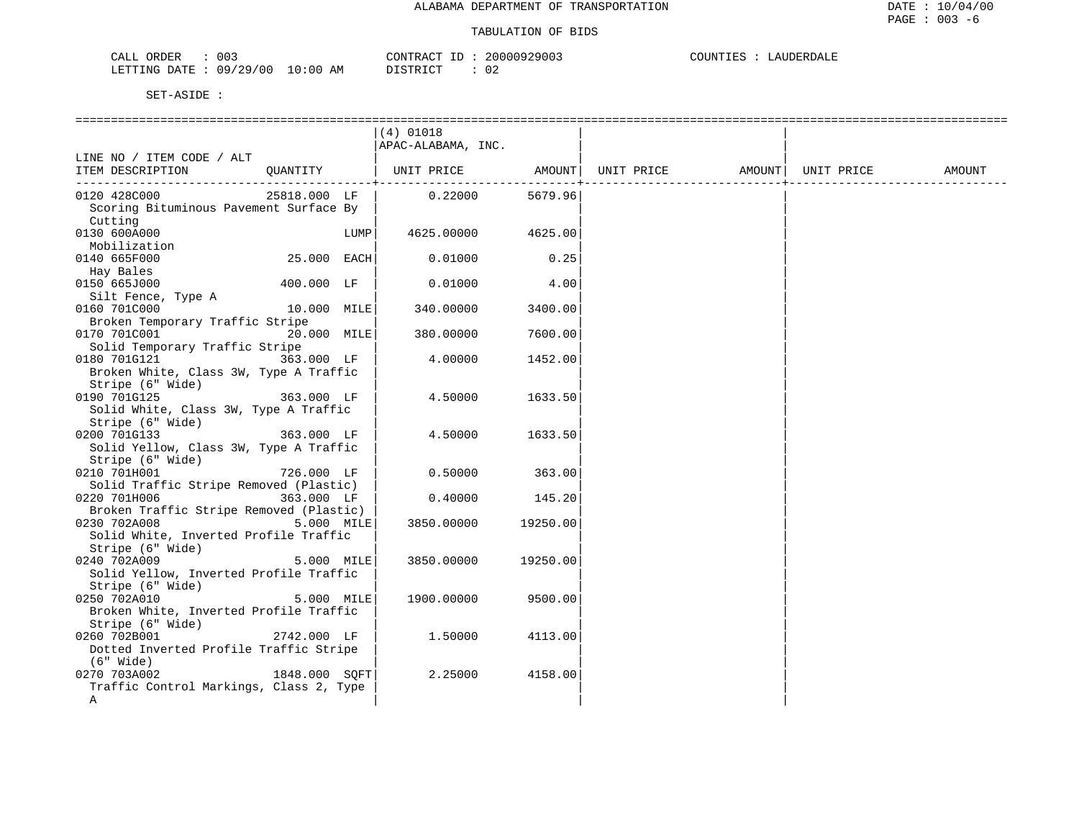| 003<br>ORDER<br>CALL                                                                                                                           |           | TONTRACT       | 20000929003 | $\ldots$ ERDAT $\top$<br><b>COUNTIL</b><br>اا ا ۱۵،<br>----- |
|------------------------------------------------------------------------------------------------------------------------------------------------|-----------|----------------|-------------|--------------------------------------------------------------|
| 09/29/00<br>LETTING<br>DATE<br>the contract of the contract of the contract of the contract of the contract of the contract of the contract of | AΜ<br>:00 | די איד פידי פר | ັັ          |                                                              |

|                                         |               |      | $(4)$ 01018        |                |                                                             |  |        |
|-----------------------------------------|---------------|------|--------------------|----------------|-------------------------------------------------------------|--|--------|
|                                         |               |      | APAC-ALABAMA, INC. |                |                                                             |  |        |
| LINE NO / ITEM CODE / ALT               |               |      |                    |                |                                                             |  |        |
| ITEM DESCRIPTION                        |               |      |                    |                | QUANTITY   UNIT PRICE AMOUNT  UNIT PRICE AMOUNT  UNIT PRICE |  | AMOUNT |
|                                         |               |      |                    | -------------- |                                                             |  |        |
| 0120 428C000                            | 25818.000 LF  |      | 0.22000            | 5679.96        |                                                             |  |        |
| Scoring Bituminous Pavement Surface By  |               |      |                    |                |                                                             |  |        |
| Cutting                                 |               |      |                    |                |                                                             |  |        |
| 0130 600A000                            |               | LUMP | 4625.00000         | 4625.00        |                                                             |  |        |
| Mobilization                            |               |      |                    |                |                                                             |  |        |
| 0140 665F000                            | 25.000 EACH   |      | 0.01000            | 0.25           |                                                             |  |        |
| Hay Bales                               |               |      |                    |                |                                                             |  |        |
| 0150 665J000                            | 400.000 LF    |      | 0.01000            | 4.00           |                                                             |  |        |
|                                         |               |      |                    |                |                                                             |  |        |
| Silt Fence, Type A                      | 10.000 MILE   |      |                    | 3400.00        |                                                             |  |        |
| 0160 701C000                            |               |      | 340.00000          |                |                                                             |  |        |
| Broken Temporary Traffic Stripe         |               |      |                    |                |                                                             |  |        |
| 0170 701C001                            | 20.000 MILE   |      | 380.00000          | 7600.00        |                                                             |  |        |
| Solid Temporary Traffic Stripe          |               |      |                    |                |                                                             |  |        |
| 0180 701G121                            | 363.000 LF    |      | 4.00000            | 1452.00        |                                                             |  |        |
| Broken White, Class 3W, Type A Traffic  |               |      |                    |                |                                                             |  |        |
| Stripe (6" Wide)                        |               |      |                    |                |                                                             |  |        |
| 0190 701G125                            | 363.000 LF    |      | 4.50000            | 1633.50        |                                                             |  |        |
| Solid White, Class 3W, Type A Traffic   |               |      |                    |                |                                                             |  |        |
| Stripe (6" Wide)                        |               |      |                    |                |                                                             |  |        |
| 0200 701G133                            | 363.000 LF    |      | 4.50000            | 1633.50        |                                                             |  |        |
| Solid Yellow, Class 3W, Type A Traffic  |               |      |                    |                |                                                             |  |        |
| Stripe (6" Wide)                        |               |      |                    |                |                                                             |  |        |
| 0210 701H001                            | 726.000 LF    |      | 0.50000            | 363.00         |                                                             |  |        |
| Solid Traffic Stripe Removed (Plastic)  |               |      |                    |                |                                                             |  |        |
| 0220 701H006                            | 363.000 LF    |      | 0.40000            | 145.20         |                                                             |  |        |
| Broken Traffic Stripe Removed (Plastic) |               |      |                    |                |                                                             |  |        |
| 0230 702A008                            | 5.000 MILE    |      | 3850.00000         | 19250.00       |                                                             |  |        |
| Solid White, Inverted Profile Traffic   |               |      |                    |                |                                                             |  |        |
| Stripe (6" Wide)                        |               |      |                    |                |                                                             |  |        |
| 0240 702A009                            | 5.000 MILE    |      | 3850.00000         | 19250.00       |                                                             |  |        |
| Solid Yellow, Inverted Profile Traffic  |               |      |                    |                |                                                             |  |        |
| Stripe (6" Wide)                        |               |      |                    |                |                                                             |  |        |
| 0250 702A010                            | 5.000 MILE    |      | 1900.00000         | 9500.00        |                                                             |  |        |
| Broken White, Inverted Profile Traffic  |               |      |                    |                |                                                             |  |        |
|                                         |               |      |                    |                |                                                             |  |        |
| Stripe (6" Wide)                        |               |      |                    |                |                                                             |  |        |
| 0260 702B001                            | 2742.000 LF   |      | 1,50000            | 4113.00        |                                                             |  |        |
| Dotted Inverted Profile Traffic Stripe  |               |      |                    |                |                                                             |  |        |
| $(6"$ Wide)                             |               |      |                    |                |                                                             |  |        |
| 0270 703A002                            | 1848.000 SOFT |      | 2.25000            | 4158.00        |                                                             |  |        |
| Traffic Control Markings, Class 2, Type |               |      |                    |                |                                                             |  |        |
| Α                                       |               |      |                    |                |                                                             |  |        |
|                                         |               |      |                    |                |                                                             |  |        |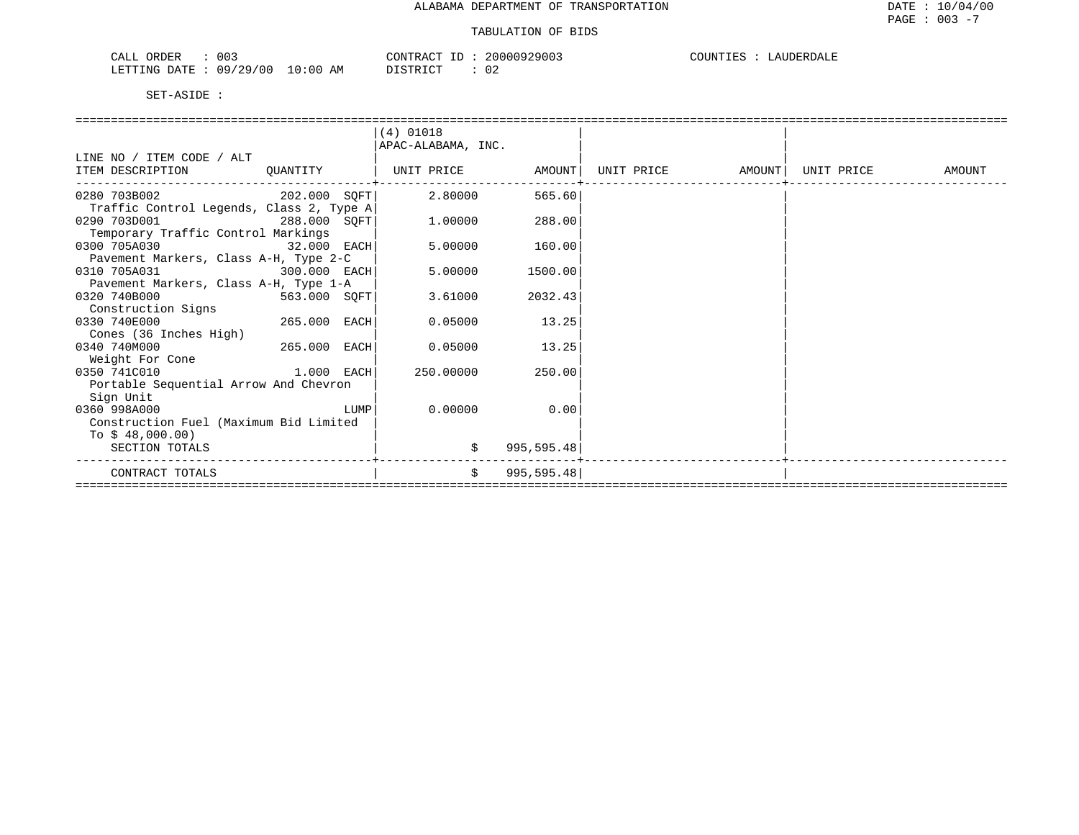| 003<br>CALL ORDER               | CONTRACT | 20000929003 | COUNTIES | LAUDERDALE |
|---------------------------------|----------|-------------|----------|------------|
| LETTING DATE: 09/29/00 10:00 AM | DISTRICT | . U 4       |          |            |

|                                          |              |      | $(4)$ 01018        |               |                                |  |               |
|------------------------------------------|--------------|------|--------------------|---------------|--------------------------------|--|---------------|
|                                          |              |      | APAC-ALABAMA, INC. |               |                                |  |               |
| LINE NO / ITEM CODE / ALT                |              |      |                    |               |                                |  |               |
| ITEM DESCRIPTION                         | QUANTITY     |      | UNIT PRICE AMOUNT  |               | UNIT PRICE AMOUNT   UNIT PRICE |  | <b>AMOUNT</b> |
| 0280 703B002 202.000 SQFT                |              |      | 2.80000            | 565.60        |                                |  |               |
| Traffic Control Legends, Class 2, Type A |              |      |                    |               |                                |  |               |
| 0290 703D001<br>288.000 SQFT             |              |      | 1.00000            | 288.00        |                                |  |               |
| Temporary Traffic Control Markings       |              |      |                    |               |                                |  |               |
| 0300 705A030<br>$32.000$ EACH            |              |      | 5.00000            | 160.00        |                                |  |               |
| Pavement Markers, Class A-H, Type 2-C    |              |      |                    |               |                                |  |               |
| 0310 705A031<br>300.000 EACH             |              |      | 5.00000            | 1500.00       |                                |  |               |
| Pavement Markers, Class A-H, Type 1-A    |              |      |                    |               |                                |  |               |
| 0320 740B000<br>563.000 SOFT             |              |      | 3.61000            | 2032.43       |                                |  |               |
| Construction Signs                       |              |      |                    |               |                                |  |               |
| 265.000 EACH<br>0330 740E000             |              |      | 0.05000            | 13.25         |                                |  |               |
| Cones (36 Inches High)                   |              |      |                    |               |                                |  |               |
| 0340 740M000                             | 265.000 EACH |      | 0.05000            | 13.25         |                                |  |               |
| Weight For Cone                          |              |      |                    |               |                                |  |               |
| 1.000 EACH<br>0350 741C010               |              |      | 250.00000          | 250.00        |                                |  |               |
| Portable Sequential Arrow And Chevron    |              |      |                    |               |                                |  |               |
| Sign Unit                                |              |      |                    |               |                                |  |               |
| 0360 998A000                             |              | LUMP | 0.00000            | 0.00          |                                |  |               |
| Construction Fuel (Maximum Bid Limited   |              |      |                    |               |                                |  |               |
| To $$48,000.00)$                         |              |      |                    |               |                                |  |               |
| SECTION TOTALS                           |              |      | \$                 | 995,595.48    |                                |  |               |
| CONTRACT TOTALS                          |              |      |                    | \$995,595.48] |                                |  |               |
| =================================        |              |      |                    |               |                                |  |               |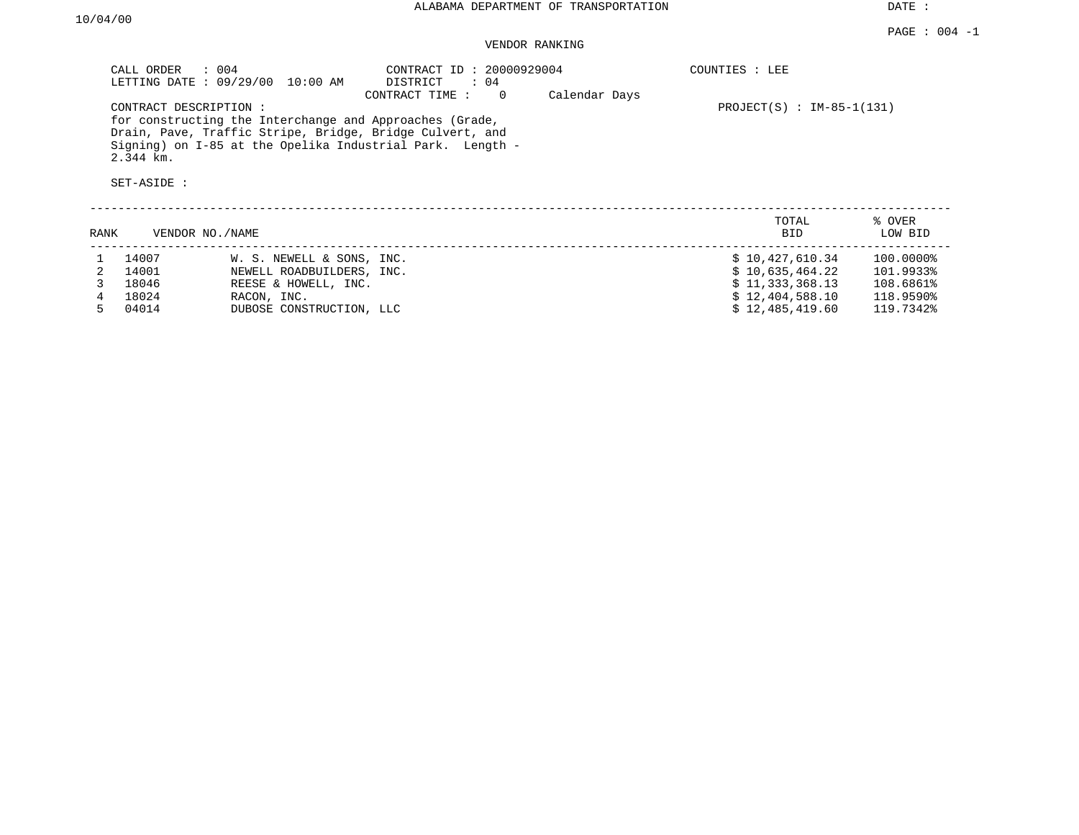## VENDOR RANKING

|      | CALL ORDER : 004<br>CONTRACT DESCRIPTION:<br>$2.344$ km.<br>SET-ASIDE : | LETTING DATE : 09/29/00 10:00 AM<br>for constructing the Interchange and Approaches (Grade,<br>Drain, Pave, Traffic Stripe, Bridge, Bridge Culvert, and | CONTRACT ID: 20000929004<br>DISTRICT : 04<br>$\overline{0}$<br>CONTRACT TIME:<br>Signing) on I-85 at the Opelika Industrial Park. Length - | Calendar Days | COUNTIES : LEE<br>PROJECT(S) : $IM-85-1(131)$ |                   |
|------|-------------------------------------------------------------------------|---------------------------------------------------------------------------------------------------------------------------------------------------------|--------------------------------------------------------------------------------------------------------------------------------------------|---------------|-----------------------------------------------|-------------------|
| RANK | VENDOR NO./NAME                                                         |                                                                                                                                                         |                                                                                                                                            |               | TOTAL<br>BID                                  | % OVER<br>LOW BID |
|      | 14007                                                                   | W. S. NEWELL & SONS, INC.                                                                                                                               |                                                                                                                                            |               | \$10,427,610.34                               | 100.0000%         |
| 2    | 14001                                                                   | NEWELL ROADBUILDERS, INC.                                                                                                                               |                                                                                                                                            |               | \$10,635,464.22                               | 101.9933%         |
|      | 18046                                                                   | REESE & HOWELL, INC.                                                                                                                                    |                                                                                                                                            |               | \$11,333,368.13                               | 108.6861%         |
|      | 18024                                                                   | RACON, INC.                                                                                                                                             |                                                                                                                                            |               | $$12,404,588.10$ $118.9590$ <sup>s</sup>      |                   |
|      | 04014                                                                   | DUBOSE CONSTRUCTION, LLC                                                                                                                                |                                                                                                                                            |               | \$12,485,419.60                               | 119.7342%         |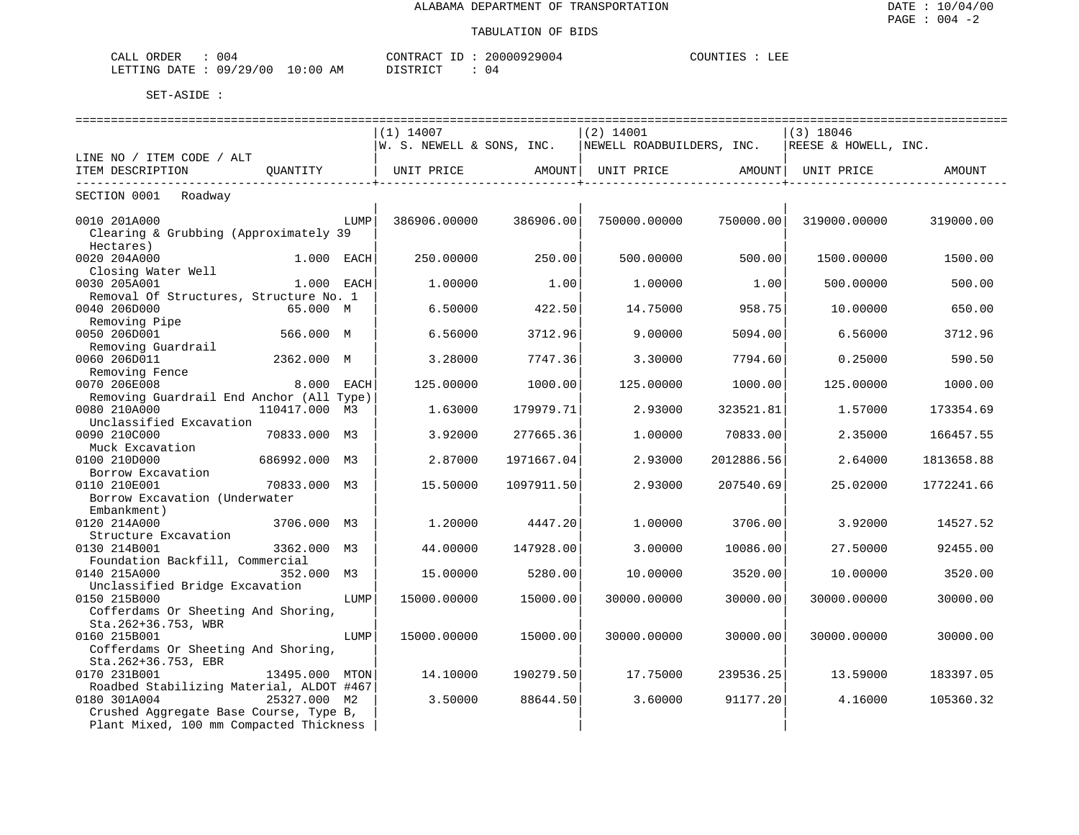| 004<br>CALL<br>ORDER                                                                                                                                     | ANTRACI .               | 20000929004 | LEE<br>T<br>上西兰 |
|----------------------------------------------------------------------------------------------------------------------------------------------------------|-------------------------|-------------|-----------------|
| 09/29/00<br>LETTING<br>DATE.<br>TR.T.<br>the contract of the contract of the contract of the contract of the contract of the contract of the contract of | 10:00<br>DISTRICT<br>AΜ | 04          |                 |

|                                                        |                    |      | $(1)$ 14007                                                         |            | $(2)$ 14001  |              | $(3)$ 18046          |            |
|--------------------------------------------------------|--------------------|------|---------------------------------------------------------------------|------------|--------------|--------------|----------------------|------------|
|                                                        |                    |      | $\vert$ W. S. NEWELL & SONS, INC. $\vert$ NEWELL ROADBUILDERS, INC. |            |              |              | REESE & HOWELL, INC. |            |
| LINE NO / ITEM CODE / ALT                              |                    |      |                                                                     |            |              |              |                      |            |
| ITEM DESCRIPTION                                       | OUANTITY           |      | UNIT PRICE                                                          | AMOUNT     | UNIT PRICE   | AMOUNT       | UNIT PRICE           | AMOUNT     |
| ----------                                             |                    |      |                                                                     |            |              | ____________ |                      |            |
| SECTION 0001 Roadway                                   |                    |      |                                                                     |            |              |              |                      |            |
|                                                        |                    |      |                                                                     |            |              | 750000.001   |                      |            |
| 0010 201A000                                           |                    | LUMP | 386906.00000                                                        | 386906.00  | 750000.00000 |              | 319000.00000         | 319000.00  |
| Clearing & Grubbing (Approximately 39                  |                    |      |                                                                     |            |              |              |                      |            |
| Hectares)<br>0020 204A000                              |                    |      |                                                                     | 250.00     |              | 500.00       |                      |            |
| Closing Water Well                                     | 1.000 EACH         |      | 250.00000                                                           |            | 500.00000    |              | 1500.00000           | 1500.00    |
|                                                        |                    |      |                                                                     |            |              |              |                      |            |
| 0030 205A001                                           | 1.000 EACH         |      | 1,00000                                                             | 1.00       | 1,00000      | 1.00         | 500.00000            | 500.00     |
| Removal Of Structures, Structure No. 1<br>0040 206D000 | 65.000 M           |      | 6.50000                                                             | 422.50     | 14.75000     | 958.75       | 10.00000             | 650.00     |
| Removing Pipe                                          |                    |      |                                                                     |            |              |              |                      |            |
| 0050 206D001                                           | 566.000 M          |      | 6.56000                                                             | 3712.96    | 9,00000      | 5094.00      | 6.56000              | 3712.96    |
| Removing Guardrail                                     |                    |      |                                                                     |            |              |              |                      |            |
| 0060 206D011                                           | 2362.000 M         |      | 3.28000                                                             | 7747.36    | 3.30000      | 7794.60      | 0.25000              | 590.50     |
|                                                        |                    |      |                                                                     |            |              |              |                      |            |
| Removing Fence<br>0070 206E008                         | 8.000 EACH         |      | 125.00000                                                           | 1000.00    | 125.00000    | 1000.00      | 125.00000            | 1000.00    |
| Removing Guardrail End Anchor (All Type)               |                    |      |                                                                     |            |              |              |                      |            |
| 0080 210A000                                           | 110417.000 M3      |      | 1.63000                                                             | 179979.71  | 2.93000      | 323521.81    | 1.57000              | 173354.69  |
| Unclassified Excavation                                |                    |      |                                                                     |            |              |              |                      |            |
| 0090 210C000                                           | 70833.000 M3       |      | 3.92000                                                             | 277665.36  | 1,00000      | 70833.00     | 2.35000              | 166457.55  |
| Muck Excavation                                        |                    |      |                                                                     |            |              |              |                      |            |
| 0100 210D000                                           | 686992.000 M3      |      | 2.87000                                                             | 1971667.04 | 2.93000      | 2012886.56   | 2.64000              | 1813658.88 |
| Borrow Excavation                                      |                    |      |                                                                     |            |              |              |                      |            |
| 0110 210E001                                           | --<br>70833.000 M3 |      | 15.50000                                                            | 1097911.50 | 2.93000      | 207540.69    | 25.02000             | 1772241.66 |
| Borrow Excavation (Underwater                          |                    |      |                                                                     |            |              |              |                      |            |
| Embankment)                                            |                    |      |                                                                     |            |              |              |                      |            |
| 0120 214A000                                           | 3706.000 M3        |      | 1,20000                                                             | 4447.20    | 1,00000      | 3706.00      | 3.92000              | 14527.52   |
| Structure Excavation                                   |                    |      |                                                                     |            |              |              |                      |            |
| 0130 214B001                                           | 3362.000 M3        |      | 44.00000                                                            | 147928.00  | 3.00000      | 10086.00     | 27.50000             | 92455.00   |
| Foundation Backfill, Commercial                        |                    |      |                                                                     |            |              |              |                      |            |
| 0140 215A000                                           | 352.000 M3         |      | 15.00000                                                            | 5280.00    | 10.00000     | 3520.00      | 10.00000             | 3520.00    |
| Unclassified Bridge Excavation                         |                    |      |                                                                     |            |              |              |                      |            |
| 0150 215B000                                           |                    | LUMP | 15000.00000                                                         | 15000.00   | 30000.00000  | 30000.00     | 30000.00000          | 30000.00   |
| Cofferdams Or Sheeting And Shoring,                    |                    |      |                                                                     |            |              |              |                      |            |
| Sta. 262+36.753, WBR                                   |                    |      |                                                                     |            |              |              |                      |            |
| 0160 215B001                                           |                    | LUMP | 15000.00000                                                         | 15000.00   | 30000.00000  | 30000.00     | 30000.00000          | 30000.00   |
| Cofferdams Or Sheeting And Shoring,                    |                    |      |                                                                     |            |              |              |                      |            |
| Sta.262+36.753, EBR                                    |                    |      |                                                                     |            |              |              |                      |            |
| 0170 231B001                                           | 13495.000 MTON     |      | 14.10000                                                            | 190279.50  | 17.75000     | 239536.25    | 13.59000             | 183397.05  |
| Roadbed Stabilizing Material, ALDOT #467               |                    |      |                                                                     |            |              |              |                      |            |
| 0180 301A004                                           | 25327.000 M2       |      | 3.50000                                                             | 88644.50   | 3.60000      | 91177.20     | 4.16000              | 105360.32  |
| Crushed Aggregate Base Course, Type B,                 |                    |      |                                                                     |            |              |              |                      |            |
| Plant Mixed, 100 mm Compacted Thickness                |                    |      |                                                                     |            |              |              |                      |            |
|                                                        |                    |      |                                                                     |            |              |              |                      |            |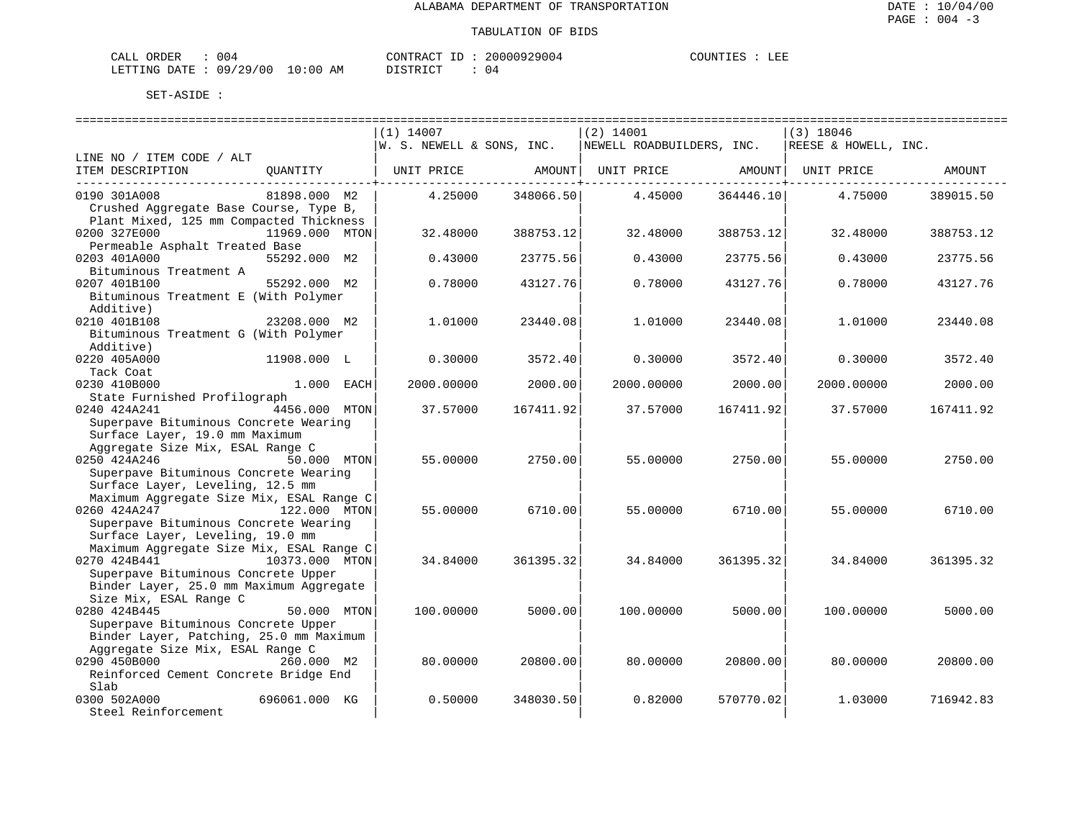| CALL ORDER                       | 004 |  |          |  | CONTRACT ID: 20000929004 | COUNTIES | LEE |
|----------------------------------|-----|--|----------|--|--------------------------|----------|-----|
| LETTING DATE : 09/29/00 10:00 AM |     |  | DISTRICT |  | 04                       |          |     |

|                                                                           |                | ============================== |           | ============================== |                       | :=============================== |           |
|---------------------------------------------------------------------------|----------------|--------------------------------|-----------|--------------------------------|-----------------------|----------------------------------|-----------|
|                                                                           |                | $(1)$ 14007                    |           | $(2)$ 14001                    |                       | (3) 18046                        |           |
|                                                                           |                | W. S. NEWELL & SONS, INC.      |           | NEWELL ROADBUILDERS, INC.      |                       | REESE & HOWELL, INC.             |           |
| LINE NO / ITEM CODE / ALT                                                 |                |                                |           |                                |                       |                                  |           |
| ITEM DESCRIPTION                                                          | QUANTITY       | UNIT PRICE AMOUNT              |           |                                |                       | UNIT PRICE AMOUNT   UNIT PRICE   | AMOUNT    |
|                                                                           |                |                                |           | -------------+-------------    | ---------------+----- |                                  |           |
| 0190 301A008                                                              | 81898.000 M2   | 4.25000                        | 348066.50 | 4.45000                        | 364446.10             | 4.75000                          | 389015.50 |
| Crushed Aggregate Base Course, Type B,                                    |                |                                |           |                                |                       |                                  |           |
| Plant Mixed, 125 mm Compacted Thickness                                   |                |                                |           |                                |                       |                                  |           |
| 0200 327E000                                                              | 11969.000 MTON | 32.48000                       | 388753.12 | 32.48000                       | 388753.12             | 32.48000                         | 388753.12 |
| Permeable Asphalt Treated Base                                            |                |                                |           |                                |                       |                                  |           |
| 0203 401A000                                                              | 55292.000 M2   | 0.43000                        | 23775.56  | 0.43000                        | 23775.56              | 0.43000                          | 23775.56  |
| Bituminous Treatment A                                                    |                |                                |           |                                |                       |                                  |           |
| 0207 401B100                                                              | 55292.000 M2   | 0.78000                        | 43127.76  | 0.78000                        | 43127.76              | 0.78000                          | 43127.76  |
| Bituminous Treatment E (With Polymer                                      |                |                                |           |                                |                       |                                  |           |
| Additive)                                                                 |                |                                |           |                                |                       |                                  |           |
| 0210 401B108                                                              | 23208.000 M2   | 1,01000                        | 23440.08  | 1,01000                        | 23440.08              | 1,01000                          | 23440.08  |
| Bituminous Treatment G (With Polymer                                      |                |                                |           |                                |                       |                                  |           |
| Additive)                                                                 |                |                                |           |                                |                       |                                  |           |
| 0220 405A000<br>11908.000 L                                               |                | 0.30000                        | 3572.40   | 0.30000                        | 3572.40               | 0.30000                          | 3572.40   |
| Tack Coat                                                                 |                |                                |           |                                |                       |                                  |           |
| 0230 410B000                                                              | 1.000 EACH     | 2000.00000                     | 2000.00   | 2000.00000                     | 2000.00               | 2000.00000                       | 2000.00   |
| State Furnished Profilograph                                              |                |                                |           |                                |                       |                                  |           |
| 0240 424A241                                                              | 4456.000 MTON  | 37.57000                       | 167411.92 | 37.57000                       | 167411.92             | 37.57000                         | 167411.92 |
| Superpave Bituminous Concrete Wearing                                     |                |                                |           |                                |                       |                                  |           |
| Surface Layer, 19.0 mm Maximum<br>Aggregate Size Mix, ESAL Range C        |                |                                |           |                                |                       |                                  |           |
| 0250 424A246                                                              | 50.000 MTON    | 55.00000                       | 2750.00   | 55.00000                       | 2750.00               | 55.00000                         | 2750.00   |
|                                                                           |                |                                |           |                                |                       |                                  |           |
| Superpave Bituminous Concrete Wearing<br>Surface Layer, Leveling, 12.5 mm |                |                                |           |                                |                       |                                  |           |
| Maximum Aggregate Size Mix, ESAL Range C                                  |                |                                |           |                                |                       |                                  |           |
| 0260 424A247                                                              | 122.000 MTON   | 55.00000                       | 6710.00   | 55.00000                       | 6710.00               | 55.00000                         | 6710.00   |
| Superpave Bituminous Concrete Wearing                                     |                |                                |           |                                |                       |                                  |           |
| Surface Layer, Leveling, 19.0 mm                                          |                |                                |           |                                |                       |                                  |           |
| Maximum Aggregate Size Mix, ESAL Range C                                  |                |                                |           |                                |                       |                                  |           |
| 0270 424B441                                                              | 10373.000 MTON | 34.84000                       | 361395.32 | 34.84000                       | 361395.32             | 34.84000                         | 361395.32 |
| Superpave Bituminous Concrete Upper                                       |                |                                |           |                                |                       |                                  |           |
| Binder Layer, 25.0 mm Maximum Aggregate                                   |                |                                |           |                                |                       |                                  |           |
| Size Mix, ESAL Range C                                                    |                |                                |           |                                |                       |                                  |           |
| 0280 424B445                                                              | 50.000 MTON    | 100.00000                      | 5000.00   | 100.00000                      | 5000.00               | 100.00000                        | 5000.00   |
| Superpave Bituminous Concrete Upper                                       |                |                                |           |                                |                       |                                  |           |
| Binder Layer, Patching, 25.0 mm Maximum                                   |                |                                |           |                                |                       |                                  |           |
| Aggregate Size Mix, ESAL Range C                                          |                |                                |           |                                |                       |                                  |           |
| 0290 450B000<br>260.000 M2                                                |                | 80.00000                       | 20800.00  | 80,00000                       | 20800.00              | 80.00000                         | 20800.00  |
| Reinforced Cement Concrete Bridge End                                     |                |                                |           |                                |                       |                                  |           |
| Slab                                                                      |                |                                |           |                                |                       |                                  |           |
| 0300 502A000                                                              | 696061.000 KG  | 0.50000                        | 348030.50 | 0.82000                        | 570770.02             | 1,03000                          | 716942.83 |
| Steel Reinforcement                                                       |                |                                |           |                                |                       |                                  |           |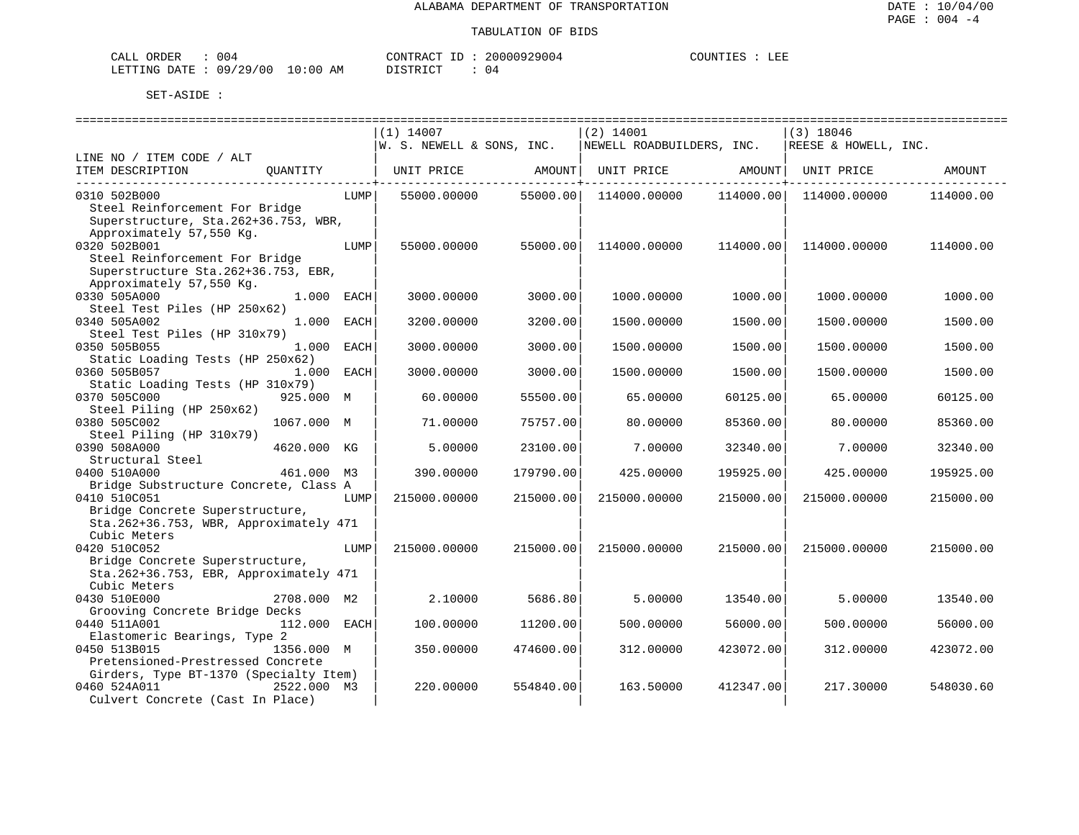| CALL ORDER                      | 004 |         | CONTRACT ID: 20000929004 | LEE<br>COUNTIES : |
|---------------------------------|-----|---------|--------------------------|-------------------|
| LETTING DATE: 09/29/00 10:00 AM |     | TSTRICT | 04                       |                   |

|                                                                             | $(1)$ 14007                                     |                  | $(2)$ 14001               |           | $(3)$ 18046                        |           |
|-----------------------------------------------------------------------------|-------------------------------------------------|------------------|---------------------------|-----------|------------------------------------|-----------|
|                                                                             | W. S. NEWELL & SONS, INC.                       |                  | NEWELL ROADBUILDERS, INC. |           | REESE & HOWELL, INC.               |           |
| LINE NO / ITEM CODE / ALT                                                   |                                                 |                  |                           |           |                                    |           |
| ITEM DESCRIPTION                                                            | QUANTITY   UNIT PRICE AMOUNT  UNIT PRICE AMOUNT | -------------+-- |                           |           | UNIT PRICE AMOUNT                  |           |
| 0310 502B000<br>LUMP                                                        | 55000.00000                                     | 55000.00         | 114000.00000              |           | 114000.00  114000.00000  114000.00 |           |
| Steel Reinforcement For Bridge                                              |                                                 |                  |                           |           |                                    |           |
| Superstructure, Sta. 262+36.753, WBR,                                       |                                                 |                  |                           |           |                                    |           |
| Approximately 57,550 Kq.<br>0320 502B001<br>LUMP                            | 55000.00000                                     | 55000.00         | 114000.00000              | 114000.00 | 114000.00000                       | 114000.00 |
| Steel Reinforcement For Bridge                                              |                                                 |                  |                           |           |                                    |           |
| Superstructure Sta. 262+36.753, EBR,                                        |                                                 |                  |                           |           |                                    |           |
| Approximately 57,550 Kg.                                                    |                                                 |                  |                           |           |                                    |           |
| 0330 505A000<br>1.000 EACH                                                  | 3000.00000                                      | 3000.00          | 1000.00000                | 1000.00   | 1000.00000                         | 1000.00   |
| Steel Test Piles (HP 250x62)<br>0340 505A002<br>1.000 EACH                  | 3200.00000                                      | 3200.00          | 1500.00000                | 1500.00   | 1500.00000                         | 1500.00   |
| Steel Test Piles (HP 310x79)                                                |                                                 |                  |                           |           |                                    |           |
| 0350 505B055<br>1.000 EACH                                                  | 3000.00000                                      | 3000.00          | 1500.00000                | 1500.00   | 1500.00000                         | 1500.00   |
| Static Loading Tests (HP 250x62)                                            |                                                 |                  |                           |           |                                    |           |
| 0360 505B057<br>1.000 EACH<br>Static Loading Tests (HP 310x79)              | 3000.00000                                      | 3000.00          | 1500.00000                | 1500.00   | 1500.00000                         | 1500.00   |
| 925.000 M<br>0370 505C000                                                   | 60.00000                                        | 55500.00         | 65.00000                  | 60125.00  | 65.00000                           | 60125.00  |
| Steel Piling (HP 250x62)                                                    |                                                 |                  |                           |           |                                    |           |
| 0380 505C002<br>1067.000 M                                                  | 71,00000                                        | 75757.00         | 80.00000                  | 85360.00  | 80.00000                           | 85360.00  |
| Steel Piling (HP 310x79)<br>4620.000 KG                                     |                                                 |                  |                           |           |                                    |           |
| 0390 508A000<br>Structural Steel                                            | 5.00000                                         | 23100.00         | 7.00000                   | 32340.00  | 7.00000                            | 32340.00  |
| 0400 510A000<br>461.000 M3                                                  | 390.00000                                       | 179790.00        | 425.00000                 | 195925.00 | 425.00000                          | 195925.00 |
| Bridge Substructure Concrete, Class A                                       |                                                 |                  |                           |           |                                    |           |
| 0410 5100051<br>LUMP                                                        | 215000.00000                                    | 215000.00        | 215000.00000              | 215000.00 | 215000.00000                       | 215000.00 |
| Bridge Concrete Superstructure,<br>Sta.262+36.753, WBR, Approximately 471   |                                                 |                  |                           |           |                                    |           |
| Cubic Meters                                                                |                                                 |                  |                           |           |                                    |           |
| 0420 510C052<br>LUMP                                                        | 215000.00000                                    | 215000.00        | 215000.00000              | 215000.00 | 215000.00000                       | 215000.00 |
| Bridge Concrete Superstructure,                                             |                                                 |                  |                           |           |                                    |           |
| Sta. 262+36.753, EBR, Approximately 471                                     |                                                 |                  |                           |           |                                    |           |
| Cubic Meters<br>0430 510E000<br>2708.000 M2                                 | 2.10000                                         | 5686.80          | 5.00000                   | 13540.00  | 5.00000                            | 13540.00  |
| Grooving Concrete Bridge Decks                                              |                                                 |                  |                           |           |                                    |           |
| 0440 511A001<br>112.000 EACH                                                | 100.00000                                       | 11200.00         | 500.00000                 | 56000.00  | 500.00000                          | 56000.00  |
| Elastomeric Bearings, Type 2                                                |                                                 |                  |                           |           |                                    |           |
| 0450 513B015<br>1356.000 M                                                  | 350.00000                                       | 474600.00        | 312.00000                 | 423072.00 | 312.00000                          | 423072.00 |
| Pretensioned-Prestressed Concrete<br>Girders, Type BT-1370 (Specialty Item) |                                                 |                  |                           |           |                                    |           |
| 0460 524A011<br>2522.000 M3                                                 | 220.00000                                       | 554840.00        | 163.50000                 | 412347.00 | 217.30000                          | 548030.60 |
| Culvert Concrete (Cast In Place)                                            |                                                 |                  |                           |           |                                    |           |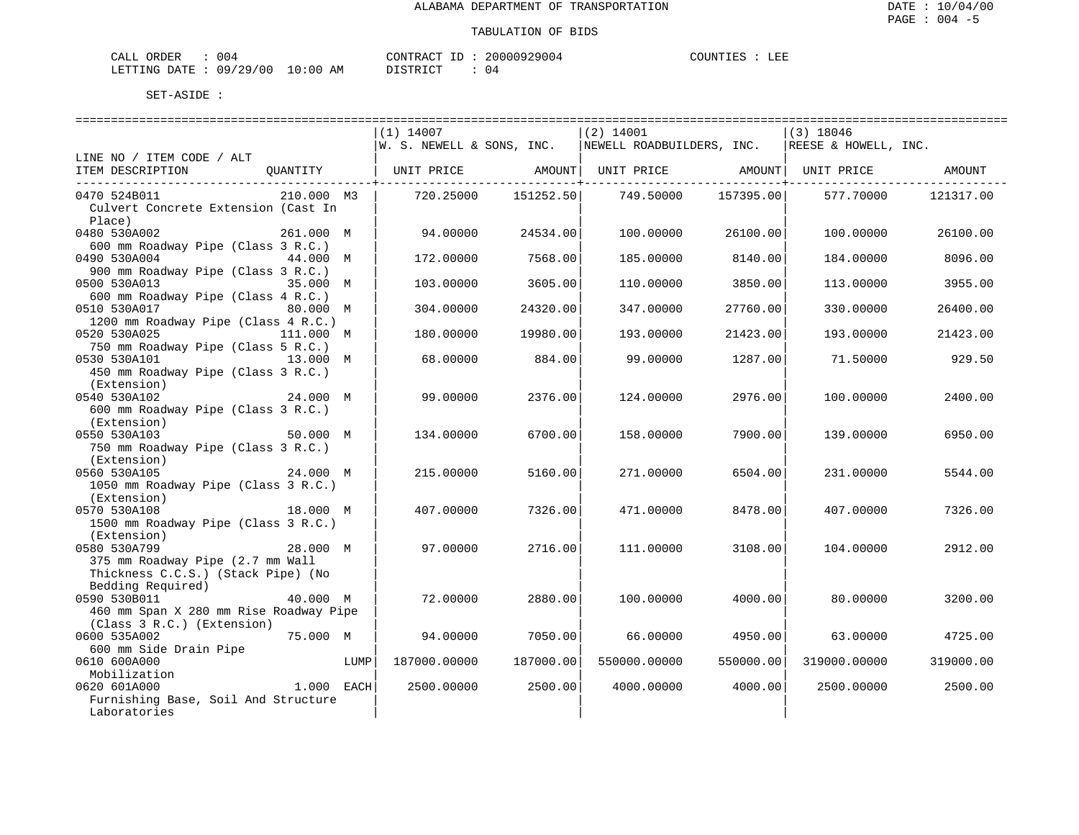| CALL ORDER                       | 004 |  |          |  | CONTRACT ID: 20000929004 | COUNTIES | LEE |
|----------------------------------|-----|--|----------|--|--------------------------|----------|-----|
| LETTING DATE : 09/29/00 10:00 AM |     |  | DISTRICT |  | 04                       |          |     |

| $(2)$ 14001<br>$(3)$ 18046<br>$(1)$ 14007<br> W. S. NEWELL & SONS, INC.<br>NEWELL ROADBUILDERS, INC.<br>REESE & HOWELL, INC.<br>LINE NO / ITEM CODE / ALT<br>ITEM DESCRIPTION<br>QUANTITY             UNIT PRICE             AMOUNT   UNIT PRICE              AMOUNT   UNIT PRICE<br>AMOUNT<br>. - - - - - - - - - + - - - - - - -<br>0470 524B011<br>210.000 M3<br>720.25000<br>151252.50<br>157395.00<br>577.70000<br>121317.00<br>749.50000<br>Culvert Concrete Extension (Cast In<br>Place)<br>0480 530A002<br>261.000 M<br>94.00000<br>24534.00<br>100.00000<br>100.00000<br>26100.00<br>26100.00<br>600 mm Roadway Pipe (Class 3 R.C.)<br>0490 530A004<br>44.000 M<br>172.00000<br>7568.00<br>185.00000<br>8140.00<br>184.00000<br>8096.00<br>900 mm Roadway Pipe (Class 3 R.C.) |
|----------------------------------------------------------------------------------------------------------------------------------------------------------------------------------------------------------------------------------------------------------------------------------------------------------------------------------------------------------------------------------------------------------------------------------------------------------------------------------------------------------------------------------------------------------------------------------------------------------------------------------------------------------------------------------------------------------------------------------------------------------------------------------------|
|                                                                                                                                                                                                                                                                                                                                                                                                                                                                                                                                                                                                                                                                                                                                                                                        |
|                                                                                                                                                                                                                                                                                                                                                                                                                                                                                                                                                                                                                                                                                                                                                                                        |
|                                                                                                                                                                                                                                                                                                                                                                                                                                                                                                                                                                                                                                                                                                                                                                                        |
|                                                                                                                                                                                                                                                                                                                                                                                                                                                                                                                                                                                                                                                                                                                                                                                        |
|                                                                                                                                                                                                                                                                                                                                                                                                                                                                                                                                                                                                                                                                                                                                                                                        |
|                                                                                                                                                                                                                                                                                                                                                                                                                                                                                                                                                                                                                                                                                                                                                                                        |
|                                                                                                                                                                                                                                                                                                                                                                                                                                                                                                                                                                                                                                                                                                                                                                                        |
|                                                                                                                                                                                                                                                                                                                                                                                                                                                                                                                                                                                                                                                                                                                                                                                        |
|                                                                                                                                                                                                                                                                                                                                                                                                                                                                                                                                                                                                                                                                                                                                                                                        |
|                                                                                                                                                                                                                                                                                                                                                                                                                                                                                                                                                                                                                                                                                                                                                                                        |
|                                                                                                                                                                                                                                                                                                                                                                                                                                                                                                                                                                                                                                                                                                                                                                                        |
| 0500 530A013<br>35.000 M<br>3605.00<br>3850.00<br>103.00000<br>110.00000<br>113.00000<br>3955.00                                                                                                                                                                                                                                                                                                                                                                                                                                                                                                                                                                                                                                                                                       |
| 600 mm Roadway Pipe (Class 4 R.C.)                                                                                                                                                                                                                                                                                                                                                                                                                                                                                                                                                                                                                                                                                                                                                     |
| 0510 530A017<br>24320.00<br>27760.00<br>80.000 M<br>304.00000<br>347.00000<br>330.00000<br>26400.00                                                                                                                                                                                                                                                                                                                                                                                                                                                                                                                                                                                                                                                                                    |
| 1200 mm Roadway Pipe (Class 4 R.C.)                                                                                                                                                                                                                                                                                                                                                                                                                                                                                                                                                                                                                                                                                                                                                    |
| 0520 530A025<br>111.000 M<br>19980.00<br>21423.00<br>193.00000<br>21423.00<br>180.00000<br>193.00000                                                                                                                                                                                                                                                                                                                                                                                                                                                                                                                                                                                                                                                                                   |
|                                                                                                                                                                                                                                                                                                                                                                                                                                                                                                                                                                                                                                                                                                                                                                                        |
| 750 mm Roadway Pipe (Class 5 R.C.)<br>884.00<br>99,00000                                                                                                                                                                                                                                                                                                                                                                                                                                                                                                                                                                                                                                                                                                                               |
| 0530 530A101<br>13.000 M<br>68.00000<br>1287.00<br>71.50000<br>929.50                                                                                                                                                                                                                                                                                                                                                                                                                                                                                                                                                                                                                                                                                                                  |
| 450 mm Roadway Pipe (Class 3 R.C.)<br>(Extension)                                                                                                                                                                                                                                                                                                                                                                                                                                                                                                                                                                                                                                                                                                                                      |
| 24.000 M<br>0540 530A102<br>2376.00<br>2976.00<br>99.00000<br>124.00000<br>100.00000<br>2400.00                                                                                                                                                                                                                                                                                                                                                                                                                                                                                                                                                                                                                                                                                        |
|                                                                                                                                                                                                                                                                                                                                                                                                                                                                                                                                                                                                                                                                                                                                                                                        |
| 600 mm Roadway Pipe (Class 3 R.C.)                                                                                                                                                                                                                                                                                                                                                                                                                                                                                                                                                                                                                                                                                                                                                     |
| (Extension)                                                                                                                                                                                                                                                                                                                                                                                                                                                                                                                                                                                                                                                                                                                                                                            |
| 0550 530A103<br>50.000 M<br>134.00000<br>6700.00<br>158.00000<br>7900.00<br>6950.00<br>139.00000                                                                                                                                                                                                                                                                                                                                                                                                                                                                                                                                                                                                                                                                                       |
| 750 mm Roadway Pipe (Class 3 R.C.)                                                                                                                                                                                                                                                                                                                                                                                                                                                                                                                                                                                                                                                                                                                                                     |
| (Extension)                                                                                                                                                                                                                                                                                                                                                                                                                                                                                                                                                                                                                                                                                                                                                                            |
| 24.000 M<br>0560 530A105<br>215.00000<br>5160.00<br>271.00000<br>6504.00<br>231.00000<br>5544.00                                                                                                                                                                                                                                                                                                                                                                                                                                                                                                                                                                                                                                                                                       |
| 1050 mm Roadway Pipe (Class 3 R.C.)                                                                                                                                                                                                                                                                                                                                                                                                                                                                                                                                                                                                                                                                                                                                                    |
| (Extension)                                                                                                                                                                                                                                                                                                                                                                                                                                                                                                                                                                                                                                                                                                                                                                            |
| 0570 530A108<br>18.000 M<br>7326.00<br>7326.00<br>407.00000<br>471.00000<br>8478.00<br>407.00000                                                                                                                                                                                                                                                                                                                                                                                                                                                                                                                                                                                                                                                                                       |
| 1500 mm Roadway Pipe (Class 3 R.C.)                                                                                                                                                                                                                                                                                                                                                                                                                                                                                                                                                                                                                                                                                                                                                    |
| (Extension)                                                                                                                                                                                                                                                                                                                                                                                                                                                                                                                                                                                                                                                                                                                                                                            |
| 0580 530A799<br>28.000 M<br>97.00000<br>2716.00<br>111,00000<br>3108.00<br>2912.00<br>104.00000                                                                                                                                                                                                                                                                                                                                                                                                                                                                                                                                                                                                                                                                                        |
| 375 mm Roadway Pipe (2.7 mm Wall                                                                                                                                                                                                                                                                                                                                                                                                                                                                                                                                                                                                                                                                                                                                                       |
| Thickness C.C.S.) (Stack Pipe) (No                                                                                                                                                                                                                                                                                                                                                                                                                                                                                                                                                                                                                                                                                                                                                     |
| Bedding Required)                                                                                                                                                                                                                                                                                                                                                                                                                                                                                                                                                                                                                                                                                                                                                                      |
| 0590 530B011<br>40.000 M<br>72.00000<br>2880.00<br>100.00000<br>4000.00<br>80.00000<br>3200.00                                                                                                                                                                                                                                                                                                                                                                                                                                                                                                                                                                                                                                                                                         |
| 460 mm Span X 280 mm Rise Roadway Pipe                                                                                                                                                                                                                                                                                                                                                                                                                                                                                                                                                                                                                                                                                                                                                 |
| (Class 3 R.C.) (Extension)                                                                                                                                                                                                                                                                                                                                                                                                                                                                                                                                                                                                                                                                                                                                                             |
| 0600 535A002<br>75.000 M<br>66.00000<br>94.00000<br>7050.00<br>4950.00<br>63.00000<br>4725.00                                                                                                                                                                                                                                                                                                                                                                                                                                                                                                                                                                                                                                                                                          |
| 600 mm Side Drain Pipe                                                                                                                                                                                                                                                                                                                                                                                                                                                                                                                                                                                                                                                                                                                                                                 |
| 550000.00<br>0610 600A000<br>LUMP<br>187000.00000<br>187000.00<br>550000.00000<br>319000.00000<br>319000.00                                                                                                                                                                                                                                                                                                                                                                                                                                                                                                                                                                                                                                                                            |
| Mobilization                                                                                                                                                                                                                                                                                                                                                                                                                                                                                                                                                                                                                                                                                                                                                                           |
| 0620 601A000<br>$1.000$ EACH<br>2500.00<br>4000.00<br>2500.00000<br>4000.00000<br>2500.00000<br>2500.00                                                                                                                                                                                                                                                                                                                                                                                                                                                                                                                                                                                                                                                                                |
| Furnishing Base, Soil And Structure                                                                                                                                                                                                                                                                                                                                                                                                                                                                                                                                                                                                                                                                                                                                                    |
| Laboratories                                                                                                                                                                                                                                                                                                                                                                                                                                                                                                                                                                                                                                                                                                                                                                           |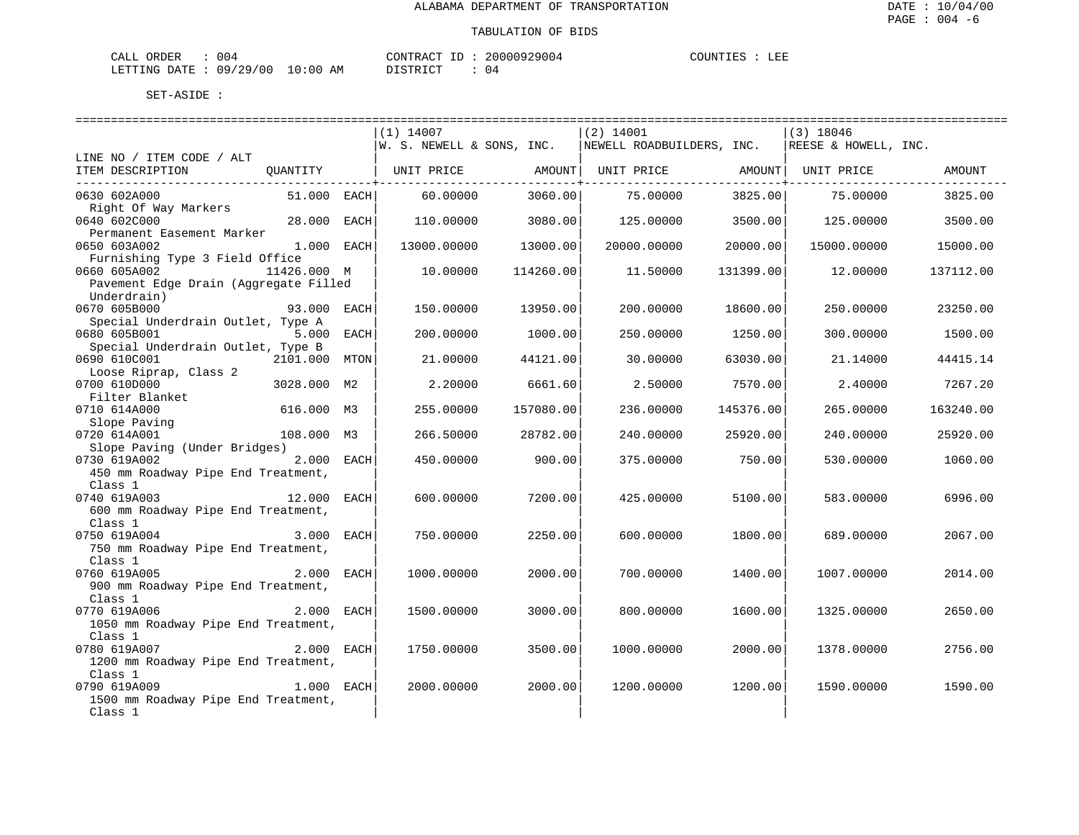| CALL ORDER | 004 |                                 |          | CONTRACT ID: 20000929004 | COUNTIES : LEE |  |
|------------|-----|---------------------------------|----------|--------------------------|----------------|--|
|            |     | LETTING DATE: 09/29/00 10:00 AM | DISTRICT |                          |                |  |

|                                               |               |      | $(1)$ 14007               |                   | (2) 14001                      |           | $(3)$ 18046          |           |
|-----------------------------------------------|---------------|------|---------------------------|-------------------|--------------------------------|-----------|----------------------|-----------|
|                                               |               |      | W. S. NEWELL & SONS, INC. |                   | NEWELL ROADBUILDERS, INC.      |           | REESE & HOWELL, INC. |           |
| LINE NO / ITEM CODE / ALT                     |               |      |                           |                   |                                |           |                      |           |
| ITEM DESCRIPTION                              | QUANTITY      |      | UNIT PRICE AMOUNT         |                   | UNIT PRICE AMOUNT   UNIT PRICE |           |                      | AMOUNT    |
|                                               |               |      |                           | $- - - - - - - +$ |                                |           |                      |           |
| 0630 602A000                                  | 51.000 EACH   |      | 60.00000                  | 3060.00           | 75.00000                       | 3825.00   | 75.00000             | 3825.00   |
| Right Of Way Markers                          |               |      |                           |                   |                                |           |                      |           |
| 0640 602C000                                  | 28.000 EACH   |      | 110.00000                 | 3080.00           | 125.00000                      | 3500.00   | 125.00000            | 3500.00   |
| Permanent Easement Marker                     |               |      |                           |                   |                                |           |                      |           |
| 0650 603A002                                  | 1.000 EACH    |      | 13000.00000               | 13000.00          | 20000.00000                    | 20000.00  | 15000.00000          | 15000.00  |
| Furnishing Type 3 Field Office                |               |      |                           |                   |                                |           |                      |           |
| 0660 605A002<br>11426.000 M                   |               |      | 10.00000                  | 114260.00         | 11.50000                       | 131399.00 | 12.00000             | 137112.00 |
| Pavement Edge Drain (Aggregate Filled         |               |      |                           |                   |                                |           |                      |           |
| Underdrain)                                   |               |      |                           |                   |                                |           |                      |           |
| 0670 605B000                                  | 93.000 EACH   |      | 150.00000                 | 13950.00          | 200.00000                      | 18600.00  | 250.00000            | 23250.00  |
| Special Underdrain Outlet, Type A             |               |      |                           |                   |                                |           |                      |           |
| 0680 605B001                                  | 5.000         | EACH | 200.00000                 | 1000.00           | 250.00000                      | 1250.00   | 300.00000            | 1500.00   |
| Special Underdrain Outlet, Type B             |               |      |                           |                   |                                |           |                      |           |
| 0690 610C001                                  | 2101.000 MTON |      | 21.00000                  | 44121.00          | 30.00000                       | 63030.00  | 21.14000             | 44415.14  |
| Loose Riprap, Class 2                         |               |      |                           |                   |                                |           |                      |           |
| 0700 610D000                                  | 3028.000 M2   |      | 2.20000                   | 6661.60           | 2.50000                        | 7570.00   | 2.40000              | 7267.20   |
| Filter Blanket                                |               |      |                           |                   |                                |           |                      |           |
| 0710 614A000                                  | 616.000 M3    |      | 255.00000                 | 157080.00         | 236.00000                      | 145376.00 | 265,00000            | 163240.00 |
| Slope Paving                                  |               |      |                           |                   |                                |           |                      |           |
| 0720 614A001                                  | 108.000 M3    |      | 266.50000                 | 28782.00          | 240.00000                      | 25920.00  | 240.00000            | 25920.00  |
| Slope Paving (Under Bridges)                  |               |      |                           |                   |                                |           |                      |           |
| 0730 619A002                                  | 2.000 EACH    |      | 450.00000                 | 900.00            | 375.00000                      | 750.00    | 530.00000            | 1060.00   |
|                                               |               |      |                           |                   |                                |           |                      |           |
| 450 mm Roadway Pipe End Treatment,<br>Class 1 |               |      |                           |                   |                                |           |                      |           |
| 0740 619A003                                  | 12.000 EACH   |      |                           | 7200.00           |                                |           |                      |           |
|                                               |               |      | 600.00000                 |                   | 425.00000                      | 5100.00   | 583.00000            | 6996.00   |
| 600 mm Roadway Pipe End Treatment,<br>Class 1 |               |      |                           |                   |                                |           |                      |           |
| 0750 619A004<br>$3.000$ EACH                  |               |      |                           |                   |                                |           |                      | 2067.00   |
|                                               |               |      | 750.00000                 | 2250.00           | 600,00000                      | 1800.00   | 689,00000            |           |
| 750 mm Roadway Pipe End Treatment,            |               |      |                           |                   |                                |           |                      |           |
| Class 1                                       |               |      |                           |                   |                                |           |                      |           |
| 0760 619A005                                  | 2.000 EACH    |      | 1000.00000                | 2000.00           | 700.00000                      | 1400.00   | 1007.00000           | 2014.00   |
| 900 mm Roadway Pipe End Treatment,            |               |      |                           |                   |                                |           |                      |           |
| Class 1                                       |               |      |                           |                   |                                |           |                      |           |
| 0770 619A006                                  | 2.000 EACH    |      | 1500.00000                | 3000.00           | 800.00000                      | 1600.00   | 1325.00000           | 2650.00   |
| 1050 mm Roadway Pipe End Treatment,           |               |      |                           |                   |                                |           |                      |           |
| Class 1                                       |               |      |                           |                   |                                |           |                      |           |
| $2.000$ EACH<br>0780 619A007                  |               |      | 1750.00000                | 3500.00           | 1000.00000                     | 2000.00   | 1378.00000           | 2756.00   |
| 1200 mm Roadway Pipe End Treatment,           |               |      |                           |                   |                                |           |                      |           |
| Class 1                                       |               |      |                           |                   |                                |           |                      |           |
| 0790 619A009                                  | $1.000$ EACH  |      | 2000.00000                | 2000.00           | 1200.00000                     | 1200.00   | 1590.00000           | 1590.00   |
| 1500 mm Roadway Pipe End Treatment,           |               |      |                           |                   |                                |           |                      |           |
| Class 1                                       |               |      |                           |                   |                                |           |                      |           |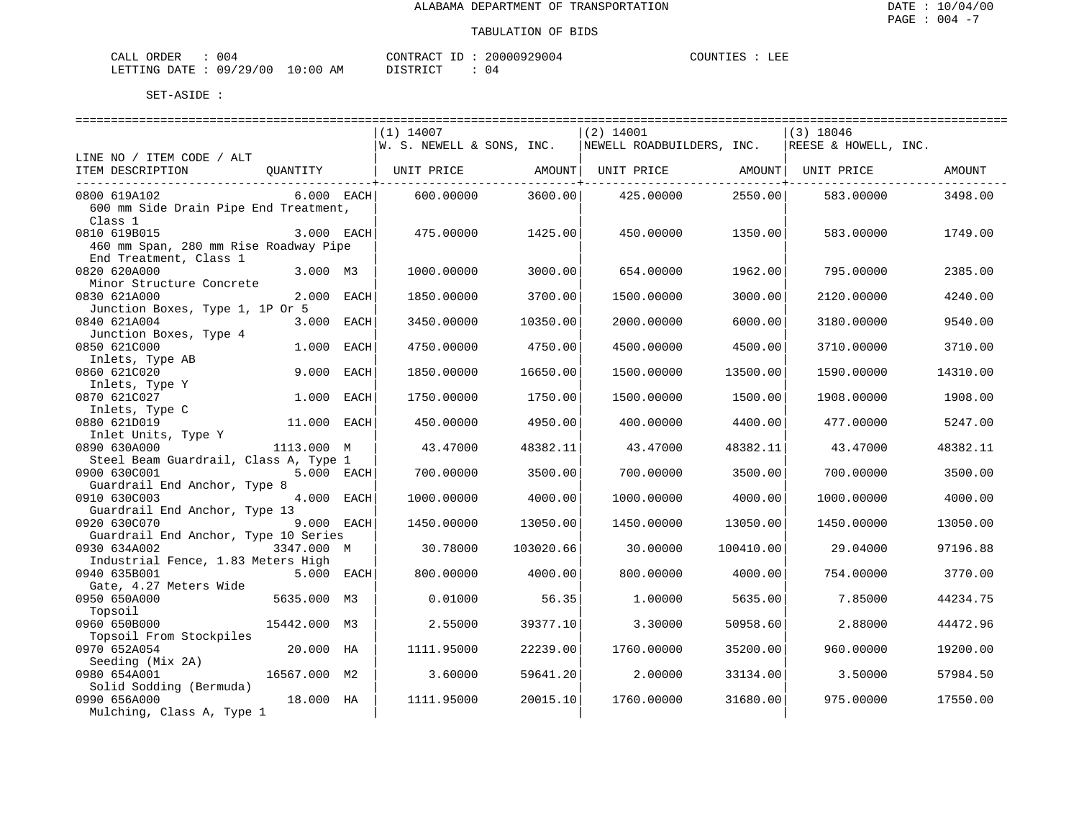| ORDER<br>CALL  | 004      |            | CONTRACT<br>ID | 20000929004    | COUNTIES<br>____ | LEE |
|----------------|----------|------------|----------------|----------------|------------------|-----|
| LETTING DATE : | 09/29/00 | $10:00$ AM | חי התפתי את ה  | 0 <sub>4</sub> |                  |     |

|                                       |              |      | $(1)$ 14007                  |           | $(2)$ 14001                                                                          |           | $(3)$ 18046          |          |
|---------------------------------------|--------------|------|------------------------------|-----------|--------------------------------------------------------------------------------------|-----------|----------------------|----------|
|                                       |              |      | $ W.$ S. NEWELL & SONS, INC. |           | NEWELL ROADBUILDERS, INC.                                                            |           | REESE & HOWELL, INC. |          |
| LINE NO / ITEM CODE / ALT             |              |      |                              |           |                                                                                      |           |                      |          |
| ITEM DESCRIPTION                      | QUANTITY     |      |                              |           | UNIT PRICE                 AMOUNT    UNIT PRICE                 AMOUNT    UNIT PRICE |           |                      | AMOUNT   |
| -------------------------------       |              |      |                              |           |                                                                                      |           |                      |          |
| 0800 619A102                          | $6.000$ EACH |      | 600,00000                    | 3600.00   | 425.00000                                                                            | 2550.00   | 583.00000            | 3498.00  |
| 600 mm Side Drain Pipe End Treatment, |              |      |                              |           |                                                                                      |           |                      |          |
| Class 1                               |              |      |                              |           |                                                                                      |           |                      |          |
| 0810 619B015                          | 3.000 EACH   |      | 475.00000                    | 1425.00   | 450.00000                                                                            | 1350.00   | 583.00000            | 1749.00  |
| 460 mm Span, 280 mm Rise Roadway Pipe |              |      |                              |           |                                                                                      |           |                      |          |
| End Treatment, Class 1                |              |      |                              |           |                                                                                      |           |                      |          |
| 0820 620A000                          | 3.000 M3     |      | 1000.00000                   | 3000.00   | 654.00000                                                                            | 1962.00   | 795.00000            | 2385.00  |
| Minor Structure Concrete              |              |      |                              |           |                                                                                      |           |                      |          |
| 0830 621A000                          | 2.000 EACH   |      | 1850.00000                   | 3700.00   | 1500.00000                                                                           | 3000.00   | 2120.00000           | 4240.00  |
| Junction Boxes, Type 1, 1P Or 5       |              |      |                              |           |                                                                                      |           |                      |          |
| 0840 621A004                          | 3.000 EACH   |      | 3450.00000                   | 10350.00  | 2000.00000                                                                           | 6000.00   | 3180.00000           | 9540.00  |
| Junction Boxes, Type 4                |              |      |                              |           |                                                                                      |           |                      |          |
| 0850 621C000                          | 1.000 EACH   |      | 4750.00000                   | 4750.00   | 4500.00000                                                                           | 4500.00   | 3710.00000           | 3710.00  |
| Inlets, Type AB                       |              |      |                              |           |                                                                                      |           |                      |          |
| 0860 621C020                          | 9.000        | EACH | 1850.00000                   | 16650.00  | 1500.00000                                                                           | 13500.00  | 1590.00000           | 14310.00 |
| Inlets, Type Y                        |              |      |                              |           |                                                                                      |           |                      |          |
| 0870 621C027                          | 1.000        | EACH | 1750.00000                   | 1750.00   | 1500.00000                                                                           | 1500.00   | 1908.00000           | 1908.00  |
| Inlets, Type C                        |              |      |                              |           |                                                                                      |           |                      |          |
| 0880 621D019                          | 11.000 EACH  |      | 450.00000                    | 4950.00   | 400.00000                                                                            | 4400.00   | 477.00000            | 5247.00  |
|                                       |              |      |                              |           |                                                                                      |           |                      |          |
| Inlet Units, Type Y<br>0890 630A000   | 1113.000 M   |      | 43.47000                     | 48382.11  | 43.47000                                                                             | 48382.11  | 43.47000             | 48382.11 |
| Steel Beam Guardrail, Class A, Type 1 |              |      |                              |           |                                                                                      |           |                      |          |
|                                       |              |      |                              |           |                                                                                      |           |                      |          |
| 0900 630C001                          | 5.000 EACH   |      | 700.00000                    | 3500.00   | 700.00000                                                                            | 3500.00   | 700.00000            | 3500.00  |
| Guardrail End Anchor, Type 8          |              |      |                              |           |                                                                                      |           |                      |          |
| 0910 630C003                          | 4.000 EACH   |      | 1000.00000                   | 4000.00   | 1000.00000                                                                           | 4000.00   | 1000.00000           | 4000.00  |
| Guardrail End Anchor, Type 13         |              |      |                              |           |                                                                                      |           |                      |          |
| 0920 630C070                          | 9.000 EACH   |      | 1450.00000                   | 13050.00  | 1450.00000                                                                           | 13050.00  | 1450.00000           | 13050.00 |
| Guardrail End Anchor, Type 10 Series  |              |      |                              |           |                                                                                      |           |                      |          |
| 0930 634A002                          | 3347.000 M   |      | 30.78000                     | 103020.66 | 30.00000                                                                             | 100410.00 | 29.04000             | 97196.88 |
| Industrial Fence, 1.83 Meters High    |              |      |                              |           |                                                                                      |           |                      |          |
| 0940 635B001                          | 5.000 EACH   |      | 800,00000                    | 4000.00   | 800,00000                                                                            | 4000.00   | 754.00000            | 3770.00  |
| Gate, 4.27 Meters Wide                |              |      |                              |           |                                                                                      |           |                      |          |
| 0950 650A000                          | 5635.000 M3  |      | 0.01000                      | 56.35     | 1.00000                                                                              | 5635.00   | 7.85000              | 44234.75 |
| Topsoil                               |              |      |                              |           |                                                                                      |           |                      |          |
| 0960 650B000                          | 15442.000 M3 |      | 2.55000                      | 39377.10  | 3.30000                                                                              | 50958.60  | 2.88000              | 44472.96 |
| Topsoil From Stockpiles               |              |      |                              |           |                                                                                      |           |                      |          |
| 0970 652A054                          | 20.000 HA    |      | 1111.95000                   | 22239.00  | 1760.00000                                                                           | 35200.00  | 960,00000            | 19200.00 |
| Seeding (Mix 2A)                      |              |      |                              |           |                                                                                      |           |                      |          |
| 0980 654A001                          | 16567.000 M2 |      | 3.60000                      | 59641.20  | 2.00000                                                                              | 33134.00  | 3.50000              | 57984.50 |
| Solid Sodding (Bermuda)               |              |      |                              |           |                                                                                      |           |                      |          |
| 0990 656A000                          | 18.000 HA    |      | 1111.95000                   | 20015.10  | 1760.00000                                                                           | 31680.00  | 975.00000            | 17550.00 |
| Mulching, Class A, Type 1             |              |      |                              |           |                                                                                      |           |                      |          |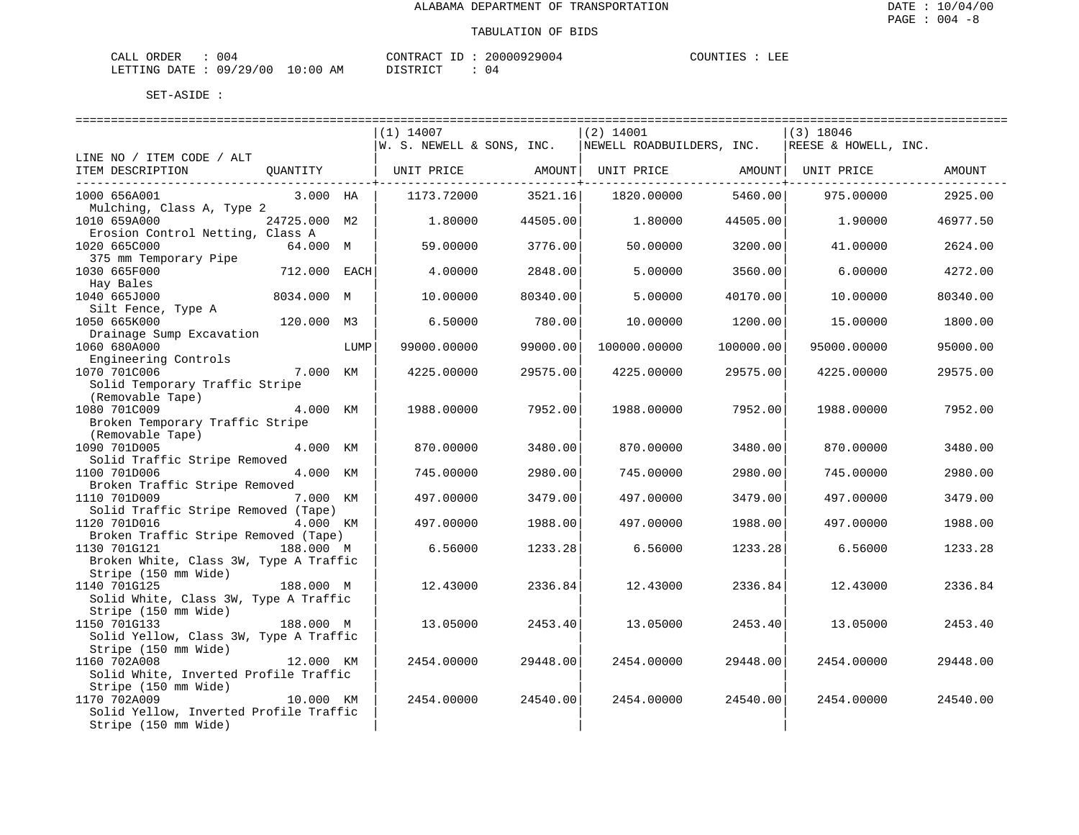| CALL ORDER | 004 |                                 |          | CONTRACT ID: 20000929004 | COUNTIES : LEE |  |
|------------|-----|---------------------------------|----------|--------------------------|----------------|--|
|            |     | LETTING DATE: 09/29/00 10:00 AM | DISTRICT |                          |                |  |

|                                        |              |      | $(1)$ 14007               |          | $(2)$ 14001               |           | $(3)$ 18046          |          |
|----------------------------------------|--------------|------|---------------------------|----------|---------------------------|-----------|----------------------|----------|
|                                        |              |      | W. S. NEWELL & SONS, INC. |          | NEWELL ROADBUILDERS, INC. |           | REESE & HOWELL, INC. |          |
| LINE NO / ITEM CODE / ALT              |              |      |                           |          |                           |           |                      |          |
| ITEM DESCRIPTION                       | OUANTITY     |      | UNIT PRICE                | AMOUNT   | UNIT PRICE AMOUNT         |           | UNIT PRICE           | AMOUNT   |
|                                        |              |      |                           |          |                           |           |                      |          |
| 1000 656A001                           | 3.000 HA     |      | 1173.72000                | 3521.16  | 1820.00000                | 5460.00   | 975.00000            | 2925.00  |
| Mulching, Class A, Type 2              |              |      |                           |          |                           |           |                      |          |
| 1010 659A000                           | 24725.000 M2 |      | 1.80000                   | 44505.00 | 1,80000                   | 44505.00  | 1,90000              | 46977.50 |
| Erosion Control Netting, Class A       |              |      |                           |          |                           |           |                      |          |
| 1020 665C000                           | 64.000 M     |      | 59.00000                  | 3776.00  | 50.00000                  | 3200.00   | 41.00000             | 2624.00  |
| 375 mm Temporary Pipe                  |              |      |                           |          |                           |           |                      |          |
| 1030 665F000                           | 712.000 EACH |      | 4.00000                   | 2848.00  | 5.00000                   | 3560.00   | 6.00000              | 4272.00  |
| Hay Bales                              |              |      |                           |          |                           |           |                      |          |
| 1040 665J000                           | 8034.000 M   |      | 10.00000                  | 80340.00 | 5.00000                   | 40170.00  | 10.00000             | 80340.00 |
| Silt Fence, Type A                     |              |      |                           |          |                           |           |                      |          |
| 1050 665K000                           | 120.000 M3   |      | 6.50000                   | 780.00   | 10.00000                  | 1200.00   | 15.00000             | 1800.00  |
| Drainage Sump Excavation               |              |      |                           |          |                           |           |                      |          |
| 1060 680A000                           |              | LUMP | 99000.00000               | 99000.00 | 100000.00000              | 100000.00 | 95000.00000          | 95000.00 |
| Engineering Controls                   |              |      |                           |          |                           |           |                      |          |
| 1070 701C006                           | 7.000 KM     |      | 4225.00000                | 29575.00 | 4225.00000                | 29575.00  | 4225.00000           | 29575.00 |
| Solid Temporary Traffic Stripe         |              |      |                           |          |                           |           |                      |          |
| (Removable Tape)                       |              |      |                           |          |                           |           |                      |          |
| 1080 701C009                           | 4.000 KM     |      | 1988.00000                | 7952.00  | 1988.00000                | 7952.00   | 1988.00000           | 7952.00  |
| Broken Temporary Traffic Stripe        |              |      |                           |          |                           |           |                      |          |
| (Removable Tape)                       |              |      |                           |          |                           |           |                      |          |
| 1090 701D005                           | 4.000 KM     |      | 870.00000                 | 3480.00  | 870.00000                 | 3480.00   | 870.00000            | 3480.00  |
| Solid Traffic Stripe Removed           |              |      |                           |          |                           |           |                      |          |
| 1100 701D006                           | 4.000 KM     |      | 745.00000                 | 2980.00  | 745.00000                 | 2980.00   | 745.00000            | 2980.00  |
| Broken Traffic Stripe Removed          |              |      |                           |          |                           |           |                      |          |
| 1110 701D009                           | 7.000 KM     |      | 497.00000                 | 3479.00  | 497.00000                 | 3479.00   | 497.00000            | 3479.00  |
| Solid Traffic Stripe Removed (Tape)    |              |      |                           |          |                           |           |                      |          |
| 1120 701D016                           | 4.000 KM     |      | 497.00000                 | 1988.00  | 497.00000                 | 1988.00   | 497.00000            | 1988.00  |
| Broken Traffic Stripe Removed (Tape)   |              |      |                           |          |                           |           |                      |          |
| 1130 701G121                           | 188.000 M    |      | 6.56000                   | 1233.28  | 6.56000                   | 1233.28   | 6.56000              | 1233.28  |
| Broken White, Class 3W, Type A Traffic |              |      |                           |          |                           |           |                      |          |
| Stripe (150 mm Wide)                   |              |      |                           |          |                           |           |                      |          |
| 1140 701G125                           | 188.000 M    |      | 12.43000                  | 2336.84  | 12.43000                  | 2336.84   | 12.43000             | 2336.84  |
| Solid White, Class 3W, Type A Traffic  |              |      |                           |          |                           |           |                      |          |
| Stripe (150 mm Wide)                   |              |      |                           |          |                           |           |                      |          |
| 1150 701G133                           | 188.000 M    |      | 13.05000                  | 2453.40  | 13.05000                  | 2453.40   | 13.05000             | 2453.40  |
| Solid Yellow, Class 3W, Type A Traffic |              |      |                           |          |                           |           |                      |          |
| Stripe (150 mm Wide)                   |              |      |                           |          |                           |           |                      |          |
| 1160 702A008                           | 12.000 KM    |      | 2454.00000                | 29448.00 | 2454.00000                | 29448.00  | 2454.00000           | 29448.00 |
| Solid White, Inverted Profile Traffic  |              |      |                           |          |                           |           |                      |          |
| Stripe (150 mm Wide)                   |              |      |                           |          |                           |           |                      |          |
| 1170 702A009                           | 10.000 KM    |      | 2454.00000                | 24540.00 | 2454.00000                | 24540.00  | 2454.00000           | 24540.00 |
| Solid Yellow, Inverted Profile Traffic |              |      |                           |          |                           |           |                      |          |
| Stripe (150 mm Wide)                   |              |      |                           |          |                           |           |                      |          |
|                                        |              |      |                           |          |                           |           |                      |          |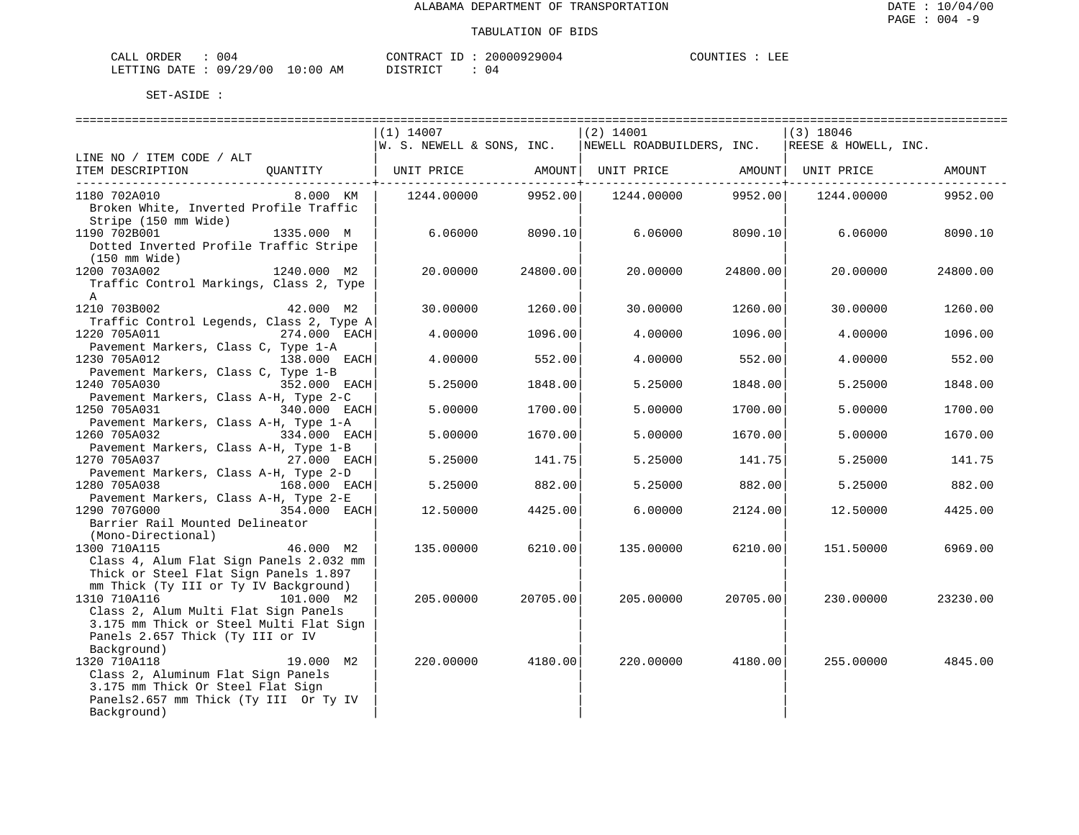| CALL ORDER                       | 004 |  |          |  | CONTRACT ID: 20000929004 | COUNTIES | LEE |
|----------------------------------|-----|--|----------|--|--------------------------|----------|-----|
| LETTING DATE : 09/29/00 10:00 AM |     |  | DISTRICT |  | 04                       |          |     |

|                                          |              | ============================= |          | =================================                           |          | ================================= |          |
|------------------------------------------|--------------|-------------------------------|----------|-------------------------------------------------------------|----------|-----------------------------------|----------|
|                                          |              | $(1)$ 14007                   |          | $(2)$ 14001                                                 |          | $(3)$ 18046                       |          |
|                                          |              |                               |          | $ W.$ S. NEWELL & SONS, INC. $ N$ NEWELL ROADBUILDERS, INC. |          | REESE & HOWELL, INC.              |          |
| LINE NO / ITEM CODE / ALT                |              |                               |          |                                                             |          |                                   |          |
| ITEM DESCRIPTION                         |              | QUANTITY   UNIT PRICE AMOUNT  |          | UNIT PRICE AMOUNT   UNIT PRICE                              |          |                                   | AMOUNT   |
| 1180 702A010                             | 8.000 KM     | 1244.00000                    | 9952.00  | 1244.00000                                                  | 9952.00  | 1244.00000                        | 9952.00  |
| Broken White, Inverted Profile Traffic   |              |                               |          |                                                             |          |                                   |          |
| Stripe (150 mm Wide)                     |              |                               |          |                                                             |          |                                   |          |
| 1335.000 M<br>1190 702B001               |              | 6.06000                       | 8090.10  | 6.06000                                                     | 8090.10  | 6.06000                           | 8090.10  |
| Dotted Inverted Profile Traffic Stripe   |              |                               |          |                                                             |          |                                   |          |
| (150 mm Wide)                            |              |                               |          |                                                             |          |                                   |          |
| 1200 703A002                             | 1240.000 M2  | 20,00000                      | 24800.00 | 20.00000                                                    | 24800.00 | 20,00000                          | 24800.00 |
| Traffic Control Markings, Class 2, Type  |              |                               |          |                                                             |          |                                   |          |
| A                                        |              |                               |          |                                                             |          |                                   |          |
| 1210 703B002                             | 42.000 M2    | 30.00000                      | 1260.00  | 30.00000                                                    | 1260.00  | 30.00000                          | 1260.00  |
| Traffic Control Legends, Class 2, Type A |              |                               |          |                                                             |          |                                   |          |
| 1220 705A011                             | 274.000 EACH | 4.00000                       | 1096.00  | 4.00000                                                     | 1096.00  | 4.00000                           | 1096.00  |
| Pavement Markers, Class C, Type 1-A      |              |                               |          |                                                             |          |                                   |          |
| 1230 705A012                             | 138.000 EACH | 4.00000                       | 552.00   | 4.00000                                                     | 552.00   | 4.00000                           | 552.00   |
| Pavement Markers, Class C, Type 1-B      |              |                               |          |                                                             |          |                                   |          |
| 1240 705A030                             | 352.000 EACH | 5.25000                       | 1848.00  | 5.25000                                                     | 1848.00  | 5.25000                           | 1848.00  |
| Pavement Markers, Class A-H, Type 2-C    |              |                               |          |                                                             |          |                                   |          |
| 1250 705A031                             | 340.000 EACH | 5.00000                       | 1700.00  | 5.00000                                                     | 1700.00  | 5.00000                           | 1700.00  |
| Pavement Markers, Class A-H, Type 1-A    |              |                               |          |                                                             |          |                                   |          |
| 1260 705A032                             | 334.000 EACH | 5.00000                       | 1670.00  | 5.00000                                                     | 1670.00  | 5.00000                           | 1670.00  |
| Pavement Markers, Class A-H, Type 1-B    |              |                               |          |                                                             |          |                                   |          |
| 1270 705A037                             | 27.000 EACH  | 5.25000                       | 141.75   | 5.25000                                                     | 141.75   | 5.25000                           | 141.75   |
| Pavement Markers, Class A-H, Type 2-D    |              |                               |          |                                                             |          |                                   |          |
| 1280 705A038<br>168.000 EACH             |              | 5.25000                       | 882.00   | 5.25000                                                     | 882.00   | 5.25000                           | 882.00   |
| Pavement Markers, Class A-H, Type 2-E    |              |                               |          |                                                             |          |                                   |          |
| 1290 707G000                             | 354.000 EACH | 12.50000                      | 4425.00  | 6.00000                                                     | 2124.00  | 12.50000                          | 4425.00  |
| Barrier Rail Mounted Delineator          |              |                               |          |                                                             |          |                                   |          |
| (Mono-Directional)                       |              |                               |          |                                                             |          |                                   |          |
| 1300 710A115                             | 46.000 M2    | 135.00000                     | 6210.00  | 135.00000                                                   | 6210.00  | 151.50000                         | 6969.00  |
| Class 4, Alum Flat Sign Panels 2.032 mm  |              |                               |          |                                                             |          |                                   |          |
| Thick or Steel Flat Sign Panels 1.897    |              |                               |          |                                                             |          |                                   |          |
| mm Thick (Ty III or Ty IV Background)    |              |                               |          |                                                             |          |                                   |          |
| 1310 710A116<br>101.000 M2               |              | 205.00000                     | 20705.00 | 205,00000                                                   | 20705.00 | 230.00000                         | 23230.00 |
| Class 2, Alum Multi Flat Sign Panels     |              |                               |          |                                                             |          |                                   |          |
| 3.175 mm Thick or Steel Multi Flat Sign  |              |                               |          |                                                             |          |                                   |          |
| Panels 2.657 Thick (Ty III or IV         |              |                               |          |                                                             |          |                                   |          |
| Background)                              |              |                               |          |                                                             |          |                                   |          |
| 1320 710A118                             | 19.000 M2    | 220.00000                     | 4180.00  | 220.00000                                                   | 4180.00  | 255.00000                         | 4845.00  |
| Class 2, Aluminum Flat Sign Panels       |              |                               |          |                                                             |          |                                   |          |
| 3.175 mm Thick Or Steel Flat Sign        |              |                               |          |                                                             |          |                                   |          |
| Panels2.657 mm Thick (Ty III Or Ty IV    |              |                               |          |                                                             |          |                                   |          |
| Background)                              |              |                               |          |                                                             |          |                                   |          |
|                                          |              |                               |          |                                                             |          |                                   |          |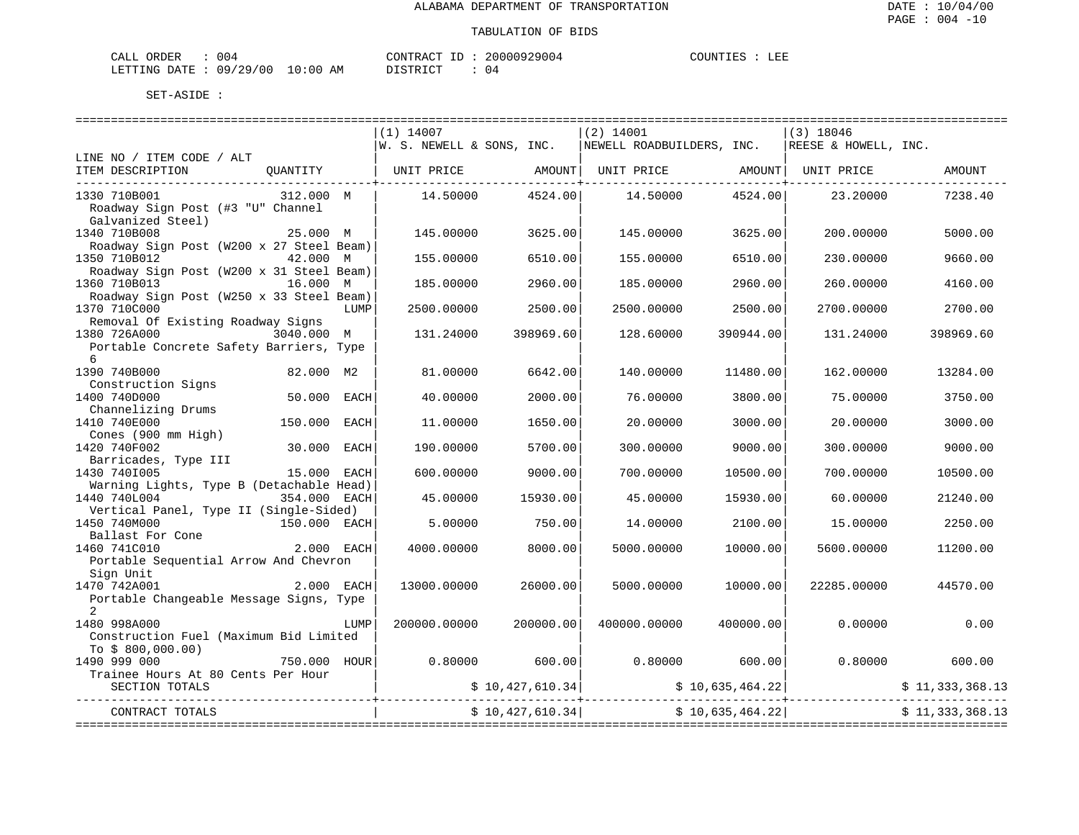| ORDER<br>CALL | 004      |            | CONTRACT | ID | 20000929004 | COUNTIES<br>____ | LEE |
|---------------|----------|------------|----------|----|-------------|------------------|-----|
| LETTING DATE  | 09/29/00 | $10:00$ AM | סיד דרו  |    | 04          |                  |     |

| $(1)$ 14007<br>$(2)$ 14001<br>(3) 18046<br>NEWELL ROADBUILDERS, INC.<br>$ W.$ S. NEWELL & SONS, INC.<br>REESE & HOWELL, INC.<br>LINE NO / ITEM CODE / ALT<br>UNIT PRICE                  AMOUNT    UNIT PRICE                  AMOUNT    UNIT PRICE<br>ITEM DESCRIPTION<br>QUANTITY<br>AMOUNT<br>--------------------------------<br>312.000 M<br>4524.00<br>4524.00<br>1330 710B001<br>14.50000<br>14.50000<br>23.20000<br>7238.40<br>Roadway Sign Post (#3 "U" Channel<br>Galvanized Steel)<br>1340 710B008<br>145.00000<br>3625.00<br>145.00000<br>3625.00<br>200.00000<br>5000.00<br>25.000 M<br>Roadway Sign Post (W200 x 27 Steel Beam)<br>1350 710B012<br>42.000 M<br>155.00000<br>6510.00<br>155.00000<br>6510.00<br>230.00000<br>9660.00<br>Roadway Sign Post (W200 x 31 Steel Beam)<br>1360 710B013<br>2960.00<br>185.00000<br>2960.00<br>260,00000<br>4160.00<br>16.000 M<br>185.00000<br>Roadway Sign Post (W250 x 33 Steel Beam)<br>2500.00<br>2500.00<br>2700.00<br>1370 710C000<br>LUMP<br>2500.00000<br>2500.00000<br>2700.00000<br>Removal Of Existing Roadway Signs<br>1380 726A000<br>3040.000 M<br>131.24000<br>398969.60<br>128.60000<br>390944.00<br>131.24000<br>398969.60<br>Portable Concrete Safety Barriers, Type<br>$6^{6}$<br>1390 740B000<br>82.000 M2<br>81.00000<br>6642.00<br>11480.00<br>140.00000<br>162,00000<br>13284.00<br>Construction Signs<br>1400 740D000<br>50.000 EACH<br>2000.00<br>76.00000<br>3800.00<br>3750.00<br>40.00000<br>75.00000<br>Channelizing Drums<br>150.000<br>3000.00<br>1410 740E000<br>EACH<br>11.00000<br>1650.00<br>20.00000<br>3000.00<br>20.00000<br>Cones (900 mm High)<br>1420 740F002<br>30.000 EACH<br>190.00000<br>5700.00<br>300.00000<br>9000.00<br>300.00000<br>9000.00<br>Barricades, Type III<br>1430 7401005<br>15.000 EACH<br>600.00000<br>9000.00<br>700.00000<br>10500.00<br>700.00000<br>10500.00<br>Warning Lights, Type B (Detachable Head)<br>1440 740L004<br>354.000 EACH<br>45.00000<br>15930.00<br>45.00000<br>15930.00<br>60.00000<br>21240.00<br>Vertical Panel, Type II (Single-Sided)<br>1450 740M000<br>150.000 EACH<br>5.00000<br>750.00<br>14.00000<br>2100.00<br>15.00000<br>2250.00<br>Ballast For Cone<br>1460 741C010<br>2.000 EACH<br>4000.00000<br>8000.00<br>10000.00<br>5600.00000<br>11200.00<br>5000.00000<br>Portable Sequential Arrow And Chevron<br>Sign Unit<br>1470 742A001<br>2.000 EACH<br>13000.00000<br>26000.00<br>5000.00000<br>10000.00<br>22285.00000<br>44570.00<br>Portable Changeable Message Signs, Type<br>$\overline{2}$<br>0.00<br>1480 998A000<br>LUMP<br>200000.00000<br>200000.00<br>400000.00000<br>400000.00<br>0.00000<br>Construction Fuel (Maximum Bid Limited<br>To $$800,000.00)$<br>750.000 HOUR<br>1490 999 000<br>0.80000<br>600.00<br>0.80000<br>600.00<br>0.80000<br>600.00<br>Trainee Hours At 80 Cents Per Hour<br>\$10,427,610.34]<br>\$10,635,464.22]<br>SECTION TOTALS<br>\$10,635,464.22]<br>\$10,427,610.34]<br>CONTRACT TOTALS |  |  |  |  |  |
|-------------------------------------------------------------------------------------------------------------------------------------------------------------------------------------------------------------------------------------------------------------------------------------------------------------------------------------------------------------------------------------------------------------------------------------------------------------------------------------------------------------------------------------------------------------------------------------------------------------------------------------------------------------------------------------------------------------------------------------------------------------------------------------------------------------------------------------------------------------------------------------------------------------------------------------------------------------------------------------------------------------------------------------------------------------------------------------------------------------------------------------------------------------------------------------------------------------------------------------------------------------------------------------------------------------------------------------------------------------------------------------------------------------------------------------------------------------------------------------------------------------------------------------------------------------------------------------------------------------------------------------------------------------------------------------------------------------------------------------------------------------------------------------------------------------------------------------------------------------------------------------------------------------------------------------------------------------------------------------------------------------------------------------------------------------------------------------------------------------------------------------------------------------------------------------------------------------------------------------------------------------------------------------------------------------------------------------------------------------------------------------------------------------------------------------------------------------------------------------------------------------------------------------------------------------------------------------------------------------------------------------------------------------------------------------------------------------------------------------------------------------------------------------------------------------------------------------------------------------------------------------------------------------------------------------------------------------------------------------|--|--|--|--|--|
|                                                                                                                                                                                                                                                                                                                                                                                                                                                                                                                                                                                                                                                                                                                                                                                                                                                                                                                                                                                                                                                                                                                                                                                                                                                                                                                                                                                                                                                                                                                                                                                                                                                                                                                                                                                                                                                                                                                                                                                                                                                                                                                                                                                                                                                                                                                                                                                                                                                                                                                                                                                                                                                                                                                                                                                                                                                                                                                                                                                     |  |  |  |  |  |
|                                                                                                                                                                                                                                                                                                                                                                                                                                                                                                                                                                                                                                                                                                                                                                                                                                                                                                                                                                                                                                                                                                                                                                                                                                                                                                                                                                                                                                                                                                                                                                                                                                                                                                                                                                                                                                                                                                                                                                                                                                                                                                                                                                                                                                                                                                                                                                                                                                                                                                                                                                                                                                                                                                                                                                                                                                                                                                                                                                                     |  |  |  |  |  |
|                                                                                                                                                                                                                                                                                                                                                                                                                                                                                                                                                                                                                                                                                                                                                                                                                                                                                                                                                                                                                                                                                                                                                                                                                                                                                                                                                                                                                                                                                                                                                                                                                                                                                                                                                                                                                                                                                                                                                                                                                                                                                                                                                                                                                                                                                                                                                                                                                                                                                                                                                                                                                                                                                                                                                                                                                                                                                                                                                                                     |  |  |  |  |  |
|                                                                                                                                                                                                                                                                                                                                                                                                                                                                                                                                                                                                                                                                                                                                                                                                                                                                                                                                                                                                                                                                                                                                                                                                                                                                                                                                                                                                                                                                                                                                                                                                                                                                                                                                                                                                                                                                                                                                                                                                                                                                                                                                                                                                                                                                                                                                                                                                                                                                                                                                                                                                                                                                                                                                                                                                                                                                                                                                                                                     |  |  |  |  |  |
|                                                                                                                                                                                                                                                                                                                                                                                                                                                                                                                                                                                                                                                                                                                                                                                                                                                                                                                                                                                                                                                                                                                                                                                                                                                                                                                                                                                                                                                                                                                                                                                                                                                                                                                                                                                                                                                                                                                                                                                                                                                                                                                                                                                                                                                                                                                                                                                                                                                                                                                                                                                                                                                                                                                                                                                                                                                                                                                                                                                     |  |  |  |  |  |
|                                                                                                                                                                                                                                                                                                                                                                                                                                                                                                                                                                                                                                                                                                                                                                                                                                                                                                                                                                                                                                                                                                                                                                                                                                                                                                                                                                                                                                                                                                                                                                                                                                                                                                                                                                                                                                                                                                                                                                                                                                                                                                                                                                                                                                                                                                                                                                                                                                                                                                                                                                                                                                                                                                                                                                                                                                                                                                                                                                                     |  |  |  |  |  |
| $\begin{array}{c} \mid \\ \n \text{ 5 11,333,368.13} \\ \n \text{ 4} \end{array}$<br>\$11,333,368.13                                                                                                                                                                                                                                                                                                                                                                                                                                                                                                                                                                                                                                                                                                                                                                                                                                                                                                                                                                                                                                                                                                                                                                                                                                                                                                                                                                                                                                                                                                                                                                                                                                                                                                                                                                                                                                                                                                                                                                                                                                                                                                                                                                                                                                                                                                                                                                                                                                                                                                                                                                                                                                                                                                                                                                                                                                                                                |  |  |  |  |  |
|                                                                                                                                                                                                                                                                                                                                                                                                                                                                                                                                                                                                                                                                                                                                                                                                                                                                                                                                                                                                                                                                                                                                                                                                                                                                                                                                                                                                                                                                                                                                                                                                                                                                                                                                                                                                                                                                                                                                                                                                                                                                                                                                                                                                                                                                                                                                                                                                                                                                                                                                                                                                                                                                                                                                                                                                                                                                                                                                                                                     |  |  |  |  |  |
|                                                                                                                                                                                                                                                                                                                                                                                                                                                                                                                                                                                                                                                                                                                                                                                                                                                                                                                                                                                                                                                                                                                                                                                                                                                                                                                                                                                                                                                                                                                                                                                                                                                                                                                                                                                                                                                                                                                                                                                                                                                                                                                                                                                                                                                                                                                                                                                                                                                                                                                                                                                                                                                                                                                                                                                                                                                                                                                                                                                     |  |  |  |  |  |
|                                                                                                                                                                                                                                                                                                                                                                                                                                                                                                                                                                                                                                                                                                                                                                                                                                                                                                                                                                                                                                                                                                                                                                                                                                                                                                                                                                                                                                                                                                                                                                                                                                                                                                                                                                                                                                                                                                                                                                                                                                                                                                                                                                                                                                                                                                                                                                                                                                                                                                                                                                                                                                                                                                                                                                                                                                                                                                                                                                                     |  |  |  |  |  |
|                                                                                                                                                                                                                                                                                                                                                                                                                                                                                                                                                                                                                                                                                                                                                                                                                                                                                                                                                                                                                                                                                                                                                                                                                                                                                                                                                                                                                                                                                                                                                                                                                                                                                                                                                                                                                                                                                                                                                                                                                                                                                                                                                                                                                                                                                                                                                                                                                                                                                                                                                                                                                                                                                                                                                                                                                                                                                                                                                                                     |  |  |  |  |  |
|                                                                                                                                                                                                                                                                                                                                                                                                                                                                                                                                                                                                                                                                                                                                                                                                                                                                                                                                                                                                                                                                                                                                                                                                                                                                                                                                                                                                                                                                                                                                                                                                                                                                                                                                                                                                                                                                                                                                                                                                                                                                                                                                                                                                                                                                                                                                                                                                                                                                                                                                                                                                                                                                                                                                                                                                                                                                                                                                                                                     |  |  |  |  |  |
|                                                                                                                                                                                                                                                                                                                                                                                                                                                                                                                                                                                                                                                                                                                                                                                                                                                                                                                                                                                                                                                                                                                                                                                                                                                                                                                                                                                                                                                                                                                                                                                                                                                                                                                                                                                                                                                                                                                                                                                                                                                                                                                                                                                                                                                                                                                                                                                                                                                                                                                                                                                                                                                                                                                                                                                                                                                                                                                                                                                     |  |  |  |  |  |
|                                                                                                                                                                                                                                                                                                                                                                                                                                                                                                                                                                                                                                                                                                                                                                                                                                                                                                                                                                                                                                                                                                                                                                                                                                                                                                                                                                                                                                                                                                                                                                                                                                                                                                                                                                                                                                                                                                                                                                                                                                                                                                                                                                                                                                                                                                                                                                                                                                                                                                                                                                                                                                                                                                                                                                                                                                                                                                                                                                                     |  |  |  |  |  |
|                                                                                                                                                                                                                                                                                                                                                                                                                                                                                                                                                                                                                                                                                                                                                                                                                                                                                                                                                                                                                                                                                                                                                                                                                                                                                                                                                                                                                                                                                                                                                                                                                                                                                                                                                                                                                                                                                                                                                                                                                                                                                                                                                                                                                                                                                                                                                                                                                                                                                                                                                                                                                                                                                                                                                                                                                                                                                                                                                                                     |  |  |  |  |  |
|                                                                                                                                                                                                                                                                                                                                                                                                                                                                                                                                                                                                                                                                                                                                                                                                                                                                                                                                                                                                                                                                                                                                                                                                                                                                                                                                                                                                                                                                                                                                                                                                                                                                                                                                                                                                                                                                                                                                                                                                                                                                                                                                                                                                                                                                                                                                                                                                                                                                                                                                                                                                                                                                                                                                                                                                                                                                                                                                                                                     |  |  |  |  |  |
|                                                                                                                                                                                                                                                                                                                                                                                                                                                                                                                                                                                                                                                                                                                                                                                                                                                                                                                                                                                                                                                                                                                                                                                                                                                                                                                                                                                                                                                                                                                                                                                                                                                                                                                                                                                                                                                                                                                                                                                                                                                                                                                                                                                                                                                                                                                                                                                                                                                                                                                                                                                                                                                                                                                                                                                                                                                                                                                                                                                     |  |  |  |  |  |
|                                                                                                                                                                                                                                                                                                                                                                                                                                                                                                                                                                                                                                                                                                                                                                                                                                                                                                                                                                                                                                                                                                                                                                                                                                                                                                                                                                                                                                                                                                                                                                                                                                                                                                                                                                                                                                                                                                                                                                                                                                                                                                                                                                                                                                                                                                                                                                                                                                                                                                                                                                                                                                                                                                                                                                                                                                                                                                                                                                                     |  |  |  |  |  |
|                                                                                                                                                                                                                                                                                                                                                                                                                                                                                                                                                                                                                                                                                                                                                                                                                                                                                                                                                                                                                                                                                                                                                                                                                                                                                                                                                                                                                                                                                                                                                                                                                                                                                                                                                                                                                                                                                                                                                                                                                                                                                                                                                                                                                                                                                                                                                                                                                                                                                                                                                                                                                                                                                                                                                                                                                                                                                                                                                                                     |  |  |  |  |  |
|                                                                                                                                                                                                                                                                                                                                                                                                                                                                                                                                                                                                                                                                                                                                                                                                                                                                                                                                                                                                                                                                                                                                                                                                                                                                                                                                                                                                                                                                                                                                                                                                                                                                                                                                                                                                                                                                                                                                                                                                                                                                                                                                                                                                                                                                                                                                                                                                                                                                                                                                                                                                                                                                                                                                                                                                                                                                                                                                                                                     |  |  |  |  |  |
|                                                                                                                                                                                                                                                                                                                                                                                                                                                                                                                                                                                                                                                                                                                                                                                                                                                                                                                                                                                                                                                                                                                                                                                                                                                                                                                                                                                                                                                                                                                                                                                                                                                                                                                                                                                                                                                                                                                                                                                                                                                                                                                                                                                                                                                                                                                                                                                                                                                                                                                                                                                                                                                                                                                                                                                                                                                                                                                                                                                     |  |  |  |  |  |
|                                                                                                                                                                                                                                                                                                                                                                                                                                                                                                                                                                                                                                                                                                                                                                                                                                                                                                                                                                                                                                                                                                                                                                                                                                                                                                                                                                                                                                                                                                                                                                                                                                                                                                                                                                                                                                                                                                                                                                                                                                                                                                                                                                                                                                                                                                                                                                                                                                                                                                                                                                                                                                                                                                                                                                                                                                                                                                                                                                                     |  |  |  |  |  |
|                                                                                                                                                                                                                                                                                                                                                                                                                                                                                                                                                                                                                                                                                                                                                                                                                                                                                                                                                                                                                                                                                                                                                                                                                                                                                                                                                                                                                                                                                                                                                                                                                                                                                                                                                                                                                                                                                                                                                                                                                                                                                                                                                                                                                                                                                                                                                                                                                                                                                                                                                                                                                                                                                                                                                                                                                                                                                                                                                                                     |  |  |  |  |  |
|                                                                                                                                                                                                                                                                                                                                                                                                                                                                                                                                                                                                                                                                                                                                                                                                                                                                                                                                                                                                                                                                                                                                                                                                                                                                                                                                                                                                                                                                                                                                                                                                                                                                                                                                                                                                                                                                                                                                                                                                                                                                                                                                                                                                                                                                                                                                                                                                                                                                                                                                                                                                                                                                                                                                                                                                                                                                                                                                                                                     |  |  |  |  |  |
|                                                                                                                                                                                                                                                                                                                                                                                                                                                                                                                                                                                                                                                                                                                                                                                                                                                                                                                                                                                                                                                                                                                                                                                                                                                                                                                                                                                                                                                                                                                                                                                                                                                                                                                                                                                                                                                                                                                                                                                                                                                                                                                                                                                                                                                                                                                                                                                                                                                                                                                                                                                                                                                                                                                                                                                                                                                                                                                                                                                     |  |  |  |  |  |
|                                                                                                                                                                                                                                                                                                                                                                                                                                                                                                                                                                                                                                                                                                                                                                                                                                                                                                                                                                                                                                                                                                                                                                                                                                                                                                                                                                                                                                                                                                                                                                                                                                                                                                                                                                                                                                                                                                                                                                                                                                                                                                                                                                                                                                                                                                                                                                                                                                                                                                                                                                                                                                                                                                                                                                                                                                                                                                                                                                                     |  |  |  |  |  |
|                                                                                                                                                                                                                                                                                                                                                                                                                                                                                                                                                                                                                                                                                                                                                                                                                                                                                                                                                                                                                                                                                                                                                                                                                                                                                                                                                                                                                                                                                                                                                                                                                                                                                                                                                                                                                                                                                                                                                                                                                                                                                                                                                                                                                                                                                                                                                                                                                                                                                                                                                                                                                                                                                                                                                                                                                                                                                                                                                                                     |  |  |  |  |  |
|                                                                                                                                                                                                                                                                                                                                                                                                                                                                                                                                                                                                                                                                                                                                                                                                                                                                                                                                                                                                                                                                                                                                                                                                                                                                                                                                                                                                                                                                                                                                                                                                                                                                                                                                                                                                                                                                                                                                                                                                                                                                                                                                                                                                                                                                                                                                                                                                                                                                                                                                                                                                                                                                                                                                                                                                                                                                                                                                                                                     |  |  |  |  |  |
|                                                                                                                                                                                                                                                                                                                                                                                                                                                                                                                                                                                                                                                                                                                                                                                                                                                                                                                                                                                                                                                                                                                                                                                                                                                                                                                                                                                                                                                                                                                                                                                                                                                                                                                                                                                                                                                                                                                                                                                                                                                                                                                                                                                                                                                                                                                                                                                                                                                                                                                                                                                                                                                                                                                                                                                                                                                                                                                                                                                     |  |  |  |  |  |
|                                                                                                                                                                                                                                                                                                                                                                                                                                                                                                                                                                                                                                                                                                                                                                                                                                                                                                                                                                                                                                                                                                                                                                                                                                                                                                                                                                                                                                                                                                                                                                                                                                                                                                                                                                                                                                                                                                                                                                                                                                                                                                                                                                                                                                                                                                                                                                                                                                                                                                                                                                                                                                                                                                                                                                                                                                                                                                                                                                                     |  |  |  |  |  |
|                                                                                                                                                                                                                                                                                                                                                                                                                                                                                                                                                                                                                                                                                                                                                                                                                                                                                                                                                                                                                                                                                                                                                                                                                                                                                                                                                                                                                                                                                                                                                                                                                                                                                                                                                                                                                                                                                                                                                                                                                                                                                                                                                                                                                                                                                                                                                                                                                                                                                                                                                                                                                                                                                                                                                                                                                                                                                                                                                                                     |  |  |  |  |  |
|                                                                                                                                                                                                                                                                                                                                                                                                                                                                                                                                                                                                                                                                                                                                                                                                                                                                                                                                                                                                                                                                                                                                                                                                                                                                                                                                                                                                                                                                                                                                                                                                                                                                                                                                                                                                                                                                                                                                                                                                                                                                                                                                                                                                                                                                                                                                                                                                                                                                                                                                                                                                                                                                                                                                                                                                                                                                                                                                                                                     |  |  |  |  |  |
|                                                                                                                                                                                                                                                                                                                                                                                                                                                                                                                                                                                                                                                                                                                                                                                                                                                                                                                                                                                                                                                                                                                                                                                                                                                                                                                                                                                                                                                                                                                                                                                                                                                                                                                                                                                                                                                                                                                                                                                                                                                                                                                                                                                                                                                                                                                                                                                                                                                                                                                                                                                                                                                                                                                                                                                                                                                                                                                                                                                     |  |  |  |  |  |
|                                                                                                                                                                                                                                                                                                                                                                                                                                                                                                                                                                                                                                                                                                                                                                                                                                                                                                                                                                                                                                                                                                                                                                                                                                                                                                                                                                                                                                                                                                                                                                                                                                                                                                                                                                                                                                                                                                                                                                                                                                                                                                                                                                                                                                                                                                                                                                                                                                                                                                                                                                                                                                                                                                                                                                                                                                                                                                                                                                                     |  |  |  |  |  |
|                                                                                                                                                                                                                                                                                                                                                                                                                                                                                                                                                                                                                                                                                                                                                                                                                                                                                                                                                                                                                                                                                                                                                                                                                                                                                                                                                                                                                                                                                                                                                                                                                                                                                                                                                                                                                                                                                                                                                                                                                                                                                                                                                                                                                                                                                                                                                                                                                                                                                                                                                                                                                                                                                                                                                                                                                                                                                                                                                                                     |  |  |  |  |  |
|                                                                                                                                                                                                                                                                                                                                                                                                                                                                                                                                                                                                                                                                                                                                                                                                                                                                                                                                                                                                                                                                                                                                                                                                                                                                                                                                                                                                                                                                                                                                                                                                                                                                                                                                                                                                                                                                                                                                                                                                                                                                                                                                                                                                                                                                                                                                                                                                                                                                                                                                                                                                                                                                                                                                                                                                                                                                                                                                                                                     |  |  |  |  |  |
|                                                                                                                                                                                                                                                                                                                                                                                                                                                                                                                                                                                                                                                                                                                                                                                                                                                                                                                                                                                                                                                                                                                                                                                                                                                                                                                                                                                                                                                                                                                                                                                                                                                                                                                                                                                                                                                                                                                                                                                                                                                                                                                                                                                                                                                                                                                                                                                                                                                                                                                                                                                                                                                                                                                                                                                                                                                                                                                                                                                     |  |  |  |  |  |
|                                                                                                                                                                                                                                                                                                                                                                                                                                                                                                                                                                                                                                                                                                                                                                                                                                                                                                                                                                                                                                                                                                                                                                                                                                                                                                                                                                                                                                                                                                                                                                                                                                                                                                                                                                                                                                                                                                                                                                                                                                                                                                                                                                                                                                                                                                                                                                                                                                                                                                                                                                                                                                                                                                                                                                                                                                                                                                                                                                                     |  |  |  |  |  |
|                                                                                                                                                                                                                                                                                                                                                                                                                                                                                                                                                                                                                                                                                                                                                                                                                                                                                                                                                                                                                                                                                                                                                                                                                                                                                                                                                                                                                                                                                                                                                                                                                                                                                                                                                                                                                                                                                                                                                                                                                                                                                                                                                                                                                                                                                                                                                                                                                                                                                                                                                                                                                                                                                                                                                                                                                                                                                                                                                                                     |  |  |  |  |  |
|                                                                                                                                                                                                                                                                                                                                                                                                                                                                                                                                                                                                                                                                                                                                                                                                                                                                                                                                                                                                                                                                                                                                                                                                                                                                                                                                                                                                                                                                                                                                                                                                                                                                                                                                                                                                                                                                                                                                                                                                                                                                                                                                                                                                                                                                                                                                                                                                                                                                                                                                                                                                                                                                                                                                                                                                                                                                                                                                                                                     |  |  |  |  |  |
|                                                                                                                                                                                                                                                                                                                                                                                                                                                                                                                                                                                                                                                                                                                                                                                                                                                                                                                                                                                                                                                                                                                                                                                                                                                                                                                                                                                                                                                                                                                                                                                                                                                                                                                                                                                                                                                                                                                                                                                                                                                                                                                                                                                                                                                                                                                                                                                                                                                                                                                                                                                                                                                                                                                                                                                                                                                                                                                                                                                     |  |  |  |  |  |
|                                                                                                                                                                                                                                                                                                                                                                                                                                                                                                                                                                                                                                                                                                                                                                                                                                                                                                                                                                                                                                                                                                                                                                                                                                                                                                                                                                                                                                                                                                                                                                                                                                                                                                                                                                                                                                                                                                                                                                                                                                                                                                                                                                                                                                                                                                                                                                                                                                                                                                                                                                                                                                                                                                                                                                                                                                                                                                                                                                                     |  |  |  |  |  |
|                                                                                                                                                                                                                                                                                                                                                                                                                                                                                                                                                                                                                                                                                                                                                                                                                                                                                                                                                                                                                                                                                                                                                                                                                                                                                                                                                                                                                                                                                                                                                                                                                                                                                                                                                                                                                                                                                                                                                                                                                                                                                                                                                                                                                                                                                                                                                                                                                                                                                                                                                                                                                                                                                                                                                                                                                                                                                                                                                                                     |  |  |  |  |  |
|                                                                                                                                                                                                                                                                                                                                                                                                                                                                                                                                                                                                                                                                                                                                                                                                                                                                                                                                                                                                                                                                                                                                                                                                                                                                                                                                                                                                                                                                                                                                                                                                                                                                                                                                                                                                                                                                                                                                                                                                                                                                                                                                                                                                                                                                                                                                                                                                                                                                                                                                                                                                                                                                                                                                                                                                                                                                                                                                                                                     |  |  |  |  |  |
|                                                                                                                                                                                                                                                                                                                                                                                                                                                                                                                                                                                                                                                                                                                                                                                                                                                                                                                                                                                                                                                                                                                                                                                                                                                                                                                                                                                                                                                                                                                                                                                                                                                                                                                                                                                                                                                                                                                                                                                                                                                                                                                                                                                                                                                                                                                                                                                                                                                                                                                                                                                                                                                                                                                                                                                                                                                                                                                                                                                     |  |  |  |  |  |
|                                                                                                                                                                                                                                                                                                                                                                                                                                                                                                                                                                                                                                                                                                                                                                                                                                                                                                                                                                                                                                                                                                                                                                                                                                                                                                                                                                                                                                                                                                                                                                                                                                                                                                                                                                                                                                                                                                                                                                                                                                                                                                                                                                                                                                                                                                                                                                                                                                                                                                                                                                                                                                                                                                                                                                                                                                                                                                                                                                                     |  |  |  |  |  |
|                                                                                                                                                                                                                                                                                                                                                                                                                                                                                                                                                                                                                                                                                                                                                                                                                                                                                                                                                                                                                                                                                                                                                                                                                                                                                                                                                                                                                                                                                                                                                                                                                                                                                                                                                                                                                                                                                                                                                                                                                                                                                                                                                                                                                                                                                                                                                                                                                                                                                                                                                                                                                                                                                                                                                                                                                                                                                                                                                                                     |  |  |  |  |  |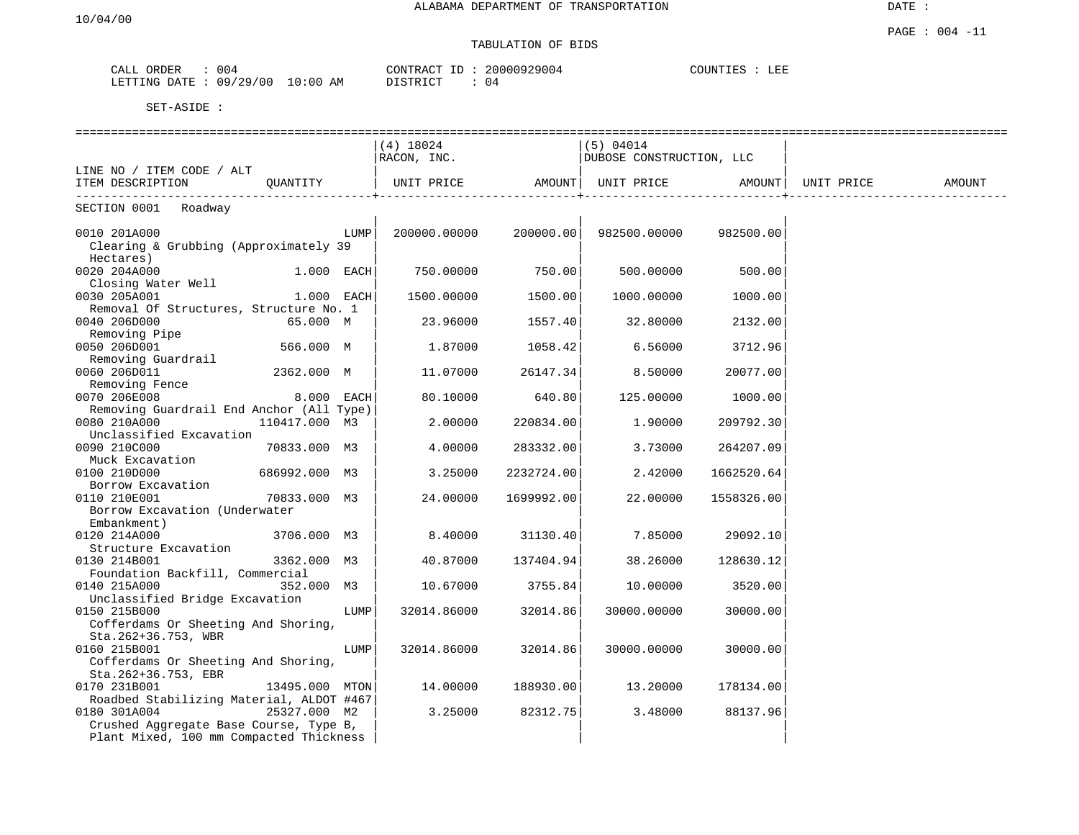## TABULATION OF BIDS

| ORDER<br>$\cdot$<br>للدائب      | ``<br>004        |            | $\sqrt{2}$<br>חידור∩י<br>$\overline{\phantom{a}}$ | 29004 | <b>IPIT</b><br>. INT'<br>$\overline{\phantom{1}}$<br>프로다 |
|---------------------------------|------------------|------------|---------------------------------------------------|-------|----------------------------------------------------------|
| <b>RTTTNC</b><br>$\overline{N}$ | ാ വ<br>0C<br>و ر | AΜ<br>- 00 | $T \cap T$<br>----<br>⋯                           | () 4  |                                                          |

|                                                                                   |                |      | ---------------------------- |            |                          |            |            |        |
|-----------------------------------------------------------------------------------|----------------|------|------------------------------|------------|--------------------------|------------|------------|--------|
|                                                                                   |                |      | (4) 18024                    |            | (5) 04014                |            |            |        |
|                                                                                   |                |      | RACON, INC.                  |            | DUBOSE CONSTRUCTION, LLC |            |            |        |
| LINE NO / ITEM CODE / ALT<br>ITEM DESCRIPTION                                     | OUANTITY       |      | UNIT PRICE                   | AMOUNT     | UNIT PRICE AMOUNT        |            | UNIT PRICE | AMOUNT |
|                                                                                   |                |      |                              |            |                          |            |            |        |
| SECTION 0001 Roadway                                                              |                |      |                              |            |                          |            |            |        |
| 0010 201A000<br>Clearing & Grubbing (Approximately 39                             |                | LUMP | 200000.00000                 |            | 200000.00 982500.00000   | 982500.00  |            |        |
| Hectares)<br>0020 204A000                                                         | $1.000$ EACH   |      | 750.00000                    | 750.00     | 500.00000                | 500.00     |            |        |
| Closing Water Well                                                                |                |      |                              |            |                          |            |            |        |
| 0030 205A001                                                                      | 1.000 EACH     |      | 1500.00000                   | 1500.00    | 1000.00000               | 1000.00    |            |        |
| Removal Of Structures, Structure No. 1<br>0040 206D000                            |                |      |                              |            |                          |            |            |        |
| Removing Pipe                                                                     | 65.000 M       |      | 23.96000                     | 1557.40    | 32.80000                 | 2132.00    |            |        |
| 0050 206D001                                                                      | 566.000 M      |      | 1.87000                      | 1058.42    | 6.56000                  | 3712.96    |            |        |
| Removing Guardrail<br>0060 206D011                                                | 2362.000 M     |      | 11.07000                     | 26147.34   | 8.50000                  | 20077.00   |            |        |
| 160 zoune -<br>Removing Fence<br>3.000 EACH<br>0070 206E008                       |                |      | 80.10000                     | 640.80     | 125.00000                | 1000.00    |            |        |
| Removing Guardrail End Anchor (All Type)                                          |                |      |                              |            |                          |            |            |        |
| 0080 210A000                                                                      | 110417.000 M3  |      | 2,00000                      | 220834.00  | 1,90000                  | 209792.30  |            |        |
| Unclassified Excavation<br>0090 210C000                                           | 70833.000 M3   |      | 4,00000                      | 283332.00  | 3.73000                  | 264207.09  |            |        |
| Muck Excavation                                                                   |                |      |                              |            |                          |            |            |        |
| 0100 210D000                                                                      | 686992.000 M3  |      | 3.25000                      | 2232724.00 | 2.42000                  | 1662520.64 |            |        |
| Borrow Excavation                                                                 |                |      |                              |            |                          |            |            |        |
| 0110 210E001                                                                      | 70833.000 M3   |      | 24.00000                     | 1699992.00 | 22.00000                 | 1558326.00 |            |        |
| Borrow Excavation (Underwater<br>Embankment)                                      |                |      |                              |            |                          |            |            |        |
| 0120 214A000                                                                      | 3706.000 M3    |      | 8.40000                      | 31130.40   | 7.85000                  | 29092.10   |            |        |
| Structure Excavation                                                              |                |      |                              |            |                          |            |            |        |
| 0130 214B001                                                                      | 3362.000 M3    |      | 40.87000                     | 137404.94  | 38.26000                 | 128630.12  |            |        |
| Foundation Backfill, Commercial                                                   |                |      |                              |            |                          |            |            |        |
| 0140 215A000                                                                      | 352.000 M3     |      | 10.67000                     | 3755.84    | 10.00000                 | 3520.00    |            |        |
| Unclassified Bridge Excavation                                                    |                |      |                              |            |                          |            |            |        |
| 0150 215B000                                                                      |                | LUMP | 32014.86000                  | 32014.86   | 30000.00000              | 30000.00   |            |        |
| Cofferdams Or Sheeting And Shoring,                                               |                |      |                              |            |                          |            |            |        |
| Sta.262+36.753, WBR                                                               |                |      |                              |            |                          |            |            |        |
| 0160 215B001<br>Cofferdams Or Sheeting And Shoring,                               |                | LUMP | 32014.86000                  | 32014.86   | 30000.00000              | 30000.00   |            |        |
| Sta. 262+36.753, EBR                                                              |                |      |                              |            |                          |            |            |        |
| 0170 231B001                                                                      | 13495.000 MTON |      | 14.00000                     | 188930.00  | 13.20000                 | 178134.00  |            |        |
| Roadbed Stabilizing Material, ALDOT #467                                          |                |      |                              |            |                          |            |            |        |
| 0180 301A004                                                                      | 25327.000 M2   |      | 3.25000                      | 82312.75   | 3.48000                  | 88137.96   |            |        |
| Crushed Aggregate Base Course, Type B,<br>Plant Mixed, 100 mm Compacted Thickness |                |      |                              |            |                          |            |            |        |
|                                                                                   |                |      |                              |            |                          |            |            |        |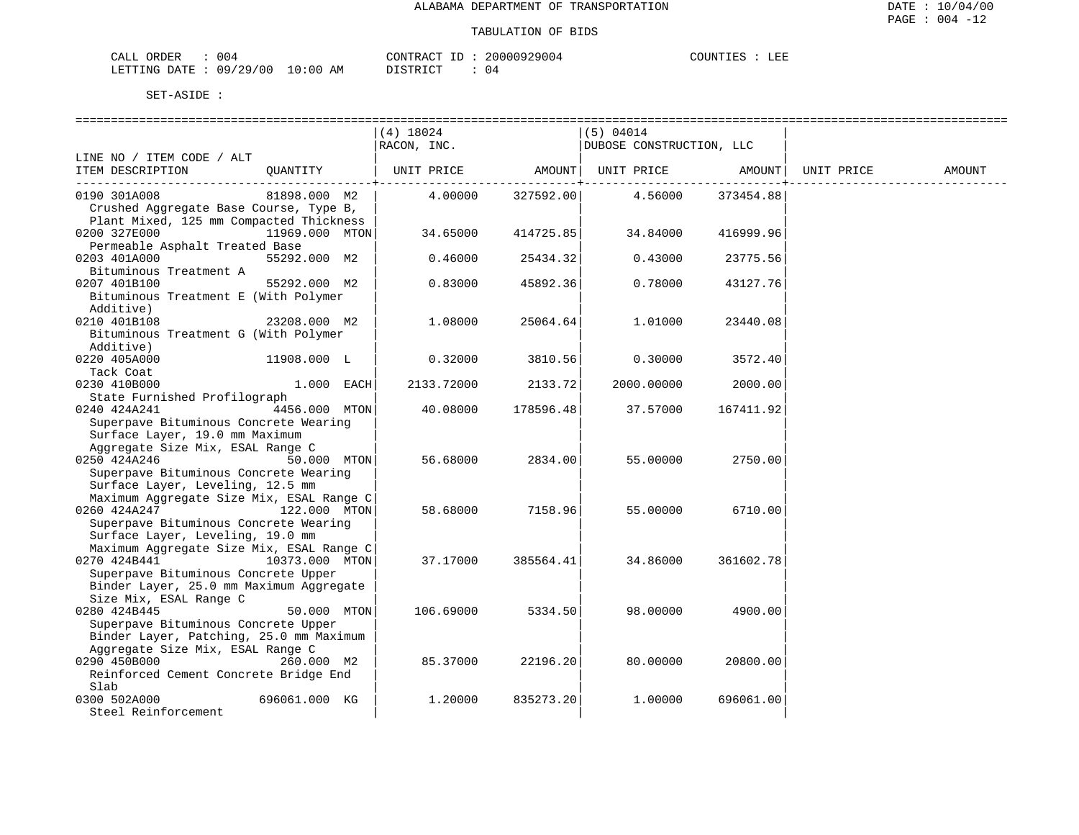| CALL ORDER                       | 004 | CONTRACT ID: 20000929004 |  | COUNTIES : LEE |  |
|----------------------------------|-----|--------------------------|--|----------------|--|
| LETTING DATE : 09/29/00 10:00 AM |     | DISTRICT                 |  |                |  |

|                                          |                | $(4)$ 18024 |                | (5) 04014                |           |        |
|------------------------------------------|----------------|-------------|----------------|--------------------------|-----------|--------|
|                                          |                | RACON, INC. |                | DUBOSE CONSTRUCTION, LLC |           |        |
| LINE NO / ITEM CODE / ALT                |                |             |                |                          |           |        |
| ITEM DESCRIPTION                         | OUANTITY       |             |                |                          |           | AMOUNT |
|                                          |                |             | ------------+- |                          |           |        |
| 0190 301A008                             | 81898.000 M2   | 4.00000     |                | $327592.00$ 4.56000      | 373454.88 |        |
| Crushed Aggregate Base Course, Type B,   |                |             |                |                          |           |        |
| Plant Mixed, 125 mm Compacted Thickness  |                |             |                |                          |           |        |
| 0200 327E000                             | 11969.000 MTON | 34.65000    | 414725.85      | 34.84000                 | 416999.96 |        |
| Permeable Asphalt Treated Base           |                |             |                |                          |           |        |
| 0203 401A000                             | 55292.000 M2   | 0.46000     | 25434.32       | 0.43000                  | 23775.56  |        |
| Bituminous Treatment A                   |                |             |                |                          |           |        |
| 0207 401B100                             | 55292.000 M2   | 0.83000     | 45892.36       | 0.78000                  | 43127.76  |        |
| Bituminous Treatment E (With Polymer     |                |             |                |                          |           |        |
| Additive)                                |                |             |                |                          |           |        |
|                                          |                |             |                |                          |           |        |
| 0210 401B108                             | 23208.000 M2   | 1,08000     | 25064.64       | 1,01000                  | 23440.08  |        |
| Bituminous Treatment G (With Polymer     |                |             |                |                          |           |        |
| Additive)                                |                |             |                |                          |           |        |
| 0220 405A000<br>11908.000 L              |                | 0.32000     | 3810.56        | 0.30000                  | 3572.40   |        |
| Tack Coat                                |                |             |                |                          |           |        |
| 0230 410B000                             | $1.000$ EACH   | 2133.72000  | 2133.72        | 2000.00000               | 2000.00   |        |
| State Furnished Profilograph             |                |             |                |                          |           |        |
| 0240 424A241                             | 4456.000 MTON  | 40.08000    | 178596.48      | 37.57000                 | 167411.92 |        |
| Superpave Bituminous Concrete Wearing    |                |             |                |                          |           |        |
| Surface Layer, 19.0 mm Maximum           |                |             |                |                          |           |        |
| Aggregate Size Mix, ESAL Range C         |                |             |                |                          |           |        |
| 0250 424A246                             | 50.000 MTON    | 56.68000    | 2834.00        | 55.00000                 | 2750.00   |        |
| Superpave Bituminous Concrete Wearing    |                |             |                |                          |           |        |
| Surface Layer, Leveling, 12.5 mm         |                |             |                |                          |           |        |
| Maximum Aggregate Size Mix, ESAL Range C |                |             |                |                          |           |        |
| 0260 424A247                             | 122.000 MTON   | 58.68000    | 7158.96        | 55.00000                 | 6710.00   |        |
| Superpave Bituminous Concrete Wearing    |                |             |                |                          |           |        |
| Surface Layer, Leveling, 19.0 mm         |                |             |                |                          |           |        |
| Maximum Aggregate Size Mix, ESAL Range C |                |             |                |                          |           |        |
| 0270 424B441                             | 10373.000 MTON | 37.17000    | 385564.41      | 34.86000                 | 361602.78 |        |
| Superpave Bituminous Concrete Upper      |                |             |                |                          |           |        |
| Binder Layer, 25.0 mm Maximum Aggregate  |                |             |                |                          |           |        |
| Size Mix, ESAL Range C                   |                |             |                |                          |           |        |
| 0280 424B445                             | 50.000 MTON    | 106.69000   | 5334.50        | 98.00000                 | 4900.00   |        |
| Superpave Bituminous Concrete Upper      |                |             |                |                          |           |        |
| Binder Layer, Patching, 25.0 mm Maximum  |                |             |                |                          |           |        |
| Aggregate Size Mix, ESAL Range C         |                |             |                |                          |           |        |
| 0290 450B000                             | 260.000 M2     | 85.37000    | 22196.20       | 80.00000                 | 20800.00  |        |
| Reinforced Cement Concrete Bridge End    |                |             |                |                          |           |        |
| Slab                                     |                |             |                |                          |           |        |
| 0300 502A000                             | 696061.000 KG  | 1,20000     | 835273.20      | 1,00000                  | 696061.00 |        |
| Steel Reinforcement                      |                |             |                |                          |           |        |
|                                          |                |             |                |                          |           |        |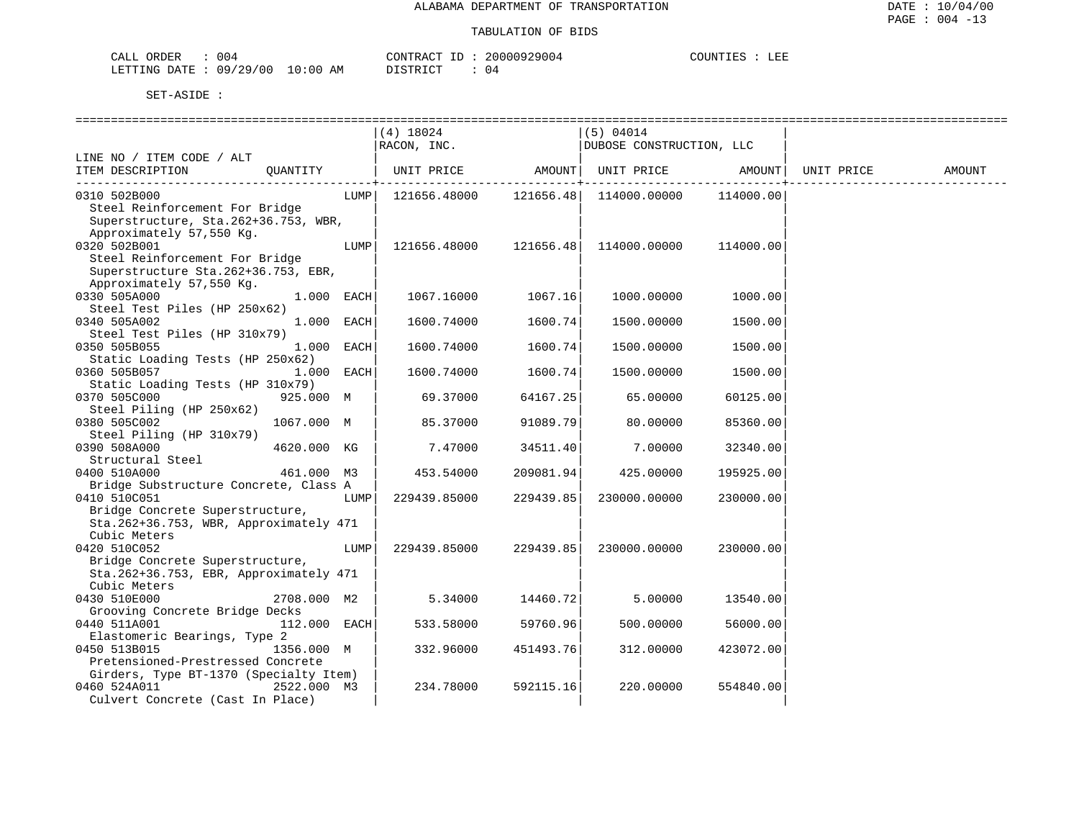| CALL ORDER                       | 004 |  |          |  | CONTRACT ID: 20000929004 | COUNTIES | LEE |
|----------------------------------|-----|--|----------|--|--------------------------|----------|-----|
| LETTING DATE : 09/29/00 10:00 AM |     |  | DISTRICT |  | 04                       |          |     |

|                                                |             | (4) 18024                                                                                                        |           | (5) 04014                                        |              |  |
|------------------------------------------------|-------------|------------------------------------------------------------------------------------------------------------------|-----------|--------------------------------------------------|--------------|--|
|                                                |             | $RACON$ , INC.                                                                                                   |           | DUBOSE CONSTRUCTION, LLC                         |              |  |
| LINE NO / ITEM CODE / ALT                      |             |                                                                                                                  |           |                                                  |              |  |
| ITEM DESCRIPTION OUANTITY                      |             | UNIT PRICE                  AMOUNT    UNIT PRICE                 AMOUNT    UNIT PRICE                     AMOUNT |           |                                                  | . <u>.</u> 4 |  |
| 0310 502B000                                   | <b>LUMP</b> | -----------------------------+------                                                                             |           | 121656.48000  121656.48  114000.00000  114000.00 |              |  |
| Steel Reinforcement For Bridge                 |             |                                                                                                                  |           |                                                  |              |  |
| Superstructure, Sta. 262+36.753, WBR,          |             |                                                                                                                  |           |                                                  |              |  |
| Approximately 57,550 Kg.                       |             |                                                                                                                  |           |                                                  |              |  |
| 0320 502B001                                   | LUMP        | 121656.48000                                                                                                     | 121656.48 | 114000.00000                                     | 114000.00    |  |
| Steel Reinforcement For Bridge                 |             |                                                                                                                  |           |                                                  |              |  |
| Superstructure Sta. 262+36.753, EBR,           |             |                                                                                                                  |           |                                                  |              |  |
| Approximately 57,550 Kg.                       |             |                                                                                                                  |           |                                                  |              |  |
| 0330 505A000<br>$1.000$ EACH                   |             | 1067.16000                                                                                                       | 1067.16   | 1000.00000                                       | 1000.00      |  |
| Steel Test Piles (HP 250x62)                   |             |                                                                                                                  |           |                                                  |              |  |
| 1.000 EACH<br>0340 505A002                     |             | 1600.74000                                                                                                       | 1600.74   | 1500.00000                                       | 1500.00      |  |
| Steel Test Piles (HP 310x79)                   |             |                                                                                                                  |           |                                                  |              |  |
| 1.000 EACH<br>0350 505B055                     |             | 1600.74000                                                                                                       | 1600.74   | 1500.00000                                       | 1500.00      |  |
| Static Loading Tests (HP 250x62)               |             |                                                                                                                  |           |                                                  |              |  |
| 0360 505B057<br>1.000 EACH                     |             | 1600.74000                                                                                                       | 1600.74   | 1500.00000                                       | 1500.00      |  |
| Static Loading Tests (HP 310x79)               |             |                                                                                                                  |           |                                                  |              |  |
| 925.000 M<br>0370 505C000                      |             | 69.37000                                                                                                         | 64167.25  | 65.00000                                         | 60125.00     |  |
| Steel Piling (HP 250x62)                       |             |                                                                                                                  |           |                                                  |              |  |
| 0380 505C002<br>1067.000 M                     |             | 85.37000                                                                                                         | 91089.79  | 80.00000                                         | 85360.00     |  |
| Steel Piling (HP 310x79)                       |             |                                                                                                                  |           |                                                  |              |  |
| 4620.000 KG<br>0390 508A000                    |             | 7.47000                                                                                                          | 34511.40  | 7.00000                                          | 32340.00     |  |
| Structural Steel<br>0400 510A000<br>461.000 M3 |             | 453.54000                                                                                                        | 209081.94 | 425.00000                                        |              |  |
| Bridge Substructure Concrete, Class A          |             |                                                                                                                  |           |                                                  | 195925.00    |  |
| 0410 510C051                                   | LUMP        | 229439.85000                                                                                                     | 229439.85 | 230000.00000                                     | 230000.00    |  |
| Bridge Concrete Superstructure,                |             |                                                                                                                  |           |                                                  |              |  |
| Sta.262+36.753, WBR, Approximately 471         |             |                                                                                                                  |           |                                                  |              |  |
| Cubic Meters                                   |             |                                                                                                                  |           |                                                  |              |  |
| 0420 510C052                                   | LUMP        | 229439.85000                                                                                                     | 229439.85 | 230000.00000                                     | 230000.00    |  |
| Bridge Concrete Superstructure,                |             |                                                                                                                  |           |                                                  |              |  |
| Sta. 262+36.753, EBR, Approximately 471        |             |                                                                                                                  |           |                                                  |              |  |
| Cubic Meters                                   |             |                                                                                                                  |           |                                                  |              |  |
| 0430 510E000<br>2708.000 M2                    |             | 5.34000                                                                                                          | 14460.72  | 5.00000                                          | 13540.00     |  |
| Grooving Concrete Bridge Decks                 |             |                                                                                                                  |           |                                                  |              |  |
| 0440 511A001<br>$112.000$ EACH                 |             | 533.58000                                                                                                        | 59760.96  | 500.00000                                        | 56000.00     |  |
| Elastomeric Bearings, Type 2                   |             |                                                                                                                  |           |                                                  |              |  |
| 0450 513B015<br>1356.000 M                     |             | 332.96000                                                                                                        | 451493.76 | 312.00000                                        | 423072.00    |  |
| Pretensioned-Prestressed Concrete              |             |                                                                                                                  |           |                                                  |              |  |
| Girders, Type BT-1370 (Specialty Item)         |             |                                                                                                                  |           |                                                  |              |  |
| 0460 524A011<br>2522.000 M3                    |             | 234.78000                                                                                                        | 592115.16 | 220,00000                                        | 554840.00    |  |
| Culvert Concrete (Cast In Place)               |             |                                                                                                                  |           |                                                  |              |  |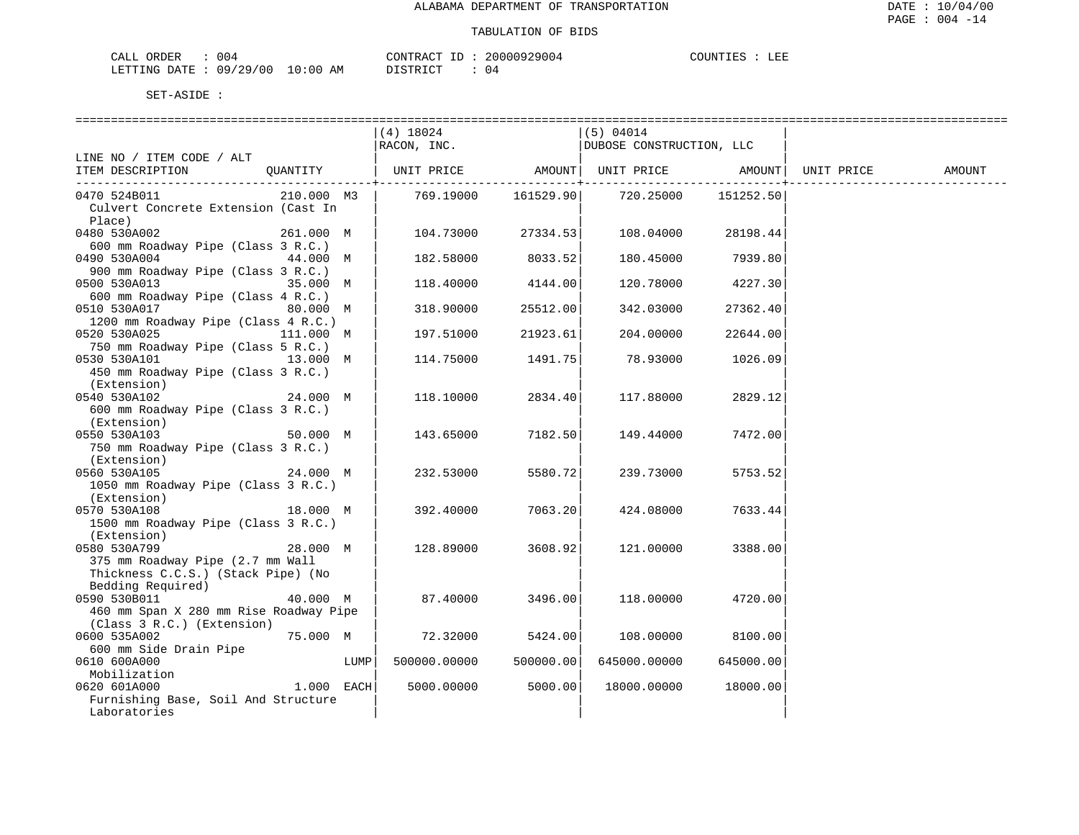| CALL ORDER                       | 004 | CONTRACT ID: 20000929004 |  | COUNTIES : LEE |  |
|----------------------------------|-----|--------------------------|--|----------------|--|
| LETTING DATE : 09/29/00 10:00 AM |     | DISTRICT                 |  |                |  |

|                                        | (4) 18024    |           | (5) 04014                |           |            |        |
|----------------------------------------|--------------|-----------|--------------------------|-----------|------------|--------|
|                                        | RACON, INC.  |           | DUBOSE CONSTRUCTION, LLC |           |            |        |
| LINE NO / ITEM CODE / ALT              |              |           |                          |           |            |        |
| QUANTITY<br>ITEM DESCRIPTION           | UNIT PRICE   | AMOUNT    | UNIT PRICE               | AMOUNT    | UNIT PRICE | AMOUNT |
| 210.000 M3<br>0470 524B011             | 769.19000    | 161529.90 | 720.25000                | 151252.50 |            |        |
| Culvert Concrete Extension (Cast In    |              |           |                          |           |            |        |
| Place)                                 |              |           |                          |           |            |        |
| 0480 530A002 261.000 M                 | 104.73000    | 27334.53  | 108.04000                | 28198.44  |            |        |
| 600 mm Roadway Pipe (Class 3 R.C.)     |              |           |                          |           |            |        |
| 0490 530A004<br>44.000 M               | 182.58000    | 8033.52   | 180.45000                | 7939.80   |            |        |
| 900 mm Roadway Pipe (Class 3 R.C.)     |              |           |                          |           |            |        |
| 0500 530A013<br>35.000 M               | 118.40000    | 4144.00   | 120.78000                | 4227.30   |            |        |
| 600 mm Roadway Pipe (Class 4 R.C.)     |              |           |                          |           |            |        |
| 0510 530A017 80.000 M                  | 318.90000    | 25512.00  | 342.03000                | 27362.40  |            |        |
| 1200 mm Roadway Pipe (Class 4 R.C.)    |              |           |                          |           |            |        |
| 0520 530A025<br>111.000 M              | 197.51000    | 21923.61  | 204.00000                | 22644.00  |            |        |
| 750 mm Roadway Pipe (Class 5 R.C.)     |              |           |                          |           |            |        |
| 0530 530A101<br>13.000 M               |              | 1491.75   | 78.93000                 | 1026.09   |            |        |
|                                        | 114.75000    |           |                          |           |            |        |
| 450 mm Roadway Pipe (Class 3 R.C.)     |              |           |                          |           |            |        |
| (Extension)                            |              |           |                          |           |            |        |
| 0540 530A102<br>24.000 M               | 118.10000    | 2834.40   | 117.88000                | 2829.12   |            |        |
| 600 mm Roadway Pipe (Class 3 R.C.)     |              |           |                          |           |            |        |
| (Extension)                            |              |           |                          |           |            |        |
| 0550 530A103<br>50.000 M               | 143.65000    | 7182.50   | 149.44000                | 7472.00   |            |        |
| 750 mm Roadway Pipe (Class 3 R.C.)     |              |           |                          |           |            |        |
| (Extension)                            |              |           |                          |           |            |        |
| 0560 530A105<br>24.000 M               | 232.53000    | 5580.72   | 239.73000                | 5753.52   |            |        |
| 1050 mm Roadway Pipe (Class 3 R.C.)    |              |           |                          |           |            |        |
| (Extension)                            |              |           |                          |           |            |        |
| 0570 530A108<br>18.000 M               | 392.40000    | 7063.20   | 424.08000                | 7633.44   |            |        |
| 1500 mm Roadway Pipe (Class 3 R.C.)    |              |           |                          |           |            |        |
| (Extension)                            |              |           |                          |           |            |        |
| 0580 530A799<br>28.000 M               | 128.89000    | 3608.92   | 121.00000                | 3388.00   |            |        |
| 375 mm Roadway Pipe (2.7 mm Wall       |              |           |                          |           |            |        |
| Thickness C.C.S.) (Stack Pipe) (No     |              |           |                          |           |            |        |
| Bedding Required)                      |              |           |                          |           |            |        |
| 0590 530B011<br>40.000 M               | 87.40000     | 3496.00   | 118.00000                | 4720.00   |            |        |
| 460 mm Span X 280 mm Rise Roadway Pipe |              |           |                          |           |            |        |
| (Class 3 R.C.) (Extension)             |              |           |                          |           |            |        |
| 0600 535A002<br>75.000 M               | 72.32000     | 5424.00   | 108.00000                | 8100.00   |            |        |
| 600 mm Side Drain Pipe                 |              |           |                          |           |            |        |
| 0610 600A000<br>LUMP                   | 500000.00000 | 500000.00 | 645000.00000             | 645000.00 |            |        |
| Mobilization                           |              |           |                          |           |            |        |
| 0620 601A000<br>$1.000$ EACH           | 5000.00000   | 5000.00   | 18000.00000              | 18000.00  |            |        |
| Furnishing Base, Soil And Structure    |              |           |                          |           |            |        |
| Laboratories                           |              |           |                          |           |            |        |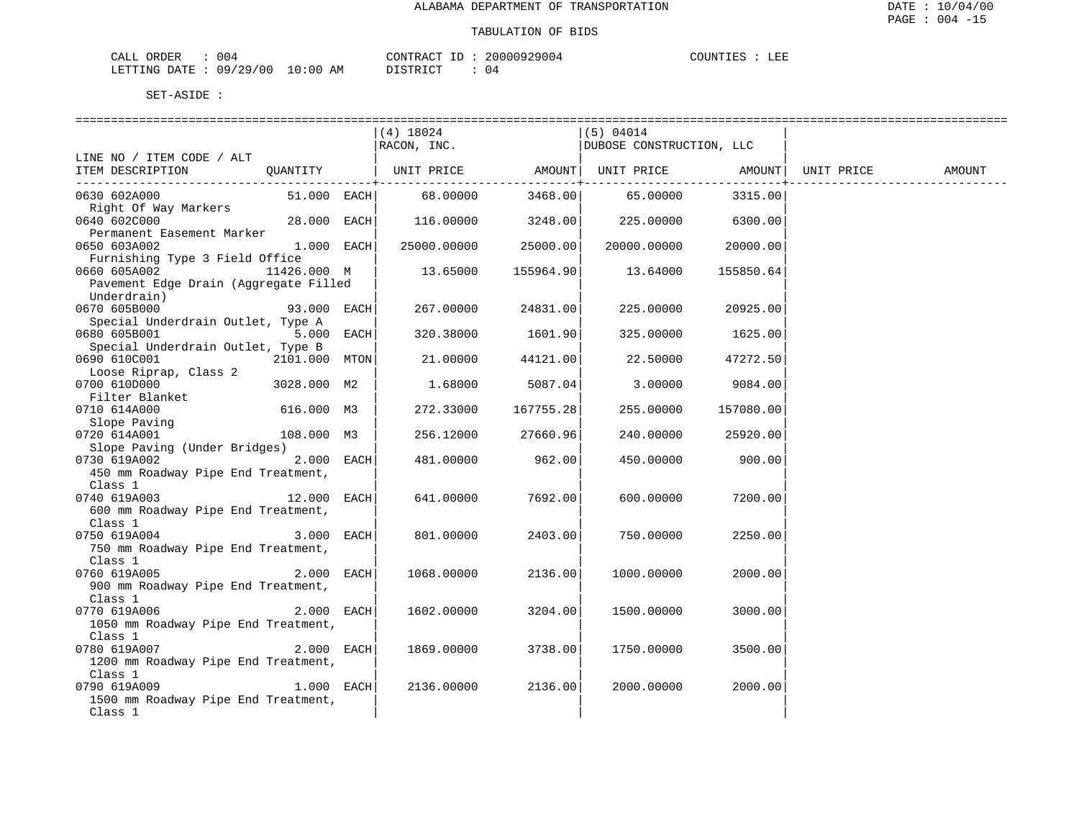| CALL | ORDER | 004                    |          | CONTRACT ID.    |  | 20000929004 | COUNTIES | LEE |
|------|-------|------------------------|----------|-----------------|--|-------------|----------|-----|
|      |       | LETTING DATE: 09/29/00 | 10:00 AM | <b>DISTRICT</b> |  | 04          |          |     |

| (4) 18024<br>(5) 04014<br>RACON, INC.<br>DUBOSE CONSTRUCTION, LLC<br>LINE NO / ITEM CODE / ALT<br>ITEM DESCRIPTION QUANTITY   UNIT PRICE AMOUNT  UNIT PRICE AMOUNT <br>UNIT PRICE<br>AMOUNT<br>51.000 EACH 68.00000<br>3468.00 65.00000<br>3315.00<br>0630 602A000<br>Right Of Way Markers<br>28.000 EACH<br>$116.00000$ $3248.00$ $225.00000$ 6300.00<br>0640 602C000<br>Permanent Easement Marker<br>$1.000$ EACH<br>25000.00<br>0650 603A002<br>25000.00000<br>20000.00000 20000.00<br>Furnishing Type 3 Field Office<br>0660 605A002<br>11426.000 M<br>13.65000<br>155850.64<br>Pavement Edge Drain (Aggregate Filled<br>Underdrain)<br>0670 605B000<br>93.000 EACH<br>267.00000<br>24831.00<br>225.00000<br>20925.00<br>Special Underdrain Outlet, Type A<br>0680 605B001<br>1601.90<br>5.000<br>EACH<br>320.38000<br>325.00000<br>1625.00<br>Special Underdrain Outlet, Type B<br>0690 610C001<br>2101.000 MTON<br>21.00000<br>44121.00<br>22.50000<br>47272.50<br>Loose Riprap, Class 2<br>0700 610D000<br>3028.000 M2<br>1.68000<br>5087.04<br>3.00000<br>9084.00<br>Filter Blanket<br>616.000 M3<br>0710 614A000<br>272.33000<br>167755.28<br>255.00000<br>157080.00<br>Slope Paving<br>0720 614A001<br>108.000 M3<br>256.12000<br>27660.96<br>240.00000<br>25920.00<br>Slope Paving (Under Bridges)<br>0730 619A002 2.000 EACH<br>962.00<br>481.00000<br>450.00000<br>900.00 |
|----------------------------------------------------------------------------------------------------------------------------------------------------------------------------------------------------------------------------------------------------------------------------------------------------------------------------------------------------------------------------------------------------------------------------------------------------------------------------------------------------------------------------------------------------------------------------------------------------------------------------------------------------------------------------------------------------------------------------------------------------------------------------------------------------------------------------------------------------------------------------------------------------------------------------------------------------------------------------------------------------------------------------------------------------------------------------------------------------------------------------------------------------------------------------------------------------------------------------------------------------------------------------------------------------------------------------------------------------------------------------------------|
|                                                                                                                                                                                                                                                                                                                                                                                                                                                                                                                                                                                                                                                                                                                                                                                                                                                                                                                                                                                                                                                                                                                                                                                                                                                                                                                                                                                        |
|                                                                                                                                                                                                                                                                                                                                                                                                                                                                                                                                                                                                                                                                                                                                                                                                                                                                                                                                                                                                                                                                                                                                                                                                                                                                                                                                                                                        |
|                                                                                                                                                                                                                                                                                                                                                                                                                                                                                                                                                                                                                                                                                                                                                                                                                                                                                                                                                                                                                                                                                                                                                                                                                                                                                                                                                                                        |
|                                                                                                                                                                                                                                                                                                                                                                                                                                                                                                                                                                                                                                                                                                                                                                                                                                                                                                                                                                                                                                                                                                                                                                                                                                                                                                                                                                                        |
|                                                                                                                                                                                                                                                                                                                                                                                                                                                                                                                                                                                                                                                                                                                                                                                                                                                                                                                                                                                                                                                                                                                                                                                                                                                                                                                                                                                        |
|                                                                                                                                                                                                                                                                                                                                                                                                                                                                                                                                                                                                                                                                                                                                                                                                                                                                                                                                                                                                                                                                                                                                                                                                                                                                                                                                                                                        |
|                                                                                                                                                                                                                                                                                                                                                                                                                                                                                                                                                                                                                                                                                                                                                                                                                                                                                                                                                                                                                                                                                                                                                                                                                                                                                                                                                                                        |
|                                                                                                                                                                                                                                                                                                                                                                                                                                                                                                                                                                                                                                                                                                                                                                                                                                                                                                                                                                                                                                                                                                                                                                                                                                                                                                                                                                                        |
|                                                                                                                                                                                                                                                                                                                                                                                                                                                                                                                                                                                                                                                                                                                                                                                                                                                                                                                                                                                                                                                                                                                                                                                                                                                                                                                                                                                        |
|                                                                                                                                                                                                                                                                                                                                                                                                                                                                                                                                                                                                                                                                                                                                                                                                                                                                                                                                                                                                                                                                                                                                                                                                                                                                                                                                                                                        |
|                                                                                                                                                                                                                                                                                                                                                                                                                                                                                                                                                                                                                                                                                                                                                                                                                                                                                                                                                                                                                                                                                                                                                                                                                                                                                                                                                                                        |
|                                                                                                                                                                                                                                                                                                                                                                                                                                                                                                                                                                                                                                                                                                                                                                                                                                                                                                                                                                                                                                                                                                                                                                                                                                                                                                                                                                                        |
|                                                                                                                                                                                                                                                                                                                                                                                                                                                                                                                                                                                                                                                                                                                                                                                                                                                                                                                                                                                                                                                                                                                                                                                                                                                                                                                                                                                        |
|                                                                                                                                                                                                                                                                                                                                                                                                                                                                                                                                                                                                                                                                                                                                                                                                                                                                                                                                                                                                                                                                                                                                                                                                                                                                                                                                                                                        |
|                                                                                                                                                                                                                                                                                                                                                                                                                                                                                                                                                                                                                                                                                                                                                                                                                                                                                                                                                                                                                                                                                                                                                                                                                                                                                                                                                                                        |
|                                                                                                                                                                                                                                                                                                                                                                                                                                                                                                                                                                                                                                                                                                                                                                                                                                                                                                                                                                                                                                                                                                                                                                                                                                                                                                                                                                                        |
|                                                                                                                                                                                                                                                                                                                                                                                                                                                                                                                                                                                                                                                                                                                                                                                                                                                                                                                                                                                                                                                                                                                                                                                                                                                                                                                                                                                        |
|                                                                                                                                                                                                                                                                                                                                                                                                                                                                                                                                                                                                                                                                                                                                                                                                                                                                                                                                                                                                                                                                                                                                                                                                                                                                                                                                                                                        |
|                                                                                                                                                                                                                                                                                                                                                                                                                                                                                                                                                                                                                                                                                                                                                                                                                                                                                                                                                                                                                                                                                                                                                                                                                                                                                                                                                                                        |
|                                                                                                                                                                                                                                                                                                                                                                                                                                                                                                                                                                                                                                                                                                                                                                                                                                                                                                                                                                                                                                                                                                                                                                                                                                                                                                                                                                                        |
|                                                                                                                                                                                                                                                                                                                                                                                                                                                                                                                                                                                                                                                                                                                                                                                                                                                                                                                                                                                                                                                                                                                                                                                                                                                                                                                                                                                        |
|                                                                                                                                                                                                                                                                                                                                                                                                                                                                                                                                                                                                                                                                                                                                                                                                                                                                                                                                                                                                                                                                                                                                                                                                                                                                                                                                                                                        |
|                                                                                                                                                                                                                                                                                                                                                                                                                                                                                                                                                                                                                                                                                                                                                                                                                                                                                                                                                                                                                                                                                                                                                                                                                                                                                                                                                                                        |
|                                                                                                                                                                                                                                                                                                                                                                                                                                                                                                                                                                                                                                                                                                                                                                                                                                                                                                                                                                                                                                                                                                                                                                                                                                                                                                                                                                                        |
| 450 mm Roadway Pipe End Treatment,                                                                                                                                                                                                                                                                                                                                                                                                                                                                                                                                                                                                                                                                                                                                                                                                                                                                                                                                                                                                                                                                                                                                                                                                                                                                                                                                                     |
| Class 1                                                                                                                                                                                                                                                                                                                                                                                                                                                                                                                                                                                                                                                                                                                                                                                                                                                                                                                                                                                                                                                                                                                                                                                                                                                                                                                                                                                |
| 0740 619A003 12.000 EACH<br>7692.00<br>600.00000<br>7200.00<br>641.00000                                                                                                                                                                                                                                                                                                                                                                                                                                                                                                                                                                                                                                                                                                                                                                                                                                                                                                                                                                                                                                                                                                                                                                                                                                                                                                               |
| 600 mm Roadway Pipe End Treatment,                                                                                                                                                                                                                                                                                                                                                                                                                                                                                                                                                                                                                                                                                                                                                                                                                                                                                                                                                                                                                                                                                                                                                                                                                                                                                                                                                     |
| Class 1                                                                                                                                                                                                                                                                                                                                                                                                                                                                                                                                                                                                                                                                                                                                                                                                                                                                                                                                                                                                                                                                                                                                                                                                                                                                                                                                                                                |
| 0750 619A004<br>$3.000$ EACH<br>2403.00<br>801,00000<br>750.00000<br>2250.00                                                                                                                                                                                                                                                                                                                                                                                                                                                                                                                                                                                                                                                                                                                                                                                                                                                                                                                                                                                                                                                                                                                                                                                                                                                                                                           |
| 750 mm Roadway Pipe End Treatment,                                                                                                                                                                                                                                                                                                                                                                                                                                                                                                                                                                                                                                                                                                                                                                                                                                                                                                                                                                                                                                                                                                                                                                                                                                                                                                                                                     |
| Class 1                                                                                                                                                                                                                                                                                                                                                                                                                                                                                                                                                                                                                                                                                                                                                                                                                                                                                                                                                                                                                                                                                                                                                                                                                                                                                                                                                                                |
| 0760 619A005<br>$2.000$ EACH<br>2136.00<br>1068.00000<br>1000.00000<br>2000.00<br>900 mm Roadway Pipe End Treatment,                                                                                                                                                                                                                                                                                                                                                                                                                                                                                                                                                                                                                                                                                                                                                                                                                                                                                                                                                                                                                                                                                                                                                                                                                                                                   |
| Class 1                                                                                                                                                                                                                                                                                                                                                                                                                                                                                                                                                                                                                                                                                                                                                                                                                                                                                                                                                                                                                                                                                                                                                                                                                                                                                                                                                                                |
| 0770 619A006<br>2.000 EACH<br>1602.00000<br>3204.00<br>1500.00000<br>3000.00                                                                                                                                                                                                                                                                                                                                                                                                                                                                                                                                                                                                                                                                                                                                                                                                                                                                                                                                                                                                                                                                                                                                                                                                                                                                                                           |
| 1050 mm Roadway Pipe End Treatment,                                                                                                                                                                                                                                                                                                                                                                                                                                                                                                                                                                                                                                                                                                                                                                                                                                                                                                                                                                                                                                                                                                                                                                                                                                                                                                                                                    |
| Class 1                                                                                                                                                                                                                                                                                                                                                                                                                                                                                                                                                                                                                                                                                                                                                                                                                                                                                                                                                                                                                                                                                                                                                                                                                                                                                                                                                                                |
| 0780 619A007<br>$2.000$ EACH<br>1869.00000<br>3738.00<br>1750.00000<br>3500.00                                                                                                                                                                                                                                                                                                                                                                                                                                                                                                                                                                                                                                                                                                                                                                                                                                                                                                                                                                                                                                                                                                                                                                                                                                                                                                         |
| 1200 mm Roadway Pipe End Treatment,                                                                                                                                                                                                                                                                                                                                                                                                                                                                                                                                                                                                                                                                                                                                                                                                                                                                                                                                                                                                                                                                                                                                                                                                                                                                                                                                                    |
| Class 1                                                                                                                                                                                                                                                                                                                                                                                                                                                                                                                                                                                                                                                                                                                                                                                                                                                                                                                                                                                                                                                                                                                                                                                                                                                                                                                                                                                |
| $1.000$ EACH<br>2136.00<br>0790 619A009<br>2136.00000<br>2000.00000<br>2000.00                                                                                                                                                                                                                                                                                                                                                                                                                                                                                                                                                                                                                                                                                                                                                                                                                                                                                                                                                                                                                                                                                                                                                                                                                                                                                                         |
| 1500 mm Roadway Pipe End Treatment,                                                                                                                                                                                                                                                                                                                                                                                                                                                                                                                                                                                                                                                                                                                                                                                                                                                                                                                                                                                                                                                                                                                                                                                                                                                                                                                                                    |
| Class 1                                                                                                                                                                                                                                                                                                                                                                                                                                                                                                                                                                                                                                                                                                                                                                                                                                                                                                                                                                                                                                                                                                                                                                                                                                                                                                                                                                                |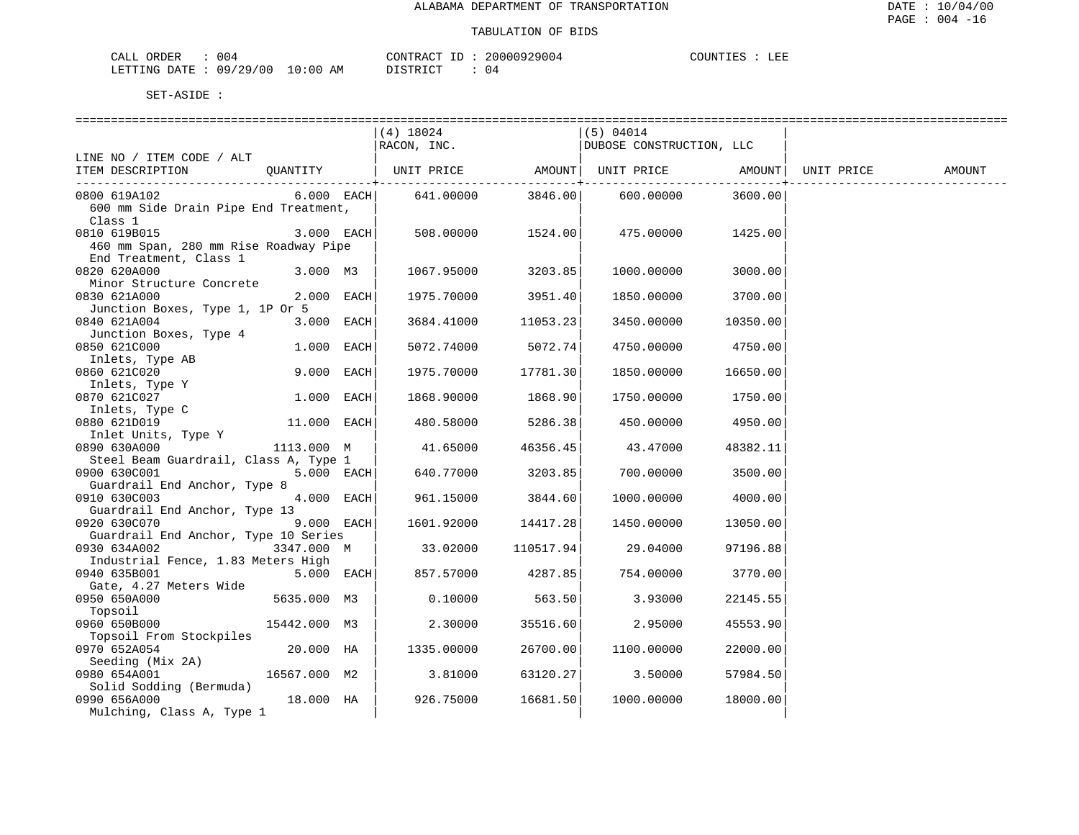| CALL ORDER                       | 004 | CONTRACT ID: 20000929004 |  | COUNTIES : LEE |  |
|----------------------------------|-----|--------------------------|--|----------------|--|
| LETTING DATE : 09/29/00 10:00 AM |     | DISTRICT                 |  |                |  |

|                                                                                                             |              | (4) 18024            |                   | (5) 04014                |                          |  |
|-------------------------------------------------------------------------------------------------------------|--------------|----------------------|-------------------|--------------------------|--------------------------|--|
|                                                                                                             |              | $RACON$ , INC.       |                   | DUBOSE CONSTRUCTION, LLC |                          |  |
| LINE NO / ITEM CODE / ALT                                                                                   |              |                      |                   |                          |                          |  |
| ITEM DESCRIPTION       QUANTITY      UNIT PRICE      AMOUNT  UNIT PRICE      AMOUNT  UNIT PRICE      AMOUNT |              |                      |                   |                          |                          |  |
|                                                                                                             |              |                      | --------------+-- |                          | --------------- <b>-</b> |  |
| 0800 619A102                                                                                                | $6.000$ EACH |                      | 641.00000 3846.00 |                          | 600.00000 3600.00        |  |
| 600 mm Side Drain Pipe End Treatment,                                                                       |              |                      |                   |                          |                          |  |
| Class 1                                                                                                     |              |                      |                   |                          |                          |  |
| 0810 619B015                                                                                                | $3.000$ EACH |                      | 508.00000 1524.00 | 475.00000                | 1425.00                  |  |
| 460 mm Span, 280 mm Rise Roadway Pipe                                                                       |              |                      |                   |                          |                          |  |
| End Treatment, Class 1                                                                                      |              |                      |                   |                          |                          |  |
| 0820 620A000                                                                                                | $3.000$ M3   | $1067.95000$ 3203.85 |                   |                          | 1000.00000 3000.00       |  |
| Minor Structure Concrete                                                                                    |              |                      |                   |                          |                          |  |
| 0830 621A000                                                                                                | 2.000 EACH   | 1975.70000           | 3951.40           | 1850.00000               | 3700.00                  |  |
| Junction Boxes, Type 1, 1P Or 5                                                                             |              |                      |                   |                          |                          |  |
| 0840 621A004                                                                                                | 3.000 EACH   | 3684.41000           | 11053.23          | 3450.00000               | 10350.00                 |  |
| Junction Boxes, Type 4                                                                                      |              |                      |                   |                          |                          |  |
| 0850 621C000                                                                                                | 1.000 EACH   | 5072.74000           | 5072.74           | 4750.00000               | 4750.00                  |  |
| Inlets, Type AB                                                                                             |              |                      |                   |                          |                          |  |
| 0860 621C020                                                                                                | 9.000 EACH   | 1975.70000           | 17781.30          | 1850.00000               | 16650.00                 |  |
| Inlets, Type Y                                                                                              |              |                      |                   |                          |                          |  |
| 0870 621C027                                                                                                | $1.000$ EACH | 1868.90000           | 1868.90           | 1750.00000               | 1750.00                  |  |
| Inlets, Type C                                                                                              |              |                      |                   |                          |                          |  |
| 0880 621D019                                                                                                | 11.000 EACH  | 480.58000            | 5286.38           | 450.00000                | 4950.00                  |  |
| Inlet Units, Type Y<br>1113.000 M<br>0890 630A000                                                           |              | 41.65000             | 46356.45          |                          |                          |  |
|                                                                                                             |              |                      |                   | 43.47000                 | 48382.11                 |  |
| Steel Beam Guardrail, Class A, Type 1<br>0900 630C001 5.000 EACH                                            |              | 640.77000            | 3203.85           |                          |                          |  |
| Guardrail End Anchor, Type 8                                                                                |              |                      |                   | 700.00000                | 3500.00                  |  |
| 0910 630C003                                                                                                | 4.000 EACH   | 961.15000            | 3844.60           | 1000.00000               | 4000.00                  |  |
| Guardrail End Anchor, Type 13                                                                               |              |                      |                   |                          |                          |  |
| 0920 630C070                                                                                                | $9.000$ EACH | 1601.92000           | 14417.28          | 1450.00000               | 13050.00                 |  |
| Guardrail End Anchor, Type 10 Series                                                                        |              |                      |                   |                          |                          |  |
| 0930 634A002                                                                                                | 3347.000 M   | 33.02000             | 110517.94         | 29.04000                 | 97196.88                 |  |
| Industrial Fence, 1.83 Meters High                                                                          |              |                      |                   |                          |                          |  |
| 0940 635B001                                                                                                | $5.000$ EACH | 857.57000            | 4287.85           | 754.00000                | 3770.00                  |  |
| Gate, 4.27 Meters Wide                                                                                      |              |                      |                   |                          |                          |  |
| 0950 650A000                                                                                                | 5635.000 M3  | 0.10000              | 563.50            | 3.93000                  | 22145.55                 |  |
| Topsoil                                                                                                     |              |                      |                   |                          |                          |  |
| 0960 650B000                                                                                                | 15442.000 M3 | 2.30000              | 35516.60          | 2.95000                  | 45553.90                 |  |
| Topsoil From Stockpiles                                                                                     |              |                      |                   |                          |                          |  |
| 0970 652A054                                                                                                | 20.000 HA    | 1335.00000           | 26700.00          | 1100.00000               | 22000.00                 |  |
|                                                                                                             |              |                      |                   |                          |                          |  |
| Seeding (Mix 2A)<br>980 654A001<br>0980 654A001                                                             | 16567.000 M2 | 3.81000              | 63120.27          | 3.50000                  | 57984.50                 |  |
| Solid Sodding (Bermuda)                                                                                     |              |                      |                   |                          |                          |  |
| 18.000 HA<br>0990 656A000                                                                                   |              | 926.75000            | 16681.50          | 1000.00000               | 18000.00                 |  |
| Mulching, Class A, Type 1                                                                                   |              |                      |                   |                          |                          |  |
|                                                                                                             |              |                      |                   |                          |                          |  |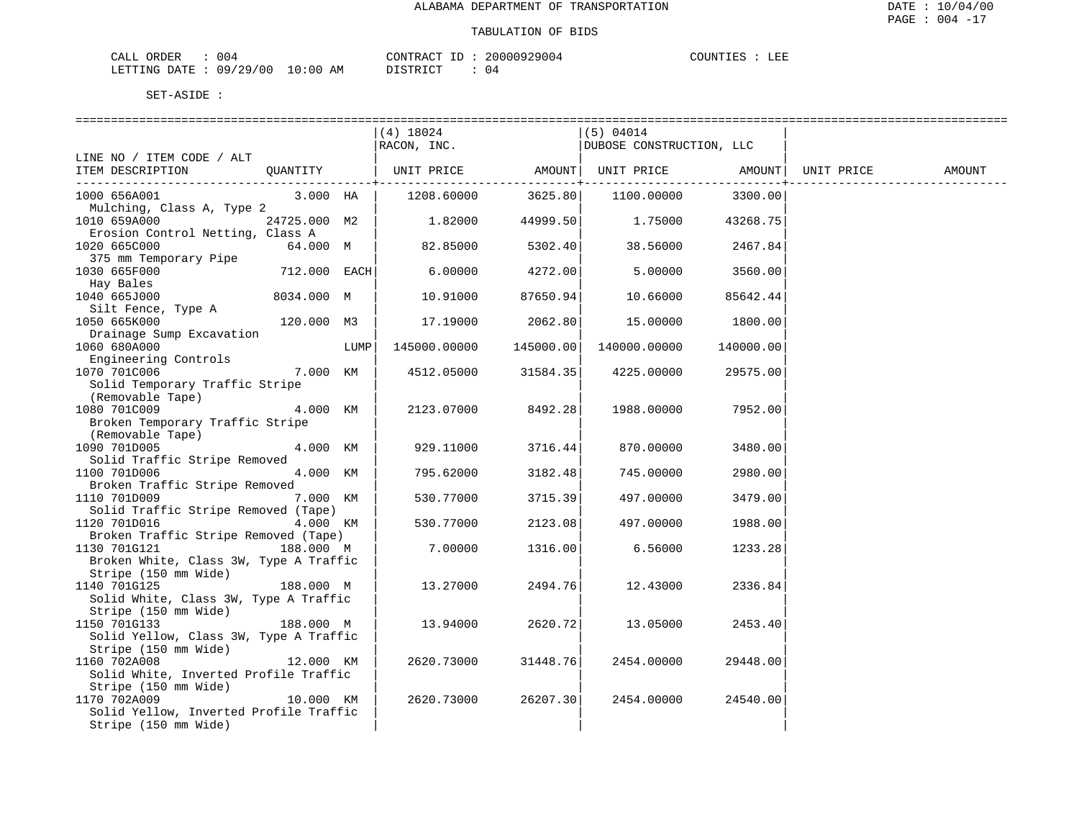| CALL ORDER                       | 004 | CONTRACT ID: 20000929004 |  | COUNTIES : LEE |  |
|----------------------------------|-----|--------------------------|--|----------------|--|
| LETTING DATE : 09/29/00 10:00 AM |     | DISTRICT                 |  |                |  |

|                                        |              |      | (4) 18024                            |           | (5) 04014                |           |            |        |
|----------------------------------------|--------------|------|--------------------------------------|-----------|--------------------------|-----------|------------|--------|
|                                        |              |      | RACON, INC.                          |           | DUBOSE CONSTRUCTION, LLC |           |            |        |
| LINE NO / ITEM CODE / ALT              |              |      |                                      |           |                          |           |            |        |
| ITEM DESCRIPTION                       | OUANTITY     |      | UNIT PRICE AMOUNT  UNIT PRICE AMOUNT |           |                          |           | UNIT PRICE | AMOUNT |
|                                        |              |      |                                      | .         |                          |           |            |        |
| 1000 656A001                           | $3.000$ HA   |      | 1208.60000                           | 3625.80   | 1100.00000               | 3300.00   |            |        |
| Mulching, Class A, Type 2              |              |      |                                      |           |                          |           |            |        |
| 1010 659A000                           | 24725.000 M2 |      | $1.82000$ 44999.50                   |           | 1.75000                  | 43268.75  |            |        |
| Erosion Control Netting, Class A       |              |      |                                      |           |                          |           |            |        |
| 1020 665C000                           | 64.000 M     |      | 82.85000                             | 5302.40   | 38.56000                 | 2467.84   |            |        |
| 375 mm Temporary Pipe                  |              |      |                                      |           |                          |           |            |        |
| 1030 665F000                           | 712.000 EACH |      | 6.00000                              | 4272.00   | 5.00000                  | 3560.00   |            |        |
| Hay Bales                              |              |      |                                      |           |                          |           |            |        |
| 1040 665J000                           | 8034.000 M   |      | 10.91000                             | 87650.94  | 10.66000                 | 85642.44  |            |        |
| Silt Fence, Type A                     |              |      |                                      |           |                          |           |            |        |
| 1050 665K000                           | 120.000 M3   |      | 17.19000                             | 2062.80   | 15.00000                 | 1800.00   |            |        |
| Drainage Sump Excavation               |              |      |                                      |           |                          |           |            |        |
| 1060 680A000                           |              | LUMP | 145000.00000                         | 145000.00 | 140000.00000             | 140000.00 |            |        |
| Engineering Controls                   |              |      |                                      |           |                          |           |            |        |
| 1070 701C006                           | 7.000 KM     |      | 4512.05000                           | 31584.35  | 4225.00000               | 29575.00  |            |        |
| Solid Temporary Traffic Stripe         |              |      |                                      |           |                          |           |            |        |
| (Removable Tape)                       |              |      |                                      |           |                          |           |            |        |
| 1080 701C009                           | 4.000 KM     |      | 2123.07000                           | 8492.28   | 1988.00000               | 7952.00   |            |        |
| Broken Temporary Traffic Stripe        |              |      |                                      |           |                          |           |            |        |
| (Removable Tape)                       |              |      |                                      |           |                          |           |            |        |
| 1090 701D005                           | 4.000 KM     |      | 929.11000                            | 3716.44   | 870.00000                | 3480.00   |            |        |
| Solid Traffic Stripe Removed           |              |      |                                      |           |                          |           |            |        |
| 1100 701D006                           | 4.000 KM     |      | 795.62000                            | 3182.48   | 745.00000                | 2980.00   |            |        |
| Broken Traffic Stripe Removed          |              |      |                                      |           |                          |           |            |        |
| 1110 701D009                           | 7.000 KM     |      | 530.77000                            | 3715.39   | 497.00000                | 3479.00   |            |        |
| Solid Traffic Stripe Removed (Tape)    |              |      |                                      |           |                          |           |            |        |
| 1120 701D016                           | 4.000 KM     |      | 530.77000                            | 2123.08   | 497.00000                | 1988.00   |            |        |
| Broken Traffic Stripe Removed (Tape)   |              |      |                                      |           |                          |           |            |        |
| 188.000 M<br>1130 701G121              |              |      | 7.00000                              | 1316.00   | 6.56000                  | 1233.28   |            |        |
| Broken White, Class 3W, Type A Traffic |              |      |                                      |           |                          |           |            |        |
| Stripe (150 mm Wide)                   |              |      |                                      |           |                          |           |            |        |
| 1140 701G125                           | 188.000 M    |      | 13.27000                             | 2494.76   | 12.43000                 | 2336.84   |            |        |
| Solid White, Class 3W, Type A Traffic  |              |      |                                      |           |                          |           |            |        |
| Stripe (150 mm Wide)                   |              |      |                                      |           |                          |           |            |        |
| 1150 701G133                           | 188.000 M    |      | 13.94000                             | 2620.72   | 13.05000                 | 2453.40   |            |        |
| Solid Yellow, Class 3W, Type A Traffic |              |      |                                      |           |                          |           |            |        |
| Stripe (150 mm Wide)                   |              |      |                                      |           |                          |           |            |        |
| 1160 702A008                           | 12.000 KM    |      | 2620.73000                           | 31448.76  | 2454.00000               | 29448.00  |            |        |
| Solid White, Inverted Profile Traffic  |              |      |                                      |           |                          |           |            |        |
| Stripe (150 mm Wide)                   |              |      |                                      |           |                          |           |            |        |
| 1170 702A009                           | 10.000 KM    |      | 2620.73000                           | 26207.30  | 2454.00000               | 24540.00  |            |        |
| Solid Yellow, Inverted Profile Traffic |              |      |                                      |           |                          |           |            |        |
| Stripe (150 mm Wide)                   |              |      |                                      |           |                          |           |            |        |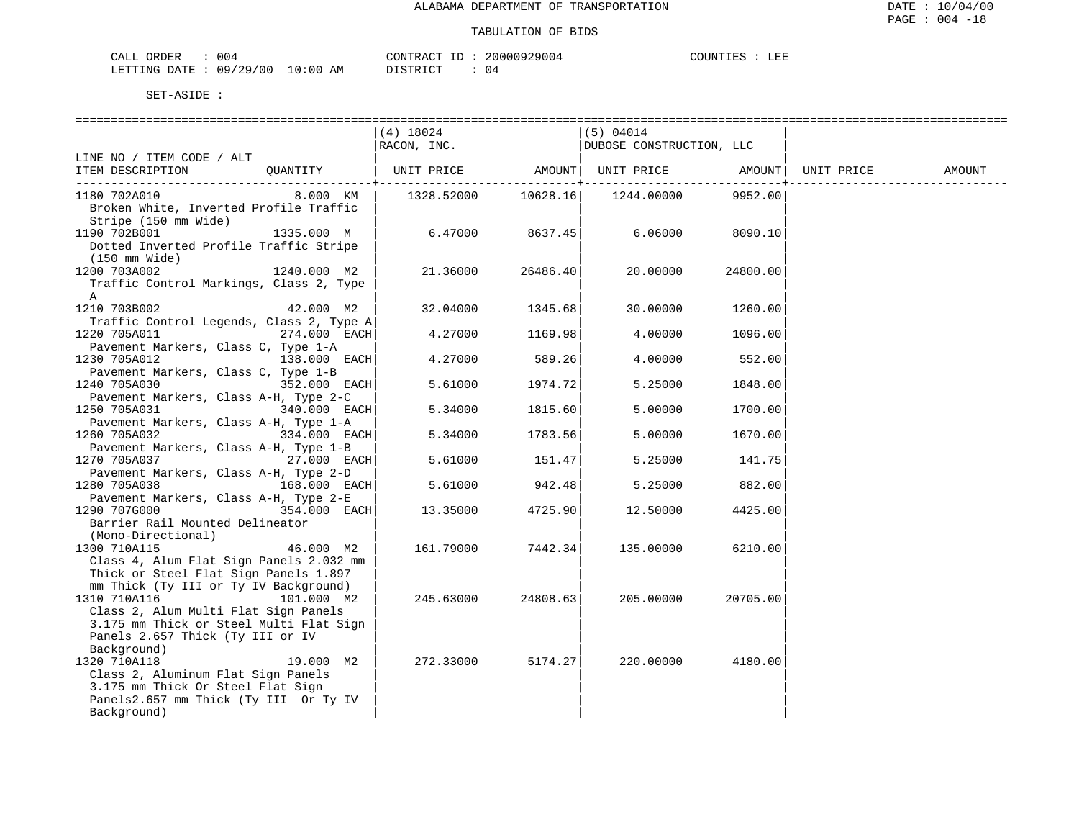| ORDER<br>CALL | 004      |             | CONTRAC  | 20000929004    | דיתו זרצי<br>. F.Y | LEE |
|---------------|----------|-------------|----------|----------------|--------------------|-----|
| LETTING DATE  | 09/29/00 | 10:00<br>AΜ | חידים דת | 0 <sub>4</sub> |                    |     |

|                                          |               | $(4)$ 18024                                          |                | (5) 04014                     |          |        |
|------------------------------------------|---------------|------------------------------------------------------|----------------|-------------------------------|----------|--------|
|                                          |               | RACON, INC.                                          |                | DUBOSE CONSTRUCTION, LLC      |          |        |
| LINE NO / ITEM CODE / ALT                |               |                                                      |                |                               |          |        |
| ITEM DESCRIPTION QUANTITY                |               | UNIT PRICE   AMOUNT  UNIT PRICE   AMOUNT  UNIT PRICE |                |                               |          | AMOUNT |
|                                          |               |                                                      | ------------+- |                               |          |        |
| 1180 702A010                             | 8.000 KM      | 1328.52000                                           |                | 10628.16  1244.00000  9952.00 |          |        |
| Broken White, Inverted Profile Traffic   |               |                                                      |                |                               |          |        |
| Stripe (150 mm Wide)                     |               |                                                      |                |                               |          |        |
| 1190 702B001                             | 1335.000 M    | 6.47000                                              | 8637.45        | 6.06000                       | 8090.10  |        |
| Dotted Inverted Profile Traffic Stripe   |               |                                                      |                |                               |          |        |
| (150 mm Wide)                            |               |                                                      |                |                               |          |        |
| 1200 703A002                             | 1240.000 M2   | 21.36000                                             | 26486.40       | 20.00000                      | 24800.00 |        |
| Traffic Control Markings, Class 2, Type  |               |                                                      |                |                               |          |        |
| A                                        |               |                                                      |                |                               |          |        |
| 1210 703B002                             | 42.000 M2     | 32.04000                                             | 1345.68        | 30.00000                      | 1260.00  |        |
| Traffic Control Legends, Class 2, Type A |               |                                                      |                |                               |          |        |
| 1220 705A011                             | 274.000 EACH  | 4.27000                                              | 1169.98        | 4.00000                       | 1096.00  |        |
| Pavement Markers, Class C, Type 1-A      |               |                                                      |                |                               |          |        |
| 1230 705A012                             | 138.000 EACH  | 4.27000                                              | 589.26         | 4.00000                       | 552.00   |        |
| Pavement Markers, Class C, Type 1-B      |               |                                                      |                |                               |          |        |
| 1240 705A030                             | 352.000 EACH  | 5.61000                                              | 1974.72        | 5.25000                       | 1848.00  |        |
| Pavement Markers, Class A-H, Type 2-C    |               |                                                      |                |                               |          |        |
| 1250 705A031                             | 340.000 EACH  | 5.34000                                              | 1815.60        | 5.00000                       | 1700.00  |        |
| Pavement Markers, Class A-H, Type 1-A    |               |                                                      |                |                               |          |        |
| 1260 705A032                             | 334.000 EACH  | 5.34000                                              | 1783.56        | 5.00000                       | 1670.00  |        |
| Pavement Markers, Class A-H, Type 1-B    |               |                                                      |                |                               |          |        |
| 1270 705A037                             | $27.000$ EACH | 5.61000                                              | 151.47         | 5.25000                       | 141.75   |        |
| Pavement Markers, Class A-H, Type 2-D    |               |                                                      |                |                               |          |        |
| 1280 705A038                             | 168.000 EACH  | 5.61000                                              | 942.48         | 5.25000                       | 882.00   |        |
| Pavement Markers, Class A-H, Type 2-E    |               |                                                      |                |                               |          |        |
| 1290 707G000                             | 354.000 EACH  | 13.35000                                             | 4725.90        | 12.50000                      | 4425.00  |        |
| Barrier Rail Mounted Delineator          |               |                                                      |                |                               |          |        |
| (Mono-Directional)                       |               |                                                      |                |                               |          |        |
| 1300 710A115                             | 46.000 M2     | 161.79000                                            | 7442.34        | 135.00000                     | 6210.00  |        |
| Class 4, Alum Flat Sign Panels 2.032 mm  |               |                                                      |                |                               |          |        |
| Thick or Steel Flat Sign Panels 1.897    |               |                                                      |                |                               |          |        |
| mm Thick (Ty III or Ty IV Background)    |               |                                                      |                |                               |          |        |
| 1310 710A116                             | 101.000 M2    | 245.63000                                            | 24808.63       | 205.00000                     | 20705.00 |        |
| Class 2, Alum Multi Flat Sign Panels     |               |                                                      |                |                               |          |        |
| 3.175 mm Thick or Steel Multi Flat Sign  |               |                                                      |                |                               |          |        |
| Panels 2.657 Thick (Ty III or IV         |               |                                                      |                |                               |          |        |
| Background)                              |               |                                                      |                |                               |          |        |
| 1320 710A118                             | 19.000 M2     | 272.33000                                            | 5174.27        | 220.00000                     | 4180.00  |        |
|                                          |               |                                                      |                |                               |          |        |
| Class 2, Aluminum Flat Sign Panels       |               |                                                      |                |                               |          |        |
| 3.175 mm Thick Or Steel Flat Sign        |               |                                                      |                |                               |          |        |
| Panels2.657 mm Thick (Ty III Or Ty IV    |               |                                                      |                |                               |          |        |
| Background)                              |               |                                                      |                |                               |          |        |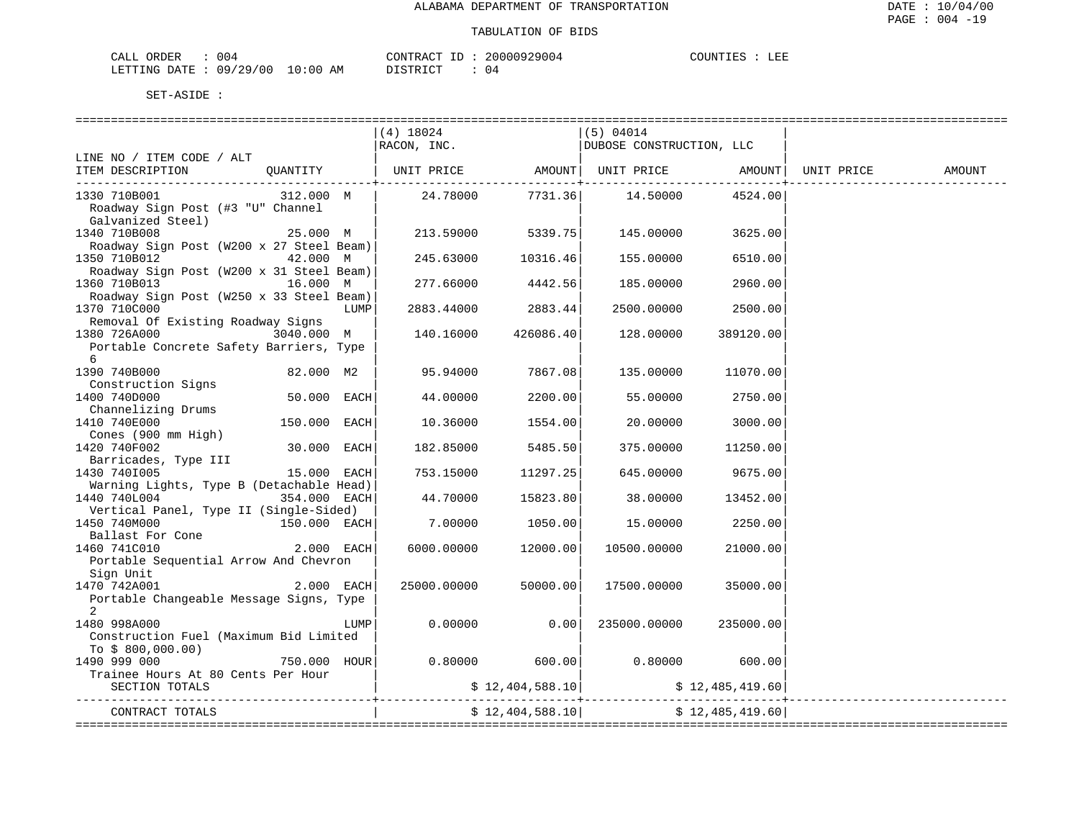| CALL ORDER                       | 004 | CONTRACT ID: 20000929004 |  | COUNTIES : LEE |  |
|----------------------------------|-----|--------------------------|--|----------------|--|
| LETTING DATE : 09/29/00 10:00 AM |     | DISTRICT                 |  |                |  |

|                                          |              | ============================== |           |                                       |           |        |
|------------------------------------------|--------------|--------------------------------|-----------|---------------------------------------|-----------|--------|
|                                          |              | $(4)$ 18024                    |           | (5) 04014                             |           |        |
|                                          |              | RACON, INC.                    |           | DUBOSE CONSTRUCTION, LLC              |           |        |
| LINE NO / ITEM CODE / ALT                |              |                                |           |                                       |           |        |
| ITEM DESCRIPTION QUANTITY                |              | UNIT PRICE                     |           | AMOUNT  UNIT PRICE AMOUNT  UNIT PRICE |           | AMOUNT |
|                                          |              |                                |           |                                       |           |        |
| 1330 710B001                             | 312.000 M    | 24.78000                       |           | 7731.36 14.50000                      | 4524.00   |        |
| Roadway Sign Post (#3 "U" Channel        |              |                                |           |                                       |           |        |
|                                          |              |                                |           |                                       |           |        |
| Galvanized Steel)                        |              |                                |           |                                       |           |        |
| 1340 710B008                             | 25.000 M     | 213.59000                      | 5339.75   | 145.00000                             | 3625.00   |        |
| Roadway Sign Post (W200 x 27 Steel Beam) |              |                                |           |                                       |           |        |
| 1350 710B012                             | 42.000 M     | 245.63000                      | 10316.46  | 155.00000                             | 6510.00   |        |
| Roadway Sign Post (W200 x 31 Steel Beam) |              |                                |           |                                       |           |        |
| 1360 710B013                             | 16.000 M     | 277.66000                      | 4442.56   | 185.00000                             | 2960.00   |        |
| Roadway Sign Post (W250 x 33 Steel Beam) |              |                                |           |                                       |           |        |
| 1370 710C000                             | LUMP         | 2883.44000                     | 2883.44   | 2500.00000                            | 2500.00   |        |
| Removal Of Existing Roadway Signs        |              |                                |           |                                       |           |        |
| 1380 726A000<br>3040.000 M               |              | 140.16000                      | 426086.40 | 128.00000                             | 389120.00 |        |
| Portable Concrete Safety Barriers, Type  |              |                                |           |                                       |           |        |
|                                          |              |                                |           |                                       |           |        |
| 6                                        |              |                                |           |                                       |           |        |
| 1390 740B000                             | 82.000 M2    | 95.94000                       | 7867.08   | 135.00000                             | 11070.00  |        |
| Construction Signs                       |              |                                |           |                                       |           |        |
| 1400 740D000                             | 50.000 EACH  | 44.00000                       | 2200.00   | 55.00000                              | 2750.00   |        |
| Channelizing Drums                       |              |                                |           |                                       |           |        |
| 1410 740E000                             | 150.000 EACH | 10.36000                       | 1554.00   | 20.00000                              | 3000.00   |        |
| Cones (900 mm High)                      |              |                                |           |                                       |           |        |
| 1420 740F002                             | 30.000 EACH  | 182.85000                      | 5485.50   | 375.00000                             | 11250.00  |        |
| Barricades, Type III                     |              |                                |           |                                       |           |        |
| 1430 7401005                             | 15.000 EACH  | 753.15000                      | 11297.25  | 645.00000                             | 9675.00   |        |
| Warning Lights, Type B (Detachable Head) |              |                                |           |                                       |           |        |
|                                          |              |                                |           |                                       |           |        |
| 1440 740L004                             | 354.000 EACH | 44.70000                       | 15823.80  | 38.00000                              | 13452.00  |        |
| Vertical Panel, Type II (Single-Sided)   |              |                                |           |                                       |           |        |
| 1450 740M000<br>150.000 EACH             |              | 7.00000                        | 1050.00   | 15.00000                              | 2250.00   |        |
| Ballast For Cone                         |              |                                |           |                                       |           |        |
| 1460 741C010                             | $2.000$ EACH | 6000.00000                     | 12000.00  | 10500.00000                           | 21000.00  |        |
| Portable Sequential Arrow And Chevron    |              |                                |           |                                       |           |        |
| Sign Unit                                |              |                                |           |                                       |           |        |
| 1470 742A001                             | 2.000 EACH   | 25000.00000                    | 50000.00  | 17500.00000                           | 35000.00  |        |
| Portable Changeable Message Signs, Type  |              |                                |           |                                       |           |        |
| $\overline{2}$                           |              |                                |           |                                       |           |        |
| 1480 998A000                             | LUMP         | 0.00000                        | 0.00      | 235000.00000                          | 235000.00 |        |
|                                          |              |                                |           |                                       |           |        |
| Construction Fuel (Maximum Bid Limited   |              |                                |           |                                       |           |        |
| To $$800,000.00)$                        |              |                                |           |                                       |           |        |
| 1490 999 000                             | 750.000 hour | 0.80000                        | 600.00    | 0.80000                               | 600.00    |        |
| Trainee Hours At 80 Cents Per Hour       |              |                                |           |                                       |           |        |
| SECTION TOTALS                           |              |                                |           |                                       |           |        |
|                                          |              |                                |           |                                       |           |        |
| CONTRACT TOTALS                          |              |                                |           | $$12,404,588.10$ $$12,485,419.60$     |           |        |
|                                          |              |                                |           |                                       |           |        |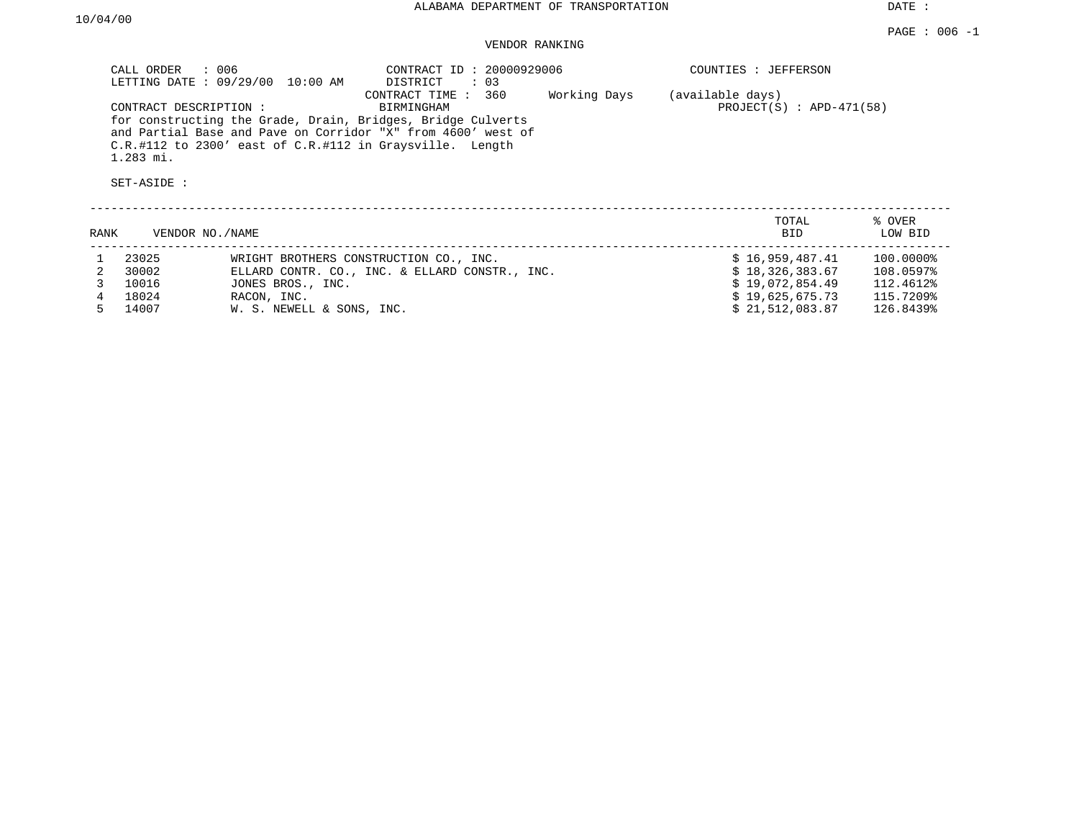DATE :

## VENDOR RANKING

| CALL ORDER<br>: 006<br>LETTING DATE : 09/29/00 10:00 AM                                                                                                                                                                                | CONTRACT ID: 20000929006<br>$\therefore$ 03<br>DISTRICT |              | COUNTIES : JEFFERSON                            |
|----------------------------------------------------------------------------------------------------------------------------------------------------------------------------------------------------------------------------------------|---------------------------------------------------------|--------------|-------------------------------------------------|
| CONTRACT DESCRIPTION :<br>for constructing the Grade, Drain, Bridges, Bridge Culverts<br>and Partial Base and Pave on Corridor "X" from 4600' west of<br>$C.R.$ #112 to 2300' east of $C.R.$ #112 in Graysville. Length<br>$1.283$ mi. | 360<br>CONTRACT TIME :<br>BIRMINGHAM                    | Working Days | (available days)<br>PROJECT $(S)$ : APD-471(58) |
| SET-ASIDE :                                                                                                                                                                                                                            |                                                         |              |                                                 |

| RANK |       | VENDOR NO./NAME                                | TOTAL<br><b>BID</b> | % OVER<br>LOW BID |
|------|-------|------------------------------------------------|---------------------|-------------------|
|      | 23025 | WRIGHT BROTHERS CONSTRUCTION CO., INC.         | \$16,959,487.41     | 100.0000%         |
|      | 30002 | ELLARD CONTR. CO., INC. & ELLARD CONSTR., INC. | \$18,326,383.67     | 108.0597%         |
|      | 10016 | JONES BROS., INC.                              | \$19.072.854.49     | 112.4612%         |
|      | 18024 | RACON, INC.                                    | \$19.625.675.73     | 115.7209%         |
|      | 14007 | W. S. NEWELL & SONS, INC.                      | \$21,512,083.87     | 126.8439%         |

--------------------------------------------------------------------------------------------------------------------------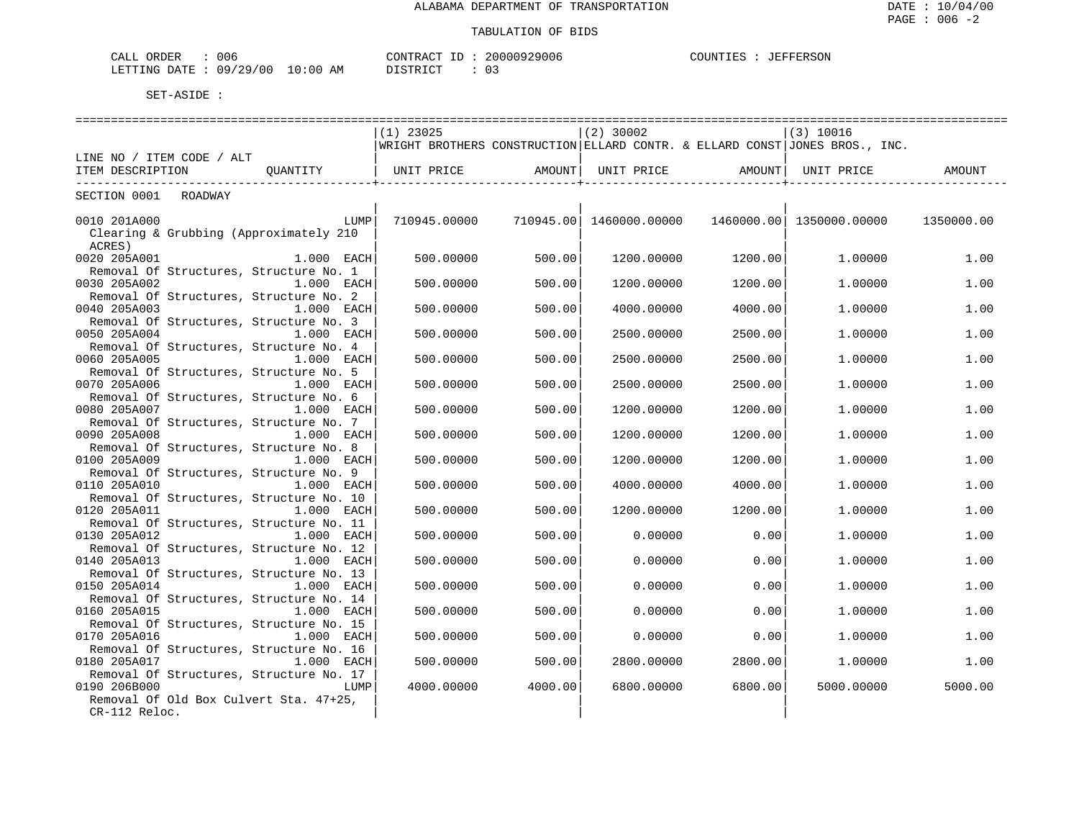| 006<br>CALL<br>ORDER         | CONTRACT<br>$ -$<br>⊥                            | 0000000000C<br>,,,,,,,,<br>29006 | COUNTIES<br>JEFFERSON |
|------------------------------|--------------------------------------------------|----------------------------------|-----------------------|
| 09/29/00<br>LETTING<br>DATE. | LO : 00<br>$T$ $T$ $T$<br>ΆM<br>סידי דת<br>11.11 | $\cap$<br>U J                    |                       |

|                                         |              | $(1)$ 23025  |         | $(2)$ 30002 |         | (3) 10016                                                                   |            |
|-----------------------------------------|--------------|--------------|---------|-------------|---------|-----------------------------------------------------------------------------|------------|
|                                         |              |              |         |             |         | WRIGHT BROTHERS CONSTRUCTION ELLARD CONTR. & ELLARD CONST JONES BROS., INC. |            |
| LINE NO / ITEM CODE / ALT               |              |              |         |             |         |                                                                             |            |
| ITEM DESCRIPTION                        | OUANTITY     | UNIT PRICE   | AMOUNT  | UNIT PRICE  | AMOUNT  | UNIT PRICE                                                                  | AMOUNT     |
|                                         |              |              |         |             |         |                                                                             |            |
| SECTION 0001 ROADWAY                    |              |              |         |             |         |                                                                             |            |
|                                         |              |              |         |             |         |                                                                             |            |
| 0010 201A000                            | LUMP         | 710945.00000 |         |             |         | 710945.00 1460000.00000 1460000.00 1350000.00000                            | 1350000.00 |
| Clearing & Grubbing (Approximately 210  |              |              |         |             |         |                                                                             |            |
| ACRES)                                  |              |              |         |             |         |                                                                             |            |
| 0020 205A001                            | $1.000$ EACH | 500.00000    | 500.00  | 1200.00000  | 1200.00 | 1.00000                                                                     | 1.00       |
| Removal Of Structures, Structure No. 1  |              |              |         |             |         |                                                                             |            |
| 0030 205A002                            | $1.000$ EACH | 500,00000    | 500.00  | 1200.00000  | 1200.00 | 1,00000                                                                     | 1.00       |
| Removal Of Structures, Structure No. 2  |              |              |         |             |         |                                                                             |            |
| 0040 205A003                            | $1.000$ EACH | 500.00000    | 500.00  | 4000.00000  | 4000.00 | 1,00000                                                                     | 1.00       |
| Removal Of Structures, Structure No. 3  |              |              |         |             |         |                                                                             |            |
| 0050 205A004                            | 1.000 EACH   | 500,00000    | 500.00  | 2500.00000  | 2500.00 | 1,00000                                                                     | 1.00       |
| Removal Of Structures, Structure No. 4  |              |              |         |             |         |                                                                             |            |
| 0060 205A005                            | 1.000 EACH   | 500.00000    | 500.00  | 2500.00000  | 2500.00 | 1,00000                                                                     | 1.00       |
| Removal Of Structures, Structure No. 5  |              |              |         |             |         |                                                                             |            |
| 0070 205A006                            | 1.000 EACH   | 500.00000    | 500.00  | 2500.00000  | 2500.00 | 1.00000                                                                     | 1.00       |
| Removal Of Structures, Structure No. 6  |              |              |         |             |         |                                                                             |            |
| 0080 205A007                            | 1.000 EACH   | 500.00000    | 500.00  | 1200.00000  | 1200.00 | 1,00000                                                                     | 1.00       |
| Removal Of Structures, Structure No. 7  |              |              |         |             |         |                                                                             |            |
| 0090 205A008                            | $1.000$ EACH | 500,00000    | 500.00  | 1200.00000  | 1200.00 | 1,00000                                                                     | 1.00       |
| Removal Of Structures, Structure No. 8  |              |              |         |             |         |                                                                             |            |
| 0100 205A009                            | 1.000 EACH   | 500,00000    | 500.00  | 1200.00000  | 1200.00 | 1,00000                                                                     | 1.00       |
| Removal Of Structures, Structure No. 9  |              |              |         |             |         |                                                                             |            |
| 0110 205A010                            | 1.000 EACH   | 500.00000    | 500.00  | 4000.00000  | 4000.00 | 1,00000                                                                     | 1.00       |
| Removal Of Structures, Structure No. 10 |              |              |         |             |         |                                                                             |            |
| 0120 205A011                            | 1.000 EACH   | 500.00000    | 500.00  | 1200.00000  | 1200.00 | 1,00000                                                                     | 1.00       |
| Removal Of Structures, Structure No. 11 |              |              |         |             |         |                                                                             |            |
| 0130 205A012                            | 1.000 EACH   | 500.00000    | 500.00  | 0.00000     | 0.00    | 1.00000                                                                     | 1.00       |
| Removal Of Structures, Structure No. 12 |              |              |         |             |         |                                                                             |            |
| 0140 205A013                            | $1.000$ EACH | 500,00000    | 500.00  | 0.00000     | 0.00    | 1,00000                                                                     | 1.00       |
| Removal Of Structures, Structure No. 13 |              |              |         |             |         |                                                                             |            |
| 0150 205A014                            | 1.000 EACH   | 500.00000    | 500.00  | 0.00000     | 0.00    | 1.00000                                                                     | 1.00       |
| Removal Of Structures, Structure No. 14 |              |              |         |             |         |                                                                             |            |
| 0160 205A015                            | 1.000 EACH   | 500.00000    | 500.00  | 0.00000     | 0.00    | 1,00000                                                                     | 1.00       |
| Removal Of Structures, Structure No. 15 |              |              |         |             |         |                                                                             |            |
| 0170 205A016                            | 1.000 EACH   | 500.00000    | 500.00  | 0.00000     | 0.00    | 1,00000                                                                     | 1.00       |
| Removal Of Structures, Structure No. 16 |              |              |         |             |         |                                                                             |            |
| 0180 205A017                            | 1.000 EACH   | 500.00000    | 500.00  | 2800.00000  | 2800.00 | 1,00000                                                                     | 1.00       |
| Removal Of Structures, Structure No. 17 |              |              |         |             |         |                                                                             |            |
| 0190 206B000                            | LUMP         | 4000.00000   | 4000.00 | 6800.00000  | 6800.00 | 5000.00000                                                                  | 5000.00    |
| Removal Of Old Box Culvert Sta. 47+25,  |              |              |         |             |         |                                                                             |            |
| CR-112 Reloc.                           |              |              |         |             |         |                                                                             |            |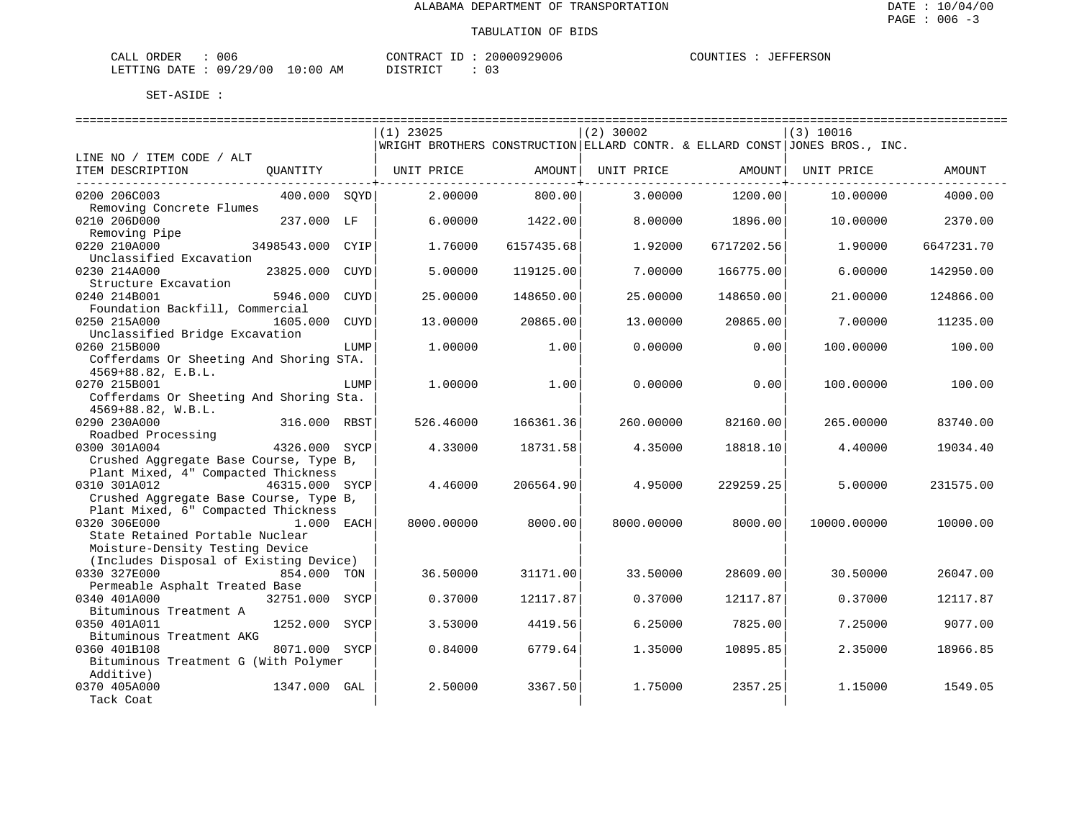| CALI<br>ORDER   | $\sim$ $\sim$<br>uub |             | ידים גם אידוגוסי    | 30000929006 | ANTINTI ES<br>FFERSON<br>. E. 2 |
|-----------------|----------------------|-------------|---------------------|-------------|---------------------------------|
| LETTING<br>DATE | 09/29<br>/00<br>- 20 | 10:00<br>AM | חומת החימיד הי<br>. | ັ           |                                 |

|                                                                  |              |             | $(1)$ 23025 |            | $(2)$ 30002 |            | (3) 10016                                                                   |            |
|------------------------------------------------------------------|--------------|-------------|-------------|------------|-------------|------------|-----------------------------------------------------------------------------|------------|
|                                                                  |              |             |             |            |             |            | WRIGHT BROTHERS CONSTRUCTION ELLARD CONTR. & ELLARD CONST JONES BROS., INC. |            |
| LINE NO / ITEM CODE / ALT                                        |              |             |             |            |             |            |                                                                             |            |
| ITEM DESCRIPTION                                                 | QUANTITY     |             | UNIT PRICE  | AMOUNT     | UNIT PRICE  | AMOUNT     | UNIT PRICE                                                                  | AMOUNT     |
|                                                                  |              |             |             |            |             |            |                                                                             |            |
| 0200 206C003                                                     | 400.000      | SOYD        | 2.00000     | 800.00     | 3,00000     | 1200.00    | 10.00000                                                                    | 4000.00    |
| Removing Concrete Flumes                                         |              |             |             |            |             |            |                                                                             |            |
| 0210 206D000                                                     | 237.000      | LF          | 6.00000     | 1422.00    | 8,00000     | 1896.00    | 10.00000                                                                    | 2370.00    |
| Removing Pipe                                                    |              |             |             |            |             |            |                                                                             |            |
| 0220 210A000                                                     | 3498543.000  | CYIP        | 1.76000     | 6157435.68 | 1.92000     | 6717202.56 | 1.90000                                                                     | 6647231.70 |
| Unclassified Excavation                                          |              |             |             |            |             |            |                                                                             |            |
| 0230 214A000                                                     | 23825.000    | <b>CUYD</b> | 5.00000     | 119125.00  | 7.00000     | 166775.00  | 6.00000                                                                     | 142950.00  |
| Structure Excavation                                             |              |             |             |            |             |            |                                                                             |            |
| 0240 214B001                                                     | 5946.000     | <b>CUYD</b> | 25.00000    | 148650.00  | 25.00000    | 148650.00  | 21.00000                                                                    | 124866.00  |
| Foundation Backfill, Commercial                                  |              |             |             |            |             |            |                                                                             |            |
| 0250 215A000                                                     | 1605.000     | CUYD        | 13.00000    | 20865.00   | 13,00000    | 20865.00   | 7.00000                                                                     | 11235.00   |
| Unclassified Bridge Excavation                                   |              |             | 1.00000     |            | 0.00000     |            |                                                                             |            |
| 0260 215B000                                                     |              | LUMP        |             | 1.00       |             | 0.00       | 100.00000                                                                   | 100.00     |
| Cofferdams Or Sheeting And Shoring STA.<br>$4569+88.82$ , E.B.L. |              |             |             |            |             |            |                                                                             |            |
| 0270 215B001                                                     |              | LUMP        | 1.00000     | 1.00       | 0.00000     | 0.00       | 100.00000                                                                   | 100.00     |
| Cofferdams Or Sheeting And Shoring Sta.                          |              |             |             |            |             |            |                                                                             |            |
| $4569+88.82$ , W.B.L.                                            |              |             |             |            |             |            |                                                                             |            |
| 0290 230A000                                                     | 316.000 RBST |             | 526.46000   | 166361.36  | 260.00000   | 82160.00   | 265.00000                                                                   | 83740.00   |
| Roadbed Processing                                               |              |             |             |            |             |            |                                                                             |            |
| 0300 301A004                                                     | 4326.000     | SYCP        | 4.33000     | 18731.58   | 4.35000     | 18818.10   | 4.40000                                                                     | 19034.40   |
| Crushed Aggregate Base Course, Type B,                           |              |             |             |            |             |            |                                                                             |            |
| Plant Mixed, 4" Compacted Thickness                              |              |             |             |            |             |            |                                                                             |            |
| 0310 301A012                                                     | 46315.000    | SYCP        | 4.46000     | 206564.90  | 4.95000     | 229259.25  | 5.00000                                                                     | 231575.00  |
| Crushed Aggregate Base Course, Type B,                           |              |             |             |            |             |            |                                                                             |            |
| Plant Mixed, 6" Compacted Thickness                              |              |             |             |            |             |            |                                                                             |            |
| 0320 306E000                                                     | 1.000 EACH   |             | 8000.00000  | 8000.00    | 8000.00000  | 8000.00    | 10000.00000                                                                 | 10000.00   |
| State Retained Portable Nuclear                                  |              |             |             |            |             |            |                                                                             |            |
| Moisture-Density Testing Device                                  |              |             |             |            |             |            |                                                                             |            |
| (Includes Disposal of Existing Device)                           |              |             |             |            |             |            |                                                                             |            |
| 0330 327E000                                                     | 854.000 TON  |             | 36.50000    | 31171.00   | 33.50000    | 28609.00   | 30.50000                                                                    | 26047.00   |
| Permeable Asphalt Treated Base                                   |              |             |             |            |             |            |                                                                             |            |
| 0340 401A000                                                     | 32751.000    | SYCP        | 0.37000     | 12117.87   | 0.37000     | 12117.87   | 0.37000                                                                     | 12117.87   |
| Bituminous Treatment A                                           |              |             |             |            |             |            |                                                                             |            |
| 0350 401A011                                                     | 1252.000     | SYCP        | 3.53000     | 4419.56    | 6.25000     | 7825.00    | 7.25000                                                                     | 9077.00    |
| Bituminous Treatment AKG                                         |              |             |             |            |             |            |                                                                             |            |
| 0360 401B108                                                     | 8071.000     | SYCP        | 0.84000     | 6779.64    | 1.35000     | 10895.85   | 2.35000                                                                     | 18966.85   |
| Bituminous Treatment G (With Polymer                             |              |             |             |            |             |            |                                                                             |            |
| Additive)                                                        |              |             |             |            |             |            |                                                                             |            |
| 0370 405A000                                                     | 1347.000 GAL |             | 2.50000     | 3367.50    | 1.75000     | 2357.25    | 1.15000                                                                     | 1549.05    |
| Tack Coat                                                        |              |             |             |            |             |            |                                                                             |            |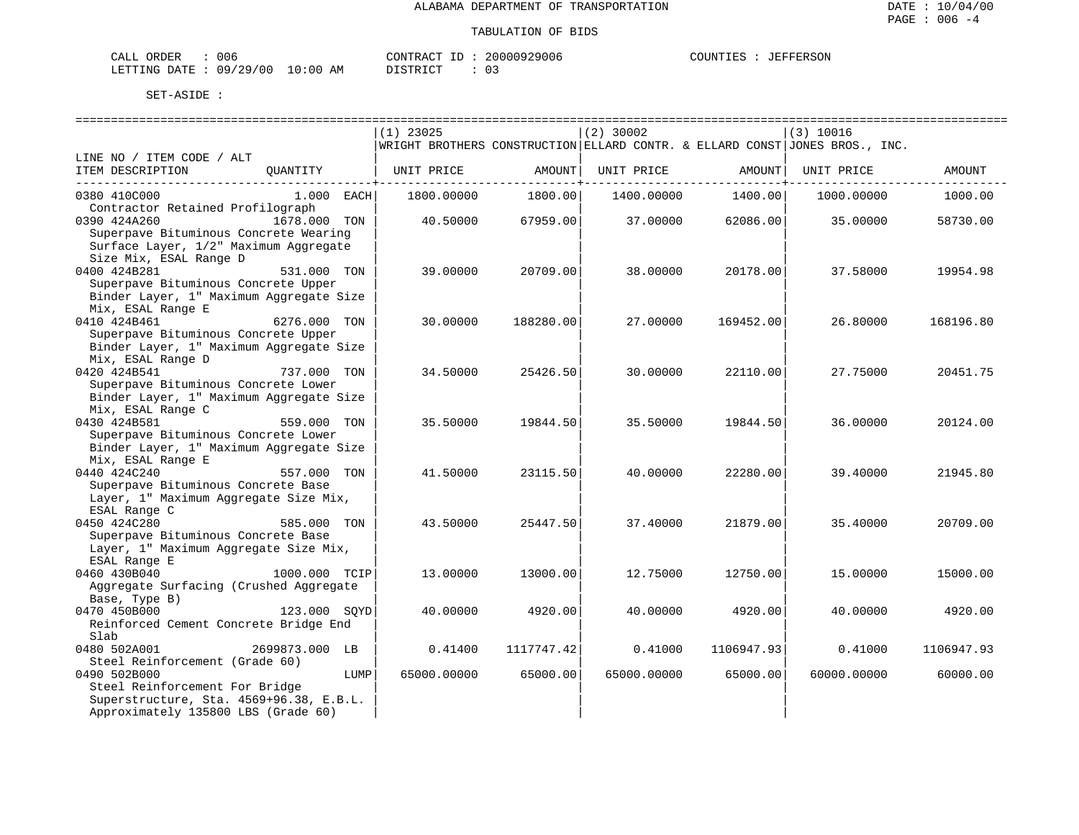| CALL ORDER                      | 006 |          | CONTRACT ID: 20000929006 | COUNTIES | : JEFFERSON |
|---------------------------------|-----|----------|--------------------------|----------|-------------|
| LETTING DATE: 09/29/00 10:00 AM |     | DISTRICT |                          |          |             |

|                                                                                |                |      | $(1)$ 23025 |            | $(2)$ 30002 |            | (3) 10016                                                                   |            |
|--------------------------------------------------------------------------------|----------------|------|-------------|------------|-------------|------------|-----------------------------------------------------------------------------|------------|
|                                                                                |                |      |             |            |             |            | WRIGHT BROTHERS CONSTRUCTION ELLARD CONTR. & ELLARD CONST JONES BROS., INC. |            |
| LINE NO / ITEM CODE / ALT                                                      |                |      |             |            |             |            |                                                                             |            |
| ITEM DESCRIPTION                                                               | QUANTITY       |      | UNIT PRICE  | AMOUNT     | UNIT PRICE  | AMOUNT     | UNIT PRICE                                                                  | AMOUNT     |
|                                                                                |                |      |             |            |             |            |                                                                             |            |
| 0380 410C000                                                                   | 1.000 EACH     |      | 1800.00000  | 1800.00    | 1400.00000  | 1400.00    | 1000.00000                                                                  | 1000.00    |
| Contractor Retained Profilograph                                               |                |      |             |            |             |            |                                                                             |            |
| 0390 424A260                                                                   | 1678.000 TON   |      | 40.50000    | 67959.00   | 37.00000    | 62086.00   | 35.00000                                                                    | 58730.00   |
| Superpave Bituminous Concrete Wearing                                          |                |      |             |            |             |            |                                                                             |            |
| Surface Layer, 1/2" Maximum Aggregate<br>Size Mix, ESAL Range D                |                |      |             |            |             |            |                                                                             |            |
| 0400 424B281                                                                   | 531.000 TON    |      | 39.00000    | 20709.00   | 38.00000    | 20178.00   | 37.58000                                                                    | 19954.98   |
| Superpave Bituminous Concrete Upper                                            |                |      |             |            |             |            |                                                                             |            |
| Binder Layer, 1" Maximum Aggregate Size                                        |                |      |             |            |             |            |                                                                             |            |
| Mix, ESAL Range E                                                              |                |      |             |            |             |            |                                                                             |            |
| 0410 424B461                                                                   | 6276.000 TON   |      | 30.00000    | 188280.00  | 27.00000    | 169452.00  | 26.80000                                                                    | 168196.80  |
| Superpave Bituminous Concrete Upper                                            |                |      |             |            |             |            |                                                                             |            |
| Binder Layer, 1" Maximum Aggregate Size                                        |                |      |             |            |             |            |                                                                             |            |
| Mix, ESAL Range D                                                              |                |      |             |            |             |            |                                                                             |            |
| 0420 424B541                                                                   | 737.000 TON    |      | 34.50000    | 25426.50   | 30.00000    | 22110.00   | 27.75000                                                                    | 20451.75   |
| Superpave Bituminous Concrete Lower                                            |                |      |             |            |             |            |                                                                             |            |
| Binder Layer, 1" Maximum Aggregate Size                                        |                |      |             |            |             |            |                                                                             |            |
| Mix, ESAL Range C                                                              |                |      |             |            |             |            |                                                                             |            |
| 0430 424B581                                                                   | 559.000 TON    |      | 35.50000    | 19844.50   | 35.50000    | 19844.50   | 36.00000                                                                    | 20124.00   |
| Superpave Bituminous Concrete Lower                                            |                |      |             |            |             |            |                                                                             |            |
| Binder Layer, 1" Maximum Aggregate Size                                        |                |      |             |            |             |            |                                                                             |            |
| Mix, ESAL Range E<br>0440 424C240                                              |                |      |             |            |             |            |                                                                             |            |
| Superpave Bituminous Concrete Base                                             | 557.000 TON    |      | 41.50000    | 23115.50   | 40.00000    | 22280.00   | 39.40000                                                                    | 21945.80   |
| Layer, 1" Maximum Aggregate Size Mix,                                          |                |      |             |            |             |            |                                                                             |            |
| ESAL Range C                                                                   |                |      |             |            |             |            |                                                                             |            |
| 0450 424C280                                                                   | 585.000 TON    |      | 43.50000    | 25447.50   | 37.40000    | 21879.00   | 35.40000                                                                    | 20709.00   |
| Superpave Bituminous Concrete Base                                             |                |      |             |            |             |            |                                                                             |            |
| Layer, 1" Maximum Aggregate Size Mix,                                          |                |      |             |            |             |            |                                                                             |            |
| ESAL Range E                                                                   |                |      |             |            |             |            |                                                                             |            |
| 0460 430B040                                                                   | 1000.000 TCIP  |      | 13.00000    | 13000.00   | 12.75000    | 12750.00   | 15,00000                                                                    | 15000.00   |
| Aggregate Surfacing (Crushed Aggregate                                         |                |      |             |            |             |            |                                                                             |            |
| Base, Type B)                                                                  |                |      |             |            |             |            |                                                                             |            |
| 0470 450B000                                                                   | 123.000 SQYD   |      | 40.00000    | 4920.00    | 40.00000    | 4920.00    | 40.00000                                                                    | 4920.00    |
| Reinforced Cement Concrete Bridge End                                          |                |      |             |            |             |            |                                                                             |            |
| Slab                                                                           |                |      |             |            |             |            |                                                                             |            |
| 0480 502A001                                                                   | 2699873.000 LB |      | 0.41400     | 1117747.42 | 0.41000     | 1106947.93 | 0.41000                                                                     | 1106947.93 |
| Steel Reinforcement (Grade 60)                                                 |                |      |             |            |             |            |                                                                             |            |
| 0490 502B000                                                                   |                | LUMP | 65000.00000 | 65000.00   | 65000.00000 | 65000.00   | 60000.00000                                                                 | 60000.00   |
| Steel Reinforcement For Bridge                                                 |                |      |             |            |             |            |                                                                             |            |
| Superstructure, Sta. 4569+96.38, E.B.L.<br>Approximately 135800 LBS (Grade 60) |                |      |             |            |             |            |                                                                             |            |
|                                                                                |                |      |             |            |             |            |                                                                             |            |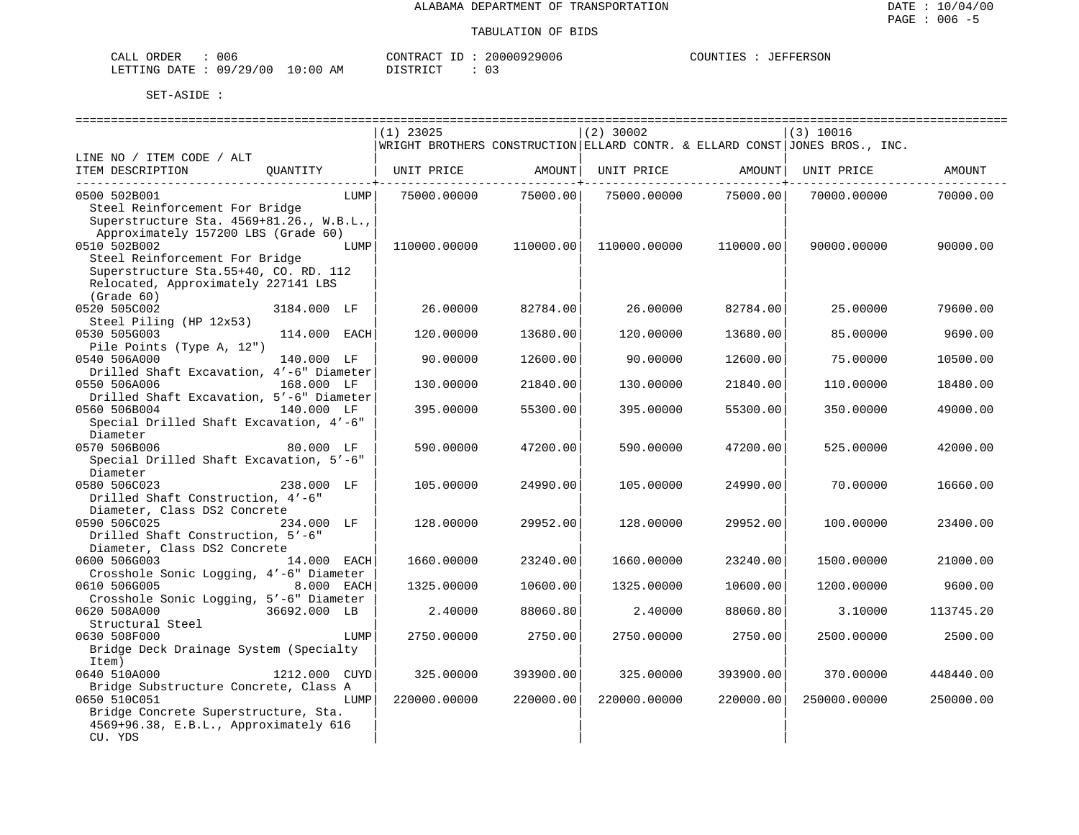| CALL ORDER                      | 006 | CONTRACT ID: 2 | 20000929006 | COUNTIES | : JEFFERSON |
|---------------------------------|-----|----------------|-------------|----------|-------------|
| LETTING DATE: 09/29/00 10:00 AM |     | DISTRICT       |             |          |             |

|                                                      |      | $(1)$ 23025            |           | $(2)$ 30002  |                   | (3) 10016                                                                                                  |           |
|------------------------------------------------------|------|------------------------|-----------|--------------|-------------------|------------------------------------------------------------------------------------------------------------|-----------|
|                                                      |      |                        |           |              |                   | $ \text{WRIGHT BROTHERS CONSTRUCTION} \text{ELLARD CONTR. & ELLARD CONST} \text{JONES BROS.}, \text{INC.}$ |           |
| LINE NO / ITEM CODE / ALT                            |      |                        |           |              |                   |                                                                                                            |           |
| ITEM DESCRIPTION QUANTITY                            |      | UNIT PRICE AMOUNT      |           |              | UNIT PRICE AMOUNT | UNIT PRICE                                                                                                 | AMOUNT    |
|                                                      |      |                        |           |              |                   |                                                                                                            |           |
| 0500 502B001                                         | LUMP | 75000.00000            | 75000.00  | 75000.00000  | 75000.00          | 70000.00000                                                                                                | 70000.00  |
| Steel Reinforcement For Bridge                       |      |                        |           |              |                   |                                                                                                            |           |
| Superstructure Sta. 4569+81.26., W.B.L.,             |      |                        |           |              |                   |                                                                                                            |           |
| Approximately 157200 LBS (Grade 60)                  |      |                        |           |              |                   |                                                                                                            |           |
| 0510 502B002                                         | LUMP | 110000.00000 110000.00 |           | 110000.00000 | 110000.00         | 90000.00000                                                                                                | 90000.00  |
| Steel Reinforcement For Bridge                       |      |                        |           |              |                   |                                                                                                            |           |
| Superstructure Sta.55+40, CO. RD. 112                |      |                        |           |              |                   |                                                                                                            |           |
| Relocated, Approximately 227141 LBS                  |      |                        |           |              |                   |                                                                                                            |           |
| (Grade 60)                                           |      |                        |           |              |                   |                                                                                                            |           |
| 0520 505C002<br>3184.000 LF                          |      | 26.00000               | 82784.00  | 26.00000     | 82784.00          | 25.00000                                                                                                   | 79600.00  |
| Steel Piling (HP 12x53)                              |      |                        |           |              |                   |                                                                                                            |           |
| 0530 505G003<br>114.000 EACH                         |      | 120.00000              | 13680.00  | 120.00000    | 13680.00          | 85.00000                                                                                                   | 9690.00   |
| Pile Points (Type A, 12")                            |      |                        |           |              |                   |                                                                                                            |           |
| 0540 506A000<br>140.000 LF                           |      | 90.00000               | 12600.00  | 90.00000     | 12600.00          | 75.00000                                                                                                   | 10500.00  |
| Drilled Shaft Excavation, 4'-6" Diameter             |      |                        |           |              |                   |                                                                                                            |           |
| 0550 506A006<br>168.000 LF                           |      | 130.00000              | 21840.00  | 130.00000    | 21840.00          | 110.00000                                                                                                  | 18480.00  |
| Drilled Shaft Excavation, 5'-6" Diameter             |      |                        |           |              |                   |                                                                                                            |           |
| 0560 506B004<br>140.000 LF                           |      | 395.00000              | 55300.00  | 395.00000    | 55300.00          | 350.00000                                                                                                  | 49000.00  |
| Special Drilled Shaft Excavation, 4'-6"              |      |                        |           |              |                   |                                                                                                            |           |
| Diameter<br>0570 506B006                             |      | 590.00000              |           | 590.00000    |                   |                                                                                                            |           |
| 80.000 LF<br>Special Drilled Shaft Excavation, 5'-6" |      |                        | 47200.00  |              | 47200.00          | 525.00000                                                                                                  | 42000.00  |
| Diameter                                             |      |                        |           |              |                   |                                                                                                            |           |
| 0580 506C023<br>238.000 LF                           |      | 105,00000              | 24990.00  | 105.00000    | 24990.00          | 70.00000                                                                                                   | 16660.00  |
| Drilled Shaft Construction, 4'-6"                    |      |                        |           |              |                   |                                                                                                            |           |
| Diameter, Class DS2 Concrete                         |      |                        |           |              |                   |                                                                                                            |           |
| 0590 506C025<br>234.000 LF                           |      | 128.00000              | 29952.00  | 128.00000    | 29952.00          | 100.00000                                                                                                  | 23400.00  |
| Drilled Shaft Construction, 5'-6"                    |      |                        |           |              |                   |                                                                                                            |           |
| Diameter, Class DS2 Concrete                         |      |                        |           |              |                   |                                                                                                            |           |
| 0600 506G003<br>14.000 EACH                          |      | 1660.00000             | 23240.00  | 1660.00000   | 23240.00          | 1500.00000                                                                                                 | 21000.00  |
| Crosshole Sonic Logging, 4'-6" Diameter              |      |                        |           |              |                   |                                                                                                            |           |
| 0610 506G005                                         |      | 1325.00000             | 10600.00  | 1325.00000   | 10600.00          | 1200.00000                                                                                                 | 9600.00   |
| Crosshole Sonic Logging, 5'-6" Diameter              |      |                        |           |              |                   |                                                                                                            |           |
| 0620 508A000<br>36692.000 LB                         |      | 2.40000                | 88060.80  | 2.40000      | 88060.80          | 3.10000                                                                                                    | 113745.20 |
| Structural Steel                                     |      |                        |           |              |                   |                                                                                                            |           |
| 0630 508F000                                         | LUMP | 2750.00000             | 2750.00   | 2750.00000   | 2750.00           | 2500.00000                                                                                                 | 2500.00   |
| Bridge Deck Drainage System (Specialty               |      |                        |           |              |                   |                                                                                                            |           |
| Item)                                                |      |                        |           |              |                   |                                                                                                            |           |
| 0640 510A000<br>1212.000 CUYD                        |      | 325.00000              | 393900.00 | 325.00000    | 393900.00         | 370.00000                                                                                                  | 448440.00 |
| Bridge Substructure Concrete, Class A                |      |                        |           |              |                   |                                                                                                            |           |
| 0650 510C051                                         | LUMP | 220000.00000           | 220000.00 | 220000.00000 | 220000.00         | 250000.00000                                                                                               | 250000.00 |
| Bridge Concrete Superstructure, Sta.                 |      |                        |           |              |                   |                                                                                                            |           |
| 4569+96.38, E.B.L., Approximately 616                |      |                        |           |              |                   |                                                                                                            |           |
| CU. YDS                                              |      |                        |           |              |                   |                                                                                                            |           |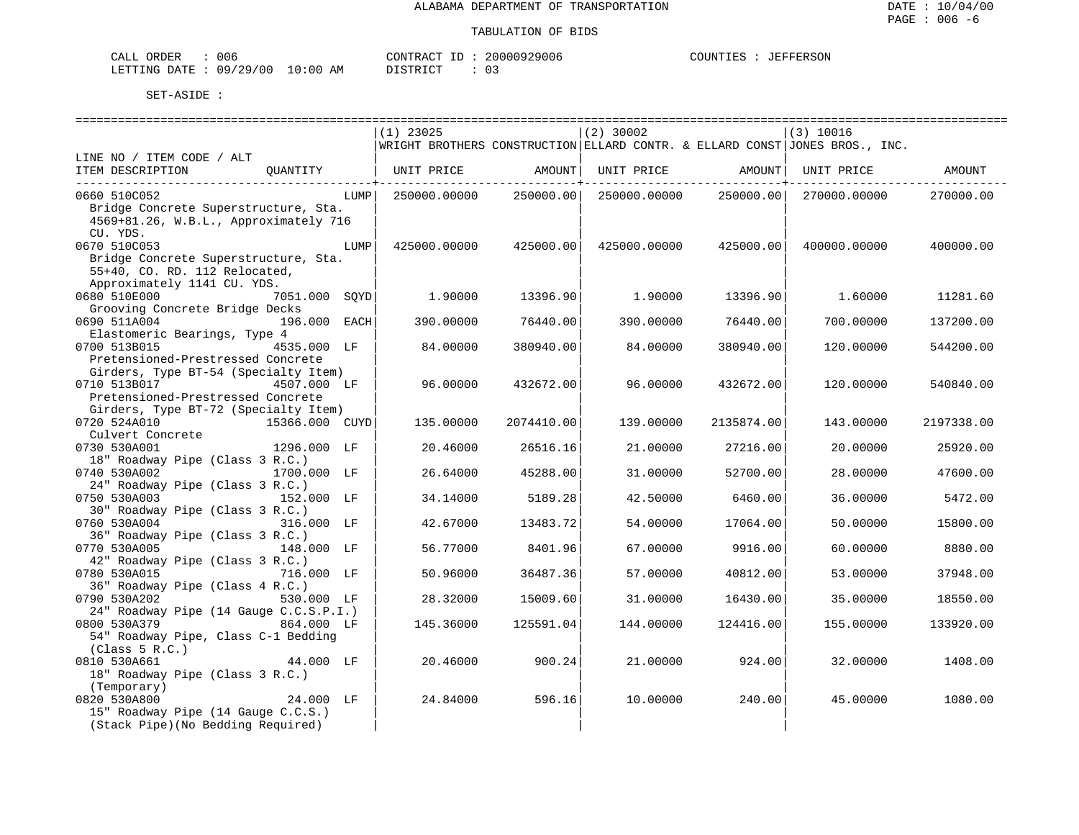| CALI<br>ORDER   | $\sim$ $\sim$<br>uub |             | ידים גם אידוגוסי    | 30000929006 | ANTINTI ES<br>FFERSON<br>. E. 2 |
|-----------------|----------------------|-------------|---------------------|-------------|---------------------------------|
| LETTING<br>DATE | 09/29<br>/00<br>- 20 | 10:00<br>AM | חומת החימיד הי<br>. | ັ           |                                 |

|                                        |                |      |              | ======================== |              |            |                                                                             |            |
|----------------------------------------|----------------|------|--------------|--------------------------|--------------|------------|-----------------------------------------------------------------------------|------------|
|                                        |                |      | $(1)$ 23025  |                          | $(2)$ 30002  |            | (3) 10016                                                                   |            |
|                                        |                |      |              |                          |              |            | WRIGHT BROTHERS CONSTRUCTION ELLARD CONTR. & ELLARD CONST JONES BROS., INC. |            |
| LINE NO / ITEM CODE / ALT              |                |      |              |                          |              |            |                                                                             |            |
| ITEM DESCRIPTION                       | OUANTITY       |      | UNIT PRICE   | AMOUNT                   | UNIT PRICE   | AMOUNT     | UNIT PRICE                                                                  | AMOUNT     |
|                                        |                |      |              |                          |              |            |                                                                             |            |
| 0660 510C052                           |                | LUMP | 250000.00000 | 250000.00                | 250000.00000 | 250000.00  | 270000.00000                                                                | 270000.00  |
| Bridge Concrete Superstructure, Sta.   |                |      |              |                          |              |            |                                                                             |            |
| 4569+81.26, W.B.L., Approximately 716  |                |      |              |                          |              |            |                                                                             |            |
| CU. YDS.                               |                |      |              |                          |              |            |                                                                             |            |
| 0670 510C053                           |                | LUMP | 425000.00000 | 425000.00                | 425000.00000 | 425000.00  | 400000.00000                                                                | 400000.00  |
| Bridge Concrete Superstructure, Sta.   |                |      |              |                          |              |            |                                                                             |            |
| 55+40, CO. RD. 112 Relocated,          |                |      |              |                          |              |            |                                                                             |            |
| Approximately 1141 CU. YDS.            |                |      |              |                          |              |            |                                                                             |            |
| 0680 510E000                           | 7051.000 SQYD  |      | 1,90000      | 13396.90                 | 1.90000      | 13396.90   | 1.60000                                                                     | 11281.60   |
| Grooving Concrete Bridge Decks         |                |      |              |                          |              |            |                                                                             |            |
| 0690 511A004                           | 196.000 EACH   |      | 390.00000    | 76440.00                 | 390.00000    | 76440.00   | 700.00000                                                                   | 137200.00  |
| Elastomeric Bearings, Type 4           |                |      |              |                          |              |            |                                                                             |            |
| 0700 513B015                           | 4535.000 LF    |      | 84.00000     | 380940.00                | 84.00000     | 380940.00  | 120.00000                                                                   | 544200.00  |
| Pretensioned-Prestressed Concrete      |                |      |              |                          |              |            |                                                                             |            |
| Girders, Type BT-54 (Specialty Item)   |                |      |              |                          |              |            |                                                                             |            |
| 0710 513B017                           | 4507.000 LF    |      | 96.00000     | 432672.00                | 96.00000     | 432672.00  | 120,00000                                                                   | 540840.00  |
| Pretensioned-Prestressed Concrete      |                |      |              |                          |              |            |                                                                             |            |
| Girders, Type BT-72 (Specialty Item)   |                |      |              |                          |              |            |                                                                             |            |
| 0720 524A010                           | 15366.000 CUYD |      | 135.00000    | 2074410.00               | 139.00000    | 2135874.00 | 143.00000                                                                   | 2197338.00 |
| Culvert Concrete                       |                |      |              |                          |              |            |                                                                             |            |
| 0730 530A001                           | 1296.000 LF    |      | 20.46000     | 26516.16                 | 21.00000     | 27216.00   | 20.00000                                                                    | 25920.00   |
| 18" Roadway Pipe (Class 3 R.C.)        |                |      |              |                          |              |            |                                                                             |            |
| 0740 530A002                           | 1700.000 LF    |      | 26.64000     | 45288.00                 | 31.00000     | 52700.00   | 28.00000                                                                    | 47600.00   |
| 24" Roadway Pipe (Class 3 R.C.)        |                |      |              |                          |              |            |                                                                             |            |
| 0750 530A003                           | 152.000 LF     |      | 34.14000     | 5189.28                  | 42.50000     | 6460.00    | 36.00000                                                                    | 5472.00    |
| 30" Roadway Pipe (Class 3 R.C.)        |                |      |              |                          |              |            |                                                                             |            |
| 0760 530A004                           | 316.000 LF     |      | 42.67000     | 13483.72                 | 54.00000     | 17064.00   | 50.00000                                                                    | 15800.00   |
| 36" Roadway Pipe (Class 3 R.C.)        |                |      |              |                          |              |            |                                                                             |            |
| 0770 530A005                           | 148.000 LF     |      | 56.77000     | 8401.96                  | 67.00000     | 9916.00    | 60.00000                                                                    | 8880.00    |
| 42" Roadway Pipe (Class 3 R.C.)        |                |      |              |                          |              |            |                                                                             |            |
| 0780 530A015                           | 716.000 LF     |      | 50.96000     | 36487.36                 | 57.00000     | 40812.00   | 53.00000                                                                    | 37948.00   |
| 36" Roadway Pipe (Class 4 R.C.)        |                |      |              |                          |              |            |                                                                             |            |
| 0790 530A202                           | 530.000 LF     |      | 28.32000     | 15009.60                 | 31.00000     | 16430.00   | 35.00000                                                                    | 18550.00   |
| 24" Roadway Pipe (14 Gauge C.C.S.P.I.) |                |      |              |                          |              |            |                                                                             |            |
| 0800 530A379                           | 864.000 LF     |      | 145.36000    | 125591.04                | 144.00000    | 124416.00  | 155.00000                                                                   | 133920.00  |
| 54" Roadway Pipe, Class C-1 Bedding    |                |      |              |                          |              |            |                                                                             |            |
| (Class 5 R.C.)                         |                |      |              |                          |              |            |                                                                             |            |
| 0810 530A661                           | 44.000 LF      |      | 20.46000     | 900.24                   | 21.00000     | 924.00     | 32.00000                                                                    | 1408.00    |
| 18" Roadway Pipe (Class 3 R.C.)        |                |      |              |                          |              |            |                                                                             |            |
| (Temporary)                            |                |      |              |                          |              |            |                                                                             |            |
| 0820 530A800                           | 24.000 LF      |      | 24.84000     | 596.16                   | 10.00000     | 240.00     | 45.00000                                                                    | 1080.00    |
| 15" Roadway Pipe (14 Gauge C.C.S.)     |                |      |              |                          |              |            |                                                                             |            |
| (Stack Pipe) (No Bedding Required)     |                |      |              |                          |              |            |                                                                             |            |
|                                        |                |      |              |                          |              |            |                                                                             |            |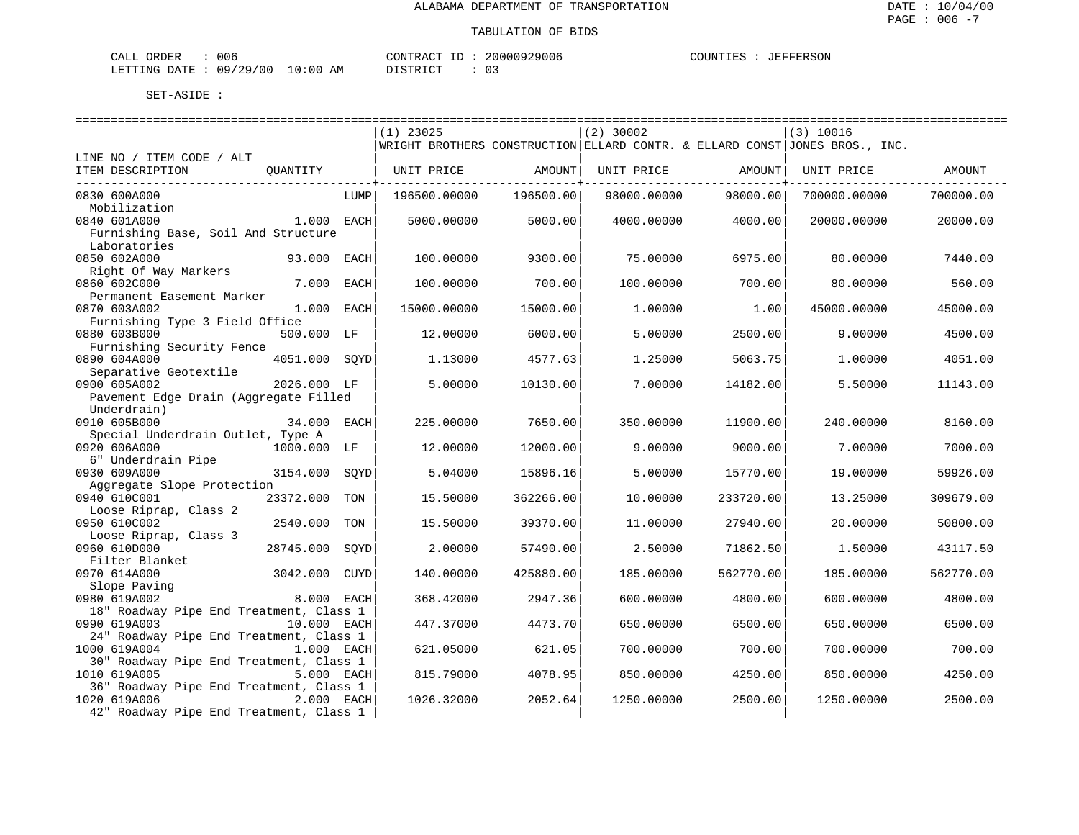| CALL<br>ORDER | 006               | CONTRACT            | 20000929006 | COUNTIES | JEFFERSON |
|---------------|-------------------|---------------------|-------------|----------|-----------|
| LETTING DATE  | 10:00<br>09/29/00 | AΜ<br>DISTRICT<br>. |             |          |           |

|                                         |               |      | $(1)$ 23025  |           | $(2)$ 30002 |           | (3) 10016                                                                   |           |
|-----------------------------------------|---------------|------|--------------|-----------|-------------|-----------|-----------------------------------------------------------------------------|-----------|
|                                         |               |      |              |           |             |           | WRIGHT BROTHERS CONSTRUCTION ELLARD CONTR. & ELLARD CONST JONES BROS., INC. |           |
| LINE NO / ITEM CODE / ALT               |               |      |              |           |             |           |                                                                             |           |
| ITEM DESCRIPTION                        | OUANTITY      |      | UNIT PRICE   | AMOUNT    | UNIT PRICE  | AMOUNT    | UNIT PRICE                                                                  | AMOUNT    |
|                                         |               |      |              |           |             |           |                                                                             |           |
| 0830 600A000                            |               | LUMP | 196500.00000 | 196500.00 | 98000.00000 | 98000.00  | 700000.00000                                                                | 700000.00 |
| Mobilization                            |               |      |              |           |             |           |                                                                             |           |
| 0840 601A000                            | 1.000 EACH    |      | 5000.00000   | 5000.00   | 4000.00000  | 4000.00   | 20000.00000                                                                 | 20000.00  |
| Furnishing Base, Soil And Structure     |               |      |              |           |             |           |                                                                             |           |
| Laboratories                            |               |      |              |           |             |           |                                                                             |           |
| 0850 602A000                            | 93.000 EACH   |      | 100.00000    | 9300.00   | 75.00000    | 6975.00   | 80.00000                                                                    | 7440.00   |
| Right Of Way Markers                    |               |      |              |           |             |           |                                                                             |           |
| 0860 602C000                            | 7.000 EACH    |      | 100.00000    | 700.00    | 100.00000   | 700.00    | 80.00000                                                                    | 560.00    |
| Permanent Easement Marker               |               |      |              |           |             |           |                                                                             |           |
| 0870 603A002                            | 1.000 EACH    |      | 15000.00000  | 15000.00  | 1,00000     | 1.00      | 45000.00000                                                                 | 45000.00  |
| Furnishing Type 3 Field Office          |               |      |              |           |             |           |                                                                             |           |
| 0880 603B000                            | 500.000 LF    |      | 12.00000     | 6000.00   | 5.00000     | 2500.00   | 9.00000                                                                     | 4500.00   |
| Furnishing Security Fence               |               |      |              |           |             |           |                                                                             |           |
| 0890 604A000                            | 4051.000 SOYD |      | 1.13000      | 4577.63   | 1.25000     | 5063.75   | 1,00000                                                                     | 4051.00   |
| Separative Geotextile                   |               |      |              |           |             |           |                                                                             |           |
| 0900 605A002                            | 2026.000 LF   |      | 5.00000      | 10130.00  | 7.00000     | 14182.00  | 5.50000                                                                     | 11143.00  |
| Pavement Edge Drain (Aggregate Filled   |               |      |              |           |             |           |                                                                             |           |
| Underdrain)                             |               |      |              |           |             |           |                                                                             |           |
| 0910 605B000                            | 34.000 EACH   |      | 225.00000    | 7650.00   | 350.00000   | 11900.00  | 240.00000                                                                   | 8160.00   |
| Special Underdrain Outlet, Type A       |               |      |              |           |             |           |                                                                             |           |
| 0920 606A000                            | 1000.000 LF   |      | 12.00000     | 12000.00  | 9.00000     | 9000.00   | 7.00000                                                                     | 7000.00   |
| 6" Underdrain Pipe                      |               |      |              |           |             |           |                                                                             |           |
| 0930 609A000                            | 3154.000      | SOYD | 5.04000      | 15896.16  | 5.00000     | 15770.00  | 19.00000                                                                    | 59926.00  |
| Aggregate Slope Protection              |               |      |              |           |             |           |                                                                             |           |
| 0940 610C001                            | 23372.000     | TON  | 15.50000     | 362266.00 | 10.00000    | 233720.00 | 13.25000                                                                    | 309679.00 |
| Loose Riprap, Class 2                   |               |      |              |           |             |           |                                                                             |           |
| 0950 610C002                            | 2540.000      | TON  | 15.50000     | 39370.00  | 11,00000    | 27940.00  | 20.00000                                                                    | 50800.00  |
| Loose Riprap, Class 3                   |               |      |              |           |             |           |                                                                             |           |
| 0960 610D000                            | 28745.000     | SOYD | 2.00000      | 57490.00  | 2.50000     | 71862.50  | 1.50000                                                                     | 43117.50  |
| Filter Blanket                          |               |      |              |           |             |           |                                                                             |           |
| 0970 614A000                            | 3042.000 CUYD |      | 140.00000    | 425880.00 | 185.00000   | 562770.00 | 185.00000                                                                   | 562770.00 |
| Slope Paving                            |               |      |              |           |             |           |                                                                             |           |
| 0980 619A002                            | 8.000 EACH    |      | 368.42000    | 2947.36   | 600.00000   | 4800.00   | 600.00000                                                                   | 4800.00   |
| 18" Roadway Pipe End Treatment, Class 1 |               |      |              |           |             |           |                                                                             |           |
| 0990 619A003                            | 10.000 EACH   |      | 447.37000    | 4473.70   | 650.00000   | 6500.00   | 650.00000                                                                   | 6500.00   |
| 24" Roadway Pipe End Treatment, Class 1 |               |      |              |           |             |           |                                                                             |           |
| 1000 619A004                            | 1.000 EACH    |      | 621.05000    | 621.05    | 700.00000   | 700.00    | 700.00000                                                                   | 700.00    |
| 30" Roadway Pipe End Treatment, Class 1 |               |      |              |           |             |           |                                                                             |           |
| 1010 619A005                            | 5.000 EACH    |      | 815.79000    | 4078.95   | 850.00000   | 4250.00   | 850.00000                                                                   | 4250.00   |
| 36" Roadway Pipe End Treatment, Class 1 |               |      |              |           |             |           |                                                                             |           |
| 1020 619A006                            | 2.000 EACH    |      | 1026.32000   | 2052.64   | 1250.00000  | 2500.00   | 1250.00000                                                                  | 2500.00   |
| 42" Roadway Pipe End Treatment, Class 1 |               |      |              |           |             |           |                                                                             |           |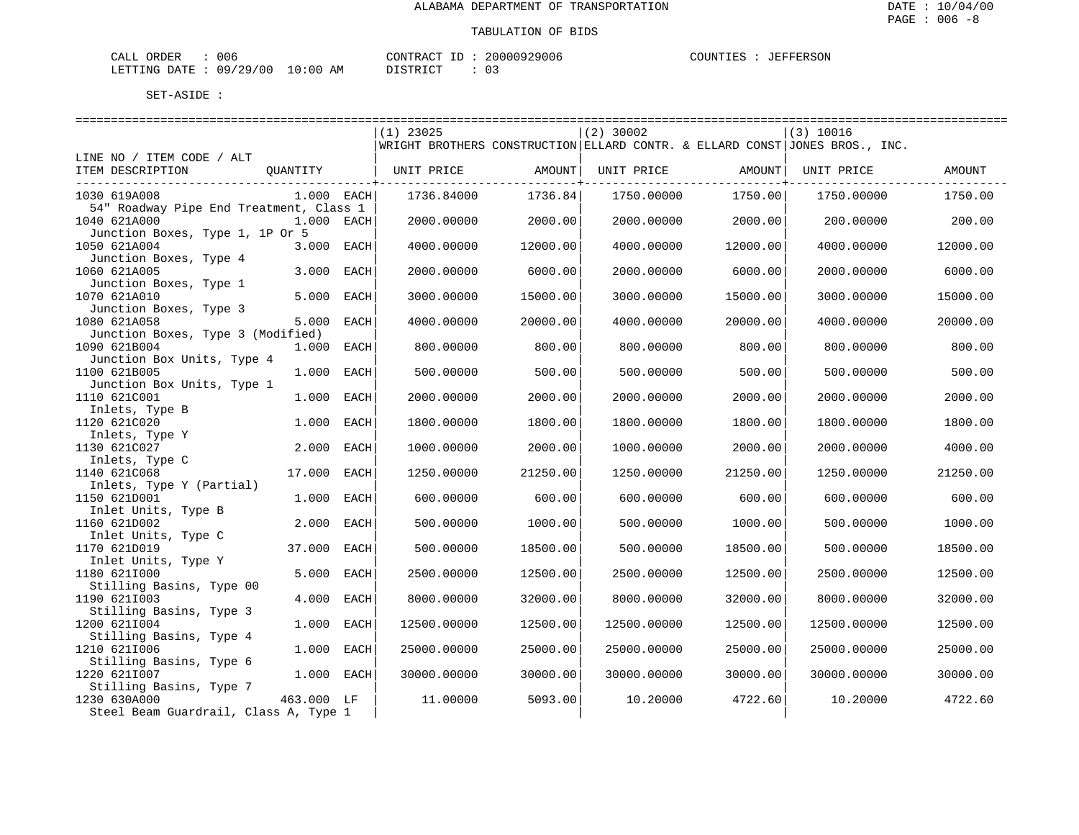| CALL ORDER                      | 006 |          | CONTRACT ID: 20000929006 | COUNTIES : JEFFERSON |  |
|---------------------------------|-----|----------|--------------------------|----------------------|--|
| LETTING DATE: 09/29/00 10:00 AM |     | DISTRICT |                          |                      |  |

|                                                 |            |      | $(1)$ 23025       |          | $(2)$ 30002 |                   | (3) 10016                                                                   |          |
|-------------------------------------------------|------------|------|-------------------|----------|-------------|-------------------|-----------------------------------------------------------------------------|----------|
|                                                 |            |      |                   |          |             |                   | WRIGHT BROTHERS CONSTRUCTION ELLARD CONTR. & ELLARD CONST JONES BROS., INC. |          |
| LINE NO / ITEM CODE / ALT                       |            |      |                   |          |             |                   |                                                                             |          |
| ITEM DESCRIPTION                                | OUANTITY   |      | UNIT PRICE AMOUNT |          |             | UNIT PRICE AMOUNT | UNIT PRICE                                                                  | AMOUNT   |
|                                                 |            |      |                   |          |             |                   |                                                                             |          |
| 1030 619A008                                    | 1.000 EACH |      | 1736.84000        | 1736.84  | 1750.00000  | 1750.00           | 1750.00000                                                                  | 1750.00  |
| 54" Roadway Pipe End Treatment, Class 1         |            |      |                   |          |             |                   |                                                                             |          |
| 1040 621A000                                    | 1.000 EACH |      | 2000.00000        | 2000.00  | 2000.00000  | 2000.00           | 200.00000                                                                   | 200.00   |
| Junction Boxes, Type 1, 1P Or 5<br>1050 621A004 | 3.000      | EACH | 4000.00000        | 12000.00 | 4000.00000  | 12000.00          | 4000.00000                                                                  | 12000.00 |
| Junction Boxes, Type 4                          |            |      |                   |          |             |                   |                                                                             |          |
| 1060 621A005                                    | 3.000      | EACH | 2000.00000        | 6000.00  | 2000.00000  | 6000.00           | 2000.00000                                                                  | 6000.00  |
| Junction Boxes, Type 1                          |            |      |                   |          |             |                   |                                                                             |          |
| 1070 621A010                                    | 5.000      | EACH | 3000.00000        | 15000.00 | 3000.00000  | 15000.00          | 3000.00000                                                                  | 15000.00 |
| Junction Boxes, Type 3                          |            |      |                   |          |             |                   |                                                                             |          |
| 1080 621A058                                    | 5.000      | EACH | 4000.00000        | 20000.00 | 4000.00000  | 20000.00          | 4000.00000                                                                  | 20000.00 |
| Junction Boxes, Type 3 (Modified)               |            |      |                   |          |             |                   |                                                                             |          |
| 1090 621B004                                    | 1.000 EACH |      | 800.00000         | 800.00   | 800.00000   | 800.00            | 800.00000                                                                   | 800.00   |
| Junction Box Units, Type 4                      |            |      |                   |          |             |                   |                                                                             |          |
| 1100 621B005                                    | 1.000      | EACH | 500.00000         | 500.00   | 500.00000   | 500.00            | 500.00000                                                                   | 500.00   |
| Junction Box Units, Type 1                      |            |      |                   |          |             |                   |                                                                             |          |
| 1110 621C001                                    | 1.000 EACH |      | 2000.00000        | 2000.00  | 2000.00000  | 2000.00           | 2000.00000                                                                  | 2000.00  |
| Inlets, Type B<br>1120 621C020                  | 1.000      | EACH | 1800.00000        | 1800.00  | 1800.00000  | 1800.00           | 1800.00000                                                                  | 1800.00  |
| Inlets, Type Y                                  |            |      |                   |          |             |                   |                                                                             |          |
| 1130 621C027                                    | 2.000      | EACH | 1000.00000        | 2000.00  | 1000.00000  | 2000.00           | 2000.00000                                                                  | 4000.00  |
| Inlets, Type C                                  |            |      |                   |          |             |                   |                                                                             |          |
| 1140 621C068                                    | 17.000     | EACH | 1250.00000        | 21250.00 | 1250.00000  | 21250.00          | 1250.00000                                                                  | 21250.00 |
| Inlets, Type Y (Partial)                        |            |      |                   |          |             |                   |                                                                             |          |
| 1150 621D001                                    | 1.000      | EACH | 600,00000         | 600.00   | 600.00000   | 600.00            | 600,00000                                                                   | 600.00   |
| Inlet Units, Type B                             |            |      |                   |          |             |                   |                                                                             |          |
| 1160 621D002                                    | 2.000      | EACH | 500.00000         | 1000.00  | 500.00000   | 1000.00           | 500.00000                                                                   | 1000.00  |
| Inlet Units, Type C                             |            |      |                   |          |             |                   |                                                                             |          |
| 1170 621D019                                    | 37.000     | EACH | 500.00000         | 18500.00 | 500.00000   | 18500.00          | 500.00000                                                                   | 18500.00 |
| Inlet Units, Type Y                             |            |      |                   |          |             |                   |                                                                             |          |
| 1180 6211000                                    | 5.000      | EACH | 2500.00000        | 12500.00 | 2500.00000  | 12500.00          | 2500.00000                                                                  | 12500.00 |
| Stilling Basins, Type 00<br>1190 6211003        | 4.000      | EACH | 8000.00000        | 32000.00 | 8000.00000  | 32000.00          |                                                                             | 32000.00 |
| Stilling Basins, Type 3                         |            |      |                   |          |             |                   | 8000.00000                                                                  |          |
| 1200 6211004                                    | 1.000      | EACH | 12500.00000       | 12500.00 | 12500.00000 | 12500.00          | 12500.00000                                                                 | 12500.00 |
| Stilling Basins, Type 4                         |            |      |                   |          |             |                   |                                                                             |          |
| 1210 6211006                                    | 1.000      | EACH | 25000.00000       | 25000.00 | 25000.00000 | 25000.00          | 25000.00000                                                                 | 25000.00 |
| Stilling Basins, Type 6                         |            |      |                   |          |             |                   |                                                                             |          |
| 1220 6211007                                    | 1.000 EACH |      | 30000.00000       | 30000.00 | 30000.00000 | 30000.00          | 30000.00000                                                                 | 30000.00 |
| Stilling Basins, Type 7                         |            |      |                   |          |             |                   |                                                                             |          |
| 1230 630A000                                    | 463.000 LF |      | 11.00000          | 5093.00  | 10.20000    | 4722.60           | 10.20000                                                                    | 4722.60  |
| Steel Beam Guardrail, Class A, Type 1           |            |      |                   |          |             |                   |                                                                             |          |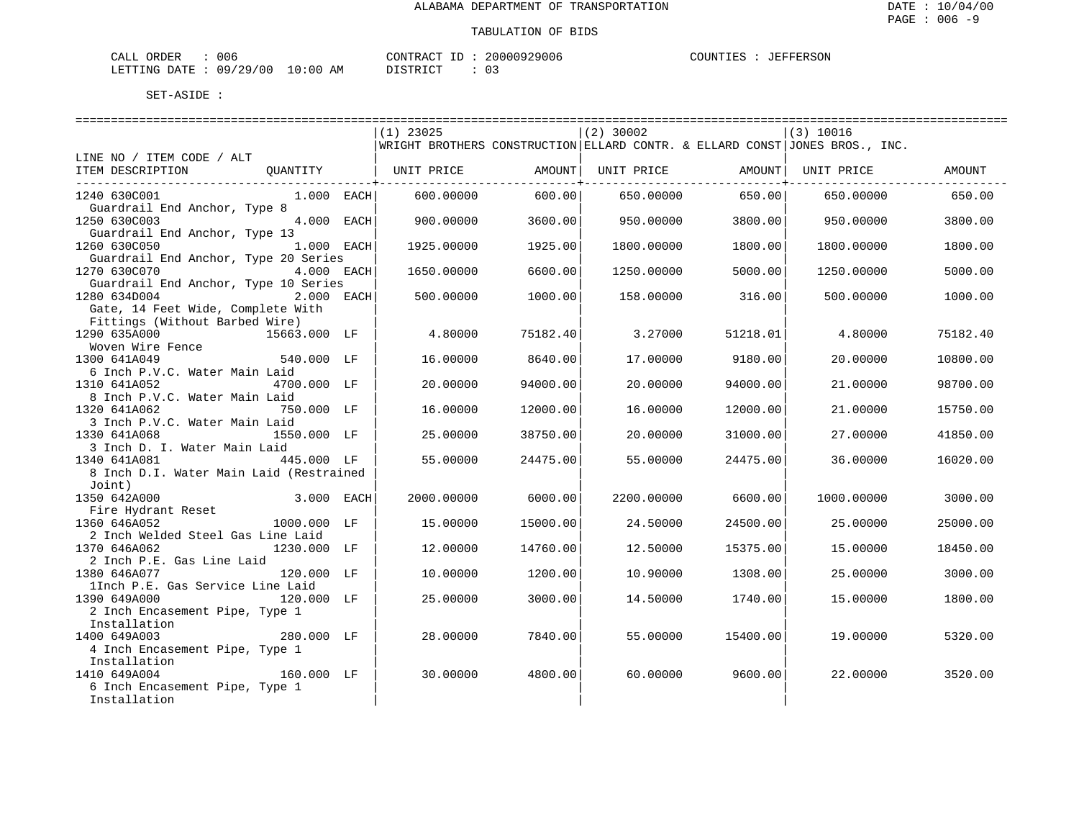| 006<br>----<br>ORDER<br>⊬⊔Aت           |                     | CONTE<br>$- -$<br>$\sim$<br>'RAL | 20000929006 | $\ldots$ INTT F $\cap$<br>$+EE^{\prime}$ | FERSON<br>┯┯┯ |
|----------------------------------------|---------------------|----------------------------------|-------------|------------------------------------------|---------------|
| /29/00<br>$\Omega$<br>LETTING<br>DATE. | 10:0C<br>AM<br>____ | $T$ $\cap$ $T$                   | ັບ          |                                          |               |

|                                                                    | $(1)$ 23025 |          | $(2)$ 30002 |          | $(3)$ 10016                                                                 |          |
|--------------------------------------------------------------------|-------------|----------|-------------|----------|-----------------------------------------------------------------------------|----------|
|                                                                    |             |          |             |          | WRIGHT BROTHERS CONSTRUCTION ELLARD CONTR. & ELLARD CONST JONES BROS., INC. |          |
| LINE NO / ITEM CODE / ALT                                          |             |          |             |          |                                                                             |          |
| ITEM DESCRIPTION<br>QUANTITY                                       | UNIT PRICE  | AMOUNT   | UNIT PRICE  | AMOUNT   | UNIT PRICE                                                                  | AMOUNT   |
| 1240 630C001<br>$1.000$ EACH                                       | 600,00000   | 600.00   | 650.00000   | 650.00   | 650.00000                                                                   | 650.00   |
| Guardrail End Anchor, Type 8                                       |             |          |             |          |                                                                             |          |
| 4.000 EACH<br>1250 630C003                                         | 900.00000   | 3600.00  | 950.00000   | 3800.00  | 950.00000                                                                   | 3800.00  |
| Guardrail End Anchor, Type 13                                      |             |          |             |          |                                                                             |          |
| 1.000 EACH<br>1260 630C050                                         | 1925.00000  | 1925.00  | 1800.00000  | 1800.00  | 1800.00000                                                                  | 1800.00  |
| Guardrail End Anchor, Type 20 Series<br>1270 630C070<br>4.000 EACH | 1650.00000  | 6600.00  | 1250.00000  | 5000.00  | 1250.00000                                                                  | 5000.00  |
| Guardrail End Anchor, Type 10 Series                               |             |          |             |          |                                                                             |          |
| 1280 634D004<br>2.000 EACH                                         | 500.00000   | 1000.00  | 158.00000   | 316.00   | 500,00000                                                                   | 1000.00  |
| Gate, 14 Feet Wide, Complete With                                  |             |          |             |          |                                                                             |          |
| Fittings (Without Barbed Wire)                                     |             |          |             |          |                                                                             |          |
| 15663.000 LF<br>1290 635A000                                       | 4.80000     | 75182.40 | 3.27000     | 51218.01 | 4.80000                                                                     | 75182.40 |
| Woven Wire Fence                                                   |             |          |             |          |                                                                             |          |
| 1300 641A049<br>540.000 LF                                         | 16.00000    | 8640.00  | 17.00000    | 9180.00  | 20,00000                                                                    | 10800.00 |
| 6 Inch P.V.C. Water Main Laid<br>1310 641A052<br>4700.000 LF       | 20.00000    | 94000.00 | 20.00000    | 94000.00 | 21.00000                                                                    | 98700.00 |
| 8 Inch P.V.C. Water Main Laid                                      |             |          |             |          |                                                                             |          |
| 750.000 LF<br>1320 641A062                                         | 16,00000    | 12000.00 | 16.00000    | 12000.00 | 21,00000                                                                    | 15750.00 |
| 3 Inch P.V.C. Water Main Laid                                      |             |          |             |          |                                                                             |          |
| 1330 641A068<br>1550.000 LF                                        | 25.00000    | 38750.00 | 20.00000    | 31000.00 | 27.00000                                                                    | 41850.00 |
| 3 Inch D. I. Water Main Laid                                       |             |          |             |          |                                                                             |          |
| 1340 641A081<br>445.000 LF                                         | 55.00000    | 24475.00 | 55.00000    | 24475.00 | 36.00000                                                                    | 16020.00 |
| 8 Inch D.I. Water Main Laid (Restrained<br>Joint)                  |             |          |             |          |                                                                             |          |
| 1350 642A000<br>3.000 EACH                                         | 2000.00000  | 6000.00  | 2200.00000  | 6600.00  | 1000.00000                                                                  | 3000.00  |
| Fire Hydrant Reset                                                 |             |          |             |          |                                                                             |          |
| 1360 646A052<br>1000.000 LF                                        | 15.00000    | 15000.00 | 24.50000    | 24500.00 | 25.00000                                                                    | 25000.00 |
| 2 Inch Welded Steel Gas Line Laid<br>1370 646A062<br>1230.000 LF   | 12.00000    | 14760.00 | 12.50000    | 15375.00 | 15,00000                                                                    | 18450.00 |
| 2 Inch P.E. Gas Line Laid                                          |             |          |             |          |                                                                             |          |
| 1380 646A077<br>120.000 LF                                         | 10,00000    | 1200.00  | 10.90000    | 1308.00  | 25,00000                                                                    | 3000.00  |
| lInch P.E. Gas Service Line Laid                                   |             |          |             |          |                                                                             |          |
| 1390 649A000<br>120.000 LF                                         | 25.00000    | 3000.00  | 14.50000    | 1740.00  | 15.00000                                                                    | 1800.00  |
| 2 Inch Encasement Pipe, Type 1                                     |             |          |             |          |                                                                             |          |
| Installation                                                       |             |          |             |          |                                                                             |          |
| 1400 649A003<br>280.000 LF                                         | 28.00000    | 7840.00  | 55.00000    | 15400.00 | 19.00000                                                                    | 5320.00  |
| 4 Inch Encasement Pipe, Type 1<br>Installation                     |             |          |             |          |                                                                             |          |
| 1410 649A004<br>160.000 LF                                         | 30,00000    | 4800.00  | 60.00000    | 9600.00  | 22,00000                                                                    | 3520.00  |
| 6 Inch Encasement Pipe, Type 1                                     |             |          |             |          |                                                                             |          |
| Installation                                                       |             |          |             |          |                                                                             |          |
|                                                                    |             |          |             |          |                                                                             |          |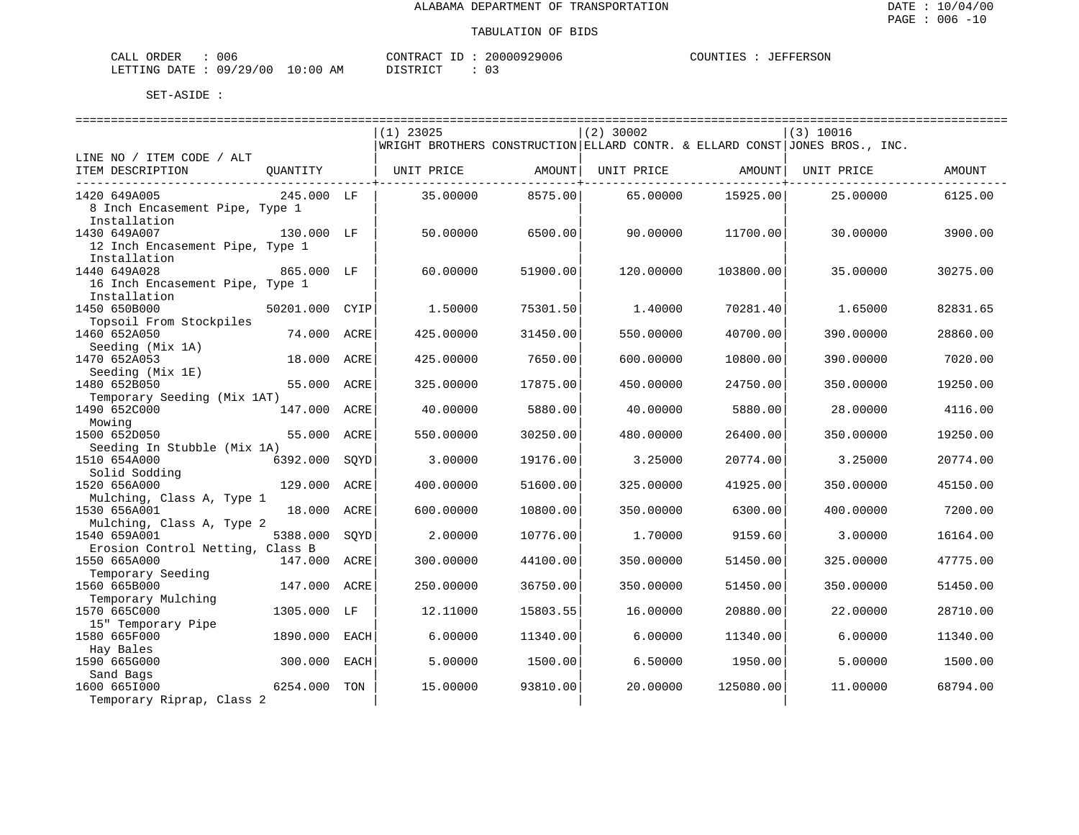| CALL ORDER                      | 006 | CONTRACT ID | 20000929006 | COUNTIES | JEFFERSON |
|---------------------------------|-----|-------------|-------------|----------|-----------|
| LETTING DATE: 09/29/00 10:00 AM |     | DISTRICT    |             |          |           |

|                                                                                     |              |      | $(1)$ 23025 |          | $(2)$ 30002 |           | (3) 10016                                                                   |          |
|-------------------------------------------------------------------------------------|--------------|------|-------------|----------|-------------|-----------|-----------------------------------------------------------------------------|----------|
|                                                                                     |              |      |             |          |             |           | WRIGHT BROTHERS CONSTRUCTION ELLARD CONTR. & ELLARD CONST JONES BROS., INC. |          |
| LINE NO / ITEM CODE / ALT<br>ITEM DESCRIPTION<br>---------------------------------- | OUANTITY     |      | UNIT PRICE  | AMOUNT   | UNIT PRICE  | AMOUNT    | UNIT PRICE                                                                  | AMOUNT   |
| 1420 649A005<br>8 Inch Encasement Pipe, Type 1<br>Installation                      | 245.000 LF   |      | 35.00000    | 8575.00  | 65.00000    | 15925.00  | 25.00000                                                                    | 6125.00  |
| 1430 649A007<br>12 Inch Encasement Pipe, Type 1<br>Installation                     | 130.000 LF   |      | 50.00000    | 6500.00  | 90.00000    | 11700.00  | 30,00000                                                                    | 3900.00  |
| 1440 649A028<br>16 Inch Encasement Pipe, Type 1<br>Installation                     | 865.000 LF   |      | 60.00000    | 51900.00 | 120,00000   | 103800.00 | 35,00000                                                                    | 30275.00 |
| 1450 650B000<br>Topsoil From Stockpiles                                             | 50201.000    | CYIP | 1.50000     | 75301.50 | 1.40000     | 70281.40  | 1.65000                                                                     | 82831.65 |
| 1460 652A050<br>Seeding (Mix 1A)                                                    | 74.000 ACRE  |      | 425.00000   | 31450.00 | 550.00000   | 40700.00  | 390.00000                                                                   | 28860.00 |
| 1470 652A053<br>Seeding (Mix 1E)                                                    | 18.000 ACRE  |      | 425.00000   | 7650.00  | 600.00000   | 10800.00  | 390.00000                                                                   | 7020.00  |
| 1480 652B050<br>Temporary Seeding (Mix 1AT)                                         | 55.000 ACRE  |      | 325.00000   | 17875.00 | 450.00000   | 24750.00  | 350.00000                                                                   | 19250.00 |
| 1490 652C000<br>Mowing                                                              | 147.000 ACRE |      | 40.00000    | 5880.00  | 40.00000    | 5880.00   | 28,00000                                                                    | 4116.00  |
| 1500 652D050<br>Seeding In Stubble (Mix 1A)                                         | 55.000 ACRE  |      | 550.00000   | 30250.00 | 480.00000   | 26400.00  | 350.00000                                                                   | 19250.00 |
| 1510 654A000<br>Solid Sodding                                                       | 6392.000     | SOYD | 3.00000     | 19176.00 | 3.25000     | 20774.00  | 3.25000                                                                     | 20774.00 |
| 1520 656A000<br>Mulching, Class A, Type 1                                           | 129.000 ACRE |      | 400.00000   | 51600.00 | 325.00000   | 41925.00  | 350.00000                                                                   | 45150.00 |
| 1530 656A001<br>Mulching, Class A, Type 2                                           | 18.000 ACRE  |      | 600.00000   | 10800.00 | 350.00000   | 6300.00   | 400.00000                                                                   | 7200.00  |
| 1540 659A001<br>Erosion Control Netting, Class B                                    | 5388.000     | SOYD | 2.00000     | 10776.00 | 1.70000     | 9159.60   | 3.00000                                                                     | 16164.00 |
| 1550 665A000<br>Temporary Seeding                                                   | 147.000 ACRE |      | 300.00000   | 44100.00 | 350.00000   | 51450.00  | 325.00000                                                                   | 47775.00 |
| 1560 665B000<br>Temporary Mulching                                                  | 147.000 ACRE |      | 250.00000   | 36750.00 | 350.00000   | 51450.00  | 350.00000                                                                   | 51450.00 |
| 1570 665C000<br>15" Temporary Pipe                                                  | 1305.000 LF  |      | 12.11000    | 15803.55 | 16,00000    | 20880.00  | 22.00000                                                                    | 28710.00 |
| 1580 665F000<br>Hay Bales                                                           | 1890.000     | EACH | 6.00000     | 11340.00 | 6.00000     | 11340.00  | 6,00000                                                                     | 11340.00 |
| 1590 665G000<br>Sand Bags                                                           | 300.000      | EACH | 5.00000     | 1500.00  | 6.50000     | 1950.00   | 5.00000                                                                     | 1500.00  |
| 1600 6651000<br>Temporary Riprap, Class 2                                           | 6254.000     | TON  | 15,00000    | 93810.00 | 20.00000    | 125080.00 | 11,00000                                                                    | 68794.00 |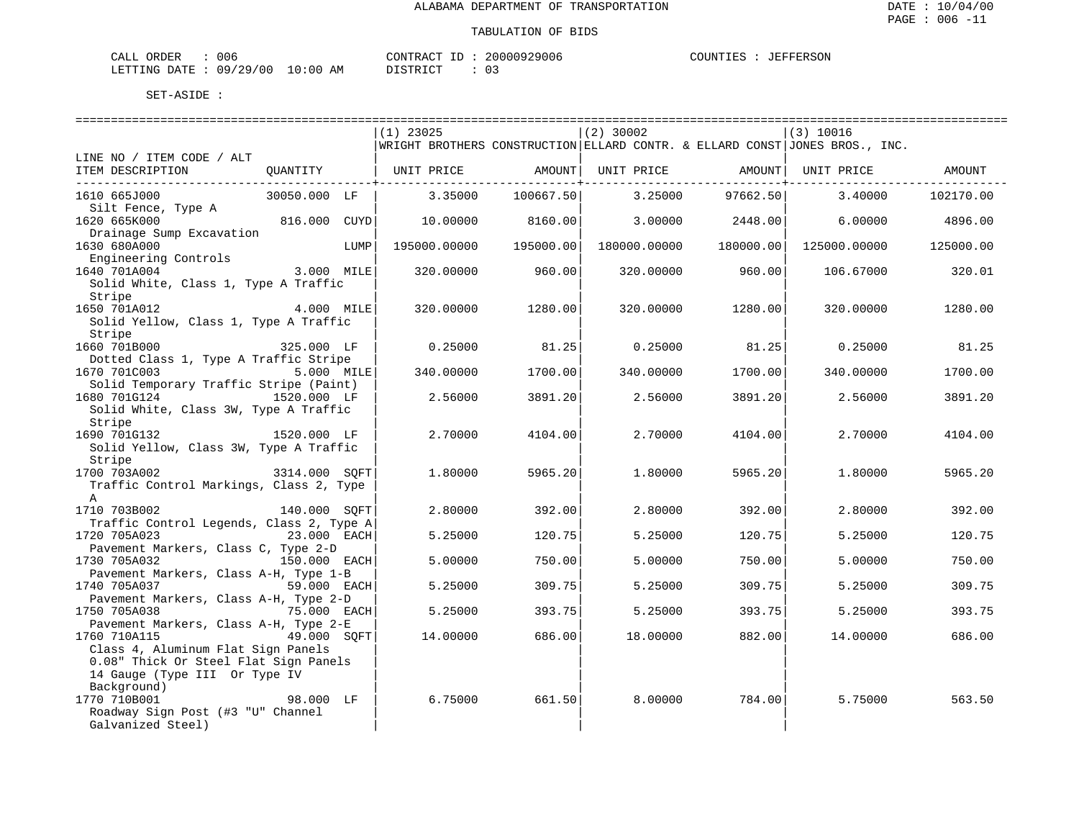| CALL ORDER                      | 006 | CONTRACT ID | 20000929006 | COUNTIES | JEFFERSON |
|---------------------------------|-----|-------------|-------------|----------|-----------|
| LETTING DATE: 09/29/00 10:00 AM |     | DISTRICT    |             |          |           |

|                                                          |               |      |                                                                    | ======================= |              |           |                                                                             |           |
|----------------------------------------------------------|---------------|------|--------------------------------------------------------------------|-------------------------|--------------|-----------|-----------------------------------------------------------------------------|-----------|
|                                                          |               |      | $(1)$ 23025                                                        |                         | $(2)$ 30002  |           | $(3)$ 10016                                                                 |           |
|                                                          |               |      |                                                                    |                         |              |           | WRIGHT BROTHERS CONSTRUCTION ELLARD CONTR. & ELLARD CONST JONES BROS., INC. |           |
| LINE NO / ITEM CODE / ALT                                |               |      |                                                                    |                         |              |           |                                                                             |           |
| ITEM DESCRIPTION                                         | QUANTITY      |      | UNIT PRICE         AMOUNT   UNIT PRICE         AMOUNT   UNIT PRICE |                         |              |           |                                                                             | AMOUNT    |
| 1610 665J000                                             | 30050.000 LF  |      | 3.35000                                                            | 100667.50               | 3.25000      | 97662.50  | 3.40000                                                                     | 102170.00 |
| Silt Fence, Type A                                       |               |      |                                                                    |                         |              |           |                                                                             |           |
| 1620 665K000                                             | 816.000 CUYD  |      | 10.00000                                                           | 8160.00                 | 3.00000      | 2448.00   | 6.00000                                                                     | 4896.00   |
| Drainage Sump Excavation                                 |               |      |                                                                    |                         |              |           |                                                                             |           |
| 1630 680A000                                             |               | LUMP | 195000.00000                                                       | 195000.00               | 180000.00000 | 180000.00 | 125000.00000                                                                | 125000.00 |
| Engineering Controls                                     | 3.000 MILE    |      |                                                                    | 960.00                  |              |           |                                                                             |           |
| 1640 701A004<br>Solid White, Class 1, Type A Traffic     |               |      | 320.00000                                                          |                         | 320,00000    | 960.00    | 106.67000                                                                   | 320.01    |
| Stripe                                                   |               |      |                                                                    |                         |              |           |                                                                             |           |
| 1650 701A012                                             | $4.000$ MILE  |      | 320,00000                                                          | 1280.00                 | 320.00000    | 1280.00   | 320,00000                                                                   | 1280.00   |
| Solid Yellow, Class 1, Type A Traffic                    |               |      |                                                                    |                         |              |           |                                                                             |           |
| Stripe                                                   |               |      |                                                                    |                         |              |           |                                                                             |           |
| 1660 701B000<br>325.000 LF                               |               |      | 0.25000                                                            | 81.25                   | 0.25000      | 81.25     | 0.25000                                                                     | 81.25     |
| Dotted Class 1, Type A Traffic Stripe                    |               |      |                                                                    |                         |              |           |                                                                             |           |
| 1670 701C003                                             | 5.000 MILE    |      | 340.00000                                                          | 1700.00                 | 340.00000    | 1700.00   | 340.00000                                                                   | 1700.00   |
| Solid Temporary Traffic Stripe (Paint)                   |               |      |                                                                    |                         |              |           |                                                                             |           |
| 1680 701G124<br>1520.000 LF                              |               |      | 2.56000                                                            | 3891.20                 | 2.56000      | 3891.20   | 2.56000                                                                     | 3891.20   |
| Solid White, Class 3W, Type A Traffic<br>Stripe          |               |      |                                                                    |                         |              |           |                                                                             |           |
| 1690 701G132                                             | 1520.000 LF   |      | 2,70000                                                            | 4104.00                 | 2.70000      | 4104.00   | 2.70000                                                                     | 4104.00   |
| Solid Yellow, Class 3W, Type A Traffic                   |               |      |                                                                    |                         |              |           |                                                                             |           |
| Stripe                                                   |               |      |                                                                    |                         |              |           |                                                                             |           |
| 1700 703A002                                             | 3314.000 SOFT |      | 1.80000                                                            | 5965.20                 | 1,80000      | 5965.20   | 1,80000                                                                     | 5965.20   |
| Traffic Control Markings, Class 2, Type                  |               |      |                                                                    |                         |              |           |                                                                             |           |
| $\mathsf{A}$                                             |               |      |                                                                    |                         |              |           |                                                                             |           |
| 1710 703B002                                             | 140.000 SOFT  |      | 2.80000                                                            | 392.00                  | 2.80000      | 392.00    | 2.80000                                                                     | 392.00    |
| Traffic Control Legends, Class 2, Type A<br>1720 705A023 | 23.000 EACH   |      | 5.25000                                                            | 120.75                  | 5.25000      | 120.75    | 5.25000                                                                     | 120.75    |
| Pavement Markers, Class C, Type 2-D                      |               |      |                                                                    |                         |              |           |                                                                             |           |
| 1730 705A032<br>150.000 EACH                             |               |      | 5.00000                                                            | 750.00                  | 5.00000      | 750.00    | 5.00000                                                                     | 750.00    |
| Pavement Markers, Class A-H, Type 1-B                    |               |      |                                                                    |                         |              |           |                                                                             |           |
| 1740 705A037                                             | 59.000 EACH   |      | 5.25000                                                            | 309.75                  | 5.25000      | 309.75    | 5.25000                                                                     | 309.75    |
| Pavement Markers, Class A-H, Type 2-D                    |               |      |                                                                    |                         |              |           |                                                                             |           |
| 75.000 EACH<br>1750 705A038                              |               |      | 5.25000                                                            | 393.75                  | 5.25000      | 393.75    | 5.25000                                                                     | 393.75    |
| Pavement Markers, Class A-H, Type 2-E                    |               |      |                                                                    |                         |              |           |                                                                             |           |
| 1760 710A115<br>Class 4, Aluminum Flat Sign Panels       | 49.000 SOFT   |      | 14.00000                                                           | 686.00                  | 18.00000     | 882.00    | 14.00000                                                                    | 686.00    |
| 0.08" Thick Or Steel Flat Sign Panels                    |               |      |                                                                    |                         |              |           |                                                                             |           |
| 14 Gauge (Type III Or Type IV                            |               |      |                                                                    |                         |              |           |                                                                             |           |
| Background)                                              |               |      |                                                                    |                         |              |           |                                                                             |           |
| 1770 710B001                                             | 98.000 LF     |      | 6.75000                                                            | 661.50                  | 8.00000      | 784.00    | 5.75000                                                                     | 563.50    |
| Roadway Sign Post (#3 "U" Channel                        |               |      |                                                                    |                         |              |           |                                                                             |           |
| Galvanized Steel)                                        |               |      |                                                                    |                         |              |           |                                                                             |           |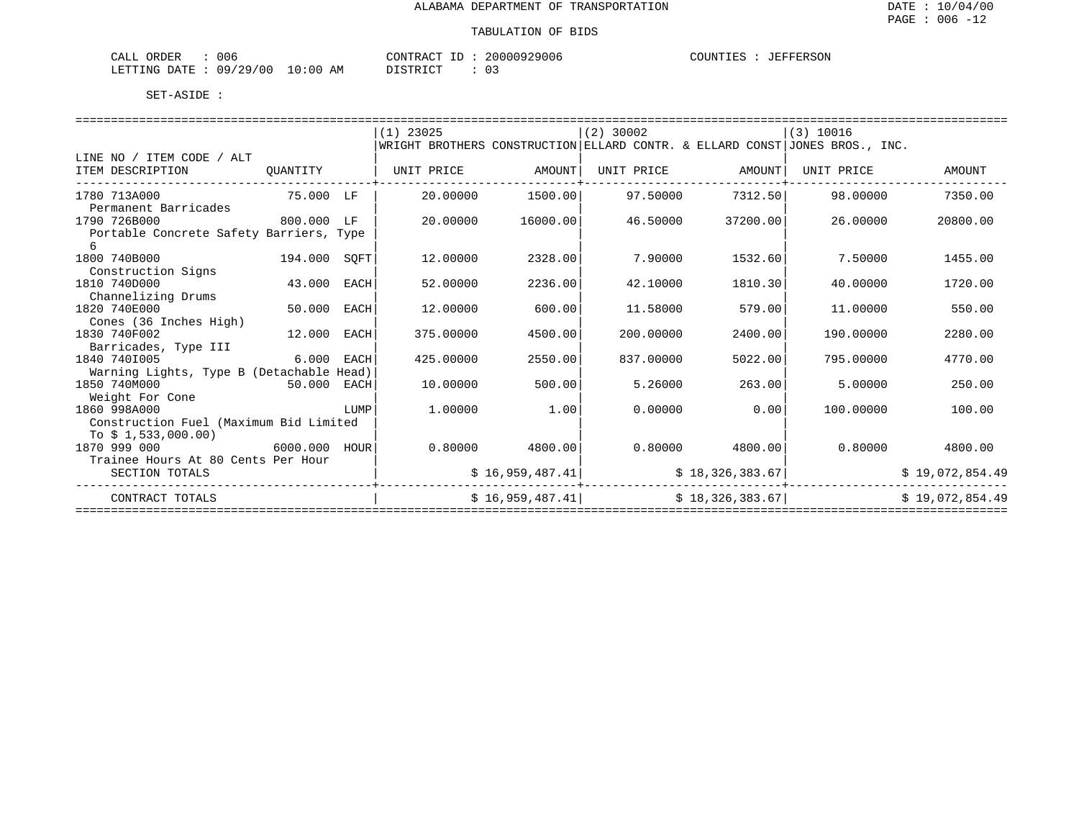| ORDER<br>CALL | 006                    | CONTRACT<br>ID | 20000929006 | COUNTIES<br>JEFFERSON |
|---------------|------------------------|----------------|-------------|-----------------------|
| LETTING DATE  | $10:00$ AM<br>09/29/00 | DISTRICT       | 03          |                       |

|                                          |              |      | $(1)$ 23025 |                  | $(2)$ 30002 |                   | (3) 10016                                                                   |                 |
|------------------------------------------|--------------|------|-------------|------------------|-------------|-------------------|-----------------------------------------------------------------------------|-----------------|
|                                          |              |      |             |                  |             |                   | WRIGHT BROTHERS CONSTRUCTION ELLARD CONTR. & ELLARD CONST JONES BROS., INC. |                 |
| LINE NO / ITEM CODE / ALT                |              |      |             |                  |             |                   |                                                                             |                 |
| ITEM DESCRIPTION                         | OUANTITY     |      | UNIT PRICE  | AMOUNT           |             | UNIT PRICE AMOUNT | UNIT PRICE                                                                  | AMOUNT          |
| 1780 713A000                             | 75.000 LF    |      | 20,00000    | 1500.00          | 97.50000    | 7312.50           | 98.00000                                                                    | 7350.00         |
| Permanent Barricades                     |              |      |             |                  |             |                   |                                                                             |                 |
| 1790 726B000                             | 800.000 LF   |      | 20.00000    | 16000.00         | 46.50000    | 37200.00          | 26.00000                                                                    | 20800.00        |
| Portable Concrete Safety Barriers, Type  |              |      |             |                  |             |                   |                                                                             |                 |
| 1800 740B000                             | 194.000 SQFT |      | 12.00000    | 2328.00          | 7.90000     | 1532.60           | 7.50000                                                                     | 1455.00         |
| Construction Signs                       |              |      |             |                  |             |                   |                                                                             |                 |
| 1810 740D000                             | 43.000       | EACH | 52.00000    | 2236.00          | 42.10000    | 1810.30           | 40.00000                                                                    | 1720.00         |
| Channelizing Drums                       |              |      |             |                  |             |                   |                                                                             |                 |
| 1820 740E000                             | 50.000       | EACH | 12,00000    | 600.00           | 11.58000    | 579.00            | 11,00000                                                                    | 550.00          |
| Cones (36 Inches High)                   |              |      |             |                  |             |                   |                                                                             |                 |
| 1830 740F002                             | 12.000       | EACH | 375.00000   | 4500.00          | 200.00000   | 2400.00           | 190.00000                                                                   | 2280.00         |
| Barricades, Type III                     |              |      |             |                  |             |                   |                                                                             |                 |
| 1840 7401005                             | 6.000 EACH   |      | 425.00000   | 2550.00          | 837.00000   | 5022.00           | 795.00000                                                                   | 4770.00         |
| Warning Lights, Type B (Detachable Head) |              |      |             |                  |             |                   |                                                                             |                 |
| 1850 740M000                             | 50.000 EACH  |      | 10.00000    | 500.00           | 5.26000     | 263.00            | 5.00000                                                                     | 250.00          |
| Weight For Cone                          |              |      |             |                  |             |                   |                                                                             |                 |
| 1860 998A000                             |              | LUMP | 1,00000     | 1.00             | 0.00000     | 0.00              | 100.00000                                                                   | 100.00          |
| Construction Fuel (Maximum Bid Limited   |              |      |             |                  |             |                   |                                                                             |                 |
| To $$1,533,000.00)$                      |              |      |             |                  |             |                   |                                                                             |                 |
| 1870 999 000                             | 6000.000     | HOUR | 0.80000     | 4800.00          | 0.80000     | 4800.00           | 0.80000                                                                     | 4800.00         |
| Trainee Hours At 80 Cents Per Hour       |              |      |             |                  |             |                   |                                                                             |                 |
| SECTION TOTALS                           |              |      |             | \$16,959,487.41] |             | \$18,326,383.67   |                                                                             | \$19,072,854.49 |
| CONTRACT TOTALS                          |              |      |             | \$16,959,487.41  |             | \$18,326,383.67   |                                                                             | \$19,072,854.49 |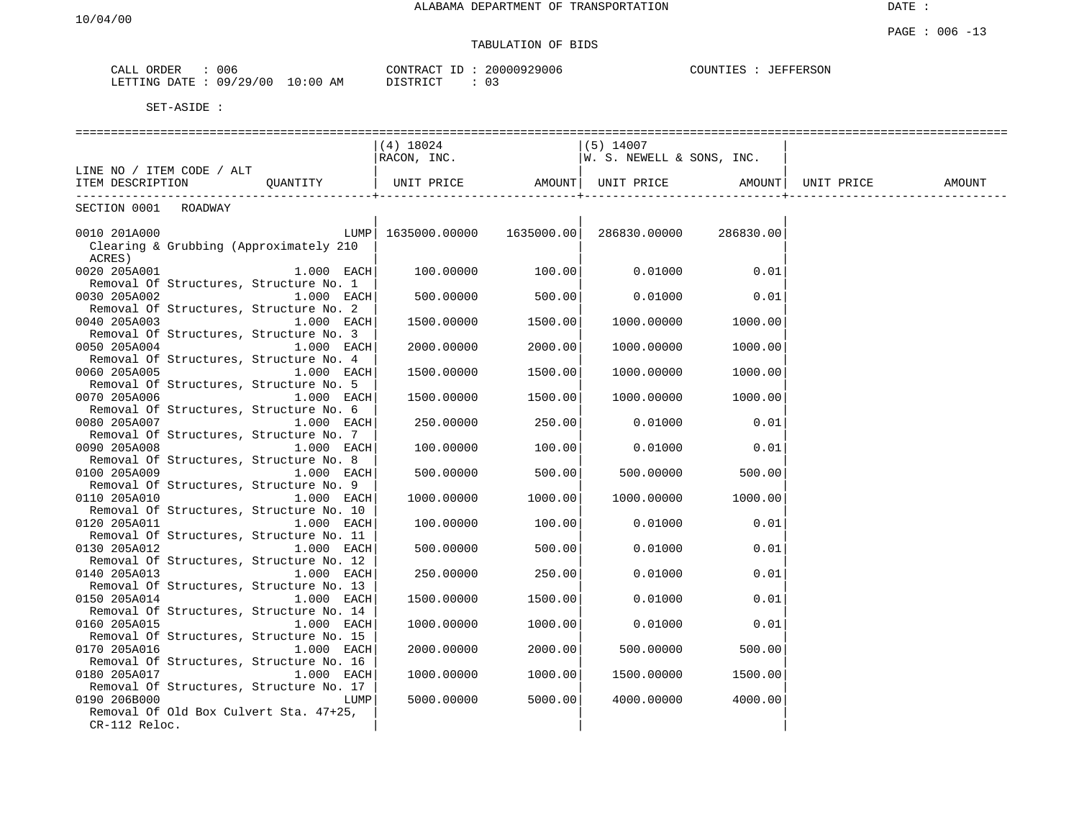| 006<br>ORDER<br>CALL |                         | 20000929006<br>CONTRACT          | COUNTIES<br>JEFFERSON |
|----------------------|-------------------------|----------------------------------|-----------------------|
| LETTING DATE         | 09/29/00<br>10:00<br>ΆM | ידי איד אידי את<br>, + + + + + + |                       |

|                                                         |              |      | (4) 18024<br>RACON, INC.                                     |                    | (5) 14007<br> W. S. NEWELL & SONS, INC. |                    |            |        |
|---------------------------------------------------------|--------------|------|--------------------------------------------------------------|--------------------|-----------------------------------------|--------------------|------------|--------|
| LINE NO / ITEM CODE / ALT                               |              |      |                                                              |                    |                                         |                    |            |        |
| ITEM DESCRIPTION QUANTITY                               | ___________  |      | UNIT PRICE                                                   | ---------------+-  | AMOUNT   UNIT PRICE   AMOUNT            |                    | UNIT PRICE | AMOUNT |
| SECTION 0001 ROADWAY                                    |              |      |                                                              |                    |                                         |                    |            |        |
| 0010 201A000                                            |              |      | LUMP $\vert$ 1635000.00000 1635000.00 286830.00000 286830.00 |                    |                                         |                    |            |        |
| Clearing & Grubbing (Approximately 210                  |              |      |                                                              |                    |                                         |                    |            |        |
| ACRES)                                                  |              |      |                                                              |                    |                                         |                    |            |        |
| 0020 205A001                                            | $1.000$ EACH |      |                                                              |                    | $100.00000$ $100.00$ 0.01000            | 0.01               |            |        |
| Removal Of Structures, Structure No. 1                  |              |      |                                                              |                    |                                         |                    |            |        |
| 0030 205A002                                            | $1.000$ EACH |      | $500.00000$ 500.00                                           |                    | 0.01000                                 | 0.01               |            |        |
| Removal Of Structures, Structure No. 2                  |              |      |                                                              |                    |                                         |                    |            |        |
| 0040 205A003                                            | $1.000$ EACH |      | 1500.00000 1500.00                                           |                    | 1000.00000                              | 1000.00            |            |        |
| Removal Of Structures, Structure No. 3                  |              |      |                                                              |                    |                                         |                    |            |        |
| 0050 205A004                                            | $1.000$ EACH |      | 2000.00000                                                   | 2000.00            | 1000.00000                              | 1000.001           |            |        |
| Removal Of Structures, Structure No. 4                  |              |      |                                                              |                    |                                         |                    |            |        |
| 0060 205A005                                            | $1.000$ EACH |      | 1500.00000                                                   | 1500.00            | 1000.00000                              | 1000.001           |            |        |
| Removal Of Structures, Structure No. 5                  |              |      |                                                              |                    |                                         |                    |            |        |
| 0070 205A006                                            | $1.000$ EACH |      | 1500.00000                                                   | 1500.00            | 1000.00000                              | 1000.00            |            |        |
| Removal Of Structures, Structure No. 6                  |              |      |                                                              |                    |                                         |                    |            |        |
| 0080 205A007                                            | $1.000$ EACH |      | 250.00000                                                    | 250.00             | 0.01000                                 | 0.01               |            |        |
| Removal Of Structures, Structure No. 7                  |              |      |                                                              |                    |                                         |                    |            |        |
| 0090 205A008                                            | $1.000$ EACH |      |                                                              | $100.00000$ 100.00 | 0.01000                                 | 0.01               |            |        |
| Removal Of Structures, Structure No. 8                  |              |      |                                                              |                    |                                         |                    |            |        |
| 0100 205A009                                            | $1.000$ EACH |      | 500.00000                                                    | 500.00             | 500.00000                               | 500.00             |            |        |
| Removal Of Structures, Structure No. 9                  |              |      |                                                              |                    |                                         |                    |            |        |
| 0110 205A010                                            | $1.000$ EACH |      | 1000.00000                                                   | 1000.00            |                                         | 1000.00000 1000.00 |            |        |
| Removal Of Structures, Structure No. 10                 |              |      |                                                              |                    |                                         |                    |            |        |
| 0120 205A011                                            | $1.000$ EACH |      | 100.00000                                                    | 100.00             | 0.01000                                 | 0.01               |            |        |
| Removal Of Structures, Structure No. 11<br>0130 205A012 |              |      |                                                              | 500.00             |                                         |                    |            |        |
| Removal Of Structures, Structure No. 12                 | $1.000$ EACH |      | 500.00000                                                    |                    | 0.01000                                 | 0.01               |            |        |
| 0140 205A013                                            | $1.000$ EACH |      | 250.00000                                                    | 250.00             | 0.01000                                 | 0.01               |            |        |
| Removal Of Structures, Structure No. 13                 |              |      |                                                              |                    |                                         |                    |            |        |
| 0150 205A014                                            | 1.000 EACH   |      | 1500.00000                                                   | 1500.00            | 0.01000                                 | 0.01               |            |        |
| Removal Of Structures, Structure No. 14                 |              |      |                                                              |                    |                                         |                    |            |        |
| 0160 205A015                                            | 1.000 EACH   |      | 1000.00000                                                   | 1000.00            | 0.01000                                 | 0.01               |            |        |
| Removal Of Structures, Structure No. 15                 |              |      |                                                              |                    |                                         |                    |            |        |
| 0170 205A016                                            | $1.000$ EACH |      | 2000.00000                                                   | 2000.00            | 500.00000                               | 500.00             |            |        |
| Removal Of Structures, Structure No. 16                 |              |      |                                                              |                    |                                         |                    |            |        |
| 0180 205A017                                            | $1.000$ EACH |      | 1000.00000                                                   | 1000.00            | 1500.00000                              | 1500.00            |            |        |
| Removal Of Structures, Structure No. 17                 |              |      |                                                              |                    |                                         |                    |            |        |
| 0190 206B000                                            |              | LUMP | 5000.00000                                                   | 5000.00            | 4000.00000                              | 4000.00            |            |        |
| Removal Of Old Box Culvert Sta. 47+25,                  |              |      |                                                              |                    |                                         |                    |            |        |
| CR-112 Reloc.                                           |              |      |                                                              |                    |                                         |                    |            |        |
|                                                         |              |      |                                                              |                    |                                         |                    |            |        |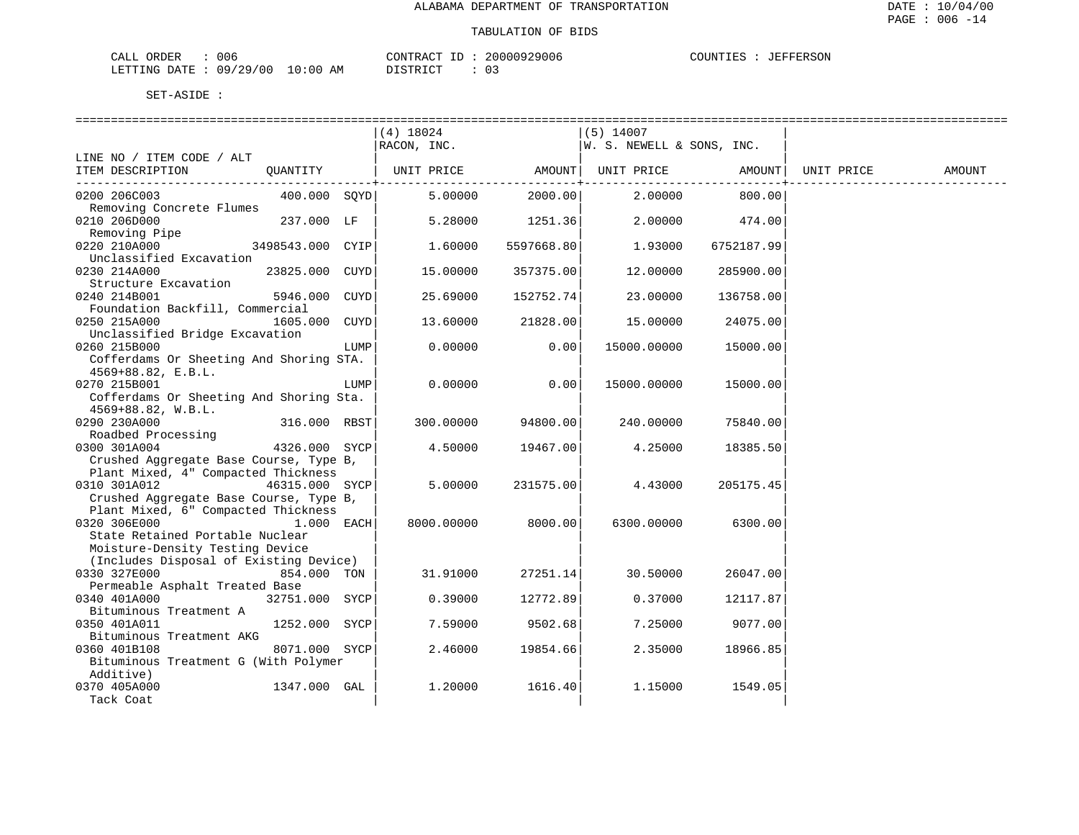| CALL ORDER                      | 006 |  | CONTRACT ID | $\sim$ 1. | 20000929006 | COUNTIES | JEFFERSON |
|---------------------------------|-----|--|-------------|-----------|-------------|----------|-----------|
| LETTING DATE: 09/29/00 10:00 AM |     |  | DISTRICT    |           |             |          |           |

|                                         |                  |      | (4) 18024   |                    | (5) 14007                 |            |            |        |
|-----------------------------------------|------------------|------|-------------|--------------------|---------------------------|------------|------------|--------|
|                                         |                  |      | RACON, INC. |                    | W. S. NEWELL & SONS, INC. |            |            |        |
| LINE NO / ITEM CODE / ALT               |                  |      |             |                    |                           |            |            |        |
| ITEM DESCRIPTION                        | QUANTITY         |      | UNIT PRICE  | AMOUNT<br>-------- | UNIT PRICE                | AMOUNT     | UNIT PRICE | AMOUNT |
| 0200 206C003                            | 400.000 SQYD     |      | 5.00000     | 2000.00            | 2.00000                   | 800.00     |            |        |
| Removing Concrete Flumes                |                  |      |             |                    |                           |            |            |        |
| 0210 206D000                            | 237.000 LF       |      | 5.28000     | 1251.36            | 2,00000                   | 474.00     |            |        |
| Removing Pipe                           |                  |      |             |                    |                           |            |            |        |
| 0220 210A000                            | 3498543.000 CYIP |      | 1.60000     | 5597668.80         | 1.93000                   | 6752187.99 |            |        |
| Unclassified Excavation                 |                  |      |             |                    |                           |            |            |        |
| 0230 214A000                            | 23825.000 CUYD   |      | 15.00000    | 357375.00          | 12.00000                  | 285900.00  |            |        |
| Structure Excavation                    |                  |      |             |                    |                           |            |            |        |
| 0240 214B001                            | 5946.000 CUYD    |      | 25.69000    | 152752.74          | 23.00000                  | 136758.00  |            |        |
| Foundation Backfill, Commercial         |                  |      |             |                    |                           |            |            |        |
| 0250 215A000                            | 1605.000         | CUYD | 13.60000    | 21828.00           | 15.00000                  | 24075.00   |            |        |
| Unclassified Bridge Excavation          |                  |      |             |                    |                           |            |            |        |
| 0260 215B000                            |                  | LUMP | 0.00000     | 0.00               | 15000.00000               | 15000.00   |            |        |
| Cofferdams Or Sheeting And Shoring STA. |                  |      |             |                    |                           |            |            |        |
| $4569+88.82$ , E.B.L.                   |                  |      |             |                    |                           |            |            |        |
| 0270 215B001                            |                  | LUMP | 0.00000     | 0.00               | 15000.00000               | 15000.00   |            |        |
| Cofferdams Or Sheeting And Shoring Sta. |                  |      |             |                    |                           |            |            |        |
| $4569+88.82$ , W.B.L.                   |                  |      |             |                    |                           |            |            |        |
| 0290 230A000                            | 316.000 RBST     |      | 300.00000   | 94800.00           | 240.00000                 | 75840.00   |            |        |
| Roadbed Processing                      |                  |      |             |                    |                           |            |            |        |
| 0300 301A004                            | 4326.000 SYCP    |      | 4.50000     | 19467.00           | 4.25000                   | 18385.50   |            |        |
| Crushed Aggregate Base Course, Type B,  |                  |      |             |                    |                           |            |            |        |
| Plant Mixed, 4" Compacted Thickness     |                  |      |             |                    |                           |            |            |        |
| 0310 301A012                            | 46315.000 SYCP   |      | 5.00000     | 231575.00          | 4.43000                   | 205175.45  |            |        |
| Crushed Aggregate Base Course, Type B,  |                  |      |             |                    |                           |            |            |        |
| Plant Mixed, 6" Compacted Thickness     |                  |      |             |                    |                           |            |            |        |
| 0320 306E000                            | $1.000$ EACH     |      | 8000.00000  | 8000.00            | 6300.00000                | 6300.00    |            |        |
| State Retained Portable Nuclear         |                  |      |             |                    |                           |            |            |        |
| Moisture-Density Testing Device         |                  |      |             |                    |                           |            |            |        |
| (Includes Disposal of Existing Device)  |                  |      |             |                    |                           |            |            |        |
| 0330 327E000                            | 854.000 TON      |      | 31.91000    | 27251.14           | 30.50000                  | 26047.00   |            |        |
| Permeable Asphalt Treated Base          |                  |      |             |                    |                           |            |            |        |
| 0340 401A000                            | 32751.000 SYCP   |      | 0.39000     | 12772.89           | 0.37000                   | 12117.87   |            |        |
| Bituminous Treatment A                  |                  |      |             |                    |                           |            |            |        |
| 0350 401A011                            | 1252.000         | SYCP | 7.59000     | 9502.68            | 7.25000                   | 9077.00    |            |        |
| Bituminous Treatment AKG                |                  |      |             |                    |                           |            |            |        |
| 0360 401B108                            | 8071.000 SYCP    |      | 2.46000     | 19854.66           | 2.35000                   | 18966.85   |            |        |
| Bituminous Treatment G (With Polymer    |                  |      |             |                    |                           |            |            |        |
| Additive)                               |                  |      |             |                    |                           |            |            |        |
| 0370 405A000                            | 1347.000 GAL     |      | 1,20000     | 1616.40            | 1,15000                   | 1549.05    |            |        |
| Tack Coat                               |                  |      |             |                    |                           |            |            |        |
|                                         |                  |      |             |                    |                           |            |            |        |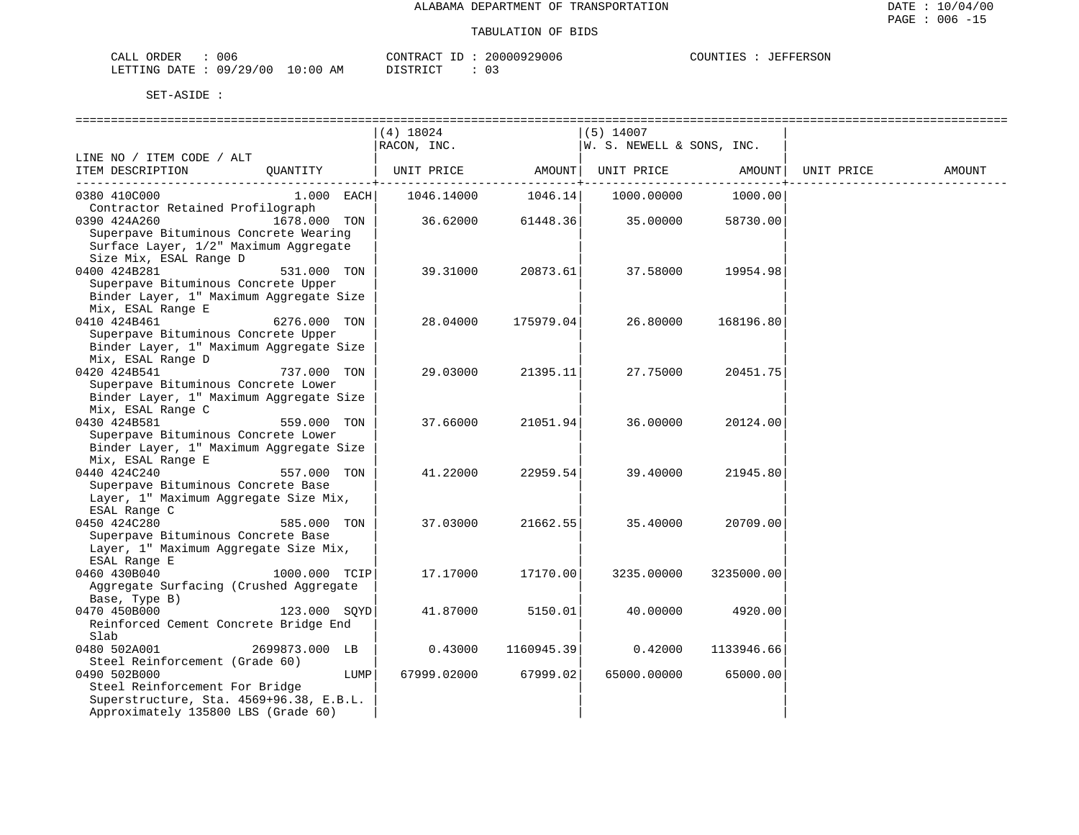| CALL ORDER                      | 006 |          | CONTRACT ID: 20000929006 | COUNTIES : JEFFERSON |  |
|---------------------------------|-----|----------|--------------------------|----------------------|--|
| LETTING DATE: 09/29/00 10:00 AM |     | DISTRICT |                          |                      |  |

|                                         |                |      | $(4)$ 18024 |            | $(5)$ 14007               |            |            |        |
|-----------------------------------------|----------------|------|-------------|------------|---------------------------|------------|------------|--------|
|                                         |                |      | RACON, INC. |            | W. S. NEWELL & SONS, INC. |            |            |        |
| LINE NO / ITEM CODE / ALT               |                |      |             |            |                           |            |            |        |
| ITEM DESCRIPTION                        | OUANTITY       |      | UNIT PRICE  | AMOUNT     | UNIT PRICE                | AMOUNT     | UNIT PRICE | AMOUNT |
| 0380 410C000                            | $1.000$ EACH   |      | 1046.14000  | 1046.14    | 1000.00000                | 1000.00    |            |        |
| Contractor Retained Profilograph        |                |      |             |            |                           |            |            |        |
| 0390 424A260                            | 1678.000 TON   |      | 36.62000    | 61448.36   | 35.00000                  | 58730.00   |            |        |
| Superpave Bituminous Concrete Wearing   |                |      |             |            |                           |            |            |        |
| Surface Layer, 1/2" Maximum Aggregate   |                |      |             |            |                           |            |            |        |
| Size Mix, ESAL Range D                  |                |      |             |            |                           |            |            |        |
| 0400 424B281                            | 531.000 TON    |      | 39.31000    | 20873.61   | 37.58000                  | 19954.98   |            |        |
| Superpave Bituminous Concrete Upper     |                |      |             |            |                           |            |            |        |
| Binder Layer, 1" Maximum Aggregate Size |                |      |             |            |                           |            |            |        |
| Mix, ESAL Range E                       |                |      |             |            |                           |            |            |        |
| 0410 424B461                            | 6276.000 TON   |      | 28.04000    | 175979.04  | 26.80000                  | 168196.80  |            |        |
| Superpave Bituminous Concrete Upper     |                |      |             |            |                           |            |            |        |
| Binder Layer, 1" Maximum Aggregate Size |                |      |             |            |                           |            |            |        |
| Mix, ESAL Range D                       |                |      |             |            |                           |            |            |        |
| 0420 424B541                            | 737.000 TON    |      | 29.03000    | 21395.11   | 27.75000                  | 20451.75   |            |        |
| Superpave Bituminous Concrete Lower     |                |      |             |            |                           |            |            |        |
| Binder Layer, 1" Maximum Aggregate Size |                |      |             |            |                           |            |            |        |
| Mix, ESAL Range C                       |                |      |             |            |                           |            |            |        |
| 0430 424B581                            | 559.000 TON    |      | 37.66000    | 21051.94   | 36.00000                  | 20124.00   |            |        |
| Superpave Bituminous Concrete Lower     |                |      |             |            |                           |            |            |        |
| Binder Layer, 1" Maximum Aggregate Size |                |      |             |            |                           |            |            |        |
| Mix, ESAL Range E                       |                |      |             |            |                           |            |            |        |
| 0440 424C240                            | 557.000 TON    |      | 41.22000    | 22959.54   | 39.40000                  | 21945.80   |            |        |
| Superpave Bituminous Concrete Base      |                |      |             |            |                           |            |            |        |
| Layer, 1" Maximum Aggregate Size Mix,   |                |      |             |            |                           |            |            |        |
| ESAL Range C<br>0450 424C280            | 585.000 TON    |      | 37.03000    | 21662.55   | 35.40000                  | 20709.00   |            |        |
| Superpave Bituminous Concrete Base      |                |      |             |            |                           |            |            |        |
| Layer, 1" Maximum Aggregate Size Mix,   |                |      |             |            |                           |            |            |        |
| ESAL Range E                            |                |      |             |            |                           |            |            |        |
| 0460 430B040                            | 1000.000 TCIP  |      | 17.17000    | 17170.00   | 3235.00000                | 3235000.00 |            |        |
| Aggregate Surfacing (Crushed Aggregate  |                |      |             |            |                           |            |            |        |
| Base, Type B)                           |                |      |             |            |                           |            |            |        |
| 0470 450B000                            | 123.000 SOYD   |      | 41.87000    | 5150.01    | 40.00000                  | 4920.00    |            |        |
| Reinforced Cement Concrete Bridge End   |                |      |             |            |                           |            |            |        |
| Slab                                    |                |      |             |            |                           |            |            |        |
| 0480 502A001                            | 2699873.000 LB |      | 0.43000     | 1160945.39 | 0.42000                   | 1133946.66 |            |        |
| Steel Reinforcement (Grade 60)          |                |      |             |            |                           |            |            |        |
| 0490 502B000                            |                | LUMP | 67999.02000 | 67999.02   | 65000.00000               | 65000.00   |            |        |
| Steel Reinforcement For Bridge          |                |      |             |            |                           |            |            |        |
| Superstructure, Sta. 4569+96.38, E.B.L. |                |      |             |            |                           |            |            |        |
| Approximately 135800 LBS (Grade 60)     |                |      |             |            |                           |            |            |        |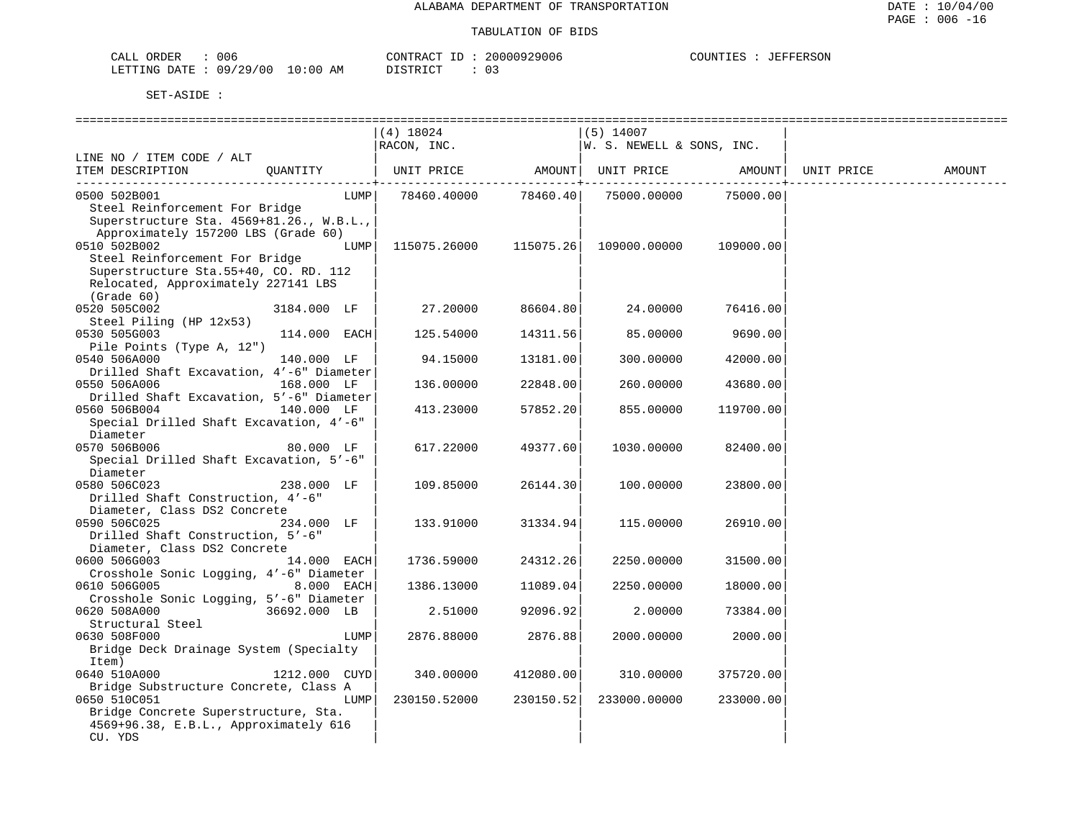| CALL ORDER                      | 006 |          | CONTRACT ID: 20000929006 | COUNTIES | : JEFFERSON |
|---------------------------------|-----|----------|--------------------------|----------|-------------|
| LETTING DATE: 09/29/00 10:00 AM |     | DISTRICT |                          |          |             |

|                                                                               |               |      |                            |                |                                                    |                     | ================ |        |
|-------------------------------------------------------------------------------|---------------|------|----------------------------|----------------|----------------------------------------------------|---------------------|------------------|--------|
|                                                                               |               |      | (4) 18024                  |                | (5) 14007                                          |                     |                  |        |
|                                                                               |               |      | RACON, INC.                |                | W. S. NEWELL & SONS, INC.                          |                     |                  |        |
| LINE NO / ITEM CODE / ALT                                                     |               |      |                            |                |                                                    |                     |                  |        |
| ITEM DESCRIPTION                                                              | OUANTITY      |      |                            |                | UNIT PRICE AMOUNT   UNIT PRICE AMOUNT   UNIT PRICE | . _ _ _ _ _ _ _ _ . |                  | AMOUNT |
| 0500 502B001                                                                  |               | LUMP | 78460.40000 78460.40       | -----------+-- | 75000.00000 75000.00                               |                     |                  |        |
| Steel Reinforcement For Bridge                                                |               |      |                            |                |                                                    |                     |                  |        |
| Superstructure Sta. 4569+81.26., W.B.L.,                                      |               |      |                            |                |                                                    |                     |                  |        |
| Approximately 157200 LBS (Grade 60)                                           |               |      |                            |                |                                                    |                     |                  |        |
| 0510 502B002                                                                  |               | LUMP | $115075.26000$ $115075.26$ |                | 109000.00000                                       | 109000.00           |                  |        |
| Steel Reinforcement For Bridge                                                |               |      |                            |                |                                                    |                     |                  |        |
| Superstructure Sta. 55+40, CO. RD. 112                                        |               |      |                            |                |                                                    |                     |                  |        |
| Relocated, Approximately 227141 LBS                                           |               |      |                            |                |                                                    |                     |                  |        |
| (Grade 60)                                                                    |               |      |                            |                |                                                    |                     |                  |        |
| 0520 505C002                                                                  | 3184.000 LF   |      | 27.20000                   | 86604.80       | 24.00000                                           | 76416.00            |                  |        |
| Steel Piling (HP 12x53)                                                       |               |      |                            |                |                                                    |                     |                  |        |
| 0530 505G003                                                                  | 114.000 EACH  |      | 125.54000                  | 14311.56       | 85.00000                                           | 9690.00             |                  |        |
| Pile Points (Type A, 12")                                                     |               |      |                            |                |                                                    |                     |                  |        |
| 0540 506A000                                                                  | 140.000 LF    |      | 94.15000                   | 13181.00       | 300.00000                                          | 42000.00            |                  |        |
| Drilled Shaft Excavation, 4'-6" Diameter                                      |               |      |                            |                |                                                    |                     |                  |        |
| 0550 506A006                                                                  | 168.000 LF    |      | 136.00000                  | 22848.00       | 260.00000                                          | 43680.00            |                  |        |
| Drilled Shaft Excavation, 5'-6" Diameter                                      |               |      |                            |                |                                                    |                     |                  |        |
| 0560 506B004                                                                  | 140.000 LF    |      | 413.23000                  | 57852.20       | 855.00000                                          | 119700.00           |                  |        |
| Special Drilled Shaft Excavation, 4'-6"                                       |               |      |                            |                |                                                    |                     |                  |        |
| Diameter                                                                      |               |      |                            |                |                                                    |                     |                  |        |
| 0570 506B006                                                                  | 80.000 LF     |      | 617.22000                  | 49377.60       | 1030.00000                                         | 82400.00            |                  |        |
| Special Drilled Shaft Excavation, 5'-6"                                       |               |      |                            |                |                                                    |                     |                  |        |
| Diameter                                                                      |               |      |                            |                |                                                    |                     |                  |        |
| 0580 506C023                                                                  | 238.000 LF    |      | 109.85000                  | 26144.30       | 100.00000                                          | 23800.00            |                  |        |
| Drilled Shaft Construction, 4'-6"                                             |               |      |                            |                |                                                    |                     |                  |        |
| Diameter, Class DS2 Concrete                                                  |               |      |                            |                |                                                    |                     |                  |        |
| 0590 506C025                                                                  | 234.000 LF    |      | 133.91000                  | 31334.94       | 115.00000                                          | 26910.00            |                  |        |
| Drilled Shaft Construction, 5'-6"                                             |               |      |                            |                |                                                    |                     |                  |        |
| Diameter, Class DS2 Concrete                                                  |               |      |                            |                |                                                    |                     |                  |        |
| 0600 506G003                                                                  | 14.000 EACH   |      | 1736.59000                 | 24312.26       | 2250.00000                                         | 31500.00            |                  |        |
| Crosshole Sonic Logging, 4'-6" Diameter                                       |               |      |                            |                |                                                    |                     |                  |        |
| 0610 506G005                                                                  | 8.000 EACH    |      | 1386.13000                 | 11089.04       | 2250.00000                                         | 18000.00            |                  |        |
| Crosshole Sonic Logging, 5'-6" Diameter                                       |               |      |                            |                |                                                    |                     |                  |        |
| 0620 508A000                                                                  | 36692.000 LB  |      | 2.51000                    | 92096.92       | 2.00000                                            | 73384.00            |                  |        |
| Structural Steel                                                              |               |      |                            |                |                                                    |                     |                  |        |
| 0630 508F000                                                                  |               | LUMP | 2876.88000                 | 2876.88        | 2000.00000                                         | 2000.00             |                  |        |
| Bridge Deck Drainage System (Specialty                                        |               |      |                            |                |                                                    |                     |                  |        |
| Item)                                                                         |               |      |                            |                |                                                    |                     |                  |        |
| 0640 510A000                                                                  | 1212.000 CUYD |      | 340.00000                  | 412080.00      | 310.00000                                          | 375720.00           |                  |        |
| Bridge Substructure Concrete, Class A                                         |               |      |                            |                |                                                    |                     |                  |        |
| 0650 510C051                                                                  |               | LUMP | 230150.52000               | 230150.52      | 233000.00000                                       | 233000.00           |                  |        |
| Bridge Concrete Superstructure, Sta.<br>4569+96.38, E.B.L., Approximately 616 |               |      |                            |                |                                                    |                     |                  |        |
| CU. YDS                                                                       |               |      |                            |                |                                                    |                     |                  |        |
|                                                                               |               |      |                            |                |                                                    |                     |                  |        |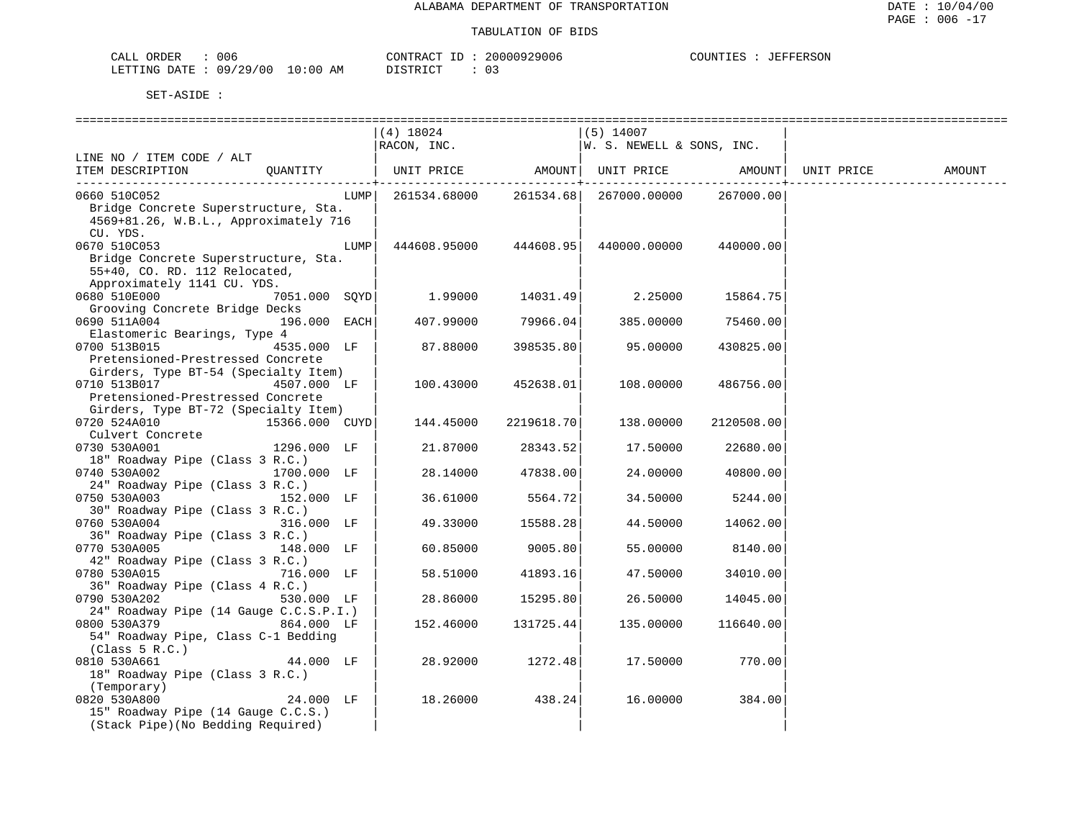| CALL ORDER                      | 006 |          | CONTRACT ID: 20000929006 | COUNTIES | : JEFFERSON |
|---------------------------------|-----|----------|--------------------------|----------|-------------|
| LETTING DATE: 09/29/00 10:00 AM |     | DISTRICT |                          |          |             |

|                                        |               |      | $(4)$ 18024                              |            | $(5)$ 14007               |            |            |        |
|----------------------------------------|---------------|------|------------------------------------------|------------|---------------------------|------------|------------|--------|
|                                        |               |      | RACON, INC.                              |            | W. S. NEWELL & SONS, INC. |            |            |        |
| LINE NO / ITEM CODE / ALT              |               |      |                                          |            |                           |            |            |        |
| ITEM DESCRIPTION                       | OUANTITY      |      | UNIT PRICE                               |            | AMOUNT   UNIT PRICE       | AMOUNT     | UNIT PRICE | AMOUNT |
|                                        |               |      |                                          |            |                           |            |            |        |
| 0660 510C052                           |               |      | LUMP 261534.68000 261534.68 267000.00000 |            |                           | 267000.00  |            |        |
| Bridge Concrete Superstructure, Sta.   |               |      |                                          |            |                           |            |            |        |
| 4569+81.26, W.B.L., Approximately 716  |               |      |                                          |            |                           |            |            |        |
| CU. YDS.                               |               |      |                                          |            |                           |            |            |        |
| 0670 510C053                           |               | LUMP | 444608.95000 444608.95                   |            | 440000.00000              | 440000.00  |            |        |
| Bridge Concrete Superstructure, Sta.   |               |      |                                          |            |                           |            |            |        |
| 55+40, CO. RD. 112 Relocated,          |               |      |                                          |            |                           |            |            |        |
| Approximately 1141 CU. YDS.            |               |      |                                          |            |                           |            |            |        |
| 0680 510E000                           | 7051.000 SOYD |      | 1.99000                                  | 14031.49   | 2.25000                   | 15864.75   |            |        |
| Grooving Concrete Bridge Decks         |               |      |                                          |            |                           |            |            |        |
|                                        |               |      |                                          |            |                           |            |            |        |
| 0690 511A004                           | 196.000 EACH  |      | 407.99000                                | 79966.04   | 385.00000                 | 75460.00   |            |        |
| Elastomeric Bearings, Type 4           |               |      |                                          |            |                           |            |            |        |
| 0700 513B015                           | 4535.000 LF   |      | 87.88000                                 | 398535.80  | 95.00000                  | 430825.00  |            |        |
| Pretensioned-Prestressed Concrete      |               |      |                                          |            |                           |            |            |        |
| Girders, Type BT-54 (Specialty Item)   |               |      |                                          |            |                           |            |            |        |
| 0710 513B017 4507.000 LF               |               |      | 100.43000                                | 452638.01  | 108.00000                 | 486756.00  |            |        |
| Pretensioned-Prestressed Concrete      |               |      |                                          |            |                           |            |            |        |
| Girders, Type BT-72 (Specialty Item)   |               |      |                                          |            |                           |            |            |        |
| 0720 524A010<br>15366.000 CUYD         |               |      | 144.45000                                | 2219618.70 | 138.00000                 | 2120508.00 |            |        |
| Culvert Concrete                       |               |      |                                          |            |                           |            |            |        |
| 0730 530A001                           | 1296.000 LF   |      | 21.87000                                 | 28343.52   | 17.50000                  | 22680.00   |            |        |
| 18" Roadway Pipe (Class 3 R.C.)        |               |      |                                          |            |                           |            |            |        |
| 0740 530A002                           | 1700.000 LF   |      | 28.14000                                 | 47838.00   | 24.00000                  | 40800.00   |            |        |
| 24" Roadway Pipe (Class 3 R.C.)        |               |      |                                          |            |                           |            |            |        |
| 0750 530A003 152.000 LF                |               |      | 36.61000                                 | 5564.72    | 34.50000                  | 5244.00    |            |        |
| 30" Roadway Pipe (Class 3 R.C.)        |               |      |                                          |            |                           |            |            |        |
| 0760 530A004                           | 316.000 LF    |      | 49.33000                                 | 15588.28   | 44.50000                  | 14062.00   |            |        |
| 36" Roadway Pipe (Class 3 R.C.)        |               |      |                                          |            |                           |            |            |        |
| 0770 530A005                           | 148.000 LF    |      | 60.85000                                 | 9005.80    | 55.00000                  | 8140.00    |            |        |
| 42" Roadway Pipe (Class 3 R.C.)        |               |      |                                          |            |                           |            |            |        |
| 0780 530A015                           | 716.000 LF    |      | 58.51000                                 | 41893.16   | 47.50000                  | 34010.00   |            |        |
| 36" Roadway Pipe (Class 4 R.C.)        |               |      |                                          |            |                           |            |            |        |
| 0790 530A202 530.000 LF                |               |      | 28.86000                                 | 15295.80   | 26.50000                  | 14045.00   |            |        |
| 24" Roadway Pipe (14 Gauge C.C.S.P.I.) |               |      |                                          |            |                           |            |            |        |
| 0800 530A379                           | 864.000 LF    |      | 152.46000                                | 131725.44  | 135.00000                 | 116640.00  |            |        |
| 54" Roadway Pipe, Class C-1 Bedding    |               |      |                                          |            |                           |            |            |        |
| (Class 5 R.C.)                         |               |      |                                          |            |                           |            |            |        |
| 0810 530A661                           | 44.000 LF     |      | 28.92000                                 | 1272.48    | 17.50000                  | 770.00     |            |        |
|                                        |               |      |                                          |            |                           |            |            |        |
| 18" Roadway Pipe (Class 3 R.C.)        |               |      |                                          |            |                           |            |            |        |
| (Temporary)                            |               |      |                                          |            |                           |            |            |        |
| 0820 530A800                           | 24.000 LF     |      | 18.26000                                 | 438.24     | 16.00000                  | 384.00     |            |        |
| 15" Roadway Pipe (14 Gauge C.C.S.)     |               |      |                                          |            |                           |            |            |        |
| (Stack Pipe)(No Bedding Required)      |               |      |                                          |            |                           |            |            |        |
|                                        |               |      |                                          |            |                           |            |            |        |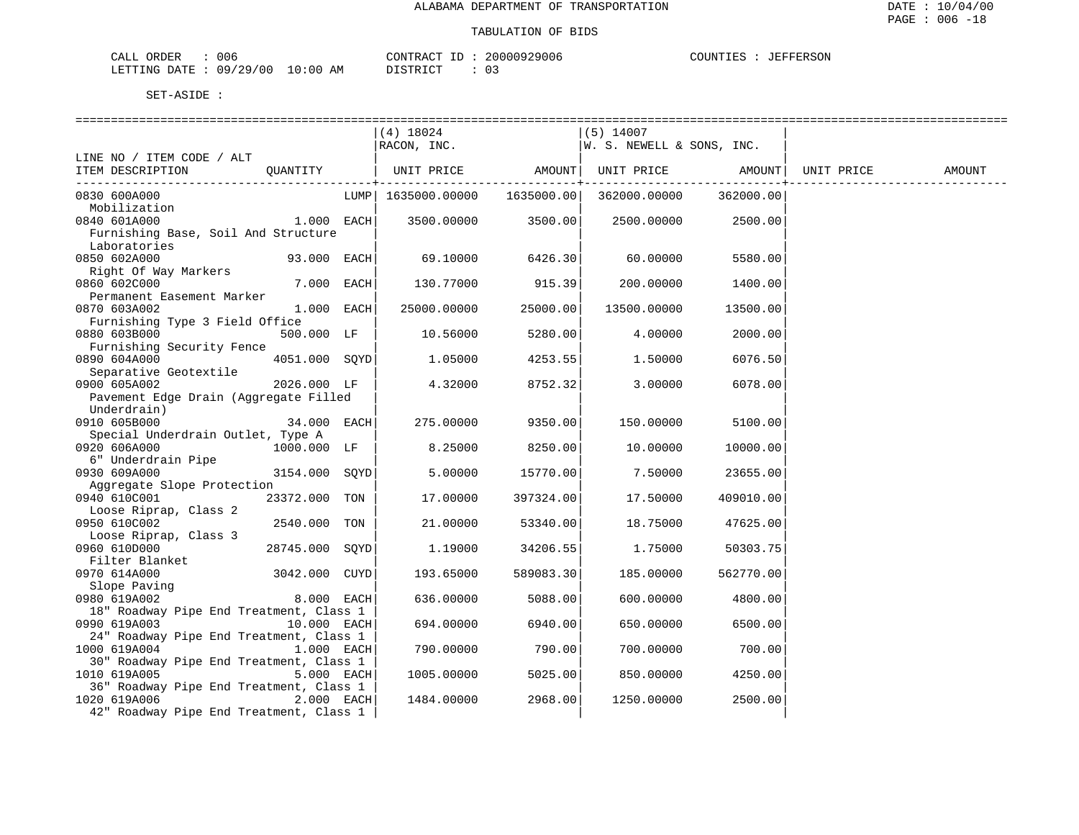| $\sim  -$<br><b>CRDER</b><br>لىلە: | $\sim$ $\sim$<br>uud             |             | סידיזו∩י<br>$\sim$ $\sim$ $\sim$ $\sim$ $\sim$ $\sim$                                                                                        |          | ے ار<br>) () t<br>, , ,<br>. ש | 1 I M |  |
|------------------------------------|----------------------------------|-------------|----------------------------------------------------------------------------------------------------------------------------------------------|----------|--------------------------------|-------|--|
| TNG<br>LETT <sup>-</sup><br>DATE:  | n a<br>$\sqrt{2}$<br>່າ ດ<br>ـ ـ | ፡ 0 0<br>AМ | $\sim$<br>תי <i>ים</i> דת<br>the contract of the contract of the contract of the contract of the contract of the contract of the contract of | -<br>◡ – | ___                            |       |  |

|                                         |               |      |                      | =========================           |                              |           |            |        |
|-----------------------------------------|---------------|------|----------------------|-------------------------------------|------------------------------|-----------|------------|--------|
|                                         |               |      | (4) 18024            |                                     | (5) 14007                    |           |            |        |
|                                         |               |      | RACON, INC.          |                                     | $ W.$ S. NEWELL & SONS, INC. |           |            |        |
| LINE NO / ITEM CODE / ALT               |               |      |                      |                                     |                              |           |            |        |
| ITEM DESCRIPTION                        | OUANTITY      |      | UNIT PRICE           | AMOUNT<br>. - - - - - - - - - - + - | UNIT PRICE                   | AMOUNT    | UNIT PRICE | AMOUNT |
| 0830 600A000                            |               |      | LUMP   1635000.00000 | 1635000.00                          | 362000.00000                 | 362000.00 |            |        |
| Mobilization                            |               |      |                      |                                     |                              |           |            |        |
| 0840 601A000                            | $1.000$ EACH  |      | 3500.00000           | 3500.00                             | 2500.00000                   | 2500.00   |            |        |
| Furnishing Base, Soil And Structure     |               |      |                      |                                     |                              |           |            |        |
| Laboratories                            |               |      |                      |                                     |                              |           |            |        |
| 0850 602A000                            | 93.000 EACH   |      | 69.10000             | 6426.30                             | 60.00000                     | 5580.00   |            |        |
| Right Of Way Markers                    |               |      |                      |                                     |                              |           |            |        |
| 0860 602C000                            | 7.000 EACH    |      | 130.77000            | 915.39                              | 200.00000                    | 1400.00   |            |        |
| Permanent Easement Marker               |               |      |                      |                                     |                              |           |            |        |
| 0870 603A002                            | 1.000 EACH    |      | 25000.00000          | 25000.00                            | 13500.00000                  | 13500.00  |            |        |
| Furnishing Type 3 Field Office          |               |      |                      |                                     |                              |           |            |        |
| 0880 603B000                            | 500.000 LF    |      | 10.56000             | 5280.00                             | 4.00000                      | 2000.00   |            |        |
| Furnishing Security Fence               |               |      |                      |                                     |                              |           |            |        |
| 0890 604A000                            | 4051.000 SQYD |      | 1,05000              | 4253.55                             | 1.50000                      | 6076.50   |            |        |
| Separative Geotextile                   |               |      |                      |                                     |                              |           |            |        |
| 0900 605A002                            | 2026.000 LF   |      | 4.32000              | 8752.32                             | 3.00000                      | 6078.00   |            |        |
| Pavement Edge Drain (Aggregate Filled   |               |      |                      |                                     |                              |           |            |        |
| Underdrain)                             |               |      |                      |                                     |                              |           |            |        |
| 0910 605B000                            | 34.000 EACH   |      | 275.00000            | 9350.00                             | 150.00000                    | 5100.00   |            |        |
| Special Underdrain Outlet, Type A       |               |      |                      |                                     |                              |           |            |        |
| 0920 606A000                            | 1000.000 LF   |      | 8.25000              | 8250.00                             | 10.00000                     | 10000.00  |            |        |
| 6" Underdrain Pipe                      |               |      |                      |                                     |                              |           |            |        |
| 0930 609A000                            | 3154.000 SOYD |      | 5.00000              | 15770.00                            | 7.50000                      | 23655.00  |            |        |
| Aggregate Slope Protection              |               |      |                      |                                     |                              |           |            |        |
| 0940 610C001                            | 23372.000 TON |      | 17.00000             | 397324.00                           | 17.50000                     | 409010.00 |            |        |
| Loose Riprap, Class 2                   |               |      |                      |                                     |                              |           |            |        |
| 0950 610C002                            | 2540.000 TON  |      | 21.00000             | 53340.00                            | 18.75000                     | 47625.00  |            |        |
| Loose Riprap, Class 3                   |               |      |                      |                                     |                              |           |            |        |
| 0960 610D000                            | 28745.000     | SOYD | 1,19000              | 34206.55                            | 1.75000                      | 50303.75  |            |        |
| Filter Blanket                          |               |      |                      |                                     |                              |           |            |        |
| 0970 614A000                            | 3042.000 CUYD |      | 193.65000            | 589083.30                           | 185.00000                    | 562770.00 |            |        |
| Slope Paving                            |               |      |                      |                                     |                              |           |            |        |
| 0980 619A002                            | 8.000 EACH    |      | 636.00000            | 5088.00                             | 600.00000                    | 4800.00   |            |        |
| 18" Roadway Pipe End Treatment, Class 1 |               |      |                      |                                     |                              |           |            |        |
| 0990 619A003                            | 10.000 EACH   |      | 694.00000            | 6940.00                             | 650.00000                    | 6500.00   |            |        |
| 24" Roadway Pipe End Treatment, Class 1 |               |      |                      |                                     |                              |           |            |        |
| 1000 619A004                            | $1.000$ EACH  |      | 790.00000            | 790.00                              | 700.00000                    | 700.00    |            |        |
| 30" Roadway Pipe End Treatment, Class 1 |               |      |                      |                                     |                              |           |            |        |
| 1010 619A005                            | 5.000 EACH    |      | 1005.00000           | 5025.00                             | 850.00000                    | 4250.00   |            |        |
| 36" Roadway Pipe End Treatment, Class 1 |               |      |                      |                                     |                              |           |            |        |
| 1020 619A006                            | 2.000 EACH    |      | 1484.00000           | 2968.00                             | 1250.00000                   | 2500.00   |            |        |
| 42" Roadway Pipe End Treatment, Class 1 |               |      |                      |                                     |                              |           |            |        |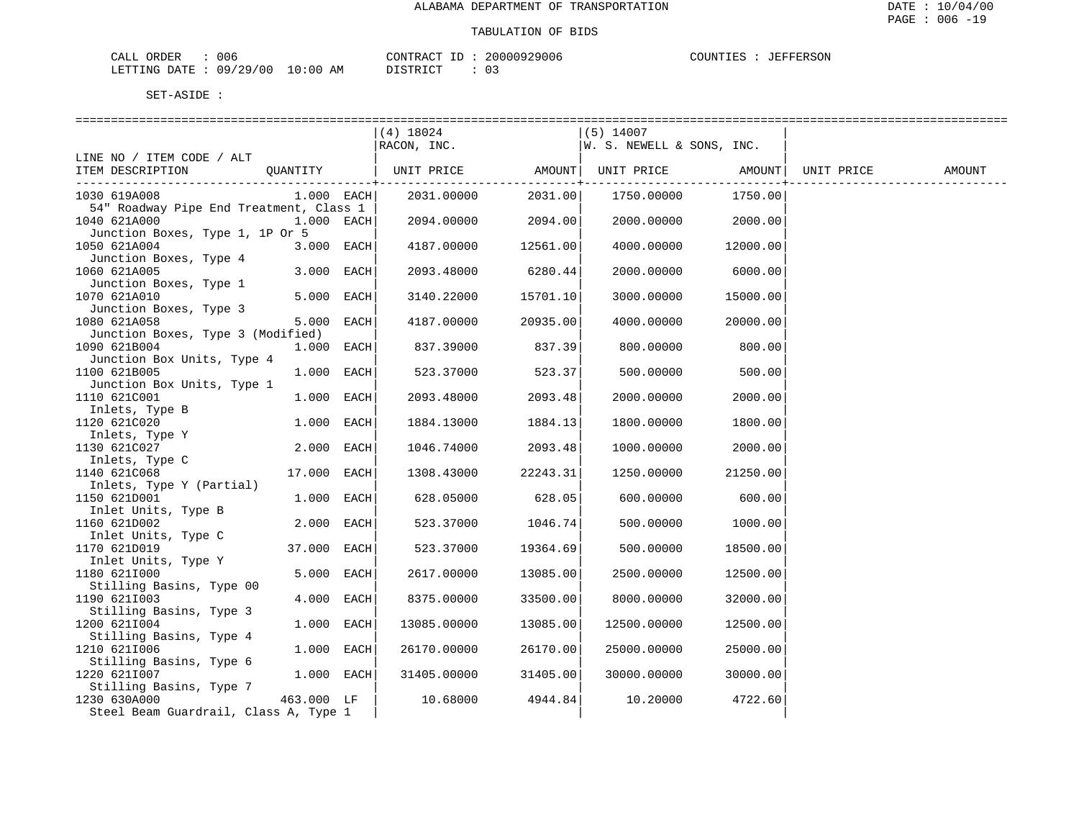| CALL ORDER                      | 006 |          | CONTRACT ID: 20000929006 | COUNTIES : JEFFERSON |  |
|---------------------------------|-----|----------|--------------------------|----------------------|--|
| LETTING DATE: 09/29/00 10:00 AM |     | DISTRICT |                          |                      |  |

|                                                                                          |              | (4) 18024                                                |          | (5) 14007          |                    |  |
|------------------------------------------------------------------------------------------|--------------|----------------------------------------------------------|----------|--------------------|--------------------|--|
|                                                                                          |              | $(14)$ 18024<br>RACON, INC. $ W. S. NEWELL & SONS, INC.$ |          |                    |                    |  |
| LINE NO / ITEM CODE / ALT                                                                |              |                                                          |          |                    |                    |  |
| ITEM DESCRIPTION QUANTITY   UNIT PRICE AMOUNT UNIT PRICE AMOUNT UNIT PRICE AMOUNT AMOUNT |              |                                                          |          |                    |                    |  |
|                                                                                          |              |                                                          |          |                    |                    |  |
| 1030 619A008                                                                             |              | 1.000 EACH 2031.00000                                    |          | 2031.00 1750.00000 | 1750.00            |  |
| 54" Roadway Pipe End Treatment, Class 1                                                  |              |                                                          |          |                    |                    |  |
| 1040 621A000                                                                             | $1.000$ EACH | $2094.00000$ 2094.00                                     |          |                    | 2000.00000 2000.00 |  |
| Junction Boxes, Type 1, 1P Or 5                                                          |              |                                                          |          |                    |                    |  |
| 1050 621A004<br>3.000 EACH                                                               |              | 4187.00000                                               | 12561.00 | 4000.00000         | 12000.00           |  |
| Junction Boxes, Type 4                                                                   | 3.000 EACH   |                                                          |          |                    |                    |  |
| 1060 621A005                                                                             |              | 2093.48000                                               | 6280.44  | 2000.00000         | 6000.00            |  |
| Junction Boxes, Type 1                                                                   | 5.000 EACH   |                                                          |          |                    |                    |  |
| 1070 621A010<br>Junction Boxes, Type 3                                                   |              | 3140.22000                                               | 15701.10 | 3000.00000         | 15000.00           |  |
|                                                                                          | 5.000 EACH   |                                                          | 20935.00 |                    | 20000.00           |  |
| 1080 621A058<br>Junction Boxes, Type 3 (Modified)                                        |              | 4187.00000                                               |          | 4000.00000         |                    |  |
| 1090 621B004                                                                             | 1.000 EACH   | 837.39000                                                | 837.39   | 800.00000          | 800.00             |  |
| Junction Box Units, Type 4                                                               |              |                                                          |          |                    |                    |  |
| 1100 621B005                                                                             | 1.000 EACH   | 523.37000                                                | 523.37   | 500.00000          | 500.00             |  |
| Junction Box Units, Type 1                                                               |              |                                                          |          |                    |                    |  |
| 1110 621C001                                                                             | 1.000 EACH   | 2093.48000                                               | 2093.48  | 2000.00000         | 2000.00            |  |
| Inlets, Type B                                                                           |              |                                                          |          |                    |                    |  |
| 1120 621C020                                                                             | 1.000 EACH   | 1884.13000                                               | 1884.13  | 1800.00000         | 1800.00            |  |
| Inlets, Type Y                                                                           |              |                                                          |          |                    |                    |  |
| 1130 621C027                                                                             | 2.000 EACH   | 1046.74000                                               | 2093.48  | 1000.00000         | 2000.00            |  |
| Inlets, Type C                                                                           |              |                                                          |          |                    |                    |  |
| 17.000 EACH<br>1140 621C068                                                              |              | 1308.43000                                               | 22243.31 | 1250.00000         | 21250.00           |  |
| Inlets, Type Y (Partial)                                                                 |              |                                                          |          |                    |                    |  |
| 1150 621D001                                                                             | 1.000 EACH   | 628.05000                                                | 628.05   | 600.00000          | 600.00             |  |
| Inlet Units, Type B                                                                      |              |                                                          |          |                    |                    |  |
| 1160 621D002                                                                             | 2.000 EACH   | 523.37000                                                | 1046.74  | 500.00000          | 1000.00            |  |
| Inlet Units, Type C                                                                      |              |                                                          |          |                    |                    |  |
| 1170 621D019                                                                             | 37.000 EACH  | 523.37000                                                | 19364.69 | 500.00000          | 18500.00           |  |
| Inlet Units, Type Y                                                                      |              |                                                          |          |                    |                    |  |
| 1180 6211000                                                                             | 5.000 EACH   | 2617.00000                                               | 13085.00 | 2500.00000         | 12500.00           |  |
| Stilling Basins, Type 00                                                                 |              |                                                          |          |                    |                    |  |
| 1190 6211003                                                                             | 4.000 EACH   | 8375.00000                                               | 33500.00 | 8000.00000         | 32000.00           |  |
| Stilling Basins, Type 3                                                                  |              |                                                          |          |                    |                    |  |
| 1200 6211004                                                                             | 1.000 EACH   | 13085.00000                                              | 13085.00 | 12500.00000        | 12500.00           |  |
| Stilling Basins, Type 4                                                                  |              |                                                          |          |                    |                    |  |
| 1210 6211006                                                                             | 1.000 EACH   | 26170.00000                                              | 26170.00 | 25000.00000        | 25000.00           |  |
| Stilling Basins, Type 6                                                                  |              |                                                          |          |                    |                    |  |
| 1220 6211007                                                                             | $1.000$ EACH | 31405.00000                                              | 31405.00 | 30000.00000        | 30000.00           |  |
| Stilling Basins, Type 7                                                                  |              |                                                          |          |                    |                    |  |
| 1230 630A000                                                                             | 463.000 LF   | 10.68000                                                 | 4944.84  | 10.20000           | 4722.60            |  |
| Steel Beam Guardrail, Class A, Type 1                                                    |              |                                                          |          |                    |                    |  |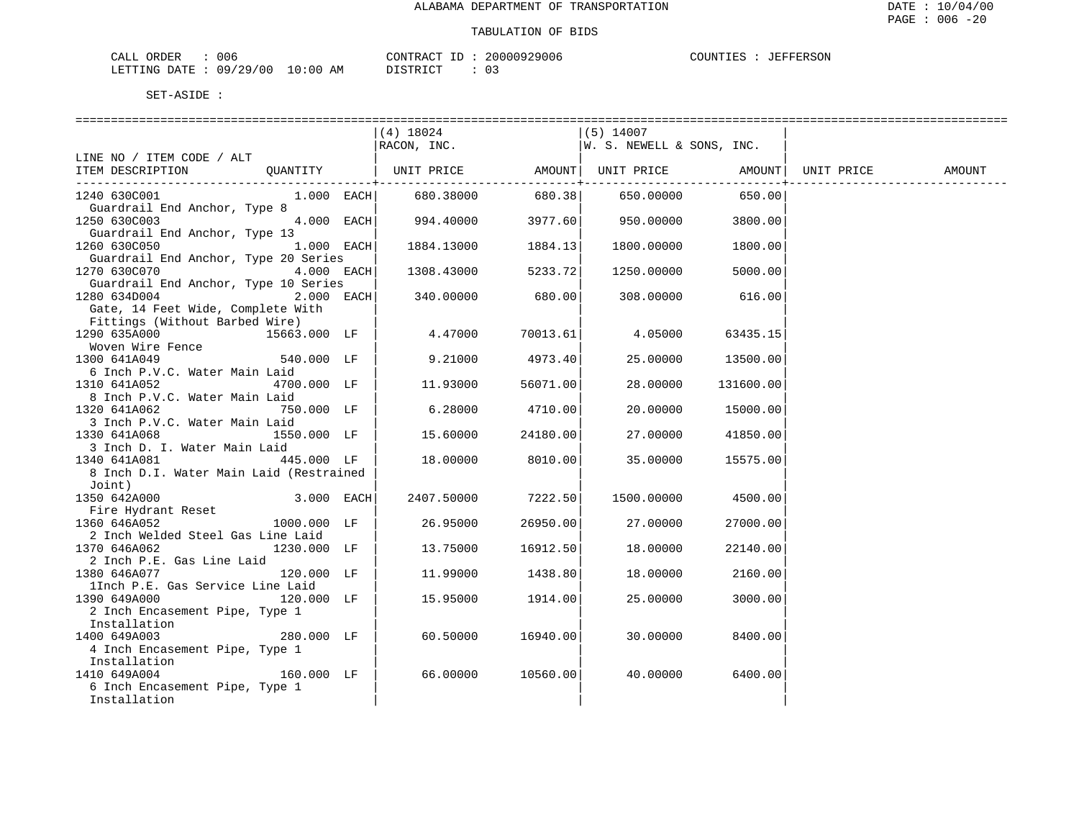| 006<br>CALL ORDER               | CONTRACT ID: | 20000929006 | COUNTIES | : JEFFERSON |
|---------------------------------|--------------|-------------|----------|-------------|
| LETTING DATE: 09/29/00 10:00 AM | DISTRICT     |             |          |             |

| SET-ASIDE |  |
|-----------|--|
|           |  |

|                                                                 |                |                                   |                   | ====================      |                   |                   |  |
|-----------------------------------------------------------------|----------------|-----------------------------------|-------------------|---------------------------|-------------------|-------------------|--|
|                                                                 |                | (4) 18024                         |                   | (5) 14007                 |                   |                   |  |
|                                                                 |                | RACON, INC.                       |                   | W. S. NEWELL & SONS, INC. |                   |                   |  |
| LINE NO / ITEM CODE / ALT                                       |                |                                   |                   |                           |                   |                   |  |
| ITEM DESCRIPTION QUANTITY   UNIT PRICE AMOUNT UNIT PRICE AMOUNT |                |                                   |                   |                           |                   | UNIT PRICE AMOUNT |  |
|                                                                 |                |                                   | --------------+-- |                           |                   |                   |  |
| 1240 630C001                                                    |                | 1.000 EACH 680.38000              |                   | 680.38 650.00000          | 650.00            |                   |  |
| Guardrail End Anchor, Type 8                                    |                |                                   |                   |                           |                   |                   |  |
| 1250 630C003                                                    | $4.000$ EACH   | $994.40000$ $3977.60$ $950.00000$ |                   |                           | 3800.001          |                   |  |
| Guardrail End Anchor, Type 13                                   |                |                                   |                   |                           |                   |                   |  |
| 1260 630C050                                                    | $1.000$ EACH   | 1884.13000                        | 1884.13           | 1800.00000                | 1800.00           |                   |  |
| Guardrail End Anchor, Type 20 Series                            |                |                                   |                   |                           |                   |                   |  |
| 1270 630C070<br>$4.000$ EACH                                    |                | $1308.43000$ 5233.72              |                   | 1250.00000                | 5000.00           |                   |  |
| Guardrail End Anchor, Type 10 Series                            |                |                                   |                   |                           |                   |                   |  |
| 1280 634D004<br>$2.000$ EACH                                    |                | 340.00000 680.00                  |                   | 308.00000                 | 616.00            |                   |  |
| Gate, 14 Feet Wide, Complete With                               |                |                                   |                   |                           |                   |                   |  |
| Fittings (Without Barbed Wire)                                  |                |                                   |                   |                           |                   |                   |  |
| 1290 635A000                                                    | $15663.000$ LF | 4.47000 70013.61                  |                   | 4.05000                   | 63435.15          |                   |  |
| Woven Wire Fence                                                |                |                                   |                   |                           |                   |                   |  |
| 540.000 LF<br>1300 641A049                                      |                | 9.21000                           | 4973.40           | 25.00000                  | 13500.00          |                   |  |
| 6 Inch P.V.C. Water Main Laid                                   |                |                                   |                   |                           |                   |                   |  |
| 1310 641A052                                                    | 4700.000 LF    | 11.93000                          | 56071.00          | 28.00000                  | 131600.00         |                   |  |
| 8 Inch P.V.C. Water Main Laid                                   |                |                                   |                   |                           |                   |                   |  |
| 1320 641A062                                                    | 750.000 LF     | 6.28000                           | 4710.00           |                           | 20.00000 15000.00 |                   |  |
| 3 Inch P.V.C. Water Main Laid                                   |                |                                   |                   |                           |                   |                   |  |
| 1330 641A068                                                    | 1550.000 LF    | 15.60000                          | 24180.00          | 27.00000                  | 41850.00          |                   |  |
| 3 Inch D. I. Water Main Laid                                    |                |                                   |                   |                           |                   |                   |  |
| 1340 641A081                                                    | 445.000 LF     | 18.00000                          | 8010.00           | 35.00000                  | 15575.00          |                   |  |
| 8 Inch D.I. Water Main Laid (Restrained                         |                |                                   |                   |                           |                   |                   |  |
| Joint)                                                          |                |                                   |                   |                           |                   |                   |  |
| 1350 642A000<br>3.000 EACH                                      |                | 2407.50000                        | 7222.50           | 1500.00000                | 4500.00           |                   |  |
| Fire Hydrant Reset                                              |                |                                   |                   |                           |                   |                   |  |
| 1360 646A052                                                    | 1000.000 LF    | 26.95000                          | 26950.00          | 27.00000                  | 27000.00          |                   |  |
| 2 Inch Welded Steel Gas Line Laid                               |                |                                   |                   |                           |                   |                   |  |
| 1370 646A062                                                    | 1230.000 LF    | 13.75000                          | 16912.50          | 18.00000                  | 22140.00          |                   |  |
| 2 Inch P.E. Gas Line Laid                                       |                |                                   |                   |                           |                   |                   |  |
| 1380 646A077                                                    | 120.000 LF     | 11.99000                          | 1438.80           | 18.00000                  | 2160.00           |                   |  |
| 1Inch P.E. Gas Service Line Laid                                |                |                                   |                   |                           |                   |                   |  |
| 1390 649A000                                                    | 120.000 LF     | 15.95000                          | 1914.00           | 25,00000                  | 3000.00           |                   |  |
| 2 Inch Encasement Pipe, Type 1                                  |                |                                   |                   |                           |                   |                   |  |
| Installation                                                    |                |                                   |                   |                           |                   |                   |  |
| 1400 649A003                                                    | 280.000 LF     | 60.50000                          | 16940.00          | 30.00000                  | 8400.00           |                   |  |
| 4 Inch Encasement Pipe, Type 1                                  |                |                                   |                   |                           |                   |                   |  |
| Installation                                                    |                |                                   |                   |                           |                   |                   |  |
| 1410 649A004                                                    | 160.000 LF     | 66.00000                          | 10560.00          | 40.00000                  | 6400.00           |                   |  |
| 6 Inch Encasement Pipe, Type 1                                  |                |                                   |                   |                           |                   |                   |  |
| Installation                                                    |                |                                   |                   |                           |                   |                   |  |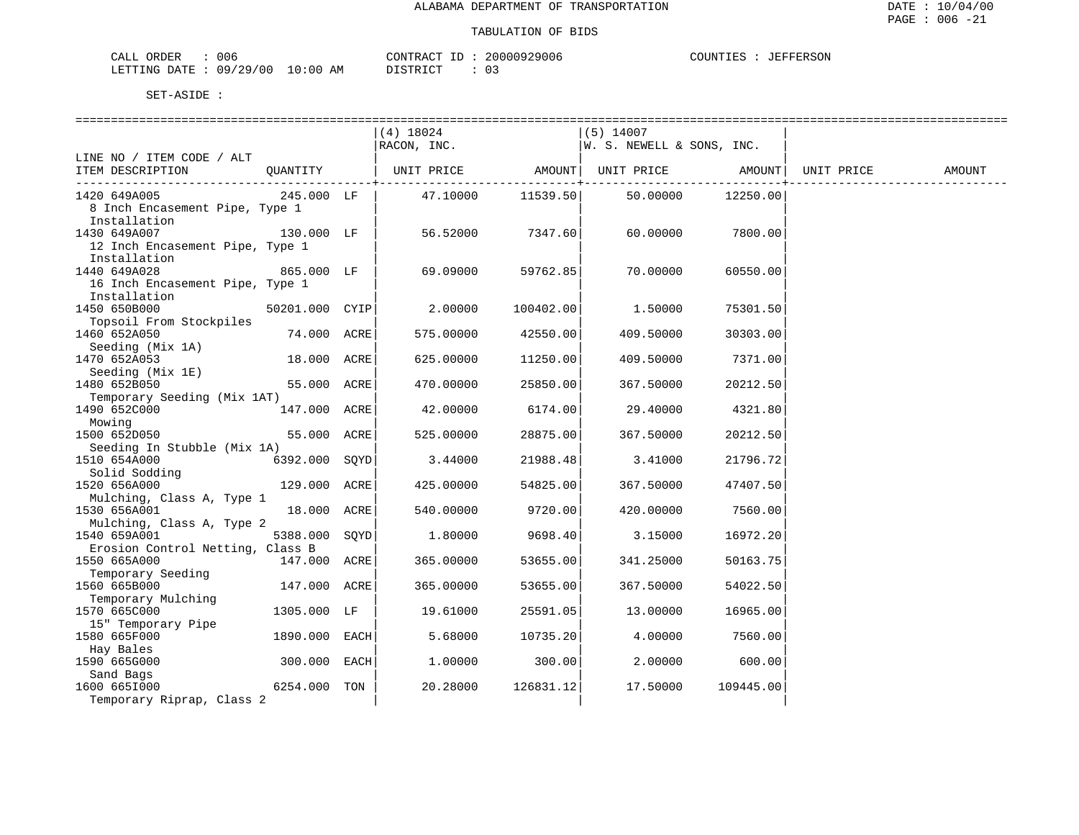| CALL ORDER                      | 006 |          | CONTRACT ID: 20000929006 | COUNTIES : JEFFERSON |  |
|---------------------------------|-----|----------|--------------------------|----------------------|--|
| LETTING DATE: 09/29/00 10:00 AM |     | DISTRICT |                          |                      |  |

|                                  |                | $(4)$ 18024                                                 |                  | $(5)$ 14007               |                  |            |        |
|----------------------------------|----------------|-------------------------------------------------------------|------------------|---------------------------|------------------|------------|--------|
|                                  |                | $RACON$ , INC.                                              |                  | W. S. NEWELL & SONS, INC. |                  |            |        |
| LINE NO / ITEM CODE / ALT        |                |                                                             |                  |                           |                  |            |        |
| ITEM DESCRIPTION                 |                | QUANTITY   UNIT PRICE       AMOUNT  UNIT PRICE       AMOUNT |                  |                           |                  | UNIT PRICE | AMOUNT |
|                                  |                |                                                             |                  |                           |                  |            |        |
| 1420 649A005                     | 245.000 LF     | 47.10000 11539.50 50.00000                                  |                  |                           | 12250.00         |            |        |
| 8 Inch Encasement Pipe, Type 1   |                |                                                             |                  |                           |                  |            |        |
| Installation                     |                |                                                             |                  |                           |                  |            |        |
| 1430 649A007                     | 130.000 LF     |                                                             | 56.52000 7347.60 |                           | 60.00000 7800.00 |            |        |
| 12 Inch Encasement Pipe, Type 1  |                |                                                             |                  |                           |                  |            |        |
| Installation                     |                |                                                             |                  |                           |                  |            |        |
| 1440 649A028                     | 865.000 LF     | 69.09000                                                    | 59762.85         | 70.00000                  | 60550.00         |            |        |
|                                  |                |                                                             |                  |                           |                  |            |        |
| 16 Inch Encasement Pipe, Type 1  |                |                                                             |                  |                           |                  |            |        |
| Installation                     |                |                                                             |                  |                           |                  |            |        |
| 1450 650B000                     | 50201.000 CYIP | 2,00000                                                     | 100402.00        | 1.50000                   | 75301.50         |            |        |
| Topsoil From Stockpiles          |                |                                                             |                  |                           |                  |            |        |
| 1460 652A050                     | 74.000 ACRE    | 575.00000                                                   | 42550.00         | 409.50000                 | 30303.00         |            |        |
| Seeding (Mix 1A)                 |                |                                                             |                  |                           |                  |            |        |
| 1470 652A053                     | 18.000 ACRE    | 625.00000                                                   | 11250.00         | 409.50000                 | 7371.00          |            |        |
| Seeding (Mix 1E)                 |                |                                                             |                  |                           |                  |            |        |
| 1480 652B050                     | 55.000 ACRE    | 470.00000                                                   | 25850.00         | 367.50000                 | 20212.50         |            |        |
| Temporary Seeding (Mix 1AT)      |                |                                                             |                  |                           |                  |            |        |
| 1490 652C000                     | 147.000 ACRE   | 42.00000                                                    | 6174.00          | 29.40000                  | 4321.80          |            |        |
| Mowing                           |                |                                                             |                  |                           |                  |            |        |
| 1500 652D050                     | 55.000 ACRE    | 525.00000                                                   | 28875.00         | 367.50000                 | 20212.50         |            |        |
| Seeding In Stubble (Mix 1A)      |                |                                                             |                  |                           |                  |            |        |
|                                  |                |                                                             |                  |                           |                  |            |        |
| 1510 654A000                     | 6392.000 SQYD  | 3.44000                                                     | 21988.48         | 3.41000                   | 21796.72         |            |        |
| Solid Sodding                    |                |                                                             |                  |                           |                  |            |        |
| 1520 656A000                     | 129.000 ACRE   | 425.00000                                                   | 54825.00         | 367.50000                 | 47407.50         |            |        |
| Mulching, Class A, Type 1        |                |                                                             |                  |                           |                  |            |        |
| 1530 656A001                     | 18.000 ACRE    | 540.00000                                                   | 9720.00          | 420.00000                 | 7560.00          |            |        |
| Mulching, Class A, Type 2        |                |                                                             |                  |                           |                  |            |        |
| 1540 659A001                     | 5388.000 SOYD  | 1.80000                                                     | 9698.40          | 3.15000                   | 16972.20         |            |        |
| Erosion Control Netting, Class B |                |                                                             |                  |                           |                  |            |        |
| 1550 665A000                     | 147.000 ACRE   | 365.00000                                                   | 53655.00         | 341.25000                 | 50163.75         |            |        |
| Temporary Seeding                |                |                                                             |                  |                           |                  |            |        |
| 1560 665B000                     | 147.000 ACRE   | 365.00000                                                   | 53655.00         | 367.50000                 | 54022.50         |            |        |
| Temporary Mulching               |                |                                                             |                  |                           |                  |            |        |
| 1570 665C000                     | 1305.000 LF    | 19.61000                                                    | 25591.05         | 13.00000                  | 16965.00         |            |        |
| 15" Temporary Pipe               |                |                                                             |                  |                           |                  |            |        |
|                                  |                |                                                             |                  |                           |                  |            |        |
| 1580 665F000                     | 1890.000 EACH  | 5.68000                                                     | 10735.20         | 4.00000                   | 7560.00          |            |        |
| Hay Bales                        |                |                                                             |                  |                           |                  |            |        |
| 1590 665G000                     | 300.000 EACH   | 1,00000                                                     | 300.00           | 2.00000                   | 600.00           |            |        |
| Sand Bags                        |                |                                                             |                  |                           |                  |            |        |
| 1600 6651000                     | 6254.000 TON   | 20.28000                                                    | 126831.12        | 17.50000                  | 109445.00        |            |        |
| Temporary Riprap, Class 2        |                |                                                             |                  |                           |                  |            |        |
|                                  |                |                                                             |                  |                           |                  |            |        |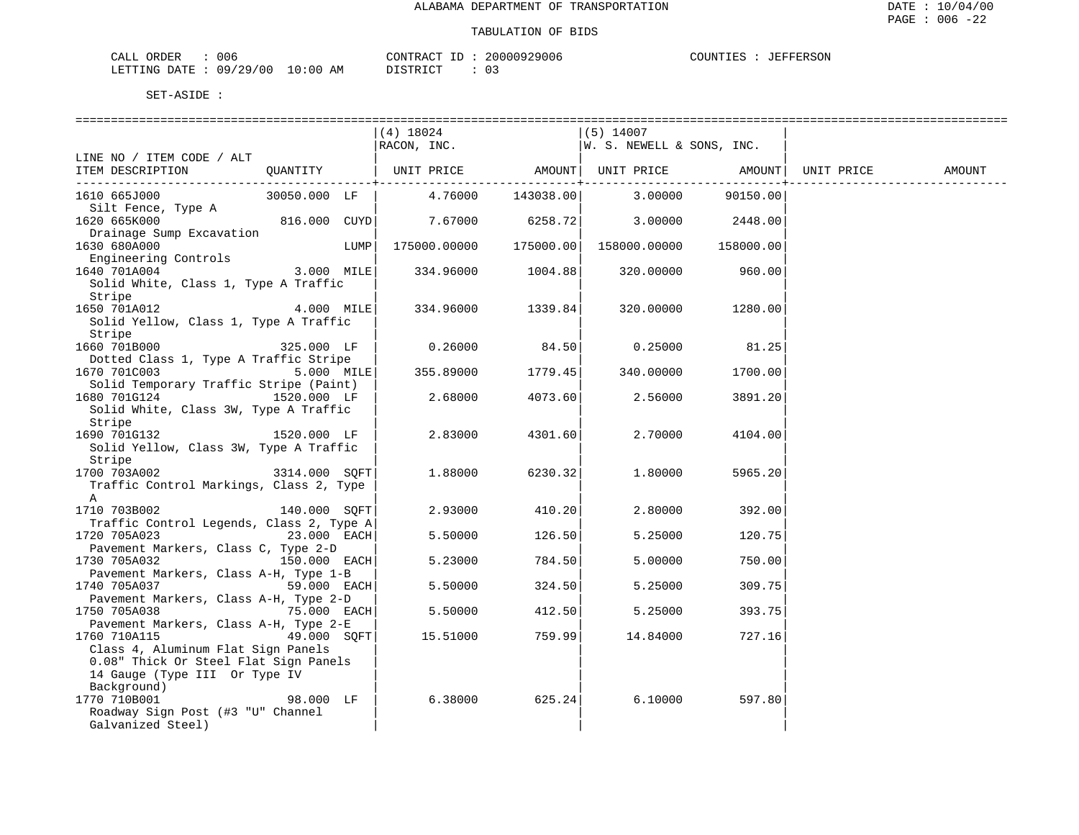| CALI<br>ORDER   | $\sim$ $\sim$<br>uub |             | ידים גם אידוגוסי    | 30000929006 | ANTINTI ES<br>FFERSON<br>. E. 2 |
|-----------------|----------------------|-------------|---------------------|-------------|---------------------------------|
| LETTING<br>DATE | 09/29<br>/00<br>- 20 | 10:00<br>AM | חומת החימיד הי<br>. | ັ           |                                 |

|                                          |               |      | ----------------------- |           |                            |           |            |        |
|------------------------------------------|---------------|------|-------------------------|-----------|----------------------------|-----------|------------|--------|
|                                          |               |      | $(4)$ 18024             |           | $(5)$ 14007                |           |            |        |
|                                          |               |      | RACON, INC.             |           | W. S. NEWELL & SONS, INC.  |           |            |        |
| LINE NO / ITEM CODE / ALT                |               |      |                         |           |                            |           |            |        |
| ITEM DESCRIPTION                         | QUANTITY      |      | UNIT PRICE              |           | AMOUNT   UNIT PRICE AMOUNT |           | UNIT PRICE | AMOUNT |
|                                          |               |      |                         |           |                            |           |            |        |
| 1610 665J000                             | 30050.000 LF  |      | 4.76000                 | 143038.00 | 3.00000                    | 90150.00  |            |        |
| Silt Fence, Type A                       |               |      |                         |           |                            |           |            |        |
| 1620 665K000                             | 816.000 CUYD  |      | 7.67000                 | 6258.72   | 3.00000                    | 2448.00   |            |        |
| Drainage Sump Excavation                 |               |      |                         |           |                            |           |            |        |
| 1630 680A000                             |               | LUMP | 175000.00000            | 175000.00 | 158000.00000               | 158000.00 |            |        |
| Engineering Controls                     |               |      |                         |           |                            |           |            |        |
| 1640 701A004                             | 3.000 MILE    |      | 334.96000               | 1004.88   | 320.00000                  | 960.00    |            |        |
| Solid White, Class 1, Type A Traffic     |               |      |                         |           |                            |           |            |        |
| Stripe                                   |               |      |                         |           |                            |           |            |        |
| 1650 701A012                             | 4.000 MILE    |      | 334.96000               | 1339.84   | 320.00000                  | 1280.00   |            |        |
| Solid Yellow, Class 1, Type A Traffic    |               |      |                         |           |                            |           |            |        |
| Stripe                                   |               |      |                         |           |                            |           |            |        |
| 1660 701B000                             | 325.000 LF    |      | 0.26000                 | 84.50     | 0.25000                    | 81.25     |            |        |
| Dotted Class 1, Type A Traffic Stripe    |               |      |                         |           |                            |           |            |        |
| 1670 701C003                             | 5.000 MILE    |      | 355.89000               | 1779.45   | 340.00000                  | 1700.00   |            |        |
| Solid Temporary Traffic Stripe (Paint)   |               |      |                         |           |                            |           |            |        |
| 1680 701G124 1520.000 LF                 |               |      | 2.68000                 | 4073.60   | 2.56000                    | 3891.20   |            |        |
| Solid White, Class 3W, Type A Traffic    |               |      |                         |           |                            |           |            |        |
| Stripe<br>1690 701G132 1520.000 LF       |               |      |                         |           | 2.70000                    |           |            |        |
| Solid Yellow, Class 3W, Type A Traffic   |               |      | 2.83000                 | 4301.60   |                            | 4104.00   |            |        |
| Stripe                                   |               |      |                         |           |                            |           |            |        |
| 1700 703A002                             | 3314.000 SQFT |      | 1,88000                 | 6230.32   | 1,80000                    | 5965.20   |            |        |
| Traffic Control Markings, Class 2, Type  |               |      |                         |           |                            |           |            |        |
| $\mathbb{A}$                             |               |      |                         |           |                            |           |            |        |
| 1710 703B002                             | 140.000 SOFT  |      | 2.93000                 | 410.20    | 2.80000                    | 392.00    |            |        |
| Traffic Control Legends, Class 2, Type A |               |      |                         |           |                            |           |            |        |
| 1720 705A023                             | 23.000 EACH   |      | 5.50000                 | 126.50    | 5.25000                    | 120.75    |            |        |
| Pavement Markers, Class C, Type 2-D      |               |      |                         |           |                            |           |            |        |
| 1730 705A032                             | 150.000 EACH  |      | 5.23000                 | 784.50    | 5.00000                    | 750.00    |            |        |
| Pavement Markers, Class A-H, Type 1-B    |               |      |                         |           |                            |           |            |        |
| 1740 705A037                             | 59.000 EACH   |      | 5.50000                 | 324.50    | 5.25000                    | 309.75    |            |        |
| Pavement Markers, Class A-H, Type 2-D    |               |      |                         |           |                            |           |            |        |
| 1750 705A038                             | 75.000 EACH   |      | 5.50000                 | 412.50    | 5.25000                    | 393.75    |            |        |
| Pavement Markers, Class A-H, Type 2-E    |               |      |                         |           |                            |           |            |        |
| 1760 710A115                             | 49.000 SOFT   |      | 15.51000                | 759.99    | 14.84000                   | 727.16    |            |        |
| Class 4, Aluminum Flat Sign Panels       |               |      |                         |           |                            |           |            |        |
| 0.08" Thick Or Steel Flat Sign Panels    |               |      |                         |           |                            |           |            |        |
| 14 Gauge (Type III Or Type IV            |               |      |                         |           |                            |           |            |        |
| Background)                              |               |      |                         |           |                            |           |            |        |
| 1770 710B001                             | 98.000 LF     |      | 6.38000                 | 625.24    | 6.10000                    | 597.80    |            |        |
| Roadway Sign Post (#3 "U" Channel        |               |      |                         |           |                            |           |            |        |
| Galvanized Steel)                        |               |      |                         |           |                            |           |            |        |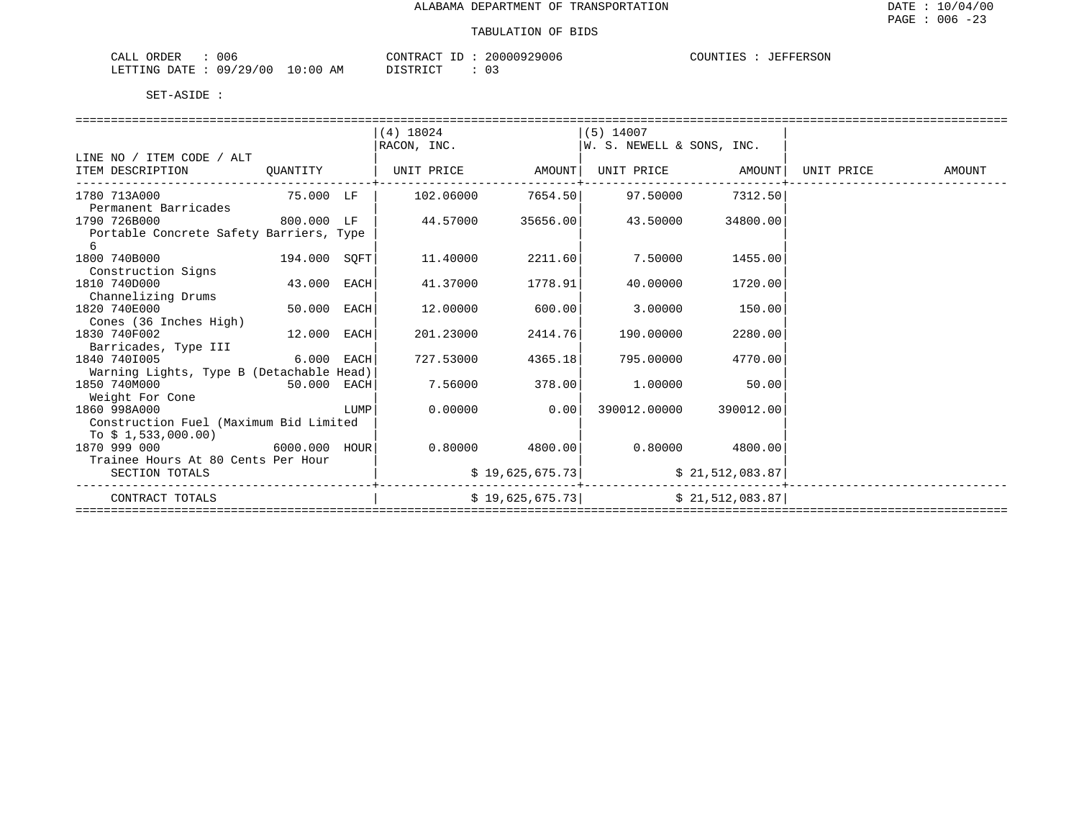| 006<br>CALL<br>ORDER     |             | CONTRACT          | 20000929006 | COUNTIES<br>JEFFERSON |
|--------------------------|-------------|-------------------|-------------|-----------------------|
| 09/29/00<br>LETTING DATE | 10:00<br>ΆM | ידי איד פידי פידי |             |                       |

|                                          |             |      | $(4)$ 18024 |                   | $(5)$ 14007                         |                   |            |        |
|------------------------------------------|-------------|------|-------------|-------------------|-------------------------------------|-------------------|------------|--------|
|                                          |             |      | RACON, INC. |                   | W. S. NEWELL & SONS, INC.           |                   |            |        |
| LINE NO / ITEM CODE / ALT                |             |      |             |                   |                                     |                   |            |        |
| ITEM DESCRIPTION                         | QUANTITY    |      |             |                   |                                     |                   | UNIT PRICE | AMOUNT |
| 1780 713A000                             | 75.000 LF   |      | 102.06000   | 7654.50           |                                     | 97.50000 7312.50  |            |        |
| Permanent Barricades                     |             |      |             |                   |                                     |                   |            |        |
| 800.000 LF<br>1790 726B000               |             |      | 44.57000    | 35656.00          | 43.50000                            | 34800.00          |            |        |
| Portable Concrete Safety Barriers, Type  |             |      |             |                   |                                     |                   |            |        |
| 6                                        |             |      |             |                   |                                     |                   |            |        |
| 194.000 SOFT<br>1800 740B000             |             |      | 11,40000    | 2211.60           | 7.50000                             | 1455.00           |            |        |
| Construction Signs                       |             |      |             |                   |                                     |                   |            |        |
| 1810 740D000                             | 43.000 EACH |      | 41.37000    | 1778.91           | 40.00000                            | 1720.00           |            |        |
| Channelizing Drums                       |             |      |             |                   |                                     |                   |            |        |
| 1820 740E000                             | 50.000 EACH |      | 12,00000    | 600.00            | 3.00000                             | 150.00            |            |        |
| Cones (36 Inches High)                   |             |      |             |                   |                                     |                   |            |        |
| 1830 740F002                             | 12.000 EACH |      | 201.23000   | 2414.76           | 190.00000                           | 2280.00           |            |        |
| Barricades, Type III                     |             |      |             |                   |                                     |                   |            |        |
| 1840 7401005<br>6.000 EACH               |             |      | 727.53000   | 4365.18           | 795.00000                           | 4770.00           |            |        |
| Warning Lights, Type B (Detachable Head) |             |      |             |                   |                                     |                   |            |        |
| 1850 740M000                             | 50.000 EACH |      | 7.56000     | 378.00            | 1.00000                             | 50.00             |            |        |
| Weight For Cone                          |             |      |             |                   |                                     |                   |            |        |
| 1860 998A000                             |             | LUMP | 0.00000     | 0.00              | 390012.00000                        | 390012.00         |            |        |
| Construction Fuel (Maximum Bid Limited   |             |      |             |                   |                                     |                   |            |        |
| To $$1,533,000.00)$                      |             |      |             |                   |                                     |                   |            |        |
| 6000.000 HOUR<br>1870 999 000            |             |      |             | $0.80000$ 4800.00 |                                     | $0.80000$ 4800.00 |            |        |
| Trainee Hours At 80 Cents Per Hour       |             |      |             |                   |                                     |                   |            |        |
| SECTION TOTALS                           |             |      |             | \$19,625,675.73]  |                                     | \$21,512,083.87   |            |        |
| CONTRACT TOTALS                          |             |      |             |                   | $$ 19,625,675.73$ $$ 21,512,083.87$ |                   |            |        |
|                                          |             |      |             |                   |                                     |                   |            |        |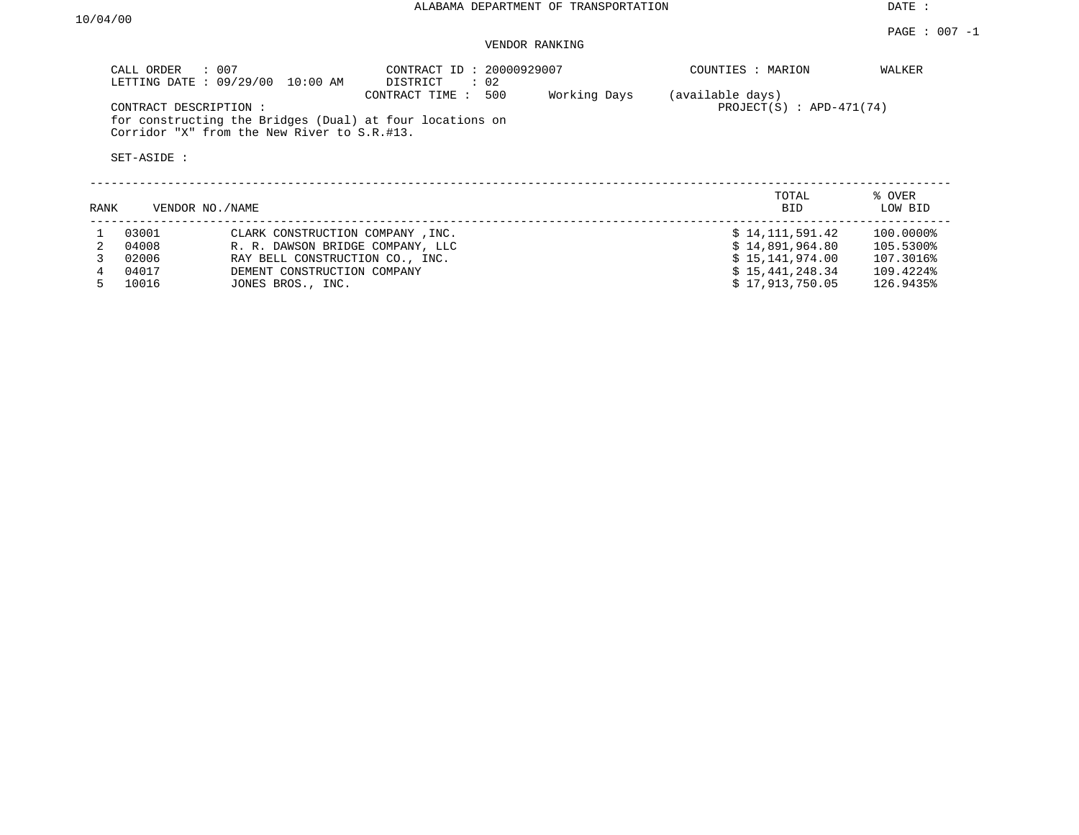## VENDOR RANKING

|      | : 007<br>CALL ORDER<br>LETTING DATE : 09/29/00 10:00 AM |                                                                                                         | CONTRACT ID: 20000929007<br>DISTRICT<br>$\therefore$ 02 |              | COUNTIES : MARION                               | WALKER            |
|------|---------------------------------------------------------|---------------------------------------------------------------------------------------------------------|---------------------------------------------------------|--------------|-------------------------------------------------|-------------------|
|      | CONTRACT DESCRIPTION:<br>SET-ASIDE :                    | for constructing the Bridges (Dual) at four locations on<br>Corridor "X" from the New River to S.R.#13. | 500<br>CONTRACT TIME:                                   | Working Days | (available days)<br>PROJECT $(S)$ : APD-471(74) |                   |
| RANK |                                                         | VENDOR NO./NAME                                                                                         |                                                         |              | TOTAL<br>BID.                                   | % OVER<br>LOW BID |
|      | 03001                                                   | CLARK CONSTRUCTION COMPANY, INC.                                                                        |                                                         |              | \$14,111,591.42                                 | 100.0000%         |
|      | 04008                                                   | R. R. DAWSON BRIDGE COMPANY, LLC                                                                        |                                                         |              | \$14,891,964.80                                 | 105.5300%         |
|      | 02006                                                   | RAY BELL CONSTRUCTION CO., INC.                                                                         |                                                         |              | \$15,141,974.00                                 | 107.3016%         |
|      | 04017                                                   | DEMENT CONSTRUCTION COMPANY                                                                             |                                                         |              | \$15,441,248.34                                 | 109.4224%         |
|      | 10016                                                   | JONES BROS., INC.                                                                                       |                                                         |              | \$17,913,750.05                                 | 126.9435%         |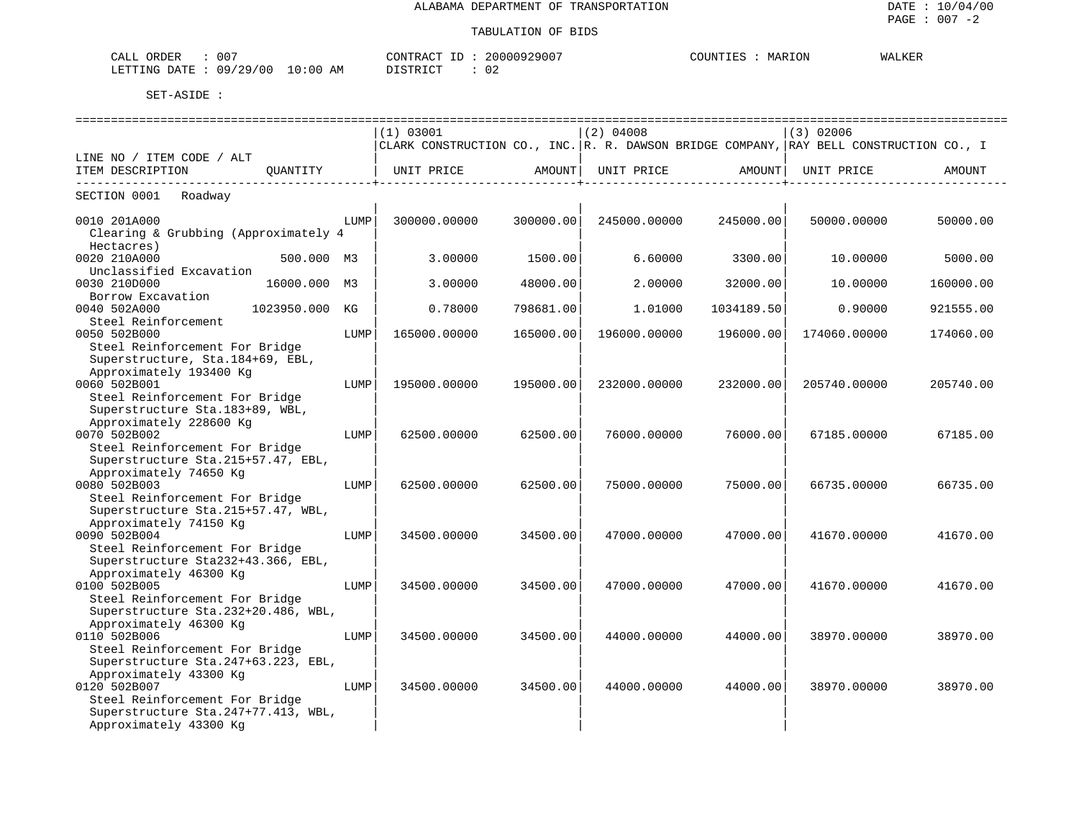| $00^{\circ}$<br>へはいには<br>$\bigcap \pi$ T<br>سسمد                                                                          | 100929007<br>200<br>$\sim$ $\sim$ $\sim$ $\sim$ $\sim$<br>$\sim$<br>'R ∆ ( | ----<br>MARION<br><b>COUNT</b><br>. | WALKER |
|---------------------------------------------------------------------------------------------------------------------------|----------------------------------------------------------------------------|-------------------------------------|--------|
| LETTING<br>$\sim$ $\sim$ $\sim$<br><b>BA</b><br>$\sim$<br>' N N<br>10:00<br>09<br>UA1.<br>$\overline{\phantom{a}}$<br>ли. | $ -$<br>$ \cap$ $\Box$<br>ـ <i>د</i> ک<br>.                                |                                     |        |

|                                                                 |      | (1) 03001                                                                              |           | $(2)$ 04008  |            | $(3)$ 02006  |           |
|-----------------------------------------------------------------|------|----------------------------------------------------------------------------------------|-----------|--------------|------------|--------------|-----------|
|                                                                 |      | CLARK CONSTRUCTION CO., INC. R. R. DAWSON BRIDGE COMPANY, RAY BELL CONSTRUCTION CO., I |           |              |            |              |           |
| LINE NO / ITEM CODE / ALT                                       |      |                                                                                        |           |              |            |              |           |
| ITEM DESCRIPTION<br>QUANTITY<br>------------------------------- |      | UNIT PRICE                                                                             | AMOUNT    | UNIT PRICE   | AMOUNT     | UNIT PRICE   | AMOUNT    |
| SECTION 0001 Roadway                                            |      |                                                                                        |           |              |            |              |           |
| 0010 201A000                                                    | LUMP | 300000.00000                                                                           | 300000.00 | 245000.00000 | 245000.00  | 50000.00000  | 50000.00  |
| Clearing & Grubbing (Approximately 4                            |      |                                                                                        |           |              |            |              |           |
| Hectacres)                                                      |      |                                                                                        |           |              |            |              |           |
| 0020 210A000<br>500.000 M3                                      |      | 3.00000                                                                                | 1500.00   | 6.60000      | 3300.00    | 10.00000     | 5000.00   |
| Unclassified Excavation                                         |      |                                                                                        |           |              |            |              |           |
| 0030 210D000<br>16000.000 M3                                    |      | 3.00000                                                                                | 48000.00  | 2.00000      | 32000.00   | 10.00000     | 160000.00 |
| Borrow Excavation                                               |      |                                                                                        |           |              |            |              |           |
| 0040 502A000<br>1023950.000 KG                                  |      | 0.78000                                                                                | 798681.00 | 1,01000      | 1034189.50 | 0.90000      | 921555.00 |
| Steel Reinforcement                                             |      |                                                                                        |           |              |            |              |           |
| 0050 502B000                                                    | LUMP | 165000.00000                                                                           | 165000.00 | 196000.00000 | 196000.00  | 174060.00000 | 174060.00 |
| Steel Reinforcement For Bridge                                  |      |                                                                                        |           |              |            |              |           |
| Superstructure, Sta.184+69, EBL,                                |      |                                                                                        |           |              |            |              |           |
| Approximately 193400 Kg                                         |      |                                                                                        |           |              |            |              |           |
| 0060 502B001                                                    | LUMP | 195000.00000                                                                           | 195000.00 | 232000.00000 | 232000.00  | 205740.00000 | 205740.00 |
| Steel Reinforcement For Bridge                                  |      |                                                                                        |           |              |            |              |           |
| Superstructure Sta. 183+89, WBL,                                |      |                                                                                        |           |              |            |              |           |
| Approximately 228600 Kq                                         |      |                                                                                        |           |              |            |              |           |
| 0070 502B002                                                    | LUMP | 62500.00000                                                                            | 62500.00  | 76000.00000  | 76000.00   | 67185.00000  | 67185.00  |
| Steel Reinforcement For Bridge                                  |      |                                                                                        |           |              |            |              |           |
| Superstructure Sta. 215+57.47, EBL,                             |      |                                                                                        |           |              |            |              |           |
| Approximately 74650 Kg<br>0080 502B003                          | LUMP | 62500.00000                                                                            | 62500.00  | 75000.00000  | 75000.00   | 66735.00000  | 66735.00  |
| Steel Reinforcement For Bridge                                  |      |                                                                                        |           |              |            |              |           |
| Superstructure Sta. 215+57.47, WBL,                             |      |                                                                                        |           |              |            |              |           |
| Approximately 74150 Kg                                          |      |                                                                                        |           |              |            |              |           |
| 0090 502B004                                                    | LUMP | 34500.00000                                                                            | 34500.00  | 47000.00000  | 47000.00   | 41670.00000  | 41670.00  |
| Steel Reinforcement For Bridge                                  |      |                                                                                        |           |              |            |              |           |
| Superstructure Sta232+43.366, EBL,                              |      |                                                                                        |           |              |            |              |           |
| Approximately 46300 Kg                                          |      |                                                                                        |           |              |            |              |           |
| 0100 502B005                                                    | LUMP | 34500.00000                                                                            | 34500.00  | 47000.00000  | 47000.00   | 41670.00000  | 41670.00  |
| Steel Reinforcement For Bridge                                  |      |                                                                                        |           |              |            |              |           |
| Superstructure Sta. 232+20.486, WBL,                            |      |                                                                                        |           |              |            |              |           |
| Approximately 46300 Kg                                          |      |                                                                                        |           |              |            |              |           |
| 0110 502B006                                                    | LUMP | 34500.00000                                                                            | 34500.00  | 44000.00000  | 44000.00   | 38970.00000  | 38970.00  |
| Steel Reinforcement For Bridge                                  |      |                                                                                        |           |              |            |              |           |
| Superstructure Sta. 247+63. 223, EBL,                           |      |                                                                                        |           |              |            |              |           |
| Approximately 43300 Kg                                          |      |                                                                                        |           |              |            |              |           |
| 0120 502B007                                                    | LUMP | 34500.00000                                                                            | 34500.00  | 44000.00000  | 44000.00   | 38970.00000  | 38970.00  |
| Steel Reinforcement For Bridge                                  |      |                                                                                        |           |              |            |              |           |
| Superstructure Sta. 247+77. 413, WBL,                           |      |                                                                                        |           |              |            |              |           |
| Approximately 43300 Kg                                          |      |                                                                                        |           |              |            |              |           |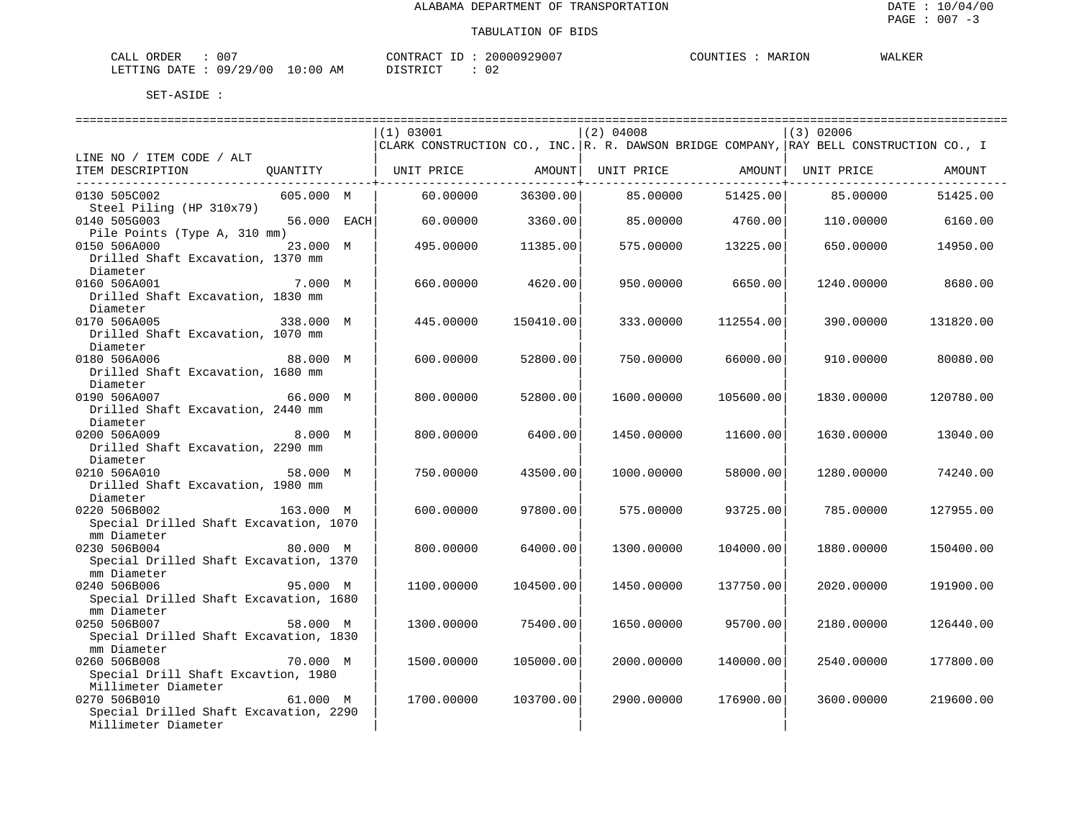| 00'<br><b>ART</b><br>$\cap$ $\cap$ $\cap$ $\cap$<br>1 H L<br><br>لمسلما                                                                                                                                                    | $\pi$ $\cap$<br>יחד הראי | $ -$<br>י ידודודר ר<br>VIAR 1 | <b>T.T.B. T. T.F.T.T.</b><br>WALKER |
|----------------------------------------------------------------------------------------------------------------------------------------------------------------------------------------------------------------------------|--------------------------|-------------------------------|-------------------------------------|
| 00<br>$\sim$<br>AΜ<br>. NG<br>$\bigcap$<br>$\cdot$ : ()()<br>יידי ∆וו<br>$\overline{\phantom{a}}$<br>ぃっ<br>the contract of the contract of the contract of the contract of the contract of the contract of the contract of | T AF<br>.<br>◡∠          |                               |                                     |

|                                        |             |                                                                                        |           |                                |           | ---------------------------- |                   |
|----------------------------------------|-------------|----------------------------------------------------------------------------------------|-----------|--------------------------------|-----------|------------------------------|-------------------|
|                                        |             | (1) 03001                                                                              |           | $(2)$ 04008                    |           | $(3)$ 02006                  |                   |
|                                        |             | CLARK CONSTRUCTION CO., INC. R. R. DAWSON BRIDGE COMPANY, RAY BELL CONSTRUCTION CO., I |           |                                |           |                              |                   |
| LINE NO / ITEM CODE / ALT              |             |                                                                                        |           |                                |           |                              |                   |
| ITEM DESCRIPTION                       | QUANTITY    | UNIT PRICE AMOUNT                                                                      |           | UNIT PRICE AMOUNT   UNIT PRICE |           |                              | AMOUNT            |
|                                        |             |                                                                                        |           |                                |           |                              |                   |
| 0130 505C002                           | 605.000 M   | 60.00000                                                                               | 36300.00  | 85.00000                       | 51425.00  | 85.00000                     | 51425.00          |
| Steel Piling (HP 310x79)               |             |                                                                                        |           |                                |           |                              |                   |
| 0140 505G003                           | 56.000 EACH | 60.00000                                                                               | 3360.00   | 85.00000 4760.00               |           |                              | 110.00000 6160.00 |
| Pile Points (Type A, 310 mm)           |             |                                                                                        |           |                                |           |                              |                   |
| 0150 506A000                           | 23.000 M    | 495.00000                                                                              | 11385.00  | 575.00000                      | 13225.00  | 650.00000                    | 14950.00          |
| Drilled Shaft Excavation, 1370 mm      |             |                                                                                        |           |                                |           |                              |                   |
| Diameter                               |             |                                                                                        |           |                                |           |                              |                   |
| 0160 506A001                           | 7.000 M     | 660.00000                                                                              | 4620.00   | 950.00000                      | 6650.00   | 1240.00000                   | 8680.00           |
| Drilled Shaft Excavation, 1830 mm      |             |                                                                                        |           |                                |           |                              |                   |
| Diameter                               |             |                                                                                        |           |                                |           |                              |                   |
| 0170 506A005                           | 338.000 M   | 445.00000                                                                              | 150410.00 | 333.00000                      | 112554.00 | 390.00000                    | 131820.00         |
| Drilled Shaft Excavation, 1070 mm      |             |                                                                                        |           |                                |           |                              |                   |
| Diameter                               |             |                                                                                        |           |                                |           |                              |                   |
| 0180 506A006                           | 88.000 M    | 600,00000                                                                              | 52800.00  | 750.00000                      | 66000.00  | 910.00000                    | 80080.00          |
| Drilled Shaft Excavation, 1680 mm      |             |                                                                                        |           |                                |           |                              |                   |
| Diameter                               |             |                                                                                        |           |                                |           |                              |                   |
| 0190 506A007                           | 66.000 M    | 800.00000                                                                              | 52800.00  | 1600.00000                     | 105600.00 | 1830.00000                   | 120780.00         |
| Drilled Shaft Excavation, 2440 mm      |             |                                                                                        |           |                                |           |                              |                   |
| Diameter                               |             |                                                                                        |           |                                |           |                              |                   |
| 0200 506A009                           | 8.000 M     | 800,00000                                                                              | 6400.00   | 1450.00000                     | 11600.00  | 1630.00000                   | 13040.00          |
| Drilled Shaft Excavation, 2290 mm      |             |                                                                                        |           |                                |           |                              |                   |
| Diameter                               |             |                                                                                        |           |                                |           |                              |                   |
| 0210 506A010                           | 58.000 M    | 750.00000                                                                              | 43500.00  | 1000.00000                     | 58000.00  | 1280.00000                   | 74240.00          |
| Drilled Shaft Excavation, 1980 mm      |             |                                                                                        |           |                                |           |                              |                   |
| Diameter                               |             |                                                                                        |           |                                |           |                              |                   |
| 0220 506B002                           | 163.000 M   | 600.00000                                                                              | 97800.00  | 575.00000                      | 93725.00  | 785.00000                    | 127955.00         |
| Special Drilled Shaft Excavation, 1070 |             |                                                                                        |           |                                |           |                              |                   |
| mm Diameter                            |             |                                                                                        |           |                                |           |                              |                   |
| 0230 506B004                           | 80.000 M    | 800.00000                                                                              | 64000.00  | 1300.00000                     | 104000.00 | 1880.00000                   | 150400.00         |
| Special Drilled Shaft Excavation, 1370 |             |                                                                                        |           |                                |           |                              |                   |
| mm Diameter                            |             |                                                                                        |           |                                |           |                              |                   |
| 0240 506B006                           | 95.000 M    | 1100.00000                                                                             | 104500.00 | 1450.00000                     | 137750.00 | 2020.00000                   | 191900.00         |
| Special Drilled Shaft Excavation, 1680 |             |                                                                                        |           |                                |           |                              |                   |
| mm Diameter                            |             |                                                                                        |           |                                |           |                              |                   |
| 0250 506B007                           | 58.000 M    | 1300.00000                                                                             | 75400.00  | 1650.00000                     | 95700.00  | 2180.00000                   | 126440.00         |
| Special Drilled Shaft Excavation, 1830 |             |                                                                                        |           |                                |           |                              |                   |
| mm Diameter                            |             |                                                                                        |           |                                |           |                              |                   |
| 0260 506B008                           | 70.000 M    | 1500.00000                                                                             | 105000.00 | 2000.00000                     | 140000.00 | 2540.00000                   | 177800.00         |
| Special Drill Shaft Excavtion, 1980    |             |                                                                                        |           |                                |           |                              |                   |
| Millimeter Diameter                    |             |                                                                                        |           |                                |           |                              |                   |
| 0270 506B010                           | 61.000 M    | 1700.00000                                                                             | 103700.00 | 2900.00000                     | 176900.00 | 3600.00000                   | 219600.00         |
| Special Drilled Shaft Excavation, 2290 |             |                                                                                        |           |                                |           |                              |                   |
| Millimeter Diameter                    |             |                                                                                        |           |                                |           |                              |                   |
|                                        |             |                                                                                        |           |                                |           |                              |                   |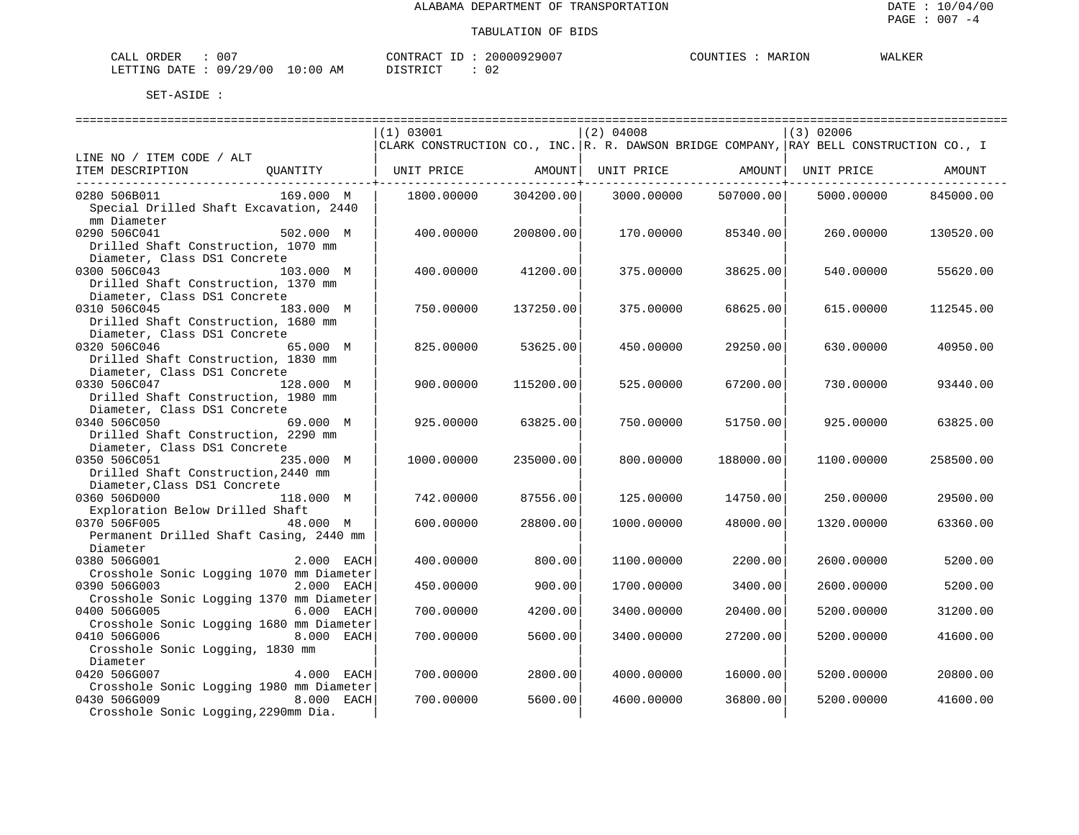| 00 <sup>-</sup><br>ORDER<br>CALL            | 20000929007<br>CONTRACT | MARION<br>COUNTIES | WALKER |
|---------------------------------------------|-------------------------|--------------------|--------|
| 09/29/00<br>$10:00$ AM<br>LETTING<br>חים מ⊓ | DISTRICT<br>n n<br>.U 4 |                    |        |

|                                          | (1) 03001                                                                              |           | (2) 04008  |                                | $(3)$ 02006 |           |
|------------------------------------------|----------------------------------------------------------------------------------------|-----------|------------|--------------------------------|-------------|-----------|
|                                          | CLARK CONSTRUCTION CO., INC. R. R. DAWSON BRIDGE COMPANY, RAY BELL CONSTRUCTION CO., I |           |            |                                |             |           |
| LINE NO / ITEM CODE / ALT                |                                                                                        |           |            |                                |             |           |
| ITEM DESCRIPTION                         | QUANTITY   UNIT PRICE AMOUNT                                                           |           |            | UNIT PRICE AMOUNT   UNIT PRICE |             | AMOUNT    |
|                                          |                                                                                        |           |            |                                |             |           |
| 169.000 M<br>0280 506B011                | 1800.00000                                                                             | 304200.00 | 3000.00000 | 507000.00                      | 5000.00000  | 845000.00 |
| Special Drilled Shaft Excavation, 2440   |                                                                                        |           |            |                                |             |           |
| mm Diameter                              |                                                                                        |           |            |                                |             |           |
| 502.000 M<br>0290 506C041                | 400.00000                                                                              | 200800.00 | 170.00000  | 85340.00                       | 260,00000   | 130520.00 |
| Drilled Shaft Construction, 1070 mm      |                                                                                        |           |            |                                |             |           |
| Diameter, Class DS1 Concrete             |                                                                                        |           |            |                                |             |           |
| 103.000 M<br>0300 506C043                | 400.00000                                                                              | 41200.00  | 375,00000  | 38625.00                       | 540.00000   | 55620.00  |
| Drilled Shaft Construction, 1370 mm      |                                                                                        |           |            |                                |             |           |
| Diameter, Class DS1 Concrete             |                                                                                        |           |            |                                |             |           |
| 183.000 M<br>0310 506C045                | 750.00000                                                                              | 137250.00 | 375.00000  | 68625.00                       | 615.00000   | 112545.00 |
| Drilled Shaft Construction, 1680 mm      |                                                                                        |           |            |                                |             |           |
| Diameter, Class DS1 Concrete             |                                                                                        |           |            |                                |             |           |
| 0320 506C046<br>65.000 M                 | 825.00000                                                                              | 53625.00  | 450.00000  | 29250.00                       | 630.00000   | 40950.00  |
| Drilled Shaft Construction, 1830 mm      |                                                                                        |           |            |                                |             |           |
| Diameter, Class DS1 Concrete             |                                                                                        |           |            |                                |             |           |
| 0330 506C047<br>128.000 M                | 900.00000                                                                              | 115200.00 | 525.00000  | 67200.00                       | 730.00000   | 93440.00  |
| Drilled Shaft Construction, 1980 mm      |                                                                                        |           |            |                                |             |           |
| Diameter, Class DS1 Concrete             |                                                                                        |           |            |                                |             |           |
| 0340 506C050<br>— 69.000 м               | 925.00000                                                                              | 63825.00  | 750.00000  | 51750.00                       | 925.00000   | 63825.00  |
| Drilled Shaft Construction, 2290 mm      |                                                                                        |           |            |                                |             |           |
| Diameter, Class DS1 Concrete             |                                                                                        |           |            |                                |             |           |
| 0350 506C051<br>235.000 M                | 1000.00000                                                                             | 235000.00 | 800,00000  | 188000.00                      | 1100.00000  | 258500.00 |
| Drilled Shaft Construction, 2440 mm      |                                                                                        |           |            |                                |             |           |
| Diameter, Class DS1 Concrete             |                                                                                        |           |            |                                |             |           |
| 0360 506D000<br>118.000 M                | 742.00000                                                                              | 87556.00  | 125,00000  | 14750.00                       | 250.00000   | 29500.00  |
| Exploration Below Drilled Shaft          |                                                                                        |           |            |                                |             |           |
| 48.000 M<br>0370 506F005                 | 600,00000                                                                              | 28800.00  | 1000.00000 | 48000.00                       | 1320.00000  | 63360.00  |
| Permanent Drilled Shaft Casing, 2440 mm  |                                                                                        |           |            |                                |             |           |
| Diameter                                 |                                                                                        |           |            |                                |             |           |
| 0380 506G001<br>2.000 EACH               | 400.00000                                                                              | 800.00    | 1100.00000 | 2200.00                        | 2600.00000  | 5200.00   |
| Crosshole Sonic Logging 1070 mm Diameter |                                                                                        |           |            |                                |             |           |
| 0390 506G003<br>2.000 EACH               | 450.00000                                                                              | 900.00    | 1700.00000 | 3400.00                        | 2600.00000  | 5200.00   |
| Crosshole Sonic Logging 1370 mm Diameter |                                                                                        |           |            |                                |             |           |
| 6.000 EACH<br>0400 506G005               | 700.00000                                                                              | 4200.00   | 3400.00000 | 20400.00                       | 5200.00000  | 31200.00  |
| Crosshole Sonic Logging 1680 mm Diameter |                                                                                        |           |            |                                |             |           |
| 8.000 EACH<br>0410 506G006               | 700.00000                                                                              | 5600.00   | 3400.00000 | 27200.00                       | 5200.00000  | 41600.00  |
| Crosshole Sonic Logging, 1830 mm         |                                                                                        |           |            |                                |             |           |
| Diameter                                 |                                                                                        |           |            |                                |             |           |
| 0420 506G007<br>4.000 EACH               | 700.00000                                                                              | 2800.00   | 4000.00000 | 16000.00                       | 5200.00000  | 20800.00  |
| Crosshole Sonic Logging 1980 mm Diameter |                                                                                        |           |            |                                |             |           |
| 0430 506G009<br>8.000 EACH               | 700.00000                                                                              | 5600.00   | 4600.00000 | 36800.00                       | 5200.00000  | 41600.00  |
| Crosshole Sonic Logging, 2290mm Dia.     |                                                                                        |           |            |                                |             |           |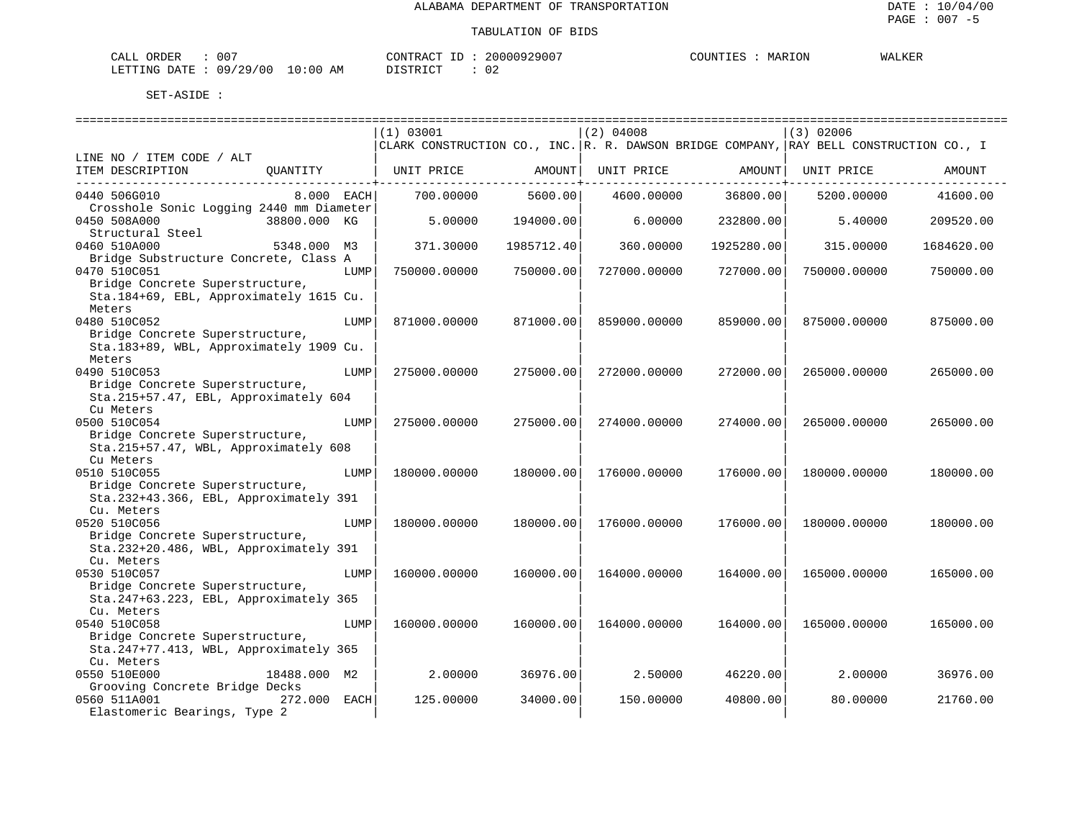| 007<br>71 T<br>ORDER<br>للطلاب                                                        | 2900′<br>$\Omega$<br>. JIV | 147T T<br>COUNT<br>MAR | 777777<br>WALNER |
|---------------------------------------------------------------------------------------|----------------------------|------------------------|------------------|
| $\cap$<br>700<br>റ വ<br>AΜ<br>.TING<br>╷╷∆ ┯┯<br>$\therefore$ 0 (<br>LU<br><u>u z</u> | T CITID<br><u>ے ں</u>      |                        |                  |

|                                                                           | ---------------------------- |            | ============================== |            | ===========================                                                            |            |
|---------------------------------------------------------------------------|------------------------------|------------|--------------------------------|------------|----------------------------------------------------------------------------------------|------------|
|                                                                           | (1) 03001                    |            | (2) 04008                      |            | $(3)$ 02006                                                                            |            |
|                                                                           |                              |            |                                |            | CLARK CONSTRUCTION CO., INC. R. R. DAWSON BRIDGE COMPANY, RAY BELL CONSTRUCTION CO., I |            |
| LINE NO / ITEM CODE / ALT                                                 |                              |            |                                |            |                                                                                        |            |
| ITEM DESCRIPTION<br>OUANTITY                                              | UNIT PRICE                   | AMOUNT     | UNIT PRICE                     | AMOUNT     | UNIT PRICE                                                                             | AMOUNT     |
|                                                                           |                              |            |                                |            |                                                                                        |            |
| 8.000 EACH<br>0440 506G010<br>Crosshole Sonic Logging 2440 mm Diameter    | 700.00000                    | 5600.00    | 4600.00000                     | 36800.00   | 5200.00000                                                                             | 41600.00   |
| 0450 508A000<br>38800.000 KG                                              | 5.00000                      | 194000.00  | 6.00000                        | 232800.00  | 5.40000                                                                                | 209520.00  |
| Structural Steel                                                          |                              |            |                                |            |                                                                                        |            |
| 0460 510A000<br>5348.000 M3                                               | 371.30000                    | 1985712.40 | 360.00000                      | 1925280.00 | 315.00000                                                                              | 1684620.00 |
| Bridge Substructure Concrete, Class A                                     |                              |            |                                |            |                                                                                        |            |
| 0470 510C051<br>LUMP                                                      | 750000.00000                 | 750000.00  | 727000.00000                   | 727000.00  | 750000.00000                                                                           | 750000.00  |
| Bridge Concrete Superstructure,                                           |                              |            |                                |            |                                                                                        |            |
| Sta. 184+69, EBL, Approximately 1615 Cu.                                  |                              |            |                                |            |                                                                                        |            |
| Meters                                                                    |                              |            |                                |            |                                                                                        |            |
| 0480 510C052<br>LUMP                                                      | 871000.00000                 | 871000.00  | 859000.00000                   | 859000.00  | 875000.00000                                                                           | 875000.00  |
| Bridge Concrete Superstructure,                                           |                              |            |                                |            |                                                                                        |            |
| Sta. 183+89, WBL, Approximately 1909 Cu.                                  |                              |            |                                |            |                                                                                        |            |
| Meters                                                                    |                              |            |                                |            |                                                                                        |            |
| 0490 510C053<br>LUMP                                                      | 275000.00000                 | 275000.00  | 272000.00000                   | 272000.00  | 265000.00000                                                                           | 265000.00  |
| Bridge Concrete Superstructure,                                           |                              |            |                                |            |                                                                                        |            |
| Sta. 215+57.47, EBL, Approximately 604                                    |                              |            |                                |            |                                                                                        |            |
| Cu Meters                                                                 |                              |            |                                |            |                                                                                        |            |
| 0500 510C054<br>LUMP                                                      | 275000.00000                 | 275000.00  | 274000.00000                   | 274000.00  | 265000.00000                                                                           | 265000.00  |
| Bridge Concrete Superstructure,<br>Sta. 215+57.47, WBL, Approximately 608 |                              |            |                                |            |                                                                                        |            |
| Cu Meters                                                                 |                              |            |                                |            |                                                                                        |            |
| 0510 510C055<br>LUMP                                                      | 180000.00000                 | 180000.00  | 176000.00000                   | 176000.00  | 180000.00000                                                                           | 180000.00  |
| Bridge Concrete Superstructure,                                           |                              |            |                                |            |                                                                                        |            |
| Sta. 232+43.366, EBL, Approximately 391                                   |                              |            |                                |            |                                                                                        |            |
| Cu. Meters                                                                |                              |            |                                |            |                                                                                        |            |
| 0520 510C056<br>LUMP                                                      | 180000.00000                 | 180000.00  | 176000.00000                   | 176000.00  | 180000.00000                                                                           | 180000.00  |
| Bridge Concrete Superstructure,                                           |                              |            |                                |            |                                                                                        |            |
| Sta. 232+20.486, WBL, Approximately 391                                   |                              |            |                                |            |                                                                                        |            |
| Cu. Meters                                                                |                              |            |                                |            |                                                                                        |            |
| 0530 510C057<br>LUMP                                                      | 160000.00000                 | 160000.00  | 164000.00000                   | 164000.00  | 165000.00000                                                                           | 165000.00  |
| Bridge Concrete Superstructure,                                           |                              |            |                                |            |                                                                                        |            |
| Sta. 247+63. 223, EBL, Approximately 365                                  |                              |            |                                |            |                                                                                        |            |
| Cu. Meters                                                                |                              |            |                                |            |                                                                                        |            |
| 0540 510C058<br>LUMP<br>Bridge Concrete Superstructure,                   | 160000.00000                 | 160000.00  | 164000.00000                   | 164000.00  | 165000.00000                                                                           | 165000.00  |
| Sta. 247+77. 413, WBL, Approximately 365                                  |                              |            |                                |            |                                                                                        |            |
| Cu. Meters                                                                |                              |            |                                |            |                                                                                        |            |
| 0550 510E000<br>18488.000 M2                                              | 2,00000                      | 36976.00   | 2.50000                        | 46220.00   | 2.00000                                                                                | 36976.00   |
| Grooving Concrete Bridge Decks                                            |                              |            |                                |            |                                                                                        |            |
| 0560 511A001<br>272.000 EACH                                              | 125.00000                    | 34000.00   | 150.00000                      | 40800.00   | 80.00000                                                                               | 21760.00   |
| Elastomeric Bearings, Type 2                                              |                              |            |                                |            |                                                                                        |            |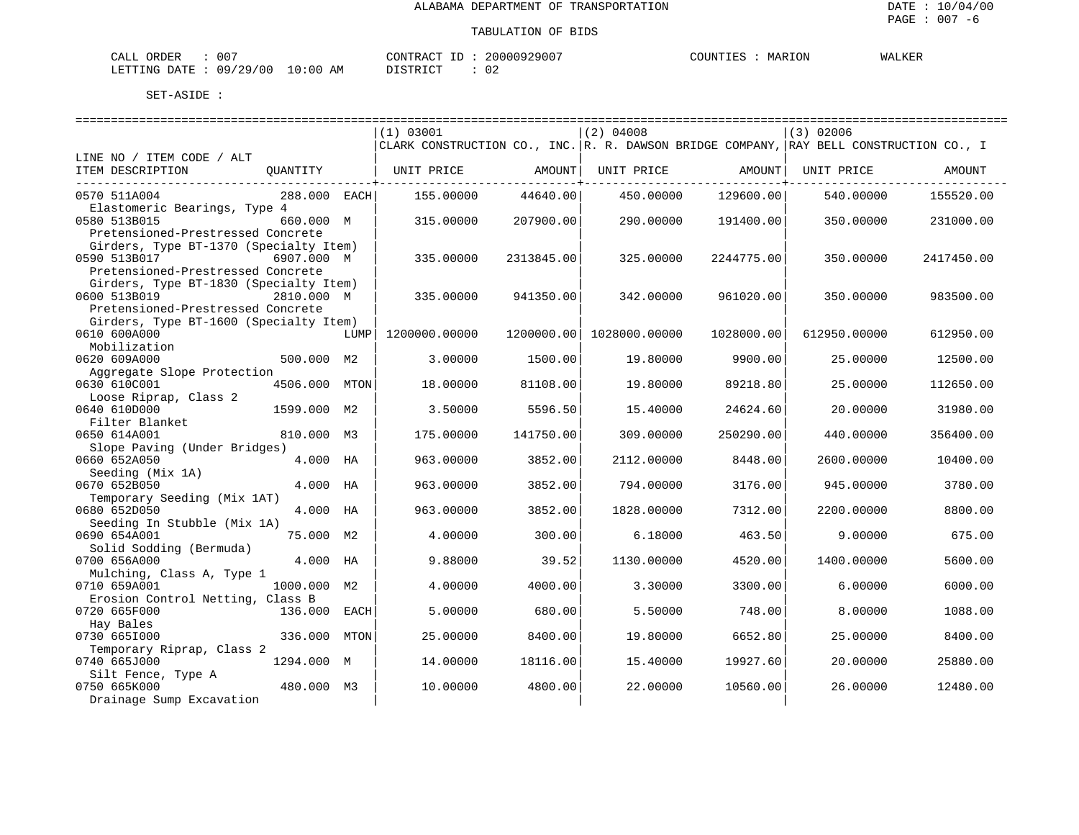| CALL         | 007<br>ORDER |            | CONTRACT<br>ID | 20000929007  | COUNTIES | MARION | WALKER |
|--------------|--------------|------------|----------------|--------------|----------|--------|--------|
| LETTING DATE | 09/29/00     | $10:00$ AM | DISTRICT       | $\cap$<br>◡∠ |          |        |        |

|                                        |              |      |                                                                                        |            | =============================== |            | =========================== |            |
|----------------------------------------|--------------|------|----------------------------------------------------------------------------------------|------------|---------------------------------|------------|-----------------------------|------------|
|                                        |              |      | (1) 03001                                                                              |            | $(2)$ 04008                     |            | $(3)$ 02006                 |            |
|                                        |              |      | CLARK CONSTRUCTION CO., INC. R. R. DAWSON BRIDGE COMPANY, RAY BELL CONSTRUCTION CO., I |            |                                 |            |                             |            |
| LINE NO / ITEM CODE / ALT              |              |      |                                                                                        |            |                                 |            |                             |            |
| ITEM DESCRIPTION                       | QUANTITY     |      | UNIT PRICE                                                                             | AMOUNT     | UNIT PRICE                      | AMOUNT     | UNIT PRICE                  | AMOUNT     |
| 0570 511A004                           | 288.000 EACH |      | 155.00000                                                                              | 44640.00   | 450.00000                       | 129600.00  | 540.00000                   | 155520.00  |
| Elastomeric Bearings, Type 4           |              |      |                                                                                        |            |                                 |            |                             |            |
| 0580 513B015                           | 660.000 M    |      | 315,00000                                                                              | 207900.00  | 290.00000                       | 191400.00  | 350.00000                   | 231000.00  |
| Pretensioned-Prestressed Concrete      |              |      |                                                                                        |            |                                 |            |                             |            |
| Girders, Type BT-1370 (Specialty Item) |              |      |                                                                                        |            |                                 |            |                             |            |
| 0590 513B017                           | 6907.000 M   |      | 335.00000                                                                              | 2313845.00 | 325.00000                       | 2244775.00 | 350.00000                   | 2417450.00 |
| Pretensioned-Prestressed Concrete      |              |      |                                                                                        |            |                                 |            |                             |            |
| Girders, Type BT-1830 (Specialty Item) |              |      |                                                                                        |            |                                 |            |                             |            |
| 0600 513B019                           | 2810.000 M   |      | 335.00000                                                                              | 941350.00  | 342.00000                       | 961020.00  | 350.00000                   | 983500.00  |
| Pretensioned-Prestressed Concrete      |              |      |                                                                                        |            |                                 |            |                             |            |
| Girders, Type BT-1600 (Specialty Item) |              |      |                                                                                        |            |                                 |            |                             |            |
| 0610 600A000                           |              | LUMP | 1200000.00000                                                                          | 1200000.00 | 1028000.00000                   | 1028000.00 | 612950.00000                | 612950.00  |
| Mobilization                           |              |      |                                                                                        |            |                                 |            |                             |            |
| 0620 609A000                           | 500.000 M2   |      | 3.00000                                                                                | 1500.00    | 19.80000                        | 9900.00    | 25.00000                    | 12500.00   |
| Aggregate Slope Protection             |              |      |                                                                                        |            |                                 |            |                             |            |
| 0630 610C001                           | 4506.000     | MTON | 18.00000                                                                               | 81108.00   | 19.80000                        | 89218.80   | 25.00000                    | 112650.00  |
| Loose Riprap, Class 2                  |              |      |                                                                                        |            |                                 |            |                             |            |
| 0640 610D000                           | 1599.000 M2  |      | 3.50000                                                                                | 5596.50    | 15.40000                        | 24624.60   | 20.00000                    | 31980.00   |
| Filter Blanket                         |              |      |                                                                                        |            |                                 |            |                             |            |
| 0650 614A001                           | 810.000 M3   |      | 175.00000                                                                              | 141750.00  | 309.00000                       | 250290.00  | 440.00000                   | 356400.00  |
| Slope Paving (Under Bridges)           |              |      |                                                                                        |            |                                 |            |                             |            |
| 0660 652A050                           | 4.000 HA     |      | 963.00000                                                                              | 3852.00    | 2112.00000                      | 8448.00    | 2600.00000                  | 10400.00   |
| Seeding (Mix 1A)                       |              |      |                                                                                        |            |                                 |            |                             |            |
| 0670 652B050                           | 4.000 HA     |      | 963.00000                                                                              | 3852.00    | 794.00000                       | 3176.00    | 945.00000                   | 3780.00    |
| Temporary Seeding (Mix 1AT)            |              |      |                                                                                        |            |                                 |            |                             |            |
| 0680 652D050                           | 4.000 HA     |      | 963.00000                                                                              | 3852.00    | 1828.00000                      | 7312.00    | 2200.00000                  | 8800.00    |
| Seeding In Stubble (Mix 1A)            |              |      |                                                                                        |            |                                 |            |                             |            |
| 0690 654A001                           | 75.000 M2    |      | 4.00000                                                                                | 300.00     | 6.18000                         | 463.50     | 9,00000                     | 675.00     |
| Solid Sodding (Bermuda)                |              |      |                                                                                        |            |                                 |            |                             |            |
| 0700 656A000                           | 4.000 HA     |      | 9.88000                                                                                | 39.52      | 1130.00000                      | 4520.00    | 1400.00000                  | 5600.00    |
| Mulching, Class A, Type 1              |              |      |                                                                                        |            |                                 |            |                             |            |
| 0710 659A001                           | 1000.000 M2  |      | 4.00000                                                                                | 4000.00    | 3.30000                         | 3300.00    | 6.00000                     | 6000.00    |
| Erosion Control Netting, Class B       |              |      |                                                                                        |            |                                 |            |                             |            |
| 0720 665F000                           | 136.000      | EACH | 5.00000                                                                                | 680.00     | 5.50000                         | 748.00     | 8.00000                     | 1088.00    |
| Hay Bales                              |              |      |                                                                                        |            |                                 |            |                             |            |
| 0730 6651000                           | 336.000      | MTON | 25.00000                                                                               | 8400.00    | 19.80000                        | 6652.80    | 25.00000                    | 8400.00    |
| Temporary Riprap, Class 2              |              |      |                                                                                        |            |                                 |            |                             |            |
| 0740 665J000                           | 1294.000 M   |      | 14.00000                                                                               | 18116.00   | 15.40000                        | 19927.60   | 20.00000                    | 25880.00   |
| Silt Fence, Type A                     |              |      |                                                                                        |            |                                 |            |                             |            |
| 0750 665K000                           | 480.000 M3   |      | 10.00000                                                                               | 4800.00    | 22.00000                        | 10560.00   | 26,00000                    | 12480.00   |
| Drainage Sump Excavation               |              |      |                                                                                        |            |                                 |            |                             |            |
|                                        |              |      |                                                                                        |            |                                 |            |                             |            |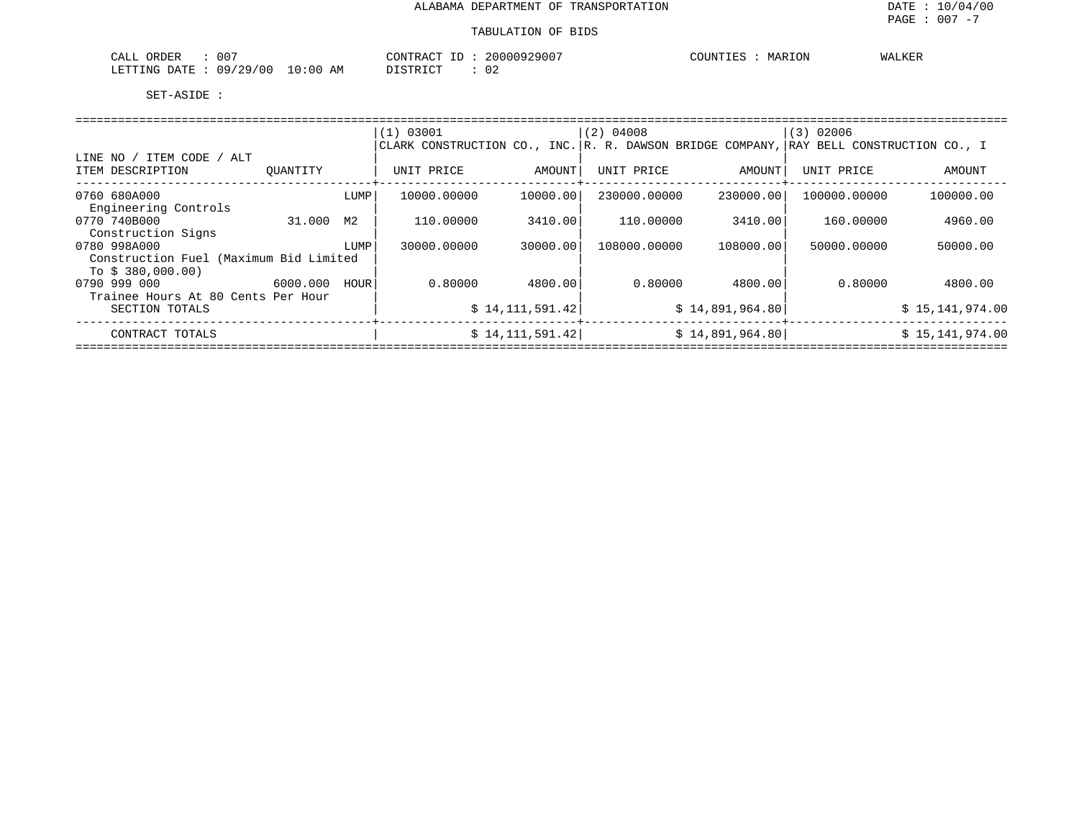| 00 <sup>-</sup><br>ORDER<br>CALL          | 20000929007<br>CONTRACT                        | MARION<br>COUNTIES<br><b>EXS</b> | WALKER |
|-------------------------------------------|------------------------------------------------|----------------------------------|--------|
| 09/29/00<br>$10:00$ AM<br>LETTING<br>DATE | $\sim$<br>ידי איד פידי איר<br>∪∠<br>nto TMTC 1 |                                  |        |

|                                        |          |      | (1) 03001                                                                              |                  | $(2)$ 04008  |                 | $(3)$ 02006  |                 |
|----------------------------------------|----------|------|----------------------------------------------------------------------------------------|------------------|--------------|-----------------|--------------|-----------------|
|                                        |          |      | CLARK CONSTRUCTION CO., INC. R. R. DAWSON BRIDGE COMPANY, RAY BELL CONSTRUCTION CO., I |                  |              |                 |              |                 |
| LINE NO / ITEM CODE / ALT              |          |      |                                                                                        |                  |              |                 |              |                 |
| ITEM DESCRIPTION                       | OUANTITY |      | UNIT PRICE                                                                             | AMOUNT           | UNIT PRICE   | AMOUNT          | UNIT PRICE   | AMOUNT          |
| 0760 680A000                           |          | LUMP | 10000.00000                                                                            | 10000.00         | 230000.00000 | 230000.00       | 100000.00000 | 100000.00       |
| Engineering Controls                   |          |      |                                                                                        |                  |              |                 |              |                 |
| 0770 740B000                           | 31.000   | М2   | 110.00000                                                                              | 3410.00          | 110,00000    | 3410.00         | 160.00000    | 4960.00         |
| Construction Signs                     |          |      |                                                                                        |                  |              |                 |              |                 |
| 0780 998A000                           |          | LUMP | 30000.00000                                                                            | 30000.00         | 108000.00000 | 108000.00       | 50000.00000  | 50000.00        |
| Construction Fuel (Maximum Bid Limited |          |      |                                                                                        |                  |              |                 |              |                 |
| To $$380.000.00)$                      |          |      |                                                                                        |                  |              |                 |              |                 |
| 0790 999 000                           | 6000.000 | HOUR | 0.80000                                                                                | 4800.00          | 0.80000      | 4800.001        | 0.80000      | 4800.00         |
| Trainee Hours At 80 Cents Per Hour     |          |      |                                                                                        |                  |              |                 |              |                 |
| SECTION TOTALS                         |          |      |                                                                                        | \$14,111,591.42  |              | \$14,891,964.80 |              | \$15,141,974.00 |
| CONTRACT TOTALS                        |          |      |                                                                                        | \$14,111,591.42] |              | \$14,891,964.80 |              | \$15,141,974.00 |
|                                        |          |      |                                                                                        |                  |              |                 |              |                 |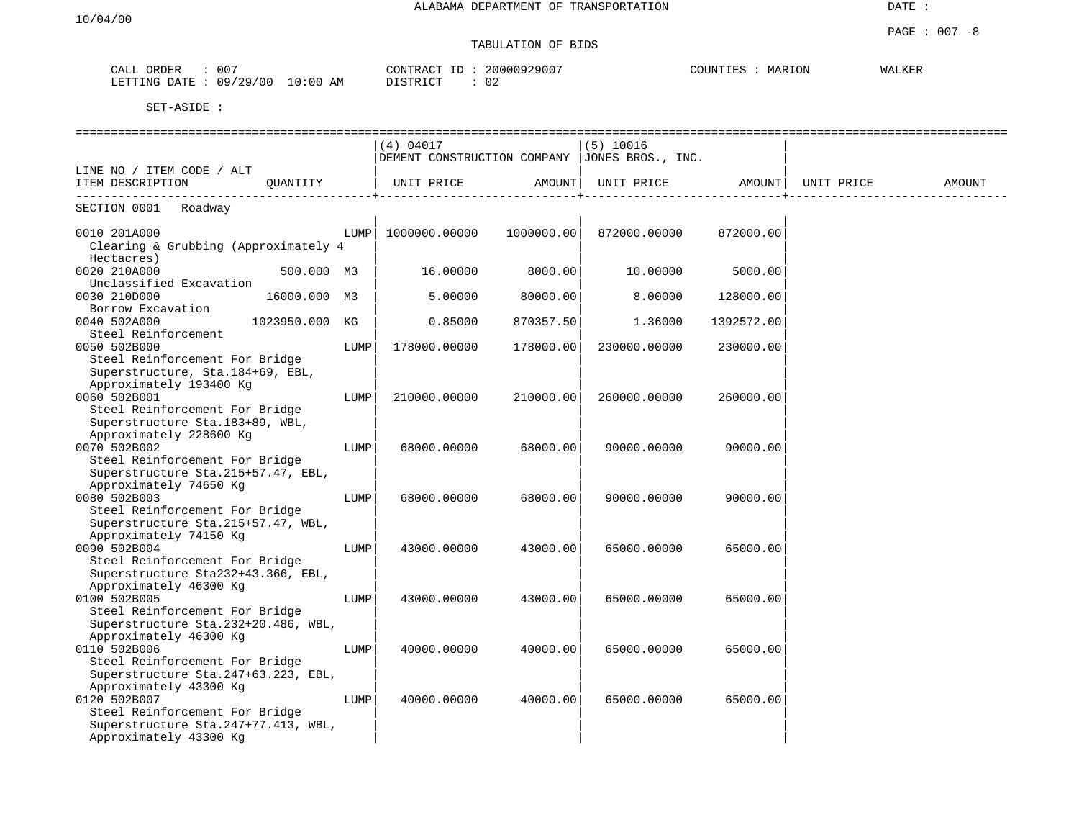| 007<br>$\bigcap \mathcal{R}$<br>ORDER<br>⊬⊔ىك                                                       | 20000929007<br>$\bigcap \bigwedge \mathsf{T} \sqcup \sqcap \sqcap$<br>L'RAU<br>. .CINT | MARION | WALKER |
|-----------------------------------------------------------------------------------------------------|----------------------------------------------------------------------------------------|--------|--------|
| $: \cap$ (<br>$\Omega$<br>09.<br>$' \cap \cap$<br><b>ETTING</b><br>$\sqrt{2}$<br>ΑM<br>DATE.<br>' ש |                                                                                        |        |        |

|                                                                    |                |      | (4) 04017     |            | $(5)$ 10016                                   |            |            |        |
|--------------------------------------------------------------------|----------------|------|---------------|------------|-----------------------------------------------|------------|------------|--------|
|                                                                    |                |      |               |            | DEMENT CONSTRUCTION COMPANY JONES BROS., INC. |            |            |        |
| LINE NO / ITEM CODE / ALT                                          |                |      |               |            |                                               |            |            |        |
| ITEM DESCRIPTION                                                   | QUANTITY       |      | UNIT PRICE    | AMOUNT     | UNIT PRICE AMOUNT                             |            | UNIT PRICE | AMOUNT |
| SECTION 0001 Roadway                                               |                |      |               |            |                                               |            |            |        |
| 0010 201A000                                                       |                | LUMP | 1000000.00000 | 1000000.00 | 872000.00000                                  | 872000.00  |            |        |
| Clearing & Grubbing (Approximately 4                               |                |      |               |            |                                               |            |            |        |
| Hectacres)                                                         |                |      |               |            |                                               |            |            |        |
| 0020 210A000                                                       | 500.000 M3     |      | 16.00000      | 8000.00    | 10.00000                                      | 5000.00    |            |        |
| Unclassified Excavation                                            |                |      |               |            |                                               |            |            |        |
| 0030 210D000                                                       | 16000.000 M3   |      | 5.00000       | 80000.00   | 8,00000                                       | 128000.00  |            |        |
| Borrow Excavation                                                  |                |      |               |            |                                               |            |            |        |
| 0040 502A000                                                       | 1023950.000 KG |      | 0.85000       | 870357.50  | 1.36000                                       | 1392572.00 |            |        |
| Steel Reinforcement                                                |                |      |               |            |                                               |            |            |        |
| 0050 502B000                                                       |                | LUMP | 178000.00000  | 178000.00  | 230000.00000                                  | 230000.00  |            |        |
| Steel Reinforcement For Bridge<br>Superstructure, Sta.184+69, EBL, |                |      |               |            |                                               |            |            |        |
| Approximately 193400 Kg                                            |                |      |               |            |                                               |            |            |        |
| 0060 502B001                                                       |                | LUMP | 210000.00000  | 210000.00  | 260000.00000                                  | 260000.00  |            |        |
| Steel Reinforcement For Bridge                                     |                |      |               |            |                                               |            |            |        |
| Superstructure Sta. 183+89, WBL,                                   |                |      |               |            |                                               |            |            |        |
| Approximately 228600 Kq                                            |                |      |               |            |                                               |            |            |        |
| 0070 502B002                                                       |                | LUMP | 68000.00000   | 68000.00   | 90000.00000                                   | 90000.00   |            |        |
| Steel Reinforcement For Bridge                                     |                |      |               |            |                                               |            |            |        |
| Superstructure Sta. 215+57.47, EBL,                                |                |      |               |            |                                               |            |            |        |
| Approximately 74650 Kg                                             |                |      |               |            |                                               |            |            |        |
| 0080 502B003                                                       |                | LUMP | 68000.00000   | 68000.00   | 90000.00000                                   | 90000.00   |            |        |
| Steel Reinforcement For Bridge                                     |                |      |               |            |                                               |            |            |        |
| Superstructure Sta. 215+57.47, WBL,                                |                |      |               |            |                                               |            |            |        |
| Approximately 74150 Kg<br>0090 502B004                             |                |      |               |            |                                               |            |            |        |
| Steel Reinforcement For Bridge                                     |                | LUMP | 43000.00000   | 43000.00   | 65000.00000                                   | 65000.00   |            |        |
| Superstructure Sta232+43.366, EBL,                                 |                |      |               |            |                                               |            |            |        |
| Approximately 46300 Kg                                             |                |      |               |            |                                               |            |            |        |
| 0100 502B005                                                       |                | LUMP | 43000.00000   | 43000.00   | 65000.00000                                   | 65000.00   |            |        |
| Steel Reinforcement For Bridge                                     |                |      |               |            |                                               |            |            |        |
| Superstructure Sta. 232+20.486, WBL,                               |                |      |               |            |                                               |            |            |        |
| Approximately 46300 Kg                                             |                |      |               |            |                                               |            |            |        |
| 0110 502B006                                                       |                | LUMP | 40000.00000   | 40000.00   | 65000.00000                                   | 65000.00   |            |        |
| Steel Reinforcement For Bridge                                     |                |      |               |            |                                               |            |            |        |
| Superstructure Sta. 247+63. 223, EBL,                              |                |      |               |            |                                               |            |            |        |
| Approximately 43300 Kg                                             |                |      |               |            |                                               |            |            |        |
| 0120 502B007                                                       |                | LUMP | 40000.00000   | 40000.00   | 65000.00000                                   | 65000.00   |            |        |
| Steel Reinforcement For Bridge                                     |                |      |               |            |                                               |            |            |        |
| Superstructure Sta. 247+77. 413, WBL,                              |                |      |               |            |                                               |            |            |        |
| Approximately 43300 Kg                                             |                |      |               |            |                                               |            |            |        |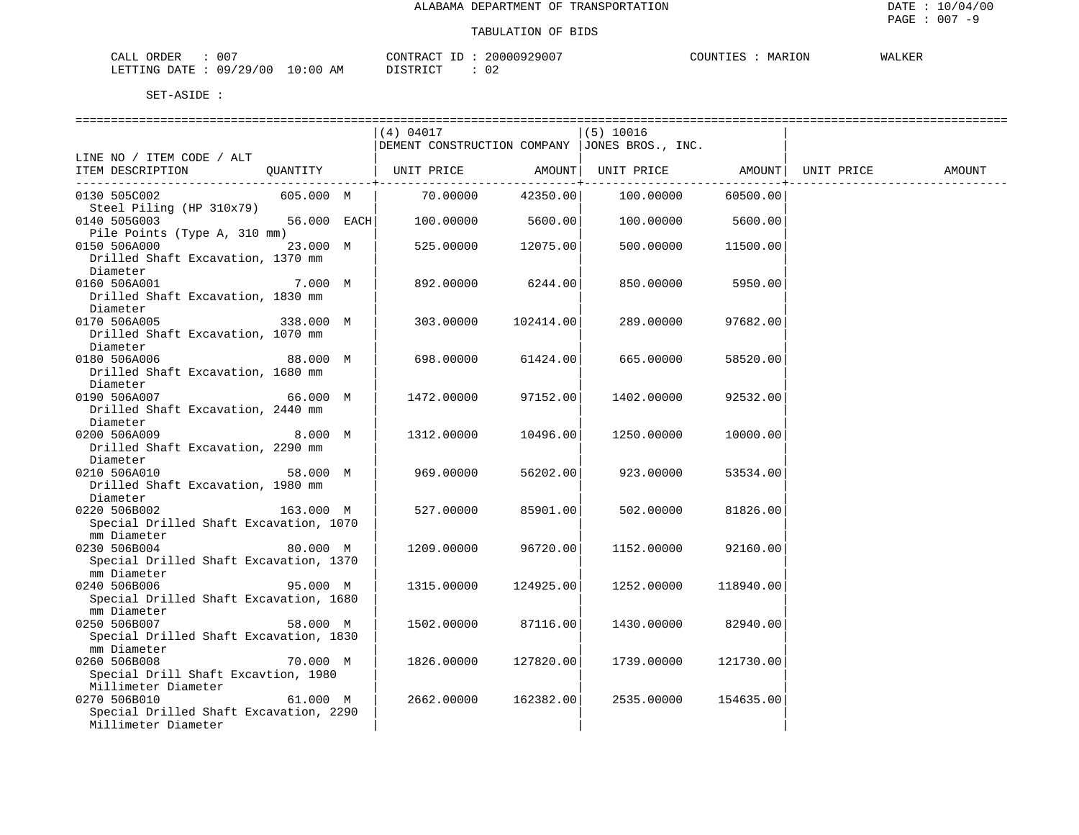| 007<br>$\sim$ $\sim$ $\sim$<br>ORDER<br>$\triangleright$<br>. سد عات | 20000929007<br>CONTRACT<br>$\overline{\mathcal{L}}$ | <b>TARION</b><br>$\cap$ $\cap$ TINTTT<br>vi ⊷ r | WALKER |
|----------------------------------------------------------------------|-----------------------------------------------------|-------------------------------------------------|--------|
| n a<br>ג ?<br>LETTING<br>00 /<br>DATE<br>ΑM                          | TAT<br>$\sim$<br>◡▵<br>---                          |                                                 |        |

|                                                              | (4) 04017                                       |           | $(5)$ 10016        |           |            |        |
|--------------------------------------------------------------|-------------------------------------------------|-----------|--------------------|-----------|------------|--------|
|                                                              | DEMENT CONSTRUCTION COMPANY   JONES BROS., INC. |           |                    |           |            |        |
| LINE NO / ITEM CODE / ALT                                    |                                                 |           |                    |           |            |        |
| ITEM DESCRIPTION<br>QUANTITY                                 | UNIT PRICE                                      |           | AMOUNT  UNIT PRICE | AMOUNT    | UNIT PRICE | AMOUNT |
|                                                              |                                                 |           |                    |           |            |        |
| 605.000 M<br>0130 505C002                                    | 70.00000                                        | 42350.00  | 100.00000          | 60500.00  |            |        |
| Steel Piling (HP 310x79)                                     |                                                 |           |                    |           |            |        |
| 0140 505G003<br>56.000 EACH                                  | 100.00000 5600.00                               |           | 100.00000 5600.00  |           |            |        |
| Pile Points (Type A, 310 mm)                                 |                                                 |           |                    |           |            |        |
| 23.000 M<br>0150 506A000                                     | 525.00000                                       | 12075.00  | 500.00000          | 11500.00  |            |        |
| Drilled Shaft Excavation, 1370 mm                            |                                                 |           |                    |           |            |        |
| Diameter                                                     |                                                 |           |                    |           |            |        |
| 0160 506A001<br>7.000 M                                      | 892.00000                                       | 6244.00   | 850.00000          | 5950.00   |            |        |
| Drilled Shaft Excavation, 1830 mm                            |                                                 |           |                    |           |            |        |
| Diameter                                                     |                                                 |           |                    |           |            |        |
| 0170 506A005<br>338.000 M                                    | 303.00000                                       | 102414.00 | 289.00000          | 97682.00  |            |        |
| Drilled Shaft Excavation, 1070 mm                            |                                                 |           |                    |           |            |        |
| Diameter                                                     |                                                 |           |                    |           |            |        |
| 0180 506A006<br>88.000 M                                     | 698.00000                                       | 61424.00  | 665.00000          | 58520.00  |            |        |
| Drilled Shaft Excavation, 1680 mm                            |                                                 |           |                    |           |            |        |
| Diameter                                                     |                                                 |           |                    |           |            |        |
| 0190 506A007<br>66.000 M                                     | 1472.00000                                      | 97152.00  | 1402.00000         | 92532.00  |            |        |
| Drilled Shaft Excavation, 2440 mm                            |                                                 |           |                    |           |            |        |
| Diameter                                                     |                                                 |           |                    |           |            |        |
| 0200 506A009<br>8.000 M<br>Drilled Shaft Excavation, 2290 mm | 1312.00000                                      | 10496.00  | 1250.00000         | 10000.00  |            |        |
| Diameter                                                     |                                                 |           |                    |           |            |        |
| 0210 506A010<br>58.000 M                                     | 969.00000                                       | 56202.00  | 923.00000          | 53534.00  |            |        |
| Drilled Shaft Excavation, 1980 mm                            |                                                 |           |                    |           |            |        |
| Diameter                                                     |                                                 |           |                    |           |            |        |
| 0220 506B002<br>163.000 M                                    | 527.00000                                       | 85901.00  | 502.00000          | 81826.00  |            |        |
| Special Drilled Shaft Excavation, 1070                       |                                                 |           |                    |           |            |        |
| mm Diameter                                                  |                                                 |           |                    |           |            |        |
| 0230 506B004<br>80.000 M                                     | 1209.00000                                      | 96720.00  | 1152.00000         | 92160.00  |            |        |
| Special Drilled Shaft Excavation, 1370                       |                                                 |           |                    |           |            |        |
| mm Diameter                                                  |                                                 |           |                    |           |            |        |
| 0240 506B006<br>95.000 M                                     | 1315.00000                                      | 124925.00 | 1252.00000         | 118940.00 |            |        |
| Special Drilled Shaft Excavation, 1680                       |                                                 |           |                    |           |            |        |
| mm Diameter                                                  |                                                 |           |                    |           |            |        |
| 0250 506B007<br>58.000 M                                     | 1502.00000                                      | 87116.00  | 1430.00000         | 82940.00  |            |        |
| Special Drilled Shaft Excavation, 1830                       |                                                 |           |                    |           |            |        |
| mm Diameter                                                  |                                                 |           |                    |           |            |        |
| 0260 506B008<br>70.000 M                                     | 1826.00000                                      | 127820.00 | 1739.00000         | 121730.00 |            |        |
| Special Drill Shaft Excavtion, 1980                          |                                                 |           |                    |           |            |        |
| Millimeter Diameter                                          |                                                 |           |                    |           |            |        |
| 0270 506B010<br>61.000 M                                     | 2662.00000                                      | 162382.00 | 2535.00000         | 154635.00 |            |        |
| Special Drilled Shaft Excavation, 2290                       |                                                 |           |                    |           |            |        |
| Millimeter Diameter                                          |                                                 |           |                    |           |            |        |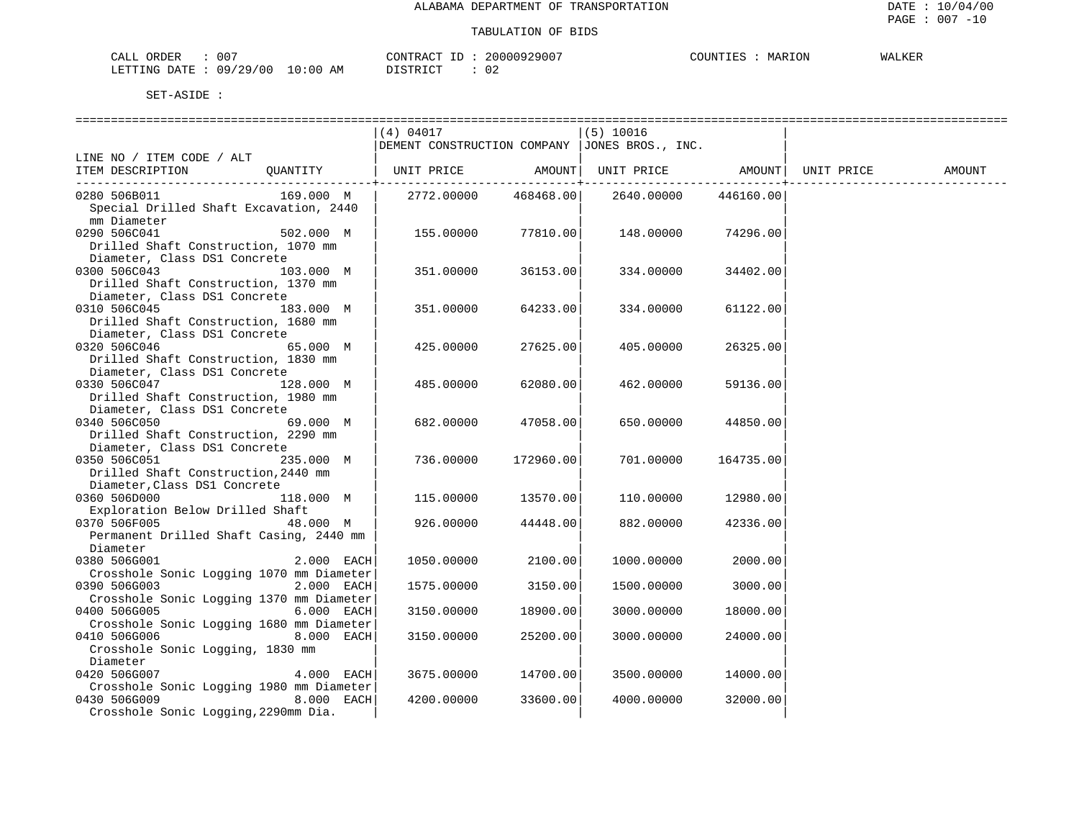| 007<br>JRDER<br>سدعت                                                                                                                                                                                            | $\sim$<br>٬∩۱.<br>$\Lambda$ | <b>COLINI</b><br>ി<br>MAR<br>. | T<br>TAT 7\<br>' LINDA. |
|-----------------------------------------------------------------------------------------------------------------------------------------------------------------------------------------------------------------|-----------------------------|--------------------------------|-------------------------|
| ′ N C<br><b>B. HUT.</b><br>$\sim$ $\sim$<br>AМ<br>n n<br>$\cdot$ 0.0<br>u<br>$\pm$ NG $\div$<br>the contract of the contract of the contract of the contract of the contract of the contract of the contract of | $\sim$<br>ັບ 2<br>.         |                                |                         |

|                                                          |              | (4) 04017  |             | (5) 10016                                      |           |        |
|----------------------------------------------------------|--------------|------------|-------------|------------------------------------------------|-----------|--------|
|                                                          |              |            |             | DEMENT CONSTRUCTION COMPANY  JONES BROS., INC. |           |        |
| LINE NO / ITEM CODE / ALT                                |              |            |             |                                                |           |        |
| ITEM DESCRIPTION                                         |              |            |             | UNIT PRICE AMOUNT UNIT PRICE                   |           | AMOUNT |
|                                                          |              |            | ---------+- | ------------                                   |           |        |
| 0280 506B011                                             | 169.000 M    | 2772.00000 | 468468.00   | 2640.00000 446160.00                           |           |        |
| Special Drilled Shaft Excavation, 2440                   |              |            |             |                                                |           |        |
| mm Diameter                                              |              |            |             |                                                |           |        |
| 0290 506C041                                             | 502.000 M    | 155.00000  | 77810.00    | 148.00000                                      | 74296.00  |        |
| Drilled Shaft Construction, 1070 mm                      |              |            |             |                                                |           |        |
| Diameter, Class DS1 Concrete<br>0300 506C043             | 103.000 M    |            |             |                                                | 34402.00  |        |
| Drilled Shaft Construction, 1370 mm                      |              | 351.00000  | 36153.00    | 334.00000                                      |           |        |
| Diameter, Class DS1 Concrete                             |              |            |             |                                                |           |        |
| 0310 506C045                                             | 183.000 M    | 351.00000  | 64233.00    | 334.00000                                      | 61122.00  |        |
| Drilled Shaft Construction, 1680 mm                      |              |            |             |                                                |           |        |
| Diameter, Class DS1 Concrete                             |              |            |             |                                                |           |        |
| 0320 506C046                                             | 65.000 M     | 425.00000  | 27625.00    | 405.00000                                      | 26325.00  |        |
| Drilled Shaft Construction, 1830 mm                      |              |            |             |                                                |           |        |
| Diameter, Class DS1 Concrete                             |              |            |             |                                                |           |        |
| 0330 506C047                                             | 128.000 M    | 485.00000  | 62080.00    | 462.00000                                      | 59136.00  |        |
| Drilled Shaft Construction, 1980 mm                      |              |            |             |                                                |           |        |
| Diameter, Class DS1 Concrete                             |              |            |             |                                                |           |        |
| 0340 506C050                                             | 69.000 M     | 682.00000  | 47058.00    | 650.00000                                      | 44850.00  |        |
| Drilled Shaft Construction, 2290 mm                      |              |            |             |                                                |           |        |
| Diameter, Class DS1 Concrete                             |              |            |             |                                                |           |        |
| 0350 506C051                                             | 235.000 M    | 736.00000  | 172960.00   | 701.00000                                      | 164735.00 |        |
| Drilled Shaft Construction, 2440 mm                      |              |            |             |                                                |           |        |
| Diameter, Class DS1 Concrete                             |              |            |             |                                                |           |        |
| 0360 506D000                                             | 118.000 M    | 115.00000  | 13570.00    | 110.00000                                      | 12980.00  |        |
| Exploration Below Drilled Shaft                          |              |            |             |                                                |           |        |
| 0370 506F005                                             | 48.000 M     | 926.00000  | 44448.00    | 882.00000                                      | 42336.00  |        |
| Permanent Drilled Shaft Casing, 2440 mm                  |              |            |             |                                                |           |        |
| Diameter                                                 |              |            |             |                                                |           |        |
| 0380 506G001                                             | 2.000 EACH   | 1050.00000 | 2100.00     | 1000.00000                                     | 2000.00   |        |
| Crosshole Sonic Logging 1070 mm Diameter                 |              |            |             |                                                |           |        |
| 0390 506G003                                             | 2.000 EACH   | 1575.00000 | 3150.00     | 1500.00000                                     | 3000.00   |        |
| Crosshole Sonic Logging 1370 mm Diameter                 |              |            |             |                                                |           |        |
| 0400 506G005<br>Crosshole Sonic Logging 1680 mm Diameter | 6.000 EACH   | 3150.00000 | 18900.00    | 3000.00000                                     | 18000.00  |        |
| 0410 506G006                                             | 8.000 EACH   | 3150.00000 | 25200.00    | 3000.00000                                     | 24000.00  |        |
| Crosshole Sonic Logging, 1830 mm                         |              |            |             |                                                |           |        |
| Diameter                                                 |              |            |             |                                                |           |        |
| 0420 506G007                                             | $4.000$ EACH | 3675.00000 | 14700.00    | 3500.00000                                     | 14000.00  |        |
| Crosshole Sonic Logging 1980 mm Diameter                 |              |            |             |                                                |           |        |
| 0430 506G009                                             | 8.000 EACH   | 4200.00000 | 33600.00    | 4000.00000                                     | 32000.00  |        |
| Crosshole Sonic Logging, 2290mm Dia.                     |              |            |             |                                                |           |        |
|                                                          |              |            |             |                                                |           |        |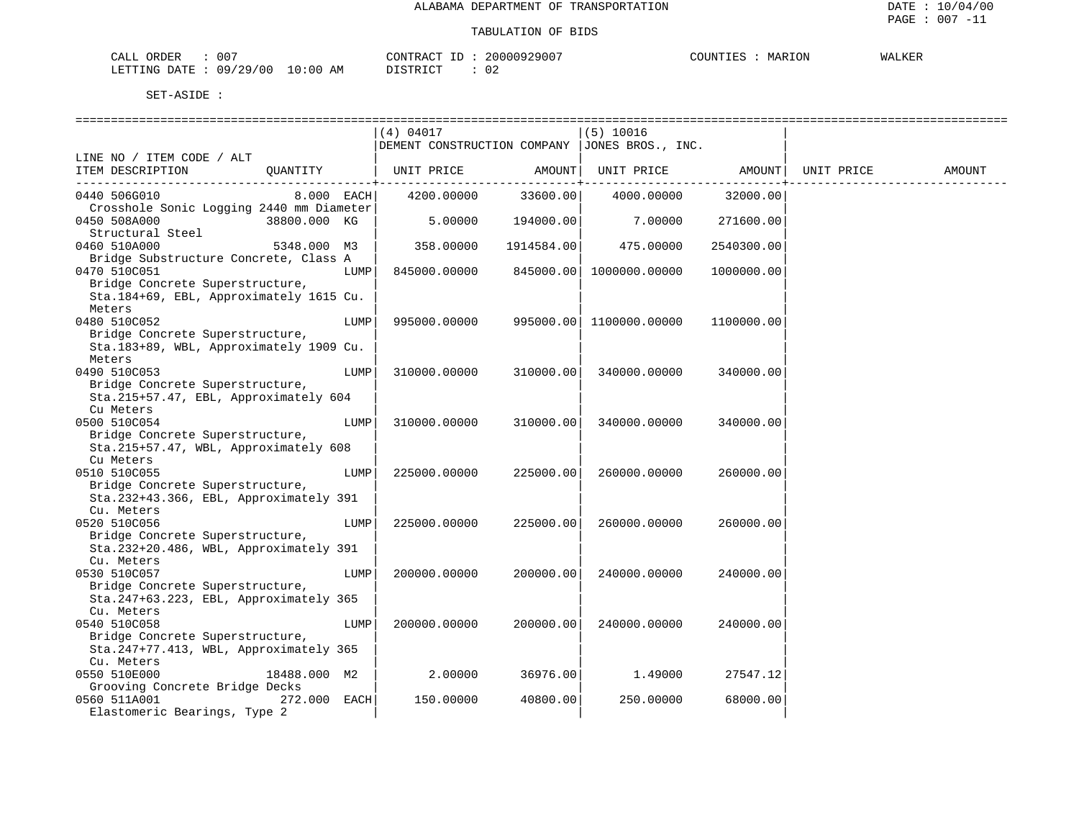| 007<br>$\sim$ nn $\sim$ nn<br>، ت<br>$\mathbf{A}$<br>. سدر<br>ິບເນມ"                            | $\sim$<br>$\sim$ $\sim$ $\sim$ $\sim$ $\sim$<br>nnr<br>2900 | $T \cap T$<br>COUNT.<br>MAR.<br>- ∪∸ | WALKEI |
|-------------------------------------------------------------------------------------------------|-------------------------------------------------------------|--------------------------------------|--------|
| $\cap$ $\Omega$<br>AΜ<br>700<br>. mmm .<br>$\sim$ $\sim$<br>ገ : 00<br>, u<br>TTING<br>υв.<br>,, | $\cap$<br>$ -$<br>$\sim$<br>◡▵                              |                                      |        |

|                                                                            |              |      | (4) 04017    |            | (5) 10016<br>DEMENT CONSTRUCTION COMPANY   JONES BROS., INC. |            |            |        |
|----------------------------------------------------------------------------|--------------|------|--------------|------------|--------------------------------------------------------------|------------|------------|--------|
| LINE NO / ITEM CODE / ALT                                                  |              |      |              |            |                                                              |            |            |        |
| ITEM DESCRIPTION                                                           | QUANTITY     |      | UNIT PRICE   | AMOUNT     | UNIT PRICE                                                   | AMOUNT     | UNIT PRICE | AMOUNT |
| 0440 506G010<br>Crosshole Sonic Logging 2440 mm Diameter                   | 8.000 EACH   |      | 4200.00000   | 33600.00   | 4000.00000                                                   | 32000.00   |            |        |
| 0450 508A000                                                               | 38800.000 KG |      | 5.00000      | 194000.00  | 7.00000                                                      | 271600.00  |            |        |
| Structural Steel<br>0460 510A000                                           | 5348.000 M3  |      | 358.00000    | 1914584.00 | 475.00000                                                    | 2540300.00 |            |        |
| Bridge Substructure Concrete, Class A                                      |              |      |              |            |                                                              |            |            |        |
| 0470 510C051                                                               |              | LUMP | 845000.00000 | 845000.00  | 1000000.00000                                                | 1000000.00 |            |        |
| Bridge Concrete Superstructure,                                            |              |      |              |            |                                                              |            |            |        |
| Sta. 184+69, EBL, Approximately 1615 Cu.                                   |              |      |              |            |                                                              |            |            |        |
| Meters                                                                     |              |      |              |            |                                                              |            |            |        |
| 0480 510C052                                                               |              | LUMP | 995000.00000 | 995000.00  | 1100000.00000                                                | 1100000.00 |            |        |
| Bridge Concrete Superstructure,                                            |              |      |              |            |                                                              |            |            |        |
| Sta.183+89, WBL, Approximately 1909 Cu.                                    |              |      |              |            |                                                              |            |            |        |
| Meters                                                                     |              |      |              |            |                                                              |            |            |        |
| 0490 510C053                                                               |              | LUMP | 310000.00000 | 310000.00  | 340000.00000                                                 | 340000.00  |            |        |
| Bridge Concrete Superstructure,<br>Sta. 215+57.47, EBL, Approximately 604  |              |      |              |            |                                                              |            |            |        |
| Cu Meters                                                                  |              |      |              |            |                                                              |            |            |        |
| 0500 510C054                                                               |              | LUMP | 310000.00000 | 310000.00  | 340000.00000                                                 | 340000.00  |            |        |
| Bridge Concrete Superstructure,                                            |              |      |              |            |                                                              |            |            |        |
| Sta. 215+57.47, WBL, Approximately 608                                     |              |      |              |            |                                                              |            |            |        |
| Cu Meters                                                                  |              |      |              |            |                                                              |            |            |        |
| 0510 510C055                                                               |              | LUMP | 225000.00000 | 225000.00  | 260000.00000                                                 | 260000.00  |            |        |
| Bridge Concrete Superstructure,                                            |              |      |              |            |                                                              |            |            |        |
| Sta. 232+43.366, EBL, Approximately 391                                    |              |      |              |            |                                                              |            |            |        |
| Cu. Meters                                                                 |              |      |              |            |                                                              |            |            |        |
| 0520 510C056                                                               |              | LUMP | 225000.00000 | 225000.00  | 260000.00000                                                 | 260000.00  |            |        |
| Bridge Concrete Superstructure,<br>Sta. 232+20.486, WBL, Approximately 391 |              |      |              |            |                                                              |            |            |        |
| Cu. Meters                                                                 |              |      |              |            |                                                              |            |            |        |
| 0530 510C057                                                               |              | LUMP | 200000.00000 | 200000.00  | 240000.00000                                                 | 240000.00  |            |        |
| Bridge Concrete Superstructure,                                            |              |      |              |            |                                                              |            |            |        |
| Sta.247+63.223, EBL, Approximately 365                                     |              |      |              |            |                                                              |            |            |        |
| Cu. Meters                                                                 |              |      |              |            |                                                              |            |            |        |
| 0540 510C058                                                               |              | LUMP | 200000.00000 | 200000.00  | 240000.00000                                                 | 240000.00  |            |        |
| Bridge Concrete Superstructure,                                            |              |      |              |            |                                                              |            |            |        |
| Sta. 247+77. 413, WBL, Approximately 365                                   |              |      |              |            |                                                              |            |            |        |
| Cu. Meters                                                                 |              |      |              |            |                                                              |            |            |        |
| 0550 510E000                                                               | 18488.000 M2 |      | 2,00000      | 36976.00   | 1.49000                                                      | 27547.12   |            |        |
| Grooving Concrete Bridge Decks<br>0560 511A001                             | 272.000      | EACH | 150.00000    | 40800.00   | 250.00000                                                    | 68000.00   |            |        |
| Elastomeric Bearings, Type 2                                               |              |      |              |            |                                                              |            |            |        |
|                                                                            |              |      |              |            |                                                              |            |            |        |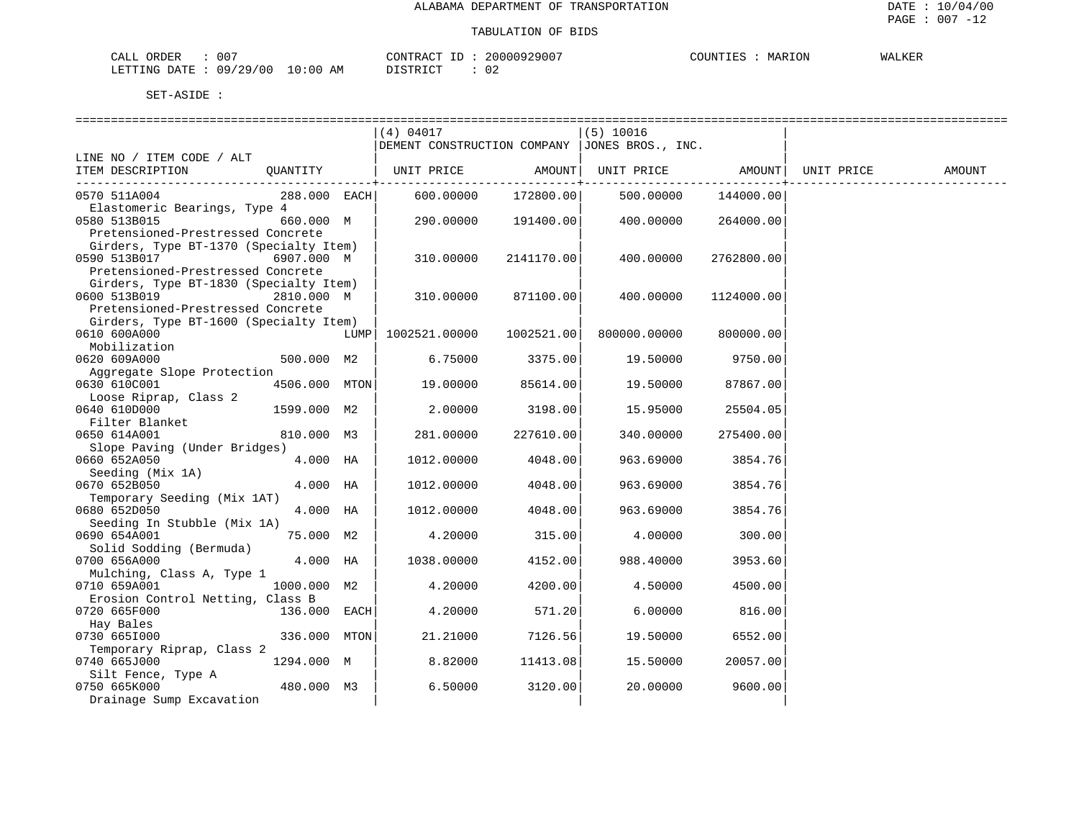| 007<br>ORDER<br>CALL                                                                                                                                      | 20000929007<br>CONTRACT<br>⊥ | MARION<br>COUNTIES | WALKER |
|-----------------------------------------------------------------------------------------------------------------------------------------------------------|------------------------------|--------------------|--------|
| LETTING DATE<br>: 09/29/00<br>10:00 AM<br>the contract of the contract of the contract of the contract of the contract of the contract of the contract of | <b>DISTRICT</b><br>02        |                    |        |

|                                        |               | (4) 04017            |            | (5) 10016                                       |            |            |        |
|----------------------------------------|---------------|----------------------|------------|-------------------------------------------------|------------|------------|--------|
|                                        |               |                      |            | DEMENT CONSTRUCTION COMPANY   JONES BROS., INC. |            |            |        |
| LINE NO / ITEM CODE / ALT              |               |                      |            |                                                 |            |            |        |
| ITEM DESCRIPTION                       | OUANTITY      | UNIT PRICE           | AMOUNT     | UNIT PRICE                                      | AMOUNT     | UNIT PRICE | AMOUNT |
|                                        |               |                      |            |                                                 |            |            |        |
| 0570 511A004                           | 288.000 EACH  | 600.00000            | 172800.00  | 500.00000                                       | 144000.00  |            |        |
| Elastomeric Bearings, Type 4           |               |                      |            |                                                 |            |            |        |
| 0580 513B015                           | 660.000 M     | 290.00000            | 191400.00  | 400.00000                                       | 264000.00  |            |        |
| Pretensioned-Prestressed Concrete      |               |                      |            |                                                 |            |            |        |
| Girders, Type BT-1370 (Specialty Item) |               |                      |            |                                                 |            |            |        |
|                                        | 6907.000 M    |                      |            |                                                 |            |            |        |
| 0590 513B017                           |               | 310.00000            | 2141170.00 | 400.00000                                       | 2762800.00 |            |        |
| Pretensioned-Prestressed Concrete      |               |                      |            |                                                 |            |            |        |
| Girders, Type BT-1830 (Specialty Item) |               |                      |            |                                                 |            |            |        |
| 0600 513B019                           | 2810.000 M    | 310.00000            | 871100.00  | 400.00000                                       | 1124000.00 |            |        |
| Pretensioned-Prestressed Concrete      |               |                      |            |                                                 |            |            |        |
| Girders, Type BT-1600 (Specialty Item) |               |                      |            |                                                 |            |            |        |
| 0610 600A000                           |               | LUMP   1002521.00000 | 1002521.00 | 800000.00000                                    | 800000.00  |            |        |
| Mobilization                           |               |                      |            |                                                 |            |            |        |
| 0620 609A000                           | 500.000 M2    | 6.75000              | 3375.00    | 19.50000                                        | 9750.00    |            |        |
| Aggregate Slope Protection             |               |                      |            |                                                 |            |            |        |
| 0630 610C001                           | 4506.000 MTON | 19.00000             | 85614.00   | 19.50000                                        | 87867.00   |            |        |
| Loose Riprap, Class 2                  |               |                      |            |                                                 |            |            |        |
| 0640 610D000                           | 1599.000 M2   | 2.00000              | 3198.00    | 15.95000                                        | 25504.05   |            |        |
| Filter Blanket                         |               |                      |            |                                                 |            |            |        |
| 0650 614A001                           | 810.000 M3    | 281.00000            | 227610.00  | 340.00000                                       | 275400.00  |            |        |
| Slope Paving (Under Bridges)           |               |                      |            |                                                 |            |            |        |
| 0660 652A050                           | 4.000 HA      | 1012.00000           | 4048.00    | 963.69000                                       | 3854.76    |            |        |
| Seeding (Mix 1A)                       |               |                      |            |                                                 |            |            |        |
| 0670 652B050                           | 4.000 HA      | 1012.00000           | 4048.00    | 963.69000                                       | 3854.76    |            |        |
| Temporary Seeding (Mix 1AT)            |               |                      |            |                                                 |            |            |        |
| 0680 652D050                           | 4.000 HA      | 1012.00000           | 4048.00    | 963.69000                                       | 3854.76    |            |        |
| Seeding In Stubble (Mix 1A)            |               |                      |            |                                                 |            |            |        |
| 0690 654A001                           | 75.000 M2     | 4.20000              | 315.00     | 4.00000                                         | 300.00     |            |        |
|                                        |               |                      |            |                                                 |            |            |        |
| Solid Sodding (Bermuda)                |               |                      |            |                                                 |            |            |        |
| 0700 656A000                           | 4.000 HA      | 1038.00000           | 4152.00    | 988.40000                                       | 3953.60    |            |        |
| Mulching, Class A, Type 1              |               |                      |            |                                                 |            |            |        |
| 0710 659A001                           | 1000.000 M2   | 4.20000              | 4200.00    | 4.50000                                         | 4500.00    |            |        |
| Erosion Control Netting, Class B       |               |                      |            |                                                 |            |            |        |
| 0720 665F000                           | 136.000 EACH  | 4.20000              | 571.20     | 6.00000                                         | 816.00     |            |        |
| Hay Bales                              |               |                      |            |                                                 |            |            |        |
| 0730 6651000                           | 336.000 MTON  | 21,21000             | 7126.56    | 19.50000                                        | 6552.00    |            |        |
| Temporary Riprap, Class 2              |               |                      |            |                                                 |            |            |        |
| 0740 665J000                           | 1294.000 M    | 8.82000              | 11413.08   | 15.50000                                        | 20057.00   |            |        |
| Silt Fence, Type A                     |               |                      |            |                                                 |            |            |        |
| 0750 665K000                           | 480.000 M3    | 6.50000              | 3120.00    | 20.00000                                        | 9600.00    |            |        |
| Drainage Sump Excavation               |               |                      |            |                                                 |            |            |        |
|                                        |               |                      |            |                                                 |            |            |        |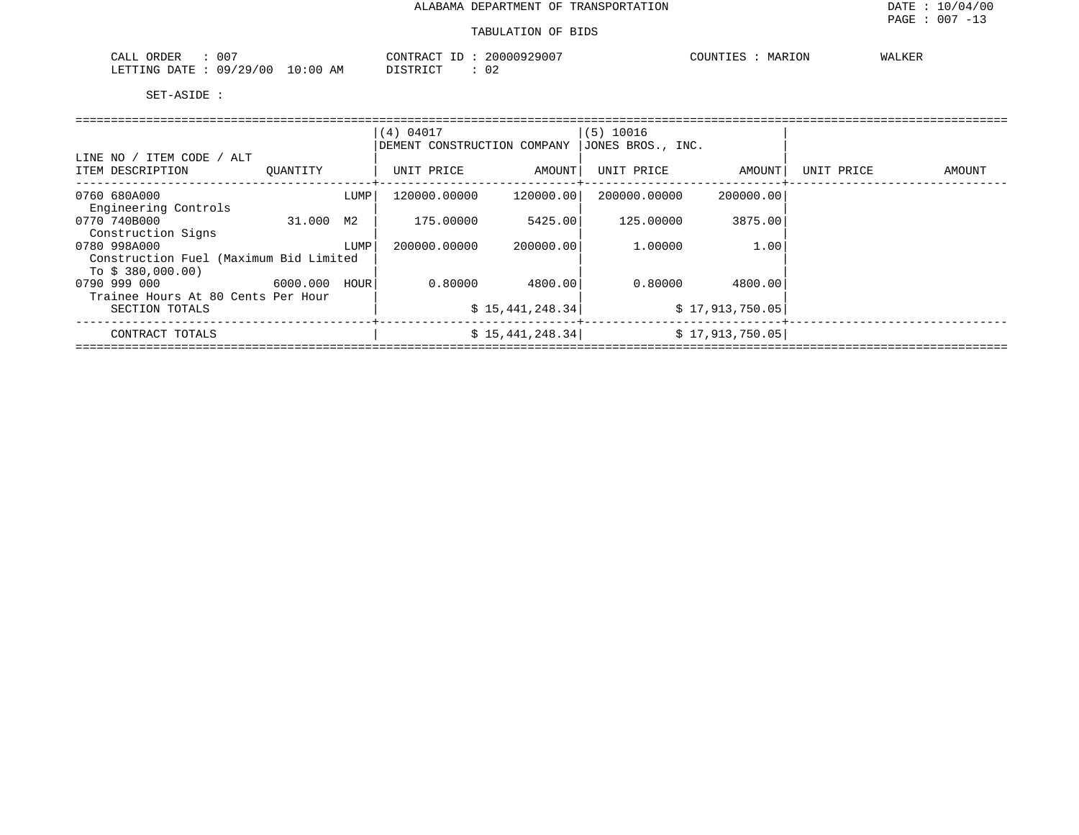#### TABULATION OF BIDS

| 007<br>ORDER<br>CALL                   | 20000929007<br>CONTRACT<br>T <sub>D</sub> | COUNTIES<br>MARION | WALKER |
|----------------------------------------|-------------------------------------------|--------------------|--------|
| : 09/29/00<br>10:00 AM<br>LETTING DATE | DISTRICT<br>02                            |                    |        |

|                                                             |          |      | (4) 04017<br>DEMENT CONSTRUCTION COMPANY |                  | $(5)$ 10016<br>JONES BROS., INC. |                 |            |        |
|-------------------------------------------------------------|----------|------|------------------------------------------|------------------|----------------------------------|-----------------|------------|--------|
| LINE NO / ITEM CODE / ALT<br>ITEM DESCRIPTION               | QUANTITY |      | UNIT PRICE                               | AMOUNT           | UNIT PRICE                       | AMOUNT          | UNIT PRICE | AMOUNT |
| 0760 680A000                                                |          | LUMP | 120000.00000                             | 120000.001       | 200000.00000                     | 200000.00       |            |        |
| Engineering Controls<br>0770 740B000<br>Construction Signs  | 31.000   | M2   | 175.00000                                | 5425.00          | 125,00000                        | 3875.00         |            |        |
| 0780 998A000                                                |          | LUMP | 200000.00000                             | 200000.001       | 1.00000                          | 1.00            |            |        |
| Construction Fuel (Maximum Bid Limited<br>To $$380,000.00)$ |          |      |                                          |                  |                                  |                 |            |        |
| 0790 999 000                                                | 6000.000 | HOUR | 0.80000                                  | 4800.001         | 0.80000                          | 4800.00         |            |        |
| Trainee Hours At 80 Cents Per Hour<br>SECTION TOTALS        |          |      |                                          | \$15,441,248.34  |                                  | \$17,913,750.05 |            |        |
| CONTRACT TOTALS                                             |          |      |                                          | \$15,441,248.34] |                                  | \$17,913,750.05 |            |        |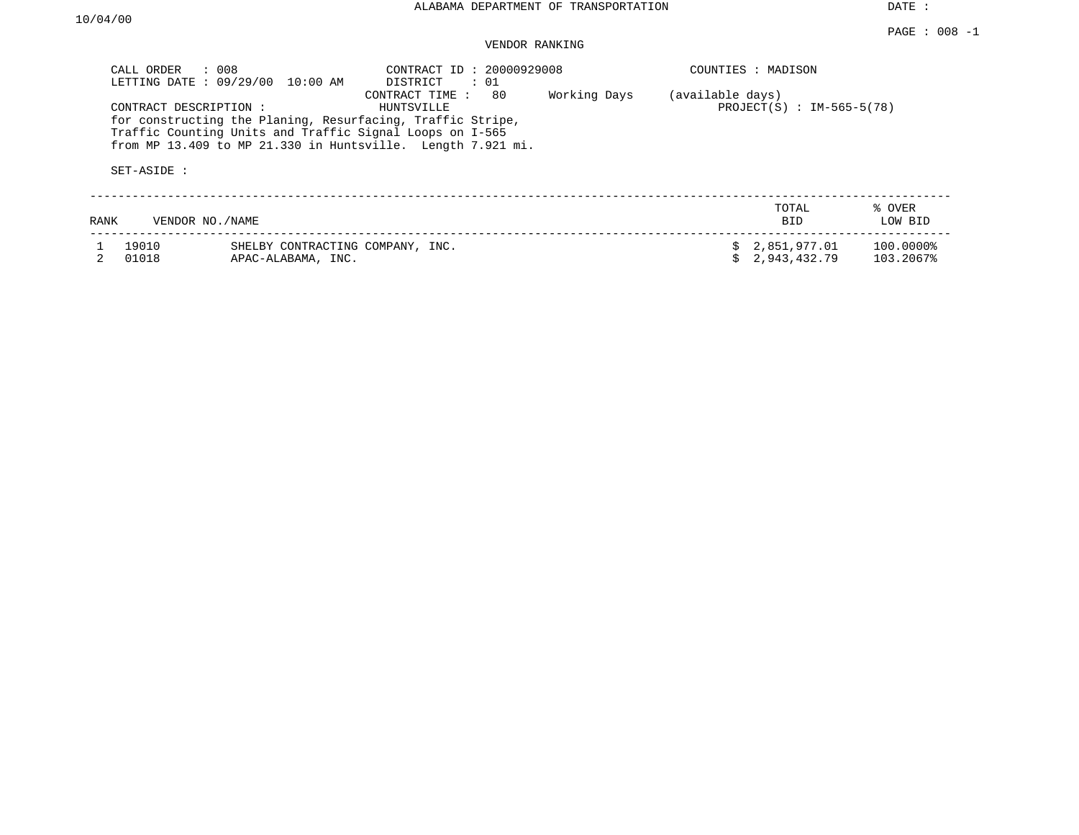# VENDOR RANKING

|      | $\therefore$ 008<br>CALL ORDER<br>LETTING DATE: 09/29/00 | 10:00 AM                                               | CONTRACT ID: 20000929008<br>: 01<br>DISTRICT                                                                                                                                                                                |              |                  | COUNTIES : MADISON           |                        |
|------|----------------------------------------------------------|--------------------------------------------------------|-----------------------------------------------------------------------------------------------------------------------------------------------------------------------------------------------------------------------------|--------------|------------------|------------------------------|------------------------|
|      | CONTRACT DESCRIPTION :<br>SET-ASIDE :                    |                                                        | 80<br>CONTRACT TIME:<br>HUNTSVILLE<br>for constructing the Planing, Resurfacing, Traffic Stripe,<br>Traffic Counting Units and Traffic Signal Loops on I-565<br>from MP 13.409 to MP 21.330 in Huntsville. Length 7.921 mi. | Working Days | (available days) | $PROJECT(S) : IM-565-5(78)$  |                        |
| RANK | VENDOR NO./NAME                                          |                                                        |                                                                                                                                                                                                                             |              |                  | TOTAL<br><b>BID</b>          | % OVER<br>LOW BID      |
|      | 19010<br>01018                                           | SHELBY CONTRACTING COMPANY, INC.<br>APAC-ALABAMA, INC. |                                                                                                                                                                                                                             |              |                  | 2,851,977.01<br>2,943,432.79 | 100.0000%<br>103.2067% |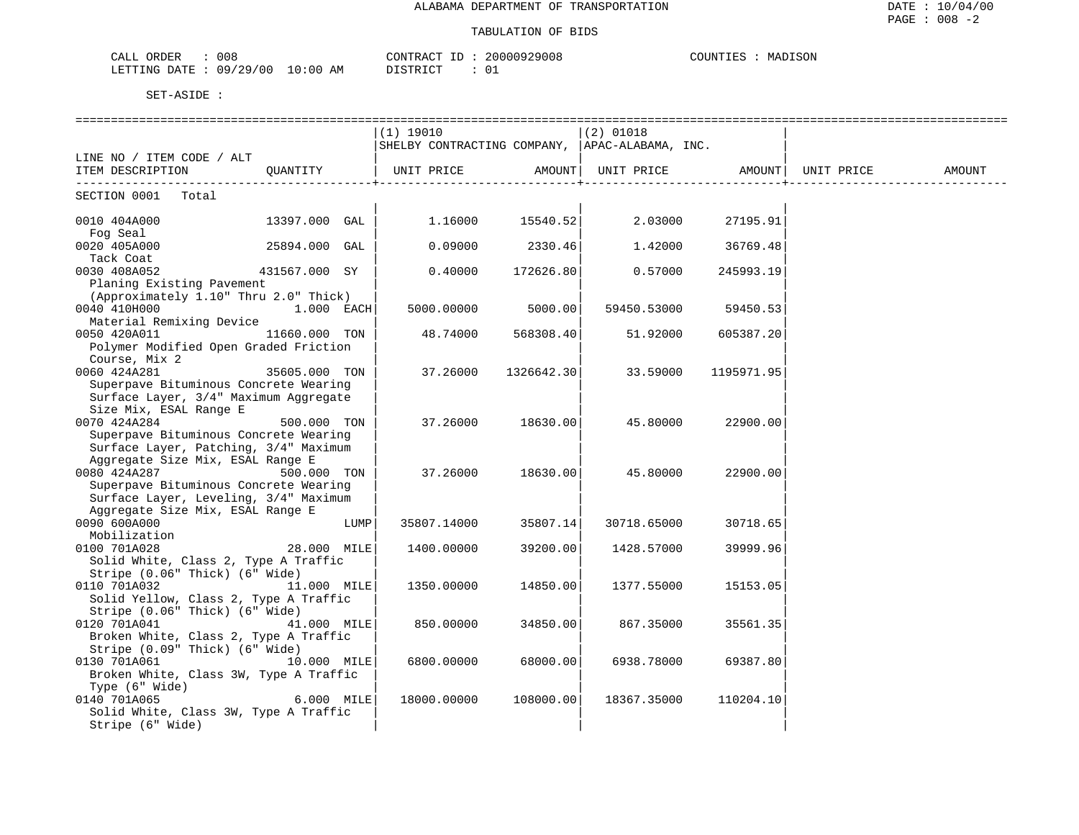| 008<br>ORDER<br>CALL     |             | CONTRACT       | 20000929008 | COUNTIES<br>ISON<br>MAL. |
|--------------------------|-------------|----------------|-------------|--------------------------|
| 09/29/00<br>LETTING DATE | 10:00<br>AΜ | דים דמידי פרות |             |                          |

|                                                                                                                                    |               |      | $(1)$ 19010<br>SHELBY CONTRACTING COMPANY, APAC-ALABAMA, INC. |            | (2) 01018   |            |            |        |
|------------------------------------------------------------------------------------------------------------------------------------|---------------|------|---------------------------------------------------------------|------------|-------------|------------|------------|--------|
| LINE NO / ITEM CODE / ALT<br>ITEM DESCRIPTION                                                                                      | OUANTITY      |      |                                                               |            |             |            | UNIT PRICE | AMOUNT |
| SECTION 0001 Total                                                                                                                 |               |      |                                                               |            |             |            |            |        |
| 0010 404A000 13397.000 GAL<br>Fog Seal                                                                                             |               |      | 1.16000                                                       | 15540.52   | 2.03000     | 27195.91   |            |        |
| 0020 405A000<br>Tack Coat                                                                                                          | 25894.000 GAL |      | 0.09000                                                       | 2330.46    | 1.42000     | 36769.48   |            |        |
| 431567.000 SY<br>0030 408A052                                                                                                      |               |      | 0.40000                                                       | 172626.80  | 0.57000     | 245993.19  |            |        |
| Planing Existing Pavement<br>(Approximately 1.10" Thru 2.0" Thick)<br>0040 410H000                                                 | $1.000$ EACH  |      | 5000.00000                                                    | 5000.00    | 59450.53000 | 59450.53   |            |        |
| Material Remixing Device<br>0050 420A011<br>Polymer Modified Open Graded Friction                                                  | 11660.000 TON |      | 48.74000                                                      | 568308.40  | 51.92000    | 605387.20  |            |        |
| Course, Mix 2<br>0060 424A281<br>Superpave Bituminous Concrete Wearing<br>Surface Layer, 3/4" Maximum Aggregate                    | 35605.000 TON |      | 37.26000                                                      | 1326642.30 | 33.59000    | 1195971.95 |            |        |
| Size Mix, ESAL Range E<br>0070 424A284<br>Superpave Bituminous Concrete Wearing<br>Surface Layer, Patching, 3/4" Maximum           | 500.000 TON   |      | 37.26000                                                      | 18630.00   | 45.80000    | 22900.00   |            |        |
| Aggregate Size Mix, ESAL Range E<br>0080 424A287<br>Superpave Bituminous Concrete Wearing<br>Surface Layer, Leveling, 3/4" Maximum | 500.000 TON   |      | 37.26000                                                      | 18630.00   | 45.80000    | 22900.00   |            |        |
| Aggregate Size Mix, ESAL Range E<br>0090 600A000<br>Mobilization                                                                   |               | LUMP | 35807.14000                                                   | 35807.14   | 30718.65000 | 30718.65   |            |        |
| 28.000 MILE<br>0100 701A028<br>Solid White, Class 2, Type A Traffic                                                                |               |      | 1400.00000                                                    | 39200.00   | 1428.57000  | 39999.96   |            |        |
| Stripe (0.06" Thick) (6" Wide)<br>0110 701A032<br>Solid Yellow, Class 2, Type A Traffic                                            | 11.000 MILE   |      | 1350.00000                                                    | 14850.00   | 1377.55000  | 15153.05   |            |        |
| Stripe (0.06" Thick) (6" Wide)<br>0120 701A041<br>Broken White, Class 2, Type A Traffic                                            | 41.000 MILE   |      | 850.00000                                                     | 34850.00   | 867.35000   | 35561.35   |            |        |
| Stripe (0.09" Thick) (6" Wide)<br>0130 701A061 10.000 MILE<br>Broken White, Class 3W, Type A Traffic                               |               |      | 6800.00000                                                    | 68000.00   | 6938.78000  | 69387.80   |            |        |
| Type (6" Wide)<br>0140 701A065<br>Solid White, Class 3W, Type A Traffic<br>Stripe (6" Wide)                                        | $6.000$ MILE  |      | 18000.00000                                                   | 108000.00  | 18367.35000 | 110204.10  |            |        |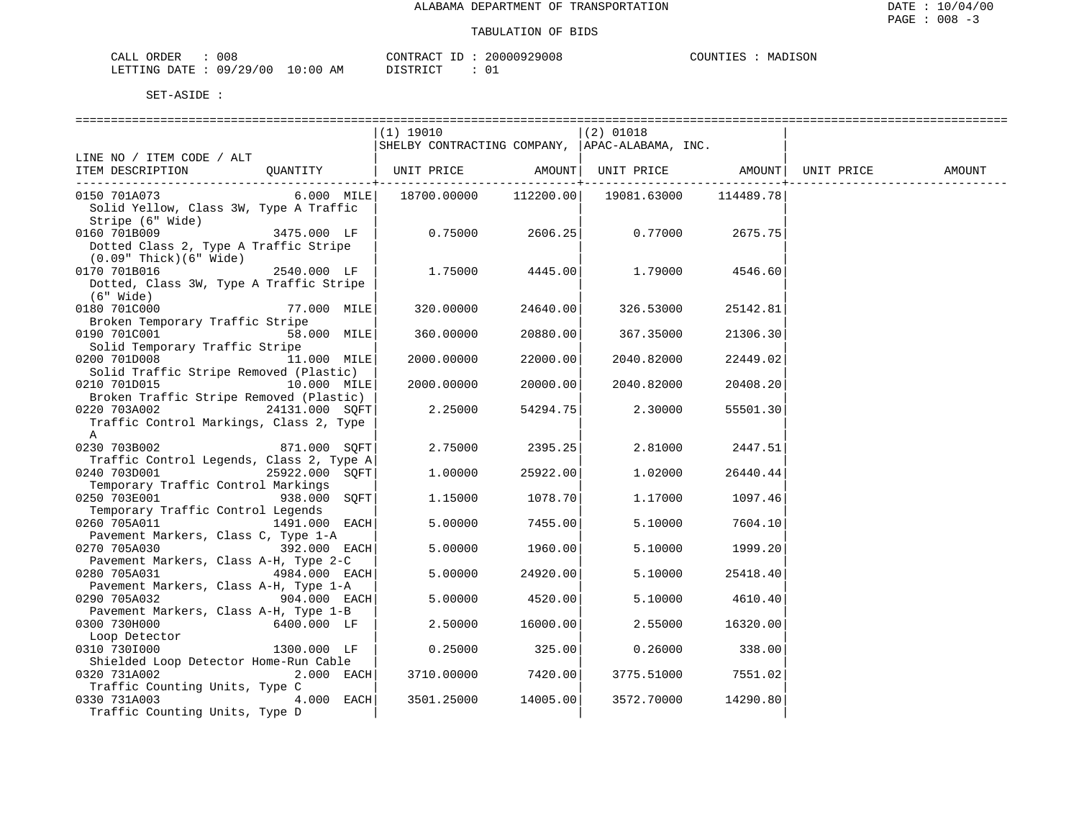| CALL ORDER                      | 008 | CONTRACT | ' ID | 20000929008 | COUNTIES | MADISON |
|---------------------------------|-----|----------|------|-------------|----------|---------|
| LETTING DATE: 09/29/00 10:00 AM |     | DISTRICT |      |             |          |         |

|                                                                              |               | (1) 19010                                      |                  | $(2)$ 01018                                    |                    |        |
|------------------------------------------------------------------------------|---------------|------------------------------------------------|------------------|------------------------------------------------|--------------------|--------|
|                                                                              |               | SHELBY CONTRACTING COMPANY, APAC-ALABAMA, INC. |                  |                                                |                    |        |
| LINE NO / ITEM CODE / ALT                                                    |               |                                                |                  |                                                |                    |        |
| ITEM DESCRIPTION QUANTITY   UNIT PRICE AMOUNT  UNIT PRICE AMOUNT  UNIT PRICE |               |                                                |                  |                                                |                    | AMOUNT |
| 0150 701A073                                                                 | 6.000 MILE    |                                                |                  | 18700.00000  112200.00  19081.63000  114489.78 |                    |        |
| Solid Yellow, Class 3W, Type A Traffic                                       |               |                                                |                  |                                                |                    |        |
| Stripe (6" Wide)                                                             |               |                                                |                  |                                                |                    |        |
| 3475.000 LF<br>0160 701B009                                                  |               |                                                |                  | $0.75000$ 2606.25 0.77000                      | 2675.75            |        |
| Dotted Class 2, Type A Traffic Stripe                                        |               |                                                |                  |                                                |                    |        |
| $(0.09"$ Thick $)(6"$ Wide $)$                                               |               |                                                |                  |                                                |                    |        |
| 0170 701B016                                                                 | 2540.000 LF   | $1.75000$ 4445.00                              |                  | 1.79000 4546.60                                |                    |        |
| Dotted, Class 3W, Type A Traffic Stripe                                      |               |                                                |                  |                                                |                    |        |
| (6" Wide)                                                                    |               |                                                |                  |                                                |                    |        |
| 0180 701C000                                                                 | 77.000 MILE   | 320.00000                                      | 24640.00         | 326.53000                                      | 25142.81           |        |
| Broken Temporary Traffic Stripe                                              |               |                                                |                  |                                                |                    |        |
| 0190 701C001                                                                 | 58.000 MILE   | 360.00000                                      | 20880.00         | 367.35000                                      | 21306.30           |        |
| Solid Temporary Traffic Stripe                                               |               |                                                |                  |                                                |                    |        |
| 0200 701D008                                                                 | 11.000 MILE   | 2000.00000                                     | 22000.00         | 2040.82000                                     | 22449.02           |        |
| Solid Traffic Stripe Removed (Plastic)                                       |               |                                                |                  |                                                |                    |        |
| 0210 701D015                                                                 | 10.000 MILE   | 2000.00000                                     | 20000.00         | 2040.82000                                     | 20408.20           |        |
| Broken Traffic Stripe Removed (Plastic)                                      |               |                                                |                  |                                                |                    |        |
| 24131.000 SQFT<br>0220 703A002                                               |               | 2.25000                                        | 54294.75         | 2.30000                                        | 55501.30           |        |
| Traffic Control Markings, Class 2, Type                                      |               |                                                |                  |                                                |                    |        |
| A                                                                            |               |                                                |                  |                                                |                    |        |
| 0230 703B002                                                                 | 871.000 SOFT  | 2.75000                                        | 2395.25          | 2.81000                                        | 2447.51            |        |
| Traffic Control Legends, Class 2, Type A                                     |               |                                                |                  |                                                |                    |        |
| 0240 703D001 25922.000 SOFT                                                  |               | 1.00000                                        | 25922.00         | 1.02000                                        | 26440.44           |        |
| Temporary Traffic Control Markings                                           |               |                                                |                  |                                                |                    |        |
| 0250 703E001                                                                 | 938.000 SOFT  | 1.15000                                        | 1078.70          | 1.17000                                        | 1097.46            |        |
| Temporary Traffic Control Legends                                            |               |                                                |                  |                                                |                    |        |
| 0260 705A011 1491.000 EACH                                                   |               | 5.00000                                        | 7455.00          | 5.10000                                        | 7604.10            |        |
| Pavement Markers, Class C, Type 1-A                                          |               |                                                |                  |                                                |                    |        |
| 0270 705A030                                                                 | 392.000 EACH  | 5.00000                                        | 1960.00          | 5.10000                                        | 1999.20            |        |
| Pavement Markers, Class A-H, Type 2-C                                        |               |                                                |                  |                                                |                    |        |
| 0280 705A031                                                                 | 4984.000 EACH | 5.00000                                        | 24920.00         | 5.10000                                        | 25418.40           |        |
| Pavement Markers, Class A-H, Type 1-A                                        |               |                                                |                  |                                                |                    |        |
| 0290 705A032                                                                 | 904.000 EACH  | 5.00000                                        | 4520.00          | 5.10000                                        | 4610.40            |        |
| Pavement Markers, Class A-H, Type 1-B                                        |               |                                                |                  |                                                |                    |        |
| 0300 730H000                                                                 | 6400.000 LF   | 2.50000                                        | 16000.00         | 2.55000                                        | 16320.00           |        |
| Loop Detector                                                                |               |                                                |                  |                                                |                    |        |
| 0310 7301000                                                                 | 1300.000 LF   |                                                | $0.25000$ 325.00 |                                                | $0.26000$ 338.00   |        |
| Shielded Loop Detector Home-Run Cable                                        |               |                                                |                  |                                                |                    |        |
| 0320 731A002                                                                 | $2.000$ EACH  | 3710.00000 7420.00                             |                  |                                                | 3775.51000 7551.02 |        |
| Traffic Counting Units, Type C                                               |               |                                                |                  |                                                |                    |        |
| 0330 731A003                                                                 | $4.000$ EACH  | 3501.25000                                     | 14005.00         | 3572.70000                                     | 14290.80           |        |
| Traffic Counting Units, Type D                                               |               |                                                |                  |                                                |                    |        |
|                                                                              |               |                                                |                  |                                                |                    |        |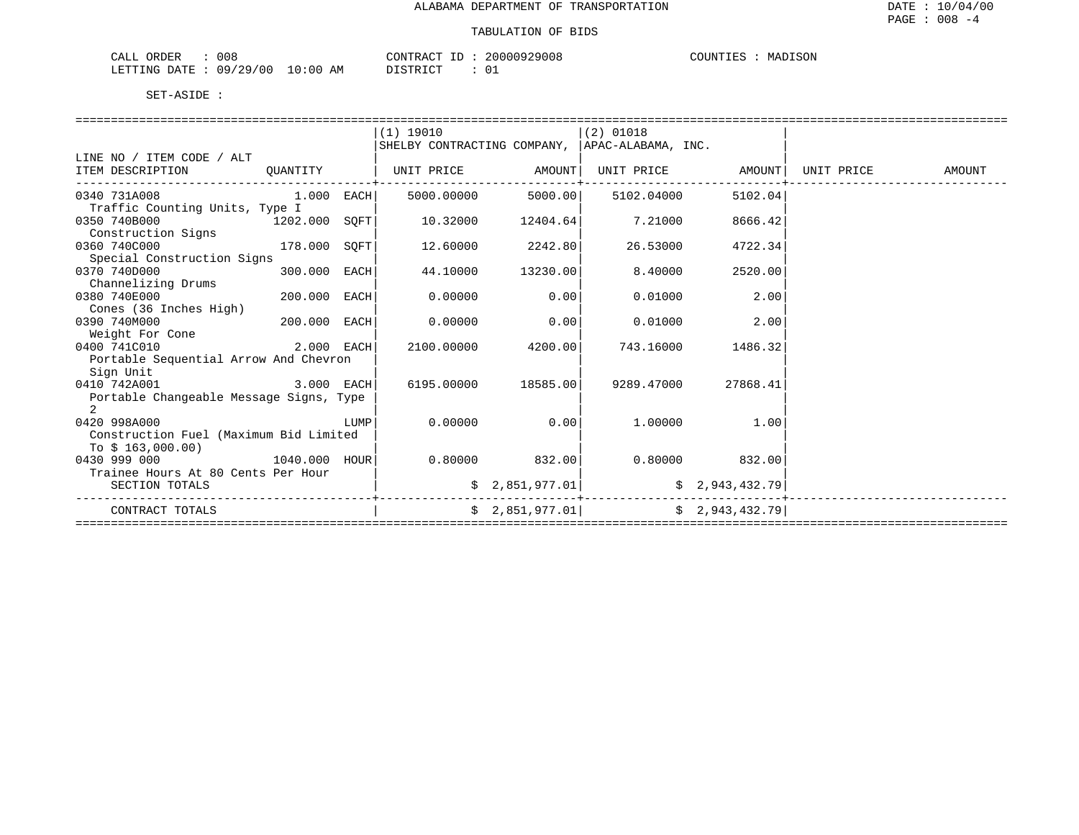| 008<br>ORDER<br>CALL |                        | CONTRACT ID | 20000929008   | MADISON<br>COUNTIES |
|----------------------|------------------------|-------------|---------------|---------------------|
| LETTING DATE         | 09/29/00<br>$10:00$ AM | DISTRICT    | $\sim$<br>ັ∪⊥ |                     |

|                                         |               |      | $(1)$ 19010       |                                   | $(2)$ 01018                                    |                  |            |        |
|-----------------------------------------|---------------|------|-------------------|-----------------------------------|------------------------------------------------|------------------|------------|--------|
|                                         |               |      |                   |                                   | SHELBY CONTRACTING COMPANY, APAC-ALABAMA, INC. |                  |            |        |
| LINE NO / ITEM CODE / ALT               |               |      |                   |                                   |                                                |                  |            |        |
| ITEM DESCRIPTION                        | QUANTITY      |      | UNIT PRICE AMOUNT |                                   | UNIT PRICE AMOUNT                              |                  | UNIT PRICE | AMOUNT |
| 0340 731A008                            | 1.000 EACH    |      |                   | ------------- <del>-</del> ------ | 5000.00000 5000.00 5102.04000                  | 5102.04          |            |        |
| Traffic Counting Units, Type I          |               |      |                   |                                   |                                                |                  |            |        |
| 0350 740B000                            | 1202.000 SOFT |      | 10.32000 12404.64 |                                   | 7.21000                                        | 8666.42          |            |        |
| Construction Signs                      |               |      |                   |                                   |                                                |                  |            |        |
| $178.000$ SQFT<br>0360 740C000          |               |      | 12.60000          | 2242.80                           | 26.53000                                       | 4722.34          |            |        |
| Special Construction Signs              |               |      |                   |                                   |                                                |                  |            |        |
| 0370 740D000                            | 300.000 EACH  |      | 44.10000          | 13230.00                          | 8.40000                                        | 2520.00          |            |        |
| Channelizing Drums                      |               |      |                   |                                   |                                                |                  |            |        |
| 0380 740E000                            | 200.000 EACH  |      | 0.00000           | 0.00                              | 0.01000                                        | 2.00             |            |        |
| Cones (36 Inches High)                  |               |      |                   |                                   |                                                |                  |            |        |
| 0390 740M000                            | 200.000 EACH  |      | 0.00000           | 0.00                              | 0.01000                                        | 2.00             |            |        |
| Weight For Cone                         |               |      |                   |                                   |                                                |                  |            |        |
| 2.000 EACH<br>0400 741C010              |               |      | 2100.00000        | 4200.00                           | 743.16000                                      | 1486.32          |            |        |
| Portable Sequential Arrow And Chevron   |               |      |                   |                                   |                                                |                  |            |        |
| Sign Unit                               |               |      |                   |                                   |                                                |                  |            |        |
| 0410 742A001                            | $3.000$ EACH  |      |                   | 6195.00000 18585.00               | 9289.47000                                     | 27868.41         |            |        |
| Portable Changeable Message Signs, Type |               |      |                   |                                   |                                                |                  |            |        |
| 2                                       |               |      |                   |                                   |                                                |                  |            |        |
| 0420 998A000                            |               | LUMP | 0.00000           | 0.00                              | 1,00000                                        | 1.00             |            |        |
| Construction Fuel (Maximum Bid Limited  |               |      |                   |                                   |                                                |                  |            |        |
| To $$163,000.00)$                       |               |      |                   |                                   |                                                |                  |            |        |
| 1040.000 HOUR<br>0430 999 000           |               |      |                   | $0.80000$ 832.00                  |                                                | $0.80000$ 832.00 |            |        |
| Trainee Hours At 80 Cents Per Hour      |               |      |                   |                                   |                                                |                  |            |        |
| SECTION TOTALS                          |               |      |                   | \$2,851,977.01                    |                                                | \$2,943,432.79   |            |        |
| CONTRACT TOTALS                         |               |      |                   | \$2,851,977.01]                   |                                                | \$2,943,432.79   |            |        |
|                                         |               |      |                   |                                   |                                                |                  |            |        |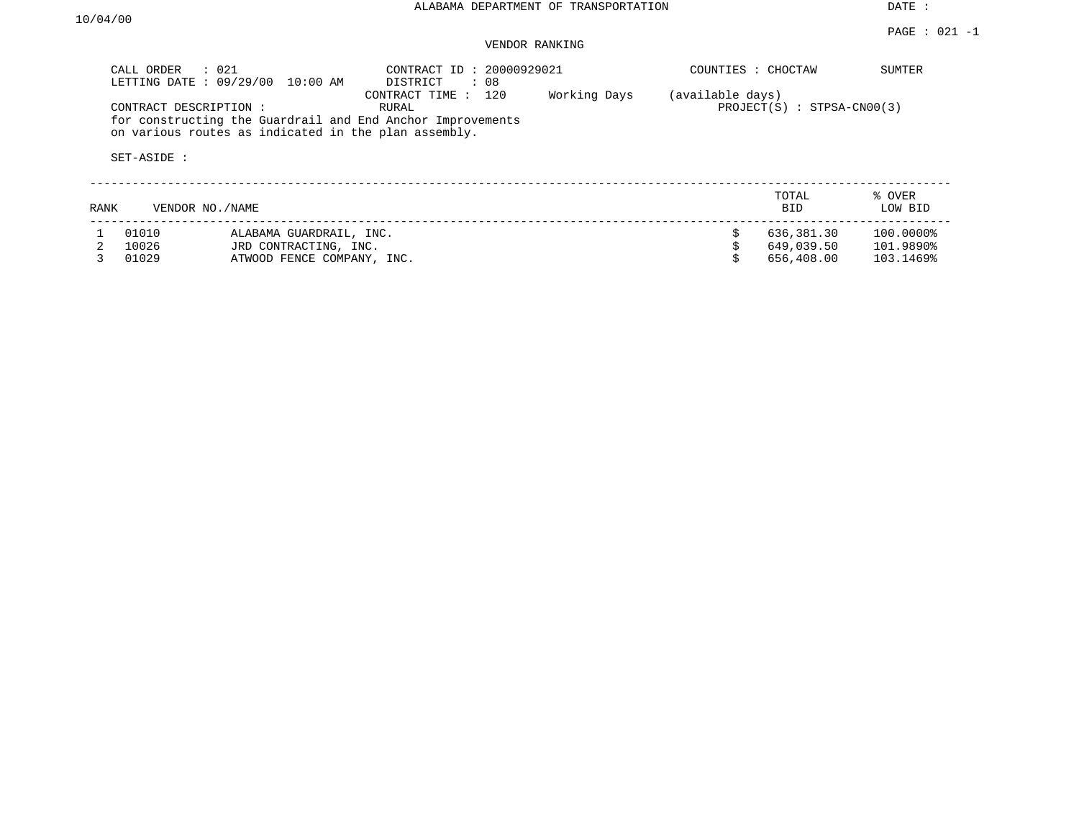DATE :

#### VENDOR RANKING

PAGE : 021 -1

|      | CALL ORDER<br>LETTING DATE: 09/29/00 | : 021<br>10:00 AM                                                                                                  | CONTRACT ID: 20000929021<br>DISTRICT<br>: 08 |              | COUNTIES : CHOCTAW |                              | <b>SUMTER</b>          |
|------|--------------------------------------|--------------------------------------------------------------------------------------------------------------------|----------------------------------------------|--------------|--------------------|------------------------------|------------------------|
|      | CONTRACT DESCRIPTION:<br>SET-ASIDE : | for constructing the Guardrail and End Anchor Improvements<br>on various routes as indicated in the plan assembly. | 120<br>CONTRACT TIME:<br>RURAL               | Working Days | (available days)   | $PROJECT(S) : STPSA-CN00(3)$ |                        |
| RANK | VENDOR NO./NAME                      |                                                                                                                    |                                              |              |                    | TOTAL<br>BID.                | % OVER<br>LOW BID      |
|      | 01010<br>10026                       | ALABAMA GUARDRAIL, INC.<br>JRD CONTRACTING, INC.                                                                   |                                              |              |                    | 636,381.30<br>649,039.50     | 100.0000%<br>101.9890% |
|      | 01029                                | ATWOOD FENCE COMPANY, INC.                                                                                         |                                              |              |                    | 656,408.00                   | 103.1469%              |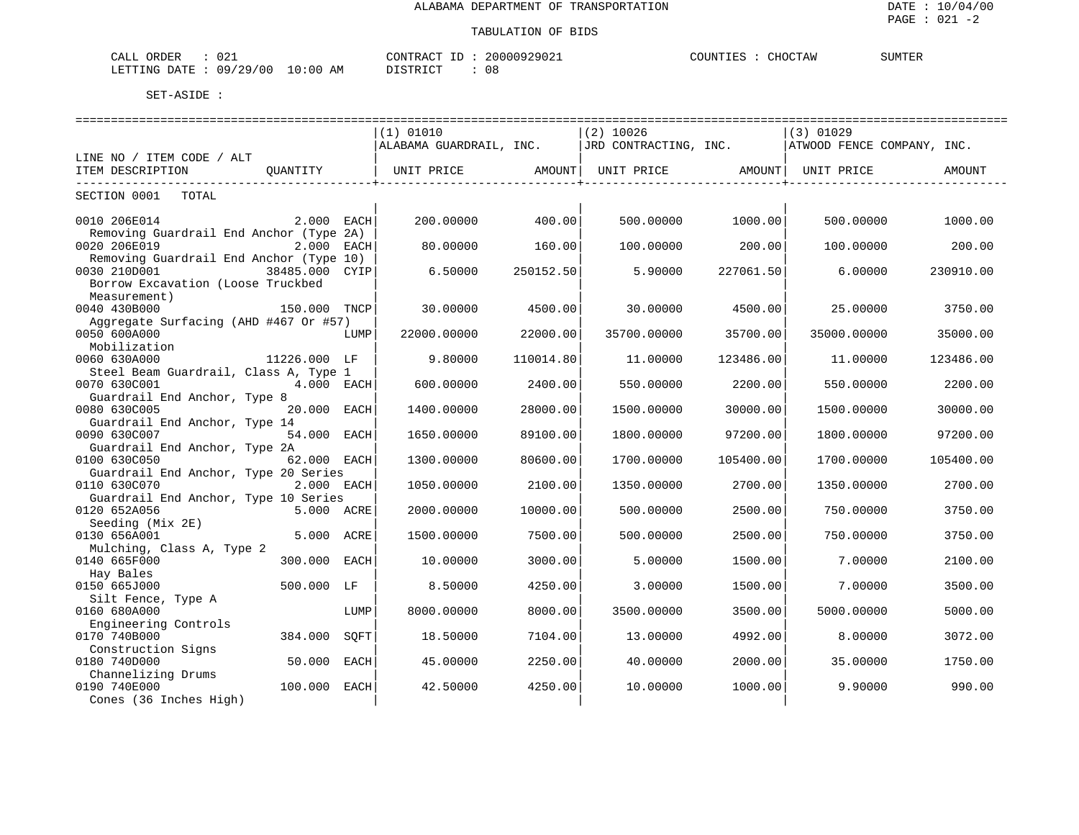| $\cap$<br>ORDER<br>CALL<br>UZ.           | 20000929021<br>CONTRACT | COUNTIES<br>CHOCTAW | SUMTER |
|------------------------------------------|-------------------------|---------------------|--------|
| : 09/29/00<br>$10:00$ AM<br>LETTING DATE | DISTRICT<br>08          |                     |        |

|                                                         |                | (1) 01010                                                                              |           | $(2)$ 10026           |                      | $(3)$ 01029                |           |
|---------------------------------------------------------|----------------|----------------------------------------------------------------------------------------|-----------|-----------------------|----------------------|----------------------------|-----------|
|                                                         |                | ALABAMA GUARDRAIL, INC.                                                                |           | JRD CONTRACTING, INC. |                      | ATWOOD FENCE COMPANY, INC. |           |
| LINE NO / ITEM CODE / ALT                               |                |                                                                                        |           |                       |                      |                            |           |
| ITEM DESCRIPTION<br>---------------------------         | OUANTITY       | UNIT PRICE                 AMOUNT    UNIT PRICE                   AMOUNT    UNIT PRICE |           |                       | ____________________ |                            | AMOUNT    |
| SECTION 0001<br>TOTAL                                   |                |                                                                                        |           |                       |                      |                            |           |
| 0010 206E014                                            | 2.000 EACH     | 200,00000                                                                              | 400.00    | 500,00000             | 1000.00              | 500.00000                  | 1000.00   |
| Removing Guardrail End Anchor (Type 2A)                 |                |                                                                                        |           |                       |                      |                            |           |
| 0020 206E019<br>Removing Guardrail End Anchor (Type 10) | 2.000 EACH     | 80.00000                                                                               | 160.00    | 100.00000             | 200.00               | 100.00000                  | 200.00    |
| 0030 210D001                                            | 38485.000 CYIP | 6.50000                                                                                | 250152.50 | 5.90000               | 227061.50            | 6.00000                    | 230910.00 |
| Borrow Excavation (Loose Truckbed<br>Measurement)       |                |                                                                                        |           |                       |                      |                            |           |
| 0040 430B000                                            | 150.000 TNCP   | 30.00000                                                                               | 4500.00   | 30.00000              | 4500.00              | 25.00000                   | 3750.00   |
| Aggregate Surfacing (AHD #467 Or #57)<br>0050 600A000   | LUMP           | 22000.00000                                                                            | 22000.00  | 35700.00000           | 35700.00             | 35000.00000                | 35000.00  |
| Mobilization                                            |                |                                                                                        |           |                       |                      |                            |           |
| 0060 630A000<br>11226.000 LF                            |                | 9.80000                                                                                | 110014.80 | 11,00000              | 123486.00            | 11,00000                   | 123486.00 |
| Steel Beam Guardrail, Class A, Type 1<br>0070 630C001   | 4.000 EACH     | 600.00000                                                                              | 2400.00   | 550.00000             | 2200.00              | 550.00000                  | 2200.00   |
| Guardrail End Anchor, Type 8                            |                |                                                                                        |           |                       |                      |                            |           |
| 20.000<br>0080 630C005                                  | EACH           | 1400.00000                                                                             | 28000.00  | 1500.00000            | 30000.00             | 1500.00000                 | 30000.00  |
| Guardrail End Anchor, Type 14<br>0090 630C007           | 54.000 EACH    | 1650.00000                                                                             | 89100.00  | 1800.00000            | 97200.00             | 1800.00000                 | 97200.00  |
| Guardrail End Anchor, Type 2A                           |                |                                                                                        |           |                       |                      |                            |           |
| 0100 630C050                                            | 62.000 EACH    | 1300.00000                                                                             | 80600.00  | 1700.00000            | 105400.00            | 1700.00000                 | 105400.00 |
| Guardrail End Anchor, Type 20 Series                    |                |                                                                                        |           |                       |                      |                            |           |
| 0110 630C070                                            | 2.000 EACH     | 1050.00000                                                                             | 2100.00   | 1350.00000            | 2700.00              | 1350.00000                 | 2700.00   |
| Guardrail End Anchor, Type 10 Series<br>0120 652A056    | 5.000 ACRE     | 2000.00000                                                                             | 10000.00  | 500.00000             | 2500.00              | 750.00000                  | 3750.00   |
| Seeding (Mix 2E)                                        |                |                                                                                        |           |                       |                      |                            |           |
| 0130 656A001                                            | 5.000 ACRE     | 1500.00000                                                                             | 7500.00   | 500.00000             | 2500.00              | 750.00000                  | 3750.00   |
| Mulching, Class A, Type 2<br>0140 665F000               | 300.000 EACH   |                                                                                        | 3000.00   |                       |                      | 7.00000                    | 2100.00   |
| Hay Bales                                               |                | 10.00000                                                                               |           | 5.00000               | 1500.00              |                            |           |
| 500.000<br>0150 665J000                                 | LF             | 8.50000                                                                                | 4250.00   | 3.00000               | 1500.00              | 7.00000                    | 3500.00   |
| Silt Fence, Type A                                      |                |                                                                                        |           |                       |                      |                            |           |
| 0160 680A000                                            | LUMP           | 8000.00000                                                                             | 8000.00   | 3500.00000            | 3500.00              | 5000.00000                 | 5000.00   |
| Engineering Controls<br>0170 740B000<br>384.000         |                |                                                                                        |           |                       | 4992.00              |                            |           |
| Construction Signs                                      | SOFT           | 18.50000                                                                               | 7104.00   | 13.00000              |                      | 8.00000                    | 3072.00   |
| 0180 740D000<br>50.000                                  | EACH           | 45.00000                                                                               | 2250.00   | 40.00000              | 2000.00              | 35.00000                   | 1750.00   |
| Channelizing Drums                                      |                |                                                                                        |           |                       |                      |                            |           |
| 0190 740E000<br>100.000                                 | EACH           | 42.50000                                                                               | 4250.00   | 10.00000              | 1000.00              | 9.90000                    | 990.00    |
| Cones (36 Inches High)                                  |                |                                                                                        |           |                       |                      |                            |           |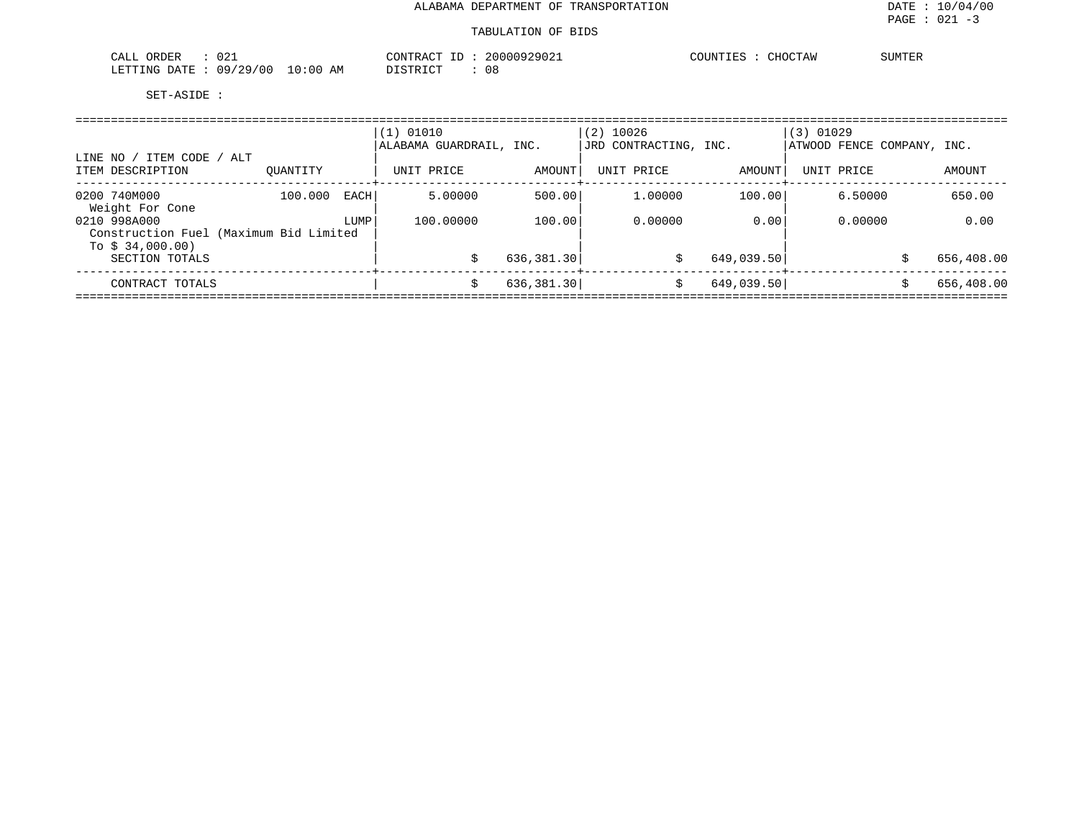| 02.                                | 20000929021    | CHOCTAW  | SUMTER |
|------------------------------------|----------------|----------|--------|
| CALL ORDER                         | CONTRACT ID:   | COUNTIES |        |
| 10:00 AM<br>LETTING DATE: 09/29/00 | DISTRICT<br>08 |          |        |

|                                                                            |          |      | (1) 01010<br>ALABAMA GUARDRAIL, INC. |            | $(2)$ 10026<br>JRD CONTRACTING, INC. |            | $(3)$ 01029<br>ATWOOD FENCE COMPANY, INC. |   |            |
|----------------------------------------------------------------------------|----------|------|--------------------------------------|------------|--------------------------------------|------------|-------------------------------------------|---|------------|
| LINE NO / ITEM CODE / ALT<br>ITEM DESCRIPTION                              | OUANTITY |      | UNIT PRICE                           | AMOUNT     | UNIT PRICE                           | AMOUNT     | UNIT PRICE                                |   | AMOUNT     |
| 0200 740M000<br>Weight For Cone                                            | 100.000  | EACH | 5.00000                              | 500.00     | 1,00000                              | 100.00     | 6.50000                                   |   | 650.00     |
| 0210 998A000<br>Construction Fuel (Maximum Bid Limited<br>To $$34,000.00)$ |          | LUMP | 100,00000                            | 100.00     | 0.00000                              | 0.00       | 0.00000                                   |   | 0.00       |
| SECTION TOTALS                                                             |          |      |                                      | 636,381.30 | S                                    | 649,039.50 |                                           | Ŝ | 656,408.00 |
| CONTRACT TOTALS                                                            |          |      |                                      | 636,381.30 |                                      | 649,039.50 |                                           |   | 656,408.00 |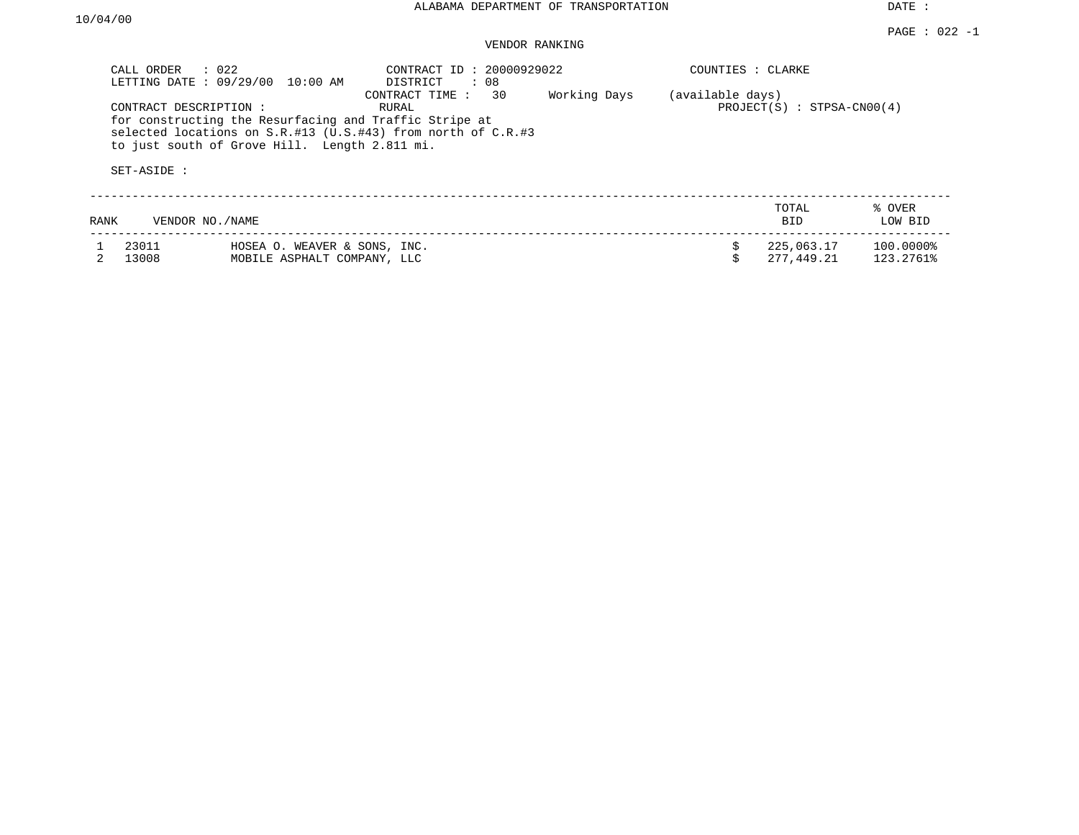DATE :

# VENDOR RANKING

|                | CALL ORDER<br>$\therefore$ 022<br>LETTING DATE : 09/29/00 10:00 AM                    | CONTRACT ID: 20000929022<br>: 08<br>DISTRICT                                                                                                                               |              | COUNTIES : CLARKE       |                              |                        |
|----------------|---------------------------------------------------------------------------------------|----------------------------------------------------------------------------------------------------------------------------------------------------------------------------|--------------|-------------------------|------------------------------|------------------------|
|                | CONTRACT DESCRIPTION:<br>to just south of Grove Hill. Length 2.811 mi.<br>SET-ASIDE : | $\overline{30}$<br>CONTRACT TIME:<br>RURAL<br>for constructing the Resurfacing and Traffic Stripe at<br>selected locations on $S.R. #13$ (U.S.#43) from north of $C.R. #3$ | Working Days | (available days)        | $PROJECT(S)$ : STPSA-CN00(4) |                        |
| RANK           | VENDOR NO. / NAME                                                                     |                                                                                                                                                                            |              |                         | TOTAL<br><b>BID</b>          | % OVER<br>LOW BID      |
| 23011<br>13008 |                                                                                       | HOSEA O. WEAVER & SONS, INC.<br>MOBILE ASPHALT COMPANY, LLC                                                                                                                |              | $\ddot{\triangleright}$ | 225,063.17<br>277,449.21     | 100.0000%<br>123.2761% |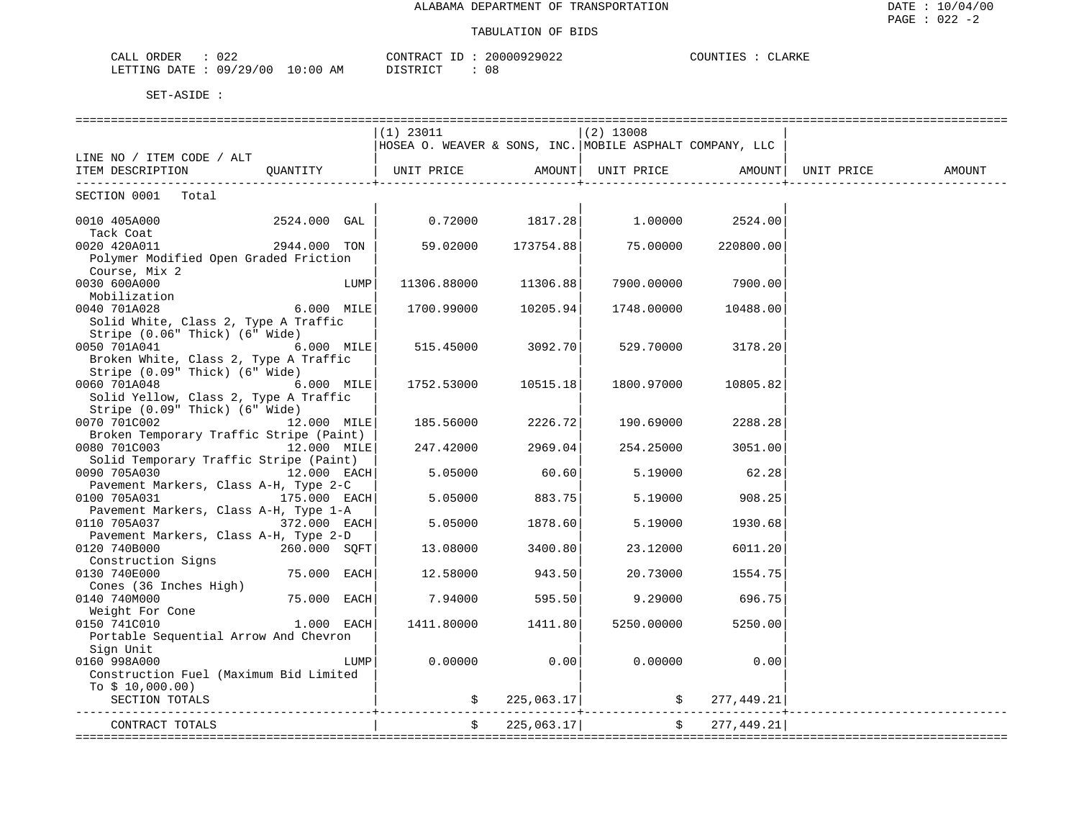| $\cap$ $\cap$ $\cap$<br>$\sim$ nnn<br>$\sim$ $ -$<br>CALI<br>ORDER<br>∪∠∠ | 20000929022<br>חידוז∩ר<br>⊬R∆∩™ | COUNT.<br>'LARKE<br>$T$ $T$ $\theta$<br>. |
|---------------------------------------------------------------------------|---------------------------------|-------------------------------------------|
| '29/00<br>. ۲. ۲. ۱<br>LETTING<br>na.<br>DATE<br>ΑM                       | 08<br>דת דפידי את<br>∸∸∽∸       |                                           |

|                                                                     |               |      | $(1)$ 23011                                              |                     | $(2)$ 13008 |                    |        |
|---------------------------------------------------------------------|---------------|------|----------------------------------------------------------|---------------------|-------------|--------------------|--------|
|                                                                     |               |      | HOSEA O. WEAVER & SONS, INC. MOBILE ASPHALT COMPANY, LLC |                     |             |                    |        |
| LINE NO / ITEM CODE / ALT                                           |               |      |                                                          |                     |             |                    |        |
| ITEM DESCRIPTION QUANTITY                                           |               |      | UNIT PRICE AMOUNT   UNIT PRICE AMOUNT   UNIT PRICE       |                     |             |                    | AMOUNT |
| SECTION 0001 Total                                                  |               |      |                                                          |                     |             |                    |        |
| 0010 405A000 $2524.000$ GAL $\vert$ 0.72000 1817.28 1.00000 2524.00 |               |      |                                                          |                     |             |                    |        |
| Tack Coat                                                           |               |      |                                                          |                     |             |                    |        |
| 0020 420A011                                                        | 2944.000 TON  |      |                                                          | 59.02000 173754.88  |             | 75.00000 220800.00 |        |
| Polymer Modified Open Graded Friction                               |               |      |                                                          |                     |             |                    |        |
| Course, Mix 2                                                       |               |      |                                                          |                     |             |                    |        |
| 0030 600A000                                                        |               | LUMP | 11306.88000 11306.88                                     |                     |             | 7900.00000 7900.00 |        |
| Mobilization                                                        |               |      |                                                          |                     |             |                    |        |
| 0040 701A028                                                        | $6.000$ MILE  |      | 1700.99000 10205.94                                      |                     | 1748.00000  | 10488.00           |        |
| Solid White, Class 2, Type A Traffic                                |               |      |                                                          |                     |             |                    |        |
| Stripe (0.06" Thick) (6" Wide)                                      |               |      |                                                          |                     |             |                    |        |
| 0050 701A041                                                        | 6.000 MILE    |      |                                                          | $515.45000$ 3092.70 | 529.70000   | 3178.20            |        |
| Broken White, Class 2, Type A Traffic                               |               |      |                                                          |                     |             |                    |        |
| Stripe (0.09" Thick) (6" Wide)                                      |               |      |                                                          |                     |             |                    |        |
| 0060 701A048 6.000 MILE                                             |               |      | 1752.53000                                               | 10515.18            | 1800.97000  | 10805.82           |        |
| Solid Yellow, Class 2, Type A Traffic                               |               |      |                                                          |                     |             |                    |        |
| Stripe (0.09" Thick) (6" Wide)                                      |               |      |                                                          |                     |             |                    |        |
| 0070 701C002                                                        | 12.000 MILE   |      | $185.56000$ 2226.72                                      |                     | 190.69000   | 2288.28            |        |
| Broken Temporary Traffic Stripe (Paint)                             |               |      |                                                          |                     |             |                    |        |
| 0080 701C003 12.000 MILE                                            |               |      |                                                          | $247.42000$ 2969.04 | 254.25000   | 3051.00            |        |
| Solid Temporary Traffic Stripe (Paint)                              |               |      |                                                          |                     |             |                    |        |
| 0090 705A030                                                        | $12.000$ EACH |      |                                                          | $5.05000$ 60.60     | 5.19000     | 62.28              |        |
| Pavement Markers, Class A-H, Type 2-C                               |               |      |                                                          |                     |             |                    |        |
| 0100 705A031 175.000 EACH 5.05000 883.75                            |               |      |                                                          |                     | 5.19000     | 908.25             |        |
| Pavement Markers, Class A-H, Type 1-A                               |               |      |                                                          |                     |             |                    |        |
| 0110 705A037                                                        | 372.000 EACH  |      | 5.05000                                                  | 1878.60             | 5.19000     | 1930.68            |        |
| Pavement Markers, Class A-H, Type 2-D                               |               |      |                                                          |                     |             |                    |        |
| 0120 740B000                                                        | 260.000 SOFT  |      |                                                          | 13.08000 3400.80    | 23.12000    | 6011.20            |        |
| Construction Signs                                                  |               |      |                                                          |                     |             |                    |        |
| 0130 740E000                                                        | 75.000 EACH   |      | $12.58000$ 943.50                                        |                     | 20.73000    | 1554.75            |        |
| Cones (36 Inches High)                                              |               |      |                                                          |                     |             |                    |        |
| 0140 740M000                                                        | $75.000$ EACH |      |                                                          | 7.94000 595.50      | 9.29000     | 696.75             |        |
|                                                                     |               |      |                                                          |                     |             |                    |        |
| Weight For Cone<br>150 741c010<br>0150 741C010                      | $1.000$ EACH  |      | 1411.80000 1411.80                                       |                     |             | 5250.00000 5250.00 |        |
|                                                                     |               |      |                                                          |                     |             |                    |        |
| Portable Sequential Arrow And Chevron                               |               |      |                                                          |                     |             |                    |        |
| Sign Unit<br>0160 998A000                                           |               |      | $0.00000$ 0.00                                           |                     |             |                    |        |
|                                                                     |               | LUMP |                                                          |                     |             | $0.00000$ 0.00     |        |
| Construction Fuel (Maximum Bid Limited                              |               |      |                                                          |                     |             |                    |        |
| To $$10,000.00)$                                                    |               |      |                                                          |                     |             |                    |        |
| SECTION TOTALS                                                      |               |      |                                                          |                     |             |                    |        |
| CONTRACT TOTALS                                                     |               |      |                                                          | \$225,063.17]       |             | \$ 277,449.21]     |        |
|                                                                     |               |      |                                                          |                     |             |                    |        |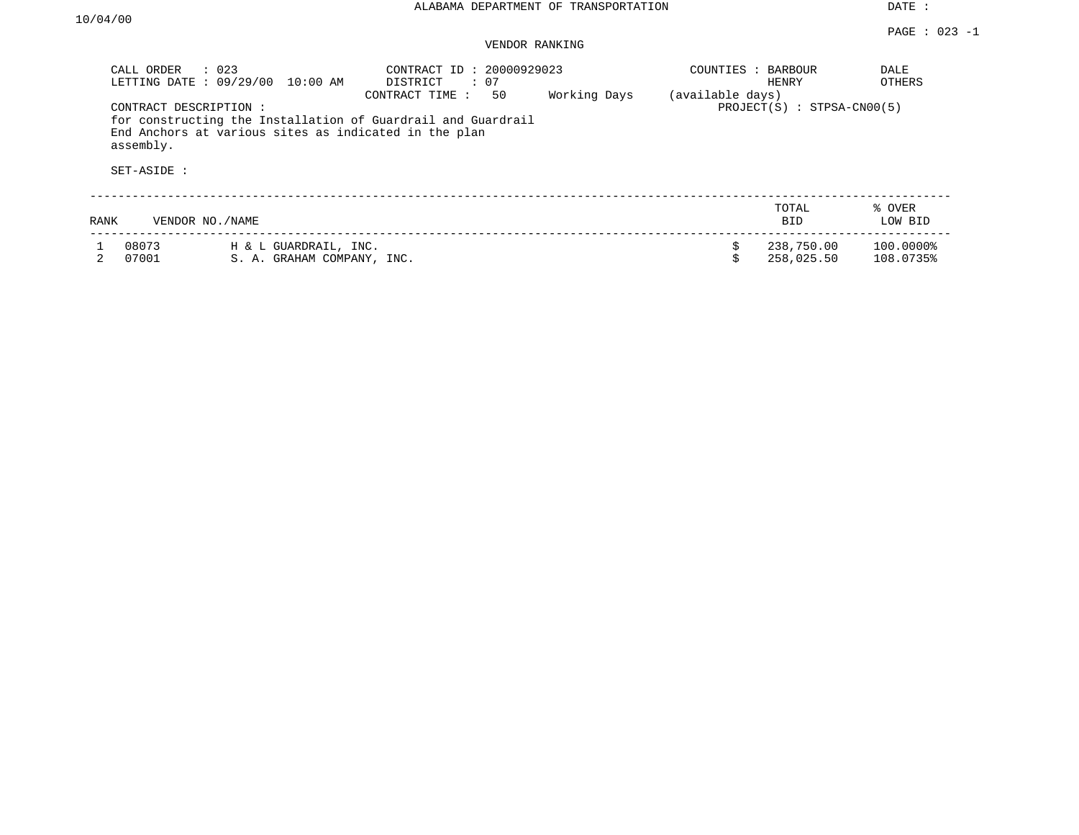DATE :

### VENDOR RANKING

| CALL ORDER<br>LETTING DATE: 09/29/00 | : 023<br>10:00 AM                                     | CONTRACT ID: 20000929023<br>DISTRICT<br>: 07                                                         |                  | COUNTIES : BARBOUR<br>HENRY  | DALE<br>OTHERS              |
|--------------------------------------|-------------------------------------------------------|------------------------------------------------------------------------------------------------------|------------------|------------------------------|-----------------------------|
| CONTRACT DESCRIPTION :<br>assembly.  | End Anchors at various sites as indicated in the plan | 50<br>Working Days<br>CONTRACT TIME:<br>for constructing the Installation of Guardrail and Guardrail | (available days) | $PROJECT(S)$ : STPSA-CN00(5) |                             |
| SET-ASIDE :                          |                                                       |                                                                                                      |                  |                              |                             |
| RANK                                 | VENDOR NO./NAME                                       |                                                                                                      |                  | TOTAL<br><b>BID</b>          | % OVER<br>LOW BID           |
| 08073<br>07001                       | H & L GUARDRAIL, INC.<br>S. A. GRAHAM COMPANY, INC.   |                                                                                                      | Ŝ.               | 238,750.00<br>258,025.50     | $100.0000$ $8$<br>108.0735% |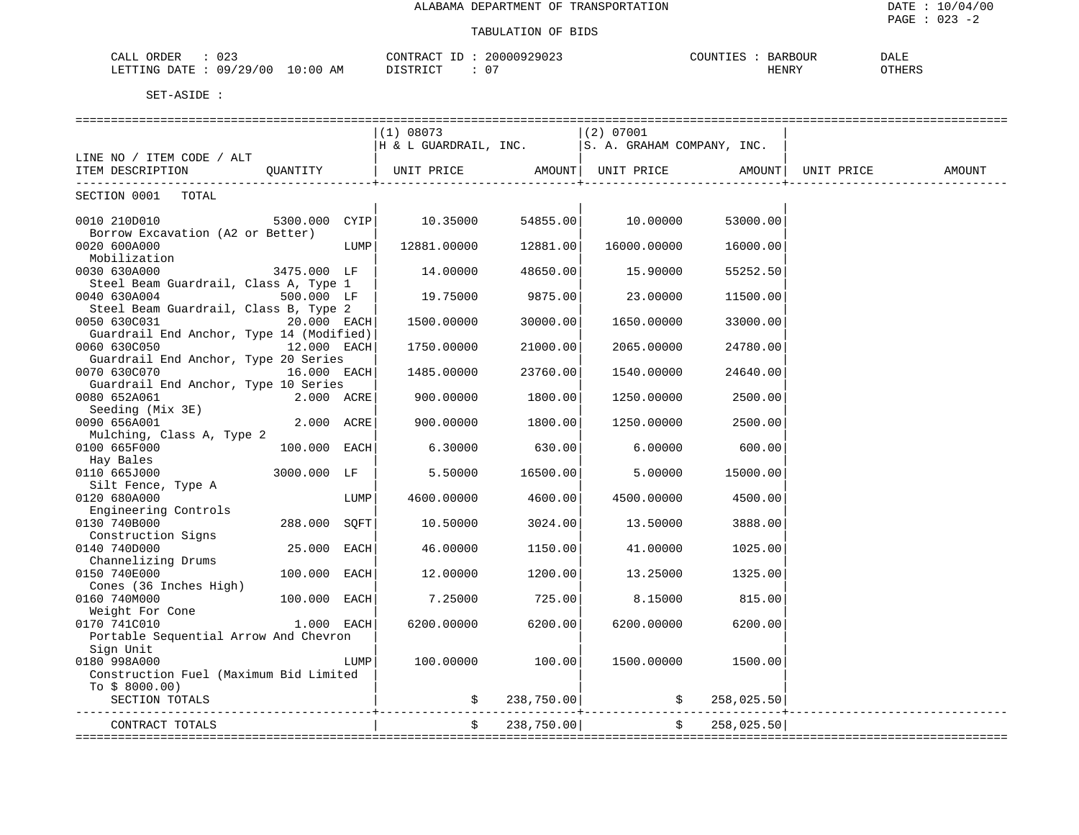#### TABULATION OF BIDS

| $\sim$ $\sim$ $\sim$<br>ORDER<br>CALL<br>JZ            | 20000929023<br>$\sim$<br>סידיזו∩ר<br>L'RAC. | COUNTIES<br><b>BARBOUR</b> | DALE   |
|--------------------------------------------------------|---------------------------------------------|----------------------------|--------|
| 10:00<br>09/<br>/29/00<br>LETTING<br>∧M<br>DATE<br>AP. | דת לידי את ה<br>--------                    | HENRY                      | OTHERS |

| LINE NO / ITEM CODE / ALT                                                |                |      | =============================<br> (1) 08073      |               | ===================<br>$ (2)$ 07001<br>$H$ & L GUARDRAIL, INC. $\begin{vmatrix} 1 & 0 & 0 & 0 \\ 0 & 1 & 0 & 0 \\ 0 & 0 & 0 & 0 \\ 0 & 0 & 0 & 0 \end{vmatrix}$ and $\begin{vmatrix} 1 & 0 & 0 & 0 \\ 0 & 1 & 0 & 0 \\ 0 & 0 & 0 & 0 \\ 0 & 0 & 0 & 0 \end{vmatrix}$ and $\begin{vmatrix} 1 & 0 & 0 & 0 \\ 0 & 1 & 0 & 0 \\ 0 & 0 & 0 & 0 \\ 0 & 0 & 0 & 0 \end{vmatrix}$ and |                    |        |
|--------------------------------------------------------------------------|----------------|------|--------------------------------------------------|---------------|-------------------------------------------------------------------------------------------------------------------------------------------------------------------------------------------------------------------------------------------------------------------------------------------------------------------------------------------------------------------------------|--------------------|--------|
| ITEM DESCRIPTION                                                         | QUANTITY       |      | UNIT PRICE AMOUNT  UNIT PRICE AMOUNT  UNIT PRICE |               |                                                                                                                                                                                                                                                                                                                                                                               |                    | AMOUNT |
| SECTION 0001 TOTAL                                                       |                |      |                                                  |               |                                                                                                                                                                                                                                                                                                                                                                               |                    |        |
| 0010 210D010 5300.000 CYIP<br>Borrow Excavation (A2 or Better)           |                |      | 10.35000                                         |               | 54855.00   10.00000                                                                                                                                                                                                                                                                                                                                                           | 53000.00           |        |
| 0020 600A000<br>Mobilization                                             |                | LUMP | 12881.00000                                      | 12881.00      | 16000.00000                                                                                                                                                                                                                                                                                                                                                                   | 16000.00           |        |
| 0030 630A000<br>Steel Beam Guardrail, Class A, Type 1                    | 3475.000 LF    |      | 14.00000                                         | 48650.00      | 15.90000                                                                                                                                                                                                                                                                                                                                                                      | 55252.50           |        |
| 0040 630A004<br>Steel Beam Guardrail, Class B, Type 2                    | 500.000 LF     |      | 19.75000                                         | 9875.00       | 23.00000                                                                                                                                                                                                                                                                                                                                                                      | 11500.00           |        |
| 0050 630C031                                                             | $20.000$ EACH  |      | 1500.00000                                       | 30000.00      | 1650.00000                                                                                                                                                                                                                                                                                                                                                                    | 33000.00           |        |
| Guardrail End Anchor, Type 14 (Modified)<br>0060 630C050                 | 12.000 EACH    |      | 1750.00000                                       | 21000.00      | 2065.00000                                                                                                                                                                                                                                                                                                                                                                    | 24780.00           |        |
| Guardrail End Anchor, Type 20 Series<br>0070 630C070                     | 16.000 EACH    |      | 1485.00000                                       | 23760.00      | 1540.00000                                                                                                                                                                                                                                                                                                                                                                    | 24640.00           |        |
| Guardrail End Anchor, Type 10 Series<br>0080 652A061                     | 2.000 ACRE     |      | 900.00000                                        | 1800.00       | 1250.00000                                                                                                                                                                                                                                                                                                                                                                    | 2500.00            |        |
| Seeding (Mix 3E)<br>0090 656A001                                         | 2.000 ACRE     |      | 900.00000                                        | 1800.00       | 1250.00000                                                                                                                                                                                                                                                                                                                                                                    | 2500.00            |        |
| Mulching, Class A, Type 2<br>0100 665F000 block                          | $100.000$ EACH |      | 6.30000                                          | 630.00        | 6.00000                                                                                                                                                                                                                                                                                                                                                                       | 600.00             |        |
|                                                                          |                |      | 5.50000                                          | 16500.00      | 5.00000                                                                                                                                                                                                                                                                                                                                                                       | 15000.00           |        |
| Silt Fence, Type A<br>0120 680A000                                       |                | LUMP | 4600.00000                                       | 4600.00       | 4500.00000                                                                                                                                                                                                                                                                                                                                                                    | 4500.00            |        |
| Engineering Controls<br>0130 740B000                                     | 288.000 SQFT   |      | 10.50000                                         | 3024.00       | 13.50000                                                                                                                                                                                                                                                                                                                                                                      | 3888.00            |        |
| Construction Signs<br>0140 740D000                                       | 25.000 EACH    |      | 46.00000                                         | 1150.00       | 41.00000                                                                                                                                                                                                                                                                                                                                                                      | 1025.00            |        |
| Channelizing Drums<br>0150 740E000                                       | $100.000$ EACH |      | 12.00000                                         | 1200.00       | 13.25000                                                                                                                                                                                                                                                                                                                                                                      | 1325.00            |        |
| Cones (36 Inches High)<br>0160 740M000                                   | 100.000 EACH   |      | 7.25000                                          | 725.00        | 8.15000                                                                                                                                                                                                                                                                                                                                                                       | 815.00             |        |
| Weight For Cone<br>0170 741C010<br>Portable Sequential Arrow And Chevron | $1.000$ EACH   |      | 6200.00000                                       | 6200.00       | 6200.00000                                                                                                                                                                                                                                                                                                                                                                    | 6200.00            |        |
| Sign Unit<br>0180 998A000<br>Construction Fuel (Maximum Bid Limited      |                | LUMP | 100.00000                                        | 100.00        |                                                                                                                                                                                                                                                                                                                                                                               | 1500.00000 1500.00 |        |
| To $$8000.00)$                                                           |                |      |                                                  |               |                                                                                                                                                                                                                                                                                                                                                                               |                    |        |
| CONTRACT TOTALS                                                          |                |      |                                                  | \$238,750.00] |                                                                                                                                                                                                                                                                                                                                                                               | \$ 258,025.50      |        |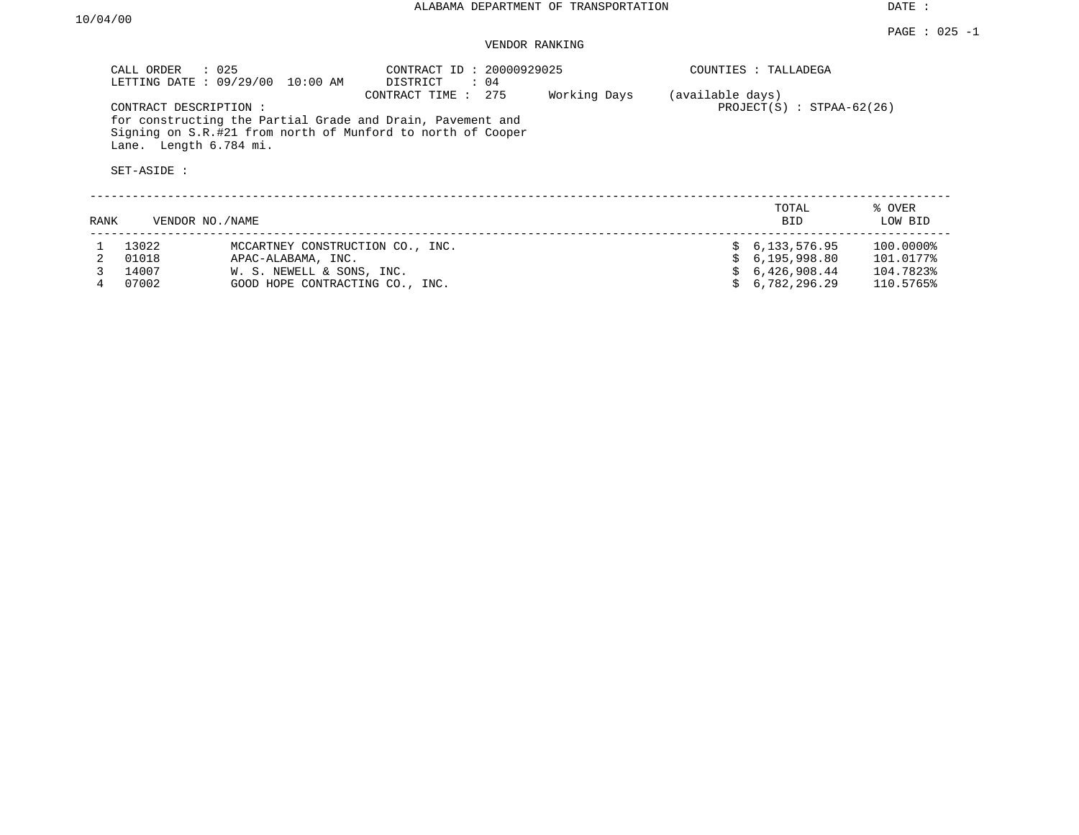DATE :

## VENDOR RANKING

|                                                                                                                                                                                                                                                                                                       | CALL ORDER<br>$\therefore$ 025 |                                                                                     | CONTRACT ID: 20000929025 |  |                                                 | COUNTIES : TALLADEGA                         |                                     |  |
|-------------------------------------------------------------------------------------------------------------------------------------------------------------------------------------------------------------------------------------------------------------------------------------------------------|--------------------------------|-------------------------------------------------------------------------------------|--------------------------|--|-------------------------------------------------|----------------------------------------------|-------------------------------------|--|
| LETTING DATE: 09/29/00<br>10:00 AM<br>DISTRICT<br>$\colon$ 04<br>275<br>Working Days<br>CONTRACT TIME:<br>CONTRACT DESCRIPTION:<br>for constructing the Partial Grade and Drain, Pavement and<br>Signing on S.R.#21 from north of Munford to north of Cooper<br>Lane. Length 6.784 mi.<br>SET-ASIDE : |                                |                                                                                     |                          |  | (available days)<br>$PROJECT(S)$ : STPAA-62(26) |                                              |                                     |  |
| RANK                                                                                                                                                                                                                                                                                                  | VENDOR NO./NAME                |                                                                                     |                          |  |                                                 | TOTAL<br>BID.                                | % OVER<br>LOW BID                   |  |
|                                                                                                                                                                                                                                                                                                       | 13022<br>01018<br>14007        | MCCARTNEY CONSTRUCTION CO., INC.<br>APAC-ALABAMA, INC.<br>W. S. NEWELL & SONS, INC. |                          |  |                                                 | 6,133,576.95<br>6,195,998.80<br>6,426,908.44 | 100.0000%<br>101.0177%<br>104.7823% |  |
|                                                                                                                                                                                                                                                                                                       | 07002                          | GOOD HOPE CONTRACTING CO., INC.                                                     |                          |  |                                                 | 6,782,296.29                                 | 110.5765%                           |  |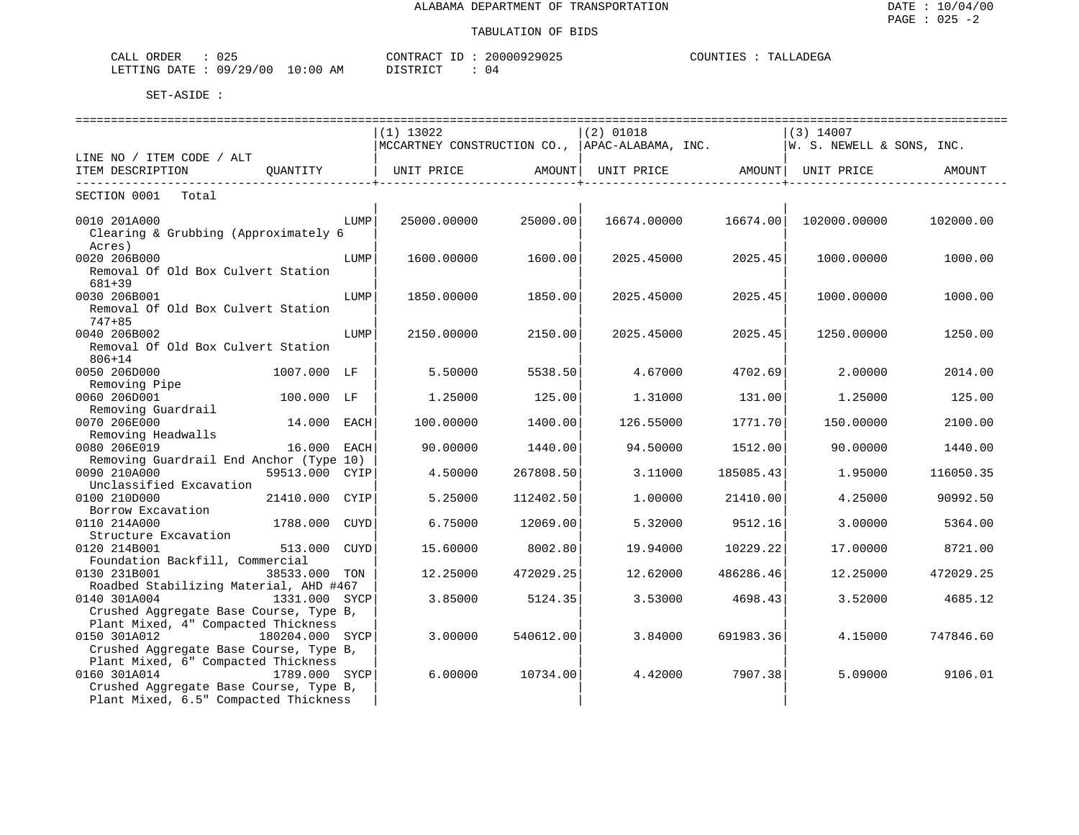| 025<br>ORDER<br>CALL     |             | CONTRACT             | 20000929025 | COUNTIES<br>TALLADEGA |
|--------------------------|-------------|----------------------|-------------|-----------------------|
| 09/29/00<br>LETTING DATE | 10:00<br>АM | DISTRICT<br>ມ⊥ມ⊥ນ⊥∪⊥ |             |                       |

|                                                                                                                                                         | $(1)$ 13022 |           | $(2)$ 01018                                    |           | $(3)$ 14007               |           |
|---------------------------------------------------------------------------------------------------------------------------------------------------------|-------------|-----------|------------------------------------------------|-----------|---------------------------|-----------|
| LINE NO / ITEM CODE / ALT                                                                                                                               |             |           | MCCARTNEY CONSTRUCTION CO., APAC-ALABAMA, INC. |           | W. S. NEWELL & SONS, INC. |           |
| ITEM DESCRIPTION<br>OUANTITY                                                                                                                            | UNIT PRICE  | AMOUNT    | UNIT PRICE AMOUNT                              |           | UNIT PRICE                | AMOUNT    |
| SECTION 0001<br>Total                                                                                                                                   |             |           |                                                |           |                           |           |
| 0010 201A000<br>LUMP<br>Clearing & Grubbing (Approximately 6<br>Acres)                                                                                  | 25000.00000 | 25000.00  | 16674.00000                                    | 16674.00  | 102000.00000              | 102000.00 |
| 0020 206B000<br>LUMP<br>Removal Of Old Box Culvert Station<br>681+39                                                                                    | 1600.00000  | 1600.00   | 2025.45000                                     | 2025.45   | 1000.00000                | 1000.00   |
| 0030 206B001<br>LUMP<br>Removal Of Old Box Culvert Station<br>$747 + 85$                                                                                | 1850.00000  | 1850.00   | 2025.45000                                     | 2025.45   | 1000.00000                | 1000.00   |
| 0040 206B002<br>LUMP<br>Removal Of Old Box Culvert Station<br>$806 + 14$                                                                                | 2150.00000  | 2150.00   | 2025.45000                                     | 2025.45   | 1250.00000                | 1250.00   |
| 0050 206D000<br>1007.000 LF<br>Removing Pipe                                                                                                            | 5.50000     | 5538.50   | 4.67000                                        | 4702.69   | 2,00000                   | 2014.00   |
| 0060 206D001<br>100.000 LF                                                                                                                              | 1.25000     | 125.00    | 1,31000                                        | 131.00    | 1.25000                   | 125.00    |
| Removing Guardrail<br>0070 206E000<br>14.000 EACH                                                                                                       | 100.00000   | 1400.00   | 126.55000                                      | 1771.70   | 150.00000                 | 2100.00   |
| Removing Headwalls<br>0080 206E019<br>16.000 EACH                                                                                                       | 90.00000    | 1440.00   | 94.50000                                       | 1512.00   | 90.00000                  | 1440.00   |
| Removing Guardrail End Anchor (Type 10)<br>0090 210A000<br>59513.000 CYIP<br>Unclassified Excavation                                                    | 4.50000     | 267808.50 | 3.11000                                        | 185085.43 | 1.95000                   | 116050.35 |
| 0100 210D000<br>21410.000 CYIP<br>Borrow Excavation                                                                                                     | 5.25000     | 112402.50 | 1,00000                                        | 21410.00  | 4.25000                   | 90992.50  |
| 0110 214A000<br>1788.000 CUYD<br>Structure Excavation                                                                                                   | 6.75000     | 12069.00  | 5.32000                                        | 9512.16   | 3.00000                   | 5364.00   |
| 0120 214B001<br>513.000 CUYD<br>Foundation Backfill, Commercial                                                                                         | 15.60000    | 8002.80   | 19.94000                                       | 10229.22  | 17.00000                  | 8721.00   |
| 0130 231B001<br>38533.000 TON<br>Roadbed Stabilizing Material, AHD #467                                                                                 | 12.25000    | 472029.25 | 12.62000                                       | 486286.46 | 12.25000                  | 472029.25 |
| 0140 301A004<br>1331.000 SYCP<br>Crushed Aggregate Base Course, Type B,                                                                                 | 3.85000     | 5124.35   | 3.53000                                        | 4698.43   | 3.52000                   | 4685.12   |
| Plant Mixed, 4" Compacted Thickness<br>0150 301A012<br>180204.000 SYCP<br>Crushed Aggregate Base Course, Type B,                                        | 3,00000     | 540612.00 | 3.84000                                        | 691983.36 | 4.15000                   | 747846.60 |
| Plant Mixed, 6" Compacted Thickness<br>0160 301A014<br>1789.000 SYCP<br>Crushed Aggregate Base Course, Type B,<br>Plant Mixed, 6.5" Compacted Thickness | 6,00000     | 10734.00  | 4.42000                                        | 7907.38   | 5.09000                   | 9106.01   |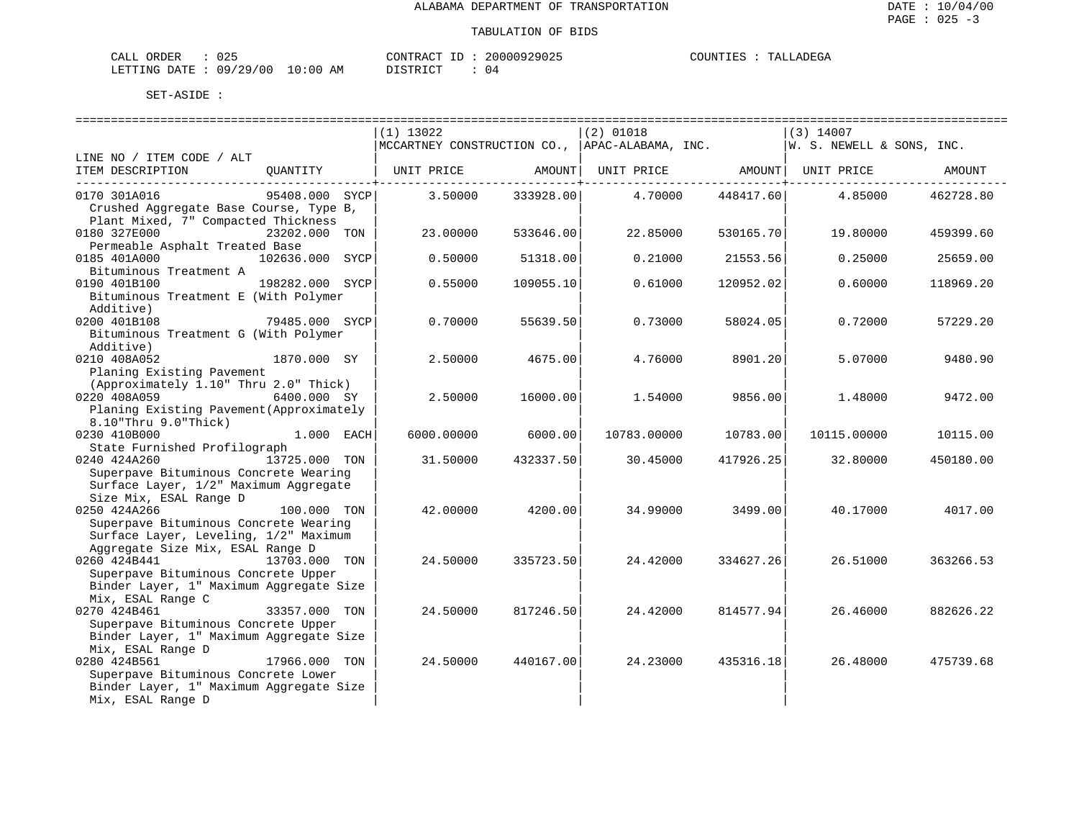| CALL ORDER                       | 025 | CONTRACT ID: | 20000929025 | COUNTIES | TALLADEGA |
|----------------------------------|-----|--------------|-------------|----------|-----------|
| LETTING DATE : 09/29/00 10:00 AM |     | DISTRICT     | 04          |          |           |

|                                          | $(1)$ 13022                 |           | $(2)$ 01018        |           | $(3)$ 14007               |           |  |
|------------------------------------------|-----------------------------|-----------|--------------------|-----------|---------------------------|-----------|--|
|                                          | MCCARTNEY CONSTRUCTION CO., |           | APAC-ALABAMA, INC. |           | W. S. NEWELL & SONS, INC. |           |  |
| LINE NO / ITEM CODE / ALT                |                             |           |                    |           |                           |           |  |
| ITEM DESCRIPTION<br>QUANTITY             | UNIT PRICE                  | AMOUNT    | UNIT PRICE         | AMOUNT    | UNIT PRICE                | AMOUNT    |  |
|                                          |                             |           |                    |           |                           |           |  |
| 0170 301A016<br>95408.000 SYCP           | 3.50000                     | 333928.00 | 4.70000            | 448417.60 | 4.85000                   | 462728.80 |  |
| Crushed Aggregate Base Course, Type B,   |                             |           |                    |           |                           |           |  |
| Plant Mixed, 7" Compacted Thickness      |                             |           |                    |           |                           |           |  |
| 0180 327E000<br>23202.000 TON            | 23.00000                    | 533646.00 | 22.85000           | 530165.70 | 19.80000                  | 459399.60 |  |
| Permeable Asphalt Treated Base           |                             |           |                    |           |                           |           |  |
| 0185 401A000<br>102636.000 SYCP          | 0.50000                     | 51318.00  | 0.21000            | 21553.56  | 0.25000                   | 25659.00  |  |
| Bituminous Treatment A                   |                             |           |                    |           |                           |           |  |
| 0190 401B100<br>198282.000 SYCP          | 0.55000                     | 109055.10 | 0.61000            | 120952.02 | 0.60000                   | 118969.20 |  |
| Bituminous Treatment E (With Polymer     |                             |           |                    |           |                           |           |  |
| Additive)                                |                             |           |                    |           |                           |           |  |
| 0200 401B108<br>79485.000 SYCP           | 0.70000                     | 55639.50  | 0.73000            | 58024.05  | 0.72000                   | 57229.20  |  |
| Bituminous Treatment G (With Polymer     |                             |           |                    |           |                           |           |  |
| Additive)                                |                             |           |                    |           |                           |           |  |
| 0210 408A052<br>1870.000 SY              | 2.50000                     | 4675.00   | 4.76000            | 8901.20   | 5.07000                   | 9480.90   |  |
| Planing Existing Pavement                |                             |           |                    |           |                           |           |  |
| (Approximately 1.10" Thru 2.0" Thick)    |                             |           |                    |           |                           |           |  |
| 0220 408A059<br>6400.000 SY              | 2.50000                     | 16000.00  | 1.54000            | 9856.00   | 1.48000                   | 9472.00   |  |
| Planing Existing Pavement (Approximately |                             |           |                    |           |                           |           |  |
| 8.10"Thru 9.0"Thick)                     |                             |           |                    |           |                           |           |  |
| 0230 410B000<br>$1.000$ EACH             | 6000.00000                  | 6000.00   | 10783.00000        | 10783.00  | 10115.00000               | 10115.00  |  |
| State Furnished Profilograph             |                             |           |                    |           |                           |           |  |
| 0240 424A260<br>13725.000 TON            | 31.50000                    | 432337.50 | 30.45000           | 417926.25 | 32.80000                  | 450180.00 |  |
| Superpave Bituminous Concrete Wearing    |                             |           |                    |           |                           |           |  |
| Surface Layer, 1/2" Maximum Aggregate    |                             |           |                    |           |                           |           |  |
| Size Mix, ESAL Range D                   |                             |           |                    |           |                           |           |  |
| 0250 424A266<br>100.000 TON              | 42.00000                    | 4200.00   | 34.99000           | 3499.00   | 40.17000                  | 4017.00   |  |
| Superpave Bituminous Concrete Wearing    |                             |           |                    |           |                           |           |  |
| Surface Layer, Leveling, 1/2" Maximum    |                             |           |                    |           |                           |           |  |
| Aggregate Size Mix, ESAL Range D         |                             |           |                    |           |                           |           |  |
| 0260 424B441<br>13703.000 TON            | 24.50000                    | 335723.50 | 24.42000           | 334627.26 | 26.51000                  | 363266.53 |  |
| Superpave Bituminous Concrete Upper      |                             |           |                    |           |                           |           |  |
| Binder Layer, 1" Maximum Aggregate Size  |                             |           |                    |           |                           |           |  |
| Mix, ESAL Range C                        |                             |           |                    |           |                           |           |  |
| 0270 424B461<br>33357.000 TON            | 24.50000                    | 817246.50 | 24.42000           | 814577.94 | 26.46000                  | 882626.22 |  |
| Superpave Bituminous Concrete Upper      |                             |           |                    |           |                           |           |  |
| Binder Layer, 1" Maximum Aggregate Size  |                             |           |                    |           |                           |           |  |
| Mix, ESAL Range D                        |                             |           |                    |           |                           |           |  |
| 0280 424B561<br>17966.000 TON            | 24.50000                    | 440167.00 | 24.23000           | 435316.18 | 26.48000                  | 475739.68 |  |
| Superpave Bituminous Concrete Lower      |                             |           |                    |           |                           |           |  |
| Binder Layer, 1" Maximum Aggregate Size  |                             |           |                    |           |                           |           |  |
| Mix, ESAL Range D                        |                             |           |                    |           |                           |           |  |
|                                          |                             |           |                    |           |                           |           |  |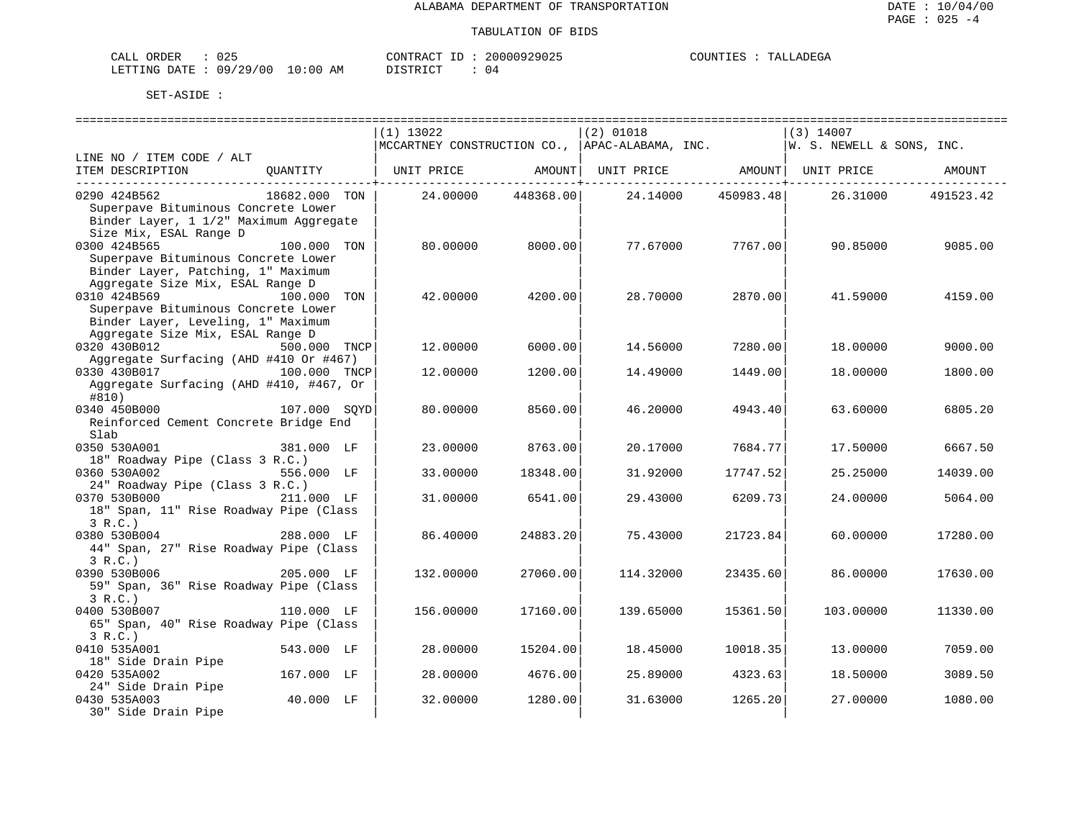| CALL ORDER                      |  |          | CONTRACT ID: 20000929025 |  | COUNTIES : TALLADEGA |
|---------------------------------|--|----------|--------------------------|--|----------------------|
| LETTING DATE: 09/29/00 10:00 AM |  | DISTRICT | 04                       |  |                      |

|                                                  |               | $(1)$ 13022 |           | $(2)$ 01018                                    |                        | $(3)$ 14007               |                    |
|--------------------------------------------------|---------------|-------------|-----------|------------------------------------------------|------------------------|---------------------------|--------------------|
|                                                  |               |             |           | MCCARTNEY CONSTRUCTION CO., APAC-ALABAMA, INC. |                        | W. S. NEWELL & SONS, INC. |                    |
| LINE NO / ITEM CODE / ALT                        |               |             |           |                                                |                        |                           |                    |
| ITEM DESCRIPTION                                 |               |             |           |                                                |                        |                           |                    |
|                                                  |               |             |           |                                                | ---------------+------ |                           |                    |
| 0290 424B562                                     | 18682.000 TON | 24.00000    | 448368.00 | 24.14000 450983.48                             |                        |                           | 26.31000 491523.42 |
| Superpave Bituminous Concrete Lower              |               |             |           |                                                |                        |                           |                    |
| Binder Layer, 1 1/2" Maximum Aggregate           |               |             |           |                                                |                        |                           |                    |
| Size Mix, ESAL Range D                           |               |             |           |                                                |                        |                           |                    |
| 0300 424B565                                     | 100.000 TON   | 80.00000    | 8000.00   | 77.67000                                       | 7767.00                | 90.85000                  | 9085.00            |
| Superpave Bituminous Concrete Lower              |               |             |           |                                                |                        |                           |                    |
| Binder Layer, Patching, 1" Maximum               |               |             |           |                                                |                        |                           |                    |
| Aggregate Size Mix, ESAL Range D<br>0310 424B569 | $100.000$ TON | 42.00000    | 4200.00   | 28.70000                                       | 2870.00                | 41.59000                  | 4159.00            |
| Superpave Bituminous Concrete Lower              |               |             |           |                                                |                        |                           |                    |
| Binder Layer, Leveling, 1" Maximum               |               |             |           |                                                |                        |                           |                    |
| Aggregate Size Mix, ESAL Range D                 |               |             |           |                                                |                        |                           |                    |
| 0320 430B012                                     | 500.000 TNCP  | 12,00000    | 6000.00   | 14.56000                                       | 7280.00                | 18,00000                  | 9000.00            |
| Aggregate Surfacing (AHD #410 Or #467)           |               |             |           |                                                |                        |                           |                    |
| 0330 430B017 100.000 TNCP                        |               | 12.00000    | 1200.00   | 14.49000                                       | 1449.00                | 18.00000                  | 1800.00            |
| Aggregate Surfacing (AHD #410, #467, Or          |               |             |           |                                                |                        |                           |                    |
| #810)                                            |               |             |           |                                                |                        |                           |                    |
| 0340 450B000                                     | 107.000 SQYD  | 80.00000    | 8560.00   | 46.20000                                       | 4943.40                | 63.60000                  | 6805.20            |
| Reinforced Cement Concrete Bridge End            |               |             |           |                                                |                        |                           |                    |
| Slab                                             |               |             |           |                                                |                        |                           |                    |
| 0350 530A001                                     | 381.000 LF    | 23.00000    | 8763.00   | 20.17000                                       | 7684.77                | 17.50000                  | 6667.50            |
| 18" Roadway Pipe (Class 3 R.C.)                  |               |             |           |                                                |                        |                           |                    |
| 0360 530A002                                     | 556.000 LF    | 33.00000    | 18348.00  | 31.92000                                       | 17747.52               | 25.25000                  | 14039.00           |
| 24" Roadway Pipe (Class 3 R.C.)                  |               |             |           |                                                |                        |                           |                    |
| 0370 530B000                                     | 211.000 LF    | 31,00000    | 6541.00   | 29.43000                                       | 6209.73                | 24.00000                  | 5064.00            |
| 18" Span, 11" Rise Roadway Pipe (Class           |               |             |           |                                                |                        |                           |                    |
| 3 R.C.                                           |               |             |           |                                                |                        |                           |                    |
| 0380 530B004                                     | 288.000 LF    | 86.40000    | 24883.20  | 75.43000                                       | 21723.84               | 60.00000                  | 17280.00           |
| 44" Span, 27" Rise Roadway Pipe (Class           |               |             |           |                                                |                        |                           |                    |
| 3 R.C.                                           |               |             |           |                                                |                        |                           |                    |
| 0390 530B006                                     | 205.000 LF    | 132,00000   | 27060.00  | 114.32000                                      | 23435.60               | 86.00000                  | 17630.00           |
| 59" Span, 36" Rise Roadway Pipe (Class           |               |             |           |                                                |                        |                           |                    |
| 3 R.C.                                           |               |             |           |                                                |                        |                           |                    |
| 0400 530B007                                     | 110.000 LF    | 156.00000   | 17160.00  | 139.65000                                      | 15361.50               | 103.00000                 | 11330.00           |
| 65" Span, 40" Rise Roadway Pipe (Class           |               |             |           |                                                |                        |                           |                    |
| 3 R.C.                                           |               |             |           |                                                |                        |                           |                    |
| 0410 535A001                                     | 543.000 LF    | 28.00000    | 15204.00  | 18.45000                                       | 10018.35               | 13.00000                  | 7059.00            |
| 18" Side Drain Pipe                              |               |             |           |                                                |                        |                           |                    |
| 0420 535A002                                     | 167.000 LF    | 28.00000    | 4676.00   | 25.89000                                       | 4323.63                | 18.50000                  | 3089.50            |
| 24" Side Drain Pipe                              |               |             |           |                                                |                        |                           |                    |
| 0430 535A003                                     | 40.000 LF     | 32.00000    | 1280.00   | 31.63000                                       | 1265.20                | 27.00000                  | 1080.00            |
| 30" Side Drain Pipe                              |               |             |           |                                                |                        |                           |                    |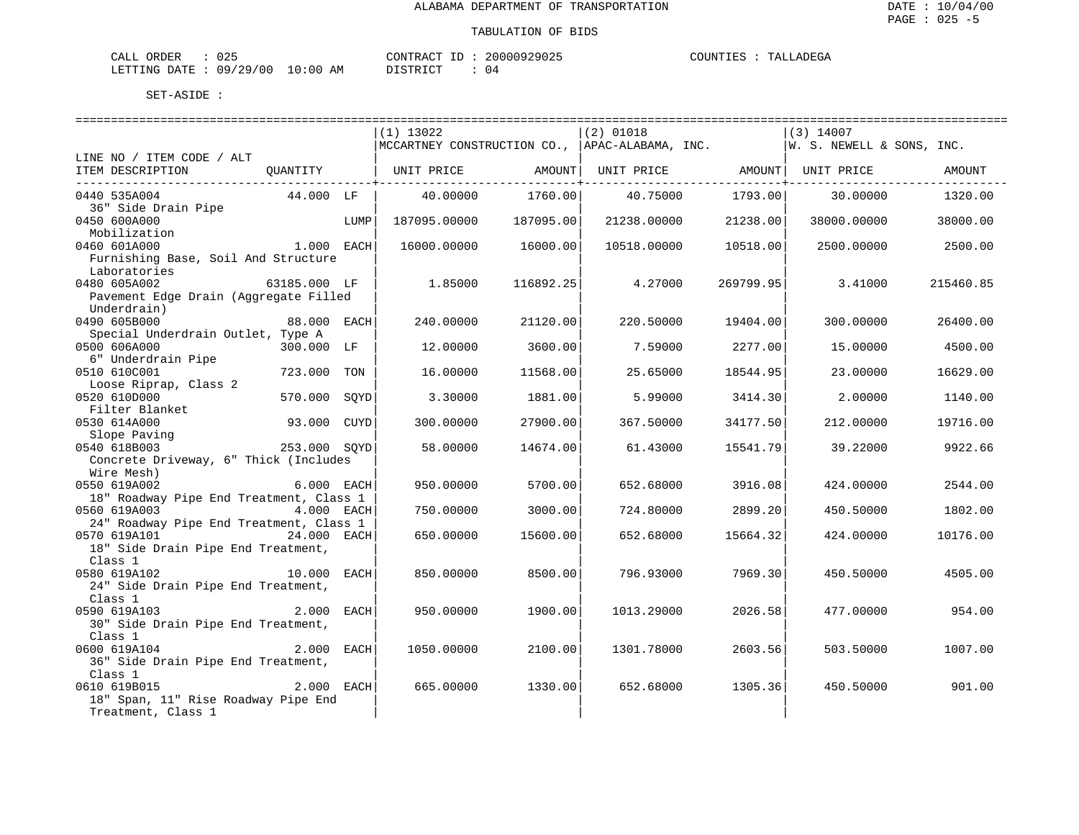| CALL ORDER                       | 025 | CONTRACT ID: | 20000929025 | COUNTIES | TALLADEGA |
|----------------------------------|-----|--------------|-------------|----------|-----------|
| LETTING DATE : 09/29/00 10:00 AM |     | DISTRICT     | 04          |          |           |

|                                                      |              |      | $(1)$ 13022  |           | $(2)$ 01018                                        |                                       | $(3)$ 14007               |           |
|------------------------------------------------------|--------------|------|--------------|-----------|----------------------------------------------------|---------------------------------------|---------------------------|-----------|
|                                                      |              |      |              |           | MCCARTNEY CONSTRUCTION CO., APAC-ALABAMA, INC.     |                                       | W. S. NEWELL & SONS, INC. |           |
| LINE NO / ITEM CODE / ALT                            |              |      |              |           |                                                    |                                       |                           |           |
| ITEM DESCRIPTION                                     | OUANTITY     |      |              |           | UNIT PRICE AMOUNT   UNIT PRICE AMOUNT   UNIT PRICE |                                       |                           | AMOUNT    |
| ___________________________________<br>0440 535A004  | 44.000 LF    |      | 40.00000     | 1760.00   | 40.75000 1793.00                                   | . _ _ _ _ _ _ _ _ _ _ _ _ _ _ + _ _ _ | 30.00000                  | 1320.00   |
| 36" Side Drain Pipe                                  |              |      |              |           |                                                    |                                       |                           |           |
| 0450 600A000                                         |              | LUMP | 187095.00000 | 187095.00 | 21238.00000                                        | 21238.00                              | 38000.00000               | 38000.00  |
| Mobilization<br>1.000 EACH<br>0460 601A000           |              |      | 16000.00000  | 16000.00  | 10518.00000                                        | 10518.00                              | 2500.00000                | 2500.00   |
|                                                      |              |      |              |           |                                                    |                                       |                           |           |
| Furnishing Base, Soil And Structure<br>Laboratories  |              |      |              |           |                                                    |                                       |                           |           |
|                                                      |              |      |              |           |                                                    |                                       |                           |           |
| 0480 605A002                                         | 63185.000 LF |      | 1.85000      | 116892.25 | 4.27000                                            | 269799.95                             | 3.41000                   | 215460.85 |
| Pavement Edge Drain (Aggregate Filled<br>Underdrain) |              |      |              |           |                                                    |                                       |                           |           |
| 0490 605B000                                         | 88.000 EACH  |      | 240.00000    | 21120.00  | 220.50000                                          | 19404.00                              | 300,00000                 | 26400.00  |
| Special Underdrain Outlet, Type A                    |              |      |              |           |                                                    |                                       |                           |           |
| 0500 606A000                                         | 300.000 LF   |      | 12.00000     | 3600.00   | 7.59000                                            | 2277.00                               | 15.00000                  | 4500.00   |
| 6" Underdrain Pipe                                   |              |      |              |           |                                                    |                                       |                           |           |
| 0510 610C001                                         | 723.000      | TON  | 16.00000     | 11568.00  | 25.65000                                           | 18544.95                              | 23.00000                  | 16629.00  |
| Loose Riprap, Class 2                                |              |      |              |           |                                                    |                                       |                           |           |
| 0520 610D000                                         | 570.000      | SOYD | 3.30000      | 1881.00   | 5.99000                                            | 3414.30                               | 2.00000                   | 1140.00   |
| Filter Blanket                                       |              |      |              |           |                                                    |                                       |                           |           |
| 0530 614A000                                         | 93.000 CUYD  |      | 300,00000    | 27900.00  | 367.50000                                          | 34177.50                              | 212.00000                 | 19716.00  |
| Slope Paving                                         |              |      |              |           |                                                    |                                       |                           |           |
| 0540 618B003                                         | 253.000 SOYD |      | 58.00000     | 14674.00  | 61.43000                                           | 15541.79                              | 39.22000                  | 9922.66   |
| Concrete Driveway, 6" Thick (Includes                |              |      |              |           |                                                    |                                       |                           |           |
| Wire Mesh)                                           |              |      |              |           |                                                    |                                       |                           |           |
| 0550 619A002                                         | 6.000 EACH   |      | 950.00000    | 5700.00   | 652.68000                                          | 3916.08                               | 424.00000                 | 2544.00   |
| 18" Roadway Pipe End Treatment, Class 1              |              |      |              |           |                                                    |                                       |                           |           |
| 0560 619A003                                         | 4.000 EACH   |      | 750.00000    | 3000.00   | 724.80000                                          | 2899.20                               | 450.50000                 | 1802.00   |
| 24" Roadway Pipe End Treatment, Class 1              |              |      |              |           |                                                    |                                       |                           |           |
| 24.000 EACH<br>0570 619A101                          |              |      | 650.00000    | 15600.00  | 652.68000                                          | 15664.32                              | 424.00000                 | 10176.00  |
| 18" Side Drain Pipe End Treatment,                   |              |      |              |           |                                                    |                                       |                           |           |
| Class 1                                              |              |      |              |           |                                                    |                                       |                           |           |
| 10.000 EACH<br>0580 619A102                          |              |      | 850.00000    | 8500.00   | 796.93000                                          | 7969.30                               | 450.50000                 | 4505.00   |
| 24" Side Drain Pipe End Treatment,                   |              |      |              |           |                                                    |                                       |                           |           |
| Class 1                                              |              |      |              |           |                                                    |                                       |                           |           |
| 0590 619A103                                         | 2,000        | EACH | 950.00000    | 1900.00   | 1013.29000                                         | 2026.58                               | 477.00000                 | 954.00    |
| 30" Side Drain Pipe End Treatment,                   |              |      |              |           |                                                    |                                       |                           |           |
| Class 1                                              |              |      |              |           |                                                    |                                       |                           |           |
| $2.000$ EACH<br>0600 619A104                         |              |      | 1050.00000   | 2100.00   | 1301.78000                                         | 2603.56                               | 503.50000                 | 1007.00   |
| 36" Side Drain Pipe End Treatment,                   |              |      |              |           |                                                    |                                       |                           |           |
| Class 1                                              |              |      |              |           |                                                    |                                       |                           |           |
| 0610 619B015                                         | $2.000$ EACH |      | 665.00000    | 1330.00   | 652.68000                                          | 1305.36                               | 450.50000                 | 901.00    |
| 18" Span, 11" Rise Roadway Pipe End                  |              |      |              |           |                                                    |                                       |                           |           |
| Treatment, Class 1                                   |              |      |              |           |                                                    |                                       |                           |           |
|                                                      |              |      |              |           |                                                    |                                       |                           |           |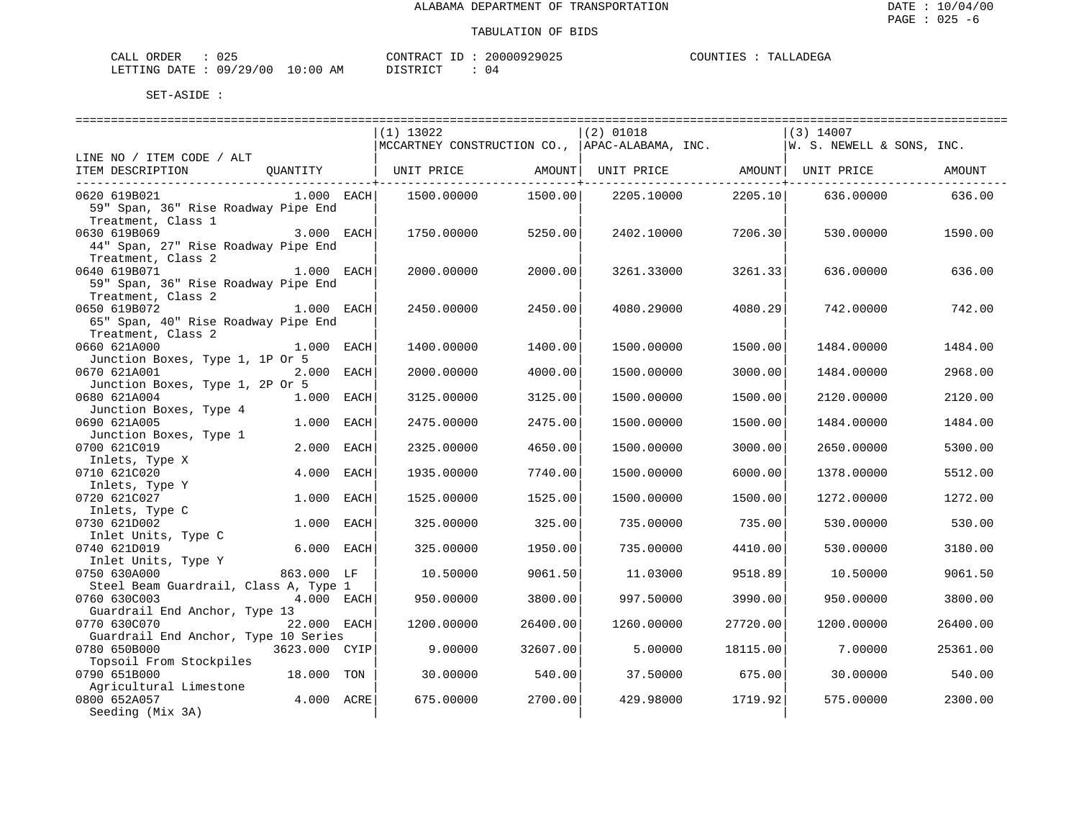| CALL ORDER                       | 025 | CONTRACT ID: | 20000929025 | COUNTIES | TALLADEGA |
|----------------------------------|-----|--------------|-------------|----------|-----------|
| LETTING DATE : 09/29/00 10:00 AM |     | DISTRICT     | 04          |          |           |

|                                       |               | $(1)$ 13022 |               | $(2)$ 01018                                        |          | $(3)$ 14007               |          |
|---------------------------------------|---------------|-------------|---------------|----------------------------------------------------|----------|---------------------------|----------|
|                                       |               |             |               | MCCARTNEY CONSTRUCTION CO.,  APAC-ALABAMA, INC.    |          | W. S. NEWELL & SONS, INC. |          |
| LINE NO / ITEM CODE / ALT             |               |             |               |                                                    |          |                           |          |
| ITEM DESCRIPTION                      | QUANTITY      |             |               | UNIT PRICE AMOUNT   UNIT PRICE AMOUNT   UNIT PRICE |          |                           | AMOUNT   |
|                                       |               |             | ------------+ |                                                    |          |                           |          |
| 0620 619B021                          | $1.000$ EACH  | 1500.00000  | 1500.00       | 2205.10000                                         | 2205.10  | 636.00000                 | 636.00   |
| 59" Span, 36" Rise Roadway Pipe End   |               |             |               |                                                    |          |                           |          |
| Treatment, Class 1                    |               |             |               |                                                    |          |                           |          |
| 0630 619B069                          | 3.000 EACH    | 1750.00000  | 5250.00       | 2402.10000                                         | 7206.30  | 530.00000                 | 1590.00  |
| 44" Span, 27" Rise Roadway Pipe End   |               |             |               |                                                    |          |                           |          |
| Treatment, Class 2                    |               |             |               |                                                    |          |                           |          |
| 0640 619B071                          | 1.000 EACH    | 2000.00000  | 2000.00       | 3261.33000                                         | 3261.33  | 636.00000                 | 636.00   |
| 59" Span, 36" Rise Roadway Pipe End   |               |             |               |                                                    |          |                           |          |
| Treatment, Class 2                    |               |             |               |                                                    |          |                           |          |
| 0650 619B072                          | 1.000 EACH    | 2450.00000  | 2450.00       | 4080.29000                                         | 4080.29  | 742.00000                 | 742.00   |
| 65" Span, 40" Rise Roadway Pipe End   |               |             |               |                                                    |          |                           |          |
| Treatment, Class 2                    |               |             |               |                                                    |          |                           |          |
| 0660 621A000                          | 1.000 EACH    | 1400.00000  | 1400.00       | 1500.00000                                         | 1500.00  | 1484.00000                | 1484.00  |
| Junction Boxes, Type 1, 1P Or 5       |               |             |               |                                                    |          |                           |          |
| 0670 621A001                          | 2.000 EACH    | 2000.00000  | 4000.00       | 1500.00000                                         | 3000.00  | 1484.00000                | 2968.00  |
| Junction Boxes, Type 1, 2P Or 5       |               |             |               |                                                    |          |                           |          |
| 0680 621A004                          | 1.000 EACH    | 3125.00000  | 3125.00       | 1500.00000                                         | 1500.00  | 2120.00000                | 2120.00  |
| Junction Boxes, Type 4                |               |             |               |                                                    |          |                           |          |
| 0690 621A005                          | 1.000 EACH    | 2475.00000  | 2475.00       | 1500.00000                                         | 1500.00  | 1484.00000                | 1484.00  |
| Junction Boxes, Type 1                |               |             |               |                                                    |          |                           |          |
| 0700 621C019                          | 2.000 EACH    | 2325.00000  | 4650.00       | 1500.00000                                         | 3000.00  | 2650.00000                | 5300.00  |
| Inlets, Type X                        |               |             |               |                                                    |          |                           |          |
| 0710 621C020                          | 4.000 EACH    | 1935.00000  | 7740.00       | 1500.00000                                         | 6000.00  | 1378.00000                | 5512.00  |
| Inlets, Type Y                        |               |             |               |                                                    |          |                           |          |
| 0720 621C027                          | 1.000 EACH    | 1525.00000  | 1525.00       | 1500.00000                                         | 1500.00  | 1272.00000                | 1272.00  |
| Inlets, Type C                        |               |             |               |                                                    |          |                           |          |
| 0730 621D002                          | 1.000 EACH    | 325.00000   | 325.00        | 735.00000                                          | 735.00   | 530.00000                 | 530.00   |
| Inlet Units, Type C                   |               |             |               |                                                    |          |                           |          |
| 0740 621D019                          | 6.000 EACH    | 325.00000   | 1950.00       | 735.00000                                          | 4410.00  | 530.00000                 | 3180.00  |
| Inlet Units, Type Y                   |               |             |               |                                                    |          |                           |          |
| 0750 630A000                          | 863.000 LF    | 10.50000    | 9061.50       | 11,03000                                           | 9518.89  | 10.50000                  | 9061.50  |
| Steel Beam Guardrail, Class A, Type 1 |               |             |               |                                                    |          |                           |          |
| 0760 630C003                          | $4.000$ EACH  | 950.00000   | 3800.00       | 997.50000                                          | 3990.00  | 950.00000                 | 3800.00  |
| Guardrail End Anchor, Type 13         |               |             |               |                                                    |          |                           |          |
| 0770 630C070                          | 22.000 EACH   | 1200.00000  | 26400.00      | 1260.00000                                         | 27720.00 | 1200.00000                | 26400.00 |
| Guardrail End Anchor, Type 10 Series  |               |             |               |                                                    |          |                           |          |
| 0780 650B000                          | 3623.000 CYIP | 9,00000     | 32607.00      | 5.00000                                            | 18115.00 | 7.00000                   | 25361.00 |
| Topsoil From Stockpiles               |               |             |               |                                                    |          |                           |          |
| 0790 651B000                          | 18.000 TON    | 30.00000    | 540.00        | 37.50000                                           | 675.00   | 30.00000                  | 540.00   |
| Agricultural Limestone                |               |             |               |                                                    |          |                           |          |
| 0800 652A057                          | 4.000 ACRE    | 675.00000   | 2700.00       | 429.98000                                          | 1719.92  | 575.00000                 | 2300.00  |
| Seeding (Mix 3A)                      |               |             |               |                                                    |          |                           |          |
|                                       |               |             |               |                                                    |          |                           |          |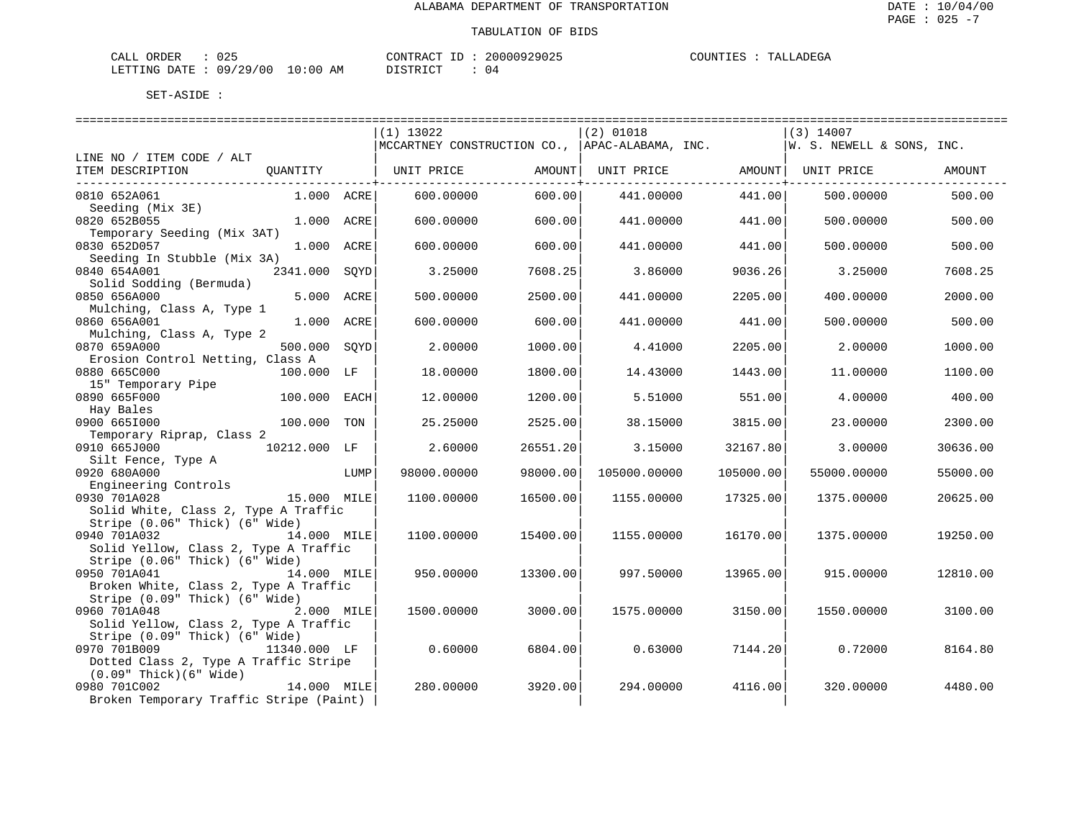| CALL ORDER                       | 025 | CONTRACT ID: | 20000929025 | COUNTIES | TALLADEGA |
|----------------------------------|-----|--------------|-------------|----------|-----------|
| LETTING DATE : 09/29/00 10:00 AM |     | DISTRICT     | 04          |          |           |

|                                                                         |      | $(1)$ 13022                                     |                                                   | $(2)$ 01018                         |                                             | $(3)$ 14007               |          |
|-------------------------------------------------------------------------|------|-------------------------------------------------|---------------------------------------------------|-------------------------------------|---------------------------------------------|---------------------------|----------|
|                                                                         |      | MCCARTNEY CONSTRUCTION CO.,  APAC-ALABAMA, INC. |                                                   |                                     |                                             | W. S. NEWELL & SONS, INC. |          |
| LINE NO / ITEM CODE / ALT                                               |      |                                                 |                                                   |                                     |                                             |                           |          |
| ITEM DESCRIPTION<br>QUANTITY   UNIT PRICE                               |      |                                                 | . _ _ _ _ _ _ _ _ _ _ _ _ _ _ _ + _ _ _ _ _ _ _ _ | AMOUNT UNIT PRICE AMOUNT UNIT PRICE | . _ _ _ _ _ _ _ _ _ _ _ _ _ _ _ + _ _ _ _ _ |                           | AMOUNT   |
| 0810 652A061<br>1.000 ACRE                                              |      | 600.00000                                       | 600.00                                            | 441.00000                           | 441.00                                      | 500.00000                 | 500.00   |
| Seeding (Mix 3E)                                                        |      |                                                 |                                                   |                                     |                                             |                           |          |
| 0820 652B055<br>1.000 ACRE<br>Temporary Seeding (Mix 3AT)               |      | 600.00000                                       | 600.00                                            | 441.00000                           | 441.00                                      | 500.00000                 | 500.00   |
| 1.000 ACRE<br>0830 652D057                                              |      | 600.00000                                       | 600.00                                            | 441.00000                           | 441.00                                      | 500.00000                 | 500.00   |
| Seeding In Stubble (Mix 3A)<br>0840 654A001<br>2341.000 SOYD            |      | 3.25000                                         | 7608.25                                           | 3.86000                             | 9036.26                                     | 3.25000                   | 7608.25  |
| Solid Sodding (Bermuda)<br>0850 656A000<br>5.000 ACRE                   |      | 500.00000                                       | 2500.00                                           | 441.00000                           | 2205.00                                     | 400.00000                 | 2000.00  |
| Mulching, Class A, Type 1                                               |      |                                                 |                                                   |                                     |                                             |                           |          |
| 0860 656A001<br>1.000 ACRE                                              |      | 600.00000                                       | 600.00                                            | 441.00000                           | 441.00                                      | 500.00000                 | 500.00   |
| Mulching, Class A, Type 2<br>500.000<br>0870 659A000                    | SOYD | 2.00000                                         | 1000.00                                           | 4.41000                             | 2205.00                                     | 2.00000                   | 1000.00  |
| Erosion Control Netting, Class A<br>0880 665C000<br>100.000 LF          |      | 18.00000                                        | 1800.00                                           | 14.43000                            | 1443.00                                     | 11.00000                  | 1100.00  |
| 15" Temporary Pipe<br>0890 665F000<br>100.000 EACH                      |      | 12.00000                                        | 1200.00                                           | 5.51000                             | 551.00                                      | 4.00000                   | 400.00   |
| Hay Bales                                                               |      |                                                 |                                                   |                                     |                                             |                           |          |
| 0900 6651000<br>100.000 TON                                             |      | 25.25000                                        | 2525.00                                           | 38.15000                            | 3815.00                                     | 23,00000                  | 2300.00  |
| Temporary Riprap, Class 2<br>0910 665J000<br>10212.000 LF               |      | 2.60000                                         | 26551.20                                          | 3.15000                             | 32167.80                                    | 3.00000                   | 30636.00 |
| Silt Fence, Type A                                                      |      |                                                 |                                                   |                                     |                                             |                           |          |
| 0920 680A000<br>Engineering Controls                                    | LUMP | 98000.00000                                     | 98000.00                                          | 105000.00000                        | 105000.00                                   | 55000.00000               | 55000.00 |
| $15.000$ MILE<br>0930 701A028                                           |      | 1100.00000                                      | 16500.00                                          | 1155.00000                          | 17325.00                                    | 1375.00000                | 20625.00 |
| Solid White, Class 2, Type A Traffic                                    |      |                                                 |                                                   |                                     |                                             |                           |          |
| Stripe (0.06" Thick) (6" Wide)<br>0940 701A032<br>14.000 MILE           |      | 1100.00000                                      | 15400.00                                          | 1155.00000                          | 16170.00                                    | 1375.00000                | 19250.00 |
| Solid Yellow, Class 2, Type A Traffic                                   |      |                                                 |                                                   |                                     |                                             |                           |          |
| Stripe (0.06" Thick) (6" Wide)                                          |      |                                                 |                                                   |                                     |                                             |                           |          |
| 0950 701A041<br>14.000 MILE                                             |      | 950.00000                                       | 13300.00                                          | 997.50000                           | 13965.00                                    | 915.00000                 | 12810.00 |
| Broken White, Class 2, Type A Traffic<br>Stripe (0.09" Thick) (6" Wide) |      |                                                 |                                                   |                                     |                                             |                           |          |
| 0960 701A048<br>2.000 MILE                                              |      | 1500.00000                                      | 3000.001                                          | 1575.00000                          | 3150.00                                     | 1550.00000                | 3100.00  |
| Solid Yellow, Class 2, Type A Traffic                                   |      |                                                 |                                                   |                                     |                                             |                           |          |
| Stripe (0.09" Thick) (6" Wide)                                          |      |                                                 |                                                   |                                     |                                             |                           |          |
| 0970 701B009<br>11340.000 LF                                            |      | 0.60000                                         | 6804.00                                           | 0.63000                             | 7144.20                                     | 0.72000                   | 8164.80  |
| Dotted Class 2, Type A Traffic Stripe                                   |      |                                                 |                                                   |                                     |                                             |                           |          |
| $(0.09"$ Thick $)(6"$ Wide $)$                                          |      |                                                 |                                                   |                                     |                                             |                           |          |
| 0980 701C002<br>14.000 MILE                                             |      | 280.00000                                       | 3920.00                                           | 294.00000                           | 4116.00                                     | 320.00000                 | 4480.00  |
| Broken Temporary Traffic Stripe (Paint)                                 |      |                                                 |                                                   |                                     |                                             |                           |          |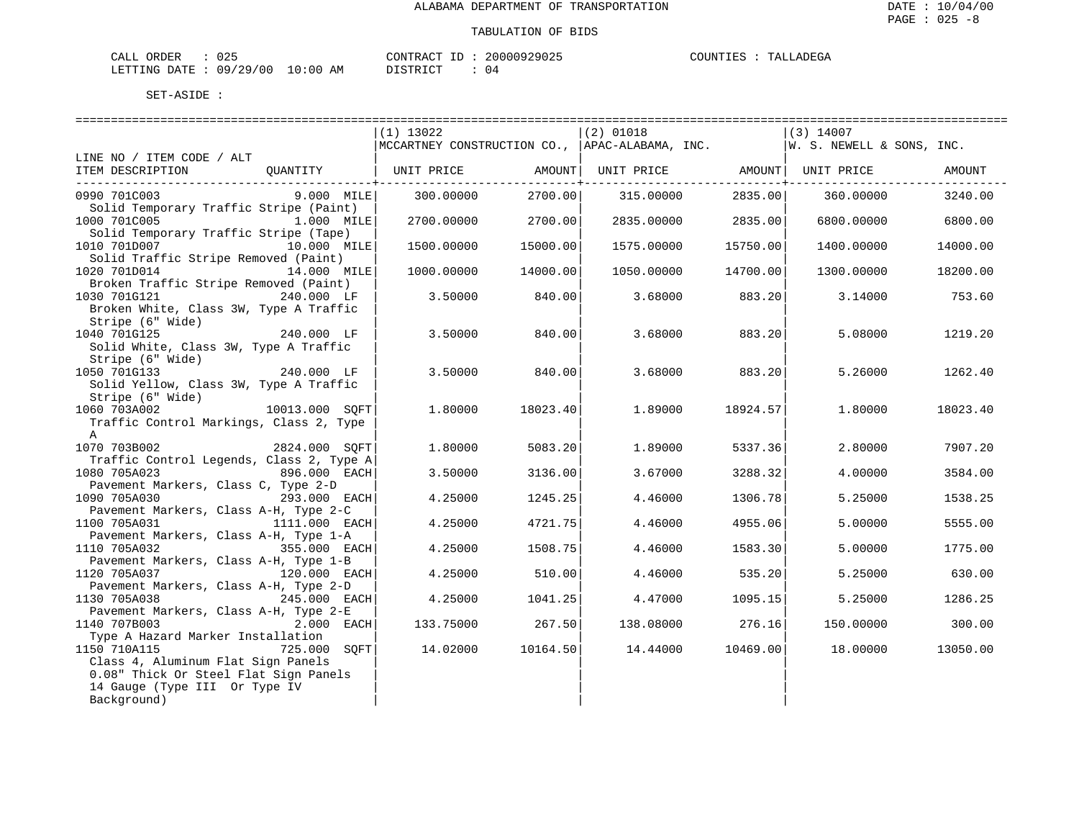| CALL ORDER     | 025                 |  | CONTRACT ID | 20000929025 | COUNTIES | TALLADEGA |
|----------------|---------------------|--|-------------|-------------|----------|-----------|
| LETTING DATE : | : 09/29/00 10:00 AM |  | DISTRICT    | 04          |          |           |

|                                                                              |                |                     |                    |                                                                               |                 |            | ================================ |
|------------------------------------------------------------------------------|----------------|---------------------|--------------------|-------------------------------------------------------------------------------|-----------------|------------|----------------------------------|
|                                                                              |                | $(1)$ 13022         |                    | $(2)$ 01018                                                                   |                 | (3) 14007  |                                  |
|                                                                              |                |                     |                    | MCCARTNEY CONSTRUCTION CO., APAC-ALABAMA, INC. $ w $ . S. NEWELL & SONS, INC. |                 |            |                                  |
| LINE NO / ITEM CODE / ALT                                                    |                |                     |                    |                                                                               |                 |            |                                  |
| ITEM DESCRIPTION QUANTITY   UNIT PRICE AMOUNT  UNIT PRICE AMOUNT  UNIT PRICE |                |                     |                    |                                                                               |                 |            | AMOUNT                           |
| 0990 701C003                                                                 | $9.000$ MILE   | 300.00000           | -------------+--   | 2700.00 315.00000 2835.00                                                     | -------------+- | 360.00000  | 3240.00                          |
| Solid Temporary Traffic Stripe (Paint)                                       |                |                     |                    |                                                                               |                 |            |                                  |
| 1000 701C005                                                                 | 1.000 MILE     |                     | 2700.00000 2700.00 | 2835.00000 2835.00                                                            |                 | 6800.00000 | 6800.00                          |
| Solid Temporary Traffic Stripe (Tape)                                        |                |                     |                    |                                                                               |                 |            |                                  |
| 1010 701D007                                                                 | 10.000 MILE    | 1500.00000          | 15000.00           | 1575.00000                                                                    | 15750.00        | 1400.00000 | 14000.00                         |
| Solid Traffic Stripe Removed (Paint)                                         |                |                     | 14000.00           |                                                                               |                 |            |                                  |
| 1020 701D014<br>Broken Traffic Stripe Removed (Paint)                        | 14.000 MILE    | 1000.00000          |                    | 1050.00000                                                                    | 14700.00        | 1300.00000 | 18200.00                         |
| 1030 701G121                                                                 | 240.000 LF     |                     | 3.50000 840.00     | 3.68000 883.20                                                                |                 | 3.14000    | 753.60                           |
| Broken White, Class 3W, Type A Traffic                                       |                |                     |                    |                                                                               |                 |            |                                  |
| Stripe (6" Wide)                                                             |                |                     |                    |                                                                               |                 |            |                                  |
| 1040 701G125                                                                 | 240.000 LF     | 3.50000             | 840.00             | 3.68000                                                                       | 883.20          | 5.08000    | 1219.20                          |
| Solid White, Class 3W, Type A Traffic                                        |                |                     |                    |                                                                               |                 |            |                                  |
| Stripe (6" Wide)                                                             |                |                     |                    |                                                                               |                 |            |                                  |
| 1050 701G133                                                                 | 240.000 LF     |                     | 3.50000 840.00     | 3.68000 883.20                                                                |                 | 5.26000    | 1262.40                          |
| Solid Yellow, Class 3W, Type A Traffic                                       |                |                     |                    |                                                                               |                 |            |                                  |
| Stripe (6" Wide)                                                             |                |                     |                    |                                                                               |                 |            |                                  |
| 1060 703A002                                                                 | 10013.000 SQFT | 1,80000             | 18023.40           | 1.89000                                                                       | 18924.57        | 1,80000    | 18023.40                         |
| Traffic Control Markings, Class 2, Type                                      |                |                     |                    |                                                                               |                 |            |                                  |
| $\mathbb{A}$<br>1070 703B002                                                 |                |                     |                    |                                                                               |                 |            |                                  |
| Traffic Control Legends, Class 2, Type A                                     | 2824.000 SOFT  | 1,80000             | 5083.20            | 1.89000                                                                       | 5337.36         | 2.80000    | 7907.20                          |
| 1080 705A023                                                                 | 896.000 EACH   | 3.50000             | 3136.00            | 3.67000                                                                       | 3288.32         | 4.00000    | 3584.00                          |
| Pavement Markers, Class C, Type 2-D                                          |                |                     |                    |                                                                               |                 |            |                                  |
| 1090 705A030                                                                 | 293.000 EACH   | 4.25000             | 1245.25            | 4.46000                                                                       | 1306.78         | 5.25000    | 1538.25                          |
| Pavement Markers, Class A-H, Type 2-C                                        |                |                     |                    |                                                                               |                 |            |                                  |
| 1100 705A031                                                                 | 1111.000 EACH  | 4.25000             | 4721.75            | 4.46000                                                                       | 4955.06         | 5.00000    | 5555.00                          |
| Pavement Markers, Class A-H, Type 1-A                                        |                |                     |                    |                                                                               |                 |            |                                  |
| 1110 705A032                                                                 | $355.000$ EACH | 4.25000             | 1508.75            | 4.46000                                                                       | 1583.30         | 5,00000    | 1775.00                          |
| Pavement Markers, Class A-H, Type 1-B                                        |                |                     |                    |                                                                               |                 |            |                                  |
| 1120 705A037                                                                 | $120.000$ EACH | 4.25000             | 510.00             | 4.46000                                                                       | 535.20          | 5.25000    | 630.00                           |
| Pavement Markers, Class A-H, Type 2-D<br>1130 705A038                        | 245.000 EACH   | 4.25000             | 1041.25            | 4.47000                                                                       | 1095.15         | 5.25000    | 1286.25                          |
| Pavement Markers, Class A-H, Type 2-E                                        |                |                     |                    |                                                                               |                 |            |                                  |
| 1140 707B003                                                                 | $2.000$ EACH   | 133.75000           | 267.50             | 138.08000                                                                     | 276.16          | 150.00000  | 300.00                           |
| Type A Hazard Marker Installation                                            |                |                     |                    |                                                                               |                 |            |                                  |
| 1150 710A115                                                                 | 725.000 SOFT   | 14.02000   10164.50 |                    |                                                                               |                 | 18.00000   | 13050.00                         |
| Class 4, Aluminum Flat Sign Panels                                           |                |                     |                    |                                                                               |                 |            |                                  |
| 0.08" Thick Or Steel Flat Sign Panels                                        |                |                     |                    |                                                                               |                 |            |                                  |
| 14 Gauge (Type III Or Type IV                                                |                |                     |                    |                                                                               |                 |            |                                  |
| Background)                                                                  |                |                     |                    |                                                                               |                 |            |                                  |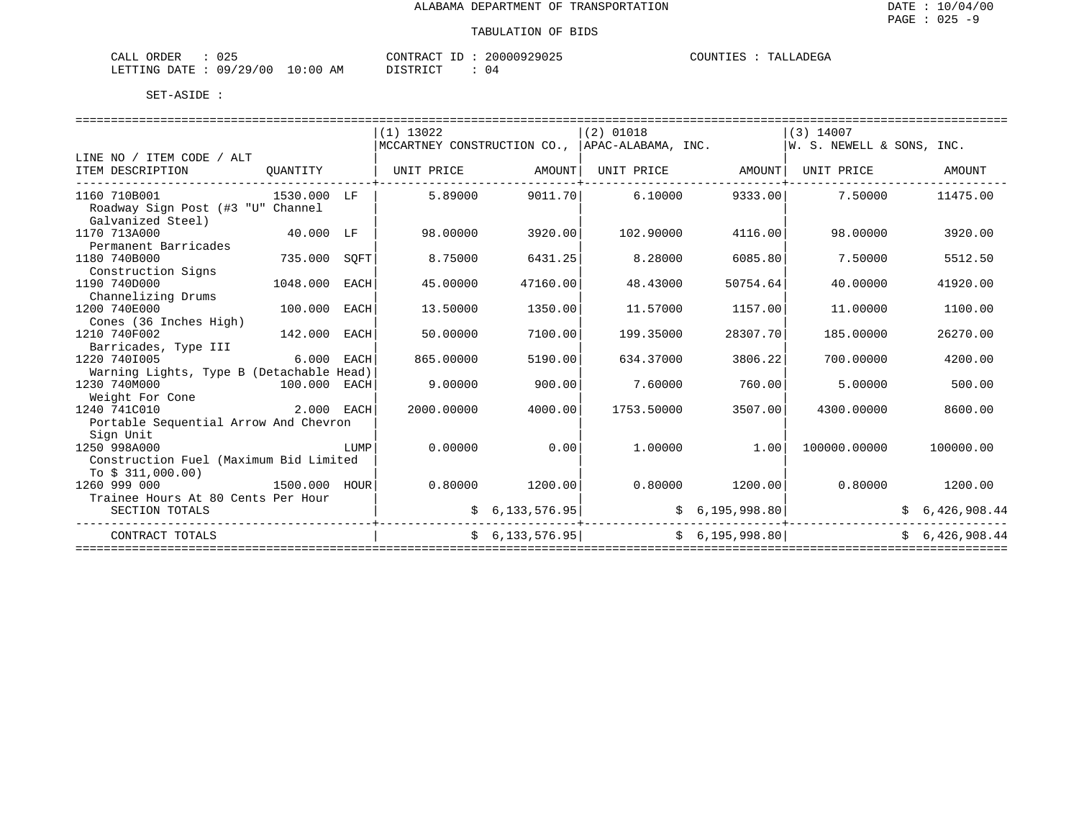| $\cap$ $\cap$<br>ORDER<br>$\sim$ $ -$<br>لىلەز<br>∪∠ລ |                                     | $-1$<br>'ת ארדא<br>$\overline{M}$ | $\sim$ $\sim$<br>$\cup$ $\sim$ | <b>\DEGZ</b><br>.OUNT<br>m <sub>n</sub><br><u>д</u> і<br>توشيقات |
|-------------------------------------------------------|-------------------------------------|-----------------------------------|--------------------------------|------------------------------------------------------------------|
| nq.<br>٬ ∩ Ր<br>LETTING<br>10Q<br>DATE<br>,,,,,<br>ັ  | $- - -$<br>$\cdot$ () (<br>AM<br>ᅩ◡ | $\sqrt{10}$<br>° ⊂ ⊓ R<br>-----   |                                |                                                                  |

|                                                    |              |      | $(1)$ 13022                                    |                 | $(2)$ 01018 |                   | $(3)$ 14007               |                |  |  |
|----------------------------------------------------|--------------|------|------------------------------------------------|-----------------|-------------|-------------------|---------------------------|----------------|--|--|
|                                                    |              |      | MCCARTNEY CONSTRUCTION CO., APAC-ALABAMA, INC. |                 |             |                   | W. S. NEWELL & SONS, INC. |                |  |  |
| LINE NO / ITEM CODE / ALT                          |              |      |                                                |                 |             |                   |                           |                |  |  |
| ITEM DESCRIPTION                                   | QUANTITY     |      | UNIT PRICE                                     | AMOUNT          |             | UNIT PRICE AMOUNT | UNIT PRICE                | AMOUNT         |  |  |
| 1160 710B001                                       | 1530.000 LF  |      | 5.89000                                        | 9011.70         | 6.10000     | 9333.00           | 7.50000                   | 11475.00       |  |  |
| Roadway Sign Post (#3 "U" Channel                  |              |      |                                                |                 |             |                   |                           |                |  |  |
| Galvanized Steel)                                  |              |      |                                                |                 |             |                   |                           |                |  |  |
| 40.000 LF<br>1170 713A000                          |              |      | 98.00000                                       | 3920.00         | 102.90000   | 4116.00           | 98.00000                  | 3920.00        |  |  |
| Permanent Barricades                               |              |      |                                                |                 |             |                   |                           |                |  |  |
| 1180 740B000                                       | 735.000      | SOFT | 8.75000                                        | 6431.25         | 8.28000     | 6085.80           | 7.50000                   | 5512.50        |  |  |
| Construction Signs                                 |              |      |                                                |                 |             |                   |                           |                |  |  |
| 1190 740D000                                       | 1048.000     | EACH | 45.00000                                       | 47160.00        | 48.43000    | 50754.64          | 40.00000                  | 41920.00       |  |  |
| Channelizing Drums                                 |              |      |                                                |                 |             |                   |                           |                |  |  |
| 1200 740E000                                       | 100.000 EACH |      | 13.50000                                       | 1350.00         | 11.57000    | 1157.00           | 11,00000                  | 1100.00        |  |  |
| Cones (36 Inches High)                             |              |      |                                                |                 |             |                   |                           |                |  |  |
| 1210 740F002                                       | 142.000      | EACH | 50.00000                                       | 7100.00         | 199.35000   | 28307.70          | 185.00000                 | 26270.00       |  |  |
| Barricades, Type III                               |              |      |                                                |                 |             |                   |                           |                |  |  |
| 1220 7401005                                       | 6.000 EACH   |      | 865.00000                                      | 5190.00         | 634.37000   | 3806.22           | 700.00000                 | 4200.00        |  |  |
| Warning Lights, Type B (Detachable Head)           |              |      |                                                |                 |             |                   |                           |                |  |  |
| 1230 740M000<br>100.000 EACH                       |              |      | 9,00000                                        | 900.00          | 7.60000     | 760.00            | 5.00000                   | 500.00         |  |  |
| Weight For Cone                                    |              |      |                                                |                 |             |                   |                           |                |  |  |
| 2.000 EACH<br>1240 741C010                         |              |      | 2000.00000                                     | 4000.00         | 1753.50000  | 3507.00           | 4300.00000                | 8600.00        |  |  |
| Portable Sequential Arrow And Chevron              |              |      |                                                |                 |             |                   |                           |                |  |  |
| Sign Unit                                          |              |      |                                                |                 |             |                   |                           |                |  |  |
| 1250 998A000                                       |              | LUMP | 0.00000                                        | 0.00            | 1,00000     | 1.00              | 100000.00000              | 100000.00      |  |  |
| Construction Fuel (Maximum Bid Limited             |              |      |                                                |                 |             |                   |                           |                |  |  |
| To $$311,000.00)$<br>1500.000 HOUR<br>1260 999 000 |              |      | 0.80000                                        | 1200.00         |             | $0.80000$ 1200.00 | 0.80000                   | 1200.00        |  |  |
| Trainee Hours At 80 Cents Per Hour                 |              |      |                                                |                 |             |                   |                           |                |  |  |
| SECTION TOTALS                                     |              |      |                                                | \$6,133,576.95] |             | \$6,195,998.80    |                           | \$6,426,908.44 |  |  |
|                                                    |              |      |                                                |                 | ----------  |                   |                           |                |  |  |
| CONTRACT TOTALS                                    |              |      |                                                | \$6,133,576.95] |             | \$6,195,998.80    |                           | \$6,426,908.44 |  |  |
|                                                    |              |      |                                                |                 |             |                   |                           |                |  |  |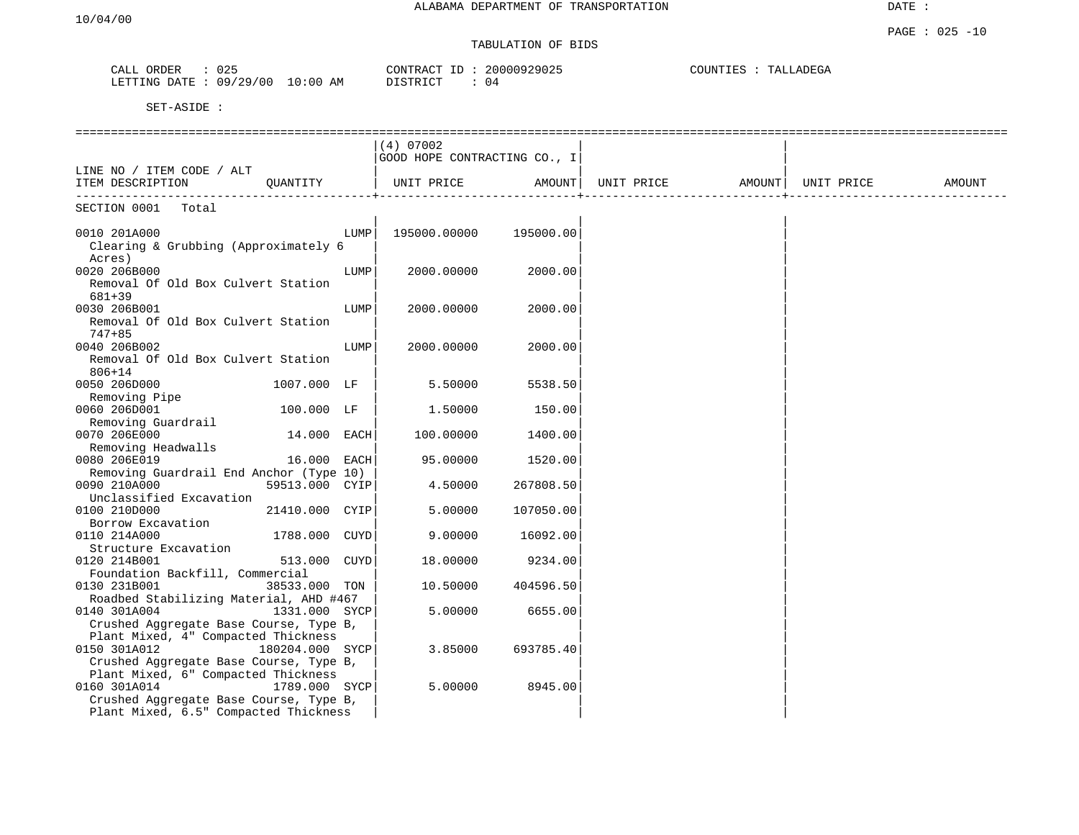# TABULATION OF BIDS

| $\sim$ $\sim$ $\sim$<br>ORDER<br>ىلىلى | $\sim$ $\sim$ $\sim$<br>しムン |                   | $-1$<br>CONTRA<br>$\pi$ $\sim$<br>'RAC | 20000929025 | COUNTIES<br>'JADEGA<br>πΔነ. |
|----------------------------------------|-----------------------------|-------------------|----------------------------------------|-------------|-----------------------------|
| LETTING<br><b>DATR</b>                 | 09/29/00                    | $\cdot$ 0 0<br>AМ | DICTDICT <sub>O</sub>                  | 04          |                             |

|                                                                 | (4) 07002                    |           |                   |            |        |
|-----------------------------------------------------------------|------------------------------|-----------|-------------------|------------|--------|
|                                                                 | GOOD HOPE CONTRACTING CO., I |           |                   |            |        |
| LINE NO / ITEM CODE / ALT                                       |                              |           |                   |            |        |
| ITEM DESCRIPTION<br>OUANTITY                                    | UNIT PRICE                   | AMOUNT    | UNIT PRICE AMOUNT | UNIT PRICE | AMOUNT |
| SECTION 0001<br>Total                                           |                              |           |                   |            |        |
|                                                                 |                              |           |                   |            |        |
| 0010 201A000<br>LUMP                                            | 195000.00000                 | 195000.00 |                   |            |        |
| Clearing & Grubbing (Approximately 6                            |                              |           |                   |            |        |
| Acres)                                                          |                              |           |                   |            |        |
| 0020 206B000<br>LUMP                                            | 2000.00000                   | 2000.00   |                   |            |        |
| Removal Of Old Box Culvert Station                              |                              |           |                   |            |        |
| 681+39                                                          |                              |           |                   |            |        |
| 0030 206B001<br>LUMP                                            | 2000.00000                   | 2000.00   |                   |            |        |
| Removal Of Old Box Culvert Station                              |                              |           |                   |            |        |
| $747 + 85$                                                      |                              |           |                   |            |        |
| 0040 206B002<br>LUMP<br>Removal Of Old Box Culvert Station      | 2000.00000                   | 2000.00   |                   |            |        |
| 806+14                                                          |                              |           |                   |            |        |
| 0050 206D000<br>1007.000 LF                                     | 5.50000                      | 5538.50   |                   |            |        |
| Removing Pipe                                                   |                              |           |                   |            |        |
| 0060 206D001<br>100.000 LF                                      | 1,50000                      | 150.00    |                   |            |        |
| Removing Guardrail                                              |                              |           |                   |            |        |
| 0070 206E000<br>14.000 EACH                                     | 100.00000                    | 1400.00   |                   |            |        |
| Removing Headwalls                                              |                              |           |                   |            |        |
| 0080 206E019<br>16.000 EACH                                     | 95.00000                     | 1520.00   |                   |            |        |
| Removing Guardrail End Anchor (Type 10)                         |                              |           |                   |            |        |
| 0090 210A000<br>59513.000 CYIP                                  | 4.50000                      | 267808.50 |                   |            |        |
| Unclassified Excavation                                         |                              |           |                   |            |        |
| 0100 210D000<br>21410.000 CYIP                                  | 5.00000                      | 107050.00 |                   |            |        |
| Borrow Excavation                                               |                              |           |                   |            |        |
| 0110 214A000<br>1788.000 CUYD                                   | 9.00000                      | 16092.00  |                   |            |        |
| Structure Excavation                                            |                              |           |                   |            |        |
| 0120 214B001<br>513.000 CUYD<br>Foundation Backfill, Commercial | 18.00000                     | 9234.00   |                   |            |        |
| 0130 231B001<br>38533.000 TON                                   | 10.50000                     | 404596.50 |                   |            |        |
| Roadbed Stabilizing Material, AHD #467                          |                              |           |                   |            |        |
| 0140 301A004<br>1331.000 SYCP                                   | 5.00000                      | 6655.00   |                   |            |        |
| Crushed Aggregate Base Course, Type B,                          |                              |           |                   |            |        |
| Plant Mixed, 4" Compacted Thickness                             |                              |           |                   |            |        |
| 0150 301A012<br>180204.000 SYCP                                 | 3.85000                      | 693785.40 |                   |            |        |
| Crushed Aggregate Base Course, Type B,                          |                              |           |                   |            |        |
| Plant Mixed, 6" Compacted Thickness                             |                              |           |                   |            |        |
| 0160 301A014<br>1789.000 SYCP                                   | 5.00000                      | 8945.00   |                   |            |        |
| Crushed Aggregate Base Course, Type B,                          |                              |           |                   |            |        |
| Plant Mixed, 6.5" Compacted Thickness                           |                              |           |                   |            |        |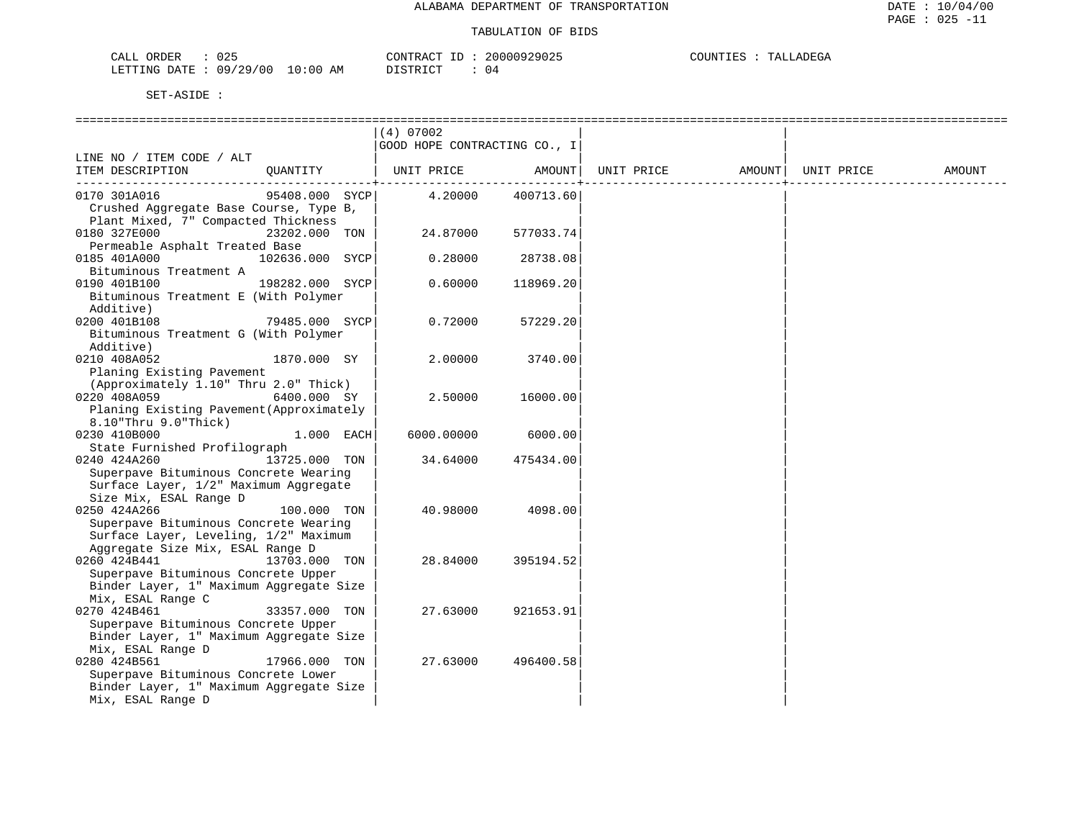| $\cdot$ $\sim$<br>ORDER<br>. ا ∆ '<br>U 4 -<br>لللطم                                 |           | <b>ONTI</b> | , u | ADEG)<br>COUNTIE!<br>ΤΆ. |
|--------------------------------------------------------------------------------------|-----------|-------------|-----|--------------------------|
| $\sim$ $\sim$<br>ነ∆ ጥፑ<br>′ N C<br>$\cap$ $\Omega$ .<br>וידים.<br>NIC<br>.<br>$\sim$ | AΜ<br>:∪u |             |     |                          |

|                                          |                 | $(4)$ 07002                  |           |            |        |            |        |
|------------------------------------------|-----------------|------------------------------|-----------|------------|--------|------------|--------|
|                                          |                 | GOOD HOPE CONTRACTING CO., I |           |            |        |            |        |
| LINE NO / ITEM CODE / ALT                |                 |                              |           |            |        |            |        |
| ITEM DESCRIPTION                         | OUANTITY        | UNIT PRICE                   | AMOUNT    | UNIT PRICE | AMOUNT | UNIT PRICE | AMOUNT |
|                                          |                 |                              |           |            |        |            |        |
| 0170 301A016                             | 95408.000 SYCP  | 4.20000                      | 400713.60 |            |        |            |        |
| Crushed Aggregate Base Course, Type B,   |                 |                              |           |            |        |            |        |
| Plant Mixed, 7" Compacted Thickness      |                 |                              |           |            |        |            |        |
| 0180 327E000                             | 23202.000 TON   | 24.87000                     | 577033.74 |            |        |            |        |
| Permeable Asphalt Treated Base           |                 |                              |           |            |        |            |        |
| 0185 401A000                             | 102636.000 SYCP | 0.28000                      | 28738.08  |            |        |            |        |
| Bituminous Treatment A                   |                 |                              |           |            |        |            |        |
| 0190 401B100                             | 198282.000 SYCP | 0.60000                      | 118969.20 |            |        |            |        |
|                                          |                 |                              |           |            |        |            |        |
| Bituminous Treatment E (With Polymer     |                 |                              |           |            |        |            |        |
| Additive)                                |                 |                              |           |            |        |            |        |
| 0200 401B108                             | 79485.000 SYCP  | 0.72000                      | 57229.20  |            |        |            |        |
| Bituminous Treatment G (With Polymer     |                 |                              |           |            |        |            |        |
| Additive)                                |                 |                              |           |            |        |            |        |
| 0210 408A052                             | 1870.000 SY     | 2.00000                      | 3740.00   |            |        |            |        |
| Planing Existing Pavement                |                 |                              |           |            |        |            |        |
| (Approximately 1.10" Thru 2.0" Thick)    |                 |                              |           |            |        |            |        |
| 0220 408A059                             | 6400.000 SY     | 2.50000                      | 16000.00  |            |        |            |        |
| Planing Existing Pavement (Approximately |                 |                              |           |            |        |            |        |
| 8.10"Thru 9.0"Thick)                     |                 |                              |           |            |        |            |        |
| 0230 410B000                             | 1.000 EACH      | 6000.00000                   | 6000.00   |            |        |            |        |
| State Furnished Profilograph             |                 |                              |           |            |        |            |        |
| 0240 424A260                             | 13725.000 TON   | 34.64000                     | 475434.00 |            |        |            |        |
| Superpave Bituminous Concrete Wearing    |                 |                              |           |            |        |            |        |
| Surface Layer, 1/2" Maximum Aggregate    |                 |                              |           |            |        |            |        |
| Size Mix, ESAL Range D                   |                 |                              |           |            |        |            |        |
| 0250 424A266                             | 100.000 TON     | 40.98000                     | 4098.00   |            |        |            |        |
| Superpave Bituminous Concrete Wearing    |                 |                              |           |            |        |            |        |
| Surface Layer, Leveling, 1/2" Maximum    |                 |                              |           |            |        |            |        |
| Aggregate Size Mix, ESAL Range D         |                 |                              |           |            |        |            |        |
| 0260 424B441                             | 13703.000 TON   | 28.84000                     | 395194.52 |            |        |            |        |
| Superpave Bituminous Concrete Upper      |                 |                              |           |            |        |            |        |
| Binder Layer, 1" Maximum Aggregate Size  |                 |                              |           |            |        |            |        |
| Mix, ESAL Range C                        |                 |                              |           |            |        |            |        |
| 0270 424B461                             | 33357.000 TON   | 27.63000                     | 921653.91 |            |        |            |        |
| Superpave Bituminous Concrete Upper      |                 |                              |           |            |        |            |        |
| Binder Layer, 1" Maximum Aggregate Size  |                 |                              |           |            |        |            |        |
|                                          |                 |                              |           |            |        |            |        |
| Mix, ESAL Range D<br>0280 424B561        | 17966.000 TON   | 27.63000                     | 496400.58 |            |        |            |        |
|                                          |                 |                              |           |            |        |            |        |
| Superpave Bituminous Concrete Lower      |                 |                              |           |            |        |            |        |
| Binder Layer, 1" Maximum Aggregate Size  |                 |                              |           |            |        |            |        |
| Mix, ESAL Range D                        |                 |                              |           |            |        |            |        |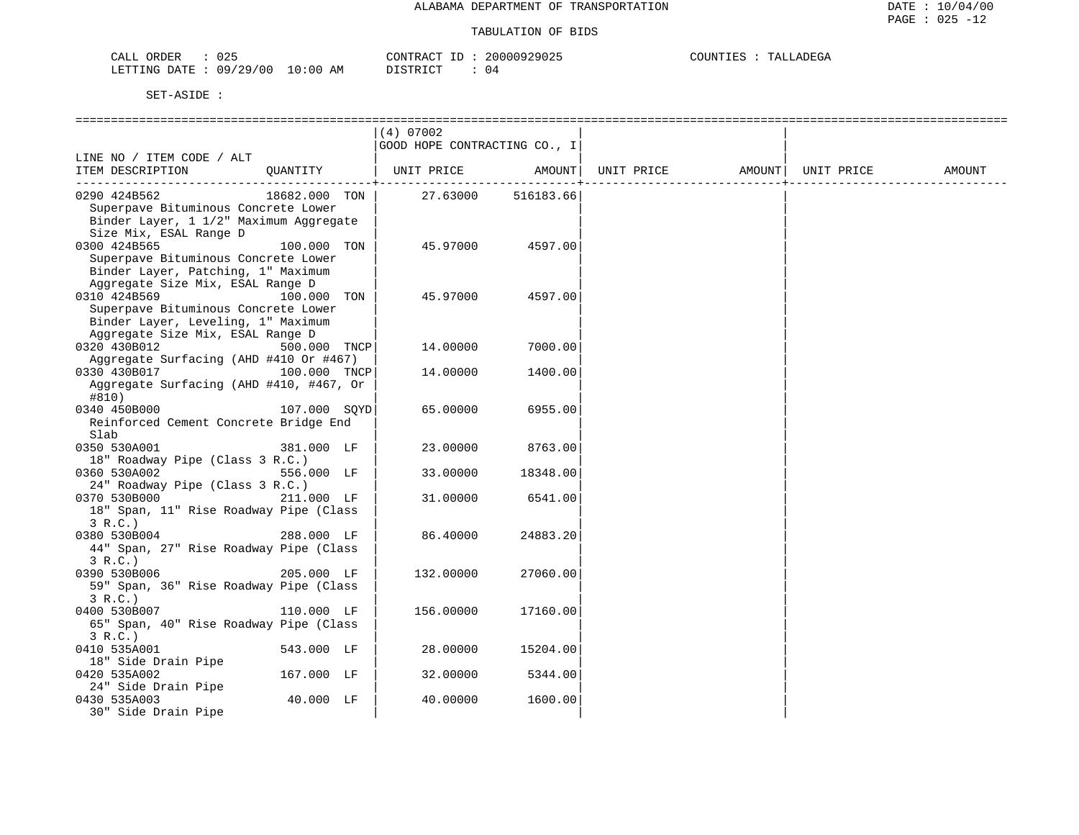| 025<br>CALL ORDER                | CONTRACT ID : | 20000929025 | COUNTIES : | TALLADEGA |
|----------------------------------|---------------|-------------|------------|-----------|
| LETTING DATE : 09/29/00 10:00 AM | DISTRICT      |             |            |           |

|                                         |               | $(4)$ 07002                  |           |                   |            |        |
|-----------------------------------------|---------------|------------------------------|-----------|-------------------|------------|--------|
|                                         |               | GOOD HOPE CONTRACTING CO., I |           |                   |            |        |
| LINE NO / ITEM CODE / ALT               |               |                              |           |                   |            |        |
| ITEM DESCRIPTION                        | OUANTITY      | UNIT PRICE                   | AMOUNT    | UNIT PRICE AMOUNT | UNIT PRICE | AMOUNT |
| 0290 424B562                            | 18682.000 TON | 27.63000                     | 516183.66 |                   |            |        |
| Superpave Bituminous Concrete Lower     |               |                              |           |                   |            |        |
| Binder Layer, 1 1/2" Maximum Aggregate  |               |                              |           |                   |            |        |
| Size Mix, ESAL Range D                  |               |                              |           |                   |            |        |
| 0300 424B565                            | 100.000 TON   | 45.97000                     | 4597.00   |                   |            |        |
| Superpave Bituminous Concrete Lower     |               |                              |           |                   |            |        |
| Binder Layer, Patching, 1" Maximum      |               |                              |           |                   |            |        |
| Aggregate Size Mix, ESAL Range D        |               |                              |           |                   |            |        |
| 0310 424B569                            | 100.000 TON   | 45.97000                     | 4597.00   |                   |            |        |
| Superpave Bituminous Concrete Lower     |               |                              |           |                   |            |        |
| Binder Layer, Leveling, 1" Maximum      |               |                              |           |                   |            |        |
| Aggregate Size Mix, ESAL Range D        |               |                              |           |                   |            |        |
| 0320 430B012                            | 500.000 TNCP  | 14.00000                     | 7000.00   |                   |            |        |
| Aggregate Surfacing (AHD #410 Or #467)  |               |                              |           |                   |            |        |
| 0330 430B017                            | 100.000 TNCP  | 14.00000                     | 1400.00   |                   |            |        |
| Aggregate Surfacing (AHD #410, #467, Or |               |                              |           |                   |            |        |
| #810)                                   |               |                              |           |                   |            |        |
| 0340 450B000                            | 107.000 SOYD  | 65.00000                     | 6955.00   |                   |            |        |
| Reinforced Cement Concrete Bridge End   |               |                              |           |                   |            |        |
| Slab                                    |               |                              |           |                   |            |        |
| 0350 530A001                            | 381.000 LF    | 23.00000                     | 8763.00   |                   |            |        |
| 18" Roadway Pipe (Class 3 R.C.)         |               |                              |           |                   |            |        |
| 0360 530A002                            | 556.000 LF    | 33.00000                     | 18348.00  |                   |            |        |
| 24" Roadway Pipe (Class 3 R.C.)         |               |                              |           |                   |            |        |
| 0370 530B000                            | 211.000 LF    | 31,00000                     | 6541.00   |                   |            |        |
| 18" Span, 11" Rise Roadway Pipe (Class  |               |                              |           |                   |            |        |
| 3 R.C.                                  |               |                              |           |                   |            |        |
| 0380 530B004                            | 288.000 LF    | 86.40000                     | 24883.20  |                   |            |        |
| 44" Span, 27" Rise Roadway Pipe (Class  |               |                              |           |                   |            |        |
| 3 R.C.                                  |               |                              |           |                   |            |        |
| 0390 530B006                            | 205.000 LF    | 132.00000                    | 27060.00  |                   |            |        |
| 59" Span, 36" Rise Roadway Pipe (Class  |               |                              |           |                   |            |        |
| 3 R.C.                                  |               |                              |           |                   |            |        |
| 0400 530B007                            | 110.000 LF    | 156.00000                    | 17160.00  |                   |            |        |
| 65" Span, 40" Rise Roadway Pipe (Class  |               |                              |           |                   |            |        |
| 3 R.C.                                  |               |                              |           |                   |            |        |
| 0410 535A001                            | 543.000 LF    | 28.00000                     | 15204.00  |                   |            |        |
| 18" Side Drain Pipe                     |               |                              |           |                   |            |        |
| 0420 535A002                            | 167.000 LF    | 32.00000                     | 5344.00   |                   |            |        |
| 24" Side Drain Pipe                     | 40.000 LF     | 40.00000                     | 1600.00   |                   |            |        |
| 0430 535A003<br>30" Side Drain Pipe     |               |                              |           |                   |            |        |
|                                         |               |                              |           |                   |            |        |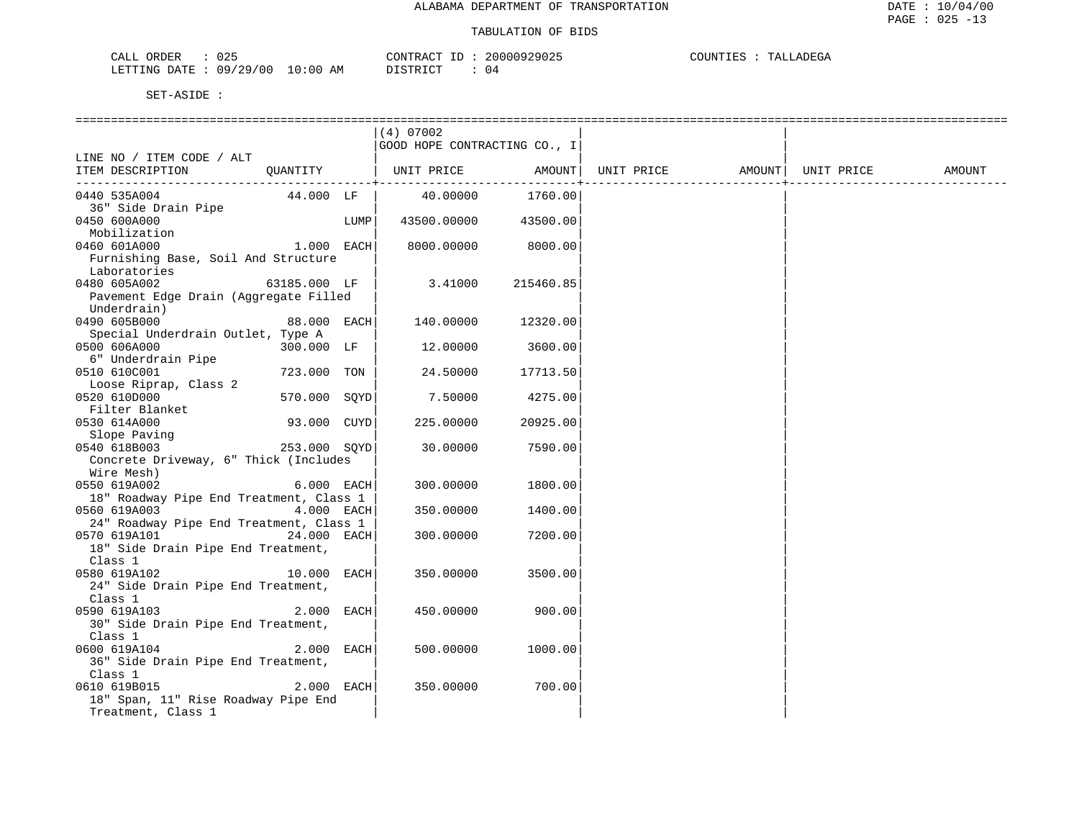| ORDER<br>CALL<br>U 4.    | CONTRACT ID                     | 20000929025 | COUNTIES<br>TALLADEGA |
|--------------------------|---------------------------------|-------------|-----------------------|
| 09/29/00<br>LETTING DATE | 10:00<br>DISTRICT<br>AM<br>---- | 04          |                       |

|                                                                                                                                                                                                                                                                                                                                                                                          |              |      | (4) 07002<br>GOOD HOPE CONTRACTING CO., I |           |            |                    |        |
|------------------------------------------------------------------------------------------------------------------------------------------------------------------------------------------------------------------------------------------------------------------------------------------------------------------------------------------------------------------------------------------|--------------|------|-------------------------------------------|-----------|------------|--------------------|--------|
| LINE NO / ITEM CODE / ALT<br>ITEM DESCRIPTION                                                                                                                                                                                                                                                                                                                                            | QUANTITY     |      | UNIT PRICE AMOUNT                         |           | UNIT PRICE | AMOUNT  UNIT PRICE | AMOUNT |
| 0440 535A004<br>36" Side Drain Pipe                                                                                                                                                                                                                                                                                                                                                      | 44.000 LF    |      | 40.00000                                  | 1760.00   |            |                    |        |
| 0450 600A000<br>Mobilization                                                                                                                                                                                                                                                                                                                                                             |              | LUMP | 43500.00000 43500.00                      |           |            |                    |        |
| 0460 601A000<br>Furnishing Base, Soil And Structure<br>Laboratories                                                                                                                                                                                                                                                                                                                      | $1.000$ EACH |      | 8000.00000                                | 8000.00   |            |                    |        |
| 0480 605A002<br>Pavement Edge Drain (Aggregate Filled<br>Underdrain)                                                                                                                                                                                                                                                                                                                     | 63185.000 LF |      | 3.41000                                   | 215460.85 |            |                    |        |
| 0490 605B000                                                                                                                                                                                                                                                                                                                                                                             | 88.000 EACH  |      | 140.00000                                 | 12320.00  |            |                    |        |
| Special Underdrain Outlet, Type A<br>0500 606A000<br>6" Underdrain Pipe                                                                                                                                                                                                                                                                                                                  | 300.000 LF   |      | 12.00000                                  | 3600.00   |            |                    |        |
| 0510 610C001<br>Loose Riprap, Class 2                                                                                                                                                                                                                                                                                                                                                    | 723.000 TON  |      | 24.50000                                  | 17713.50  |            |                    |        |
| 0520 610D000<br>Filter Blanket                                                                                                                                                                                                                                                                                                                                                           | 570.000 SQYD |      | 7.50000                                   | 4275.00   |            |                    |        |
| 0530 614A000                                                                                                                                                                                                                                                                                                                                                                             | 93.000 CUYD  |      | 225.00000                                 | 20925.00  |            |                    |        |
| $\begin{bmatrix} 1 & 0 & 0 & 0 \\ 0 & 0 & 0 & 0 \\ 0 & 0 & 0 & 0 \\ 0 & 0 & 0 & 0 \\ 0 & 0 & 0 & 0 \\ 0 & 0 & 0 & 0 \\ 0 & 0 & 0 & 0 \\ 0 & 0 & 0 & 0 \\ 0 & 0 & 0 & 0 \\ 0 & 0 & 0 & 0 \\ 0 & 0 & 0 & 0 \\ 0 & 0 & 0 & 0 \\ 0 & 0 & 0 & 0 \\ 0 & 0 & 0 & 0 \\ 0 & 0 & 0 & 0 \\ 0 & 0 & 0 & 0 \\ 0 & 0 & 0 & 0 \\ 0 & 0 & 0 & $<br>0540 618B003<br>Concrete Driveway, 6" Thick (Includes |              |      | 30.00000                                  | 7590.00   |            |                    |        |
| Wire Mesh)<br>0550 619A002                                                                                                                                                                                                                                                                                                                                                               | $6.000$ EACH |      | 300.00000                                 | 1800.00   |            |                    |        |
| 18" Roadway Pipe End Treatment, Class 1                                                                                                                                                                                                                                                                                                                                                  |              |      |                                           |           |            |                    |        |
| 0560 619A003<br>24" Roadway Pipe End Treatment, Class 1                                                                                                                                                                                                                                                                                                                                  | 4.000 EACH   |      | 350.00000                                 | 1400.00   |            |                    |        |
| 0570 619A101<br>18" Side Drain Pipe End Treatment,<br>Class 1                                                                                                                                                                                                                                                                                                                            | 24.000 EACH  |      | 300.00000                                 | 7200.00   |            |                    |        |
| $10.000$ EACH<br>0580 619A102<br>24" Side Drain Pipe End Treatment,<br>Class 1                                                                                                                                                                                                                                                                                                           |              |      | 350.00000                                 | 3500.00   |            |                    |        |
| 0590 619A103<br>30" Side Drain Pipe End Treatment,<br>Class 1                                                                                                                                                                                                                                                                                                                            | $2.000$ EACH |      | 450.00000                                 | 900.00    |            |                    |        |
| 0600 619A104<br>36" Side Drain Pipe End Treatment,<br>Class 1                                                                                                                                                                                                                                                                                                                            | $2.000$ EACH |      | 500.00000                                 | 1000.00   |            |                    |        |
| 0610 619B015<br>18" Span, 11" Rise Roadway Pipe End<br>Treatment, Class 1                                                                                                                                                                                                                                                                                                                | 2.000 EACH   |      | 350.00000                                 | 700.00    |            |                    |        |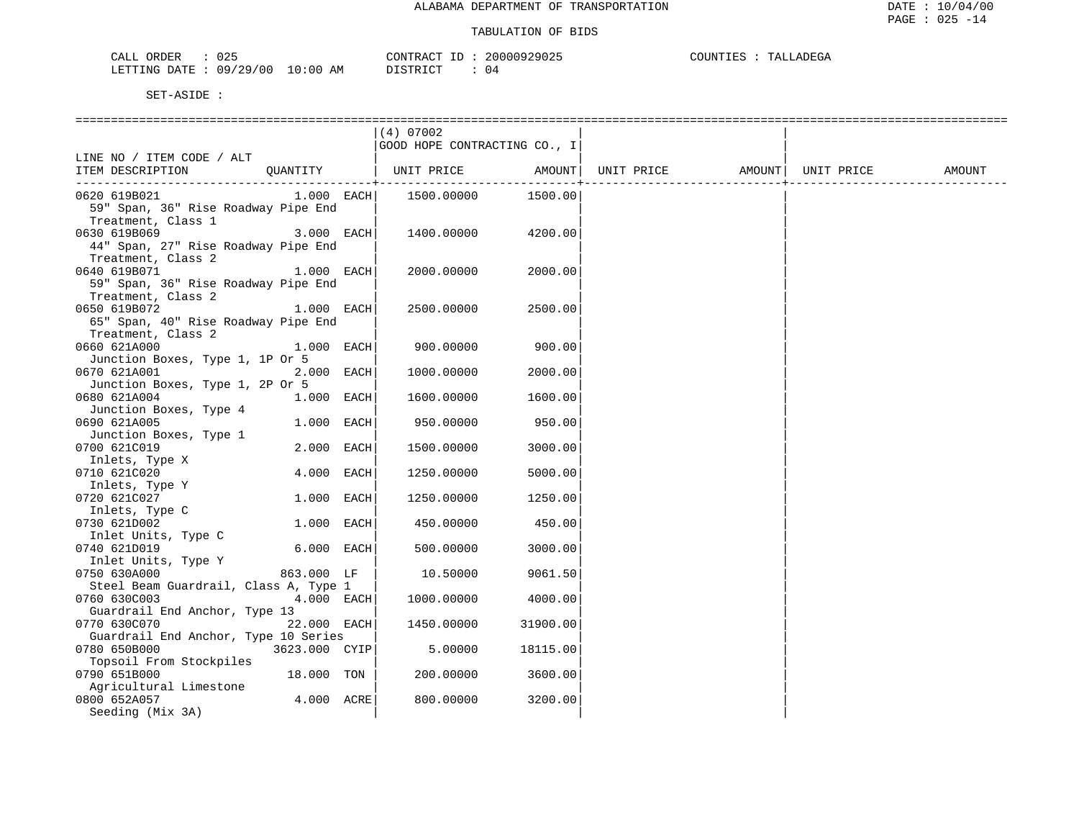| $\cdots$<br>ORDER<br>$\sim$ $ -$<br>لىلەت<br>∪∠∴ |    | $\cap$ $\cap$ $\cap$<br>$\sim$<br>א שי<br>JIV | חמי | דיתו זרי<br><u>та с</u><br>' l' ∆ |
|--------------------------------------------------|----|-----------------------------------------------|-----|-----------------------------------|
| n a<br>n n<br>ETTING<br>129<br>DATE.             | AM | $T \cap T$<br>STR                             | 04  |                                   |

|                                                 |               | (4) 07002                    |                             |                                |  |        |
|-------------------------------------------------|---------------|------------------------------|-----------------------------|--------------------------------|--|--------|
|                                                 |               | GOOD HOPE CONTRACTING CO., I |                             |                                |  |        |
| LINE NO / ITEM CODE / ALT                       |               |                              |                             |                                |  |        |
| ITEM DESCRIPTION                                |               | QUANTITY   UNIT PRICE        | AMOUNT  <br>--------------- | UNIT PRICE AMOUNT   UNIT PRICE |  | AMOUNT |
| 0620 619B021                                    | $1.000$ EACH  | 1500.00000                   | 1500.00                     |                                |  |        |
| 59" Span, 36" Rise Roadway Pipe End             |               |                              |                             |                                |  |        |
| Treatment, Class 1                              |               |                              |                             |                                |  |        |
| 0630 619B069                                    | $3.000$ EACH  | 1400.00000                   | 4200.00                     |                                |  |        |
| 44" Span, 27" Rise Roadway Pipe End             |               |                              |                             |                                |  |        |
| Treatment, Class 2                              |               |                              |                             |                                |  |        |
| 0640 619B071                                    | 1.000 EACH    | 2000.00000                   | 2000.00                     |                                |  |        |
| 59" Span, 36" Rise Roadway Pipe End             |               |                              |                             |                                |  |        |
| Treatment, Class 2                              |               |                              |                             |                                |  |        |
| 0650 619B072                                    | 1.000 EACH    | 2500.00000                   | 2500.00                     |                                |  |        |
| 65" Span, 40" Rise Roadway Pipe End             |               |                              |                             |                                |  |        |
| Treatment, Class 2                              |               |                              |                             |                                |  |        |
| 0660 621A000                                    | 1.000 EACH    | 900.00000                    | 900.00                      |                                |  |        |
| Junction Boxes, Type 1, 1P Or 5                 |               |                              |                             |                                |  |        |
| 0670 621A001<br>Junction Boxes, Type 1, 2P Or 5 | 2.000 EACH    | 1000.00000                   | 2000.00                     |                                |  |        |
| 0680 621A004                                    | 1.000 EACH    | 1600.00000                   | 1600.00                     |                                |  |        |
| Junction Boxes, Type 4                          |               |                              |                             |                                |  |        |
| 0690 621A005                                    | 1.000 EACH    | 950.00000                    | 950.00                      |                                |  |        |
| Junction Boxes, Type 1                          |               |                              |                             |                                |  |        |
| 0700 621C019                                    | 2.000 EACH    | 1500.00000                   | 3000.00                     |                                |  |        |
| Inlets, Type X                                  |               |                              |                             |                                |  |        |
| 0710 621C020                                    | 4.000 EACH    | 1250.00000                   | 5000.00                     |                                |  |        |
| Inlets, Type Y                                  |               |                              |                             |                                |  |        |
| 0720 621C027                                    | 1.000 EACH    | 1250.00000                   | 1250.00                     |                                |  |        |
| Inlets, Type C                                  |               |                              |                             |                                |  |        |
| 0730 621D002                                    | 1.000 EACH    | 450.00000                    | 450.00                      |                                |  |        |
| Inlet Units, Type C                             |               |                              |                             |                                |  |        |
| 0740 621D019                                    | 6.000 EACH    | 500.00000                    | 3000.00                     |                                |  |        |
| Inlet Units, Type Y<br>0750 630A000             | 863.000 LF    | 10.50000                     | 9061.50                     |                                |  |        |
| Steel Beam Guardrail, Class A, Type 1           |               |                              |                             |                                |  |        |
| 0760 630C003                                    | 4.000 EACH    | 1000.00000                   | 4000.00                     |                                |  |        |
| Guardrail End Anchor, Type 13                   |               |                              |                             |                                |  |        |
| 0770 630C070                                    | 22.000 EACH   | 1450.00000                   | 31900.00                    |                                |  |        |
| Guardrail End Anchor, Type 10 Series            |               |                              |                             |                                |  |        |
| 0780 650B000                                    | 3623.000 CYIP | 5.00000                      | 18115.00                    |                                |  |        |
| Topsoil From Stockpiles                         |               |                              |                             |                                |  |        |
| 0790 651B000                                    | 18.000 TON    | 200.00000                    | 3600.00                     |                                |  |        |
| Agricultural Limestone                          |               |                              |                             |                                |  |        |
| 0800 652A057                                    | 4.000 ACRE    | 800.00000                    | 3200.00                     |                                |  |        |
| Seeding (Mix 3A)                                |               |                              |                             |                                |  |        |
|                                                 |               |                              |                             |                                |  |        |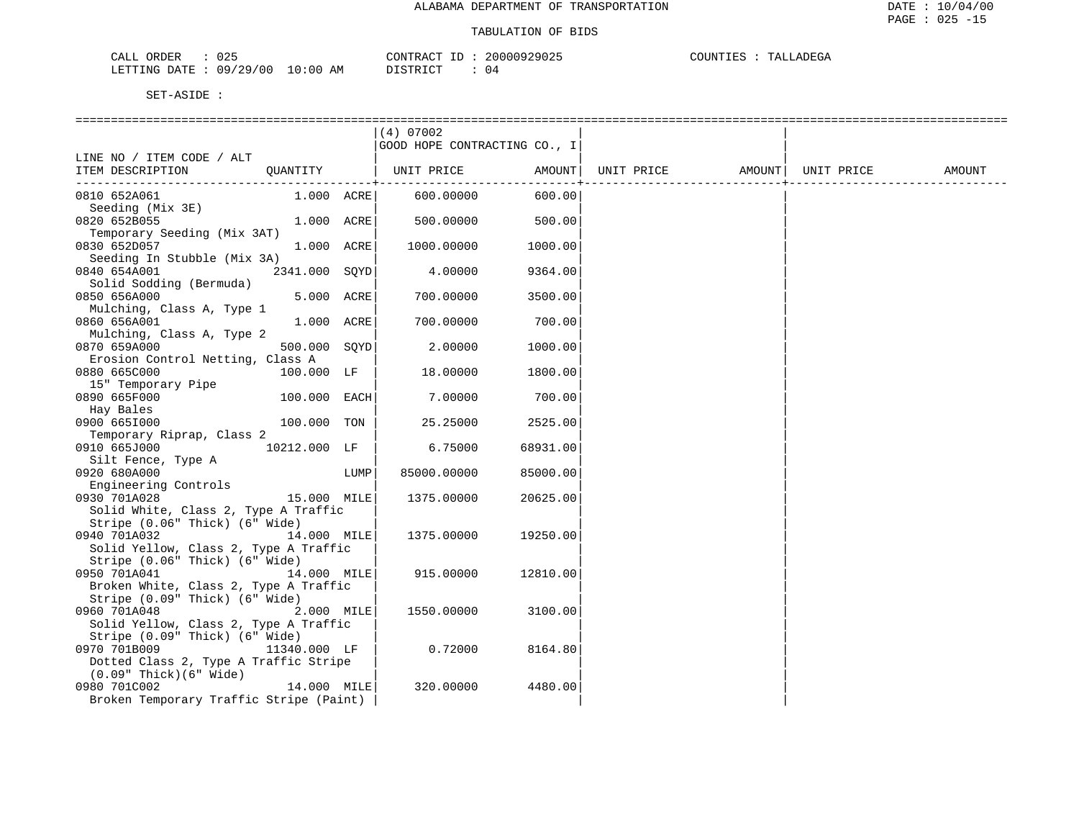| $\sim$ $\sim$ $\sim$<br>JRDER<br><u>. Ω Ι</u><br>∪∠ລ<br>----    |                      | YAU |     | ADFCA<br>" הדדר<br>$\cdots$<br>1.11 |
|-----------------------------------------------------------------|----------------------|-----|-----|-------------------------------------|
| ، ۱۵<br>חמח<br>' ೧ (<br>$\sim$ $\sim$<br>, u<br>INIC÷<br>$\sim$ | $\Delta$<br>n.<br>∸∽ |     | U 4 |                                     |

|                                                       |                |      | (4) 07002                    |          |                                       |  |        |
|-------------------------------------------------------|----------------|------|------------------------------|----------|---------------------------------------|--|--------|
|                                                       |                |      | GOOD HOPE CONTRACTING CO., I |          |                                       |  |        |
| LINE NO / ITEM CODE / ALT                             |                |      |                              |          |                                       |  |        |
| ITEM DESCRIPTION                                      |                |      | QUANTITY   UNIT PRICE        |          | AMOUNT  UNIT PRICE AMOUNT  UNIT PRICE |  | AMOUNT |
| 0810 652A061                                          | $1.000$ ACRE   |      | 600.00000                    | 600.00   |                                       |  |        |
| Seeding (Mix 3E)                                      |                |      |                              |          |                                       |  |        |
| 0820 652B055                                          | $1.000$ $ACRE$ |      | 500.00000                    | 500.00   |                                       |  |        |
| Temporary Seeding (Mix 3AT)                           |                |      |                              |          |                                       |  |        |
| 0830 652D057                                          | 1.000 ACRE     |      | 1000.00000                   | 1000.00  |                                       |  |        |
| Seeding In Stubble (Mix 3A)                           |                |      |                              |          |                                       |  |        |
| 0840 654A001<br>Solid Sodding (Bermuda)               | 2341.000 SOYD  |      | 4.00000                      | 9364.00  |                                       |  |        |
| 0850 656A000                                          | 5.000 ACRE     |      | 700.00000                    | 3500.00  |                                       |  |        |
| Mulching, Class A, Type 1                             |                |      |                              |          |                                       |  |        |
| 0860 656A001                                          | 1.000 ACRE     |      | 700.00000                    | 700.00   |                                       |  |        |
| Mulching, Class A, Type 2                             |                |      |                              |          |                                       |  |        |
| 0870 659A000                                          | 500.000 SOYD   |      | 2.00000                      | 1000.00  |                                       |  |        |
| Erosion Control Netting, Class A                      |                |      |                              |          |                                       |  |        |
| 0880 665C000                                          | 100.000 LF     |      | 18.00000                     | 1800.00  |                                       |  |        |
| 15" Temporary Pipe                                    |                |      |                              |          |                                       |  |        |
| 0890 665F000                                          | 100.000 EACH   |      | 7.00000                      | 700.00   |                                       |  |        |
| Hay Bales                                             |                |      |                              |          |                                       |  |        |
| 0900 6651000<br>Temporary Riprap, Class 2             | 100.000 TON    |      | 25.25000                     | 2525.00  |                                       |  |        |
| 0910 665J000<br>10212.000 LF                          |                |      | 6.75000                      | 68931.00 |                                       |  |        |
| Silt Fence, Type A                                    |                |      |                              |          |                                       |  |        |
| 0920 680A000                                          |                | LUMP | 85000.00000                  | 85000.00 |                                       |  |        |
| Engineering Controls                                  |                |      |                              |          |                                       |  |        |
| 0930 701A028<br>15.000 MILE                           |                |      | 1375.00000                   | 20625.00 |                                       |  |        |
| Solid White, Class 2, Type A Traffic                  |                |      |                              |          |                                       |  |        |
| Stripe (0.06" Thick) (6" Wide)                        |                |      |                              |          |                                       |  |        |
| 0940 701A032                                          | 14.000 MILE    |      | 1375.00000                   | 19250.00 |                                       |  |        |
| Solid Yellow, Class 2, Type A Traffic                 |                |      |                              |          |                                       |  |        |
| Stripe (0.06" Thick) (6" Wide)                        |                |      |                              |          |                                       |  |        |
| 0950 701A041<br>Broken White, Class 2, Type A Traffic | 14.000 MILE    |      | 915.00000                    | 12810.00 |                                       |  |        |
| Stripe (0.09" Thick) (6" Wide)                        |                |      |                              |          |                                       |  |        |
| 0960 701A048                                          | 2.000 MILE     |      | 1550.00000                   | 3100.00  |                                       |  |        |
| Solid Yellow, Class 2, Type A Traffic                 |                |      |                              |          |                                       |  |        |
| Stripe (0.09" Thick) (6" Wide)                        |                |      |                              |          |                                       |  |        |
| 0970 701B009                                          | 11340.000 LF   |      | 0.72000                      | 8164.80  |                                       |  |        |
| Dotted Class 2, Type A Traffic Stripe                 |                |      |                              |          |                                       |  |        |
| $(0.09"$ Thick $)(6"$ Wide $)$                        |                |      |                              |          |                                       |  |        |
| 0980 701C002                                          | 14.000 MILE    |      | 320.00000                    | 4480.00  |                                       |  |        |
| Broken Temporary Traffic Stripe (Paint)               |                |      |                              |          |                                       |  |        |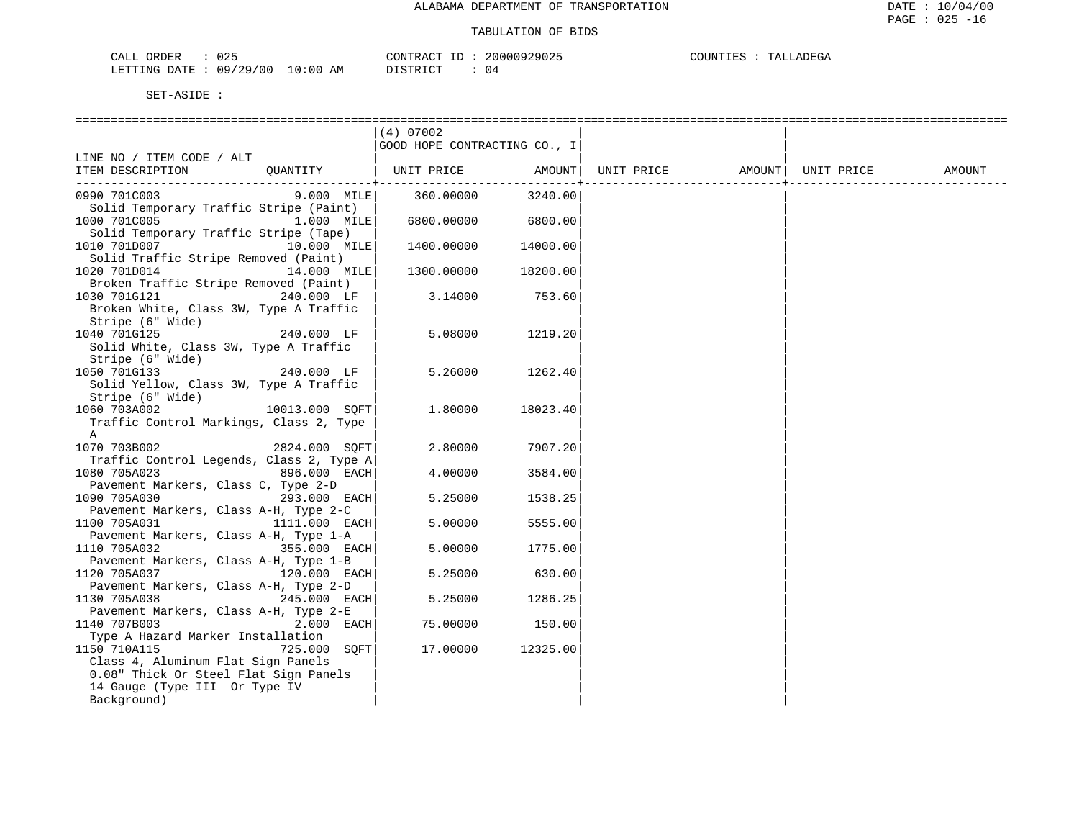| ORDER<br>CALI  | $\sim$ $\sim$ $\sim$<br>U 25 |            | CONTRACT<br>ΙD | 20000929025 | COUNTIES | TALLADEGA |
|----------------|------------------------------|------------|----------------|-------------|----------|-----------|
| LETTING DATE : | 09/29/00                     | $10:00$ AM | DISTRICT       |             |          |           |

|                                                            |                 | (4) 07002                    |                       |                   |            |        |
|------------------------------------------------------------|-----------------|------------------------------|-----------------------|-------------------|------------|--------|
|                                                            |                 | GOOD HOPE CONTRACTING CO., I |                       |                   |            |        |
| LINE NO / ITEM CODE / ALT                                  |                 |                              |                       |                   |            |        |
| ITEM DESCRIPTION                                           | QUANTITY        | UNIT PRICE                   | AMOUNT                | UNIT PRICE AMOUNT | UNIT PRICE | AMOUNT |
| 0990 701C003                                               | $9.000$ MILE    | 360.00000                    | . <b>.</b><br>3240.00 |                   |            |        |
| Solid Temporary Traffic Stripe (Paint)                     |                 |                              |                       |                   |            |        |
| 1000 701C005                                               | 1.000 MILE      | 6800.00000                   | 6800.00               |                   |            |        |
| Solid Temporary Traffic Stripe (Tape)                      |                 |                              |                       |                   |            |        |
| 1010 701D007                                               | 10.000 MILE     | 1400.00000                   | 14000.00              |                   |            |        |
| Solid Traffic Stripe Removed (Paint)<br>1020 701D014       | 14.000 MILE     | 1300.00000                   | 18200.00              |                   |            |        |
| Broken Traffic Stripe Removed (Paint)                      |                 |                              |                       |                   |            |        |
| 1030 701G121                                               | 240.000 LF      | 3.14000                      | 753.60                |                   |            |        |
| Broken White, Class 3W, Type A Traffic                     |                 |                              |                       |                   |            |        |
| Stripe (6" Wide)                                           |                 |                              |                       |                   |            |        |
| 1040 701G125                                               | 240.000 LF      | 5.08000                      | 1219.20               |                   |            |        |
| Solid White, Class 3W, Type A Traffic                      |                 |                              |                       |                   |            |        |
| Stripe (6" Wide)                                           |                 |                              |                       |                   |            |        |
| 1050 701G133                                               | 240.000 LF      | 5.26000                      | 1262.40               |                   |            |        |
| Solid Yellow, Class 3W, Type A Traffic<br>Stripe (6" Wide) |                 |                              |                       |                   |            |        |
| 1060 703A002                                               | 10013.000 SOFT  | 1,80000                      | 18023.40              |                   |            |        |
| Traffic Control Markings, Class 2, Type                    |                 |                              |                       |                   |            |        |
| Α                                                          |                 |                              |                       |                   |            |        |
| 1070 703B002                                               | 2824.000 SQFT   | 2.80000                      | 7907.20               |                   |            |        |
| Traffic Control Legends, Class 2, Type A                   |                 |                              |                       |                   |            |        |
| 1080 705A023                                               | 896.000 EACH    | 4,00000                      | 3584.00               |                   |            |        |
| Pavement Markers, Class C, Type 2-D                        |                 |                              |                       |                   |            |        |
| 1090 705A030                                               | 293.000 EACH    | 5.25000                      | 1538.25               |                   |            |        |
| Pavement Markers, Class A-H, Type 2-C<br>1100 705A031      | 1111.000 EACH   | 5.00000                      | 5555.00               |                   |            |        |
| Pavement Markers, Class A-H, Type 1-A                      |                 |                              |                       |                   |            |        |
| 1110 705A032                                               | 355.000 EACH    | 5.00000                      | 1775.00               |                   |            |        |
| Pavement Markers, Class A-H, Type 1-B                      |                 |                              |                       |                   |            |        |
| 1120 705A037                                               | 120.000 EACH    | 5.25000                      | 630.00                |                   |            |        |
| Pavement Markers, Class A-H, Type 2-D                      |                 |                              |                       |                   |            |        |
| 1130 705A038                                               | 245.000 EACH    | 5.25000                      | 1286.25               |                   |            |        |
| Pavement Markers, Class A-H, Type 2-E<br>1140 707B003      | 2.000 EACH      | 75.00000                     | 150.00                |                   |            |        |
| Type A Hazard Marker Installation                          |                 |                              |                       |                   |            |        |
| 1150 710A115                                               | 725.000<br>SOFT | 17.00000                     | 12325.00              |                   |            |        |
| Class 4, Aluminum Flat Sign Panels                         |                 |                              |                       |                   |            |        |
| 0.08" Thick Or Steel Flat Sign Panels                      |                 |                              |                       |                   |            |        |
| 14 Gauge (Type III Or Type IV                              |                 |                              |                       |                   |            |        |
| Background)                                                |                 |                              |                       |                   |            |        |
|                                                            |                 |                              |                       |                   |            |        |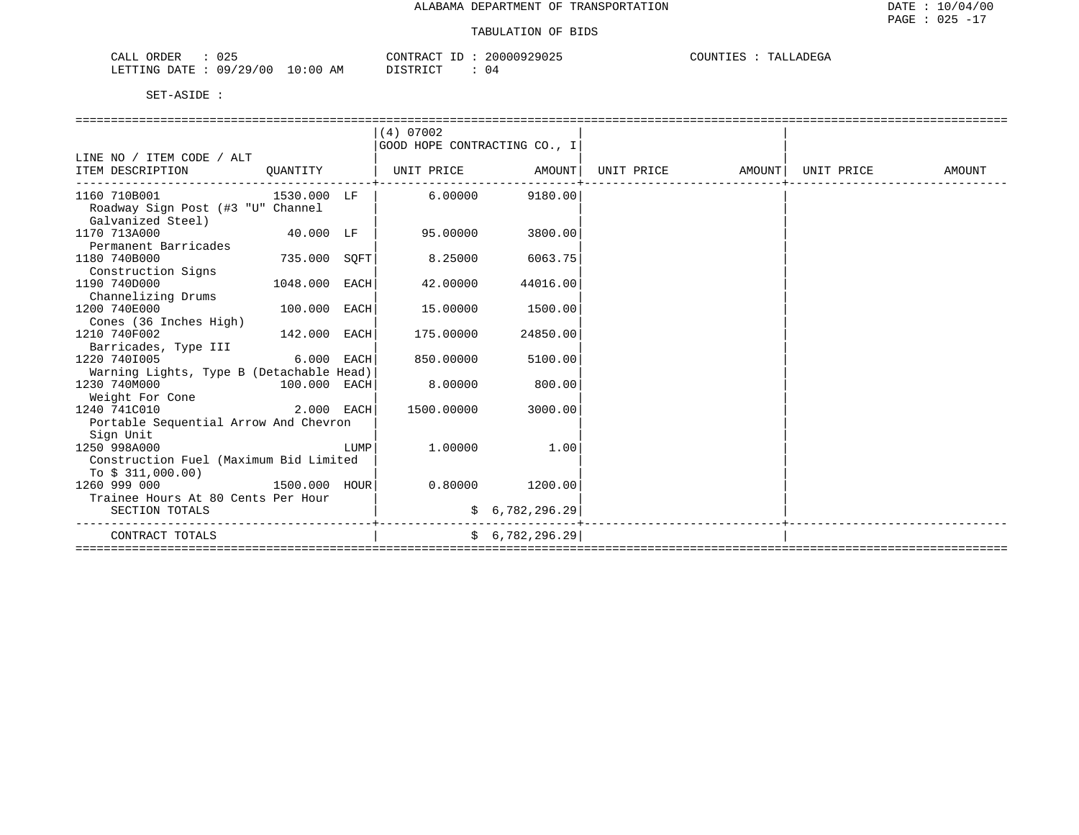| $\bigcap$<br>$\sim$ $\sim$ $\sim$ $\sim$<br>ORDER<br>J 25 | חידור∩י                             | $R^2$ $\sim$ $R^2$ $\sim$ $R^2$ | 20000929025 | <b>ADEGA</b><br>COUNTIE <sup>6</sup><br><b>ጥ Δ ነ</b> |
|-----------------------------------------------------------|-------------------------------------|---------------------------------|-------------|------------------------------------------------------|
| 09/29/00<br>LETTING<br>DATE                               | ! 0 : 0 0<br>AМ<br>STR T<br>------- |                                 | U 4         |                                                      |

|                                          |               |      | (4) 07002                    |                                     |                                |                                    |        |
|------------------------------------------|---------------|------|------------------------------|-------------------------------------|--------------------------------|------------------------------------|--------|
|                                          |               |      | GOOD HOPE CONTRACTING CO., I |                                     |                                |                                    |        |
| LINE NO / ITEM CODE / ALT                |               |      |                              |                                     |                                |                                    |        |
| ITEM DESCRIPTION                         | OUANTITY      |      | UNIT PRICE AMOUNT            |                                     | UNIT PRICE AMOUNT   UNIT PRICE |                                    | AMOUNT |
| 1160 710B001 1530.000 LF                 |               |      |                              | --------------<br>$6.00000$ 9180.00 |                                |                                    |        |
| Roadway Sign Post (#3 "U" Channel        |               |      |                              |                                     |                                |                                    |        |
| Galvanized Steel)                        |               |      |                              |                                     |                                |                                    |        |
| 40.000 LF<br>1170 713A000                |               |      | 95.00000                     | 3800.00                             |                                |                                    |        |
| Permanent Barricades                     |               |      |                              |                                     |                                |                                    |        |
| 1180 740B000                             | 735.000 SQFT  |      | 8.25000                      |                                     |                                |                                    |        |
| Construction Signs                       |               |      |                              | 6063.75                             |                                |                                    |        |
| 1190 740D000                             | 1048.000 EACH |      | 42.00000                     | 44016.00                            |                                |                                    |        |
|                                          |               |      |                              |                                     |                                |                                    |        |
| Channelizing Drums<br>1200 740E000       | 100.000 EACH  |      | 15.00000                     | 1500.00                             |                                |                                    |        |
|                                          |               |      |                              |                                     |                                |                                    |        |
| Cones (36 Inches High)                   |               |      |                              |                                     |                                |                                    |        |
| 1210 740F002                             | 142.000 EACH  |      | 175.00000                    | 24850.00                            |                                |                                    |        |
| Barricades, Type III                     |               |      |                              |                                     |                                |                                    |        |
| -- 6.000 EACH<br>1220 7401005            |               |      | 850.00000                    | 5100.00                             |                                |                                    |        |
| Warning Lights, Type B (Detachable Head) |               |      |                              |                                     |                                |                                    |        |
| 1230 740M000<br>100.000 EACH             |               |      | 8,00000                      | 800.00                              |                                |                                    |        |
| Weight For Cone                          |               |      |                              |                                     |                                |                                    |        |
| 2.000 EACH<br>1240 741C010               |               |      | 1500.00000                   | 3000.00                             |                                |                                    |        |
| Portable Sequential Arrow And Chevron    |               |      |                              |                                     |                                |                                    |        |
| Sign Unit                                |               |      |                              |                                     |                                |                                    |        |
| 1250 998A000                             |               | LUMP | 1.00000                      | 1.00                                |                                |                                    |        |
| Construction Fuel (Maximum Bid Limited   |               |      |                              |                                     |                                |                                    |        |
| To $$311,000.00)$                        |               |      |                              |                                     |                                |                                    |        |
| $1500.000$ HOUR<br>1260 999 000          |               |      | $0.80000$ 1200.00            |                                     |                                |                                    |        |
| Trainee Hours At 80 Cents Per Hour       |               |      |                              |                                     |                                |                                    |        |
| SECTION TOTALS                           |               |      |                              | \$6,782,296.29                      |                                |                                    |        |
| CONTRACT TOTALS                          |               |      |                              | \$6,782,296.29]                     |                                |                                    |        |
|                                          |               |      |                              |                                     |                                | ================================== |        |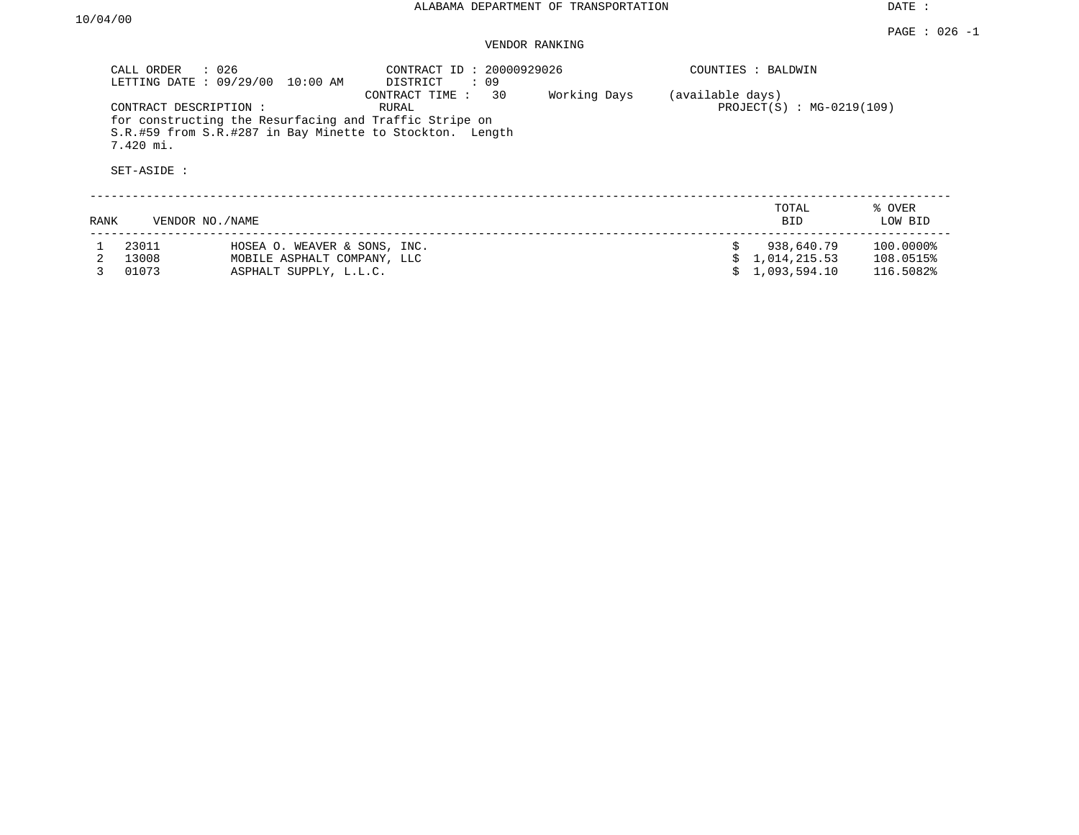# VENDOR RANKING

|      | CALL ORDER<br>LETTING DATE: 09/29/00               | : 026<br>10:00 AM                                      | CONTRACT ID: 20000929026<br>DISTRICT<br>: 09                                              |              |                  | COUNTIES : BALDWIN          |                   |
|------|----------------------------------------------------|--------------------------------------------------------|-------------------------------------------------------------------------------------------|--------------|------------------|-----------------------------|-------------------|
|      | CONTRACT DESCRIPTION :<br>7.420 mi.<br>SET-ASIDE : | for constructing the Resurfacing and Traffic Stripe on | 30<br>CONTRACT TIME:<br>RURAL<br>S.R.#59 from S.R.#287 in Bay Minette to Stockton. Length | Working Days | (available days) | $PROJECT(S) : MG-0219(109)$ |                   |
| RANK |                                                    | VENDOR NO./NAME                                        |                                                                                           |              |                  | TOTAL<br><b>BID</b>         | % OVER<br>LOW BID |
|      | 23011                                              | HOSEA O. WEAVER & SONS, INC.                           |                                                                                           |              |                  | 938,640.79                  | 100.0000%         |
|      | 13008                                              | MOBILE ASPHALT COMPANY, LLC                            |                                                                                           |              |                  | 1,014,215.53                | 108.0515%         |
|      | 01073                                              | ASPHALT SUPPLY, L.L.C.                                 |                                                                                           |              |                  | 1,093,594.10                | 116.5082%         |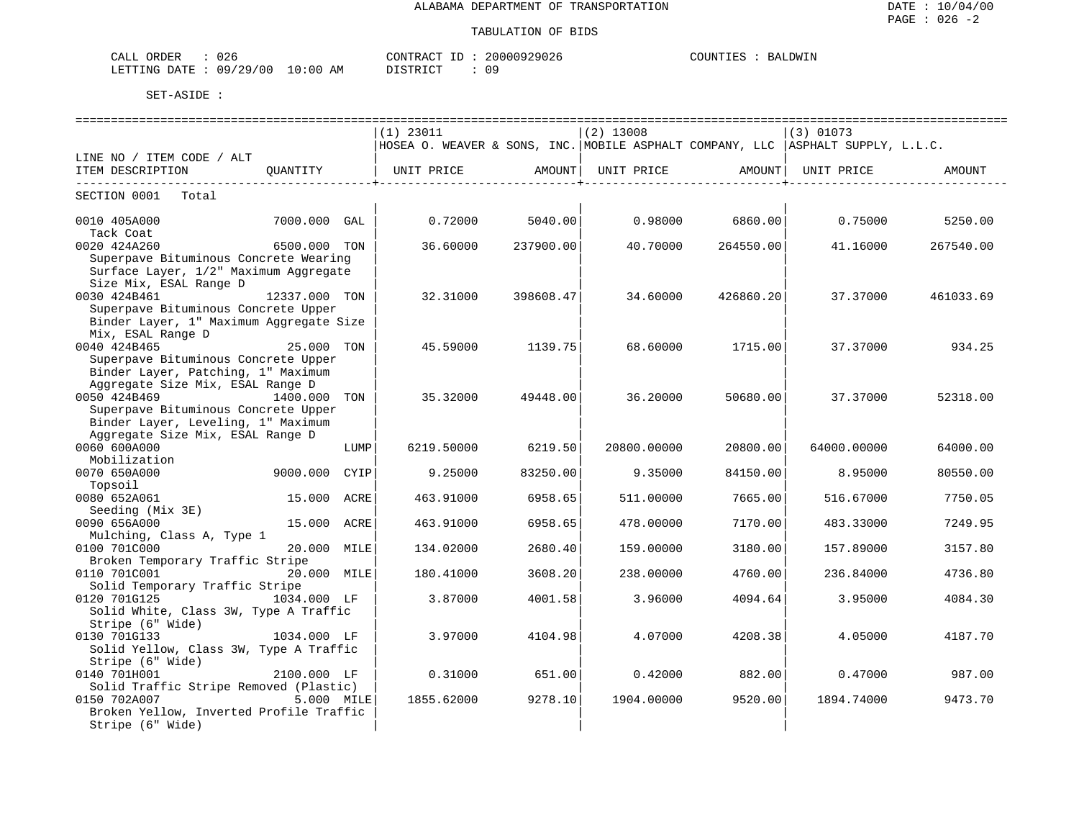| 026<br>CALL ORDER               | CONTRACT ID: 20000929026 | COUNTIES :<br>BALDWIN |
|---------------------------------|--------------------------|-----------------------|
| LETTING DATE: 09/29/00 10:00 AM | DISTRICT                 |                       |

|                                         |               |      |                                                                                   |           |             |                    | ------------------------- |           |
|-----------------------------------------|---------------|------|-----------------------------------------------------------------------------------|-----------|-------------|--------------------|---------------------------|-----------|
|                                         |               |      | $(1)$ 23011                                                                       |           | $(2)$ 13008 |                    | $(3)$ 01073               |           |
|                                         |               |      | HOSEA O. WEAVER & SONS, INC. MOBILE ASPHALT COMPANY, LLC   ASPHALT SUPPLY, L.L.C. |           |             |                    |                           |           |
| LINE NO / ITEM CODE / ALT               |               |      |                                                                                   |           |             |                    |                           |           |
| ITEM DESCRIPTION                        | QUANTITY      |      | UNIT PRICE                                                                        | AMOUNT    |             | UNIT PRICE AMOUNT  | UNIT PRICE                | AMOUNT    |
|                                         |               |      |                                                                                   |           |             | ----------------+- |                           |           |
| SECTION 0001 Total                      |               |      |                                                                                   |           |             |                    |                           |           |
|                                         |               |      |                                                                                   |           |             |                    |                           |           |
| 0010 405A000                            | 7000.000 GAL  |      | 0.72000                                                                           | 5040.00   | 0.98000     | 6860.00            | 0.75000                   | 5250.00   |
| Tack Coat                               |               |      |                                                                                   |           |             |                    |                           |           |
| 0020 424A260                            | 6500.000 TON  |      | 36.60000                                                                          | 237900.00 | 40.70000    | 264550.00          | 41.16000                  | 267540.00 |
| Superpave Bituminous Concrete Wearing   |               |      |                                                                                   |           |             |                    |                           |           |
| Surface Layer, 1/2" Maximum Aggregate   |               |      |                                                                                   |           |             |                    |                           |           |
| Size Mix, ESAL Range D                  |               |      |                                                                                   |           |             |                    |                           |           |
| 0030 424B461                            | 12337.000 TON |      | 32.31000                                                                          | 398608.47 | 34.60000    | 426860.20          | 37.37000                  | 461033.69 |
| Superpave Bituminous Concrete Upper     |               |      |                                                                                   |           |             |                    |                           |           |
| Binder Layer, 1" Maximum Aggregate Size |               |      |                                                                                   |           |             |                    |                           |           |
| Mix, ESAL Range D                       |               |      |                                                                                   |           |             |                    |                           |           |
| 0040 424B465                            | 25.000 TON    |      | 45.59000                                                                          | 1139.75   | 68.60000    | 1715.00            | 37.37000                  | 934.25    |
| Superpave Bituminous Concrete Upper     |               |      |                                                                                   |           |             |                    |                           |           |
| Binder Layer, Patching, 1" Maximum      |               |      |                                                                                   |           |             |                    |                           |           |
| Aggregate Size Mix, ESAL Range D        |               |      |                                                                                   |           |             |                    |                           |           |
| 0050 424B469                            | 1400.000 TON  |      | 35.32000                                                                          | 49448.00  | 36.20000    | 50680.00           | 37.37000                  | 52318.00  |
| Superpave Bituminous Concrete Upper     |               |      |                                                                                   |           |             |                    |                           |           |
| Binder Layer, Leveling, 1" Maximum      |               |      |                                                                                   |           |             |                    |                           |           |
| Aggregate Size Mix, ESAL Range D        |               |      |                                                                                   |           |             |                    |                           |           |
| 0060 600A000                            |               | LUMP | 6219.50000                                                                        | 6219.50   | 20800.00000 | 20800.00           | 64000.00000               | 64000.00  |
| Mobilization                            |               |      |                                                                                   |           |             |                    |                           |           |
| 0070 650A000                            | 9000.000 CYIP |      | 9.25000                                                                           | 83250.00  | 9.35000     | 84150.00           | 8.95000                   | 80550.00  |
| Topsoil                                 |               |      |                                                                                   |           |             |                    |                           |           |
| 0080 652A061                            | 15.000 ACRE   |      | 463.91000                                                                         | 6958.65   | 511,00000   | 7665.00            | 516.67000                 | 7750.05   |
| Seeding (Mix 3E)                        |               |      |                                                                                   |           |             |                    |                           |           |
| 0090 656A000                            | 15.000 ACRE   |      | 463.91000                                                                         | 6958.65   | 478.00000   | 7170.00            | 483.33000                 | 7249.95   |
| Mulching, Class A, Type 1               |               |      |                                                                                   |           |             |                    |                           |           |
| 0100 701C000                            | 20.000 MILE   |      | 134.02000                                                                         | 2680.40   | 159.00000   | 3180.00            | 157.89000                 | 3157.80   |
| Broken Temporary Traffic Stripe         |               |      |                                                                                   |           |             |                    |                           |           |
| 0110 701C001                            | 20.000 MILE   |      | 180.41000                                                                         | 3608.20   | 238.00000   | 4760.00            | 236.84000                 | 4736.80   |
| Solid Temporary Traffic Stripe          |               |      |                                                                                   |           |             |                    |                           |           |
| 0120 701G125                            | 1034.000 LF   |      | 3.87000                                                                           | 4001.58   | 3.96000     | 4094.64            | 3.95000                   | 4084.30   |
| Solid White, Class 3W, Type A Traffic   |               |      |                                                                                   |           |             |                    |                           |           |
| Stripe (6" Wide)                        |               |      |                                                                                   |           |             |                    |                           |           |
| 0130 701G133                            | 1034.000 LF   |      | 3.97000                                                                           | 4104.98   | 4.07000     | 4208.38            | 4.05000                   | 4187.70   |
| Solid Yellow, Class 3W, Type A Traffic  |               |      |                                                                                   |           |             |                    |                           |           |
| Stripe (6" Wide)                        |               |      |                                                                                   |           |             |                    |                           |           |
| 0140 701H001                            | 2100.000 LF   |      | 0.31000                                                                           | 651.00    | 0.42000     | 882.00             | 0.47000                   | 987.00    |
| Solid Traffic Stripe Removed (Plastic)  |               |      |                                                                                   |           |             |                    |                           |           |
| 0150 702A007                            | 5.000 MILE    |      | 1855.62000                                                                        | 9278.10   | 1904.00000  | 9520.00            | 1894.74000                | 9473.70   |
| Broken Yellow, Inverted Profile Traffic |               |      |                                                                                   |           |             |                    |                           |           |
| Stripe (6" Wide)                        |               |      |                                                                                   |           |             |                    |                           |           |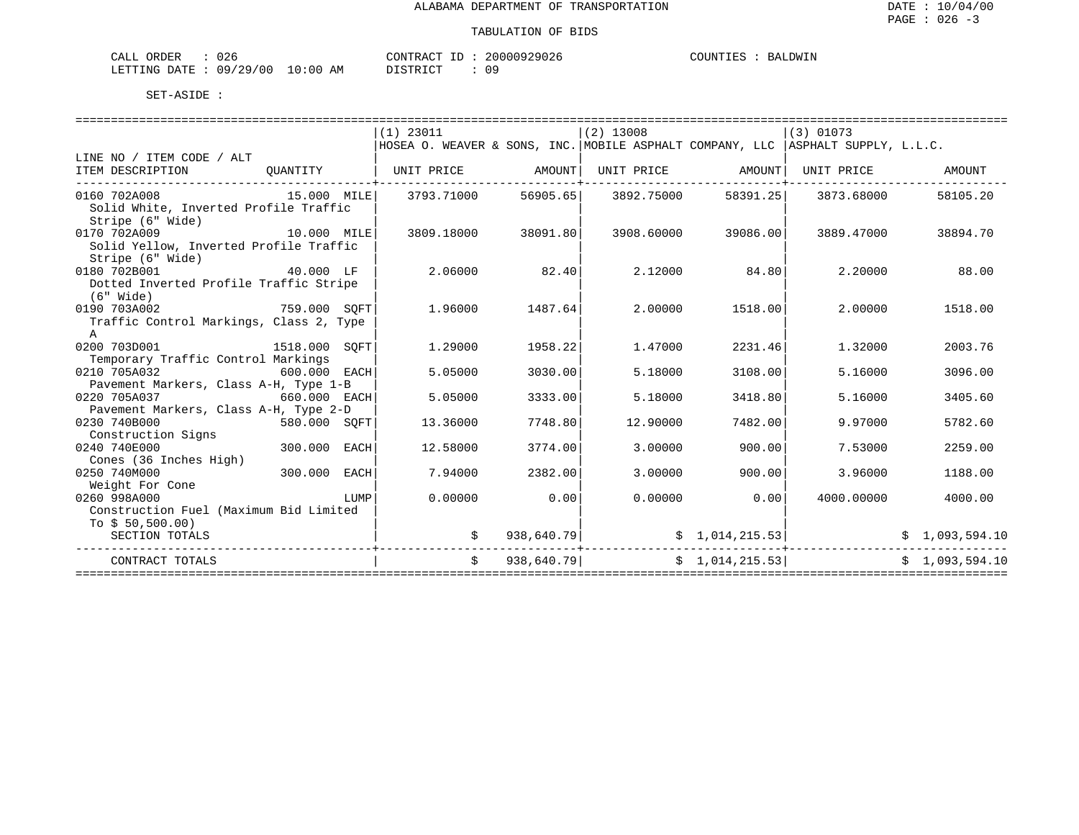| L ORDER<br>CALL                  | 026 | CONTRACT ID | 20000929026 | COUNTIES | BALDWIN |
|----------------------------------|-----|-------------|-------------|----------|---------|
| LETTING DATE : 09/29/00 10:00 AM |     | DISTRICT    | n a         |          |         |

|                                                    |                | $(1)$ 23011                                                                       |          | $(2)$ 13008                                     |                | $(3)$ 01073                                              |                |
|----------------------------------------------------|----------------|-----------------------------------------------------------------------------------|----------|-------------------------------------------------|----------------|----------------------------------------------------------|----------------|
|                                                    |                | HOSEA O. WEAVER & SONS, INC. MOBILE ASPHALT COMPANY, LLC   ASPHALT SUPPLY, L.L.C. |          |                                                 |                |                                                          |                |
| LINE NO / ITEM CODE / ALT                          |                |                                                                                   |          |                                                 |                |                                                          |                |
| ITEM DESCRIPTION                                   | QUANTITY       | UNIT PRICE AMOUNT   UNIT PRICE AMOUNT                                             |          |                                                 |                | UNIT PRICE                                               | AMOUNT         |
| 0160 702A008                                       |                | 15.000 MILE 3793.71000                                                            |          | 56905.65 3892.75000                             |                | 58391.25 3873.68000                                      | 58105.20       |
| Solid White, Inverted Profile Traffic              |                |                                                                                   |          |                                                 |                |                                                          |                |
| Stripe (6" Wide)                                   |                |                                                                                   |          |                                                 |                |                                                          |                |
| 0170 702A009                                       | 10.000 MILE    | 3809.18000                                                                        | 38091.80 | 3908.60000                                      | 39086.00       | 3889.47000                                               | 38894.70       |
| Solid Yellow, Inverted Profile Traffic             |                |                                                                                   |          |                                                 |                |                                                          |                |
| Stripe (6" Wide)                                   |                |                                                                                   |          |                                                 |                |                                                          |                |
| 0180 702B001                                       | 40.000 LF      | 2.06000                                                                           | 82.40    |                                                 | 2.12000 84.80  |                                                          | 2.20000 88.00  |
| Dotted Inverted Profile Traffic Stripe             |                |                                                                                   |          |                                                 |                |                                                          |                |
| (6" Wide)                                          |                |                                                                                   |          |                                                 |                |                                                          |                |
| 759.000 SOFT<br>0190 703A002                       |                | 1,96000                                                                           | 1487.64  | 2,00000                                         | 1518.00        | 2.00000                                                  | 1518.00        |
| Traffic Control Markings, Class 2, Type            |                |                                                                                   |          |                                                 |                |                                                          |                |
| $\mathbb{A}$                                       |                | 1,29000                                                                           |          | 1.47000                                         |                |                                                          |                |
| 0200 703D001                                       | 1518.000 SOFT  |                                                                                   | 1958.22  |                                                 | 2231.46        | 1.32000                                                  | 2003.76        |
| Temporary Traffic Control Markings<br>0210 705A032 | $600.000$ EACH | 5.05000                                                                           | 3030.00  | 5.18000                                         | 3108.00        | 5.16000                                                  | 3096.00        |
| Pavement Markers, Class A-H, Type 1-B              |                |                                                                                   |          |                                                 |                |                                                          |                |
| 0220 705A037<br>660.000 EACH                       |                | 5.05000                                                                           | 3333.00  | 5.18000                                         | 3418.80        | 5.16000                                                  | 3405.60        |
| Pavement Markers, Class A-H, Type 2-D              |                |                                                                                   |          |                                                 |                |                                                          |                |
| 0230 740B000<br>580.000 SQFT                       |                | 13.36000                                                                          | 7748.80  | 12,90000                                        | 7482.00        | 9.97000                                                  | 5782.60        |
| Construction Signs                                 |                |                                                                                   |          |                                                 |                |                                                          |                |
| 300.000 EACH<br>0240 740E000                       |                | 12.58000                                                                          | 3774.00  | 3.00000                                         | 900.00         | 7.53000                                                  | 2259.00        |
| Cones (36 Inches High)                             |                |                                                                                   |          |                                                 |                |                                                          |                |
| 0250 740M000<br>300.000 EACH                       |                | 7.94000                                                                           | 2382.00  | 3.00000                                         | 900.00         | 3.96000                                                  | 1188.00        |
| Weight For Cone                                    |                |                                                                                   |          |                                                 |                |                                                          |                |
| 0260 998A000<br>LUMP LUMP                          |                | 0.00000                                                                           | 0.00     |                                                 | $0.00000$ 0.00 | 4000.00000                                               | 4000.00        |
| Construction Fuel (Maximum Bid Limited             |                |                                                                                   |          |                                                 |                |                                                          |                |
| To $$50,500.00)$                                   |                |                                                                                   |          |                                                 |                |                                                          |                |
| SECTION TOTALS                                     |                |                                                                                   |          | 938,640.79                                      |                | \$1,014,215.53]<br>. + - - - - - - - - - - - - - - - - - | \$1,093,594.10 |
| CONTRACT TOTALS                                    |                | $\ddot{s}$                                                                        |          | $938,640.79$ $\uparrow$ $\qquad$ $1,014,215.53$ |                |                                                          | \$1,093,594.10 |
|                                                    |                |                                                                                   |          |                                                 |                |                                                          |                |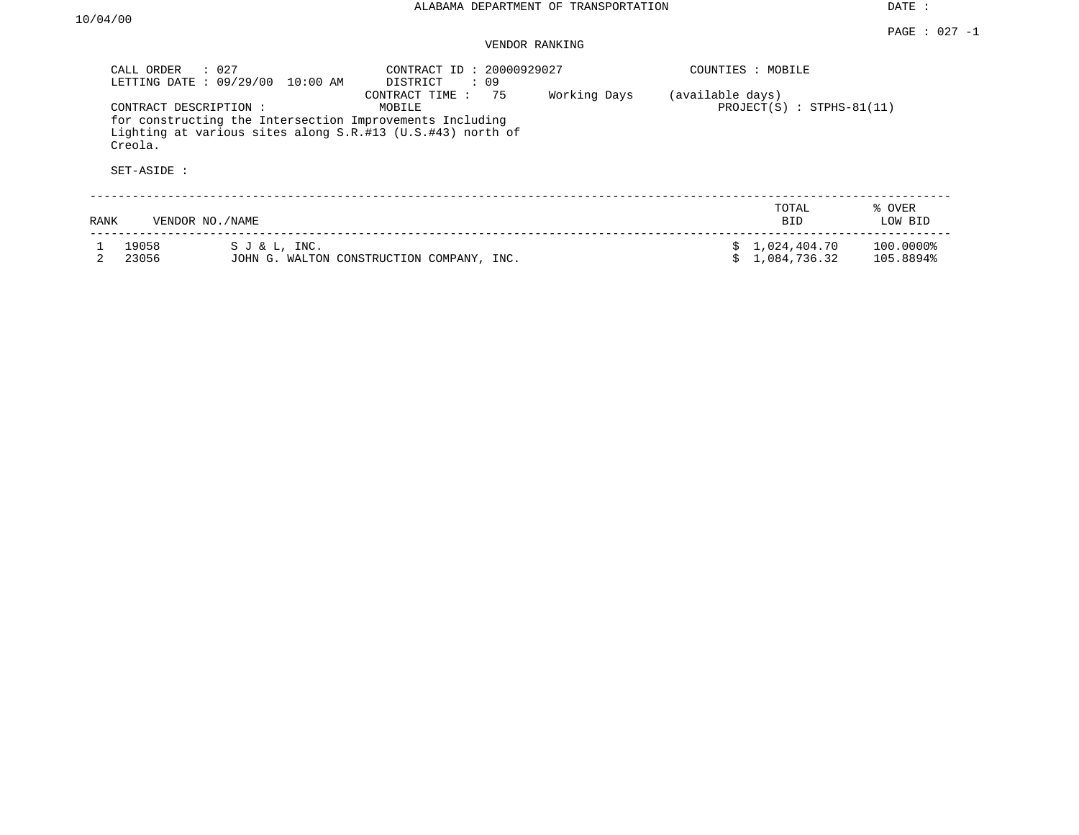DATE :

# VENDOR RANKING

| CALL ORDER     | : 027<br>LETTING DATE: 09/29/00<br>$10:00$ AM                                                                                                     | CONTRACT ID: 20000929027<br>DISTRICT<br>: 09 |              |                  | COUNTIES : MOBILE            |                        |
|----------------|---------------------------------------------------------------------------------------------------------------------------------------------------|----------------------------------------------|--------------|------------------|------------------------------|------------------------|
| Creola.        | CONTRACT DESCRIPTION:<br>for constructing the Intersection Improvements Including<br>Lighting at various sites along $S.R.+13$ (U.S.#43) north of | 75<br>CONTRACT TIME:<br>MOBILE               | Working Days | (available days) | $PROJECT(S) : STPHS-81(11)$  |                        |
| SET-ASIDE :    |                                                                                                                                                   |                                              |              |                  |                              |                        |
| RANK           | VENDOR NO. / NAME                                                                                                                                 |                                              |              |                  | TOTAL<br><b>BID</b>          | % OVER<br>LOW BID      |
| 19058<br>23056 | SJ & L, INC.                                                                                                                                      | JOHN G. WALTON CONSTRUCTION COMPANY, INC.    |              | S.               | 1,024,404.70<br>1,084,736.32 | 100.0000%<br>105.8894% |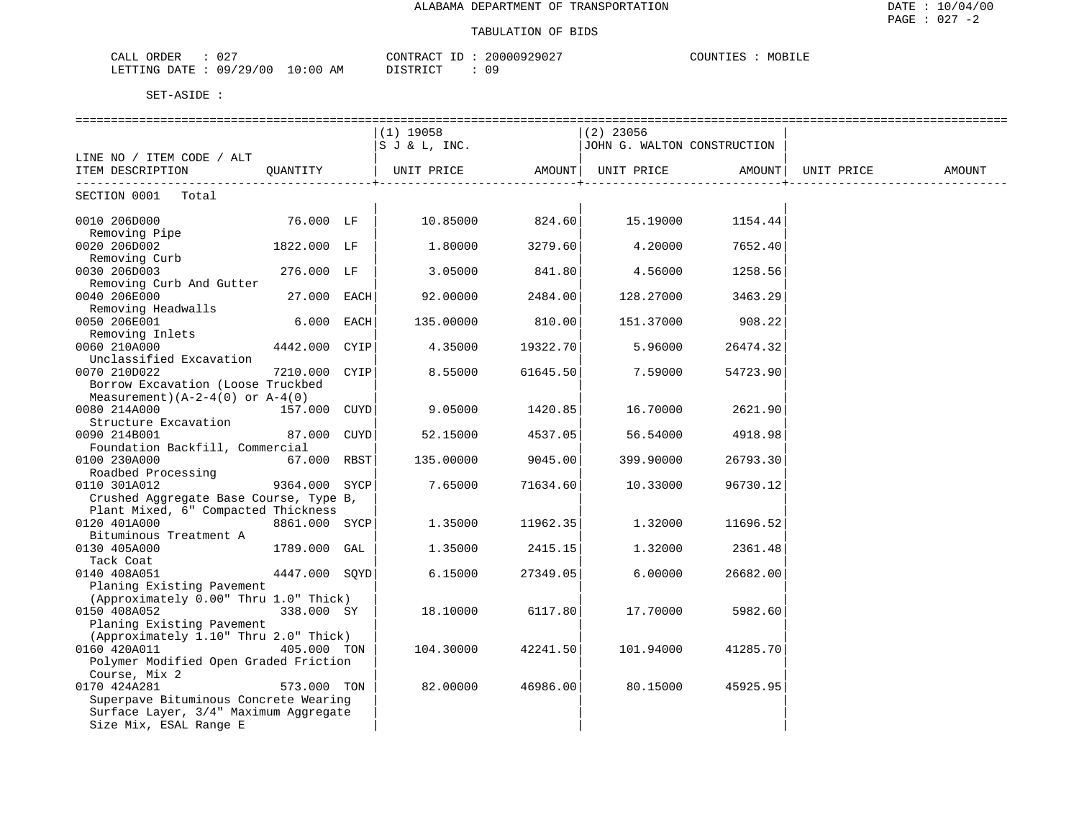| 027<br>ORDER<br>CALL     | CONTRACT               | TD. | 20000929027 | COUNTIES<br>MOBILE |
|--------------------------|------------------------|-----|-------------|--------------------|
| 09/29/00<br>LETTING DATE | $10:00$ AM<br>DISTRICT |     | nα          |                    |

|                                                                  |               |                               |          | ===============             |          |            |        |
|------------------------------------------------------------------|---------------|-------------------------------|----------|-----------------------------|----------|------------|--------|
|                                                                  |               | $(1)$ 19058                   |          | $(2)$ 23056                 |          |            |        |
|                                                                  |               | $ S \cup \& L, \text{INC.}$   |          | JOHN G. WALTON CONSTRUCTION |          |            |        |
| LINE NO / ITEM CODE / ALT                                        |               |                               |          |                             |          |            |        |
| ITEM DESCRIPTION                                                 | OUANTITY      | UNIT PRICE                    |          | AMOUNT   UNIT PRICE AMOUNT  |          | UNIT PRICE | AMOUNT |
|                                                                  |               | ----------------------------- |          |                             |          |            |        |
| SECTION 0001 Total                                               |               |                               |          |                             |          |            |        |
|                                                                  |               |                               |          |                             |          |            |        |
| 0010 206D000 block                                               | 76.000 LF     | 10.85000 824.60 15.19000      |          |                             | 1154.44  |            |        |
| Removing Pipe                                                    |               |                               |          |                             |          |            |        |
| 0020 206D002                                                     | 1822.000 LF   | 1.80000                       | 3279.60  | 4.20000                     | 7652.40  |            |        |
| Removing Curb                                                    |               |                               |          |                             |          |            |        |
| 0030 206D003                                                     | 276.000 LF    | 3.05000                       | 841.80   | 4.56000                     | 1258.56  |            |        |
| Removing Curb And Gutter                                         |               |                               |          |                             |          |            |        |
| 0040 206E000                                                     | 27.000 EACH   | 92.00000                      | 2484.00  | 128.27000                   | 3463.29  |            |        |
| Removing Headwalls                                               |               |                               |          |                             |          |            |        |
| 0050 206E001                                                     | $6.000$ EACH  | 135.00000                     | 810.00   | 151.37000                   | 908.22   |            |        |
| Removing Inlets                                                  |               |                               |          |                             |          |            |        |
| 0060 210A000                                                     | 4442.000 CYIP | 4.35000                       | 19322.70 | 5.96000                     | 26474.32 |            |        |
| Unclassified Excavation                                          |               |                               |          |                             |          |            |        |
| 0070 210D022                                                     | 7210.000 CYIP | 8.55000                       | 61645.50 | 7.59000                     | 54723.90 |            |        |
| Borrow Excavation (Loose Truckbed                                |               |                               |          |                             |          |            |        |
| Measurement) $(A-2-4(0)$ or $A-4(0)$                             |               |                               |          |                             |          |            |        |
| 0080 214A000                                                     | 157.000 CUYD  | 9.05000                       | 1420.85  | 16.70000                    | 2621.90  |            |        |
| Structure Excavation                                             |               |                               |          |                             |          |            |        |
| 0090 214B001                                                     | 87.000 CUYD   | 52.15000                      | 4537.05  | 56.54000                    | 4918.98  |            |        |
| Foundation Backfill, Commercial                                  |               |                               |          |                             |          |            |        |
| 0100 230A000                                                     | 67.000 RBST   | 135.00000                     | 9045.00  | 399.90000                   | 26793.30 |            |        |
|                                                                  |               |                               |          |                             |          |            |        |
| Roadbed Processing<br>0110 3014012 9364.000 SYCP<br>0110 301A012 |               | 7.65000                       | 71634.60 | 10.33000                    | 96730.12 |            |        |
| Crushed Aggregate Base Course, Type B,                           |               |                               |          |                             |          |            |        |
| Plant Mixed, 6" Compacted Thickness                              |               |                               |          |                             |          |            |        |
| 0120 401A000                                                     | 8861.000 SYCP | 1.35000                       | 11962.35 | 1.32000                     | 11696.52 |            |        |
| Bituminous Treatment A                                           |               |                               |          |                             |          |            |        |
| 1789.000 GAL<br>0130 405A000                                     |               | 1.35000                       | 2415.15  | 1.32000                     | 2361.48  |            |        |
| Tack Coat                                                        |               |                               |          |                             |          |            |        |
| 0140 408A051                                                     | 4447.000 SOYD | 6.15000                       | 27349.05 | 6,00000                     | 26682.00 |            |        |
| Planing Existing Pavement                                        |               |                               |          |                             |          |            |        |
| (Approximately 0.00" Thru 1.0" Thick)                            |               |                               |          |                             |          |            |        |
| 0150 408A052                                                     | 338.000 SY    | 18.10000                      | 6117.80  | 17.70000                    | 5982.60  |            |        |
| Planing Existing Pavement                                        |               |                               |          |                             |          |            |        |
| (Approximately 1.10" Thru 2.0" Thick)                            |               |                               |          |                             |          |            |        |
| 0160 420A011                                                     | 405.000 TON   | 104.30000                     | 42241.50 | 101.94000                   | 41285.70 |            |        |
| Polymer Modified Open Graded Friction                            |               |                               |          |                             |          |            |        |
| Course, Mix 2                                                    |               |                               |          |                             |          |            |        |
| 0170 424A281                                                     | 573.000 TON   | 82.00000                      | 46986.00 | 80.15000                    | 45925.95 |            |        |
| Superpave Bituminous Concrete Wearing                            |               |                               |          |                             |          |            |        |
| Surface Layer, 3/4" Maximum Aggregate                            |               |                               |          |                             |          |            |        |
| Size Mix, ESAL Range E                                           |               |                               |          |                             |          |            |        |
|                                                                  |               |                               |          |                             |          |            |        |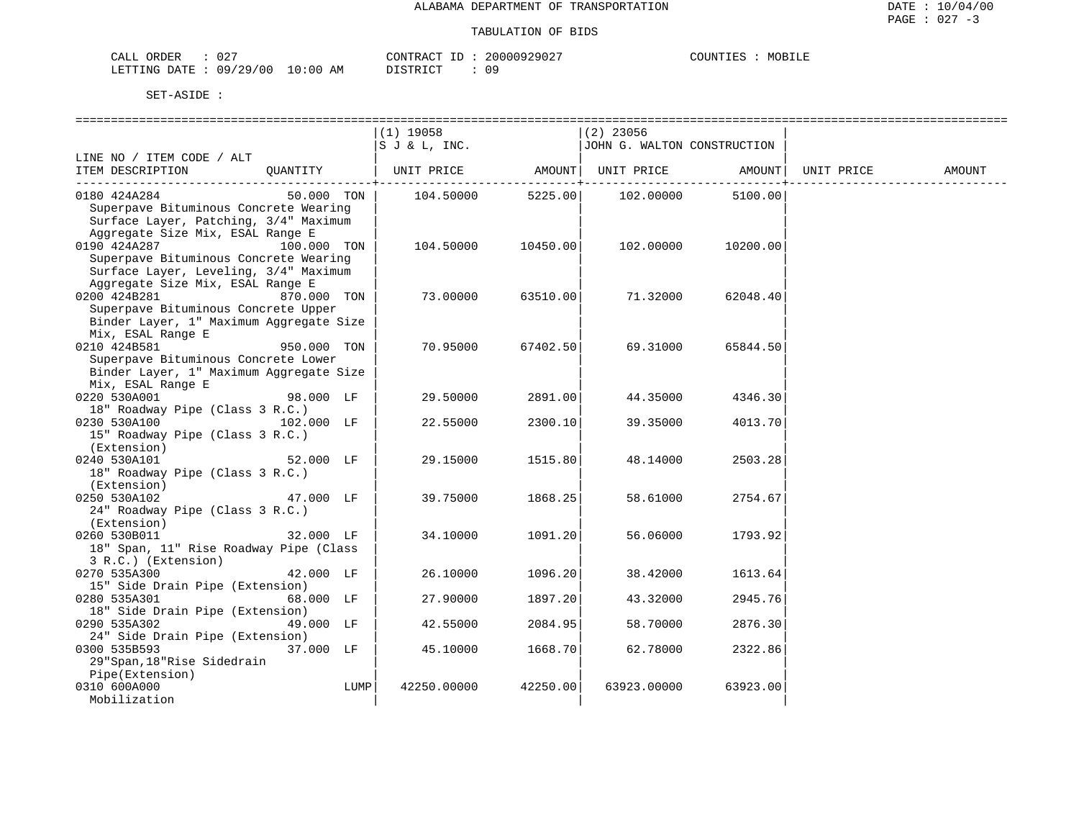| CALL ORDER                      | 027 | CONTRACT ID: 20000929027 | MOBILE<br>COUNTIES : |
|---------------------------------|-----|--------------------------|----------------------|
| LETTING DATE: 09/29/00 10:00 AM |     | DISTRICT                 |                      |

|                                                               |      | $(1)$ 19058       |          | $(2)$ 23056                 |          |                    |        |
|---------------------------------------------------------------|------|-------------------|----------|-----------------------------|----------|--------------------|--------|
|                                                               |      | $S$ J & L, INC.   |          | JOHN G. WALTON CONSTRUCTION |          |                    |        |
| LINE NO / ITEM CODE / ALT                                     |      |                   |          |                             |          |                    |        |
| ITEM DESCRIPTION<br>OUANTITY                                  |      | UNIT PRICE        |          | AMOUNT UNIT PRICE           |          | AMOUNT  UNIT PRICE | AMOUNT |
| 50.000 TON<br>0180 424A284                                    |      | 104.50000 5225.00 |          | 102.00000                   | 5100.00  |                    |        |
| Superpave Bituminous Concrete Wearing                         |      |                   |          |                             |          |                    |        |
| Surface Layer, Patching, 3/4" Maximum                         |      |                   |          |                             |          |                    |        |
| Aggregate Size Mix, ESAL Range E                              |      |                   |          |                             |          |                    |        |
| 0190 424A287<br>100.000 TON                                   |      | 104.50000         | 10450.00 | 102.00000                   | 10200.00 |                    |        |
| Superpave Bituminous Concrete Wearing                         |      |                   |          |                             |          |                    |        |
| Surface Layer, Leveling, 3/4" Maximum                         |      |                   |          |                             |          |                    |        |
| Aggregate Size Mix, ESAL Range E                              |      |                   |          |                             |          |                    |        |
| 0200 424B281<br>870.000 TON                                   |      | 73.00000          | 63510.00 | 71.32000                    | 62048.40 |                    |        |
| Superpave Bituminous Concrete Upper                           |      |                   |          |                             |          |                    |        |
| Binder Layer, 1" Maximum Aggregate Size                       |      |                   |          |                             |          |                    |        |
| Mix, ESAL Range E                                             |      |                   |          |                             |          |                    |        |
| 0210 424B581<br>950.000 TON                                   |      | 70.95000          | 67402.50 | 69.31000                    | 65844.50 |                    |        |
| Superpave Bituminous Concrete Lower                           |      |                   |          |                             |          |                    |        |
| Binder Layer, 1" Maximum Aggregate Size                       |      |                   |          |                             |          |                    |        |
| Mix, ESAL Range E                                             |      |                   |          |                             |          |                    |        |
| 0220 530A001<br>98.000 LF                                     |      | 29.50000          | 2891.00  | 44.35000                    | 4346.30  |                    |        |
| 18" Roadway Pipe (Class 3 R.C.)<br>0230 530A100<br>102.000 LF |      | 22.55000          | 2300.10  | 39.35000                    | 4013.70  |                    |        |
| 15" Roadway Pipe (Class 3 R.C.)                               |      |                   |          |                             |          |                    |        |
| (Extension)                                                   |      |                   |          |                             |          |                    |        |
| 0240 530A101<br>52.000 LF                                     |      | 29.15000          | 1515.80  | 48.14000                    | 2503.28  |                    |        |
| 18" Roadway Pipe (Class 3 R.C.)                               |      |                   |          |                             |          |                    |        |
| (Extension)                                                   |      |                   |          |                             |          |                    |        |
| 0250 530A102<br>47.000 LF                                     |      | 39.75000          | 1868.25  | 58.61000                    | 2754.67  |                    |        |
| 24" Roadway Pipe (Class 3 R.C.)                               |      |                   |          |                             |          |                    |        |
| (Extension)                                                   |      |                   |          |                             |          |                    |        |
| 0260 530B011<br>32.000 LF                                     |      | 34.10000          | 1091.20  | 56.06000                    | 1793.92  |                    |        |
| 18" Span, 11" Rise Roadway Pipe (Class                        |      |                   |          |                             |          |                    |        |
| 3 R.C.) (Extension)                                           |      |                   |          |                             |          |                    |        |
| 0270 535A300<br>42.000 LF                                     |      | 26.10000          | 1096.20  | 38.42000                    | 1613.64  |                    |        |
| 15" Side Drain Pipe (Extension)                               |      |                   |          |                             |          |                    |        |
| 0280 535A301<br>68.000 LF                                     |      | 27.90000          | 1897.20  | 43.32000                    | 2945.76  |                    |        |
| 18" Side Drain Pipe (Extension)                               |      |                   |          |                             |          |                    |        |
| 0290 535A302<br>49.000 LF                                     |      | 42.55000          | 2084.95  | 58.70000                    | 2876.30  |                    |        |
| 24" Side Drain Pipe (Extension)                               |      |                   |          |                             |          |                    |        |
| 0300 535B593<br>37.000 LF                                     |      | 45.10000          | 1668.70  | 62.78000                    | 2322.86  |                    |        |
| 29"Span, 18"Rise Sidedrain                                    |      |                   |          |                             |          |                    |        |
| Pipe(Extension)                                               |      |                   |          |                             |          |                    |        |
| 0310 600A000                                                  | LUMP | 42250.00000       | 42250.00 | 63923.00000                 | 63923.00 |                    |        |
| Mobilization                                                  |      |                   |          |                             |          |                    |        |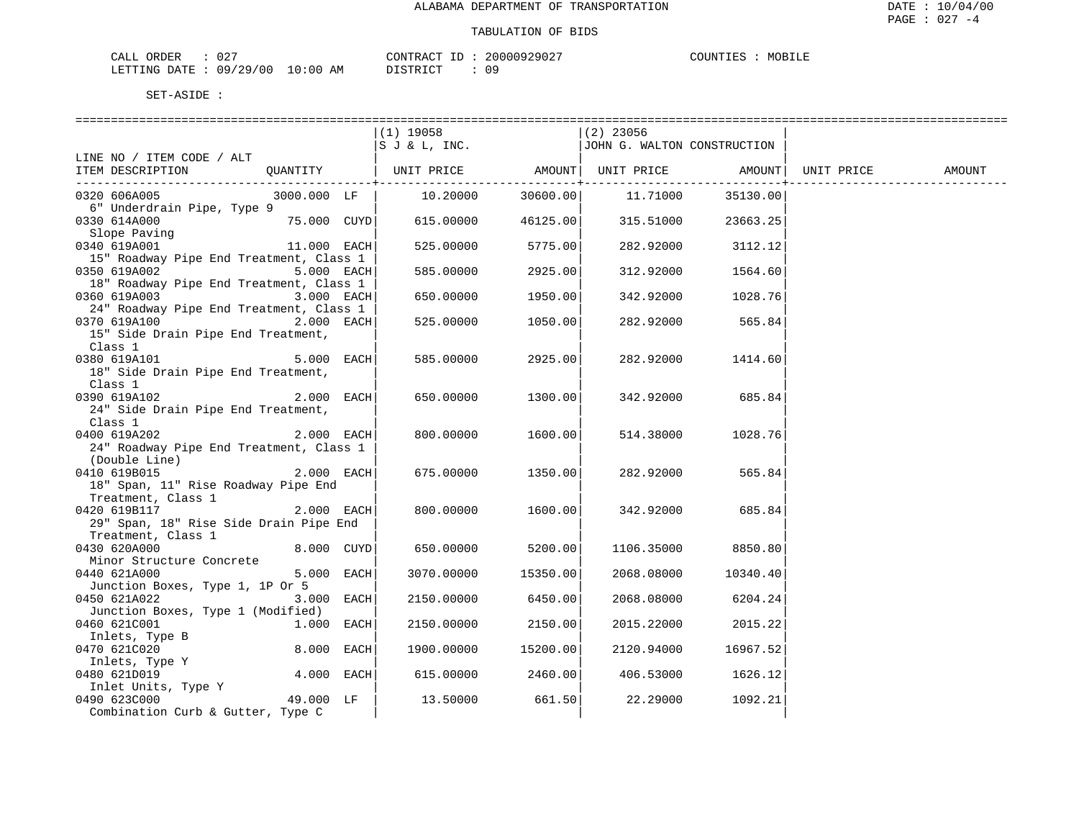| CALL ORDER                      | 027 | CONTRACT ID: 20000929027 |     | COUNTIES | MOBILE |
|---------------------------------|-----|--------------------------|-----|----------|--------|
| LETTING DATE: 09/29/00 10:00 AM |     | DISTRICT                 | n c |          |        |

| SET-ASIDE |  |
|-----------|--|
|           |  |

|                                               |               |                                                |          | =================                        |                    |        |
|-----------------------------------------------|---------------|------------------------------------------------|----------|------------------------------------------|--------------------|--------|
|                                               |               | $(1)$ 19058                                    |          | $ (2)$ 23056                             |                    |        |
|                                               |               |                                                |          |                                          |                    |        |
| LINE NO / ITEM CODE / ALT                     |               |                                                |          |                                          |                    |        |
| ITEM DESCRIPTION QUANTITY                     |               | UNIT PRICE AMOUNT UNIT PRICE AMOUNT UNIT PRICE |          |                                          |                    | AMOUNT |
| 0320 606A005                                  | 3000.000 LF   | 10.20000 30600.00 11.71000                     |          |                                          | 35130.00           |        |
| 6" Underdrain Pipe, Type 9                    |               |                                                |          |                                          |                    |        |
| 0330 614A000                                  | 75.000 CUYD   |                                                |          | 615.00000  46125.00  315.51000  23663.25 |                    |        |
| Slope Paving                                  |               |                                                |          |                                          |                    |        |
| 0340 619A001                                  | $11.000$ EACH | 525.00000                                      | 5775.00  |                                          | 282.92000 3112.12  |        |
| 15" Roadway Pipe End Treatment, Class 1       | $5.000$ EACH  |                                                |          |                                          |                    |        |
| 0350 619A002                                  |               | 585.00000                                      | 2925.00  |                                          | 312.92000 1564.60  |        |
| 18" Roadway Pipe End Treatment, Class 1       |               |                                                |          |                                          |                    |        |
| 0360 619A003                                  | 3.000 EACH    | 650.00000                                      | 1950.00  |                                          | 342.92000 1028.76  |        |
| 24" Roadway Pipe End Treatment, Class 1       |               |                                                | 1050.00  |                                          | 282.92000 565.84   |        |
| 0370 619A100                                  | $2.000$ EACH  | 525.00000                                      |          |                                          |                    |        |
| 15" Side Drain Pipe End Treatment,            |               |                                                |          |                                          |                    |        |
| Class 1                                       |               |                                                |          |                                          |                    |        |
| 0380 619A101                                  | $5.000$ EACH  | 585.00000                                      | 2925.00  | 282.92000                                | 1414.60            |        |
| 18" Side Drain Pipe End Treatment,            |               |                                                |          |                                          |                    |        |
| Class 1<br>$0390 619A102$ 2.000 EACH          |               |                                                |          |                                          |                    |        |
|                                               |               | 650.00000 1300.00                              |          | 342.92000                                | 685.84             |        |
| 24" Side Drain Pipe End Treatment,            |               |                                                |          |                                          |                    |        |
| Class 1                                       |               |                                                |          |                                          |                    |        |
| 0400 619A202                                  | $2.000$ EACH  | 800.00000 1600.00                              |          |                                          | 514.38000 1028.76  |        |
| 24" Roadway Pipe End Treatment, Class 1       |               |                                                |          |                                          |                    |        |
| (Double Line)                                 |               |                                                |          |                                          |                    |        |
| $2.000$ EACH<br>0410 619B015                  |               | 675.00000                                      | 1350.00  |                                          | 282.92000 565.84   |        |
| 18" Span, 11" Rise Roadway Pipe End           |               |                                                |          |                                          |                    |        |
| Treatment, Class 1                            |               |                                                |          |                                          |                    |        |
| 0420 619B117                                  | $2.000$ EACH  | 800.00000 1600.00                              |          | 342.92000                                | 685.84             |        |
| 29" Span, 18" Rise Side Drain Pipe End        |               |                                                |          |                                          |                    |        |
| Treatment, Class 1                            |               |                                                |          |                                          |                    |        |
| 0430 620A000                                  | 8.000 CUYD    | 650.00000 5200.00                              |          |                                          | 1106.35000 8850.80 |        |
| Minor Structure Concrete                      | 5.000 EACH    |                                                |          |                                          |                    |        |
| 0440 621A000                                  |               | 3070.00000                                     | 15350.00 | 2068.08000                               | 10340.40           |        |
| Junction Boxes, Type 1, 1P Or 5               |               |                                                | 6450.00  |                                          |                    |        |
| 0450 621A022                                  | 3.000 EACH    | 2150.00000                                     |          | 2068.08000                               | 6204.24            |        |
| Junction Boxes, Type 1 (Modified)             |               |                                                |          |                                          |                    |        |
| 0460 621C001                                  | 1.000 EACH    | 2150.00000                                     | 2150.00  | 2015.22000                               | 2015.22            |        |
| Inlets, Type B                                |               |                                                |          |                                          |                    |        |
| 0470 621C020                                  | 8.000 EACH    | 1900.00000                                     | 15200.00 | 2120.94000                               | 16967.52           |        |
| Inlets, Type Y                                |               |                                                |          |                                          |                    |        |
| 0480 621D019                                  | 4.000 EACH    | 615.00000 2460.00                              |          | 406.53000                                | 1626.12            |        |
| Inlet Units, Type Y<br>0490 623C000 49.000 LF |               |                                                |          |                                          |                    |        |
| 0490 623C000                                  |               | 13.50000                                       | 661.50   | 22.29000 1092.21                         |                    |        |
| Combination Curb & Gutter, Type C             |               |                                                |          |                                          |                    |        |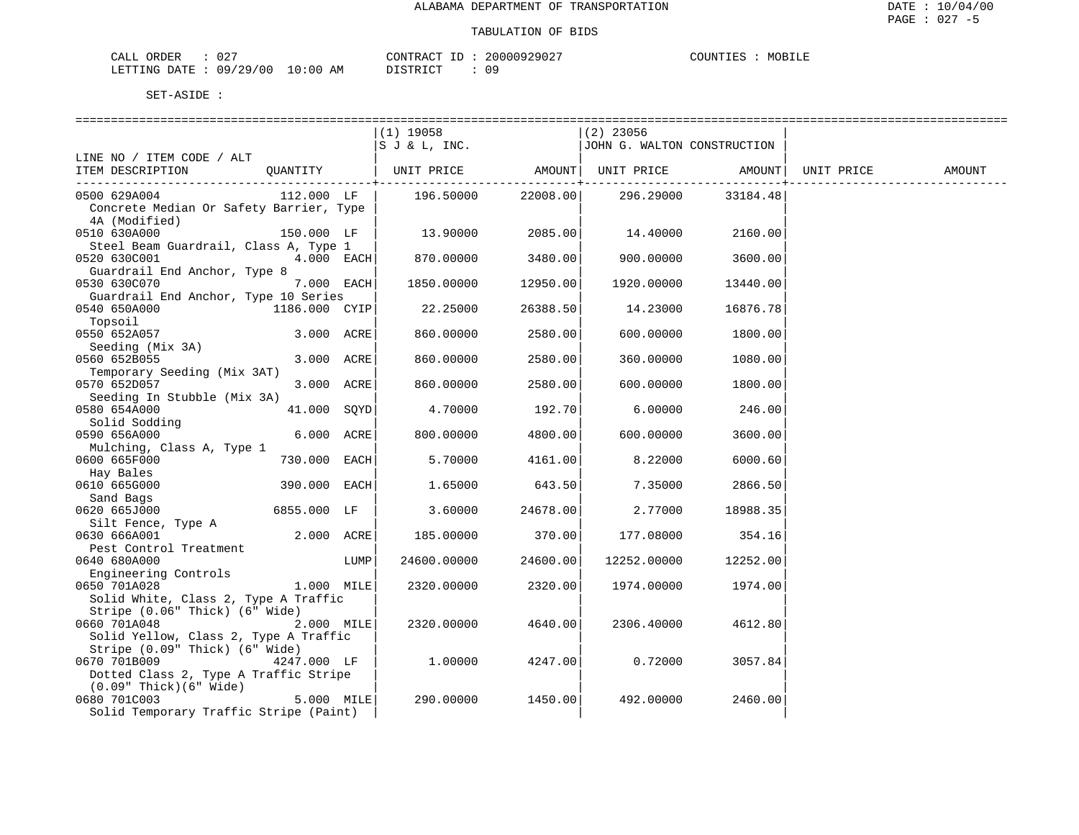| ORDER<br>CALL | $\cap$<br>U Z |             | CONTRACT<br>TD. | 20000929027 | COUNTIES | MOBILE |
|---------------|---------------|-------------|-----------------|-------------|----------|--------|
| LETTING DATE  | 09/29/00      | 10:00<br>AM | חים דמים דת     |             |          |        |

|                                                                 |                  |      | $(1)$ 19058                                                                                                                                                                                                                                                                                |          | $(2)$ 23056                          |          |            |        |
|-----------------------------------------------------------------|------------------|------|--------------------------------------------------------------------------------------------------------------------------------------------------------------------------------------------------------------------------------------------------------------------------------------------|----------|--------------------------------------|----------|------------|--------|
|                                                                 |                  |      | $\begin{array}{ccc}\n 0.1 & 1.2000 \\ 0.2 & 0.3000 \\ 0.3 & 0.4000 \\ 0.4 & 0.4000 \\ 0.5 & 0.4000 \\ 0.6 & 0.4000 \\ 0.7 & 0.4000 \\ 0.7 & 0.4000 \\ 0.7 & 0.4000 \\ 0.8 & 0.4000 \\ 0.9 & 0.4000 \\ 0.9 & 0.4000 \\ 0.9 & 0.4000 \\ 0.9 & 0.4000 \\ 0.9 & 0.4000 \\ 0.9 & 0.4000 \\ 0.9$ |          |                                      |          |            |        |
| LINE NO / ITEM CODE / ALT                                       |                  |      |                                                                                                                                                                                                                                                                                            |          |                                      |          |            |        |
| ITEM DESCRIPTION QUANTITY   UNIT PRICE AMOUNT UNIT PRICE AMOUNT |                  |      |                                                                                                                                                                                                                                                                                            |          |                                      |          | UNIT PRICE | AMOUNT |
|                                                                 |                  |      |                                                                                                                                                                                                                                                                                            |          | ------+----------------------------- |          |            |        |
| 0500 629A004                                                    | $112.000$ LF $ $ |      | $196.50000$ $22008.00$ $296.29000$                                                                                                                                                                                                                                                         |          |                                      | 33184.48 |            |        |
| Concrete Median Or Safety Barrier, Type                         |                  |      |                                                                                                                                                                                                                                                                                            |          |                                      |          |            |        |
| 4A (Modified)                                                   |                  |      |                                                                                                                                                                                                                                                                                            |          |                                      |          |            |        |
| 0510 630A000                                                    | 150.000 LF       |      | 13.90000                                                                                                                                                                                                                                                                                   | 2085.00  | 14.40000                             | 2160.00  |            |        |
| Steel Beam Guardrail, Class A, Type 1                           |                  |      |                                                                                                                                                                                                                                                                                            |          |                                      |          |            |        |
| 0520 630C001                                                    | $4.000$ EACH     |      | 870.00000                                                                                                                                                                                                                                                                                  | 3480.00  | 900.00000                            | 3600.00  |            |        |
| Guardrail End Anchor, Type 8                                    |                  |      |                                                                                                                                                                                                                                                                                            |          |                                      |          |            |        |
| 0530 630C070                                                    | $7.000$ EACH     |      | 1850.00000                                                                                                                                                                                                                                                                                 | 12950.00 | 1920.00000                           | 13440.00 |            |        |
| Guardrail End Anchor, Type 10 Series                            |                  |      |                                                                                                                                                                                                                                                                                            |          |                                      |          |            |        |
| 0540 650A000                                                    | $1186.000$ CYIP  |      | 22.25000                                                                                                                                                                                                                                                                                   | 26388.50 | 14.23000                             | 16876.78 |            |        |
| Topsoil                                                         |                  |      |                                                                                                                                                                                                                                                                                            |          |                                      |          |            |        |
| 0550 652A057                                                    | 3.000 ACRE       |      | 860.00000                                                                                                                                                                                                                                                                                  | 2580.00  | 600.00000                            | 1800.00  |            |        |
| Seeding (Mix 3A)                                                |                  |      |                                                                                                                                                                                                                                                                                            |          |                                      |          |            |        |
| 0560 652B055                                                    | 3.000 ACRE       |      | 860.00000                                                                                                                                                                                                                                                                                  | 2580.00  | 360.00000                            | 1080.00  |            |        |
|                                                                 |                  |      |                                                                                                                                                                                                                                                                                            |          |                                      |          |            |        |
| Temporary Seeding (Mix 3AT)                                     |                  |      |                                                                                                                                                                                                                                                                                            |          |                                      |          |            |        |
| 0570 652D057                                                    | 3.000 ACRE       |      | 860.00000                                                                                                                                                                                                                                                                                  | 2580.00  | 600.00000                            | 1800.00  |            |        |
| Seeding In Stubble (Mix 3A)                                     |                  |      |                                                                                                                                                                                                                                                                                            |          |                                      |          |            |        |
| 0580 654A000                                                    | 41.000 SQYD      |      | 4.70000                                                                                                                                                                                                                                                                                    | 192.70   | 6.00000                              | 246.00   |            |        |
| Solid Sodding                                                   |                  |      |                                                                                                                                                                                                                                                                                            |          |                                      |          |            |        |
| 0590 656A000                                                    | 6.000 ACRE       |      | 800.00000                                                                                                                                                                                                                                                                                  | 4800.00  | 600.00000                            | 3600.00  |            |        |
| Mulching, Class A, Type 1                                       |                  |      |                                                                                                                                                                                                                                                                                            |          |                                      |          |            |        |
| 0600 665F000                                                    | 730.000 EACH     |      | 5.70000                                                                                                                                                                                                                                                                                    | 4161.00  | 8.22000                              | 6000.60  |            |        |
| Hay Bales                                                       |                  |      |                                                                                                                                                                                                                                                                                            |          |                                      |          |            |        |
| 0610 665G000                                                    | 390.000 EACH     |      | 1.65000                                                                                                                                                                                                                                                                                    | 643.50   | 7.35000                              | 2866.50  |            |        |
| Sand Bags                                                       |                  |      |                                                                                                                                                                                                                                                                                            |          |                                      |          |            |        |
| 0620 665J000                                                    | 6855.000 LF      |      | 3.60000                                                                                                                                                                                                                                                                                    | 24678.00 | 2.77000                              | 18988.35 |            |        |
| Silt Fence, Type A                                              |                  |      |                                                                                                                                                                                                                                                                                            |          |                                      |          |            |        |
| 0630 666A001                                                    | $2.000$ ACRE     |      | 185.00000                                                                                                                                                                                                                                                                                  | 370.00   | 177.08000                            | 354.16   |            |        |
| Pest Control Treatment                                          |                  |      |                                                                                                                                                                                                                                                                                            |          |                                      |          |            |        |
| 0640 680A000                                                    |                  | LUMP | 24600.00000                                                                                                                                                                                                                                                                                | 24600.00 | 12252.00000                          | 12252.00 |            |        |
| Engineering Controls                                            |                  |      |                                                                                                                                                                                                                                                                                            |          |                                      |          |            |        |
| 0650 701A028                                                    | 1.000 MILE       |      | 2320.00000                                                                                                                                                                                                                                                                                 | 2320.00  | 1974.00000                           | 1974.00  |            |        |
| Solid White, Class 2, Type A Traffic                            |                  |      |                                                                                                                                                                                                                                                                                            |          |                                      |          |            |        |
| Stripe (0.06" Thick) (6" Wide)                                  |                  |      |                                                                                                                                                                                                                                                                                            |          |                                      |          |            |        |
| 0660 701A048                                                    | 2.000 MILE       |      | 2320.00000                                                                                                                                                                                                                                                                                 | 4640.00  | 2306.40000                           | 4612.80  |            |        |
| Solid Yellow, Class 2, Type A Traffic                           |                  |      |                                                                                                                                                                                                                                                                                            |          |                                      |          |            |        |
| Stripe (0.09" Thick) (6" Wide)                                  |                  |      |                                                                                                                                                                                                                                                                                            |          |                                      |          |            |        |
| 0670 701B009                                                    | $4247.000$ LF    |      | 1.00000                                                                                                                                                                                                                                                                                    | 4247.00  | 0.72000                              | 3057.84  |            |        |
| Dotted Class 2, Type A Traffic Stripe                           |                  |      |                                                                                                                                                                                                                                                                                            |          |                                      |          |            |        |
| $(0.09"$ Thick $)(6"$ Wide $)$                                  |                  |      |                                                                                                                                                                                                                                                                                            |          |                                      |          |            |        |
| 0680 701C003                                                    | 5.000 MILE       |      | 290.00000                                                                                                                                                                                                                                                                                  | 1450.00  | 492.00000                            | 2460.00  |            |        |
|                                                                 |                  |      |                                                                                                                                                                                                                                                                                            |          |                                      |          |            |        |
| Solid Temporary Traffic Stripe (Paint)                          |                  |      |                                                                                                                                                                                                                                                                                            |          |                                      |          |            |        |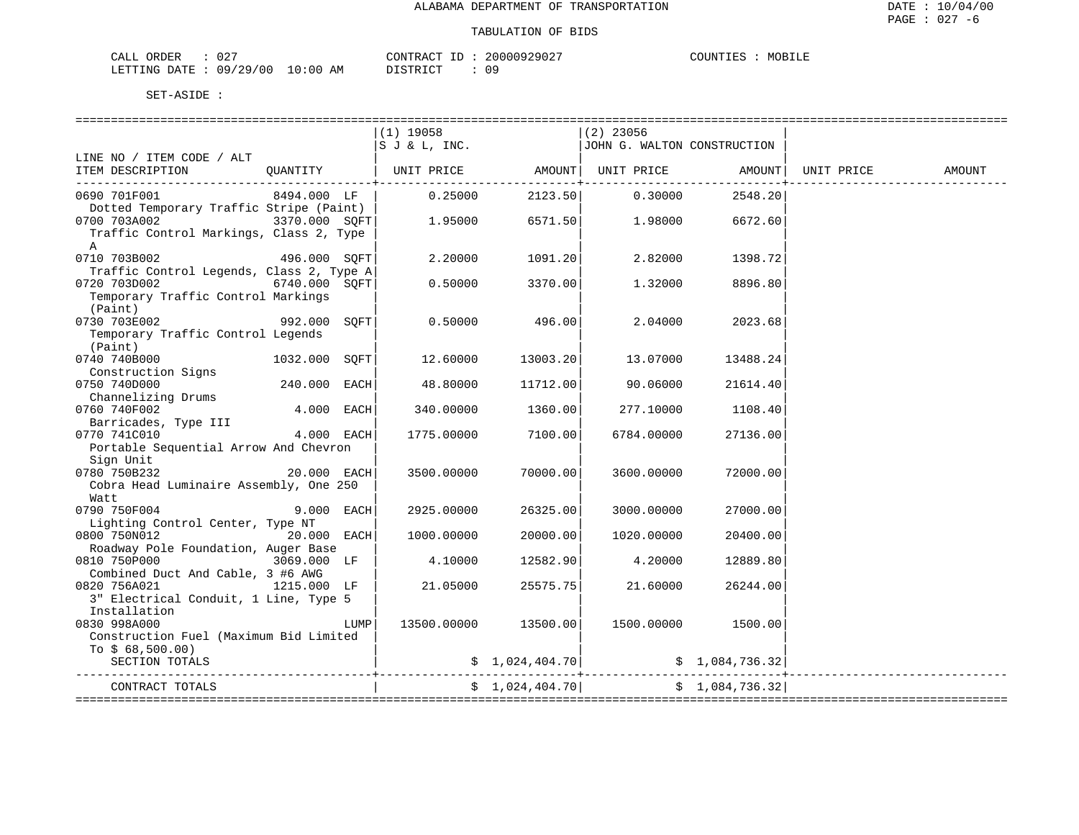| CALL ORDER                      | 027 | CONTRACT ID: 20000929027 |     | COUNTIES | MOBILE |
|---------------------------------|-----|--------------------------|-----|----------|--------|
| LETTING DATE: 09/29/00 10:00 AM |     | DISTRICT                 | n c |          |        |

|                                                                                                           |               |      |                                     |                 | =============               |                                  |        |
|-----------------------------------------------------------------------------------------------------------|---------------|------|-------------------------------------|-----------------|-----------------------------|----------------------------------|--------|
|                                                                                                           |               |      | $(1)$ 19058                         |                 | $(2)$ 23056                 |                                  |        |
|                                                                                                           |               |      | $S$ J & L, INC.                     |                 | JOHN G. WALTON CONSTRUCTION |                                  |        |
| LINE NO / ITEM CODE / ALT<br>ITEM DESCRIPTION QUANTITY   UNIT PRICE AMOUNT  UNIT PRICE AMOUNT  UNIT PRICE |               |      |                                     |                 |                             |                                  | AMOUNT |
|                                                                                                           |               |      |                                     |                 |                             | - - - - - - - - - - <del>-</del> |        |
| 0690 701F001                                                                                              | 8494.000 LF   |      | 0.25000                             |                 | 2123.50 0.30000             | 2548.20                          |        |
| Dotted Temporary Traffic Stripe (Paint)                                                                   |               |      |                                     |                 |                             |                                  |        |
| 0700 703A002                                                                                              |               |      | 3370.000 SOFT 1.95000               | 6571.50         | 1.98000                     | 6672.60                          |        |
| Traffic Control Markings, Class 2, Type                                                                   |               |      |                                     |                 |                             |                                  |        |
| $\mathbb A$                                                                                               |               |      |                                     |                 |                             |                                  |        |
| 0710 703B002                                                                                              | 496.000 SOFT  |      | 2,20000                             | 1091.20         | 2.82000                     | 1398.72                          |        |
| Traffic Control Legends, Class 2, Type A                                                                  |               |      |                                     |                 |                             |                                  |        |
| 0720 703D002                                                                                              | 6740.000 SOFT |      | 0.50000                             | 3370.00         | 1.32000                     | 8896.80                          |        |
| Temporary Traffic Control Markings                                                                        |               |      |                                     |                 |                             |                                  |        |
| (Paint)                                                                                                   |               |      |                                     |                 |                             |                                  |        |
| 0730 703E002<br>992.000 SOFT                                                                              |               |      | 0.50000                             | 496.00          | 2.04000                     | 2023.68                          |        |
| Temporary Traffic Control Legends                                                                         |               |      |                                     |                 |                             |                                  |        |
| (Paint)                                                                                                   |               |      |                                     |                 |                             |                                  |        |
| 0740 740B000                                                                                              | 1032.000 SOFT |      | 12.60000                            | 13003.20        | 13.07000                    | 13488.24                         |        |
| Construction Signs                                                                                        |               |      |                                     |                 |                             |                                  |        |
| 0750 740D000                                                                                              | 240.000 EACH  |      | 48.80000                            | 11712.00        | 90.06000                    | 21614.40                         |        |
| Channelizing Drums                                                                                        |               |      |                                     |                 |                             |                                  |        |
| 0760 740F002                                                                                              | 4.000 EACH    |      | 340.00000                           | 1360.00         | 277.10000                   | 1108.40                          |        |
| Barricades, Type III                                                                                      |               |      |                                     |                 |                             |                                  |        |
| 0770 741C010                                                                                              | 4.000 EACH    |      | 1775.00000                          | 7100.00         | 6784.00000                  | 27136.00                         |        |
| Portable Sequential Arrow And Chevron                                                                     |               |      |                                     |                 |                             |                                  |        |
| Sign Unit<br>0780 750B232                                                                                 | 20.000 EACH   |      | 3500.00000                          | 70000.00        | 3600.00000                  | 72000.00                         |        |
| Cobra Head Luminaire Assembly, One 250                                                                    |               |      |                                     |                 |                             |                                  |        |
| Watt                                                                                                      |               |      |                                     |                 |                             |                                  |        |
| 0790 750F004                                                                                              | 9.000 EACH    |      | 2925.00000                          | 26325.00        | 3000.00000                  | 27000.00                         |        |
| Lighting Control Center, Type NT                                                                          |               |      |                                     |                 |                             |                                  |        |
| 0800 750N012                                                                                              | 20.000 EACH   |      | 1000.00000                          | 20000.00        | 1020.00000                  | 20400.00                         |        |
| Roadway Pole Foundation, Auger Base                                                                       |               |      |                                     |                 |                             |                                  |        |
| 0810 750P000                                                                                              | 3069.000 LF   |      | 4.10000                             | 12582.90        | 4.20000                     | 12889.80                         |        |
| Combined Duct And Cable, 3 #6 AWG                                                                         |               |      |                                     |                 |                             |                                  |        |
| 0820 756A021<br>1215.000 LF                                                                               |               |      | 21.05000                            | 25575.75        | 21.60000                    | 26244.00                         |        |
| 3" Electrical Conduit, 1 Line, Type 5                                                                     |               |      |                                     |                 |                             |                                  |        |
| Installation                                                                                              |               |      |                                     |                 |                             |                                  |        |
| 0830 998A000                                                                                              |               | LUMP | 13500.00000                         | 13500.00        | 1500.00000                  | 1500.00                          |        |
| Construction Fuel (Maximum Bid Limited                                                                    |               |      |                                     |                 |                             |                                  |        |
| To $$68,500.00)$                                                                                          |               |      |                                     |                 |                             |                                  |        |
| SECTION TOTALS                                                                                            |               |      |                                     | \$1,024,404.70] |                             | \$1,084,736.32]                  |        |
|                                                                                                           |               |      | ---------------------+------------- |                 |                             |                                  |        |
| CONTRACT TOTALS                                                                                           |               |      |                                     | \$1,024,404.70] |                             | \$1,084,736.32]                  |        |
| =================                                                                                         |               |      |                                     |                 |                             |                                  |        |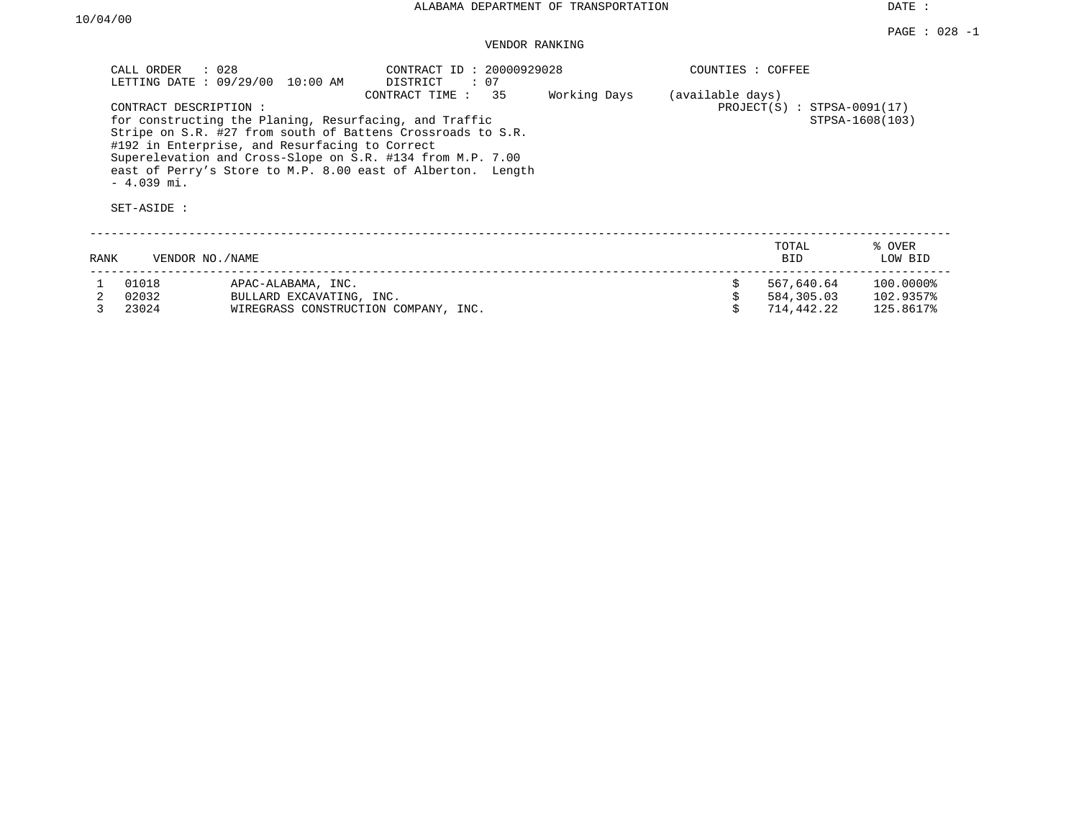| $\therefore$ 028<br>CALL ORDER<br>LETTING DATE: 09/29/00<br>10:00 AM                                                                                                                                                                                                                                                                          | CONTRACT ID: 20000929028<br>: 07<br>DISTRICT | COUNTIES : COFFEE                                                    |
|-----------------------------------------------------------------------------------------------------------------------------------------------------------------------------------------------------------------------------------------------------------------------------------------------------------------------------------------------|----------------------------------------------|----------------------------------------------------------------------|
| CONTRACT DESCRIPTION:<br>for constructing the Planing, Resurfacing, and Traffic<br>Stripe on S.R. #27 from south of Battens Crossroads to S.R.<br>#192 in Enterprise, and Resurfacing to Correct<br>Superelevation and Cross-Slope on S.R. #134 from M.P. 7.00<br>east of Perry's Store to M.P. 8.00 east of Alberton. Length<br>$-4.039$ mi. | CONTRACT TIME : 35<br>Working Days           | (available days)<br>$PROJECT(S)$ : STPSA-0091(17)<br>STPSA-1608(103) |
| SET-ASIDE:                                                                                                                                                                                                                                                                                                                                    |                                              |                                                                      |

| RANK |       | VENDOR NO./NAME                      | TOTAL<br><b>BID</b> | OVER<br>LOW BID |
|------|-------|--------------------------------------|---------------------|-----------------|
|      | 01018 | APAC-ALABAMA, INC.                   | 567,640.64          | 100.0000%       |
|      | 02032 | BULLARD EXCAVATING, INC.             | 584,305.03          | 102.9357%       |
|      | 23024 | WIREGRASS CONSTRUCTION COMPANY, INC. | 714,442.22          | 125.8617%       |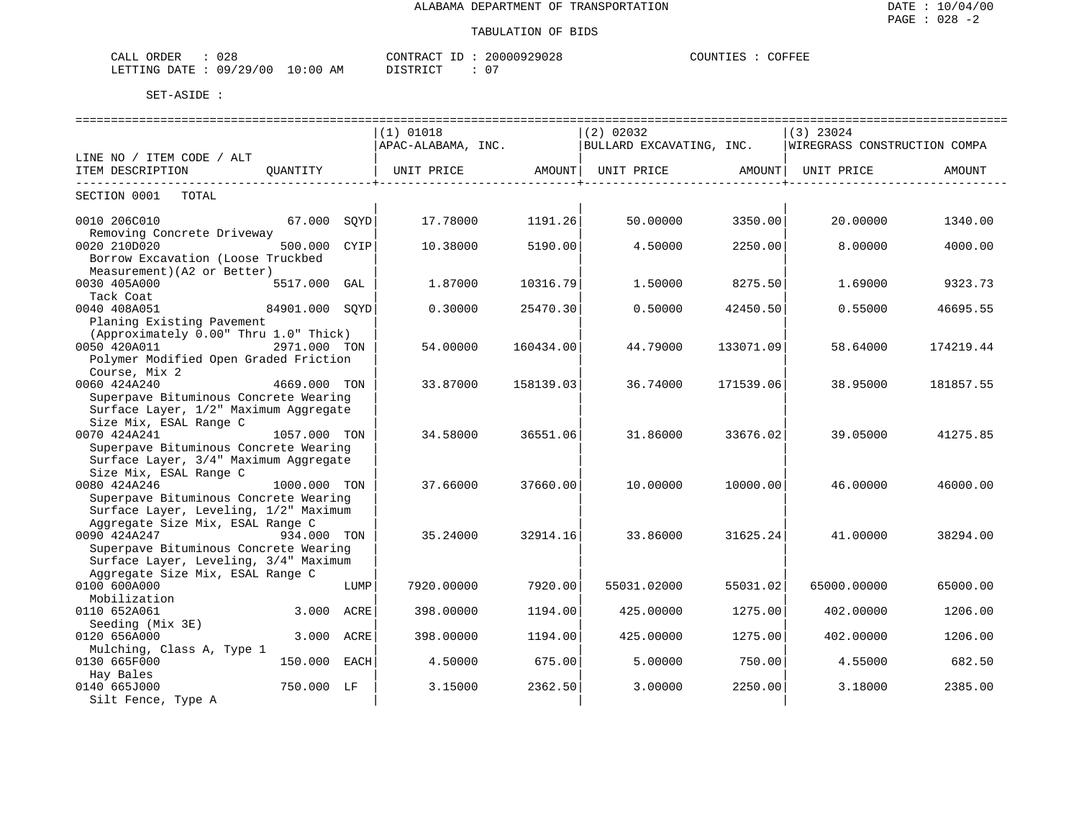COFFEE

| CALL ORDER | າາດ<br>J 4 8                     |          | CONTRACT ID: 20000929028 | COUNTIES | COFFEE |
|------------|----------------------------------|----------|--------------------------|----------|--------|
|            | LETTING DATE : 09/29/00 10:00 AM | PISTRICT |                          |          |        |

|                                              |              |      | $(1)$ 01018        |           | (2) 02032                                                                         |           | $(3)$ 23024                  |           |
|----------------------------------------------|--------------|------|--------------------|-----------|-----------------------------------------------------------------------------------|-----------|------------------------------|-----------|
|                                              |              |      | APAC-ALABAMA, INC. |           | BULLARD EXCAVATING, INC.                                                          |           | WIREGRASS CONSTRUCTION COMPA |           |
| LINE NO / ITEM CODE / ALT                    |              |      |                    |           |                                                                                   |           |                              |           |
| ITEM DESCRIPTION<br>------------------------ | OUANTITY     |      |                    |           | UNIT PRICE                AMOUNT   UNIT PRICE                 AMOUNT   UNIT PRICE |           |                              | AMOUNT    |
| SECTION 0001<br>TOTAL                        |              |      |                    |           |                                                                                   |           |                              |           |
| 0010 206C010                                 | 67.000 SQYD  |      | 17.78000           | 1191.26   | 50.00000                                                                          | 3350.00   | 20.00000                     | 1340.00   |
| Removing Concrete Driveway                   |              |      |                    |           |                                                                                   |           |                              |           |
| 0020 210D020                                 | 500.000      | CYIP | 10.38000           | 5190.00   | 4.50000                                                                           | 2250.00   | 8.00000                      | 4000.00   |
| Borrow Excavation (Loose Truckbed            |              |      |                    |           |                                                                                   |           |                              |           |
| Measurement) (A2 or Better)                  |              |      |                    |           |                                                                                   |           |                              |           |
| 0030 405A000                                 | 5517.000 GAL |      | 1.87000            | 10316.79  | 1.50000                                                                           | 8275.50   | 1,69000                      | 9323.73   |
| Tack Coat                                    |              |      |                    |           |                                                                                   |           |                              |           |
| 0040 408A051<br>84901.000 SOYD               |              |      | 0.30000            | 25470.30  | 0.50000                                                                           | 42450.50  | 0.55000                      | 46695.55  |
| Planing Existing Pavement                    |              |      |                    |           |                                                                                   |           |                              |           |
| (Approximately 0.00" Thru 1.0" Thick)        |              |      |                    |           |                                                                                   |           |                              |           |
| 0050 420A011                                 | 2971.000 TON |      | 54.00000           | 160434.00 | 44.79000                                                                          | 133071.09 | 58.64000                     | 174219.44 |
| Polymer Modified Open Graded Friction        |              |      |                    |           |                                                                                   |           |                              |           |
| Course, Mix 2                                |              |      |                    |           |                                                                                   |           |                              |           |
| 0060 424A240                                 | 4669.000 TON |      | 33.87000           | 158139.03 | 36.74000                                                                          | 171539.06 | 38.95000                     | 181857.55 |
| Superpave Bituminous Concrete Wearing        |              |      |                    |           |                                                                                   |           |                              |           |
| Surface Layer, 1/2" Maximum Aggregate        |              |      |                    |           |                                                                                   |           |                              |           |
| Size Mix, ESAL Range C                       |              |      |                    |           |                                                                                   |           |                              |           |
| 0070 424A241                                 | 1057.000 TON |      | 34.58000           | 36551.06  | 31.86000                                                                          | 33676.02  | 39.05000                     | 41275.85  |
| Superpave Bituminous Concrete Wearing        |              |      |                    |           |                                                                                   |           |                              |           |
| Surface Layer, 3/4" Maximum Aggregate        |              |      |                    |           |                                                                                   |           |                              |           |
| Size Mix, ESAL Range C                       |              |      |                    |           |                                                                                   |           |                              |           |
| 0080 424A246                                 | 1000.000 TON |      | 37.66000           | 37660.00  | 10.00000                                                                          | 10000.00  | 46,00000                     | 46000.00  |
| Superpave Bituminous Concrete Wearing        |              |      |                    |           |                                                                                   |           |                              |           |
| Surface Layer, Leveling, 1/2" Maximum        |              |      |                    |           |                                                                                   |           |                              |           |
| Aggregate Size Mix, ESAL Range C             |              |      |                    |           |                                                                                   |           |                              |           |
| 0090 424A247                                 | 934.000 TON  |      | 35.24000           | 32914.16  | 33.86000                                                                          | 31625.24  | 41.00000                     | 38294.00  |
| Superpave Bituminous Concrete Wearing        |              |      |                    |           |                                                                                   |           |                              |           |
| Surface Layer, Leveling, 3/4" Maximum        |              |      |                    |           |                                                                                   |           |                              |           |
| Aggregate Size Mix, ESAL Range C             |              |      |                    |           |                                                                                   |           |                              |           |
| 0100 600A000                                 |              | LUMP | 7920.00000         | 7920.00   | 55031.02000                                                                       | 55031.02  | 65000.00000                  | 65000.00  |
| Mobilization                                 |              |      |                    |           |                                                                                   |           |                              |           |
| 0110 652A061                                 | 3.000        | ACRE | 398.00000          | 1194.00   | 425.00000                                                                         | 1275.00   | 402.00000                    | 1206.00   |
| Seeding (Mix 3E)                             |              |      |                    |           |                                                                                   |           |                              |           |
| 0120 656A000                                 | 3.000        | ACRE | 398,00000          | 1194.00   | 425.00000                                                                         | 1275.00   | 402.00000                    | 1206.00   |
| Mulching, Class A, Type 1                    |              |      |                    |           |                                                                                   |           |                              |           |
| 0130 665F000                                 | 150.000 EACH |      | 4.50000            | 675.00    | 5.00000                                                                           | 750.00    | 4.55000                      | 682.50    |
| Hay Bales                                    |              |      |                    |           |                                                                                   |           |                              |           |
| 0140 665J000                                 | 750.000 LF   |      | 3.15000            | 2362.50   | 3.00000                                                                           | 2250.00   | 3.18000                      | 2385.00   |
| Silt Fence, Type A                           |              |      |                    |           |                                                                                   |           |                              |           |
|                                              |              |      |                    |           |                                                                                   |           |                              |           |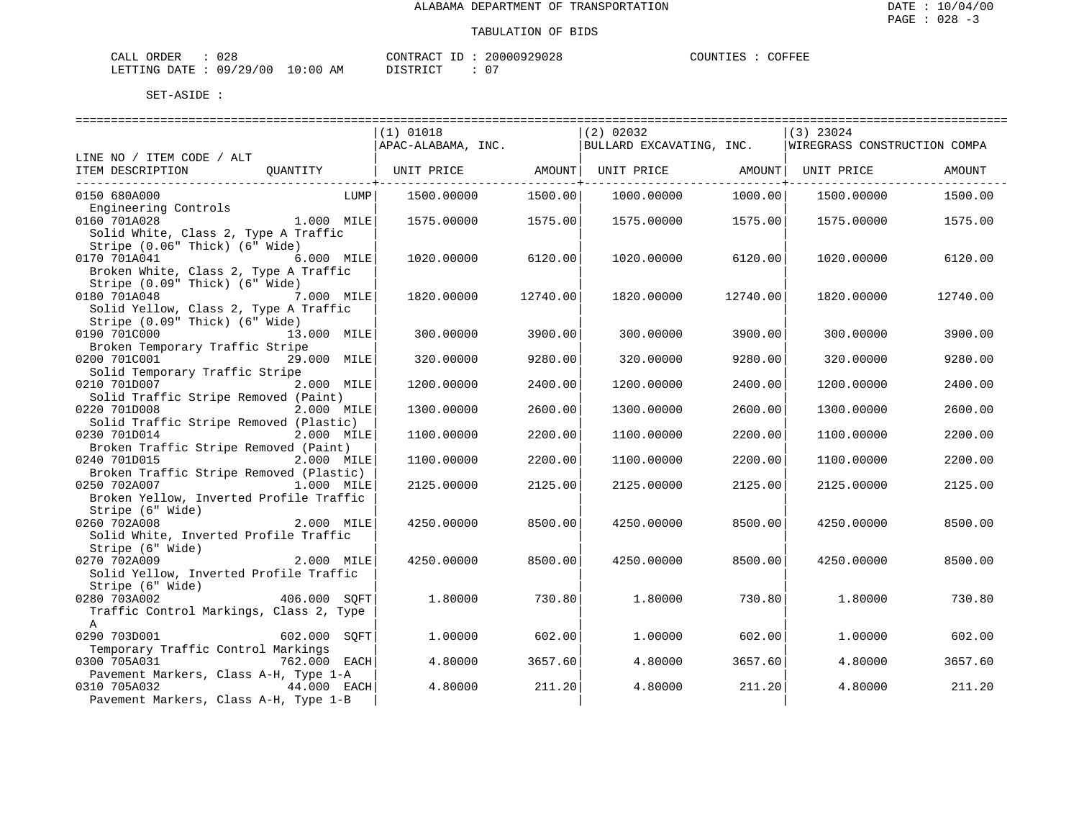| ORDER<br>CALL | ח ר<br>∪∠o |             | CONTRACT<br>ID          | 20000929028   | COUNTIES | COFFEE |
|---------------|------------|-------------|-------------------------|---------------|----------|--------|
| LETTING DATE  | 09/29/00   | 10:00<br>AΜ | דים דמידי פידי<br>----- | $\sim$ $\sim$ |          |        |

|                                                                                                |              | $(1)$ 01018        |          | $(2)$ 02032              |          | $(3)$ 23024                  |          |
|------------------------------------------------------------------------------------------------|--------------|--------------------|----------|--------------------------|----------|------------------------------|----------|
|                                                                                                |              | APAC-ALABAMA, INC. |          |                          |          | WIREGRASS CONSTRUCTION COMPA |          |
| LINE NO / ITEM CODE / ALT                                                                      |              |                    |          | BULLARD EXCAVATING, INC. |          |                              |          |
| ITEM DESCRIPTION                                                                               | OUANTITY     | UNIT PRICE         | AMOUNT   | UNIT PRICE               | AMOUNT   | UNIT PRICE                   | AMOUNT   |
| 0150 680A000<br>Engineering Controls                                                           | LUMP         | 1500.00000         | 1500.00  | 1000.00000               | 1000.00  | 1500.00000                   | 1500.00  |
| 0160 701A028<br>Solid White, Class 2, Type A Traffic                                           | 1.000 MILE   | 1575.00000         | 1575.00  | 1575.00000               | 1575.00  | 1575.00000                   | 1575.00  |
| Stripe (0.06" Thick) (6" Wide)<br>0170 701A041<br>Broken White, Class 2, Type A Traffic        | 6.000 MILE   | 1020.00000         | 6120.00  | 1020.00000               | 6120.00  | 1020.00000                   | 6120.00  |
| Stripe (0.09" Thick) (6" Wide)<br>0180 701A048<br>Solid Yellow, Class 2, Type A Traffic        | 7.000 MILE   | 1820.00000         | 12740.00 | 1820.00000               | 12740.00 | 1820.00000                   | 12740.00 |
| Stripe (0.09" Thick) (6" Wide)<br>0190 701C000<br>Broken Temporary Traffic Stripe              | 13.000 MILE  | 300.00000          | 3900.00  | 300,00000                | 3900.00  | 300.00000                    | 3900.00  |
| 0200 701C001<br>Solid Temporary Traffic Stripe                                                 | 29.000 MILE  | 320.00000          | 9280.00  | 320.00000                | 9280.00  | 320.00000                    | 9280.00  |
| 0210 701D007<br>Solid Traffic Stripe Removed (Paint)                                           | 2.000 MILE   | 1200.00000         | 2400.00  | 1200.00000               | 2400.00  | 1200.00000                   | 2400.00  |
| 0220 701D008<br>Solid Traffic Stripe Removed (Plastic)                                         | 2.000 MILE   | 1300.00000         | 2600.00  | 1300.00000               | 2600.00  | 1300.00000                   | 2600.00  |
| 0230 701D014<br>Broken Traffic Stripe Removed (Paint)                                          | 2.000 MILE   | 1100.00000         | 2200.00  | 1100.00000               | 2200.00  | 1100.00000                   | 2200.00  |
| 0240 701D015<br>Broken Traffic Stripe Removed (Plastic)                                        | 2.000 MILE   | 1100.00000         | 2200.00  | 1100.00000               | 2200.00  | 1100.00000                   | 2200.00  |
| 0250 702A007<br>Broken Yellow, Inverted Profile Traffic<br>Stripe (6" Wide)                    | 1.000 MILE   | 2125,00000         | 2125.00  | 2125.00000               | 2125.00  | 2125.00000                   | 2125.00  |
| 0260 702A008<br>Solid White, Inverted Profile Traffic                                          | 2.000 MILE   | 4250.00000         | 8500.00  | 4250.00000               | 8500.00  | 4250.00000                   | 8500.00  |
| Stripe (6" Wide)<br>0270 702A009<br>Solid Yellow, Inverted Profile Traffic<br>Stripe (6" Wide) | 2.000 MILE   | 4250.00000         | 8500.00  | 4250.00000               | 8500.00  | 4250.00000                   | 8500.00  |
| 0280 703A002<br>Traffic Control Markings, Class 2, Type<br>$\mathbf{A}$                        | 406.000 SOFT | 1,80000            | 730.80   | 1,80000                  | 730.80   | 1.80000                      | 730.80   |
| 0290 703D001<br>Temporary Traffic Control Markings                                             | 602.000 SOFT | 1,00000            | 602.00   | 1,00000                  | 602.00   | 1,00000                      | 602.00   |
| 0300 705A031<br>Pavement Markers, Class A-H, Type 1-A                                          | 762.000 EACH | 4.80000            | 3657.60  | 4.80000                  | 3657.60  | 4.80000                      | 3657.60  |
| 0310 705A032<br>Pavement Markers, Class A-H, Type 1-B                                          | 44.000 EACH  | 4.80000            | 211.20   | 4.80000                  | 211.20   | 4.80000                      | 211.20   |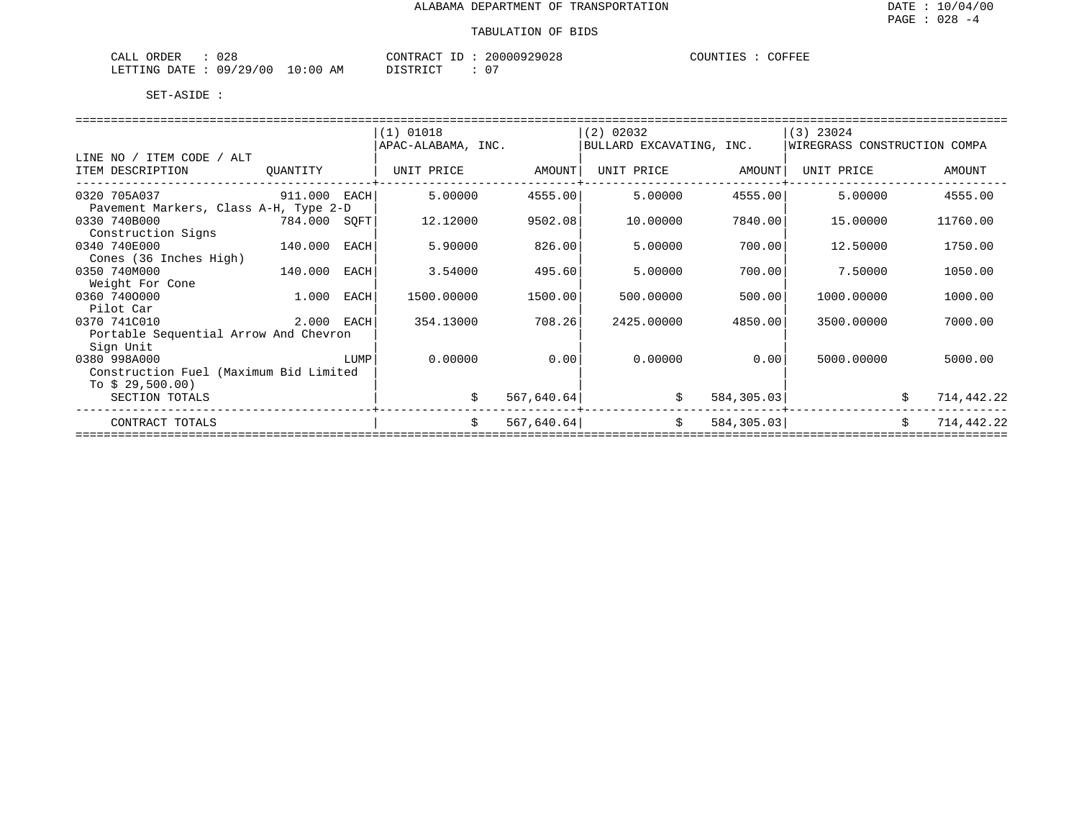| 028<br>ORDER<br>CALL     |            | CONTRACT<br>TD. | 20000929028 | COUNTIES<br>COFFEE |
|--------------------------|------------|-----------------|-------------|--------------------|
| LETTING DATE: $09/29/00$ | $10:00$ AM | DISTRICT        | U           |                    |

|                                        |            |      | $(1)$ 01018        |            | $(2)$ 02032              |             | $(3)$ 23024                  |    |            |  |  |  |
|----------------------------------------|------------|------|--------------------|------------|--------------------------|-------------|------------------------------|----|------------|--|--|--|
|                                        |            |      | APAC-ALABAMA, INC. |            | BULLARD EXCAVATING, INC. |             | WIREGRASS CONSTRUCTION COMPA |    |            |  |  |  |
| LINE NO / ITEM CODE / ALT              |            |      |                    |            |                          |             |                              |    |            |  |  |  |
| ITEM DESCRIPTION                       | QUANTITY   |      | UNIT PRICE         | AMOUNT     | UNIT PRICE               | AMOUNT      | UNIT PRICE                   |    | AMOUNT     |  |  |  |
|                                        |            |      |                    |            |                          |             |                              |    |            |  |  |  |
| 0320 705A037                           | 911.000    | EACH | 5.00000            | 4555.00    | 5.00000                  | 4555.00     | 5.00000                      |    | 4555.00    |  |  |  |
| Pavement Markers, Class A-H, Type 2-D  |            |      |                    |            |                          |             |                              |    |            |  |  |  |
| 0330 740B000                           | 784.000    | SOFT | 12.12000           | 9502.08    | 10.00000                 | 7840.00     | 15.00000                     |    | 11760.00   |  |  |  |
| Construction Signs                     |            |      |                    |            |                          |             |                              |    |            |  |  |  |
| 0340 740E000                           | 140.000    | EACH | 5.90000            | 826.00     | 5.00000                  | 700.00      | 12.50000                     |    | 1750.00    |  |  |  |
| Cones (36 Inches High)                 |            |      |                    |            |                          |             |                              |    |            |  |  |  |
| 0350 740M000                           | 140.000    | EACH | 3.54000            | 495.60     | 5.00000                  | 700.00      | 7.50000                      |    | 1050.00    |  |  |  |
| Weight For Cone                        |            |      |                    |            |                          |             |                              |    |            |  |  |  |
| 0360 7400000                           | 1.000      | EACH | 1500.00000         | 1500.00    | 500.00000                | 500.00      | 1000.00000                   |    | 1000.00    |  |  |  |
| Pilot Car                              |            |      |                    |            |                          |             |                              |    |            |  |  |  |
| 0370 741C010                           | 2.000 EACH |      | 354.13000          | 708.26     | 2425.00000               | 4850.00     | 3500.00000                   |    | 7000.00    |  |  |  |
| Portable Sequential Arrow And Chevron  |            |      |                    |            |                          |             |                              |    |            |  |  |  |
| Sign Unit                              |            |      |                    |            |                          |             |                              |    |            |  |  |  |
| 0380 998A000                           |            | LUMP | 0.00000            | 0.00       | 0.00000                  | 0.00        | 5000.00000                   |    | 5000.00    |  |  |  |
| Construction Fuel (Maximum Bid Limited |            |      |                    |            |                          |             |                              |    |            |  |  |  |
| To $$29,500.00)$                       |            |      |                    |            |                          |             |                              |    |            |  |  |  |
| SECTION TOTALS                         |            |      | \$                 | 567,640.64 | \$                       | 584, 305.03 |                              | \$ | 714,442.22 |  |  |  |
|                                        |            |      |                    |            |                          |             |                              |    |            |  |  |  |
| CONTRACT TOTALS                        |            |      | \$                 | 567,640.64 | \$                       | 584, 305.03 |                              | \$ | 714,442.22 |  |  |  |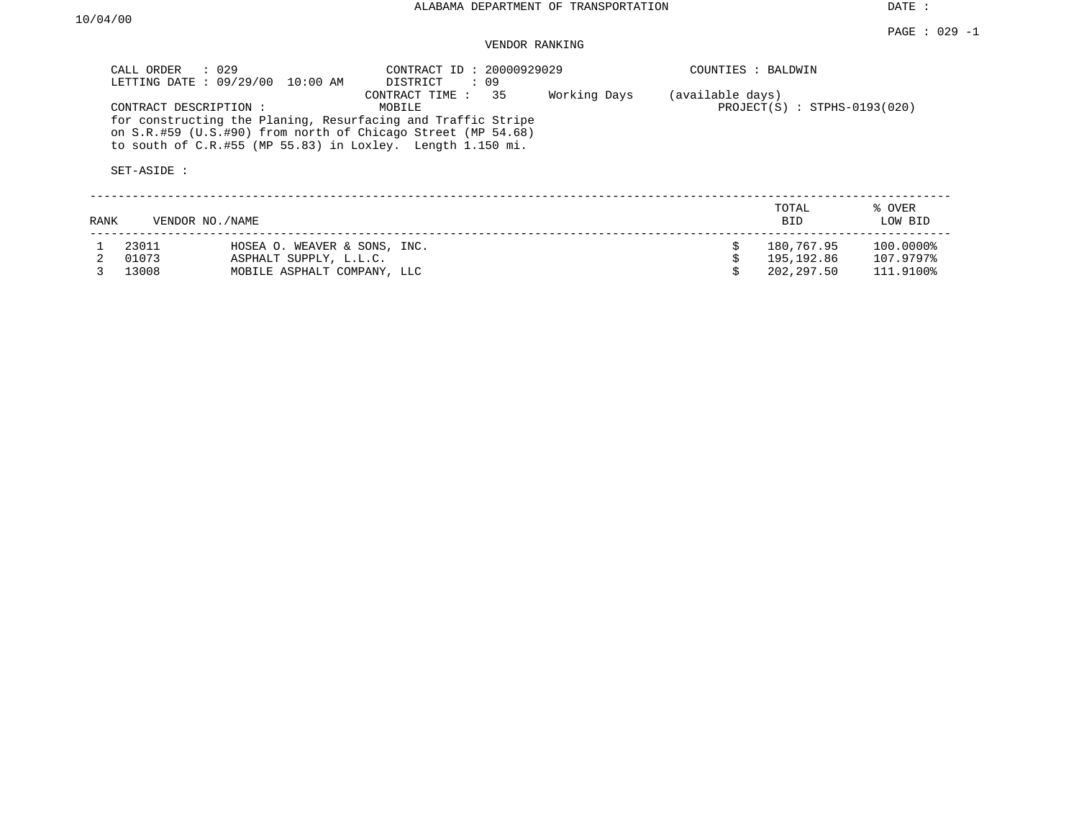|      | CALL ORDER<br>LETTING DATE: 09/29/00 | $\therefore$ 029<br>10:00 AM                                                                                                                                                                  | CONTRACT ID: 20000929029<br>: 09<br>DISTRICT |              | COUNTIES : BALDWIN |                                |                   |
|------|--------------------------------------|-----------------------------------------------------------------------------------------------------------------------------------------------------------------------------------------------|----------------------------------------------|--------------|--------------------|--------------------------------|-------------------|
|      | CONTRACT DESCRIPTION:<br>SET-ASIDE : | for constructing the Planing, Resurfacing and Traffic Stripe<br>on S.R.#59 (U.S.#90) from north of Chicago Street (MP 54.68)<br>to south of $C.R.$ #55 (MP 55.83) in Loxley. Length 1.150 mi. | 35<br>CONTRACT TIME:<br>MOBILE               | Working Days | (available days)   | $PROJECT(S)$ : STPHS-0193(020) |                   |
| RANK |                                      | VENDOR NO./NAME                                                                                                                                                                               |                                              |              |                    | TOTAL<br>BID                   | % OVER<br>LOW BID |
|      | 23011                                | HOSEA O. WEAVER & SONS, INC.                                                                                                                                                                  |                                              |              |                    | 180,767.95                     | 100.0000%         |
|      | 01073                                | ASPHALT SUPPLY, L.L.C.                                                                                                                                                                        |                                              |              |                    | 195,192.86                     | 107.9797%         |
|      | 13008                                | MOBILE ASPHALT COMPANY, LLC                                                                                                                                                                   |                                              |              |                    | 202,297.50                     | 111.9100%         |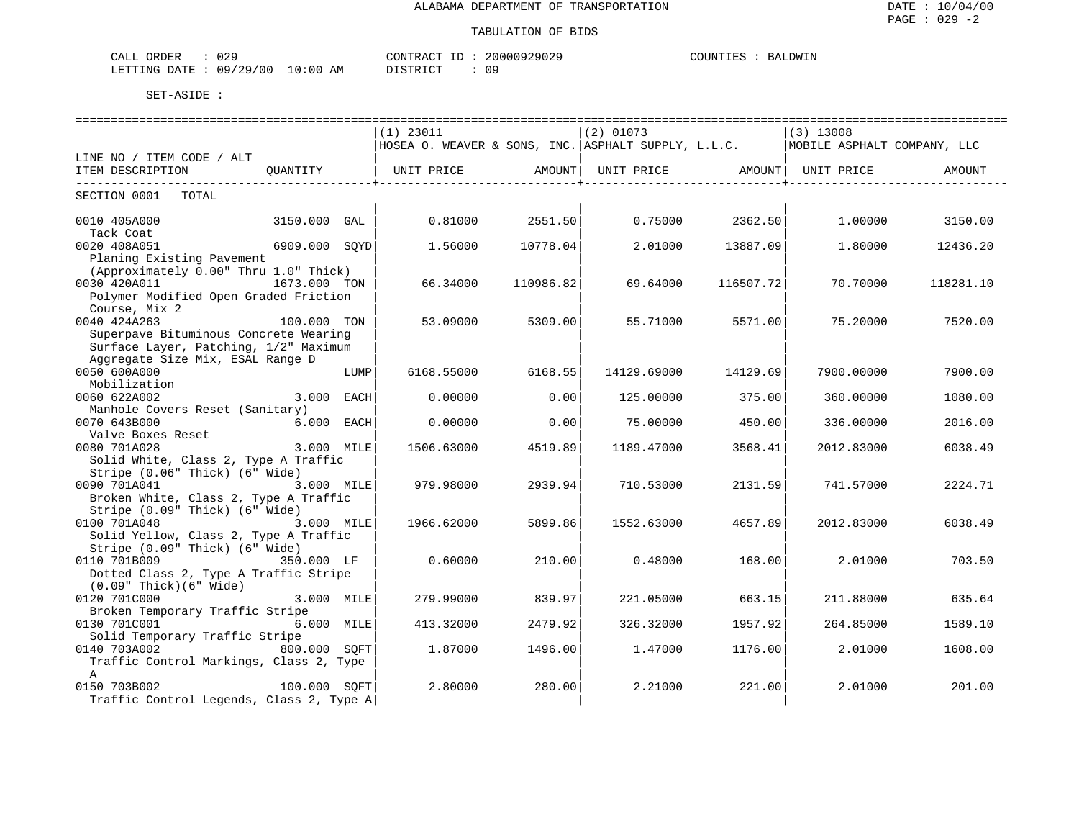| CALL ORDER                      | 029 |          | CONTRACT ID: 20000929029 | COUNTIES | BALDWIN |
|---------------------------------|-----|----------|--------------------------|----------|---------|
| LETTING DATE: 09/29/00 10:00 AM |     | DISTRICT | -09                      |          |         |

| $(1)$ 23011<br>$(2)$ 01073<br>$(3)$ 13008<br> HOSEA O. WEAVER & SONS, INC. ASPHALT SUPPLY, L.L.C.   MOBILE ASPHALT COMPANY, LLC<br>LINE NO / ITEM CODE / ALT<br>ITEM DESCRIPTION<br>OUANTITY<br>AMOUNT<br>---------------------------<br>SECTION 0001<br>TOTAL<br>3150.000 GAL<br>0.81000<br>2551.50<br>0.75000<br>2362.50<br>1,00000<br>3150.00<br>0010 405A000<br>Tack Coat<br>6909.000 SQYD<br>0020 408A051<br>10778.04<br>2.01000<br>13887.09<br>1.80000<br>12436.20<br>1.56000<br>Planing Existing Pavement<br>(Approximately 0.00" Thru 1.0" Thick)<br>0030 420A011<br>1673.000 TON<br>66.34000<br>110986.82<br>69.64000<br>116507.72<br>70.70000<br>118281.10<br>Polymer Modified Open Graded Friction<br>Course, Mix 2<br>0040 424A263<br>100.000 TON<br>53.09000<br>5309.00<br>55.71000<br>5571.00<br>75.20000<br>7520.00<br>Superpave Bituminous Concrete Wearing<br>Surface Layer, Patching, 1/2" Maximum<br>Aggregate Size Mix, ESAL Range D<br>0050 600A000<br>6168.55000<br>6168.55<br>14129.69000<br>14129.69<br>7900.00000<br>7900.00<br>LUMP<br>Mobilization<br>0060 622A002<br>3.000 EACH<br>0.00000<br>0.00<br>125.00000<br>375.00<br>1080.00<br>360.00000<br>Manhole Covers Reset (Sanitary)<br>0070 643B000<br>6.000 EACH<br>0.00000<br>0.00<br>75.00000<br>450.00<br>336.00000<br>2016.00<br>Valve Boxes Reset<br>3.000 MILE<br>0080 701A028<br>1506.63000<br>4519.89<br>1189.47000<br>3568.41<br>2012.83000<br>6038.49<br>Solid White, Class 2, Type A Traffic<br>Stripe (0.06" Thick) (6" Wide)<br>0090 701A041<br>3.000 MILE<br>979.98000<br>2939.94<br>710.53000<br>2131.59<br>741.57000<br>2224.71<br>Broken White, Class 2, Type A Traffic<br>Stripe (0.09" Thick) (6" Wide)<br>0100 701A048<br>3.000 MILE<br>1966.62000<br>5899.86<br>1552.63000<br>4657.89<br>2012.83000<br>6038.49<br>Solid Yellow, Class 2, Type A Traffic<br>Stripe (0.09" Thick) (6" Wide)<br>0110 701B009<br>350.000 LF<br>0.60000<br>168.00<br>2.01000<br>703.50<br>210.00<br>0.48000<br>Dotted Class 2, Type A Traffic Stripe<br>$(0.09"$ Thick $)(6"$ Wide<br>0120 701C000<br>3.000 MILE<br>279.99000<br>839.97<br>221.05000<br>211.88000<br>635.64<br>663.15<br>Broken Temporary Traffic Stripe<br>0130 701C001<br>6.000 MILE<br>413.32000<br>2479.92<br>326.32000<br>1957.92<br>264.85000<br>1589.10<br>Solid Temporary Traffic Stripe<br>800.000 SQFT<br>0140 703A002<br>1.87000<br>1496.00<br>1,47000<br>1176.00<br>2.01000<br>1608.00<br>Traffic Control Markings, Class 2, Type<br>A<br>0150 703B002<br>100.000 SOFT<br>221.00<br>2.01000<br>2.80000<br>280.00<br>2.21000<br>201.00<br>Traffic Control Legends, Class 2, Type A |  | ========================= | ============================== | ==================== |  |
|---------------------------------------------------------------------------------------------------------------------------------------------------------------------------------------------------------------------------------------------------------------------------------------------------------------------------------------------------------------------------------------------------------------------------------------------------------------------------------------------------------------------------------------------------------------------------------------------------------------------------------------------------------------------------------------------------------------------------------------------------------------------------------------------------------------------------------------------------------------------------------------------------------------------------------------------------------------------------------------------------------------------------------------------------------------------------------------------------------------------------------------------------------------------------------------------------------------------------------------------------------------------------------------------------------------------------------------------------------------------------------------------------------------------------------------------------------------------------------------------------------------------------------------------------------------------------------------------------------------------------------------------------------------------------------------------------------------------------------------------------------------------------------------------------------------------------------------------------------------------------------------------------------------------------------------------------------------------------------------------------------------------------------------------------------------------------------------------------------------------------------------------------------------------------------------------------------------------------------------------------------------------------------------------------------------------------------------------------------------------------------------------------------------------------------------------------------------------------------------------------------------------------------------------------------------------------------------------------------------------------------------------|--|---------------------------|--------------------------------|----------------------|--|
|                                                                                                                                                                                                                                                                                                                                                                                                                                                                                                                                                                                                                                                                                                                                                                                                                                                                                                                                                                                                                                                                                                                                                                                                                                                                                                                                                                                                                                                                                                                                                                                                                                                                                                                                                                                                                                                                                                                                                                                                                                                                                                                                                                                                                                                                                                                                                                                                                                                                                                                                                                                                                                             |  |                           |                                |                      |  |
|                                                                                                                                                                                                                                                                                                                                                                                                                                                                                                                                                                                                                                                                                                                                                                                                                                                                                                                                                                                                                                                                                                                                                                                                                                                                                                                                                                                                                                                                                                                                                                                                                                                                                                                                                                                                                                                                                                                                                                                                                                                                                                                                                                                                                                                                                                                                                                                                                                                                                                                                                                                                                                             |  |                           |                                |                      |  |
|                                                                                                                                                                                                                                                                                                                                                                                                                                                                                                                                                                                                                                                                                                                                                                                                                                                                                                                                                                                                                                                                                                                                                                                                                                                                                                                                                                                                                                                                                                                                                                                                                                                                                                                                                                                                                                                                                                                                                                                                                                                                                                                                                                                                                                                                                                                                                                                                                                                                                                                                                                                                                                             |  |                           |                                |                      |  |
|                                                                                                                                                                                                                                                                                                                                                                                                                                                                                                                                                                                                                                                                                                                                                                                                                                                                                                                                                                                                                                                                                                                                                                                                                                                                                                                                                                                                                                                                                                                                                                                                                                                                                                                                                                                                                                                                                                                                                                                                                                                                                                                                                                                                                                                                                                                                                                                                                                                                                                                                                                                                                                             |  |                           |                                |                      |  |
|                                                                                                                                                                                                                                                                                                                                                                                                                                                                                                                                                                                                                                                                                                                                                                                                                                                                                                                                                                                                                                                                                                                                                                                                                                                                                                                                                                                                                                                                                                                                                                                                                                                                                                                                                                                                                                                                                                                                                                                                                                                                                                                                                                                                                                                                                                                                                                                                                                                                                                                                                                                                                                             |  |                           |                                |                      |  |
|                                                                                                                                                                                                                                                                                                                                                                                                                                                                                                                                                                                                                                                                                                                                                                                                                                                                                                                                                                                                                                                                                                                                                                                                                                                                                                                                                                                                                                                                                                                                                                                                                                                                                                                                                                                                                                                                                                                                                                                                                                                                                                                                                                                                                                                                                                                                                                                                                                                                                                                                                                                                                                             |  |                           |                                |                      |  |
|                                                                                                                                                                                                                                                                                                                                                                                                                                                                                                                                                                                                                                                                                                                                                                                                                                                                                                                                                                                                                                                                                                                                                                                                                                                                                                                                                                                                                                                                                                                                                                                                                                                                                                                                                                                                                                                                                                                                                                                                                                                                                                                                                                                                                                                                                                                                                                                                                                                                                                                                                                                                                                             |  |                           |                                |                      |  |
|                                                                                                                                                                                                                                                                                                                                                                                                                                                                                                                                                                                                                                                                                                                                                                                                                                                                                                                                                                                                                                                                                                                                                                                                                                                                                                                                                                                                                                                                                                                                                                                                                                                                                                                                                                                                                                                                                                                                                                                                                                                                                                                                                                                                                                                                                                                                                                                                                                                                                                                                                                                                                                             |  |                           |                                |                      |  |
|                                                                                                                                                                                                                                                                                                                                                                                                                                                                                                                                                                                                                                                                                                                                                                                                                                                                                                                                                                                                                                                                                                                                                                                                                                                                                                                                                                                                                                                                                                                                                                                                                                                                                                                                                                                                                                                                                                                                                                                                                                                                                                                                                                                                                                                                                                                                                                                                                                                                                                                                                                                                                                             |  |                           |                                |                      |  |
|                                                                                                                                                                                                                                                                                                                                                                                                                                                                                                                                                                                                                                                                                                                                                                                                                                                                                                                                                                                                                                                                                                                                                                                                                                                                                                                                                                                                                                                                                                                                                                                                                                                                                                                                                                                                                                                                                                                                                                                                                                                                                                                                                                                                                                                                                                                                                                                                                                                                                                                                                                                                                                             |  |                           |                                |                      |  |
|                                                                                                                                                                                                                                                                                                                                                                                                                                                                                                                                                                                                                                                                                                                                                                                                                                                                                                                                                                                                                                                                                                                                                                                                                                                                                                                                                                                                                                                                                                                                                                                                                                                                                                                                                                                                                                                                                                                                                                                                                                                                                                                                                                                                                                                                                                                                                                                                                                                                                                                                                                                                                                             |  |                           |                                |                      |  |
|                                                                                                                                                                                                                                                                                                                                                                                                                                                                                                                                                                                                                                                                                                                                                                                                                                                                                                                                                                                                                                                                                                                                                                                                                                                                                                                                                                                                                                                                                                                                                                                                                                                                                                                                                                                                                                                                                                                                                                                                                                                                                                                                                                                                                                                                                                                                                                                                                                                                                                                                                                                                                                             |  |                           |                                |                      |  |
|                                                                                                                                                                                                                                                                                                                                                                                                                                                                                                                                                                                                                                                                                                                                                                                                                                                                                                                                                                                                                                                                                                                                                                                                                                                                                                                                                                                                                                                                                                                                                                                                                                                                                                                                                                                                                                                                                                                                                                                                                                                                                                                                                                                                                                                                                                                                                                                                                                                                                                                                                                                                                                             |  |                           |                                |                      |  |
|                                                                                                                                                                                                                                                                                                                                                                                                                                                                                                                                                                                                                                                                                                                                                                                                                                                                                                                                                                                                                                                                                                                                                                                                                                                                                                                                                                                                                                                                                                                                                                                                                                                                                                                                                                                                                                                                                                                                                                                                                                                                                                                                                                                                                                                                                                                                                                                                                                                                                                                                                                                                                                             |  |                           |                                |                      |  |
|                                                                                                                                                                                                                                                                                                                                                                                                                                                                                                                                                                                                                                                                                                                                                                                                                                                                                                                                                                                                                                                                                                                                                                                                                                                                                                                                                                                                                                                                                                                                                                                                                                                                                                                                                                                                                                                                                                                                                                                                                                                                                                                                                                                                                                                                                                                                                                                                                                                                                                                                                                                                                                             |  |                           |                                |                      |  |
|                                                                                                                                                                                                                                                                                                                                                                                                                                                                                                                                                                                                                                                                                                                                                                                                                                                                                                                                                                                                                                                                                                                                                                                                                                                                                                                                                                                                                                                                                                                                                                                                                                                                                                                                                                                                                                                                                                                                                                                                                                                                                                                                                                                                                                                                                                                                                                                                                                                                                                                                                                                                                                             |  |                           |                                |                      |  |
|                                                                                                                                                                                                                                                                                                                                                                                                                                                                                                                                                                                                                                                                                                                                                                                                                                                                                                                                                                                                                                                                                                                                                                                                                                                                                                                                                                                                                                                                                                                                                                                                                                                                                                                                                                                                                                                                                                                                                                                                                                                                                                                                                                                                                                                                                                                                                                                                                                                                                                                                                                                                                                             |  |                           |                                |                      |  |
|                                                                                                                                                                                                                                                                                                                                                                                                                                                                                                                                                                                                                                                                                                                                                                                                                                                                                                                                                                                                                                                                                                                                                                                                                                                                                                                                                                                                                                                                                                                                                                                                                                                                                                                                                                                                                                                                                                                                                                                                                                                                                                                                                                                                                                                                                                                                                                                                                                                                                                                                                                                                                                             |  |                           |                                |                      |  |
|                                                                                                                                                                                                                                                                                                                                                                                                                                                                                                                                                                                                                                                                                                                                                                                                                                                                                                                                                                                                                                                                                                                                                                                                                                                                                                                                                                                                                                                                                                                                                                                                                                                                                                                                                                                                                                                                                                                                                                                                                                                                                                                                                                                                                                                                                                                                                                                                                                                                                                                                                                                                                                             |  |                           |                                |                      |  |
|                                                                                                                                                                                                                                                                                                                                                                                                                                                                                                                                                                                                                                                                                                                                                                                                                                                                                                                                                                                                                                                                                                                                                                                                                                                                                                                                                                                                                                                                                                                                                                                                                                                                                                                                                                                                                                                                                                                                                                                                                                                                                                                                                                                                                                                                                                                                                                                                                                                                                                                                                                                                                                             |  |                           |                                |                      |  |
|                                                                                                                                                                                                                                                                                                                                                                                                                                                                                                                                                                                                                                                                                                                                                                                                                                                                                                                                                                                                                                                                                                                                                                                                                                                                                                                                                                                                                                                                                                                                                                                                                                                                                                                                                                                                                                                                                                                                                                                                                                                                                                                                                                                                                                                                                                                                                                                                                                                                                                                                                                                                                                             |  |                           |                                |                      |  |
|                                                                                                                                                                                                                                                                                                                                                                                                                                                                                                                                                                                                                                                                                                                                                                                                                                                                                                                                                                                                                                                                                                                                                                                                                                                                                                                                                                                                                                                                                                                                                                                                                                                                                                                                                                                                                                                                                                                                                                                                                                                                                                                                                                                                                                                                                                                                                                                                                                                                                                                                                                                                                                             |  |                           |                                |                      |  |
|                                                                                                                                                                                                                                                                                                                                                                                                                                                                                                                                                                                                                                                                                                                                                                                                                                                                                                                                                                                                                                                                                                                                                                                                                                                                                                                                                                                                                                                                                                                                                                                                                                                                                                                                                                                                                                                                                                                                                                                                                                                                                                                                                                                                                                                                                                                                                                                                                                                                                                                                                                                                                                             |  |                           |                                |                      |  |
|                                                                                                                                                                                                                                                                                                                                                                                                                                                                                                                                                                                                                                                                                                                                                                                                                                                                                                                                                                                                                                                                                                                                                                                                                                                                                                                                                                                                                                                                                                                                                                                                                                                                                                                                                                                                                                                                                                                                                                                                                                                                                                                                                                                                                                                                                                                                                                                                                                                                                                                                                                                                                                             |  |                           |                                |                      |  |
|                                                                                                                                                                                                                                                                                                                                                                                                                                                                                                                                                                                                                                                                                                                                                                                                                                                                                                                                                                                                                                                                                                                                                                                                                                                                                                                                                                                                                                                                                                                                                                                                                                                                                                                                                                                                                                                                                                                                                                                                                                                                                                                                                                                                                                                                                                                                                                                                                                                                                                                                                                                                                                             |  |                           |                                |                      |  |
|                                                                                                                                                                                                                                                                                                                                                                                                                                                                                                                                                                                                                                                                                                                                                                                                                                                                                                                                                                                                                                                                                                                                                                                                                                                                                                                                                                                                                                                                                                                                                                                                                                                                                                                                                                                                                                                                                                                                                                                                                                                                                                                                                                                                                                                                                                                                                                                                                                                                                                                                                                                                                                             |  |                           |                                |                      |  |
|                                                                                                                                                                                                                                                                                                                                                                                                                                                                                                                                                                                                                                                                                                                                                                                                                                                                                                                                                                                                                                                                                                                                                                                                                                                                                                                                                                                                                                                                                                                                                                                                                                                                                                                                                                                                                                                                                                                                                                                                                                                                                                                                                                                                                                                                                                                                                                                                                                                                                                                                                                                                                                             |  |                           |                                |                      |  |
|                                                                                                                                                                                                                                                                                                                                                                                                                                                                                                                                                                                                                                                                                                                                                                                                                                                                                                                                                                                                                                                                                                                                                                                                                                                                                                                                                                                                                                                                                                                                                                                                                                                                                                                                                                                                                                                                                                                                                                                                                                                                                                                                                                                                                                                                                                                                                                                                                                                                                                                                                                                                                                             |  |                           |                                |                      |  |
|                                                                                                                                                                                                                                                                                                                                                                                                                                                                                                                                                                                                                                                                                                                                                                                                                                                                                                                                                                                                                                                                                                                                                                                                                                                                                                                                                                                                                                                                                                                                                                                                                                                                                                                                                                                                                                                                                                                                                                                                                                                                                                                                                                                                                                                                                                                                                                                                                                                                                                                                                                                                                                             |  |                           |                                |                      |  |
|                                                                                                                                                                                                                                                                                                                                                                                                                                                                                                                                                                                                                                                                                                                                                                                                                                                                                                                                                                                                                                                                                                                                                                                                                                                                                                                                                                                                                                                                                                                                                                                                                                                                                                                                                                                                                                                                                                                                                                                                                                                                                                                                                                                                                                                                                                                                                                                                                                                                                                                                                                                                                                             |  |                           |                                |                      |  |
|                                                                                                                                                                                                                                                                                                                                                                                                                                                                                                                                                                                                                                                                                                                                                                                                                                                                                                                                                                                                                                                                                                                                                                                                                                                                                                                                                                                                                                                                                                                                                                                                                                                                                                                                                                                                                                                                                                                                                                                                                                                                                                                                                                                                                                                                                                                                                                                                                                                                                                                                                                                                                                             |  |                           |                                |                      |  |
|                                                                                                                                                                                                                                                                                                                                                                                                                                                                                                                                                                                                                                                                                                                                                                                                                                                                                                                                                                                                                                                                                                                                                                                                                                                                                                                                                                                                                                                                                                                                                                                                                                                                                                                                                                                                                                                                                                                                                                                                                                                                                                                                                                                                                                                                                                                                                                                                                                                                                                                                                                                                                                             |  |                           |                                |                      |  |
|                                                                                                                                                                                                                                                                                                                                                                                                                                                                                                                                                                                                                                                                                                                                                                                                                                                                                                                                                                                                                                                                                                                                                                                                                                                                                                                                                                                                                                                                                                                                                                                                                                                                                                                                                                                                                                                                                                                                                                                                                                                                                                                                                                                                                                                                                                                                                                                                                                                                                                                                                                                                                                             |  |                           |                                |                      |  |
|                                                                                                                                                                                                                                                                                                                                                                                                                                                                                                                                                                                                                                                                                                                                                                                                                                                                                                                                                                                                                                                                                                                                                                                                                                                                                                                                                                                                                                                                                                                                                                                                                                                                                                                                                                                                                                                                                                                                                                                                                                                                                                                                                                                                                                                                                                                                                                                                                                                                                                                                                                                                                                             |  |                           |                                |                      |  |
|                                                                                                                                                                                                                                                                                                                                                                                                                                                                                                                                                                                                                                                                                                                                                                                                                                                                                                                                                                                                                                                                                                                                                                                                                                                                                                                                                                                                                                                                                                                                                                                                                                                                                                                                                                                                                                                                                                                                                                                                                                                                                                                                                                                                                                                                                                                                                                                                                                                                                                                                                                                                                                             |  |                           |                                |                      |  |
|                                                                                                                                                                                                                                                                                                                                                                                                                                                                                                                                                                                                                                                                                                                                                                                                                                                                                                                                                                                                                                                                                                                                                                                                                                                                                                                                                                                                                                                                                                                                                                                                                                                                                                                                                                                                                                                                                                                                                                                                                                                                                                                                                                                                                                                                                                                                                                                                                                                                                                                                                                                                                                             |  |                           |                                |                      |  |
|                                                                                                                                                                                                                                                                                                                                                                                                                                                                                                                                                                                                                                                                                                                                                                                                                                                                                                                                                                                                                                                                                                                                                                                                                                                                                                                                                                                                                                                                                                                                                                                                                                                                                                                                                                                                                                                                                                                                                                                                                                                                                                                                                                                                                                                                                                                                                                                                                                                                                                                                                                                                                                             |  |                           |                                |                      |  |
|                                                                                                                                                                                                                                                                                                                                                                                                                                                                                                                                                                                                                                                                                                                                                                                                                                                                                                                                                                                                                                                                                                                                                                                                                                                                                                                                                                                                                                                                                                                                                                                                                                                                                                                                                                                                                                                                                                                                                                                                                                                                                                                                                                                                                                                                                                                                                                                                                                                                                                                                                                                                                                             |  |                           |                                |                      |  |
|                                                                                                                                                                                                                                                                                                                                                                                                                                                                                                                                                                                                                                                                                                                                                                                                                                                                                                                                                                                                                                                                                                                                                                                                                                                                                                                                                                                                                                                                                                                                                                                                                                                                                                                                                                                                                                                                                                                                                                                                                                                                                                                                                                                                                                                                                                                                                                                                                                                                                                                                                                                                                                             |  |                           |                                |                      |  |
|                                                                                                                                                                                                                                                                                                                                                                                                                                                                                                                                                                                                                                                                                                                                                                                                                                                                                                                                                                                                                                                                                                                                                                                                                                                                                                                                                                                                                                                                                                                                                                                                                                                                                                                                                                                                                                                                                                                                                                                                                                                                                                                                                                                                                                                                                                                                                                                                                                                                                                                                                                                                                                             |  |                           |                                |                      |  |
|                                                                                                                                                                                                                                                                                                                                                                                                                                                                                                                                                                                                                                                                                                                                                                                                                                                                                                                                                                                                                                                                                                                                                                                                                                                                                                                                                                                                                                                                                                                                                                                                                                                                                                                                                                                                                                                                                                                                                                                                                                                                                                                                                                                                                                                                                                                                                                                                                                                                                                                                                                                                                                             |  |                           |                                |                      |  |
|                                                                                                                                                                                                                                                                                                                                                                                                                                                                                                                                                                                                                                                                                                                                                                                                                                                                                                                                                                                                                                                                                                                                                                                                                                                                                                                                                                                                                                                                                                                                                                                                                                                                                                                                                                                                                                                                                                                                                                                                                                                                                                                                                                                                                                                                                                                                                                                                                                                                                                                                                                                                                                             |  |                           |                                |                      |  |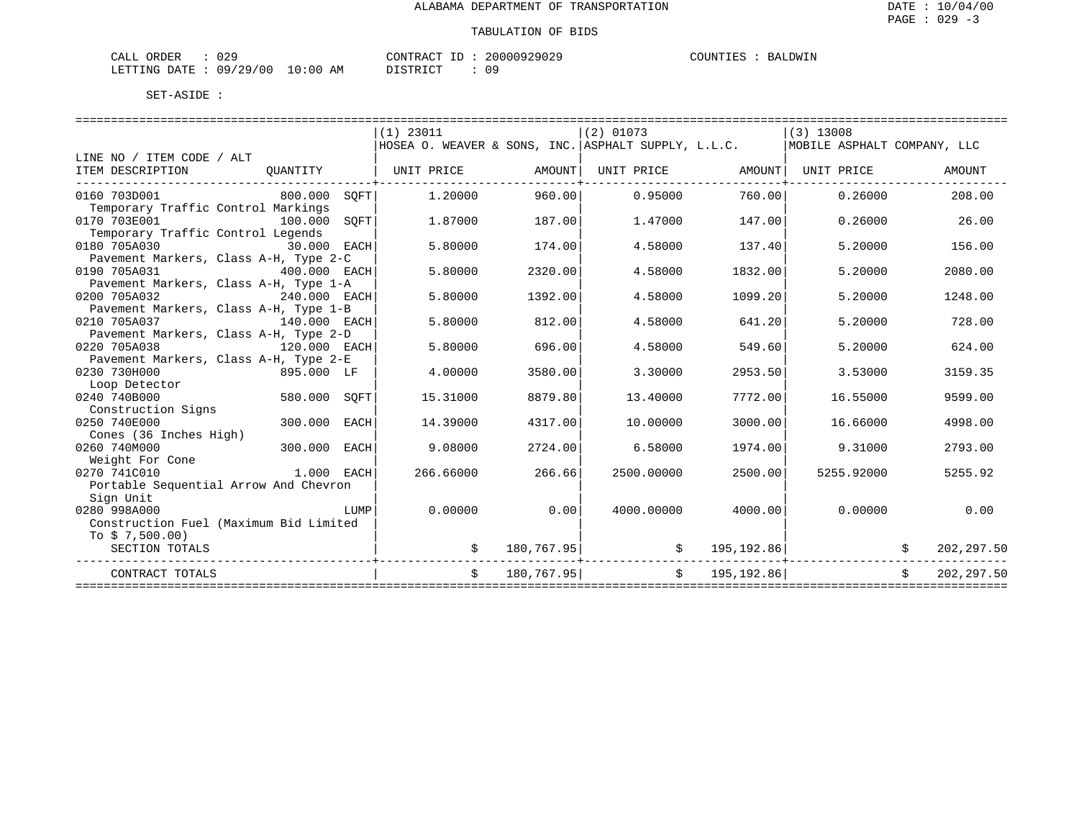| ORDER<br>CALI          | J29 |               | CONTRACT<br>TD. | 20000929029 | COUNTIES | <b>BALDWIN</b> |
|------------------------|-----|---------------|-----------------|-------------|----------|----------------|
| LETTING DATE: 09/29/00 |     | LO : 00<br>AM | T STR TOT       | n a         |          |                |

|                                        |                 | $(1)$ 23011                                         |         | $(2)$ 01073                                         |         | $(3)$ 13008                 |  |             |  |  |  |
|----------------------------------------|-----------------|-----------------------------------------------------|---------|-----------------------------------------------------|---------|-----------------------------|--|-------------|--|--|--|
|                                        |                 | HOSEA O. WEAVER & SONS, INC. ASPHALT SUPPLY, L.L.C. |         |                                                     |         | MOBILE ASPHALT COMPANY, LLC |  |             |  |  |  |
| LINE NO / ITEM CODE / ALT              |                 |                                                     |         |                                                     |         |                             |  |             |  |  |  |
| ITEM DESCRIPTION                       | OUANTITY        |                                                     |         |                                                     |         | UNIT PRICE                  |  | AMOUNT      |  |  |  |
| 0160 703D001                           | 800.000 SOFT    | 1,20000                                             | 960.00  | 0.95000                                             | 760.00  | 0.26000                     |  | 208.00      |  |  |  |
| Temporary Traffic Control Markings     |                 |                                                     |         |                                                     |         |                             |  |             |  |  |  |
| 0170 703E001                           | 100.000<br>SOFT | 1.87000                                             | 187.00  | 1.47000                                             | 147.00  | 0.26000                     |  | 26.00       |  |  |  |
| Temporary Traffic Control Legends      |                 |                                                     |         |                                                     |         |                             |  |             |  |  |  |
| 0180 705A030                           | 30.000 EACH     | 5.80000                                             | 174.00  | 4.58000                                             | 137.40  | 5.20000                     |  | 156.00      |  |  |  |
| Pavement Markers, Class A-H, Type 2-C  |                 |                                                     |         |                                                     |         |                             |  |             |  |  |  |
| 0190 705A031                           | $400.000$ EACH  | 5.80000                                             | 2320.00 | 4.58000                                             | 1832.00 | 5.20000                     |  | 2080.00     |  |  |  |
| Pavement Markers, Class A-H, Type 1-A  |                 |                                                     |         |                                                     |         |                             |  |             |  |  |  |
| 0200 705A032                           | 240.000 EACH    | 5.80000                                             | 1392.00 | 4.58000                                             | 1099.20 | 5.20000                     |  | 1248.00     |  |  |  |
| Pavement Markers, Class A-H, Type 1-B  |                 |                                                     |         |                                                     |         |                             |  |             |  |  |  |
| 0210 705A037                           | 140.000 EACH    | 5.80000                                             | 812.00  | 4.58000                                             | 641.20  | 5.20000                     |  | 728.00      |  |  |  |
| Pavement Markers, Class A-H, Type 2-D  |                 |                                                     |         |                                                     |         |                             |  |             |  |  |  |
| 0220 705A038                           | 120.000 EACH    | 5.80000                                             | 696.00  | 4.58000                                             | 549.60  | 5.20000                     |  | 624.00      |  |  |  |
| Pavement Markers, Class A-H, Type 2-E  |                 |                                                     |         |                                                     |         |                             |  |             |  |  |  |
| 0230 730H000                           | 895.000 LF      | 4.00000                                             | 3580.00 | 3.30000                                             | 2953.50 | 3.53000                     |  | 3159.35     |  |  |  |
| Loop Detector                          |                 |                                                     |         |                                                     |         |                             |  |             |  |  |  |
| 0240 740B000                           | 580.000<br>SOFT | 15.31000                                            | 8879.80 | 13,40000                                            | 7772.00 | 16.55000                    |  | 9599.00     |  |  |  |
| Construction Signs                     |                 |                                                     |         |                                                     |         |                             |  |             |  |  |  |
| 0250 740E000                           | 300.000<br>EACH | 14.39000                                            | 4317.00 | 10.00000                                            | 3000.00 | 16.66000                    |  | 4998.00     |  |  |  |
| Cones (36 Inches High)                 |                 |                                                     |         |                                                     |         |                             |  |             |  |  |  |
| 0260 740M000                           | 300.000 EACH    | 9,08000                                             | 2724.00 | 6.58000                                             | 1974.00 | 9.31000                     |  | 2793.00     |  |  |  |
| Weight For Cone                        |                 |                                                     |         |                                                     |         |                             |  |             |  |  |  |
| 0270 741C010                           | 1.000 EACH      | 266.66000                                           | 266.66  | 2500.00000                                          | 2500.00 | 5255.92000                  |  | 5255.92     |  |  |  |
| Portable Sequential Arrow And Chevron  |                 |                                                     |         |                                                     |         |                             |  |             |  |  |  |
| Sign Unit                              |                 |                                                     |         |                                                     |         |                             |  |             |  |  |  |
| 0280 998A000                           | LUMP            | 0.00000                                             | 0.00    | 4000.00000                                          | 4000.00 | 0.00000                     |  | 0.00        |  |  |  |
| Construction Fuel (Maximum Bid Limited |                 |                                                     |         |                                                     |         |                             |  |             |  |  |  |
| To $$7,500.00)$                        |                 |                                                     |         |                                                     |         |                             |  |             |  |  |  |
| SECTION TOTALS                         |                 |                                                     |         | $180, 767.95$ $\uparrow$ $\downarrow$ $195, 192.86$ |         |                             |  | 202,297.50  |  |  |  |
| CONTRACT TOTALS                        |                 |                                                     |         | $\sharp$ 180,767.95 $\sharp$ 195,192.86 $\sharp$    |         |                             |  | 202, 297.50 |  |  |  |
|                                        |                 |                                                     |         |                                                     |         |                             |  |             |  |  |  |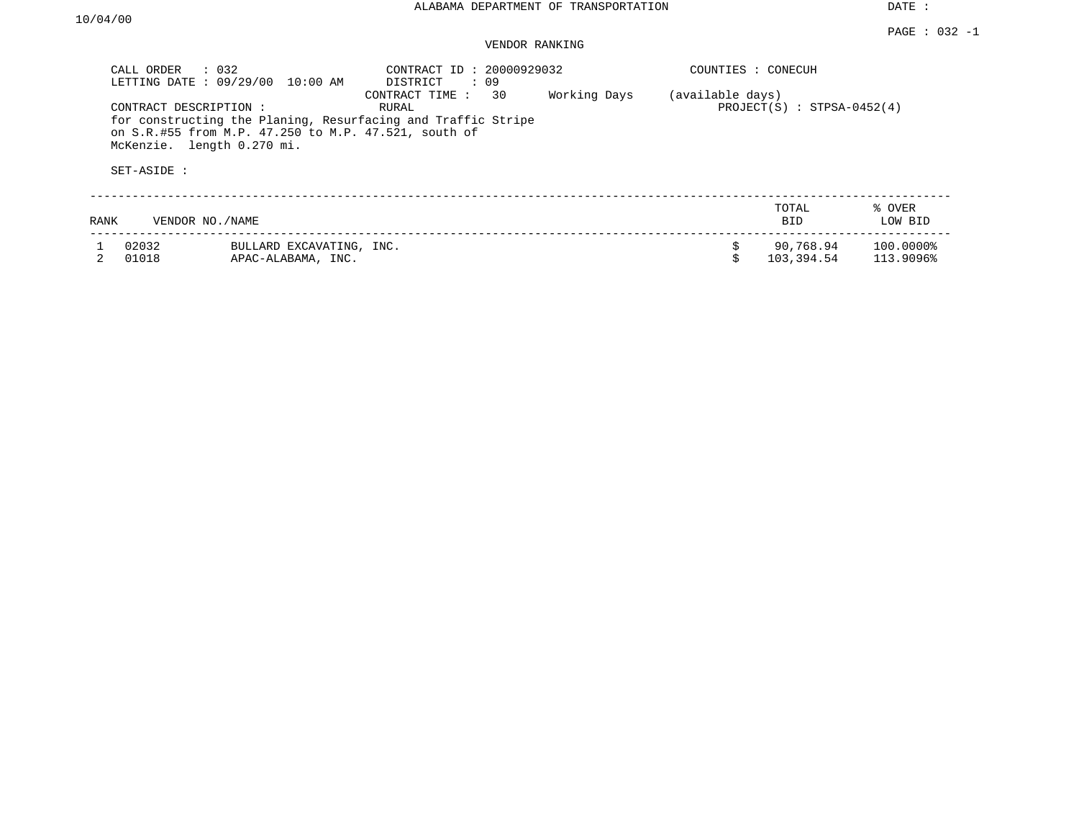|      | CALL ORDER<br>$\therefore$ 032<br>LETTING DATE : 09/29/00 | 10:00 AM                                                                                                             | CONTRACT ID: 20000929032<br>DISTRICT | $\therefore$ 09 |              | COUNTIES : CONECUH |                              |                        |
|------|-----------------------------------------------------------|----------------------------------------------------------------------------------------------------------------------|--------------------------------------|-----------------|--------------|--------------------|------------------------------|------------------------|
|      | CONTRACT DESCRIPTION :<br>McKenzie. length 0.270 mi.      | for constructing the Planing, Resurfacing and Traffic Stripe<br>on S.R.#55 from M.P. 47.250 to M.P. 47.521, south of | CONTRACT TIME:<br>RURAL              | 30              | Working Days | (available days)   | $PROJECT(S)$ : STPSA-0452(4) |                        |
|      | SET-ASIDE :                                               |                                                                                                                      |                                      |                 |              |                    |                              |                        |
| RANK | VENDOR NO./NAME                                           |                                                                                                                      |                                      |                 |              |                    | TOTAL<br>BID.                | % OVER<br>LOW BID      |
|      | 02032<br>01018                                            | BULLARD EXCAVATING, INC.<br>APAC-ALABAMA, INC.                                                                       |                                      |                 |              |                    | 90,768.94<br>103,394.54      | 100.0000%<br>113.9096% |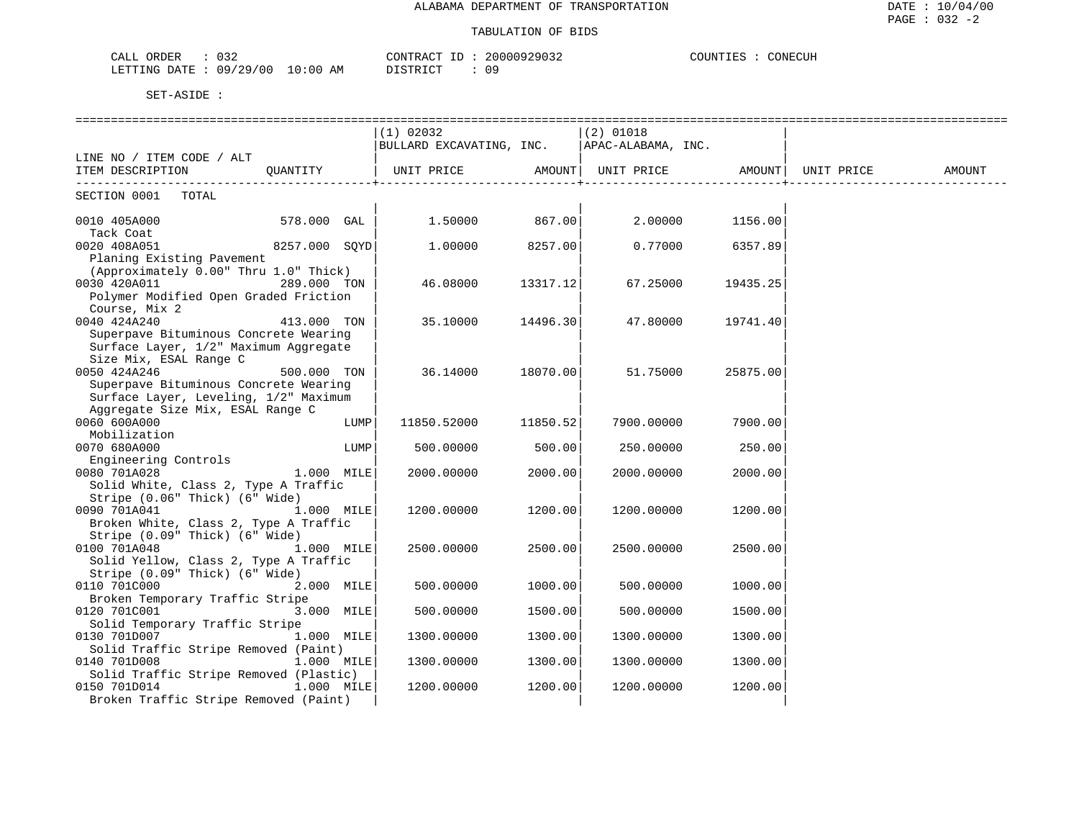### TABULATION OF BIDS

| 032<br>CALL ORDER                | CONTRACT ID : | 20000929032 | CONECUH<br>COUNTIES |
|----------------------------------|---------------|-------------|---------------------|
| LETTING DATE : 09/29/00 10:00 AM | DISTRICT      | 09          |                     |

|                                                 |               |      | ,,,,,,,,,,,,,,,,,,                   |                    |                    |                    |            |        |
|-------------------------------------------------|---------------|------|--------------------------------------|--------------------|--------------------|--------------------|------------|--------|
|                                                 |               |      | (1) 02032                            |                    | $(2)$ 01018        |                    |            |        |
|                                                 |               |      | BULLARD EXCAVATING, INC.             |                    | APAC-ALABAMA, INC. |                    |            |        |
| LINE NO / ITEM CODE / ALT                       |               |      |                                      |                    |                    |                    |            |        |
| ITEM DESCRIPTION QUANTITY                       |               |      | UNIT PRICE AMOUNT  UNIT PRICE AMOUNT |                    |                    |                    | UNIT PRICE | AMOUNT |
| ______________________<br>SECTION 0001<br>TOTAL |               |      |                                      | ---------------+-- |                    | ----------------+- |            |        |
|                                                 |               |      |                                      |                    |                    |                    |            |        |
| 0010 405A000                                    | 578.000 GAL   |      | 1.50000                              | 867.00             | 2,00000            | 1156.00            |            |        |
| Tack Coat                                       |               |      |                                      |                    |                    |                    |            |        |
| 0020 408A051                                    | 8257.000 SOYD |      | 1,00000                              | 8257.00            | 0.77000            | 6357.89            |            |        |
| Planing Existing Pavement                       |               |      |                                      |                    |                    |                    |            |        |
| (Approximately 0.00" Thru 1.0" Thick)           |               |      |                                      |                    |                    |                    |            |        |
| 0030 420A011                                    | 289.000 TON   |      | 46.08000                             | 13317.12           | 67.25000           | 19435.25           |            |        |
| Polymer Modified Open Graded Friction           |               |      |                                      |                    |                    |                    |            |        |
| Course, Mix 2                                   |               |      |                                      |                    |                    |                    |            |        |
| 0040 424A240                                    | 413.000 TON   |      | 35.10000                             | 14496.30           | 47.80000           | 19741.40           |            |        |
| Superpave Bituminous Concrete Wearing           |               |      |                                      |                    |                    |                    |            |        |
| Surface Layer, 1/2" Maximum Aggregate           |               |      |                                      |                    |                    |                    |            |        |
| Size Mix, ESAL Range C                          |               |      |                                      |                    |                    |                    |            |        |
| 0050 424A246                                    | 500.000 TON   |      | 36.14000                             | 18070.00           | 51.75000           | 25875.00           |            |        |
| Superpave Bituminous Concrete Wearing           |               |      |                                      |                    |                    |                    |            |        |
| Surface Layer, Leveling, 1/2" Maximum           |               |      |                                      |                    |                    |                    |            |        |
| Aggregate Size Mix, ESAL Range C                |               |      |                                      |                    |                    |                    |            |        |
| 0060 600A000                                    |               | LUMP | 11850.52000                          | 11850.52           | 7900.00000         | 7900.00            |            |        |
| Mobilization                                    |               |      |                                      |                    |                    |                    |            |        |
| 0070 680A000                                    |               | LUMP | 500.00000                            | 500.00             | 250.00000          | 250.00             |            |        |
| Engineering Controls                            |               |      |                                      |                    |                    |                    |            |        |
| 0080 701A028                                    | 1.000 MILE    |      | 2000.00000                           | 2000.00            | 2000.00000         | 2000.00            |            |        |
| Solid White, Class 2, Type A Traffic            |               |      |                                      |                    |                    |                    |            |        |
| Stripe (0.06" Thick) (6" Wide)                  |               |      |                                      |                    |                    |                    |            |        |
| 0090 701A041                                    | 1.000 MILE    |      | 1200.00000                           | 1200.00            | 1200.00000         | 1200.00            |            |        |
| Broken White, Class 2, Type A Traffic           |               |      |                                      |                    |                    |                    |            |        |
| Stripe (0.09" Thick) (6" Wide)                  |               |      |                                      |                    |                    |                    |            |        |
| 0100 701A048                                    | 1.000 MILE    |      | 2500.00000                           | 2500.00            | 2500.00000         | 2500.00            |            |        |
| Solid Yellow, Class 2, Type A Traffic           |               |      |                                      |                    |                    |                    |            |        |
| Stripe (0.09" Thick) (6" Wide)                  |               |      |                                      |                    |                    |                    |            |        |
| 0110 701C000                                    | 2.000 MILE    |      | 500.00000                            | 1000.00            | 500.00000          | 1000.00            |            |        |
| Broken Temporary Traffic Stripe                 |               |      |                                      |                    |                    |                    |            |        |
| 0120 701C001                                    | 3.000 MILE    |      | 500.00000                            | 1500.00            | 500.00000          | 1500.00            |            |        |
| Solid Temporary Traffic Stripe                  |               |      |                                      |                    |                    |                    |            |        |
| 0130 701D007                                    | 1.000 MILE    |      | 1300.00000                           | 1300.00            | 1300.00000         | 1300.00            |            |        |
| Solid Traffic Stripe Removed (Paint)            |               |      |                                      |                    |                    |                    |            |        |
| 0140 701D008                                    | 1.000 MILE    |      | 1300.00000                           | 1300.00            | 1300.00000         | 1300.00            |            |        |
| Solid Traffic Stripe Removed (Plastic)          |               |      |                                      |                    |                    |                    |            |        |
| 0150 701D014                                    | 1.000 MILE    |      | 1200.00000                           | 1200.00            | 1200.00000         | 1200.00            |            |        |
| Broken Traffic Stripe Removed (Paint)           |               |      |                                      |                    |                    |                    |            |        |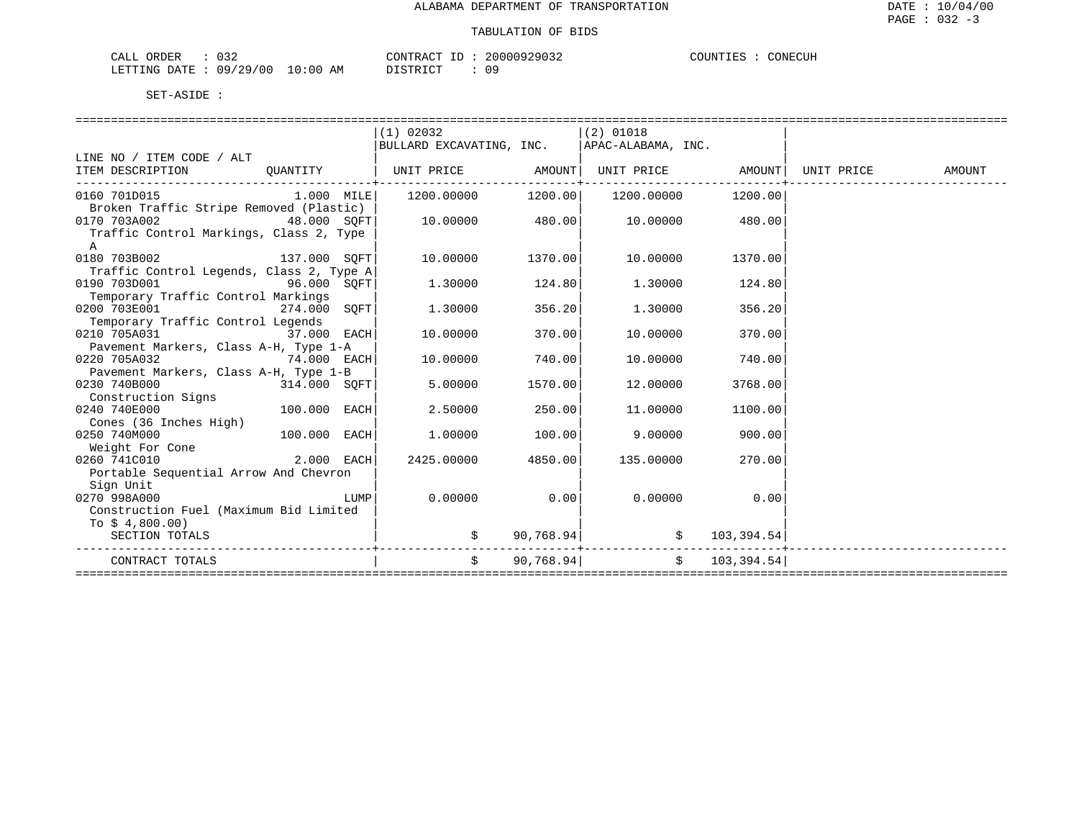| ORDER<br>CALI | ے ر      |               | CONTRAC <sup>.</sup> | п. |    | 20000929032 | <b>COUNTIES</b><br>TIES | CONECUH |
|---------------|----------|---------------|----------------------|----|----|-------------|-------------------------|---------|
| LETTING DATE  | 09/29/00 | LO : 00<br>ΑM | DI STR TOT           |    | nα |             |                         |         |

|                                                         |              |      | (1) 02032                                       |           | $(2)$ 01018            |             |                   |  |
|---------------------------------------------------------|--------------|------|-------------------------------------------------|-----------|------------------------|-------------|-------------------|--|
|                                                         |              |      | BULLARD EXCAVATING, INC.   APAC-ALABAMA, INC.   |           |                        |             |                   |  |
| LINE NO / ITEM CODE / ALT                               |              |      |                                                 |           |                        |             |                   |  |
| ITEM DESCRIPTION                                        |              |      | QUANTITY   UNIT PRICE AMOUNT  UNIT PRICE AMOUNT |           |                        |             | UNIT PRICE AMOUNT |  |
|                                                         |              |      |                                                 | -------+  |                        |             |                   |  |
| 0160 701D015<br>Broken Traffic Stripe Removed (Plastic) | 1.000 MILE   |      | 1200.00000                                      |           | $1200.00$ $1200.00000$ | 1200.00     |                   |  |
| 0170 703A002<br>48.000 SOFT                             |              |      | 10.00000                                        | 480.00    | 10.00000               | 480.00      |                   |  |
| Traffic Control Markings, Class 2, Type                 |              |      |                                                 |           |                        |             |                   |  |
| A                                                       |              |      |                                                 |           |                        |             |                   |  |
| 0180 703B002<br>137.000 SOFT                            |              |      | 10.00000                                        | 1370.00   | 10.00000               | 1370.00     |                   |  |
| Traffic Control Legends, Class 2, Type A                |              |      |                                                 |           |                        |             |                   |  |
| 0190 703D001                                            | 96.000 SOFT  |      | 1,30000                                         | 124.80    | 1.30000                | 124.80      |                   |  |
| Temporary Traffic Control Markings                      |              |      |                                                 |           |                        |             |                   |  |
| 0200 703E001                                            | 274.000 SOFT |      | 1,30000                                         | 356.20    | 1,30000                | 356.20      |                   |  |
| Temporary Traffic Control Legends                       |              |      |                                                 |           |                        |             |                   |  |
| 0210 705A031                                            | 37.000 EACH  |      | 10.00000                                        | 370.00    | 10.00000               | 370.00      |                   |  |
| Pavement Markers, Class A-H, Type 1-A                   |              |      |                                                 |           |                        |             |                   |  |
| 0220 705A032                                            | 74.000 EACH  |      | 10.00000                                        | 740.00    | 10.00000               | 740.00      |                   |  |
| Pavement Markers, Class A-H, Type 1-B                   |              |      |                                                 |           |                        |             |                   |  |
| 0230 740B000<br>$314.000$ SQFT                          |              |      | 5.00000                                         | 1570.00   | 12.00000               | 3768.00     |                   |  |
| Construction Signs<br>0240 740E000                      |              |      |                                                 |           |                        |             |                   |  |
| Cones (36 Inches High)                                  | 100.000 EACH |      | 2.50000                                         | 250.00    | 11,00000               | 1100.00     |                   |  |
| 0250 740M000                                            | 100.000 EACH |      | 1.00000                                         | 100.00    | 9.00000                | 900.00      |                   |  |
| Weight For Cone                                         |              |      |                                                 |           |                        |             |                   |  |
| 2.000 EACH<br>0260 741C010                              |              |      | 2425.00000                                      | 4850.00   | 135.00000              | 270.00      |                   |  |
| Portable Sequential Arrow And Chevron                   |              |      |                                                 |           |                        |             |                   |  |
| Sign Unit                                               |              |      |                                                 |           |                        |             |                   |  |
| 0270 998A000                                            |              | LUMP | 0.00000                                         | 0.00      | 0.00000                | 0.00        |                   |  |
| Construction Fuel (Maximum Bid Limited                  |              |      |                                                 |           |                        |             |                   |  |
| To $$4,800.00)$                                         |              |      |                                                 |           |                        |             |                   |  |
| SECTION TOTALS                                          |              |      |                                                 | 90,768.94 | \$                     | 103,394.54  |                   |  |
| CONTRACT TOTALS                                         |              |      |                                                 | 90,768.94 | $\mathsf{S}$           | 103, 394.54 |                   |  |
| =================================                       |              |      |                                                 |           |                        |             |                   |  |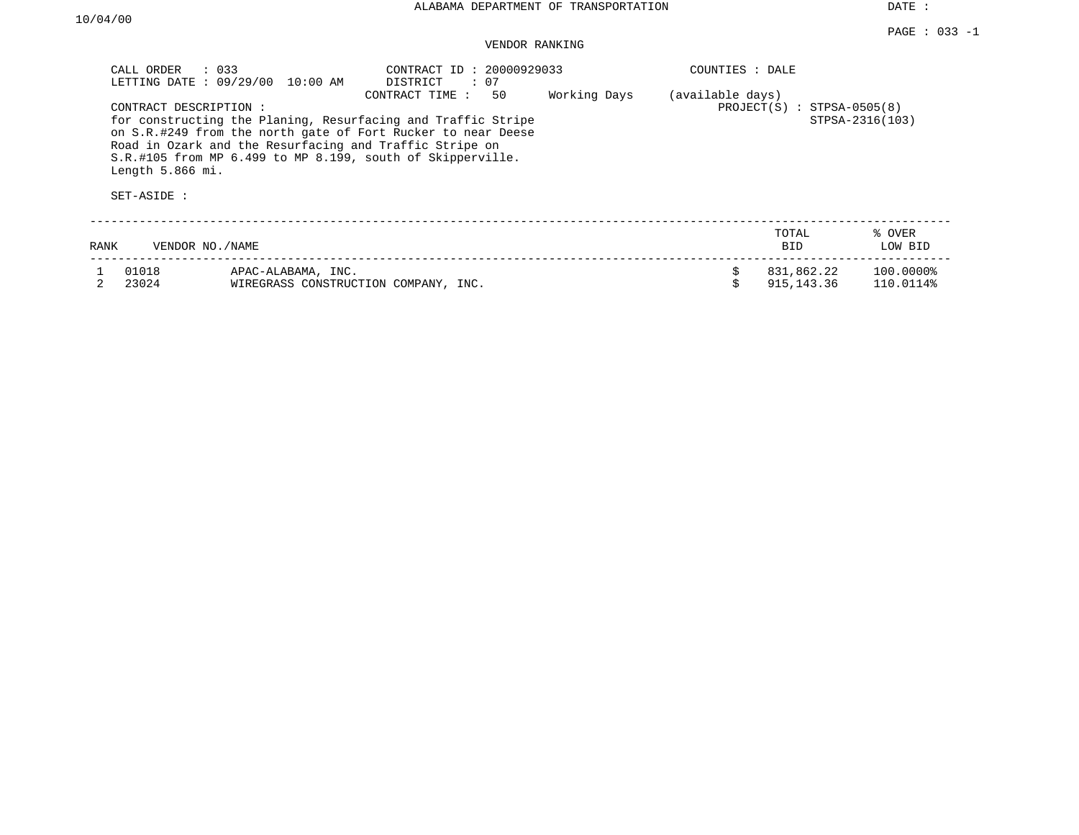| CALL ORDER                                               | : 0.33<br>LETTING DATE: 09/29/00<br>10:00 AM                                                                                                                                                                                                          | : 20000929033<br>CONTRACT ID<br>DISTRICT<br>: 07 | COUNTIES : DALE |                          |                        |
|----------------------------------------------------------|-------------------------------------------------------------------------------------------------------------------------------------------------------------------------------------------------------------------------------------------------------|--------------------------------------------------|-----------------|--------------------------|------------------------|
| CONTRACT DESCRIPTION:<br>Length 5.866 mi.<br>SET-ASIDE : | for constructing the Planing, Resurfacing and Traffic Stripe<br>on S.R.#249 from the north gate of Fort Rucker to near Deese<br>Road in Ozark and the Resurfacing and Traffic Stripe on<br>S.R.#105 from MP 6.499 to MP 8.199, south of Skipperville. | (available days)<br>$PROJECT(S)$ : STPSA-0505(8) | STPSA-2316(103) |                          |                        |
| RANK                                                     | VENDOR NO. / NAME                                                                                                                                                                                                                                     |                                                  |                 | TOTAL<br><b>BID</b>      | % OVER<br>LOW BID      |
| 01018<br>23024                                           | APAC-ALABAMA, INC.<br>WIREGRASS CONSTRUCTION COMPANY, INC.                                                                                                                                                                                            |                                                  |                 | 831,862.22<br>915,143.36 | 100.0000%<br>110.0114% |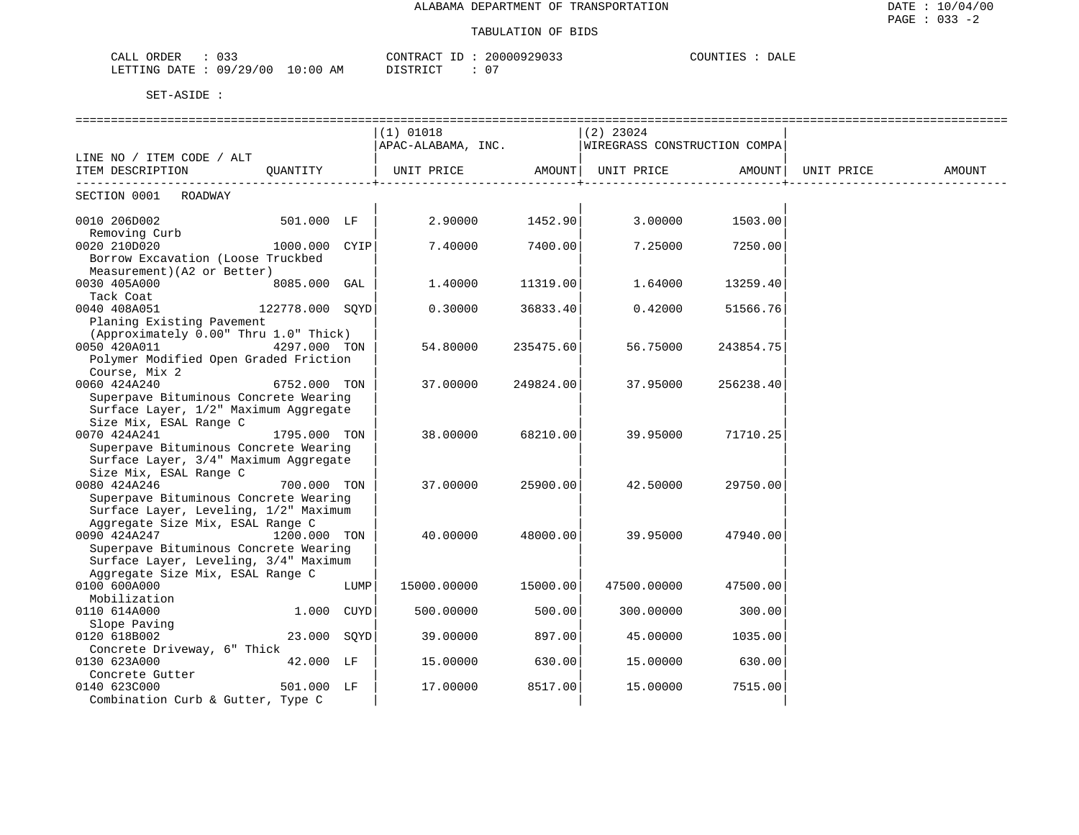| 033<br>CALL ORDER               | CONTRACT ID: 20000929033 | COUNTIES : DALE |
|---------------------------------|--------------------------|-----------------|
| LETTING DATE: 09/29/00 10:00 AM | DISTRICT                 |                 |

|                                       |               |      | ==============================                  |           | ================= |           |            |        |
|---------------------------------------|---------------|------|-------------------------------------------------|-----------|-------------------|-----------|------------|--------|
|                                       |               |      | $(1)$ 01018                                     |           | $(2)$ 23024       |           |            |        |
|                                       |               |      | APAC-ALABAMA, INC. WIREGRASS CONSTRUCTION COMPA |           |                   |           |            |        |
| LINE NO / ITEM CODE / ALT             |               |      |                                                 |           |                   |           |            |        |
| ITEM DESCRIPTION QUANTITY             |               |      | UNIT PRICE AMOUNT  UNIT PRICE AMOUNT            |           |                   |           | UNIT PRICE | AMOUNT |
| SECTION 0001 ROADWAY                  |               |      |                                                 |           |                   |           |            |        |
| 0010 206D002                          | 501.000 LF    |      | 2.90000                                         | 1452.90   | 3,00000           | 1503.00   |            |        |
| Removing Curb                         |               |      |                                                 |           |                   |           |            |        |
| 0020 210D020                          | 1000.000 CYIP |      | 7.40000                                         | 7400.00   | 7.25000           | 7250.00   |            |        |
| Borrow Excavation (Loose Truckbed     |               |      |                                                 |           |                   |           |            |        |
| Measurement) (A2 or Better)           |               |      |                                                 |           |                   |           |            |        |
| 0030 405A000                          | 8085.000 GAL  |      | 1,40000                                         | 11319.00  | 1.64000           | 13259.40  |            |        |
| Tack Coat                             |               |      |                                                 |           |                   |           |            |        |
| 122778.000 SQYD<br>0040 408A051       |               |      | 0.30000                                         | 36833.40  | 0.42000           | 51566.76  |            |        |
| Planing Existing Pavement             |               |      |                                                 |           |                   |           |            |        |
| (Approximately 0.00" Thru 1.0" Thick) |               |      |                                                 |           |                   |           |            |        |
| 0050 420A011                          | 4297.000 TON  |      | 54.80000                                        | 235475.60 | 56.75000          | 243854.75 |            |        |
| Polymer Modified Open Graded Friction |               |      |                                                 |           |                   |           |            |        |
| Course, Mix 2                         |               |      |                                                 |           |                   |           |            |        |
| 0060 424A240                          | 6752.000 TON  |      | 37.00000                                        | 249824.00 | 37.95000          | 256238.40 |            |        |
| Superpave Bituminous Concrete Wearing |               |      |                                                 |           |                   |           |            |        |
| Surface Layer, 1/2" Maximum Aggregate |               |      |                                                 |           |                   |           |            |        |
| Size Mix, ESAL Range C                |               |      |                                                 |           |                   |           |            |        |
| 0070 424A241                          | 1795.000 TON  |      | 38.00000                                        | 68210.00  | 39.95000          | 71710.25  |            |        |
| Superpave Bituminous Concrete Wearing |               |      |                                                 |           |                   |           |            |        |
| Surface Layer, 3/4" Maximum Aggregate |               |      |                                                 |           |                   |           |            |        |
| Size Mix, ESAL Range C                |               |      |                                                 |           |                   |           |            |        |
| 0080 424A246                          | 700.000 TON   |      | 37.00000                                        | 25900.00  | 42.50000          | 29750.00  |            |        |
| Superpave Bituminous Concrete Wearing |               |      |                                                 |           |                   |           |            |        |
| Surface Layer, Leveling, 1/2" Maximum |               |      |                                                 |           |                   |           |            |        |
| Aggregate Size Mix, ESAL Range C      |               |      |                                                 |           |                   |           |            |        |
| 0090 424A247                          | 1200.000 TON  |      | 40.00000                                        | 48000.00  | 39.95000          | 47940.00  |            |        |
| Superpave Bituminous Concrete Wearing |               |      |                                                 |           |                   |           |            |        |
| Surface Layer, Leveling, 3/4" Maximum |               |      |                                                 |           |                   |           |            |        |
| Aggregate Size Mix, ESAL Range C      |               |      |                                                 |           |                   |           |            |        |
| 0100 600A000                          |               | LUMP | 15000.00000                                     | 15000.00  | 47500.00000       | 47500.00  |            |        |
| Mobilization                          |               |      |                                                 |           |                   |           |            |        |
| 0110 614A000                          | 1.000 CUYD    |      | 500,00000                                       | 500.00    | 300.00000         | 300.00    |            |        |
| Slope Paving                          |               |      |                                                 |           |                   |           |            |        |
| 0120 618B002                          | 23.000 SQYD   |      | 39.00000                                        | 897.00    | 45.00000          | 1035.00   |            |        |
| Concrete Driveway, 6" Thick           |               |      |                                                 |           |                   |           |            |        |
| 0130 623A000                          | 42.000 LF     |      | 15.00000                                        | 630.00    | 15.00000          | 630.00    |            |        |
| Concrete Gutter                       |               |      |                                                 |           |                   |           |            |        |
| 0140 623C000                          | 501.000 LF    |      | 17.00000                                        | 8517.00   | 15.00000          | 7515.00   |            |        |
| Combination Curb & Gutter, Type C     |               |      |                                                 |           |                   |           |            |        |
|                                       |               |      |                                                 |           |                   |           |            |        |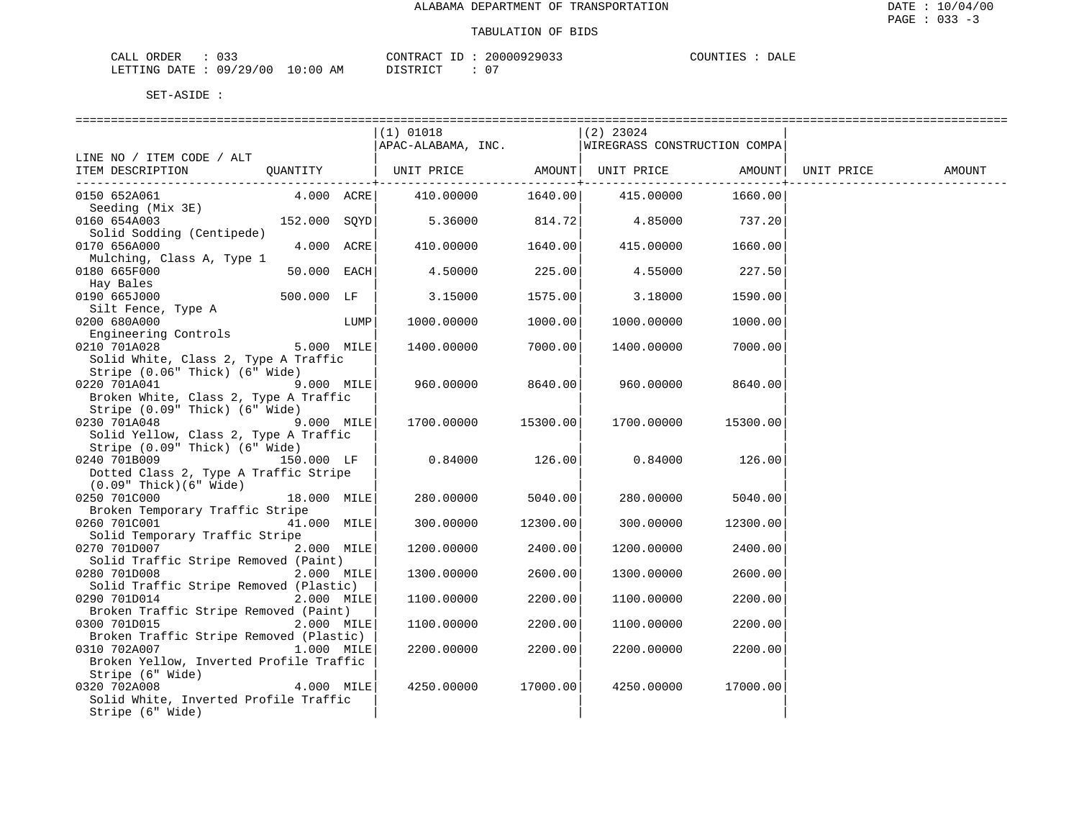| CALL<br>ORDER<br>د د ∪     |            | CONTRACT<br>ח ד     | 20000929033 | COUNTIES<br>DALE |
|----------------------------|------------|---------------------|-------------|------------------|
| 09/29/00<br>LETTING DATE : | $10:00$ AM | DI STR TOT<br>----- |             |                  |

|                                                       |              |            | (1) 01018                                      |                                 | $(2)$ 23024                  |                          |            |        |
|-------------------------------------------------------|--------------|------------|------------------------------------------------|---------------------------------|------------------------------|--------------------------|------------|--------|
|                                                       |              |            | APAC-ALABAMA, INC.                             |                                 | WIREGRASS CONSTRUCTION COMPA |                          |            |        |
| LINE NO / ITEM CODE / ALT                             |              |            |                                                |                                 |                              |                          |            |        |
| ITEM DESCRIPTION                                      | OUANTITY     |            | UNIT PRICE       AMOUNT  UNIT PRICE     AMOUNT |                                 |                              |                          | UNIT PRICE | AMOUNT |
| 0150 652A061                                          | 4.000 ACRE   |            | 410.00000                                      | ------------+-------<br>1640.00 | 415.00000                    | ------------+<br>1660.00 |            |        |
| Seeding (Mix 3E)                                      |              |            |                                                |                                 |                              |                          |            |        |
| 0160 654A003                                          | 152.000 SOYD |            | 5.36000                                        | 814.72                          | 4.85000 737.20               |                          |            |        |
| Solid Sodding (Centipede)                             |              |            |                                                |                                 |                              |                          |            |        |
| 0170 656A000                                          | 4.000 ACRE   |            | 410.00000                                      | 1640.00                         | 415.00000                    | 1660.00                  |            |        |
| Mulching, Class A, Type 1                             |              |            |                                                |                                 |                              |                          |            |        |
| 0180 665F000                                          | 50.000 EACH  |            | 4.50000                                        | 225.00                          | 4.55000                      | 227.50                   |            |        |
| Hay Bales<br>0190 665J000                             |              |            |                                                |                                 |                              |                          |            |        |
|                                                       | 500.000 LF   |            | 3.15000                                        | 1575.00                         | 3.18000                      | 1590.00                  |            |        |
| Silt Fence, Type A<br>0200 680A000                    |              | LUMP       | 1000.00000                                     | 1000.00                         | 1000.00000                   | 1000.00                  |            |        |
|                                                       |              |            |                                                |                                 |                              |                          |            |        |
| Engineering Controls<br>210 701A028<br>0210 701A028   | 5.000 MILE   |            | 1400.00000                                     | 7000.00                         | 1400.00000                   | 7000.00                  |            |        |
| Solid White, Class 2, Type A Traffic                  |              |            |                                                |                                 |                              |                          |            |        |
| Stripe (0.06" Thick) (6" Wide)                        |              |            |                                                |                                 |                              |                          |            |        |
| 0220 701A041                                          | 9.000 MILE   |            | 960.00000                                      | 8640.00                         | 960.00000                    | 8640.00                  |            |        |
| Broken White, Class 2, Type A Traffic                 |              |            |                                                |                                 |                              |                          |            |        |
| Stripe (0.09" Thick) (6" Wide)                        |              |            |                                                |                                 |                              |                          |            |        |
| 0230 701A048<br><b>9.000 MILE</b>                     |              |            | 1700.00000                                     | 15300.00                        | 1700.00000                   | 15300.00                 |            |        |
| Solid Yellow, Class 2, Type A Traffic                 |              |            |                                                |                                 |                              |                          |            |        |
| Stripe (0.09" Thick) (6" Wide)                        |              |            |                                                |                                 |                              |                          |            |        |
| 0240 701B009<br>150.000 LF                            |              |            | 0.84000                                        | 126.00                          | 0.84000                      | 126.00                   |            |        |
| Dotted Class 2, Type A Traffic Stripe                 |              |            |                                                |                                 |                              |                          |            |        |
| $(0.09"$ Thick $)(6"$ Wide $)$                        |              |            |                                                |                                 |                              |                          |            |        |
| 0250 701C000                                          | 18.000 MILE  |            | 280.00000                                      | 5040.00                         | 280.00000                    | 5040.00                  |            |        |
| Broken Temporary Traffic Stripe                       |              |            |                                                |                                 |                              |                          |            |        |
| 0260 701C001                                          | 41.000 MILE  |            | 300.00000                                      | 12300.00                        | 300.00000                    | 12300.00                 |            |        |
| Solid Temporary Traffic Stripe                        |              |            |                                                |                                 |                              |                          |            |        |
| 0270 701D007                                          | 2.000 MILE   |            | 1200.00000                                     | 2400.00                         | 1200.00000                   | 2400.00                  |            |        |
| Solid Traffic Stripe Removed (Paint)                  |              |            |                                                |                                 |                              |                          |            |        |
| 0280 701D008                                          | 2.000 MILE   |            | 1300.00000                                     | 2600.00                         | 1300.00000                   | 2600.00                  |            |        |
| Solid Traffic Stripe Removed (Plastic)                |              |            |                                                |                                 |                              |                          |            |        |
| 0290 701D014<br>Broken Traffic Stripe Removed (Paint) | 2.000 MILE   |            | 1100.00000                                     | 2200.00                         | 1100.00000                   | 2200.00                  |            |        |
| 0300 701D015                                          | 2.000 MILE   |            | 1100.00000                                     | 2200.00                         | 1100.00000                   | 2200.00                  |            |        |
| Broken Traffic Stripe Removed (Plastic)               |              |            |                                                |                                 |                              |                          |            |        |
| 0310 702A007                                          | 1.000 MILE   |            | 2200.00000                                     | 2200.00                         | 2200.00000                   | 2200.00                  |            |        |
| Broken Yellow, Inverted Profile Traffic               |              |            |                                                |                                 |                              |                          |            |        |
| Stripe (6" Wide)                                      |              |            |                                                |                                 |                              |                          |            |        |
| 0320 702A008                                          |              | 4.000 MILE | 4250.00000                                     | 17000.00                        | 4250.00000                   | 17000.00                 |            |        |
| Solid White, Inverted Profile Traffic                 |              |            |                                                |                                 |                              |                          |            |        |
| Stripe (6" Wide)                                      |              |            |                                                |                                 |                              |                          |            |        |
|                                                       |              |            |                                                |                                 |                              |                          |            |        |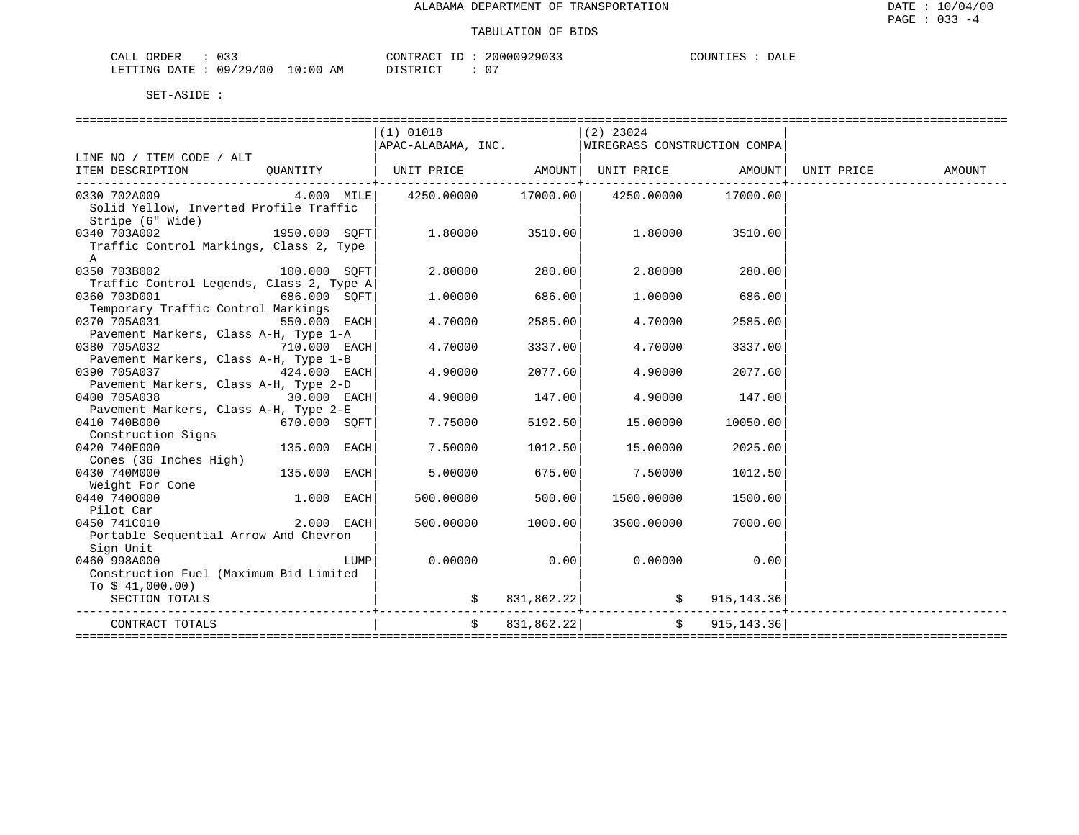| ORDER<br>CALL          | 033 |          | CONTRACT ID: | 20000929033 | COUNTIES | DALE |
|------------------------|-----|----------|--------------|-------------|----------|------|
| LETTING DATE: 09/29/00 |     | 10:00 AM | DISTRICT     | $\sim$      |          |      |

|                                          |               |      | $(1)$ 01018                                                             |               | $(2)$ 23024                                      |                |        |
|------------------------------------------|---------------|------|-------------------------------------------------------------------------|---------------|--------------------------------------------------|----------------|--------|
|                                          |               |      | APAC-ALABAMA, INC. WIREGRASS CONSTRUCTION COMPA                         |               |                                                  |                |        |
| LINE NO / ITEM CODE / ALT                |               |      |                                                                         |               |                                                  |                |        |
| ITEM DESCRIPTION                         |               |      | QUANTITY   UNIT PRICE       AMOUNT  UNIT PRICE       AMOUNT  UNIT PRICE |               |                                                  |                | AMOUNT |
| 0330 702A009                             |               |      | $4.000$ MILE $4250.00000$ $17000.00$ $4250.00000$                       |               |                                                  | 17000.00       |        |
| Solid Yellow, Inverted Profile Traffic   |               |      |                                                                         |               |                                                  |                |        |
| Stripe (6" Wide)                         |               |      |                                                                         |               |                                                  |                |        |
| 0340 703A002                             | 1950.000 SOFT |      | $1.80000$ 3510.00                                                       |               | $1.80000$ 3510.00                                |                |        |
| Traffic Control Markings, Class 2, Type  |               |      |                                                                         |               |                                                  |                |        |
| A                                        |               |      |                                                                         |               |                                                  |                |        |
| 0350 703B002 100.000 SOFT                |               |      | 2.80000                                                                 | 280.00        | 2.80000                                          | 280.00         |        |
| Traffic Control Legends, Class 2, Type A |               |      |                                                                         |               |                                                  |                |        |
| 0360 703D001<br>$686.000$ SQFT           |               |      | 1.00000                                                                 | 686.00        | 1,00000                                          | 686.00         |        |
| Temporary Traffic Control Markings       |               |      |                                                                         |               |                                                  |                |        |
| 0370 705A031                             | 550.000 EACH  |      | 4.70000                                                                 | 2585.00       | 4.70000                                          | 2585.00        |        |
| Pavement Markers, Class A-H, Type 1-A    |               |      |                                                                         |               |                                                  |                |        |
| 0380 705A032                             | 710.000 EACH  |      | 4.70000                                                                 | 3337.00       | 4.70000                                          | 3337.00        |        |
| Pavement Markers, Class A-H, Type 1-B    |               |      |                                                                         |               |                                                  |                |        |
| 424.000 EACH<br>0390 705A037             |               |      | 4.90000                                                                 | 2077.60       | 4.90000                                          | 2077.60        |        |
| Pavement Markers, Class A-H, Type 2-D    |               |      |                                                                         |               |                                                  |                |        |
| 0400 705A038<br>$30.000$ EACH            |               |      | 4.90000                                                                 | 147.00        | 4.90000                                          | 147.00         |        |
| Pavement Markers, Class A-H, Type 2-E    |               |      |                                                                         |               |                                                  |                |        |
| 0410 740B000<br>670.000 SQFT             |               |      | 7.75000                                                                 | 5192.50       | 15.00000                                         | 10050.00       |        |
| Construction Signs                       |               |      |                                                                         |               |                                                  |                |        |
| 0420 740E000                             | 135.000 EACH  |      | 7.50000                                                                 | 1012.50       | 15,00000                                         | 2025.00        |        |
| Cones (36 Inches High)                   |               |      |                                                                         |               |                                                  |                |        |
| 0430 740M000                             | 135.000 EACH  |      | 5.00000                                                                 | 675.00        | 7.50000                                          | 1012.50        |        |
| Weight For Cone                          |               |      |                                                                         |               |                                                  |                |        |
| 0440 7400000                             | $1.000$ EACH  |      | 500.00000                                                               | 500.00        | 1500.00000                                       | 1500.00        |        |
| Pilot Car<br>2.000 EACH<br>0450 741C010  |               |      | 500.00000                                                               | 1000.00       | 3500.00000                                       | 7000.00        |        |
| Portable Sequential Arrow And Chevron    |               |      |                                                                         |               |                                                  |                |        |
| Sign Unit                                |               |      |                                                                         |               |                                                  |                |        |
| 0460 998A000                             |               | LUMP | $0.00000$ 0.00                                                          |               | $0.00000$ 0.00                                   |                |        |
| Construction Fuel (Maximum Bid Limited   |               |      |                                                                         |               |                                                  |                |        |
| To $$41,000.00)$                         |               |      |                                                                         |               |                                                  |                |        |
| SECTION TOTALS                           |               |      |                                                                         |               | $\sharp$ 831,862.22 $\sharp$ $\sharp$ 915,143.36 |                |        |
|                                          |               |      |                                                                         |               |                                                  | ------------   |        |
| CONTRACT TOTALS                          |               |      |                                                                         | \$831,862.22] |                                                  | \$915, 143.36] |        |
|                                          |               |      |                                                                         |               |                                                  |                |        |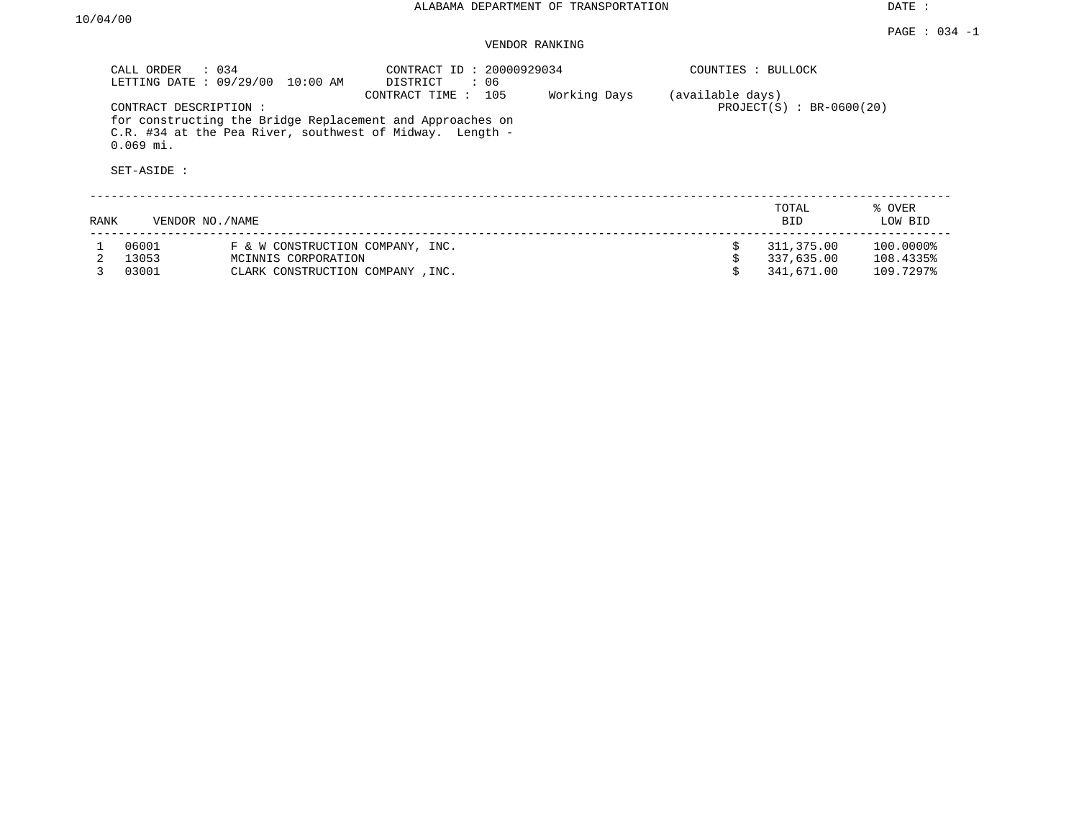|      | CALL ORDER<br>$\therefore$ 034<br>LETTING DATE: 09/29/00 | 10:00 AM                         | CONTRACT ID: 20000929034<br>DISTRICT<br>: 06                                                                                                   |              | COUNTIES : BULLOCK |                            |                   |
|------|----------------------------------------------------------|----------------------------------|------------------------------------------------------------------------------------------------------------------------------------------------|--------------|--------------------|----------------------------|-------------------|
|      | CONTRACT DESCRIPTION:<br>$0.069$ mi.<br>SET-ASIDE :      |                                  | CONTRACT TIME:<br>105<br>for constructing the Bridge Replacement and Approaches on<br>C.R. #34 at the Pea River, southwest of Midway. Length - | Working Days | (available days)   | $PROJECT(S) : BR-0600(20)$ |                   |
| RANK | VENDOR NO./NAME                                          |                                  |                                                                                                                                                |              |                    | TOTAL<br><b>BID</b>        | % OVER<br>LOW BID |
|      | 06001                                                    | F & W CONSTRUCTION COMPANY, INC. |                                                                                                                                                |              | Ŝ.                 | 311,375.00                 | 100.0000%         |
|      | 13053                                                    | MCINNIS CORPORATION              |                                                                                                                                                |              |                    | 337,635.00                 | 108.4335%         |
|      | 03001                                                    | CLARK CONSTRUCTION COMPANY, INC. |                                                                                                                                                |              |                    | 341,671.00                 | 109.7297%         |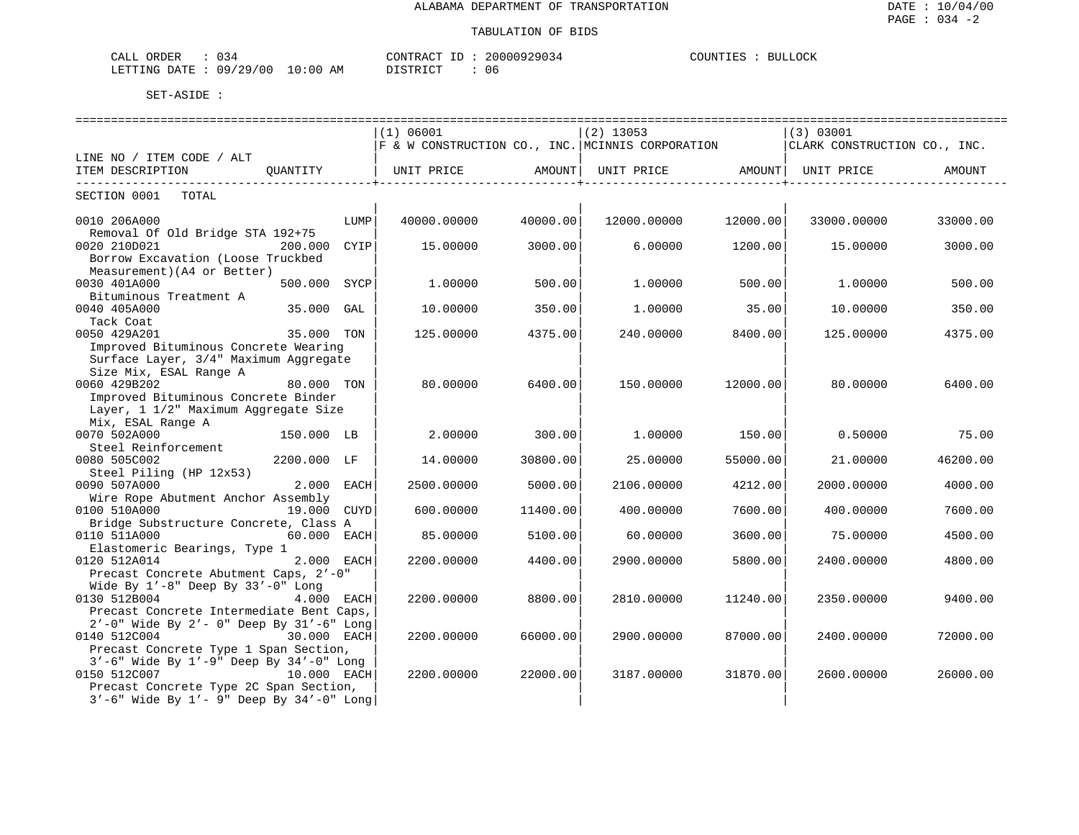| ORDER<br>11 ≺ <del>4</del><br>ىلىلى                |             | CONTRACT<br>⊥⊥ | 20000929034 | BULLOCA<br>-------- |
|----------------------------------------------------|-------------|----------------|-------------|---------------------|
| $\cap$ $\Omega$<br>/ 29<br>'00<br>LETTING<br>DATE. | 10:06<br>AM | DICTO ICTO     | u۲          |                     |

|                                                                    | ========================== |          | ==========================                                                                                                                   |                     |                              |          |
|--------------------------------------------------------------------|----------------------------|----------|----------------------------------------------------------------------------------------------------------------------------------------------|---------------------|------------------------------|----------|
|                                                                    | (1) 06001                  |          | $(2)$ 13053                                                                                                                                  |                     | (3) 03001                    |          |
|                                                                    |                            |          | $\mathrel{\mathop{\rm l\negthinspace F}}$ & W CONSTRUCTION CO., INC. $\mathrel{\mathop{\rm M\negthinspace C}}\nolimits.$ MCINNIS CORPORATION |                     | CLARK CONSTRUCTION CO., INC. |          |
| LINE NO / ITEM CODE / ALT                                          |                            |          |                                                                                                                                              |                     |                              |          |
| ITEM DESCRIPTION<br>OUANTITY                                       | UNIT PRICE AMOUNT          |          | UNIT PRICE AMOUNT   UNIT PRICE                                                                                                               |                     |                              | AMOUNT   |
| --------------------------<br>SECTION 0001<br>TOTAL                |                            |          |                                                                                                                                              | ___________________ |                              |          |
|                                                                    |                            |          |                                                                                                                                              |                     |                              |          |
| 0010 206A000<br>LUMP                                               | 40000.00000                | 40000.00 | 12000.00000                                                                                                                                  | 12000.00            | 33000.00000                  | 33000.00 |
| Removal Of Old Bridge STA 192+75                                   |                            |          |                                                                                                                                              |                     |                              |          |
| 0020 210D021<br>200,000<br>CYIP                                    | 15,00000                   | 3000.00  | 6,00000                                                                                                                                      | 1200.00             | 15.00000                     | 3000.00  |
| Borrow Excavation (Loose Truckbed                                  |                            |          |                                                                                                                                              |                     |                              |          |
| Measurement) (A4 or Better)                                        |                            |          |                                                                                                                                              |                     |                              |          |
| 0030 401A000<br>500.000 SYCP                                       | 1,00000                    | 500.00   | 1,00000                                                                                                                                      | 500.00              | 1,00000                      | 500.00   |
| Bituminous Treatment A                                             |                            |          |                                                                                                                                              |                     |                              |          |
| 0040 405A000<br>35.000 GAL                                         | 10,00000                   | 350.00   | 1,00000                                                                                                                                      | 35.00               | 10.00000                     | 350.00   |
| Tack Coat                                                          |                            |          |                                                                                                                                              |                     |                              |          |
| 0050 429A201<br>35.000 TON<br>Improved Bituminous Concrete Wearing | 125,00000                  | 4375.00  | 240.00000                                                                                                                                    | 8400.00             | 125,00000                    | 4375.00  |
| Surface Layer, 3/4" Maximum Aggregate                              |                            |          |                                                                                                                                              |                     |                              |          |
| Size Mix, ESAL Range A                                             |                            |          |                                                                                                                                              |                     |                              |          |
| 0060 429B202<br>80.000 TON                                         | 80.00000                   | 6400.00  | 150.00000                                                                                                                                    | 12000.00            | 80,00000                     | 6400.00  |
| Improved Bituminous Concrete Binder                                |                            |          |                                                                                                                                              |                     |                              |          |
| Layer, 1 1/2" Maximum Aggregate Size                               |                            |          |                                                                                                                                              |                     |                              |          |
| Mix, ESAL Range A                                                  |                            |          |                                                                                                                                              |                     |                              |          |
| 0070 502A000<br>150.000 LB                                         | 2,00000                    | 300.00   | 1,00000                                                                                                                                      | 150.00              | 0.50000                      | 75.00    |
| Steel Reinforcement                                                |                            |          |                                                                                                                                              |                     |                              |          |
| 0080 505C002<br>2200.000 LF                                        | 14.00000                   | 30800.00 | 25.00000                                                                                                                                     | 55000.00            | 21.00000                     | 46200.00 |
| Steel Piling (HP 12x53)                                            |                            |          |                                                                                                                                              |                     |                              |          |
| 0090 507A000<br>2.000 EACH                                         | 2500.00000                 | 5000.00  | 2106.00000                                                                                                                                   | 4212.00             | 2000.00000                   | 4000.00  |
| Wire Rope Abutment Anchor Assembly                                 |                            |          |                                                                                                                                              |                     |                              |          |
| 0100 510A000<br>19.000 CUYD                                        | 600.00000                  | 11400.00 | 400.00000                                                                                                                                    | 7600.00             | 400.00000                    | 7600.00  |
| Bridge Substructure Concrete, Class A                              |                            |          |                                                                                                                                              |                     |                              |          |
| 0110 511A000<br>60.000 EACH                                        | 85.00000                   | 5100.00  | 60.00000                                                                                                                                     | 3600.00             | 75.00000                     | 4500.00  |
| Elastomeric Bearings, Type 1<br>0120 512A014<br>2.000 EACH         | 2200.00000                 | 4400.00  | 2900.00000                                                                                                                                   | 5800.00             | 2400.00000                   | 4800.00  |
| Precast Concrete Abutment Caps, 2'-0"                              |                            |          |                                                                                                                                              |                     |                              |          |
| Wide By $1'-8$ " Deep By $33'-0$ " Long                            |                            |          |                                                                                                                                              |                     |                              |          |
| 0130 512B004<br>4.000 EACH                                         | 2200.00000                 | 8800.00  | 2810.00000                                                                                                                                   | 11240.00            | 2350.00000                   | 9400.00  |
| Precast Concrete Intermediate Bent Caps,                           |                            |          |                                                                                                                                              |                     |                              |          |
| 2'-0" Wide By 2'- 0" Deep By 31'-6" Long                           |                            |          |                                                                                                                                              |                     |                              |          |
| 30.000 EACH<br>0140 512C004                                        | 2200.00000                 | 66000.00 | 2900.00000                                                                                                                                   | 87000.00            | 2400.00000                   | 72000.00 |
| Precast Concrete Type 1 Span Section,                              |                            |          |                                                                                                                                              |                     |                              |          |
| $3'-6$ " Wide By $1'-9$ " Deep By $34'-0$ " Long                   |                            |          |                                                                                                                                              |                     |                              |          |
| 0150 512C007<br>10.000 EACH                                        | 2200.00000                 | 22000.00 | 3187.00000                                                                                                                                   | 31870.00            | 2600.00000                   | 26000.00 |
| Precast Concrete Type 2C Span Section,                             |                            |          |                                                                                                                                              |                     |                              |          |
| $3'$ -6" Wide By $1'$ - 9" Deep By $34'$ -0" Long                  |                            |          |                                                                                                                                              |                     |                              |          |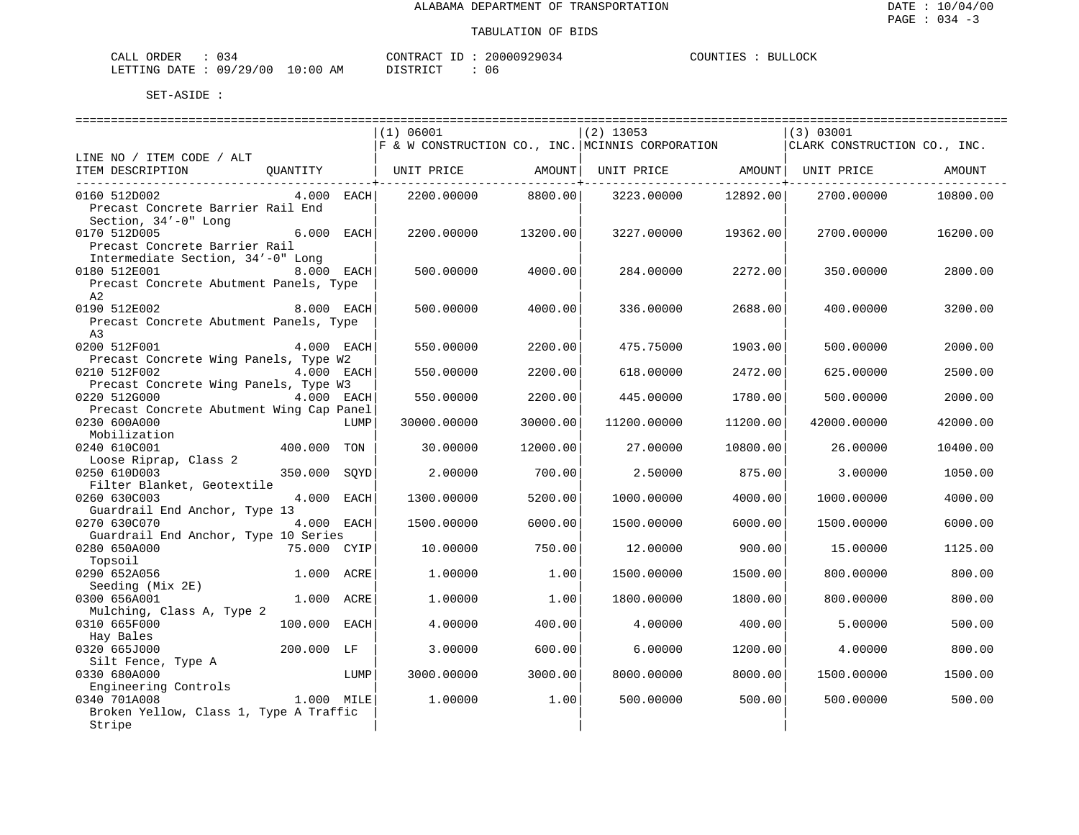| ORDER<br>CALI          | $\sim$ 20 |               | CONTRACT  | TD. | 20000929034 | COUNTIES | <b>BULLOCK</b> |
|------------------------|-----------|---------------|-----------|-----|-------------|----------|----------------|
| LETTING DATE: 09/29/00 |           | LO : 00<br>AM | T STR TOT |     | υe          |          |                |

|                                          |              |      | (1) 06001   |          | $(2)$ 13053                                      |          | (3) 03001                    |          |
|------------------------------------------|--------------|------|-------------|----------|--------------------------------------------------|----------|------------------------------|----------|
|                                          |              |      |             |          | F & W CONSTRUCTION CO., INC. MCINNIS CORPORATION |          | CLARK CONSTRUCTION CO., INC. |          |
| LINE NO / ITEM CODE / ALT                |              |      |             |          |                                                  |          |                              |          |
| ITEM DESCRIPTION                         | OUANTITY     |      | UNIT PRICE  | AMOUNT   | UNIT PRICE AMOUNT                                |          | UNIT PRICE                   | AMOUNT   |
|                                          |              |      |             |          |                                                  |          |                              |          |
| 0160 512D002                             | 4.000 EACH   |      | 2200.00000  | 8800.00  | 3223.00000                                       | 12892.00 | 2700.00000                   | 10800.00 |
| Precast Concrete Barrier Rail End        |              |      |             |          |                                                  |          |                              |          |
| Section, 34'-0" Long                     |              |      |             |          |                                                  |          |                              |          |
| 0170 512D005                             | $6.000$ EACH |      | 2200.00000  | 13200.00 | 3227.00000                                       | 19362.00 | 2700.00000                   | 16200.00 |
| Precast Concrete Barrier Rail            |              |      |             |          |                                                  |          |                              |          |
| Intermediate Section, 34'-0" Long        |              |      |             |          |                                                  |          |                              |          |
| 0180 512E001                             | 8.000 EACH   |      | 500.00000   | 4000.00  | 284.00000                                        | 2272.00  | 350.00000                    | 2800.00  |
| Precast Concrete Abutment Panels, Type   |              |      |             |          |                                                  |          |                              |          |
| A <sub>2</sub>                           |              |      |             |          |                                                  |          |                              |          |
| 0190 512E002                             | 8.000 EACH   |      | 500.00000   | 4000.00  | 336.00000                                        | 2688.00  | 400.00000                    | 3200.00  |
| Precast Concrete Abutment Panels, Type   |              |      |             |          |                                                  |          |                              |          |
| A3                                       |              |      |             |          |                                                  |          |                              |          |
| 0200 512F001                             | 4.000 EACH   |      | 550.00000   | 2200.00  | 475.75000                                        | 1903.00  | 500.00000                    | 2000.00  |
| Precast Concrete Wing Panels, Type W2    |              |      |             |          |                                                  |          |                              |          |
| 0210 512F002                             | 4.000 EACH   |      | 550.00000   | 2200.00  | 618.00000                                        | 2472.00  | 625.00000                    | 2500.00  |
| Precast Concrete Wing Panels, Type W3    |              |      |             |          |                                                  |          |                              |          |
| 0220 512G000                             | 4.000 EACH   |      | 550.00000   | 2200.00  | 445.00000                                        | 1780.00  | 500.00000                    | 2000.00  |
| Precast Concrete Abutment Wing Cap Panel |              |      |             |          |                                                  |          |                              |          |
| 0230 600A000                             |              | LUMP | 30000.00000 | 30000.00 | 11200.00000                                      | 11200.00 | 42000.00000                  | 42000.00 |
| Mobilization                             |              |      |             |          |                                                  |          |                              |          |
| 0240 610C001                             | 400.000 TON  |      | 30.00000    | 12000.00 | 27.00000                                         | 10800.00 | 26.00000                     | 10400.00 |
| Loose Riprap, Class 2                    |              |      |             |          |                                                  |          |                              |          |
| 0250 610D003                             | 350.000      | SOYD | 2.00000     | 700.00   | 2.50000                                          | 875.00   | 3.00000                      | 1050.00  |
| Filter Blanket, Geotextile               |              |      |             |          |                                                  |          |                              |          |
| 0260 630C003                             | 4.000 EACH   |      | 1300.00000  | 5200.00  | 1000.00000                                       | 4000.00  | 1000.00000                   | 4000.00  |
| Guardrail End Anchor, Type 13            |              |      |             |          |                                                  |          |                              |          |
| 0270 630C070                             | 4.000 EACH   |      | 1500.00000  | 6000.00  | 1500.00000                                       | 6000.00  | 1500.00000                   | 6000.00  |
| Guardrail End Anchor, Type 10 Series     |              |      |             |          |                                                  |          |                              |          |
| 0280 650A000                             | 75.000 CYIP  |      | 10.00000    | 750.00   | 12.00000                                         | 900.00   | 15.00000                     | 1125.00  |
| Topsoil                                  |              |      |             |          |                                                  |          |                              |          |
| 0290 652A056                             | 1.000 ACRE   |      | 1,00000     | 1.00     | 1500.00000                                       | 1500.00  | 800.00000                    | 800.00   |
| Seeding (Mix 2E)                         |              |      |             |          |                                                  |          |                              |          |
| 0300 656A001                             | 1.000 ACRE   |      | 1.00000     | 1.00     | 1800.00000                                       | 1800.00  | 800.00000                    | 800.00   |
| Mulching, Class A, Type 2                |              |      |             |          |                                                  |          |                              |          |
| 0310 665F000                             | 100.000      | EACH | 4.00000     | 400.00   | 4.00000                                          | 400.00   | 5.00000                      | 500.00   |
| Hay Bales                                |              |      |             |          |                                                  |          |                              |          |
| 0320 665J000                             | 200.000 LF   |      | 3.00000     | 600.00   | 6.00000                                          | 1200.00  | 4.00000                      | 800.00   |
| Silt Fence, Type A                       |              |      |             |          |                                                  |          |                              |          |
| 0330 680A000                             |              | LUMP | 3000.00000  | 3000.00  | 8000.00000                                       | 8000.00  | 1500.00000                   | 1500.00  |
| Engineering Controls                     |              |      |             |          |                                                  |          |                              |          |
| 0340 701A008                             | 1.000 MILE   |      | 1.00000     | 1.00     | 500.00000                                        | 500.00   | 500.00000                    | 500.00   |
| Broken Yellow, Class 1, Type A Traffic   |              |      |             |          |                                                  |          |                              |          |
| Stripe                                   |              |      |             |          |                                                  |          |                              |          |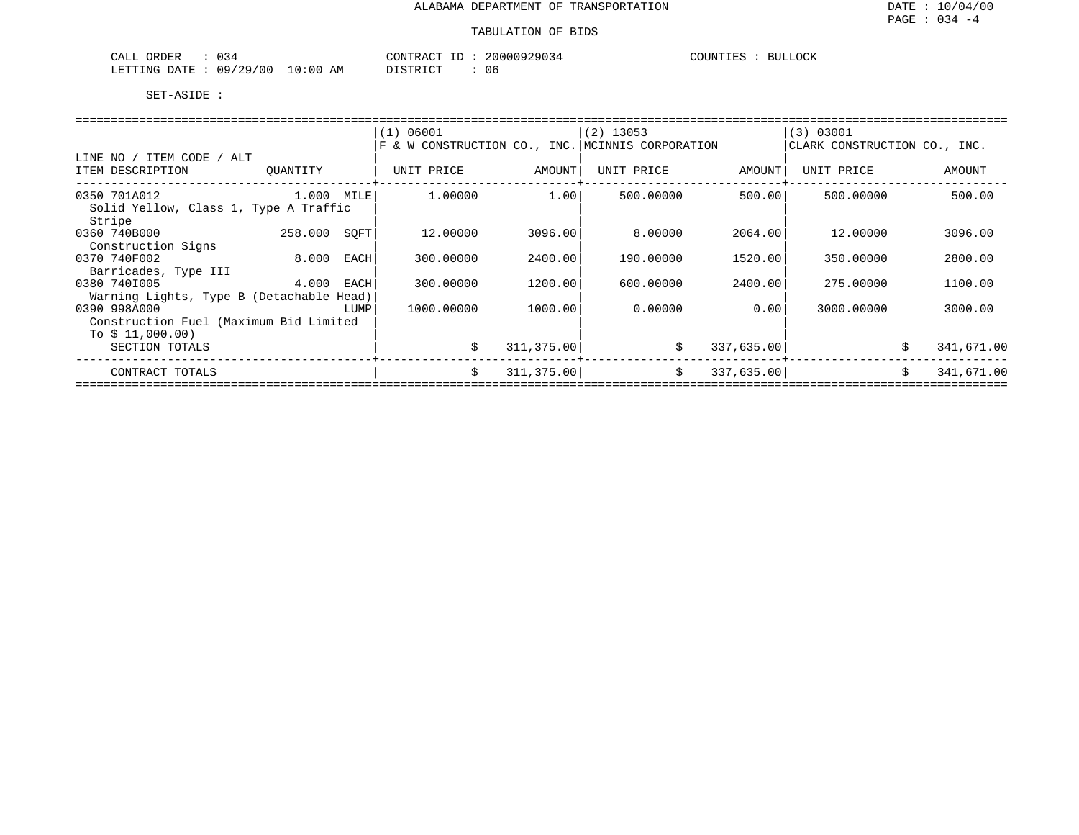| $\sim$ $\sim$<br>ORDER<br>CALL<br>034            | 20000929034<br>CONTRACT ID | COUNTIES<br>BULLOCK |
|--------------------------------------------------|----------------------------|---------------------|
| 09/29/00<br>$10:00$ AM<br>LETTING DATE<br>$\sim$ | חי חי היה דרו<br>O G       |                     |

|                                                          |            |      | 06001<br>(1)                                     |             | $(2)$ 13053 |            | (3) 03001                    |                  |
|----------------------------------------------------------|------------|------|--------------------------------------------------|-------------|-------------|------------|------------------------------|------------------|
|                                                          |            |      | F & W CONSTRUCTION CO., INC. MCINNIS CORPORATION |             |             |            | CLARK CONSTRUCTION CO., INC. |                  |
| LINE NO / ITEM CODE / ALT                                |            |      |                                                  |             |             |            |                              |                  |
| ITEM DESCRIPTION                                         | OUANTITY   |      | UNIT PRICE                                       | AMOUNT      | UNIT PRICE  | AMOUNT     | UNIT PRICE                   | AMOUNT           |
| 0350 701A012<br>Solid Yellow, Class 1, Type A Traffic    | 1.000 MILE |      | 1,00000                                          | 1.00        | 500.00000   | 500.00     | 500.00000                    | 500.00           |
| Stripe<br>0360 740B000<br>Construction Signs             | 258.000    | SOFT | 12,00000                                         | 3096.00     | 8,00000     | 2064.00    | 12,00000                     | 3096.00          |
| 0370 740F002<br>Barricades, Type III                     | 8.000      | EACH | 300,00000                                        | 2400.00     | 190.00000   | 1520.00    | 350.00000                    | 2800.00          |
| 0380 7401005<br>Warning Lights, Type B (Detachable Head) | 4.000      | EACH | 300,00000                                        | 1200.00     | 600.00000   | 2400.00    | 275.00000                    | 1100.00          |
| 0390 998A000<br>Construction Fuel (Maximum Bid Limited   |            | LUMP | 1000.00000                                       | 1000.00     | 0.00000     | 0.001      | 3000.00000                   | 3000.00          |
| To $$11,000.00)$<br>SECTION TOTALS                       |            |      | \$                                               | 311, 375.00 | \$          | 337,635.00 |                              | 341,671.00<br>\$ |
| CONTRACT TOTALS                                          |            |      | \$                                               | 311, 375.00 | \$          | 337,635.00 |                              | 341,671.00<br>Ŝ. |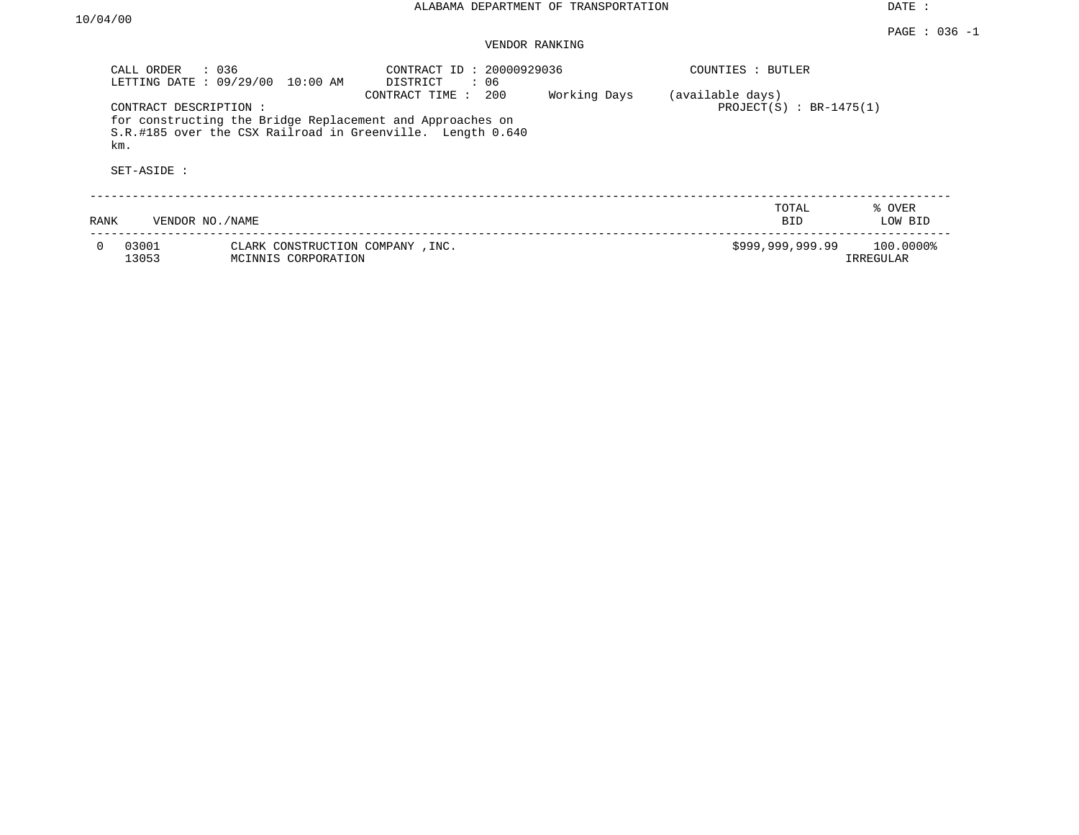| CALL ORDER<br>LETTING DATE: 09/29/00        | : 036<br>$10:00$ AM                                       | CONTRACT ID: 20000929036<br>DISTRICT<br>: 06                                        |              | COUNTIES : BUTLER                             |                               |
|---------------------------------------------|-----------------------------------------------------------|-------------------------------------------------------------------------------------|--------------|-----------------------------------------------|-------------------------------|
| CONTRACT DESCRIPTION:<br>km.<br>SET-ASIDE : | for constructing the Bridge Replacement and Approaches on | 200<br>CONTRACT TIME:<br>S.R.#185 over the CSX Railroad in Greenville. Length 0.640 | Working Days | (available days)<br>$PROJECT(S)$ : BR-1475(1) |                               |
| <b>RANK</b>                                 | VENDOR NO./NAME                                           |                                                                                     |              | TOTAL<br><b>BID</b>                           | % OVER<br>LOW BID             |
| 0<br>03001<br>13053                         | CLARK CONSTRUCTION COMPANY, INC.<br>MCINNIS CORPORATION   |                                                                                     |              | \$999,999,999.99                              | 100.0000%<br><b>IRREGULAR</b> |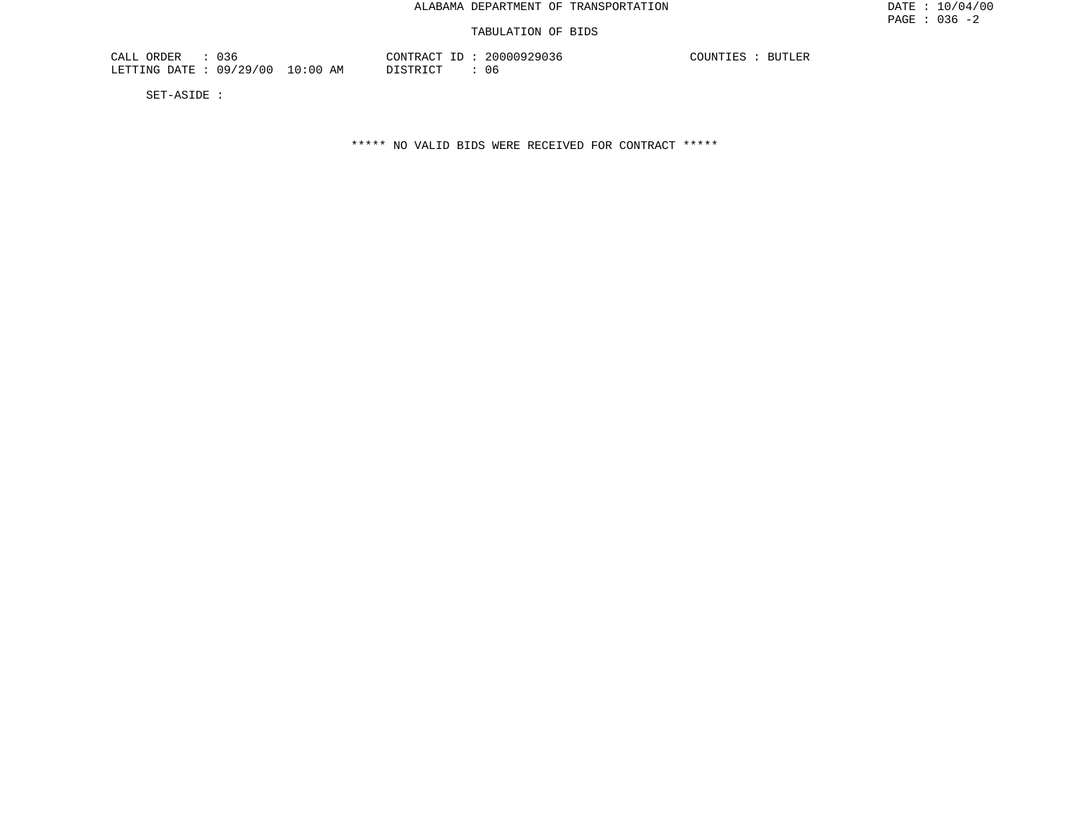# TABULATION OF BIDS

| CALL ORDER                       | 036 |          | CONTRACT ID: 20000929036 | COUNTIES : | <b>BUTLER</b> |
|----------------------------------|-----|----------|--------------------------|------------|---------------|
| LETTING DATE : 09/29/00 10:00 AM |     | DISTRICT | 06                       |            |               |

SET-ASIDE :

\*\*\*\*\* NO VALID BIDS WERE RECEIVED FOR CONTRACT \*\*\*\*\*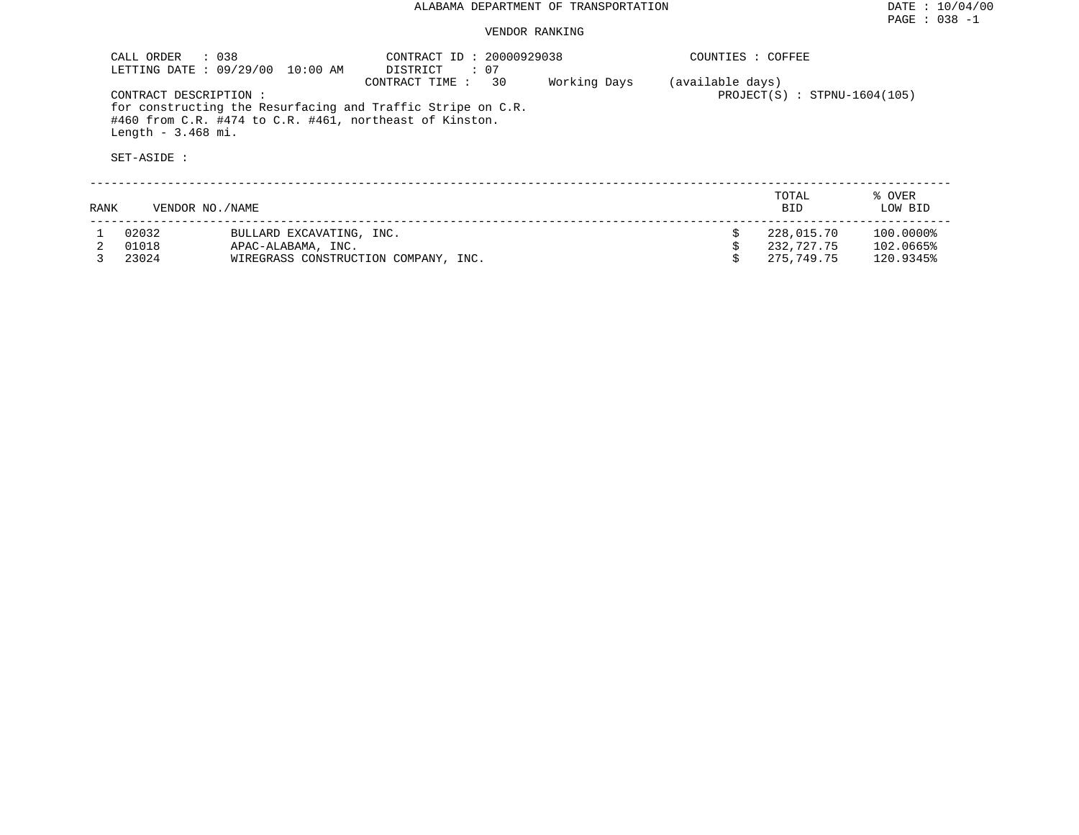|      | CALL ORDER<br>LETTING DATE: 09/29/00                        | $\therefore$ 038<br>10:00 AM                            | CONTRACT ID: 20000929038<br>DISTRICT<br>: 07                                        |              | COUNTIES : COFFEE |                                |                   |
|------|-------------------------------------------------------------|---------------------------------------------------------|-------------------------------------------------------------------------------------|--------------|-------------------|--------------------------------|-------------------|
|      | CONTRACT DESCRIPTION:<br>Length $-3.468$ mi.<br>SET-ASIDE : | #460 from C.R. #474 to C.R. #461, northeast of Kinston. | 30<br>CONTRACT TIME:<br>for constructing the Resurfacing and Traffic Stripe on C.R. | Working Days | (available days)  | $PROJECT(S) : STPNU-1604(105)$ |                   |
| RANK | VENDOR NO./NAME                                             |                                                         |                                                                                     |              |                   | TOTAL<br><b>BID</b>            | % OVER<br>LOW BID |
|      | 02032                                                       | BULLARD EXCAVATING, INC.                                |                                                                                     |              |                   | 228,015.70                     | 100.0000%         |
|      | 01018                                                       | APAC-ALABAMA, INC.                                      |                                                                                     |              |                   | 232,727.75                     | 102.0665%         |
|      | 23024                                                       | WIREGRASS CONSTRUCTION COMPANY, INC.                    |                                                                                     |              |                   | 275,749.75                     | 120.9345%         |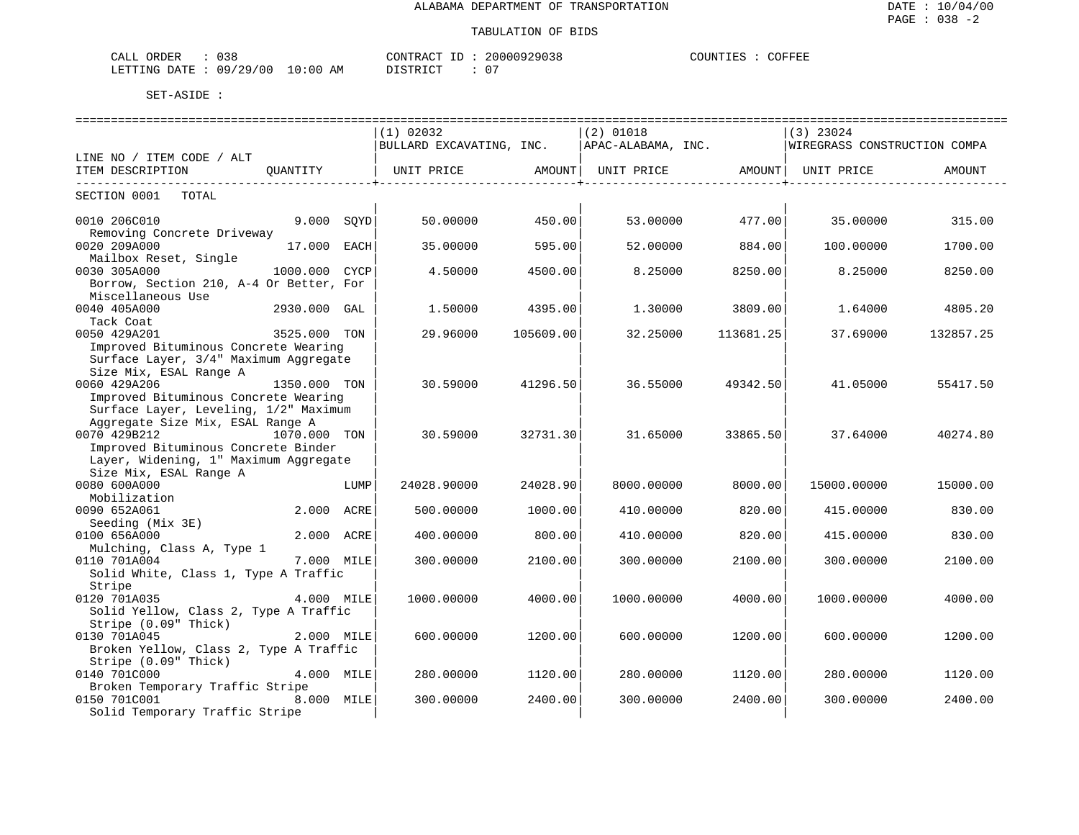| 038<br>ORDER<br>CALL (   |             | CONTRACT | 20000929038 | COFFEE<br>COUNTIES |
|--------------------------|-------------|----------|-------------|--------------------|
| 09/29/00<br>LETTING DATE | 10:00<br>ΆM | 'STRICT  |             |                    |

|                                                             |               |      | (1) 02032                                     |           | $(2)$ 01018                  |                     | $(3)$ 23024                  |                     |
|-------------------------------------------------------------|---------------|------|-----------------------------------------------|-----------|------------------------------|---------------------|------------------------------|---------------------|
|                                                             |               |      | BULLARD EXCAVATING, INC.   APAC-ALABAMA, INC. |           |                              |                     | WIREGRASS CONSTRUCTION COMPA |                     |
| LINE NO / ITEM CODE / ALT                                   |               |      |                                               |           |                              |                     |                              |                     |
| ITEM DESCRIPTION QUANTITY<br>------------------------------ |               |      | UNIT PRICE AMOUNT                             |           | UNIT PRICE AMOUNT UNIT PRICE | -----------------+- |                              | AMOUNT<br>--------- |
| SECTION 0001 TOTAL                                          |               |      |                                               |           |                              |                     |                              |                     |
| 0010 206C010                                                | 9.000 SOYD    |      | 50.00000                                      | 450.00    | 53.00000                     | 477.00              | 35.00000                     | 315.00              |
| Removing Concrete Driveway                                  |               |      |                                               |           |                              |                     |                              |                     |
| 0020 209A000                                                | 17.000 EACH   |      | 35,00000                                      | 595.00    | 52.00000                     | 884.00              | 100.00000                    | 1700.00             |
| Mailbox Reset, Single                                       |               |      |                                               |           |                              |                     |                              |                     |
| 0030 305A000                                                | 1000.000 CYCP |      | 4.50000                                       | 4500.00   | 8.25000                      | 8250.00             | 8.25000                      | 8250.00             |
| Borrow, Section 210, A-4 Or Better, For                     |               |      |                                               |           |                              |                     |                              |                     |
| Miscellaneous Use                                           |               |      |                                               |           |                              |                     |                              |                     |
| 0040 405A000                                                | 2930.000 GAL  |      | 1.50000                                       | 4395.00   | 1.30000                      | 3809.00             | 1.64000                      | 4805.20             |
| Tack Coat                                                   |               |      |                                               |           |                              |                     |                              |                     |
| 0050 429A201                                                | 3525.000 TON  |      | 29,96000                                      | 105609.00 | 32.25000                     | 113681.25           | 37.69000                     | 132857.25           |
| Improved Bituminous Concrete Wearing                        |               |      |                                               |           |                              |                     |                              |                     |
| Surface Layer, 3/4" Maximum Aggregate                       |               |      |                                               |           |                              |                     |                              |                     |
| Size Mix, ESAL Range A                                      |               |      |                                               |           |                              |                     |                              |                     |
| 0060 429A206                                                | 1350.000 TON  |      | 30.59000                                      | 41296.50  | 36.55000                     | 49342.50            | 41.05000                     | 55417.50            |
| Improved Bituminous Concrete Wearing                        |               |      |                                               |           |                              |                     |                              |                     |
| Surface Layer, Leveling, 1/2" Maximum                       |               |      |                                               |           |                              |                     |                              |                     |
| Aggregate Size Mix, ESAL Range A                            |               |      |                                               |           |                              |                     |                              |                     |
| 0070 429B212                                                | 1070.000 TON  |      | 30.59000                                      | 32731.30  | 31.65000                     | 33865.50            | 37.64000                     | 40274.80            |
| Improved Bituminous Concrete Binder                         |               |      |                                               |           |                              |                     |                              |                     |
| Layer, Widening, 1" Maximum Aggregate                       |               |      |                                               |           |                              |                     |                              |                     |
| Size Mix, ESAL Range A                                      |               |      |                                               |           |                              |                     |                              |                     |
| 0080 600A000                                                |               | LUMP | 24028.90000                                   | 24028.90  | 8000.00000                   | 8000.00             | 15000.00000                  | 15000.00            |
| Mobilization                                                |               |      |                                               |           |                              |                     |                              |                     |
| 0090 652A061                                                | 2.000 ACRE    |      | 500.00000                                     | 1000.00   | 410.00000                    | 820.00              | 415.00000                    | 830.00              |
| Seeding (Mix 3E)                                            |               |      |                                               |           |                              |                     |                              |                     |
| 0100 656A000                                                | 2.000 ACRE    |      | 400.00000                                     | 800.00    | 410.00000                    | 820.00              | 415.00000                    | 830.00              |
| Mulching, Class A, Type 1                                   |               |      |                                               |           |                              |                     |                              |                     |
| 0110 701A004                                                | 7.000 MILE    |      | 300,00000                                     | 2100.00   | 300,00000                    | 2100.00             | 300,00000                    | 2100.00             |
| Solid White, Class 1, Type A Traffic                        |               |      |                                               |           |                              |                     |                              |                     |
| Stripe                                                      |               |      |                                               |           |                              |                     |                              |                     |
| 0120 701A035                                                | 4.000 MILE    |      | 1000.00000                                    | 4000.00   | 1000.00000                   | 4000.00             | 1000.00000                   | 4000.00             |
| Solid Yellow, Class 2, Type A Traffic                       |               |      |                                               |           |                              |                     |                              |                     |
| Stripe (0.09" Thick)                                        |               |      |                                               |           |                              |                     |                              |                     |
| 0130 701A045                                                | 2.000 MILE    |      |                                               |           |                              |                     |                              |                     |
|                                                             |               |      | 600,00000                                     | 1200.00   | 600,00000                    | 1200.00             | 600.00000                    | 1200.00             |
| Broken Yellow, Class 2, Type A Traffic                      |               |      |                                               |           |                              |                     |                              |                     |
| Stripe (0.09" Thick)                                        |               |      |                                               |           |                              |                     |                              |                     |
| 0140 701C000                                                | 4.000 MILE    |      | 280.00000                                     | 1120.00   | 280.00000                    | 1120.00             | 280.00000                    | 1120.00             |
| Broken Temporary Traffic Stripe                             |               |      |                                               |           |                              |                     |                              |                     |
| 0150 701C001                                                | 8.000 MILE    |      | 300,00000                                     | 2400.00   | 300.00000                    | 2400.00             | 300.00000                    | 2400.00             |
| Solid Temporary Traffic Stripe                              |               |      |                                               |           |                              |                     |                              |                     |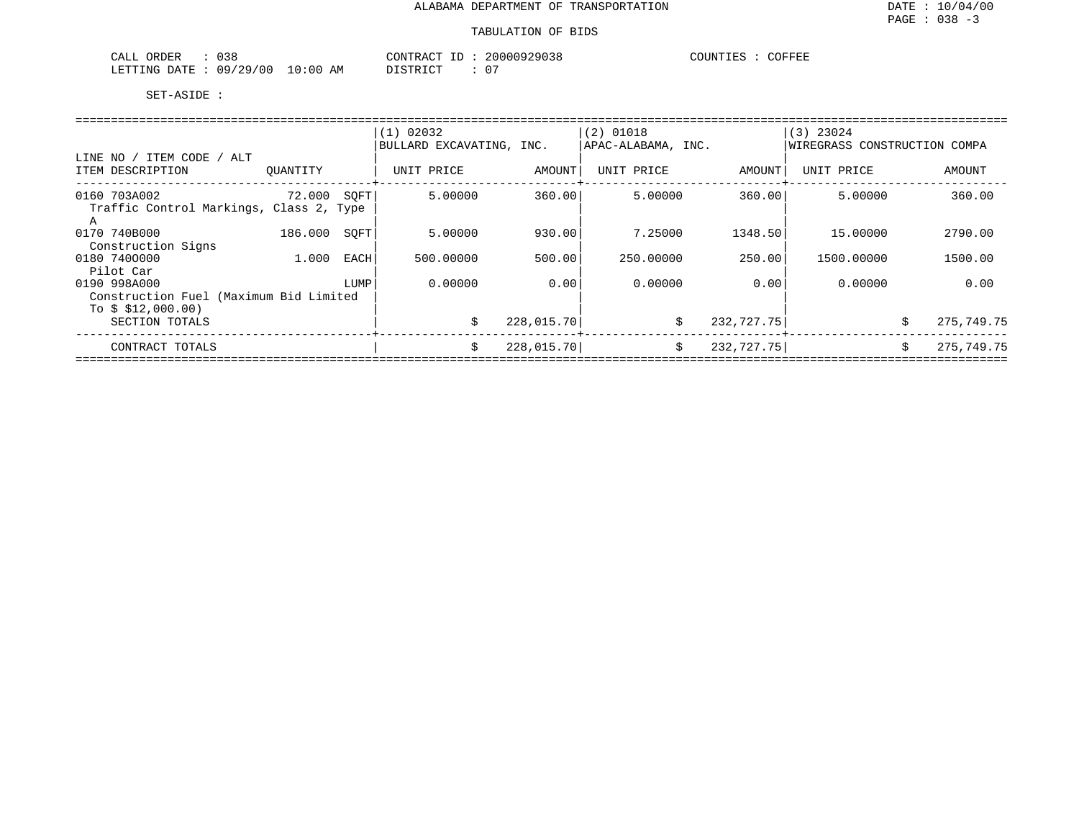| ∩∍с<br>$\sim$ $\sim$ $\sim$<br>ORDER<br>U 38<br>ىلىل |             | CONTRACT<br>ID | 20000929038 | COUNTIES<br>COFFEE |
|------------------------------------------------------|-------------|----------------|-------------|--------------------|
| 09/29/00<br>LETTING<br>ה ATF.                        | 10:00<br>AΜ | CTD TOT<br>- - | $\cap$      |                    |

|                                                                             |          |      | $(1)$ 02032<br>BULLARD EXCAVATING, INC. |            | $(2)$ 01018<br>APAC-ALABAMA, INC. |            | $(3)$ 23024<br>WIREGRASS CONSTRUCTION COMPA |                  |
|-----------------------------------------------------------------------------|----------|------|-----------------------------------------|------------|-----------------------------------|------------|---------------------------------------------|------------------|
| LINE NO / ITEM CODE / ALT<br>ITEM DESCRIPTION                               | OUANTITY |      | UNIT PRICE                              | AMOUNT     | UNIT PRICE                        | AMOUNT     | UNIT PRICE                                  | AMOUNT           |
| 0160 703A002<br>Traffic Control Markings, Class 2, Type<br>A                | 72.000   | SOFT | 5.00000                                 | 360.00     | 5.00000                           | 360.00     | 5.00000                                     | 360.00           |
| 0170 740B000<br>Construction Signs                                          | 186.000  | SOFT | 5.00000                                 | 930.00     | 7.25000                           | 1348.50    | 15.00000                                    | 2790.00          |
| 0180 7400000<br>Pilot Car                                                   | 1,000    | EACH | 500.00000                               | 500.00     | 250.00000                         | 250.00     | 1500.00000                                  | 1500.00          |
| 0190 998A000<br>Construction Fuel (Maximum Bid Limited<br>To $$312,000.00)$ |          | LUMP | 0.00000                                 | 0.00       | 0.00000                           | 0.00       | 0.00000                                     | 0.00             |
| SECTION TOTALS                                                              |          |      | Ŝ.                                      | 228,015.70 | \$                                | 232,727.75 |                                             | 275,749.75<br>\$ |
| CONTRACT TOTALS                                                             |          |      | Ŝ.                                      | 228,015.70 | Ŝ.                                | 232,727.75 |                                             | 275,749.75<br>Ŝ. |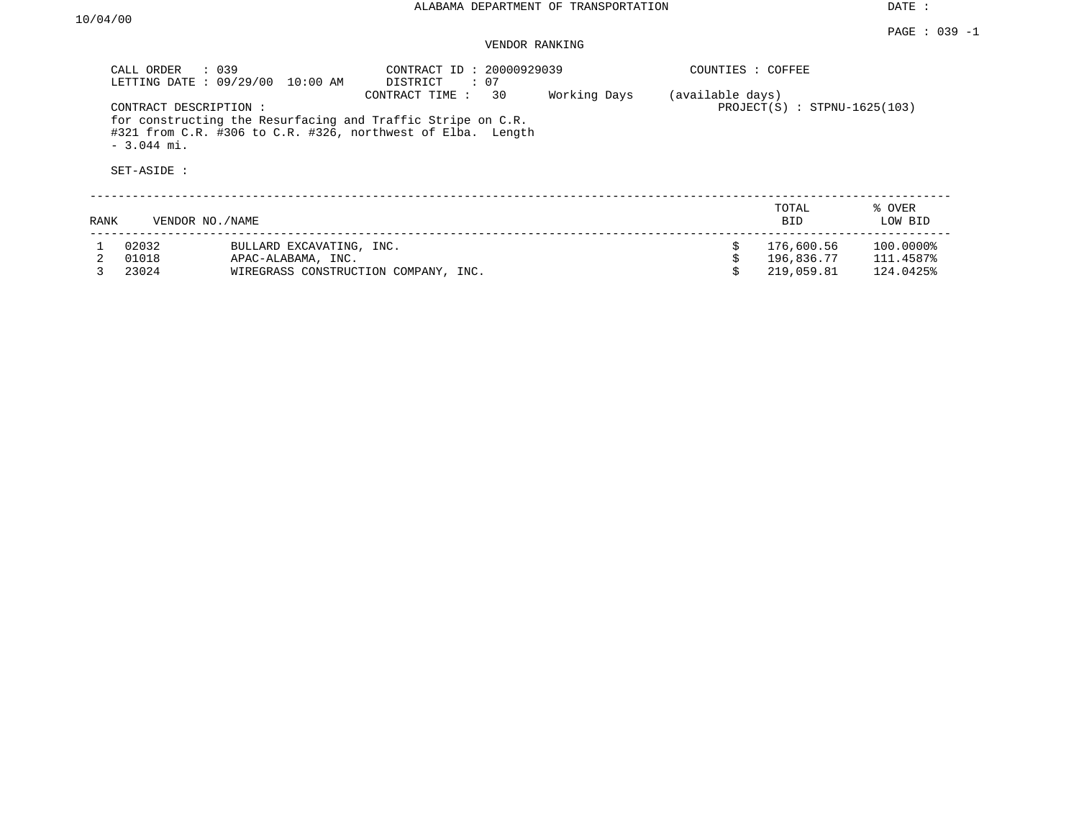|      | CALL ORDER<br>LETTING DATE: 09/29/00                 | $\therefore$ 039<br>10:00 AM                                                                                               | CONTRACT ID: 20000929039<br>DISTRICT<br>: 07 |              | COUNTIES : COFFEE |                                |                   |
|------|------------------------------------------------------|----------------------------------------------------------------------------------------------------------------------------|----------------------------------------------|--------------|-------------------|--------------------------------|-------------------|
|      | CONTRACT DESCRIPTION:<br>$-3.044$ mi.<br>SET-ASIDE : | for constructing the Resurfacing and Traffic Stripe on C.R.<br>#321 from C.R. #306 to C.R. #326, northwest of Elba. Length | 30<br>CONTRACT TIME :                        | Working Days | (available days)  | $PROJECT(S) : STPNU-1625(103)$ |                   |
| RANK | VENDOR NO. / NAME                                    |                                                                                                                            |                                              |              |                   | TOTAL<br><b>BID</b>            | % OVER<br>LOW BID |
|      | 02032                                                | BULLARD EXCAVATING, INC.                                                                                                   |                                              |              | Ŝ.                | 176,600.56                     | 100.0000%         |
|      | 01018                                                | APAC-ALABAMA, INC.                                                                                                         |                                              |              |                   | 196,836.77                     | 111.4587%         |
|      | 23024                                                | WIREGRASS CONSTRUCTION COMPANY, INC.                                                                                       |                                              |              |                   | 219,059.81                     | 124.0425%         |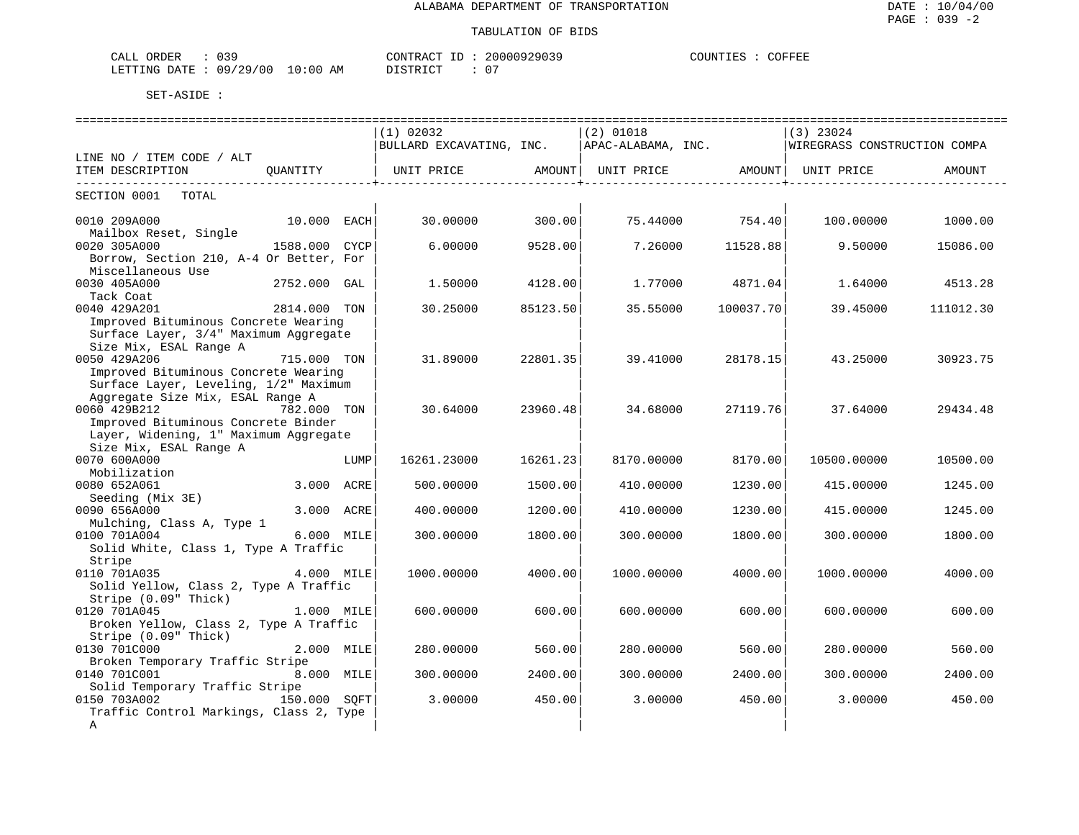| CALL ORDER                       |  | CONTRACT ID: | 20000929039 | COUNTIES | COFFEE |
|----------------------------------|--|--------------|-------------|----------|--------|
| LETTING DATE : 09/29/00 10:00 AM |  | DISTRICT     | $0^7$       |          |        |

|                                                                 |               |      | ============================= |          | =============================== |                     | ============================ |           |
|-----------------------------------------------------------------|---------------|------|-------------------------------|----------|---------------------------------|---------------------|------------------------------|-----------|
|                                                                 |               |      | (1) 02032                     |          | $(2)$ 01018                     |                     | $(3)$ 23024                  |           |
|                                                                 |               |      | BULLARD EXCAVATING, INC.      |          | APAC-ALABAMA, INC.              |                     | WIREGRASS CONSTRUCTION COMPA |           |
| LINE NO / ITEM CODE / ALT                                       |               |      |                               |          |                                 |                     |                              |           |
| ITEM DESCRIPTION QUANTITY                                       |               |      | UNIT PRICE AMOUNT             |          | UNIT PRICE AMOUNT UNIT PRICE    |                     |                              | AMOUNT    |
| --------------------------------                                |               |      |                               |          |                                 | ___________________ |                              |           |
| SECTION 0001 TOTAL                                              |               |      |                               |          |                                 |                     |                              |           |
|                                                                 |               |      |                               |          |                                 |                     |                              |           |
| 0010 209A000                                                    | 10.000 EACH   |      | 30.00000                      | 300.00   | 75.44000 754.40                 |                     | 100.00000                    | 1000.00   |
| Mailbox Reset, Single                                           |               |      |                               |          |                                 |                     |                              |           |
| 0020 305A000                                                    | 1588.000 CYCP |      | 6.00000                       | 9528.00  | 7.26000                         | 11528.88            | 9.50000                      | 15086.00  |
| Borrow, Section 210, A-4 Or Better, For                         |               |      |                               |          |                                 |                     |                              |           |
| Miscellaneous Use                                               |               |      |                               |          |                                 |                     |                              |           |
| 0030 405A000                                                    | 2752.000 GAL  |      | 1,50000                       | 4128.00  | 1.77000                         | 4871.04             | 1.64000                      | 4513.28   |
| Tack Coat<br>0040 429A201                                       | 2814.000 TON  |      |                               |          |                                 |                     | 39.45000                     |           |
|                                                                 |               |      | 30.25000                      | 85123.50 | 35.55000                        | 100037.70           |                              | 111012.30 |
| Improved Bituminous Concrete Wearing                            |               |      |                               |          |                                 |                     |                              |           |
| Surface Layer, 3/4" Maximum Aggregate                           |               |      |                               |          |                                 |                     |                              |           |
| Size Mix, ESAL Range A                                          |               |      |                               |          |                                 |                     |                              |           |
| 0050 429A206                                                    | 715.000 TON   |      | 31.89000                      | 22801.35 | 39.41000                        | 28178.15            | 43.25000                     | 30923.75  |
| Improved Bituminous Concrete Wearing                            |               |      |                               |          |                                 |                     |                              |           |
| Surface Layer, Leveling, 1/2" Maximum                           |               |      |                               |          |                                 |                     |                              |           |
| Aggregate Size Mix, ESAL Range A                                |               |      |                               |          |                                 |                     |                              |           |
| 0060 429B212                                                    | 782.000 TON   |      | 30.64000                      | 23960.48 | 34.68000                        | 27119.76            | 37.64000                     | 29434.48  |
| Improved Bituminous Concrete Binder                             |               |      |                               |          |                                 |                     |                              |           |
| Layer, Widening, 1" Maximum Aggregate<br>Size Mix, ESAL Range A |               |      |                               |          |                                 |                     |                              |           |
| 0070 600A000                                                    |               | LUMP |                               | 16261.23 |                                 |                     |                              |           |
| Mobilization                                                    |               |      | 16261.23000                   |          | 8170.00000                      | 8170.00             | 10500.00000                  | 10500.00  |
| 0080 652A061                                                    | 3.000 ACRE    |      | 500.00000                     | 1500.00  | 410.00000                       | 1230.00             | 415.00000                    | 1245.00   |
|                                                                 |               |      |                               |          |                                 |                     |                              |           |
| Seeding (Mix 3E)<br>0090 656A000                                | 3.000 ACRE    |      |                               |          |                                 |                     |                              |           |
| Mulching, Class A, Type 1                                       |               |      | 400.00000                     | 1200.00  | 410.00000                       | 1230.00             | 415.00000                    | 1245.00   |
|                                                                 | 6.000 MILE    |      |                               |          |                                 |                     |                              |           |
| 0100 701A004                                                    |               |      | 300.00000                     | 1800.00  | 300.00000                       | 1800.00             | 300.00000                    | 1800.00   |
| Solid White, Class 1, Type A Traffic<br>Stripe                  |               |      |                               |          |                                 |                     |                              |           |
| 0110 701A035                                                    | 4.000 MILE    |      | 1000.00000                    | 4000.00  | 1000.00000                      | 4000.00             | 1000.00000                   | 4000.00   |
| Solid Yellow, Class 2, Type A Traffic                           |               |      |                               |          |                                 |                     |                              |           |
| Stripe (0.09" Thick)                                            |               |      |                               |          |                                 |                     |                              |           |
| 0120 701A045                                                    | 1.000 MILE    |      | 600.00000                     | 600.00   | 600,00000                       | 600.00              | 600.00000                    | 600.00    |
| Broken Yellow, Class 2, Type A Traffic                          |               |      |                               |          |                                 |                     |                              |           |
| Stripe (0.09" Thick)                                            |               |      |                               |          |                                 |                     |                              |           |
| 0130 701C000                                                    | 2.000 MILE    |      | 280.00000                     | 560.00   | 280.00000                       | 560.00              | 280.00000                    | 560.00    |
| Broken Temporary Traffic Stripe                                 |               |      |                               |          |                                 |                     |                              |           |
| 0140 701C001                                                    | 8.000 MILE    |      | 300.00000                     | 2400.00  | 300.00000                       | 2400.00             | 300.00000                    | 2400.00   |
| Solid Temporary Traffic Stripe                                  |               |      |                               |          |                                 |                     |                              |           |
| 0150 703A002                                                    | 150.000 SOFT  |      | 3.00000                       | 450.00   | 3.00000                         | 450.00              | 3.00000                      | 450.00    |
| Traffic Control Markings, Class 2, Type                         |               |      |                               |          |                                 |                     |                              |           |
| $\mathbf{A}$                                                    |               |      |                               |          |                                 |                     |                              |           |
|                                                                 |               |      |                               |          |                                 |                     |                              |           |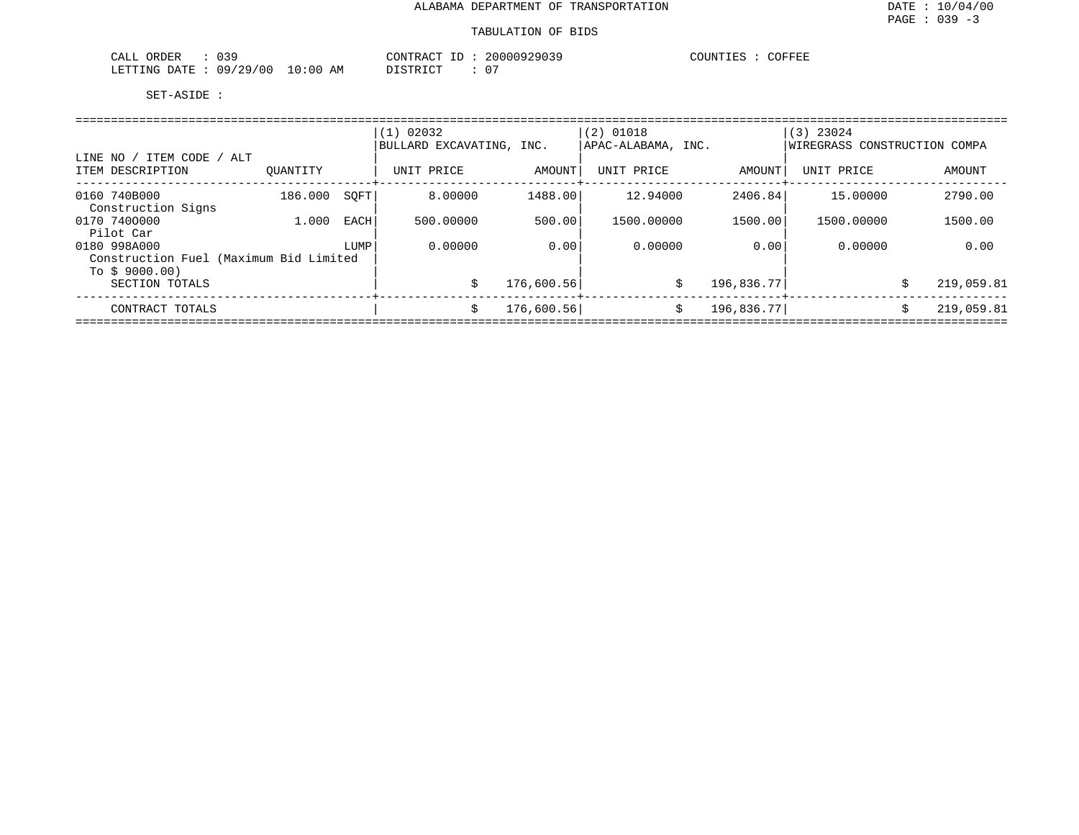| 035<br>ORDER<br>CALL                                                                                                                            |             | CONTRACT                   | 20000929039            | COFFEE<br>COUNTIES |
|-------------------------------------------------------------------------------------------------------------------------------------------------|-------------|----------------------------|------------------------|--------------------|
| 09/29/00<br>LETTING<br>DATE.<br>the contract of the contract of the contract of the contract of the contract of the contract of the contract of | 10:00<br>AΜ | די הדי אידי את<br>$11 + 1$ | $\cap$<br>$\mathbf{U}$ |                    |

|                                                                           |          |      | (1) 02032<br>BULLARD EXCAVATING, INC. |            | $(2)$ 01018<br>APAC-ALABAMA, INC. |            | $(3)$ 23024<br>WIREGRASS CONSTRUCTION COMPA |   |            |
|---------------------------------------------------------------------------|----------|------|---------------------------------------|------------|-----------------------------------|------------|---------------------------------------------|---|------------|
| LINE NO / ITEM CODE /<br>' ALT<br>ITEM DESCRIPTION                        | OUANTITY |      | UNIT PRICE                            | AMOUNT     | UNIT PRICE                        | AMOUNT     | UNIT PRICE                                  |   | AMOUNT     |
| 0160 740B000<br>Construction Signs                                        | 186.000  | SOFT | 8,00000                               | 1488.00    | 12.94000                          | 2406.84    | 15.00000                                    |   | 2790.00    |
| 0170 7400000<br>Pilot Car                                                 | 1,000    | EACH | 500,00000                             | 500.00     | 1500.00000                        | 1500.00    | 1500.00000                                  |   | 1500.00    |
| 0180 998A000<br>Construction Fuel (Maximum Bid Limited<br>$TO \$9000.00)$ |          | LUMP | 0.00000                               | 0.001      | 0.00000                           | 0.00       | 0.00000                                     |   | 0.00       |
| SECTION TOTALS                                                            |          |      | \$                                    | 176,600.56 | Ŝ.                                | 196,836.77 |                                             | Ŝ | 219,059.81 |
| CONTRACT TOTALS                                                           |          |      | \$                                    | 176,600.56 | \$                                | 196,836.77 |                                             | Ŝ | 219,059.81 |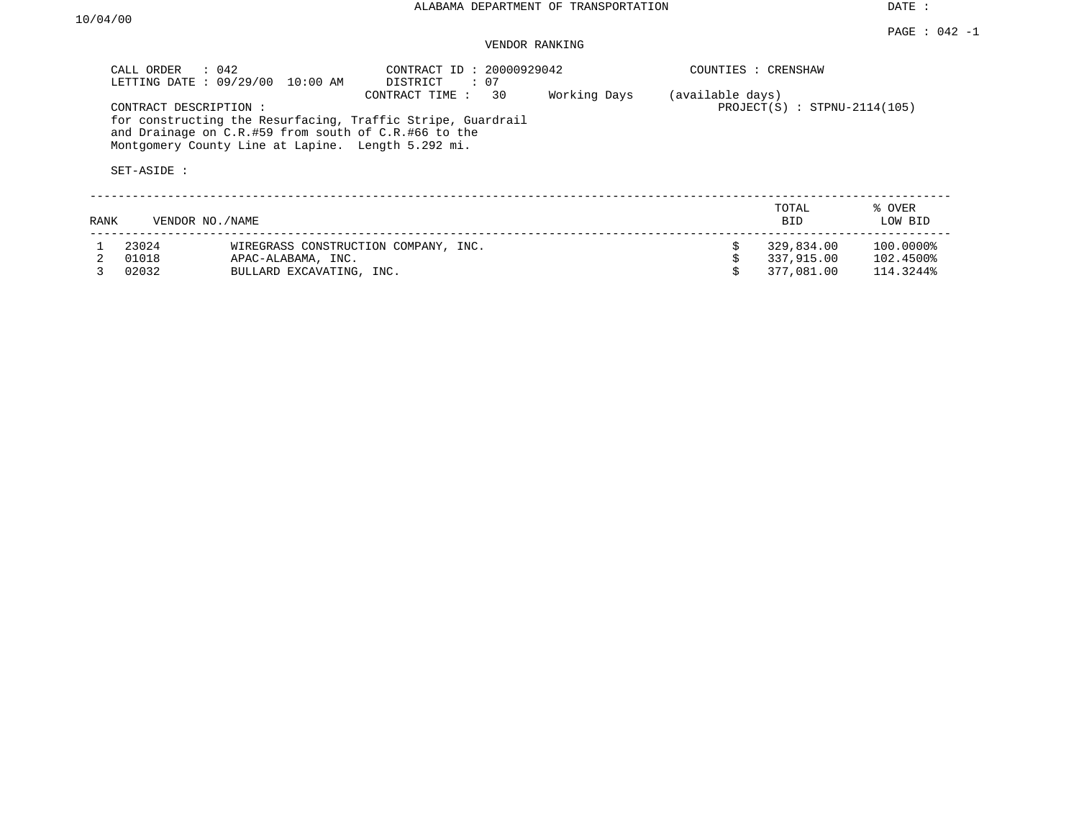|      | CALL ORDER : 042                     | LETTING DATE : 09/29/00 10:00 AM                                                                           | CONTRACT ID: 20000929042<br>DISTRICT<br>: 07                                        |              |                  | COUNTIES : CRENSHAW            |                   |
|------|--------------------------------------|------------------------------------------------------------------------------------------------------------|-------------------------------------------------------------------------------------|--------------|------------------|--------------------------------|-------------------|
|      | CONTRACT DESCRIPTION:<br>SET-ASIDE : | and Drainage on C.R.#59 from south of C.R.#66 to the<br>Montgomery County Line at Lapine. Length 5.292 mi. | 30<br>CONTRACT TIME:<br>for constructing the Resurfacing, Traffic Stripe, Guardrail | Working Days | (available days) | $PROJECT(S)$ : STPNU-2114(105) |                   |
| RANK |                                      | VENDOR NO./NAME                                                                                            |                                                                                     |              |                  | TOTAL<br><b>BID</b>            | % OVER<br>LOW BID |
|      | 23024                                | WIREGRASS CONSTRUCTION COMPANY, INC.                                                                       |                                                                                     |              | Ŝ.               | 329,834.00                     | 100.0000%         |
|      | 01018                                | APAC-ALABAMA, INC.                                                                                         |                                                                                     |              |                  | 337,915.00                     | 102.4500%         |
|      | 02032                                | BULLARD EXCAVATING, INC.                                                                                   |                                                                                     |              |                  | 377,081,00                     | 114.3244%         |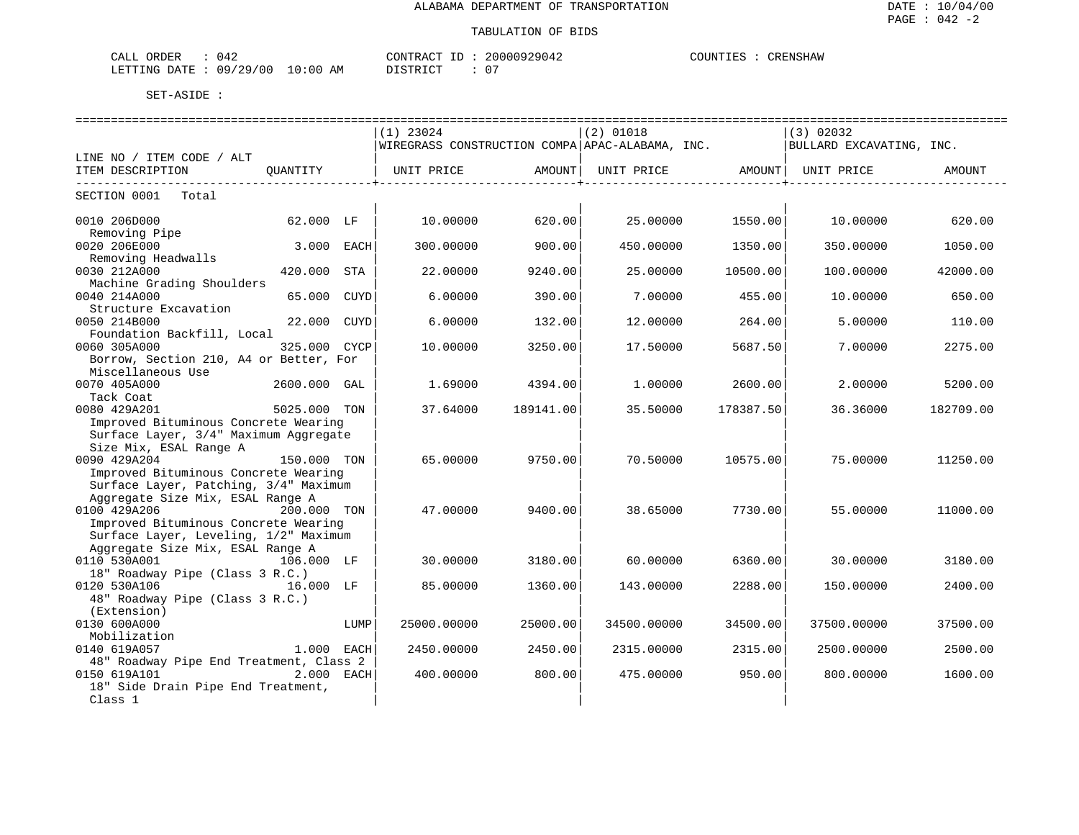| ORDER<br>042<br>CALL            | CONTRACT ID | 20000929042 | COUNTIES :<br>CRENSHAW |
|---------------------------------|-------------|-------------|------------------------|
| LETTING DATE: 09/29/00 10:00 AM | DISTRICT    |             |                        |

|                                                                           |              | $(1)$ 23024<br> WIREGRASS CONSTRUCTION COMPA APAC-ALABAMA, INC. |           | $(2)$ 01018 |                   | ================================<br>$(3)$ 02032<br>BULLARD EXCAVATING, INC. |           |  |
|---------------------------------------------------------------------------|--------------|-----------------------------------------------------------------|-----------|-------------|-------------------|-----------------------------------------------------------------------------|-----------|--|
| LINE NO / ITEM CODE / ALT                                                 |              |                                                                 |           |             |                   |                                                                             |           |  |
| ITEM DESCRIPTION<br>OUANTITY                                              |              | UNIT PRICE                                                      | AMOUNT    |             | UNIT PRICE AMOUNT | UNIT PRICE                                                                  | AMOUNT    |  |
| SECTION 0001<br>Total                                                     |              |                                                                 |           |             |                   |                                                                             |           |  |
| 0010 206D000<br>Removing Pipe                                             | 62.000 LF    | 10.00000                                                        | 620.00    | 25.00000    | 1550.00           | 10.00000                                                                    | 620.00    |  |
| 0020 206E000<br>Removing Headwalls                                        | 3.000 EACH   | 300,00000                                                       | 900.001   | 450.00000   | 1350.00           | 350.00000                                                                   | 1050.00   |  |
| 0030 212A000<br>420.000<br>Machine Grading Shoulders                      | STA          | 22.00000                                                        | 9240.00   | 25.00000    | 10500.00          | 100.00000                                                                   | 42000.00  |  |
| 0040 214A000<br>Structure Excavation                                      | 65.000 CUYD  | 6.00000                                                         | 390.00    | 7.00000     | 455.00            | 10.00000                                                                    | 650.00    |  |
| 0050 214B000<br>22.000<br>Foundation Backfill, Local                      | CUYD         | 6.00000                                                         | 132.00    | 12.00000    | 264.00            | 5.00000                                                                     | 110.00    |  |
| 0060 305A000<br>Borrow, Section 210, A4 or Better, For                    | 325.000 CYCP | 10.00000                                                        | 3250.00   | 17.50000    | 5687.50           | 7.00000                                                                     | 2275.00   |  |
| Miscellaneous Use<br>0070 405A000<br>2600.000 GAL<br>Tack Coat            |              | 1.69000                                                         | 4394.00   | 1,00000     | 2600.00           | 2.00000                                                                     | 5200.00   |  |
| 0080 429A201<br>Improved Bituminous Concrete Wearing                      | 5025.000 TON | 37.64000                                                        | 189141.00 | 35.50000    | 178387.50         | 36.36000                                                                    | 182709.00 |  |
| Surface Layer, 3/4" Maximum Aggregate<br>Size Mix, ESAL Range A           |              |                                                                 |           |             |                   |                                                                             |           |  |
| 0090 429A204<br>150.000 TON<br>Improved Bituminous Concrete Wearing       |              | 65.00000                                                        | 9750.00   | 70.50000    | 10575.00          | 75.00000                                                                    | 11250.00  |  |
| Surface Layer, Patching, 3/4" Maximum<br>Aggregate Size Mix, ESAL Range A |              |                                                                 |           |             |                   |                                                                             |           |  |
| 0100 429A206<br>200.000 TON<br>Improved Bituminous Concrete Wearing       |              | 47.00000                                                        | 9400.00   | 38.65000    | 7730.00           | 55.00000                                                                    | 11000.00  |  |
| Surface Layer, Leveling, 1/2" Maximum<br>Aggregate Size Mix, ESAL Range A |              |                                                                 |           |             |                   |                                                                             |           |  |
| 0110 530A001 106.000 LF<br>18" Roadway Pipe (Class 3 R.C.)                |              | 30.00000                                                        | 3180.00   | 60.00000    | 6360.00           | 30.00000                                                                    | 3180.00   |  |
| 0120 530A106<br>16.000 LF<br>48" Roadway Pipe (Class 3 R.C.)              |              | 85.00000                                                        | 1360.00   | 143.00000   | 2288.00           | 150.00000                                                                   | 2400.00   |  |
| (Extension)<br>0130 600A000<br>Mobilization                               | LUMP         | 25000.00000                                                     | 25000.00  | 34500.00000 | 34500.00          | 37500.00000                                                                 | 37500.00  |  |
| 0140 619A057<br>48" Roadway Pipe End Treatment, Class 2                   | 1.000 EACH   | 2450.00000                                                      | 2450.00   | 2315.00000  | 2315.00           | 2500.00000                                                                  | 2500.00   |  |
| 0150 619A101<br>18" Side Drain Pipe End Treatment,<br>Class 1             | 2.000 EACH   | 400.00000                                                       | 800.00    | 475.00000   | 950.00            | 800,00000                                                                   | 1600.00   |  |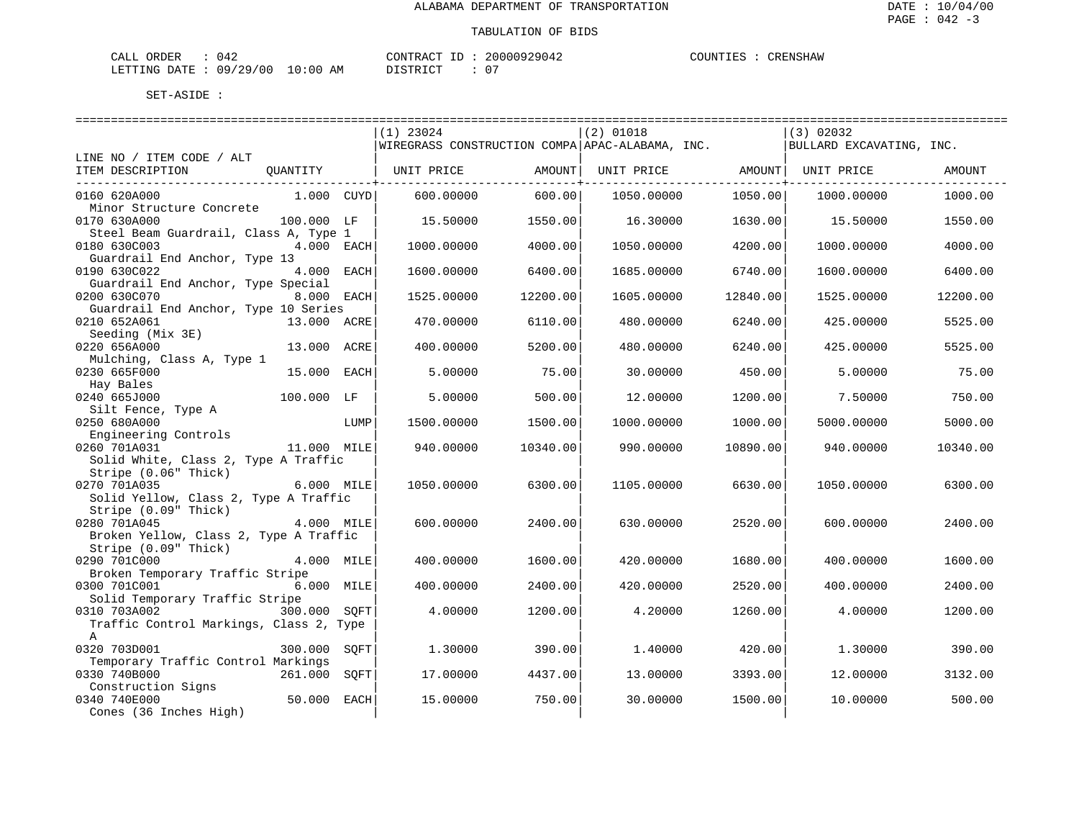| CALL ORDER                      | 042 | CONTRACT ID: |  | 20000929042 | COUNTIES | CRENSHAW |
|---------------------------------|-----|--------------|--|-------------|----------|----------|
| LETTING DATE: 09/29/00 10:00 AM |     | DISTRICT     |  | - 0         |          |          |

|                                         |              |            | $(1)$ 23024       |          | $(2)$ 01018                                       |          | (3) 02032                |          |  |
|-----------------------------------------|--------------|------------|-------------------|----------|---------------------------------------------------|----------|--------------------------|----------|--|
|                                         |              |            |                   |          | WIREGRASS CONSTRUCTION COMPA   APAC-ALABAMA, INC. |          | BULLARD EXCAVATING, INC. |          |  |
| LINE NO / ITEM CODE / ALT               |              |            |                   |          |                                                   |          |                          |          |  |
| ITEM DESCRIPTION                        | QUANTITY     |            | UNIT PRICE AMOUNT |          | UNIT PRICE AMOUNT   UNIT PRICE                    |          |                          | AMOUNT   |  |
|                                         |              |            |                   |          |                                                   |          |                          |          |  |
| 0160 620A000                            | 1.000 CUYD   |            | 600,00000         | 600.00   | 1050.00000                                        | 1050.00  | 1000.00000               | 1000.00  |  |
| Minor Structure Concrete                |              |            |                   |          |                                                   |          |                          |          |  |
| 0170 630A000                            | 100.000 LF   |            | 15.50000          | 1550.00  | 16.30000                                          | 1630.00  | 15.50000                 | 1550.00  |  |
| Steel Beam Guardrail, Class A, Type 1   |              |            |                   |          |                                                   |          |                          |          |  |
| 0180 630C003                            | 4.000 EACH   |            | 1000.00000        | 4000.00  | 1050.00000                                        | 4200.00  | 1000.00000               | 4000.00  |  |
| Guardrail End Anchor, Type 13           |              |            |                   |          |                                                   |          |                          |          |  |
| 0190 630C022                            |              | 4.000 EACH | 1600.00000        | 6400.00  | 1685.00000                                        | 6740.00  | 1600.00000               | 6400.00  |  |
| Guardrail End Anchor, Type Special      |              |            |                   |          |                                                   |          |                          |          |  |
| 0200 630C070                            | 8.000 EACH   |            | 1525.00000        | 12200.00 | 1605.00000                                        | 12840.00 | 1525.00000               | 12200.00 |  |
| Guardrail End Anchor, Type 10 Series    |              |            |                   |          |                                                   |          |                          |          |  |
| 0210 652A061                            | 13.000 ACRE  |            | 470.00000         | 6110.00  | 480.00000                                         | 6240.00  | 425.00000                | 5525.00  |  |
| Seeding (Mix 3E)                        |              |            |                   |          |                                                   |          |                          |          |  |
| 0220 656A000                            | 13.000 ACRE  |            | 400.00000         | 5200.00  | 480.00000                                         | 6240.00  | 425.00000                | 5525.00  |  |
| Mulching, Class A, Type 1               |              |            |                   |          |                                                   |          |                          |          |  |
| 0230 665F000                            | 15.000 EACH  |            | 5,00000           | 75.00    | 30.00000                                          | 450.00   | 5,00000                  | 75.00    |  |
| Hay Bales                               |              |            |                   |          |                                                   |          |                          |          |  |
| 0240 665J000                            | 100.000 LF   |            | 5.00000           | 500.00   | 12,00000                                          | 1200.00  | 7.50000                  | 750.00   |  |
| Silt Fence, Type A                      |              |            |                   |          |                                                   |          |                          |          |  |
| 0250 680A000                            |              | LUMP       | 1500.00000        | 1500.00  | 1000.00000                                        | 1000.00  | 5000.00000               | 5000.00  |  |
| Engineering Controls                    |              |            |                   |          |                                                   |          |                          |          |  |
| 0260 701A031                            | 11.000 MILE  |            | 940.00000         | 10340.00 | 990.00000                                         | 10890.00 | 940.00000                | 10340.00 |  |
| Solid White, Class 2, Type A Traffic    |              |            |                   |          |                                                   |          |                          |          |  |
| Stripe (0.06" Thick)                    |              |            |                   |          |                                                   |          |                          |          |  |
| 0270 701A035                            | 6.000 MILE   |            | 1050.00000        | 6300.00  | 1105.00000                                        | 6630.00  | 1050.00000               | 6300.00  |  |
| Solid Yellow, Class 2, Type A Traffic   |              |            |                   |          |                                                   |          |                          |          |  |
| Stripe (0.09" Thick)                    |              |            |                   |          |                                                   |          |                          |          |  |
| 0280 701A045                            | $4.000$ MILE |            | 600.00000         | 2400.00  | 630,00000                                         | 2520.00  | 600.00000                | 2400.00  |  |
| Broken Yellow, Class 2, Type A Traffic  |              |            |                   |          |                                                   |          |                          |          |  |
| Stripe (0.09" Thick)                    |              |            |                   |          |                                                   |          |                          |          |  |
| 0290 701C000                            |              | 4.000 MILE | 400.00000         | 1600.00  | 420.00000                                         | 1680.00  | 400.00000                | 1600.00  |  |
| Broken Temporary Traffic Stripe         |              |            |                   |          |                                                   |          |                          |          |  |
| 0300 701C001                            | 6.000 MILE   |            | 400.00000         | 2400.00  | 420.00000                                         | 2520.00  | 400.00000                | 2400.00  |  |
| Solid Temporary Traffic Stripe          |              |            |                   |          |                                                   |          |                          |          |  |
| 0310 703A002                            | 300.000 SOFT |            | 4.00000           | 1200.00  | 4.20000                                           | 1260.00  | 4.00000                  | 1200.00  |  |
| Traffic Control Markings, Class 2, Type |              |            |                   |          |                                                   |          |                          |          |  |
| A                                       |              |            |                   |          |                                                   |          |                          |          |  |
| 0320 703D001                            | 300,000      | SOFT       | 1,30000           | 390.00   | 1,40000                                           | 420.00   | 1.30000                  | 390.00   |  |
| Temporary Traffic Control Markings      |              |            |                   |          |                                                   |          |                          |          |  |
| 0330 740B000                            | 261.000      | SQFT       | 17.00000          | 4437.00  | 13.00000                                          | 3393.00  | 12.00000                 | 3132.00  |  |
| Construction Signs                      |              |            |                   |          |                                                   |          |                          |          |  |
| 0340 740E000                            | 50.000 EACH  |            | 15.00000          | 750.00   | 30.00000                                          | 1500.00  | 10.00000                 | 500.00   |  |
| Cones (36 Inches High)                  |              |            |                   |          |                                                   |          |                          |          |  |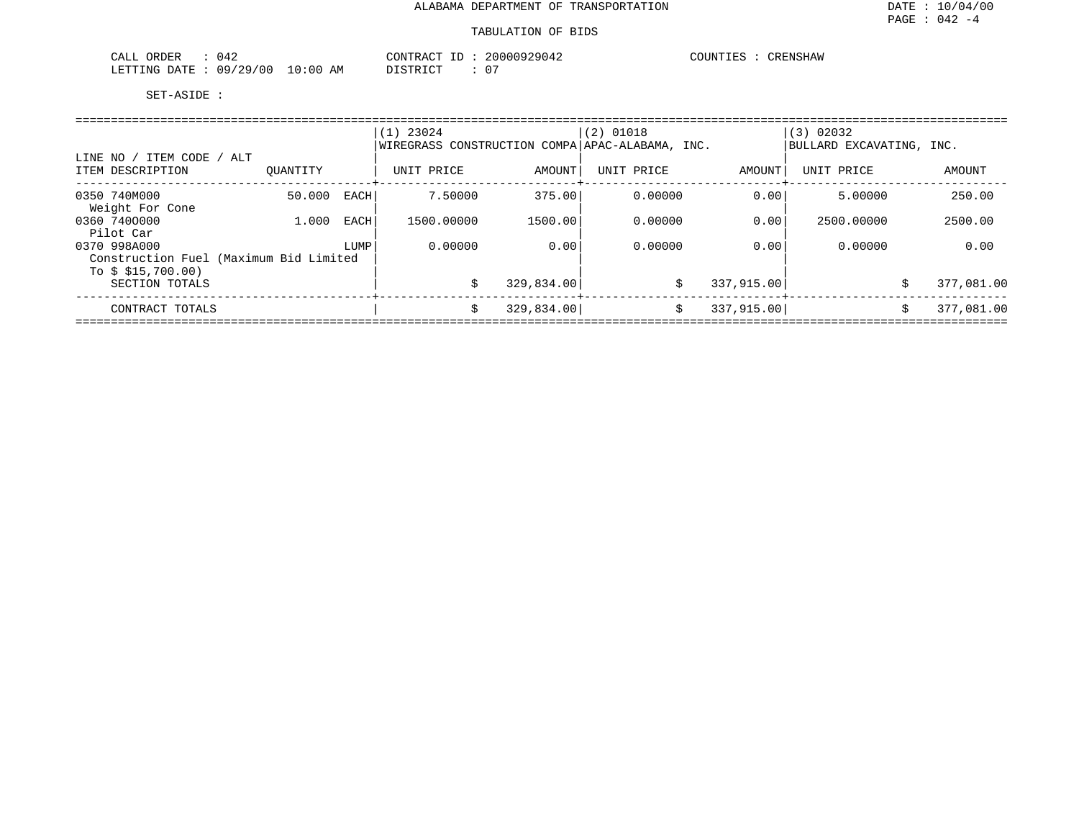### TABULATION OF BIDS

| 042<br>ORDER<br>CALL               |                  | ™™P<br>$\cdots$ $\Box$ $\wedge$ $\Box$<br>D. | 20000929042               | COUNTIES<br>CRENSHAW |
|------------------------------------|------------------|----------------------------------------------|---------------------------|----------------------|
| 09/29/<br>LETTING<br>DATE.<br>00 / | 10:6<br>AΜ<br>00 | $\tau$ $\alpha$ mp $\tau$ $\alpha$ r         | $\sim$ $\sim$<br>$\cup$ . |                      |

|                                                             |          |      | $(1)$ 23024<br>WIREGRASS CONSTRUCTION COMPA APAC-ALABAMA, INC. |            | $(2)$ 01018 |            | (3) 02032<br>BULLARD EXCAVATING, INC. |            |
|-------------------------------------------------------------|----------|------|----------------------------------------------------------------|------------|-------------|------------|---------------------------------------|------------|
| TIEM CODE / ALT<br>LINE NO /<br>ITEM DESCRIPTION            | OUANTITY |      | UNIT PRICE                                                     | AMOUNT     | UNIT PRICE  | AMOUNT     | UNIT PRICE                            | AMOUNT     |
| 0350 740M000<br>Weight For Cone                             | 50.000   | EACH | 7.50000                                                        | 375.00     | 0.00000     | 0.00       | 5.00000                               | 250.00     |
| 0360 7400000                                                | 1,000    | EACH | 1500.00000                                                     | 1500.00    | 0.00000     | 0.00       | 2500.00000                            | 2500.00    |
| Pilot Car<br>0370 998A000                                   |          | LUMP | 0.00000                                                        | 0.00       | 0.00000     | 0.00       | 0.00000                               | 0.00       |
| Construction Fuel (Maximum Bid Limited<br>To $$315,700.00)$ |          |      |                                                                |            |             |            |                                       |            |
| SECTION TOTALS                                              |          |      | \$.                                                            | 329,834.00 | Ŝ.          | 337,915.00 | Ŝ                                     | 377,081.00 |
| CONTRACT TOTALS                                             |          |      | \$                                                             | 329,834.00 | \$          | 337,915.00 | \$                                    | 377,081.00 |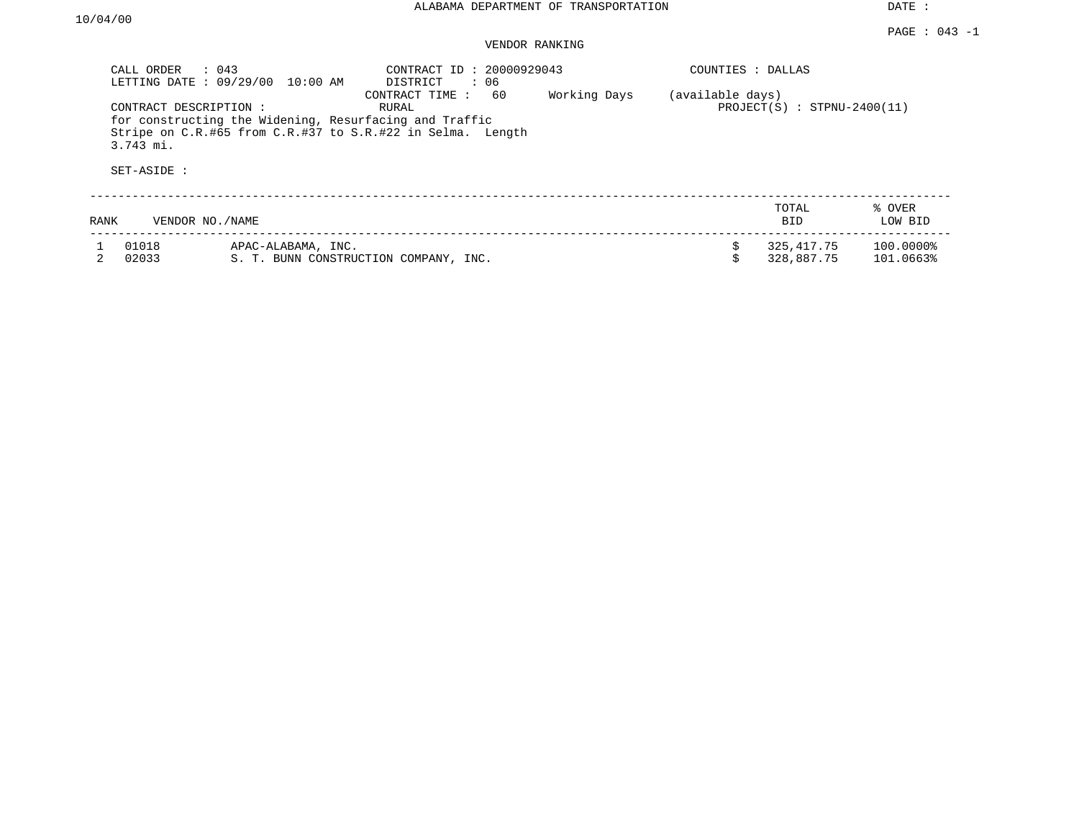|      | CALL ORDER<br>$\therefore$ 043                     | LETTING DATE : 09/29/00 10:00 AM                                                                                     | CONTRACT ID: 20000929043<br>DISTRICT | : 06 |              | COUNTIES : DALLAS |                               |                        |
|------|----------------------------------------------------|----------------------------------------------------------------------------------------------------------------------|--------------------------------------|------|--------------|-------------------|-------------------------------|------------------------|
|      | CONTRACT DESCRIPTION :<br>3.743 mi.<br>SET-ASIDE : | for constructing the Widening, Resurfacing and Traffic<br>Stripe on C.R.#65 from C.R.#37 to S.R.#22 in Selma. Length | CONTRACT TIME:<br>RURAL              | 60   | Working Days | (available days)  | $PROJECT(S) : STPNU-2400(11)$ |                        |
| RANK | VENDOR NO./NAME                                    |                                                                                                                      |                                      |      |              |                   | TOTAL<br>BID.                 | % OVER<br>LOW BID      |
|      | 01018<br>02033                                     | APAC-ALABAMA, INC.<br>S. T. BUNN CONSTRUCTION COMPANY, INC.                                                          |                                      |      |              | \$                | 325,417.75<br>328,887.75      | 100.0000%<br>101.0663% |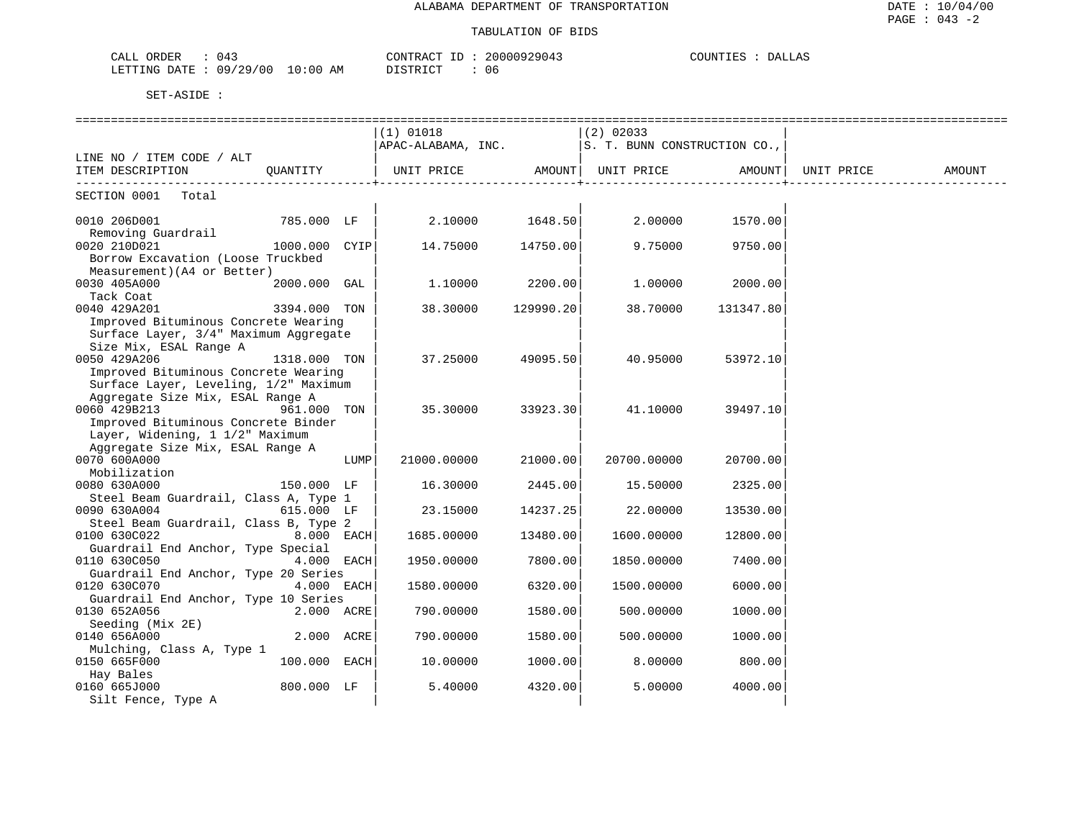### TABULATION OF BIDS

| : 043<br>CALL ORDER              |          | CONTRACT ID: 20000929043 | COUNTIES :<br>DALLAS |
|----------------------------------|----------|--------------------------|----------------------|
| LETTING DATE : 09/29/00 10:00 AM | DISTRICT | 06                       |                      |

|                                                                  |              |      | $(1)$ 01018                                                    |            | $(2)$ 02033     |           |            |        |
|------------------------------------------------------------------|--------------|------|----------------------------------------------------------------|------------|-----------------|-----------|------------|--------|
|                                                                  |              |      | $APAC-ALABAMA$ , INC. $ S. T. BUNN CONSTRUCTION CO$ ,          |            |                 |           |            |        |
| LINE NO / ITEM CODE / ALT                                        |              |      |                                                                |            |                 |           |            |        |
| ITEM DESCRIPTION                                                 |              |      | QUANTITY   UNIT PRICE AMOUNT   UNIT PRICE                      |            |                 | AMOUNT    | UNIT PRICE | AMOUNT |
| SECTION 0001 Total                                               |              |      |                                                                |            |                 |           |            |        |
|                                                                  |              |      |                                                                |            |                 |           |            |        |
| 0010 206D001                                                     |              |      | $785.000$ LF $\begin{vmatrix} 2.10000 & 1648.50 \end{vmatrix}$ |            | 2.00000 1570.00 |           |            |        |
| Removing Guardrail                                               |              |      |                                                                |            |                 |           |            |        |
| $1000.000$ CYIP<br>0020 210D021                                  |              |      | 14.75000                                                       | 14750.00   | 9.75000         | 9750.00   |            |        |
| Borrow Excavation (Loose Truckbed<br>Measurement) (A4 or Better) |              |      |                                                                |            |                 |           |            |        |
| 0030 405A000                                                     | 2000.000 GAL |      | 1.10000                                                        | 2200.00    | 1,00000         | 2000.00   |            |        |
| Tack Coat                                                        |              |      |                                                                |            |                 |           |            |        |
| 3394.000 TON<br>0040 429A201                                     |              |      | 38.30000                                                       | 129990.201 | 38.70000        | 131347.80 |            |        |
| Improved Bituminous Concrete Wearing                             |              |      |                                                                |            |                 |           |            |        |
| Surface Layer, 3/4" Maximum Aggregate                            |              |      |                                                                |            |                 |           |            |        |
| Size Mix, ESAL Range A                                           |              |      |                                                                |            |                 |           |            |        |
| 0050 429A206                                                     | 1318.000 TON |      | 37.25000                                                       | 49095.50   | 40.95000        | 53972.10  |            |        |
| Improved Bituminous Concrete Wearing                             |              |      |                                                                |            |                 |           |            |        |
| Surface Layer, Leveling, 1/2" Maximum                            |              |      |                                                                |            |                 |           |            |        |
| Aggregate Size Mix, ESAL Range A<br>0060 429B213                 |              |      |                                                                |            |                 |           |            |        |
| Improved Bituminous Concrete Binder                              | 961.000 TON  |      | 35.30000                                                       | 33923.30   | 41.10000        | 39497.10  |            |        |
| Layer, Widening, 1 1/2" Maximum                                  |              |      |                                                                |            |                 |           |            |        |
| Aggregate Size Mix, ESAL Range A                                 |              |      |                                                                |            |                 |           |            |        |
| 0070 600A000                                                     |              | LUMP | 21000.00000                                                    | 21000.00   | 20700.00000     | 20700.00  |            |        |
| Mobilization                                                     |              |      |                                                                |            |                 |           |            |        |
| 0080 630A000                                                     | 150.000 LF   |      | 16.30000                                                       | 2445.00    | 15.50000        | 2325.00   |            |        |
| Steel Beam Guardrail, Class A, Type 1                            |              |      |                                                                |            |                 |           |            |        |
| 0090 630A004<br>615.000 LF                                       |              |      | 23.15000                                                       | 14237.25   | 22.00000        | 13530.00  |            |        |
| Steel Beam Guardrail, Class B, Type 2                            |              |      |                                                                |            |                 |           |            |        |
| 0100 630C022                                                     | 8.000 EACH   |      | 1685.00000                                                     | 13480.00   | 1600.00000      | 12800.00  |            |        |
| Guardrail End Anchor, Type Special<br>0110 630C050               | 4.000 EACH   |      | 1950.00000                                                     | 7800.00    | 1850.00000      | 7400.00   |            |        |
| Guardrail End Anchor, Type 20 Series                             |              |      |                                                                |            |                 |           |            |        |
| 0120 630C070                                                     | 4.000 EACH   |      | 1580.00000                                                     | 6320.00    | 1500.00000      | 6000.00   |            |        |
| Guardrail End Anchor, Type 10 Series                             |              |      |                                                                |            |                 |           |            |        |
| 0130 652A056                                                     | 2.000 ACRE   |      | 790.00000                                                      | 1580.00    | 500.00000       | 1000.00   |            |        |
| Seeding (Mix 2E)                                                 |              |      |                                                                |            |                 |           |            |        |
| 0140 656A000                                                     | 2.000 ACRE   |      | 790.00000                                                      | 1580.00    | 500.00000       | 1000.00   |            |        |
| Mulching, Class A, Type 1                                        |              |      |                                                                |            |                 |           |            |        |
| 0150 665F000                                                     | 100.000 EACH |      | 10.00000                                                       | 1000.00    | 8.00000         | 800.00    |            |        |
| Hay Bales                                                        |              |      |                                                                |            |                 |           |            |        |
| 0160 665J000                                                     | 800.000 LF   |      | 5.40000                                                        | 4320.00    | 5.00000         | 4000.00   |            |        |
| Silt Fence, Type A                                               |              |      |                                                                |            |                 |           |            |        |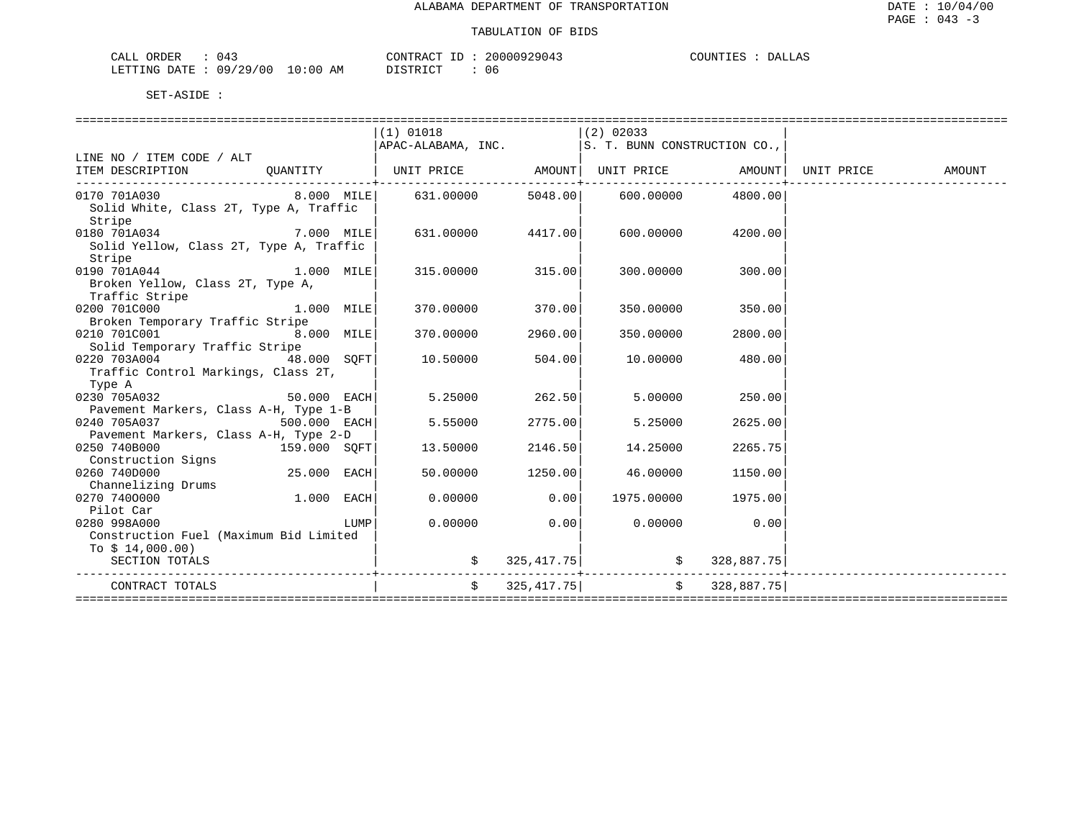### TABULATION OF BIDS

| CALL ORDER                       | 043 | CONTRACT ID: |  | : 20000929043 | COUNTIES | DALLAS |
|----------------------------------|-----|--------------|--|---------------|----------|--------|
| LETTING DATE : 09/29/00 10:00 AM |     | DISTRICT     |  | 06            |          |        |

|                                                                                     |               | $(1)$ 01018                                            |                   | $(2)$ 02033                             |                    |  |  |
|-------------------------------------------------------------------------------------|---------------|--------------------------------------------------------|-------------------|-----------------------------------------|--------------------|--|--|
|                                                                                     |               | $ $ APAC-ALABAMA, INC. $ S. T. BUNN$ CONSTRUCTION CO., |                   |                                         |                    |  |  |
| LINE NO / ITEM CODE / ALT                                                           |               |                                                        |                   |                                         |                    |  |  |
| ITEM DESCRIPTION CUANTITY   UNIT PRICE AMOUNT  UNIT PRICE AMOUNT  UNIT PRICE AMOUNT |               |                                                        |                   |                                         |                    |  |  |
|                                                                                     |               |                                                        | ----------------- |                                         |                    |  |  |
| 0170 701A030 631.0000 8.000 8.000 11LE                                              |               |                                                        |                   | 5048.00 600.00000                       | 4800.00            |  |  |
| Solid White, Class 2T, Type A, Traffic                                              |               |                                                        |                   |                                         |                    |  |  |
| Stripe                                                                              |               |                                                        |                   |                                         |                    |  |  |
| 0180 701A034 7.000 MILE                                                             |               | 631.00000                                              | 4417.00           | 600.00000                               | 4200.00            |  |  |
| Solid Yellow, Class 2T, Type A, Traffic                                             |               |                                                        |                   |                                         |                    |  |  |
| Stripe                                                                              |               |                                                        |                   |                                         |                    |  |  |
| 0190 701A044<br>1.000 MILE                                                          |               | 315.00000                                              | 315.00            | 300.00000                               | 300.00             |  |  |
| Broken Yellow, Class 2T, Type A,                                                    |               |                                                        |                   |                                         |                    |  |  |
| Traffic Stripe                                                                      |               |                                                        |                   |                                         |                    |  |  |
| 0200 701C000<br>$1.000$ MILE                                                        |               | 370.00000 370.00                                       |                   | 350.00000                               | 350.00             |  |  |
| Broken Temporary Traffic Stripe                                                     |               |                                                        |                   |                                         |                    |  |  |
| 0210 701C001 8.000 MILE                                                             |               | 370.00000                                              | 2960.00           | 350.00000                               | 2800.00            |  |  |
| Solid Temporary Traffic Stripe                                                      |               |                                                        |                   |                                         |                    |  |  |
| 0220 703A004 48.000 SQFT                                                            |               | 10.50000                                               | 504.00            | 10.00000                                | 480.00             |  |  |
| Traffic Control Markings, Class 2T,                                                 |               |                                                        |                   |                                         |                    |  |  |
| Type A                                                                              |               |                                                        |                   |                                         |                    |  |  |
| 0230 705A032                                                                        | $50.000$ EACH | $5.25000$ 262.50                                       |                   | 5.00000                                 | 250.00             |  |  |
| Pavement Markers, Class A-H, Type 1-B                                               |               |                                                        |                   |                                         |                    |  |  |
| 500.000 EACH<br>0240 705A037                                                        |               | 5.55000                                                | 2775.00           | 5.25000                                 | 2625.00            |  |  |
| Pavement Markers, Class A-H, Type 2-D                                               |               |                                                        |                   |                                         |                    |  |  |
| 0250 740B000<br>159.000 SOFT                                                        |               | 13.50000                                               | 2146.50           | 14.25000                                | 2265.75            |  |  |
| Construction Signs                                                                  |               |                                                        |                   |                                         |                    |  |  |
| 25.000 EACH<br>0260 740D000                                                         |               | 50.00000                                               | 1250.00           | 46.00000                                | 1150.00            |  |  |
| Channelizing Drums                                                                  |               |                                                        |                   |                                         |                    |  |  |
| 0270 7400000<br>$1.000$ EACH                                                        |               | 0.00000                                                | 0.00              |                                         | 1975.00000 1975.00 |  |  |
| Pilot Car                                                                           |               |                                                        |                   |                                         |                    |  |  |
| 0280 998A000                                                                        | LUMP          | 0.00000                                                | 0.00              | 0.00000                                 | 0.00               |  |  |
| Construction Fuel (Maximum Bid Limited                                              |               |                                                        |                   |                                         |                    |  |  |
| To $$14,000.00)$                                                                    |               |                                                        |                   |                                         |                    |  |  |
| SECTION TOTALS                                                                      |               |                                                        |                   | 325, 417.75                             | \$328,887.75       |  |  |
|                                                                                     |               |                                                        |                   |                                         |                    |  |  |
| CONTRACT TOTALS                                                                     |               |                                                        |                   | $\sharp$ 325,417.75 $\sharp$ 328,887.75 |                    |  |  |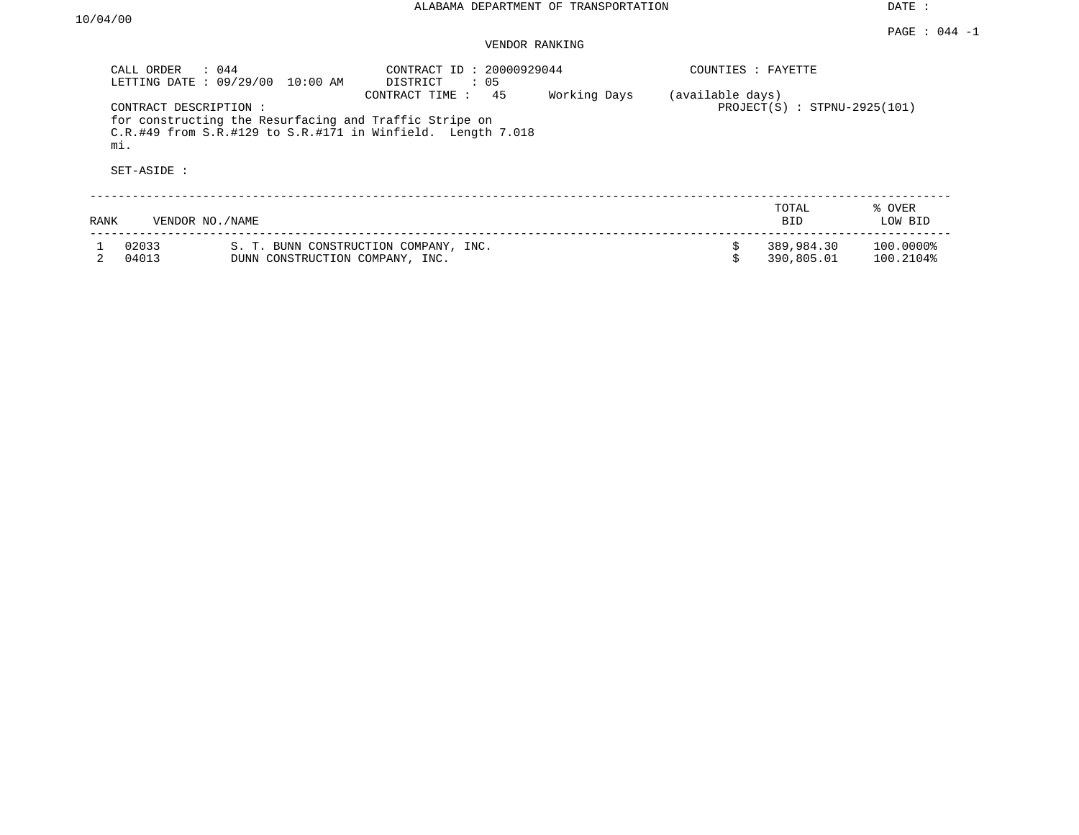| CALL ORDER     | $\therefore$ 044<br>LETTING DATE : 09/29/00<br>$10:00$ AM                                                                                               | CONTRACT ID: 20000929044<br>DISTRICT<br>: 05 |              | COUNTIES : FAYETTE |                                |                        |  |
|----------------|---------------------------------------------------------------------------------------------------------------------------------------------------------|----------------------------------------------|--------------|--------------------|--------------------------------|------------------------|--|
| mi.            | CONTRACT DESCRIPTION:<br>for constructing the Resurfacing and Traffic Stripe on<br>$C.R.$ #49 from $S.R.$ #129 to $S.R.$ #171 in Winfield. Length 7.018 | 45<br>CONTRACT TIME :                        | Working Days | (available days)   | $PROJECT(S) : STPNU-2925(101)$ |                        |  |
| SET-ASIDE :    |                                                                                                                                                         |                                              |              |                    |                                |                        |  |
| RANK           | VENDOR NO./NAME                                                                                                                                         |                                              |              |                    | TOTAL<br>BID.                  | % OVER<br>LOW BID      |  |
| 02033<br>04013 | S. T. BUNN CONSTRUCTION COMPANY, INC.<br>DUNN CONSTRUCTION COMPANY, INC.                                                                                |                                              |              |                    | 389,984.30<br>390,805.01       | 100.0000%<br>100.2104% |  |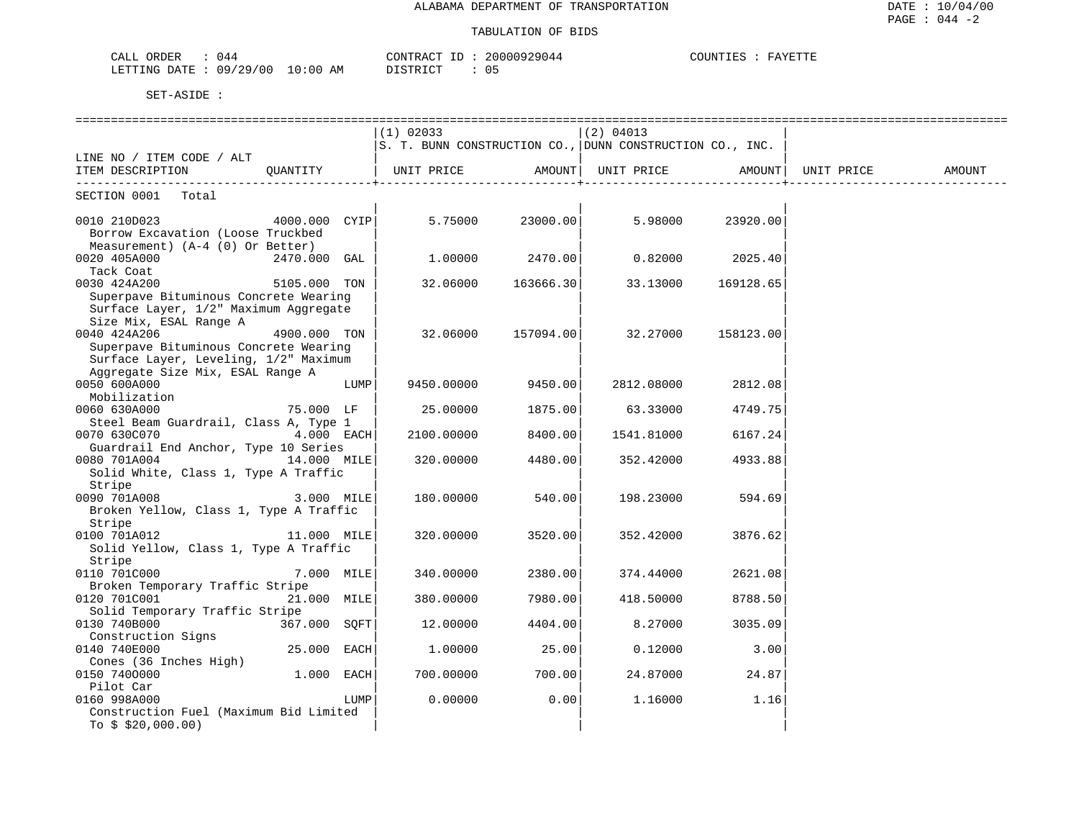| ORDER<br>CALL<br>044     |             | CONTRACT      | 20000929044 | COUNTIES<br><b>FAVE'</b><br>ר היריי |
|--------------------------|-------------|---------------|-------------|-------------------------------------|
| 09/29/00<br>LETTING DATE | 10:00<br>AΜ | יחי תידים דרי |             |                                     |

|                                                                                                                          |               |      | $(1)$ 02033                                                 |                 | $(2)$ 04013         |           |            |        |
|--------------------------------------------------------------------------------------------------------------------------|---------------|------|-------------------------------------------------------------|-----------------|---------------------|-----------|------------|--------|
|                                                                                                                          |               |      | $ S.$ T. BUNN CONSTRUCTION CO., DUNN CONSTRUCTION CO., INC. |                 |                     |           |            |        |
| LINE NO / ITEM CODE / ALT<br>ITEM DESCRIPTION                                                                            | QUANTITY      |      | UNIT PRICE                                                  |                 | AMOUNT   UNIT PRICE | AMOUNT    | UNIT PRICE | AMOUNT |
| SECTION 0001 Total                                                                                                       |               |      |                                                             |                 |                     |           |            |        |
| 0010 210D023 4000.000 CYIP<br>Borrow Excavation (Loose Truckbed<br>Measurement) (A-4 (0) Or Better)                      |               |      | 5.75000                                                     |                 | 23000.00 5.98000    | 23920.00  |            |        |
| 0020 405A000<br>Tack Coat                                                                                                | 2470.000 GAL  |      |                                                             | 1.00000 2470.00 | $0.82000$ 2025.40   |           |            |        |
| 0030 424A200<br>Superpave Bituminous Concrete Wearing<br>Surface Layer, 1/2" Maximum Aggregate<br>Size Mix, ESAL Range A | 5105.000 TON  |      | 32.06000                                                    | 163666.30       | 33.13000            | 169128.65 |            |        |
| 0040 424A206<br>Superpave Bituminous Concrete Wearing<br>Surface Layer, Leveling, 1/2" Maximum                           | 4900.000 TON  |      | 32.06000                                                    | 157094.00       | 32.27000            | 158123.00 |            |        |
| Aggregate Size Mix, ESAL Range A<br>0050 600A000<br>Mobilization                                                         |               | LUMP | 9450.00000                                                  | 9450.00         | 2812.08000          | 2812.08   |            |        |
| 0060 630A000<br>Steel Beam Guardrail, Class A, Type 1                                                                    | 75.000 LF     |      | 25.00000                                                    | 1875.00         | 63.33000            | 4749.75   |            |        |
| 0070 630C070<br>Guardrail End Anchor, Type 10 Series                                                                     | $4.000$ EACH  |      | 2100.00000                                                  | 8400.00         | 1541.81000          | 6167.24   |            |        |
| 0080 701A004 14.000 MILE<br>Solid White, Class 1, Type A Traffic<br>Stripe                                               |               |      | 320.00000                                                   | 4480.00         | 352.42000           | 4933.88   |            |        |
| 0090 701A008<br>Broken Yellow, Class 1, Type A Traffic<br>Stripe                                                         | 3.000 MILE    |      | 180.00000                                                   | 540.00          | 198.23000           | 594.69    |            |        |
| 0100 701A012<br>Solid Yellow, Class 1, Type A Traffic<br>Stripe                                                          | $11.000$ MILE |      | 320.00000                                                   | 3520.00         | 352.42000           | 3876.62   |            |        |
| 0110 701C000<br>Broken Temporary Traffic Stripe                                                                          | 7.000 MILE    |      | 340.00000                                                   | 2380.00         | 374.44000           | 2621.08   |            |        |
| 0120 701C001<br>Solid Temporary Traffic Stripe                                                                           | 21.000 MILE   |      | 380.00000                                                   | 7980.00         | 418.50000           | 8788.50   |            |        |
| 0130 740B000<br>Construction Signs                                                                                       | 367.000 SQFT  |      | 12.00000                                                    | 4404.00         | 8.27000             | 3035.09   |            |        |
| 0140 740E000<br>Cones (36 Inches High)                                                                                   | 25.000 EACH   |      | 1,00000                                                     | 25.00           | 0.12000             | 3.00      |            |        |
| 0150 7400000<br>Pilot Car                                                                                                | $1.000$ EACH  |      | 700.00000                                                   | 700.00          | 24.87000            | 24.87     |            |        |
| 0160 998A000<br>Construction Fuel (Maximum Bid Limited<br>To $$30,000.00)$                                               |               | LUMP | 0.00000                                                     | 0.00            | 1,16000             | 1.16      |            |        |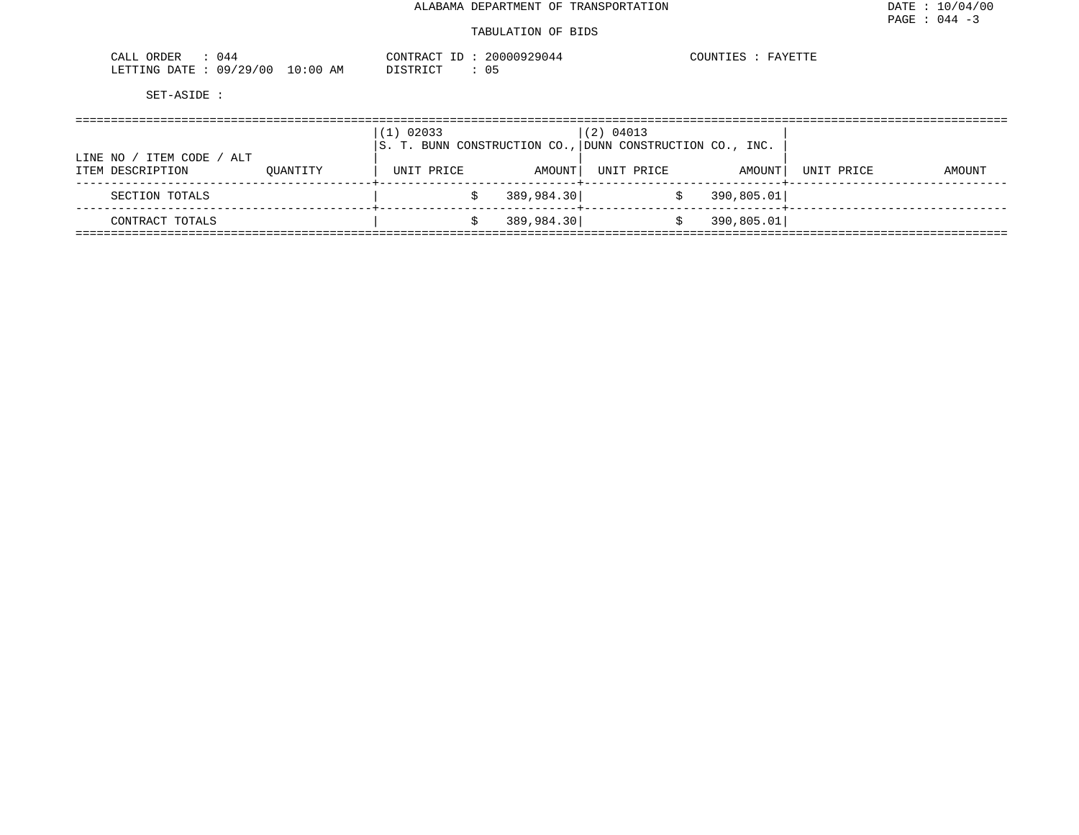| $- - -$<br>໋<br>.<br>لللطاب<br>◡<br>.                                                                                                                                 | . مموموم<br>$\sim$<br>200.<br>$\overline{1}$ | a wamma<br>דת דו |  |
|-----------------------------------------------------------------------------------------------------------------------------------------------------------------------|----------------------------------------------|------------------|--|
| LETTING<br>09/29/00<br>DATE.<br>:00<br>ΆM<br>. U -<br>the contract of the contract of the contract of the contract of the contract of the contract of the contract of | T OMD T OM<br>-05                            |                  |  |

|                                                   |          | 02033<br>1) | S. T. BUNN CONSTRUCTION CO., | (2) 04013<br>DUNN CONSTRUCTION CO., INC. |            |            |        |
|---------------------------------------------------|----------|-------------|------------------------------|------------------------------------------|------------|------------|--------|
| ITEM CODE<br>LINE NO<br>/ ALT<br>ITEM DESCRIPTION | OUANTITY | UNIT PRICE  | AMOUNT                       | UNIT PRICE                               | AMOUNT     | UNIT PRICE | AMOUNT |
| SECTION TOTALS                                    |          |             | 389,984.30                   |                                          | 390,805.01 |            |        |
| CONTRACT TOTALS                                   |          |             | 389,984.30                   |                                          | 390,805.01 |            |        |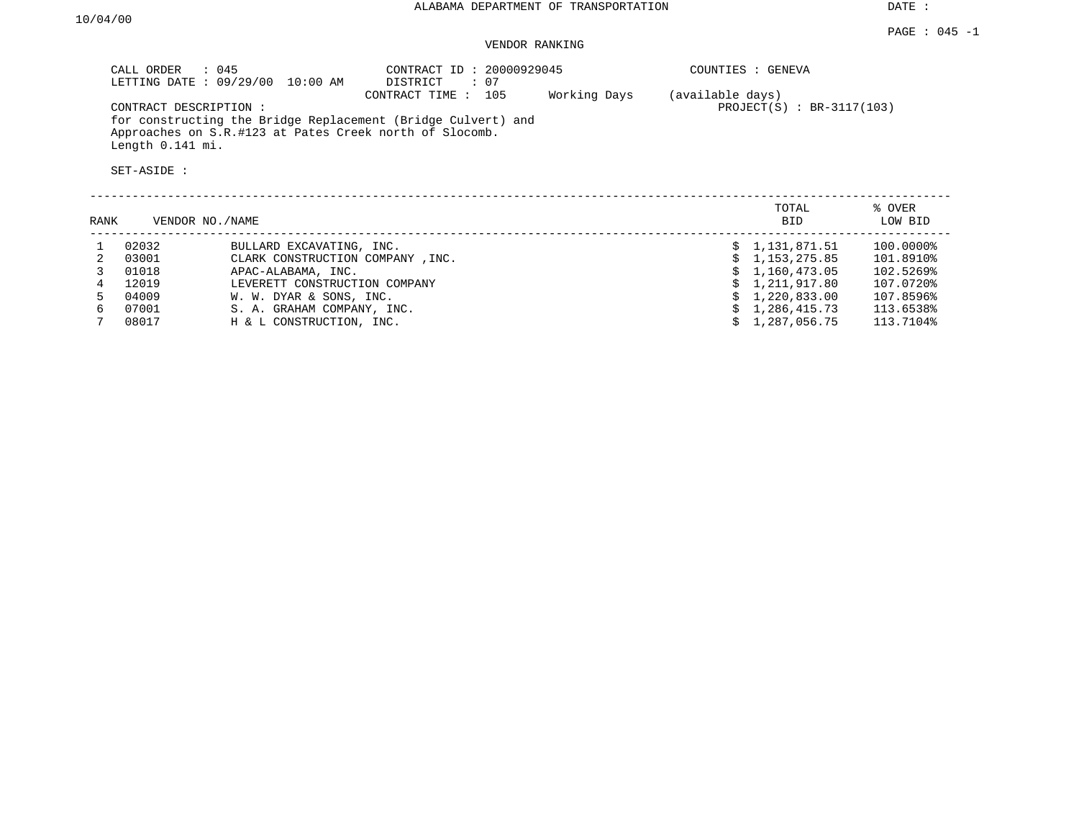## VENDOR RANKING

|      | CALL ORDER<br>$\therefore$ 045<br>CONTRACT DESCRIPTION:<br>Length 0.141 mi.<br>SET-ASIDE : | LETTING DATE : 09/29/00 10:00 AM | CONTRACT ID: 20000929045<br>DISTRICT : 07<br>CONTRACT TIME : 105<br>for constructing the Bridge Replacement (Bridge Culvert) and<br>Approaches on S.R.#123 at Pates Creek north of Slocomb. | Working Days | (available days) | COUNTIES : GENEVA<br>$PROJECT(S) : BR-3117(103)$ |                   |
|------|--------------------------------------------------------------------------------------------|----------------------------------|---------------------------------------------------------------------------------------------------------------------------------------------------------------------------------------------|--------------|------------------|--------------------------------------------------|-------------------|
| RANK | VENDOR NO./NAME                                                                            |                                  |                                                                                                                                                                                             |              |                  | TOTAL<br><b>BID</b>                              | % OVER<br>LOW BID |
|      | 02032                                                                                      | BULLARD EXCAVATING, INC.         |                                                                                                                                                                                             |              |                  | \$1,131,871.51                                   | $100.0000$ $8$    |
| 2    | 03001                                                                                      | CLARK CONSTRUCTION COMPANY, INC. |                                                                                                                                                                                             |              |                  | \$1,153,275.85                                   | 101.8910%         |
|      | 01018                                                                                      | APAC-ALABAMA, INC.               |                                                                                                                                                                                             |              |                  | \$1,160,473.05                                   | 102.5269%         |
|      | 12019                                                                                      | LEVERETT CONSTRUCTION COMPANY    |                                                                                                                                                                                             |              |                  | \$1,211,917.80                                   | 107.0720%         |
| 5.   | 04009                                                                                      | W. W. DYAR & SONS, INC.          |                                                                                                                                                                                             |              |                  | 1,220,833.00                                     | 107.8596%         |
| 6    | 07001                                                                                      | S. A. GRAHAM COMPANY, INC.       |                                                                                                                                                                                             |              |                  | \$1,286,415.73                                   | 113.6538%         |
|      | 08017                                                                                      | H & L CONSTRUCTION, INC.         |                                                                                                                                                                                             |              |                  | \$1,287,056.75                                   | 113.7104%         |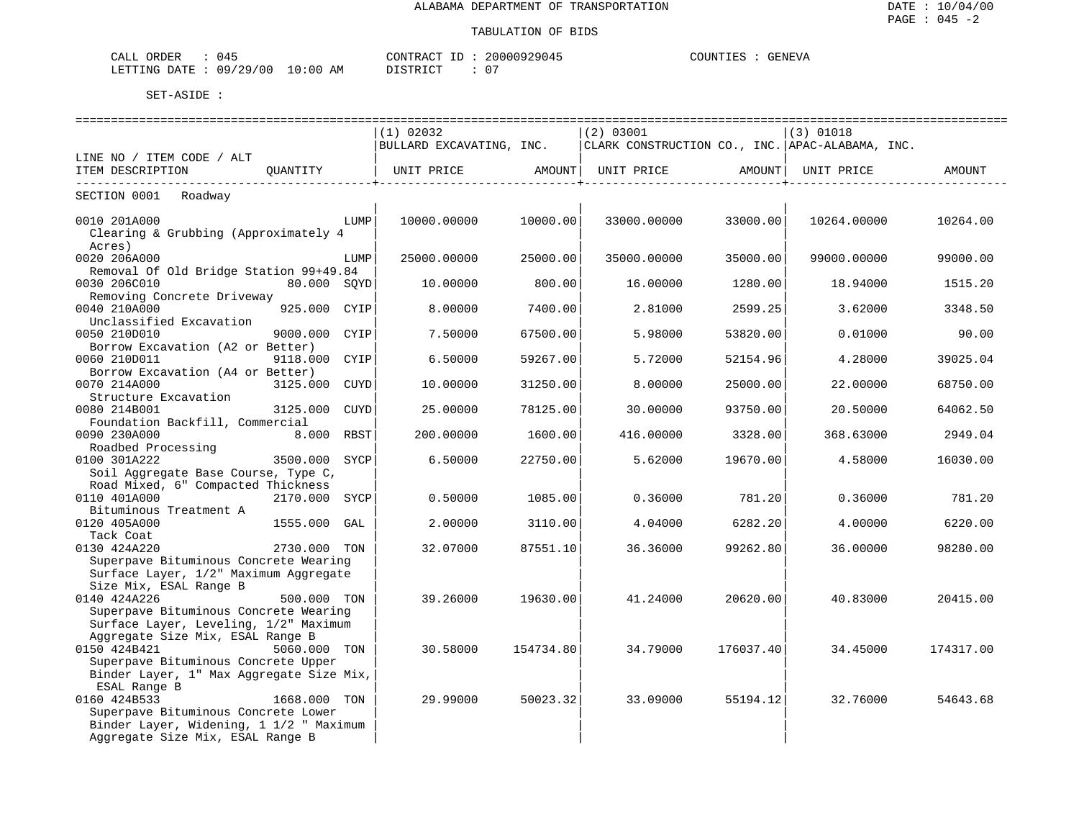| CALL ORDER<br>045      |          | CONTRACT ID | 20000929045 | COUNTIES<br><b>GENEVA</b> |
|------------------------|----------|-------------|-------------|---------------------------|
| LETTING DATE: 09/29/00 | 10:00 AM | DISTRICT    | $\cap$      |                           |

|                                                                           |      | (1) 02032                                                                    |                                 | (2) 03001   |                                | $(3)$ 01018 |           |
|---------------------------------------------------------------------------|------|------------------------------------------------------------------------------|---------------------------------|-------------|--------------------------------|-------------|-----------|
|                                                                           |      | BULLARD EXCAVATING, INC.   CLARK CONSTRUCTION CO., INC.   APAC-ALABAMA, INC. |                                 |             |                                |             |           |
| LINE NO / ITEM CODE / ALT                                                 |      |                                                                              |                                 |             |                                |             |           |
| ITEM DESCRIPTION<br>QUANTITY                                              |      | UNIT PRICE                                                                   | AMOUNT  <br>------------------+ | UNIT PRICE  | AMOUNT<br>____________________ | UNIT PRICE  | AMOUNT    |
| SECTION 0001 Roadway                                                      |      |                                                                              |                                 |             |                                |             |           |
| 0010 201A000<br>Clearing & Grubbing (Approximately 4                      | LUMP | 10000.00000                                                                  | 10000.00                        | 33000.00000 | 33000.00                       | 10264.00000 | 10264.00  |
| Acres)<br>0020 206A000                                                    | LUMP | 25000.00000                                                                  | 25000.00                        | 35000.00000 | 35000.00                       | 99000.00000 | 99000.00  |
| Removal Of Old Bridge Station 99+49.84<br>0030 206C010<br>80.000 SOYD     |      | 10.00000                                                                     | 800.00                          | 16.00000    | 1280.00                        | 18.94000    | 1515.20   |
| Removing Concrete Driveway                                                |      |                                                                              |                                 |             |                                |             |           |
| 0040 210A000<br>925.000 CYIP<br>Unclassified Excavation                   |      | 8,00000                                                                      | 7400.00                         | 2.81000     | 2599.25                        | 3.62000     | 3348.50   |
| 0050 210D010<br>9000.000 CYIP                                             |      | 7.50000                                                                      | 67500.00                        | 5.98000     | 53820.00                       | 0.01000     | 90.00     |
| Borrow Excavation (A2 or Better)<br>0060 210D011<br>9118.000 CYIP         |      | 6.50000                                                                      | 59267.00                        | 5.72000     | 52154.96                       | 4.28000     | 39025.04  |
| Borrow Excavation (A4 or Better)<br>0070 214A000<br>3125.000              | CUYD | 10.00000                                                                     | 31250.00                        | 8,00000     | 25000.00                       | 22,00000    | 68750.00  |
| Structure Excavation                                                      |      |                                                                              |                                 |             |                                |             |           |
| 0080 214B001<br>3125.000 CUYD<br>Foundation Backfill, Commercial          |      | 25.00000                                                                     | 78125.00                        | 30.00000    | 93750.00                       | 20.50000    | 64062.50  |
| 0090 230A000<br>8.000 RBST<br>Roadbed Processing                          |      | 200.00000                                                                    | 1600.00                         | 416.00000   | 3328.00                        | 368.63000   | 2949.04   |
| 0100 301A222<br>3500.000 SYCP                                             |      | 6.50000                                                                      | 22750.00                        | 5.62000     | 19670.00                       | 4.58000     | 16030.00  |
| Soil Aggregate Base Course, Type C,<br>Road Mixed, 6" Compacted Thickness |      |                                                                              |                                 |             |                                |             |           |
| 0110 401A000<br>2170.000 SYCP                                             |      | 0.50000                                                                      | 1085.00                         | 0.36000     | 781.20                         | 0.36000     | 781.20    |
| Bituminous Treatment A                                                    |      |                                                                              |                                 |             |                                |             |           |
| 0120 405A000<br>1555.000 GAL                                              |      | 2.00000                                                                      | 3110.00                         | 4.04000     | 6282.20                        | 4.00000     | 6220.00   |
| Tack Coat                                                                 |      |                                                                              |                                 |             |                                |             |           |
| 0130 424A220<br>2730.000 TON                                              |      | 32.07000                                                                     | 87551.10                        | 36.36000    | 99262.80                       | 36.00000    | 98280.00  |
| Superpave Bituminous Concrete Wearing                                     |      |                                                                              |                                 |             |                                |             |           |
| Surface Layer, 1/2" Maximum Aggregate                                     |      |                                                                              |                                 |             |                                |             |           |
| Size Mix, ESAL Range B                                                    |      |                                                                              |                                 |             |                                |             |           |
| 0140 424A226<br>500.000 TON                                               |      | 39.26000                                                                     | 19630.00                        | 41.24000    | 20620.00                       | 40.83000    | 20415.00  |
| Superpave Bituminous Concrete Wearing                                     |      |                                                                              |                                 |             |                                |             |           |
| Surface Layer, Leveling, 1/2" Maximum                                     |      |                                                                              |                                 |             |                                |             |           |
| Aggregate Size Mix, ESAL Range B<br>0150 424B421<br>5060.000 TON          |      | 30.58000                                                                     | 154734.80                       | 34.79000    | 176037.40                      | 34.45000    | 174317.00 |
| Superpave Bituminous Concrete Upper                                       |      |                                                                              |                                 |             |                                |             |           |
| Binder Layer, 1" Max Aggregate Size Mix,                                  |      |                                                                              |                                 |             |                                |             |           |
| ESAL Range B                                                              |      |                                                                              |                                 |             |                                |             |           |
| 0160 424B533<br>1668.000 TON                                              |      | 29.99000                                                                     | 50023.32                        | 33.09000    | 55194.12                       | 32.76000    | 54643.68  |
| Superpave Bituminous Concrete Lower                                       |      |                                                                              |                                 |             |                                |             |           |
| Binder Layer, Widening, 1 1/2 " Maximum                                   |      |                                                                              |                                 |             |                                |             |           |
| Aggregate Size Mix, ESAL Range B                                          |      |                                                                              |                                 |             |                                |             |           |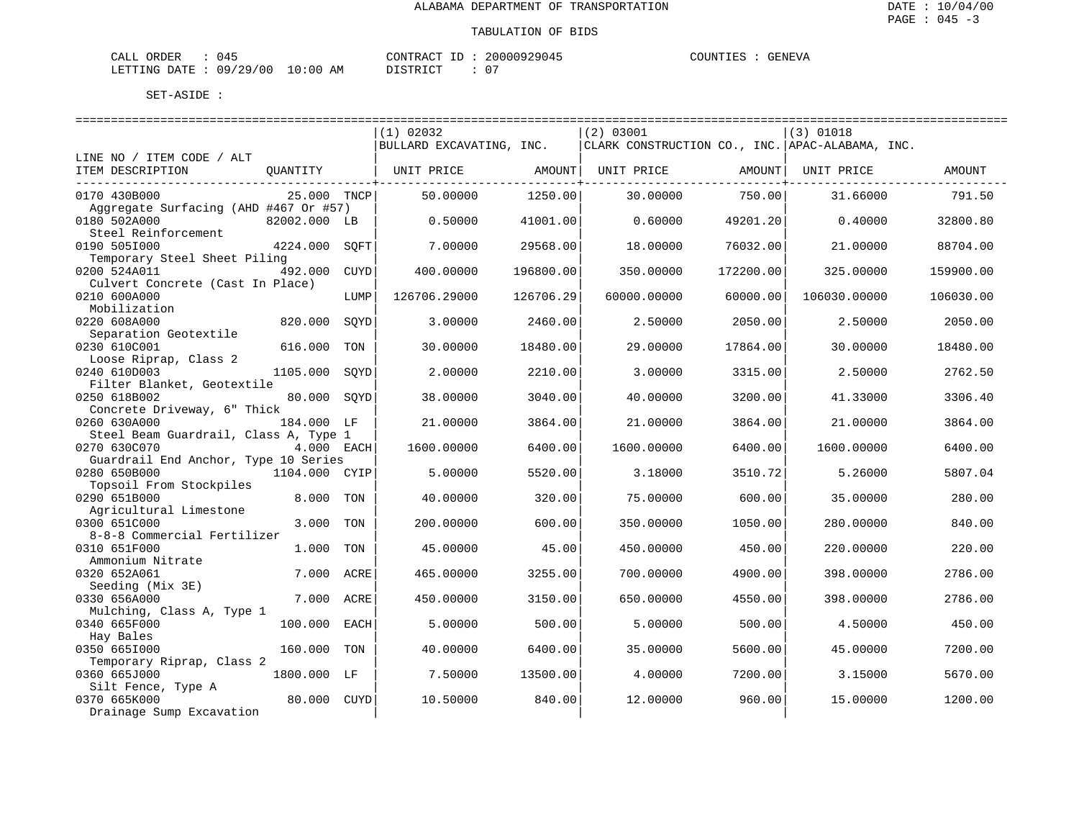| CALL ORDER                       | ባ45 | CONTRACT ID : | 20000929045 | COUNTIES | GENEVA |
|----------------------------------|-----|---------------|-------------|----------|--------|
| LETTING DATE : 09/29/00 10:00 AM |     | DISTRICT      | _ດ –        |          |        |

|                                           |               |             | (1) 02032                |                     | (2) 03001                                       |           | (3) 01018    |           |
|-------------------------------------------|---------------|-------------|--------------------------|---------------------|-------------------------------------------------|-----------|--------------|-----------|
|                                           |               |             | BULLARD EXCAVATING, INC. |                     | CLARK CONSTRUCTION CO., INC. APAC-ALABAMA, INC. |           |              |           |
| LINE NO / ITEM CODE / ALT                 |               |             |                          |                     |                                                 |           |              |           |
| ITEM DESCRIPTION                          | QUANTITY      |             | UNIT PRICE               | AMOUNT              | UNIT PRICE                                      | AMOUNT    | UNIT PRICE   | AMOUNT    |
| 0170 430B000                              | 25.000 TNCP   |             | 50.00000                 | -------+<br>1250.00 | 30.00000                                        | 750.00    | 31.66000     | 791.50    |
| Aggregate Surfacing (AHD #467 Or #57)     |               |             |                          |                     |                                                 |           |              |           |
| 0180 502A000                              | 82002.000 LB  |             | 0.50000                  | 41001.00            | 0.60000                                         | 49201.20  | 0.40000      | 32800.80  |
| Steel Reinforcement                       |               |             |                          |                     |                                                 |           |              |           |
| 0190 5051000                              | 4224.000      | SQFT        | 7.00000                  | 29568.00            | 18.00000                                        | 76032.00  | 21.00000     | 88704.00  |
| Temporary Steel Sheet Piling              |               |             |                          |                     |                                                 |           |              |           |
| 0200 524A011                              | 492.000       | <b>CUYD</b> | 400.00000                | 196800.00           | 350.00000                                       | 172200.00 | 325.00000    | 159900.00 |
| Culvert Concrete (Cast In Place)          |               |             |                          |                     |                                                 |           |              |           |
| 0210 600A000                              |               | LUMP        | 126706.29000             | 126706.29           | 60000.00000                                     | 60000.00  | 106030.00000 | 106030.00 |
| Mobilization                              |               |             |                          |                     |                                                 |           |              |           |
| 0220 608A000                              | 820.000       | SOYD        | 3.00000                  | 2460.00             | 2.50000                                         | 2050.00   | 2.50000      | 2050.00   |
| Separation Geotextile                     |               |             |                          |                     |                                                 |           |              |           |
| 0230 610C001                              | 616.000       | TON         | 30.00000                 | 18480.00            | 29.00000                                        | 17864.00  | 30.00000     | 18480.00  |
| Loose Riprap, Class 2                     |               |             |                          |                     |                                                 |           |              |           |
| 0240 610D003                              | 1105.000      | SOYD        | 2.00000                  | 2210.00             | 3.00000                                         | 3315.00   | 2.50000      | 2762.50   |
| Filter Blanket, Geotextile                |               |             |                          |                     |                                                 |           |              |           |
| 0250 618B002                              | 80.000        | SOYD        | 38,00000                 | 3040.00             | 40.00000                                        | 3200.00   | 41.33000     | 3306.40   |
| Concrete Driveway, 6" Thick               |               |             |                          |                     |                                                 |           |              |           |
| 0260 630A000                              | 184.000 LF    |             | 21.00000                 | 3864.00             | 21.00000                                        | 3864.00   | 21.00000     | 3864.00   |
| Steel Beam Guardrail, Class A, Type 1     |               |             |                          |                     |                                                 |           |              |           |
| 0270 630C070                              | 4.000 EACH    |             | 1600.00000               | 6400.00             | 1600.00000                                      | 6400.00   | 1600.00000   | 6400.00   |
| Guardrail End Anchor, Type 10 Series      |               |             |                          |                     |                                                 |           |              |           |
| 0280 650B000                              | 1104.000 CYIP |             | 5.00000                  | 5520.00             | 3.18000                                         | 3510.72   | 5.26000      | 5807.04   |
| Topsoil From Stockpiles                   |               |             |                          |                     |                                                 |           |              |           |
| 0290 651B000                              | 8,000         | TON         | 40.00000                 | 320.00              | 75.00000                                        | 600.00    | 35.00000     | 280.00    |
| Agricultural Limestone                    |               |             |                          |                     |                                                 |           |              |           |
| 0300 651C000                              | 3,000         | TON         | 200,00000                | 600.00              | 350.00000                                       | 1050.00   | 280.00000    | 840.00    |
| 8-8-8 Commercial Fertilizer               |               |             |                          |                     |                                                 |           |              |           |
| 0310 651F000                              | 1.000         | TON         | 45.00000                 | 45.00               | 450.00000                                       | 450.00    | 220.00000    | 220.00    |
| Ammonium Nitrate                          |               |             |                          |                     |                                                 |           |              |           |
| 0320 652A061                              | 7.000         | ACRE        | 465.00000                | 3255.00             | 700.00000                                       | 4900.00   | 398,00000    | 2786.00   |
| Seeding (Mix 3E)                          |               |             |                          |                     |                                                 |           |              |           |
| 0330 656A000                              | 7.000         | ACRE        | 450.00000                | 3150.00             | 650.00000                                       | 4550.00   | 398.00000    | 2786.00   |
| Mulching, Class A, Type 1                 |               |             |                          |                     |                                                 |           |              |           |
| 0340 665F000                              | 100.000       | EACH        | 5.00000                  | 500.00              | 5.00000                                         | 500.00    | 4.50000      | 450.00    |
| Hay Bales<br>0350 6651000                 |               |             |                          |                     |                                                 |           |              |           |
|                                           | 160.000       | TON         | 40.00000                 | 6400.00             | 35.00000                                        | 5600.00   | 45.00000     | 7200.00   |
| Temporary Riprap, Class 2<br>0360 665J000 |               |             |                          | 13500.00            |                                                 |           |              | 5670.00   |
|                                           | 1800.000 LF   |             | 7.50000                  |                     | 4.00000                                         | 7200.00   | 3.15000      |           |
| Silt Fence, Type A<br>0370 665K000        | 80.000        | CUYD        | 10.50000                 | 840.00              | 12.00000                                        | 960.00    | 15,00000     | 1200.00   |
|                                           |               |             |                          |                     |                                                 |           |              |           |
| Drainage Sump Excavation                  |               |             |                          |                     |                                                 |           |              |           |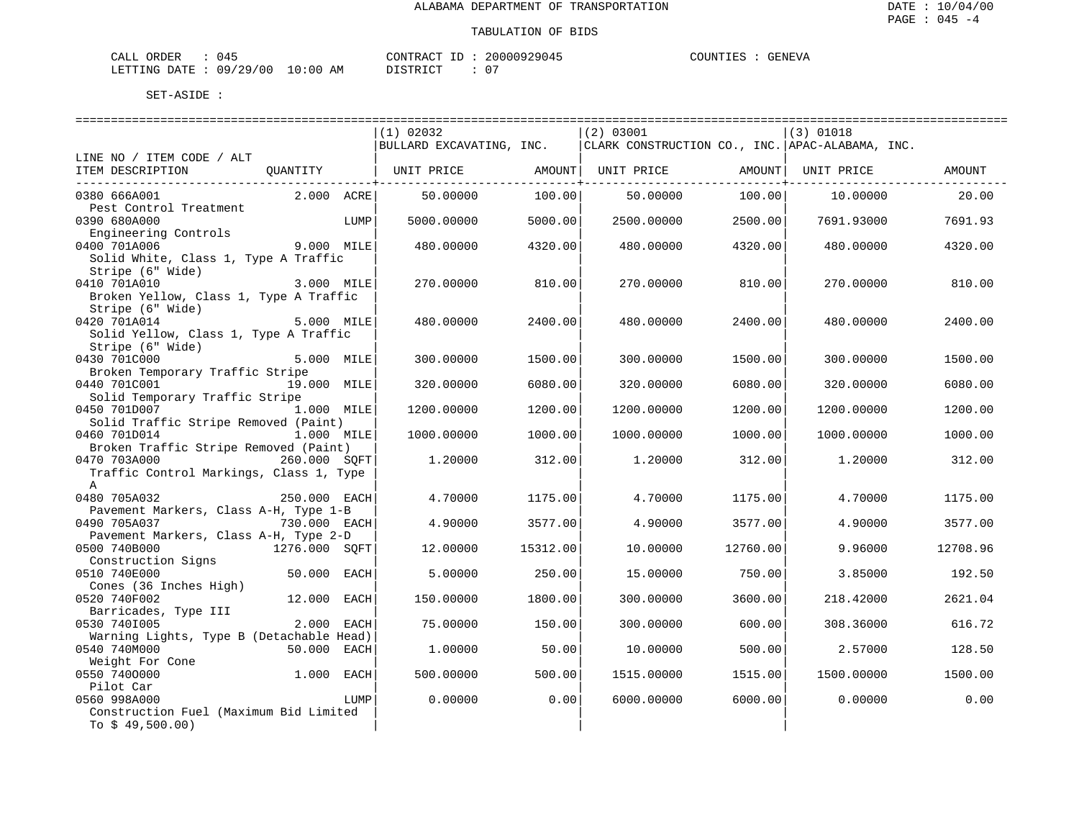| CALL ORDER                       | ባ45 | CONTRACT ID : | 20000929045 | COUNTIES | GENEVA |
|----------------------------------|-----|---------------|-------------|----------|--------|
| LETTING DATE : 09/29/00 10:00 AM |     | DISTRICT      | _ດ –        |          |        |

|                                                                                                                  |               |      | ----------------<br>(1) 02032 |          | $(2)$ 03001                                     |                                 | (3) 01018  |          |
|------------------------------------------------------------------------------------------------------------------|---------------|------|-------------------------------|----------|-------------------------------------------------|---------------------------------|------------|----------|
|                                                                                                                  |               |      | BULLARD EXCAVATING, INC.      |          | CLARK CONSTRUCTION CO., INC. APAC-ALABAMA, INC. |                                 |            |          |
| LINE NO / ITEM CODE / ALT<br>ITEM DESCRIPTION<br>--------------------------------                                | QUANTITY      |      | UNIT PRICE AMOUNT             |          | UNIT PRICE AMOUNT UNIT PRICE                    | . _ _ _ _ _ _ _ _ _ _ _ _ _ _ _ |            | AMOUNT   |
| 0380 666A001<br>Pest Control Treatment                                                                           | $2.000$ ACRE  |      | 50.00000                      | 100.00   | 50.00000                                        | 100.00                          | 10.00000   | 20.00    |
| 0390 680A000<br>Engineering Controls                                                                             |               | LUMP | 5000.00000                    | 5000.00  | 2500.00000                                      | 2500.00                         | 7691.93000 | 7691.93  |
| 0400 701A006<br>Solid White, Class 1, Type A Traffic                                                             | 9.000 MILE    |      | 480.00000                     | 4320.00  | 480.00000                                       | 4320.00                         | 480.00000  | 4320.00  |
| Stripe (6" Wide)<br>0410 701A010<br>Broken Yellow, Class 1, Type A Traffic                                       | 3.000 MILE    |      | 270.00000                     | 810.00   | 270.00000                                       | 810.00                          | 270.00000  | 810.00   |
| Stripe (6" Wide)<br>0420 701A014<br>Solid Yellow, Class 1, Type A Traffic                                        | $5.000$ MILE  |      | 480.00000                     | 2400.00  | 480.00000                                       | 2400.00                         | 480.00000  | 2400.00  |
| Stripe (6" Wide)<br>0430 701C000<br>Broken Temporary Traffic Stripe                                              | 5.000 MILE    |      | 300.00000                     | 1500.00  | 300.00000                                       | 1500.00                         | 300.00000  | 1500.00  |
| 0440 701C001                                                                                                     | 19.000 MILE   |      | 320.00000                     | 6080.00  | 320.00000                                       | 6080.00                         | 320,00000  | 6080.00  |
| Solid Temporary Traffic Stripe<br>0450 701D007<br>Solid Traffic Stripe Removed (Paint)                           | 1.000 MILE    |      | 1200.00000                    | 1200.00  | 1200.00000                                      | 1200.00                         | 1200.00000 | 1200.00  |
| 0460 701D014                                                                                                     | $1.000$ MILE  |      | 1000.00000                    | 1000.00  | 1000.00000                                      | 1000.00                         | 1000.00000 | 1000.00  |
| Broken Traffic Stripe Removed (Paint)<br>0470 703A000<br>Traffic Control Markings, Class 1, Type<br>$\mathbb{A}$ | 260.000 SOFT  |      | 1,20000                       | 312.00   | 1,20000                                         | 312.00                          | 1,20000    | 312.00   |
| 0480 705A032                                                                                                     | 250.000 EACH  |      | 4.70000                       | 1175.00  | 4.70000                                         | 1175.00                         | 4.70000    | 1175.00  |
| Pavement Markers, Class A-H, Type 1-B<br>0490 705A037                                                            | 730.000 EACH  |      | 4.90000                       | 3577.00  | 4.90000                                         | 3577.00                         | 4.90000    | 3577.00  |
| Pavement Markers, Class A-H, Type 2-D<br>0500 740B000                                                            | 1276.000 SOFT |      | 12,00000                      | 15312.00 | 10.00000                                        | 12760.00                        | 9.96000    | 12708.96 |
| Construction Signs<br>0510 740E000                                                                               | 50.000 EACH   |      | 5.00000                       | 250.00   | 15,00000                                        | 750.00                          | 3.85000    | 192.50   |
| Cones (36 Inches High)<br>0520 740F002                                                                           | 12.000 EACH   |      | 150.00000                     | 1800.00  | 300.00000                                       | 3600.00                         | 218.42000  | 2621.04  |
| Barricades, Type III<br>0530 7401005                                                                             | 2.000         | EACH | 75.00000                      | 150.00   | 300.00000                                       | 600.00                          | 308.36000  | 616.72   |
| Warning Lights, Type B (Detachable Head)<br>0540 740M000                                                         | 50.000 EACH   |      | 1,00000                       | 50.00    | 10.00000                                        | 500.00                          | 2.57000    | 128.50   |
| Weight For Cone                                                                                                  |               |      |                               |          |                                                 |                                 |            |          |
| 0550 7400000<br>Pilot Car                                                                                        | $1.000$ EACH  |      | 500.00000                     | 500.00   | 1515.00000                                      | 1515.00                         | 1500.00000 | 1500.00  |
| 0560 998A000<br>Construction Fuel (Maximum Bid Limited<br>To $$49,500.00)$                                       |               | LUMP | 0.00000                       | 0.00     | 6000.00000                                      | 6000.00                         | 0.00000    | 0.00     |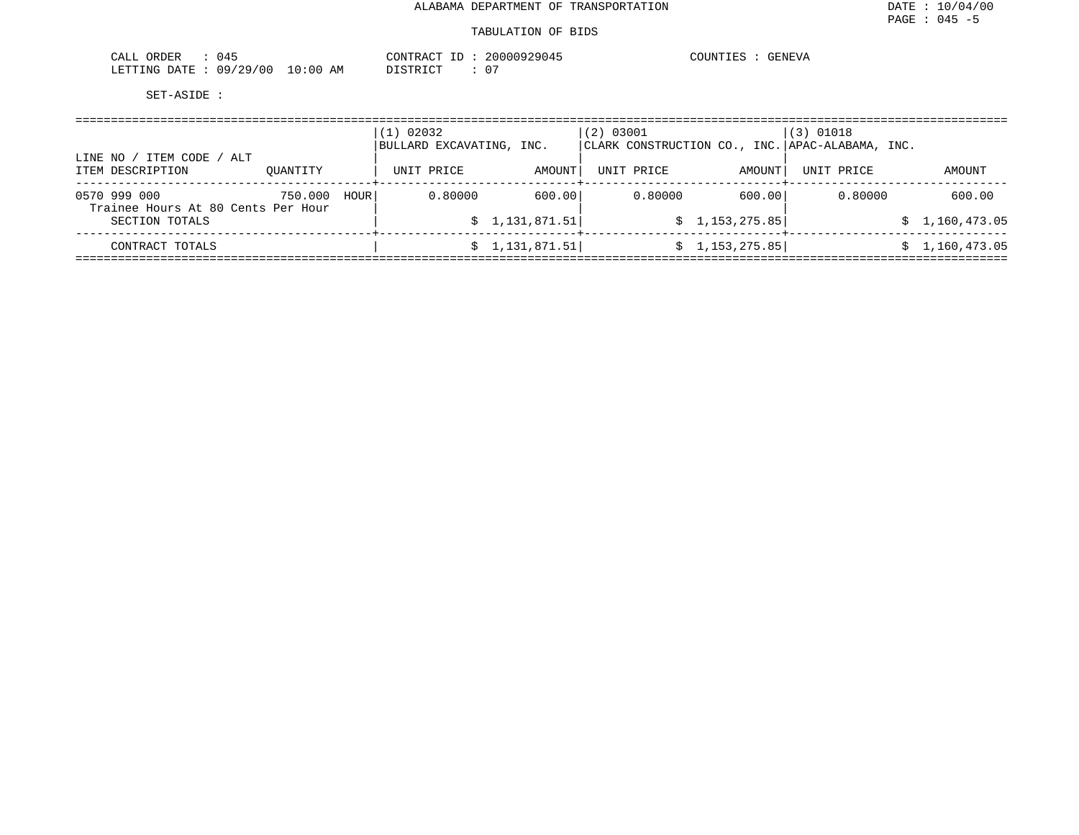| 045<br>ORDER                                                                    | 0.0000000000000<br>ז אידי ארי<br>$\sim$ $\sim$ $\sim$ | GENEVA<br>∴JUNT" |
|---------------------------------------------------------------------------------|-------------------------------------------------------|------------------|
| 129<br>:00<br>100<br><b>ETTING</b><br><b>ALTRO</b><br>ΆM<br>$\Omega$<br>) A ' I | $0^-$<br>T CITO T CIT                                 |                  |

| / ITEM CODE / ALT<br>LINE NO /                     | 02032<br>$\perp$ )<br>BULLARD EXCAVATING, INC. |      | (2) 03001  |                 | (3) 01018<br>CLARK CONSTRUCTION CO., INC. APAC-ALABAMA, INC. |                |            |                |
|----------------------------------------------------|------------------------------------------------|------|------------|-----------------|--------------------------------------------------------------|----------------|------------|----------------|
| ITEM DESCRIPTION                                   | OUANTITY                                       |      | UNIT PRICE | AMOUNT          | UNIT PRICE                                                   | AMOUNT         | UNIT PRICE | AMOUNT         |
| 0570 999 000<br>Trainee Hours At 80 Cents Per Hour | 750.000                                        | HOUR | 0.80000    | 600.00          | 0.80000                                                      | 600.00         | 0.80000    | 600.00         |
| SECTION TOTALS                                     |                                                |      |            | \$1,131,871.51] |                                                              | \$1,153,275.85 |            | \$1,160,473.05 |
| CONTRACT TOTALS                                    |                                                |      |            | \$1,131,871.51  |                                                              | \$1,153,275.85 |            | \$1,160,473.05 |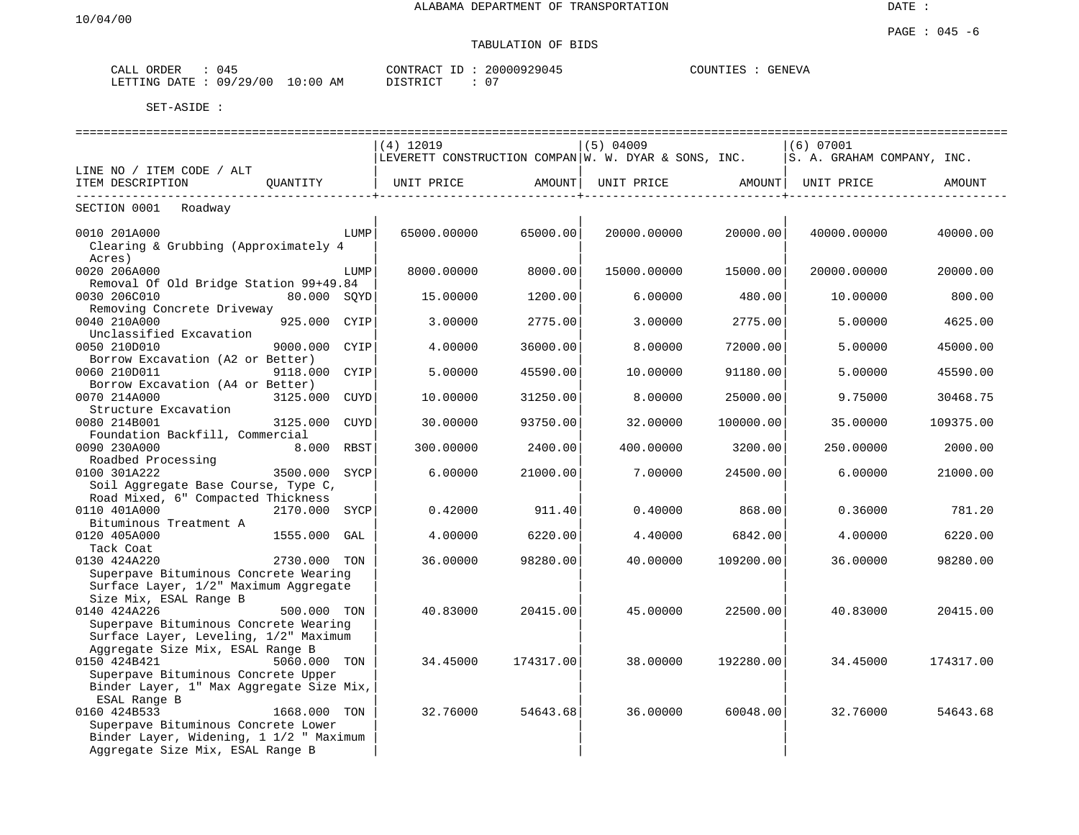| CALL ORDER                       | 045 |          | CONTRACT ID: 20000929045 | COUNTIES<br>: GENEVA |
|----------------------------------|-----|----------|--------------------------|----------------------|
| LETTING DATE : 09/29/00 10:00 AM |     | DISTRICT |                          |                      |

|                                                                                                                                    |               |      | $(4)$ 12019       |           | $(5)$ 04009                   |                  | (6) 07001                                                                         |           |
|------------------------------------------------------------------------------------------------------------------------------------|---------------|------|-------------------|-----------|-------------------------------|------------------|-----------------------------------------------------------------------------------|-----------|
|                                                                                                                                    |               |      |                   |           |                               |                  | LEVERETT CONSTRUCTION COMPAN W. W. DYAR & SONS, INC. $ S.A.$ GRAHAM COMPANY, INC. |           |
| LINE NO / ITEM CODE / ALT                                                                                                          |               |      |                   |           |                               |                  |                                                                                   |           |
| ITEM DESCRIPTION QUANTITY                                                                                                          |               |      | UNIT PRICE AMOUNT |           | UNIT PRICE AMOUNT  UNIT PRICE | ________________ |                                                                                   | AMOUNT    |
| SECTION 0001 Roadway                                                                                                               |               |      |                   |           |                               |                  |                                                                                   |           |
| 0010 201A000<br>Clearing & Grubbing (Approximately 4<br>Acres)                                                                     |               | LUMP | 65000.00000       | 65000.00  | 20000.00000                   | 20000.00         | 40000.00000                                                                       | 40000.00  |
| 0020 206A000<br>Removal Of Old Bridge Station 99+49.84                                                                             |               | LUMP | 8000.00000        | 8000.00   | 15000.00000                   | 15000.00         | 20000.00000                                                                       | 20000.00  |
| 0030 206C010<br>Removing Concrete Driveway                                                                                         | 80.000 SOYD   |      | 15.00000          | 1200.00   | 6.00000                       | 480.001          | 10.00000                                                                          | 800.00    |
| 0040 210A000                                                                                                                       | 925.000 CYIP  |      | 3.00000           | 2775.00   | 3.00000                       | 2775.00          | 5.00000                                                                           | 4625.00   |
| Unclassified Excavation<br>0050 210D010                                                                                            | 9000.000 CYIP |      | 4.00000           | 36000.00  | 8,00000                       | 72000.00         | 5.00000                                                                           | 45000.00  |
| Borrow Excavation (A2 or Better)<br>0060 210D011<br>Borrow Excavation (A4 or Better)                                               | 9118.000 CYIP |      | 5.00000           | 45590.00  | 10.00000                      | 91180.00         | 5.00000                                                                           | 45590.00  |
| 0070 214A000                                                                                                                       | 3125.000 CUYD |      | 10.00000          | 31250.00  | 8,00000                       | 25000.00         | 9.75000                                                                           | 30468.75  |
| Structure Excavation<br>0080 214B001                                                                                               | 3125.000 CUYD |      | 30.00000          | 93750.00  | 32.00000                      | 100000.00        | 35.00000                                                                          | 109375.00 |
| Foundation Backfill, Commercial<br>0090 230A000<br>8.000 RBST                                                                      |               |      | 300.00000         | 2400.00   | 400.00000                     | 3200.00          | 250.00000                                                                         | 2000.00   |
| Roadbed Processing<br>0100 301A222<br>Soil Aggregate Base Course, Type C,                                                          | 3500.000      | SYCP | 6.00000           | 21000.00  | 7.00000                       | 24500.00         | 6.00000                                                                           | 21000.00  |
| Road Mixed, 6" Compacted Thickness<br>0110 401A000<br>Bituminous Treatment A                                                       | 2170.000 SYCP |      | 0.42000           | 911.40    | 0.40000                       | 868.00           | 0.36000                                                                           | 781.20    |
| 0120 405A000<br>1555.000 GAL<br>Tack Coat                                                                                          |               |      | 4.00000           | 6220.00   | 4.40000                       | 6842.00          | 4.00000                                                                           | 6220.00   |
| 0130 424A220<br>Superpave Bituminous Concrete Wearing                                                                              | 2730.000 TON  |      | 36.00000          | 98280.00  | 40.00000                      | 109200.00        | 36.00000                                                                          | 98280.00  |
| Surface Layer, 1/2" Maximum Aggregate<br>Size Mix, ESAL Range B                                                                    |               |      |                   |           |                               |                  |                                                                                   |           |
| 0140 424A226<br>Superpave Bituminous Concrete Wearing<br>Surface Layer, Leveling, 1/2" Maximum                                     | 500.000 TON   |      | 40.83000          | 20415.00  | 45.00000                      | 22500.00         | 40.83000                                                                          | 20415.00  |
| Aggregate Size Mix, ESAL Range B<br>0150 424B421                                                                                   | 5060.000 TON  |      | 34.45000          | 174317.00 | 38.00000                      | 192280.00        | 34.45000                                                                          | 174317.00 |
| Superpave Bituminous Concrete Upper<br>Binder Layer, 1" Max Aggregate Size Mix,<br>ESAL Range B                                    |               |      |                   |           |                               |                  |                                                                                   |           |
| 0160 424B533<br>Superpave Bituminous Concrete Lower<br>Binder Layer, Widening, 1 1/2 " Maximum<br>Aggregate Size Mix, ESAL Range B | 1668.000 TON  |      | 32.76000          | 54643.68  | 36.00000                      | 60048.00         | 32.76000                                                                          | 54643.68  |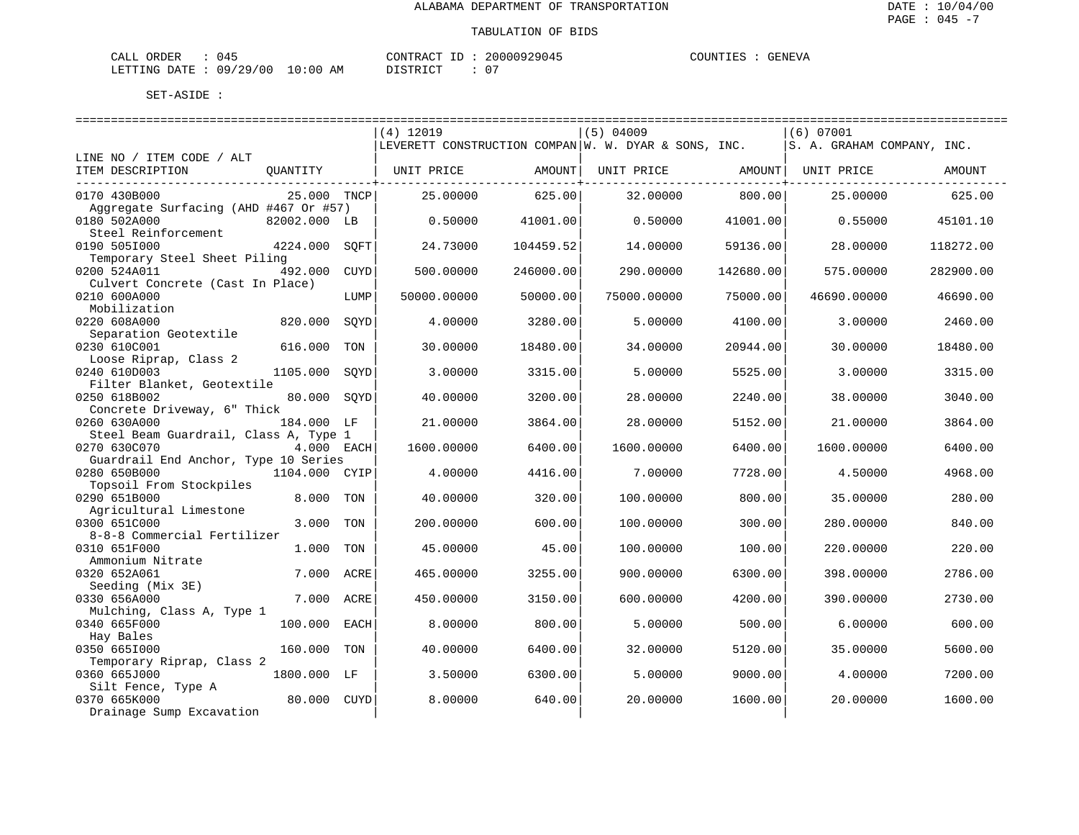| CALL ORDER                       | በ45 | CONTRACT ID : | 20000929045 | COUNTIES | GENEVA |
|----------------------------------|-----|---------------|-------------|----------|--------|
| LETTING DATE : 09/29/00 10:00 AM |     | DISTRICT      | 0.          |          |        |

|                                       |               |      | $(4)$ 12019 |           | $(5)$ 04009                                                              |                   | (6) 07001                  |           |
|---------------------------------------|---------------|------|-------------|-----------|--------------------------------------------------------------------------|-------------------|----------------------------|-----------|
|                                       |               |      |             |           | $\lfloor$ LEVERETT CONSTRUCTION COMPAN $\lfloor$ W. W. DYAR & SONS, INC. |                   | S. A. GRAHAM COMPANY, INC. |           |
| LINE NO / ITEM CODE / ALT             |               |      |             |           |                                                                          |                   |                            |           |
| ITEM DESCRIPTION                      | OUANTITY      |      | UNIT PRICE  | AMOUNT    | UNIT PRICE AMOUNT   UNIT PRICE                                           |                   |                            | AMOUNT    |
| ------------------------------        |               |      |             |           |                                                                          | ----------------+ |                            |           |
| 0170 430B000                          | 25.000 TNCP   |      | 25,00000    | 625.00    | 32,00000                                                                 | 800.00            | 25.00000                   | 625.00    |
| Aggregate Surfacing (AHD #467 Or #57) |               |      |             |           |                                                                          |                   |                            |           |
| 0180 502A000                          | 82002.000 LB  |      | 0.50000     | 41001.00  | 0.50000                                                                  | 41001.00          | 0.55000                    | 45101.10  |
| Steel Reinforcement                   |               |      |             |           |                                                                          |                   |                            |           |
| 0190 505I000                          | 4224.000      | SOFT | 24.73000    | 104459.52 | 14,00000                                                                 | 59136.00          | 28.00000                   | 118272.00 |
| Temporary Steel Sheet Piling          |               |      |             |           |                                                                          |                   |                            |           |
| 0200 524A011                          | 492.000       | CUYD | 500.00000   | 246000.00 | 290.00000                                                                | 142680.00         | 575.00000                  | 282900.00 |
| Culvert Concrete (Cast In Place)      |               |      |             |           |                                                                          |                   |                            |           |
| 0210 600A000                          |               | LUMP | 50000.00000 | 50000.00  | 75000.00000                                                              | 75000.00          | 46690.00000                | 46690.00  |
| Mobilization                          |               |      |             |           |                                                                          |                   |                            |           |
| 0220 608A000                          |               |      | 4.00000     |           | 5.00000                                                                  |                   |                            |           |
|                                       | 820.000       | SOYD |             | 3280.00   |                                                                          | 4100.00           | 3.00000                    | 2460.00   |
| Separation Geotextile                 |               |      |             |           |                                                                          |                   |                            |           |
| 0230 610C001                          | 616.000       | TON  | 30.00000    | 18480.00  | 34.00000                                                                 | 20944.00          | 30.00000                   | 18480.00  |
| Loose Riprap, Class 2                 |               |      |             |           |                                                                          |                   |                            |           |
| 0240 610D003                          | 1105.000      | SOYD | 3.00000     | 3315.00   | 5.00000                                                                  | 5525.00           | 3.00000                    | 3315.00   |
| Filter Blanket, Geotextile            |               |      |             |           |                                                                          |                   |                            |           |
| 0250 618B002                          | 80.000        | SOYD | 40.00000    | 3200.00   | 28.00000                                                                 | 2240.00           | 38.00000                   | 3040.00   |
| Concrete Driveway, 6" Thick           |               |      |             |           |                                                                          |                   |                            |           |
| 0260 630A000                          | 184.000 LF    |      | 21,00000    | 3864.00   | 28.00000                                                                 | 5152.00           | 21.00000                   | 3864.00   |
| Steel Beam Guardrail, Class A, Type 1 |               |      |             |           |                                                                          |                   |                            |           |
| 0270 630C070                          | 4.000 EACH    |      | 1600.00000  | 6400.00   | 1600.00000                                                               | 6400.00           | 1600.00000                 | 6400.00   |
| Guardrail End Anchor, Type 10 Series  |               |      |             |           |                                                                          |                   |                            |           |
| 0280 650B000                          | 1104.000 CYIP |      | 4.00000     | 4416.00   | 7.00000                                                                  | 7728.00           | 4.50000                    | 4968.00   |
| Topsoil From Stockpiles               |               |      |             |           |                                                                          |                   |                            |           |
| 0290 651B000                          | 8,000         | TON  | 40.00000    | 320.00    | 100.00000                                                                | 800.00            | 35.00000                   | 280.00    |
| Agricultural Limestone                |               |      |             |           |                                                                          |                   |                            |           |
| 0300 651C000                          | 3.000         | TON  | 200.00000   | 600.00    | 100.00000                                                                | 300.00            | 280.00000                  | 840.00    |
| 8-8-8 Commercial Fertilizer           |               |      |             |           |                                                                          |                   |                            |           |
| 0310 651F000                          | 1,000         | TON  | 45.00000    | 45.00     | 100.00000                                                                | 100.00            | 220.00000                  | 220.00    |
| Ammonium Nitrate                      |               |      |             |           |                                                                          |                   |                            |           |
| 0320 652A061                          | 7.000         | ACRE | 465.00000   | 3255.00   | 900.00000                                                                | 6300.00           | 398.00000                  | 2786.00   |
| Seeding (Mix 3E)                      |               |      |             |           |                                                                          |                   |                            |           |
| 0330 656A000                          | 7.000         | ACRE | 450.00000   | 3150.00   | 600.00000                                                                | 4200.00           | 390.00000                  | 2730.00   |
| Mulching, Class A, Type 1             |               |      |             |           |                                                                          |                   |                            |           |
| 0340 665F000                          | 100.000       | EACH | 8,00000     | 800.00    | 5.00000                                                                  | 500.00            | 6.00000                    | 600.00    |
| Hay Bales                             |               |      |             |           |                                                                          |                   |                            |           |
| 0350 6651000                          | 160.000       | TON  | 40.00000    | 6400.00   | 32.00000                                                                 | 5120.00           | 35.00000                   | 5600.00   |
| Temporary Riprap, Class 2             |               |      |             |           |                                                                          |                   |                            |           |
| 0360 665J000                          | 1800.000 LF   |      | 3.50000     | 6300.00   | 5.00000                                                                  | 9000.00           | 4.00000                    | 7200.00   |
| Silt Fence, Type A                    |               |      |             |           |                                                                          |                   |                            |           |
| 0370 665K000                          | 80,000        | CUYD | 8.00000     | 640.00    | 20.00000                                                                 | 1600.00           | 20.00000                   | 1600.00   |
| Drainage Sump Excavation              |               |      |             |           |                                                                          |                   |                            |           |
|                                       |               |      |             |           |                                                                          |                   |                            |           |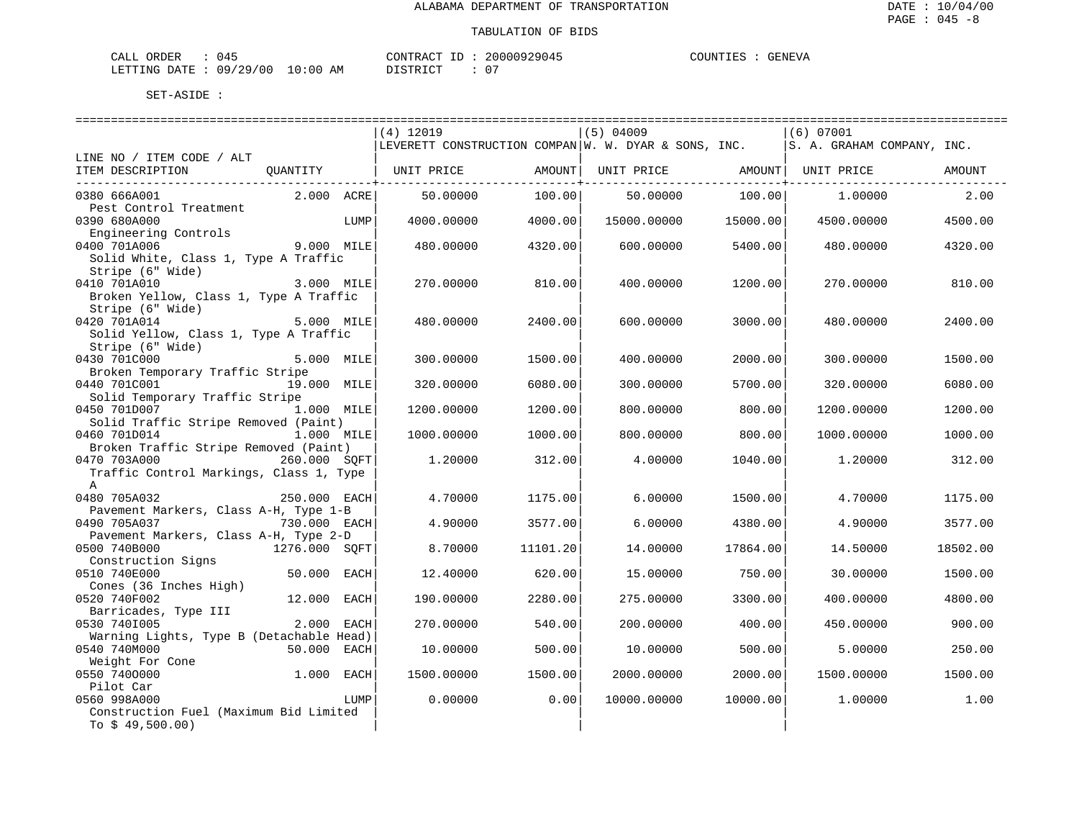| CALL ORDER                       | ባ45 | CONTRACT ID : | 20000929045 | COUNTIES | GENEVA |
|----------------------------------|-----|---------------|-------------|----------|--------|
| LETTING DATE : 09/29/00 10:00 AM |     | DISTRICT      | _ດ –        |          |        |

|                                                            |                  |      | $(4)$ 12019                                                              |          | $(5)$ 04009                                             |          | (6) 07001                  |          |
|------------------------------------------------------------|------------------|------|--------------------------------------------------------------------------|----------|---------------------------------------------------------|----------|----------------------------|----------|
|                                                            |                  |      | $\lfloor$ LEVERETT CONSTRUCTION COMPAN $\lfloor$ W. W. DYAR & SONS, INC. |          |                                                         |          | S. A. GRAHAM COMPANY, INC. |          |
| LINE NO / ITEM CODE / ALT                                  |                  |      |                                                                          |          |                                                         |          |                            |          |
| ITEM DESCRIPTION                                           |                  |      | QUANTITY   UNIT PRICE                                                    |          | AMOUNT   UNIT PRICE                 AMOUNT   UNIT PRICE |          |                            | AMOUNT   |
| 0380 666A001                                               | $2.000$ ACRE     |      | 50.00000                                                                 | 100.00   | 50.00000                                                | 100.00   | 1,00000                    | 2.00     |
| Pest Control Treatment                                     |                  |      |                                                                          |          |                                                         |          |                            |          |
| 0390 680A000                                               |                  | LUMP | 4000.00000                                                               | 4000.00  | 15000.00000                                             | 15000.00 | 4500.00000                 | 4500.00  |
| Engineering Controls                                       |                  |      |                                                                          |          |                                                         |          |                            |          |
| 0400 701A006                                               | 9.000 MILE       |      | 480.00000                                                                | 4320.00  | 600.00000                                               | 5400.00  | 480.00000                  | 4320.00  |
| Solid White, Class 1, Type A Traffic                       |                  |      |                                                                          |          |                                                         |          |                            |          |
| Stripe (6" Wide)                                           | .,<br>3.000 MILE |      |                                                                          |          |                                                         |          |                            |          |
| 0410 701A010                                               |                  |      | 270.00000                                                                | 810.00   | 400.00000                                               | 1200.00  | 270.00000                  | 810.00   |
| Broken Yellow, Class 1, Type A Traffic<br>Stripe (6" Wide) |                  |      |                                                                          |          |                                                         |          |                            |          |
| 0420 701A014                                               | 5.000 MILE       |      | 480.00000                                                                | 2400.00  | 600.00000                                               | 3000.00  | 480.00000                  | 2400.00  |
| Solid Yellow, Class 1, Type A Traffic                      |                  |      |                                                                          |          |                                                         |          |                            |          |
| Stripe (6" Wide)                                           |                  |      |                                                                          |          |                                                         |          |                            |          |
| 0430 701C000                                               | 5.000 MILE       |      | 300.00000                                                                | 1500.00  | 400.00000                                               | 2000.00  | 300.00000                  | 1500.00  |
| Broken Temporary Traffic Stripe                            |                  |      |                                                                          |          |                                                         |          |                            |          |
| 0440 701C001                                               | 19.000 MILE      |      | 320.00000                                                                | 6080.00  | 300.00000                                               | 5700.00  | 320,00000                  | 6080.00  |
| Solid Temporary Traffic Stripe                             |                  |      |                                                                          |          |                                                         |          |                            |          |
| 0450 701D007                                               | 1.000 MILE       |      | 1200.00000                                                               | 1200.00  | 800.00000                                               | 800.00   | 1200.00000                 | 1200.00  |
| Solid Traffic Stripe Removed (Paint)                       |                  |      |                                                                          |          |                                                         |          |                            |          |
| 0460 701D014                                               | 1.000 MILE       |      | 1000.00000                                                               | 1000.00  | 800.00000                                               | 800.00   | 1000.00000                 | 1000.00  |
| Broken Traffic Stripe Removed (Paint)                      |                  |      |                                                                          |          |                                                         |          |                            |          |
| 0470 703A000                                               | 260.000 SOFT     |      | 1,20000                                                                  | 312.00   | 4.00000                                                 | 1040.00  | 1.20000                    | 312.00   |
| Traffic Control Markings, Class 1, Type<br>$\mathsf{A}$    |                  |      |                                                                          |          |                                                         |          |                            |          |
| 0480 705A032                                               | 250.000 EACH     |      | 4.70000                                                                  | 1175.00  | 6.00000                                                 | 1500.00  | 4.70000                    | 1175.00  |
| Pavement Markers, Class A-H, Type 1-B                      |                  |      |                                                                          |          |                                                         |          |                            |          |
| 0490 705A037                                               | 730.000 EACH     |      | 4.90000                                                                  | 3577.00  | 6.00000                                                 | 4380.00  | 4.90000                    | 3577.00  |
| Pavement Markers, Class A-H, Type 2-D                      |                  |      |                                                                          |          |                                                         |          |                            |          |
| 0500 740B000                                               | 1276.000 SOFT    |      | 8.70000                                                                  | 11101.20 | 14.00000                                                | 17864.00 | 14.50000                   | 18502.00 |
| Construction Signs                                         |                  |      |                                                                          |          |                                                         |          |                            |          |
| 0510 740E000                                               | 50.000 EACH      |      | 12.40000                                                                 | 620.00   | 15.00000                                                | 750.00   | 30.00000                   | 1500.00  |
| Cones (36 Inches High)                                     |                  |      |                                                                          |          |                                                         |          |                            |          |
| 0520 740F002                                               | 12.000           | EACH | 190.00000                                                                | 2280.00  | 275.00000                                               | 3300.00  | 400.00000                  | 4800.00  |
| Barricades, Type III                                       |                  |      |                                                                          |          |                                                         |          |                            |          |
| 0530 7401005                                               | 2.000 EACH       |      | 270.00000                                                                | 540.00   | 200.00000                                               | 400.00   | 450.00000                  | 900.00   |
| Warning Lights, Type B (Detachable Head)                   |                  |      |                                                                          |          |                                                         |          |                            |          |
| 0540 740M000                                               | 50.000 EACH      |      | 10.00000                                                                 | 500.00   | 10.00000                                                | 500.00   | 5.00000                    | 250.00   |
| Weight For Cone<br>0550 7400000                            | 1.000 EACH       |      | 1500.00000                                                               | 1500.00  | 2000.00000                                              | 2000.00  | 1500.00000                 | 1500.00  |
| Pilot Car                                                  |                  |      |                                                                          |          |                                                         |          |                            |          |
| 0560 998A000                                               |                  | LUMP | 0.00000                                                                  | 0.00     | 10000.00000                                             | 10000.00 | 1.00000                    | 1.00     |
| Construction Fuel (Maximum Bid Limited                     |                  |      |                                                                          |          |                                                         |          |                            |          |
| To $$49,500.00)$                                           |                  |      |                                                                          |          |                                                         |          |                            |          |
|                                                            |                  |      |                                                                          |          |                                                         |          |                            |          |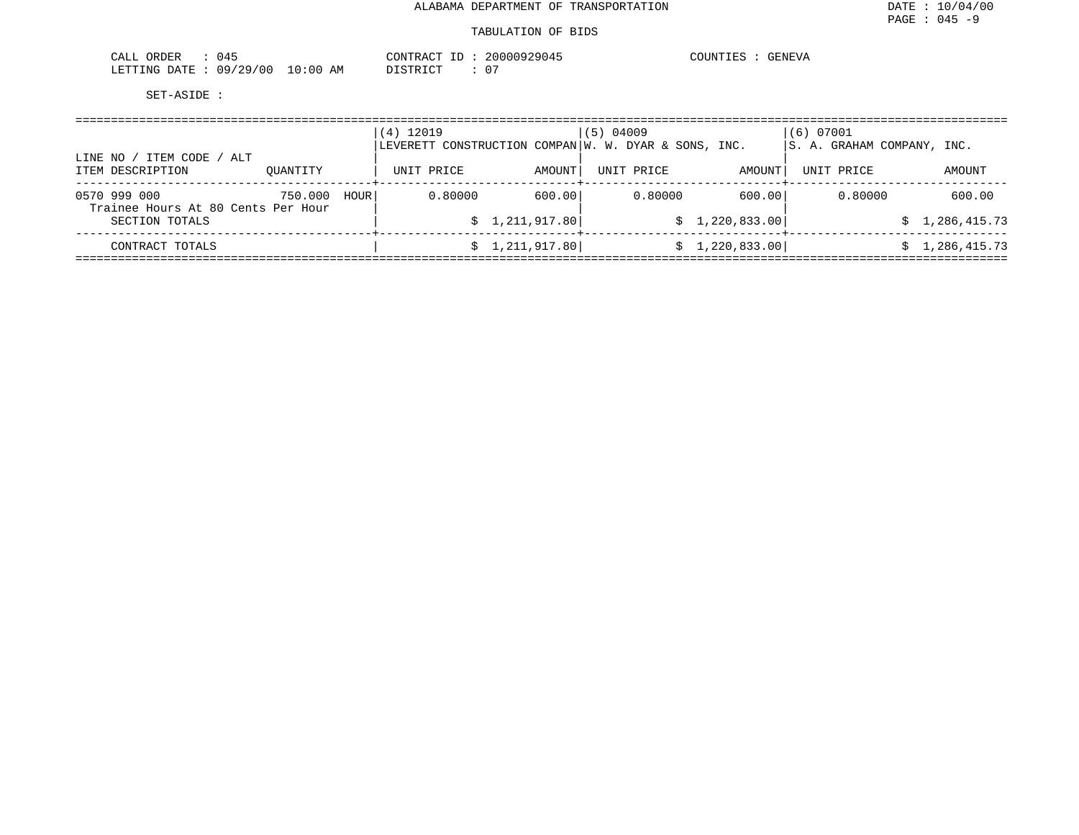| 045<br>ORDER<br>CALL     |            | CONTRACT<br>$\overline{\phantom{a}}$<br>– 1 L.U | 20000929045 | COUNTIES<br>GENEVA |
|--------------------------|------------|-------------------------------------------------|-------------|--------------------|
| 09/29/00<br>LETTING DATE | $10:00$ AM | די היה די הי                                    |             |                    |

| / ITEM CODE / ALT<br>LINE NO /                     |          |      | (4) 12019<br>LEVERETT CONSTRUCTION COMPAN W. W. DYAR & SONS, INC. |                | (5) 04009  |                | (6) 07001<br> S. A. GRAHAM COMPANY, INC. |                |
|----------------------------------------------------|----------|------|-------------------------------------------------------------------|----------------|------------|----------------|------------------------------------------|----------------|
| ITEM DESCRIPTION                                   | OUANTITY |      | UNIT PRICE                                                        | AMOUNT         | UNIT PRICE | AMOUNT         | UNIT PRICE                               | AMOUNT         |
| 0570 999 000<br>Trainee Hours At 80 Cents Per Hour | 750.000  | HOUR | 0.80000                                                           | 600.00         | 0.80000    | 600.00         | 0.80000                                  | 600.00         |
| SECTION TOTALS                                     |          |      |                                                                   | \$1,211,917.80 |            | \$1,220,833.00 |                                          | \$1,286,415.73 |
| CONTRACT TOTALS                                    |          |      |                                                                   | \$1,211,917.80 |            | 1,220,833.00   |                                          | 1,286,415.73   |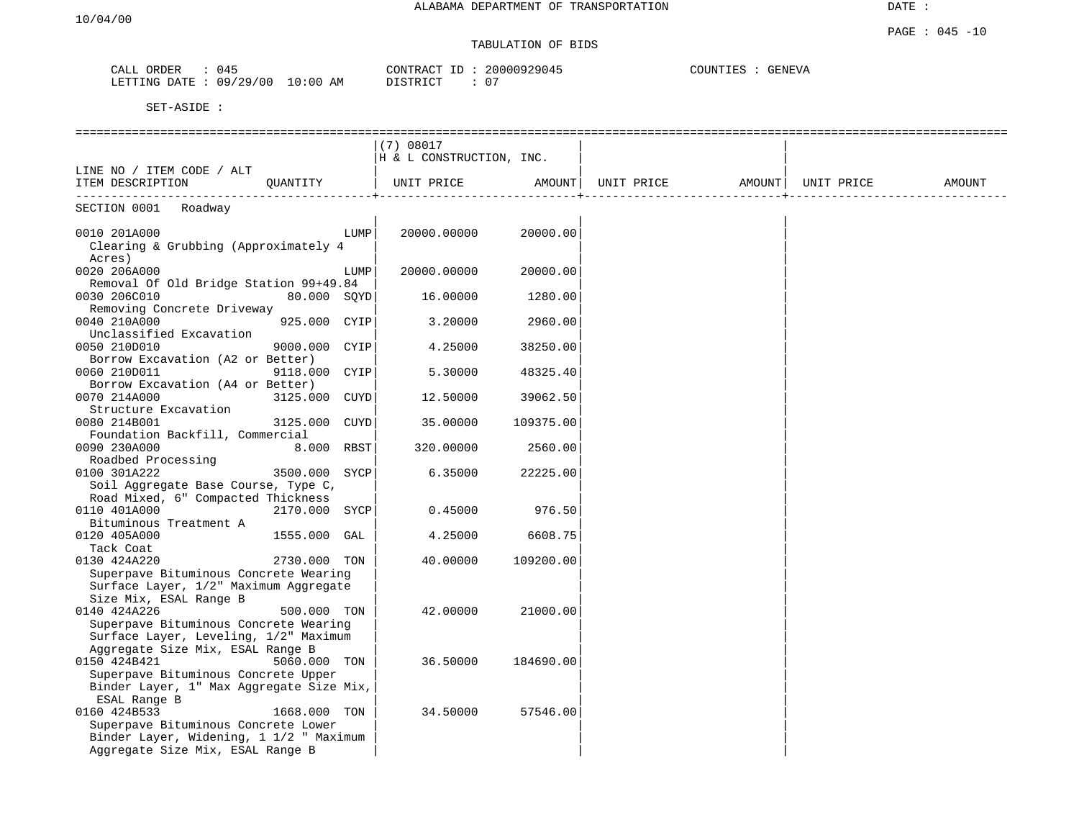| ORDER<br>CALL                   | 045 | CONTRACT ID | 20000929045 | COUNTIES<br>GENEVA |
|---------------------------------|-----|-------------|-------------|--------------------|
| LETTING DATE: 09/29/00 10:00 AM |     | DISTRICT    | 07          |                    |

|                                                                                |             | (7) 08017                |           |                   |            |        |
|--------------------------------------------------------------------------------|-------------|--------------------------|-----------|-------------------|------------|--------|
|                                                                                |             | H & L CONSTRUCTION, INC. |           |                   |            |        |
| LINE NO / ITEM CODE / ALT<br>ITEM DESCRIPTION QUANTITY                         |             | UNIT PRICE AMOUNT        |           | UNIT PRICE AMOUNT | UNIT PRICE | AMOUNT |
|                                                                                |             |                          |           |                   |            |        |
| SECTION 0001 Roadway                                                           |             |                          |           |                   |            |        |
| 0010 201A000<br>Clearing & Grubbing (Approximately 4                           | LUMP        | 20000.00000              | 20000.00  |                   |            |        |
| Acres)                                                                         |             |                          |           |                   |            |        |
| 0020 206A000                                                                   | LUMP        | 20000.00000              | 20000.00  |                   |            |        |
| Removal Of Old Bridge Station 99+49.84                                         |             |                          |           |                   |            |        |
| 0030 206C010                                                                   | 80.000 SOYD | 16.00000                 | 1280.00   |                   |            |        |
| Removing Concrete Driveway                                                     |             |                          |           |                   |            |        |
| 0040 210A000<br>925.000 CYIP <br>Unclassified Excavation                       |             | 3.20000                  | 2960.00   |                   |            |        |
| 9000.000 CYIP<br>0050 210D010                                                  |             | 4.25000                  | 38250.00  |                   |            |        |
| Borrow Excavation (A2 or Better)                                               |             |                          |           |                   |            |        |
| 0060 210D011<br>9118.000 CYIP                                                  |             | 5.30000                  | 48325.40  |                   |            |        |
| Borrow Excavation (A4 or Better)                                               |             |                          |           |                   |            |        |
| 0070 214A000<br>3125.000 CUYD                                                  |             | 12.50000                 | 39062.50  |                   |            |        |
| Structure Excavation                                                           |             |                          |           |                   |            |        |
| 0080 214B001<br>3125.000 CUYD                                                  |             | 35.00000                 | 109375.00 |                   |            |        |
| Foundation Backfill, Commercial                                                |             |                          |           |                   |            |        |
| 8.000 RBST<br>0090 230A000<br>Roadbed Processing                               |             | 320.00000                | 2560.00   |                   |            |        |
| 0100 301A222<br>3500.000 SYCP                                                  |             | 6.35000                  | 22225.00  |                   |            |        |
| Soil Aggregate Base Course, Type C,                                            |             |                          |           |                   |            |        |
| Road Mixed, 6" Compacted Thickness                                             |             |                          |           |                   |            |        |
| 0110 401A000<br>2170.000 SYCP                                                  |             | 0.45000                  | 976.50    |                   |            |        |
| Bituminous Treatment A                                                         |             |                          |           |                   |            |        |
| 0120 405A000<br>1555.000 GAL                                                   |             | 4.25000                  | 6608.75   |                   |            |        |
| Tack Coat                                                                      |             |                          |           |                   |            |        |
| 0130 424A220<br>2730.000 TON                                                   |             | 40.00000                 | 109200.00 |                   |            |        |
| Superpave Bituminous Concrete Wearing<br>Surface Layer, 1/2" Maximum Aggregate |             |                          |           |                   |            |        |
| Size Mix, ESAL Range B                                                         |             |                          |           |                   |            |        |
| 0140 424A226                                                                   | 500.000 TON | 42.00000                 | 21000.00  |                   |            |        |
| Superpave Bituminous Concrete Wearing                                          |             |                          |           |                   |            |        |
| Surface Layer, Leveling, 1/2" Maximum                                          |             |                          |           |                   |            |        |
| Aggregate Size Mix, ESAL Range B                                               |             |                          |           |                   |            |        |
| 0150 424B421<br>5060.000 TON                                                   |             | 36.50000                 | 184690.00 |                   |            |        |
| Superpave Bituminous Concrete Upper                                            |             |                          |           |                   |            |        |
| Binder Layer, 1" Max Aggregate Size Mix,<br>ESAL Range B                       |             |                          |           |                   |            |        |
| 0160 424B533<br>1668.000 TON                                                   |             | 34.50000                 | 57546.00  |                   |            |        |
| Superpave Bituminous Concrete Lower                                            |             |                          |           |                   |            |        |
| Binder Layer, Widening, 1 1/2 " Maximum                                        |             |                          |           |                   |            |        |
| Aggregate Size Mix, ESAL Range B                                               |             |                          |           |                   |            |        |
|                                                                                |             |                          |           |                   |            |        |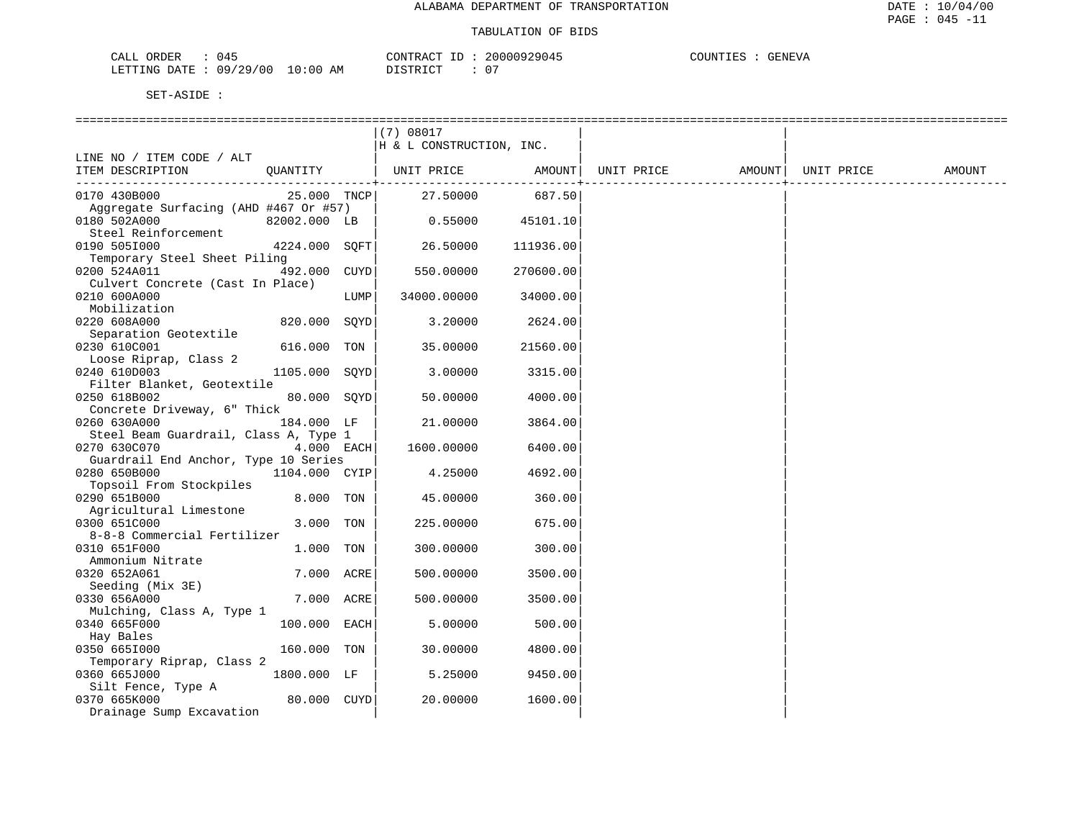| CALL ORDER |  | 045 |                                 | CONTRACT ID: | 20000929045 | COUNTIES | GENEVA |
|------------|--|-----|---------------------------------|--------------|-------------|----------|--------|
|            |  |     | LETTING DATE: 09/29/00 10:00 AM | DISTRICT     | 07          |          |        |

| (7) 08017<br> H & L CONSTRUCTION, INC.<br>LINE NO / ITEM CODE / ALT<br>ITEM DESCRIPTION<br>QUANTITY   UNIT PRICE<br>AMOUNT<br>UNIT PRICE AMOUNT<br>UNIT PRICE<br>AMOUNT<br>----------------<br>687.50<br>25.000 TNCP<br>0170 430B000<br>27.50000<br>Aggregate Surfacing (AHD #467 Or #57)<br>0180 502A000<br>82002.000 LB<br>0.55000<br>45101.10<br>Steel Reinforcement<br>0190 5051000<br>4224.000 SQFT<br>26.50000<br>111936.00<br>Temporary Steel Sheet Piling<br>0200 524A011<br>492.000<br>CUYD<br>550.00000<br>270600.00<br>Culvert Concrete (Cast In Place)<br>0210 600A000<br>34000.00<br>LUMP<br>34000.00000<br>Mobilization<br>0220 608A000<br>820.000 SQYD<br>3.20000<br>2624.00<br>Separation Geotextile |
|----------------------------------------------------------------------------------------------------------------------------------------------------------------------------------------------------------------------------------------------------------------------------------------------------------------------------------------------------------------------------------------------------------------------------------------------------------------------------------------------------------------------------------------------------------------------------------------------------------------------------------------------------------------------------------------------------------------------|
|                                                                                                                                                                                                                                                                                                                                                                                                                                                                                                                                                                                                                                                                                                                      |
|                                                                                                                                                                                                                                                                                                                                                                                                                                                                                                                                                                                                                                                                                                                      |
|                                                                                                                                                                                                                                                                                                                                                                                                                                                                                                                                                                                                                                                                                                                      |
|                                                                                                                                                                                                                                                                                                                                                                                                                                                                                                                                                                                                                                                                                                                      |
|                                                                                                                                                                                                                                                                                                                                                                                                                                                                                                                                                                                                                                                                                                                      |
|                                                                                                                                                                                                                                                                                                                                                                                                                                                                                                                                                                                                                                                                                                                      |
|                                                                                                                                                                                                                                                                                                                                                                                                                                                                                                                                                                                                                                                                                                                      |
|                                                                                                                                                                                                                                                                                                                                                                                                                                                                                                                                                                                                                                                                                                                      |
|                                                                                                                                                                                                                                                                                                                                                                                                                                                                                                                                                                                                                                                                                                                      |
|                                                                                                                                                                                                                                                                                                                                                                                                                                                                                                                                                                                                                                                                                                                      |
|                                                                                                                                                                                                                                                                                                                                                                                                                                                                                                                                                                                                                                                                                                                      |
|                                                                                                                                                                                                                                                                                                                                                                                                                                                                                                                                                                                                                                                                                                                      |
|                                                                                                                                                                                                                                                                                                                                                                                                                                                                                                                                                                                                                                                                                                                      |
|                                                                                                                                                                                                                                                                                                                                                                                                                                                                                                                                                                                                                                                                                                                      |
|                                                                                                                                                                                                                                                                                                                                                                                                                                                                                                                                                                                                                                                                                                                      |
| 0230 610C001<br>616.000 TON<br>35.00000<br>21560.00                                                                                                                                                                                                                                                                                                                                                                                                                                                                                                                                                                                                                                                                  |
| Loose Riprap, Class 2                                                                                                                                                                                                                                                                                                                                                                                                                                                                                                                                                                                                                                                                                                |
| 0240 610D003<br>1105.000 SOYD<br>3.00000<br>3315.00                                                                                                                                                                                                                                                                                                                                                                                                                                                                                                                                                                                                                                                                  |
| Filter Blanket, Geotextile                                                                                                                                                                                                                                                                                                                                                                                                                                                                                                                                                                                                                                                                                           |
| 0250 618B002<br>80.000 SQYD<br>50.00000<br>4000.00                                                                                                                                                                                                                                                                                                                                                                                                                                                                                                                                                                                                                                                                   |
| Concrete Driveway, 6" Thick                                                                                                                                                                                                                                                                                                                                                                                                                                                                                                                                                                                                                                                                                          |
| 0260 630A000<br>184.000 LF<br>21.00000<br>3864.00                                                                                                                                                                                                                                                                                                                                                                                                                                                                                                                                                                                                                                                                    |
| Steel Beam Guardrail, Class A, Type 1                                                                                                                                                                                                                                                                                                                                                                                                                                                                                                                                                                                                                                                                                |
| 0270 630C070<br>4.000 EACH<br>1600.00000<br>6400.00                                                                                                                                                                                                                                                                                                                                                                                                                                                                                                                                                                                                                                                                  |
| Guardrail End Anchor, Type 10 Series                                                                                                                                                                                                                                                                                                                                                                                                                                                                                                                                                                                                                                                                                 |
| 0280 650B000<br>1104.000 CYIP<br>4.25000<br>4692.00                                                                                                                                                                                                                                                                                                                                                                                                                                                                                                                                                                                                                                                                  |
| Topsoil From Stockpiles                                                                                                                                                                                                                                                                                                                                                                                                                                                                                                                                                                                                                                                                                              |
| 0290 651B000<br>8.000 TON<br>45.00000<br>360.00                                                                                                                                                                                                                                                                                                                                                                                                                                                                                                                                                                                                                                                                      |
| Agricultural Limestone                                                                                                                                                                                                                                                                                                                                                                                                                                                                                                                                                                                                                                                                                               |
| 3.000 TON<br>675.00<br>0300 651C000<br>225.00000                                                                                                                                                                                                                                                                                                                                                                                                                                                                                                                                                                                                                                                                     |
| 8-8-8 Commercial Fertilizer                                                                                                                                                                                                                                                                                                                                                                                                                                                                                                                                                                                                                                                                                          |
| 0310 651F000<br>1.000 TON<br>300.00000<br>300.00<br>Ammonium Nitrate                                                                                                                                                                                                                                                                                                                                                                                                                                                                                                                                                                                                                                                 |
| 7.000 ACRE<br>0320 652A061<br>500.00000<br>3500.00                                                                                                                                                                                                                                                                                                                                                                                                                                                                                                                                                                                                                                                                   |
| Seeding (Mix 3E)                                                                                                                                                                                                                                                                                                                                                                                                                                                                                                                                                                                                                                                                                                     |
| 0330 656A000<br>7.000 ACRE<br>500.00000<br>3500.00                                                                                                                                                                                                                                                                                                                                                                                                                                                                                                                                                                                                                                                                   |
| Mulching, Class A, Type 1                                                                                                                                                                                                                                                                                                                                                                                                                                                                                                                                                                                                                                                                                            |
| 0340 665F000<br>100.000 EACH<br>500.00<br>5.00000                                                                                                                                                                                                                                                                                                                                                                                                                                                                                                                                                                                                                                                                    |
| Hay Bales                                                                                                                                                                                                                                                                                                                                                                                                                                                                                                                                                                                                                                                                                                            |
| 0350 6651000<br>160.000 TON<br>30.00000<br>4800.00                                                                                                                                                                                                                                                                                                                                                                                                                                                                                                                                                                                                                                                                   |
| Temporary Riprap, Class 2                                                                                                                                                                                                                                                                                                                                                                                                                                                                                                                                                                                                                                                                                            |
| 0360 665J000<br>1800.000 LF<br>5.25000<br>9450.00                                                                                                                                                                                                                                                                                                                                                                                                                                                                                                                                                                                                                                                                    |
| Silt Fence, Type A                                                                                                                                                                                                                                                                                                                                                                                                                                                                                                                                                                                                                                                                                                   |
| 80.000 CUYD<br>20.00000<br>1600.00<br>0370 665K000                                                                                                                                                                                                                                                                                                                                                                                                                                                                                                                                                                                                                                                                   |
| Drainage Sump Excavation                                                                                                                                                                                                                                                                                                                                                                                                                                                                                                                                                                                                                                                                                             |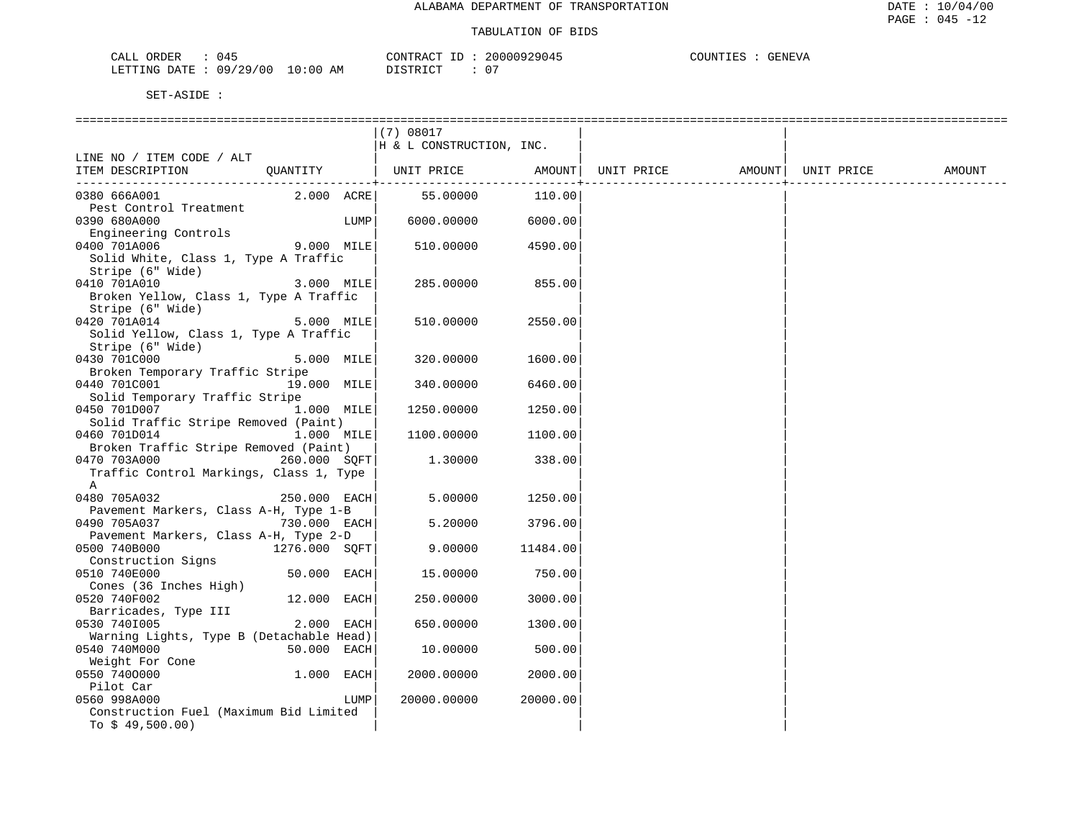| 045<br>CALL ORDER                |          | CONTRACT ID: 20000929045 | COUNTIES : GENEVA |  |
|----------------------------------|----------|--------------------------|-------------------|--|
| LETTING DATE : 09/29/00 10:00 AM | DISTRICT |                          |                   |  |

|                                                                                |                |      | (7) 08017                |          |                     |        |
|--------------------------------------------------------------------------------|----------------|------|--------------------------|----------|---------------------|--------|
|                                                                                |                |      | H & L CONSTRUCTION, INC. |          |                     |        |
| LINE NO / ITEM CODE / ALT                                                      |                |      |                          |          |                     |        |
| ITEM DESCRIPTION QUANTITY   UNIT PRICE AMOUNT   UNIT PRICE AMOUNT   UNIT PRICE |                |      |                          |          | ------------------- | AMOUNT |
| 0380 666A001                                                                   |                |      | 2.000 ACRE 55.00000      | 110.00   |                     |        |
| Pest Control Treatment                                                         |                |      |                          |          |                     |        |
| 0390 680A000                                                                   |                |      | LUMP 6000.00000          | 6000.00  |                     |        |
| Engineering Controls                                                           |                |      |                          |          |                     |        |
| 0400 701A006                                                                   | $9.000$ MILE   |      | 510.00000                | 4590.00  |                     |        |
| Solid White, Class 1, Type A Traffic                                           |                |      |                          |          |                     |        |
| Stripe (6" Wide)                                                               |                |      |                          |          |                     |        |
| 0410 701A010                                                                   | 3.000 MILE     |      | 285.00000                | 855.00   |                     |        |
| Broken Yellow, Class 1, Type A Traffic                                         |                |      |                          |          |                     |        |
| Stripe (6" Wide)                                                               |                |      |                          |          |                     |        |
| 0420 701A014                                                                   | $5.000$ MILE   |      | 510.00000                | 2550.00  |                     |        |
| Solid Yellow, Class 1, Type A Traffic                                          |                |      |                          |          |                     |        |
| Stripe (6" Wide)                                                               |                |      |                          |          |                     |        |
| 0430 701C000                                                                   | 5.000 MILE     |      | 320.00000                | 1600.001 |                     |        |
| Broken Temporary Traffic Stripe                                                |                |      |                          |          |                     |        |
| 0440 701C001                                                                   | 19.000 MILE    |      | 340.00000                | 6460.00  |                     |        |
| Solid Temporary Traffic Stripe                                                 |                |      |                          |          |                     |        |
| 0450 701D007                                                                   | 1.000 MILE     |      | 1250.00000               | 1250.00  |                     |        |
| Solid Traffic Stripe Removed (Paint)                                           |                |      |                          |          |                     |        |
| 0460 701D014                                                                   | 1.000 MILE     |      | 1100.00000               | 1100.00  |                     |        |
| Broken Traffic Stripe Removed (Paint)                                          |                |      |                          |          |                     |        |
| 0470 703A000                                                                   | 260.000 SOFT   |      | 1.30000                  | 338.00   |                     |        |
| Traffic Control Markings, Class 1, Type                                        |                |      |                          |          |                     |        |
| A                                                                              |                |      |                          |          |                     |        |
| 0480 705A032                                                                   | 250.000 EACH   |      | 5.00000                  | 1250.00  |                     |        |
| Pavement Markers, Class A-H, Type 1-B                                          |                |      |                          |          |                     |        |
| 0490 705A037                                                                   | $730.000$ EACH |      | 5.20000                  | 3796.00  |                     |        |
| Pavement Markers, Class A-H, Type 2-D                                          | 1276.000 SOFT  |      |                          |          |                     |        |
| 0500 740B000<br>Construction Signs                                             |                |      | 9.00000                  | 11484.00 |                     |        |
| 0510 740E000                                                                   | 50.000 EACH    |      | 15.00000                 | 750.00   |                     |        |
| Cones (36 Inches High)                                                         |                |      |                          |          |                     |        |
| 0520 740F002                                                                   | 12.000 EACH    |      | 250.00000                | 3000.00  |                     |        |
| Barricades, Type III                                                           |                |      |                          |          |                     |        |
| 0530 7401005                                                                   | 2.000 EACH     |      | 650.00000                | 1300.00  |                     |        |
| Warning Lights, Type B (Detachable Head)                                       |                |      |                          |          |                     |        |
| 0540 740M000                                                                   | 50.000 EACH    |      | 10.00000                 | 500.00   |                     |        |
| Weight For Cone                                                                |                |      |                          |          |                     |        |
| 0550 7400000                                                                   | $1.000$ EACH   |      | 2000.00000               | 2000.00  |                     |        |
| Pilot Car                                                                      |                |      |                          |          |                     |        |
| 0560 998A000                                                                   |                | LUMP | 20000.00000              | 20000.00 |                     |        |
| Construction Fuel (Maximum Bid Limited                                         |                |      |                          |          |                     |        |
| To $$49,500.00)$                                                               |                |      |                          |          |                     |        |
|                                                                                |                |      |                          |          |                     |        |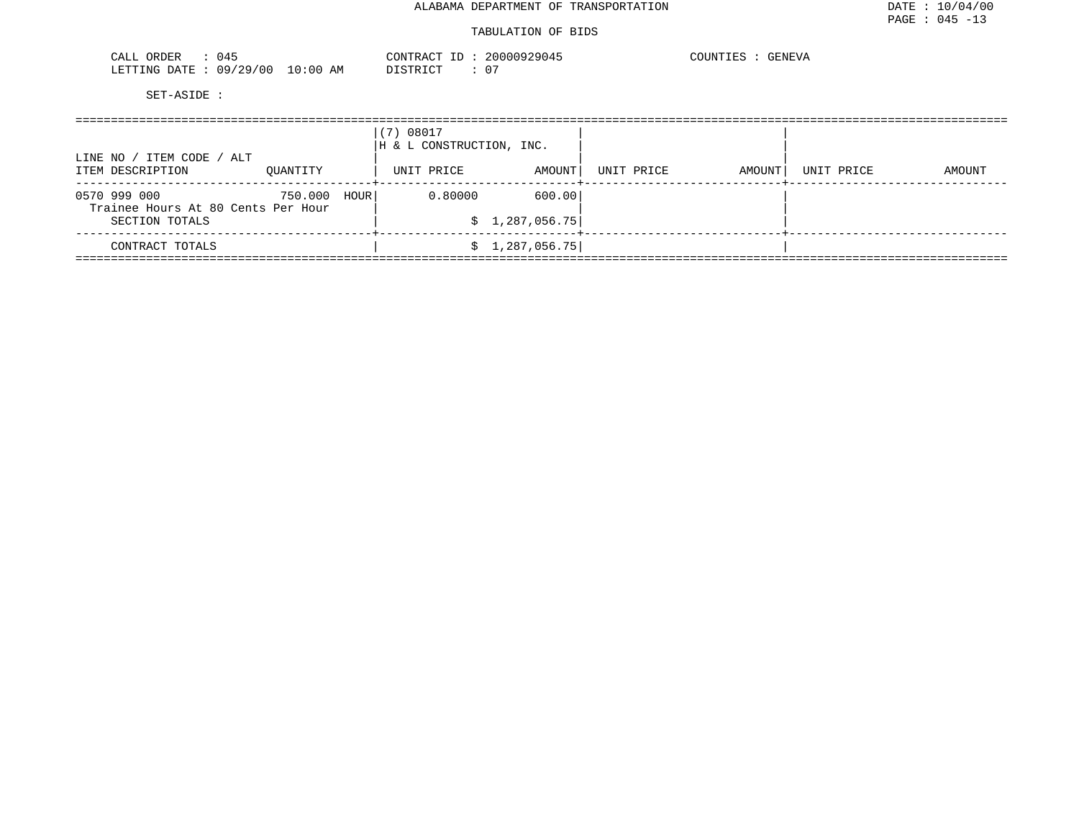| ORDER<br>$\sim$ $ -$<br>-'ALI<br>14'<br>.           |           | ידים אידי ארי         | 20000929045        | GENEVA<br>TNET. |
|-----------------------------------------------------|-----------|-----------------------|--------------------|-----------------|
| $\sqrt{2}$<br>، ۱۵<br>700<br>LETTING<br>JATF<br>, u | AΜ<br>÷00 | ⊤ ∩π<br>. די אידיפידי | $\sim$ $\sim$<br>ັ |                 |

| LINE NO / ITEM CODE / ALT                          |          |      | (7) 08017<br> H & L CONSTRUCTION, INC. |                 |            |        |            |        |
|----------------------------------------------------|----------|------|----------------------------------------|-----------------|------------|--------|------------|--------|
| ITEM DESCRIPTION                                   | OUANTITY |      | UNIT PRICE                             | AMOUNT          | UNIT PRICE | AMOUNT | UNIT PRICE | AMOUNT |
| 0570 999 000<br>Trainee Hours At 80 Cents Per Hour | 750.000  | HOUR | 0.80000                                | 600.00          |            |        |            |        |
| SECTION TOTALS                                     |          |      |                                        | \$1,287,056.75] |            |        |            |        |
| CONTRACT TOTALS                                    |          |      |                                        | \$1,287,056.75] |            |        |            |        |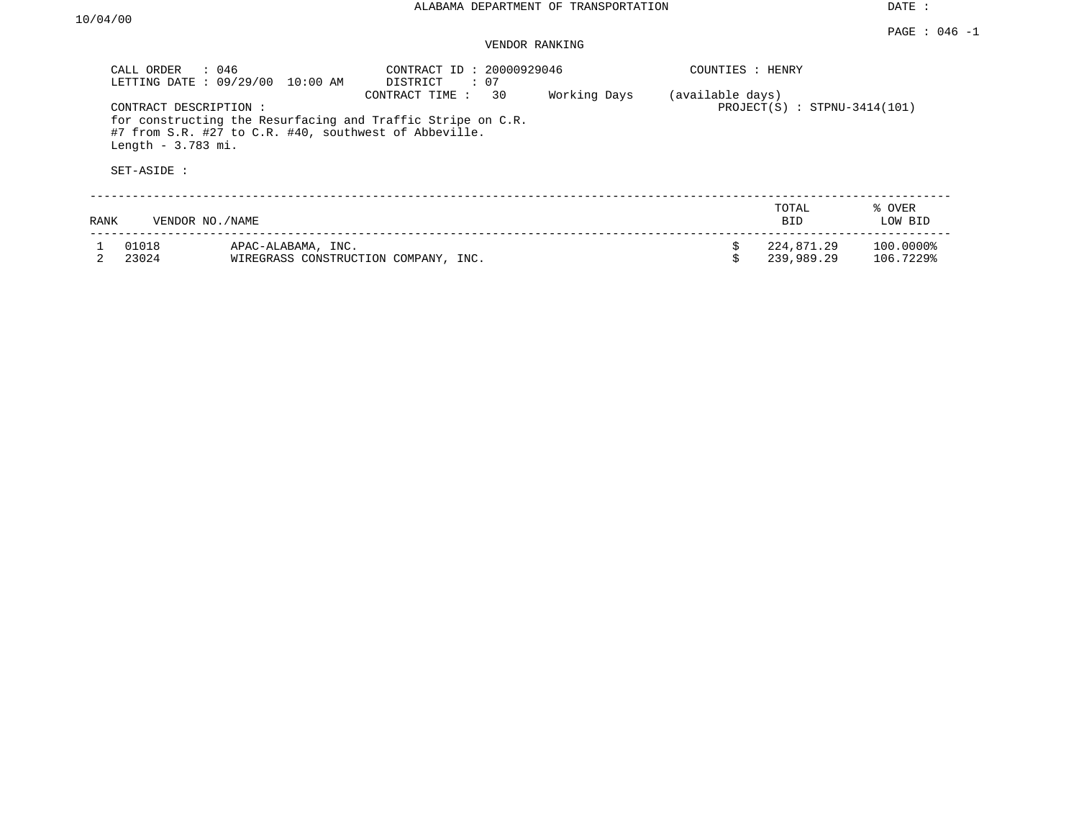DATE :

## VENDOR RANKING

| CALL ORDER          | $\therefore$ 046<br>LETTING DATE : 09/29/00<br>10:00 AM                                                                                       | CONTRACT ID: 20000929046<br>DISTRICT<br>: 07 |              | COUNTIES : HENRY |                                |                        |
|---------------------|-----------------------------------------------------------------------------------------------------------------------------------------------|----------------------------------------------|--------------|------------------|--------------------------------|------------------------|
| Length $-3.783$ mi. | CONTRACT DESCRIPTION:<br>for constructing the Resurfacing and Traffic Stripe on C.R.<br>#7 from S.R. #27 to C.R. #40, southwest of Abbeville. | 30<br>CONTRACT TIME:                         | Working Days | (available days) | $PROJECT(S)$ : STPNU-3414(101) |                        |
| SET-ASIDE :         |                                                                                                                                               |                                              |              |                  |                                |                        |
| RANK                | VENDOR NO./NAME                                                                                                                               |                                              |              |                  | TOTAL<br>BID.                  | % OVER<br>LOW BID      |
| 01018<br>23024      | APAC-ALABAMA, INC.<br>WIREGRASS CONSTRUCTION COMPANY, INC.                                                                                    |                                              |              |                  | 224,871.29<br>239,989.29       | 100.0000%<br>106.7229% |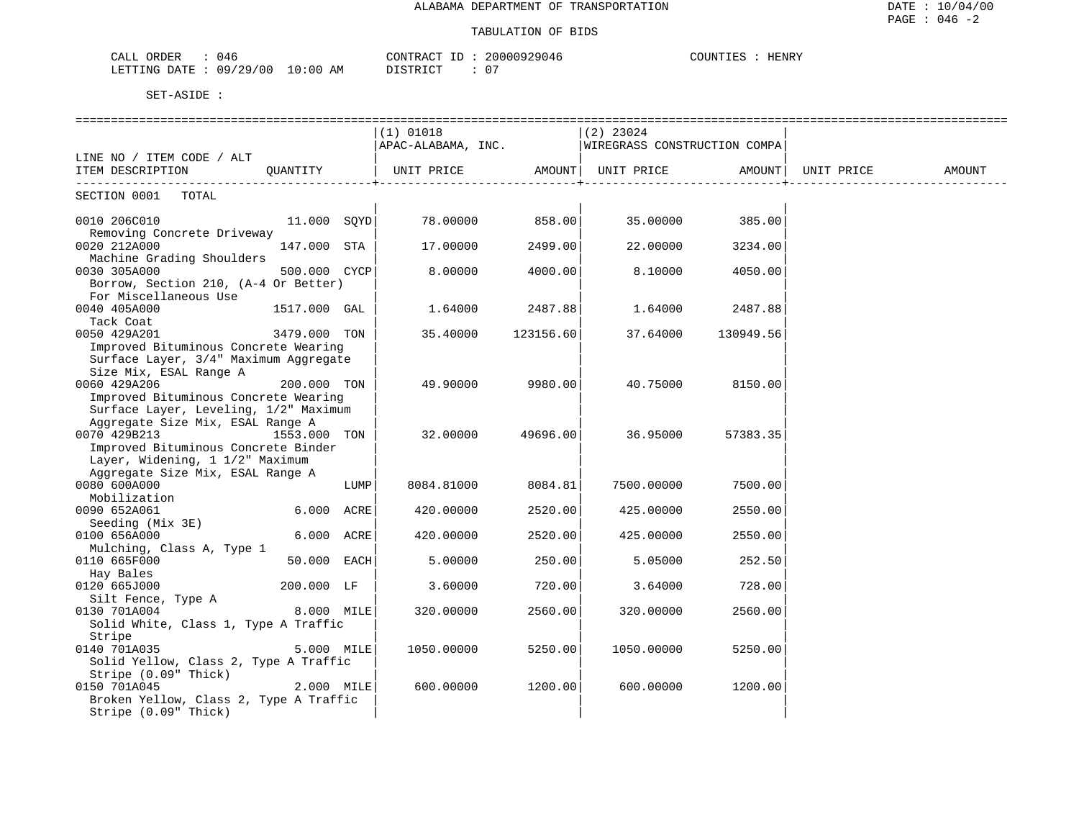| CALL<br>ORDER | 746      |             | CONTRACT<br>ח ד  | 20000929046                   | COUNTIES | HENRY |
|---------------|----------|-------------|------------------|-------------------------------|----------|-------|
| LETTING DATE  | 09/29/00 | 10:00<br>AM | $\ldots$ CTR TOT | $\sim$ $\sim$<br>$\mathbf{v}$ |          |       |

|                                        |              |      | (1) 01018                     |           | (2) 23024                    |                 |            |        |
|----------------------------------------|--------------|------|-------------------------------|-----------|------------------------------|-----------------|------------|--------|
|                                        |              |      | APAC-ALABAMA, INC.            |           | WIREGRASS CONSTRUCTION COMPA |                 |            |        |
| LINE NO / ITEM CODE / ALT              |              |      |                               |           |                              |                 |            |        |
| ITEM DESCRIPTION                       | QUANTITY     |      | UNIT PRICE AMOUNT  UNIT PRICE |           |                              | AMOUNT          | UNIT PRICE | AMOUNT |
| SECTION 0001 TOTAL                     |              |      |                               |           |                              |                 |            |        |
|                                        |              |      |                               |           |                              |                 |            |        |
| 0010 206C010                           | 11.000 SQYD  |      | 78.00000 858.00               |           |                              | 35.00000 385.00 |            |        |
| Removing Concrete Driveway             |              |      |                               |           |                              |                 |            |        |
| 0020 212A000                           | 147.000 STA  |      | 17.00000                      | 2499.00   | 22.00000                     | 3234.00         |            |        |
| Machine Grading Shoulders              |              |      |                               |           |                              |                 |            |        |
| 0030 305A000                           | 500.000 CYCP |      | 8,00000                       | 4000.00   | 8.10000                      | 4050.00         |            |        |
| Borrow, Section 210, (A-4 Or Better)   |              |      |                               |           |                              |                 |            |        |
| For Miscellaneous Use                  |              |      |                               |           |                              |                 |            |        |
| 0040 405A000                           | 1517.000 GAL |      | 1.64000                       | 2487.88   | 1.64000                      | 2487.88         |            |        |
| Tack Coat                              |              |      |                               |           |                              |                 |            |        |
| 0050 429A201                           | 3479.000 TON |      | 35.40000                      | 123156.60 | 37.64000                     | 130949.56       |            |        |
| Improved Bituminous Concrete Wearing   |              |      |                               |           |                              |                 |            |        |
| Surface Layer, 3/4" Maximum Aggregate  |              |      |                               |           |                              |                 |            |        |
| Size Mix, ESAL Range A                 |              |      |                               |           |                              |                 |            |        |
| 0060 429A206                           | 200.000 TON  |      | 49.90000                      | 9980.00   | 40.75000                     | 8150.00         |            |        |
| Improved Bituminous Concrete Wearing   |              |      |                               |           |                              |                 |            |        |
| Surface Layer, Leveling, 1/2" Maximum  |              |      |                               |           |                              |                 |            |        |
| Aggregate Size Mix, ESAL Range A       |              |      |                               |           |                              |                 |            |        |
| 0070 429B213                           | 1553.000 TON |      | 32.00000                      | 49696.00  | 36.95000                     | 57383.35        |            |        |
| Improved Bituminous Concrete Binder    |              |      |                               |           |                              |                 |            |        |
| Layer, Widening, 1 1/2" Maximum        |              |      |                               |           |                              |                 |            |        |
| Aggregate Size Mix, ESAL Range A       |              |      |                               |           |                              |                 |            |        |
| 0080 600A000                           |              | LUMP | 8084.81000                    | 8084.81   | 7500.00000                   | 7500.00         |            |        |
| Mobilization                           |              |      |                               |           |                              |                 |            |        |
| 0090 652A061                           | 6.000 ACRE   |      | 420.00000                     | 2520.00   | 425.00000                    | 2550.00         |            |        |
| Seeding (Mix 3E)                       |              |      |                               |           |                              |                 |            |        |
| 0100 656A000                           | 6.000 ACRE   |      | 420.00000                     | 2520.00   | 425.00000                    | 2550.00         |            |        |
| Mulching, Class A, Type 1              |              |      |                               |           |                              |                 |            |        |
| 0110 665F000                           | 50.000 EACH  |      | 5.00000                       | 250.00    | 5.05000                      | 252.50          |            |        |
| Hay Bales                              |              |      |                               |           |                              |                 |            |        |
| 0120 665J000                           | 200.000 LF   |      | 3.60000                       | 720.00    | 3.64000                      | 728.00          |            |        |
| Silt Fence, Type A                     |              |      |                               |           |                              |                 |            |        |
| 0130 701A004                           | 8.000 MILE   |      | 320.00000                     | 2560.00   | 320.00000                    | 2560.00         |            |        |
| Solid White, Class 1, Type A Traffic   |              |      |                               |           |                              |                 |            |        |
| Stripe                                 |              |      |                               |           |                              |                 |            |        |
| 0140 701A035                           | 5.000 MILE   |      | 1050.00000                    | 5250.00   | 1050.00000                   | 5250.00         |            |        |
| Solid Yellow, Class 2, Type A Traffic  |              |      |                               |           |                              |                 |            |        |
| Stripe (0.09" Thick)                   |              |      |                               |           |                              |                 |            |        |
| 0150 701A045                           | $2.000$ MILE |      | 600.00000                     | 1200.00   | 600.00000                    | 1200.00         |            |        |
| Broken Yellow, Class 2, Type A Traffic |              |      |                               |           |                              |                 |            |        |
| Stripe (0.09" Thick)                   |              |      |                               |           |                              |                 |            |        |
|                                        |              |      |                               |           |                              |                 |            |        |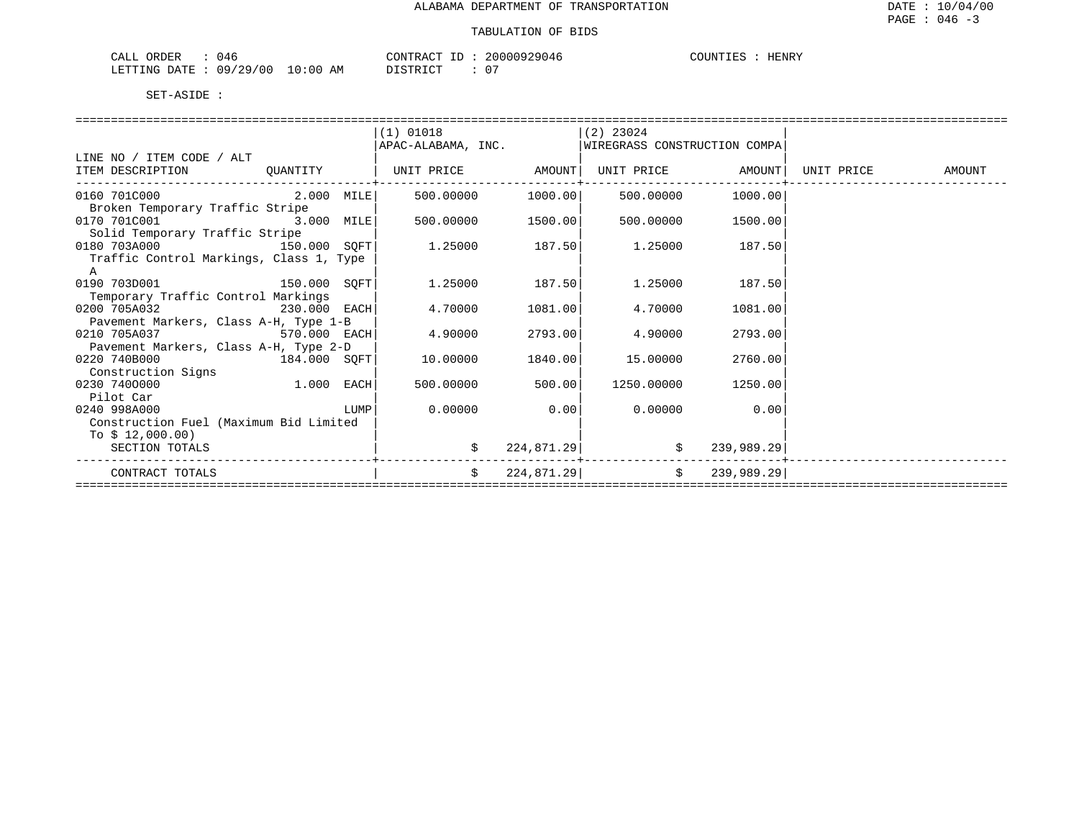| CALL ORDER<br>046               | CONTRACT<br>ID | 20000929046 | COUNTIES | HENRY |  |
|---------------------------------|----------------|-------------|----------|-------|--|
| LETTING DATE: 09/29/00 10:00 AM | DISTRICT       | $\cap$      |          |       |  |

|                                         |              |      | $(1)$ 01018                                                   |            | $(2)$ 23024                  |                   |  |
|-----------------------------------------|--------------|------|---------------------------------------------------------------|------------|------------------------------|-------------------|--|
|                                         |              |      | APAC-ALABAMA, INC.                                            |            | WIREGRASS CONSTRUCTION COMPA |                   |  |
| LINE NO / ITEM CODE / ALT               |              |      |                                                               |            |                              |                   |  |
| ITEM DESCRIPTION                        | QUANTITY     |      | UNIT PRICE   AMOUNT  UNIT PRICE   AMOUNT  UNIT PRICE   AMOUNT |            |                              |                   |  |
| 2.000 MILE<br>0160 701C000              |              |      | 500.00000                                                     | 1000.00    |                              | 500.00000 1000.00 |  |
| Broken Temporary Traffic Stripe         |              |      |                                                               |            |                              |                   |  |
| 0170 701C001                            | $3.000$ MILE |      | 500.00000 1500.00                                             |            |                              | 500.00000 1500.00 |  |
| Solid Temporary Traffic Stripe          |              |      |                                                               |            |                              |                   |  |
| 0180 703A000<br>150.000 SOFT            |              |      | 1.25000                                                       | 187.50     |                              | 1.25000 187.50    |  |
| Traffic Control Markings, Class 1, Type |              |      |                                                               |            |                              |                   |  |
|                                         |              |      |                                                               |            |                              |                   |  |
| 0190 703D001 150.000 SQFT               |              |      | 1.25000                                                       | 187.50     | 1.25000                      | 187.50            |  |
| Temporary Traffic Control Markings      |              |      |                                                               |            |                              |                   |  |
| 0200 705A032<br>230.000 EACH            |              |      | 4.70000                                                       | 1081.00    | 4.70000                      | 1081.00           |  |
| Pavement Markers, Class A-H, Type 1-B   |              |      |                                                               |            |                              |                   |  |
| 0210 705A037<br>570.000 EACH            |              |      | 4,90000                                                       | 2793.00    | 4.90000                      | 2793.00           |  |
| Pavement Markers, Class A-H, Type 2-D   |              |      |                                                               |            |                              |                   |  |
| 0220 740B000<br>184.000 SOFT            |              |      | 10.00000                                                      | 1840.00    | 15.00000                     | 2760.00           |  |
| Construction Signs                      |              |      |                                                               |            |                              |                   |  |
| 1.000 EACH<br>0230 7400000              |              |      | 500.00000                                                     | 500.00     | 1250.00000                   | 1250.00           |  |
| Pilot Car                               |              |      |                                                               |            |                              |                   |  |
| 0240 998A000                            |              | LUMP | 0.00000                                                       | 0.001      | 0.00000                      | 0.00              |  |
| Construction Fuel (Maximum Bid Limited  |              |      |                                                               |            |                              |                   |  |
| To $$12,000.00)$                        |              |      |                                                               |            |                              |                   |  |
| SECTION TOTALS                          |              |      |                                                               | 224,871.29 |                              | 239,989.29        |  |
| CONTRACT TOTALS                         |              |      | S                                                             | 224,871.29 |                              | \$239,989.29      |  |
|                                         |              |      |                                                               |            |                              |                   |  |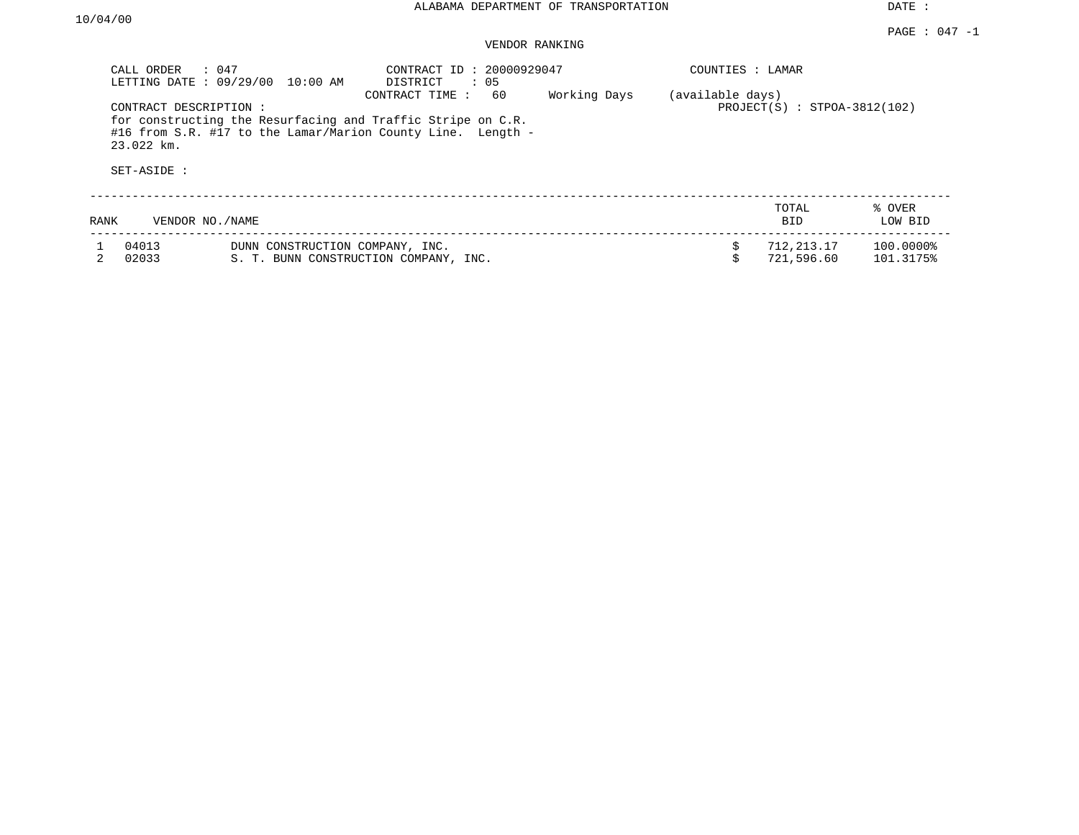DATE :

## VENDOR RANKING

| CALL ORDER<br>LETTING DATE : 09/29/00               | $\therefore$ 047<br>10:00 AM                                                                                               | CONTRACT ID: 20000929047<br>$\therefore$ 05<br>DISTRICT |              | COUNTIES : LAMAR |                                |                        |
|-----------------------------------------------------|----------------------------------------------------------------------------------------------------------------------------|---------------------------------------------------------|--------------|------------------|--------------------------------|------------------------|
| CONTRACT DESCRIPTION :<br>23.022 km.<br>SET-ASIDE : | for constructing the Resurfacing and Traffic Stripe on C.R.<br>#16 from S.R. #17 to the Lamar/Marion County Line. Length - | 60<br>CONTRACT TIME:                                    | Working Days | (available days) | $PROJECT(S)$ : STPOA-3812(102) |                        |
| RANK                                                | VENDOR NO. / NAME                                                                                                          |                                                         |              |                  | TOTAL<br><b>BID</b>            | % OVER<br>LOW BID      |
| 04013<br>02033                                      | DUNN CONSTRUCTION COMPANY, INC.<br>S. T. BUNN CONSTRUCTION COMPANY, INC.                                                   |                                                         |              |                  | 712,213.17<br>721,596.60       | 100.0000%<br>101.3175% |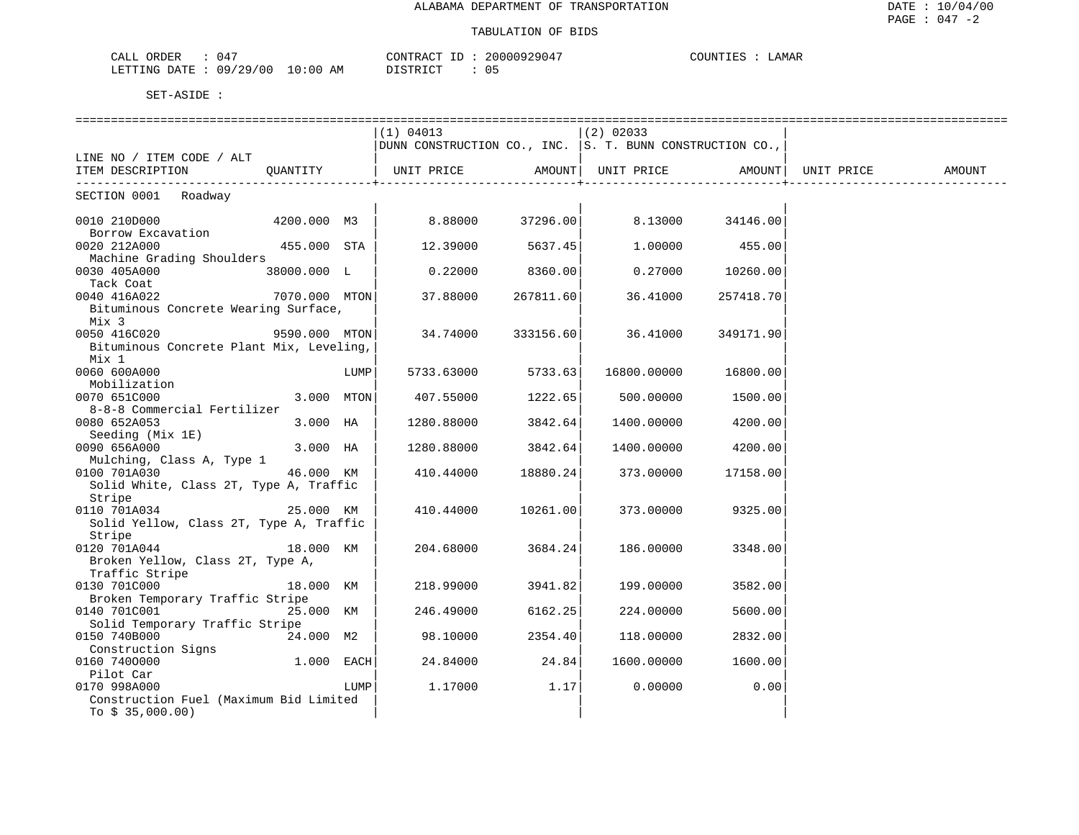| CALL ORDER<br>: 047             | CONTRACT ID: 20000929047 | COUNTIES : LAMAR |
|---------------------------------|--------------------------|------------------|
| LETTING DATE: 09/29/00 10:00 AM | DISTRICT                 |                  |

| ===========================              |               |      |                                                                |           |                  |                                       |        |
|------------------------------------------|---------------|------|----------------------------------------------------------------|-----------|------------------|---------------------------------------|--------|
|                                          |               |      | (1) 04013                                                      |           | $(2)$ 02033      |                                       |        |
|                                          |               |      | $ DUNN$ CONSTRUCTION CO., INC. $ S. T. BUNN$ CONSTRUCTION CO., |           |                  |                                       |        |
| LINE NO / ITEM CODE / ALT                |               |      |                                                                |           |                  |                                       |        |
| ITEM DESCRIPTION QUANTITY                |               |      | UNIT PRICE   AMOUNT  UNIT PRICE   AMOUNT  UNIT PRICE           |           |                  | . _ _ _ _ _ _ _ _ _ _ _ _ _ _ _ _ _ _ | AMOUNT |
| ___________<br>SECTION 0001 Roadway      |               |      |                                                                |           |                  |                                       |        |
|                                          |               |      |                                                                |           |                  |                                       |        |
| 0010 210D000                             | 4200.000 M3   |      | 8.88000 37296.00                                               |           | 8.13000 34146.00 |                                       |        |
| Borrow Excavation                        |               |      |                                                                |           |                  |                                       |        |
| 0020 212A000                             | 455.000 STA   |      | 12.39000                                                       | 5637.45   | 1.00000          | 455.00                                |        |
| Machine Grading Shoulders                |               |      |                                                                |           |                  |                                       |        |
| 0030 405A000                             | 38000.000 L   |      | 0.22000                                                        | 8360.00   | 0.27000          | 10260.00                              |        |
| Tack Coat                                |               |      |                                                                |           |                  |                                       |        |
| 7070.000 MTON<br>0040 416A022            |               |      | 37.88000                                                       | 267811.60 | 36.41000         | 257418.70                             |        |
| Bituminous Concrete Wearing Surface,     |               |      |                                                                |           |                  |                                       |        |
| Mix 3                                    |               |      |                                                                |           |                  |                                       |        |
| 0050 416C020                             | 9590.000 MTON |      | 34.74000                                                       | 333156.60 | 36.41000         | 349171.90                             |        |
| Bituminous Concrete Plant Mix, Leveling, |               |      |                                                                |           |                  |                                       |        |
| Mix 1                                    |               |      |                                                                |           |                  |                                       |        |
| 0060 600A000                             |               | LUMP | 5733.63000                                                     | 5733.63   | 16800.00000      | 16800.00                              |        |
| Mobilization                             |               |      |                                                                |           |                  |                                       |        |
| 0070 651C000                             | $3.000$ MTON  |      | 407.55000                                                      | 1222.65   | 500.00000        | 1500.00                               |        |
| 8-8-8 Commercial Fertilizer              |               |      |                                                                |           |                  |                                       |        |
| 0080 652A053                             | 3.000 HA      |      | 1280.88000                                                     | 3842.64   | 1400.00000       | 4200.00                               |        |
| Seeding (Mix 1E)                         |               |      |                                                                |           |                  |                                       |        |
| 0090 656A000                             | 3.000 HA      |      | 1280.88000                                                     | 3842.64   |                  | 1400.00000 4200.00                    |        |
| Mulching, Class A, Type 1                |               |      |                                                                |           |                  |                                       |        |
| 0100 701A030                             | 46.000 KM     |      | 410.44000                                                      | 18880.24  | 373.00000        | 17158.00                              |        |
| Solid White, Class 2T, Type A, Traffic   |               |      |                                                                |           |                  |                                       |        |
| Stripe                                   |               |      |                                                                |           |                  |                                       |        |
| 0110 701A034                             | 25.000 KM     |      | 410.44000                                                      | 10261.00  | 373.00000        | 9325.00                               |        |
| Solid Yellow, Class 2T, Type A, Traffic  |               |      |                                                                |           |                  |                                       |        |
| Stripe                                   |               |      |                                                                |           |                  |                                       |        |
| 0120 701A044                             | 18.000 KM     |      | 204.68000                                                      | 3684.24   | 186.00000        | 3348.00                               |        |
| Broken Yellow, Class 2T, Type A,         |               |      |                                                                |           |                  |                                       |        |
| Traffic Stripe                           |               |      |                                                                |           |                  |                                       |        |
| 18.000 KM<br>0130 701C000                |               |      | 218.99000                                                      | 3941.82   | 199.00000        | 3582.00                               |        |
| Broken Temporary Traffic Stripe          |               |      |                                                                |           |                  |                                       |        |
| 0140 701C001                             | 25.000 KM     |      | 246.49000                                                      | 6162.25   | 224.00000        | 5600.00                               |        |
| Solid Temporary Traffic Stripe           |               |      |                                                                |           |                  |                                       |        |
| 0150 740B000                             | 24.000 M2     |      | 98.10000                                                       | 2354.40   | 118.00000        | 2832.00                               |        |
| Construction Signs                       |               |      |                                                                |           |                  |                                       |        |
| 0160 7400000                             | $1.000$ EACH  |      | 24.84000                                                       | 24.84     | 1600.00000       | 1600.00                               |        |
| Pilot Car                                |               |      |                                                                |           |                  |                                       |        |
| 0170 998A000                             |               | LUMP | 1.17000                                                        | 1.17      | 0.00000          | 0.00                                  |        |
| Construction Fuel (Maximum Bid Limited   |               |      |                                                                |           |                  |                                       |        |
| To $$35,000.00)$                         |               |      |                                                                |           |                  |                                       |        |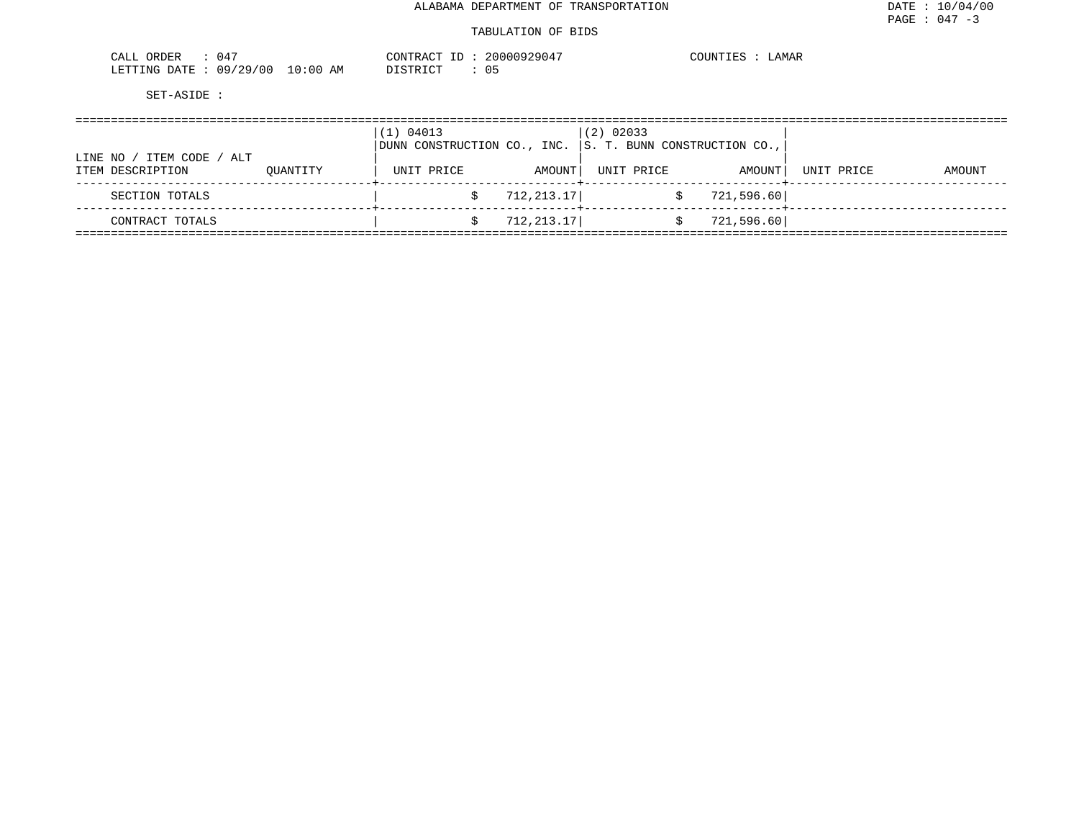| $\overline{a}$<br>ORDER<br>$\neg$ $\Delta$ ,<br>. . 4<br>لمسلما<br>ັ່          | A STINOT<br>ה הו<br>$\sim$ $\sim$ $\sim$ $\sim$ $\sim$ $\sim$ $\sim$ | $\bigcap$ $\bigcap$ $\bigcap$ $\bigcap$ $\bigcap$ $\bigcap$ $\bigcap$<br>LAMAR |  |
|--------------------------------------------------------------------------------|----------------------------------------------------------------------|--------------------------------------------------------------------------------|--|
| 00 /<br><b>ETTING</b><br>$^{\prime}$ 2 Q<br>AM<br>. בנחת ה<br>፡ 00<br>na<br>ìΑ | ገ ደጥ ፓ ר ר<br>ັບ                                                     |                                                                                |  |

| ITEM CODE / ALT<br>LINE NO , |          | (1) 04013<br>DUNN CONSTRUCTION CO., INC. |             | $(2)$ 02033 | S. T. BUNN CONSTRUCTION CO. |            |        |
|------------------------------|----------|------------------------------------------|-------------|-------------|-----------------------------|------------|--------|
| ITEM DESCRIPTION             | OUANTITY | UNIT PRICE                               | AMOUNT      | UNIT PRICE  | AMOUNT                      | UNIT PRICE | AMOUNT |
| SECTION TOTALS               |          |                                          | 712, 213.17 |             | 721,596.60                  |            |        |
| CONTRACT TOTALS              |          |                                          | 712, 213.17 |             | 721,596.60                  |            |        |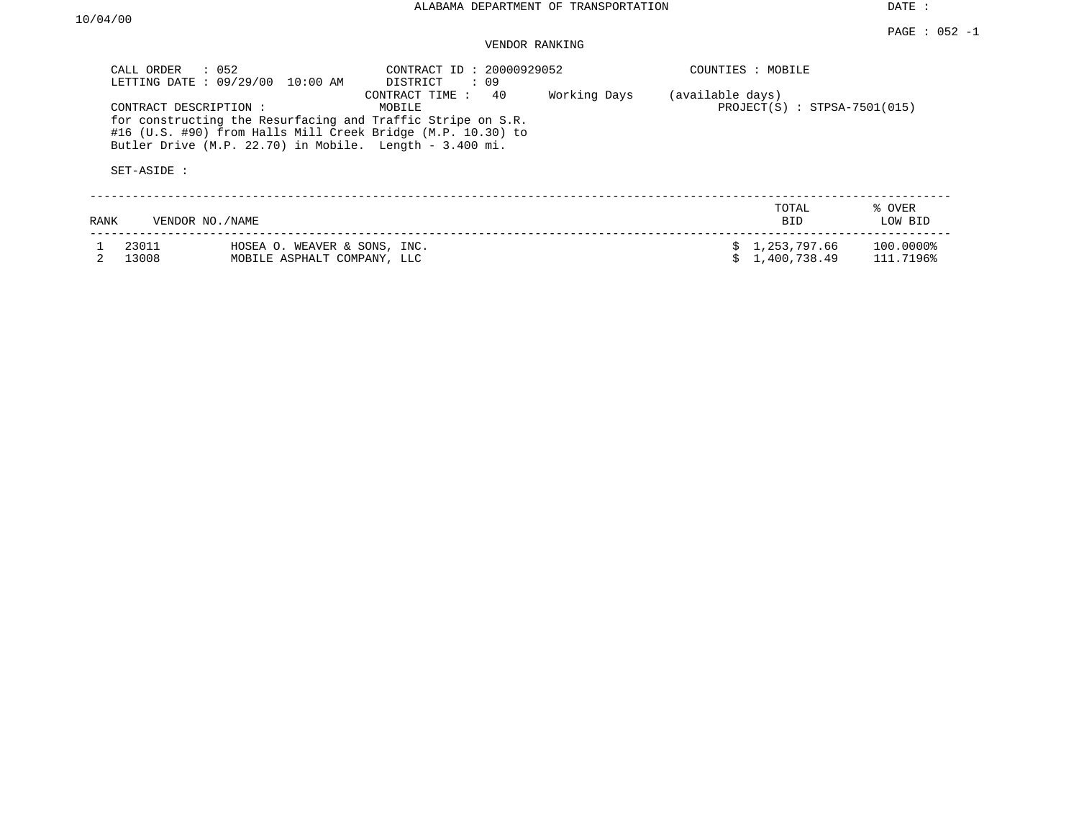DATE :

# VENDOR RANKING

|      | $\therefore$ 052<br>CALL ORDER       | LETTING DATE : 09/29/00 10:00 AM                            | CONTRACT ID: 20000929052<br>DISTRICT : 09                                                                                                                                                                            |              |                  | COUNTIES : MOBILE              |                        |
|------|--------------------------------------|-------------------------------------------------------------|----------------------------------------------------------------------------------------------------------------------------------------------------------------------------------------------------------------------|--------------|------------------|--------------------------------|------------------------|
|      | CONTRACT DESCRIPTION:<br>SET-ASIDE : |                                                             | CONTRACT TIME: 40<br>MOBILE<br>for constructing the Resurfacing and Traffic Stripe on S.R.<br>#16 (U.S. #90) from Halls Mill Creek Bridge (M.P. 10.30) to<br>Butler Drive (M.P. 22.70) in Mobile. Length - 3.400 mi. | Working Days | (available days) | $PROJECT(S) : STPSA-7501(015)$ |                        |
| RANK | VENDOR NO./NAME                      |                                                             |                                                                                                                                                                                                                      |              |                  | TOTAL<br>BID.                  | % OVER<br>LOW BID      |
|      | 23011<br>13008                       | HOSEA O. WEAVER & SONS, INC.<br>MOBILE ASPHALT COMPANY, LLC |                                                                                                                                                                                                                      |              |                  | \$1,253,797.66<br>1,400,738.49 | 100.0000%<br>111.7196% |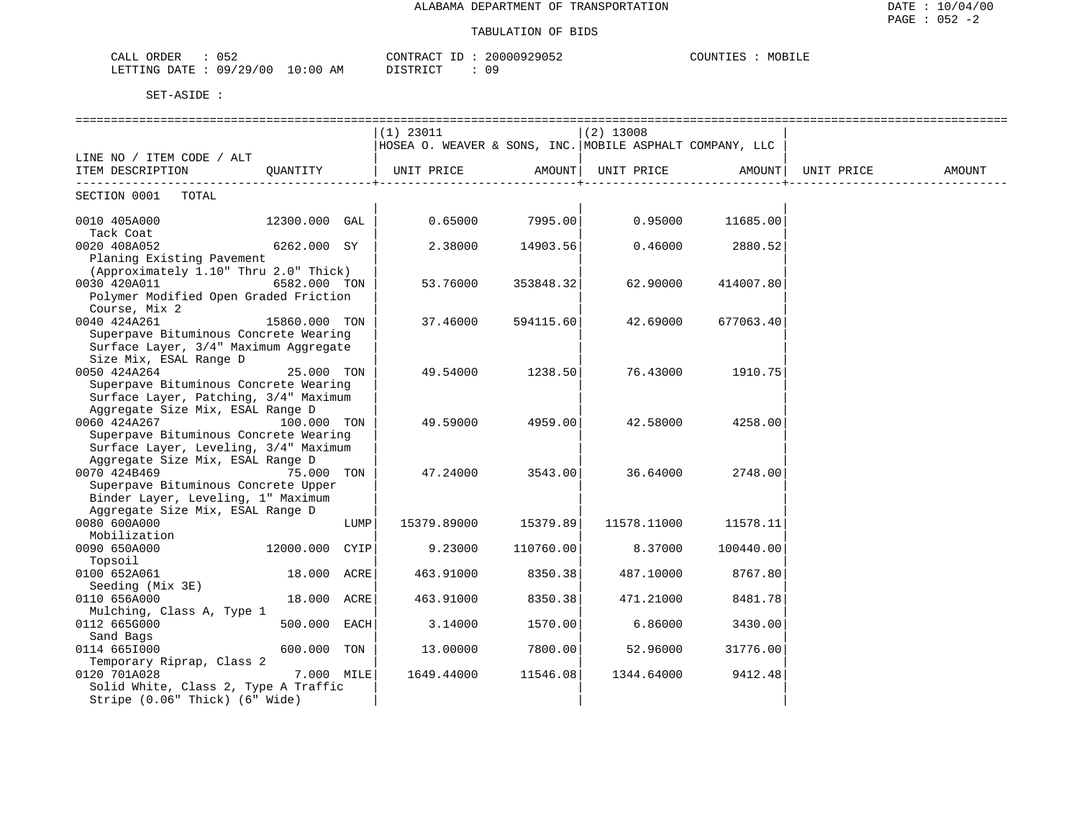| 052<br>ORDER<br>$\sim$ $\sim$ $\sim$ $\sim$<br>ىلىلەت | CONTRACT                                | 20000929052 | MOBILE<br>COUNTIES |
|-------------------------------------------------------|-----------------------------------------|-------------|--------------------|
| 09/29/00<br>LETTING DATE                              | 10:00<br>AM<br>דת סידי את<br>---------- |             |                    |

|                                       |                |      | $(1)$ 23011                                              |           | $(2)$ 13008 |                   |            |        |
|---------------------------------------|----------------|------|----------------------------------------------------------|-----------|-------------|-------------------|------------|--------|
|                                       |                |      | HOSEA O. WEAVER & SONS, INC. MOBILE ASPHALT COMPANY, LLC |           |             |                   |            |        |
| LINE NO / ITEM CODE / ALT             |                |      |                                                          |           |             |                   |            |        |
| ITEM DESCRIPTION OUANTITY             |                |      | UNIT PRICE AMOUNT                                        |           |             | UNIT PRICE AMOUNT | UNIT PRICE | AMOUNT |
| SECTION 0001<br>TOTAL                 |                |      |                                                          |           |             |                   |            |        |
|                                       |                |      |                                                          |           |             |                   |            |        |
| 0010 405A000<br>Tack Coat             | 12300.000 GAL  |      | 0.65000                                                  | 7995.00   | 0.95000     | 11685.00          |            |        |
| 0020 408A052                          | 6262.000 SY    |      | 2.38000                                                  | 14903.56  | 0.46000     | 2880.52           |            |        |
| Planing Existing Pavement             |                |      |                                                          |           |             |                   |            |        |
| (Approximately 1.10" Thru 2.0" Thick) |                |      |                                                          |           |             |                   |            |        |
| 0030 420A011                          | 6582.000 TON   |      | 53.76000                                                 | 353848.32 | 62.90000    | 414007.80         |            |        |
| Polymer Modified Open Graded Friction |                |      |                                                          |           |             |                   |            |        |
| Course, Mix 2                         |                |      |                                                          |           |             |                   |            |        |
| 0040 424A261                          | 15860.000 TON  |      | 37.46000                                                 | 594115.60 | 42.69000    | 677063.40         |            |        |
| Superpave Bituminous Concrete Wearing |                |      |                                                          |           |             |                   |            |        |
| Surface Layer, 3/4" Maximum Aggregate |                |      |                                                          |           |             |                   |            |        |
| Size Mix, ESAL Range D                |                |      |                                                          |           |             |                   |            |        |
| 0050 424A264                          | 25.000 TON     |      | 49.54000                                                 | 1238.50   | 76.43000    | 1910.75           |            |        |
| Superpave Bituminous Concrete Wearing |                |      |                                                          |           |             |                   |            |        |
| Surface Layer, Patching, 3/4" Maximum |                |      |                                                          |           |             |                   |            |        |
| Aggregate Size Mix, ESAL Range D      |                |      |                                                          |           |             |                   |            |        |
| 0060 424A267                          | 100.000 TON    |      | 49.59000                                                 | 4959.00   | 42.58000    | 4258.00           |            |        |
| Superpave Bituminous Concrete Wearing |                |      |                                                          |           |             |                   |            |        |
| Surface Layer, Leveling, 3/4" Maximum |                |      |                                                          |           |             |                   |            |        |
| Aggregate Size Mix, ESAL Range D      |                |      |                                                          |           |             |                   |            |        |
| 0070 424B469                          | 75.000 TON     |      | 47.24000                                                 | 3543.00   | 36.64000    | 2748.00           |            |        |
| Superpave Bituminous Concrete Upper   |                |      |                                                          |           |             |                   |            |        |
| Binder Layer, Leveling, 1" Maximum    |                |      |                                                          |           |             |                   |            |        |
| Aggregate Size Mix, ESAL Range D      |                |      |                                                          |           |             |                   |            |        |
| 0080 600A000                          |                | LUMP | 15379.89000                                              | 15379.89  | 11578.11000 | 11578.11          |            |        |
| Mobilization                          |                |      |                                                          |           |             |                   |            |        |
| 0090 650A000                          | 12000.000 CYIP |      | 9.23000                                                  | 110760.00 | 8.37000     | 100440.00         |            |        |
| Topsoil                               |                |      |                                                          |           |             |                   |            |        |
| 0100 652A061                          | 18.000 ACRE    |      | 463.91000                                                | 8350.38   | 487.10000   | 8767.80           |            |        |
| Seeding (Mix 3E)                      |                |      |                                                          |           |             |                   |            |        |
| 0110 656A000                          | 18.000 ACRE    |      | 463.91000                                                | 8350.38   | 471.21000   | 8481.78           |            |        |
| Mulching, Class A, Type 1             |                |      |                                                          |           |             |                   |            |        |
| 0112 665G000                          | 500.000 EACH   |      | 3.14000                                                  | 1570.00   | 6.86000     | 3430.00           |            |        |
| Sand Bags<br>0114 6651000             | 600.000 TON    |      | 13.00000                                                 | 7800.00   | 52.96000    | 31776.00          |            |        |
| Temporary Riprap, Class 2             |                |      |                                                          |           |             |                   |            |        |
| 0120 701A028                          | 7.000 MILE     |      | 1649.44000                                               | 11546.08  | 1344.64000  | 9412.48           |            |        |
| Solid White, Class 2, Type A Traffic  |                |      |                                                          |           |             |                   |            |        |
| Stripe (0.06" Thick) (6" Wide)        |                |      |                                                          |           |             |                   |            |        |
|                                       |                |      |                                                          |           |             |                   |            |        |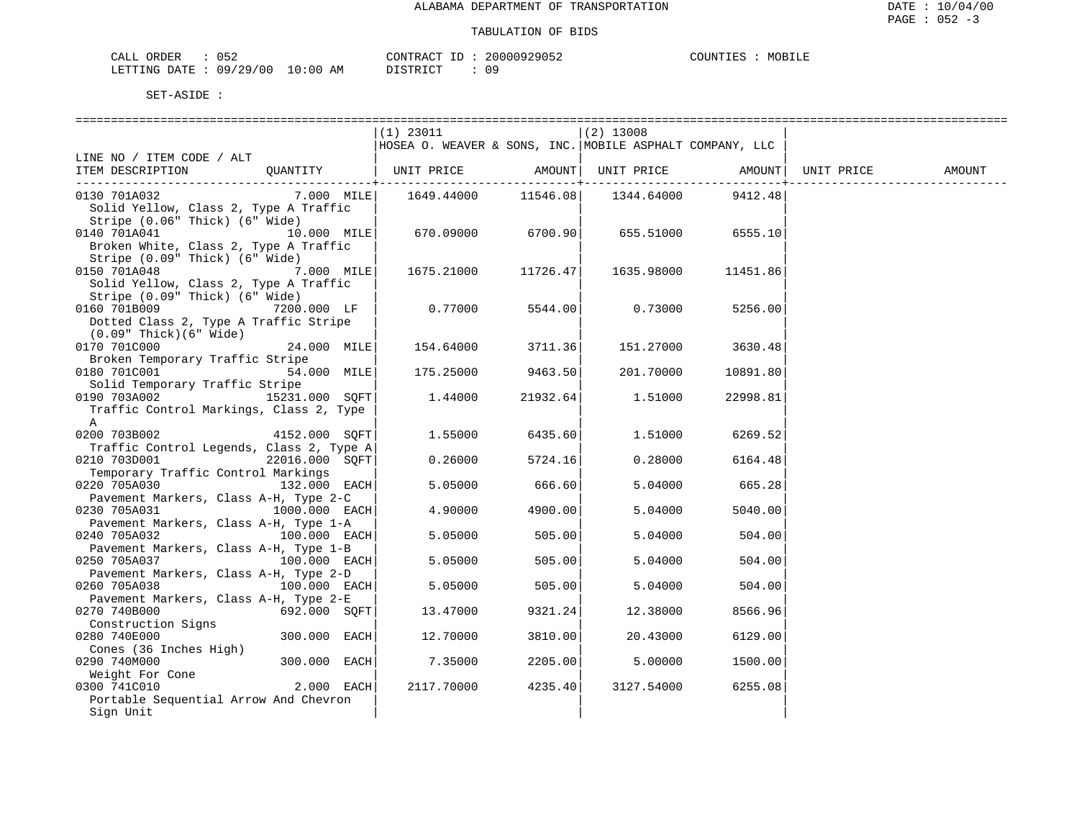| CALL (<br>ORDER               | 052 |    | CONTRACT ID: | 20000929052 | COUNTIES | MOBILE |
|-------------------------------|-----|----|--------------|-------------|----------|--------|
| LETTING DATE : 09/29/00 10:00 |     | AM | DISTRICT     |             |          |        |

|                                          | $(1)$ 23011                                              |          | $(2)$ 13008                                           |          |        |
|------------------------------------------|----------------------------------------------------------|----------|-------------------------------------------------------|----------|--------|
|                                          | HOSEA O. WEAVER & SONS, INC. MOBILE ASPHALT COMPANY, LLC |          |                                                       |          |        |
| LINE NO / ITEM CODE / ALT                |                                                          |          |                                                       |          |        |
| ITEM DESCRIPTION<br>QUANTITY             | UNIT PRICE                                               |          | AMOUNT   UNIT PRICE               AMOUNT   UNIT PRICE |          | AMOUNT |
|                                          |                                                          |          |                                                       |          |        |
| 7.000 MILE <br>0130 701A032              | 1649.44000 11546.08                                      |          | 1344.64000                                            | 9412.48  |        |
| Solid Yellow, Class 2, Type A Traffic    |                                                          |          |                                                       |          |        |
| Stripe (0.06" Thick) (6" Wide)           |                                                          |          |                                                       |          |        |
|                                          |                                                          |          |                                                       |          |        |
| 0140 701A041<br>$10.000$ MILE            | $670.09000$ 6700.90                                      |          | 655.51000                                             | 6555.10  |        |
| Broken White, Class 2, Type A Traffic    |                                                          |          |                                                       |          |        |
| Stripe (0.09" Thick) (6" Wide)           |                                                          |          |                                                       |          |        |
| 0150 701A048<br>7.000 MILE               | 1675.21000                                               | 11726.47 | 1635.98000                                            | 11451.86 |        |
| Solid Yellow, Class 2, Type A Traffic    |                                                          |          |                                                       |          |        |
| Stripe (0.09" Thick) (6" Wide)           |                                                          |          |                                                       |          |        |
| 7200.000 LF<br>0160 701B009              | 0.77000                                                  | 5544.00  | 0.73000                                               | 5256.00  |        |
| Dotted Class 2, Type A Traffic Stripe    |                                                          |          |                                                       |          |        |
| $(0.09"$ Thick $)(6"$ Wide $)$           |                                                          |          |                                                       |          |        |
| 0170 701C000<br>24.000 MILE              | 154.64000                                                | 3711.36  | 151.27000                                             | 3630.48  |        |
| Broken Temporary Traffic Stripe          |                                                          |          |                                                       |          |        |
| 0180 701C001<br>54.000 MILE              | 175.25000                                                | 9463.50  | 201.70000                                             | 10891.80 |        |
| Solid Temporary Traffic Stripe           |                                                          |          |                                                       |          |        |
| 0190 703A002<br>15231.000 SOFT           | 1.44000                                                  | 21932.64 | 1,51000                                               | 22998.81 |        |
| Traffic Control Markings, Class 2, Type  |                                                          |          |                                                       |          |        |
| A                                        |                                                          |          |                                                       |          |        |
| 0200 703B002<br>4152.000 SOFT            | 1.55000                                                  | 6435.60  | 1,51000                                               | 6269.52  |        |
| Traffic Control Legends, Class 2, Type A |                                                          |          |                                                       |          |        |
| 0210 703D001<br>22016.000 SOFT           | 0.26000                                                  | 5724.16  | 0.28000                                               | 6164.48  |        |
|                                          |                                                          |          |                                                       |          |        |
| Temporary Traffic Control Markings       |                                                          |          |                                                       |          |        |
| 0220 705A030 132.000 EACH                | 5.05000                                                  | 666.60   | 5.04000                                               | 665.28   |        |
| Pavement Markers, Class A-H, Type 2-C    |                                                          |          |                                                       |          |        |
| 0230 705A031<br>$1000.000$ EACH          | 4.90000                                                  | 4900.00  | 5.04000                                               | 5040.00  |        |
| Pavement Markers, Class A-H, Type 1-A    |                                                          |          |                                                       |          |        |
| 0240 705A032<br>$100.000$ EACH           | 5.05000                                                  | 505.00   | 5.04000                                               | 504.00   |        |
| Pavement Markers, Class A-H, Type 1-B    |                                                          |          |                                                       |          |        |
| 0250 705A037<br>100.000 EACH             | 5.05000                                                  | 505.00   | 5.04000                                               | 504.00   |        |
| Pavement Markers, Class A-H, Type 2-D    |                                                          |          |                                                       |          |        |
| 0260 705A038<br>$100.000$ EACH           | 5.05000                                                  | 505.00   | 5.04000                                               | 504.00   |        |
| Pavement Markers, Class A-H, Type 2-E    |                                                          |          |                                                       |          |        |
| 0270 740B000<br>692.000 SQFT             | 13.47000                                                 | 9321.24  | 12.38000                                              | 8566.96  |        |
| Construction Signs                       |                                                          |          |                                                       |          |        |
| 0280 740E000<br>300.000 EACH             | 12.70000                                                 | 3810.00  | 20.43000                                              | 6129.00  |        |
| Cones (36 Inches High)                   |                                                          |          |                                                       |          |        |
| 300.000 EACH<br>0290 740M000             | 7.35000                                                  | 2205.00  | 5.00000                                               | 1500.00  |        |
| Weight For Cone                          |                                                          |          |                                                       |          |        |
| $2.000$ EACH<br>0300 741C010             | 2117.70000                                               | 4235.40  | 3127.54000                                            | 6255.08  |        |
| Portable Sequential Arrow And Chevron    |                                                          |          |                                                       |          |        |
| Sign Unit                                |                                                          |          |                                                       |          |        |
|                                          |                                                          |          |                                                       |          |        |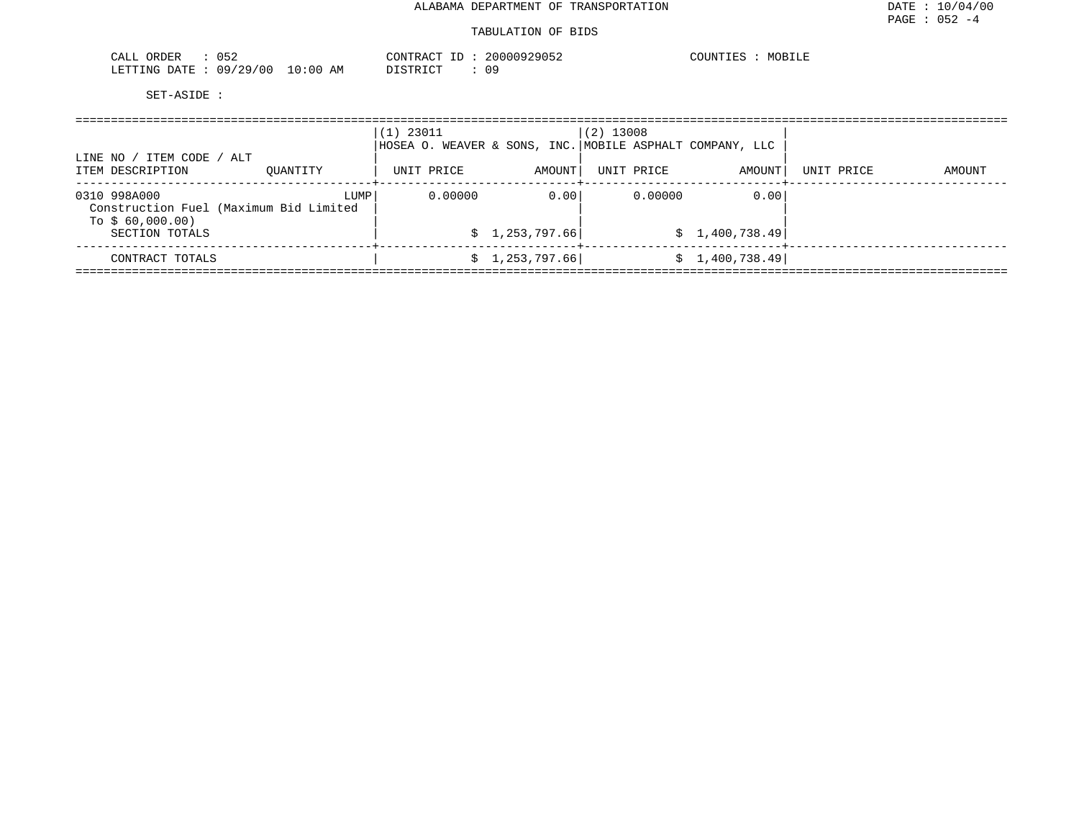| $\cap$ $\cap$<br>U52<br>ושו<br>◡▴◟◡▴                                | CONTRACT<br>ากกดวดก<br>$-1$<br>200           | $\ldots$ $\ldots$ $\ldots$<br>uudilin. |
|---------------------------------------------------------------------|----------------------------------------------|----------------------------------------|
| /0C<br>129<br>LETTING<br>DATE<br>$\cap$ Q $\prime$<br>7 : 00<br>. 0 | $T \cap T$<br>ΩC.<br>. ו סידי מ<br>Ar<br>◡ ◡ |                                        |

| LINE NO / ITEM CODE / ALT                                                  | $(1)$ 23011<br>HOSEA O. WEAVER & SONS, INC. MOBILE ASPHALT COMPANY, LLC |            | $(2)$ 13008     |            |                |            |        |  |
|----------------------------------------------------------------------------|-------------------------------------------------------------------------|------------|-----------------|------------|----------------|------------|--------|--|
| ITEM DESCRIPTION                                                           | OUANTITY                                                                | UNIT PRICE | AMOUNT          | UNIT PRICE | AMOUNT         | UNIT PRICE | AMOUNT |  |
| 0310 998A000<br>Construction Fuel (Maximum Bid Limited<br>To $$60,000.00)$ | LUMP                                                                    | 0.00000    | 0.00            | 0.00000    | 0.00           |            |        |  |
| SECTION TOTALS                                                             |                                                                         |            | \$1,253,797.66] |            | \$1,400,738.49 |            |        |  |
| CONTRACT TOTALS                                                            |                                                                         |            | 1,253,797.66    |            | \$1,400,738.49 |            |        |  |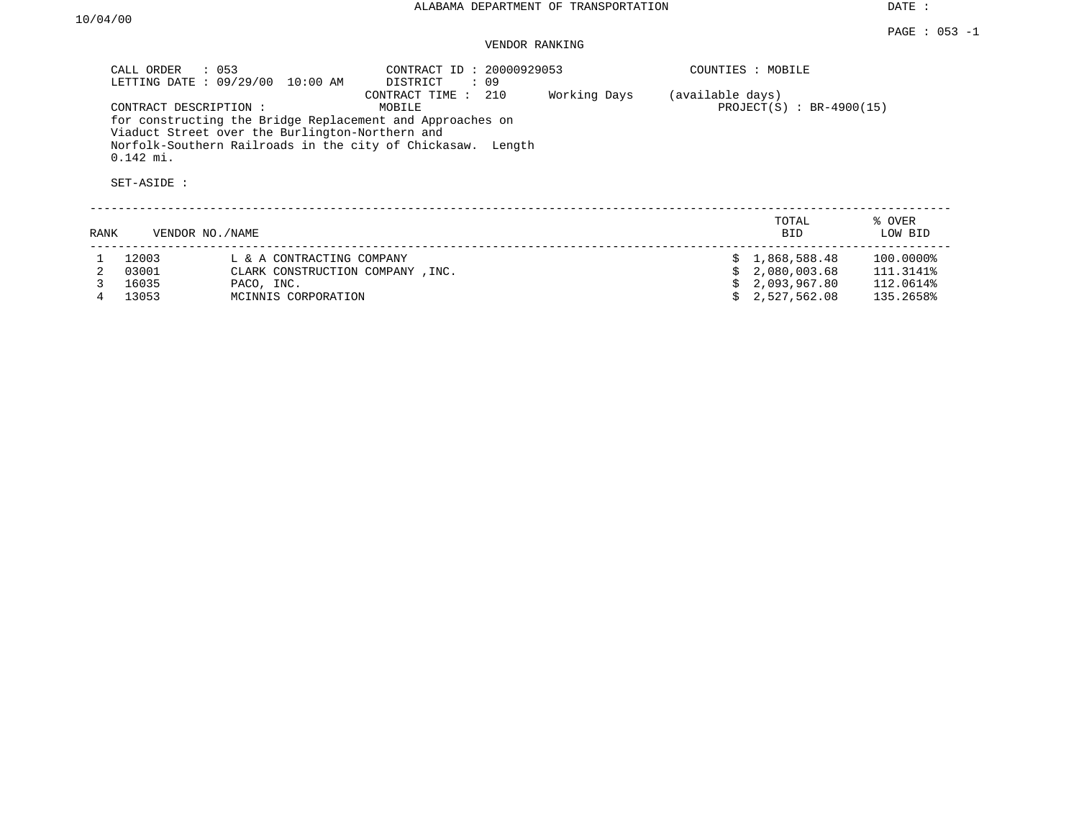DATE :

### VENDOR RANKING

| CALL ORDER<br>: 053                                         | CONTRACT ID: 20000929053 | COUNTIES : MOBILE                |
|-------------------------------------------------------------|--------------------------|----------------------------------|
| LETTING DATE : 09/29/00 10:00 AM                            | : 09<br>DISTRICT         |                                  |
|                                                             | CONTRACT TIME : 210      | Working Days<br>(available days) |
| CONTRACT DESCRIPTION:                                       | MOBILE                   | $PROJECT(S)$ : BR-4900(15)       |
| for constructing the Bridge Replacement and Approaches on   |                          |                                  |
| Viaduct Street over the Burlington-Northern and             |                          |                                  |
| Norfolk-Southern Railroads in the city of Chickasaw. Length |                          |                                  |
| $0.142$ mi.                                                 |                          |                                  |
| SET-ASIDE :                                                 |                          |                                  |

 -------------------------------------------------------------------------------------------------------------------------- TOTAL % OVER% OVER<br>LOW BID RANK VENDOR NO./NAME BID --------------------------------------------------------------------------------------------------------------------------1 12003 L & A CONTRACTING COMPANY (1992) 1999 (1993) 2003 (1994) 5 1,868,588.48 100.00000 100.0000 100 100 100<br>2 03001 CLARK CONSTRUCTION COMPANY (1992) 1999 (1993) 1999 (1993) 5 2,080,003.68 111.3141% 2 03001 CLARK CONSTRUCTION COMPANY ,INC. \$ 2,080,003.68 111.3141% 3 16035 PACO, INC. \$ 2,093,967.80 112.0614% 4 13053 MCINNIS CORPORATION \$ 2,527,562.08 135.2658%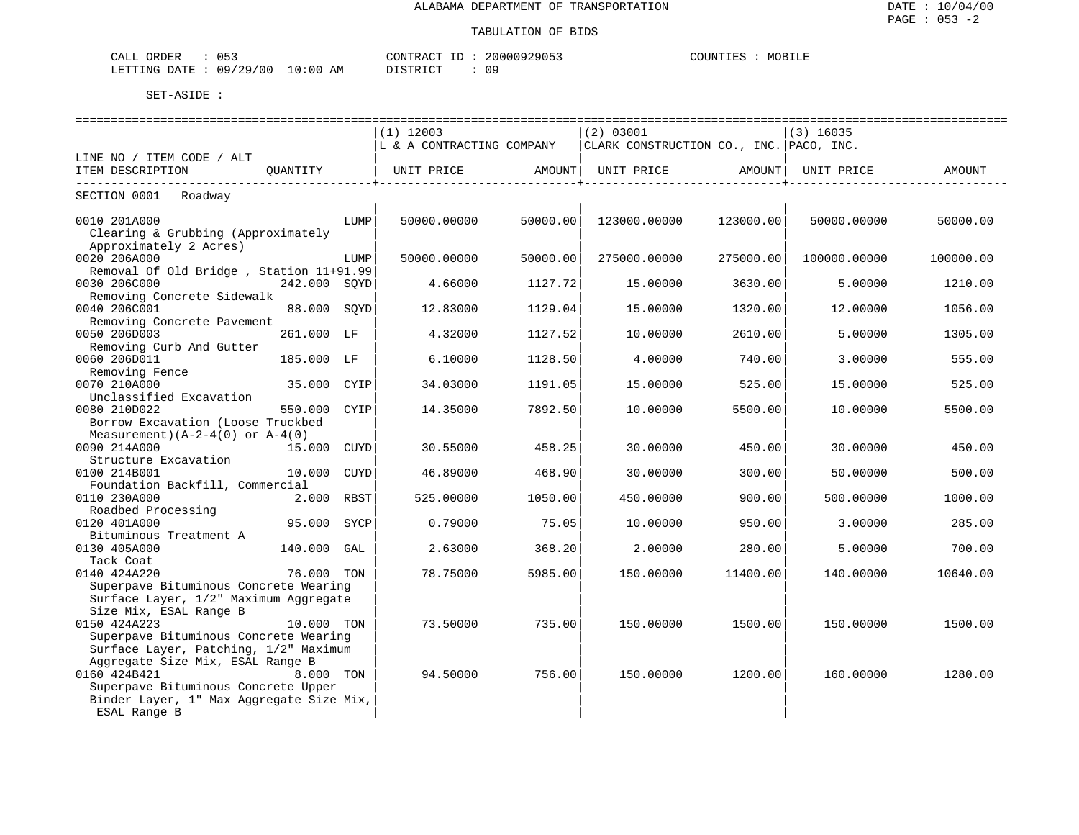| $\sim$ $ -$<br>ORDER<br>CALL<br>◡◡       |             | CONTRACT<br>$\overline{ }$<br>- - - - - | 20000929053 | MOBILE<br>COUNTIES |
|------------------------------------------|-------------|-----------------------------------------|-------------|--------------------|
| 09/29/00<br><b>TTTING</b><br><b>DATE</b> | 10:00<br>ΑM | T STR T CT<br>11.11                     | $\cdot$     |                    |

|                                          |              |      | $(1)$ 12003               |          | (2) 03001                               |           | $(3)$ 16035  |           |
|------------------------------------------|--------------|------|---------------------------|----------|-----------------------------------------|-----------|--------------|-----------|
|                                          |              |      | L & A CONTRACTING COMPANY |          | CLARK CONSTRUCTION CO., INC. PACO, INC. |           |              |           |
| LINE NO / ITEM CODE / ALT                |              |      |                           |          |                                         |           |              |           |
| ITEM DESCRIPTION QUANTITY                |              |      | UNIT PRICE AMOUNT         |          | UNIT PRICE AMOUNT                       |           | UNIT PRICE   | AMOUNT    |
| SECTION 0001 Roadway                     |              |      |                           |          |                                         |           |              |           |
|                                          |              |      |                           |          |                                         |           |              |           |
| 0010 201A000                             |              | LUMP | 50000.00000               | 50000.00 | 123000.00000                            | 123000.00 | 50000.00000  | 50000.00  |
| Clearing & Grubbing (Approximately       |              |      |                           |          |                                         |           |              |           |
| Approximately 2 Acres)                   |              |      |                           |          |                                         |           |              |           |
| 0020 206A000                             |              | LUMP | 50000.00000               | 50000.00 | 275000.00000                            | 275000.00 | 100000.00000 | 100000.00 |
| Removal Of Old Bridge, Station 11+91.99  |              |      |                           |          |                                         |           |              |           |
| 0030 206C000                             | 242.000 SOYD |      | 4.66000                   | 1127.72  | 15.00000                                | 3630.00   | 5.00000      | 1210.00   |
| Removing Concrete Sidewalk               |              |      |                           |          |                                         |           |              |           |
| 0040 206C001                             | 88.000 SOYD  |      | 12.83000                  | 1129.04  | 15.00000                                | 1320.00   | 12.00000     | 1056.00   |
| Removing Concrete Pavement               |              |      |                           |          |                                         |           |              |           |
| 0050 206D003                             | 261.000 LF   |      | 4.32000                   | 1127.52  | 10,00000                                | 2610.00   | 5,00000      | 1305.00   |
| Removing Curb And Gutter                 |              |      |                           |          |                                         |           |              |           |
| 0060 206D011                             | 185.000 LF   |      | 6.10000                   | 1128.50  | 4.00000                                 | 740.00    | 3.00000      | 555.00    |
| Removing Fence                           |              |      |                           |          |                                         |           |              |           |
| 0070 210A000                             | 35.000 CYIP  |      | 34.03000                  | 1191.05  | 15.00000                                | 525.00    | 15.00000     | 525.00    |
| Unclassified Excavation                  |              |      |                           |          |                                         |           |              |           |
| 0080 210D022                             | 550.000 CYIP |      | 14.35000                  | 7892.50  | 10,00000                                | 5500.00   | 10.00000     | 5500.00   |
| Borrow Excavation (Loose Truckbed        |              |      |                           |          |                                         |           |              |           |
| Measurement) $(A-2-4(0))$ or $A-4(0)$    |              |      |                           |          |                                         |           |              |           |
| 0090 214A000                             | 15.000 CUYD  |      | 30.55000                  | 458.25   | 30,00000                                | 450.00    | 30,00000     | 450.00    |
| Structure Excavation                     |              |      |                           |          |                                         |           |              |           |
| 0100 214B001                             | 10.000 CUYD  |      | 46.89000                  | 468.90   | 30.00000                                | 300.00    | 50.00000     | 500.00    |
| Foundation Backfill, Commercial          |              |      |                           |          |                                         |           |              |           |
| 0110 230A000                             | 2.000 RBST   |      | 525.00000                 | 1050.00  | 450.00000                               | 900.00    | 500.00000    | 1000.00   |
| Roadbed Processing                       |              |      |                           |          |                                         |           |              |           |
| 0120 401A000                             | 95.000 SYCP  |      | 0.79000                   | 75.05    | 10.00000                                | 950.00    | 3.00000      | 285.00    |
| Bituminous Treatment A                   |              |      |                           |          |                                         |           |              |           |
| 0130 405A000                             | 140.000 GAL  |      | 2.63000                   | 368.20   | 2.00000                                 | 280.00    | 5.00000      | 700.00    |
| Tack Coat                                |              |      |                           |          |                                         |           |              |           |
| 0140 424A220                             | 76.000 TON   |      | 78.75000                  | 5985.00  | 150.00000                               | 11400.00  | 140.00000    | 10640.00  |
| Superpave Bituminous Concrete Wearing    |              |      |                           |          |                                         |           |              |           |
| Surface Layer, 1/2" Maximum Aggregate    |              |      |                           |          |                                         |           |              |           |
| Size Mix, ESAL Range B                   |              |      |                           |          |                                         |           |              |           |
| 0150 424A223                             | 10.000 TON   |      | 73.50000                  | 735.00   | 150.00000                               | 1500.00   | 150.00000    | 1500.00   |
| Superpave Bituminous Concrete Wearing    |              |      |                           |          |                                         |           |              |           |
| Surface Layer, Patching, 1/2" Maximum    |              |      |                           |          |                                         |           |              |           |
| Aggregate Size Mix, ESAL Range B         |              |      |                           |          |                                         |           |              |           |
| 0160 424B421                             | 8.000 TON    |      | 94.50000                  | 756.00   | 150.00000                               | 1200.00   | 160.00000    | 1280.00   |
| Superpave Bituminous Concrete Upper      |              |      |                           |          |                                         |           |              |           |
| Binder Layer, 1" Max Aggregate Size Mix, |              |      |                           |          |                                         |           |              |           |
| ESAL Range B                             |              |      |                           |          |                                         |           |              |           |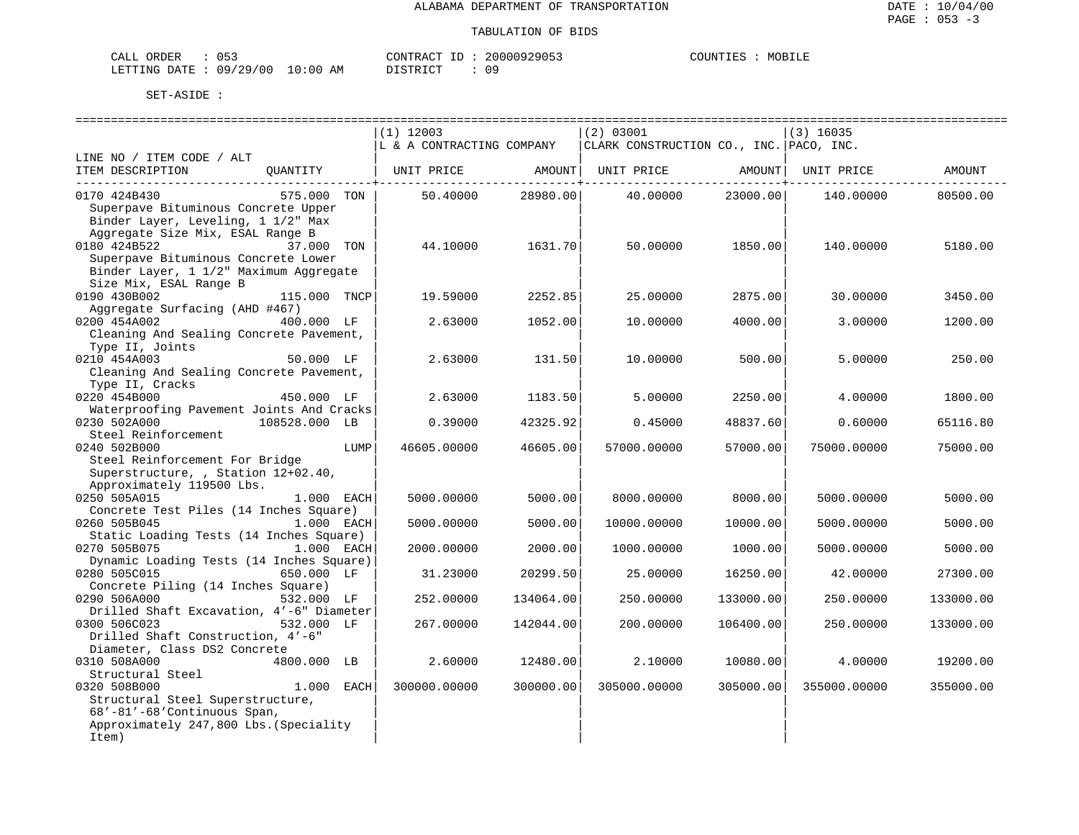| CALL ORDER |  | 053                              |          |  | CONTRACT ID: 20000929053 | COUNTIES | MOBILE |
|------------|--|----------------------------------|----------|--|--------------------------|----------|--------|
|            |  | LETTING DATE : 09/29/00 10:00 AM | DISTRICT |  |                          |          |        |

| ========================                               |               |      |                           |           |                                         |           |              |           |
|--------------------------------------------------------|---------------|------|---------------------------|-----------|-----------------------------------------|-----------|--------------|-----------|
|                                                        |               |      | $(1)$ 12003               |           | (2) 03001                               |           | $(3)$ 16035  |           |
|                                                        |               |      | L & A CONTRACTING COMPANY |           | CLARK CONSTRUCTION CO., INC. PACO, INC. |           |              |           |
| LINE NO / ITEM CODE / ALT                              |               |      |                           |           |                                         |           |              |           |
| ITEM DESCRIPTION                                       | OUANTITY      |      | UNIT PRICE                | AMOUNT    | UNIT PRICE                              | AMOUNT    | UNIT PRICE   | AMOUNT    |
|                                                        |               |      |                           |           |                                         |           |              |           |
| 0170 424B430                                           | 575.000 TON   |      | 50.40000                  | 28980.00  | 40.00000                                | 23000.00  | 140.00000    | 80500.00  |
| Superpave Bituminous Concrete Upper                    |               |      |                           |           |                                         |           |              |           |
| Binder Layer, Leveling, 1 1/2" Max                     |               |      |                           |           |                                         |           |              |           |
| Aggregate Size Mix, ESAL Range B<br>0180 424B522       | 37.000 TON    |      | 44.10000                  | 1631.70   | 50.00000                                | 1850.00   | 140.00000    | 5180.00   |
| Superpave Bituminous Concrete Lower                    |               |      |                           |           |                                         |           |              |           |
| Binder Layer, 1 1/2" Maximum Aggregate                 |               |      |                           |           |                                         |           |              |           |
| Size Mix, ESAL Range B                                 |               |      |                           |           |                                         |           |              |           |
| 0190 430B002                                           | 115.000 TNCP  |      | 19.59000                  | 2252.85   | 25.00000                                | 2875.00   | 30.00000     | 3450.00   |
| Aggregate Surfacing (AHD #467)                         |               |      |                           |           |                                         |           |              |           |
| 0200 454A002                                           | 400.000 LF    |      | 2.63000                   | 1052.00   | 10.00000                                | 4000.00   | 3.00000      | 1200.00   |
| Cleaning And Sealing Concrete Pavement,                |               |      |                           |           |                                         |           |              |           |
| Type II, Joints                                        |               |      |                           |           |                                         |           |              |           |
| 0210 454A003                                           | 50.000 LF     |      | 2.63000                   | 131.50    | 10.00000                                | 500.00    | 5.00000      | 250.00    |
| Cleaning And Sealing Concrete Pavement,                |               |      |                           |           |                                         |           |              |           |
| Type II, Cracks                                        |               |      |                           |           |                                         |           |              |           |
| 0220 454B000                                           | 450.000 LF    |      | 2.63000                   | 1183.50   | 5.00000                                 | 2250.00   | 4.00000      | 1800.00   |
| Waterproofing Pavement Joints And Cracks               |               |      |                           |           |                                         |           |              |           |
| 0230 502A000                                           | 108528.000 LB |      | 0.39000                   | 42325.92  | 0.45000                                 | 48837.60  | 0.60000      | 65116.80  |
| Steel Reinforcement                                    |               |      |                           |           |                                         |           |              |           |
| 0240 502B000                                           |               | LUMP | 46605.00000               | 46605.00  | 57000.00000                             | 57000.00  | 75000.00000  | 75000.00  |
| Steel Reinforcement For Bridge                         |               |      |                           |           |                                         |           |              |           |
| Superstructure, , Station 12+02.40,                    |               |      |                           |           |                                         |           |              |           |
| Approximately 119500 Lbs.                              |               |      |                           |           |                                         |           |              |           |
| 0250 505A015                                           | 1.000 EACH    |      | 5000.00000                | 5000.00   | 8000.00000                              | 8000.00   | 5000.00000   | 5000.00   |
| Concrete Test Piles (14 Inches Square)<br>0260 505B045 | 1.000 EACH    |      | 5000.00000                | 5000.00   | 10000.00000                             | 10000.00  | 5000.00000   | 5000.00   |
| Static Loading Tests (14 Inches Square)                |               |      |                           |           |                                         |           |              |           |
| 0270 505B075                                           | 1.000 EACH    |      | 2000.00000                | 2000.00   | 1000.00000                              | 1000.00   | 5000.00000   | 5000.00   |
| Dynamic Loading Tests (14 Inches Square)               |               |      |                           |           |                                         |           |              |           |
| 0280 505C015                                           | 650.000 LF    |      | 31.23000                  | 20299.50  | 25,00000                                | 16250.00  | 42.00000     | 27300.00  |
| Concrete Piling (14 Inches Square)                     |               |      |                           |           |                                         |           |              |           |
| 0290 506A000                                           | 532.000 LF    |      | 252.00000                 | 134064.00 | 250.00000                               | 133000.00 | 250.00000    | 133000.00 |
| Drilled Shaft Excavation, 4'-6" Diameter               |               |      |                           |           |                                         |           |              |           |
| 0300 506C023                                           | 532.000 LF    |      | 267.00000                 | 142044.00 | 200.00000                               | 106400.00 | 250.00000    | 133000.00 |
| Drilled Shaft Construction, 4'-6"                      |               |      |                           |           |                                         |           |              |           |
| Diameter, Class DS2 Concrete                           |               |      |                           |           |                                         |           |              |           |
| 0310 508A000                                           | 4800.000 LB   |      | 2.60000                   | 12480.00  | 2.10000                                 | 10080.00  | 4.00000      | 19200.00  |
| Structural Steel                                       |               |      |                           |           |                                         |           |              |           |
| 0320 508B000                                           | 1.000 EACH    |      | 300000.00000              | 300000.00 | 305000.00000                            | 305000.00 | 355000.00000 | 355000.00 |
| Structural Steel Superstructure,                       |               |      |                           |           |                                         |           |              |           |
| 68'-81'-68'Continuous Span,                            |               |      |                           |           |                                         |           |              |           |
| Approximately 247,800 Lbs. (Speciality                 |               |      |                           |           |                                         |           |              |           |
| Item)                                                  |               |      |                           |           |                                         |           |              |           |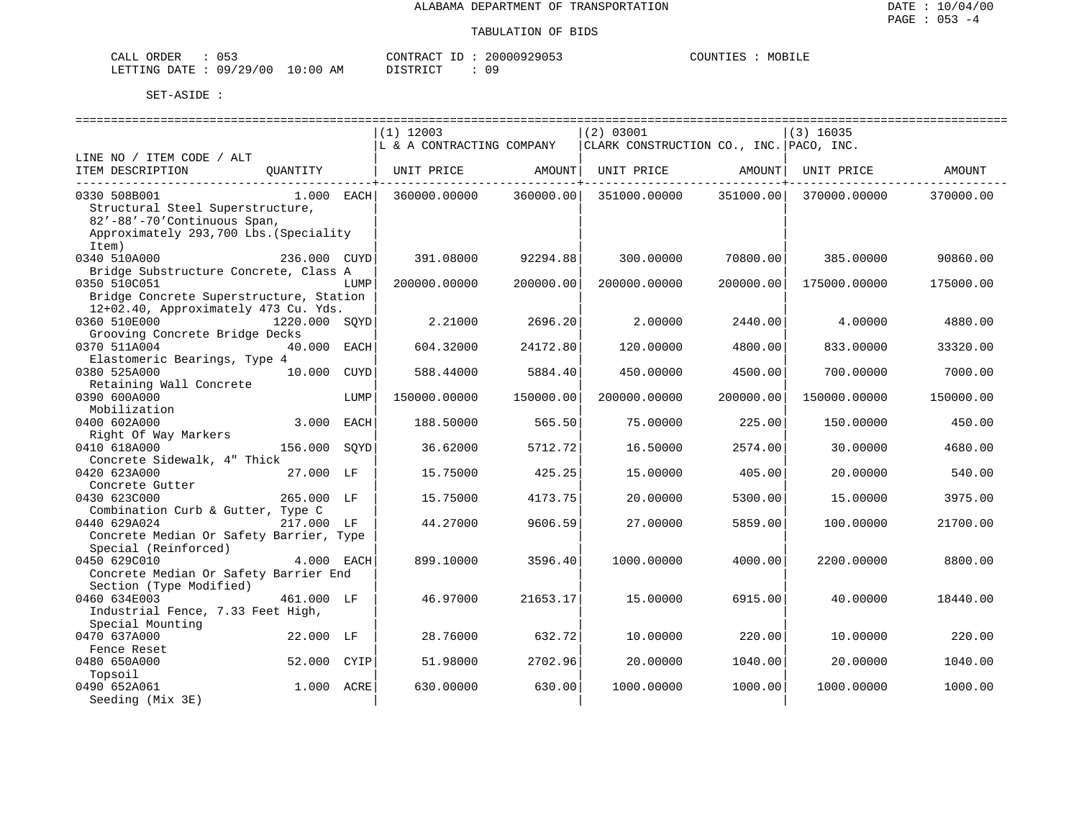| CALL ORDER | 053                          |    | CONTRACT ID: |  | 20000929053 | COUNTIES | MOBILE |
|------------|------------------------------|----|--------------|--|-------------|----------|--------|
|            | LETTING DATE: 09/29/00 10:00 | AM | PISTRICT     |  |             |          |        |

|                                                                                 |               |      | ===========================<br>$(1)$ 12003 |           | (2) 03001                               |           | $(3)$ 16035  |           |
|---------------------------------------------------------------------------------|---------------|------|--------------------------------------------|-----------|-----------------------------------------|-----------|--------------|-----------|
|                                                                                 |               |      | L & A CONTRACTING COMPANY                  |           | CLARK CONSTRUCTION CO., INC. PACO, INC. |           |              |           |
| LINE NO / ITEM CODE / ALT                                                       |               |      |                                            |           |                                         |           |              |           |
| ITEM DESCRIPTION                                                                | QUANTITY      |      | UNIT PRICE                                 | AMOUNT    | UNIT PRICE                              | AMOUNT    | UNIT PRICE   | AMOUNT    |
| 0330 508B001                                                                    | $1.000$ EACH  |      | 360000.00000                               | 360000.00 | 351000.00000                            | 351000.00 | 370000.00000 | 370000.00 |
| Structural Steel Superstructure,                                                |               |      |                                            |           |                                         |           |              |           |
| 82'-88'-70'Continuous Span,<br>Approximately 293,700 Lbs. (Speciality           |               |      |                                            |           |                                         |           |              |           |
| Item)                                                                           |               |      |                                            |           |                                         |           |              |           |
| 0340 510A000                                                                    | 236.000 CUYD  |      | 391.08000                                  | 92294.88  | 300.00000                               | 70800.00  | 385.00000    | 90860.00  |
| Bridge Substructure Concrete, Class A                                           |               |      |                                            |           |                                         |           |              |           |
| 0350 510C051                                                                    |               | LUMP | 200000.00000                               | 200000.00 | 200000.00000                            | 200000.00 | 175000.00000 | 175000.00 |
| Bridge Concrete Superstructure, Station<br>12+02.40, Approximately 473 Cu. Yds. |               |      |                                            |           |                                         |           |              |           |
| 0360 510E000                                                                    | 1220.000 SOYD |      | 2.21000                                    | 2696.20   | 2.00000                                 | 2440.00   | 4.00000      | 4880.00   |
| Grooving Concrete Bridge Decks                                                  |               |      |                                            |           |                                         |           |              |           |
| 0370 511A004                                                                    | 40.000 EACH   |      | 604.32000                                  | 24172.80  | 120.00000                               | 4800.00   | 833.00000    | 33320.00  |
| Elastomeric Bearings, Type 4                                                    |               |      |                                            |           |                                         |           |              |           |
| 0380 525A000<br>Retaining Wall Concrete                                         | 10.000 CUYD   |      | 588.44000                                  | 5884.40   | 450.00000                               | 4500.00   | 700.00000    | 7000.00   |
| 0390 600A000                                                                    |               | LUMP | 150000.00000                               | 150000.00 | 200000.00000                            | 200000.00 | 150000.00000 | 150000.00 |
| Mobilization                                                                    |               |      |                                            |           |                                         |           |              |           |
| 0400 602A000                                                                    | 3.000 EACH    |      | 188.50000                                  | 565.50    | 75.00000                                | 225.00    | 150.00000    | 450.00    |
| Right Of Way Markers<br>0410 618A000                                            | 156.000       | SOYD | 36.62000                                   | 5712.72   | 16.50000                                | 2574.00   | 30.00000     | 4680.00   |
| Concrete Sidewalk, 4" Thick                                                     |               |      |                                            |           |                                         |           |              |           |
| 0420 623A000                                                                    | 27.000 LF     |      | 15.75000                                   | 425.25    | 15.00000                                | 405.00    | 20.00000     | 540.00    |
| Concrete Gutter                                                                 |               |      |                                            |           |                                         |           |              |           |
| 0430 623C000                                                                    | 265.000 LF    |      | 15.75000                                   | 4173.75   | 20,00000                                | 5300.00   | 15,00000     | 3975.00   |
| Combination Curb & Gutter, Type C<br>0440 629A024                               | 217.000 LF    |      | 44.27000                                   | 9606.59   | 27.00000                                | 5859.00   | 100.00000    | 21700.00  |
| Concrete Median Or Safety Barrier, Type                                         |               |      |                                            |           |                                         |           |              |           |
| Special (Reinforced)                                                            |               |      |                                            |           |                                         |           |              |           |
| 0450 629C010                                                                    | 4.000 EACH    |      | 899.10000                                  | 3596.40   | 1000.00000                              | 4000.00   | 2200.00000   | 8800.00   |
| Concrete Median Or Safety Barrier End<br>Section (Type Modified)                |               |      |                                            |           |                                         |           |              |           |
| 0460 634E003                                                                    | 461.000 LF    |      | 46.97000                                   | 21653.17  | 15.00000                                | 6915.00   | 40.00000     | 18440.00  |
| Industrial Fence, 7.33 Feet High,                                               |               |      |                                            |           |                                         |           |              |           |
| Special Mounting                                                                |               |      |                                            |           |                                         |           |              |           |
| 0470 637A000                                                                    | 22.000 LF     |      | 28.76000                                   | 632.72    | 10.00000                                | 220.00    | 10.00000     | 220.00    |
| Fence Reset<br>0480 650A000                                                     | 52.000 CYIP   |      | 51.98000                                   | 2702.96   | 20,00000                                | 1040.00   | 20,00000     | 1040.00   |
| Topsoil                                                                         |               |      |                                            |           |                                         |           |              |           |
| 0490 652A061                                                                    | 1.000 ACRE    |      | 630.00000                                  | 630.00    | 1000.00000                              | 1000.00   | 1000.00000   | 1000.00   |
| Seeding (Mix 3E)                                                                |               |      |                                            |           |                                         |           |              |           |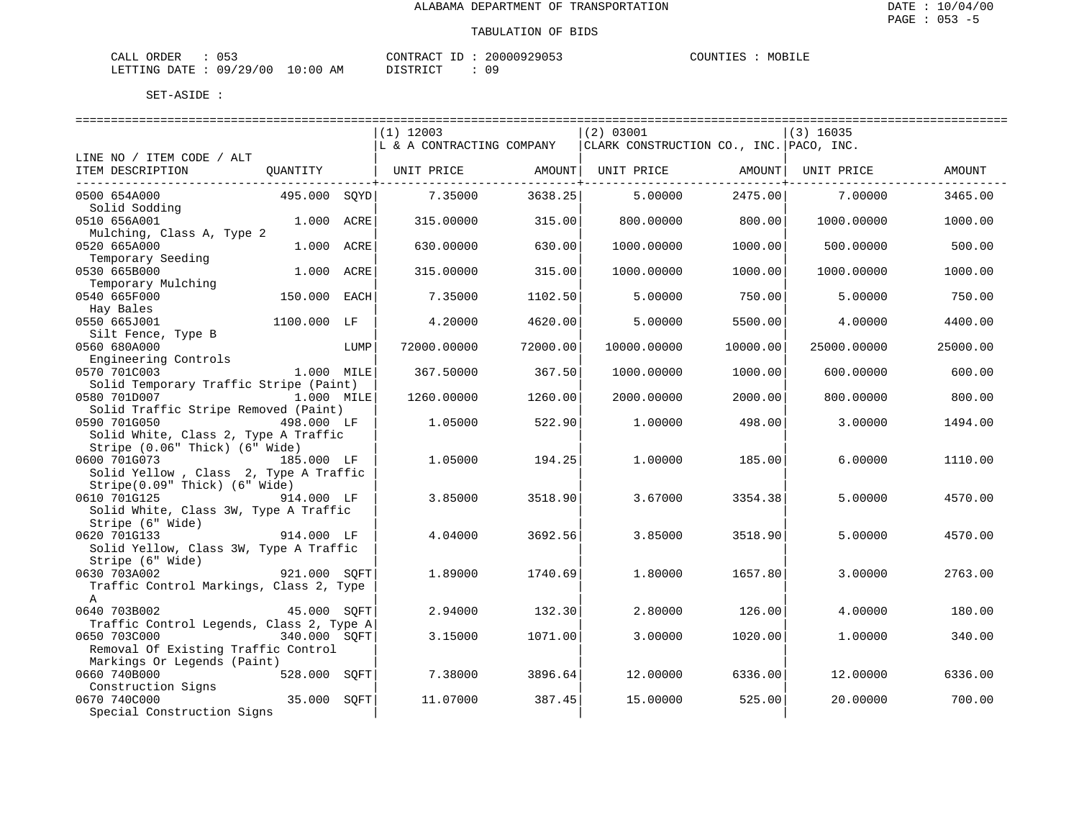| CALL ORDER | 053                          |    | CONTRACT ID: |  | 20000929053 | COUNTIES | MOBILE |
|------------|------------------------------|----|--------------|--|-------------|----------|--------|
|            | LETTING DATE: 09/29/00 10:00 | AM | PISTRICT     |  |             |          |        |

|                                                          |              |      | $(1)$ 12003               |          | (2) 03001                                                                 |          | $(3)$ 16035 |          |
|----------------------------------------------------------|--------------|------|---------------------------|----------|---------------------------------------------------------------------------|----------|-------------|----------|
|                                                          |              |      | L & A CONTRACTING COMPANY |          | CLARK CONSTRUCTION CO., INC. PACO, INC.                                   |          |             |          |
| LINE NO / ITEM CODE / ALT                                |              |      |                           |          |                                                                           |          |             |          |
| ITEM DESCRIPTION                                         | QUANTITY     |      |                           |          | UNIT PRICE                 AMOUNT     UNIT PRICE                   AMOUNT |          | UNIT PRICE  | AMOUNT   |
|                                                          |              |      |                           |          |                                                                           |          |             |          |
| 0500 654A000                                             | 495.000 SQYD |      | 7.35000                   | 3638.25  | 5.00000                                                                   | 2475.00  | 7.00000     | 3465.00  |
| Solid Sodding                                            |              |      |                           |          |                                                                           |          |             |          |
| 0510 656A001                                             | 1.000 ACRE   |      | 315,00000                 | 315.00   | 800,00000                                                                 | 800.00   | 1000.00000  | 1000.00  |
| Mulching, Class A, Type 2                                |              |      |                           |          |                                                                           |          |             |          |
| 0520 665A000                                             | 1.000 ACRE   |      | 630.00000                 | 630.00   | 1000.00000                                                                | 1000.00  | 500.00000   | 500.00   |
| Temporary Seeding                                        |              |      |                           |          |                                                                           |          |             |          |
| 0530 665B000                                             | 1.000 ACRE   |      | 315.00000                 | 315.00   | 1000.00000                                                                | 1000.00  | 1000.00000  | 1000.00  |
| Temporary Mulching                                       |              |      |                           |          |                                                                           |          |             |          |
| 0540 665F000                                             | 150.000 EACH |      | 7.35000                   | 1102.50  | 5.00000                                                                   | 750.00   | 5.00000     | 750.00   |
| Hay Bales                                                |              |      |                           |          |                                                                           |          |             |          |
| 0550 665J001                                             | 1100.000 LF  |      | 4.20000                   | 4620.00  | 5.00000                                                                   | 5500.00  | 4,00000     | 4400.00  |
| Silt Fence, Type B                                       |              |      |                           |          |                                                                           |          |             |          |
| 0560 680A000                                             |              | LUMP | 72000.00000               | 72000.00 | 10000.00000                                                               | 10000.00 | 25000.00000 | 25000.00 |
| Engineering Controls                                     |              |      |                           |          |                                                                           |          |             |          |
| 0570 701C003                                             | 1.000 MILE   |      | 367.50000                 | 367.50   | 1000.00000                                                                | 1000.00  | 600.00000   | 600.00   |
| Solid Temporary Traffic Stripe (Paint)                   |              |      |                           |          |                                                                           |          |             |          |
| 0580 701D007                                             | 1.000 MILE   |      | 1260.00000                | 1260.00  | 2000.00000                                                                | 2000.00  | 800.00000   | 800.00   |
| Solid Traffic Stripe Removed (Paint)                     |              |      |                           |          |                                                                           |          |             |          |
| 0590 701G050                                             | 498.000 LF   |      | 1.05000                   | 522.90   | 1,00000                                                                   | 498.00   | 3.00000     | 1494.00  |
| Solid White, Class 2, Type A Traffic                     |              |      |                           |          |                                                                           |          |             |          |
| Stripe (0.06" Thick) (6" Wide)                           |              |      |                           |          |                                                                           |          |             |          |
| 0600 701G073                                             | 185.000 LF   |      | 1.05000                   | 194.25   | 1,00000                                                                   | 185.00   | 6.00000     | 1110.00  |
| Solid Yellow, Class 2, Type A Traffic                    |              |      |                           |          |                                                                           |          |             |          |
| Stripe(0.09" Thick) (6" Wide)                            |              |      |                           |          |                                                                           |          |             |          |
| 0610 701G125                                             | 914.000 LF   |      | 3.85000                   | 3518.90  | 3.67000                                                                   | 3354.38  | 5.00000     | 4570.00  |
| Solid White, Class 3W, Type A Traffic                    |              |      |                           |          |                                                                           |          |             |          |
| Stripe (6" Wide)                                         |              |      |                           |          |                                                                           |          |             |          |
| 0620 701G133                                             | 914.000 LF   |      |                           | 3692.56  |                                                                           |          | 5.00000     | 4570.00  |
|                                                          |              |      | 4.04000                   |          | 3.85000                                                                   | 3518.90  |             |          |
| Solid Yellow, Class 3W, Type A Traffic                   |              |      |                           |          |                                                                           |          |             |          |
| Stripe (6" Wide)<br>0630 703A002                         | 921.000 SOFT |      | 1.89000                   | 1740.69  | 1,80000                                                                   | 1657.80  | 3,00000     | 2763.00  |
| Traffic Control Markings, Class 2, Type                  |              |      |                           |          |                                                                           |          |             |          |
|                                                          |              |      |                           |          |                                                                           |          |             |          |
| $\mathbb{A}$                                             |              |      |                           |          |                                                                           |          |             |          |
| 0640 703B002                                             | 45.000 SOFT  |      | 2.94000                   | 132.30   | 2.80000                                                                   | 126.00   | 4.00000     | 180.00   |
| Traffic Control Legends, Class 2, Type A<br>0650 703C000 | 340.000 SOFT |      |                           |          |                                                                           |          |             |          |
|                                                          |              |      | 3.15000                   | 1071.00  | 3.00000                                                                   | 1020.00  | 1,00000     | 340.00   |
| Removal Of Existing Traffic Control                      |              |      |                           |          |                                                                           |          |             |          |
| Markings Or Legends (Paint)                              |              |      |                           |          |                                                                           |          |             |          |
| 0660 740B000                                             | 528.000 SOFT |      | 7.38000                   | 3896.64  | 12.00000                                                                  | 6336.00  | 12,00000    | 6336.00  |
| Construction Signs                                       |              |      |                           |          |                                                                           |          |             |          |
| 0670 740C000                                             | 35.000 SQFT  |      | 11,07000                  | 387.45   | 15.00000                                                                  | 525.00   | 20.00000    | 700.00   |
| Special Construction Signs                               |              |      |                           |          |                                                                           |          |             |          |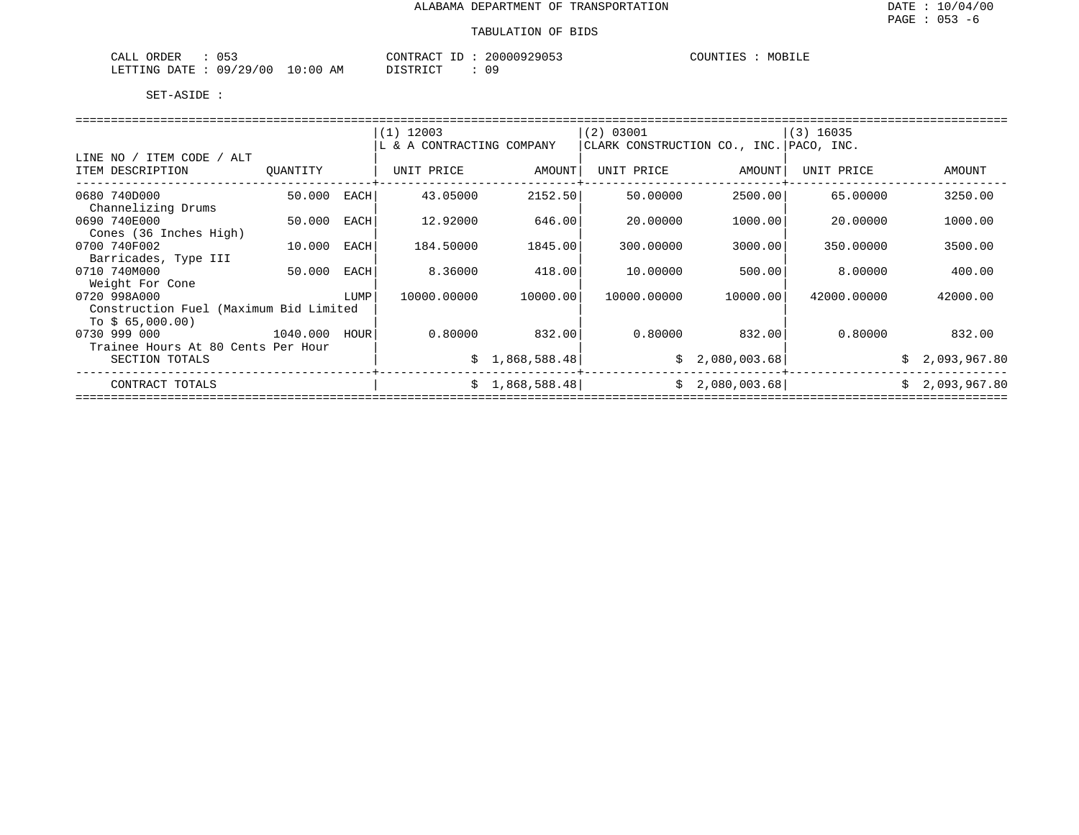| า ฉ ว<br>CALL<br>ORDER<br><u>. U J</u>        | 20000929053<br>$\cap$ ת סידיז $\cap$<br>$- -$<br>- JINE | COUNTIES<br>MOBILE |
|-----------------------------------------------|---------------------------------------------------------|--------------------|
| 09/29/00<br>10:00<br>LETTING<br>R מים מ<br>ΆM | דת לידי את ה<br>09<br>.                                 |                    |

|                                        |          |      | $(1)$ 12003               |                 | (2) 03001                               |                 | (3) 16035   |                |
|----------------------------------------|----------|------|---------------------------|-----------------|-----------------------------------------|-----------------|-------------|----------------|
|                                        |          |      | L & A CONTRACTING COMPANY |                 | CLARK CONSTRUCTION CO., INC. PACO, INC. |                 |             |                |
| LINE NO / ITEM CODE / ALT              |          |      |                           |                 |                                         |                 |             |                |
| ITEM DESCRIPTION                       | OUANTITY |      | UNIT PRICE                | AMOUNT          | UNIT PRICE                              | AMOUNT          | UNIT PRICE  | AMOUNT         |
| 0680 740D000                           | 50.000   | EACH | 43.05000                  | 2152.50         | 50,00000                                | 2500.00         | 65.00000    | 3250.00        |
| Channelizing Drums<br>0690 740E000     | 50.000   | EACH | 12.92000                  | 646.00          | 20,00000                                | 1000.00         | 20.00000    | 1000.00        |
| Cones (36 Inches High)                 |          |      |                           |                 |                                         |                 |             |                |
| 0700 740F002<br>Barricades, Type III   | 10.000   | EACH | 184.50000                 | 1845.00         | 300.00000                               | 3000.00         | 350.00000   | 3500.00        |
| 0710 740M000                           | 50.000   | EACH | 8.36000                   | 418.00          | 10,00000                                | 500.00          | 8,00000     | 400.00         |
| Weight For Cone                        |          |      |                           |                 |                                         |                 |             |                |
| 0720 998A000                           |          | LUMP | 10000.00000               | 10000.00        | 10000.00000                             | 10000.00        | 42000.00000 | 42000.00       |
| Construction Fuel (Maximum Bid Limited |          |      |                           |                 |                                         |                 |             |                |
| To $$65,000.00)$                       |          |      |                           |                 |                                         |                 |             |                |
| 0730 999 000                           | 1040.000 | HOUR | 0.80000                   | 832.00          | 0.80000                                 | 832.00          | 0.80000     | 832.00         |
| Trainee Hours At 80 Cents Per Hour     |          |      |                           |                 |                                         |                 |             |                |
| SECTION TOTALS                         |          |      |                           | \$1,868,588.48] |                                         | \$2,080,003.68] |             | \$2,093,967.80 |
| CONTRACT TOTALS                        |          |      |                           | \$1,868,588.48] |                                         | \$2,080,003.68] |             | \$2,093,967.80 |
|                                        |          |      |                           |                 |                                         |                 |             |                |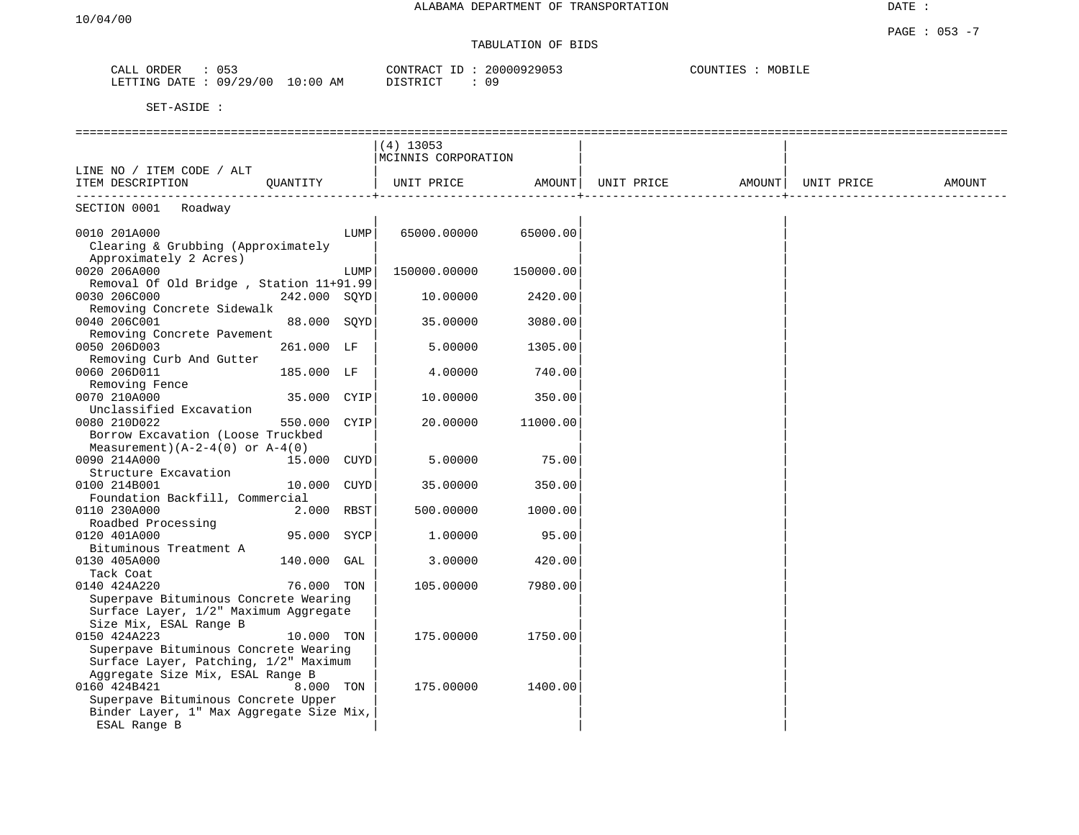| ORDER<br>CALL | 053      |             | CONTRACT ID | 20000929053 | MOBILE<br>COUNTIES |
|---------------|----------|-------------|-------------|-------------|--------------------|
| LETTING DATE  | 09/29/00 | 10:00<br>ΆM | DISTRICT    | 09          |                    |

|                                          |              |      | $(4)$ 13053         |           |                   |            |        |
|------------------------------------------|--------------|------|---------------------|-----------|-------------------|------------|--------|
|                                          |              |      | MCINNIS CORPORATION |           |                   |            |        |
| LINE NO / ITEM CODE / ALT                |              |      |                     |           |                   |            |        |
| ITEM DESCRIPTION                         | OUANTITY     |      | UNIT PRICE AMOUNT   |           | UNIT PRICE AMOUNT | UNIT PRICE | AMOUNT |
|                                          |              |      |                     |           |                   |            |        |
| SECTION 0001 Roadway                     |              |      |                     |           |                   |            |        |
|                                          |              |      |                     |           |                   |            |        |
| 0010 201A000                             |              | LUMP | 65000.00000         | 65000.00  |                   |            |        |
| Clearing & Grubbing (Approximately       |              |      |                     |           |                   |            |        |
| Approximately 2 Acres)                   |              |      |                     |           |                   |            |        |
| 0020 206A000                             |              | LUMP | 150000.00000        | 150000.00 |                   |            |        |
| Removal Of Old Bridge, Station 11+91.99  |              |      |                     |           |                   |            |        |
| 0030 206C000                             | 242.000 SQYD |      | 10.00000            | 2420.00   |                   |            |        |
| Removing Concrete Sidewalk               |              |      |                     |           |                   |            |        |
| 0040 206C001                             | 88.000 SQYD  |      | 35.00000            | 3080.00   |                   |            |        |
| Removing Concrete Pavement               |              |      |                     |           |                   |            |        |
| 0050 206D003                             | 261.000 LF   |      | 5.00000             | 1305.00   |                   |            |        |
| Removing Curb And Gutter                 |              |      |                     |           |                   |            |        |
| 0060 206D011                             | 185.000 LF   |      | 4.00000             | 740.00    |                   |            |        |
| Removing Fence                           |              |      |                     |           |                   |            |        |
| 0070 210A000                             | 35.000 CYIP  |      | 10.00000            | 350.00    |                   |            |        |
| Unclassified Excavation                  |              |      |                     |           |                   |            |        |
| 0080 210D022                             | 550.000 CYIP |      | 20.00000            | 11000.00  |                   |            |        |
| Borrow Excavation (Loose Truckbed        |              |      |                     |           |                   |            |        |
| Measurement) $(A-2-4(0))$ or $A-4(0)$    |              |      |                     |           |                   |            |        |
| 0090 214A000                             | 15.000       | CUYD | 5.00000             | 75.00     |                   |            |        |
| Structure Excavation                     |              |      |                     |           |                   |            |        |
| 0100 214B001                             | 10.000       | CUYD | 35.00000            | 350.00    |                   |            |        |
| Foundation Backfill, Commercial          |              |      |                     |           |                   |            |        |
|                                          | 2.000 RBST   |      |                     |           |                   |            |        |
| 0110 230A000<br>Roadbed Processing       |              |      | 500.00000           | 1000.00   |                   |            |        |
| 0120 401A000                             | 95.000 SYCP  |      |                     | 95.00     |                   |            |        |
| Bituminous Treatment A                   |              |      | 1,00000             |           |                   |            |        |
| 0130 405A000                             | 140.000 GAL  |      | 3.00000             | 420.00    |                   |            |        |
| Tack Coat                                |              |      |                     |           |                   |            |        |
| 0140 424A220                             | 76.000 TON   |      | 105.00000           | 7980.00   |                   |            |        |
| Superpave Bituminous Concrete Wearing    |              |      |                     |           |                   |            |        |
| Surface Layer, 1/2" Maximum Aggregate    |              |      |                     |           |                   |            |        |
|                                          |              |      |                     |           |                   |            |        |
| Size Mix, ESAL Range B<br>0150 424A223   |              |      | 175.00000           | 1750.00   |                   |            |        |
|                                          | 10.000 TON   |      |                     |           |                   |            |        |
| Superpave Bituminous Concrete Wearing    |              |      |                     |           |                   |            |        |
| Surface Layer, Patching, 1/2" Maximum    |              |      |                     |           |                   |            |        |
| Aggregate Size Mix, ESAL Range B         |              |      |                     |           |                   |            |        |
| 0160 424B421                             | 8.000 TON    |      | 175.00000           | 1400.00   |                   |            |        |
| Superpave Bituminous Concrete Upper      |              |      |                     |           |                   |            |        |
| Binder Layer, 1" Max Aggregate Size Mix, |              |      |                     |           |                   |            |        |
| ESAL Range B                             |              |      |                     |           |                   |            |        |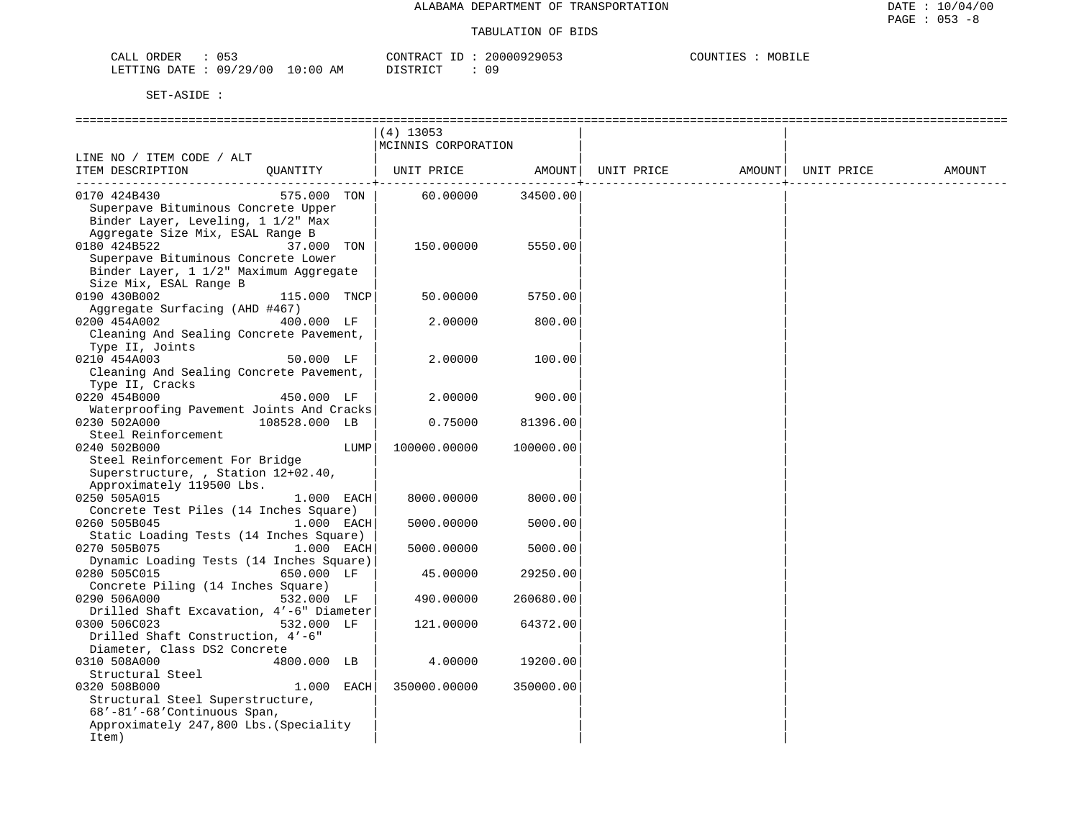| 053<br>CALL ORDER                |          | CONTRACT ID: 20000929053 | MOBILE<br>COUNTIES |
|----------------------------------|----------|--------------------------|--------------------|
| LETTING DATE : 09/29/00 10:00 AM | DISTRICT | 09                       |                    |

|                                          |              |      | $(4)$ 13053           |                     |                     |                     |        |
|------------------------------------------|--------------|------|-----------------------|---------------------|---------------------|---------------------|--------|
|                                          |              |      | MCINNIS CORPORATION   |                     |                     |                     |        |
| LINE NO / ITEM CODE / ALT                |              |      |                       |                     |                     |                     |        |
| ITEM DESCRIPTION                         |              |      | OUANTITY   UNIT PRICE |                     | AMOUNT   UNIT PRICE | AMOUNT   UNIT PRICE | AMOUNT |
|                                          |              |      |                       | ------------------- |                     |                     |        |
| 0170 424B430                             | 575.000 TON  |      | 60.00000              | 34500.00            |                     |                     |        |
|                                          |              |      |                       |                     |                     |                     |        |
| Superpave Bituminous Concrete Upper      |              |      |                       |                     |                     |                     |        |
| Binder Layer, Leveling, 1 1/2" Max       |              |      |                       |                     |                     |                     |        |
| Aggregate Size Mix, ESAL Range B         |              |      |                       |                     |                     |                     |        |
| 0180 424B522                             | 37.000 TON   |      | 150.00000             | 5550.00             |                     |                     |        |
| Superpave Bituminous Concrete Lower      |              |      |                       |                     |                     |                     |        |
| Binder Layer, 1 1/2" Maximum Aggregate   |              |      |                       |                     |                     |                     |        |
| Size Mix, ESAL Range B                   |              |      |                       |                     |                     |                     |        |
| 0190 430B002                             | 115.000 TNCP |      | 50.00000              | 5750.00             |                     |                     |        |
| Aggregate Surfacing (AHD #467)           |              |      |                       |                     |                     |                     |        |
|                                          | 400.000 LF   |      |                       |                     |                     |                     |        |
| 0200 454A002                             |              |      | 2.00000               | 800.00              |                     |                     |        |
| Cleaning And Sealing Concrete Pavement,  |              |      |                       |                     |                     |                     |        |
| Type II, Joints                          |              |      |                       |                     |                     |                     |        |
| 0210 454A003                             | 50.000 LF    |      | 2.00000               | 100.00              |                     |                     |        |
| Cleaning And Sealing Concrete Pavement,  |              |      |                       |                     |                     |                     |        |
| Type II, Cracks                          |              |      |                       |                     |                     |                     |        |
| 0220 454B000                             | 450.000 LF   |      | 2.00000               | 900.00              |                     |                     |        |
| Waterproofing Pavement Joints And Cracks |              |      |                       |                     |                     |                     |        |
| 0230 502A000 108528.000 LB               |              |      | 0.75000               | 81396.00            |                     |                     |        |
|                                          |              |      |                       |                     |                     |                     |        |
| Steel Reinforcement                      |              |      |                       |                     |                     |                     |        |
| 0240 502B000                             |              | LUMP | 100000.00000          | 100000.00           |                     |                     |        |
| Steel Reinforcement For Bridge           |              |      |                       |                     |                     |                     |        |
| Superstructure, , Station 12+02.40,      |              |      |                       |                     |                     |                     |        |
| Approximately 119500 Lbs.                |              |      |                       |                     |                     |                     |        |
| 0250 505A015                             | $1.000$ EACH |      | 8000.00000            | 8000.00             |                     |                     |        |
| Concrete Test Piles (14 Inches Square)   |              |      |                       |                     |                     |                     |        |
| 0260 505B045                             | $1.000$ EACH |      | 5000.00000            | 5000.00             |                     |                     |        |
| Static Loading Tests (14 Inches Square)  |              |      |                       |                     |                     |                     |        |
| 0270 505B075                             | $1.000$ EACH |      | 5000.00000            | 5000.00             |                     |                     |        |
| Dynamic Loading Tests (14 Inches Square) |              |      |                       |                     |                     |                     |        |
| 0280 505C015                             | 650.000 LF   |      |                       |                     |                     |                     |        |
|                                          |              |      | 45.00000              | 29250.00            |                     |                     |        |
| Concrete Piling (14 Inches Square)       |              |      |                       |                     |                     |                     |        |
| 0290 506A000                             | 532.000 LF   |      | 490.00000             | 260680.00           |                     |                     |        |
| Drilled Shaft Excavation, 4'-6" Diameter |              |      |                       |                     |                     |                     |        |
| 0300 506C023                             | 532.000 LF   |      | 121,00000             | 64372.00            |                     |                     |        |
| Drilled Shaft Construction, 4'-6"        |              |      |                       |                     |                     |                     |        |
| Diameter, Class DS2 Concrete             |              |      |                       |                     |                     |                     |        |
| 0310 508A000<br>4800.000 LB              |              |      | 4.00000               | 19200.00            |                     |                     |        |
| Structural Steel                         |              |      |                       |                     |                     |                     |        |
| 0320 508B000                             | $1.000$ EACH |      | 350000.00000          | 350000.00           |                     |                     |        |
| Structural Steel Superstructure,         |              |      |                       |                     |                     |                     |        |
|                                          |              |      |                       |                     |                     |                     |        |
| 68'-81'-68'Continuous Span,              |              |      |                       |                     |                     |                     |        |
| Approximately 247,800 Lbs. (Speciality   |              |      |                       |                     |                     |                     |        |
| Item)                                    |              |      |                       |                     |                     |                     |        |
|                                          |              |      |                       |                     |                     |                     |        |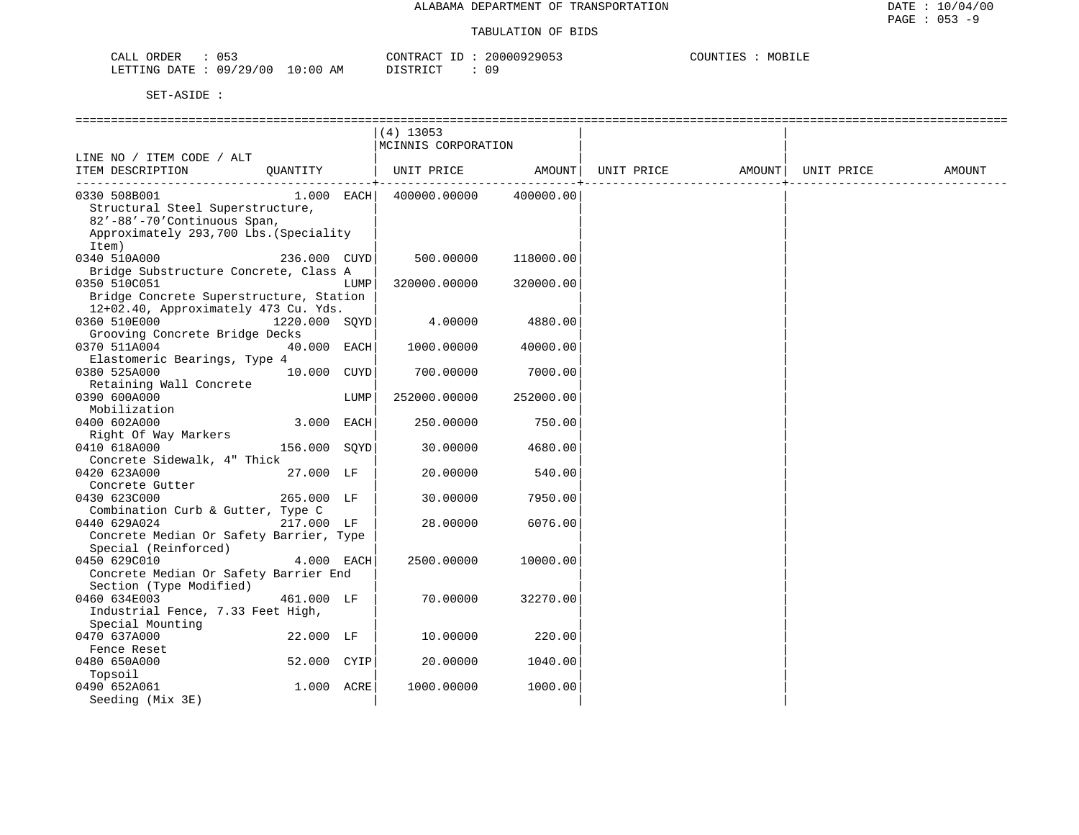| 053<br>ORDER<br>لللطات   |             | CONTRACT                              | 20000929053 | COUNT.<br>мı<br>TORT TE |
|--------------------------|-------------|---------------------------------------|-------------|-------------------------|
| 09/29/00<br>LETTING DATE | 10:00<br>AΜ | $\tau$ crp $\tau$ $\sim$<br>--------- | $\lambda$   |                         |

|                                         |               |      | $(4)$ 13053         |           |                   |            |        |
|-----------------------------------------|---------------|------|---------------------|-----------|-------------------|------------|--------|
|                                         |               |      | MCINNIS CORPORATION |           |                   |            |        |
| LINE NO / ITEM CODE / ALT               |               |      |                     |           |                   |            |        |
| ITEM DESCRIPTION                        | QUANTITY      |      | UNIT PRICE          | AMOUNT    | UNIT PRICE AMOUNT | UNIT PRICE | AMOUNT |
|                                         |               |      |                     |           |                   |            |        |
| 0330 508B001                            | $1.000$ EACH  |      | 400000.00000        | 400000.00 |                   |            |        |
| Structural Steel Superstructure,        |               |      |                     |           |                   |            |        |
| 82'-88'-70'Continuous Span,             |               |      |                     |           |                   |            |        |
| Approximately 293,700 Lbs. (Speciality  |               |      |                     |           |                   |            |        |
| Item)                                   |               |      |                     |           |                   |            |        |
| 0340 510A000                            | 236.000 CUYD  |      | 500.00000           | 118000.00 |                   |            |        |
| Bridge Substructure Concrete, Class A   |               |      |                     |           |                   |            |        |
| 0350 510C051                            |               | LUMP | 320000.00000        | 320000.00 |                   |            |        |
| Bridge Concrete Superstructure, Station |               |      |                     |           |                   |            |        |
| 12+02.40, Approximately 473 Cu. Yds.    |               |      |                     |           |                   |            |        |
| 0360 510E000                            | 1220.000 SQYD |      | 4.00000             | 4880.00   |                   |            |        |
| Grooving Concrete Bridge Decks          |               |      |                     |           |                   |            |        |
| 0370 511A004                            | 40.000 EACH   |      | 1000.00000          | 40000.00  |                   |            |        |
| Elastomeric Bearings, Type 4            |               |      |                     |           |                   |            |        |
| 0380 525A000                            | 10.000 CUYD   |      | 700.00000           | 7000.00   |                   |            |        |
| Retaining Wall Concrete                 |               |      |                     |           |                   |            |        |
| 0390 600A000                            |               | LUMP | 252000.00000        | 252000.00 |                   |            |        |
| Mobilization                            |               |      |                     |           |                   |            |        |
| 0400 602A000                            | 3.000 EACH    |      | 250.00000           | 750.00    |                   |            |        |
| Right Of Way Markers                    |               |      |                     |           |                   |            |        |
| 0410 618A000                            | 156.000 SOYD  |      | 30.00000            | 4680.00   |                   |            |        |
| Concrete Sidewalk, 4" Thick             |               |      |                     |           |                   |            |        |
| 0420 623A000                            | 27.000 LF     |      | 20.00000            | 540.00    |                   |            |        |
| Concrete Gutter                         |               |      |                     |           |                   |            |        |
| 0430 623C000                            | 265.000 LF    |      | 30.00000            | 7950.00   |                   |            |        |
| Combination Curb & Gutter, Type C       |               |      |                     |           |                   |            |        |
| 0440 629A024                            | 217.000 LF    |      | 28.00000            | 6076.00   |                   |            |        |
| Concrete Median Or Safety Barrier, Type |               |      |                     |           |                   |            |        |
| Special (Reinforced)                    |               |      |                     |           |                   |            |        |
| 0450 629C010                            | 4.000 EACH    |      | 2500.00000          | 10000.00  |                   |            |        |
| Concrete Median Or Safety Barrier End   |               |      |                     |           |                   |            |        |
| Section (Type Modified)                 |               |      |                     |           |                   |            |        |
| 0460 634E003                            | 461.000 LF    |      | 70.00000            | 32270.00  |                   |            |        |
| Industrial Fence, 7.33 Feet High,       |               |      |                     |           |                   |            |        |
| Special Mounting                        |               |      |                     |           |                   |            |        |
| 0470 637A000                            | 22.000 LF     |      | 10.00000            | 220.00    |                   |            |        |
| Fence Reset                             |               |      |                     |           |                   |            |        |
| 0480 650A000                            | 52.000 CYIP   |      | 20.00000            | 1040.00   |                   |            |        |
| Topsoil                                 |               |      |                     |           |                   |            |        |
| 0490 652A061                            | 1.000 ACRE    |      | 1000.00000          | 1000.00   |                   |            |        |
| Seeding (Mix 3E)                        |               |      |                     |           |                   |            |        |
|                                         |               |      |                     |           |                   |            |        |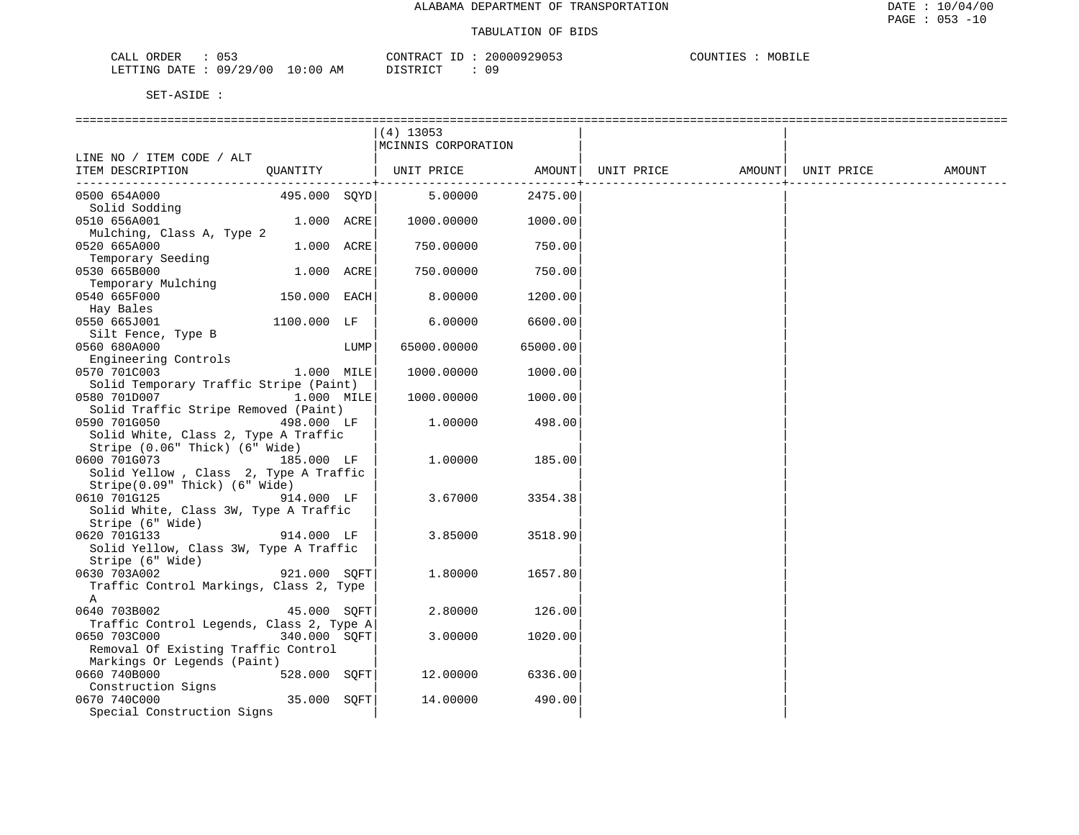| ORDER<br>1 h<br>الململ                           |              | CONTRACT   | $\begin{array}{c} \circ \\ \circ \\ \circ \end{array}$<br>2905 | .<br>40 B L L F<br>. |
|--------------------------------------------------|--------------|------------|----------------------------------------------------------------|----------------------|
| LETTING<br>'00<br>129<br>DATE<br>$\cap$ $\Omega$ | ገ : በし<br>AM | DICTOR TOP | $\lambda$                                                      |                      |

|                                                          |              |      | $(4)$ 13053         |          |                   |            |        |
|----------------------------------------------------------|--------------|------|---------------------|----------|-------------------|------------|--------|
|                                                          |              |      | MCINNIS CORPORATION |          |                   |            |        |
| LINE NO / ITEM CODE / ALT                                |              |      |                     |          |                   |            |        |
| ITEM DESCRIPTION                                         | QUANTITY     |      | UNIT PRICE AMOUNT   |          | UNIT PRICE AMOUNT | UNIT PRICE | AMOUNT |
|                                                          |              |      |                     |          |                   |            |        |
| 0500 654A000                                             | 495.000 SQYD |      | 5.00000             | 2475.00  |                   |            |        |
| Solid Sodding                                            |              |      |                     |          |                   |            |        |
| 0510 656A001<br>Mulching, Class A, Type 2                | 1.000 ACRE   |      | 1000.00000          | 1000.00  |                   |            |        |
| 0520 665A000                                             | 1.000 ACRE   |      | 750.00000           | 750.00   |                   |            |        |
| Temporary Seeding                                        |              |      |                     |          |                   |            |        |
| 0530 665B000                                             | 1.000 ACRE   |      | 750.00000           | 750.00   |                   |            |        |
| Temporary Mulching                                       |              |      |                     |          |                   |            |        |
| 0540 665F000                                             | 150.000 EACH |      | 8.00000             | 1200.00  |                   |            |        |
| Hay Bales                                                |              |      |                     |          |                   |            |        |
| 0550 665J001                                             | 1100.000 LF  |      | 6.00000             | 6600.00  |                   |            |        |
| Silt Fence, Type B                                       |              |      |                     |          |                   |            |        |
| 0560 680A000                                             |              | LUMP | 65000.00000         | 65000.00 |                   |            |        |
| Engineering Controls                                     |              |      |                     |          |                   |            |        |
| 0570 701C003                                             | 1.000 MILE   |      | 1000.00000          | 1000.00  |                   |            |        |
| Solid Temporary Traffic Stripe (Paint)                   |              |      |                     |          |                   |            |        |
| 0580 701D007                                             | $1.000$ MILE |      | 1000.00000          | 1000.00  |                   |            |        |
| Solid Traffic Stripe Removed (Paint)                     |              |      |                     |          |                   |            |        |
| 0590 701G050                                             | 498.000 LF   |      | 1.00000             | 498.00   |                   |            |        |
| Solid White, Class 2, Type A Traffic                     |              |      |                     |          |                   |            |        |
| Stripe (0.06" Thick) (6" Wide)                           |              |      |                     |          |                   |            |        |
| 0600 701G073                                             | 185.000 LF   |      | 1,00000             | 185.00   |                   |            |        |
| Solid Yellow, Class 2, Type A Traffic                    |              |      |                     |          |                   |            |        |
| Stripe(0.09" Thick) (6" Wide)                            |              |      |                     |          |                   |            |        |
| 0610 701G125                                             | 914.000 LF   |      | 3.67000             | 3354.38  |                   |            |        |
| Solid White, Class 3W, Type A Traffic                    |              |      |                     |          |                   |            |        |
| Stripe (6" Wide)                                         |              |      |                     |          |                   |            |        |
| 0620 701G133                                             | 914.000 LF   |      | 3.85000             | 3518.90  |                   |            |        |
| Solid Yellow, Class 3W, Type A Traffic                   |              |      |                     |          |                   |            |        |
| Stripe (6" Wide)                                         |              |      |                     |          |                   |            |        |
| 0630 703A002                                             | 921.000 SOFT |      | 1,80000             | 1657.80  |                   |            |        |
| Traffic Control Markings, Class 2, Type                  |              |      |                     |          |                   |            |        |
| Α                                                        |              |      |                     |          |                   |            |        |
| 0640 703B002                                             | 45.000 SOFT  |      | 2.80000             | 126.00   |                   |            |        |
| Traffic Control Legends, Class 2, Type A<br>0650 703C000 | 340.000 SOFT |      | 3.00000             | 1020.00  |                   |            |        |
| Removal Of Existing Traffic Control                      |              |      |                     |          |                   |            |        |
| Markings Or Legends (Paint)                              |              |      |                     |          |                   |            |        |
| 0660 740B000                                             | 528.000 SQFT |      | 12.00000            | 6336.00  |                   |            |        |
| Construction Signs                                       |              |      |                     |          |                   |            |        |
| 0670 740C000                                             | 35.000 SQFT  |      | 14.00000            | 490.00   |                   |            |        |
| Special Construction Signs                               |              |      |                     |          |                   |            |        |
|                                                          |              |      |                     |          |                   |            |        |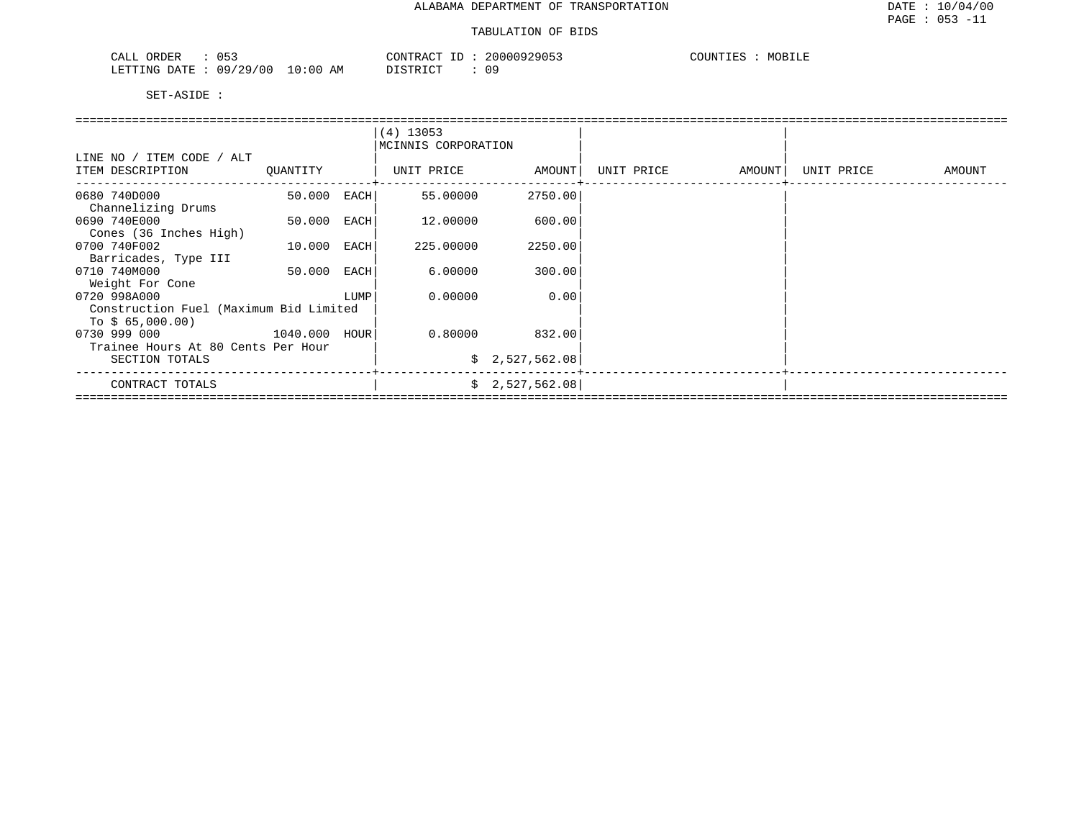| 053<br>ORDER<br>$\sim   -$<br>CALL | CONTRACT                           | 20000929053<br>$- -$ | COUNTIES<br>$\cdots$<br>MORTTR |  |
|------------------------------------|------------------------------------|----------------------|--------------------------------|--|
| 09/29/00<br>LETTING DATE           | LO : 00<br>ידי איד פידי<br>AM<br>. | n a<br>U -           |                                |  |

|                                        |          |      | $(4)$ 13053<br>MCINNIS CORPORATION |                 |            |        |            |        |
|----------------------------------------|----------|------|------------------------------------|-----------------|------------|--------|------------|--------|
| LINE NO / ITEM CODE / ALT              |          |      |                                    |                 |            |        |            |        |
| ITEM DESCRIPTION                       | OUANTITY |      | UNIT PRICE                         | AMOUNT          | UNIT PRICE | AMOUNT | UNIT PRICE | AMOUNT |
| 0680 740D000                           | 50.000   | EACH | 55.00000                           | 2750.00         |            |        |            |        |
| Channelizing Drums                     |          |      |                                    |                 |            |        |            |        |
| 0690 740E000                           | 50.000   | EACH | 12.00000                           | 600.00          |            |        |            |        |
| Cones (36 Inches High)                 |          |      |                                    |                 |            |        |            |        |
| 0700 740F002                           | 10.000   | EACH | 225,00000                          | 2250.00         |            |        |            |        |
| Barricades, Type III                   |          |      |                                    |                 |            |        |            |        |
| 0710 740M000                           | 50.000   | EACH | 6.00000                            | 300.00          |            |        |            |        |
| Weight For Cone                        |          |      |                                    |                 |            |        |            |        |
| 0720 998A000                           |          | LUMP | 0.00000                            | 0.00            |            |        |            |        |
| Construction Fuel (Maximum Bid Limited |          |      |                                    |                 |            |        |            |        |
| To $$65,000.00)$                       |          |      |                                    |                 |            |        |            |        |
| 0730 999 000<br>1040.000               |          | HOUR | 0.80000                            | 832.00          |            |        |            |        |
| Trainee Hours At 80 Cents Per Hour     |          |      |                                    |                 |            |        |            |        |
| SECTION TOTALS                         |          |      |                                    | \$2,527,562.08  |            |        |            |        |
|                                        |          |      |                                    |                 |            |        |            |        |
| CONTRACT TOTALS                        |          |      |                                    | \$2,527,562.08] |            |        |            |        |
|                                        |          |      |                                    |                 |            |        |            |        |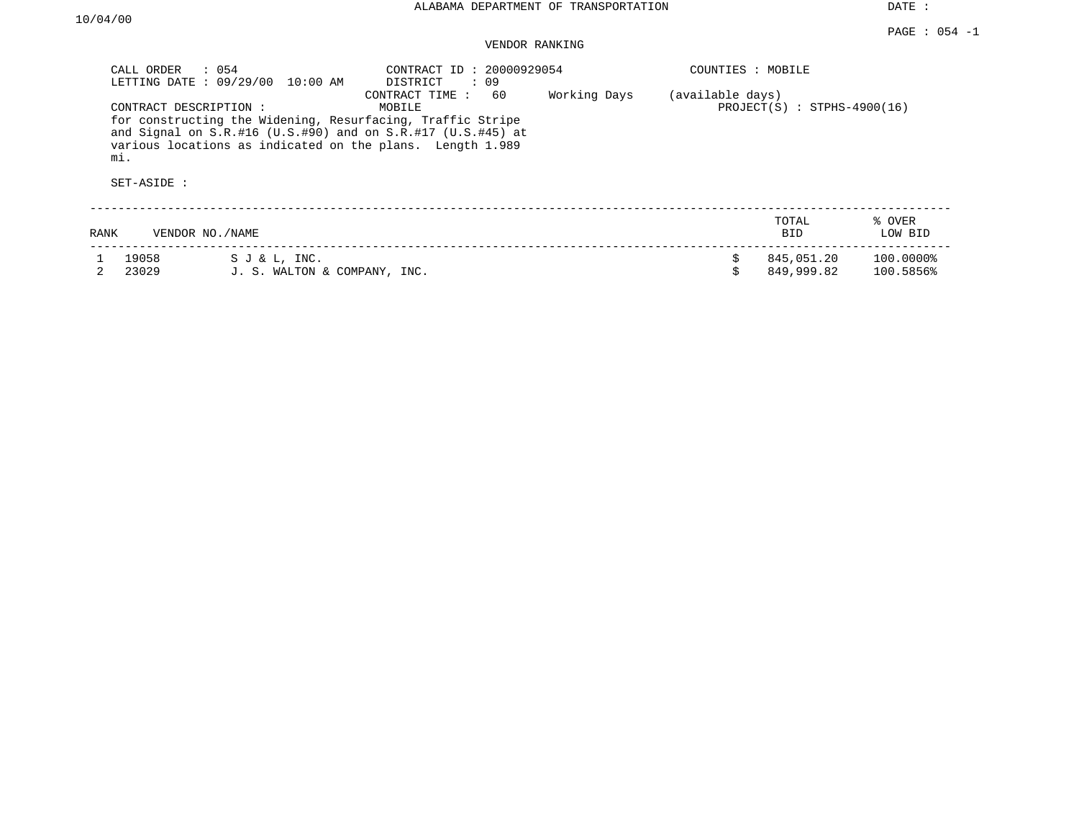DATE :

# VENDOR RANKING

| CALL ORDER                    | : 054<br>LETTING DATE: 09/29/00 10:00 AM     | CONTRACT ID: 20000929054<br>DISTRICT : 09                                                                                                                                                                                |              | COUNTIES : MOBILE |                               |                        |
|-------------------------------|----------------------------------------------|--------------------------------------------------------------------------------------------------------------------------------------------------------------------------------------------------------------------------|--------------|-------------------|-------------------------------|------------------------|
| CONTRACT DESCRIPTION :<br>mi. |                                              | 60<br>CONTRACT TIME:<br>MOBILE<br>for constructing the Widening, Resurfacing, Traffic Stripe<br>and Signal on S.R.#16 (U.S.#90) and on S.R.#17 (U.S.#45) at<br>various locations as indicated on the plans. Length 1.989 | Working Days | (available days)  | $PROJECT(S)$ : STPHS-4900(16) |                        |
| SET-ASIDE :                   |                                              |                                                                                                                                                                                                                          |              |                   |                               |                        |
| RANK                          | VENDOR NO. / NAME                            |                                                                                                                                                                                                                          |              |                   | TOTAL<br><b>BID</b>           | % OVER<br>LOW BID      |
| 19058<br>23029                | SJ & L, INC.<br>J. S. WALTON & COMPANY, INC. |                                                                                                                                                                                                                          |              |                   | 845,051.20<br>849,999.82      | 100.0000%<br>100.5856% |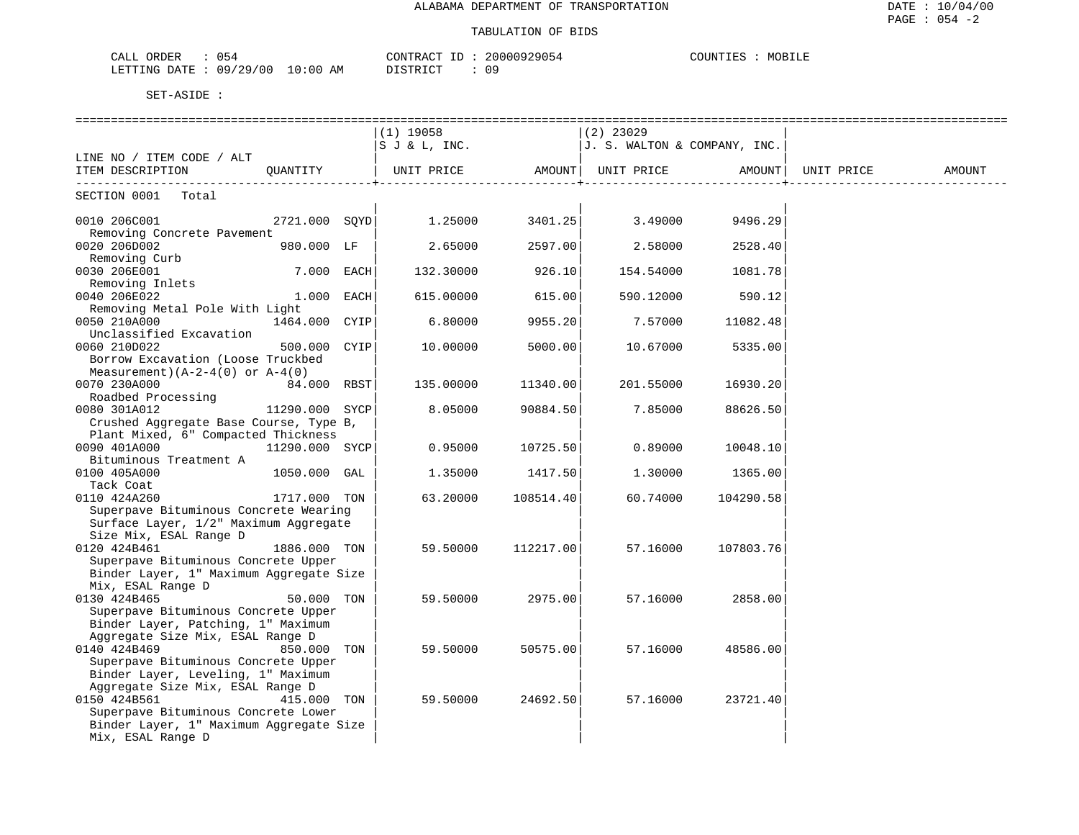| 054<br>CALL ORDER                | CONTRACT ID: | 20000929054 | COUNTIES<br>MOBILE |
|----------------------------------|--------------|-------------|--------------------|
| LETTING DATE : 09/29/00 10:00 AM | DISTRICT     |             |                    |

|                                         |                | ============================       |           | ===================            |           |            |        |
|-----------------------------------------|----------------|------------------------------------|-----------|--------------------------------|-----------|------------|--------|
|                                         |                | $(1)$ 19058                        |           | $(2)$ 23029                    |           |            |        |
|                                         |                | $ S \text{ J} \& \text{ L}$ , INC. |           | J. S. WALTON & COMPANY, INC.   |           |            |        |
| LINE NO / ITEM CODE / ALT               |                |                                    |           |                                |           |            |        |
| ITEM DESCRIPTION                        | OUANTITY       |                                    |           | UNIT PRICE AMOUNT   UNIT PRICE | AMOUNT    | UNIT PRICE | AMOUNT |
|                                         |                | ------------------------------+-   |           |                                |           |            |        |
| SECTION 0001 Total                      |                |                                    |           |                                |           |            |        |
|                                         |                |                                    |           |                                |           |            |        |
| 0010 206C001                            |                | 2721.000 SQYD 1.25000              |           | 3401.25 3.49000                | 9496.29   |            |        |
| Removing Concrete Pavement              |                |                                    |           |                                |           |            |        |
| 0020 206D002                            | 980.000 LF     | 2.65000                            | 2597.00   | 2.58000                        | 2528.40   |            |        |
| Removing Curb                           |                |                                    |           |                                |           |            |        |
| 0030 206E001                            | $7.000$ EACH   | 132.30000                          | 926.10    | 154.54000                      | 1081.78   |            |        |
| Removing Inlets                         |                |                                    |           |                                |           |            |        |
| 0040 206E022                            | 1.000 EACH     | 615.00000                          | 615.00    | 590.12000                      | 590.12    |            |        |
| Removing Metal Pole With Light          |                |                                    |           |                                |           |            |        |
| 0050 210A000                            | 1464.000 CYIP  | 6.80000                            | 9955.20   | 7.57000                        | 11082.48  |            |        |
| Unclassified Excavation                 |                |                                    |           |                                |           |            |        |
|                                         |                |                                    |           |                                |           |            |        |
| 0060 210D022                            | 500.000 CYIP   | 10.00000                           | 5000.00   | 10.67000                       | 5335.00   |            |        |
| Borrow Excavation (Loose Truckbed       |                |                                    |           |                                |           |            |        |
| Measurement) $(A-2-4(0)$ or $A-4(0)$    |                |                                    |           |                                |           |            |        |
| 0070 230A000                            | 84.000 RBST    | 135.00000                          | 11340.00  | 201.55000                      | 16930.20  |            |        |
| Roadbed Processing                      |                |                                    |           |                                |           |            |        |
| 0080 301A012                            | 11290.000 SYCP | 8.05000                            | 90884.50  | 7.85000                        | 88626.50  |            |        |
| Crushed Aggregate Base Course, Type B,  |                |                                    |           |                                |           |            |        |
| Plant Mixed, 6" Compacted Thickness     |                |                                    |           |                                |           |            |        |
| 0090 401A000                            | 11290.000 SYCP | 0.95000                            | 10725.50  | 0.89000                        | 10048.10  |            |        |
| Bituminous Treatment A                  |                |                                    |           |                                |           |            |        |
| 0100 405A000                            | 1050.000 GAL   | 1.35000                            | 1417.50   | 1,30000                        | 1365.00   |            |        |
| Tack Coat                               |                |                                    |           |                                |           |            |        |
| 0110 424A260                            | 1717.000 TON   | 63.20000                           | 108514.40 | 60.74000                       | 104290.58 |            |        |
| Superpave Bituminous Concrete Wearing   |                |                                    |           |                                |           |            |        |
| Surface Layer, 1/2" Maximum Aggregate   |                |                                    |           |                                |           |            |        |
| Size Mix, ESAL Range D                  |                |                                    |           |                                |           |            |        |
| 0120 424B461                            | 1886.000 TON   | 59.50000                           | 112217.00 | 57.16000                       | 107803.76 |            |        |
| Superpave Bituminous Concrete Upper     |                |                                    |           |                                |           |            |        |
| Binder Layer, 1" Maximum Aggregate Size |                |                                    |           |                                |           |            |        |
| Mix, ESAL Range D                       |                |                                    |           |                                |           |            |        |
| 0130 424B465                            | 50.000 TON     | 59.50000                           | 2975.00   | 57.16000                       | 2858.00   |            |        |
| Superpave Bituminous Concrete Upper     |                |                                    |           |                                |           |            |        |
| Binder Layer, Patching, 1" Maximum      |                |                                    |           |                                |           |            |        |
| Aggregate Size Mix, ESAL Range D        |                |                                    |           |                                |           |            |        |
| 0140 424B469                            | 850.000 TON    | 59.50000                           | 50575.00  | 57.16000                       | 48586.00  |            |        |
| Superpave Bituminous Concrete Upper     |                |                                    |           |                                |           |            |        |
| Binder Layer, Leveling, 1" Maximum      |                |                                    |           |                                |           |            |        |
| Aggregate Size Mix, ESAL Range D        |                |                                    |           |                                |           |            |        |
| 0150 424B561                            | 415.000 TON    | 59.50000                           | 24692.50  | 57.16000                       | 23721.40  |            |        |
| Superpave Bituminous Concrete Lower     |                |                                    |           |                                |           |            |        |
| Binder Layer, 1" Maximum Aggregate Size |                |                                    |           |                                |           |            |        |
| Mix, ESAL Range D                       |                |                                    |           |                                |           |            |        |
|                                         |                |                                    |           |                                |           |            |        |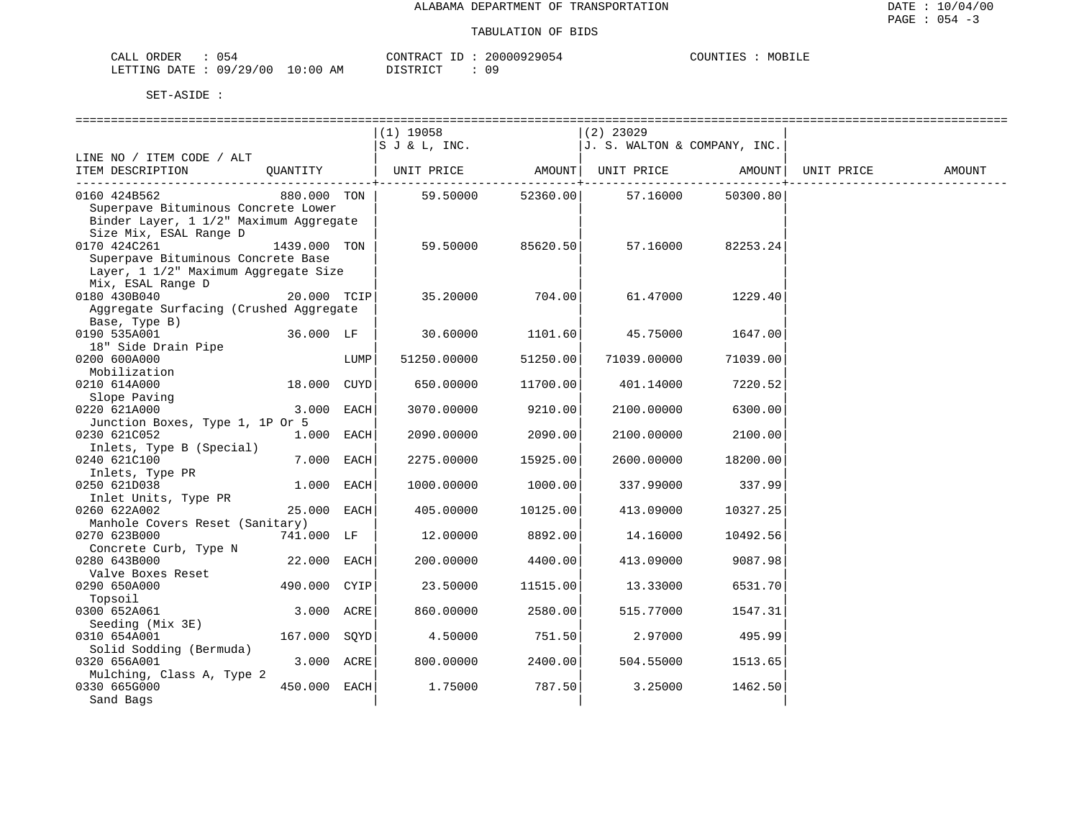| ORDER<br>CALL          | 4 ج ن |             | CONTRACT<br>TD. | 20000929054 | COUNTIES | MOBILE |
|------------------------|-------|-------------|-----------------|-------------|----------|--------|
| LETTING DATE: 09/29/00 |       | 10:00<br>AM | חי חים דרו      |             |          |        |

|                                                                   |              |      | $(1)$ 19058                                      |                   | $(2)$ 23029 |                  |                   |  |
|-------------------------------------------------------------------|--------------|------|--------------------------------------------------|-------------------|-------------|------------------|-------------------|--|
|                                                                   |              |      | $ S J & L, INC.$ $ J. S. WALTON & COMPANY, INC.$ |                   |             |                  |                   |  |
| LINE NO / ITEM CODE / ALT                                         |              |      |                                                  |                   |             |                  |                   |  |
|                                                                   |              |      |                                                  |                   |             |                  | UNIT PRICE AMOUNT |  |
| ITEM DESCRIPTION QUANTITY   UNIT PRICE AMOUNT   UNIT PRICE AMOUNT |              |      |                                                  |                   |             |                  |                   |  |
| 0160 424B562                                                      | 880.000 TON  |      |                                                  |                   |             |                  |                   |  |
| Superpave Bituminous Concrete Lower                               |              |      |                                                  |                   |             |                  |                   |  |
|                                                                   |              |      |                                                  |                   |             |                  |                   |  |
| Binder Layer, 1 1/2" Maximum Aggregate                            |              |      |                                                  |                   |             |                  |                   |  |
| Size Mix, ESAL Range D                                            |              |      |                                                  |                   |             |                  |                   |  |
| 0170 424C261<br>1439.000 TON                                      |              |      |                                                  | 59.50000 85620.50 | 57.16000    | 82253.24         |                   |  |
| Superpave Bituminous Concrete Base                                |              |      |                                                  |                   |             |                  |                   |  |
| Layer, 1 1/2" Maximum Aggregate Size                              |              |      |                                                  |                   |             |                  |                   |  |
| Mix, ESAL Range D                                                 |              |      |                                                  |                   |             |                  |                   |  |
| 0180 430B040                                                      | 20.000 TCIP  |      |                                                  | 35.20000 704.00   | 61.47000    | 1229.40          |                   |  |
| Aggregate Surfacing (Crushed Aggregate                            |              |      |                                                  |                   |             |                  |                   |  |
| Base, Type B)                                                     |              |      |                                                  |                   |             |                  |                   |  |
| 0190 535A001                                                      | 36.000 LF    |      | 30.60000 1101.60                                 |                   |             | 45.75000 1647.00 |                   |  |
| 18" Side Drain Pipe                                               |              |      |                                                  |                   |             |                  |                   |  |
| 0200 600A000                                                      |              | LUMP | 51250.00000                                      | 51250.00          | 71039.00000 | 71039.00         |                   |  |
|                                                                   |              |      |                                                  |                   |             |                  |                   |  |
| Mobilization                                                      |              |      |                                                  |                   |             |                  |                   |  |
| 0210 614A000                                                      | 18.000 CUYD  |      | 650.00000                                        | 11700.00          | 401.14000   | 7220.52          |                   |  |
| Slope Paving                                                      |              |      |                                                  |                   |             |                  |                   |  |
| 0220 621A000                                                      | 3.000 EACH   |      | 3070.00000                                       | 9210.00           | 2100.00000  | 6300.00          |                   |  |
| Junction Boxes, Type 1, 1P Or 5                                   |              |      |                                                  |                   |             |                  |                   |  |
| 1.000 EACH<br>0230 621C052                                        |              |      | 2090.00000                                       | 2090.00           | 2100.00000  | 2100.00          |                   |  |
| Inlets, Type B (Special)                                          |              |      |                                                  |                   |             |                  |                   |  |
| 0240 621C100                                                      | 7.000 EACH   |      | 2275.00000                                       | 15925.00          | 2600.00000  | 18200.00         |                   |  |
| Inlets, Type PR<br>250 621D038                                    |              |      |                                                  |                   |             |                  |                   |  |
| 0250 621D038                                                      | 1.000 EACH   |      | 1000.00000                                       | 1000.00           | 337.99000   | 337.99           |                   |  |
| Inlet Units, Type PR                                              |              |      |                                                  |                   |             |                  |                   |  |
| 0260 622A002                                                      | 25.000 EACH  |      | 405.00000                                        | 10125.00          | 413.09000   | 10327.25         |                   |  |
| Manhole Covers Reset (Sanitary)                                   |              |      |                                                  |                   |             |                  |                   |  |
| 0270 623B000                                                      | 741.000 LF   |      | 12,00000                                         | 8892.00           | 14.16000    | 10492.56         |                   |  |
| Concrete Curb, Type N                                             |              |      |                                                  |                   |             |                  |                   |  |
| 0280 643B000                                                      | 22.000 EACH  |      | 200.00000                                        | 4400.00           | 413.09000   | 9087.98          |                   |  |
| Valve Boxes Reset                                                 |              |      |                                                  |                   |             |                  |                   |  |
| 0290 650A000                                                      | 490.000 CYIP |      |                                                  |                   |             |                  |                   |  |
|                                                                   |              |      | 23.50000                                         | 11515.00          | 13.33000    | 6531.70          |                   |  |
| Topsoil                                                           |              |      |                                                  |                   |             |                  |                   |  |
| 0300 652A061                                                      | 3.000 ACRE   |      | 860.00000                                        | 2580.00           | 515.77000   | 1547.31          |                   |  |
| Seeding (Mix 3E)                                                  |              |      |                                                  |                   |             |                  |                   |  |
| 0310 654A001                                                      | 167.000 SOYD |      | 4.50000                                          | 751.50            | 2.97000     | 495.99           |                   |  |
| Solid Sodding (Bermuda)                                           |              |      |                                                  |                   |             |                  |                   |  |
| 0320 656A001                                                      | 3.000 ACRE   |      | 800.00000                                        | 2400.00           | 504.55000   | 1513.65          |                   |  |
| Mulching, Class A, Type 2                                         |              |      |                                                  |                   |             |                  |                   |  |
| 450.000 EACH<br>0330 665G000                                      |              |      | 1.75000                                          | 787.50            | 3.25000     | 1462.50          |                   |  |
| Sand Bags                                                         |              |      |                                                  |                   |             |                  |                   |  |
|                                                                   |              |      |                                                  |                   |             |                  |                   |  |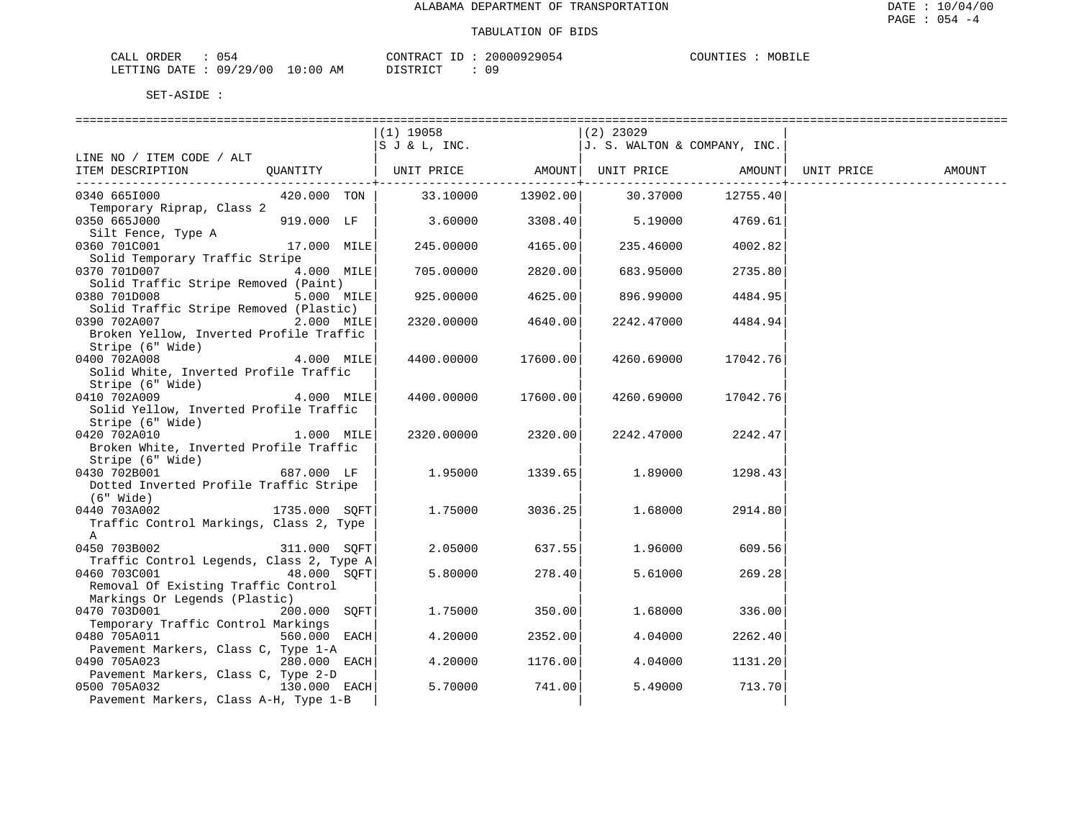| ORDER<br>CALL | 154<br>ັບ |             | CONTRACT<br>ID | 20000929054 | COUNTIES | MOBILE |
|---------------|-----------|-------------|----------------|-------------|----------|--------|
| LETTING DATE  | 09/29/00  | 10:00<br>ΑM | DICTDICT       | n r         |          |        |

|                                          |              | $(1)$ 19058                                                                                         |                  | (2) 23029       |          |  |
|------------------------------------------|--------------|-----------------------------------------------------------------------------------------------------|------------------|-----------------|----------|--|
|                                          |              | $(1)$ 19036<br>$\begin{bmatrix} 2 & 2 & 2 & 2 & 3 & 2 & 9 \ 3 & 3 & 2 & 9 & 6 \end{bmatrix}$ , INC. |                  |                 |          |  |
| LINE NO / ITEM CODE / ALT                |              |                                                                                                     |                  |                 |          |  |
| ITEM DESCRIPTION QUANTITY                |              |                                                                                                     |                  |                 |          |  |
|                                          |              |                                                                                                     | -------------+-- |                 | .        |  |
| 0340 6651000                             |              | 420.000 TON   33.10000 13902.00 30.37000                                                            |                  |                 | 12755.40 |  |
| Temporary Riprap, Class 2                |              |                                                                                                     |                  |                 |          |  |
| 0350 665J000                             |              | $919.000$ LF $\vert$ 3.60000 3308.40                                                                |                  | 5.19000 4769.61 |          |  |
| Silt Fence, Type A                       |              |                                                                                                     |                  |                 |          |  |
| $17.000$ MILE<br>0360 701C001            |              | 245.00000                                                                                           | 4165.00          | 235.46000       | 4002.82  |  |
| Solid Temporary Traffic Stripe           |              |                                                                                                     |                  |                 |          |  |
| 0370 701D007                             | $4.000$ MILE | 705.00000                                                                                           | 2820.00          | 683.95000       | 2735.80  |  |
| Solid Traffic Stripe Removed (Paint)     |              |                                                                                                     |                  |                 |          |  |
| 0380 701D008                             | $5.000$ MILE | 925.00000                                                                                           | 4625.00          | 896.99000       | 4484.95  |  |
| Solid Traffic Stripe Removed (Plastic)   |              |                                                                                                     |                  |                 |          |  |
| 0390 702A007                             | 2.000 MILE   | 2320.00000                                                                                          | 4640.00          | 2242.47000      | 4484.94  |  |
| Broken Yellow, Inverted Profile Traffic  |              |                                                                                                     |                  |                 |          |  |
| Stripe (6" Wide)                         |              |                                                                                                     |                  |                 |          |  |
| 0400 702A008                             | $4.000$ MILE | 4400.00000                                                                                          | 17600.00         | 4260.69000      | 17042.76 |  |
| Solid White, Inverted Profile Traffic    |              |                                                                                                     |                  |                 |          |  |
| Stripe (6" Wide)                         |              |                                                                                                     |                  |                 |          |  |
| 0410 702A009                             | $4.000$ MILE | 4400.00000                                                                                          | 17600.00         | 4260.69000      | 17042.76 |  |
| Solid Yellow, Inverted Profile Traffic   |              |                                                                                                     |                  |                 |          |  |
| Stripe (6" Wide)                         |              |                                                                                                     |                  |                 |          |  |
| 0420 702A010<br>1.000 MILE               |              | 2320.00000                                                                                          | 2320.00          | 2242.47000      | 2242.47  |  |
| Broken White, Inverted Profile Traffic   |              |                                                                                                     |                  |                 |          |  |
| Stripe (6" Wide)                         |              |                                                                                                     |                  |                 |          |  |
| 0430 702B001                             | 687.000 LF   | 1.95000                                                                                             | 1339.65          | 1.89000         | 1298.43  |  |
| Dotted Inverted Profile Traffic Stripe   |              |                                                                                                     |                  |                 |          |  |
| (6" Wide)                                |              |                                                                                                     |                  |                 |          |  |
| 1735.000 SQFT<br>0440 703A002            |              | 1.75000                                                                                             | 3036.25          | 1.68000         | 2914.80  |  |
| Traffic Control Markings, Class 2, Type  |              |                                                                                                     |                  |                 |          |  |
| A                                        |              |                                                                                                     |                  |                 |          |  |
| 0450 703B002 311.000 SOFT                |              | 2.05000                                                                                             | 637.55           | 1.96000         | 609.56   |  |
| Traffic Control Legends, Class 2, Type A |              |                                                                                                     |                  |                 |          |  |
| 0460 703C001                             | 48.000 SOFT  | 5.80000                                                                                             | 278.40           | 5.61000         | 269.28   |  |
| Removal Of Existing Traffic Control      |              |                                                                                                     |                  |                 |          |  |
| Markings Or Legends (Plastic)            |              |                                                                                                     |                  |                 |          |  |
| 0470 703D001                             | 200.000 SQFT | 1.75000                                                                                             | 350.00           | 1.68000         | 336.00   |  |
| Temporary Traffic Control Markings       |              |                                                                                                     |                  |                 |          |  |
| 0480 705A011                             | 560.000 EACH | 4.20000                                                                                             | 2352.00          | 4.04000         | 2262.40  |  |
| Pavement Markers, Class C, Type 1-A      |              |                                                                                                     |                  |                 |          |  |
| 0490 705A023                             | 280.000 EACH | 4.20000                                                                                             | 1176.00          | 4.04000         | 1131.20  |  |
| Pavement Markers, Class C, Type 2-D      |              |                                                                                                     |                  |                 |          |  |
| $130.000$ EACH<br>0500 705A032           |              | 5.70000                                                                                             | 741.00           | 5.49000         | 713.70   |  |
| Pavement Markers, Class A-H, Type 1-B    |              |                                                                                                     |                  |                 |          |  |
|                                          |              |                                                                                                     |                  |                 |          |  |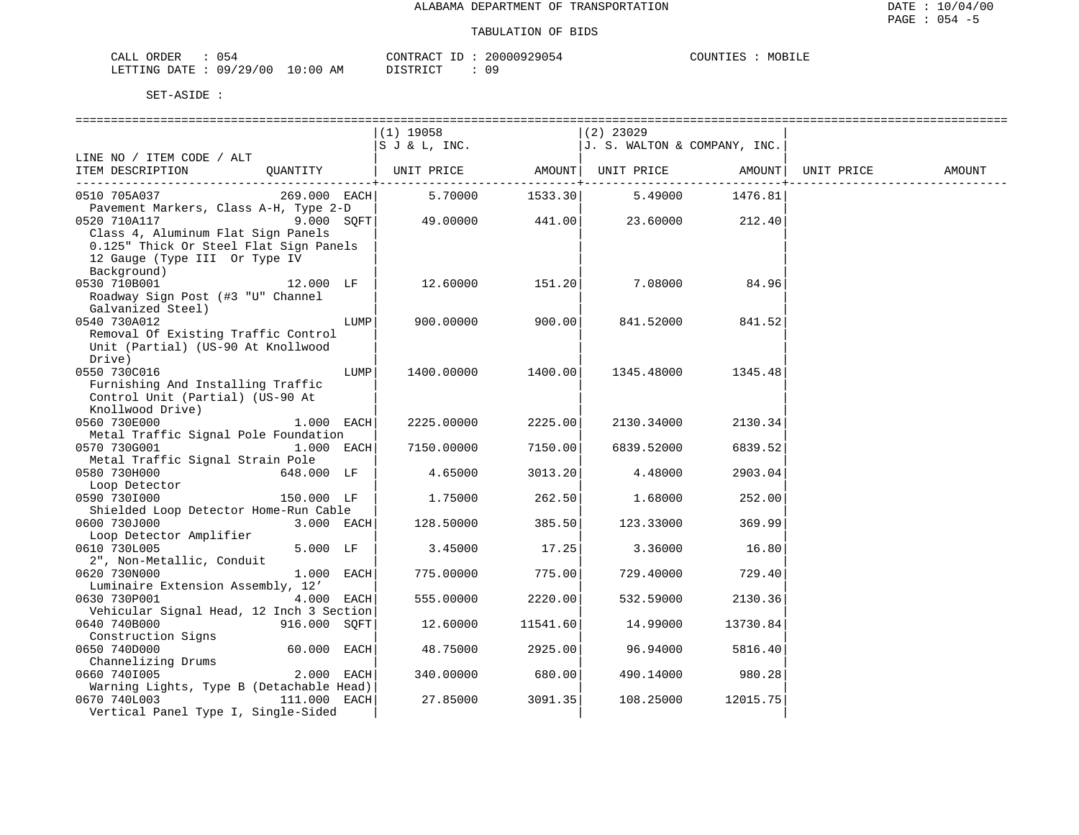| ORDER<br>CALL          | 4 ج ن |             | CONTRACT<br>TD. | 20000929054 | COUNTIES | MOBILE |
|------------------------|-------|-------------|-----------------|-------------|----------|--------|
| LETTING DATE: 09/29/00 |       | 10:00<br>AM | חי חים דרו      |             |          |        |

|                                          |              |      | $(1)$ 19058                 |                 | $(2)$ 23029                  |                 |            |        |
|------------------------------------------|--------------|------|-----------------------------|-----------------|------------------------------|-----------------|------------|--------|
|                                          |              |      | $ S \cup \& L, \text{INC.}$ |                 | J. S. WALTON & COMPANY, INC. |                 |            |        |
| LINE NO / ITEM CODE / ALT                |              |      |                             |                 |                              |                 |            |        |
| ITEM DESCRIPTION QUANTITY                |              |      | UNIT PRICE                  |                 | AMOUNT   UNIT PRICE          | AMOUNT          | UNIT PRICE | AMOUNT |
|                                          |              |      |                             | ------------+-- |                              |                 |            |        |
| 0510 705A037                             | 269.000 EACH |      | 5.70000                     | 1533.30         | 5.49000                      | 1476.81         |            |        |
| Pavement Markers, Class A-H, Type 2-D    |              |      |                             |                 |                              |                 |            |        |
| 0520 710A117                             | $9.000$ SQFT |      | 49.00000 441.00             |                 |                              | 23.60000 212.40 |            |        |
| Class 4, Aluminum Flat Sign Panels       |              |      |                             |                 |                              |                 |            |        |
| 0.125" Thick Or Steel Flat Sign Panels   |              |      |                             |                 |                              |                 |            |        |
| 12 Gauge (Type III Or Type IV            |              |      |                             |                 |                              |                 |            |        |
| Background)                              |              |      |                             |                 |                              |                 |            |        |
| 0530 710B001                             | 12.000 LF    |      | 12.60000                    | 151.20          | 7.08000                      | 84.96           |            |        |
| Roadway Sign Post (#3 "U" Channel        |              |      |                             |                 |                              |                 |            |        |
| Galvanized Steel)                        |              |      |                             |                 |                              |                 |            |        |
| 0540 730A012                             |              | LUMP | 900.00000                   | 900.00          | 841.52000                    | 841.52          |            |        |
| Removal Of Existing Traffic Control      |              |      |                             |                 |                              |                 |            |        |
| Unit (Partial) (US-90 At Knollwood       |              |      |                             |                 |                              |                 |            |        |
| Drive)                                   |              |      |                             |                 |                              |                 |            |        |
| 0550 730C016                             |              | LUMP | 1400.00000                  | 1400.00         | 1345.48000                   | 1345.48         |            |        |
| Furnishing And Installing Traffic        |              |      |                             |                 |                              |                 |            |        |
| Control Unit (Partial) (US-90 At         |              |      |                             |                 |                              |                 |            |        |
| Knollwood Drive)                         |              |      |                             |                 |                              |                 |            |        |
| 0560 730E000                             | 1.000 EACH   |      | 2225.00000                  | 2225.00         | 2130.34000                   | 2130.34         |            |        |
| Metal Traffic Signal Pole Foundation     |              |      |                             |                 |                              |                 |            |        |
| 0570 730G001                             | 1.000 EACH   |      | 7150.00000                  | 7150.00         | 6839.52000                   | 6839.52         |            |        |
| Metal Traffic Signal Strain Pole         |              |      |                             |                 |                              |                 |            |        |
| 0580 730H000                             | 648.000 LF   |      | 4.65000                     | 3013.20         | 4.48000                      | 2903.04         |            |        |
| Loop Detector                            |              |      |                             |                 |                              |                 |            |        |
| 0590 7301000                             | 150.000 LF   |      | 1.75000                     | 262.50          | 1.68000                      | 252.00          |            |        |
| Shielded Loop Detector Home-Run Cable    |              |      |                             |                 |                              |                 |            |        |
| 0600 730J000                             | $3.000$ EACH |      | 128.50000                   | 385.50          | 123.33000                    | 369.99          |            |        |
| Loop Detector Amplifier                  |              |      |                             |                 |                              |                 |            |        |
| 0610 730L005                             | 5.000 LF     |      | 3.45000                     | 17.25           | 3.36000                      | 16.80           |            |        |
| 2", Non-Metallic, Conduit                |              |      |                             |                 |                              |                 |            |        |
| 0620 730N000                             | 1.000 EACH   |      | 775.00000                   | 775.00          | 729.40000                    | 729.40          |            |        |
| Luminaire Extension Assembly, 12'        |              |      |                             |                 |                              |                 |            |        |
| 0630 730P001                             | $4.000$ EACH |      | 555.00000                   | 2220.00         | 532.59000                    | 2130.36         |            |        |
| Vehicular Signal Head, 12 Inch 3 Section |              |      |                             |                 |                              |                 |            |        |
| 0640 740B000                             | 916.000 SOFT |      | 12.60000                    | 11541.60        | 14.99000                     | 13730.84        |            |        |
| Construction Signs                       |              |      |                             |                 |                              |                 |            |        |
| 0650 740D000                             | 60.000 EACH  |      | 48.75000                    | 2925.00         | 96.94000                     | 5816.40         |            |        |
| Channelizing Drums                       |              |      |                             |                 |                              |                 |            |        |
| 0660 7401005                             | 2.000 EACH   |      | 340.00000                   | 680.00          | 490.14000                    | 980.28          |            |        |
| Warning Lights, Type B (Detachable Head) |              |      |                             |                 |                              |                 |            |        |
| 0670 740L003                             | 111.000 EACH |      | 27.85000                    | 3091.35         | 108.25000                    | 12015.75        |            |        |
| Vertical Panel Type I, Single-Sided      |              |      |                             |                 |                              |                 |            |        |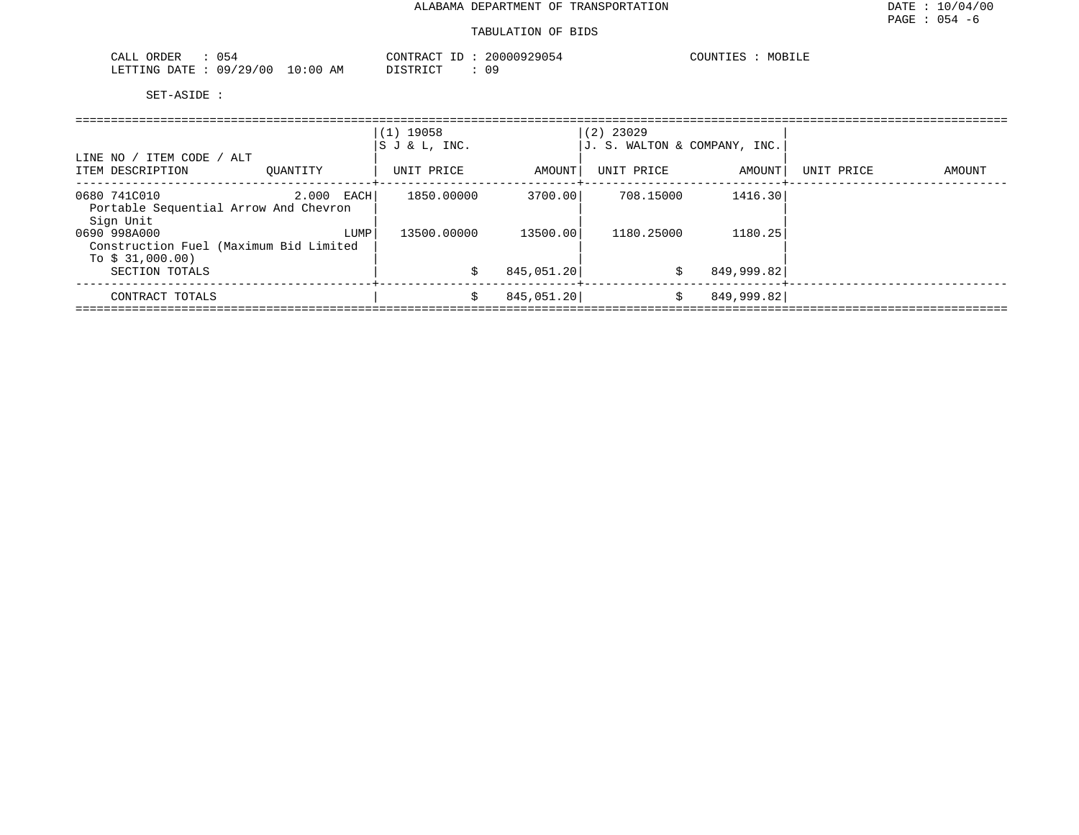| 054<br>ORDER<br>CALL   |            | CONTRACT | 20000929054 | MOBILE<br>COUNTIES |
|------------------------|------------|----------|-------------|--------------------|
| LETTING DATE: 09/29/00 | $10:00$ AM | DISTRICT | υ.          |                    |

|                                                                    |              | $(1)$ 19058<br>$S$ J & L, INC. |            | $(2)$ 23029<br>J. S. WALTON & COMPANY, INC. |            |            |        |
|--------------------------------------------------------------------|--------------|--------------------------------|------------|---------------------------------------------|------------|------------|--------|
| LINE NO / ITEM CODE / ALT<br>ITEM DESCRIPTION                      | OUANTITY     | UNIT PRICE                     | AMOUNT     | UNIT PRICE                                  | AMOUNT     | UNIT PRICE | AMOUNT |
| 0680 741C010<br>Portable Sequential Arrow And Chevron<br>Sign Unit | $2.000$ EACH | 1850.00000                     | 3700.00    | 708.15000                                   | 1416.30    |            |        |
| 0690 998A000<br>Construction Fuel (Maximum Bid Limited             | LUMP         | 13500.00000                    | 13500.00   | 1180.25000                                  | 1180.25    |            |        |
| To $$31,000.00)$<br>SECTION TOTALS                                 |              | S                              | 845,051.20 | \$                                          | 849,999.82 |            |        |
| CONTRACT TOTALS                                                    |              | Ŝ.                             | 845,051.20 | \$                                          | 849,999.82 |            |        |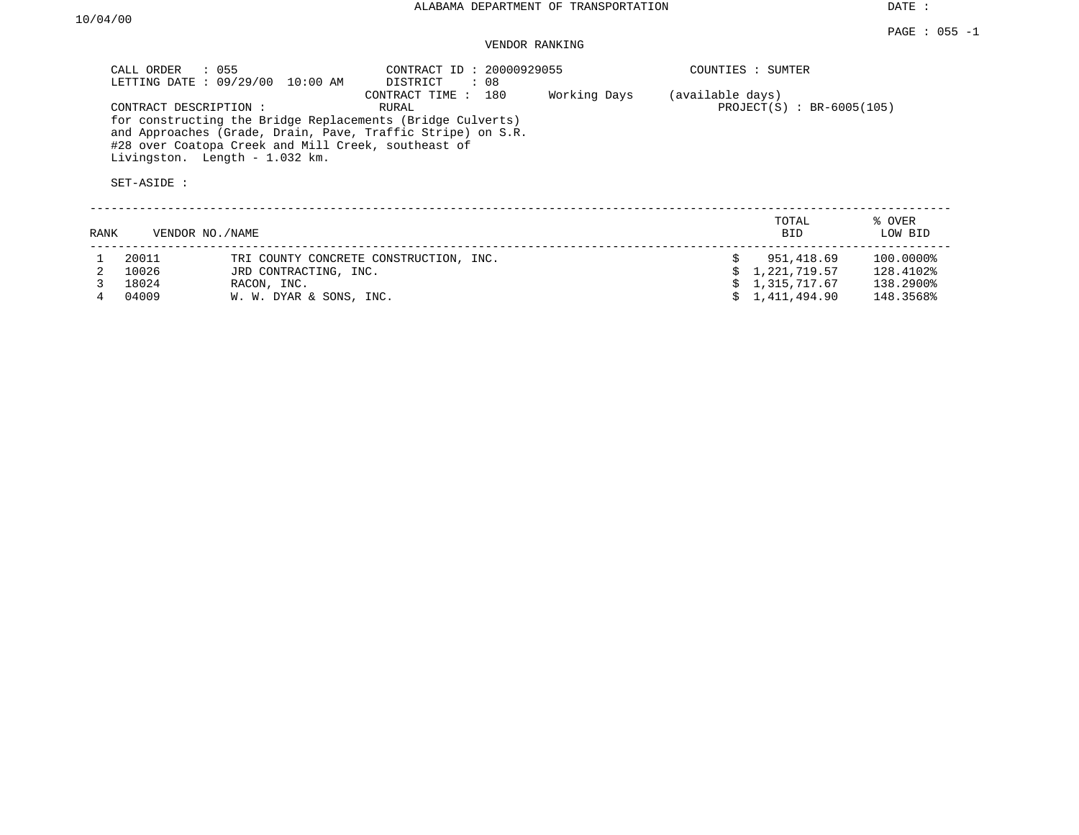DATE :

# VENDOR RANKING

| CALL ORDER : 055<br>LETTING DATE: 09/29/00<br>10:00 AM                                                                                                                                                                                                     | CONTRACT ID: 20000929055<br>DISTRICT<br>: 08 |              | COUNTIES : SUMTER                               |        |
|------------------------------------------------------------------------------------------------------------------------------------------------------------------------------------------------------------------------------------------------------------|----------------------------------------------|--------------|-------------------------------------------------|--------|
| CONTRACT DESCRIPTION:<br>for constructing the Bridge Replacements (Bridge Culverts)<br>and Approaches (Grade, Drain, Pave, Traffic Stripe) on S.R.<br>#28 over Coatopa Creek and Mill Creek, southeast of<br>Livingston. Length - 1.032 km.<br>SET-ASIDE : | CONTRACT TIME : 180<br>RURAL                 | Working Days | (available days)<br>$PROJECT(S) : BR-6005(105)$ |        |
|                                                                                                                                                                                                                                                            |                                              |              | TOTAL                                           | % OVER |

| RANK |       | VENDOR NO./NAME                        | <b>BID</b>     | LOW BID   |
|------|-------|----------------------------------------|----------------|-----------|
|      | 20011 | TRI COUNTY CONCRETE CONSTRUCTION, INC. | 951,418.69     | 100.0000% |
|      | 10026 | JRD CONTRACTING, INC.                  | \$1,221,719.57 | 128.4102% |
|      | 18024 | RACON, INC.                            | \$1.315.717.67 | 138.2900% |
|      | 04009 | W. W. DYAR & SONS, INC.                | \$1,411,494.90 | 148.3568% |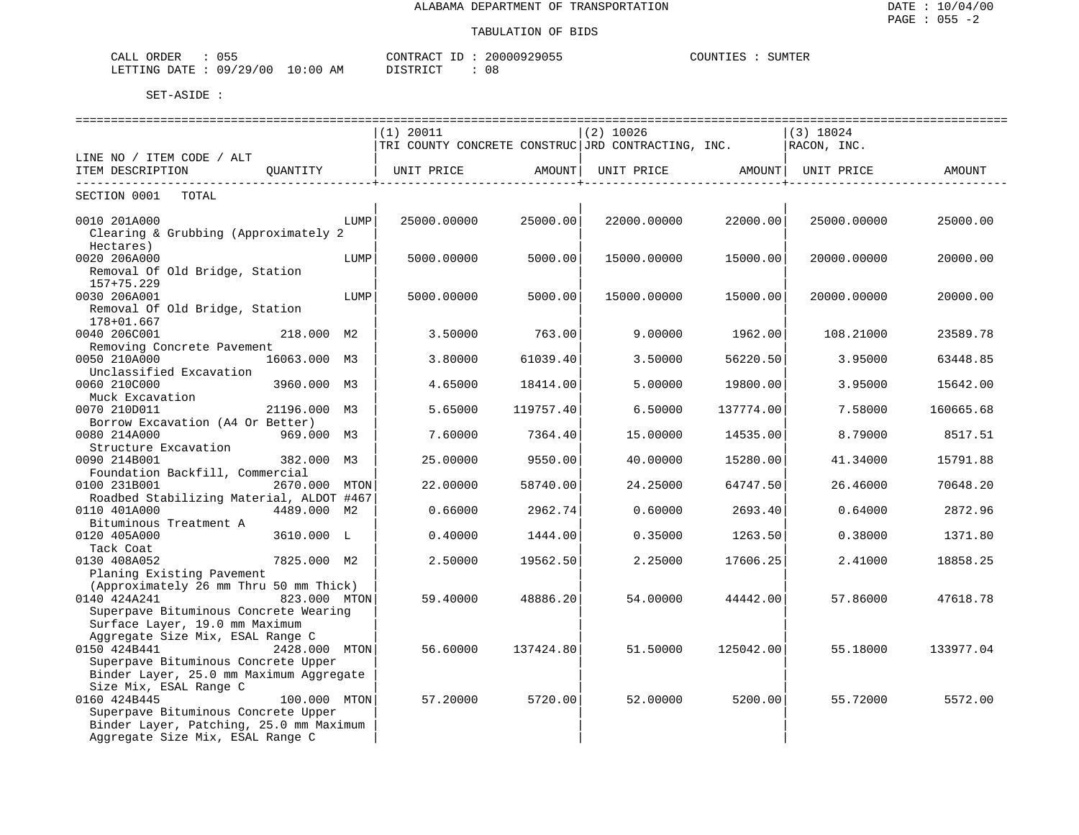| $\sim$ $ -$<br>ORDER<br>CALL<br>$\sim$<br>◡◡                                          |                       | $\pi$ $\sim$<br>$\cap$ $\cap$ $\cap$<br>'RAC | 2000<br>1155<br>, , , , , , , | SUMTER<br>COUNTIES |
|---------------------------------------------------------------------------------------|-----------------------|----------------------------------------------|-------------------------------|--------------------|
| 09/29/00<br>מת דידים. ז<br>R מיד∆ת<br>the contract of the contract of the contract of | $\therefore$ 00<br>AΜ | די הדי אידי את                               | <b>UC</b>                     |                    |

|                                                                |                |      | $(1)$ 20011                                                       |           | ================<br>$(2)$ 10026 |           | $(3)$ 18024               |           |
|----------------------------------------------------------------|----------------|------|-------------------------------------------------------------------|-----------|---------------------------------|-----------|---------------------------|-----------|
|                                                                |                |      | TRI COUNTY CONCRETE CONSTRUC JRD CONTRACTING, INC. $RACON$ , INC. |           |                                 |           |                           |           |
| LINE NO / ITEM CODE / ALT                                      |                |      |                                                                   |           |                                 |           |                           |           |
| ITEM DESCRIPTION                                               |                |      |                                                                   |           |                                 |           |                           | AMOUNT    |
| SECTION 0001 TOTAL                                             |                |      |                                                                   |           |                                 |           | ------------------------- |           |
|                                                                |                |      |                                                                   |           |                                 |           |                           |           |
| 0010 201A000                                                   |                | LUMP | 25000.00000                                                       | 25000.00  | 22000.00000                     | 22000.00  | 25000.00000               | 25000.00  |
| Clearing & Grubbing (Approximately 2                           |                |      |                                                                   |           |                                 |           |                           |           |
| Hectares)                                                      |                |      |                                                                   |           |                                 |           |                           |           |
| 0020 206A000                                                   |                | LUMP | 5000.00000                                                        | 5000.00   | 15000.00000                     | 15000.00  | 20000.00000               | 20000.00  |
| Removal Of Old Bridge, Station                                 |                |      |                                                                   |           |                                 |           |                           |           |
| 157+75.229<br>0030 206A001                                     |                | LUMP | 5000.00000                                                        | 5000.00   | 15000.00000                     | 15000.00  | 20000.00000               | 20000.00  |
| Removal Of Old Bridge, Station                                 |                |      |                                                                   |           |                                 |           |                           |           |
| 178+01.667                                                     |                |      |                                                                   |           |                                 |           |                           |           |
| 0040 206C001                                                   | 218.000 M2     |      | 3.50000                                                           | 763.00    | 9.00000                         | 1962.00   | 108.21000                 | 23589.78  |
| Removing Concrete Pavement                                     |                |      |                                                                   |           |                                 |           |                           |           |
| 0050 210A000                                                   | 16063.000 M3   |      | 3.80000                                                           | 61039.40  | 3.50000                         | 56220.50  | 3.95000                   | 63448.85  |
| Unclassified Excavation                                        |                |      |                                                                   |           |                                 |           |                           |           |
| 0060 210C000                                                   | 3960.000 M3    |      | 4.65000                                                           | 18414.00  | 5.00000                         | 19800.00  | 3.95000                   | 15642.00  |
| Muck Excavation                                                |                |      |                                                                   |           |                                 |           |                           |           |
| 0070 210D011<br>21196.000 M3                                   |                |      | 5.65000                                                           | 119757.40 | 6.50000                         | 137774.00 | 7.58000                   | 160665.68 |
| Borrow Excavation (A4 Or Better)<br>0080 214A000<br>969.000 M3 |                |      | 7.60000                                                           | 7364.40   | 15,00000                        |           | 8.79000                   | 8517.51   |
| Structure Excavation                                           |                |      |                                                                   |           |                                 | 14535.00  |                           |           |
| 0090 214B001                                                   | 382.000 M3     |      | 25,00000                                                          | 9550.00   | 40.00000                        | 15280.00  | 41.34000                  | 15791.88  |
| Foundation Backfill, Commercial                                |                |      |                                                                   |           |                                 |           |                           |           |
| 0100 231B001<br>2670.000 MTON                                  |                |      | 22,00000                                                          | 58740.00  | 24.25000                        | 64747.50  | 26.46000                  | 70648.20  |
| Roadbed Stabilizing Material, ALDOT #467                       |                |      |                                                                   |           |                                 |           |                           |           |
| 0110 401A000                                                   | 4489.000 M2    |      | 0.66000                                                           | 2962.74   | 0.60000                         | 2693.40   | 0.64000                   | 2872.96   |
| Bituminous Treatment A                                         |                |      |                                                                   |           |                                 |           |                           |           |
| 0120 405A000                                                   | 3610.000 L     |      | 0.40000                                                           | 1444.00   | 0.35000                         | 1263.50   | 0.38000                   | 1371.80   |
| Tack Coat<br>7825.000 M2<br>0130 408A052                       |                |      | 2.50000                                                           | 19562.50  | 2.25000                         | 17606.25  | 2.41000                   | 18858.25  |
| Planing Existing Pavement                                      |                |      |                                                                   |           |                                 |           |                           |           |
| (Approximately 26 mm Thru 50 mm Thick)                         |                |      |                                                                   |           |                                 |           |                           |           |
| 0140 424A241                                                   | 823.000 MTON   |      | 59.40000                                                          | 48886.20  | 54.00000                        | 44442.00  | 57.86000                  | 47618.78  |
| Superpave Bituminous Concrete Wearing                          |                |      |                                                                   |           |                                 |           |                           |           |
| Surface Layer, 19.0 mm Maximum                                 |                |      |                                                                   |           |                                 |           |                           |           |
| Aggregate Size Mix, ESAL Range C                               |                |      |                                                                   |           |                                 |           |                           |           |
| 0150 424B441                                                   | 2428.000 MTON  |      | 56.60000                                                          | 137424.80 | 51.50000                        | 125042.00 | 55.18000                  | 133977.04 |
| Superpave Bituminous Concrete Upper                            |                |      |                                                                   |           |                                 |           |                           |           |
| Binder Layer, 25.0 mm Maximum Aggregate                        |                |      |                                                                   |           |                                 |           |                           |           |
| Size Mix, ESAL Range C                                         |                |      |                                                                   |           |                                 |           |                           |           |
| 0160 424B445<br>Superpave Bituminous Concrete Upper            | $100.000$ MTON |      | 57.20000                                                          | 5720.00   | 52.00000                        | 5200.00   | 55.72000                  | 5572.00   |
| Binder Layer, Patching, 25.0 mm Maximum                        |                |      |                                                                   |           |                                 |           |                           |           |
| Aggregate Size Mix, ESAL Range C                               |                |      |                                                                   |           |                                 |           |                           |           |
|                                                                |                |      |                                                                   |           |                                 |           |                           |           |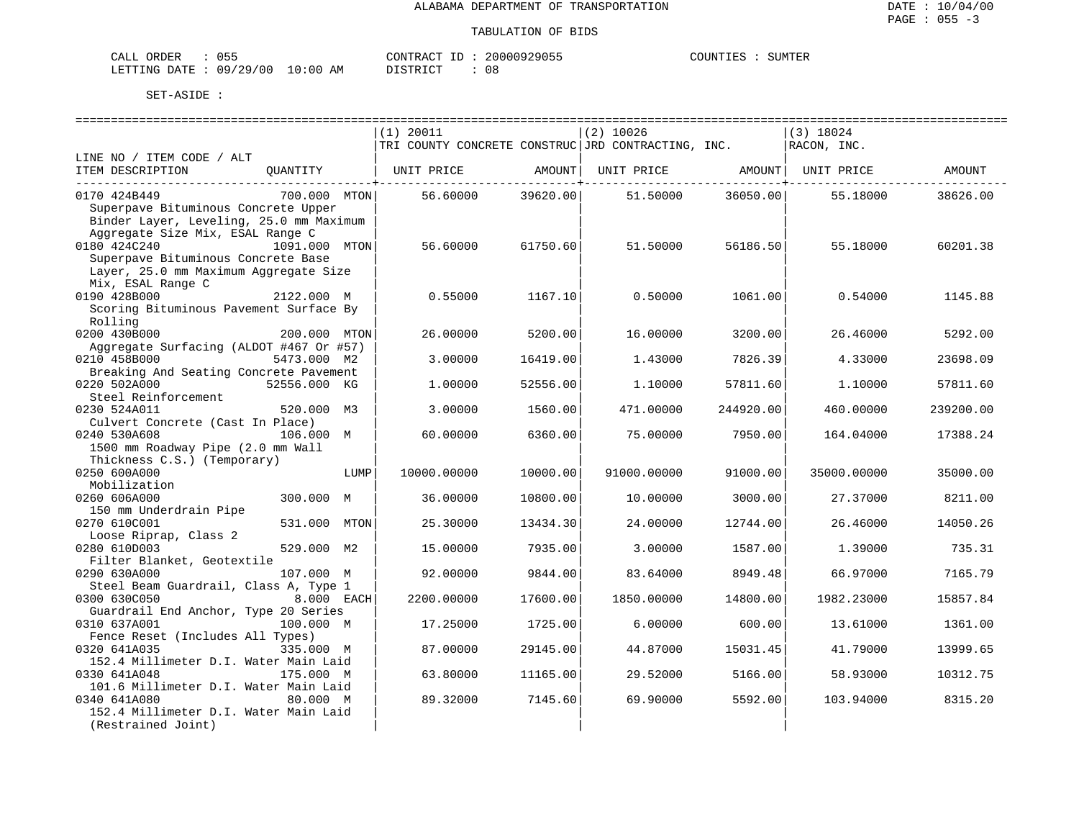| CALL<br>ORDER          | ככ ט |             | CONTRACT ID | 20000929055 | COUNTILL | SUMTER |
|------------------------|------|-------------|-------------|-------------|----------|--------|
| LETTING DATE: 09/29/00 |      | 10:00<br>ΆM | DI STR TAT  | 08          |          |        |

|                                         |               |      | $(1)$ 20011                                        |                | $(2)$ 10026 |               | $(3)$ 18024        |           |
|-----------------------------------------|---------------|------|----------------------------------------------------|----------------|-------------|---------------|--------------------|-----------|
|                                         |               |      | TRI COUNTY CONCRETE CONSTRUC JRD CONTRACTING, INC. |                |             |               | RACON, INC.        |           |
| LINE NO / ITEM CODE / ALT               |               |      |                                                    |                |             |               |                    |           |
| ITEM DESCRIPTION                        | OUANTITY      |      | UNIT PRICE                                         | AMOUNT         | UNIT PRICE  |               | AMOUNT  UNIT PRICE | AMOUNT    |
|                                         |               |      |                                                    | -------------- |             | ------------- |                    |           |
| 0170 424B449                            | 700.000 MTON  |      | 56.60000                                           | 39620.00       | 51.50000    | 36050.00      | 55.18000           | 38626.00  |
| Superpave Bituminous Concrete Upper     |               |      |                                                    |                |             |               |                    |           |
| Binder Layer, Leveling, 25.0 mm Maximum |               |      |                                                    |                |             |               |                    |           |
| Aggregate Size Mix, ESAL Range C        |               |      |                                                    |                |             |               |                    |           |
| 0180 424C240                            | 1091.000 MTON |      | 56.60000                                           | 61750.60       | 51.50000    | 56186.50      | 55.18000           | 60201.38  |
| Superpave Bituminous Concrete Base      |               |      |                                                    |                |             |               |                    |           |
| Layer, 25.0 mm Maximum Aggregate Size   |               |      |                                                    |                |             |               |                    |           |
| Mix, ESAL Range C                       |               |      |                                                    |                |             |               |                    |           |
| 0190 428B000                            | 2122.000 M    |      | 0.55000                                            | 1167.10        | 0.50000     | 1061.00       | 0.54000            | 1145.88   |
| Scoring Bituminous Pavement Surface By  |               |      |                                                    |                |             |               |                    |           |
| Rolling                                 |               |      |                                                    |                |             |               |                    |           |
| 0200 430B000                            | 200.000 MTON  |      | 26.00000                                           | 5200.00        | 16.00000    | 3200.00       | 26.46000           | 5292.00   |
| Aggregate Surfacing (ALDOT #467 Or #57) |               |      |                                                    |                |             |               |                    |           |
| 0210 458B000                            | 5473.000 M2   |      | 3.00000                                            | 16419.00       | 1.43000     | 7826.39       | 4.33000            | 23698.09  |
| Breaking And Seating Concrete Pavement  |               |      |                                                    |                |             |               |                    |           |
| 0220 502A000                            | 52556.000 KG  |      | 1,00000                                            | 52556.00       | 1,10000     | 57811.60      | 1,10000            | 57811.60  |
| Steel Reinforcement                     |               |      |                                                    |                |             |               |                    |           |
| 0230 524A011                            | 520.000 M3    |      | 3.00000                                            | 1560.00        | 471.00000   | 244920.00     | 460.00000          | 239200.00 |
| Culvert Concrete (Cast In Place)        |               |      |                                                    |                |             |               |                    |           |
| 0240 530A608                            | 106.000 M     |      | 60.00000                                           | 6360.00        | 75.00000    | 7950.00       | 164.04000          | 17388.24  |
| 1500 mm Roadway Pipe (2.0 mm Wall       |               |      |                                                    |                |             |               |                    |           |
| Thickness C.S.) (Temporary)             |               |      |                                                    |                |             |               |                    |           |
| 0250 600A000                            |               | LUMP | 10000.00000                                        | 10000.00       | 91000.00000 | 91000.00      | 35000.00000        | 35000.00  |
| Mobilization                            |               |      |                                                    |                |             |               |                    |           |
| 0260 606A000                            | 300.000 M     |      | 36.00000                                           | 10800.00       | 10.00000    | 3000.00       | 27.37000           | 8211.00   |
| 150 mm Underdrain Pipe                  |               |      |                                                    |                |             |               |                    |           |
| 0270 610C001                            | 531.000 MTON  |      | 25.30000                                           | 13434.30       | 24.00000    | 12744.00      | 26.46000           | 14050.26  |
| Loose Riprap, Class 2                   |               |      |                                                    |                |             |               |                    |           |
| 0280 610D003                            | 529.000 M2    |      | 15,00000                                           | 7935.00        | 3.00000     | 1587.00       | 1.39000            | 735.31    |
| Filter Blanket, Geotextile              |               |      |                                                    |                |             |               |                    |           |
| 0290 630A000                            | 107.000 M     |      | 92.00000                                           | 9844.00        | 83.64000    | 8949.48       | 66.97000           | 7165.79   |
| Steel Beam Guardrail, Class A, Type 1   |               |      |                                                    |                |             |               |                    |           |
| 0300 630C050                            | 8.000 EACH    |      | 2200.00000                                         | 17600.00       | 1850.00000  | 14800.00      | 1982.23000         | 15857.84  |
| Guardrail End Anchor, Type 20 Series    |               |      |                                                    |                |             |               |                    |           |
| 0310 637A001                            | 100.000 M     |      | 17.25000                                           | 1725.00        | 6.00000     | 600.00        | 13.61000           | 1361.00   |
| Fence Reset (Includes All Types)        |               |      |                                                    |                |             |               |                    |           |
| 0320 641A035                            | 335.000 M     |      | 87.00000                                           | 29145.00       | 44.87000    | 15031.45      | 41.79000           | 13999.65  |
| 152.4 Millimeter D.I. Water Main Laid   |               |      |                                                    |                |             |               |                    |           |
| 0330 641A048                            | 175.000 M     |      | 63.80000                                           | 11165.00       | 29.52000    | 5166.00       | 58.93000           | 10312.75  |
| 101.6 Millimeter D.I. Water Main Laid   |               |      |                                                    |                |             |               |                    |           |
| 0340 641A080                            | 80.000 M      |      | 89.32000                                           | 7145.60        | 69.90000    | 5592.00       | 103.94000          | 8315.20   |
| 152.4 Millimeter D.I. Water Main Laid   |               |      |                                                    |                |             |               |                    |           |
| (Restrained Joint)                      |               |      |                                                    |                |             |               |                    |           |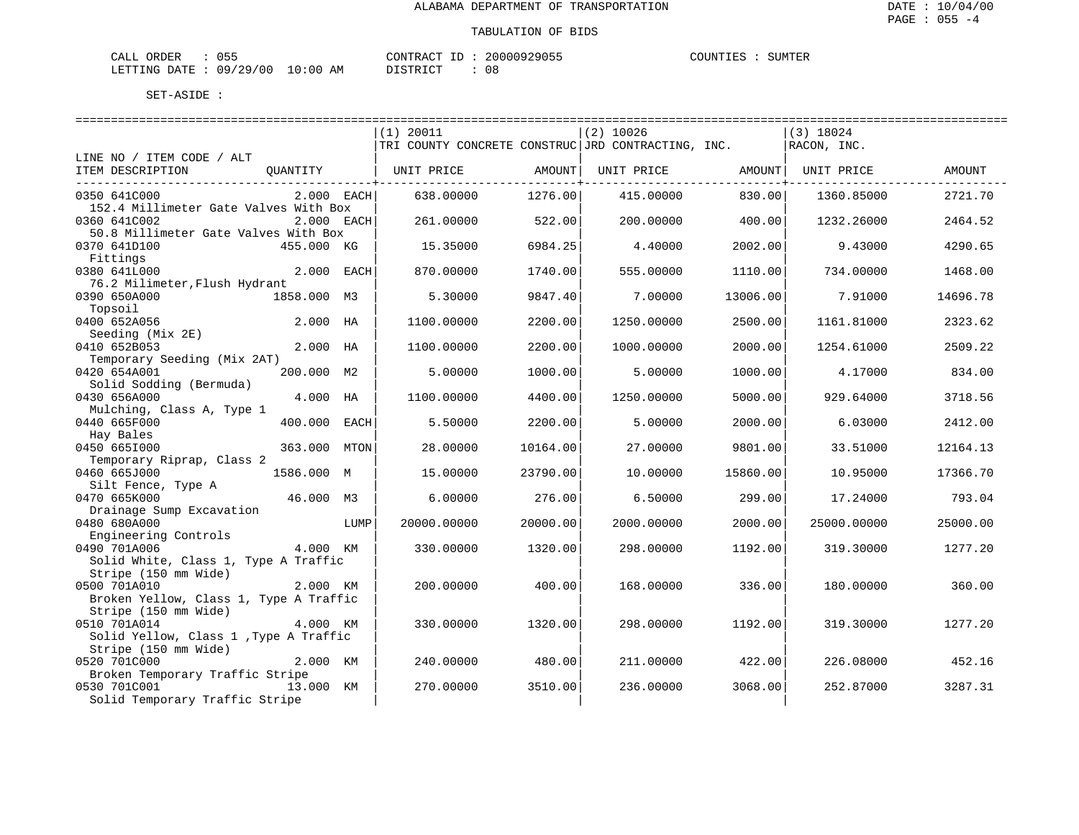| CALL ORDER                       | ა 5 5 |  | CONTRACT ID : | 20000929055 | COUNTIES | SUMTER |
|----------------------------------|-------|--|---------------|-------------|----------|--------|
| LETTING DATE : 09/29/00 10:00 AM |       |  | DISTRICT      | 0 a         |          |        |

|                                             |              |      | $(1)$ 20011                                        |          | $(2)$ 10026 |          | $(3)$ 18024 |          |
|---------------------------------------------|--------------|------|----------------------------------------------------|----------|-------------|----------|-------------|----------|
|                                             |              |      | TRI COUNTY CONCRETE CONSTRUC JRD CONTRACTING, INC. |          |             |          | RACON, INC. |          |
| LINE NO / ITEM CODE / ALT                   |              |      |                                                    |          |             |          |             |          |
| ITEM DESCRIPTION                            | OUANTITY     |      | UNIT PRICE                                         | AMOUNT   | UNIT PRICE  | AMOUNT   | UNIT PRICE  | AMOUNT   |
| 0350 641C000                                | $2.000$ EACH |      | 638.00000                                          | 1276.00  | 415.00000   | 830.00   | 1360.85000  | 2721.70  |
| 152.4 Millimeter Gate Valves With Box       |              |      |                                                    |          |             |          |             |          |
| 0360 641C002                                | 2.000 EACH   |      | 261,00000                                          | 522.00   | 200.00000   | 400.00   | 1232.26000  | 2464.52  |
| 50.8 Millimeter Gate Valves With Box        |              |      |                                                    |          |             |          |             |          |
| 0370 641D100<br>Fittings                    | 455,000 KG   |      | 15.35000                                           | 6984.25  | 4.40000     | 2002.00  | 9.43000     | 4290.65  |
| 0380 641L000                                | 2.000 EACH   |      | 870.00000                                          | 1740.00  | 555.00000   | 1110.00  | 734.00000   | 1468.00  |
| 76.2 Milimeter, Flush Hydrant               |              |      |                                                    |          |             |          |             |          |
| 0390 650A000                                | 1858.000 M3  |      | 5.30000                                            | 9847.40  | 7.00000     | 13006.00 | 7.91000     | 14696.78 |
| Topsoil                                     |              |      |                                                    |          |             |          |             |          |
| 0400 652A056                                | 2.000 HA     |      | 1100.00000                                         | 2200.00  | 1250.00000  | 2500.00  | 1161.81000  | 2323.62  |
| Seeding (Mix 2E)                            | 2.000 HA     |      |                                                    |          |             |          |             |          |
| 0410 652B053<br>Temporary Seeding (Mix 2AT) |              |      | 1100.00000                                         | 2200.00  | 1000.00000  | 2000.00  | 1254.61000  | 2509.22  |
| 0420 654A001                                | 200.000 M2   |      | 5.00000                                            | 1000.00  | 5.00000     | 1000.00  | 4.17000     | 834.00   |
| Solid Sodding (Bermuda)                     |              |      |                                                    |          |             |          |             |          |
| 0430 656A000                                | 4.000 HA     |      | 1100.00000                                         | 4400.00  | 1250.00000  | 5000.00  | 929.64000   | 3718.56  |
| Mulching, Class A, Type 1                   |              |      |                                                    |          |             |          |             |          |
| 0440 665F000<br>Hay Bales                   | 400.000 EACH |      | 5.50000                                            | 2200.00  | 5.00000     | 2000.00  | 6.03000     | 2412.00  |
| 0450 6651000                                | 363.000      | MTON | 28.00000                                           | 10164.00 | 27.00000    | 9801.00  | 33.51000    | 12164.13 |
| Temporary Riprap, Class 2                   |              |      |                                                    |          |             |          |             |          |
| 0460 665J000                                | 1586.000 M   |      | 15,00000                                           | 23790.00 | 10.00000    | 15860.00 | 10.95000    | 17366.70 |
| Silt Fence, Type A                          |              |      |                                                    |          |             |          |             |          |
| 0470 665K000                                | 46.000 M3    |      | 6.00000                                            | 276.00   | 6.50000     | 299.00   | 17.24000    | 793.04   |
| Drainage Sump Excavation<br>0480 680A000    |              | LUMP | 20000.00000                                        | 20000.00 | 2000.00000  | 2000.00  | 25000.00000 | 25000.00 |
| Engineering Controls                        |              |      |                                                    |          |             |          |             |          |
| 0490 701A006                                | 4.000 KM     |      | 330.00000                                          | 1320.00  | 298,00000   | 1192.00  | 319.30000   | 1277.20  |
| Solid White, Class 1, Type A Traffic        |              |      |                                                    |          |             |          |             |          |
| Stripe (150 mm Wide)                        |              |      |                                                    |          |             |          |             |          |
| 0500 701A010                                | 2.000 KM     |      | 200.00000                                          | 400.00   | 168.00000   | 336.00   | 180.00000   | 360.00   |
| Broken Yellow, Class 1, Type A Traffic      |              |      |                                                    |          |             |          |             |          |
| Stripe (150 mm Wide)<br>0510 701A014        | 4.000 KM     |      | 330.00000                                          | 1320.00  | 298.00000   | 1192.00  | 319.30000   | 1277.20  |
| Solid Yellow, Class 1 , Type A Traffic      |              |      |                                                    |          |             |          |             |          |
| Stripe (150 mm Wide)                        |              |      |                                                    |          |             |          |             |          |
| 0520 701C000                                | 2.000 KM     |      | 240.00000                                          | 480.00   | 211,00000   | 422.00   | 226.08000   | 452.16   |
| Broken Temporary Traffic Stripe             |              |      |                                                    |          |             |          |             |          |
| 0530 701C001                                | 13.000 KM    |      | 270.00000                                          | 3510.00  | 236.00000   | 3068.00  | 252.87000   | 3287.31  |
| Solid Temporary Traffic Stripe              |              |      |                                                    |          |             |          |             |          |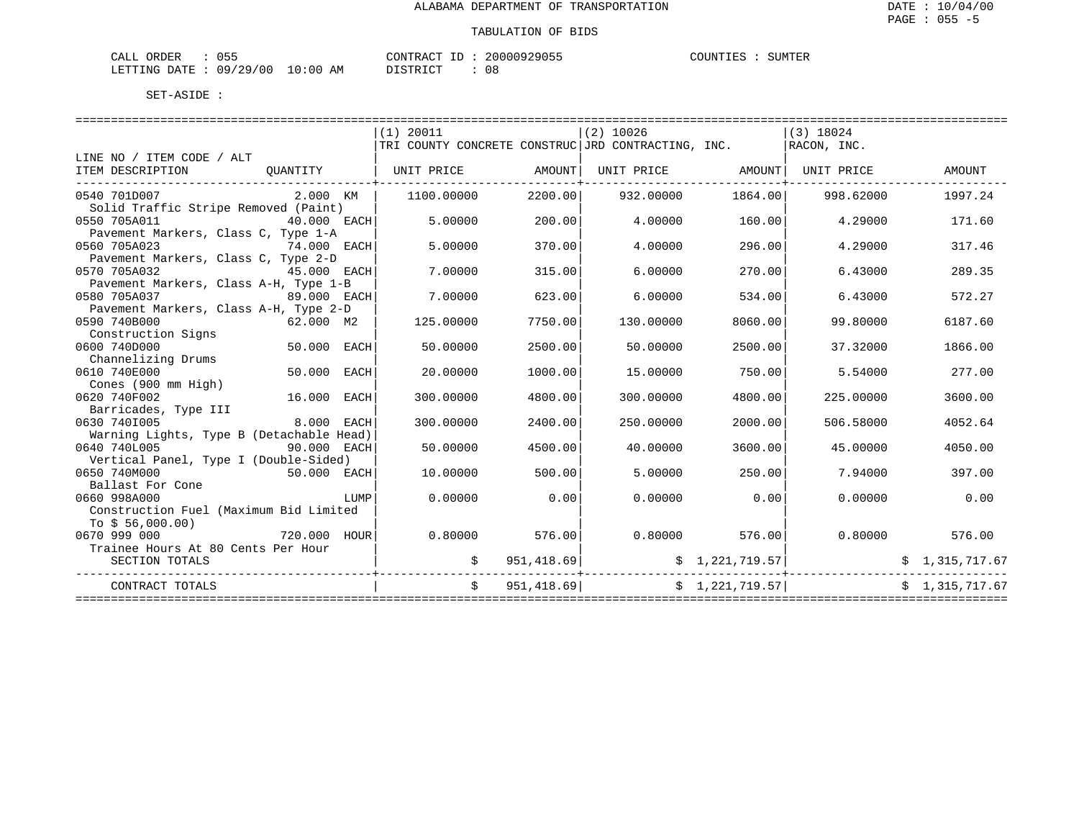| ORDER<br>CALL (        |  |          | CONTRACT ID | 20000929055 | COUNTIES | SUMTER |
|------------------------|--|----------|-------------|-------------|----------|--------|
| LETTING DATE: 09/29/00 |  | 10:00 AM | DI STR TAT  | 08          |          |        |

|                                                      |              |      | (1) 20011                                          |            | $(2)$ 10026 |                | $(3)$ 18024                     |                |
|------------------------------------------------------|--------------|------|----------------------------------------------------|------------|-------------|----------------|---------------------------------|----------------|
|                                                      |              |      | TRI COUNTY CONCRETE CONSTRUC JRD CONTRACTING, INC. |            |             |                | RACON, INC.                     |                |
| LINE NO / ITEM CODE / ALT                            |              |      |                                                    |            |             |                |                                 |                |
| ITEM DESCRIPTION                                     | QUANTITY     |      | UNIT PRICE AMOUNT UNIT PRICE AMOUNT UNIT PRICE     |            |             |                |                                 | AMOUNT         |
|                                                      |              |      |                                                    |            |             |                |                                 |                |
| 0540 701D007<br>Solid Traffic Stripe Removed (Paint) | 2.000 KM     |      | 1100.00000                                         | 2200.00    | 932.00000   | 1864.00        | 998.62000                       | 1997.24        |
| 0550 705A011<br>$40.000$ EACH                        |              |      | 5.00000                                            | 200.00     | 4.00000     | 160.00         | 4.29000                         | 171.60         |
| Pavement Markers, Class C, Type 1-A                  |              |      |                                                    |            |             |                |                                 |                |
| 0560 705A023<br>74.000 EACH                          |              |      | 5.00000                                            | 370.00     | 4.00000     | 296.00         | 4.29000                         | 317.46         |
| Pavement Markers, Class C, Type 2-D                  |              |      |                                                    |            |             |                |                                 |                |
| 0570 705A032<br>45.000 EACH                          |              |      | 7.00000                                            | 315.00     | 6,00000     | 270.00         | 6.43000                         | 289.35         |
| Pavement Markers, Class A-H, Type 1-B                |              |      |                                                    |            |             |                |                                 |                |
| 0580 705A037<br>89.000 EACH                          |              |      | 7.00000                                            | 623.00     | 6.00000     | 534.00         | 6.43000                         | 572.27         |
| Pavement Markers, Class A-H, Type 2-D                |              |      |                                                    |            |             |                |                                 |                |
| 0590 740B000                                         | 62.000 M2    |      | 125.00000                                          | 7750.00    | 130.00000   | 8060.00        | 99.80000                        | 6187.60        |
| Construction Signs                                   |              |      |                                                    |            |             |                |                                 |                |
| 0600 740D000                                         | 50.000 EACH  |      | 50.00000                                           | 2500.00    | 50.00000    | 2500.00        | 37.32000                        | 1866.00        |
| Channelizing Drums<br>0610 740E000                   | 50.000       | EACH | 20.00000                                           | 1000.00    | 15.00000    | 750.00         | 5.54000                         | 277.00         |
| Cones (900 mm High)                                  |              |      |                                                    |            |             |                |                                 |                |
| 0620 740F002                                         | 16.000 EACH  |      | 300.00000                                          | 4800.00    | 300,00000   | 4800.00        | 225,00000                       | 3600.00        |
| Barricades, Type III                                 |              |      |                                                    |            |             |                |                                 |                |
| 0630 7401005                                         | 8.000 EACH   |      | 300.00000                                          | 2400.00    | 250.00000   | 2000.00        | 506.58000                       | 4052.64        |
| Warning Lights, Type B (Detachable Head)             |              |      |                                                    |            |             |                |                                 |                |
| 0640 740L005                                         | 90.000 EACH  |      | 50.00000                                           | 4500.00    | 40.00000    | 3600.00        | 45.00000                        | 4050.00        |
| Vertical Panel, Type I (Double-Sided)                |              |      |                                                    |            |             |                |                                 |                |
| 0650 740M000                                         | 50.000 EACH  |      | 10.00000                                           | 500.00     | 5.00000     | 250.00         | 7.94000                         | 397.00         |
| Ballast For Cone                                     |              |      |                                                    |            |             |                |                                 |                |
| 0660 998A000                                         |              | LUMP | 0.00000                                            | 0.00       | 0.00000     | 0.00           | 0.00000                         | 0.00           |
| Construction Fuel (Maximum Bid Limited               |              |      |                                                    |            |             |                |                                 |                |
| To $$56,000.00)$                                     |              |      |                                                    |            |             |                |                                 |                |
| 0670 999 000                                         | 720.000 HOUR |      | 0.80000                                            | 576.00     | 0.80000     | 576.00         | 0.80000                         | 576.00         |
| Trainee Hours At 80 Cents Per Hour                   |              |      |                                                    |            |             |                |                                 |                |
| SECTION TOTALS                                       |              |      |                                                    | 951,418.69 |             | \$1,221,719.57 | -------------+----------------- | \$1,315,717.67 |
| CONTRACT TOTALS                                      |              |      | \$                                                 | 951,418.69 |             | \$1,221,719.57 |                                 | \$1,315,717.67 |
|                                                      |              |      |                                                    |            |             |                |                                 |                |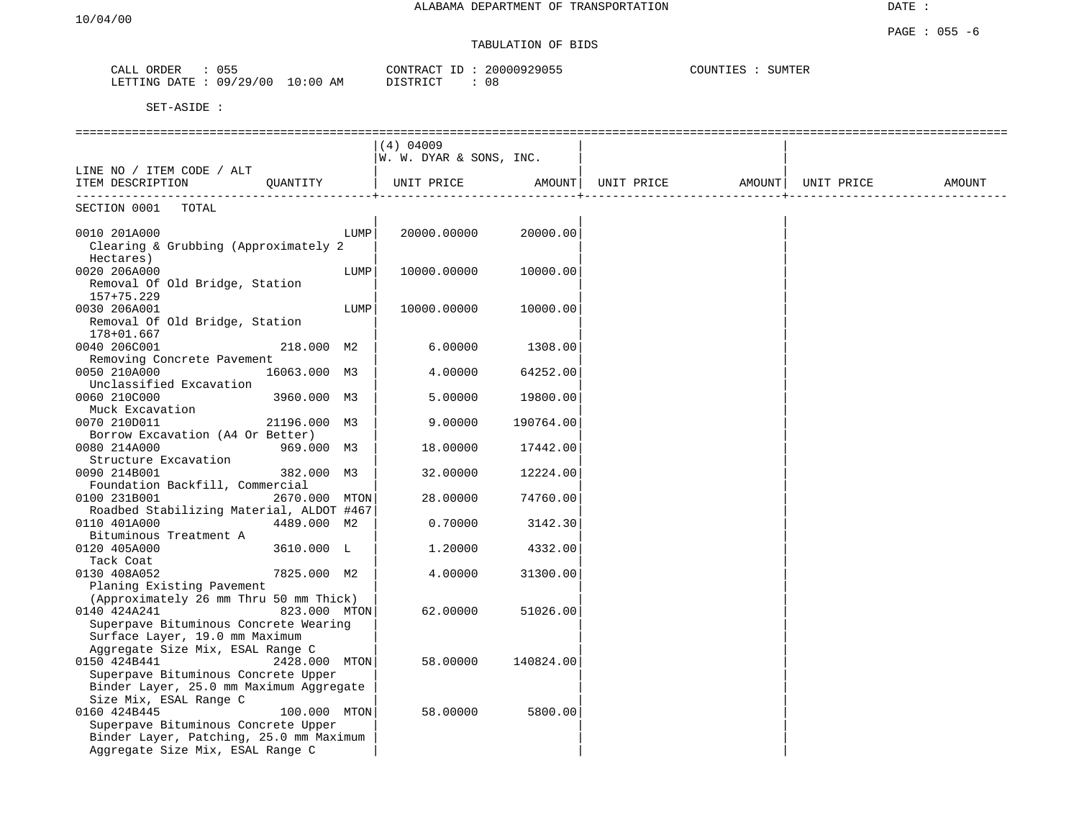# TABULATION OF BIDS

|              | 055                     |                |          |
|--------------|-------------------------|----------------|----------|
|              |                         | 20000929055    |          |
| ORDER        |                         | CONTRACT       | COUNTIES |
| CALL         |                         | ID             | SUMTER   |
| LETTING DATE | 09/29/00<br>10:00<br>AΜ | DISTRICT<br>08 |          |

|                                                 |               |      | $(4)$ 04009             |           |                                                                                        |  |        |
|-------------------------------------------------|---------------|------|-------------------------|-----------|----------------------------------------------------------------------------------------|--|--------|
|                                                 |               |      | W. W. DYAR & SONS, INC. |           |                                                                                        |  |        |
| LINE NO / ITEM CODE / ALT                       |               |      |                         |           |                                                                                        |  |        |
| ITEM DESCRIPTION QUANTITY                       |               |      |                         |           | UNIT PRICE                  AMOUNT    UNIT PRICE                  AMOUNT    UNIT PRICE |  | AMOUNT |
|                                                 |               |      |                         |           | ________________________                                                               |  |        |
| SECTION 0001 TOTAL                              |               |      |                         |           |                                                                                        |  |        |
|                                                 |               |      |                         |           |                                                                                        |  |        |
| 0010 201A000                                    |               | LUMP | 20000.00000             | 20000.00  |                                                                                        |  |        |
| Clearing & Grubbing (Approximately 2            |               |      |                         |           |                                                                                        |  |        |
| Hectares)                                       |               |      |                         |           |                                                                                        |  |        |
| 0020 206A000                                    |               | LUMP | 10000.00000             | 10000.00  |                                                                                        |  |        |
| Removal Of Old Bridge, Station                  |               |      |                         |           |                                                                                        |  |        |
| 157+75.229                                      |               |      |                         |           |                                                                                        |  |        |
| 0030 206A001                                    |               | LUMP | 10000.00000             | 10000.00  |                                                                                        |  |        |
| Removal Of Old Bridge, Station                  |               |      |                         |           |                                                                                        |  |        |
| 178+01.667                                      |               |      |                         |           |                                                                                        |  |        |
| 0040 206C001                                    | 218.000 M2    |      | 6.00000                 | 1308.00   |                                                                                        |  |        |
| Removing Concrete Pavement                      |               |      |                         |           |                                                                                        |  |        |
| 0050 210A000                                    | 16063.000 M3  |      | 4.00000                 | 64252.00  |                                                                                        |  |        |
| Unclassified Excavation                         |               |      |                         |           |                                                                                        |  |        |
| 0060 210C000                                    | 3960.000 M3   |      | 5.00000                 | 19800.00  |                                                                                        |  |        |
| Muck Excavation                                 |               |      |                         |           |                                                                                        |  |        |
| 0070 210D011                                    | 21196.000 M3  |      | 9.00000                 | 190764.00 |                                                                                        |  |        |
| Borrow Excavation (A4 Or Better)                |               |      |                         |           |                                                                                        |  |        |
| 0080 214A000                                    | 969.000 M3    |      | 18.00000                | 17442.00  |                                                                                        |  |        |
| Structure Excavation                            |               |      |                         |           |                                                                                        |  |        |
| 0090 214B001<br>Foundation Backfill, Commercial | 382.000 M3    |      | 32.00000                | 12224.00  |                                                                                        |  |        |
| 0100 231B001                                    | 2670.000 MTON |      | 28.00000                | 74760.00  |                                                                                        |  |        |
| Roadbed Stabilizing Material, ALDOT #467        |               |      |                         |           |                                                                                        |  |        |
| 0110 401A000                                    | 4489.000 M2   |      | 0.70000                 | 3142.30   |                                                                                        |  |        |
| Bituminous Treatment A                          |               |      |                         |           |                                                                                        |  |        |
| 0120 405A000                                    | 3610.000 L    |      | 1.20000                 | 4332.00   |                                                                                        |  |        |
| Tack Coat                                       |               |      |                         |           |                                                                                        |  |        |
| 0130 408A052                                    | 7825.000 M2   |      | 4.00000                 | 31300.00  |                                                                                        |  |        |
| Planing Existing Pavement                       |               |      |                         |           |                                                                                        |  |        |
| (Approximately 26 mm Thru 50 mm Thick)          |               |      |                         |           |                                                                                        |  |        |
| 0140 424A241                                    | 823.000 MTON  |      | 62.00000                | 51026.00  |                                                                                        |  |        |
| Superpave Bituminous Concrete Wearing           |               |      |                         |           |                                                                                        |  |        |
| Surface Layer, 19.0 mm Maximum                  |               |      |                         |           |                                                                                        |  |        |
| Aggregate Size Mix, ESAL Range C                |               |      |                         |           |                                                                                        |  |        |
| 0150 424B441                                    | 2428.000 MTON |      | 58.00000                | 140824.00 |                                                                                        |  |        |
| Superpave Bituminous Concrete Upper             |               |      |                         |           |                                                                                        |  |        |
| Binder Layer, 25.0 mm Maximum Aggregate         |               |      |                         |           |                                                                                        |  |        |
| Size Mix, ESAL Range C                          |               |      |                         |           |                                                                                        |  |        |
| 0160 424B445                                    | 100.000 MTON  |      | 58.00000                | 5800.00   |                                                                                        |  |        |
| Superpave Bituminous Concrete Upper             |               |      |                         |           |                                                                                        |  |        |
| Binder Layer, Patching, 25.0 mm Maximum         |               |      |                         |           |                                                                                        |  |        |
| Aggregate Size Mix, ESAL Range C                |               |      |                         |           |                                                                                        |  |        |
|                                                 |               |      |                         |           |                                                                                        |  |        |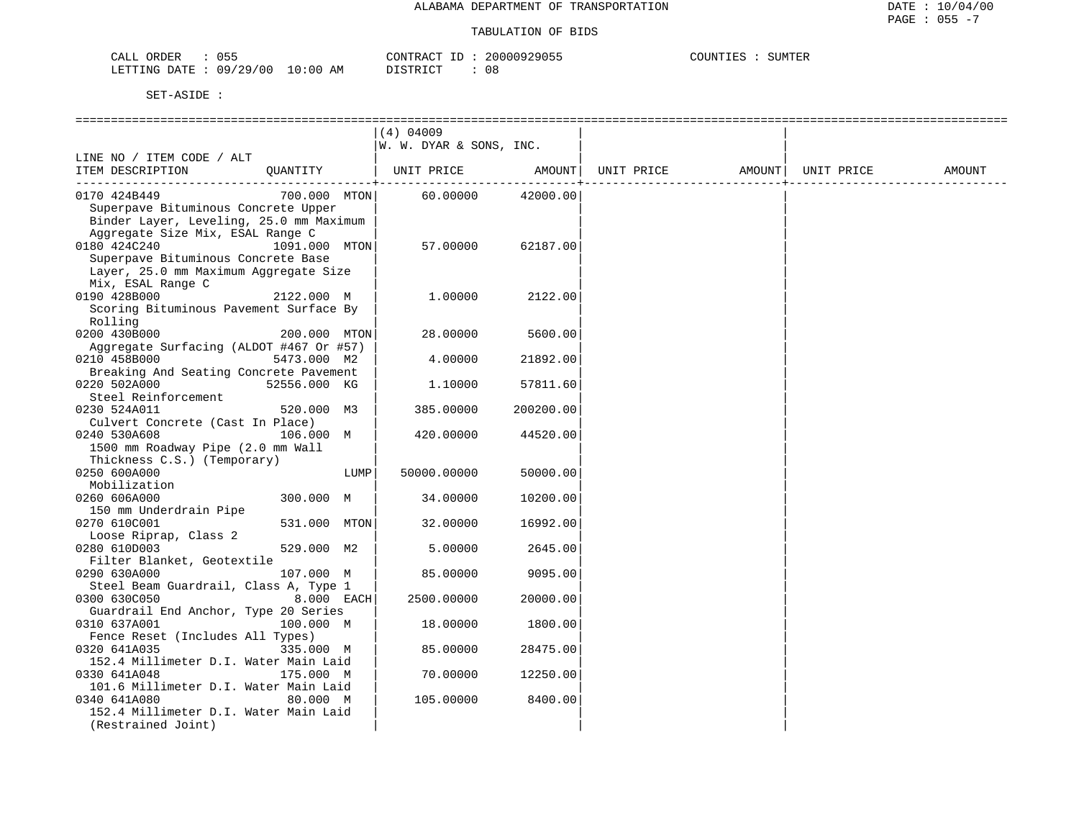| $\sim$ $ -$<br>DE F<br>ь.<br>٠ΔΙ.<br>ັບ ⊃ັ<br>دىسدىم |                          | 'ON<br>$- -$<br>א שי | ، س<br>$\overline{\phantom{a}}$ |  |
|------------------------------------------------------|--------------------------|----------------------|---------------------------------|--|
| ' N C<br>/ ۱۵<br>ם ר׳<br>⊤ידי ∆ו<br>T NG-            | ∶nr<br>ΔM<br>∸ ∾<br>- 11 | $\sim$<br>. איויי    | 08                              |  |

|                                                      |               |      | (4) 04009               |                             |            |        |            |        |
|------------------------------------------------------|---------------|------|-------------------------|-----------------------------|------------|--------|------------|--------|
|                                                      |               |      | W. W. DYAR & SONS, INC. |                             |            |        |            |        |
| LINE NO / ITEM CODE / ALT                            |               |      |                         |                             |            |        |            |        |
| ITEM DESCRIPTION                                     | QUANTITY      |      | UNIT PRICE              | AMOUNT  <br>--------------+ | UNIT PRICE | AMOUNT | UNIT PRICE | AMOUNT |
| 0170 424B449                                         | 700.000 MTON  |      | 60.00000                | 42000.00                    |            |        |            |        |
| Superpave Bituminous Concrete Upper                  |               |      |                         |                             |            |        |            |        |
| Binder Layer, Leveling, 25.0 mm Maximum              |               |      |                         |                             |            |        |            |        |
| Aggregate Size Mix, ESAL Range C                     |               |      |                         |                             |            |        |            |        |
| 0180 424C240                                         | 1091.000 MTON |      | 57.00000                | 62187.00                    |            |        |            |        |
| Superpave Bituminous Concrete Base                   |               |      |                         |                             |            |        |            |        |
| Layer, 25.0 mm Maximum Aggregate Size                |               |      |                         |                             |            |        |            |        |
| Mix, ESAL Range C                                    |               |      |                         |                             |            |        |            |        |
| 0190 428B000                                         | 2122.000 M    |      | 1,00000                 | 2122.00                     |            |        |            |        |
| Scoring Bituminous Pavement Surface By               |               |      |                         |                             |            |        |            |        |
| Rolling                                              |               |      |                         |                             |            |        |            |        |
| 0200 430B000                                         | 200.000 MTON  |      | 28,00000                | 5600.00                     |            |        |            |        |
| Aggregate Surfacing (ALDOT #467 Or #57)              |               |      |                         |                             |            |        |            |        |
| 0210 458B000                                         | 5473.000 M2   |      | 4.00000                 | 21892.00                    |            |        |            |        |
| Breaking And Seating Concrete Pavement               |               |      |                         |                             |            |        |            |        |
| 0220 502A000                                         | 52556.000 KG  |      | 1,10000                 | 57811.60                    |            |        |            |        |
| Steel Reinforcement<br>0230 524A011                  | 520.000 M3    |      | 385.00000               | 200200.00                   |            |        |            |        |
| Culvert Concrete (Cast In Place)                     |               |      |                         |                             |            |        |            |        |
| 0240 530A608                                         | 106.000 M     |      | 420.00000               | 44520.00                    |            |        |            |        |
| 1500 mm Roadway Pipe (2.0 mm Wall                    |               |      |                         |                             |            |        |            |        |
| Thickness C.S.) (Temporary)                          |               |      |                         |                             |            |        |            |        |
| 0250 600A000                                         |               | LUMP | 50000.00000             | 50000.00                    |            |        |            |        |
| Mobilization                                         |               |      |                         |                             |            |        |            |        |
| 0260 606A000                                         | 300.000 M     |      | 34.00000                | 10200.00                    |            |        |            |        |
| 150 mm Underdrain Pipe                               |               |      |                         |                             |            |        |            |        |
| 0270 610C001                                         | 531.000 MTON  |      | 32.00000                | 16992.00                    |            |        |            |        |
| Loose Riprap, Class 2                                |               |      |                         |                             |            |        |            |        |
| 0280 610D003                                         | 529.000 M2    |      | 5.00000                 | 2645.00                     |            |        |            |        |
| Filter Blanket, Geotextile                           |               |      |                         |                             |            |        |            |        |
| 0290 630A000                                         | 107.000 M     |      | 85.00000                | 9095.00                     |            |        |            |        |
| Steel Beam Guardrail, Class A, Type 1                |               |      |                         |                             |            |        |            |        |
| 0300 630C050                                         | 8.000 EACH    |      | 2500.00000              | 20000.00                    |            |        |            |        |
| Guardrail End Anchor, Type 20 Series<br>0310 637A001 | 100.000 M     |      | 18.00000                | 1800.00                     |            |        |            |        |
| Fence Reset (Includes All Types)                     |               |      |                         |                             |            |        |            |        |
| 0320 641A035                                         | 335.000 M     |      | 85.00000                | 28475.00                    |            |        |            |        |
| 152.4 Millimeter D.I. Water Main Laid                |               |      |                         |                             |            |        |            |        |
| 0330 641A048                                         | 175.000 M     |      | 70.00000                | 12250.00                    |            |        |            |        |
| 101.6 Millimeter D.I. Water Main Laid                |               |      |                         |                             |            |        |            |        |
| 0340 641A080                                         | 80.000 M      |      | 105.00000               | 8400.00                     |            |        |            |        |
| 152.4 Millimeter D.I. Water Main Laid                |               |      |                         |                             |            |        |            |        |
| (Restrained Joint)                                   |               |      |                         |                             |            |        |            |        |
|                                                      |               |      |                         |                             |            |        |            |        |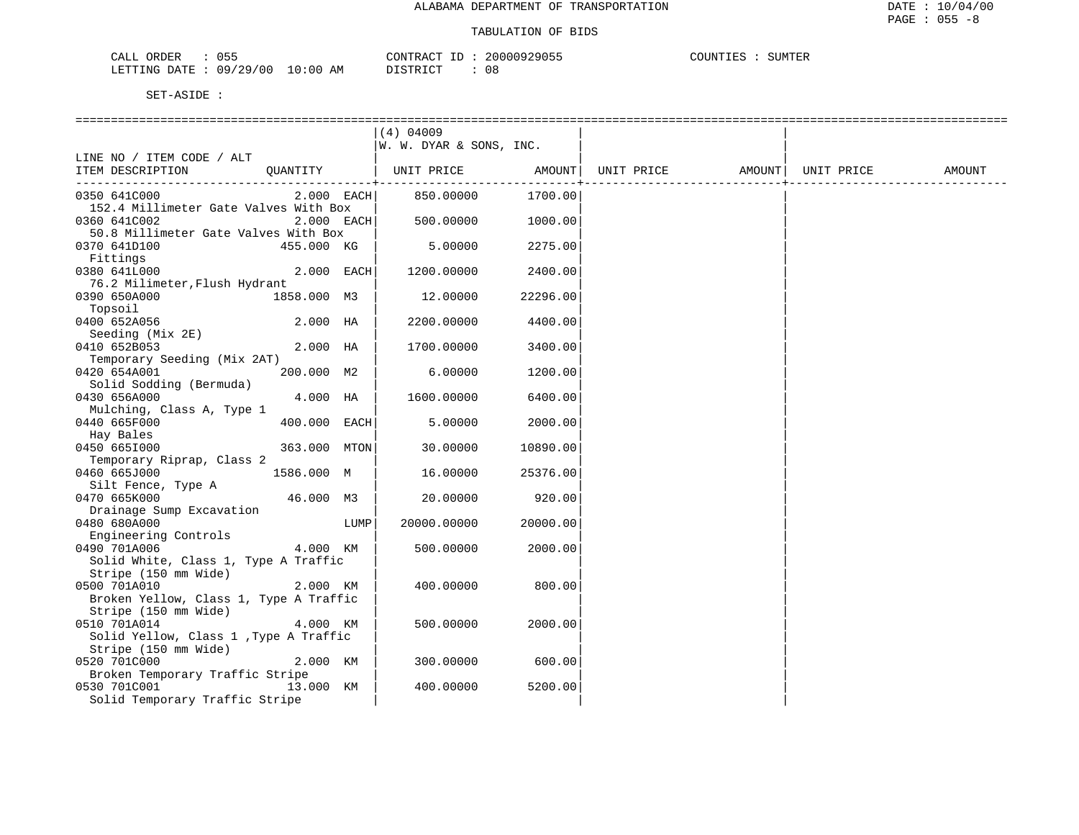| CALL ORDER             | 1 <sub>h</sub> |          | CONTRACT | ID | 20000929055 | COUNTIES | SUMTER |
|------------------------|----------------|----------|----------|----|-------------|----------|--------|
| LETTING DATE: 09/29/00 |                | 10:00 AM | DISTRICT |    | 08          |          |        |

|                                                        |              | $(4)$ 04009             |                        |            |        |            |        |
|--------------------------------------------------------|--------------|-------------------------|------------------------|------------|--------|------------|--------|
|                                                        |              | W. W. DYAR & SONS, INC. |                        |            |        |            |        |
| LINE NO / ITEM CODE / ALT                              |              |                         |                        |            |        |            |        |
| ITEM DESCRIPTION                                       | QUANTITY     | UNIT PRICE              | AMOUNT  <br>---------+ | UNIT PRICE | AMOUNT | UNIT PRICE | AMOUNT |
| 0350 641C000                                           | $2.000$ EACH | 850.00000               | 1700.00                |            |        |            |        |
| 152.4 Millimeter Gate Valves With Box                  |              |                         |                        |            |        |            |        |
| 0360 641C002                                           | 2.000 EACH   | 500.00000               | 1000.00                |            |        |            |        |
| 50.8 Millimeter Gate Valves With Box                   |              |                         |                        |            |        |            |        |
| 0370 641D100<br>Fittings                               | 455.000 KG   | 5.00000                 | 2275.00                |            |        |            |        |
| 0380 641L000                                           | 2.000 EACH   | 1200.00000              | 2400.00                |            |        |            |        |
| 76.2 Milimeter, Flush Hydrant                          |              |                         |                        |            |        |            |        |
| 0390 650A000                                           | 1858.000 M3  | 12.00000                | 22296.00               |            |        |            |        |
| Topsoil                                                |              |                         |                        |            |        |            |        |
| 0400 652A056                                           | 2.000 HA     | 2200.00000              | 4400.00                |            |        |            |        |
| Seeding (Mix 2E)<br>0410 652B053                       | 2.000 HA     | 1700.00000              | 3400.00                |            |        |            |        |
| Temporary Seeding (Mix 2AT)                            |              |                         |                        |            |        |            |        |
| 0420 654A001                                           | 200.000 M2   | 6.00000                 | 1200.00                |            |        |            |        |
| Solid Sodding (Bermuda)                                |              |                         |                        |            |        |            |        |
| 0430 656A000                                           | 4.000 HA     | 1600.00000              | 6400.00                |            |        |            |        |
| Mulching, Class A, Type 1                              |              |                         |                        |            |        |            |        |
| 0440 665F000<br>Hay Bales                              | 400.000 EACH | 5.00000                 | 2000.00                |            |        |            |        |
| 0450 6651000                                           | 363.000 MTON | 30.00000                | 10890.00               |            |        |            |        |
| Temporary Riprap, Class 2                              |              |                         |                        |            |        |            |        |
| 0460 665J000                                           | 1586.000 M   | 16.00000                | 25376.00               |            |        |            |        |
| Silt Fence, Type A                                     |              |                         |                        |            |        |            |        |
| 0470 665K000                                           | 46.000 M3    | 20.00000                | 920.00                 |            |        |            |        |
| Drainage Sump Excavation<br>0480 680A000               | LUMP         | 20000.00000             | 20000.00               |            |        |            |        |
| Engineering Controls                                   |              |                         |                        |            |        |            |        |
| 0490 701A006                                           | 4.000 KM     | 500.00000               | 2000.00                |            |        |            |        |
| Solid White, Class 1, Type A Traffic                   |              |                         |                        |            |        |            |        |
| Stripe (150 mm Wide)                                   |              |                         |                        |            |        |            |        |
| 0500 701A010<br>Broken Yellow, Class 1, Type A Traffic | 2.000 KM     | 400.00000               | 800.00                 |            |        |            |        |
| Stripe (150 mm Wide)                                   |              |                         |                        |            |        |            |        |
| 0510 701A014                                           | 4.000 KM     | 500.00000               | 2000.00                |            |        |            |        |
| Solid Yellow, Class 1, Type A Traffic                  |              |                         |                        |            |        |            |        |
| Stripe (150 mm Wide)                                   |              |                         |                        |            |        |            |        |
| 0520 701C000                                           | 2.000 KM     | 300.00000               | 600.00                 |            |        |            |        |
| Broken Temporary Traffic Stripe                        |              |                         |                        |            |        |            |        |
| 0530 701C001<br>Solid Temporary Traffic Stripe         | 13.000 KM    | 400.00000               | 5200.00                |            |        |            |        |
|                                                        |              |                         |                        |            |        |            |        |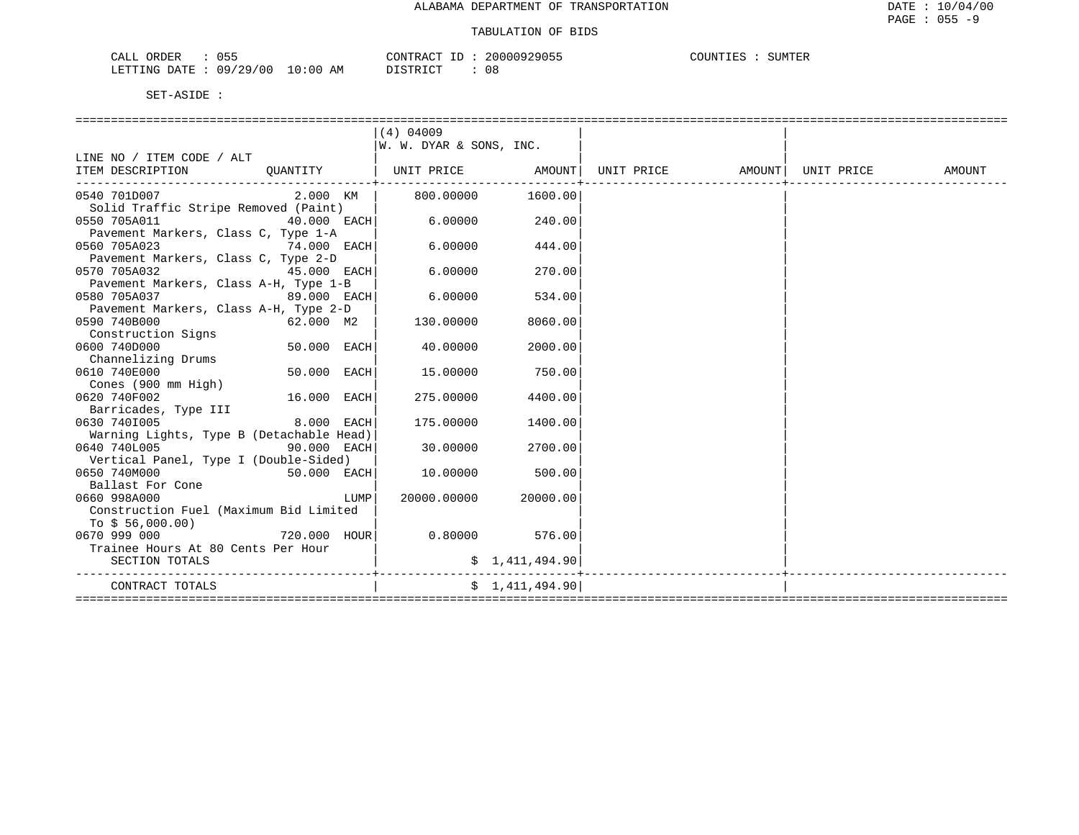| 055<br>CALL<br>ORDER        |             | CONTRACT<br>.ש | 20000929055 | COUNTIES<br>SUMTER |
|-----------------------------|-------------|----------------|-------------|--------------------|
| 09/29/00<br>LETTING<br>DATE | 10:00<br>ΆM | DISTRICT       | 08          |                    |

|                                          |             |      | $(4)$ 04009             |                 |                                                                                                         |  |        |
|------------------------------------------|-------------|------|-------------------------|-----------------|---------------------------------------------------------------------------------------------------------|--|--------|
|                                          |             |      | W. W. DYAR & SONS, INC. |                 |                                                                                                         |  |        |
| LINE NO / ITEM CODE / ALT                |             |      |                         |                 |                                                                                                         |  |        |
| ITEM DESCRIPTION                         |             |      |                         | -------------   | OUANTITY               UNIT PRICE               AMOUNT   UNIT PRICE                 AMOUNT   UNIT PRICE |  | AMOUNT |
|                                          |             |      |                         |                 |                                                                                                         |  |        |
| Solid Traffic Stripe Removed (Paint)     |             |      |                         |                 |                                                                                                         |  |        |
| 0550 705A011                             |             |      | 40.000 EACH 6.00000     | 240.00          |                                                                                                         |  |        |
| Pavement Markers, Class C, Type 1-A      |             |      |                         |                 |                                                                                                         |  |        |
| 0560 705A023<br>$74.000$ EACH            |             |      | 6.00000                 | 444.00          |                                                                                                         |  |        |
| Pavement Markers, Class C, Type 2-D      |             |      |                         |                 |                                                                                                         |  |        |
| 0570 705A032<br>$45.000$ EACH            |             |      | 6.00000                 | 270.00          |                                                                                                         |  |        |
| Pavement Markers, Class A-H, Type 1-B    |             |      |                         |                 |                                                                                                         |  |        |
| 0580 705A037                             | 89.000 EACH |      | 6.00000                 | 534.00          |                                                                                                         |  |        |
| Pavement Markers, Class A-H, Type 2-D    |             |      |                         |                 |                                                                                                         |  |        |
| 0590 740B000                             | 62.000 M2   |      | 130.00000               | 8060.00         |                                                                                                         |  |        |
| Construction Signs                       |             |      |                         |                 |                                                                                                         |  |        |
| 0600 740D000                             | 50.000 EACH |      | 40.00000                | 2000.00         |                                                                                                         |  |        |
| Channelizing Drums                       |             |      |                         |                 |                                                                                                         |  |        |
| 0610 740E000                             | 50.000 EACH |      | 15.00000                | 750.00          |                                                                                                         |  |        |
| Cones (900 mm High)                      |             |      |                         |                 |                                                                                                         |  |        |
| 0620 740F002                             | 16.000 EACH |      | 275.00000               | 4400.001        |                                                                                                         |  |        |
| Barricades, Type III                     |             |      |                         |                 |                                                                                                         |  |        |
| 0630 7401005                             | 8.000 EACH  |      | 175.00000               | 1400.001        |                                                                                                         |  |        |
| Warning Lights, Type B (Detachable Head) |             |      |                         |                 |                                                                                                         |  |        |
| 0640 740L005                             | 90.000 EACH |      | 30.00000                | 2700.00         |                                                                                                         |  |        |
| Vertical Panel, Type I (Double-Sided)    |             |      |                         |                 |                                                                                                         |  |        |
| 0650 740M000                             | 50.000 EACH |      | 10.00000                | 500.00          |                                                                                                         |  |        |
| Ballast For Cone                         |             |      |                         |                 |                                                                                                         |  |        |
| 0660 998A000                             |             | LUMP | 20000.00000             | 20000.00        |                                                                                                         |  |        |
| Construction Fuel (Maximum Bid Limited   |             |      |                         |                 |                                                                                                         |  |        |
| To $$56,000.00)$                         |             |      | $0.80000$ 576.00        |                 |                                                                                                         |  |        |
| 720.000 HOUR<br>0670 999 000             |             |      |                         |                 |                                                                                                         |  |        |
| Trainee Hours At 80 Cents Per Hour       |             |      |                         |                 |                                                                                                         |  |        |
| SECTION TOTALS                           |             |      |                         | \$1,411,494.90] |                                                                                                         |  |        |
| CONTRACT TOTALS                          |             |      |                         | \$1.411.494.90] |                                                                                                         |  |        |
|                                          |             |      |                         |                 |                                                                                                         |  |        |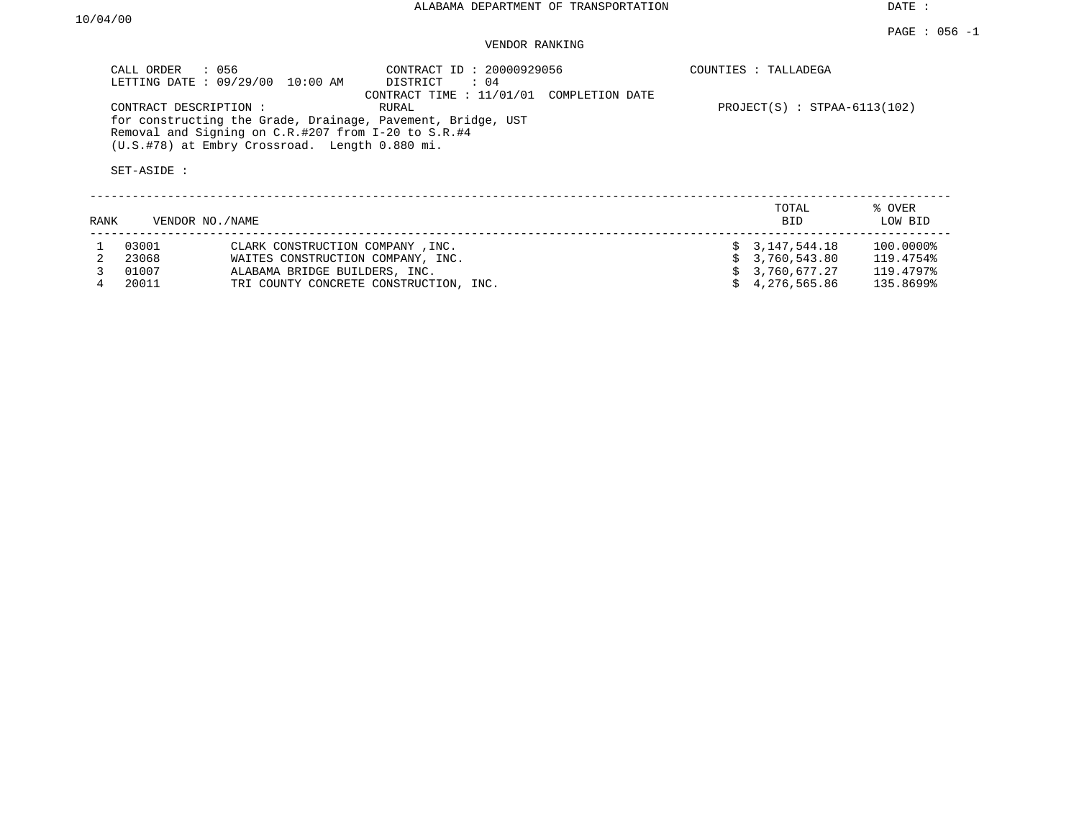DATE :

## VENDOR RANKING

| CALL ORDER : 056<br>CONTRACT DESCRIPTION: | LETTING DATE : 09/29/00 10:00 AM<br>Removal and Signing on C.R.#207 from I-20 to S.R.#4<br>(U.S.#78) at Embry Crossroad. Length 0.880 mi. | CONTRACT ID: 20000929056<br>DISTRICT : 04<br>CONTRACT TIME : 11/01/01 COMPLETION DATE<br>RURAL<br>for constructing the Grade, Drainage, Pavement, Bridge, UST | COUNTIES : TALLADEGA<br>$PROJECT(S) : STPAA-6113(102)$ |                        |
|-------------------------------------------|-------------------------------------------------------------------------------------------------------------------------------------------|---------------------------------------------------------------------------------------------------------------------------------------------------------------|--------------------------------------------------------|------------------------|
| SET-ASIDE :<br>RANK                       | VENDOR NO./NAME                                                                                                                           |                                                                                                                                                               | TOTAL<br><b>BID</b>                                    | % OVER<br>LOW BID      |
| 03001<br>23068                            | CLARK CONSTRUCTION COMPANY, INC.<br>WAITES CONSTRUCTION COMPANY, INC.                                                                     |                                                                                                                                                               | \$3,147,544.18<br>3,760,543.80                         | 100.0000%<br>119.4754% |

 3 01007 ALABAMA BRIDGE BUILDERS, INC. \$ 3,760,677.27 119.4797% 4 20011 TRI COUNTY CONCRETE CONSTRUCTION, INC. \$ 4,276,565.86 135.8699%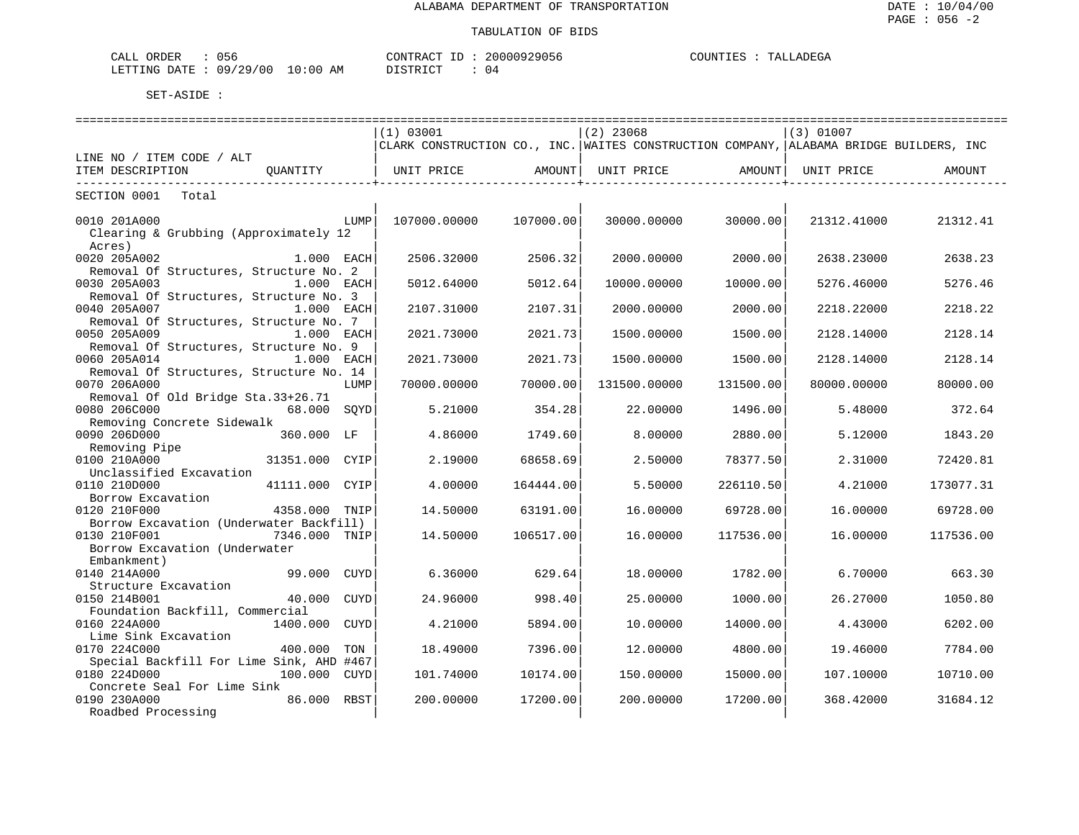| <b>RDER</b><br>-'ALL<br>りっ                                                    |    | חידוג∩י<br>$\sim$ $\sim$ |                | ᇚᆍᇳ<br>־ידו זורור<br>1.1H'(2)<br>.⊥≞≻<br>∸ |
|-------------------------------------------------------------------------------|----|--------------------------|----------------|--------------------------------------------|
| <b>RTTING</b><br>0 <sub>0</sub><br>⊤י⊤ ∆ר<br>129<br>$\cap$ $\Omega$ .<br>____ | AM | $T \cap T$<br>\T O mt    | U <sup>4</sup> |                                            |

|                                          |                   | (1) 03001    |           | $(2)$ 23068                                                                            |           | (3) 01007   |           |
|------------------------------------------|-------------------|--------------|-----------|----------------------------------------------------------------------------------------|-----------|-------------|-----------|
|                                          |                   |              |           | CLARK CONSTRUCTION CO., INC. WAITES CONSTRUCTION COMPANY, ALABAMA BRIDGE BUILDERS, INC |           |             |           |
| LINE NO / ITEM CODE / ALT                |                   |              |           |                                                                                        |           |             |           |
| ITEM DESCRIPTION                         | OUANTITY          | UNIT PRICE   | AMOUNT    | UNIT PRICE                                                                             | AMOUNT    | UNIT PRICE  | AMOUNT    |
|                                          |                   |              |           |                                                                                        |           |             |           |
| SECTION 0001<br>Total                    |                   |              |           |                                                                                        |           |             |           |
|                                          |                   |              |           |                                                                                        |           |             |           |
| 0010 201A000                             | LUMP              | 107000.00000 | 107000.00 | 30000.00000                                                                            | 30000.00  | 21312.41000 | 21312.41  |
| Clearing & Grubbing (Approximately 12    |                   |              |           |                                                                                        |           |             |           |
| Acres)                                   |                   |              |           |                                                                                        |           |             |           |
| 0020 205A002                             | 1.000 EACH        | 2506.32000   | 2506.32   | 2000.00000                                                                             | 2000.00   | 2638.23000  | 2638.23   |
| Removal Of Structures, Structure No. 2   |                   |              |           |                                                                                        |           |             |           |
| 0030 205A003                             | 1.000 EACH        | 5012.64000   | 5012.64   | 10000.00000                                                                            | 10000.00  | 5276.46000  | 5276.46   |
| Removal Of Structures, Structure No. 3   |                   |              |           |                                                                                        |           |             |           |
| 0040 205A007                             | 1.000 EACH        | 2107.31000   | 2107.31   | 2000.00000                                                                             | 2000.00   | 2218.22000  | 2218.22   |
| Removal Of Structures, Structure No. 7   |                   |              |           |                                                                                        |           |             |           |
| 0050 205A009                             | 1.000 EACH        | 2021.73000   | 2021.73   | 1500.00000                                                                             | 1500.00   | 2128.14000  | 2128.14   |
| Removal Of Structures, Structure No. 9   |                   |              |           |                                                                                        |           |             |           |
| 0060 205A014                             | 1.000 EACH        | 2021.73000   | 2021.73   | 1500.00000                                                                             | 1500.00   | 2128.14000  | 2128.14   |
| Removal Of Structures, Structure No. 14  |                   |              |           |                                                                                        |           |             |           |
| 0070 206A000                             | LUMP              | 70000.00000  | 70000.00  | 131500.00000                                                                           | 131500.00 | 80000.00000 | 80000.00  |
| Removal Of Old Bridge Sta.33+26.71       |                   |              |           |                                                                                        |           |             |           |
| 0080 206C000                             | 68.000<br>SOYD    | 5.21000      | 354.28    | 22.00000                                                                               | 1496.00   | 5.48000     | 372.64    |
| Removing Concrete Sidewalk               |                   |              |           |                                                                                        |           |             |           |
| 0090 206D000                             | 360.000 LF        | 4.86000      | 1749.60   | 8.00000                                                                                | 2880.00   | 5.12000     | 1843.20   |
| Removing Pipe                            |                   |              |           |                                                                                        |           |             |           |
| 0100 210A000                             | 31351.000<br>CYIP | 2.19000      | 68658.69  | 2.50000                                                                                | 78377.50  | 2.31000     | 72420.81  |
| Unclassified Excavation                  |                   |              |           |                                                                                        |           |             |           |
| 0110 210D000                             | 41111.000<br>CYIP | 4.00000      | 164444.00 | 5.50000                                                                                | 226110.50 | 4.21000     | 173077.31 |
| Borrow Excavation                        |                   |              |           |                                                                                        |           |             |           |
| 0120 210F000                             | 4358.000 TNIP     | 14.50000     | 63191.00  | 16.00000                                                                               | 69728.00  | 16.00000    | 69728.00  |
| Borrow Excavation (Underwater Backfill)  |                   |              |           |                                                                                        |           |             |           |
| 0130 210F001                             | 7346.000<br>TNIP  | 14.50000     | 106517.00 | 16,00000                                                                               | 117536.00 | 16,00000    | 117536.00 |
| Borrow Excavation (Underwater            |                   |              |           |                                                                                        |           |             |           |
| Embankment)                              |                   |              |           |                                                                                        |           |             |           |
| 0140 214A000                             | 99.000<br>CUYD    | 6.36000      | 629.64    | 18.00000                                                                               | 1782.00   | 6.70000     | 663.30    |
| Structure Excavation                     |                   |              |           |                                                                                        |           |             |           |
| 0150 214B001                             | 40.000<br>CUYD    | 24.96000     | 998.40    | 25.00000                                                                               | 1000.00   | 26.27000    | 1050.80   |
| Foundation Backfill, Commercial          |                   |              |           |                                                                                        |           |             |           |
| 0160 224A000                             | 1400.000<br>CUYD  | 4.21000      | 5894.00   | 10,00000                                                                               | 14000.00  | 4.43000     | 6202.00   |
| Lime Sink Excavation                     |                   |              |           |                                                                                        |           |             |           |
| 0170 224C000                             | 400.000<br>TON    | 18.49000     | 7396.00   | 12.00000                                                                               | 4800.00   | 19,46000    | 7784.00   |
| Special Backfill For Lime Sink, AHD #467 |                   |              |           |                                                                                        |           |             |           |
| 0180 224D000                             | 100.000 CUYD      | 101.74000    | 10174.00  | 150.00000                                                                              | 15000.00  | 107.10000   | 10710.00  |
| Concrete Seal For Lime Sink              |                   |              |           |                                                                                        |           |             |           |
| 0190 230A000                             | 86.000 RBST       | 200.00000    | 17200.00  | 200.00000                                                                              | 17200.00  | 368.42000   | 31684.12  |
| Roadbed Processing                       |                   |              |           |                                                                                        |           |             |           |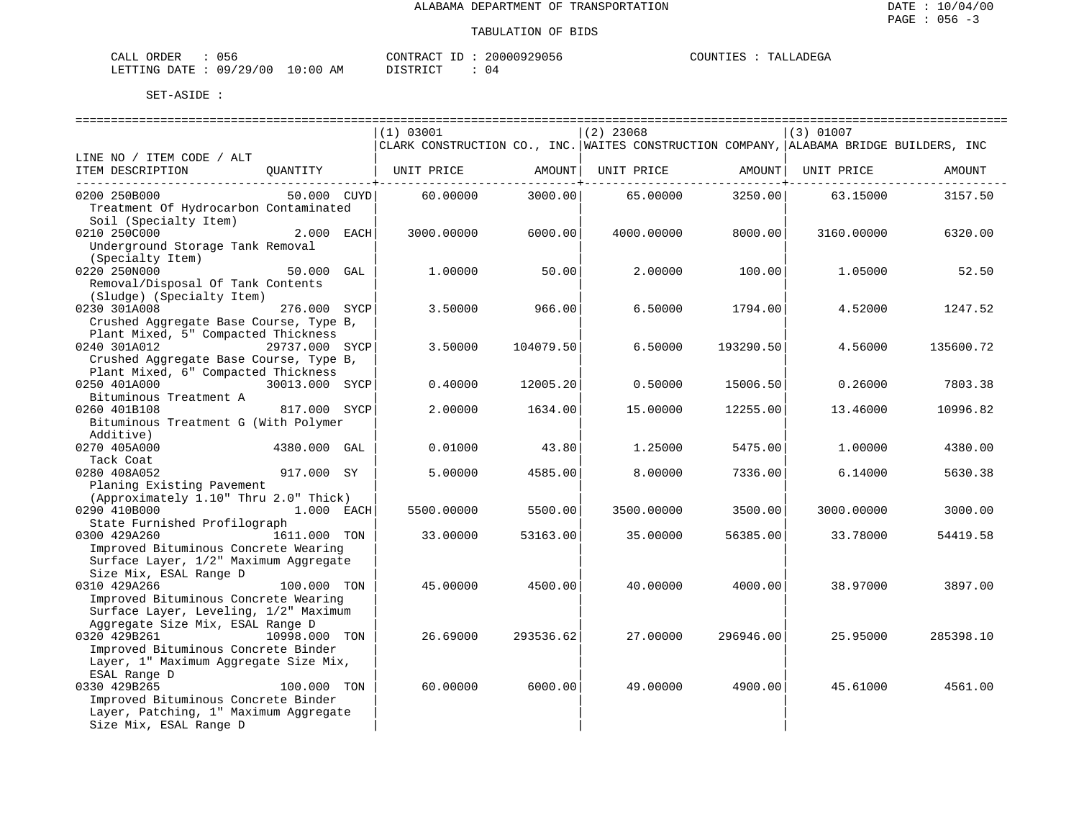| CALL ORDER                      | 056 | CONTRACT ID | 20000929056 | COUNTIES | TALLADEGA |
|---------------------------------|-----|-------------|-------------|----------|-----------|
| LETTING DATE: 09/29/00 10:00 AM |     | DISTRICT    | 04          |          |           |

|                                                                                                                |                 | ----------------------- |                                 | -------------------------------                                                        |                                     |                    |           |
|----------------------------------------------------------------------------------------------------------------|-----------------|-------------------------|---------------------------------|----------------------------------------------------------------------------------------|-------------------------------------|--------------------|-----------|
|                                                                                                                |                 | (1) 03001               |                                 | $(2)$ 23068                                                                            |                                     | (3) 01007          |           |
|                                                                                                                |                 |                         |                                 | CLARK CONSTRUCTION CO., INC. WAITES CONSTRUCTION COMPANY, ALABAMA BRIDGE BUILDERS, INC |                                     |                    |           |
| LINE NO / ITEM CODE / ALT                                                                                      |                 |                         |                                 |                                                                                        |                                     |                    |           |
| ITEM DESCRIPTION                                                                                               | OUANTITY        | UNIT PRICE              | AMOUNT                          | UNIT PRICE                                                                             |                                     | AMOUNT  UNIT PRICE | AMOUNT    |
|                                                                                                                |                 |                         | . _ _ _ _ _ _ _ _ _ + _ _ _ _ _ |                                                                                        | . _ _ _ _ _ _ _ _ _ _ _ _ + _ _ _ . |                    |           |
| 0200 250B000                                                                                                   | $50.000$ $CUYD$ | 60.00000                | 3000.00                         | 65.00000                                                                               | 3250.00                             | 63.15000           | 3157.50   |
| Treatment Of Hydrocarbon Contaminated                                                                          |                 |                         |                                 |                                                                                        |                                     |                    |           |
| Soil (Specialty Item)                                                                                          |                 |                         |                                 |                                                                                        |                                     |                    |           |
| 0210 250C000                                                                                                   | 2.000 EACH      | 3000.00000              | 6000.00                         | 4000.00000                                                                             | 8000.00                             | 3160.00000         | 6320.00   |
| Underground Storage Tank Removal                                                                               |                 |                         |                                 |                                                                                        |                                     |                    |           |
| (Specialty Item)                                                                                               |                 |                         |                                 |                                                                                        |                                     |                    |           |
| 0220 250N000                                                                                                   | 50.000 GAL      | 1,00000                 | 50.00                           | 2,00000                                                                                | 100.00                              | 1.05000            | 52.50     |
| Removal/Disposal Of Tank Contents                                                                              |                 |                         |                                 |                                                                                        |                                     |                    |           |
| (Sludge) (Specialty Item)                                                                                      |                 |                         |                                 |                                                                                        |                                     |                    |           |
| 0230 301A008                                                                                                   | 276.000 SYCP    | 3.50000                 | 966.00                          | 6.50000                                                                                | 1794.00                             | 4.52000            | 1247.52   |
| Crushed Aggregate Base Course, Type B,                                                                         |                 |                         |                                 |                                                                                        |                                     |                    |           |
| Plant Mixed, 5" Compacted Thickness                                                                            |                 |                         |                                 |                                                                                        |                                     |                    |           |
| 0240 301A012<br>29737.000 SYCP                                                                                 |                 | 3.50000                 | 104079.50                       | 6.50000                                                                                | 193290.50                           | 4.56000            | 135600.72 |
| Crushed Aggregate Base Course, Type B,<br>Plant Mixed, 6" Compacted Thickness                                  |                 |                         |                                 |                                                                                        |                                     |                    |           |
| 0250 401A000                                                                                                   | 30013.000 SYCP  | 0.40000                 | 12005.20                        | 0.50000                                                                                | 15006.50                            | 0.26000            | 7803.38   |
| Bituminous Treatment A                                                                                         |                 |                         |                                 |                                                                                        |                                     |                    |           |
| 0260 401B108                                                                                                   | 817.000 SYCP    | 2.00000                 | 1634.00                         | 15,00000                                                                               | 12255.00                            | 13.46000           | 10996.82  |
| Bituminous Treatment G (With Polymer                                                                           |                 |                         |                                 |                                                                                        |                                     |                    |           |
| Additive)                                                                                                      |                 |                         |                                 |                                                                                        |                                     |                    |           |
| 0270 405A000                                                                                                   | 4380.000 GAL    | 0.01000                 | 43.80                           | 1,25000                                                                                | 5475.00                             | 1.00000            | 4380.00   |
| Tack Coat                                                                                                      |                 |                         |                                 |                                                                                        |                                     |                    |           |
| 0280 408A052                                                                                                   | 917.000 SY      | 5.00000                 | 4585.00                         | 8,00000                                                                                | 7336.00                             | 6.14000            | 5630.38   |
| Planing Existing Pavement                                                                                      |                 |                         |                                 |                                                                                        |                                     |                    |           |
| (Approximately 1.10" Thru 2.0" Thick)                                                                          |                 |                         |                                 |                                                                                        |                                     |                    |           |
| 0290 410B000 and the state of the state of the state of the state of the state of the state of the state of th | 1.000 EACH      | 5500.00000              | 5500.00                         | 3500.00000                                                                             | 3500.00                             | 3000.00000         | 3000.00   |
| State Furnished Profilograph                                                                                   |                 |                         |                                 |                                                                                        |                                     |                    |           |
| 0300 429A260                                                                                                   | 1611.000 TON    | 33.00000                | 53163.00                        | 35.00000                                                                               | 56385.00                            | 33.78000           | 54419.58  |
| Improved Bituminous Concrete Wearing                                                                           |                 |                         |                                 |                                                                                        |                                     |                    |           |
| Surface Layer, 1/2" Maximum Aggregate                                                                          |                 |                         |                                 |                                                                                        |                                     |                    |           |
| Size Mix, ESAL Range D                                                                                         |                 |                         |                                 |                                                                                        |                                     |                    |           |
| 0310 429A266                                                                                                   | 100.000 TON     | 45.00000                | 4500.00                         | 40.00000                                                                               | 4000.00                             | 38.97000           | 3897.00   |
| Improved Bituminous Concrete Wearing                                                                           |                 |                         |                                 |                                                                                        |                                     |                    |           |
| Surface Layer, Leveling, 1/2" Maximum                                                                          |                 |                         |                                 |                                                                                        |                                     |                    |           |
| Aggregate Size Mix, ESAL Range D                                                                               |                 |                         |                                 |                                                                                        |                                     |                    |           |
| 0320 429B261                                                                                                   | 10998.000 TON   | 26.69000                | 293536.62                       | 27.00000                                                                               | 296946.00                           | 25.95000           | 285398.10 |
| Improved Bituminous Concrete Binder<br>Layer, 1" Maximum Aggregate Size Mix,                                   |                 |                         |                                 |                                                                                        |                                     |                    |           |
| ESAL Range D                                                                                                   |                 |                         |                                 |                                                                                        |                                     |                    |           |
| 0330 429B265                                                                                                   | 100.000 TON     | 60.00000                | 6000.00                         | 49.00000                                                                               | 4900.00                             | 45.61000           | 4561.00   |
| Improved Bituminous Concrete Binder                                                                            |                 |                         |                                 |                                                                                        |                                     |                    |           |
| Layer, Patching, 1" Maximum Aggregate                                                                          |                 |                         |                                 |                                                                                        |                                     |                    |           |
| Size Mix, ESAL Range D                                                                                         |                 |                         |                                 |                                                                                        |                                     |                    |           |
|                                                                                                                |                 |                         |                                 |                                                                                        |                                     |                    |           |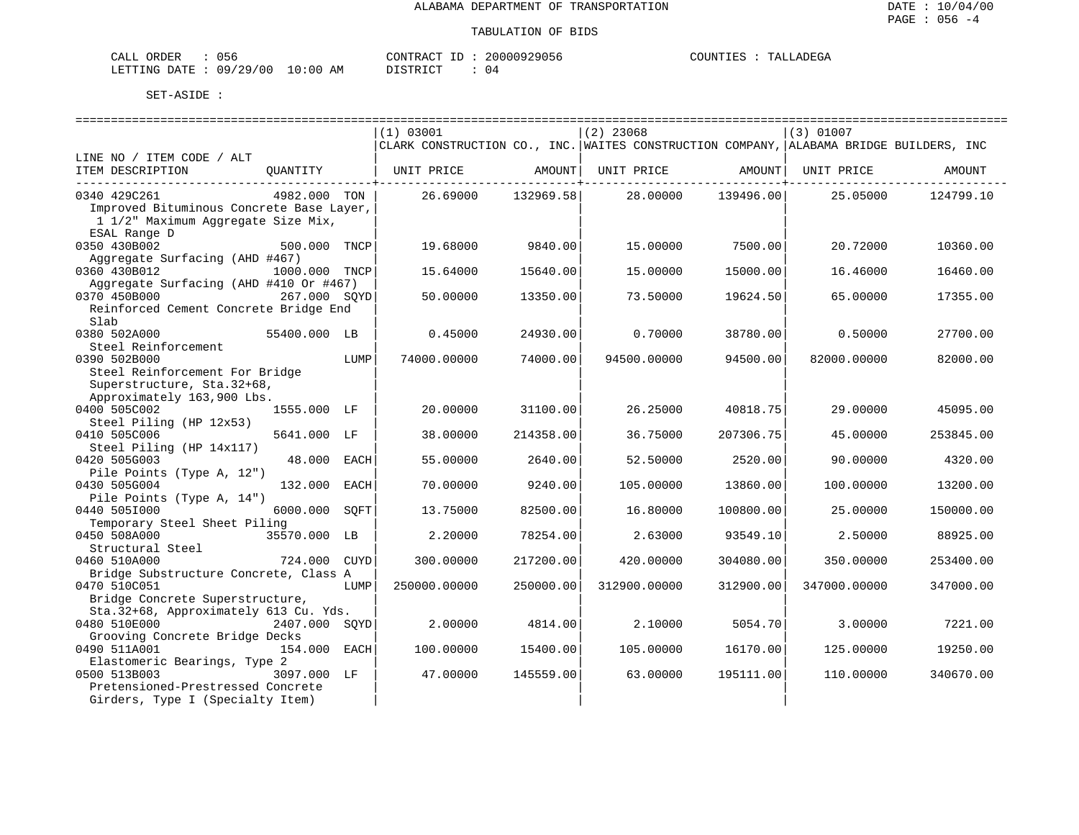| CALL ORDER                      | 056 | CONTRACT ID: | 20000929056 | COUNTIES | TALLADEGA |
|---------------------------------|-----|--------------|-------------|----------|-----------|
| LETTING DATE: 09/29/00 10:00 AM |     | DISTRICT     | 04          |          |           |

|                                                          |               |      | (1) 03001    |           | $(2)$ 23068                                                                            |           | $(3)$ 01007  |           |
|----------------------------------------------------------|---------------|------|--------------|-----------|----------------------------------------------------------------------------------------|-----------|--------------|-----------|
|                                                          |               |      |              |           | CLARK CONSTRUCTION CO., INC. WAITES CONSTRUCTION COMPANY, ALABAMA BRIDGE BUILDERS, INC |           |              |           |
| LINE NO / ITEM CODE / ALT                                |               |      |              |           |                                                                                        |           |              |           |
| ITEM DESCRIPTION                                         | OUANTITY      |      | UNIT PRICE   | AMOUNT    | UNIT PRICE                                                                             | AMOUNT    | UNIT PRICE   | AMOUNT    |
|                                                          |               |      |              |           |                                                                                        |           |              |           |
| 0340 429C261<br>Improved Bituminous Concrete Base Layer, | 4982.000 TON  |      | 26.69000     | 132969.58 | 28,00000                                                                               | 139496.00 | 25.05000     | 124799.10 |
| 1 1/2" Maximum Aggregate Size Mix,                       |               |      |              |           |                                                                                        |           |              |           |
| ESAL Range D                                             |               |      |              |           |                                                                                        |           |              |           |
| 0350 430B002                                             | 500.000       | TNCP | 19.68000     | 9840.00   | 15,00000                                                                               | 7500.00   | 20.72000     | 10360.00  |
| Aggregate Surfacing (AHD #467)                           |               |      |              |           |                                                                                        |           |              |           |
| 0360 430B012                                             | 1000.000      | TNCP | 15.64000     | 15640.00  | 15.00000                                                                               | 15000.00  | 16.46000     | 16460.00  |
| Aggregate Surfacing (AHD #410 Or #467)                   |               |      |              |           |                                                                                        |           |              |           |
| 0370 450B000                                             | 267.000 SOYD  |      | 50.00000     | 13350.00  | 73.50000                                                                               | 19624.50  | 65.00000     | 17355.00  |
| Reinforced Cement Concrete Bridge End                    |               |      |              |           |                                                                                        |           |              |           |
| Slab                                                     |               |      |              |           |                                                                                        |           |              |           |
| 0380 502A000<br>Steel Reinforcement                      | 55400.000     | LB   | 0.45000      | 24930.00  | 0.70000                                                                                | 38780.00  | 0.50000      | 27700.00  |
| 0390 502B000                                             |               | LUMP | 74000.00000  | 74000.00  | 94500.00000                                                                            | 94500.00  | 82000.00000  | 82000.00  |
| Steel Reinforcement For Bridge                           |               |      |              |           |                                                                                        |           |              |           |
| Superstructure, Sta.32+68,                               |               |      |              |           |                                                                                        |           |              |           |
| Approximately 163,900 Lbs.                               |               |      |              |           |                                                                                        |           |              |           |
| 0400 505C002                                             | 1555.000 LF   |      | 20.00000     | 31100.00  | 26.25000                                                                               | 40818.75  | 29.00000     | 45095.00  |
| Steel Piling (HP 12x53)                                  |               |      |              |           |                                                                                        |           |              |           |
| 0410 505C006                                             | 5641.000      | LF   | 38.00000     | 214358.00 | 36.75000                                                                               | 207306.75 | 45.00000     | 253845.00 |
| Steel Piling (HP 14x117)                                 |               |      |              |           |                                                                                        |           |              |           |
| 0420 505G003                                             | 48.000        | EACH | 55.00000     | 2640.00   | 52.50000                                                                               | 2520.00   | 90.00000     | 4320.00   |
| Pile Points (Type A, 12")                                |               |      |              |           |                                                                                        |           |              |           |
| 0430 505G004<br>Pile Points (Type A, 14")                | 132.000       | EACH | 70.00000     | 9240.00   | 105.00000                                                                              | 13860.00  | 100.00000    | 13200.00  |
| 0440 5051000                                             | 6000.000      | SOFT | 13.75000     | 82500.00  | 16.80000                                                                               | 100800.00 | 25.00000     | 150000.00 |
| Temporary Steel Sheet Piling                             |               |      |              |           |                                                                                        |           |              |           |
| 0450 508A000                                             | 35570.000 LB  |      | 2.20000      | 78254.00  | 2.63000                                                                                | 93549.10  | 2.50000      | 88925.00  |
| Structural Steel                                         |               |      |              |           |                                                                                        |           |              |           |
| 0460 510A000                                             | 724.000       | CUYD | 300.00000    | 217200.00 | 420.00000                                                                              | 304080.00 | 350.00000    | 253400.00 |
| Bridge Substructure Concrete, Class A                    |               |      |              |           |                                                                                        |           |              |           |
| 0470 510C051                                             |               | LUMP | 250000.00000 | 250000.00 | 312900.00000                                                                           | 312900.00 | 347000.00000 | 347000.00 |
| Bridge Concrete Superstructure,                          |               |      |              |           |                                                                                        |           |              |           |
| Sta.32+68, Approximately 613 Cu. Yds.<br>0480 510E000    | 2407.000 SOYD |      | 2.00000      | 4814.00   | 2.10000                                                                                | 5054.70   | 3.00000      | 7221.00   |
| Grooving Concrete Bridge Decks                           |               |      |              |           |                                                                                        |           |              |           |
| 0490 511A001                                             | 154.000 EACH  |      | 100.00000    | 15400.00  | 105.00000                                                                              | 16170.00  | 125.00000    | 19250.00  |
| Elastomeric Bearings, Type 2                             |               |      |              |           |                                                                                        |           |              |           |
| 0500 513B003                                             | 3097.000 LF   |      | 47.00000     | 145559.00 | 63.00000                                                                               | 195111.00 | 110.00000    | 340670.00 |
| Pretensioned-Prestressed Concrete                        |               |      |              |           |                                                                                        |           |              |           |
| Girders, Type I (Specialty Item)                         |               |      |              |           |                                                                                        |           |              |           |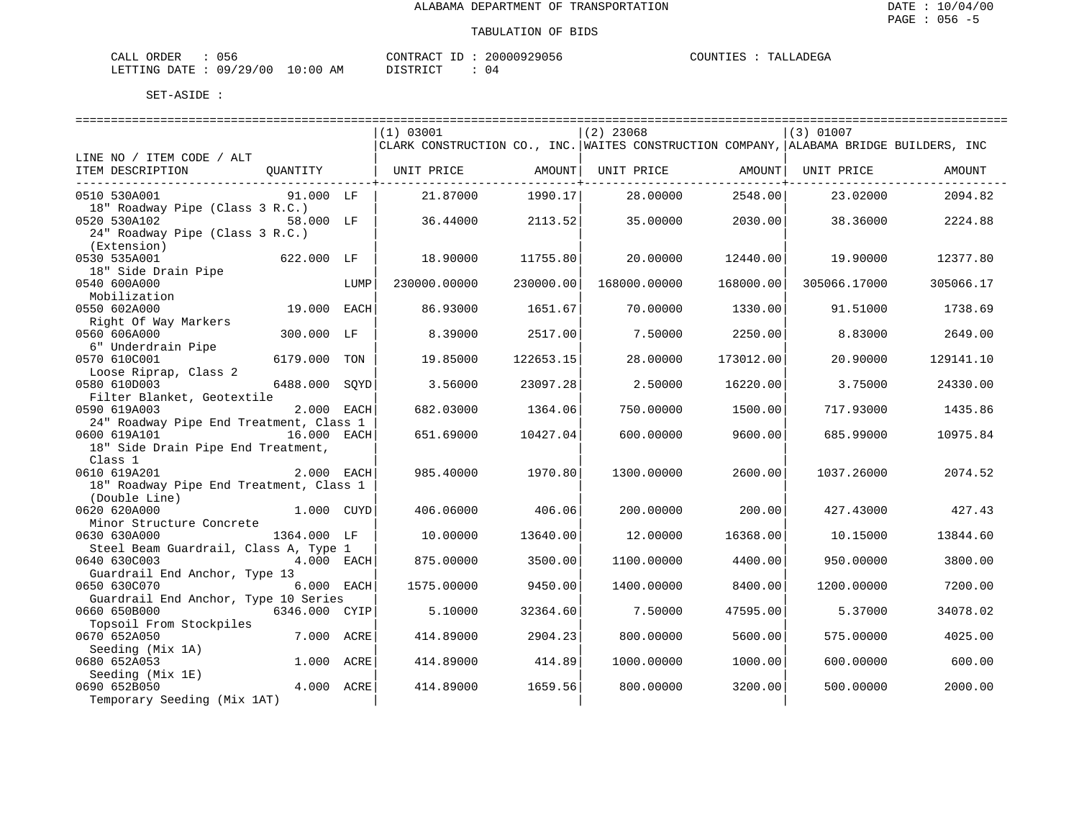| CALL ORDER                      | 056 |          | CONTRACT ID: 20000929056 |  | COUNTIES : TALLADEGA |
|---------------------------------|-----|----------|--------------------------|--|----------------------|
| LETTING DATE: 09/29/00 10:00 AM |     | DISTRICT |                          |  |                      |

|                                                             | (1) 03001                                                                              |           | $(2)$ 23068  |           | $(3)$ 01007         |           |
|-------------------------------------------------------------|----------------------------------------------------------------------------------------|-----------|--------------|-----------|---------------------|-----------|
|                                                             | CLARK CONSTRUCTION CO., INC. WAITES CONSTRUCTION COMPANY, ALABAMA BRIDGE BUILDERS, INC |           |              |           |                     |           |
| LINE NO / ITEM CODE / ALT                                   |                                                                                        |           |              |           |                     |           |
| ITEM DESCRIPTION<br>QUANTITY                                | UNIT PRICE                                                                             | AMOUNT    | UNIT PRICE   |           | AMOUNT   UNIT PRICE | AMOUNT    |
| 0510 530A001<br>91.000 LF                                   | 21,87000                                                                               | 1990.17   | 28,00000     | 2548.00   | 23.02000            | 2094.82   |
| 18" Roadway Pipe (Class 3 R.C.)                             |                                                                                        |           |              |           |                     |           |
| 0520 530A102<br>58.000 LF                                   | 36.44000                                                                               | 2113.52   | 35,00000     | 2030.00   | 38.36000            | 2224.88   |
| 24" Roadway Pipe (Class 3 R.C.)                             |                                                                                        |           |              |           |                     |           |
| (Extension)                                                 |                                                                                        |           |              |           |                     |           |
| 622.000 LF<br>0530 535A001                                  | 18.90000                                                                               | 11755.80  | 20.00000     | 12440.00  | 19.90000            | 12377.80  |
| 18" Side Drain Pipe<br>0540 600A000<br>LUMP                 | 230000.00000                                                                           | 230000.00 | 168000.00000 | 168000.00 | 305066.17000        | 305066.17 |
| Mobilization                                                |                                                                                        |           |              |           |                     |           |
| 19.000 EACH<br>0550 602A000                                 | 86.93000                                                                               | 1651.67   | 70.00000     | 1330.00   | 91.51000            | 1738.69   |
| Right Of Way Markers                                        |                                                                                        |           |              |           |                     |           |
| 0560 606A000<br>300.000 LF                                  | 8.39000                                                                                | 2517.00   | 7.50000      | 2250.00   | 8.83000             | 2649.00   |
| 6" Underdrain Pipe                                          |                                                                                        |           |              |           |                     |           |
| 0570 610C001<br>6179.000 TON                                | 19.85000                                                                               | 122653.15 | 28.00000     | 173012.00 | 20.90000            | 129141.10 |
| Loose Riprap, Class 2<br>0580 610D003<br>6488.000<br>SQYD   | 3.56000                                                                                | 23097.28  | 2.50000      | 16220.00  | 3.75000             | 24330.00  |
| Filter Blanket, Geotextile                                  |                                                                                        |           |              |           |                     |           |
| 0590 619A003<br>2.000 EACH                                  | 682.03000                                                                              | 1364.06   | 750.00000    | 1500.00   | 717.93000           | 1435.86   |
| 24" Roadway Pipe End Treatment, Class 1                     |                                                                                        |           |              |           |                     |           |
| 16.000 EACH<br>0600 619A101                                 | 651.69000                                                                              | 10427.04  | 600.00000    | 9600.00   | 685.99000           | 10975.84  |
| 18" Side Drain Pipe End Treatment,                          |                                                                                        |           |              |           |                     |           |
| Class 1<br>0610 619A201                                     |                                                                                        | 1970.80   |              |           |                     |           |
| 2.000 EACH<br>18" Roadway Pipe End Treatment, Class 1       | 985.40000                                                                              |           | 1300.00000   | 2600.00   | 1037.26000          | 2074.52   |
| (Double Line)                                               |                                                                                        |           |              |           |                     |           |
| 0620 620A000<br>1.000 CUYD                                  | 406.06000                                                                              | 406.06    | 200.00000    | 200.00    | 427.43000           | 427.43    |
| Minor Structure Concrete                                    |                                                                                        |           |              |           |                     |           |
| 0630 630A000<br>1364.000 LF                                 | 10.00000                                                                               | 13640.00  | 12.00000     | 16368.00  | 10.15000            | 13844.60  |
| Steel Beam Guardrail, Class A, Type 1                       |                                                                                        |           |              |           |                     |           |
| 0640 630C003<br>4.000 EACH<br>Guardrail End Anchor, Type 13 | 875.00000                                                                              | 3500.00   | 1100.00000   | 4400.00   | 950.00000           | 3800.00   |
| 6.000 EACH<br>0650 630C070                                  | 1575.00000                                                                             | 9450.00   | 1400.00000   | 8400.00   | 1200.00000          | 7200.00   |
| Guardrail End Anchor, Type 10 Series                        |                                                                                        |           |              |           |                     |           |
| 0660 650B000<br>6346.000 CYIP                               | 5.10000                                                                                | 32364.60  | 7.50000      | 47595.00  | 5.37000             | 34078.02  |
| Topsoil From Stockpiles                                     |                                                                                        |           |              |           |                     |           |
| 0670 652A050<br>7.000 ACRE                                  | 414.89000                                                                              | 2904.23   | 800.00000    | 5600.00   | 575.00000           | 4025.00   |
| Seeding (Mix 1A)<br>0680 652A053                            |                                                                                        |           |              |           |                     |           |
| 1.000 ACRE<br>Seeding (Mix 1E)                              | 414.89000                                                                              | 414.89    | 1000.00000   | 1000.00   | 600.00000           | 600.00    |
| 0690 652B050<br>4.000 ACRE                                  | 414.89000                                                                              | 1659.56   | 800.00000    | 3200.00   | 500.00000           | 2000.00   |
| Temporary Seeding (Mix 1AT)                                 |                                                                                        |           |              |           |                     |           |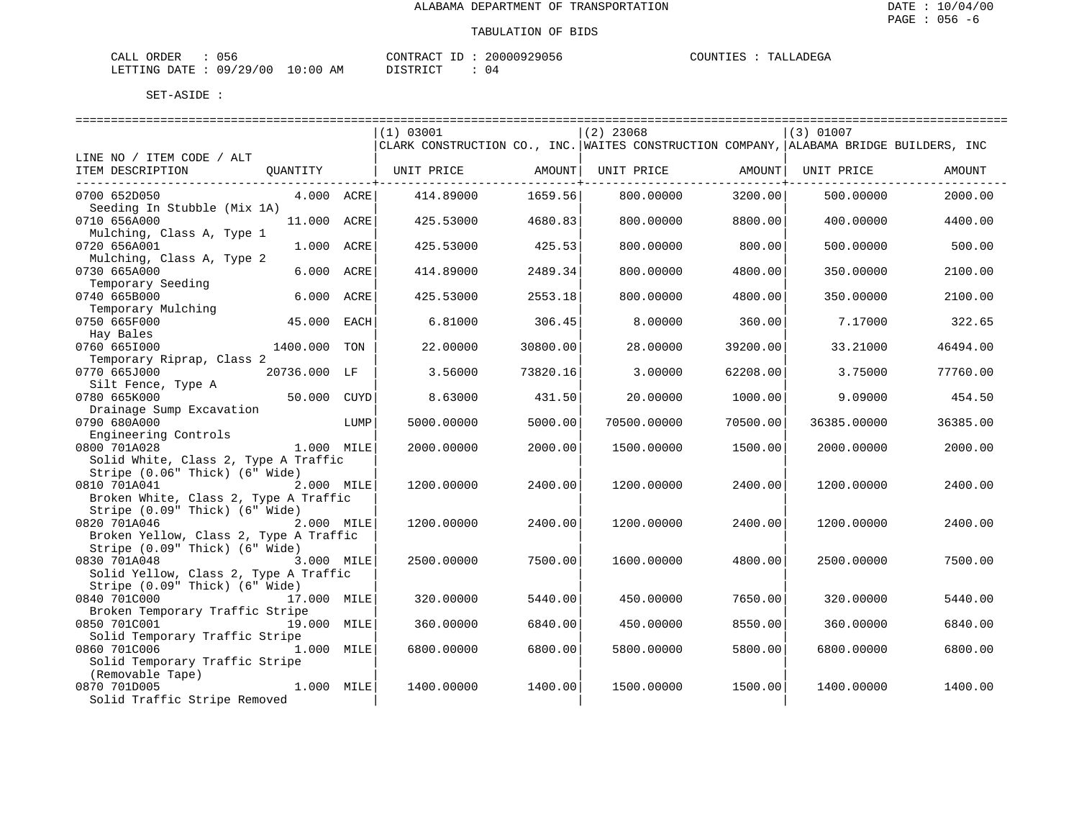TALLADEGA

| CALL ORDER                      | 056 | CONTRACT ID | 20000929056 | COUNTIES | TALLADEGA |
|---------------------------------|-----|-------------|-------------|----------|-----------|
| LETTING DATE: 09/29/00 10:00 AM |     | DISTRICT    | 04          |          |           |

|                                                                          | (1) 03001                                                                              |                                    | $(2)$ 23068 |                              | (3) 01007   |          |
|--------------------------------------------------------------------------|----------------------------------------------------------------------------------------|------------------------------------|-------------|------------------------------|-------------|----------|
|                                                                          | CLARK CONSTRUCTION CO., INC. WAITES CONSTRUCTION COMPANY, ALABAMA BRIDGE BUILDERS, INC |                                    |             |                              |             |          |
| LINE NO / ITEM CODE / ALT                                                |                                                                                        |                                    |             |                              |             |          |
| ITEM DESCRIPTION<br>QUANTITY                                             | UNIT PRICE                                                                             | AMOUNT<br>------------------------ | UNIT PRICE  | AMOUNT  <br>---------------+ | UNIT PRICE  | AMOUNT   |
| 0700 652D050<br>4.000 ACRE                                               | 414.89000                                                                              | 1659.56                            | 800,00000   | 3200.00                      | 500,00000   | 2000.00  |
| Seeding In Stubble (Mix 1A)                                              |                                                                                        |                                    |             |                              |             |          |
| 0710 656A000<br>11.000 ACRE                                              | 425.53000                                                                              | 4680.83                            | 800.00000   | 8800.00                      | 400.00000   | 4400.00  |
| Mulching, Class A, Type 1                                                |                                                                                        |                                    |             |                              |             |          |
| 0720 656A001<br>1.000 ACRE                                               | 425.53000                                                                              | 425.53                             | 800,00000   | 800.00                       | 500.00000   | 500.00   |
| Mulching, Class A, Type 2<br>0730 665A000<br>6.000<br>ACRE               | 414.89000                                                                              | 2489.34                            | 800.00000   | 4800.00                      | 350.00000   | 2100.00  |
| Temporary Seeding                                                        |                                                                                        |                                    |             |                              |             |          |
| 0740 665B000<br>6.000<br>ACRE                                            | 425.53000                                                                              | 2553.18                            | 800.00000   | 4800.00                      | 350.00000   | 2100.00  |
| Temporary Mulching                                                       |                                                                                        |                                    |             |                              |             |          |
| 0750 665F000<br>45.000<br>EACH                                           | 6.81000                                                                                | 306.45                             | 8.00000     | 360.00                       | 7.17000     | 322.65   |
| Hay Bales                                                                |                                                                                        |                                    |             |                              |             |          |
| 0760 6651000<br>1400.000<br>TON                                          | 22.00000                                                                               | 30800.00                           | 28.00000    | 39200.00                     | 33.21000    | 46494.00 |
| Temporary Riprap, Class 2<br>0770 665J000<br>20736.000 LF                | 3.56000                                                                                | 73820.16                           | 3.00000     | 62208.00                     | 3.75000     | 77760.00 |
| Silt Fence, Type A                                                       |                                                                                        |                                    |             |                              |             |          |
| 0780 665K000<br>50.000 CUYD                                              | 8.63000                                                                                | 431.50                             | 20.00000    | 1000.00                      | 9.09000     | 454.50   |
| Drainage Sump Excavation                                                 |                                                                                        |                                    |             |                              |             |          |
| 0790 680A000<br>LUMP                                                     | 5000.00000                                                                             | 5000.00                            | 70500.00000 | 70500.00                     | 36385.00000 | 36385.00 |
| Engineering Controls                                                     |                                                                                        |                                    |             |                              |             |          |
| 0800 701A028<br>1.000 MILE<br>Solid White, Class 2, Type A Traffic       | 2000.00000                                                                             | 2000.00                            | 1500.00000  | 1500.00                      | 2000.00000  | 2000.00  |
| Stripe (0.06" Thick) (6" Wide)                                           |                                                                                        |                                    |             |                              |             |          |
| 2.000 MILE<br>0810 701A041                                               | 1200.00000                                                                             | 2400.00                            | 1200.00000  | 2400.00                      | 1200.00000  | 2400.00  |
| Broken White, Class 2, Type A Traffic                                    |                                                                                        |                                    |             |                              |             |          |
| Stripe (0.09" Thick) (6" Wide)                                           |                                                                                        |                                    |             |                              |             |          |
| 0820 701A046<br>2.000 MILE                                               | 1200.00000                                                                             | 2400.00                            | 1200.00000  | 2400.00                      | 1200.00000  | 2400.00  |
| Broken Yellow, Class 2, Type A Traffic<br>Stripe (0.09" Thick) (6" Wide) |                                                                                        |                                    |             |                              |             |          |
| 0830 701A048<br>3.000 MILE                                               | 2500.00000                                                                             | 7500.00                            | 1600.00000  | 4800.00                      | 2500.00000  | 7500.00  |
| Solid Yellow, Class 2, Type A Traffic                                    |                                                                                        |                                    |             |                              |             |          |
| Stripe (0.09" Thick) (6" Wide)                                           |                                                                                        |                                    |             |                              |             |          |
| 0840 701C000<br>17.000 MILE                                              | 320.00000                                                                              | 5440.00                            | 450.00000   | 7650.00                      | 320.00000   | 5440.00  |
| Broken Temporary Traffic Stripe                                          |                                                                                        |                                    |             |                              |             |          |
| 0850 701C001<br>19.000 MILE                                              | 360.00000                                                                              | 6840.00                            | 450.00000   | 8550.00                      | 360.00000   | 6840.00  |
| Solid Temporary Traffic Stripe<br>0860 701C006<br>1.000 MILE             | 6800.00000                                                                             | 6800.00                            | 5800.00000  | 5800.00                      | 6800.00000  | 6800.00  |
| Solid Temporary Traffic Stripe                                           |                                                                                        |                                    |             |                              |             |          |
| (Removable Tape)                                                         |                                                                                        |                                    |             |                              |             |          |
| 0870 701D005<br>1.000 MILE                                               | 1400.00000                                                                             | 1400.00                            | 1500.00000  | 1500.00                      | 1400.00000  | 1400.00  |
| Solid Traffic Stripe Removed                                             |                                                                                        |                                    |             |                              |             |          |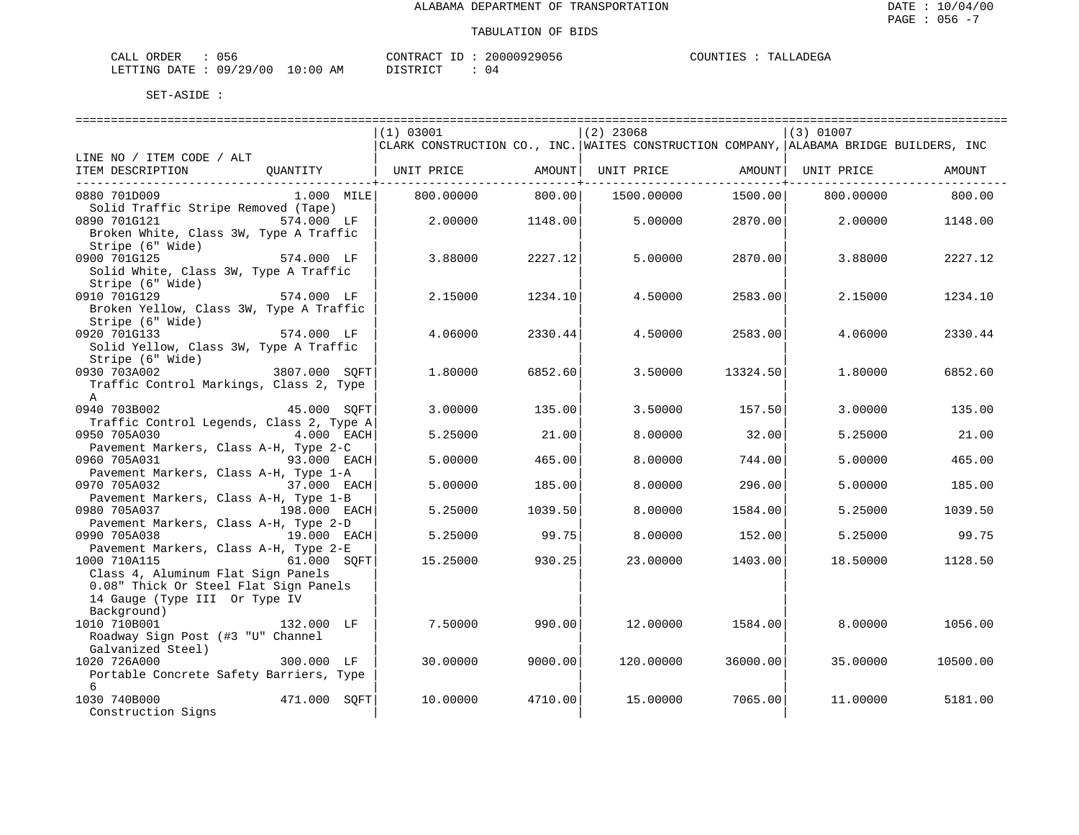| CALL ORDER                      | 056 | CONTRACT ID: | 20000929056 | COUNTIES | TALLADEGA |
|---------------------------------|-----|--------------|-------------|----------|-----------|
| LETTING DATE: 09/29/00 10:00 AM |     | DISTRICT     | 04          |          |           |

|                                                                         | (1) 03001  |             | $(2)$ 23068                                                                            |          | $(3)$ 01007 |          |
|-------------------------------------------------------------------------|------------|-------------|----------------------------------------------------------------------------------------|----------|-------------|----------|
|                                                                         |            |             | CLARK CONSTRUCTION CO., INC. WAITES CONSTRUCTION COMPANY, ALABAMA BRIDGE BUILDERS, INC |          |             |          |
| LINE NO / ITEM CODE / ALT                                               |            |             |                                                                                        |          |             |          |
| ITEM DESCRIPTION<br>QUANTITY                                            | UNIT PRICE | AMOUNT      | UNIT PRICE AMOUNT   UNIT PRICE                                                         |          |             | AMOUNT   |
|                                                                         |            | ----------+ |                                                                                        | .        |             |          |
| 0880 701D009<br>1.000 MILE                                              | 800.00000  | 800.00      | 1500.00000                                                                             | 1500.00  | 800.00000   | 800.00   |
| Solid Traffic Stripe Removed (Tape)                                     |            |             |                                                                                        |          |             |          |
| 0890 701G121<br>574.000 LF                                              | 2,00000    | 1148.00     | 5.00000                                                                                | 2870.00  | 2,00000     | 1148.00  |
| Broken White, Class 3W, Type A Traffic                                  |            |             |                                                                                        |          |             |          |
| Stripe (6" Wide)                                                        |            |             |                                                                                        |          |             |          |
| 574.000 LF<br>0900 701G125                                              | 3.88000    | 2227.12     | 5.00000                                                                                | 2870.00  | 3.88000     | 2227.12  |
| Solid White, Class 3W, Type A Traffic                                   |            |             |                                                                                        |          |             |          |
| Stripe (6" Wide)                                                        |            |             |                                                                                        |          |             |          |
| 574.000 LF<br>0910 701G129                                              | 2.15000    | 1234.10     | 4.50000                                                                                | 2583.00  | 2.15000     | 1234.10  |
| Broken Yellow, Class 3W, Type A Traffic                                 |            |             |                                                                                        |          |             |          |
| Stripe (6" Wide)                                                        |            |             |                                                                                        |          |             |          |
| 0920 701G133<br>574.000 LF                                              | 4.06000    | 2330.44     | 4.50000                                                                                | 2583.00  | 4.06000     | 2330.44  |
| Solid Yellow, Class 3W, Type A Traffic                                  |            |             |                                                                                        |          |             |          |
| Stripe (6" Wide)                                                        |            |             |                                                                                        |          |             |          |
| 0930 703A002<br>3807.000 SOFT                                           | 1.80000    | 6852.60     | 3.50000                                                                                | 13324.50 | 1.80000     | 6852.60  |
| Traffic Control Markings, Class 2, Type                                 |            |             |                                                                                        |          |             |          |
| $\mathbb{A}$                                                            |            |             |                                                                                        |          |             |          |
| 0940 703B002<br>45.000 SOFT<br>Traffic Control Legends, Class 2, Type A | 3,00000    | 135.00      | 3.50000                                                                                | 157.50   | 3.00000     | 135.00   |
| 0950 705A030<br>$4.000$ EACH                                            | 5.25000    | 21.00       |                                                                                        |          |             | 21.00    |
| Pavement Markers, Class A-H, Type 2-C                                   |            |             | 8.00000                                                                                | 32.00    | 5.25000     |          |
| 0960 705A031<br>93.000 EACH                                             | 5.00000    | 465.00      | 8,00000                                                                                | 744.00   | 5.00000     | 465.00   |
| Pavement Markers, Class A-H, Type 1-A                                   |            |             |                                                                                        |          |             |          |
| 0970 705A032<br>37.000 EACH                                             | 5.00000    | 185.00      | 8.00000                                                                                | 296.00   | 5.00000     | 185.00   |
| Pavement Markers, Class A-H, Type 1-B                                   |            |             |                                                                                        |          |             |          |
| 0980 705A037<br>198.000 EACH                                            | 5.25000    | 1039.50     | 8.00000                                                                                | 1584.00  | 5.25000     | 1039.50  |
| Pavement Markers, Class A-H, Type 2-D                                   |            |             |                                                                                        |          |             |          |
| 0990 705A038<br>19.000 EACH                                             | 5.25000    | 99.75       | 8,00000                                                                                | 152.00   | 5.25000     | 99.75    |
| Pavement Markers, Class A-H, Type 2-E                                   |            |             |                                                                                        |          |             |          |
| 1000 710A115<br>61.000 SOFT                                             | 15.25000   | 930.25      | 23.00000                                                                               | 1403.00  | 18.50000    | 1128.50  |
| Class 4, Aluminum Flat Sign Panels                                      |            |             |                                                                                        |          |             |          |
| 0.08" Thick Or Steel Flat Sign Panels                                   |            |             |                                                                                        |          |             |          |
| 14 Gauge (Type III Or Type IV                                           |            |             |                                                                                        |          |             |          |
| Background)                                                             |            |             |                                                                                        |          |             |          |
| 1010 710B001<br>132.000 LF                                              | 7.50000    | 990.00      | 12.00000                                                                               | 1584.00  | 8.00000     | 1056.00  |
| Roadway Sign Post (#3 "U" Channel                                       |            |             |                                                                                        |          |             |          |
| Galvanized Steel)                                                       |            |             |                                                                                        |          |             |          |
| 1020 726A000<br>300.000 LF                                              | 30.00000   | 9000.00     | 120.00000                                                                              | 36000.00 | 35,00000    | 10500.00 |
| Portable Concrete Safety Barriers, Type                                 |            |             |                                                                                        |          |             |          |
| 6                                                                       |            |             |                                                                                        |          |             |          |
| 1030 740B000<br>471.000 SQFT                                            | 10.00000   | 4710.00     | 15.00000                                                                               | 7065.00  | 11.00000    | 5181.00  |
| Construction Signs                                                      |            |             |                                                                                        |          |             |          |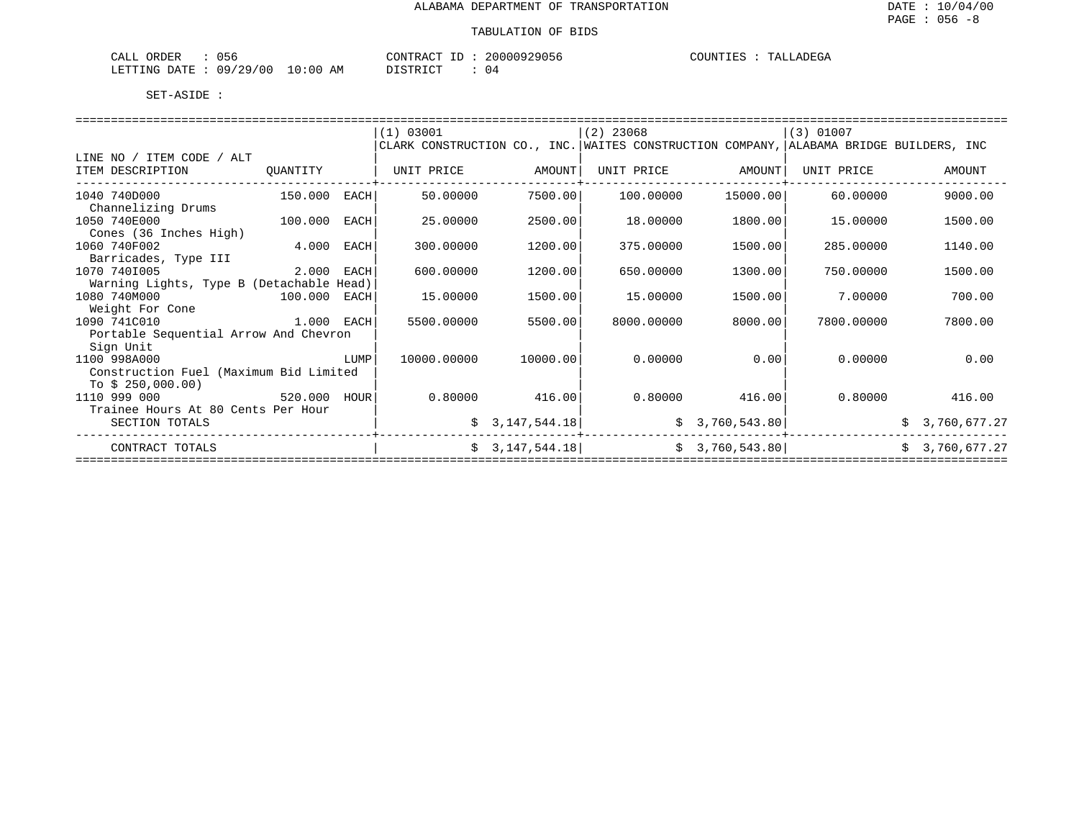| ORDER<br>CALL<br>りっも     |             | CONTRACT<br>ŦΒ | 20000929056 | TALLADEGA<br>COUNTIES |
|--------------------------|-------------|----------------|-------------|-----------------------|
| 09/29/00<br>LETTING DATE | 10:00<br>ΑM | DIAMPIAM<br>.  | ⊿ ں         |                       |

|                                                             |              |      | (1) 03001                                                                              |                  | $(2)$ 23068 |                   | (3) 01007  |                |
|-------------------------------------------------------------|--------------|------|----------------------------------------------------------------------------------------|------------------|-------------|-------------------|------------|----------------|
|                                                             |              |      | CLARK CONSTRUCTION CO., INC. WAITES CONSTRUCTION COMPANY, ALABAMA BRIDGE BUILDERS, INC |                  |             |                   |            |                |
| LINE NO / ITEM CODE / ALT                                   |              |      |                                                                                        |                  |             |                   |            |                |
| ITEM DESCRIPTION                                            | QUANTITY     |      | UNIT PRICE                                                                             | AMOUNT           |             | UNIT PRICE AMOUNT | UNIT PRICE | AMOUNT         |
| 1040 740D000<br>Channelizing Drums                          | 150.000 EACH |      | 50.00000                                                                               | 7500.00          | 100.00000   | 15000.00          | 60.00000   | 9000.00        |
| 1050 740E000<br>Cones (36 Inches High)                      | 100.000      | EACH | 25.00000                                                                               | 2500.00          | 18.00000    | 1800.00           | 15.00000   | 1500.00        |
| 1060 740F002                                                | $4.000$ EACH |      | 300.00000                                                                              | 1200.00          | 375.00000   | 1500.00           | 285,00000  | 1140.00        |
| Barricades, Type III                                        |              |      |                                                                                        |                  |             |                   |            |                |
| 1070 7401005                                                | 2.000 EACH   |      | 600,00000                                                                              | 1200.00          | 650.00000   | 1300.00           | 750.00000  | 1500.00        |
| Warning Lights, Type B (Detachable Head)                    |              |      |                                                                                        |                  |             |                   |            |                |
| 1080 740M000<br>Weight For Cone                             | 100.000 EACH |      | 15.00000                                                                               | 1500.00          | 15.00000    | 1500.00           | 7.00000    | 700.00         |
| 1090 741C010                                                | 1.000 EACH   |      | 5500.00000                                                                             | 5500.00          | 8000.00000  | 8000.00           | 7800,00000 | 7800.00        |
| Portable Sequential Arrow And Chevron                       |              |      |                                                                                        |                  |             |                   |            |                |
| Sign Unit<br>1100 998A000                                   |              | LUMP | 10000.00000                                                                            |                  | 0.00000     | 0.00              | 0.00000    | 0.00           |
| Construction Fuel (Maximum Bid Limited<br>To $$250,000.00)$ |              |      |                                                                                        | 10000.00         |             |                   |            |                |
| 1110 999 000                                                | 520.000      | HOUR |                                                                                        | $0.80000$ 416.00 |             | $0.80000$ 416.00  | 0.80000    | 416.00         |
| Trainee Hours At 80 Cents Per Hour                          |              |      |                                                                                        |                  |             |                   |            |                |
| SECTION TOTALS                                              |              |      |                                                                                        | \$3,147,544.18]  |             | \$3,760,543.80    |            | \$3,760,677.27 |
| CONTRACT TOTALS                                             |              |      |                                                                                        | \$3,147,544.18]  |             | \$3,760,543.80    |            | \$3,760,677.27 |
|                                                             |              |      |                                                                                        |                  |             |                   |            |                |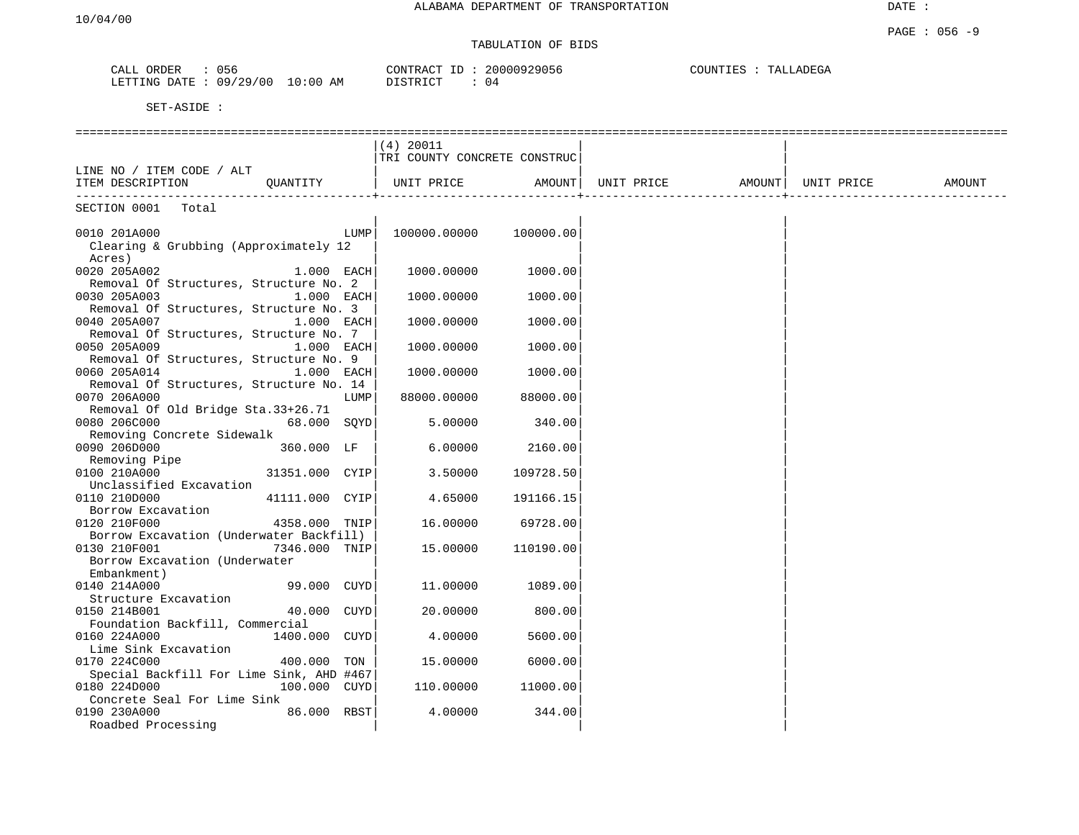# TABULATION OF BIDS

| CALL<br>ORDER            | 056                     | 20000929056<br>CONTRACT ID<br>⊥ப | COUNTIES<br>TALLADEGA |
|--------------------------|-------------------------|----------------------------------|-----------------------|
| LETTING<br>R מים ח<br>н. | 09/29/00<br>10:00<br>AΜ | DISTRICT<br>.                    |                       |

|                                                          |                |      | $(4)$ 20011                  |           |            |        |            |        |
|----------------------------------------------------------|----------------|------|------------------------------|-----------|------------|--------|------------|--------|
|                                                          |                |      | TRI COUNTY CONCRETE CONSTRUC |           |            |        |            |        |
| LINE NO / ITEM CODE / ALT                                |                |      |                              |           |            |        |            |        |
| ITEM DESCRIPTION                                         | OUANTITY       |      | UNIT PRICE                   | AMOUNT    | UNIT PRICE | AMOUNT | UNIT PRICE | AMOUNT |
|                                                          |                |      |                              |           |            |        |            |        |
| SECTION 0001<br>Total                                    |                |      |                              |           |            |        |            |        |
|                                                          |                |      |                              |           |            |        |            |        |
| 0010 201A000                                             |                | LUMP | 100000.00000                 | 100000.00 |            |        |            |        |
| Clearing & Grubbing (Approximately 12                    |                |      |                              |           |            |        |            |        |
| Acres)                                                   |                |      |                              |           |            |        |            |        |
| 0020 205A002                                             | 1.000 EACH     |      | 1000.00000                   | 1000.00   |            |        |            |        |
| Removal Of Structures, Structure No. 2                   |                |      |                              |           |            |        |            |        |
| 0030 205A003                                             | 1.000 EACH     |      | 1000.00000                   | 1000.00   |            |        |            |        |
| Removal Of Structures, Structure No. 3                   |                |      |                              |           |            |        |            |        |
| 0040 205A007                                             | 1.000 EACH     |      | 1000.00000                   | 1000.00   |            |        |            |        |
| Removal Of Structures, Structure No. 7                   |                |      |                              |           |            |        |            |        |
| 0050 205A009                                             | 1.000 EACH     |      | 1000.00000                   | 1000.00   |            |        |            |        |
| Removal Of Structures, Structure No. 9                   |                |      |                              |           |            |        |            |        |
| 0060 205A014                                             | 1.000 EACH     |      | 1000.00000                   | 1000.00   |            |        |            |        |
| Removal Of Structures, Structure No. 14                  |                |      |                              |           |            |        |            |        |
| 0070 206A000                                             |                | LUMP | 88000.00000                  | 88000.00  |            |        |            |        |
| Removal Of Old Bridge Sta.33+26.71                       |                |      |                              |           |            |        |            |        |
| 0080 206C000                                             | 68.000 SOYD    |      | 5.00000                      | 340.00    |            |        |            |        |
| Removing Concrete Sidewalk                               |                |      |                              |           |            |        |            |        |
| 0090 206D000                                             | 360.000 LF     |      | 6.00000                      | 2160.00   |            |        |            |        |
| Removing Pipe                                            |                |      |                              |           |            |        |            |        |
| 0100 210A000                                             | 31351.000 CYIP |      | 3.50000                      | 109728.50 |            |        |            |        |
| Unclassified Excavation                                  |                |      |                              |           |            |        |            |        |
| 0110 210D000                                             | 41111.000 CYIP |      | 4.65000                      | 191166.15 |            |        |            |        |
| Borrow Excavation                                        |                |      |                              |           |            |        |            |        |
| 0120 210F000                                             | 4358.000 TNIP  |      | 16.00000                     | 69728.00  |            |        |            |        |
| Borrow Excavation (Underwater Backfill)                  |                |      |                              |           |            |        |            |        |
| 0130 210F001                                             | 7346.000 TNIP  |      | 15.00000                     | 110190.00 |            |        |            |        |
| Borrow Excavation (Underwater                            |                |      |                              |           |            |        |            |        |
| Embankment)                                              |                |      |                              |           |            |        |            |        |
| 0140 214A000                                             | 99.000 CUYD    |      | 11,00000                     | 1089.00   |            |        |            |        |
| Structure Excavation                                     |                |      |                              |           |            |        |            |        |
| 0150 214B001                                             | 40.000         | CUYD | 20.00000                     | 800.00    |            |        |            |        |
| Foundation Backfill, Commercial                          |                |      |                              |           |            |        |            |        |
| 0160 224A000                                             | 1400.000 CUYD  |      | 4.00000                      | 5600.00   |            |        |            |        |
| Lime Sink Excavation                                     |                |      |                              |           |            |        |            |        |
| 0170 224C000                                             | 400.000        | TON  | 15.00000                     | 6000.00   |            |        |            |        |
|                                                          |                |      |                              |           |            |        |            |        |
| Special Backfill For Lime Sink, AHD #467<br>0180 224D000 |                |      |                              |           |            |        |            |        |
| Concrete Seal For Lime Sink                              | 100.000 CUYD   |      | 110,00000                    | 11000.00  |            |        |            |        |
|                                                          |                |      |                              |           |            |        |            |        |
| 0190 230A000                                             | 86.000 RBST    |      | 4.00000                      | 344.00    |            |        |            |        |
| Roadbed Processing                                       |                |      |                              |           |            |        |            |        |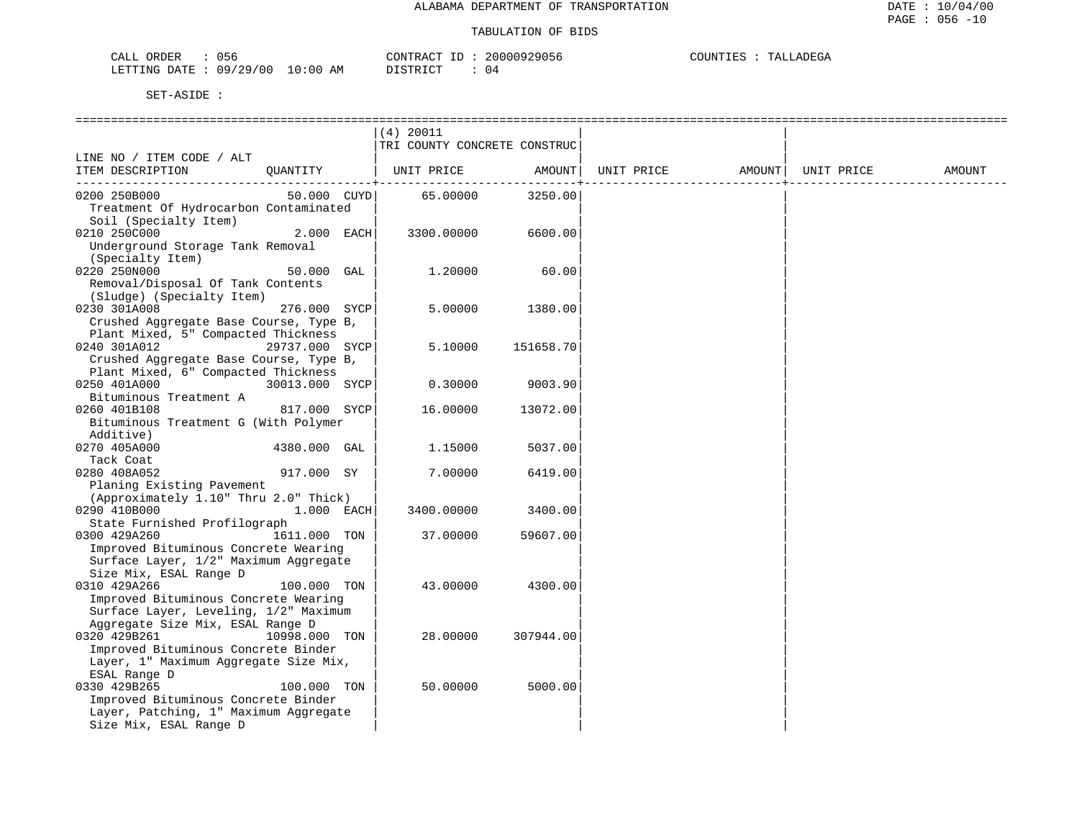| $\sim$ $-$<br>ORDER<br>$1-hk$<br>لىلطات<br>v J v  |           | CONTR<br>$\sim$         | δŪ.<br>くりけっし | ADEGA<br>▵<br>. . |
|---------------------------------------------------|-----------|-------------------------|--------------|-------------------|
| 09<br>TTNC<br>.00<br>דים ∆<br><b>LETT</b><br>,, u | AΜ<br>:00 | $ \sim$<br>-----<br>. . | $\mathbf{u}$ |                   |

| $(4)$ 20011<br>TRI COUNTY CONCRETE CONSTRUC<br>LINE NO / ITEM CODE / ALT<br>UNIT PRICE AMOUNT<br>ITEM DESCRIPTION<br>QUANTITY<br>UNIT PRICE<br>AMOUNT  UNIT PRICE<br>AMOUNT<br>50.000 CUYD<br>3250.00<br>0200 250B000<br>65.00000<br>Treatment Of Hydrocarbon Contaminated<br>Soil (Specialty Item)<br>0210 250C000<br>2.000 EACH<br>3300.00000<br>6600.00<br>Underground Storage Tank Removal<br>(Specialty Item)<br>0220 250N000<br>50.000 GAL<br>1,20000<br>60.00<br>Removal/Disposal Of Tank Contents<br>(Sludge) (Specialty Item)<br>0230 301A008<br>276.000 SYCP<br>5.00000<br>1380.00<br>Crushed Aggregate Base Course, Type B,<br>Plant Mixed, 5" Compacted Thickness<br>29737.000 SYCP<br>5.10000<br>0240 301A012<br>151658.70<br>Crushed Aggregate Base Course, Type B,<br>Plant Mixed, 6" Compacted Thickness<br>0250 401A000<br>30013.000 SYCP<br>0.30000<br>9003.90<br>Bituminous Treatment A<br>817.000 SYCP<br>16.00000<br>13072.00<br>0260 401B108<br>Bituminous Treatment G (With Polymer<br>Additive)<br>0270 405A000<br>4380.000 GAL<br>1.15000<br>5037.00<br>Tack Coat<br>0280 408A052<br>917.000 SY<br>7.00000<br>6419.00<br>Planing Existing Pavement<br>(Approximately 1.10" Thru 2.0" Thick)<br>0290 410B000<br>1.000 EACH<br>3400.00<br>3400.00000<br>State Furnished Profilograph<br>0300 429A260<br>1611.000 TON<br>37.00000<br>59607.00<br>Improved Bituminous Concrete Wearing<br>Surface Layer, 1/2" Maximum Aggregate<br>Size Mix, ESAL Range D<br>0310 429A266<br>43.00000<br>4300.00<br>100.000 TON<br>Improved Bituminous Concrete Wearing<br>Surface Layer, Leveling, 1/2" Maximum<br>Aggregate Size Mix, ESAL Range D<br>0320 429B261<br>10998.000 TON<br>28.00000<br>307944.00<br>Improved Bituminous Concrete Binder<br>Layer, 1" Maximum Aggregate Size Mix,<br>ESAL Range D<br>0330 429B265<br>50.00000<br>5000.00<br>100.000 TON<br>Improved Bituminous Concrete Binder<br>Layer, Patching, 1" Maximum Aggregate<br>Size Mix, ESAL Range D |  |  |  |  |  |
|-------------------------------------------------------------------------------------------------------------------------------------------------------------------------------------------------------------------------------------------------------------------------------------------------------------------------------------------------------------------------------------------------------------------------------------------------------------------------------------------------------------------------------------------------------------------------------------------------------------------------------------------------------------------------------------------------------------------------------------------------------------------------------------------------------------------------------------------------------------------------------------------------------------------------------------------------------------------------------------------------------------------------------------------------------------------------------------------------------------------------------------------------------------------------------------------------------------------------------------------------------------------------------------------------------------------------------------------------------------------------------------------------------------------------------------------------------------------------------------------------------------------------------------------------------------------------------------------------------------------------------------------------------------------------------------------------------------------------------------------------------------------------------------------------------------------------------------------------------------------------------------------------------------------------------------------------------------------------------------|--|--|--|--|--|
|                                                                                                                                                                                                                                                                                                                                                                                                                                                                                                                                                                                                                                                                                                                                                                                                                                                                                                                                                                                                                                                                                                                                                                                                                                                                                                                                                                                                                                                                                                                                                                                                                                                                                                                                                                                                                                                                                                                                                                                     |  |  |  |  |  |
|                                                                                                                                                                                                                                                                                                                                                                                                                                                                                                                                                                                                                                                                                                                                                                                                                                                                                                                                                                                                                                                                                                                                                                                                                                                                                                                                                                                                                                                                                                                                                                                                                                                                                                                                                                                                                                                                                                                                                                                     |  |  |  |  |  |
|                                                                                                                                                                                                                                                                                                                                                                                                                                                                                                                                                                                                                                                                                                                                                                                                                                                                                                                                                                                                                                                                                                                                                                                                                                                                                                                                                                                                                                                                                                                                                                                                                                                                                                                                                                                                                                                                                                                                                                                     |  |  |  |  |  |
|                                                                                                                                                                                                                                                                                                                                                                                                                                                                                                                                                                                                                                                                                                                                                                                                                                                                                                                                                                                                                                                                                                                                                                                                                                                                                                                                                                                                                                                                                                                                                                                                                                                                                                                                                                                                                                                                                                                                                                                     |  |  |  |  |  |
|                                                                                                                                                                                                                                                                                                                                                                                                                                                                                                                                                                                                                                                                                                                                                                                                                                                                                                                                                                                                                                                                                                                                                                                                                                                                                                                                                                                                                                                                                                                                                                                                                                                                                                                                                                                                                                                                                                                                                                                     |  |  |  |  |  |
|                                                                                                                                                                                                                                                                                                                                                                                                                                                                                                                                                                                                                                                                                                                                                                                                                                                                                                                                                                                                                                                                                                                                                                                                                                                                                                                                                                                                                                                                                                                                                                                                                                                                                                                                                                                                                                                                                                                                                                                     |  |  |  |  |  |
|                                                                                                                                                                                                                                                                                                                                                                                                                                                                                                                                                                                                                                                                                                                                                                                                                                                                                                                                                                                                                                                                                                                                                                                                                                                                                                                                                                                                                                                                                                                                                                                                                                                                                                                                                                                                                                                                                                                                                                                     |  |  |  |  |  |
|                                                                                                                                                                                                                                                                                                                                                                                                                                                                                                                                                                                                                                                                                                                                                                                                                                                                                                                                                                                                                                                                                                                                                                                                                                                                                                                                                                                                                                                                                                                                                                                                                                                                                                                                                                                                                                                                                                                                                                                     |  |  |  |  |  |
|                                                                                                                                                                                                                                                                                                                                                                                                                                                                                                                                                                                                                                                                                                                                                                                                                                                                                                                                                                                                                                                                                                                                                                                                                                                                                                                                                                                                                                                                                                                                                                                                                                                                                                                                                                                                                                                                                                                                                                                     |  |  |  |  |  |
|                                                                                                                                                                                                                                                                                                                                                                                                                                                                                                                                                                                                                                                                                                                                                                                                                                                                                                                                                                                                                                                                                                                                                                                                                                                                                                                                                                                                                                                                                                                                                                                                                                                                                                                                                                                                                                                                                                                                                                                     |  |  |  |  |  |
|                                                                                                                                                                                                                                                                                                                                                                                                                                                                                                                                                                                                                                                                                                                                                                                                                                                                                                                                                                                                                                                                                                                                                                                                                                                                                                                                                                                                                                                                                                                                                                                                                                                                                                                                                                                                                                                                                                                                                                                     |  |  |  |  |  |
|                                                                                                                                                                                                                                                                                                                                                                                                                                                                                                                                                                                                                                                                                                                                                                                                                                                                                                                                                                                                                                                                                                                                                                                                                                                                                                                                                                                                                                                                                                                                                                                                                                                                                                                                                                                                                                                                                                                                                                                     |  |  |  |  |  |
|                                                                                                                                                                                                                                                                                                                                                                                                                                                                                                                                                                                                                                                                                                                                                                                                                                                                                                                                                                                                                                                                                                                                                                                                                                                                                                                                                                                                                                                                                                                                                                                                                                                                                                                                                                                                                                                                                                                                                                                     |  |  |  |  |  |
|                                                                                                                                                                                                                                                                                                                                                                                                                                                                                                                                                                                                                                                                                                                                                                                                                                                                                                                                                                                                                                                                                                                                                                                                                                                                                                                                                                                                                                                                                                                                                                                                                                                                                                                                                                                                                                                                                                                                                                                     |  |  |  |  |  |
|                                                                                                                                                                                                                                                                                                                                                                                                                                                                                                                                                                                                                                                                                                                                                                                                                                                                                                                                                                                                                                                                                                                                                                                                                                                                                                                                                                                                                                                                                                                                                                                                                                                                                                                                                                                                                                                                                                                                                                                     |  |  |  |  |  |
|                                                                                                                                                                                                                                                                                                                                                                                                                                                                                                                                                                                                                                                                                                                                                                                                                                                                                                                                                                                                                                                                                                                                                                                                                                                                                                                                                                                                                                                                                                                                                                                                                                                                                                                                                                                                                                                                                                                                                                                     |  |  |  |  |  |
|                                                                                                                                                                                                                                                                                                                                                                                                                                                                                                                                                                                                                                                                                                                                                                                                                                                                                                                                                                                                                                                                                                                                                                                                                                                                                                                                                                                                                                                                                                                                                                                                                                                                                                                                                                                                                                                                                                                                                                                     |  |  |  |  |  |
|                                                                                                                                                                                                                                                                                                                                                                                                                                                                                                                                                                                                                                                                                                                                                                                                                                                                                                                                                                                                                                                                                                                                                                                                                                                                                                                                                                                                                                                                                                                                                                                                                                                                                                                                                                                                                                                                                                                                                                                     |  |  |  |  |  |
|                                                                                                                                                                                                                                                                                                                                                                                                                                                                                                                                                                                                                                                                                                                                                                                                                                                                                                                                                                                                                                                                                                                                                                                                                                                                                                                                                                                                                                                                                                                                                                                                                                                                                                                                                                                                                                                                                                                                                                                     |  |  |  |  |  |
|                                                                                                                                                                                                                                                                                                                                                                                                                                                                                                                                                                                                                                                                                                                                                                                                                                                                                                                                                                                                                                                                                                                                                                                                                                                                                                                                                                                                                                                                                                                                                                                                                                                                                                                                                                                                                                                                                                                                                                                     |  |  |  |  |  |
|                                                                                                                                                                                                                                                                                                                                                                                                                                                                                                                                                                                                                                                                                                                                                                                                                                                                                                                                                                                                                                                                                                                                                                                                                                                                                                                                                                                                                                                                                                                                                                                                                                                                                                                                                                                                                                                                                                                                                                                     |  |  |  |  |  |
|                                                                                                                                                                                                                                                                                                                                                                                                                                                                                                                                                                                                                                                                                                                                                                                                                                                                                                                                                                                                                                                                                                                                                                                                                                                                                                                                                                                                                                                                                                                                                                                                                                                                                                                                                                                                                                                                                                                                                                                     |  |  |  |  |  |
|                                                                                                                                                                                                                                                                                                                                                                                                                                                                                                                                                                                                                                                                                                                                                                                                                                                                                                                                                                                                                                                                                                                                                                                                                                                                                                                                                                                                                                                                                                                                                                                                                                                                                                                                                                                                                                                                                                                                                                                     |  |  |  |  |  |
|                                                                                                                                                                                                                                                                                                                                                                                                                                                                                                                                                                                                                                                                                                                                                                                                                                                                                                                                                                                                                                                                                                                                                                                                                                                                                                                                                                                                                                                                                                                                                                                                                                                                                                                                                                                                                                                                                                                                                                                     |  |  |  |  |  |
|                                                                                                                                                                                                                                                                                                                                                                                                                                                                                                                                                                                                                                                                                                                                                                                                                                                                                                                                                                                                                                                                                                                                                                                                                                                                                                                                                                                                                                                                                                                                                                                                                                                                                                                                                                                                                                                                                                                                                                                     |  |  |  |  |  |
|                                                                                                                                                                                                                                                                                                                                                                                                                                                                                                                                                                                                                                                                                                                                                                                                                                                                                                                                                                                                                                                                                                                                                                                                                                                                                                                                                                                                                                                                                                                                                                                                                                                                                                                                                                                                                                                                                                                                                                                     |  |  |  |  |  |
|                                                                                                                                                                                                                                                                                                                                                                                                                                                                                                                                                                                                                                                                                                                                                                                                                                                                                                                                                                                                                                                                                                                                                                                                                                                                                                                                                                                                                                                                                                                                                                                                                                                                                                                                                                                                                                                                                                                                                                                     |  |  |  |  |  |
|                                                                                                                                                                                                                                                                                                                                                                                                                                                                                                                                                                                                                                                                                                                                                                                                                                                                                                                                                                                                                                                                                                                                                                                                                                                                                                                                                                                                                                                                                                                                                                                                                                                                                                                                                                                                                                                                                                                                                                                     |  |  |  |  |  |
|                                                                                                                                                                                                                                                                                                                                                                                                                                                                                                                                                                                                                                                                                                                                                                                                                                                                                                                                                                                                                                                                                                                                                                                                                                                                                                                                                                                                                                                                                                                                                                                                                                                                                                                                                                                                                                                                                                                                                                                     |  |  |  |  |  |
|                                                                                                                                                                                                                                                                                                                                                                                                                                                                                                                                                                                                                                                                                                                                                                                                                                                                                                                                                                                                                                                                                                                                                                                                                                                                                                                                                                                                                                                                                                                                                                                                                                                                                                                                                                                                                                                                                                                                                                                     |  |  |  |  |  |
|                                                                                                                                                                                                                                                                                                                                                                                                                                                                                                                                                                                                                                                                                                                                                                                                                                                                                                                                                                                                                                                                                                                                                                                                                                                                                                                                                                                                                                                                                                                                                                                                                                                                                                                                                                                                                                                                                                                                                                                     |  |  |  |  |  |
|                                                                                                                                                                                                                                                                                                                                                                                                                                                                                                                                                                                                                                                                                                                                                                                                                                                                                                                                                                                                                                                                                                                                                                                                                                                                                                                                                                                                                                                                                                                                                                                                                                                                                                                                                                                                                                                                                                                                                                                     |  |  |  |  |  |
|                                                                                                                                                                                                                                                                                                                                                                                                                                                                                                                                                                                                                                                                                                                                                                                                                                                                                                                                                                                                                                                                                                                                                                                                                                                                                                                                                                                                                                                                                                                                                                                                                                                                                                                                                                                                                                                                                                                                                                                     |  |  |  |  |  |
|                                                                                                                                                                                                                                                                                                                                                                                                                                                                                                                                                                                                                                                                                                                                                                                                                                                                                                                                                                                                                                                                                                                                                                                                                                                                                                                                                                                                                                                                                                                                                                                                                                                                                                                                                                                                                                                                                                                                                                                     |  |  |  |  |  |
|                                                                                                                                                                                                                                                                                                                                                                                                                                                                                                                                                                                                                                                                                                                                                                                                                                                                                                                                                                                                                                                                                                                                                                                                                                                                                                                                                                                                                                                                                                                                                                                                                                                                                                                                                                                                                                                                                                                                                                                     |  |  |  |  |  |
|                                                                                                                                                                                                                                                                                                                                                                                                                                                                                                                                                                                                                                                                                                                                                                                                                                                                                                                                                                                                                                                                                                                                                                                                                                                                                                                                                                                                                                                                                                                                                                                                                                                                                                                                                                                                                                                                                                                                                                                     |  |  |  |  |  |
|                                                                                                                                                                                                                                                                                                                                                                                                                                                                                                                                                                                                                                                                                                                                                                                                                                                                                                                                                                                                                                                                                                                                                                                                                                                                                                                                                                                                                                                                                                                                                                                                                                                                                                                                                                                                                                                                                                                                                                                     |  |  |  |  |  |
|                                                                                                                                                                                                                                                                                                                                                                                                                                                                                                                                                                                                                                                                                                                                                                                                                                                                                                                                                                                                                                                                                                                                                                                                                                                                                                                                                                                                                                                                                                                                                                                                                                                                                                                                                                                                                                                                                                                                                                                     |  |  |  |  |  |
|                                                                                                                                                                                                                                                                                                                                                                                                                                                                                                                                                                                                                                                                                                                                                                                                                                                                                                                                                                                                                                                                                                                                                                                                                                                                                                                                                                                                                                                                                                                                                                                                                                                                                                                                                                                                                                                                                                                                                                                     |  |  |  |  |  |
|                                                                                                                                                                                                                                                                                                                                                                                                                                                                                                                                                                                                                                                                                                                                                                                                                                                                                                                                                                                                                                                                                                                                                                                                                                                                                                                                                                                                                                                                                                                                                                                                                                                                                                                                                                                                                                                                                                                                                                                     |  |  |  |  |  |
|                                                                                                                                                                                                                                                                                                                                                                                                                                                                                                                                                                                                                                                                                                                                                                                                                                                                                                                                                                                                                                                                                                                                                                                                                                                                                                                                                                                                                                                                                                                                                                                                                                                                                                                                                                                                                                                                                                                                                                                     |  |  |  |  |  |
|                                                                                                                                                                                                                                                                                                                                                                                                                                                                                                                                                                                                                                                                                                                                                                                                                                                                                                                                                                                                                                                                                                                                                                                                                                                                                                                                                                                                                                                                                                                                                                                                                                                                                                                                                                                                                                                                                                                                                                                     |  |  |  |  |  |
|                                                                                                                                                                                                                                                                                                                                                                                                                                                                                                                                                                                                                                                                                                                                                                                                                                                                                                                                                                                                                                                                                                                                                                                                                                                                                                                                                                                                                                                                                                                                                                                                                                                                                                                                                                                                                                                                                                                                                                                     |  |  |  |  |  |
|                                                                                                                                                                                                                                                                                                                                                                                                                                                                                                                                                                                                                                                                                                                                                                                                                                                                                                                                                                                                                                                                                                                                                                                                                                                                                                                                                                                                                                                                                                                                                                                                                                                                                                                                                                                                                                                                                                                                                                                     |  |  |  |  |  |
|                                                                                                                                                                                                                                                                                                                                                                                                                                                                                                                                                                                                                                                                                                                                                                                                                                                                                                                                                                                                                                                                                                                                                                                                                                                                                                                                                                                                                                                                                                                                                                                                                                                                                                                                                                                                                                                                                                                                                                                     |  |  |  |  |  |
|                                                                                                                                                                                                                                                                                                                                                                                                                                                                                                                                                                                                                                                                                                                                                                                                                                                                                                                                                                                                                                                                                                                                                                                                                                                                                                                                                                                                                                                                                                                                                                                                                                                                                                                                                                                                                                                                                                                                                                                     |  |  |  |  |  |
|                                                                                                                                                                                                                                                                                                                                                                                                                                                                                                                                                                                                                                                                                                                                                                                                                                                                                                                                                                                                                                                                                                                                                                                                                                                                                                                                                                                                                                                                                                                                                                                                                                                                                                                                                                                                                                                                                                                                                                                     |  |  |  |  |  |
|                                                                                                                                                                                                                                                                                                                                                                                                                                                                                                                                                                                                                                                                                                                                                                                                                                                                                                                                                                                                                                                                                                                                                                                                                                                                                                                                                                                                                                                                                                                                                                                                                                                                                                                                                                                                                                                                                                                                                                                     |  |  |  |  |  |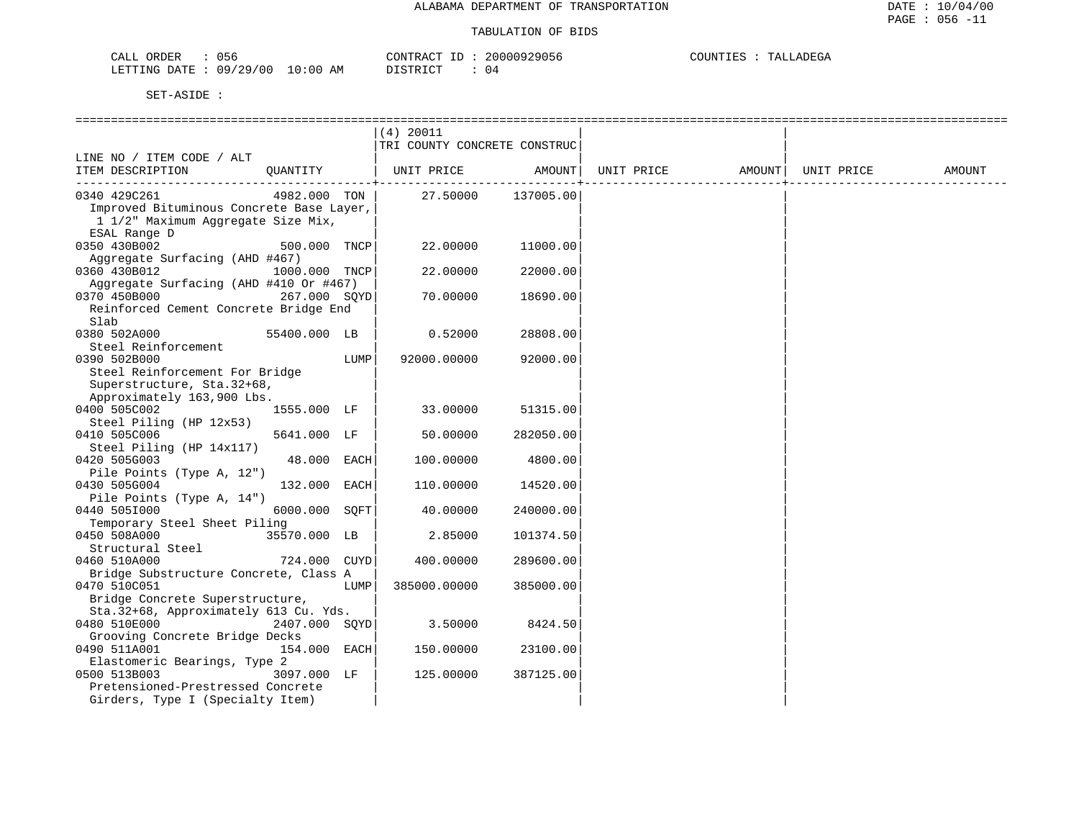| ORDER<br>CALL | りっし      |             | CONTRACT      | 20000929056 | COUNTIES | TALLADEGA |
|---------------|----------|-------------|---------------|-------------|----------|-----------|
| LETTING DATE  | 09/29/00 | 10:00<br>AΜ | DISTRICT<br>. | . .         |          |           |

|                                          |               | $(4)$ 20011                  |                  |                                |  |        |
|------------------------------------------|---------------|------------------------------|------------------|--------------------------------|--|--------|
|                                          |               | TRI COUNTY CONCRETE CONSTRUC |                  |                                |  |        |
| LINE NO / ITEM CODE / ALT                |               |                              |                  |                                |  |        |
| ITEM DESCRIPTION                         | OUANTITY      | UNIT PRICE                   | AMOUNT           | UNIT PRICE AMOUNT   UNIT PRICE |  | AMOUNT |
|                                          |               |                              | ---------------- |                                |  |        |
| 0340 429C261                             | 4982.000 TON  | 27.50000 137005.00           |                  |                                |  |        |
| Improved Bituminous Concrete Base Layer, |               |                              |                  |                                |  |        |
| 1 1/2" Maximum Aggregate Size Mix,       |               |                              |                  |                                |  |        |
| ESAL Range D                             |               |                              |                  |                                |  |        |
| 0350 430B002                             | 500.000 TNCP  | 22.00000                     | 11000.00         |                                |  |        |
|                                          |               |                              |                  |                                |  |        |
| Aggregate Surfacing (AHD #467)           |               |                              |                  |                                |  |        |
| 0360 430B012                             | 1000.000 TNCP | 22.00000                     | 22000.00         |                                |  |        |
| Aggregate Surfacing (AHD #410 Or #467)   |               |                              |                  |                                |  |        |
| 267.000 SOYD<br>0370 450B000             |               | 70.00000                     | 18690.001        |                                |  |        |
| Reinforced Cement Concrete Bridge End    |               |                              |                  |                                |  |        |
| Slab                                     |               |                              |                  |                                |  |        |
| 0380 502A000                             | 55400.000 LB  | 0.52000                      | 28808.00         |                                |  |        |
| Steel Reinforcement                      |               |                              |                  |                                |  |        |
| 0390 502B000                             | LUMP          | 92000.00000                  | 92000.001        |                                |  |        |
| Steel Reinforcement For Bridge           |               |                              |                  |                                |  |        |
| Superstructure, Sta. 32+68,              |               |                              |                  |                                |  |        |
| Approximately 163,900 Lbs.               |               |                              |                  |                                |  |        |
| 0400 505C002                             | 1555.000 LF   | 33.00000                     | 51315.00         |                                |  |        |
| Steel Piling (HP 12x53)                  |               |                              |                  |                                |  |        |
| 0410 505C006                             | 5641.000 LF   | 50.00000                     | 282050.00        |                                |  |        |
| Steel Piling (HP 14x117)                 |               |                              |                  |                                |  |        |
| 0420 505G003                             | 48.000 EACH   | 100.00000                    | 4800.00          |                                |  |        |
| Pile Points (Type A, 12")                |               |                              |                  |                                |  |        |
| 0430 505G004                             | 132.000 EACH  | 110.00000                    | 14520.00         |                                |  |        |
|                                          |               |                              |                  |                                |  |        |
| Pile Points (Type A, 14")                |               |                              |                  |                                |  |        |
| 0440 5051000                             | 6000.000 SOFT | 40.00000                     | 240000.00        |                                |  |        |
| Temporary Steel Sheet Piling             |               |                              |                  |                                |  |        |
| 0450 508A000                             | 35570.000 LB  | 2.85000                      | 101374.50        |                                |  |        |
| Structural Steel                         |               |                              |                  |                                |  |        |
| 0460 510A000                             | 724.000 CUYD  | 400.00000                    | 289600.00        |                                |  |        |
| Bridge Substructure Concrete, Class A    |               |                              |                  |                                |  |        |
| 0470 510C051                             | LUMP          | 385000.00000                 | 385000.001       |                                |  |        |
| Bridge Concrete Superstructure,          |               |                              |                  |                                |  |        |
| Sta. 32+68, Approximately 613 Cu. Yds.   |               |                              |                  |                                |  |        |
| 0480 510E000                             | 2407.000 SQYD | 3.50000                      | 8424.50          |                                |  |        |
| Grooving Concrete Bridge Decks           |               |                              |                  |                                |  |        |
| 0490 511A001                             | 154.000 EACH  | 150.00000                    | 23100.00         |                                |  |        |
| Elastomeric Bearings, Type 2             |               |                              |                  |                                |  |        |
| 0500 513B003                             | 3097.000 LF   | 125.00000                    | 387125.00        |                                |  |        |
| Pretensioned-Prestressed Concrete        |               |                              |                  |                                |  |        |
| Girders, Type I (Specialty Item)         |               |                              |                  |                                |  |        |
|                                          |               |                              |                  |                                |  |        |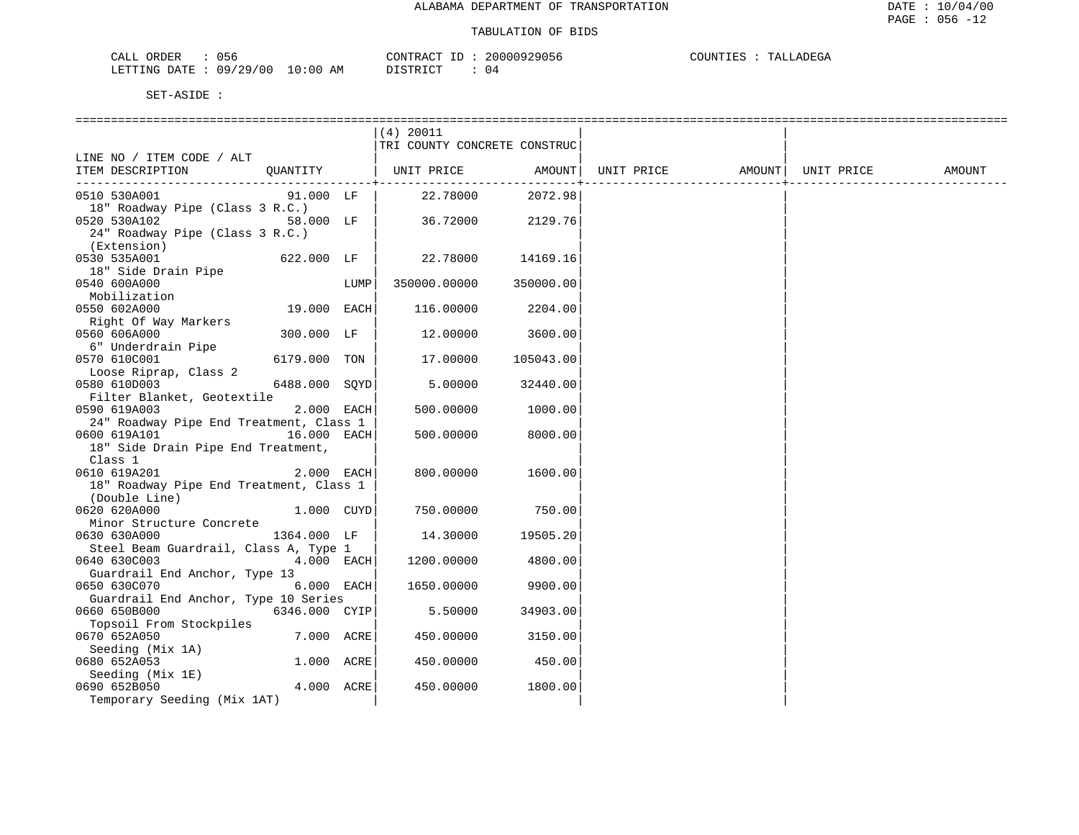| ORDER<br>CALL<br>ひちも |                        | CONTRACT<br>ID  | 20000929056 | TALLADEGA<br>COUNTIES |
|----------------------|------------------------|-----------------|-------------|-----------------------|
| LETTING DATE :       | 09/29/00<br>$10:00$ AM | חי חים דרו<br>. |             |                       |

|                                         |                 |      | $(4)$ 20011                  |                     |                              |  |        |
|-----------------------------------------|-----------------|------|------------------------------|---------------------|------------------------------|--|--------|
|                                         |                 |      | TRI COUNTY CONCRETE CONSTRUC |                     |                              |  |        |
| LINE NO / ITEM CODE / ALT               |                 |      |                              |                     |                              |  |        |
| ITEM DESCRIPTION                        | QUANTITY        |      | UNIT PRICE                   | AMOUNT              | UNIT PRICE AMOUNT UNIT PRICE |  | AMOUNT |
| -----------------------------------     |                 |      |                              | ------------------- |                              |  |        |
| 0510 530A001                            | $91.000$ LF     |      | 22.78000                     | 2072.98             |                              |  |        |
| 18" Roadway Pipe (Class 3 R.C.)         |                 |      |                              |                     |                              |  |        |
| 0520 530A102                            |                 |      | 58.000 LF 36.72000 2129.76   |                     |                              |  |        |
| 24" Roadway Pipe (Class 3 R.C.)         |                 |      |                              |                     |                              |  |        |
| (Extension)                             |                 |      |                              |                     |                              |  |        |
| 0530 535A001                            | 622.000 LF      |      | 22.78000                     | 14169.16            |                              |  |        |
| 18" Side Drain Pipe                     |                 |      |                              |                     |                              |  |        |
| 0540 600A000                            |                 | LUMP | 350000.00000                 | 350000.00           |                              |  |        |
|                                         |                 |      |                              |                     |                              |  |        |
| Mobilization                            |                 |      |                              |                     |                              |  |        |
| 0550 602A000                            | 19.000 EACH     |      | 116.00000                    | 2204.00             |                              |  |        |
| Right Of Way Markers                    |                 |      |                              |                     |                              |  |        |
| 0560 606A000                            | 300.000 LF      |      | 12.00000                     | 3600.00             |                              |  |        |
| 6" Underdrain Pipe                      |                 |      |                              |                     |                              |  |        |
| 0570 610C001                            | 6179.000 TON    |      | 17.00000                     | 105043.00           |                              |  |        |
| Loose Riprap, Class 2                   |                 |      |                              |                     |                              |  |        |
| 0580 610D003                            | $6488.000$ SQYD |      | 5.00000                      | 32440.00            |                              |  |        |
| Filter Blanket, Geotextile              |                 |      |                              |                     |                              |  |        |
| 0590 619A003                            | $2.000$ EACH    |      | 500.00000                    | 1000.00             |                              |  |        |
| 24" Roadway Pipe End Treatment, Class 1 |                 |      |                              |                     |                              |  |        |
| 0600 619A101                            | 16.000 EACH     |      | 500,00000                    | 8000.00             |                              |  |        |
| 18" Side Drain Pipe End Treatment,      |                 |      |                              |                     |                              |  |        |
| Class 1                                 |                 |      |                              |                     |                              |  |        |
| 0610 619A201                            | 2.000 EACH      |      | 800.00000                    | 1600.00             |                              |  |        |
| 18" Roadway Pipe End Treatment, Class 1 |                 |      |                              |                     |                              |  |        |
| (Double Line)                           |                 |      |                              |                     |                              |  |        |
| 0620 620A000                            | $1.000$ $CUYD$  |      | 750.00000                    | 750.00              |                              |  |        |
| Minor Structure Concrete                |                 |      |                              |                     |                              |  |        |
| 0630 630A000                            | 1364.000 LF     |      | 14.30000                     | 19505.20            |                              |  |        |
| Steel Beam Guardrail, Class A, Type 1   |                 |      |                              |                     |                              |  |        |
| 0640 630C003                            | 4.000 EACH      |      | 1200.00000                   | 4800.00             |                              |  |        |
| Guardrail End Anchor, Type 13           |                 |      |                              |                     |                              |  |        |
| 0650 630C070                            | 6.000 EACH      |      | 1650.00000                   | 9900.00             |                              |  |        |
|                                         |                 |      |                              |                     |                              |  |        |
| Guardrail End Anchor, Type 10 Series    |                 |      |                              |                     |                              |  |        |
| 0660 650B000                            | 6346.000 CYIP   |      | 5.50000                      | 34903.00            |                              |  |        |
| Topsoil From Stockpiles                 |                 |      |                              |                     |                              |  |        |
| 0670 652A050                            | 7.000 ACRE      |      | 450.00000                    | 3150.00             |                              |  |        |
| Seeding (Mix 1A)                        |                 |      |                              |                     |                              |  |        |
| 0680 652A053                            | 1.000 ACRE      |      | 450.00000                    | 450.00              |                              |  |        |
| Seeding (Mix 1E)                        |                 |      |                              |                     |                              |  |        |
| 0690 652B050                            | 4.000 ACRE      |      | 450.00000                    | 1800.00             |                              |  |        |
| Temporary Seeding (Mix 1AT)             |                 |      |                              |                     |                              |  |        |
|                                         |                 |      |                              |                     |                              |  |        |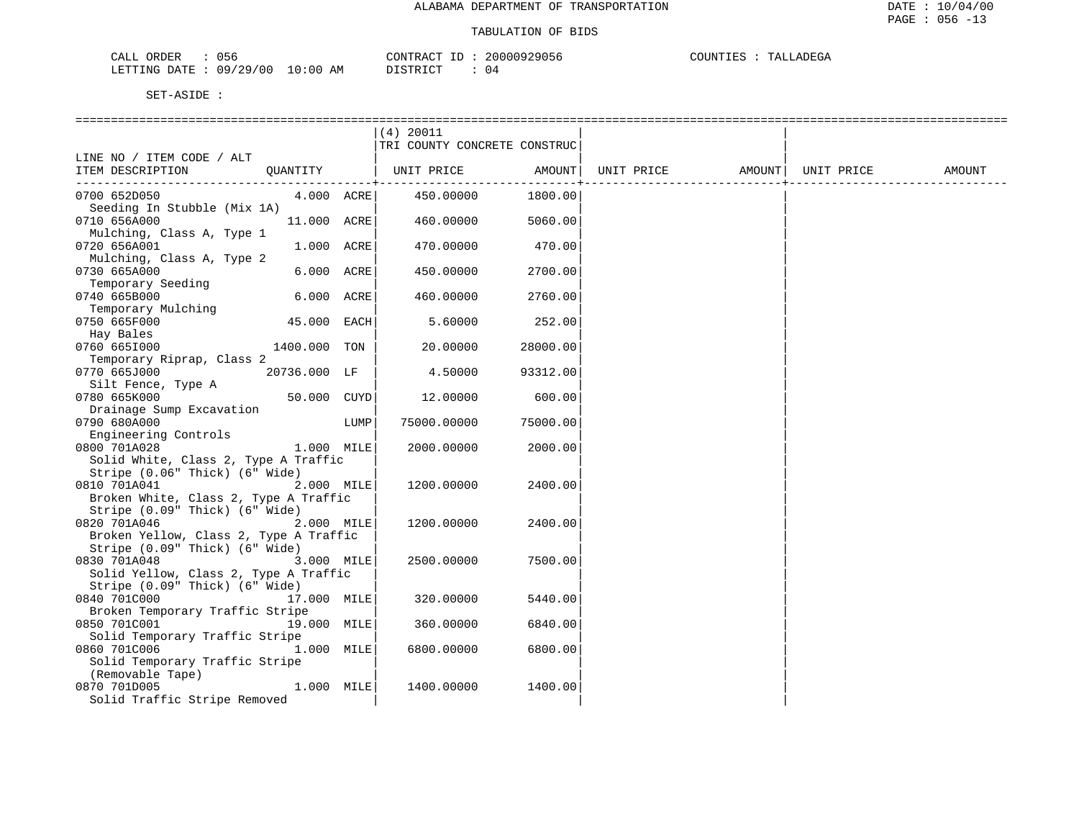| : 056<br>CALL ORDER             |          | CONTRACT ID: 20000929056 | COUNTIES : TALLADEGA |  |
|---------------------------------|----------|--------------------------|----------------------|--|
| LETTING DATE: 09/29/00 10:00 AM | DISTRICT | : 04                     |                      |  |

|                                                |              | $(4)$ 20011                  |                            |                              |  |        |
|------------------------------------------------|--------------|------------------------------|----------------------------|------------------------------|--|--------|
|                                                |              | TRI COUNTY CONCRETE CONSTRUC |                            |                              |  |        |
| LINE NO / ITEM CODE / ALT                      |              |                              |                            |                              |  |        |
| ITEM DESCRIPTION                               | QUANTITY     | UNIT PRICE                   | AMOUNT  <br>-------------+ | UNIT PRICE AMOUNT UNIT PRICE |  | AMOUNT |
| 0700 652D050                                   | 4.000 ACRE   | 450.00000                    | 1800.00                    |                              |  |        |
| Seeding In Stubble (Mix 1A)                    |              |                              |                            |                              |  |        |
| 0710 656A000                                   | 11.000 ACRE  | 460.00000                    | 5060.00                    |                              |  |        |
| Mulching, Class A, Type 1                      |              |                              |                            |                              |  |        |
| 0720 656A001                                   | 1.000 ACRE   | 470.00000                    | 470.00                     |                              |  |        |
| Mulching, Class A, Type 2<br>0730 665A000      | 6.000 ACRE   | 450.00000                    | 2700.00                    |                              |  |        |
| Temporary Seeding                              |              |                              |                            |                              |  |        |
| 0740 665B000                                   | 6.000 ACRE   | 460.00000                    | 2760.00                    |                              |  |        |
| Temporary Mulching                             |              |                              |                            |                              |  |        |
| 0750 665F000                                   | 45.000 EACH  | 5.60000                      | 252.00                     |                              |  |        |
| Hay Bales                                      |              |                              |                            |                              |  |        |
| 0760 6651000                                   | 1400.000 TON | 20.00000                     | 28000.00                   |                              |  |        |
| Temporary Riprap, Class 2<br>0770 665J000      |              | 4.50000                      | 93312.00                   |                              |  |        |
| Silt Fence, Type A                             | 20736.000 LF |                              |                            |                              |  |        |
| 0780 665K000                                   | 50.000 CUYD  | 12.00000                     | 600.00                     |                              |  |        |
| Drainage Sump Excavation                       |              |                              |                            |                              |  |        |
| 0790 680A000                                   | LUMP         | 75000.00000                  | 75000.00                   |                              |  |        |
| Engineering Controls                           |              |                              |                            |                              |  |        |
| 0800 701A028                                   | 1.000 MILE   | 2000.00000                   | 2000.00                    |                              |  |        |
| Solid White, Class 2, Type A Traffic           |              |                              |                            |                              |  |        |
| Stripe (0.06" Thick) (6" Wide)<br>0810 701A041 | 2.000 MILE   | 1200.00000                   | 2400.00                    |                              |  |        |
| Broken White, Class 2, Type A Traffic          |              |                              |                            |                              |  |        |
| Stripe (0.09" Thick) (6" Wide)                 |              |                              |                            |                              |  |        |
| 0820 701A046                                   | 2.000 MILE   | 1200.00000                   | 2400.00                    |                              |  |        |
| Broken Yellow, Class 2, Type A Traffic         |              |                              |                            |                              |  |        |
| Stripe (0.09" Thick) (6" Wide)                 |              |                              |                            |                              |  |        |
| 0830 701A048                                   | 3.000 MILE   | 2500.00000                   | 7500.00                    |                              |  |        |
| Solid Yellow, Class 2, Type A Traffic          |              |                              |                            |                              |  |        |
| Stripe (0.09" Thick) (6" Wide)<br>0840 701C000 | 17.000 MILE  | 320.00000                    | 5440.00                    |                              |  |        |
| Broken Temporary Traffic Stripe                |              |                              |                            |                              |  |        |
| 0850 701C001<br>19.000 MILE                    |              | 360.00000                    | 6840.00                    |                              |  |        |
| Solid Temporary Traffic Stripe                 |              |                              |                            |                              |  |        |
| 0860 701C006                                   | 1.000 MILE   | 6800.00000                   | 6800.00                    |                              |  |        |
| Solid Temporary Traffic Stripe                 |              |                              |                            |                              |  |        |
| (Removable Tape)                               |              |                              |                            |                              |  |        |
| 0870 701D005                                   | 1.000 MILE   | 1400.00000                   | 1400.00                    |                              |  |        |
| Solid Traffic Stripe Removed                   |              |                              |                            |                              |  |        |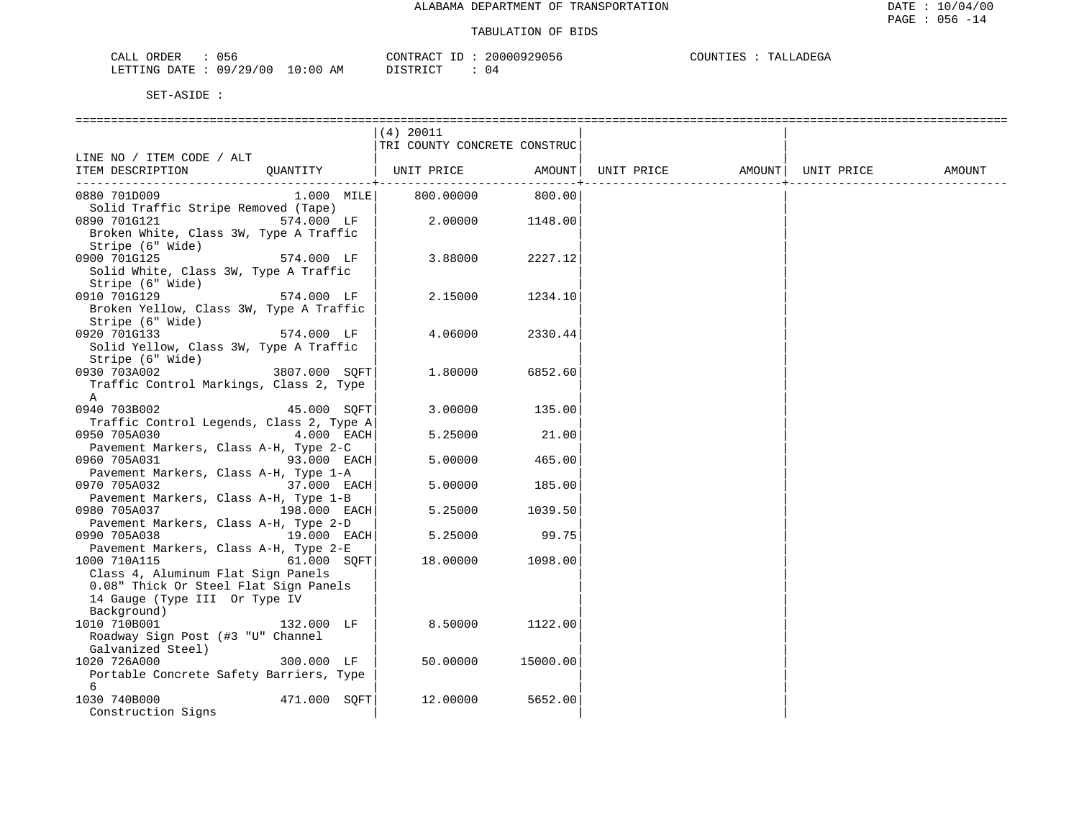| CALL ORDER                      | 056 |          | CONTRACT ID: 20000929056 |  | COUNTIES : TALLADEGA |
|---------------------------------|-----|----------|--------------------------|--|----------------------|
| LETTING DATE: 09/29/00 10:00 AM |     | DISTRICT |                          |  |                      |

|                                                       |               | $(4)$ 20011                  |                          |                   |            |        |
|-------------------------------------------------------|---------------|------------------------------|--------------------------|-------------------|------------|--------|
|                                                       |               | TRI COUNTY CONCRETE CONSTRUC |                          |                   |            |        |
| LINE NO / ITEM CODE / ALT                             |               |                              |                          |                   |            |        |
| ITEM DESCRIPTION                                      |               | QUANTITY   UNIT PRICE        | AMOUNT                   | UNIT PRICE AMOUNT | UNIT PRICE | AMOUNT |
| 0880 701D009                                          | $1.000$ MILE  | 800.00000                    | -------------+<br>800.00 |                   |            |        |
| Solid Traffic Stripe Removed (Tape)                   |               |                              |                          |                   |            |        |
| 0890 701G121                                          | 574.000 LF    | 2,00000                      | 1148.00                  |                   |            |        |
| Broken White, Class 3W, Type A Traffic                |               |                              |                          |                   |            |        |
| Stripe (6" Wide)                                      |               |                              |                          |                   |            |        |
| 0900 701G125                                          | 574.000 LF    | 3.88000                      | 2227.12                  |                   |            |        |
| Solid White, Class 3W, Type A Traffic                 |               |                              |                          |                   |            |        |
| Stripe (6" Wide)                                      |               |                              |                          |                   |            |        |
| 0910 701G129                                          | 574.000 LF    | 2.15000                      | 1234.10                  |                   |            |        |
| Broken Yellow, Class 3W, Type A Traffic               |               |                              |                          |                   |            |        |
| Stripe (6" Wide)                                      |               |                              |                          |                   |            |        |
| 0920 701G133                                          | 574.000 LF    | 4.06000                      | 2330.44                  |                   |            |        |
| Solid Yellow, Class 3W, Type A Traffic                |               |                              |                          |                   |            |        |
| Stripe (6" Wide)                                      |               |                              |                          |                   |            |        |
| 0930 703A002                                          | 3807.000 SOFT | 1,80000                      | 6852.60                  |                   |            |        |
| Traffic Control Markings, Class 2, Type               |               |                              |                          |                   |            |        |
| Α                                                     |               |                              |                          |                   |            |        |
| 0940 703B002                                          | 45.000 SOFT   | 3.00000                      | 135.00                   |                   |            |        |
| Traffic Control Legends, Class 2, Type A              |               |                              |                          |                   |            |        |
| 0950 705A030<br>Pavement Markers, Class A-H, Type 2-C | 4.000 EACH    | 5.25000                      | 21.00                    |                   |            |        |
| 0960 705A031                                          | 93.000 EACH   | 5.00000                      | 465.00                   |                   |            |        |
| Pavement Markers, Class A-H, Type 1-A                 |               |                              |                          |                   |            |        |
| 0970 705A032                                          | 37.000 EACH   | 5.00000                      | 185.00                   |                   |            |        |
| Pavement Markers, Class A-H, Type 1-B                 |               |                              |                          |                   |            |        |
| 0980 705A037                                          | 198.000 EACH  | 5.25000                      | 1039.50                  |                   |            |        |
| Pavement Markers, Class A-H, Type 2-D                 |               |                              |                          |                   |            |        |
| 0990 705A038                                          | 19.000 EACH   | 5.25000                      | 99.75                    |                   |            |        |
| Pavement Markers, Class A-H, Type 2-E                 |               |                              |                          |                   |            |        |
| 1000 710A115                                          | 61.000 SOFT   | 18.00000                     | 1098.00                  |                   |            |        |
| Class 4, Aluminum Flat Sign Panels                    |               |                              |                          |                   |            |        |
| 0.08" Thick Or Steel Flat Sign Panels                 |               |                              |                          |                   |            |        |
| 14 Gauge (Type III Or Type IV                         |               |                              |                          |                   |            |        |
| Background)                                           |               |                              |                          |                   |            |        |
| 1010 710B001                                          | 132.000 LF    | 8.50000                      | 1122.00                  |                   |            |        |
| Roadway Sign Post (#3 "U" Channel                     |               |                              |                          |                   |            |        |
| Galvanized Steel)                                     |               |                              |                          |                   |            |        |
| 1020 726A000                                          | 300.000 LF    | 50.00000                     | 15000.00                 |                   |            |        |
| Portable Concrete Safety Barriers, Type               |               |                              |                          |                   |            |        |
| 6<br>1030 740B000                                     |               |                              |                          |                   |            |        |
| Construction Signs                                    | 471.000 SOFT  | 12.00000                     | 5652.00                  |                   |            |        |
|                                                       |               |                              |                          |                   |            |        |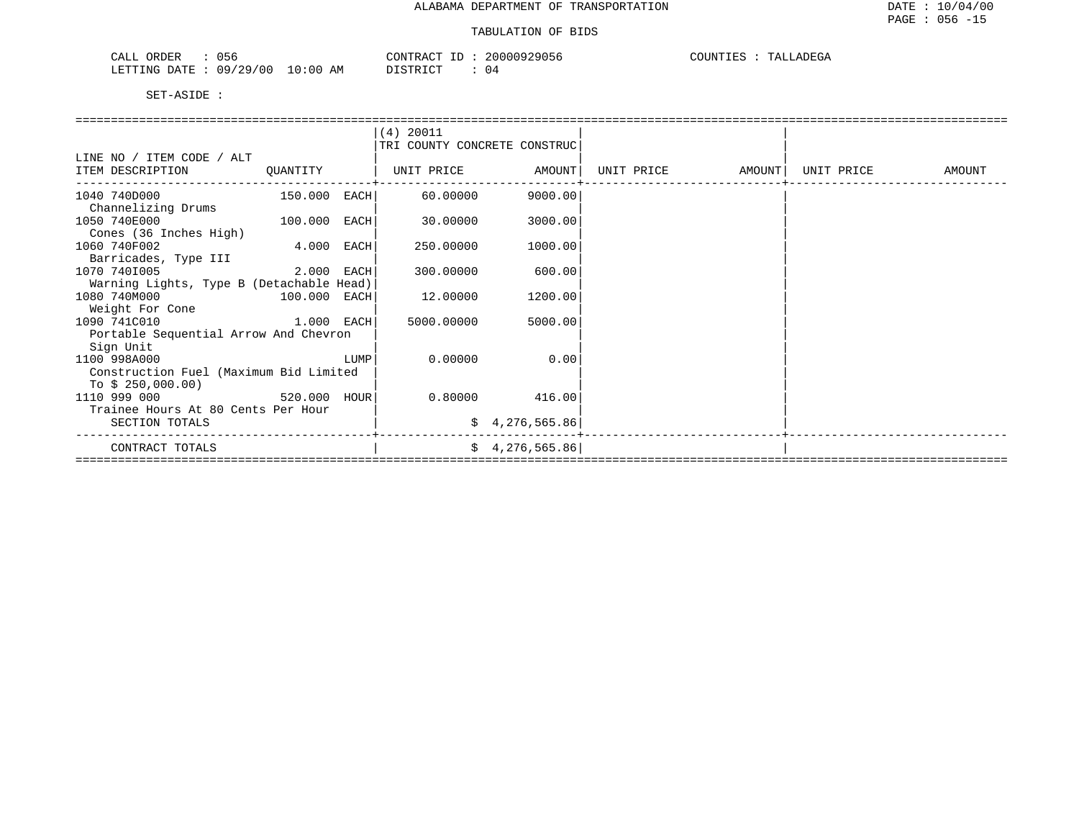| $\sim$ $\sim$ $\sim$<br>ORDER<br>CALL<br>りっも                 | $\gamma$ ONTIK<br>$\lambda$ $\sim$<br>`R A ( | 20000929056<br>л. | $\bigcap_{n\in\mathbb{N}}$<br>LLADEGA<br>٣٨.<br>$\mathbf{H}$ |
|--------------------------------------------------------------|----------------------------------------------|-------------------|--------------------------------------------------------------|
| 09/29<br>LETTINC<br>700 L<br>DA <del>m</del> p<br>. I A<br>∼ | חי חים דרו<br>. n : n n<br>AΜ                | 04                |                                                              |

|                                          |              |      | $(4)$ 20011                  |                 |            |        |            |        |
|------------------------------------------|--------------|------|------------------------------|-----------------|------------|--------|------------|--------|
|                                          |              |      | TRI COUNTY CONCRETE CONSTRUC |                 |            |        |            |        |
| LINE NO / ITEM CODE / ALT                |              |      |                              |                 |            |        |            |        |
| ITEM DESCRIPTION                         | QUANTITY     |      | UNIT PRICE AMOUNT            |                 | UNIT PRICE | AMOUNT | UNIT PRICE | AMOUNT |
| 1040 740D000                             | 150.000 EACH |      | 60.00000                     | 9000.00         |            |        |            |        |
| Channelizing Drums                       |              |      |                              |                 |            |        |            |        |
| 1050 740E000                             | 100.000 EACH |      | 30.00000                     | 3000.00         |            |        |            |        |
| Cones (36 Inches High)                   |              |      |                              | 1000.00         |            |        |            |        |
| 1060 740F002<br>Barricades, Type III     | $4.000$ EACH |      | 250.00000                    |                 |            |        |            |        |
| 1070 7401005                             | 2.000 EACH   |      | 300,00000                    | 600.00          |            |        |            |        |
| Warning Lights, Type B (Detachable Head) |              |      |                              |                 |            |        |            |        |
| 1080 740M000                             | 100.000 EACH |      | 12.00000                     | 1200.00         |            |        |            |        |
| Weight For Cone                          |              |      |                              |                 |            |        |            |        |
| 1090 741C010                             | $1.000$ EACH |      | 5000.00000                   | 5000.00         |            |        |            |        |
| Portable Sequential Arrow And Chevron    |              |      |                              |                 |            |        |            |        |
| Sign Unit                                |              |      |                              |                 |            |        |            |        |
| 1100 998A000                             |              | LUMP | 0.00000                      | 0.00            |            |        |            |        |
| Construction Fuel (Maximum Bid Limited   |              |      |                              |                 |            |        |            |        |
| To $$250,000.00)$                        |              |      |                              |                 |            |        |            |        |
| 520.000 HOUR<br>1110 999 000             |              |      | 0.80000                      | 416.00          |            |        |            |        |
| Trainee Hours At 80 Cents Per Hour       |              |      |                              |                 |            |        |            |        |
| SECTION TOTALS                           |              |      |                              | \$4,276,565.86  |            |        |            |        |
| CONTRACT TOTALS                          |              |      |                              | \$4,276,565.86] |            |        |            |        |
|                                          |              |      |                              |                 |            |        |            |        |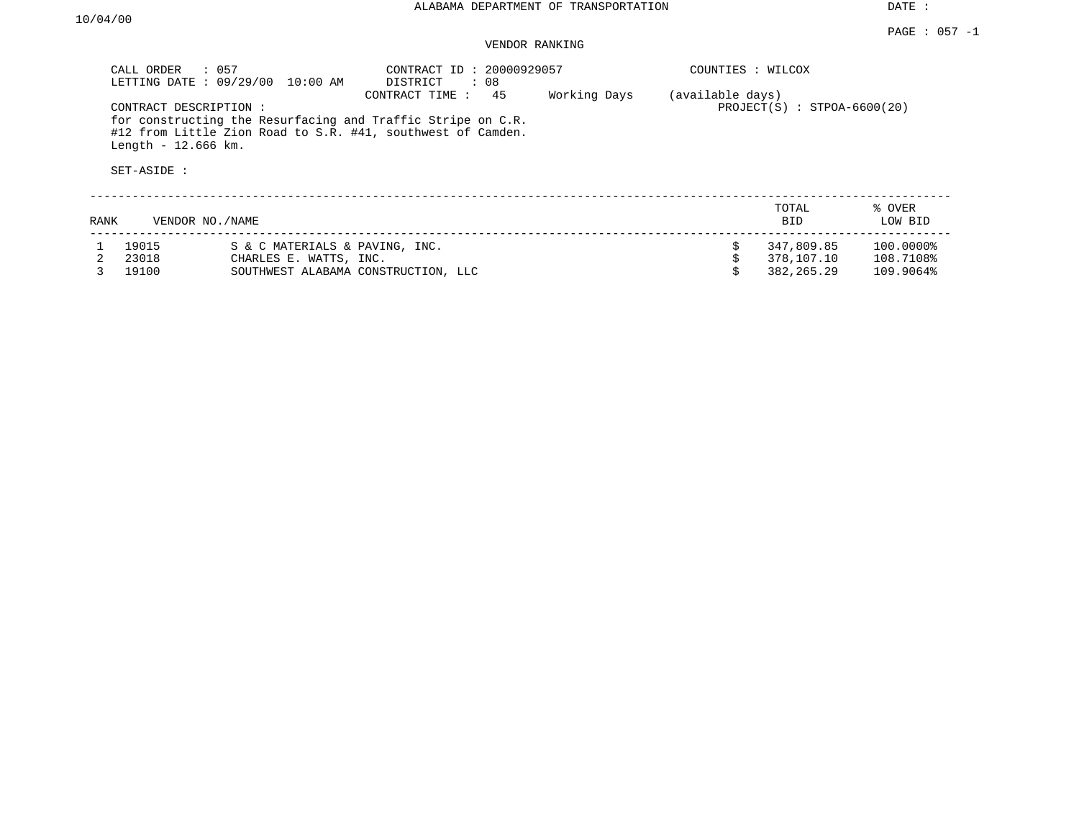DATE :

# VENDOR RANKING

|      | CALL ORDER                                                    | $\therefore$ 057<br>LETTING DATE : 09/29/00 10:00 AM | CONTRACT ID: 20000929057<br>DISTRICT<br>: 08                                                                                                       |              | COUNTIES : WILCOX |                                 |                   |
|------|---------------------------------------------------------------|------------------------------------------------------|----------------------------------------------------------------------------------------------------------------------------------------------------|--------------|-------------------|---------------------------------|-------------------|
|      | CONTRACT DESCRIPTION:<br>Length - $12.666$ km.<br>SET-ASIDE : |                                                      | 45<br>CONTRACT TIME:<br>for constructing the Resurfacing and Traffic Stripe on C.R.<br>#12 from Little Zion Road to S.R. #41, southwest of Camden. | Working Days | (available days)  | $PROJECT(S)$ : $STPOA-6600(20)$ |                   |
| RANK | VENDOR NO. / NAME                                             |                                                      |                                                                                                                                                    |              |                   | TOTAL<br>BID                    | % OVER<br>LOW BID |
|      | 19015                                                         | S & C MATERIALS & PAVING, INC.                       |                                                                                                                                                    |              |                   | 347,809.85                      | 100.0000%         |
|      | 23018                                                         | CHARLES E. WATTS, INC.                               |                                                                                                                                                    |              |                   | 378,107.10                      | 108.7108%         |
|      | 19100                                                         | SOUTHWEST ALABAMA CONSTRUCTION, LLC                  |                                                                                                                                                    |              |                   | 382,265.29                      | 109.9064%         |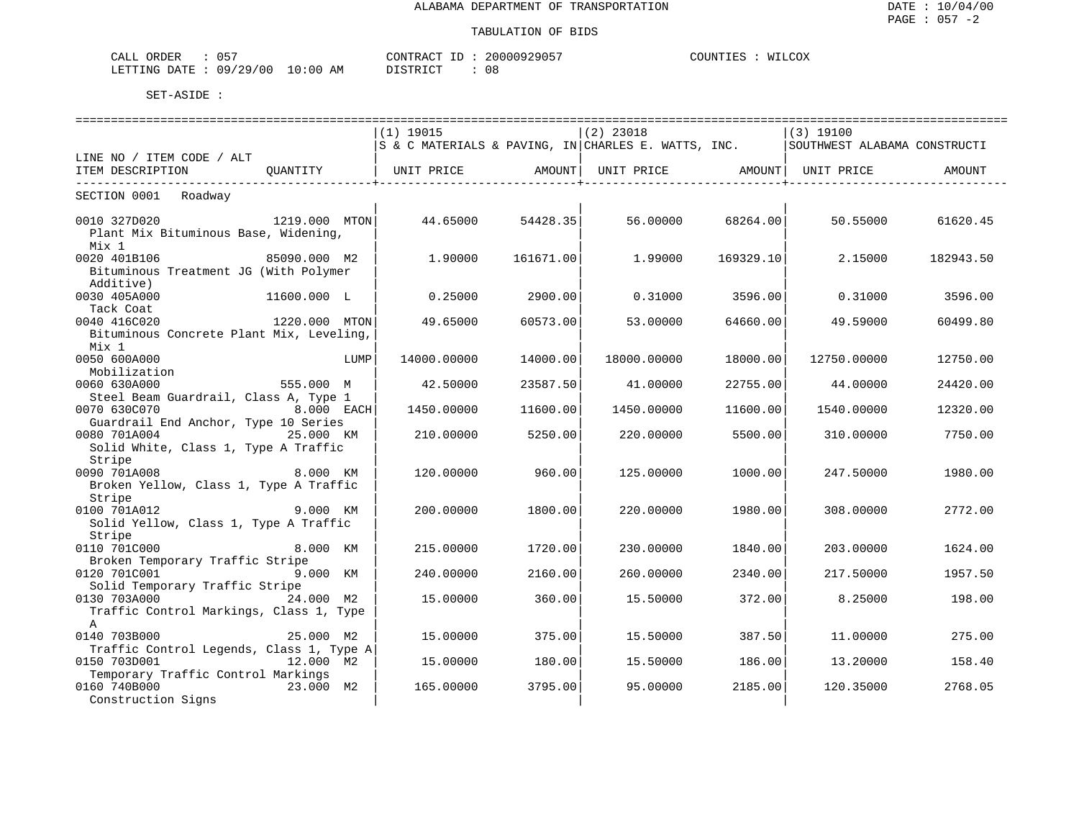| CALL ORDER                       |  | CONTRACT ID | - 20 | 20000929057 | COUNTIES | WILCOX |
|----------------------------------|--|-------------|------|-------------|----------|--------|
| LETTING DATE : 09/29/00 10:00 AM |  | DISTRICT    |      | 08          |          |        |

|                                                 |               | $(1)$ 19015       |           | $(2)$ 23018                                              |                                     | $(3)$ 19100                  |           |
|-------------------------------------------------|---------------|-------------------|-----------|----------------------------------------------------------|-------------------------------------|------------------------------|-----------|
|                                                 |               |                   |           | $ S\>$ & C MATERIALS & PAVING, IN CHARLES E. WATTS, INC. |                                     | SOUTHWEST ALABAMA CONSTRUCTI |           |
| LINE NO / ITEM CODE / ALT                       |               |                   |           |                                                          |                                     |                              |           |
| ITEM DESCRIPTION                                | OUANTITY      | UNIT PRICE AMOUNT |           | UNIT PRICE AMOUNT   UNIT PRICE                           |                                     |                              | AMOUNT    |
| ----------------------                          |               |                   |           |                                                          | . _ _ _ _ _ _ _ _ _ _ _ _ _ _ _ _ _ |                              |           |
| SECTION 0001 Roadway                            |               |                   |           |                                                          |                                     |                              |           |
|                                                 |               |                   |           |                                                          |                                     |                              |           |
| 0010 327D020                                    | 1219.000 MTON | 44.65000          | 54428.35  | 56.00000                                                 | 68264.00                            | 50.55000                     | 61620.45  |
| Plant Mix Bituminous Base, Widening,<br>Mix 1   |               |                   |           |                                                          |                                     |                              |           |
| 0020 401B106                                    | 85090.000 M2  | 1,90000           | 161671.00 | 1.99000                                                  | 169329.10                           | 2.15000                      | 182943.50 |
| Bituminous Treatment JG (With Polymer           |               |                   |           |                                                          |                                     |                              |           |
| Additive)                                       |               |                   |           |                                                          |                                     |                              |           |
| 0030 405A000                                    | 11600.000 L   | 0.25000           | 2900.00   | 0.31000                                                  | 3596.00                             | 0.31000                      | 3596.00   |
| Tack Coat                                       |               |                   |           |                                                          |                                     |                              |           |
| 0040 416C020                                    | 1220.000 MTON | 49.65000          | 60573.00  | 53.00000                                                 | 64660.00                            | 49.59000                     | 60499.80  |
| Bituminous Concrete Plant Mix, Leveling,        |               |                   |           |                                                          |                                     |                              |           |
| Mix 1                                           |               |                   |           |                                                          |                                     |                              |           |
| 0050 600A000                                    | LUMP          | 14000.00000       | 14000.00  | 18000.00000                                              | 18000.00                            | 12750.00000                  | 12750.00  |
| Mobilization                                    |               |                   |           |                                                          |                                     |                              |           |
| 0060 630A000                                    | 555.000 M     | 42.50000          | 23587.50  | 41,00000                                                 | 22755.00                            | 44.00000                     | 24420.00  |
| Steel Beam Guardrail, Class A, Type 1           |               |                   |           |                                                          |                                     |                              |           |
| 0070 630C070                                    | 8.000 EACH    | 1450.00000        | 11600.00  | 1450.00000                                               | 11600.00                            | 1540.00000                   | 12320.00  |
| Guardrail End Anchor, Type 10 Series            |               |                   |           |                                                          |                                     |                              |           |
| 0080 701A004                                    | 25.000 KM     | 210.00000         | 5250.00   | 220,00000                                                | 5500.00                             | 310.00000                    | 7750.00   |
| Solid White, Class 1, Type A Traffic            |               |                   |           |                                                          |                                     |                              |           |
| Stripe                                          |               |                   |           |                                                          |                                     |                              |           |
| 0090 701A008                                    | 8.000 KM      | 120.00000         | 960.00    | 125,00000                                                | 1000.00                             | 247.50000                    | 1980.00   |
| Broken Yellow, Class 1, Type A Traffic          |               |                   |           |                                                          |                                     |                              |           |
| Stripe                                          |               |                   |           |                                                          |                                     |                              |           |
| 0100 701A012                                    | 9.000 KM      | 200.00000         | 1800.00   | 220,00000                                                | 1980.00                             | 308,00000                    | 2772.00   |
| Solid Yellow, Class 1, Type A Traffic           |               |                   |           |                                                          |                                     |                              |           |
| Stripe                                          |               |                   |           |                                                          |                                     |                              |           |
| 0110 701C000                                    | 8.000 KM      | 215,00000         | 1720.00   | 230.00000                                                | 1840.00                             | 203.00000                    | 1624.00   |
| Broken Temporary Traffic Stripe<br>0120 701C001 | 9.000 KM      | 240.00000         | 2160.00   | 260.00000                                                | 2340.00                             | 217.50000                    | 1957.50   |
| Solid Temporary Traffic Stripe                  |               |                   |           |                                                          |                                     |                              |           |
| 0130 703A000                                    | 24.000 M2     | 15,00000          | 360.00    | 15.50000                                                 | 372.00                              | 8.25000                      | 198.00    |
| Traffic Control Markings, Class 1, Type         |               |                   |           |                                                          |                                     |                              |           |
| $\mathsf{A}$                                    |               |                   |           |                                                          |                                     |                              |           |
| 0140 703B000                                    | 25.000 M2     | 15,00000          | 375.00    | 15.50000                                                 | 387.50                              | 11,00000                     | 275.00    |
| Traffic Control Legends, Class 1, Type A        |               |                   |           |                                                          |                                     |                              |           |
| 0150 703D001                                    | 12.000 M2     | 15,00000          | 180.00    | 15.50000                                                 | 186.00                              | 13,20000                     | 158.40    |
| Temporary Traffic Control Markings              |               |                   |           |                                                          |                                     |                              |           |
| 0160 740B000                                    | 23.000 M2     | 165.00000         | 3795.00   | 95.00000                                                 | 2185.00                             | 120.35000                    | 2768.05   |
| Construction Signs                              |               |                   |           |                                                          |                                     |                              |           |
|                                                 |               |                   |           |                                                          |                                     |                              |           |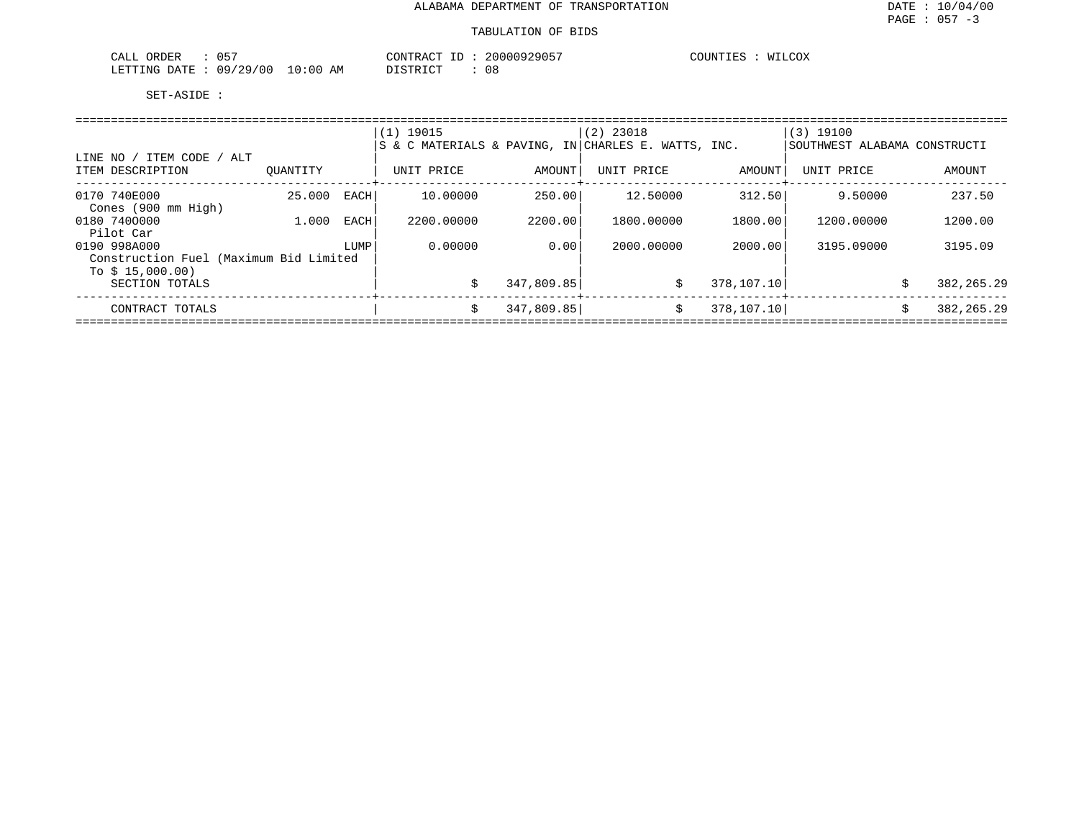## TABULATION OF BIDS

| ORDER<br><u> 1 h</u><br>للسلطات<br>ັບບ     |                                  | $\sim$ | ,,,, | $T.T.T T \cap \bigcap T$<br>'OUNTIF!<br>. IAI '<br>$\overline{\phantom{a}}$<br>$\sim$ $\sim$ $\sim$ $\sim$ |
|--------------------------------------------|----------------------------------|--------|------|------------------------------------------------------------------------------------------------------------|
| LETTING<br>DATE.<br>n a<br>. .<br>$\cdots$ | ΆM<br>- 111<br>$\cdots$<br>$-11$ |        | U O  |                                                                                                            |

|                                                            |          |      | $(1)$ 19015 |            | $(2)$ 23018<br>S & C MATERIALS & PAVING, IN CHARLES E. WATTS, INC. |            | (3) 19100<br>SOUTHWEST ALABAMA CONSTRUCTI |              |
|------------------------------------------------------------|----------|------|-------------|------------|--------------------------------------------------------------------|------------|-------------------------------------------|--------------|
| ' ITEM CODE / ALT<br>LINE NO<br>ITEM DESCRIPTION           | OUANTITY |      | UNIT PRICE  | AMOUNT     | UNIT PRICE                                                         | AMOUNT     | UNIT PRICE                                | AMOUNT       |
| 0170 740E000                                               | 25.000   | EACH | 10,00000    | 250.00     | 12.50000                                                           | 312.50     | 9.50000                                   | 237.50       |
| Cones (900 mm High)<br>0180 7400000                        | 1,000    | EACH | 2200.00000  | 2200.00    | 1800.00000                                                         | 1800.00    | 1200.00000                                | 1200.00      |
| Pilot Car<br>0190 998A000                                  |          | LUMP | 0.00000     | 0.001      | 2000.00000                                                         | 2000.00    | 3195,09000                                | 3195.09      |
| Construction Fuel (Maximum Bid Limited<br>To $$15,000.00)$ |          |      |             |            |                                                                    |            |                                           |              |
| SECTION TOTALS                                             |          |      | \$          | 347,809.85 | Ŝ.                                                                 | 378,107.10 | Ŝ                                         | 382, 265. 29 |
| CONTRACT TOTALS                                            |          |      | \$          | 347,809.85 | \$                                                                 | 378,107.10 | \$                                        | 382, 265. 29 |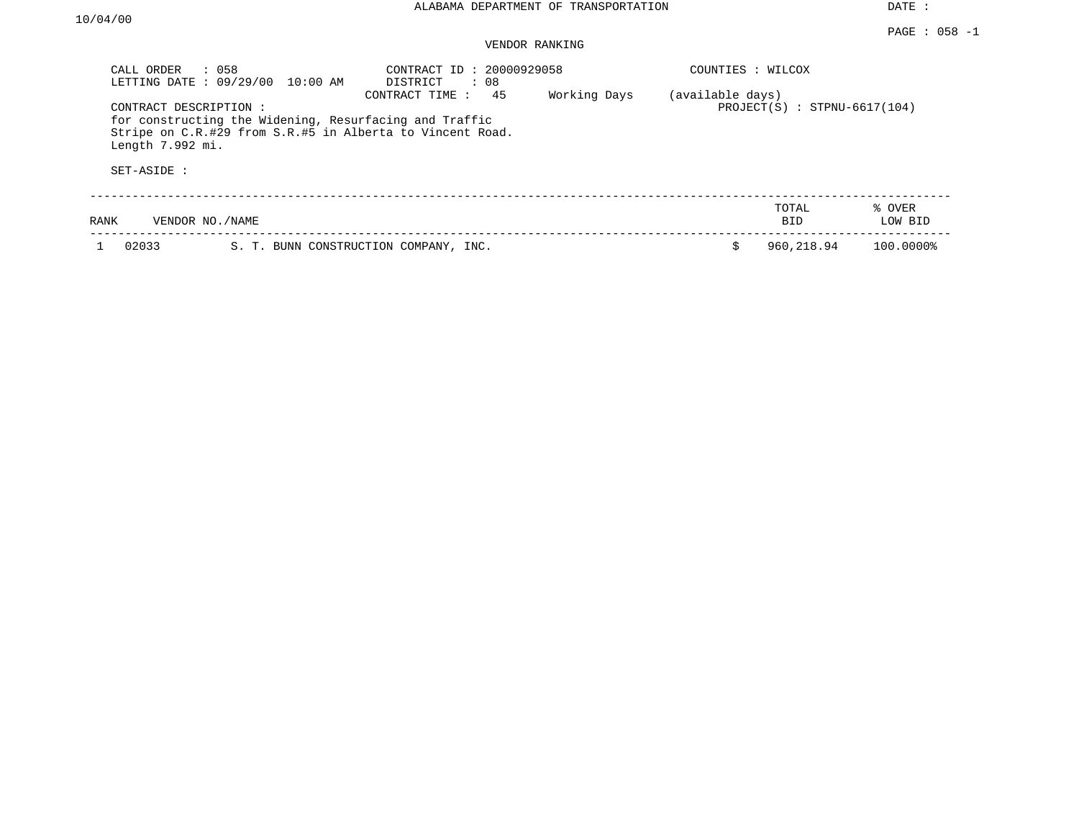DATE :

# VENDOR RANKING

| CALL ORDER                                              | : 058<br>LETTING DATE : 09/29/00 10:00 AM                                                                           | CONTRACT ID: 20000929058<br>DISTRICT<br>: 08 |              | COUNTIES : WILCOX |                                |                   |
|---------------------------------------------------------|---------------------------------------------------------------------------------------------------------------------|----------------------------------------------|--------------|-------------------|--------------------------------|-------------------|
| CONTRACT DESCRIPTION:<br>Length 7.992 mi.<br>SET-ASIDE: | for constructing the Widening, Resurfacing and Traffic<br>Stripe on C.R.#29 from S.R.#5 in Alberta to Vincent Road. | -45<br>CONTRACT TIME:                        | Working Days | (available days)  | $PROJECT(S)$ : STPNU-6617(104) |                   |
| RANK                                                    | VENDOR NO. / NAME                                                                                                   |                                              |              |                   | TOTAL<br><b>BID</b>            | % OVER<br>LOW BID |
| 02033                                                   | S. T. BUNN CONSTRUCTION COMPANY, INC.                                                                               |                                              |              |                   | 960,218.94                     | 100.0000%         |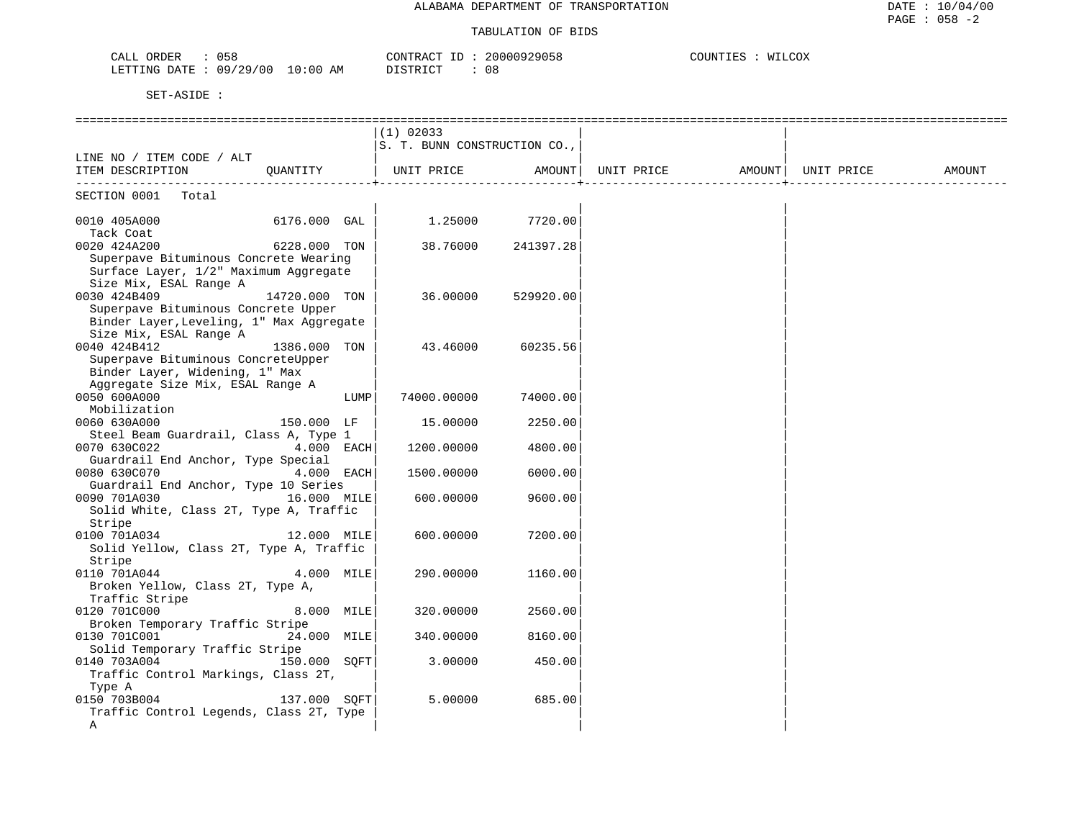### TABULATION OF BIDS

| 058<br>ORDER<br>CALL             | 20000929058<br>CONTRACT ID | COUNTIES :<br>WILCOX |
|----------------------------------|----------------------------|----------------------|
| LETTING DATE : 09/29/00 10:00 AM | 08<br>DISTRICT             |                      |

|                                          |               |      | $(1)$ 02033                  |           |            |        |            |        |
|------------------------------------------|---------------|------|------------------------------|-----------|------------|--------|------------|--------|
|                                          |               |      | S. T. BUNN CONSTRUCTION CO., |           |            |        |            |        |
| LINE NO / ITEM CODE / ALT                |               |      |                              |           |            |        |            |        |
| ITEM DESCRIPTION                         | OUANTITY      |      | UNIT PRICE                   | AMOUNT    | UNIT PRICE | AMOUNT | UNIT PRICE | AMOUNT |
|                                          |               |      |                              |           |            |        |            |        |
| SECTION 0001 Total                       |               |      |                              |           |            |        |            |        |
|                                          |               |      |                              |           |            |        |            |        |
| 0010 405A000                             | 6176.000 GAL  |      | 1.25000                      | 7720.00   |            |        |            |        |
| Tack Coat                                |               |      |                              |           |            |        |            |        |
| 0020 424A200                             | 6228.000 TON  |      | 38.76000                     | 241397.28 |            |        |            |        |
| Superpave Bituminous Concrete Wearing    |               |      |                              |           |            |        |            |        |
| Surface Layer, 1/2" Maximum Aggregate    |               |      |                              |           |            |        |            |        |
| Size Mix, ESAL Range A                   |               |      |                              |           |            |        |            |        |
| 0030 424B409                             | 14720.000 TON |      | 36.00000                     | 529920.00 |            |        |            |        |
| Superpave Bituminous Concrete Upper      |               |      |                              |           |            |        |            |        |
| Binder Layer, Leveling, 1" Max Aggregate |               |      |                              |           |            |        |            |        |
| Size Mix, ESAL Range A                   |               |      |                              |           |            |        |            |        |
| 0040 424B412                             | 1386.000 TON  |      | 43.46000                     | 60235.56  |            |        |            |        |
| Superpave Bituminous ConcreteUpper       |               |      |                              |           |            |        |            |        |
| Binder Layer, Widening, 1" Max           |               |      |                              |           |            |        |            |        |
| Aggregate Size Mix, ESAL Range A         |               |      |                              |           |            |        |            |        |
| 0050 600A000                             |               | LUMP | 74000.00000                  | 74000.00  |            |        |            |        |
| Mobilization                             |               |      |                              |           |            |        |            |        |
| 0060 630A000                             | 150.000 LF    |      | 15.00000                     | 2250.00   |            |        |            |        |
| Steel Beam Guardrail, Class A, Type 1    |               |      |                              |           |            |        |            |        |
| 0070 630C022                             | 4.000 EACH    |      | 1200.00000                   | 4800.00   |            |        |            |        |
| Guardrail End Anchor, Type Special       |               |      |                              |           |            |        |            |        |
| 0080 630C070                             | 4.000 EACH    |      | 1500.00000                   | 6000.00   |            |        |            |        |
| Guardrail End Anchor, Type 10 Series     |               |      |                              |           |            |        |            |        |
| 0090 701A030                             | 16.000 MILE   |      | 600.00000                    | 9600.00   |            |        |            |        |
| Solid White, Class 2T, Type A, Traffic   |               |      |                              |           |            |        |            |        |
| Stripe                                   |               |      |                              |           |            |        |            |        |
| 0100 701A034                             | 12.000 MILE   |      | 600.00000                    | 7200.00   |            |        |            |        |
| Solid Yellow, Class 2T, Type A, Traffic  |               |      |                              |           |            |        |            |        |
| Stripe                                   |               |      |                              |           |            |        |            |        |
| 0110 701A044                             | 4.000 MILE    |      | 290.00000                    | 1160.00   |            |        |            |        |
| Broken Yellow, Class 2T, Type A,         |               |      |                              |           |            |        |            |        |
| Traffic Stripe                           |               |      |                              |           |            |        |            |        |
| 0120 701C000                             | 8.000 MILE    |      | 320.00000                    | 2560.00   |            |        |            |        |
| Broken Temporary Traffic Stripe          |               |      |                              |           |            |        |            |        |
| 0130 701C001                             | 24.000 MILE   |      | 340.00000                    | 8160.00   |            |        |            |        |
| Solid Temporary Traffic Stripe           |               |      |                              |           |            |        |            |        |
| 150.000 SOFT<br>0140 703A004             |               |      | 3.00000                      | 450.00    |            |        |            |        |
| Traffic Control Markings, Class 2T,      |               |      |                              |           |            |        |            |        |
| Type A                                   |               |      |                              |           |            |        |            |        |
| 0150 703B004                             | 137.000 SQFT  |      | 5.00000                      | 685.00    |            |        |            |        |
| Traffic Control Legends, Class 2T, Type  |               |      |                              |           |            |        |            |        |
| Α                                        |               |      |                              |           |            |        |            |        |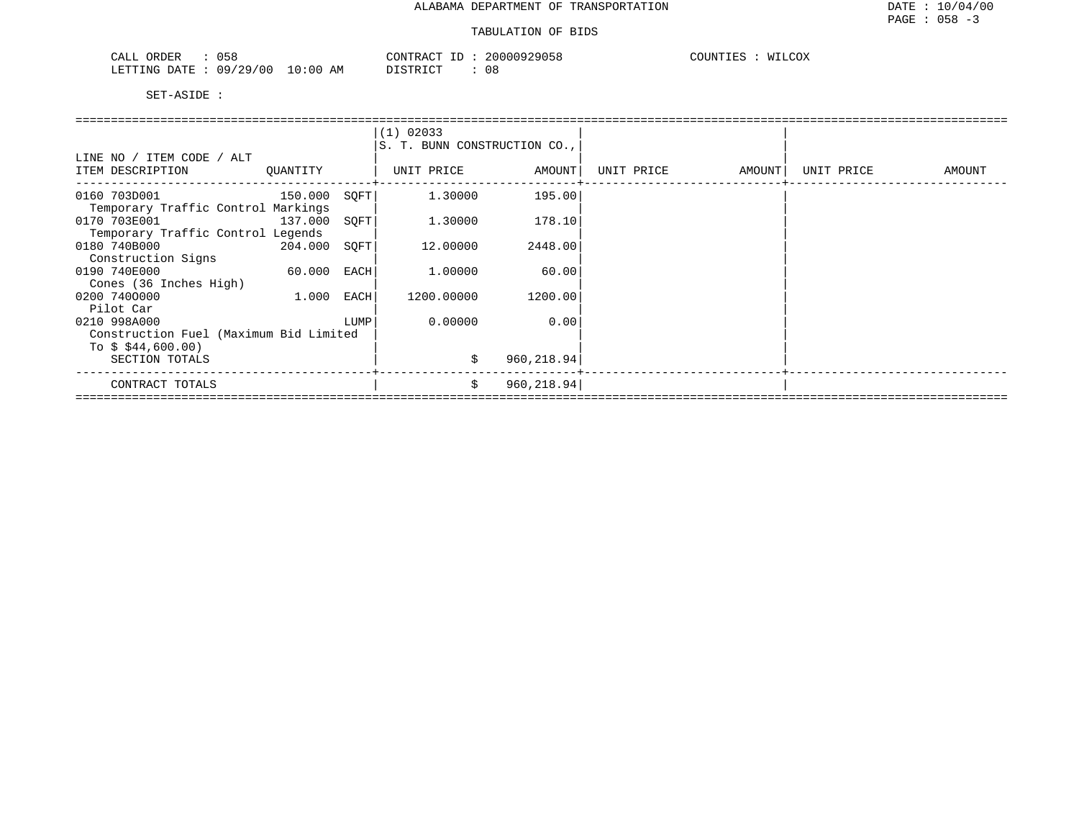| 058<br>ORDER<br>لللطات   |             | CONTRACT                               | 30000929058 | COUNT<br>WILCOX |
|--------------------------|-------------|----------------------------------------|-------------|-----------------|
| 09/29/00<br>LETTING DATE | 10:00<br>ΆM | $T$ CTD $T$ $\ell$<br>TAT<br>--------- | U O         |                 |

|                                        |             |      | $(1)$ 02033                  |             |            |        |            |        |
|----------------------------------------|-------------|------|------------------------------|-------------|------------|--------|------------|--------|
|                                        |             |      | S. T. BUNN CONSTRUCTION CO., |             |            |        |            |        |
| LINE NO / ITEM CODE / ALT              |             |      |                              |             |            |        |            |        |
| ITEM DESCRIPTION                       | QUANTITY    |      | UNIT PRICE AMOUNT            |             | UNIT PRICE | AMOUNT | UNIT PRICE | AMOUNT |
| 0160 703D001                           | 150.000     | SOFT | 1.30000                      | 195.00      |            |        |            |        |
| Temporary Traffic Control Markings     |             |      |                              |             |            |        |            |        |
| 0170 703E001 137.000                   |             | SOFT | 1.30000                      | 178.10      |            |        |            |        |
| Temporary Traffic Control Legends      |             |      |                              |             |            |        |            |        |
| 0180 740B000<br>204.000                |             | SOFT | 12.00000                     | 2448.00     |            |        |            |        |
| Construction Signs                     |             |      |                              |             |            |        |            |        |
| 0190 740E000                           | 60.000 EACH |      | 1.00000                      | 60.00       |            |        |            |        |
| Cones (36 Inches High)                 |             |      |                              |             |            |        |            |        |
| 0200 7400000                           | 1.000       | EACH | 1200.00000                   | 1200.00     |            |        |            |        |
| Pilot Car                              |             |      |                              |             |            |        |            |        |
| 0210 998A000                           |             | LUMP | 0.00000                      | 0.00        |            |        |            |        |
| Construction Fuel (Maximum Bid Limited |             |      |                              |             |            |        |            |        |
| To $$344,600.00)$                      |             |      |                              |             |            |        |            |        |
| SECTION TOTALS                         |             |      | \$                           | 960,218.94  |            |        |            |        |
| CONTRACT TOTALS                        |             |      | \$                           | 960, 218.94 |            |        |            |        |
|                                        |             |      |                              |             |            |        |            |        |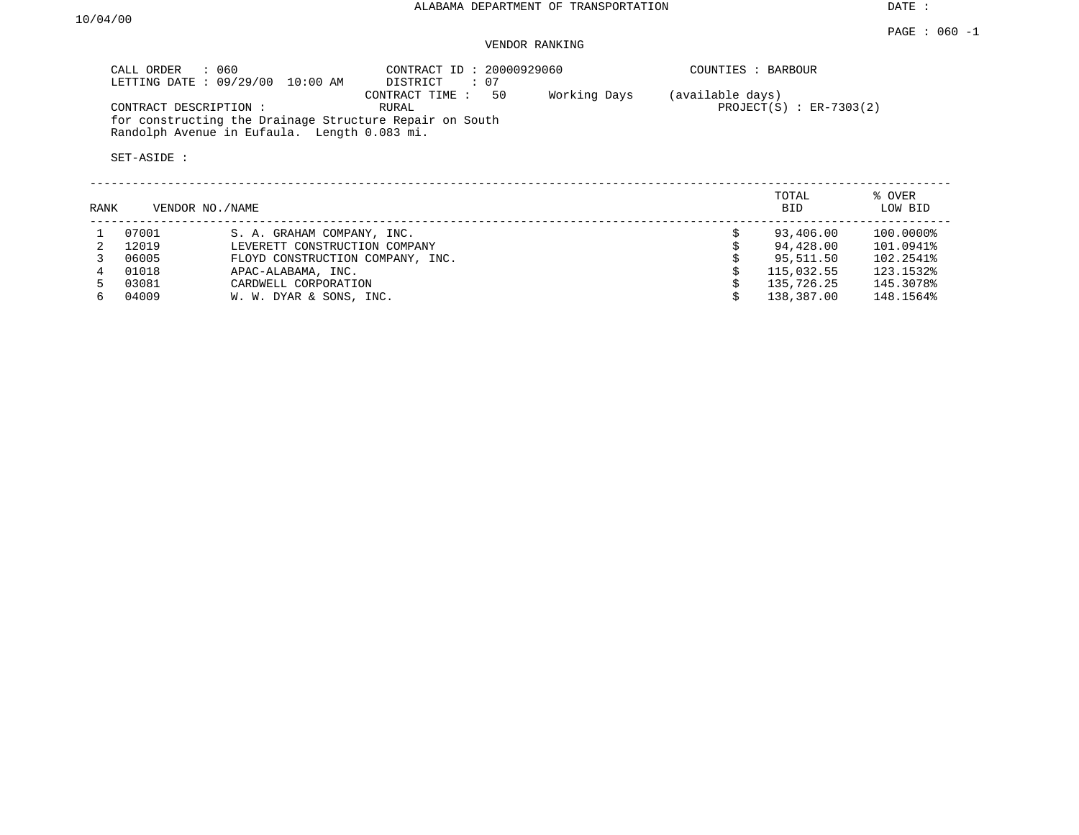PAGE : 060 -1

### VENDOR RANKING

| Working Days<br>(available days)<br>50<br>CONTRACT TIME:<br>PROJECT $(S)$ : ER-7303 $(2)$<br>CONTRACT DESCRIPTION :<br>RURAL<br>for constructing the Drainage Structure Repair on South | : 060<br>CALL ORDER<br>LETTING DATE : 09/29/00 10:00 AM | CONTRACT ID: 20000929060<br>$\colon$ 07<br>DISTRICT | COUNTIES : BARBOUR |
|-----------------------------------------------------------------------------------------------------------------------------------------------------------------------------------------|---------------------------------------------------------|-----------------------------------------------------|--------------------|
|                                                                                                                                                                                         |                                                         |                                                     |                    |
|                                                                                                                                                                                         | Randolph Avenue in Eufaula. Length 0.083 mi.            |                                                     |                    |

| RANK |       | VENDOR NO./NAME                  | TOTAL<br><b>BID</b> | % OVER<br>LOW BID |
|------|-------|----------------------------------|---------------------|-------------------|
|      | 07001 | S. A. GRAHAM COMPANY, INC.       | 93,406.00           | 100.0000%         |
|      | 12019 | LEVERETT CONSTRUCTION COMPANY    | 94,428.00           | 101.0941%         |
|      | 06005 | FLOYD CONSTRUCTION COMPANY, INC. | 95,511.50           | 102.2541%         |
|      | 01018 | APAC-ALABAMA, INC.               | 115,032.55          | 123.1532%         |
|      | 03081 | CARDWELL CORPORATION             | 135,726.25          | 145.3078%         |
| 6.   | 04009 | W. W. DYAR & SONS, INC.          | 138,387.00          | 148.1564%         |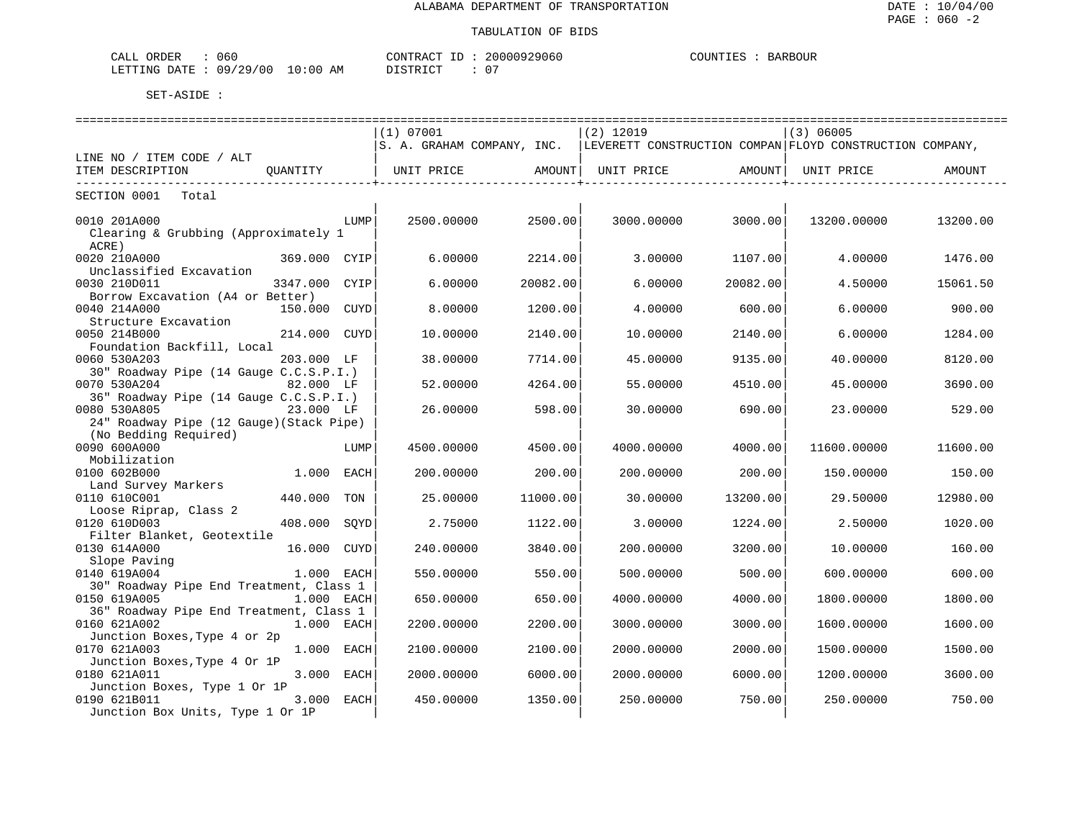| ORDER<br>CALL<br>06∪                 |              | יחים ג מיחזגם<br>$- -$<br>CUNTRAC. | 20000929060<br>$\cap$ $\cap$ $\cap$ | COUNTIES<br>זזר∧ רו ר<br><b>BUUN</b> |
|--------------------------------------|--------------|------------------------------------|-------------------------------------|--------------------------------------|
| 09/29/00<br>.RTTTNG<br>DATE.<br>____ | ΑM<br>ነ: 0 ( | די הרו אידי פי                     | $\sim$ $\sim$<br>ັ                  |                                      |

|                                               |               |      | (1) 07001                                                                            |          | $(2)$ 12019       |             | (3) 06005   |          |
|-----------------------------------------------|---------------|------|--------------------------------------------------------------------------------------|----------|-------------------|-------------|-------------|----------|
|                                               |               |      | S. A. GRAHAM COMPANY, INC.  LEVERETT CONSTRUCTION COMPAN FLOYD CONSTRUCTION COMPANY, |          |                   |             |             |          |
| LINE NO / ITEM CODE / ALT                     |               |      |                                                                                      |          |                   |             |             |          |
| ITEM DESCRIPTION QUANTITY<br>. <u>.</u> .     |               |      | UNIT PRICE AMOUNT                                                                    |          | UNIT PRICE AMOUNT | ___________ | UNIT PRICE  | AMOUNT   |
| SECTION 0001 Total                            |               |      |                                                                                      |          |                   |             |             |          |
| 0010 201A000                                  |               | LUMP | 2500.00000                                                                           | 2500.00  | 3000.00000        | 3000.00     | 13200.00000 | 13200.00 |
| Clearing & Grubbing (Approximately 1<br>ACRE) |               |      |                                                                                      |          |                   |             |             |          |
| 0020 210A000                                  | 369.000 CYIP  |      | 6.00000                                                                              | 2214.00  | 3.00000           | 1107.00     | 4.00000     | 1476.00  |
| Unclassified Excavation                       |               |      |                                                                                      |          |                   |             |             |          |
| 0030 210D011                                  | 3347.000 CYIP |      | 6.00000                                                                              | 20082.00 | 6.00000           | 20082.00    | 4.50000     | 15061.50 |
| Borrow Excavation (A4 or Better)              |               |      |                                                                                      |          |                   |             |             |          |
| 0040 214A000                                  | 150.000 CUYD  |      | 8.00000                                                                              | 1200.00  | 4.00000           | 600.00      | 6.00000     | 900.00   |
| Structure Excavation                          |               |      |                                                                                      |          |                   |             |             |          |
| 0050 214B000                                  | 214.000 CUYD  |      | 10,00000                                                                             | 2140.00  | 10.00000          | 2140.00     | 6.00000     | 1284.00  |
| Foundation Backfill, Local                    |               |      |                                                                                      |          |                   |             |             |          |
| 0060 530A203                                  | 203.000 LF    |      | 38,00000                                                                             | 7714.00  | 45.00000          | 9135.00     | 40.00000    | 8120.00  |
| 30" Roadway Pipe (14 Gauge C.C.S.P.I.)        |               |      |                                                                                      |          |                   |             |             |          |
| 0070 530A204                                  | 82.000 LF     |      | 52.00000                                                                             | 4264.00  | 55.00000          | 4510.00     | 45.00000    | 3690.00  |
| 36" Roadway Pipe (14 Gauge C.C.S.P.I.)        |               |      |                                                                                      |          |                   |             |             |          |
| 0080 530A805                                  | 23.000 LF     |      | 26.00000                                                                             | 598.00   | 30.00000          | 690.00      | 23,00000    | 529.00   |
| 24" Roadway Pipe (12 Gauge) (Stack Pipe)      |               |      |                                                                                      |          |                   |             |             |          |
| (No Bedding Required)                         |               |      |                                                                                      |          |                   |             |             |          |
| 0090 600A000                                  |               | LUMP | 4500.00000                                                                           | 4500.00  | 4000.00000        | 4000.00     | 11600.00000 | 11600.00 |
| Mobilization                                  |               |      |                                                                                      |          |                   |             |             |          |
| 0100 602B000                                  | $1.000$ EACH  |      | 200.00000                                                                            | 200.00   | 200.00000         | 200.00      | 150.00000   | 150.00   |
| Land Survey Markers                           |               |      |                                                                                      |          |                   |             |             |          |
| 0110 610C001                                  | 440.000 TON   |      | 25.00000                                                                             | 11000.00 | 30.00000          | 13200.00    | 29.50000    | 12980.00 |
| Loose Riprap, Class 2                         |               |      |                                                                                      |          |                   |             |             |          |
| 0120 610D003                                  | 408.000 SOYD  |      | 2.75000                                                                              | 1122.00  | 3.00000           | 1224.00     | 2.50000     | 1020.00  |
| Filter Blanket, Geotextile                    |               |      |                                                                                      |          |                   |             |             |          |
| 0130 614A000                                  | 16.000 CUYD   |      | 240.00000                                                                            | 3840.00  | 200.00000         | 3200.00     | 10.00000    | 160.00   |
| Slope Paving<br>0140 619A004                  |               |      |                                                                                      |          |                   |             |             |          |
| 30" Roadway Pipe End Treatment, Class 1       | 1.000 EACH    |      | 550.00000                                                                            | 550.00   | 500.00000         | 500.00      | 600,00000   | 600.00   |
| 0150 619A005                                  | 1.000 EACH    |      | 650.00000                                                                            | 650.00   | 4000.00000        | 4000.00     | 1800.00000  | 1800.00  |
| 36" Roadway Pipe End Treatment, Class 1       |               |      |                                                                                      |          |                   |             |             |          |
| 0160 621A002                                  | 1.000 EACH    |      | 2200.00000                                                                           | 2200.00  | 3000.00000        | 3000.00     | 1600.00000  | 1600.00  |
| Junction Boxes, Type 4 or 2p                  |               |      |                                                                                      |          |                   |             |             |          |
| 0170 621A003                                  | 1.000 EACH    |      | 2100.00000                                                                           | 2100.00  | 2000.00000        | 2000.00     | 1500.00000  | 1500.00  |
| Junction Boxes, Type 4 Or 1P                  |               |      |                                                                                      |          |                   |             |             |          |
| 0180 621A011                                  | 3.000 EACH    |      | 2000.00000                                                                           | 6000.00  | 2000.00000        | 6000.00     | 1200.00000  | 3600.00  |
| Junction Boxes, Type 1 Or 1P                  |               |      |                                                                                      |          |                   |             |             |          |
| 0190 621B011                                  | 3.000 EACH    |      | 450.00000                                                                            | 1350.00  | 250.00000         | 750.00      | 250.00000   | 750.00   |
| Junction Box Units, Type 1 Or 1P              |               |      |                                                                                      |          |                   |             |             |          |
|                                               |               |      |                                                                                      |          |                   |             |             |          |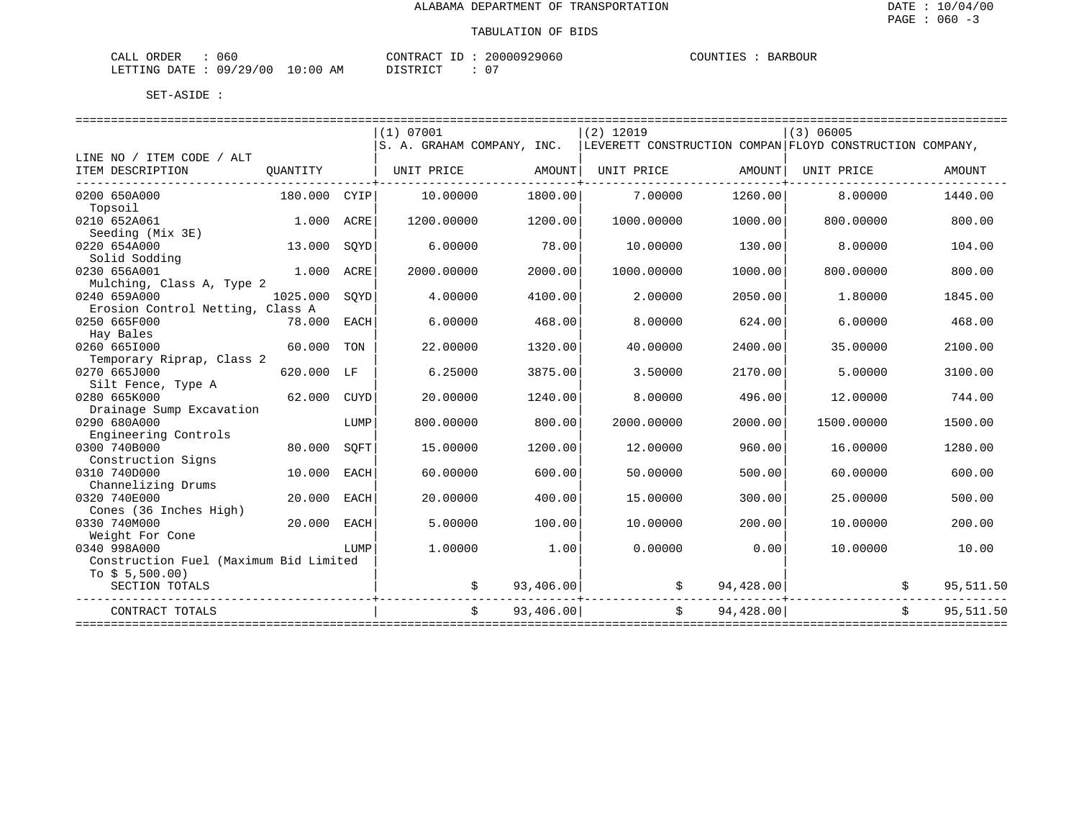| CALL ORDER                       | 060 | CONTRACT ID |  | 20000929060 | COUNTIES | BARBOUR |
|----------------------------------|-----|-------------|--|-------------|----------|---------|
| LETTING DATE : 09/29/00 10:00 AM |     | DISTRICT    |  |             |          |         |

|                                                            |          |             | (1) 07001                  |           | $(2)$ 12019                                              |           | (3) 06005  |                 |
|------------------------------------------------------------|----------|-------------|----------------------------|-----------|----------------------------------------------------------|-----------|------------|-----------------|
|                                                            |          |             | S. A. GRAHAM COMPANY, INC. |           | LEVERETT CONSTRUCTION COMPAN FLOYD CONSTRUCTION COMPANY, |           |            |                 |
| LINE NO / ITEM CODE / ALT<br>ITEM DESCRIPTION              | OUANTITY |             | UNIT PRICE                 | AMOUNT    | UNIT PRICE                                               | AMOUNT    | UNIT PRICE | AMOUNT          |
| 0200 650A000<br>Topsoil                                    | 180.000  | CYIP        | 10,00000                   | 1800.00   | 7.00000                                                  | 1260.00   | 8,00000    | 1440.00         |
| 0210 652A061<br>Seeding (Mix 3E)                           | 1,000    | ACRE        | 1200.00000                 | 1200.00   | 1000.00000                                               | 1000.00   | 800.00000  | 800.00          |
| 0220 654A000<br>Solid Sodding                              | 13.000   | SOYD        | 6.00000                    | 78.00     | 10.00000                                                 | 130.00    | 8,00000    | 104.00          |
| 0230 656A001<br>Mulching, Class A, Type 2                  | 1.000    | ACRE        | 2000.00000                 | 2000.00   | 1000.00000                                               | 1000.00   | 800.00000  | 800.00          |
| 0240 659A000<br>Erosion Control Netting, Class A           | 1025.000 | SOYD        | 4.00000                    | 4100.00   | 2.00000                                                  | 2050.00   | 1,80000    | 1845.00         |
| 0250 665F000<br>Hay Bales                                  | 78.000   | EACH        | 6.00000                    | 468.00    | 8,00000                                                  | 624.00    | 6,00000    | 468.00          |
| 0260 6651000<br>Temporary Riprap, Class 2                  | 60.000   | TON         | 22.00000                   | 1320.00   | 40.00000                                                 | 2400.00   | 35.00000   | 2100.00         |
| 0270 665J000<br>Silt Fence, Type A                         | 620.000  | LF          | 6.25000                    | 3875.00   | 3.50000                                                  | 2170.00   | 5.00000    | 3100.00         |
| 0280 665K000                                               | 62.000   | CUYD        | 20.00000                   | 1240.00   | 8,00000                                                  | 496.00    | 12.00000   | 744.00          |
| Drainage Sump Excavation<br>0290 680A000                   |          | LUMP        | 800.00000                  | 800.00    | 2000.00000                                               | 2000.00   | 1500.00000 | 1500.00         |
| Engineering Controls<br>0300 740B000<br>Construction Signs | 80.000   | SOFT        | 15.00000                   | 1200.00   | 12,00000                                                 | 960.00    | 16.00000   | 1280.00         |
| 0310 740D000<br>Channelizing Drums                         | 10.000   | <b>EACH</b> | 60.00000                   | 600.00    | 50.00000                                                 | 500.00    | 60.00000   | 600.00          |
| 0320 740E000<br>Cones (36 Inches High)                     | 20.000   | EACH        | 20.00000                   | 400.00    | 15.00000                                                 | 300.00    | 25.00000   | 500.00          |
| 0330 740M000<br>Weight For Cone                            | 20.000   | EACH        | 5.00000                    | 100.00    | 10.00000                                                 | 200.00    | 10.00000   | 200.00          |
| 0340 998A000                                               |          | LUMP        | 1,00000                    | 1.00      | 0.00000                                                  | 0.00      | 10.00000   | 10.00           |
| Construction Fuel (Maximum Bid Limited<br>To $$5,500.00)$  |          |             |                            |           |                                                          |           |            |                 |
| SECTION TOTALS                                             |          |             |                            | 93,406,00 | \$                                                       | 94,428.00 |            | \$<br>95,511.50 |
| CONTRACT TOTALS                                            |          |             | \$                         | 93,406.00 | $\ddot{s}$                                               | 94,428.00 |            | \$<br>95,511.50 |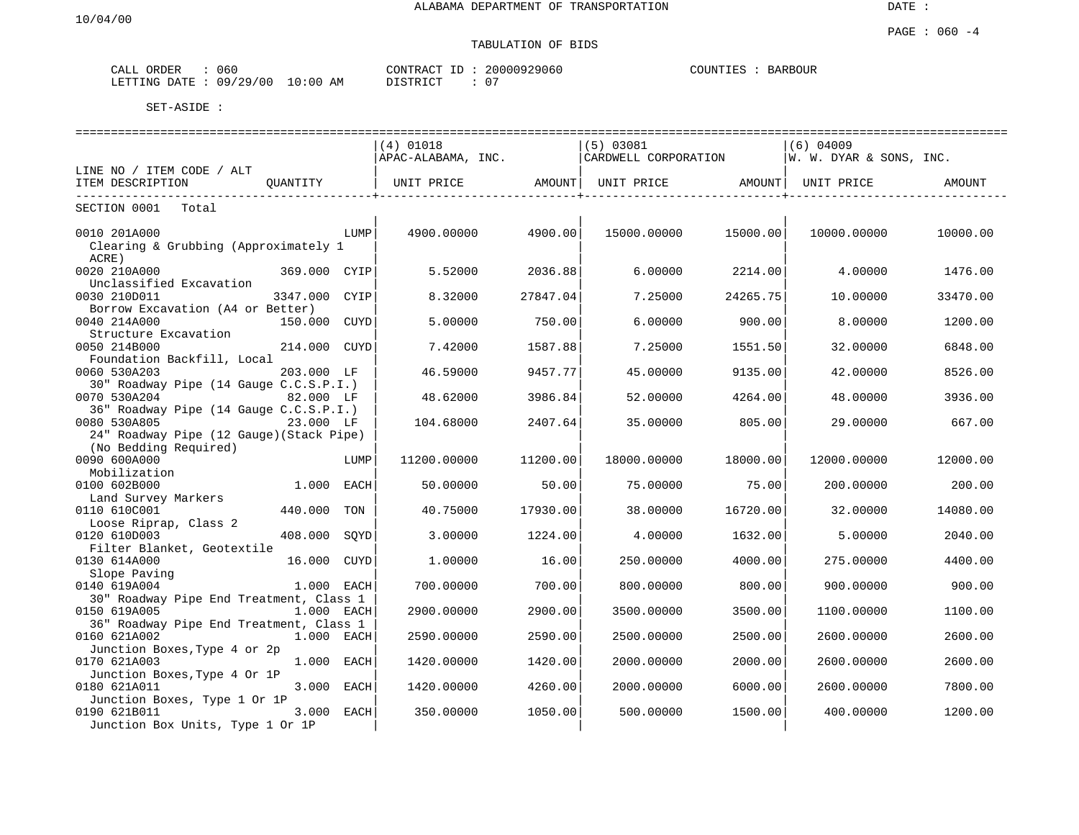# TABULATION OF BIDS

| ORDER<br>CALL | 060      |       | $ -$<br>CONTRACT | 20000929060 | COUNTIES<br>BARBOUR |
|---------------|----------|-------|------------------|-------------|---------------------|
|               |          | 10:00 |                  | $\cap$      |                     |
| LETTING DATE  | 09/29/00 | ΑM    | STRICT           | U           |                     |

|                                                                     |               |      | $(4)$ 01018        |          | (5) 03081                      |          | $(6)$ 04009                                    |          |
|---------------------------------------------------------------------|---------------|------|--------------------|----------|--------------------------------|----------|------------------------------------------------|----------|
|                                                                     |               |      | APAC-ALABAMA, INC. |          |                                |          | CARDWELL CORPORATION   W. W. DYAR & SONS, INC. |          |
| LINE NO / ITEM CODE / ALT                                           |               |      |                    |          |                                |          |                                                |          |
| ITEM DESCRIPTION<br>-----------                                     | OUANTITY      |      | UNIT PRICE         | AMOUNT   | UNIT PRICE AMOUNT   UNIT PRICE |          |                                                | AMOUNT   |
| SECTION 0001<br>Total                                               |               |      |                    |          |                                |          |                                                |          |
| 0010 201A000                                                        |               | LUMP | 4900.00000         | 4900.00  | 15000.00000                    | 15000.00 | 10000.00000                                    | 10000.00 |
| Clearing & Grubbing (Approximately 1                                |               |      |                    |          |                                |          |                                                |          |
| ACRE)                                                               |               |      |                    |          |                                |          |                                                |          |
| 0020 210A000                                                        | 369.000 CYIP  |      | 5.52000            | 2036.88  | 6,00000                        | 2214.00  | 4.00000                                        | 1476.00  |
| Unclassified Excavation                                             |               |      |                    |          |                                |          |                                                |          |
| 0030 210D011                                                        | 3347.000 CYIP |      | 8.32000            | 27847.04 | 7.25000                        | 24265.75 | 10.00000                                       | 33470.00 |
| Borrow Excavation (A4 or Better)                                    |               |      |                    |          |                                |          |                                                |          |
| 0040 214A000                                                        | 150.000 CUYD  |      | 5.00000            | 750.00   | 6.00000                        | 900.00   | 8,00000                                        | 1200.00  |
| Structure Excavation                                                |               |      |                    |          |                                |          |                                                |          |
| 0050 214B000                                                        | 214.000 CUYD  |      | 7.42000            | 1587.88  | 7.25000                        | 1551.50  | 32.00000                                       | 6848.00  |
| Foundation Backfill, Local                                          |               |      |                    |          |                                |          |                                                |          |
| 0060 530A203                                                        | 203.000 LF    |      | 46.59000           | 9457.77  | 45.00000                       | 9135.00  | 42.00000                                       | 8526.00  |
| 30" Roadway Pipe (14 Gauge C.C.S.P.I.)                              |               |      |                    |          |                                |          |                                                |          |
| 0070 530A204                                                        | 82.000 LF     |      | 48.62000           | 3986.84  | 52.00000                       | 4264.00  | 48.00000                                       | 3936.00  |
| 36" Roadway Pipe (14 Gauge C.C.S.P.I.)<br>0080 530A805<br>23.000 LF |               |      | 104.68000          | 2407.64  | 35.00000                       | 805.00   | 29.00000                                       | 667.00   |
| 24" Roadway Pipe (12 Gauge) (Stack Pipe)                            |               |      |                    |          |                                |          |                                                |          |
| (No Bedding Required)                                               |               |      |                    |          |                                |          |                                                |          |
| 0090 600A000                                                        |               | LUMP | 11200.00000        | 11200.00 | 18000.00000                    | 18000.00 | 12000.00000                                    | 12000.00 |
| Mobilization                                                        |               |      |                    |          |                                |          |                                                |          |
| 0100 602B000                                                        | $1.000$ EACH  |      | 50.00000           | 50.00    | 75,00000                       | 75.00    | 200.00000                                      | 200.00   |
| Land Survey Markers                                                 |               |      |                    |          |                                |          |                                                |          |
| 0110 610C001                                                        | 440.000 TON   |      | 40.75000           | 17930.00 | 38,00000                       | 16720.00 | 32.00000                                       | 14080.00 |
| Loose Riprap, Class 2                                               |               |      |                    |          |                                |          |                                                |          |
| 0120 610D003                                                        | 408.000       | SOYD | 3,00000            | 1224.00  | 4.00000                        | 1632.00  | 5.00000                                        | 2040.00  |
| Filter Blanket, Geotextile                                          |               |      |                    |          |                                |          |                                                |          |
| 0130 614A000                                                        | 16.000 CUYD   |      | 1,00000            | 16.00    | 250.00000                      | 4000.00  | 275.00000                                      | 4400.00  |
| Slope Paving                                                        |               |      |                    |          |                                |          |                                                |          |
| 0140 619A004                                                        | 1.000 EACH    |      | 700.00000          | 700.00   | 800,00000                      | 800.00   | 900.00000                                      | 900.00   |
| 30" Roadway Pipe End Treatment, Class 1                             |               |      |                    |          |                                |          |                                                |          |
| 0150 619A005                                                        | 1.000 EACH    |      | 2900.00000         | 2900.00  | 3500.00000                     | 3500.00  | 1100.00000                                     | 1100.00  |
| 36" Roadway Pipe End Treatment, Class 1                             |               |      |                    |          |                                |          |                                                |          |
| 0160 621A002                                                        | 1.000 EACH    |      | 2590.00000         | 2590.00  | 2500.00000                     | 2500.00  | 2600.00000                                     | 2600.00  |
| Junction Boxes, Type 4 or 2p<br>0170 621A003                        | 1.000 EACH    |      |                    | 1420.00  |                                |          |                                                |          |
|                                                                     |               |      | 1420.00000         |          | 2000.00000                     | 2000.00  | 2600.00000                                     | 2600.00  |
| Junction Boxes, Type 4 Or 1P<br>0180 621A011                        | 3.000 EACH    |      | 1420.00000         | 4260.00  | 2000.00000                     | 6000.00  | 2600.00000                                     | 7800.00  |
| Junction Boxes, Type 1 Or 1P                                        |               |      |                    |          |                                |          |                                                |          |
| 0190 621B011                                                        | $3.000$ EACH  |      | 350.00000          | 1050.00  | 500.00000                      | 1500.00  | 400.00000                                      | 1200.00  |
| Junction Box Units, Type 1 Or 1P                                    |               |      |                    |          |                                |          |                                                |          |
|                                                                     |               |      |                    |          |                                |          |                                                |          |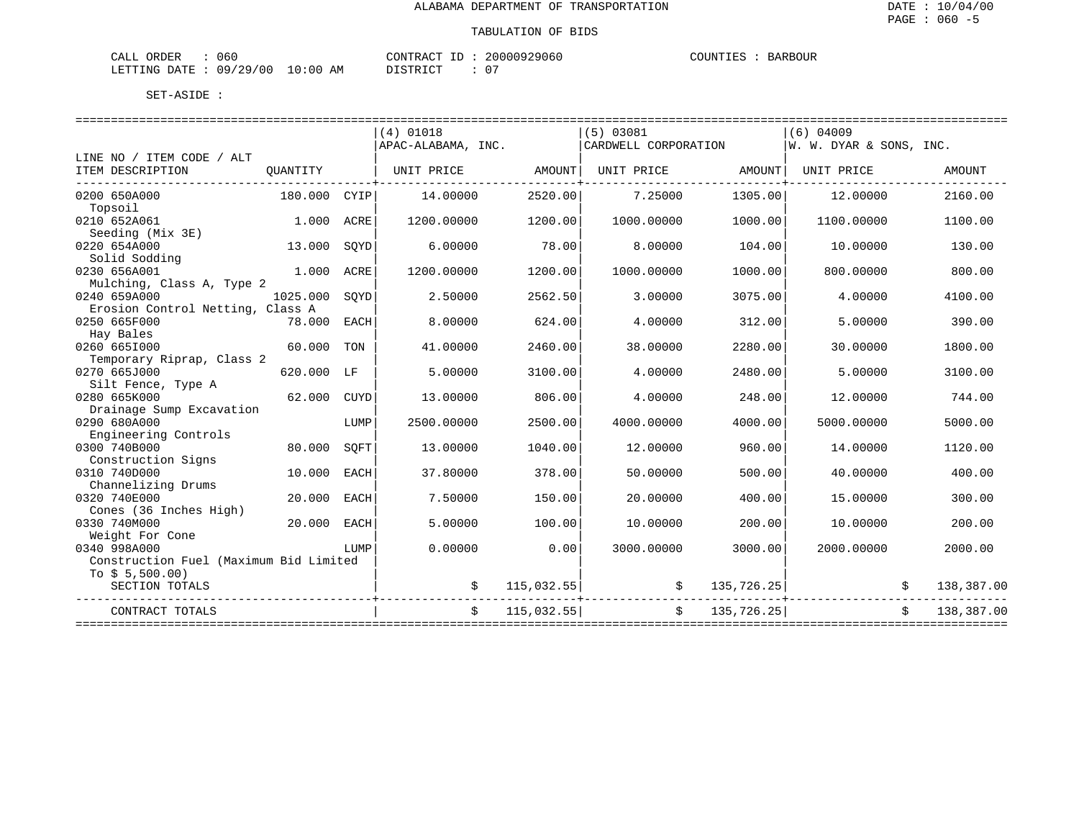| ORDER<br>CALI  | 060      |               | 'ONTRACT   | TD. | 20000929060 | COUNTIES | <b>BARBOUR</b> |
|----------------|----------|---------------|------------|-----|-------------|----------|----------------|
| LETTING DATE : | 09/29/00 | LO : 00<br>AM | ד פידי T.S |     |             |          |                |

|                                               |              |             | $(4)$ 01018        |            | (5) 03081            |               | $(6)$ 04009             |                  |
|-----------------------------------------------|--------------|-------------|--------------------|------------|----------------------|---------------|-------------------------|------------------|
|                                               |              |             | APAC-ALABAMA, INC. |            | CARDWELL CORPORATION |               | W. W. DYAR & SONS, INC. |                  |
| LINE NO / ITEM CODE / ALT<br>ITEM DESCRIPTION | OUANTITY     |             | UNIT PRICE         | AMOUNT     | UNIT PRICE           | AMOUNT        | UNIT PRICE              | AMOUNT           |
| 0200 650A000                                  | 180.000 CYIP |             | 14.00000           | 2520.00    | 7.25000              | 1305.00       | 12.00000                | 2160.00          |
| Topsoil                                       |              |             |                    |            |                      |               |                         |                  |
| 0210 652A061<br>Seeding (Mix 3E)              | 1.000        | ACRE        | 1200.00000         | 1200.00    | 1000.00000           | 1000.00       | 1100.00000              | 1100.00          |
| 0220 654A000                                  | 13.000       | SQYD        | 6.00000            | 78.00      | 8.00000              | 104.00        | 10.00000                | 130.00           |
| Solid Sodding                                 |              |             |                    |            |                      |               |                         |                  |
| 0230 656A001                                  | 1.000        | ACRE        | 1200.00000         | 1200.00    | 1000.00000           | 1000.00       | 800,00000               | 800.00           |
| Mulching, Class A, Type 2<br>0240 659A000     | 1025.000     |             | 2.50000            | 2562.50    | 3,00000              | 3075.00       | 4.00000                 | 4100.00          |
| Erosion Control Netting, Class A              |              | SOYD        |                    |            |                      |               |                         |                  |
| 0250 665F000                                  | 78.000       | EACH        | 8.00000            | 624.00     | 4.00000              | 312.00        | 5.00000                 | 390.00           |
| Hay Bales                                     |              |             |                    |            |                      |               |                         |                  |
| 0260 6651000                                  | 60.000       | TON         | 41.00000           | 2460.00    | 38,00000             | 2280.00       | 30.00000                | 1800.00          |
| Temporary Riprap, Class 2                     |              |             |                    |            |                      |               |                         |                  |
| 0270 665J000                                  | 620.000      | LF          | 5.00000            | 3100.00    | 4.00000              | 2480.00       | 5.00000                 | 3100.00          |
| Silt Fence, Type A                            |              |             |                    |            |                      |               |                         |                  |
| 0280 665K000                                  | 62.000       | CUYD        | 13,00000           | 806.00     | 4.00000              | 248.00        | 12,00000                | 744.00           |
| Drainage Sump Excavation                      |              |             |                    |            |                      |               |                         |                  |
| 0290 680A000                                  |              | LUMP        | 2500.00000         | 2500.00    | 4000.00000           | 4000.00       | 5000.00000              | 5000.00          |
| Engineering Controls                          |              |             |                    |            |                      |               |                         |                  |
| 0300 740B000                                  | 80.000       | SOFT        | 13,00000           | 1040.00    | 12.00000             | 960.00        | 14,00000                | 1120.00          |
| Construction Signs                            |              |             |                    |            |                      |               |                         |                  |
| 0310 740D000                                  | 10.000       | <b>EACH</b> | 37.80000           | 378.00     | 50.00000             | 500.00        | 40.00000                | 400.00           |
| Channelizing Drums                            |              |             |                    |            |                      |               |                         |                  |
| 0320 740E000                                  | 20.000       | EACH        | 7.50000            | 150.00     | 20.00000             | 400.00        | 15,00000                | 300.00           |
| Cones (36 Inches High)                        |              |             |                    |            |                      |               |                         |                  |
| 0330 740M000                                  | 20.000       | EACH        | 5.00000            | 100.00     | 10.00000             | 200.00        | 10.00000                | 200.00           |
| Weight For Cone                               |              |             |                    |            |                      |               |                         |                  |
| 0340 998A000                                  |              | LUMP        | 0.00000            | 0.00       | 3000.00000           | 3000.00       | 2000.00000              | 2000.00          |
| Construction Fuel (Maximum Bid Limited        |              |             |                    |            |                      |               |                         |                  |
| To $$5,500.00)$<br>SECTION TOTALS             |              |             |                    | 115,032.55 |                      |               |                         | 138,387.00       |
| CONTRACT TOTALS                               |              |             | \$                 | 115,032.55 |                      | \$135,726.25] |                         | 138,387.00<br>Ŝ. |
|                                               |              |             |                    |            |                      |               |                         |                  |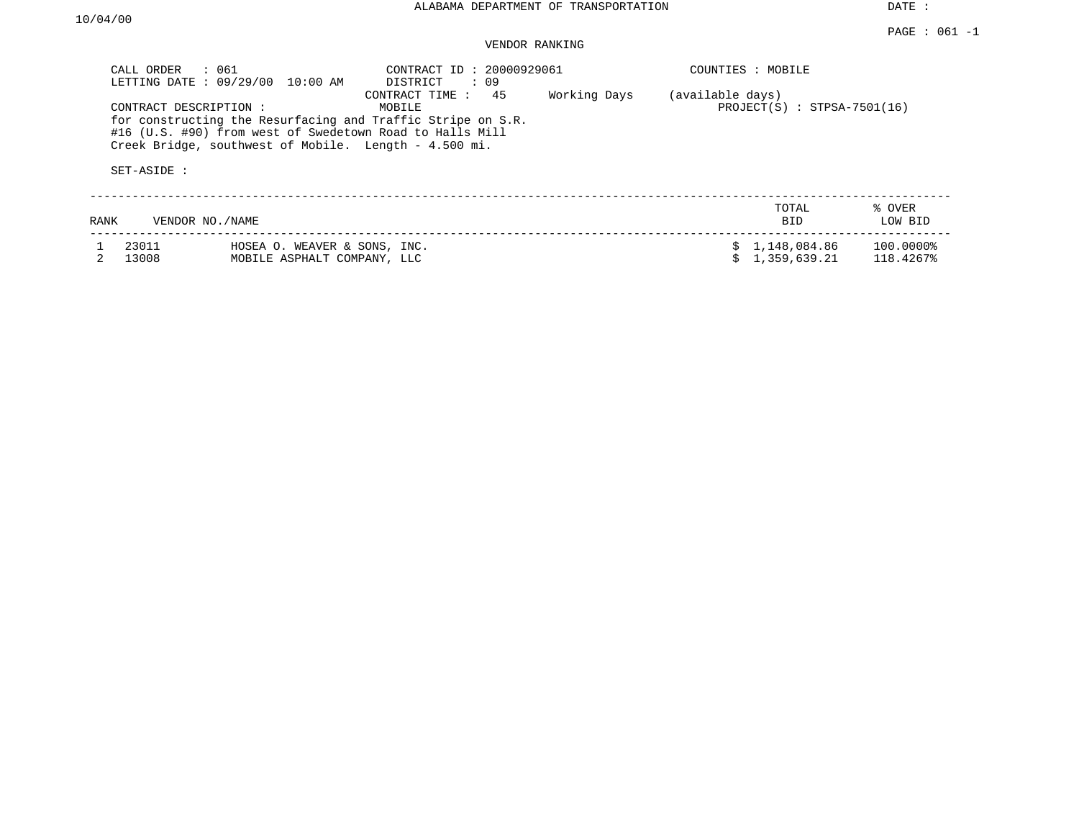DATE :

### VENDOR RANKING

| CALL ORDER                            | : 061<br>LETTING DATE: 09/29/00<br>$10:00$ AM                                                                     | CONTRACT ID: 20000929061<br>DISTRICT<br>: 09                                                  |              |                  | COUNTIES : MOBILE              |                        |
|---------------------------------------|-------------------------------------------------------------------------------------------------------------------|-----------------------------------------------------------------------------------------------|--------------|------------------|--------------------------------|------------------------|
| CONTRACT DESCRIPTION :<br>SET-ASIDE : | #16 (U.S. #90) from west of Swedetown Road to Halls Mill<br>Creek Bridge, southwest of Mobile. Length - 4.500 mi. | 45<br>CONTRACT TIME:<br>MOBILE<br>for constructing the Resurfacing and Traffic Stripe on S.R. | Working Days | (available days) | $PROJECT(S)$ : STPSA-7501(16)  |                        |
| <b>RANK</b>                           | VENDOR NO./NAME                                                                                                   |                                                                                               |              |                  | TOTAL<br><b>BID</b>            | % OVER<br>LOW BID      |
| 23011<br>13008                        | HOSEA O. WEAVER & SONS, INC.<br>MOBILE ASPHALT COMPANY, LLC                                                       |                                                                                               |              |                  | \$1,148,084.86<br>1,359,639.21 | 100.0000%<br>118.4267% |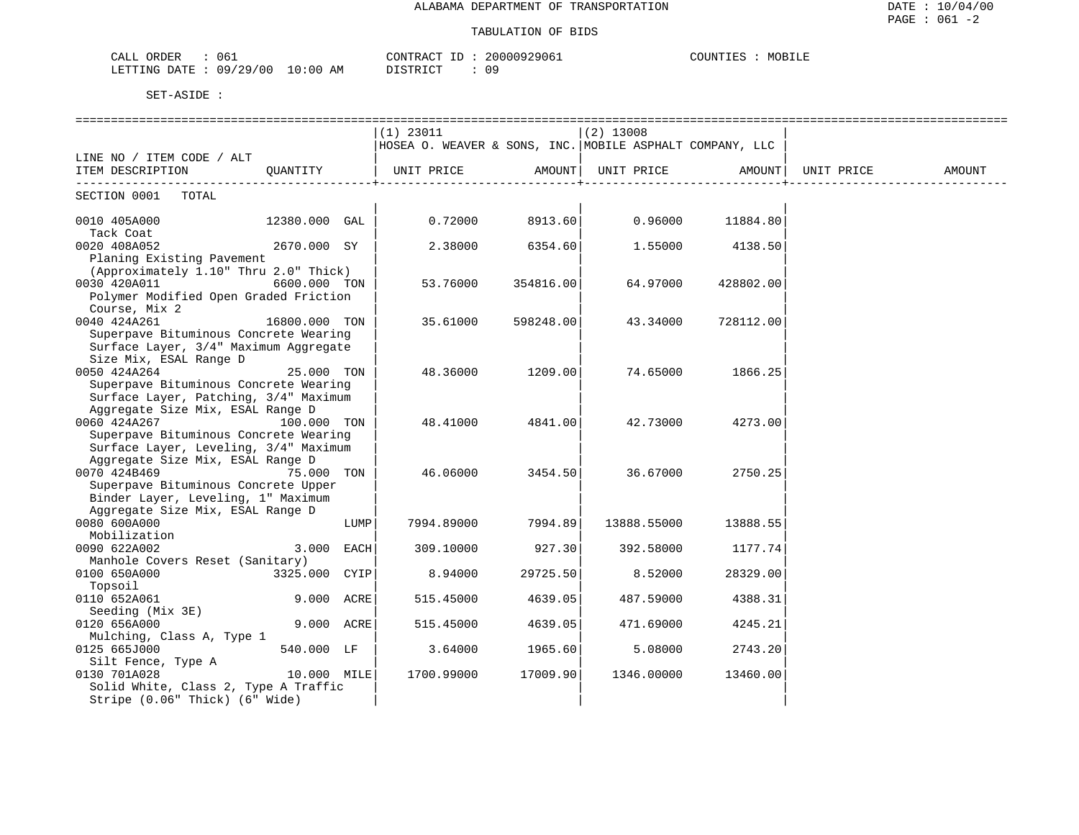#### TABULATION OF BIDS

| ORDER<br>061<br>CALL     |          | CONTRACT ID | 20000929061 | COUNTIES<br>MOBILE |
|--------------------------|----------|-------------|-------------|--------------------|
| 09/29/00<br>LETTING DATE | 10:00 AM | DISTRICT    | 09          |                    |

|                                       |               |      | $(1)$ 23011                                              |           | $(2)$ 13008 |           |            |        |
|---------------------------------------|---------------|------|----------------------------------------------------------|-----------|-------------|-----------|------------|--------|
|                                       |               |      | HOSEA O. WEAVER & SONS, INC. MOBILE ASPHALT COMPANY, LLC |           |             |           |            |        |
| LINE NO / ITEM CODE / ALT             |               |      |                                                          |           |             |           |            |        |
| ITEM DESCRIPTION                      | OUANTITY      |      | UNIT PRICE                                               | AMOUNT    | UNIT PRICE  | AMOUNT    | UNIT PRICE | AMOUNT |
|                                       |               |      |                                                          |           |             |           |            |        |
| SECTION 0001<br>TOTAL                 |               |      |                                                          |           |             |           |            |        |
| 0010 405A000                          | 12380.000 GAL |      | 0.72000                                                  | 8913.60   | 0.96000     | 11884.80  |            |        |
| Tack Coat                             |               |      |                                                          |           |             |           |            |        |
| 0020 408A052                          | 2670.000 SY   |      | 2.38000                                                  | 6354.60   | 1.55000     | 4138.50   |            |        |
| Planing Existing Pavement             |               |      |                                                          |           |             |           |            |        |
| (Approximately 1.10" Thru 2.0" Thick) |               |      |                                                          |           |             |           |            |        |
| 0030 420A011                          | 6600.000 TON  |      | 53.76000                                                 | 354816.00 | 64.97000    | 428802.00 |            |        |
| Polymer Modified Open Graded Friction |               |      |                                                          |           |             |           |            |        |
| Course, Mix 2                         |               |      |                                                          |           |             |           |            |        |
| 0040 424A261                          | 16800.000 TON |      | 35.61000                                                 | 598248.00 | 43.34000    | 728112.00 |            |        |
| Superpave Bituminous Concrete Wearing |               |      |                                                          |           |             |           |            |        |
| Surface Layer, 3/4" Maximum Aggregate |               |      |                                                          |           |             |           |            |        |
| Size Mix, ESAL Range D                |               |      |                                                          |           |             |           |            |        |
| 0050 424A264                          | 25.000 TON    |      | 48.36000                                                 | 1209.00   | 74.65000    | 1866.25   |            |        |
| Superpave Bituminous Concrete Wearing |               |      |                                                          |           |             |           |            |        |
| Surface Layer, Patching, 3/4" Maximum |               |      |                                                          |           |             |           |            |        |
| Aggregate Size Mix, ESAL Range D      |               |      |                                                          |           |             |           |            |        |
| 0060 424A267                          | 100.000 TON   |      | 48.41000                                                 | 4841.00   | 42.73000    | 4273.00   |            |        |
| Superpave Bituminous Concrete Wearing |               |      |                                                          |           |             |           |            |        |
| Surface Layer, Leveling, 3/4" Maximum |               |      |                                                          |           |             |           |            |        |
| Aggregate Size Mix, ESAL Range D      |               |      |                                                          |           |             |           |            |        |
| 0070 424B469                          | 75.000 TON    |      | 46.06000                                                 | 3454.50   | 36.67000    | 2750.25   |            |        |
| Superpave Bituminous Concrete Upper   |               |      |                                                          |           |             |           |            |        |
| Binder Layer, Leveling, 1" Maximum    |               |      |                                                          |           |             |           |            |        |
| Aggregate Size Mix, ESAL Range D      |               |      |                                                          |           |             |           |            |        |
| 0080 600A000                          |               | LUMP | 7994.89000                                               | 7994.89   | 13888.55000 | 13888.55  |            |        |
| Mobilization                          |               |      |                                                          |           |             |           |            |        |
| 0090 622A002                          | 3.000         | EACH | 309.10000                                                | 927.30    | 392.58000   | 1177.74   |            |        |
| Manhole Covers Reset (Sanitary)       |               |      |                                                          |           |             |           |            |        |
| 0100 650A000                          | 3325.000      | CYIP | 8.94000                                                  | 29725.50  | 8.52000     | 28329.00  |            |        |
| Topsoil                               |               |      |                                                          |           |             |           |            |        |
| 0110 652A061                          | 9.000 ACRE    |      | 515.45000                                                | 4639.05   | 487.59000   | 4388.31   |            |        |
| Seeding (Mix 3E)                      |               |      |                                                          |           |             |           |            |        |
| 0120 656A000                          | 9.000 ACRE    |      | 515.45000                                                | 4639.05   | 471.69000   | 4245.21   |            |        |
| Mulching, Class A, Type 1             |               |      |                                                          |           |             |           |            |        |
| 0125 665J000                          | 540.000 LF    |      | 3.64000                                                  | 1965.60   | 5.08000     | 2743.20   |            |        |
| Silt Fence, Type A                    |               |      |                                                          |           |             |           |            |        |
| 0130 701A028                          | 10.000 MILE   |      | 1700.99000                                               | 17009.90  | 1346.00000  | 13460.00  |            |        |
| Solid White, Class 2, Type A Traffic  |               |      |                                                          |           |             |           |            |        |
| Stripe (0.06" Thick) (6" Wide)        |               |      |                                                          |           |             |           |            |        |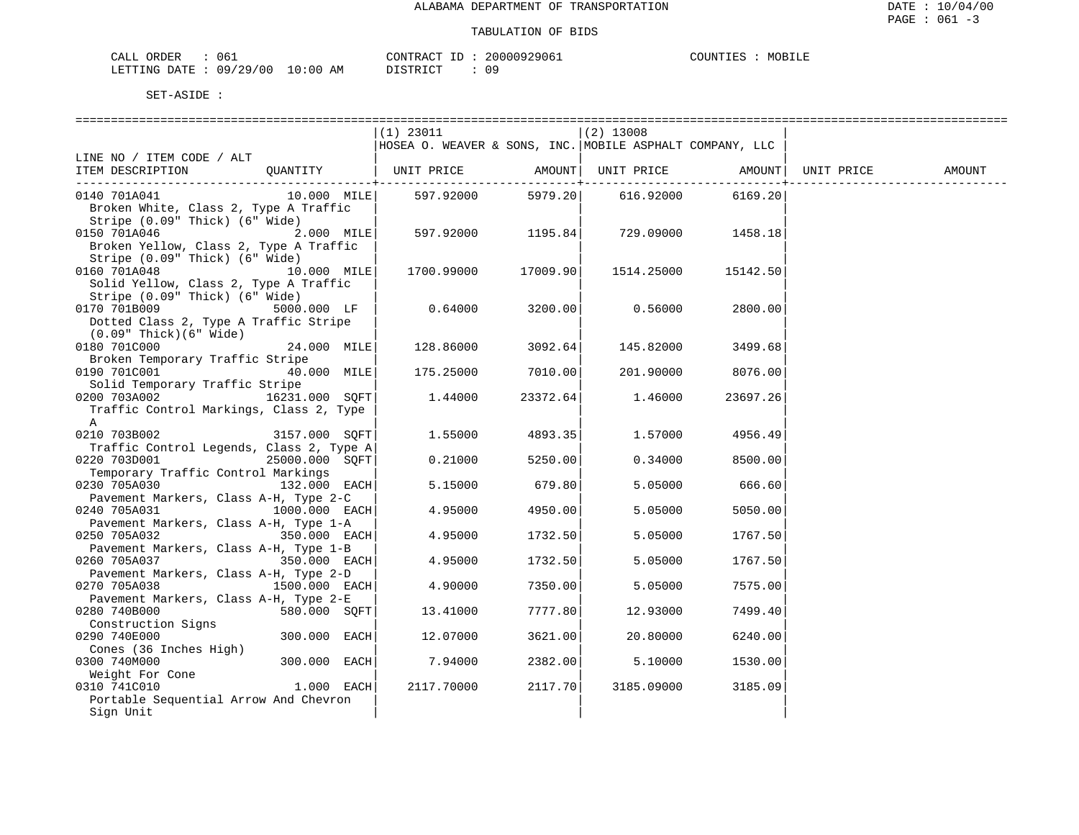| CALL ( | ORDER | 06⊥                           |    | CONTRACT ID:   | 20000929061 | COUNTIES | MOBILE |
|--------|-------|-------------------------------|----|----------------|-------------|----------|--------|
|        |       | LETTING DATE : 09/29/00 10:00 | AM | חי הדי אידי את |             |          |        |

|                                          |                 | $(1)$ 23011                                              |          | $(2)$ 13008                |          |            |        |
|------------------------------------------|-----------------|----------------------------------------------------------|----------|----------------------------|----------|------------|--------|
|                                          |                 | HOSEA O. WEAVER & SONS, INC. MOBILE ASPHALT COMPANY, LLC |          |                            |          |            |        |
| LINE NO / ITEM CODE / ALT                |                 |                                                          |          |                            |          |            |        |
| QUANTITY<br>ITEM DESCRIPTION             |                 | UNIT PRICE                                               |          | AMOUNT   UNIT PRICE AMOUNT |          | UNIT PRICE | AMOUNT |
|                                          |                 |                                                          |          |                            |          |            |        |
| 0140 701A041                             | 10.000 MILE     | 597.92000                                                | 5979.20  | 616.92000                  | 6169.20  |            |        |
| Broken White, Class 2, Type A Traffic    |                 |                                                          |          |                            |          |            |        |
| Stripe (0.09" Thick) (6" Wide)           |                 |                                                          |          |                            |          |            |        |
| 0150 701A046                             | $2.000$ MILE    | 597.92000 1195.84                                        |          | 729.09000                  | 1458.18  |            |        |
| Broken Yellow, Class 2, Type A Traffic   |                 |                                                          |          |                            |          |            |        |
| Stripe (0.09" Thick) (6" Wide)           |                 |                                                          |          |                            |          |            |        |
| 0160 701A048                             | 10.000 MILE     | 1700.99000                                               | 17009.90 | 1514.25000                 | 15142.50 |            |        |
| Solid Yellow, Class 2, Type A Traffic    |                 |                                                          |          |                            |          |            |        |
| Stripe (0.09" Thick) (6" Wide)           |                 |                                                          |          |                            |          |            |        |
| 0170 701B009                             | 5000.000 LF     | 0.64000                                                  | 3200.00  | 0.56000                    | 2800.00  |            |        |
| Dotted Class 2, Type A Traffic Stripe    |                 |                                                          |          |                            |          |            |        |
| $(0.09"$ Thick $)(6"$ Wide $)$           |                 |                                                          |          |                            |          |            |        |
| 0180 701C000                             | 24.000 MILE     | 128.86000                                                | 3092.64  | 145.82000                  | 3499.68  |            |        |
| Broken Temporary Traffic Stripe          |                 |                                                          |          |                            |          |            |        |
| 0190 701C001                             | 40.000 MILE     | 175.25000                                                | 7010.00  | 201.90000                  | 8076.00  |            |        |
| Solid Temporary Traffic Stripe           |                 |                                                          |          |                            |          |            |        |
| 0200 703A002                             | 16231.000 SOFT  | 1.44000                                                  | 23372.64 | 1.46000                    | 23697.26 |            |        |
| Traffic Control Markings, Class 2, Type  |                 |                                                          |          |                            |          |            |        |
| $\mathbb{A}$                             |                 |                                                          |          |                            |          |            |        |
| 0210 703B002                             | 3157.000 SOFT   | 1.55000                                                  | 4893.35  | 1.57000                    | 4956.49  |            |        |
| Traffic Control Legends, Class 2, Type A |                 |                                                          |          |                            |          |            |        |
| 0220 703D001                             | 25000.000 SOFT  | 0.21000                                                  | 5250.00  | 0.34000                    | 8500.00  |            |        |
| Temporary Traffic Control Markings       |                 |                                                          |          |                            |          |            |        |
| $132.000$ EACH<br>0230 705A030           |                 | 5.15000                                                  | 679.80   | 5.05000                    | 666.60   |            |        |
| Pavement Markers, Class A-H, Type 2-C    |                 |                                                          |          |                            |          |            |        |
| 0240 705A031                             | $1000.000$ EACH | 4.95000                                                  | 4950.00  | 5.05000                    | 5050.00  |            |        |
| Pavement Markers, Class A-H, Type 1-A    |                 |                                                          |          |                            |          |            |        |
| 0250 705A032<br>350.000 EACH             |                 | 4.95000                                                  | 1732.50  | 5.05000                    | 1767.50  |            |        |
| Pavement Markers, Class A-H, Type 1-B    |                 |                                                          |          |                            |          |            |        |
| 0260 705A037                             | 350.000 EACH    | 4.95000                                                  | 1732.50  | 5.05000                    | 1767.50  |            |        |
| Pavement Markers, Class A-H, Type 2-D    |                 |                                                          |          |                            |          |            |        |
| 0270 705A038                             | 1500.000 EACH   | 4.90000                                                  | 7350.00  | 5.05000                    | 7575.00  |            |        |
| Pavement Markers, Class A-H, Type 2-E    |                 |                                                          |          |                            |          |            |        |
| 0280 740B000                             | 580.000 SQFT    | 13.41000                                                 | 7777.80  | 12.93000                   | 7499.40  |            |        |
| Construction Signs                       |                 |                                                          |          |                            |          |            |        |
| 0290 740E000                             | 300.000 EACH    | 12.07000                                                 | 3621.00  | 20.80000                   | 6240.00  |            |        |
| Cones (36 Inches High)                   |                 |                                                          |          |                            |          |            |        |
| 0300 740M000                             | $300.000$ EACH  | 7.94000                                                  | 2382.00  | 5.10000                    | 1530.00  |            |        |
| Weight For Cone                          |                 |                                                          |          |                            |          |            |        |
| 0310 741C010                             | $1.000$ EACH    | 2117.70000                                               | 2117.70  | 3185.09000                 | 3185.09  |            |        |
| Portable Sequential Arrow And Chevron    |                 |                                                          |          |                            |          |            |        |
| Sign Unit                                |                 |                                                          |          |                            |          |            |        |
|                                          |                 |                                                          |          |                            |          |            |        |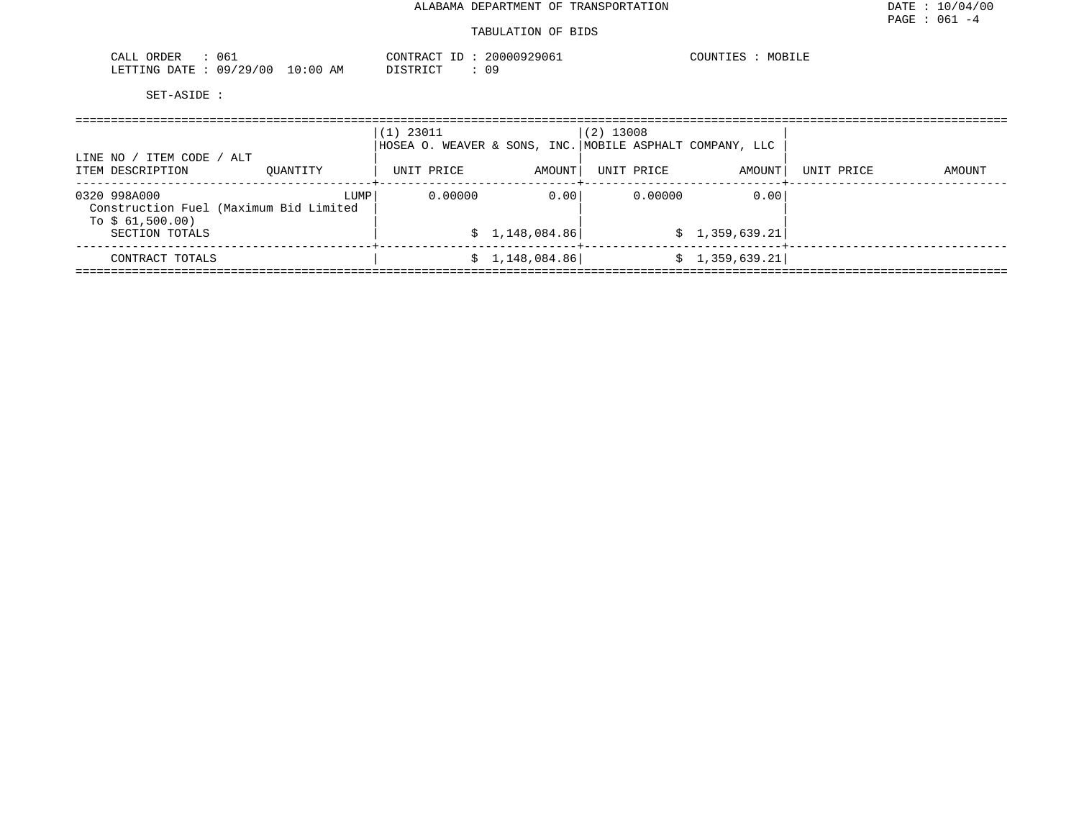#### TABULATION OF BIDS

| 061<br>ORDER<br>CALL     |            | CONTRACT<br>⊥ப | 20000929061 | COUNTIES<br>MOBILE |
|--------------------------|------------|----------------|-------------|--------------------|
| 09/29/00<br>LETTING DATE | $10:00$ AM | דים דמידי פידי |             |                    |

| LINE NO / ITEM CODE / ALT                                                  |          | $(1)$ 23011<br>HOSEA O. WEAVER & SONS, INC. MOBILE ASPHALT COMPANY, LLC |                 | $(2)$ 13008 |                |            |        |
|----------------------------------------------------------------------------|----------|-------------------------------------------------------------------------|-----------------|-------------|----------------|------------|--------|
| ITEM DESCRIPTION                                                           | OUANTITY | UNIT PRICE                                                              | AMOUNT          | UNIT PRICE  | AMOUNT         | UNIT PRICE | AMOUNT |
| 0320 998A000<br>Construction Fuel (Maximum Bid Limited<br>To $$61,500.00)$ | LUMP     | 0.00000                                                                 | 0.00            | 0.00000     | 0.00           |            |        |
| SECTION TOTALS                                                             |          |                                                                         | \$1,148,084.86  |             | \$1,359,639.21 |            |        |
| CONTRACT TOTALS                                                            |          |                                                                         | \$1,148,084.86] |             | \$1,359,639.21 |            |        |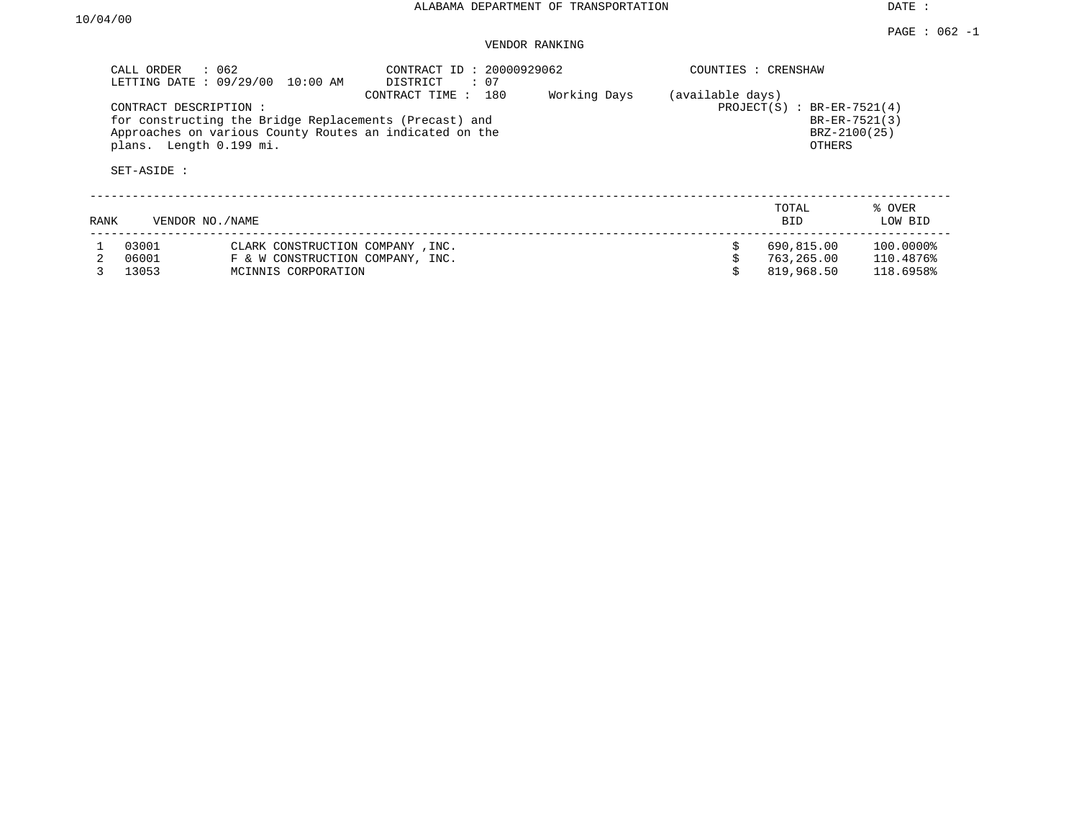DATE :

### VENDOR RANKING

|      | CALL ORDER<br>LETTING DATE: 09/29/00                            | : 062<br>10:00 AM   | CONTRACT ID: 20000929062<br>DISTRICT<br>: 07                                                                                               |              | COUNTIES : CRENSHAW |                                                      |                   |
|------|-----------------------------------------------------------------|---------------------|--------------------------------------------------------------------------------------------------------------------------------------------|--------------|---------------------|------------------------------------------------------|-------------------|
|      | CONTRACT DESCRIPTION:<br>plans. Length 0.199 mi.<br>SET-ASIDE : |                     | 180<br>CONTRACT TIME:<br>for constructing the Bridge Replacements (Precast) and<br>Approaches on various County Routes an indicated on the | Working Days | (available days)    | PROJECT(S) : BR-ER-7521(4)<br>BRZ-2100(25)<br>OTHERS | BR-ER-7521(3)     |
| RANK | VENDOR NO./NAME                                                 |                     |                                                                                                                                            |              |                     | TOTAL<br>BID.                                        | % OVER<br>LOW BID |
|      | 03001                                                           |                     | CLARK CONSTRUCTION COMPANY, INC.                                                                                                           |              |                     | 690,815.00                                           | 100.0000%         |
|      | 06001                                                           |                     | F & W CONSTRUCTION COMPANY, INC.                                                                                                           |              |                     | 763,265.00                                           | 110.4876%         |
|      | 13053                                                           | MCINNIS CORPORATION |                                                                                                                                            |              |                     | 819,968.50                                           | 118.6958%         |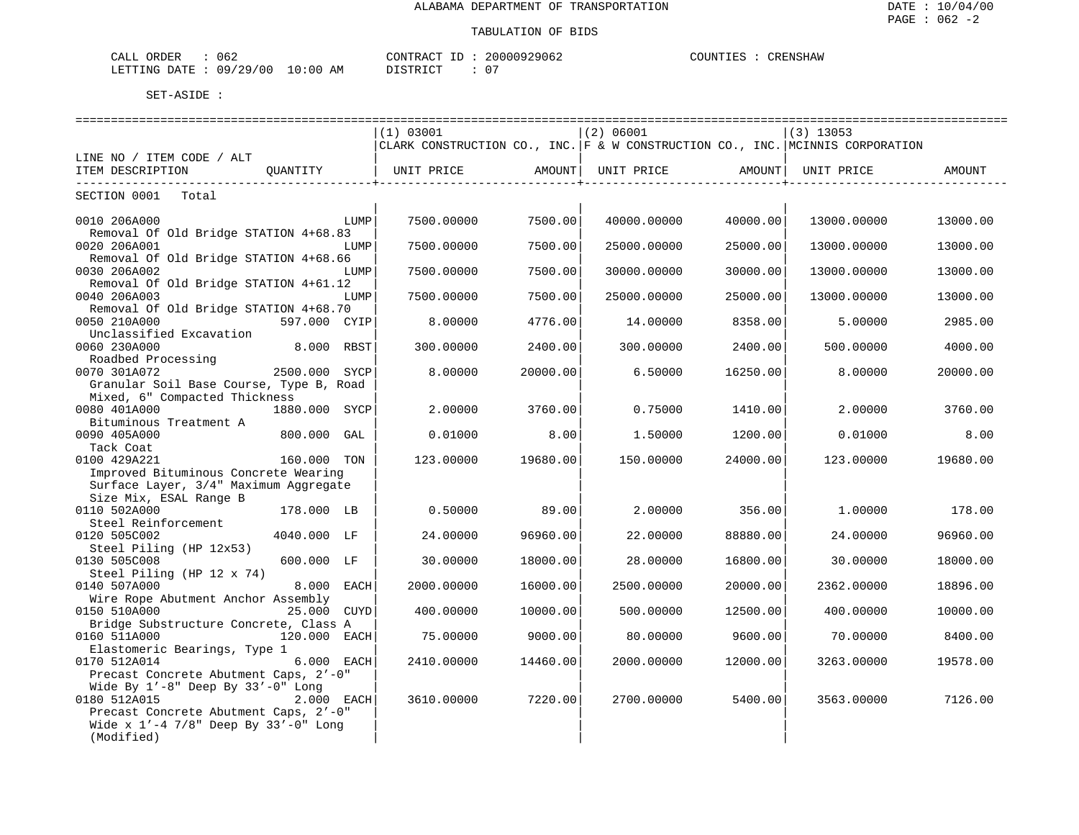| CALL ORDER                      | 062 | CONTRACT ID | 20000929062 | COUNTIES | CRENSHAW |
|---------------------------------|-----|-------------|-------------|----------|----------|
| LETTING DATE: 09/29/00 10:00 AM |     | DISTRICT    | 0.          |          |          |

|                                         | (1) 03001  |                         | (2) 06001                             |                     | $(3)$ 13053                                                                   |          |
|-----------------------------------------|------------|-------------------------|---------------------------------------|---------------------|-------------------------------------------------------------------------------|----------|
|                                         |            |                         |                                       |                     | CLARK CONSTRUCTION CO., INC. F & W CONSTRUCTION CO., INC. MCINNIS CORPORATION |          |
| LINE NO / ITEM CODE / ALT               |            |                         |                                       |                     |                                                                               |          |
| ITEM DESCRIPTION<br>OUANTITY            |            |                         | UNIT PRICE AMOUNT   UNIT PRICE AMOUNT |                     | UNIT PRICE                                                                    | AMOUNT   |
| -------------------------               |            | ----------------------- |                                       | ___________________ |                                                                               |          |
| SECTION 0001<br>Total                   |            |                         |                                       |                     |                                                                               |          |
|                                         |            |                         |                                       |                     |                                                                               |          |
| 0010 206A000<br>LUMP                    | 7500.00000 | 7500.00                 | 40000.00000                           | 40000.00            | 13000.00000                                                                   | 13000.00 |
| Removal Of Old Bridge STATION 4+68.83   |            |                         |                                       |                     |                                                                               |          |
| 0020 206A001<br>LUMP                    | 7500.00000 | 7500.00                 | 25000.00000                           | 25000.00            | 13000.00000                                                                   | 13000.00 |
| Removal Of Old Bridge STATION 4+68.66   |            |                         |                                       |                     |                                                                               |          |
| 0030 206A002<br>LUMP                    | 7500.00000 | 7500.00                 | 30000.00000                           | 30000.00            | 13000.00000                                                                   | 13000.00 |
| Removal Of Old Bridge STATION 4+61.12   |            |                         |                                       |                     |                                                                               |          |
| 0040 206A003<br>LUMP                    | 7500.00000 | 7500.00                 | 25000.00000                           | 25000.00            | 13000.00000                                                                   | 13000.00 |
| Removal Of Old Bridge STATION 4+68.70   |            |                         |                                       |                     |                                                                               |          |
| 0050 210A000<br>597.000 CYIP            | 8,00000    | 4776.00                 | 14.00000                              | 8358.00             | 5.00000                                                                       | 2985.00  |
| Unclassified Excavation                 |            |                         |                                       |                     |                                                                               |          |
| 0060 230A000<br>8.000 RBST              | 300.00000  | 2400.00                 | 300.00000                             | 2400.00             | 500.00000                                                                     | 4000.00  |
| Roadbed Processing                      |            |                         |                                       |                     |                                                                               |          |
| 0070 301A072<br>2500.000 SYCP           | 8.00000    | 20000.00                | 6.50000                               | 16250.00            | 8.00000                                                                       | 20000.00 |
| Granular Soil Base Course, Type B, Road |            |                         |                                       |                     |                                                                               |          |
| Mixed, 6" Compacted Thickness           |            |                         |                                       |                     |                                                                               |          |
| 0080 401A000<br>1880.000 SYCP           | 2.00000    | 3760.00                 | 0.75000                               | 1410.00             | 2.00000                                                                       | 3760.00  |
| Bituminous Treatment A                  |            |                         |                                       |                     |                                                                               |          |
| 0090 405A000<br>800.000 GAL             | 0.01000    | 8.00                    | 1.50000                               | 1200.00             | 0.01000                                                                       | 8.00     |
| Tack Coat                               |            |                         |                                       |                     |                                                                               |          |
| 0100 429A221<br>160.000 TON             | 123.00000  | 19680.00                | 150.00000                             | 24000.00            | 123.00000                                                                     | 19680.00 |
| Improved Bituminous Concrete Wearing    |            |                         |                                       |                     |                                                                               |          |
| Surface Layer, 3/4" Maximum Aggregate   |            |                         |                                       |                     |                                                                               |          |
| Size Mix, ESAL Range B                  |            |                         |                                       |                     |                                                                               |          |
| 0110 502A000<br>178.000 LB              | 0.50000    | 89.00                   | 2,00000                               | 356.00              | 1,00000                                                                       | 178.00   |
| Steel Reinforcement                     |            |                         |                                       |                     |                                                                               |          |
| 0120 505C002<br>4040.000 LF             | 24.00000   | 96960.00                | 22.00000                              | 88880.00            | 24.00000                                                                      | 96960.00 |
| Steel Piling (HP 12x53)                 |            |                         |                                       |                     |                                                                               |          |
| 0130 505C008<br>600.000 LF              | 30.00000   | 18000.00                | 28.00000                              | 16800.00            | 30.00000                                                                      | 18000.00 |
| Steel Piling (HP 12 x 74)               |            |                         |                                       |                     |                                                                               |          |
| 0140 507A000<br>8.000 EACH              | 2000.00000 | 16000.00                | 2500.00000                            | 20000.00            | 2362.00000                                                                    | 18896.00 |
| Wire Rope Abutment Anchor Assembly      |            |                         |                                       |                     |                                                                               |          |
| 0150 510A000<br>25.000 CUYD             | 400.00000  | 10000.00                | 500.00000                             | 12500.00            | 400.00000                                                                     | 10000.00 |
| Bridge Substructure Concrete, Class A   |            |                         |                                       |                     |                                                                               |          |
| 0160 511A000<br>120.000 EACH            | 75.00000   | 9000.00                 | 80.00000                              | 9600.00             | 70.00000                                                                      | 8400.00  |
| Elastomeric Bearings, Type 1            |            |                         |                                       |                     |                                                                               |          |
| 0170 512A014<br>6.000 EACH              | 2410.00000 | 14460.00                | 2000.00000                            | 12000.00            | 3263.00000                                                                    | 19578.00 |
| Precast Concrete Abutment Caps, 2'-0"   |            |                         |                                       |                     |                                                                               |          |
| Wide By $1'-8$ " Deep By $33'-0$ " Long |            |                         |                                       |                     |                                                                               |          |
| 0180 512A015<br>2.000 EACH              | 3610.00000 | 7220.00                 | 2700.00000                            | 5400.00             | 3563.00000                                                                    | 7126.00  |
| Precast Concrete Abutment Caps, 2'-0"   |            |                         |                                       |                     |                                                                               |          |
| Wide x $1'-4$ 7/8" Deep By 33'-0" Long  |            |                         |                                       |                     |                                                                               |          |
| (Modified)                              |            |                         |                                       |                     |                                                                               |          |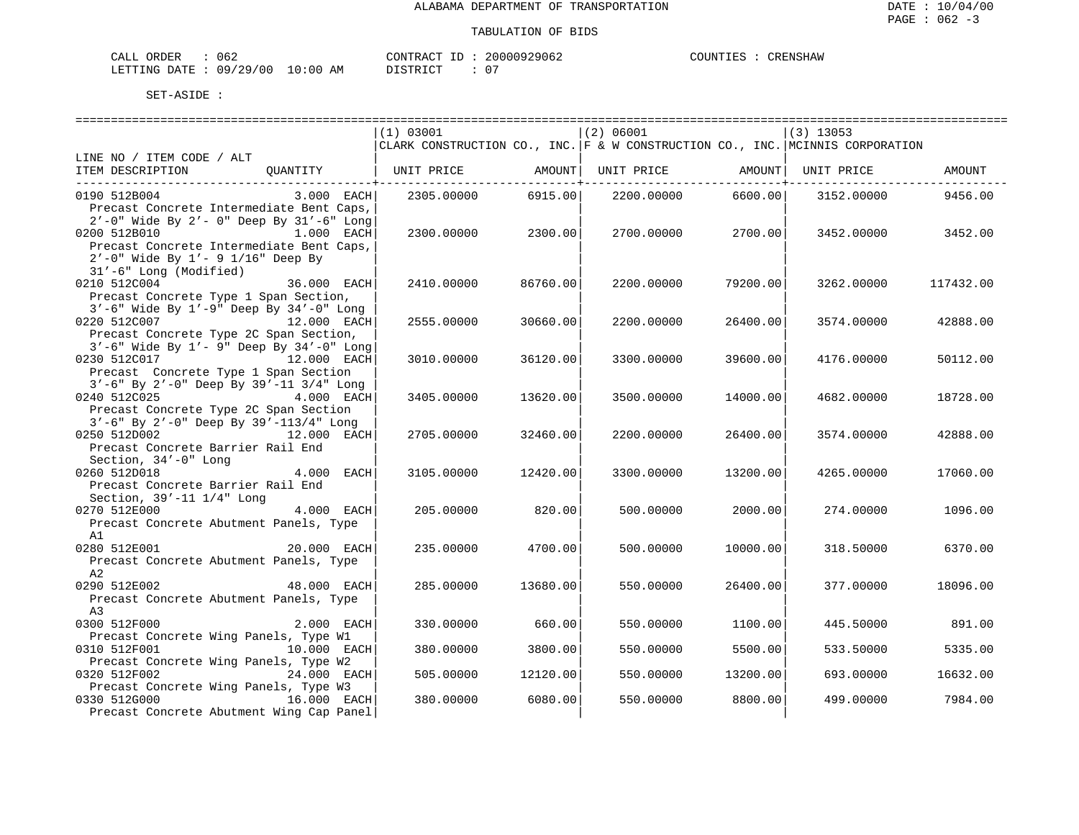| CALL ORDER                       | : 062 |  |
|----------------------------------|-------|--|
| LETTING DATE : 09/29/00 10:00 AM |       |  |

CONTRACT ID : 20000929062 DISTRICT : 07

COUNTIES : CRENSHAW

|                                                                              |            |          |            |          | ================================                                                  |           |
|------------------------------------------------------------------------------|------------|----------|------------|----------|-----------------------------------------------------------------------------------|-----------|
|                                                                              | (1) 03001  |          | (2) 06001  |          | $(3)$ 13053                                                                       |           |
|                                                                              |            |          |            |          | CLARK CONSTRUCTION CO., INC.   F & W CONSTRUCTION CO., INC.   MCINNIS CORPORATION |           |
| LINE NO / ITEM CODE / ALT                                                    |            |          |            |          |                                                                                   |           |
| ITEM DESCRIPTION CUANTITY   UNIT PRICE AMOUNT  UNIT PRICE AMOUNT  UNIT PRICE |            |          |            |          |                                                                                   | AMOUNT    |
| -------------------------------<br>0190 512B004<br>3.000 EACH                | 2305,00000 | 6915.00  | 2200.00000 | 6600.00  | 3152.00000                                                                        | 9456.00   |
| Precast Concrete Intermediate Bent Caps,                                     |            |          |            |          |                                                                                   |           |
| $2'$ -0" Wide By $2'$ - 0" Deep By $31'$ -6" Long                            |            |          |            |          |                                                                                   |           |
| 0200 512B010<br>1.000<br>EACH                                                | 2300.00000 | 2300.00  | 2700.00000 | 2700.00  | 3452.00000                                                                        | 3452.00   |
| Precast Concrete Intermediate Bent Caps,                                     |            |          |            |          |                                                                                   |           |
| $2'$ -0" Wide By 1'- 9 1/16" Deep By                                         |            |          |            |          |                                                                                   |           |
| 31'-6" Long (Modified)                                                       |            |          |            |          |                                                                                   |           |
| 0210 512C004<br>36.000 EACH                                                  | 2410.00000 | 86760.00 | 2200.00000 | 79200.00 | 3262.00000                                                                        | 117432.00 |
| Precast Concrete Type 1 Span Section,                                        |            |          |            |          |                                                                                   |           |
| $3'-6$ " Wide By $1'-9$ " Deep By $34'-0$ " Long                             |            |          |            |          |                                                                                   |           |
| 12.000 EACH<br>0220 512C007                                                  | 2555.00000 | 30660.00 | 2200.00000 | 26400.00 | 3574.00000                                                                        | 42888.00  |
| Precast Concrete Type 2C Span Section,                                       |            |          |            |          |                                                                                   |           |
| $3'-6$ " Wide By $1'-9$ " Deep By $34'-0$ " Long                             |            |          |            |          |                                                                                   |           |
| 0230 512C017 12.000 EACH                                                     | 3010.00000 | 36120.00 | 3300.00000 | 39600.00 | 4176.00000                                                                        | 50112.00  |
| Precast Concrete Type 1 Span Section                                         |            |          |            |          |                                                                                   |           |
| $3'-6$ " By $2'-0$ " Deep By $39'-11$ $3/4$ " Long                           |            |          |            |          |                                                                                   |           |
| 0240 512C025<br>$4.000$ EACH                                                 | 3405,00000 | 13620.00 | 3500.00000 | 14000.00 | 4682.00000                                                                        | 18728.00  |
| Precast Concrete Type 2C Span Section                                        |            |          |            |          |                                                                                   |           |
| 3'-6" By 2'-0" Deep By 39'-113/4" Long                                       |            |          |            |          |                                                                                   |           |
| 0250 512D002<br>12.000 EACH                                                  | 2705.00000 | 32460.00 | 2200.00000 | 26400.00 | 3574.00000                                                                        | 42888.00  |
| Precast Concrete Barrier Rail End                                            |            |          |            |          |                                                                                   |           |
| Section, 34'-0" Long                                                         |            |          |            |          |                                                                                   |           |
| 0260 512D018<br>4.000<br>EACH                                                | 3105.00000 | 12420.00 | 3300.00000 | 13200.00 | 4265.00000                                                                        | 17060.00  |
| Precast Concrete Barrier Rail End                                            |            |          |            |          |                                                                                   |           |
| Section, 39'-11 1/4" Long                                                    |            |          |            |          |                                                                                   |           |
| 0270 512E000<br>4.000 EACH                                                   | 205,00000  | 820.00   | 500.00000  | 2000.00  | 274.00000                                                                         | 1096.00   |
| Precast Concrete Abutment Panels, Type                                       |            |          |            |          |                                                                                   |           |
| A1                                                                           |            |          |            |          |                                                                                   |           |
| 0280 512E001<br>20.000 EACH                                                  | 235.00000  | 4700.00  | 500.00000  | 10000.00 | 318.50000                                                                         | 6370.00   |
| Precast Concrete Abutment Panels, Type                                       |            |          |            |          |                                                                                   |           |
| A2                                                                           |            |          |            |          |                                                                                   |           |
| 0290 512E002<br>48.000 EACH                                                  | 285.00000  | 13680.00 | 550.00000  | 26400.00 | 377.00000                                                                         | 18096.00  |
| Precast Concrete Abutment Panels, Type                                       |            |          |            |          |                                                                                   |           |
| A3                                                                           |            |          |            |          |                                                                                   |           |
| 0300 512F000<br>2.000 EACH                                                   | 330.00000  | 660.00   | 550.00000  | 1100.00  | 445.50000                                                                         | 891.00    |
| Precast Concrete Wing Panels, Type W1                                        |            |          |            |          |                                                                                   |           |
| 0310 512F001<br>10.000 EACH                                                  | 380.00000  | 3800.00  | 550.00000  | 5500.00  | 533.50000                                                                         | 5335.00   |
| Precast Concrete Wing Panels, Type W2                                        |            |          |            |          |                                                                                   |           |
| 0320 512F002<br>24.000 EACH                                                  | 505.00000  | 12120.00 | 550.00000  | 13200.00 | 693.00000                                                                         | 16632.00  |
| Precast Concrete Wing Panels, Type W3                                        |            |          |            |          |                                                                                   |           |
| 0330 512G000<br>16.000<br>EACH                                               | 380.00000  | 6080.00  | 550.00000  | 8800.00  | 499.00000                                                                         | 7984.00   |
| Precast Concrete Abutment Wing Cap Panel                                     |            |          |            |          |                                                                                   |           |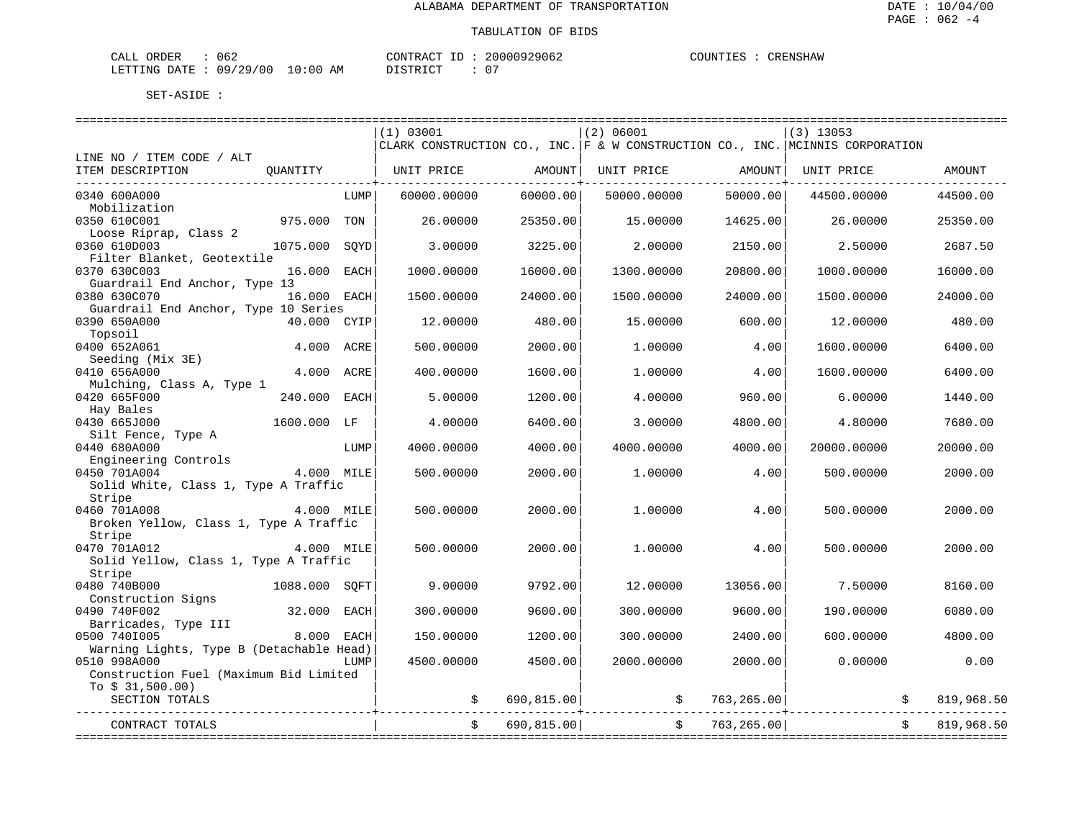| CALL ORDER                      | 062 |  | CONTRACT ID |  | 20000929062 | COUNTIES | CRENSHAW |
|---------------------------------|-----|--|-------------|--|-------------|----------|----------|
| LETTING DATE: 09/29/00 10:00 AM |     |  | DISTRICT    |  | 07          |          |          |

|                                          |             |      | (1) 03001         |             | (2) 06001         |                    | $(3)$ 13053                                                                       |            |
|------------------------------------------|-------------|------|-------------------|-------------|-------------------|--------------------|-----------------------------------------------------------------------------------|------------|
|                                          |             |      |                   |             |                   |                    | CLARK CONSTRUCTION CO., INC. $ F \& W$ CONSTRUCTION CO., INC. MCINNIS CORPORATION |            |
| LINE NO / ITEM CODE / ALT                |             |      |                   |             |                   |                    |                                                                                   |            |
| ITEM DESCRIPTION                         | OUANTITY    |      | UNIT PRICE AMOUNT |             | UNIT PRICE AMOUNT |                    | UNIT PRICE                                                                        | AMOUNT     |
| ___________________________________      |             |      |                   |             |                   | -----------------+ |                                                                                   |            |
| 0340 600A000                             |             | LUMP | 60000.00000       | 60000.00    | 50000.00000       | 50000.00           | 44500.00000                                                                       | 44500.00   |
| Mobilization                             |             |      |                   |             |                   |                    |                                                                                   |            |
| 0350 610C001                             | 975.000     | TON  | 26.00000          | 25350.00    | 15,00000          | 14625.00           | 26,00000                                                                          | 25350.00   |
| Loose Riprap, Class 2                    |             |      |                   |             |                   |                    |                                                                                   |            |
| 0360 610D003                             | 1075.000    | SOYD | 3.00000           | 3225.00     | 2.00000           | 2150.00            | 2.50000                                                                           | 2687.50    |
| Filter Blanket, Geotextile               |             |      |                   |             |                   |                    |                                                                                   |            |
| 0370 630C003                             | 16.000 EACH |      | 1000.00000        | 16000.00    | 1300.00000        | 20800.00           | 1000.00000                                                                        | 16000.00   |
| Guardrail End Anchor, Type 13            |             |      |                   |             |                   |                    |                                                                                   |            |
| 0380 630C070                             | 16.000 EACH |      | 1500.00000        | 24000.00    | 1500.00000        | 24000.00           | 1500.00000                                                                        | 24000.00   |
| Guardrail End Anchor, Type 10 Series     |             |      |                   |             |                   |                    |                                                                                   |            |
| 0390 650A000                             | 40.000 CYIP |      | 12,00000          | 480.00      | 15,00000          | 600.00             | 12,00000                                                                          | 480.00     |
| Topsoil                                  |             |      |                   |             |                   |                    |                                                                                   |            |
| 0400 652A061                             | 4.000       | ACRE | 500.00000         | 2000.00     | 1,00000           | 4.00               | 1600.00000                                                                        | 6400.00    |
| Seeding (Mix 3E)                         |             |      |                   |             |                   |                    |                                                                                   |            |
| 0410 656A000                             | 4.000 ACRE  |      | 400.00000         | 1600.00     | 1,00000           | 4.00               | 1600.00000                                                                        | 6400.00    |
| Mulching, Class A, Type 1                |             |      |                   |             |                   |                    |                                                                                   |            |
| 0420 665F000                             | 240.000     | EACH | 5.00000           | 1200.00     | 4.00000           | 960.00             | 6.00000                                                                           | 1440.00    |
| Hay Bales                                |             |      |                   |             |                   |                    |                                                                                   |            |
| 0430 665J000                             | 1600.000 LF |      | 4.00000           | 6400.00     | 3.00000           | 4800.00            | 4.80000                                                                           | 7680.00    |
| Silt Fence, Type A                       |             |      |                   |             |                   |                    |                                                                                   |            |
| 0440 680A000                             |             | LUMP | 4000.00000        | 4000.00     | 4000.00000        | 4000.00            | 20000.00000                                                                       | 20000.00   |
| Engineering Controls                     |             |      |                   |             |                   |                    |                                                                                   |            |
| 0450 701A004                             | 4.000 MILE  |      | 500.00000         | 2000.00     | 1,00000           | 4.00               | 500.00000                                                                         | 2000.00    |
| Solid White, Class 1, Type A Traffic     |             |      |                   |             |                   |                    |                                                                                   |            |
| Stripe                                   |             |      |                   |             |                   |                    |                                                                                   |            |
| 0460 701A008                             | 4.000 MILE  |      | 500.00000         | 2000.00     | 1,00000           | 4.00               | 500.00000                                                                         | 2000.00    |
| Broken Yellow, Class 1, Type A Traffic   |             |      |                   |             |                   |                    |                                                                                   |            |
| Stripe                                   |             |      |                   |             |                   |                    |                                                                                   |            |
| 0470 701A012                             | 4.000 MILE  |      | 500.00000         | 2000.00     | 1,00000           | 4.00               | 500.00000                                                                         | 2000.00    |
| Solid Yellow, Class 1, Type A Traffic    |             |      |                   |             |                   |                    |                                                                                   |            |
| Stripe                                   |             |      |                   |             |                   |                    |                                                                                   |            |
| 1088.000 SQFT<br>0480 740B000            |             |      | 9.00000           | 9792.00     | 12.00000          | 13056.00           | 7.50000                                                                           | 8160.00    |
| Construction Signs                       |             |      |                   |             |                   |                    |                                                                                   |            |
| 0490 740F002                             | 32.000      | EACH | 300.00000         | 9600.00     | 300.00000         | 9600.00            | 190.00000                                                                         | 6080.00    |
| Barricades, Type III                     |             |      |                   |             |                   |                    |                                                                                   |            |
| 0500 7401005                             | 8.000 EACH  |      | 150.00000         | 1200.00     | 300,00000         | 2400.00            | 600,00000                                                                         | 4800.00    |
| Warning Lights, Type B (Detachable Head) |             |      |                   |             |                   |                    |                                                                                   |            |
| 0510 998A000                             |             | LUMP | 4500.00000        | 4500.00     | 2000.00000        | 2000.00            | 0.00000                                                                           | 0.00       |
| Construction Fuel (Maximum Bid Limited   |             |      |                   |             |                   |                    |                                                                                   |            |
| To $$31,500.00)$                         |             |      |                   |             |                   |                    |                                                                                   |            |
| SECTION TOTALS                           |             |      | \$                | 690, 815.00 | \$763, 265.00     |                    | $\ddot{\mathsf{S}}$                                                               | 819,968.50 |
|                                          |             |      |                   |             |                   |                    |                                                                                   |            |
| CONTRACT TOTALS                          |             |      | \$                | 690,815.00  |                   | \$763, 265.00]     | $\ddot{s}$                                                                        | 819,968.50 |
|                                          |             |      |                   |             |                   |                    |                                                                                   |            |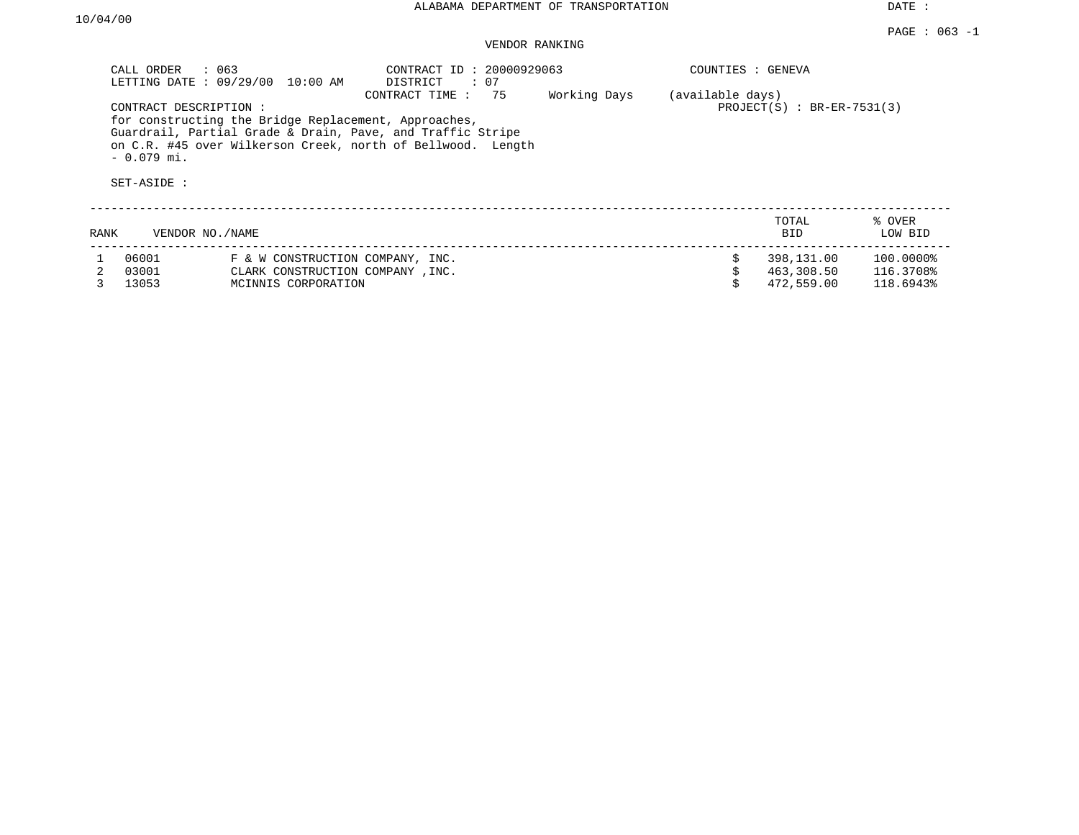DATE :

### VENDOR RANKING

|      | $\therefore$ 063<br>CALL ORDER                      | LETTING DATE : 09/29/00 10:00 AM                                                             | CONTRACT ID: 20000929063<br>: 07<br>DISTRICT                                                                                                   |              | COUNTIES : GENEVA |                                        |                                     |
|------|-----------------------------------------------------|----------------------------------------------------------------------------------------------|------------------------------------------------------------------------------------------------------------------------------------------------|--------------|-------------------|----------------------------------------|-------------------------------------|
|      | CONTRACT DESCRIPTION:<br>– 0.079 mi.<br>SET-ASIDE : | for constructing the Bridge Replacement, Approaches,                                         | CONTRACT TIME: 75<br>Guardrail, Partial Grade & Drain, Pave, and Traffic Stripe<br>on C.R. #45 over Wilkerson Creek, north of Bellwood. Length | Working Days | (available days)  | $PROJECT(S)$ : BR-ER-7531(3)           |                                     |
| RANK | VENDOR NO./NAME                                     |                                                                                              |                                                                                                                                                |              |                   | TOTAL<br><b>BID</b>                    | % OVER<br>LOW BID                   |
|      | 06001<br>03001<br>13053                             | F & W CONSTRUCTION COMPANY, INC.<br>CLARK CONSTRUCTION COMPANY , INC.<br>MCINNIS CORPORATION |                                                                                                                                                |              | S                 | 398,131.00<br>463,308.50<br>472,559.00 | 100.0000%<br>116.3708%<br>118.6943% |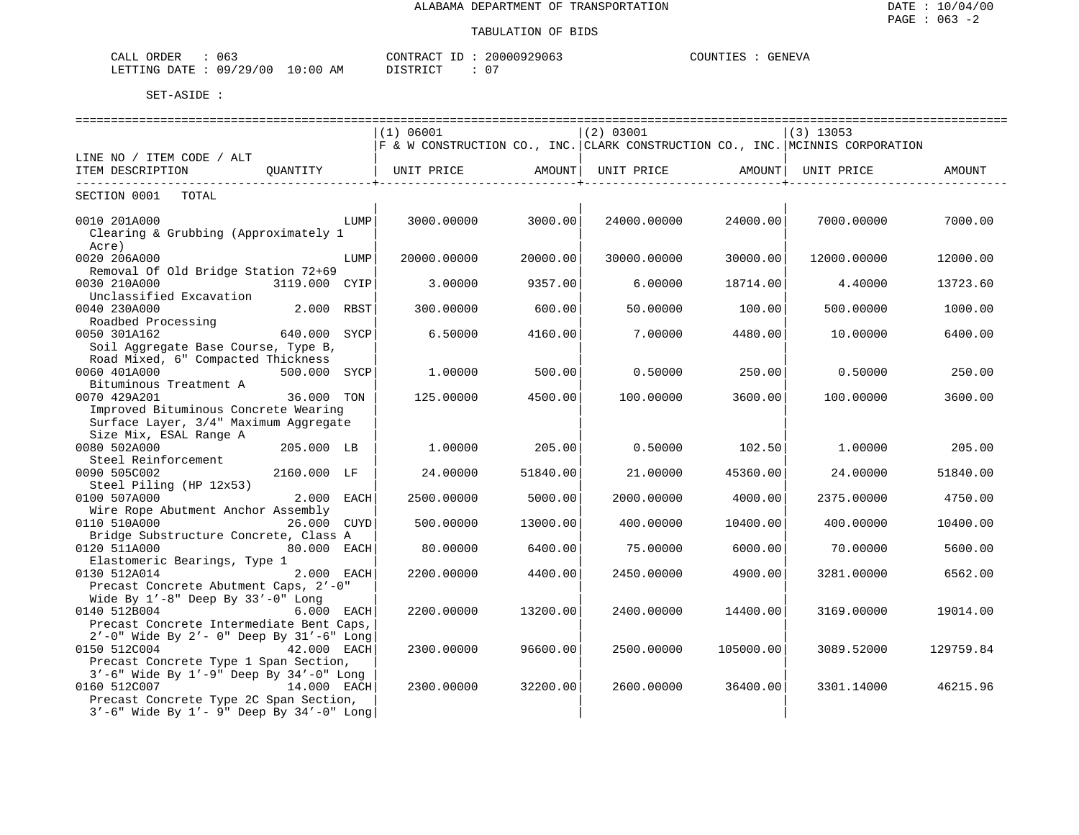| ORDER<br>CALL               | 063 |            | CONTRACT ID: | 20000929063  | COUNTIES | GENEVA |
|-----------------------------|-----|------------|--------------|--------------|----------|--------|
| LETTING DATE : $09/29/00$ 1 |     | $10:00$ AM | DISTRICT     | $\mathbf{v}$ |          |        |

| --------------------------------                  |               |      |                   |                                |                   |                              |                                                                               |           |  |  |  |
|---------------------------------------------------|---------------|------|-------------------|--------------------------------|-------------------|------------------------------|-------------------------------------------------------------------------------|-----------|--|--|--|
|                                                   |               |      | (1) 06001         |                                | (2) 03001         |                              | $(3)$ 13053                                                                   |           |  |  |  |
|                                                   |               |      |                   |                                |                   |                              | F & W CONSTRUCTION CO., INC. CLARK CONSTRUCTION CO., INC. MCINNIS CORPORATION |           |  |  |  |
| LINE NO / ITEM CODE / ALT                         |               |      |                   |                                |                   |                              |                                                                               |           |  |  |  |
| ITEM DESCRIPTION QUANTITY                         |               |      | UNIT PRICE AMOUNT | --------------------+--------- | UNIT PRICE AMOUNT | ---------------------------- | UNIT PRICE<br>-------------                                                   | AMOUNT    |  |  |  |
| SECTION 0001 TOTAL                                |               |      |                   |                                |                   |                              |                                                                               |           |  |  |  |
| 0010 201A000                                      |               | LUMP | 3000.00000        | 3000.00                        | 24000.00000       | 24000.001                    | 7000.00000                                                                    | 7000.00   |  |  |  |
| Clearing & Grubbing (Approximately 1<br>Acre)     |               |      |                   |                                |                   |                              |                                                                               |           |  |  |  |
| 0020 206A000                                      |               | LUMP | 20000.00000       | 20000.00                       | 30000.00000       | 30000.00                     | 12000.00000                                                                   | 12000.00  |  |  |  |
| Removal Of Old Bridge Station 72+69               |               |      |                   |                                |                   |                              |                                                                               |           |  |  |  |
| 0030 210A000                                      | 3119.000 CYIP |      | 3.00000           | 9357.00                        | 6.00000           | 18714.00                     | 4.40000                                                                       | 13723.60  |  |  |  |
| Unclassified Excavation                           |               |      |                   |                                |                   |                              |                                                                               |           |  |  |  |
| 0040 230A000                                      | 2.000 RBST    |      | 300.00000         | 600.00                         | 50.00000          | 100.00                       | 500.00000                                                                     | 1000.00   |  |  |  |
| Roadbed Processing                                |               |      |                   |                                |                   |                              |                                                                               |           |  |  |  |
| 0050 301A162                                      | 640.000 SYCP  |      | 6.50000           | 4160.00                        | 7.00000           | 4480.00                      | 10.00000                                                                      | 6400.00   |  |  |  |
| Soil Aggregate Base Course, Type B,               |               |      |                   |                                |                   |                              |                                                                               |           |  |  |  |
| Road Mixed, 6" Compacted Thickness                |               |      |                   |                                |                   |                              |                                                                               |           |  |  |  |
| 0060 401A000                                      | 500.000 SYCP  |      | 1,00000           | 500.00                         | 0.50000           | 250.00                       | 0.50000                                                                       | 250.00    |  |  |  |
| Bituminous Treatment A                            |               |      |                   |                                |                   |                              |                                                                               |           |  |  |  |
| 0070 429A201                                      | 36.000 TON    |      | 125,00000         | 4500.00                        | 100,00000         | 3600.00                      | 100.00000                                                                     | 3600.00   |  |  |  |
| Improved Bituminous Concrete Wearing              |               |      |                   |                                |                   |                              |                                                                               |           |  |  |  |
| Surface Layer, 3/4" Maximum Aggregate             |               |      |                   |                                |                   |                              |                                                                               |           |  |  |  |
| Size Mix, ESAL Range A                            |               |      |                   |                                |                   |                              |                                                                               |           |  |  |  |
| 0080 502A000                                      | 205.000 LB    |      | 1.00000           | 205.00                         | 0.50000           | 102.50                       | 1.00000                                                                       | 205.00    |  |  |  |
| Steel Reinforcement                               |               |      |                   |                                |                   |                              |                                                                               |           |  |  |  |
| 0090 505C002                                      | 2160.000 LF   |      | 24,00000          | 51840.00                       | 21,00000          | 45360.00                     | 24.00000                                                                      | 51840.00  |  |  |  |
| Steel Piling (HP 12x53)                           |               |      |                   |                                |                   |                              |                                                                               |           |  |  |  |
| 0100 507A000                                      | 2.000 EACH    |      | 2500.00000        | 5000.00                        | 2000.00000        | 4000.00                      | 2375.00000                                                                    | 4750.00   |  |  |  |
| Wire Rope Abutment Anchor Assembly                |               |      |                   |                                |                   |                              |                                                                               |           |  |  |  |
| 0110 510A000                                      | 26.000 CUYD   |      | 500,00000         | 13000.00                       | 400.00000         | 10400.00                     | 400.00000                                                                     | 10400.00  |  |  |  |
| Bridge Substructure Concrete, Class A             |               |      |                   |                                |                   |                              |                                                                               |           |  |  |  |
| 0120 511A000                                      | 80.000 EACH   |      | 80,00000          | 6400.00                        | 75.00000          | 6000.00                      | 70.00000                                                                      | 5600.00   |  |  |  |
| Elastomeric Bearings, Type 1                      |               |      |                   |                                |                   |                              |                                                                               |           |  |  |  |
| 0130 512A014                                      | 2.000 EACH    |      | 2200.00000        | 4400.00                        | 2450.00000        | 4900.00                      | 3281,00000                                                                    | 6562.00   |  |  |  |
| Precast Concrete Abutment Caps, 2'-0"             |               |      |                   |                                |                   |                              |                                                                               |           |  |  |  |
| Wide By $1'-8$ " Deep By $33'-0$ " Long           |               |      |                   |                                |                   |                              |                                                                               |           |  |  |  |
| 0140 512B004                                      | 6.000 EACH    |      | 2200.00000        | 13200.00                       | 2400.00000        | 14400.00                     | 3169.00000                                                                    | 19014.00  |  |  |  |
| Precast Concrete Intermediate Bent Caps,          |               |      |                   |                                |                   |                              |                                                                               |           |  |  |  |
| 2'-0" Wide By 2'- 0" Deep By 31'-6" Long          |               |      |                   |                                |                   |                              |                                                                               |           |  |  |  |
| 42.000 EACH<br>0150 512C004                       |               |      | 2300.00000        | 96600.00                       | 2500.00000        | 105000.00                    | 3089.52000                                                                    | 129759.84 |  |  |  |
| Precast Concrete Type 1 Span Section,             |               |      |                   |                                |                   |                              |                                                                               |           |  |  |  |
| 3'-6" Wide By 1'-9" Deep By 34'-0" Long           |               |      |                   |                                |                   |                              |                                                                               |           |  |  |  |
| 0160 512C007                                      | 14.000 EACH   |      | 2300.00000        | 32200.00                       | 2600.00000        | 36400.00                     | 3301.14000                                                                    | 46215.96  |  |  |  |
| Precast Concrete Type 2C Span Section,            |               |      |                   |                                |                   |                              |                                                                               |           |  |  |  |
| $3'$ -6" Wide By $1'$ - 9" Deep By $34'$ -0" Long |               |      |                   |                                |                   |                              |                                                                               |           |  |  |  |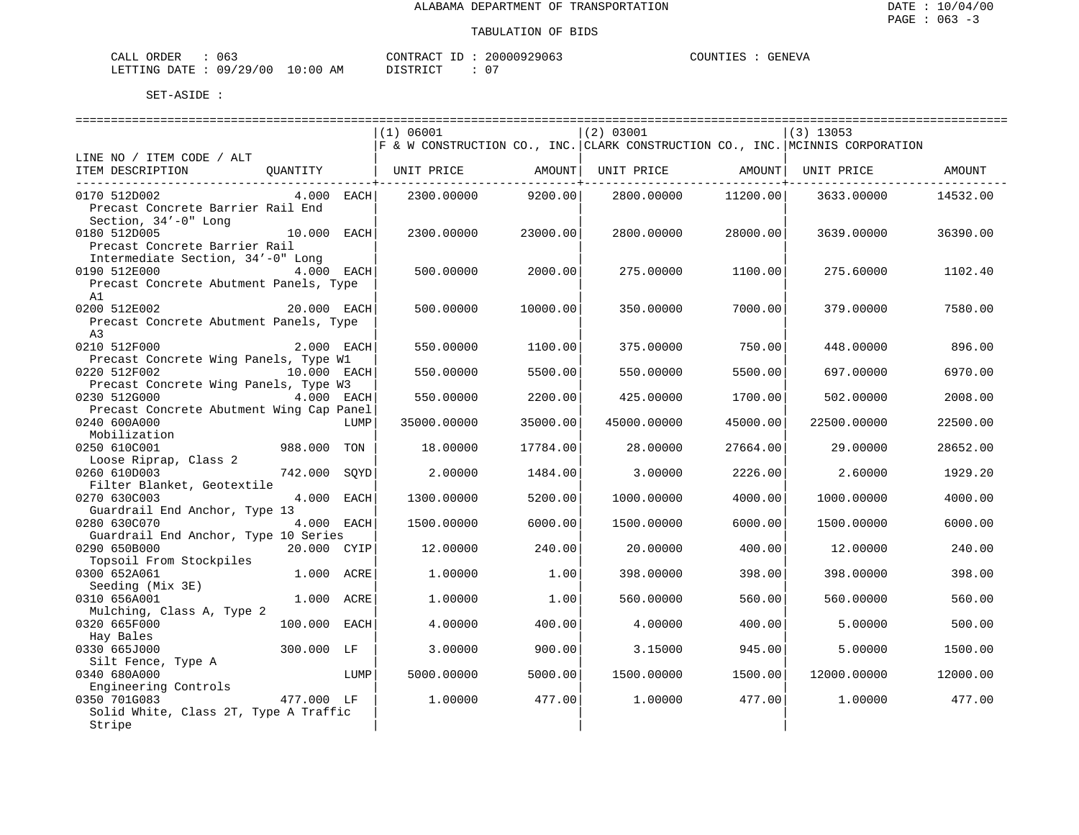| ORDER<br>CALL | 063      |             | CONTRACT        | $ -$ | 20000929063 | <b>COUNTIES</b> | GENEVA |
|---------------|----------|-------------|-----------------|------|-------------|-----------------|--------|
| LETTING DATE  | 09/29/00 | 10:00<br>AM | חי חי חידו פידי |      | ∩ ⊤         |                 |        |

|                                          |               |      | (1) 06001   |          | (2) 03001   |          | $(3)$ 13053                                                                   |          |
|------------------------------------------|---------------|------|-------------|----------|-------------|----------|-------------------------------------------------------------------------------|----------|
|                                          |               |      |             |          |             |          | F & W CONSTRUCTION CO., INC. CLARK CONSTRUCTION CO., INC. MCINNIS CORPORATION |          |
| LINE NO / ITEM CODE / ALT                |               |      |             |          |             |          |                                                                               |          |
| ITEM DESCRIPTION                         | OUANTITY      |      | UNIT PRICE  | AMOUNT   | UNIT PRICE  | AMOUNT   | UNIT PRICE                                                                    | AMOUNT   |
|                                          |               |      |             |          |             |          |                                                                               |          |
| 0170 512D002                             | 4.000 EACH    |      | 2300.00000  | 9200.00  | 2800.00000  | 11200.00 | 3633.00000                                                                    | 14532.00 |
| Precast Concrete Barrier Rail End        |               |      |             |          |             |          |                                                                               |          |
| Section, 34'-0" Long                     |               |      |             |          |             |          |                                                                               |          |
| 0180 512D005                             | 10.000 EACH   |      | 2300.00000  | 23000.00 | 2800.00000  | 28000.00 | 3639.00000                                                                    | 36390.00 |
| Precast Concrete Barrier Rail            |               |      |             |          |             |          |                                                                               |          |
| Intermediate Section, 34'-0" Long        |               |      |             |          |             |          |                                                                               |          |
| 0190 512E000                             | 4.000 EACH    |      | 500.00000   | 2000.00  | 275.00000   | 1100.00  | 275.60000                                                                     | 1102.40  |
| Precast Concrete Abutment Panels, Type   |               |      |             |          |             |          |                                                                               |          |
| A1                                       |               |      |             |          |             |          |                                                                               |          |
| 0200 512E002                             | $20.000$ EACH |      | 500.00000   | 10000.00 | 350.00000   | 7000.00  | 379.00000                                                                     | 7580.00  |
| Precast Concrete Abutment Panels, Type   |               |      |             |          |             |          |                                                                               |          |
| A3                                       |               |      |             |          |             |          |                                                                               |          |
| 0210 512F000                             | 2.000 EACH    |      | 550.00000   | 1100.00  | 375.00000   | 750.00   | 448.00000                                                                     | 896.00   |
| Precast Concrete Wing Panels, Type W1    |               |      |             |          |             |          |                                                                               |          |
| 0220 512F002                             | 10.000 EACH   |      | 550.00000   | 5500.00  | 550.00000   | 5500.00  | 697.00000                                                                     | 6970.00  |
| Precast Concrete Wing Panels, Type W3    |               |      |             |          |             |          |                                                                               |          |
| 0230 512G000                             | 4.000         | EACH | 550.00000   | 2200.00  | 425.00000   | 1700.00  | 502.00000                                                                     | 2008.00  |
| Precast Concrete Abutment Wing Cap Panel |               |      |             |          |             |          |                                                                               |          |
| 0240 600A000                             |               | LUMP | 35000.00000 | 35000.00 | 45000.00000 | 45000.00 | 22500.00000                                                                   | 22500.00 |
| Mobilization                             |               |      |             |          |             |          |                                                                               |          |
| 0250 610C001                             | 988.000       | TON  | 18,00000    | 17784.00 | 28,00000    | 27664.00 | 29.00000                                                                      | 28652.00 |
| Loose Riprap, Class 2                    |               |      |             |          |             |          |                                                                               |          |
| 0260 610D003                             | 742.000 SOYD  |      | 2.00000     | 1484.00  | 3.00000     | 2226.00  | 2.60000                                                                       | 1929.20  |
| Filter Blanket, Geotextile               |               |      |             |          |             |          |                                                                               |          |
| 0270 630C003                             | 4.000 EACH    |      | 1300.00000  | 5200.00  | 1000.00000  | 4000.00  | 1000.00000                                                                    | 4000.00  |
| Guardrail End Anchor, Type 13            |               |      |             |          |             |          |                                                                               |          |
| 0280 630C070                             | 4.000 EACH    |      | 1500.00000  | 6000.00  | 1500.00000  | 6000.00  | 1500.00000                                                                    | 6000.00  |
| Guardrail End Anchor, Type 10 Series     |               |      |             |          |             |          |                                                                               |          |
| 0290 650B000                             | 20.000 CYIP   |      | 12,00000    | 240.00   | 20,00000    | 400.00   | 12,00000                                                                      | 240.00   |
| Topsoil From Stockpiles                  |               |      |             |          |             |          |                                                                               |          |
| 0300 652A061                             | 1.000 ACRE    |      | 1,00000     | 1.00     | 398.00000   | 398.00   | 398.00000                                                                     | 398.00   |
| Seeding (Mix 3E)                         |               |      |             |          |             |          |                                                                               |          |
| 0310 656A001                             | 1.000 ACRE    |      | 1,00000     | 1.00     | 560.00000   | 560.00   | 560.00000                                                                     | 560.00   |
| Mulching, Class A, Type 2                |               |      |             |          |             |          |                                                                               |          |
| 0320 665F000                             | 100.000       | EACH | 4.00000     | 400.00   | 4.00000     | 400.00   | 5.00000                                                                       | 500.00   |
| Hay Bales                                |               |      |             |          |             |          |                                                                               |          |
| 0330 665J000                             | 300.000 LF    |      | 3.00000     | 900.00   | 3.15000     | 945.00   | 5,00000                                                                       | 1500.00  |
| Silt Fence, Type A                       |               |      |             |          |             |          |                                                                               |          |
| 0340 680A000                             |               | LUMP | 5000.00000  | 5000.00  | 1500.00000  | 1500.00  | 12000.00000                                                                   | 12000.00 |
| Engineering Controls                     |               |      |             |          |             |          |                                                                               |          |
| 0350 701G083                             | 477.000 LF    |      | 1,00000     | 477.00   | 1,00000     | 477.00   | 1,00000                                                                       | 477.00   |
| Solid White, Class 2T, Type A Traffic    |               |      |             |          |             |          |                                                                               |          |
| Stripe                                   |               |      |             |          |             |          |                                                                               |          |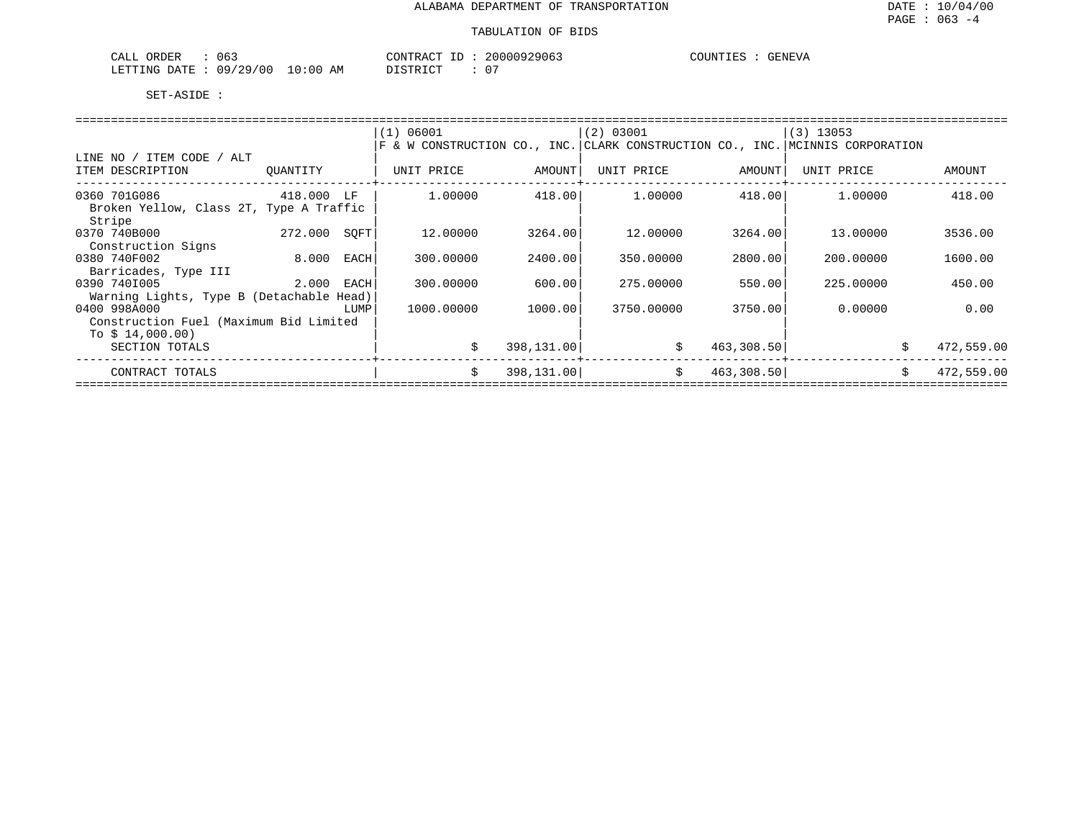| 063<br>ORDER<br>CALL                    | 20000929063<br>CONTRACT<br>$- -$      | GENEVA<br>COUNTIES |
|-----------------------------------------|---------------------------------------|--------------------|
| 09/29/00<br>10:00<br>LETTING DATE<br>ΆM | $\sim$<br>דת לידי את ה<br>v<br>------ |                    |

|                                          |          |      | (1) 06001                                                                     |            | (2) 03001  |            | $(3)$ 13053 |                  |  |  |  |
|------------------------------------------|----------|------|-------------------------------------------------------------------------------|------------|------------|------------|-------------|------------------|--|--|--|
|                                          |          |      | F & W CONSTRUCTION CO., INC. CLARK CONSTRUCTION CO., INC. MCINNIS CORPORATION |            |            |            |             |                  |  |  |  |
| LINE NO / ITEM CODE / ALT                |          |      |                                                                               |            |            |            |             |                  |  |  |  |
| ITEM DESCRIPTION                         | OUANTITY |      | UNIT PRICE                                                                    | AMOUNT     | UNIT PRICE | AMOUNT     | UNIT PRICE  | AMOUNT           |  |  |  |
|                                          |          |      |                                                                               |            |            |            |             |                  |  |  |  |
| 0360 701G086                             | 418.000  | LF   | 1,00000                                                                       | 418.00     | 1,00000    | 418.00     | 1.00000     | 418.00           |  |  |  |
| Broken Yellow, Class 2T, Type A Traffic  |          |      |                                                                               |            |            |            |             |                  |  |  |  |
| Stripe                                   |          |      |                                                                               |            |            |            |             |                  |  |  |  |
| 0370 740B000                             | 272.000  | SOFT | 12,00000                                                                      | 3264.00    | 12,00000   | 3264.00    | 13,00000    | 3536.00          |  |  |  |
| Construction Signs                       |          |      |                                                                               |            |            |            |             |                  |  |  |  |
| 0380 740F002                             | 8.000    | EACH | 300,00000                                                                     | 2400.00    | 350.00000  | 2800.00    | 200.00000   | 1600.00          |  |  |  |
| Barricades, Type III                     |          |      |                                                                               |            |            |            |             |                  |  |  |  |
| 0390 7401005                             | 2.000    | EACH | 300,00000                                                                     | 600.00     | 275,00000  | 550.00     | 225,00000   | 450.00           |  |  |  |
| Warning Lights, Type B (Detachable Head) |          |      |                                                                               |            |            |            |             |                  |  |  |  |
| 0400 998A000                             |          | LUMP | 1000.00000                                                                    | 1000.00    | 3750.00000 | 3750.00    | 0.00000     | 0.00             |  |  |  |
| Construction Fuel (Maximum Bid Limited   |          |      |                                                                               |            |            |            |             |                  |  |  |  |
| To $$14,000.00)$                         |          |      |                                                                               |            |            |            |             |                  |  |  |  |
| SECTION TOTALS                           |          |      | \$                                                                            | 398,131.00 | \$         | 463,308.50 |             | 472,559.00<br>\$ |  |  |  |
| CONTRACT TOTALS                          |          |      | \$                                                                            | 398,131.00 | \$         | 463,308.50 |             | 472,559.00<br>Ŝ  |  |  |  |
|                                          |          |      |                                                                               |            |            |            |             |                  |  |  |  |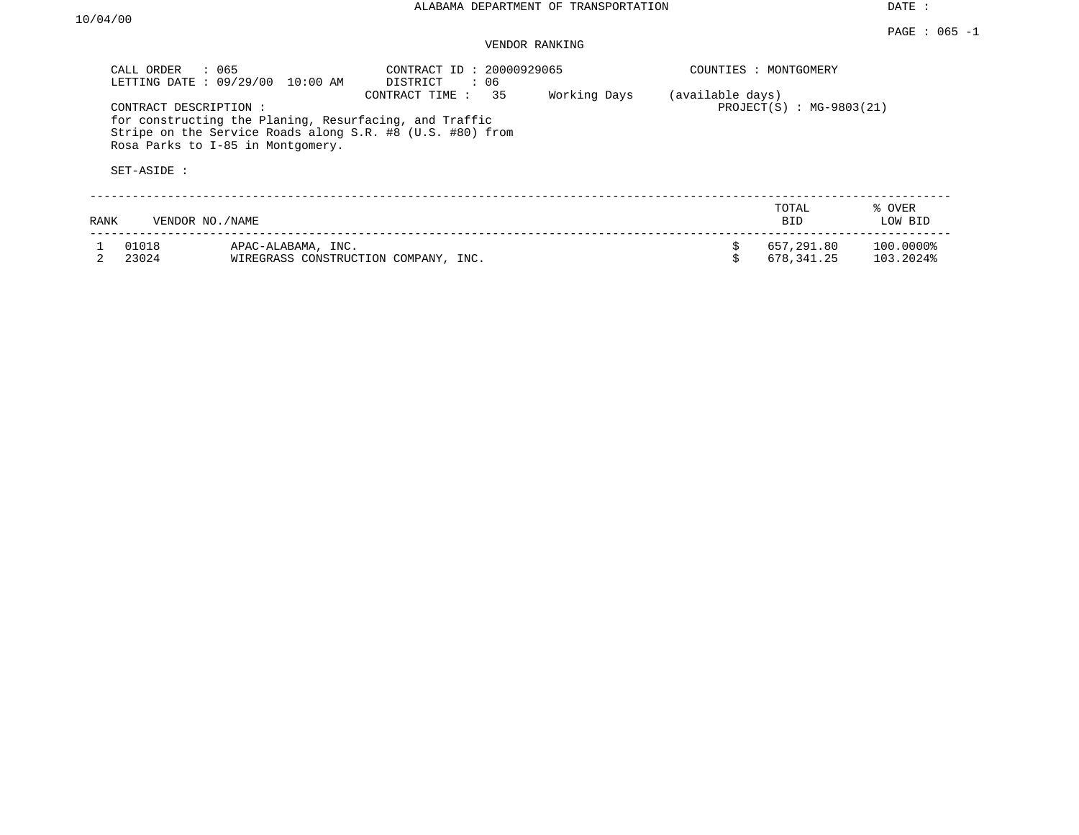DATE :

#### PAGE : 065 -1 VENDOR RANKING

|      | CALL ORDER<br>: 065<br>LETTING DATE: 09/29/00<br>10:00 AM                                                                                                                                        | CONTRACT ID: 20000929065<br>DISTRICT<br>: 06 |                                                | COUNTIES : MONTGOMERY    |                        |  |  |
|------|--------------------------------------------------------------------------------------------------------------------------------------------------------------------------------------------------|----------------------------------------------|------------------------------------------------|--------------------------|------------------------|--|--|
|      | CONTRACT DESCRIPTION:<br>for constructing the Planing, Resurfacing, and Traffic<br>Stripe on the Service Roads along S.R. #8 (U.S. #80) from<br>Rosa Parks to I-85 in Montgomery.<br>SET-ASIDE : | Working Days                                 | (available days)<br>$PROJECT(S) : MG-9803(21)$ |                          |                        |  |  |
|      |                                                                                                                                                                                                  |                                              |                                                |                          |                        |  |  |
| RANK | VENDOR NO./NAME                                                                                                                                                                                  |                                              |                                                | TOTAL<br><b>BID</b>      | % OVER<br>LOW BID      |  |  |
|      | 01018<br>APAC-ALABAMA, INC.<br>23024                                                                                                                                                             | WIREGRASS CONSTRUCTION COMPANY, INC.         |                                                | 657,291.80<br>678,341.25 | 100.0000%<br>103.2024% |  |  |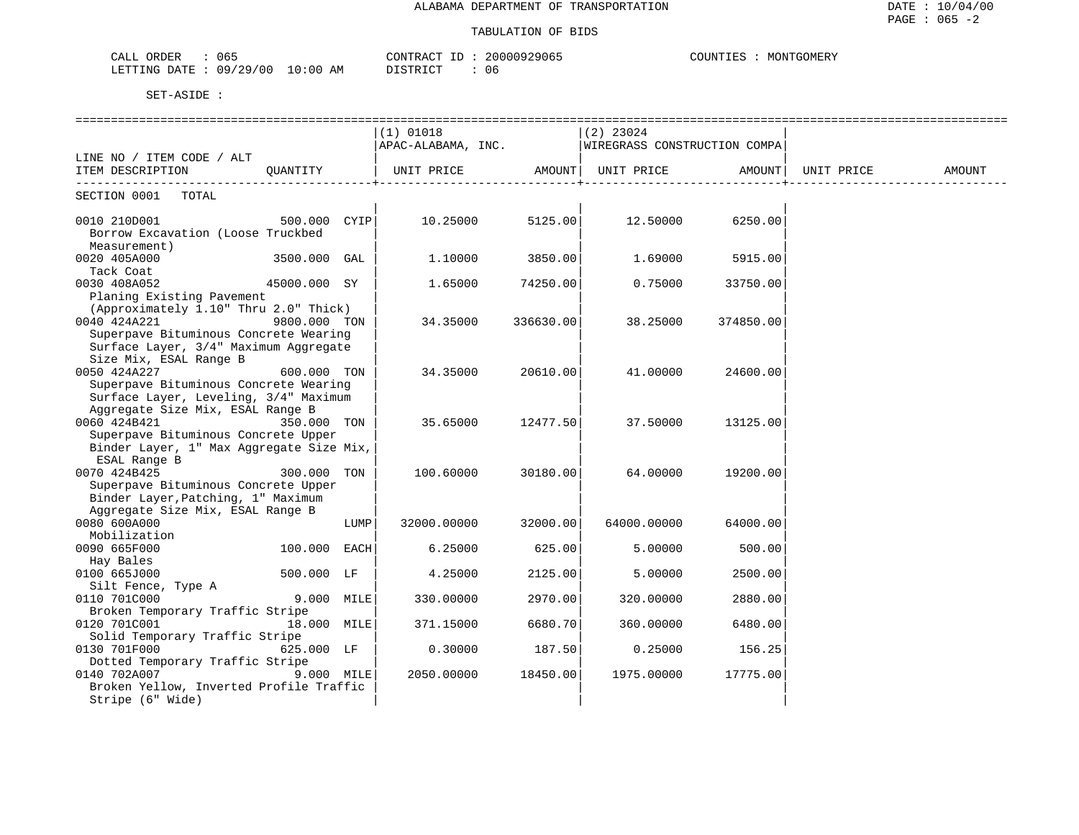| 065<br>CALL<br>ORDER     | CONTRACT                              | 20000929065 | MONTGOMERY<br>COUNTIES |
|--------------------------|---------------------------------------|-------------|------------------------|
| 09/29/00<br>LETTING DATE | 10:00<br>AΜ<br>די היה די הי<br>------ | 06          |                        |

|                                                                                                                                                       |                |      | $(1)$ 01018                                     |           | $(2)$ 23024 |                  |            |        |
|-------------------------------------------------------------------------------------------------------------------------------------------------------|----------------|------|-------------------------------------------------|-----------|-------------|------------------|------------|--------|
|                                                                                                                                                       |                |      | APAC-ALABAMA, INC. WIREGRASS CONSTRUCTION COMPA |           |             |                  |            |        |
| LINE NO / ITEM CODE / ALT<br>ITEM DESCRIPTION                                                                                                         | OUANTITY       |      | UNIT PRICE AMOUNT  UNIT PRICE AMOUNT            |           |             |                  | UNIT PRICE | AMOUNT |
| SECTION 0001 TOTAL                                                                                                                                    |                |      |                                                 |           |             |                  |            |        |
| 0010 210D001<br>Borrow Excavation (Loose Truckbed<br>Measurement)                                                                                     | 500.000 CYIP   |      | 10.25000                                        | 5125.00   |             | 12.50000 6250.00 |            |        |
| 0020 405A000<br>Tack Coat                                                                                                                             | 3500.000 GAL   |      | 1,10000                                         | 3850.00   | 1.69000     | 5915.00          |            |        |
| 0030 408A052<br>Planing Existing Pavement                                                                                                             | 45000.000 SY   |      | 1.65000                                         | 74250.00  | 0.75000     | 33750.00         |            |        |
| (Approximately 1.10" Thru 2.0" Thick)<br>0040 424A221<br>Superpave Bituminous Concrete Wearing<br>Surface Layer, 3/4" Maximum Aggregate               | 9800.000 TON   |      | 34.35000                                        | 336630.00 | 38.25000    | 374850.00        |            |        |
| Size Mix, ESAL Range B<br>0050 424A227<br>Superpave Bituminous Concrete Wearing<br>Surface Layer, Leveling, 3/4" Maximum                              | 600.000 TON    |      | 34.35000                                        | 20610.00  | 41,00000    | 24600.00         |            |        |
| Aggregate Size Mix, ESAL Range B<br>0060 424B421<br>Superpave Bituminous Concrete Upper                                                               | 350.000 TON    |      | 35.65000                                        | 12477.50  | 37.50000    | 13125.00         |            |        |
| Binder Layer, 1" Max Aggregate Size Mix,<br>ESAL Range B<br>0070 424B425<br>Superpave Bituminous Concrete Upper<br>Binder Layer, Patching, 1" Maximum | 300.000 TON    |      | 100.60000                                       | 30180.00  | 64.00000    | 19200.00         |            |        |
| Aggregate Size Mix, ESAL Range B<br>0080 600A000<br>Mobilization                                                                                      |                | LUMP | 32000.00000                                     | 32000.00  | 64000.00000 | 64000.00         |            |        |
| 0090 665F000<br>Hay Bales                                                                                                                             | $100.000$ EACH |      | 6.25000                                         | 625.00    | 5.00000     | 500.00           |            |        |
| 0100 665J000<br>Silt Fence, Type A                                                                                                                    | 500.000 LF     |      | 4.25000                                         | 2125.00   | 5.00000     | 2500.00          |            |        |
| 0110 701C000                                                                                                                                          | 9.000 MILE     |      | 330.00000                                       | 2970.00   | 320.00000   | 2880.00          |            |        |
| Broken Temporary Traffic Stripe<br>0120 701C001                                                                                                       | 18.000 MILE    |      | 371.15000                                       | 6680.70   | 360.00000   | 6480.00          |            |        |
| Solid Temporary Traffic Stripe<br>0130 701F000                                                                                                        | 625.000 LF     |      | 0.30000                                         | 187.50    | 0.25000     | 156.25           |            |        |
| Dotted Temporary Traffic Stripe<br>0140 702A007<br>Broken Yellow, Inverted Profile Traffic<br>Stripe (6" Wide)                                        | 9.000 MILE     |      | 2050.00000                                      | 18450.00  | 1975.00000  | 17775.00         |            |        |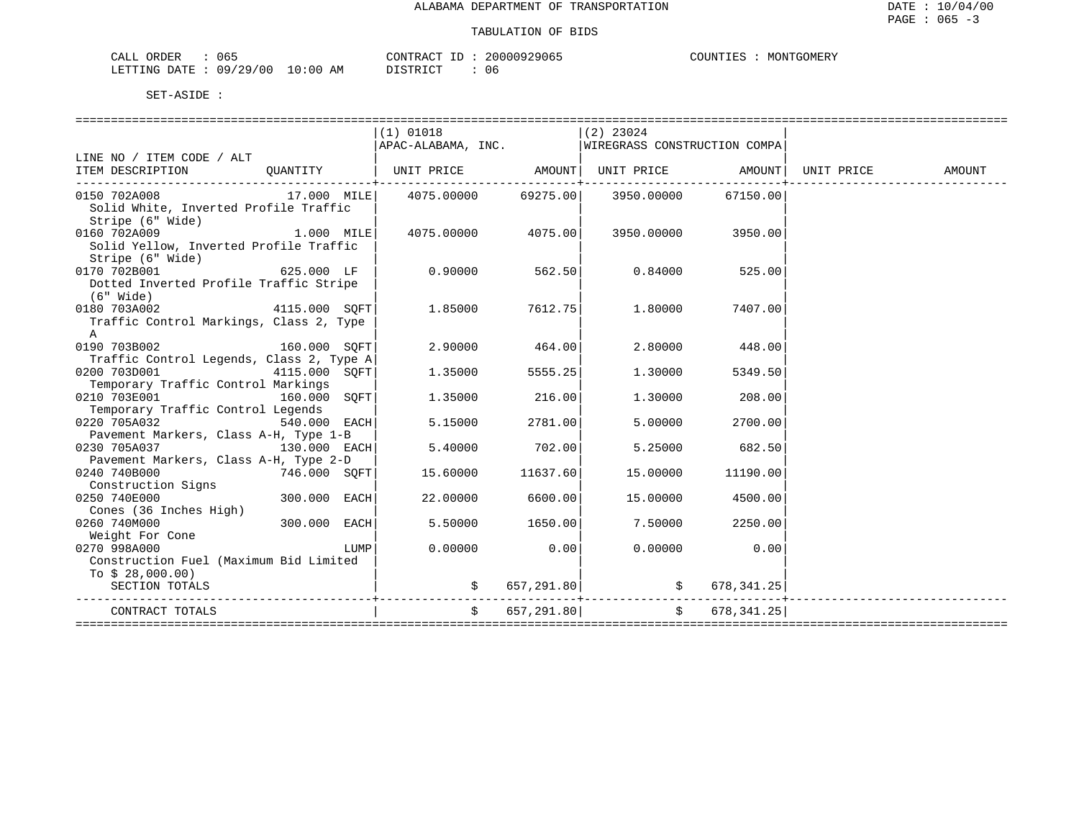| CALL ORDER                      | 065 |          | CONTRACT ID: 20000929065 | COUNTIES : MONTGOMERY |
|---------------------------------|-----|----------|--------------------------|-----------------------|
| LETTING DATE: 09/29/00 10:00 AM |     | DISTRICT |                          |                       |

|                                                                                                                   |                |      | $(1)$ 01018                                     |                | $(2)$ 23024                            |                  |        |
|-------------------------------------------------------------------------------------------------------------------|----------------|------|-------------------------------------------------|----------------|----------------------------------------|------------------|--------|
|                                                                                                                   |                |      | APAC-ALABAMA, INC. WIREGRASS CONSTRUCTION COMPA |                |                                        |                  |        |
| LINE NO / ITEM CODE / ALT                                                                                         |                |      |                                                 |                |                                        |                  |        |
| ITEM DESCRIPTION OUANTITY   UNIT PRICE AMOUNT  UNIT PRICE AMOUNT  UNIT PRICE<br>--------------------------------- |                |      |                                                 |                | -------+------------------------------ |                  | AMOUNT |
| 0150 702A008 17.000 MILE 4075.00000 69275.00 3950.00000                                                           |                |      |                                                 |                |                                        | 67150.00         |        |
| Solid White, Inverted Profile Traffic                                                                             |                |      |                                                 |                |                                        |                  |        |
| Stripe (6" Wide)                                                                                                  |                |      |                                                 |                |                                        |                  |        |
| 0160 702A009<br>1.000 MILE                                                                                        |                |      | $4075.00000$ $4075.00$ 3950.00000 3950.00       |                |                                        |                  |        |
| Solid Yellow, Inverted Profile Traffic                                                                            |                |      |                                                 |                |                                        |                  |        |
| Stripe (6" Wide)                                                                                                  |                |      |                                                 |                |                                        |                  |        |
| $625.000$ LF<br>0170 702B001                                                                                      |                |      |                                                 |                | $0.90000$ 562.50 0.84000               | 525.00           |        |
| Dotted Inverted Profile Traffic Stripe                                                                            |                |      |                                                 |                |                                        |                  |        |
| (6" Wide)                                                                                                         |                |      |                                                 |                |                                        |                  |        |
| 0180 703A002 4115.000 SQFT                                                                                        |                |      | 1.85000                                         | 7612.75        | 1.80000                                | 7407.00          |        |
| Traffic Control Markings, Class 2, Type                                                                           |                |      |                                                 |                |                                        |                  |        |
| A                                                                                                                 |                |      |                                                 |                |                                        |                  |        |
| 0190 703B002 160.000 SQFT                                                                                         |                |      | 2.90000 464.00                                  |                | 2.80000                                | 448.00           |        |
| Traffic Control Legends, Class 2, Type A                                                                          |                |      |                                                 |                |                                        |                  |        |
| 0200 703D001                                                                                                      | 4115.000 SOFT  |      | 1.35000                                         | 5555.25        | 1.30000                                | 5349.50          |        |
| Temporary Traffic Control Markings                                                                                |                |      |                                                 |                |                                        |                  |        |
| 0210 703E001                                                                                                      | 160.000 SOFT   |      | $1.35000$ 216.00                                |                |                                        | 1.30000 208.00   |        |
| Temporary Traffic Control Legends                                                                                 |                |      |                                                 |                |                                        |                  |        |
| 0220 705A032                                                                                                      | 540.000 EACH   |      | 5.15000                                         | 2781.00        | 5.00000                                | 2700.00          |        |
| Pavement Markers, Class A-H, Type 1-B                                                                             |                |      |                                                 |                |                                        |                  |        |
| 130.000 EACH<br>0230 705A037                                                                                      |                |      | 5.40000                                         | 702.00         |                                        | 5.25000 682.50   |        |
| Pavement Markers, Class A-H, Type 2-D                                                                             |                |      |                                                 |                |                                        |                  |        |
| 0240 740B000<br>$746.000$ SQFT                                                                                    |                |      | 15.60000 11637.60                               |                | 15.00000                               | 11190.00         |        |
| Construction Signs                                                                                                |                |      |                                                 |                |                                        |                  |        |
| 0250 740E000                                                                                                      | 300.000 EACH   |      | 22.00000                                        | 6600.00        |                                        | 15.00000 4500.00 |        |
| Cones (36 Inches High)                                                                                            |                |      |                                                 |                |                                        |                  |        |
| 0260 740M000                                                                                                      | $300.000$ EACH |      | 5.50000                                         | 1650.00        |                                        | 7.50000 2250.00  |        |
| Weight For Cone                                                                                                   |                |      |                                                 |                |                                        |                  |        |
| 0270 998A000                                                                                                      |                | LUMP | 0.00000                                         | 0.00           | 0.00000                                | 0.00             |        |
| Construction Fuel (Maximum Bid Limited                                                                            |                |      |                                                 |                |                                        |                  |        |
| To $$28,000.00)$                                                                                                  |                |      |                                                 |                |                                        |                  |        |
| SECTION TOTALS                                                                                                    |                |      |                                                 | \$657, 291.80  |                                        | \$678,341.25     |        |
| CONTRACT TOTALS                                                                                                   |                |      |                                                 | \$657, 291.80] |                                        | \$678,341.25]    |        |
|                                                                                                                   |                |      |                                                 |                |                                        |                  |        |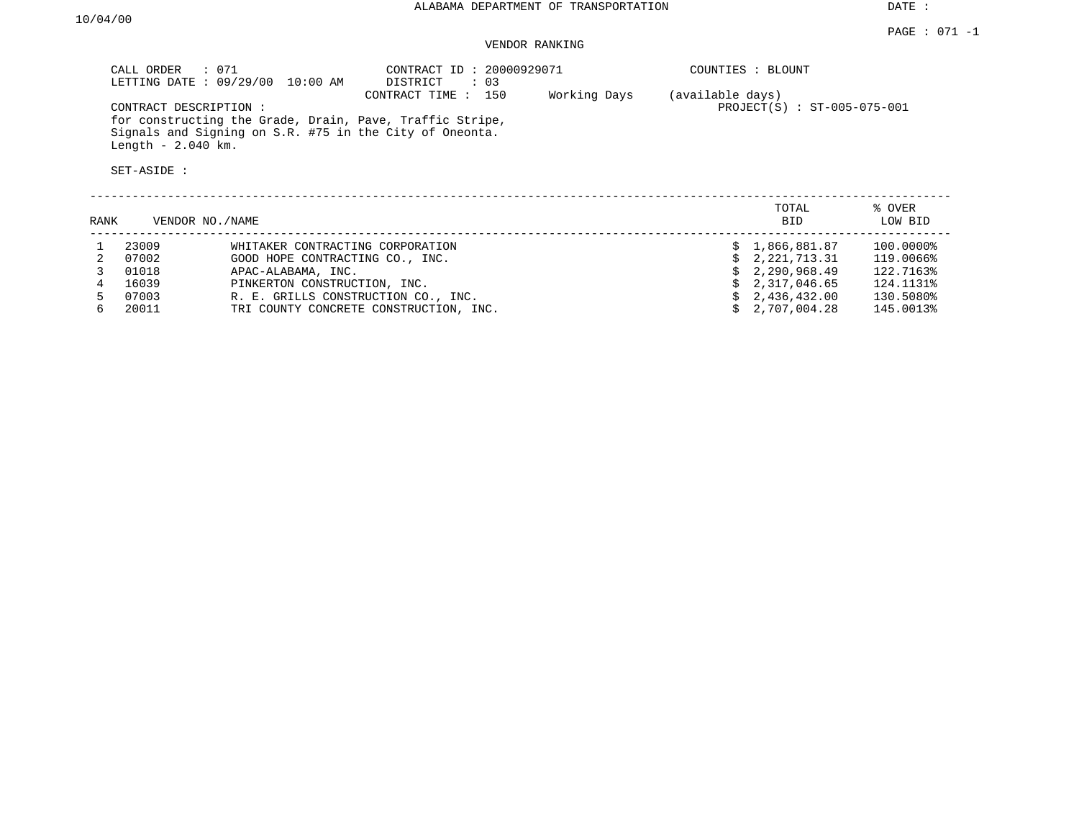DATE :

### VENDOR RANKING

| CALL ORDER : 071<br>LETTING DATE: 09/29/00<br>CONTRACT DESCRIPTION:<br>Length $-2.040$ km.<br>SET-ASIDE : | 10:00 AM<br>for constructing the Grade, Drain, Pave, Traffic Stripe,<br>Signals and Signing on S.R. #75 in the City of Oneonta. | CONTRACT ID: 20000929071<br>$\therefore$ 03<br>DISTRICT<br>150<br>CONTRACT TIME: | Working Days | COUNTIES : BLOUNT<br>(available days) | PROJECT(S) : ST-005-075-001 |                   |
|-----------------------------------------------------------------------------------------------------------|---------------------------------------------------------------------------------------------------------------------------------|----------------------------------------------------------------------------------|--------------|---------------------------------------|-----------------------------|-------------------|
| VENDOR NO./NAME<br>RANK                                                                                   |                                                                                                                                 |                                                                                  |              |                                       | TOTAL<br>BID                | % OVER<br>LOW BID |
| 23009                                                                                                     | WHITAKER CONTRACTING CORPORATION                                                                                                |                                                                                  |              |                                       | 1,866,881.87                | 100.0000%         |

|    | くいじじ    | WAIIANAR CONIRACIING CORPORAIION       | 07.000,001.07  | LUU.UUUU16 |
|----|---------|----------------------------------------|----------------|------------|
|    | 07002   | GOOD HOPE CONTRACTING CO., INC.        | \$2.221.713.31 | 119.0066%  |
|    | 01018   | APAC-ALABAMA, INC.                     | \$2,290,968.49 | 122.7163%  |
|    | 4 16039 | PINKERTON CONSTRUCTION, INC.           | \$2.317.046.65 | 124.1131%  |
| Б. | 07003   | R. E. GRILLS CONSTRUCTION CO., INC.    | \$2,436,432.00 | 130.5080%  |
|    | 20011   | TRI COUNTY CONCRETE CONSTRUCTION, INC. | \$2,707,004.28 | 145.0013%  |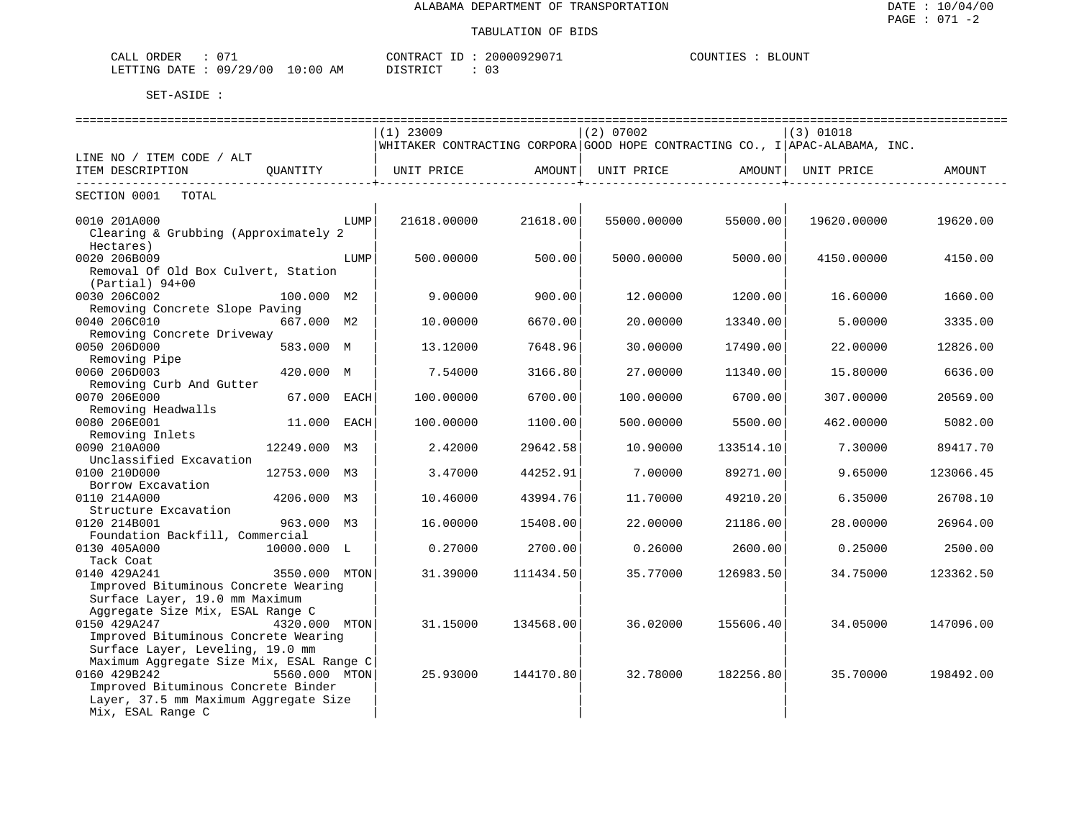| $\cap$<br>ORDER<br>CALL                                                                                                                                 | CONTRACT                                          | 2000092907<br>$ -$ | <b>BLOUNT</b><br>COUNTIES |
|---------------------------------------------------------------------------------------------------------------------------------------------------------|---------------------------------------------------|--------------------|---------------------------|
| 09/29/00<br>LETTING<br>DATE.<br>ر رے<br>the contract of the contract of the contract of the contract of the contract of the contract of the contract of | 10:00 <sup>-</sup><br>AΜ<br>דת לידי את ה<br>$-11$ | <u> U J</u>        |                           |

|                                                   |               |      | $(1)$ 23009                                                                    |                    | $(2)$ 07002       |                    | $(3)$ 01018 |           |
|---------------------------------------------------|---------------|------|--------------------------------------------------------------------------------|--------------------|-------------------|--------------------|-------------|-----------|
|                                                   |               |      | WHITAKER CONTRACTING CORPORA GOOD HOPE CONTRACTING CO., I   APAC-ALABAMA, INC. |                    |                   |                    |             |           |
| LINE NO / ITEM CODE / ALT                         |               |      |                                                                                |                    |                   |                    |             |           |
| ITEM DESCRIPTION QUANTITY                         |               |      | UNIT PRICE AMOUNT                                                              |                    | UNIT PRICE AMOUNT |                    | UNIT PRICE  | AMOUNT    |
| ---------------------------<br>SECTION 0001 TOTAL |               |      |                                                                                | ----------------+- |                   | -----------------+ |             |           |
| 0010 201A000                                      |               | LUMP |                                                                                |                    |                   | 55000.00           |             |           |
| Clearing & Grubbing (Approximately 2              |               |      | 21618.00000                                                                    | 21618.00           | 55000.00000       |                    | 19620.00000 | 19620.00  |
| Hectares)                                         |               |      |                                                                                |                    |                   |                    |             |           |
| 0020 206B009                                      |               | LUMP | 500,00000                                                                      | 500.00             | 5000.00000        | 5000.00            | 4150.00000  | 4150.00   |
| Removal Of Old Box Culvert, Station               |               |      |                                                                                |                    |                   |                    |             |           |
| $(Partial) 94+00$                                 |               |      |                                                                                |                    |                   |                    |             |           |
| 0030 206C002                                      | 100.000 M2    |      | 9.00000                                                                        | 900.00             | 12.00000          | 1200.00            | 16.60000    | 1660.00   |
| Removing Concrete Slope Paving                    |               |      |                                                                                |                    |                   |                    |             |           |
| 0040 206C010                                      | 667.000 M2    |      | 10.00000                                                                       | 6670.00            | 20.00000          | 13340.00           | 5.00000     | 3335.00   |
| Removing Concrete Driveway                        |               |      |                                                                                |                    |                   |                    |             |           |
| 0050 206D000                                      | 583.000 M     |      | 13.12000                                                                       | 7648.96            | 30.00000          | 17490.00           | 22.00000    | 12826.00  |
| Removing Pipe                                     |               |      |                                                                                |                    |                   |                    |             |           |
| 0060 206D003                                      | 420.000 M     |      | 7.54000                                                                        | 3166.80            | 27.00000          | 11340.00           | 15.80000    | 6636.00   |
| Removing Curb And Gutter                          |               |      |                                                                                |                    |                   |                    |             |           |
| 0070 206E000                                      | 67.000 EACH   |      | 100,00000                                                                      | 6700.00            | 100.00000         | 6700.00            | 307,00000   | 20569.00  |
| Removing Headwalls                                |               |      |                                                                                |                    |                   |                    |             |           |
| 0080 206E001                                      | 11.000        | EACH | 100.00000                                                                      | 1100.00            | 500.00000         | 5500.00            | 462.00000   | 5082.00   |
| Removing Inlets                                   |               |      |                                                                                |                    |                   |                    |             |           |
| 0090 210A000                                      | 12249.000 M3  |      | 2.42000                                                                        | 29642.58           | 10,90000          | 133514.10          | 7.30000     | 89417.70  |
| Unclassified Excavation                           |               |      |                                                                                |                    |                   |                    |             |           |
| 0100 210D000                                      | 12753.000 M3  |      | 3.47000                                                                        | 44252.91           | 7.00000           | 89271.00           | 9.65000     | 123066.45 |
| Borrow Excavation                                 |               |      |                                                                                |                    |                   |                    |             |           |
| 0110 214A000                                      | 4206.000 M3   |      | 10.46000                                                                       | 43994.76           | 11,70000          | 49210.20           | 6.35000     | 26708.10  |
| Structure Excavation                              |               |      |                                                                                |                    |                   |                    |             |           |
| 0120 214B001                                      | 963.000 M3    |      | 16.00000                                                                       | 15408.00           | 22.00000          | 21186.00           | 28.00000    | 26964.00  |
| Foundation Backfill, Commercial                   |               |      |                                                                                |                    |                   |                    |             |           |
| 0130 405A000                                      | 10000.000 L   |      | 0.27000                                                                        | 2700.00            | 0.26000           | 2600.00            | 0.25000     | 2500.00   |
| Tack Coat                                         |               |      |                                                                                |                    |                   |                    |             |           |
| 0140 429A241                                      | 3550.000 MTON |      | 31.39000                                                                       | 111434.50          | 35.77000          | 126983.50          | 34.75000    | 123362.50 |
| Improved Bituminous Concrete Wearing              |               |      |                                                                                |                    |                   |                    |             |           |
| Surface Layer, 19.0 mm Maximum                    |               |      |                                                                                |                    |                   |                    |             |           |
| Aggregate Size Mix, ESAL Range C                  |               |      |                                                                                |                    |                   |                    |             |           |
| 0150 429A247                                      | 4320.000 MTON |      | 31.15000                                                                       | 134568.00          | 36.02000          | 155606.40          | 34.05000    | 147096.00 |
| Improved Bituminous Concrete Wearing              |               |      |                                                                                |                    |                   |                    |             |           |
| Surface Layer, Leveling, 19.0 mm                  |               |      |                                                                                |                    |                   |                    |             |           |
| Maximum Aggregate Size Mix, ESAL Range C          |               |      |                                                                                |                    |                   |                    |             |           |
| 0160 429B242                                      | 5560,000 MTON |      | 25.93000                                                                       | 144170.80          | 32.78000          | 182256.80          | 35.70000    | 198492.00 |
| Improved Bituminous Concrete Binder               |               |      |                                                                                |                    |                   |                    |             |           |
| Layer, 37.5 mm Maximum Aggregate Size             |               |      |                                                                                |                    |                   |                    |             |           |
| Mix, ESAL Range C                                 |               |      |                                                                                |                    |                   |                    |             |           |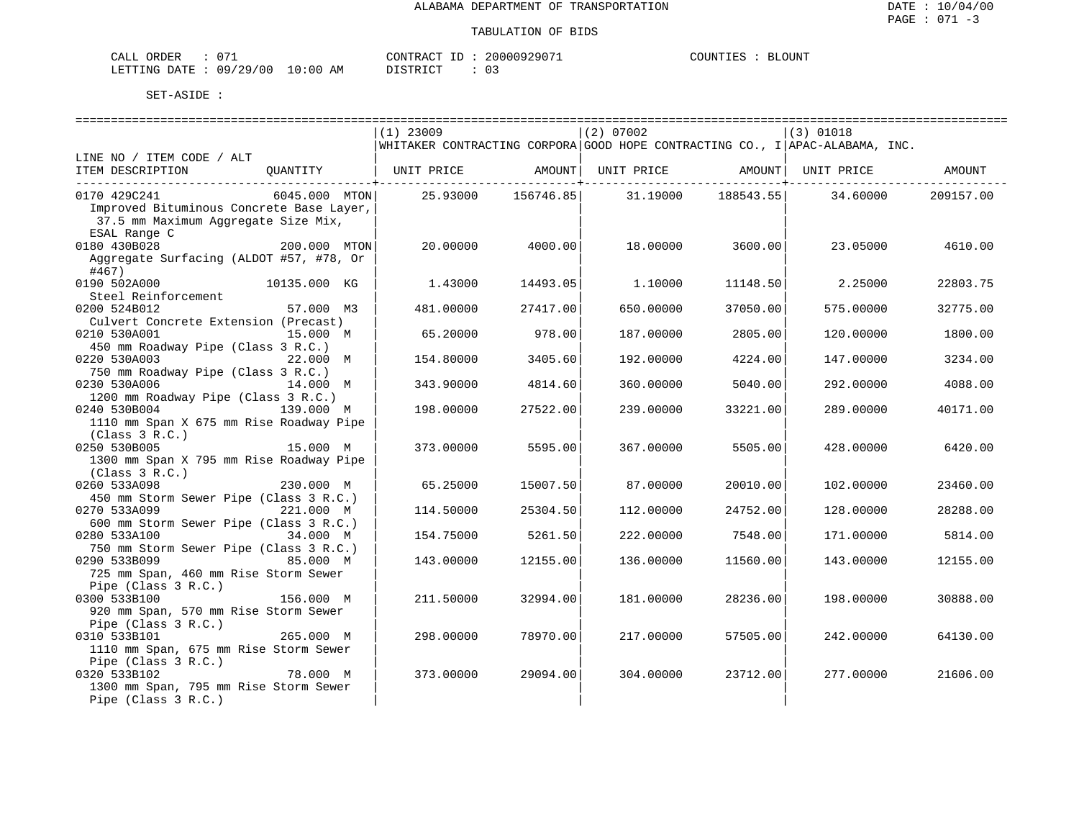| ORDER<br>CALL          | $\sim$ $\sim$ |             | CONTRACT      | $ -$ | 2000092907    | COUNTIES | <b>BLOUNT</b> |
|------------------------|---------------|-------------|---------------|------|---------------|----------|---------------|
| LETTING DATE: 09/29/00 |               | 10:00<br>AΜ | חימת דפידי את |      | $\sim$ $\sim$ |          |               |

| $(2)$ 07002<br>$(1)$ 23009<br>$(3)$ 01018<br>WHITAKER CONTRACTING CORPORA GOOD HOPE CONTRACTING CO., I APAC-ALABAMA, INC.<br>LINE NO / ITEM CODE / ALT<br>ITEM DESCRIPTION<br>UNIT PRICE AMOUNT<br>QUANTITY<br>UNIT PRICE<br>AMOUNT   UNIT PRICE<br>AMOUNT<br>. <u>. 4</u> .<br>0170 429C241<br>6045.000 MTON<br>25.93000 156746.85<br>31.19000<br>188543.55<br>34.60000<br>209157.00<br>Improved Bituminous Concrete Base Layer,<br>37.5 mm Maximum Aggregate Size Mix,<br>ESAL Range C<br>200.000 MTON<br>0180 430B028<br>18.00000<br>20,00000<br>4000.00<br>3600.00<br>23.05000<br>4610.00<br>Aggregate Surfacing (ALDOT #57, #78, Or<br>#467)<br>0190 502A000<br>10135.000 KG<br>1.43000<br>14493.05<br>2.25000<br>22803.75<br>1,10000<br>11148.50<br>Steel Reinforcement<br>0200 524B012<br>575.00000<br>57.000 M3<br>481,00000<br>27417.00<br>650.00000<br>37050.00<br>32775.00<br>Culvert Concrete Extension (Precast)<br>0210 530A001<br>15.000 M<br>65.20000<br>978.00<br>187.00000<br>2805.00<br>120.00000<br>1800.00<br>450 mm Roadway Pipe (Class 3 R.C.)<br>0220 530A003<br>3234.00<br>22.000 M<br>154.80000<br>3405.60<br>192.00000<br>4224.00<br>147.00000<br>750 mm Roadway Pipe (Class 3 R.C.)<br>0230 530A006<br>4088.00<br>343.90000<br>4814.60<br>360.00000<br>5040.00<br>292.00000<br>14.000 M<br>1200 mm Roadway Pipe (Class 3 R.C.)<br>0240 530B004<br>139.000 M<br>198.00000<br>27522.00<br>239.00000<br>33221.00<br>289.00000<br>40171.00<br>1110 mm Span X 675 mm Rise Roadway Pipe<br>(Class 3 R.C.)<br>0250 530B005<br>15.000 M<br>373.00000<br>5595.00<br>367.00000<br>5505.00<br>428.00000<br>6420.00<br>1300 mm Span X 795 mm Rise Roadway Pipe<br>(Class 3 R.C.)<br>0260 533A098<br>230.000 M<br>65.25000<br>15007.50<br>87.00000<br>20010.00<br>102.00000<br>23460.00<br>450 mm Storm Sewer Pipe (Class 3 R.C.)<br>0270 533A099<br>221.000 M<br>114.50000<br>25304.50<br>112,00000<br>24752.00<br>128.00000<br>28288.00<br>600 mm Storm Sewer Pipe (Class 3 R.C.)<br>0280 533A100<br>34.000 M<br>5261.50<br>222.00000<br>154.75000<br>7548.00<br>171,00000<br>5814.00<br>750 mm Storm Sewer Pipe (Class 3 R.C.) |
|--------------------------------------------------------------------------------------------------------------------------------------------------------------------------------------------------------------------------------------------------------------------------------------------------------------------------------------------------------------------------------------------------------------------------------------------------------------------------------------------------------------------------------------------------------------------------------------------------------------------------------------------------------------------------------------------------------------------------------------------------------------------------------------------------------------------------------------------------------------------------------------------------------------------------------------------------------------------------------------------------------------------------------------------------------------------------------------------------------------------------------------------------------------------------------------------------------------------------------------------------------------------------------------------------------------------------------------------------------------------------------------------------------------------------------------------------------------------------------------------------------------------------------------------------------------------------------------------------------------------------------------------------------------------------------------------------------------------------------------------------------------------------------------------------------------------------------------------------------------------------------------------------------------------------------------------------------------------------------------------------------------------------------------------------------------------------------------------------------------------------------------------------|
|                                                                                                                                                                                                                                                                                                                                                                                                                                                                                                                                                                                                                                                                                                                                                                                                                                                                                                                                                                                                                                                                                                                                                                                                                                                                                                                                                                                                                                                                                                                                                                                                                                                                                                                                                                                                                                                                                                                                                                                                                                                                                                                                                  |
|                                                                                                                                                                                                                                                                                                                                                                                                                                                                                                                                                                                                                                                                                                                                                                                                                                                                                                                                                                                                                                                                                                                                                                                                                                                                                                                                                                                                                                                                                                                                                                                                                                                                                                                                                                                                                                                                                                                                                                                                                                                                                                                                                  |
|                                                                                                                                                                                                                                                                                                                                                                                                                                                                                                                                                                                                                                                                                                                                                                                                                                                                                                                                                                                                                                                                                                                                                                                                                                                                                                                                                                                                                                                                                                                                                                                                                                                                                                                                                                                                                                                                                                                                                                                                                                                                                                                                                  |
|                                                                                                                                                                                                                                                                                                                                                                                                                                                                                                                                                                                                                                                                                                                                                                                                                                                                                                                                                                                                                                                                                                                                                                                                                                                                                                                                                                                                                                                                                                                                                                                                                                                                                                                                                                                                                                                                                                                                                                                                                                                                                                                                                  |
|                                                                                                                                                                                                                                                                                                                                                                                                                                                                                                                                                                                                                                                                                                                                                                                                                                                                                                                                                                                                                                                                                                                                                                                                                                                                                                                                                                                                                                                                                                                                                                                                                                                                                                                                                                                                                                                                                                                                                                                                                                                                                                                                                  |
|                                                                                                                                                                                                                                                                                                                                                                                                                                                                                                                                                                                                                                                                                                                                                                                                                                                                                                                                                                                                                                                                                                                                                                                                                                                                                                                                                                                                                                                                                                                                                                                                                                                                                                                                                                                                                                                                                                                                                                                                                                                                                                                                                  |
|                                                                                                                                                                                                                                                                                                                                                                                                                                                                                                                                                                                                                                                                                                                                                                                                                                                                                                                                                                                                                                                                                                                                                                                                                                                                                                                                                                                                                                                                                                                                                                                                                                                                                                                                                                                                                                                                                                                                                                                                                                                                                                                                                  |
|                                                                                                                                                                                                                                                                                                                                                                                                                                                                                                                                                                                                                                                                                                                                                                                                                                                                                                                                                                                                                                                                                                                                                                                                                                                                                                                                                                                                                                                                                                                                                                                                                                                                                                                                                                                                                                                                                                                                                                                                                                                                                                                                                  |
|                                                                                                                                                                                                                                                                                                                                                                                                                                                                                                                                                                                                                                                                                                                                                                                                                                                                                                                                                                                                                                                                                                                                                                                                                                                                                                                                                                                                                                                                                                                                                                                                                                                                                                                                                                                                                                                                                                                                                                                                                                                                                                                                                  |
|                                                                                                                                                                                                                                                                                                                                                                                                                                                                                                                                                                                                                                                                                                                                                                                                                                                                                                                                                                                                                                                                                                                                                                                                                                                                                                                                                                                                                                                                                                                                                                                                                                                                                                                                                                                                                                                                                                                                                                                                                                                                                                                                                  |
|                                                                                                                                                                                                                                                                                                                                                                                                                                                                                                                                                                                                                                                                                                                                                                                                                                                                                                                                                                                                                                                                                                                                                                                                                                                                                                                                                                                                                                                                                                                                                                                                                                                                                                                                                                                                                                                                                                                                                                                                                                                                                                                                                  |
|                                                                                                                                                                                                                                                                                                                                                                                                                                                                                                                                                                                                                                                                                                                                                                                                                                                                                                                                                                                                                                                                                                                                                                                                                                                                                                                                                                                                                                                                                                                                                                                                                                                                                                                                                                                                                                                                                                                                                                                                                                                                                                                                                  |
|                                                                                                                                                                                                                                                                                                                                                                                                                                                                                                                                                                                                                                                                                                                                                                                                                                                                                                                                                                                                                                                                                                                                                                                                                                                                                                                                                                                                                                                                                                                                                                                                                                                                                                                                                                                                                                                                                                                                                                                                                                                                                                                                                  |
|                                                                                                                                                                                                                                                                                                                                                                                                                                                                                                                                                                                                                                                                                                                                                                                                                                                                                                                                                                                                                                                                                                                                                                                                                                                                                                                                                                                                                                                                                                                                                                                                                                                                                                                                                                                                                                                                                                                                                                                                                                                                                                                                                  |
|                                                                                                                                                                                                                                                                                                                                                                                                                                                                                                                                                                                                                                                                                                                                                                                                                                                                                                                                                                                                                                                                                                                                                                                                                                                                                                                                                                                                                                                                                                                                                                                                                                                                                                                                                                                                                                                                                                                                                                                                                                                                                                                                                  |
|                                                                                                                                                                                                                                                                                                                                                                                                                                                                                                                                                                                                                                                                                                                                                                                                                                                                                                                                                                                                                                                                                                                                                                                                                                                                                                                                                                                                                                                                                                                                                                                                                                                                                                                                                                                                                                                                                                                                                                                                                                                                                                                                                  |
|                                                                                                                                                                                                                                                                                                                                                                                                                                                                                                                                                                                                                                                                                                                                                                                                                                                                                                                                                                                                                                                                                                                                                                                                                                                                                                                                                                                                                                                                                                                                                                                                                                                                                                                                                                                                                                                                                                                                                                                                                                                                                                                                                  |
|                                                                                                                                                                                                                                                                                                                                                                                                                                                                                                                                                                                                                                                                                                                                                                                                                                                                                                                                                                                                                                                                                                                                                                                                                                                                                                                                                                                                                                                                                                                                                                                                                                                                                                                                                                                                                                                                                                                                                                                                                                                                                                                                                  |
|                                                                                                                                                                                                                                                                                                                                                                                                                                                                                                                                                                                                                                                                                                                                                                                                                                                                                                                                                                                                                                                                                                                                                                                                                                                                                                                                                                                                                                                                                                                                                                                                                                                                                                                                                                                                                                                                                                                                                                                                                                                                                                                                                  |
|                                                                                                                                                                                                                                                                                                                                                                                                                                                                                                                                                                                                                                                                                                                                                                                                                                                                                                                                                                                                                                                                                                                                                                                                                                                                                                                                                                                                                                                                                                                                                                                                                                                                                                                                                                                                                                                                                                                                                                                                                                                                                                                                                  |
|                                                                                                                                                                                                                                                                                                                                                                                                                                                                                                                                                                                                                                                                                                                                                                                                                                                                                                                                                                                                                                                                                                                                                                                                                                                                                                                                                                                                                                                                                                                                                                                                                                                                                                                                                                                                                                                                                                                                                                                                                                                                                                                                                  |
|                                                                                                                                                                                                                                                                                                                                                                                                                                                                                                                                                                                                                                                                                                                                                                                                                                                                                                                                                                                                                                                                                                                                                                                                                                                                                                                                                                                                                                                                                                                                                                                                                                                                                                                                                                                                                                                                                                                                                                                                                                                                                                                                                  |
|                                                                                                                                                                                                                                                                                                                                                                                                                                                                                                                                                                                                                                                                                                                                                                                                                                                                                                                                                                                                                                                                                                                                                                                                                                                                                                                                                                                                                                                                                                                                                                                                                                                                                                                                                                                                                                                                                                                                                                                                                                                                                                                                                  |
|                                                                                                                                                                                                                                                                                                                                                                                                                                                                                                                                                                                                                                                                                                                                                                                                                                                                                                                                                                                                                                                                                                                                                                                                                                                                                                                                                                                                                                                                                                                                                                                                                                                                                                                                                                                                                                                                                                                                                                                                                                                                                                                                                  |
|                                                                                                                                                                                                                                                                                                                                                                                                                                                                                                                                                                                                                                                                                                                                                                                                                                                                                                                                                                                                                                                                                                                                                                                                                                                                                                                                                                                                                                                                                                                                                                                                                                                                                                                                                                                                                                                                                                                                                                                                                                                                                                                                                  |
|                                                                                                                                                                                                                                                                                                                                                                                                                                                                                                                                                                                                                                                                                                                                                                                                                                                                                                                                                                                                                                                                                                                                                                                                                                                                                                                                                                                                                                                                                                                                                                                                                                                                                                                                                                                                                                                                                                                                                                                                                                                                                                                                                  |
|                                                                                                                                                                                                                                                                                                                                                                                                                                                                                                                                                                                                                                                                                                                                                                                                                                                                                                                                                                                                                                                                                                                                                                                                                                                                                                                                                                                                                                                                                                                                                                                                                                                                                                                                                                                                                                                                                                                                                                                                                                                                                                                                                  |
|                                                                                                                                                                                                                                                                                                                                                                                                                                                                                                                                                                                                                                                                                                                                                                                                                                                                                                                                                                                                                                                                                                                                                                                                                                                                                                                                                                                                                                                                                                                                                                                                                                                                                                                                                                                                                                                                                                                                                                                                                                                                                                                                                  |
|                                                                                                                                                                                                                                                                                                                                                                                                                                                                                                                                                                                                                                                                                                                                                                                                                                                                                                                                                                                                                                                                                                                                                                                                                                                                                                                                                                                                                                                                                                                                                                                                                                                                                                                                                                                                                                                                                                                                                                                                                                                                                                                                                  |
|                                                                                                                                                                                                                                                                                                                                                                                                                                                                                                                                                                                                                                                                                                                                                                                                                                                                                                                                                                                                                                                                                                                                                                                                                                                                                                                                                                                                                                                                                                                                                                                                                                                                                                                                                                                                                                                                                                                                                                                                                                                                                                                                                  |
|                                                                                                                                                                                                                                                                                                                                                                                                                                                                                                                                                                                                                                                                                                                                                                                                                                                                                                                                                                                                                                                                                                                                                                                                                                                                                                                                                                                                                                                                                                                                                                                                                                                                                                                                                                                                                                                                                                                                                                                                                                                                                                                                                  |
|                                                                                                                                                                                                                                                                                                                                                                                                                                                                                                                                                                                                                                                                                                                                                                                                                                                                                                                                                                                                                                                                                                                                                                                                                                                                                                                                                                                                                                                                                                                                                                                                                                                                                                                                                                                                                                                                                                                                                                                                                                                                                                                                                  |
|                                                                                                                                                                                                                                                                                                                                                                                                                                                                                                                                                                                                                                                                                                                                                                                                                                                                                                                                                                                                                                                                                                                                                                                                                                                                                                                                                                                                                                                                                                                                                                                                                                                                                                                                                                                                                                                                                                                                                                                                                                                                                                                                                  |
| 0290 533B099<br>85.000 M<br>143.00000<br>12155.00<br>136.00000<br>11560.00<br>143.00000<br>12155.00                                                                                                                                                                                                                                                                                                                                                                                                                                                                                                                                                                                                                                                                                                                                                                                                                                                                                                                                                                                                                                                                                                                                                                                                                                                                                                                                                                                                                                                                                                                                                                                                                                                                                                                                                                                                                                                                                                                                                                                                                                              |
| 725 mm Span, 460 mm Rise Storm Sewer                                                                                                                                                                                                                                                                                                                                                                                                                                                                                                                                                                                                                                                                                                                                                                                                                                                                                                                                                                                                                                                                                                                                                                                                                                                                                                                                                                                                                                                                                                                                                                                                                                                                                                                                                                                                                                                                                                                                                                                                                                                                                                             |
| Pipe (Class 3 R.C.)                                                                                                                                                                                                                                                                                                                                                                                                                                                                                                                                                                                                                                                                                                                                                                                                                                                                                                                                                                                                                                                                                                                                                                                                                                                                                                                                                                                                                                                                                                                                                                                                                                                                                                                                                                                                                                                                                                                                                                                                                                                                                                                              |
| 0300 533B100<br>156.000 M<br>211.50000<br>32994.00<br>181.00000<br>28236.00<br>198.00000<br>30888.00                                                                                                                                                                                                                                                                                                                                                                                                                                                                                                                                                                                                                                                                                                                                                                                                                                                                                                                                                                                                                                                                                                                                                                                                                                                                                                                                                                                                                                                                                                                                                                                                                                                                                                                                                                                                                                                                                                                                                                                                                                             |
| 920 mm Span, 570 mm Rise Storm Sewer                                                                                                                                                                                                                                                                                                                                                                                                                                                                                                                                                                                                                                                                                                                                                                                                                                                                                                                                                                                                                                                                                                                                                                                                                                                                                                                                                                                                                                                                                                                                                                                                                                                                                                                                                                                                                                                                                                                                                                                                                                                                                                             |
| Pipe (Class 3 R.C.)                                                                                                                                                                                                                                                                                                                                                                                                                                                                                                                                                                                                                                                                                                                                                                                                                                                                                                                                                                                                                                                                                                                                                                                                                                                                                                                                                                                                                                                                                                                                                                                                                                                                                                                                                                                                                                                                                                                                                                                                                                                                                                                              |
| 0310 533B101<br>265.000 M<br>298.00000<br>78970.00<br>217.00000<br>57505.00<br>242.00000<br>64130.00                                                                                                                                                                                                                                                                                                                                                                                                                                                                                                                                                                                                                                                                                                                                                                                                                                                                                                                                                                                                                                                                                                                                                                                                                                                                                                                                                                                                                                                                                                                                                                                                                                                                                                                                                                                                                                                                                                                                                                                                                                             |
| 1110 mm Span, 675 mm Rise Storm Sewer                                                                                                                                                                                                                                                                                                                                                                                                                                                                                                                                                                                                                                                                                                                                                                                                                                                                                                                                                                                                                                                                                                                                                                                                                                                                                                                                                                                                                                                                                                                                                                                                                                                                                                                                                                                                                                                                                                                                                                                                                                                                                                            |
| Pipe (Class 3 R.C.)                                                                                                                                                                                                                                                                                                                                                                                                                                                                                                                                                                                                                                                                                                                                                                                                                                                                                                                                                                                                                                                                                                                                                                                                                                                                                                                                                                                                                                                                                                                                                                                                                                                                                                                                                                                                                                                                                                                                                                                                                                                                                                                              |
| 0320 533B102<br>78.000 M<br>373.00000<br>29094.00<br>304,00000<br>23712.00<br>277.00000<br>21606.00                                                                                                                                                                                                                                                                                                                                                                                                                                                                                                                                                                                                                                                                                                                                                                                                                                                                                                                                                                                                                                                                                                                                                                                                                                                                                                                                                                                                                                                                                                                                                                                                                                                                                                                                                                                                                                                                                                                                                                                                                                              |
| 1300 mm Span, 795 mm Rise Storm Sewer                                                                                                                                                                                                                                                                                                                                                                                                                                                                                                                                                                                                                                                                                                                                                                                                                                                                                                                                                                                                                                                                                                                                                                                                                                                                                                                                                                                                                                                                                                                                                                                                                                                                                                                                                                                                                                                                                                                                                                                                                                                                                                            |
| Pipe (Class 3 R.C.)                                                                                                                                                                                                                                                                                                                                                                                                                                                                                                                                                                                                                                                                                                                                                                                                                                                                                                                                                                                                                                                                                                                                                                                                                                                                                                                                                                                                                                                                                                                                                                                                                                                                                                                                                                                                                                                                                                                                                                                                                                                                                                                              |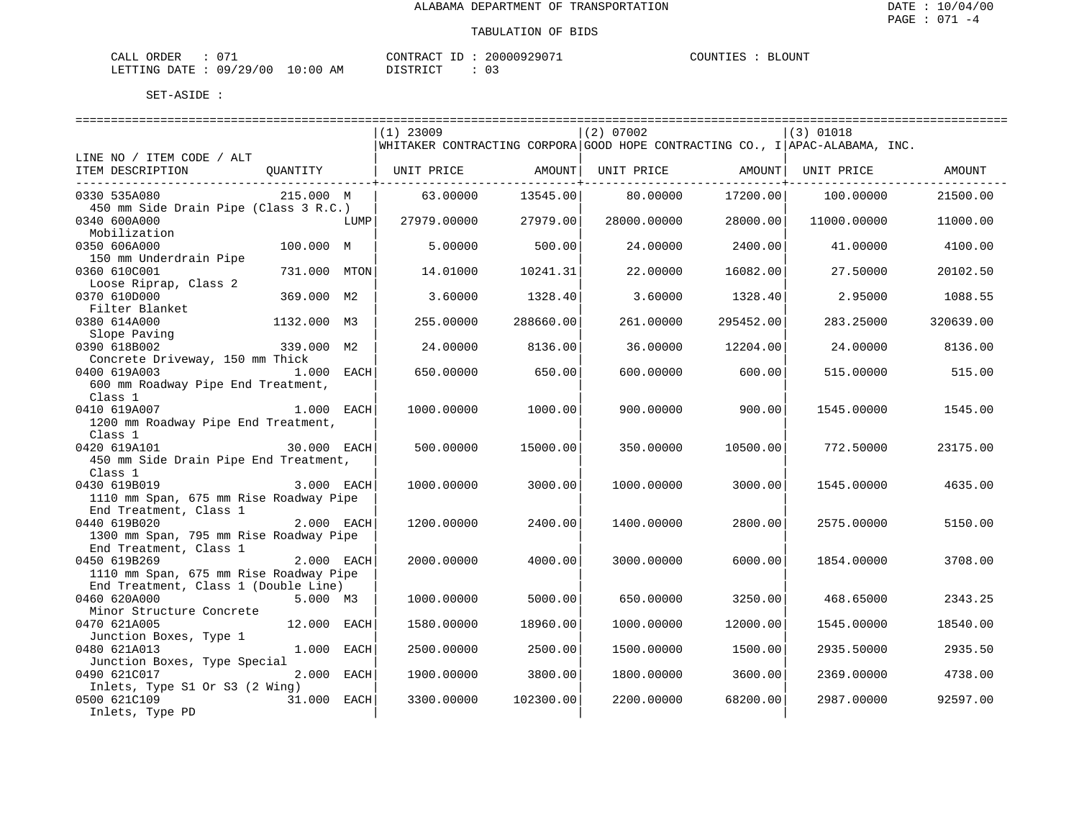| CALL ORDER             |  |          | CONTRACT<br>ID | 20000929071 | COUNTIES | <b>BLOUNT</b> |
|------------------------|--|----------|----------------|-------------|----------|---------------|
| LETTING DATE: 09/29/00 |  | 10:00 AM | DISTRICT       |             |          |               |

|                                                                                |              |      | $(1)$ 23009                                                                  |           | $(2)$ 07002       |           | $(3)$ 01018 |           |
|--------------------------------------------------------------------------------|--------------|------|------------------------------------------------------------------------------|-----------|-------------------|-----------|-------------|-----------|
|                                                                                |              |      | WHITAKER CONTRACTING CORPORA GOOD HOPE CONTRACTING CO., I APAC-ALABAMA, INC. |           |                   |           |             |           |
| LINE NO / ITEM CODE / ALT                                                      |              |      |                                                                              |           |                   |           |             |           |
| ITEM DESCRIPTION                                                               | QUANTITY     |      | UNIT PRICE                                                                   | AMOUNT    | UNIT PRICE AMOUNT |           | UNIT PRICE  | AMOUNT    |
|                                                                                |              |      |                                                                              |           |                   |           |             |           |
| 0330 535A080                                                                   | 215.000 M    |      | 63.00000                                                                     | 13545.00  | 80.00000          | 17200.00  | 100,00000   | 21500.00  |
| 450 mm Side Drain Pipe (Class 3 R.C.)                                          |              |      |                                                                              |           |                   |           |             |           |
| 0340 600A000                                                                   |              | LUMP | 27979.00000                                                                  | 27979.00  | 28000.00000       | 28000.00  | 11000.00000 | 11000.00  |
| Mobilization                                                                   |              |      |                                                                              |           |                   |           |             |           |
| 0350 606A000                                                                   | 100.000 M    |      | 5.00000                                                                      | 500.00    | 24.00000          | 2400.00   | 41,00000    | 4100.00   |
| 150 mm Underdrain Pipe                                                         |              |      |                                                                              |           |                   |           |             |           |
| 0360 610C001                                                                   | 731.000 MTON |      | 14.01000                                                                     | 10241.31  | 22.00000          | 16082.00  | 27.50000    | 20102.50  |
| Loose Riprap, Class 2                                                          |              |      |                                                                              |           |                   |           |             |           |
| 0370 610D000                                                                   | 369.000 M2   |      | 3.60000                                                                      | 1328.40   | 3.60000           | 1328.40   | 2.95000     | 1088.55   |
| Filter Blanket                                                                 |              |      |                                                                              |           |                   |           |             |           |
| 0380 614A000                                                                   | 1132.000 M3  |      | 255.00000                                                                    | 288660.00 | 261.00000         | 295452.00 | 283.25000   | 320639.00 |
| Slope Paving                                                                   |              |      |                                                                              |           |                   |           |             |           |
| 0390 618B002                                                                   | 339.000 M2   |      | 24.00000                                                                     | 8136.00   | 36.00000          | 12204.00  | 24.00000    | 8136.00   |
| Concrete Driveway, 150 mm Thick                                                |              |      |                                                                              |           |                   |           |             |           |
| 0400 619A003                                                                   | 1.000 EACH   |      | 650.00000                                                                    | 650.00    | 600.00000         | 600.00    | 515.00000   | 515.00    |
| 600 mm Roadway Pipe End Treatment,                                             |              |      |                                                                              |           |                   |           |             |           |
| Class 1                                                                        |              |      |                                                                              |           |                   |           |             |           |
| 0410 619A007                                                                   | $1.000$ EACH |      | 1000.00000                                                                   | 1000.00   | 900.00000         | 900.00    | 1545.00000  | 1545.00   |
| 1200 mm Roadway Pipe End Treatment,                                            |              |      |                                                                              |           |                   |           |             |           |
| Class 1                                                                        |              |      |                                                                              |           |                   |           |             |           |
| 0420 619A101                                                                   | 30.000 EACH  |      | 500,00000                                                                    | 15000.00  | 350.00000         | 10500.00  | 772.50000   | 23175.00  |
| 450 mm Side Drain Pipe End Treatment,                                          |              |      |                                                                              |           |                   |           |             |           |
| Class 1                                                                        |              |      |                                                                              |           |                   |           |             |           |
| 0430 619B019                                                                   | 3.000 EACH   |      | 1000.00000                                                                   | 3000.00   | 1000.00000        | 3000.00   | 1545.00000  | 4635.00   |
| 1110 mm Span, 675 mm Rise Roadway Pipe                                         |              |      |                                                                              |           |                   |           |             |           |
| End Treatment, Class 1                                                         |              |      |                                                                              |           |                   |           |             |           |
| 0440 619B020                                                                   | 2.000 EACH   |      | 1200.00000                                                                   | 2400.00   | 1400.00000        | 2800.00   | 2575.00000  | 5150.00   |
| 1300 mm Span, 795 mm Rise Roadway Pipe                                         |              |      |                                                                              |           |                   |           |             |           |
| End Treatment, Class 1                                                         |              |      |                                                                              |           |                   |           |             |           |
| 0450 619B269                                                                   | 2.000 EACH   |      | 2000.00000                                                                   | 4000.00   | 3000.00000        | 6000.00   |             | 3708.00   |
|                                                                                |              |      |                                                                              |           |                   |           | 1854.00000  |           |
| 1110 mm Span, 675 mm Rise Roadway Pipe<br>End Treatment, Class 1 (Double Line) |              |      |                                                                              |           |                   |           |             |           |
| 0460 620A000                                                                   | 5.000 M3     |      |                                                                              |           |                   |           |             |           |
|                                                                                |              |      | 1000.00000                                                                   | 5000.00   | 650.00000         | 3250.00   | 468.65000   | 2343.25   |
| Minor Structure Concrete                                                       |              |      |                                                                              |           |                   |           |             |           |
| 0470 621A005                                                                   | 12.000 EACH  |      | 1580.00000                                                                   | 18960.00  | 1000.00000        | 12000.00  | 1545.00000  | 18540.00  |
| Junction Boxes, Type 1                                                         |              |      |                                                                              |           |                   |           |             |           |
| 0480 621A013                                                                   | 1.000 EACH   |      | 2500.00000                                                                   | 2500.00   | 1500.00000        | 1500.00   | 2935.50000  | 2935.50   |
| Junction Boxes, Type Special                                                   |              |      |                                                                              |           |                   |           |             |           |
| 0490 621C017                                                                   | 2.000 EACH   |      | 1900.00000                                                                   | 3800.00   | 1800.00000        | 3600.00   | 2369.00000  | 4738.00   |
| Inlets, Type S1 Or S3 (2 Wing)                                                 |              |      |                                                                              |           |                   |           |             |           |
| 0500 621C109                                                                   | 31.000 EACH  |      | 3300.00000                                                                   | 102300.00 | 2200.00000        | 68200.00  | 2987.00000  | 92597.00  |
| Inlets, Type PD                                                                |              |      |                                                                              |           |                   |           |             |           |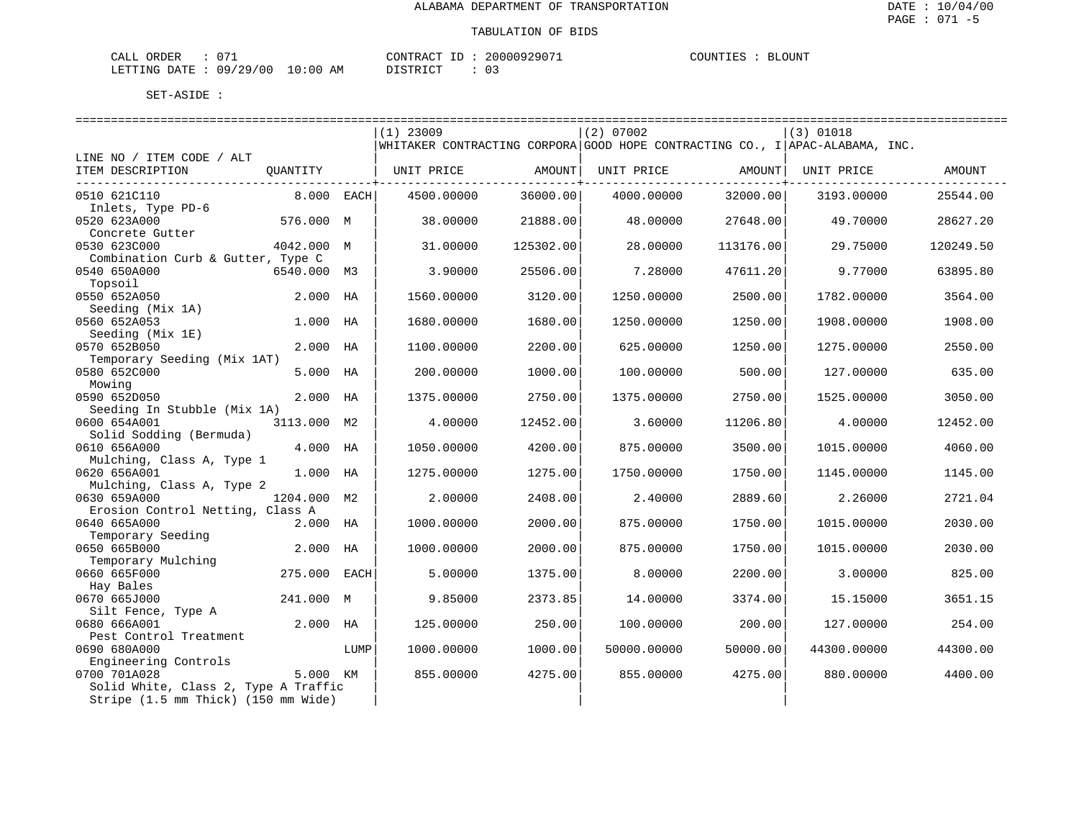| CALL | ORDER |                        |             | CONTRACT ID | 2000092907 | COUNTIES | <b>BLOUNT</b> |
|------|-------|------------------------|-------------|-------------|------------|----------|---------------|
|      |       | LETTING DATE: 09/29/00 | 10:00<br>ΆM | DISTRICT    |            |          |               |

|                                           |             |                | $(1)$ 23009 |           | $(2)$ 07002 |           | $(3)$ 01018                                                                  |           |
|-------------------------------------------|-------------|----------------|-------------|-----------|-------------|-----------|------------------------------------------------------------------------------|-----------|
|                                           |             |                |             |           |             |           | WHITAKER CONTRACTING CORPORA GOOD HOPE CONTRACTING CO., I APAC-ALABAMA, INC. |           |
| LINE NO / ITEM CODE / ALT                 |             |                |             |           |             |           |                                                                              |           |
| ITEM DESCRIPTION                          | QUANTITY    |                | UNIT PRICE  | AMOUNT    | UNIT PRICE  | AMOUNT    | UNIT PRICE                                                                   | AMOUNT    |
| 0510 621C110                              | 8.000 EACH  |                | 4500.00000  | 36000.00  | 4000.00000  | 32000.00  | 3193.00000                                                                   | 25544.00  |
| Inlets, Type PD-6                         |             |                |             |           |             |           |                                                                              |           |
| 0520 623A000                              | 576.000 M   |                | 38,00000    | 21888.00  | 48.00000    | 27648.00  | 49.70000                                                                     | 28627.20  |
| Concrete Gutter<br>0530 623C000           | 4042.000 M  |                | 31,00000    | 125302.00 | 28,00000    | 113176.00 | 29.75000                                                                     | 120249.50 |
| Combination Curb & Gutter, Type C         |             |                |             |           |             |           |                                                                              |           |
| 0540 650A000                              | 6540.000    | M3             | 3.90000     | 25506.00  | 7.28000     | 47611.20  | 9.77000                                                                      | 63895.80  |
| Topsoil                                   |             |                |             |           |             |           |                                                                              |           |
| 0550 652A050                              | 2.000 HA    |                | 1560.00000  | 3120.00   | 1250.00000  | 2500.00   | 1782.00000                                                                   | 3564.00   |
| Seeding (Mix 1A)                          |             |                |             |           |             |           |                                                                              |           |
| 0560 652A053                              | 1.000 HA    |                | 1680.00000  | 1680.00   | 1250.00000  | 1250.00   | 1908.00000                                                                   | 1908.00   |
| Seeding (Mix 1E)<br>0570 652B050          | 2.000 HA    |                | 1100.00000  | 2200.00   | 625.00000   | 1250.00   | 1275.00000                                                                   | 2550.00   |
| Temporary Seeding (Mix 1AT)               |             |                |             |           |             |           |                                                                              |           |
| 0580 652C000                              | 5.000       | НA             | 200.00000   | 1000.00   | 100.00000   | 500.00    | 127.00000                                                                    | 635.00    |
| Mowing                                    |             |                |             |           |             |           |                                                                              |           |
| 0590 652D050                              | 2.000 HA    |                | 1375.00000  | 2750.00   | 1375.00000  | 2750.00   | 1525.00000                                                                   | 3050.00   |
| Seeding In Stubble (Mix 1A)               |             |                |             |           |             |           |                                                                              |           |
| 0600 654A001                              | 3113.000 M2 |                | 4.00000     | 12452.00  | 3.60000     | 11206.80  | 4.00000                                                                      | 12452.00  |
| Solid Sodding (Bermuda)                   |             |                |             |           |             |           |                                                                              |           |
| 0610 656A000<br>Mulching, Class A, Type 1 | 4.000       | HA             | 1050.00000  | 4200.00   | 875.00000   | 3500.00   | 1015.00000                                                                   | 4060.00   |
| 0620 656A001                              | 1.000 HA    |                | 1275.00000  | 1275.00   | 1750.00000  | 1750.00   | 1145.00000                                                                   | 1145.00   |
| Mulching, Class A, Type 2                 |             |                |             |           |             |           |                                                                              |           |
| 0630 659A000                              | 1204.000    | M <sub>2</sub> | 2.00000     | 2408.00   | 2.40000     | 2889.60   | 2.26000                                                                      | 2721.04   |
| Erosion Control Netting, Class A          |             |                |             |           |             |           |                                                                              |           |
| 0640 665A000                              | 2.000 HA    |                | 1000.00000  | 2000.00   | 875.00000   | 1750.00   | 1015.00000                                                                   | 2030.00   |
| Temporary Seeding                         |             |                |             |           |             |           |                                                                              |           |
| 0650 665B000                              | 2.000 HA    |                | 1000.00000  | 2000.00   | 875.00000   | 1750.00   | 1015.00000                                                                   | 2030.00   |
| Temporary Mulching<br>0660 665F000        | 275.000     | EACH           | 5.00000     | 1375.00   | 8,00000     | 2200.00   | 3,00000                                                                      | 825.00    |
| Hay Bales                                 |             |                |             |           |             |           |                                                                              |           |
| 0670 665J000                              | 241.000 M   |                | 9.85000     | 2373.85   | 14.00000    | 3374.00   | 15.15000                                                                     | 3651.15   |
| Silt Fence, Type A                        |             |                |             |           |             |           |                                                                              |           |
| 0680 666A001                              | 2.000 HA    |                | 125.00000   | 250.00    | 100.00000   | 200.00    | 127.00000                                                                    | 254.00    |
| Pest Control Treatment                    |             |                |             |           |             |           |                                                                              |           |
| 0690 680A000                              |             | LUMP           | 1000.00000  | 1000.00   | 50000.00000 | 50000.00  | 44300.00000                                                                  | 44300.00  |
| Engineering Controls<br>0700 701A028      | 5.000 KM    |                |             | 4275.00   |             | 4275.00   |                                                                              |           |
| Solid White, Class 2, Type A Traffic      |             |                | 855.00000   |           | 855.00000   |           | 880.00000                                                                    | 4400.00   |
| Stripe (1.5 mm Thick) (150 mm Wide)       |             |                |             |           |             |           |                                                                              |           |
|                                           |             |                |             |           |             |           |                                                                              |           |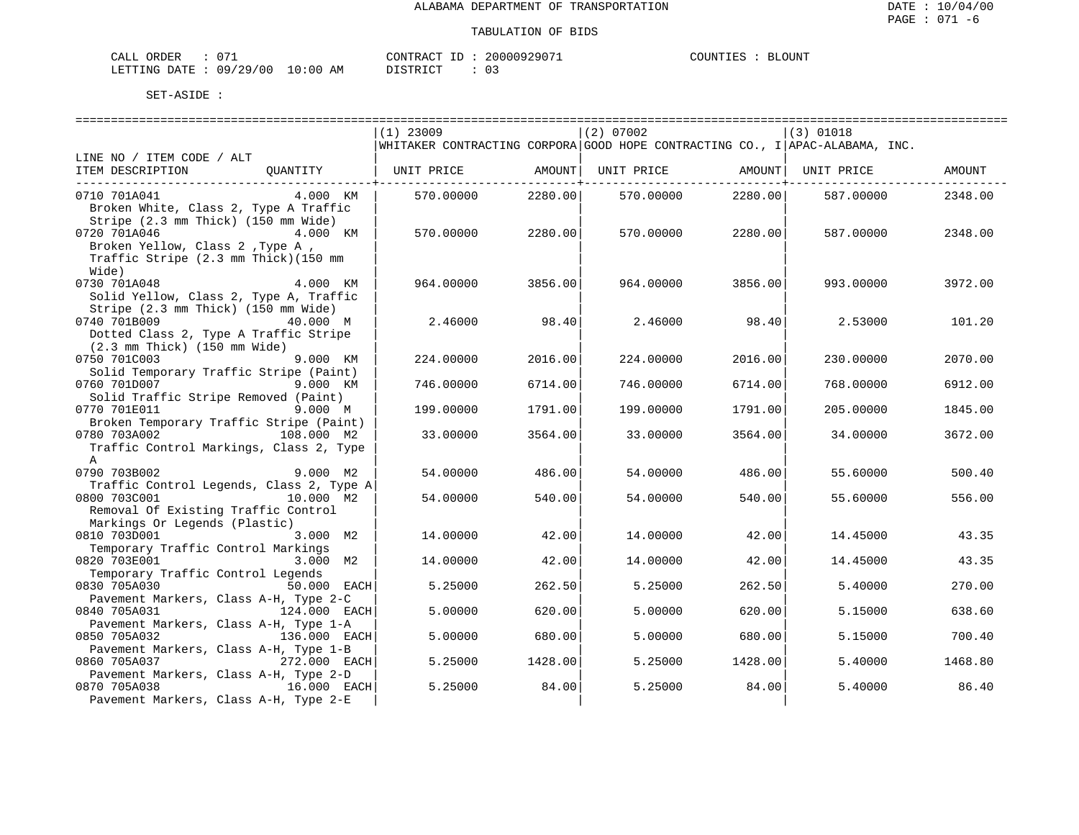| CALL ORDER                       | : 071 | CON |
|----------------------------------|-------|-----|
| LETTING DATE : 09/29/00 10:00 AM |       | DIS |

NTRACT ID : 20000929071 STRICT : 03

COUNTIES : BLOUNT

|                                                  | $(1)$ 23009                                                                  |         | $(2)$ 07002 |         | $(3)$ 01018        |         |
|--------------------------------------------------|------------------------------------------------------------------------------|---------|-------------|---------|--------------------|---------|
|                                                  | WHITAKER CONTRACTING CORPORA GOOD HOPE CONTRACTING CO., I APAC-ALABAMA, INC. |         |             |         |                    |         |
| LINE NO / ITEM CODE / ALT                        |                                                                              |         |             |         |                    |         |
| ITEM DESCRIPTION<br>QUANTITY                     | UNIT PRICE AMOUNT                                                            |         | UNIT PRICE  |         | AMOUNT  UNIT PRICE | AMOUNT  |
|                                                  |                                                                              |         |             |         |                    |         |
| 4.000 KM<br>0710 701A041                         | 570.00000                                                                    | 2280.00 | 570.00000   | 2280.00 | 587.00000          | 2348.00 |
| Broken White, Class 2, Type A Traffic            |                                                                              |         |             |         |                    |         |
| Stripe (2.3 mm Thick) (150 mm Wide)              |                                                                              |         |             |         |                    |         |
| 0720 701A046<br>4.000 KM                         | 570.00000                                                                    | 2280.00 | 570.00000   | 2280.00 | 587.00000          | 2348.00 |
| Broken Yellow, Class 2 , Type A ,                |                                                                              |         |             |         |                    |         |
| Traffic Stripe (2.3 mm Thick) (150 mm            |                                                                              |         |             |         |                    |         |
| Wide)                                            |                                                                              |         |             |         |                    |         |
| 0730 701A048<br>4.000 KM                         | 964.00000                                                                    |         | 964.00000   | 3856.00 | 993.00000          |         |
|                                                  |                                                                              | 3856.00 |             |         |                    | 3972.00 |
| Solid Yellow, Class 2, Type A, Traffic           |                                                                              |         |             |         |                    |         |
| Stripe (2.3 mm Thick) (150 mm Wide)              |                                                                              |         |             |         |                    |         |
| 0740 701B009<br>40.000 M                         | 2.46000                                                                      | 98.40   | 2.46000     | 98.40   | 2.53000            | 101.20  |
| Dotted Class 2, Type A Traffic Stripe            |                                                                              |         |             |         |                    |         |
| $(2.3 \text{ mm}$ Thick) $(150 \text{ mm}$ Wide) |                                                                              |         |             |         |                    |         |
| 0750 701C003<br>9.000 KM                         | 224,00000                                                                    | 2016.00 | 224.00000   | 2016.00 | 230.00000          | 2070.00 |
| Solid Temporary Traffic Stripe (Paint)           |                                                                              |         |             |         |                    |         |
| 0760 701D007 9.000 KM                            | 746.00000                                                                    | 6714.00 | 746.00000   | 6714.00 | 768.00000          | 6912.00 |
| Solid Traffic Stripe Removed (Paint)             |                                                                              |         |             |         |                    |         |
| 0770 701E011<br>9.000 M                          | 199.00000                                                                    | 1791.00 | 199.00000   | 1791.00 | 205.00000          | 1845.00 |
| Broken Temporary Traffic Stripe (Paint)          |                                                                              |         |             |         |                    |         |
| 108.000 M2<br>0780 703A002                       | 33.00000                                                                     | 3564.00 | 33.00000    | 3564.00 | 34,00000           | 3672.00 |
| Traffic Control Markings, Class 2, Type          |                                                                              |         |             |         |                    |         |
| Α                                                |                                                                              |         |             |         |                    |         |
| 0790 703B002<br>9.000 M2                         | 54.00000                                                                     | 486.00  | 54.00000    | 486.00  | 55.60000           | 500.40  |
| Traffic Control Legends, Class 2, Type A         |                                                                              |         |             |         |                    |         |
| 10.000 M2<br>0800 703C001                        | 54.00000                                                                     | 540.00  | 54.00000    | 540.00  | 55.60000           | 556.00  |
| Removal Of Existing Traffic Control              |                                                                              |         |             |         |                    |         |
| Markings Or Legends (Plastic)                    |                                                                              |         |             |         |                    |         |
| 0810 703D001<br>3.000 M2                         | 14.00000                                                                     | 42.00   | 14.00000    | 42.00   | 14.45000           | 43.35   |
| Temporary Traffic Control Markings               |                                                                              |         |             |         |                    |         |
| 0820 703E001<br>3.000 M2                         | 14.00000                                                                     | 42.00   | 14.00000    | 42.00   | 14.45000           | 43.35   |
| Temporary Traffic Control Legends                |                                                                              |         |             |         |                    |         |
| 0830 705A030<br>50.000 EACH                      | 5.25000                                                                      | 262.50  | 5.25000     | 262.50  | 5.40000            | 270.00  |
| Pavement Markers, Class A-H, Type 2-C            |                                                                              |         |             |         |                    |         |
| 0840 705A031<br>124.000 EACH                     | 5,00000                                                                      | 620.00  | 5,00000     | 620.00  | 5.15000            | 638.60  |
| Pavement Markers, Class A-H, Type 1-A            |                                                                              |         |             |         |                    |         |
| 136.000 EACH<br>0850 705A032                     | 5.00000                                                                      | 680.00  | 5.00000     | 680.00  | 5.15000            | 700.40  |
| Pavement Markers, Class A-H, Type 1-B            |                                                                              |         |             |         |                    |         |
| 0860 705A037<br>272.000 EACH                     | 5.25000                                                                      | 1428.00 | 5.25000     | 1428.00 | 5.40000            | 1468.80 |
| Pavement Markers, Class A-H, Type 2-D            |                                                                              |         |             |         |                    |         |
| 16.000 EACH<br>0870 705A038                      | 5.25000                                                                      | 84.00   | 5.25000     | 84.00   | 5.40000            | 86.40   |
| Pavement Markers, Class A-H, Type 2-E            |                                                                              |         |             |         |                    |         |
|                                                  |                                                                              |         |             |         |                    |         |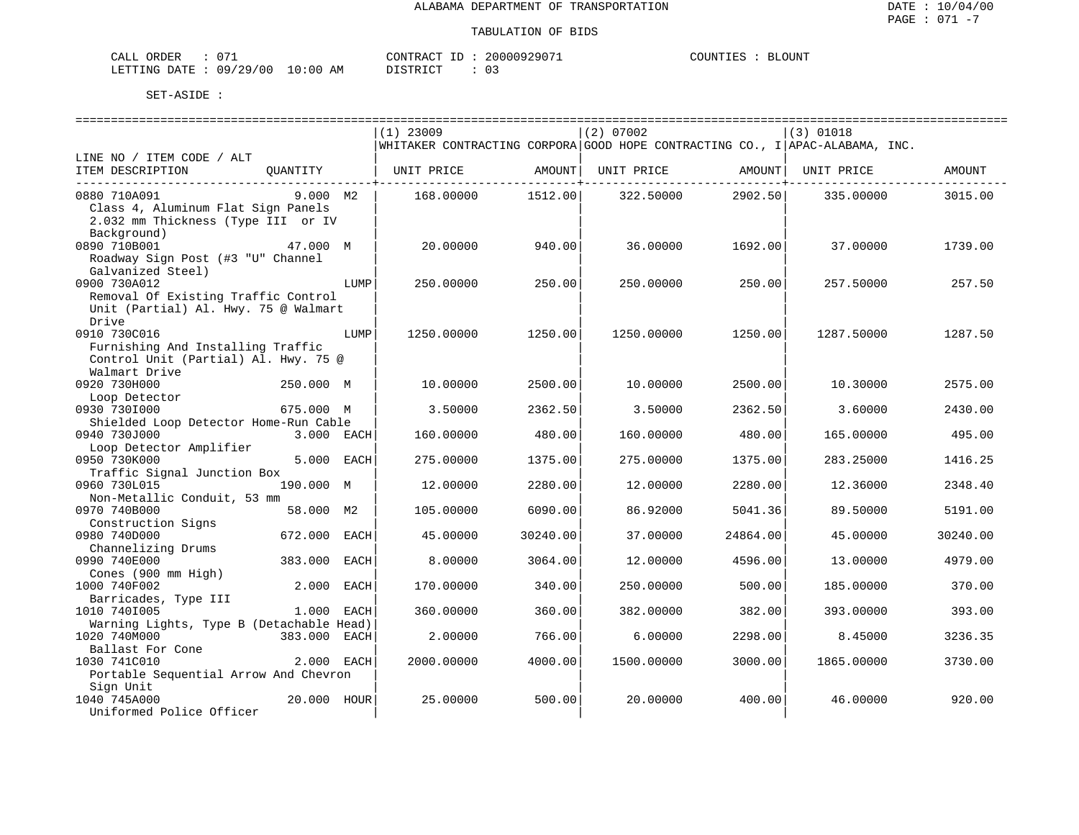| ∩RDER<br>CALI |                       |                                                                                                                                | TONTRACT<br>$ -$ | 2000092907 | COLINT. |  |
|---------------|-----------------------|--------------------------------------------------------------------------------------------------------------------------------|------------------|------------|---------|--|
| LETTING DATE  | 09/29/00<br>. .<br>UU | 10:00<br>ΑM<br>the contract of the contract of the contract of the contract of the contract of the contract of the contract of | $T \cap T$       |            |         |  |

|                                          |              |      | $(1)$ 23009                                                                  |                             | (2) 07002  |                               | $(3)$ 01018        |          |
|------------------------------------------|--------------|------|------------------------------------------------------------------------------|-----------------------------|------------|-------------------------------|--------------------|----------|
|                                          |              |      | WHITAKER CONTRACTING CORPORA GOOD HOPE CONTRACTING CO., I APAC-ALABAMA, INC. |                             |            |                               |                    |          |
| LINE NO / ITEM CODE / ALT                |              |      |                                                                              |                             |            |                               |                    |          |
| ITEM DESCRIPTION                         | OUANTITY     |      | UNIT PRICE                                                                   | AMOUNT<br>----------+------ | UNIT PRICE | . _ _ _ _ _ _ _ _ _ _ _ _ _ + | AMOUNT  UNIT PRICE | AMOUNT   |
| 0880 710A091                             | 9.000 M2     |      | 168.00000                                                                    | 1512.00                     | 322.50000  | 2902.50                       | 335.00000          | 3015.00  |
| Class 4, Aluminum Flat Sign Panels       |              |      |                                                                              |                             |            |                               |                    |          |
| 2.032 mm Thickness (Type III or IV       |              |      |                                                                              |                             |            |                               |                    |          |
| Background)                              |              |      |                                                                              |                             |            |                               |                    |          |
| 0890 710B001                             | 47.000 M     |      | 20.00000                                                                     | 940.00                      | 36.00000   | 1692.00                       | 37.00000           | 1739.00  |
| Roadway Sign Post (#3 "U" Channel        |              |      |                                                                              |                             |            |                               |                    |          |
| Galvanized Steel)                        |              |      |                                                                              |                             |            |                               |                    |          |
| 0900 730A012                             |              | LUMP | 250.00000                                                                    | 250.00                      | 250.00000  | 250.00                        | 257.50000          | 257.50   |
| Removal Of Existing Traffic Control      |              |      |                                                                              |                             |            |                               |                    |          |
| Unit (Partial) Al. Hwy. 75 @ Walmart     |              |      |                                                                              |                             |            |                               |                    |          |
| Drive                                    |              |      |                                                                              |                             |            |                               |                    |          |
| 0910 730C016                             |              | LUMP | 1250.00000                                                                   | 1250.00                     | 1250.00000 | 1250.00                       | 1287.50000         | 1287.50  |
| Furnishing And Installing Traffic        |              |      |                                                                              |                             |            |                               |                    |          |
| Control Unit (Partial) Al. Hwy. 75 @     |              |      |                                                                              |                             |            |                               |                    |          |
| Walmart Drive                            |              |      |                                                                              |                             |            |                               |                    |          |
| 0920 730H000                             | 250.000 M    |      | 10.00000                                                                     | 2500.00                     | 10.00000   | 2500.00                       | 10.30000           | 2575.00  |
| Loop Detector                            |              |      |                                                                              |                             |            |                               |                    |          |
| 0930 7301000                             | 675.000 M    |      | 3.50000                                                                      | 2362.50                     | 3.50000    | 2362.50                       | 3.60000            | 2430.00  |
| Shielded Loop Detector Home-Run Cable    |              |      |                                                                              |                             |            |                               |                    |          |
| 0940 730J000                             | 3.000 EACH   |      | 160.00000                                                                    | 480.00                      | 160.00000  | 480.00                        | 165.00000          | 495.00   |
| Loop Detector Amplifier                  |              |      |                                                                              |                             |            |                               |                    |          |
| 0950 730K000                             | 5.000 EACH   |      | 275.00000                                                                    | 1375.00                     | 275.00000  | 1375.00                       | 283.25000          | 1416.25  |
| Traffic Signal Junction Box              |              |      |                                                                              |                             |            |                               |                    |          |
| 0960 730L015                             | 190.000 M    |      | 12.00000                                                                     | 2280.00                     | 12.00000   | 2280.00                       | 12.36000           | 2348.40  |
| Non-Metallic Conduit, 53 mm              |              |      |                                                                              |                             |            |                               |                    |          |
| 0970 740B000                             | 58.000 M2    |      | 105.00000                                                                    | 6090.00                     | 86.92000   | 5041.36                       | 89.50000           | 5191.00  |
| Construction Signs                       |              |      |                                                                              |                             |            |                               |                    |          |
| 0980 740D000                             | 672.000 EACH |      | 45.00000                                                                     | 30240.00                    | 37.00000   | 24864.00                      | 45.00000           | 30240.00 |
| Channelizing Drums                       |              |      |                                                                              |                             |            |                               |                    |          |
| 0990 740E000                             | 383.000 EACH |      | 8,00000                                                                      | 3064.00                     | 12.00000   | 4596.00                       | 13.00000           | 4979.00  |
| Cones (900 mm High)                      |              |      |                                                                              |                             |            |                               |                    |          |
| 1000 740F002                             | 2.000 EACH   |      | 170.00000                                                                    | 340.00                      | 250.00000  | 500.00                        | 185.00000          | 370.00   |
| Barricades, Type III                     |              |      |                                                                              |                             |            |                               |                    |          |
| 1010 7401005                             | 1.000 EACH   |      | 360.00000                                                                    | 360.00                      | 382,00000  | 382.00                        | 393.00000          | 393.00   |
| Warning Lights, Type B (Detachable Head) |              |      |                                                                              |                             |            |                               |                    |          |
| 1020 740M000                             | 383.000 EACH |      | 2,00000                                                                      | 766.00                      | 6.00000    | 2298.00                       | 8.45000            | 3236.35  |
| Ballast For Cone                         |              |      |                                                                              |                             |            |                               |                    |          |
| 1030 741C010                             | 2.000 EACH   |      | 2000.00000                                                                   | 4000.00                     | 1500.00000 | 3000.00                       | 1865.00000         | 3730.00  |
| Portable Sequential Arrow And Chevron    |              |      |                                                                              |                             |            |                               |                    |          |
| Sign Unit                                | 20.000 HOUR  |      |                                                                              |                             |            |                               |                    |          |
| 1040 745A000                             |              |      | 25.00000                                                                     | 500.00                      | 20.00000   | 400.00                        | 46.00000           | 920.00   |
| Uniformed Police Officer                 |              |      |                                                                              |                             |            |                               |                    |          |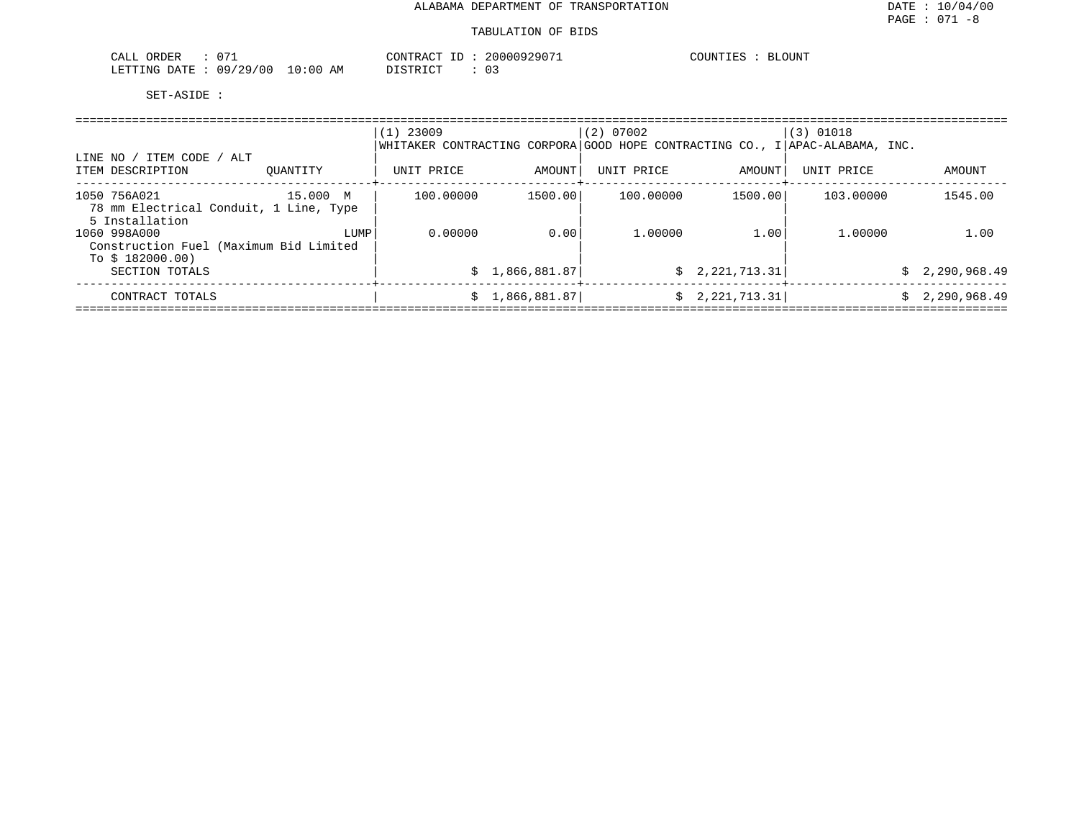| $\sim$ $\sim$<br>ORDER<br>CALL                      |           | CONTRACT<br>TD.            | $192907$ <sup>-</sup><br>200009 | $- - - - - - - -$<br><b>KIN</b><br>TUUN. |
|-----------------------------------------------------|-----------|----------------------------|---------------------------------|------------------------------------------|
| '00<br>129<br><b>ETTING</b><br>ററ<br>DATF<br>$\sim$ | :00<br>AΜ | $\lambda + \alpha + \beta$ | $\cap$<br>U J                   |                                          |

| LINE NO / ITEM CODE / ALT                                                  |          | $(1)$ 23009<br>WHITAKER CONTRACTING CORPORA GOOD HOPE CONTRACTING CO., I APAC-ALABAMA, INC. |                | $(2)$ 07002 |                | (3) 01018  |                |
|----------------------------------------------------------------------------|----------|---------------------------------------------------------------------------------------------|----------------|-------------|----------------|------------|----------------|
| ITEM DESCRIPTION                                                           | OUANTITY | UNIT PRICE                                                                                  | AMOUNT         | UNIT PRICE  | AMOUNT         | UNIT PRICE | AMOUNT         |
| 1050 756A021<br>78 mm Electrical Conduit, 1 Line, Type<br>5 Installation   | 15.000 M | 100.00000                                                                                   | 1500.00        | 100.00000   | 1500.00        | 103.00000  | 1545.00        |
| 1060 998A000<br>Construction Fuel (Maximum Bid Limited<br>To $$182000.00)$ | LUMP     | 0.00000                                                                                     | 0.00           | 1,00000     | 1.00           | 1,00000    | 1.00           |
| SECTION TOTALS                                                             |          |                                                                                             | \$1,866,881.87 |             | \$2,221,713.31 |            | \$2,290,968.49 |
| CONTRACT TOTALS                                                            |          |                                                                                             | \$1,866,881.87 |             | \$2,221,713.31 |            | \$2,290,968.49 |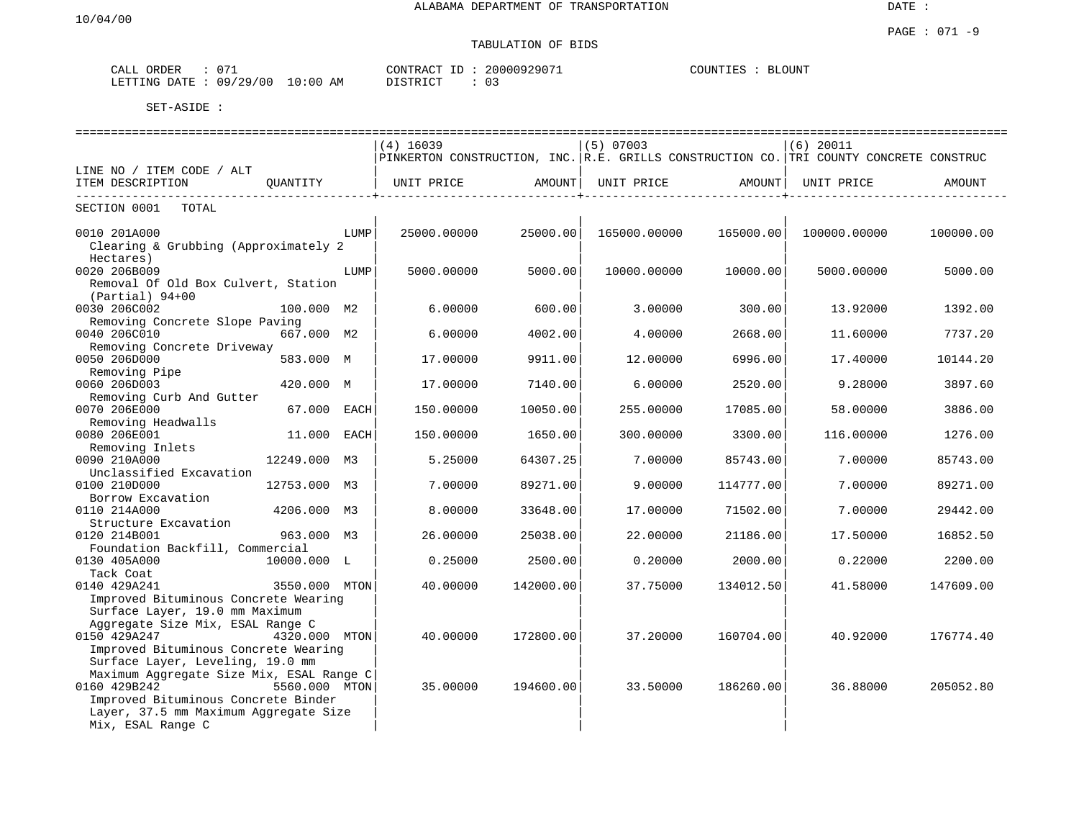# TABULATION OF BIDS

| $\sim$ $\sim$ $\sim$ $\sim$<br>ORDER<br>. תי<br>ىلىلل | $\cap$                                  | 20000929071<br>CONTRACT<br>$-1$          | OUNT<br>COUNTIES<br>¬ ! " |
|-------------------------------------------------------|-----------------------------------------|------------------------------------------|---------------------------|
| ETTING<br>RATE:<br>ᄖ                                  | 129.<br>09,<br>/00<br>0:00<br>AΜ<br>ر ت | $\sim$<br>DIOMOTOM<br>' I ' I '<br>. U – |                           |

| -------------------------------<br>==============================                                                                           | ================================= |
|---------------------------------------------------------------------------------------------------------------------------------------------|-----------------------------------|
| $(4)$ 16039<br>$(5)$ 07003<br>$(6)$ 20011                                                                                                   |                                   |
| PINKERTON CONSTRUCTION, INC. R.E. GRILLS CONSTRUCTION CO. TRI COUNTY CONCRETE CONSTRUC                                                      |                                   |
| LINE NO / ITEM CODE / ALT                                                                                                                   |                                   |
| UNIT PRICE<br>ITEM DESCRIPTION<br>QUANTITY<br>AMOUNT  <br>UNIT PRICE AMOUNT<br>UNIT PRICE<br>--------------------------<br>---------------- | AMOUNT                            |
| SECTION 0001<br>TOTAL                                                                                                                       |                                   |
| 0010 201A000<br>LUMP<br>25000.00000<br>25000.00<br>165000.00000<br>165000.00<br>100000.00000                                                | 100000.00                         |
| Clearing & Grubbing (Approximately 2                                                                                                        |                                   |
| Hectares)                                                                                                                                   |                                   |
| 0020 206B009<br>LUMP<br>5000.00000<br>5000.00<br>10000.00000<br>10000.00<br>5000.00000                                                      | 5000.00                           |
| Removal Of Old Box Culvert, Station                                                                                                         |                                   |
| (Partial) 94+00<br>0030 206C002<br>100.000 M2<br>6.00000<br>3.00000<br>600.00<br>300.00<br>13.92000                                         | 1392.00                           |
| Removing Concrete Slope Paving                                                                                                              |                                   |
| 0040 206C010<br>667.000 M2<br>6.00000<br>4002.00<br>4.00000<br>2668.00<br>11,60000                                                          | 7737.20                           |
| Removing Concrete Driveway                                                                                                                  |                                   |
| 0050 206D000<br>583.000 M<br>17.00000<br>9911.00<br>12.00000<br>6996.00<br>17.40000                                                         | 10144.20                          |
| Removing Pipe                                                                                                                               |                                   |
| 0060 206D003<br>420.000 M<br>17,00000<br>7140.00<br>6.00000<br>2520.00<br>9.28000                                                           | 3897.60                           |
| Removing Curb And Gutter                                                                                                                    |                                   |
| 0070 206E000<br>67.000 EACH<br>17085.00<br>150.00000<br>10050.00<br>255.00000<br>58.00000                                                   | 3886.00                           |
| Removing Headwalls                                                                                                                          |                                   |
| 0080 206E001<br>11.000 EACH<br>150.00000<br>1650.00<br>300.00000<br>3300.00<br>116.00000                                                    | 1276.00                           |
| Removing Inlets                                                                                                                             |                                   |
| 0090 210A000<br>12249.000 M3<br>5.25000<br>64307.25<br>7.00000<br>85743.00<br>7.00000                                                       | 85743.00                          |
| Unclassified Excavation<br>114777.00<br>0100 210D000<br>12753.000 M3<br>7.00000<br>89271.00<br>9,00000<br>7.00000                           | 89271.00                          |
| Borrow Excavation                                                                                                                           |                                   |
| 0110 214A000<br>4206.000 M3<br>8,00000<br>33648.00<br>17.00000<br>71502.00<br>7.00000                                                       | 29442.00                          |
| Structure Excavation                                                                                                                        |                                   |
| 0120 214B001<br>26.00000<br>25038.00<br>22.00000<br>21186.00<br>963.000 M3<br>17.50000                                                      | 16852.50                          |
| Foundation Backfill, Commercial                                                                                                             |                                   |
| 0130 405A000<br>10000.000 L<br>0.25000<br>2500.00<br>0.20000<br>2000.00<br>0.22000                                                          | 2200.00                           |
| Tack Coat                                                                                                                                   |                                   |
| 0140 429A241<br>3550.000 MTON<br>40.00000<br>37.75000<br>134012.50<br>41.58000<br>142000.00                                                 | 147609.00                         |
| Improved Bituminous Concrete Wearing                                                                                                        |                                   |
| Surface Layer, 19.0 mm Maximum                                                                                                              |                                   |
| Aggregate Size Mix, ESAL Range C                                                                                                            |                                   |
| 0150 429A247<br>4320.000 MTON<br>40.00000<br>172800.00<br>37.20000<br>160704.00<br>40.92000<br>Improved Bituminous Concrete Wearing         | 176774.40                         |
| Surface Layer, Leveling, 19.0 mm                                                                                                            |                                   |
| Maximum Aggregate Size Mix, ESAL Range C                                                                                                    |                                   |
| 0160 429B242<br>5560.000 MTON<br>35.00000<br>194600.00<br>33.50000<br>186260.00<br>36.88000                                                 | 205052.80                         |
| Improved Bituminous Concrete Binder                                                                                                         |                                   |
| Layer, 37.5 mm Maximum Aggregate Size                                                                                                       |                                   |
| Mix, ESAL Range C                                                                                                                           |                                   |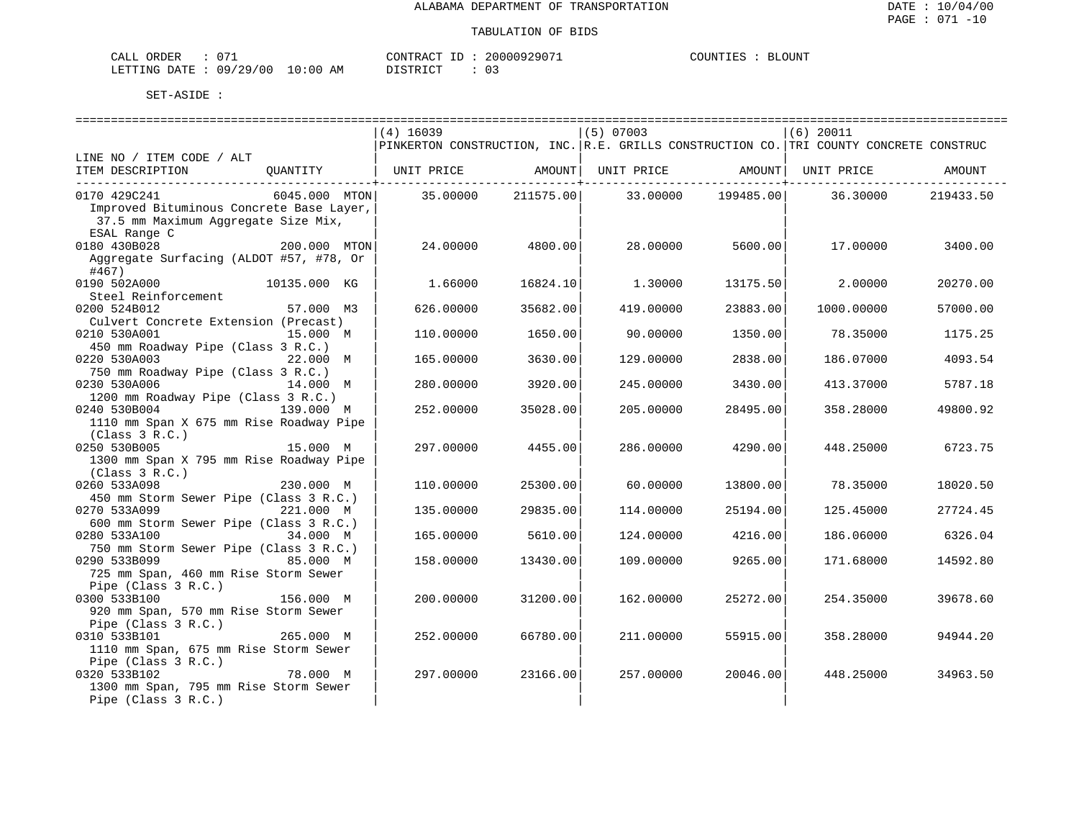| ORDER<br>CALL |              |                                                                                                                                | CONTRACT   | 2000092907 | $\gamma$ otint $\Gamma$ i . |  |
|---------------|--------------|--------------------------------------------------------------------------------------------------------------------------------|------------|------------|-----------------------------|--|
| LETTING DATE  | , : 09/29/00 | 10:00<br>ΑM<br>the contract of the contract of the contract of the contract of the contract of the contract of the contract of | $T \cap T$ |            |                             |  |

|                                                        |               | $(4)$ 16039                                                                            |           | $(5)$ 07003                    |           | $(6)$ 20011           |           |
|--------------------------------------------------------|---------------|----------------------------------------------------------------------------------------|-----------|--------------------------------|-----------|-----------------------|-----------|
|                                                        |               | PINKERTON CONSTRUCTION, INC. R.E. GRILLS CONSTRUCTION CO. TRI COUNTY CONCRETE CONSTRUC |           |                                |           |                       |           |
| LINE NO / ITEM CODE / ALT                              |               |                                                                                        |           |                                |           |                       |           |
| ITEM DESCRIPTION<br>-------------------------------    | OUANTITY      | UNIT PRICE AMOUNT                                                                      |           | UNIT PRICE AMOUNT   UNIT PRICE |           | -----------+--------- | AMOUNT    |
| 0170 429C241                                           | 6045.000 MTON | 35.00000                                                                               | 211575.00 | 33.00000                       | 199485.00 | 36.30000              | 219433.50 |
| Improved Bituminous Concrete Base Layer,               |               |                                                                                        |           |                                |           |                       |           |
| 37.5 mm Maximum Aggregate Size Mix,                    |               |                                                                                        |           |                                |           |                       |           |
| ESAL Range C                                           |               |                                                                                        |           |                                |           |                       |           |
| 0180 430B028                                           | 200.000 MTON  | 24.00000                                                                               | 4800.00   | 28,00000                       | 5600.00   | 17.00000              | 3400.00   |
| Aggregate Surfacing (ALDOT #57, #78, Or<br>#467)       |               |                                                                                        |           |                                |           |                       |           |
| 0190 502A000                                           | 10135.000 KG  | 1.66000                                                                                | 16824.10  | 1.30000                        | 13175.50  | 2.00000               | 20270.00  |
| Steel Reinforcement                                    |               |                                                                                        |           |                                |           |                       |           |
| 0200 524B012                                           | 57.000 M3     | 626.00000                                                                              | 35682.00  | 419,00000                      | 23883.00  | 1000.00000            | 57000.00  |
| Culvert Concrete Extension (Precast)                   |               |                                                                                        |           |                                |           |                       |           |
| 0210 530A001                                           | 15.000 M      | 110.00000                                                                              | 1650.00   | 90.00000                       | 1350.00   | 78.35000              | 1175.25   |
| 450 mm Roadway Pipe (Class 3 R.C.)                     |               |                                                                                        |           |                                |           |                       |           |
| 0220 530A003                                           | 22.000 M      | 165.00000                                                                              | 3630.00   | 129.00000                      | 2838.00   | 186.07000             | 4093.54   |
| 750 mm Roadway Pipe (Class 3 R.C.)                     |               |                                                                                        |           |                                |           |                       |           |
| 0230 530A006                                           | 14.000 M      | 280.00000                                                                              | 3920.00   | 245.00000                      | 3430.00   | 413.37000             | 5787.18   |
| 1200 mm Roadway Pipe (Class 3 R.C.)                    |               |                                                                                        |           |                                |           |                       |           |
| 0240 530B004                                           | 139.000 M     | 252.00000                                                                              | 35028.00  | 205.00000                      | 28495.00  | 358.28000             | 49800.92  |
| 1110 mm Span X 675 mm Rise Roadway Pipe                |               |                                                                                        |           |                                |           |                       |           |
| (Class 3 R.C.)                                         |               |                                                                                        |           |                                |           |                       |           |
| 0250 530B005                                           | 15.000 M      | 297.00000                                                                              | 4455.00   | 286.00000                      | 4290.00   | 448.25000             | 6723.75   |
| 1300 mm Span X 795 mm Rise Roadway Pipe                |               |                                                                                        |           |                                |           |                       |           |
| (Class 3 R.C.)                                         |               |                                                                                        |           |                                |           |                       |           |
| 0260 533A098                                           | 230.000 M     | 110,00000                                                                              | 25300.00  | 60.00000                       | 13800.00  | 78.35000              | 18020.50  |
| 450 mm Storm Sewer Pipe (Class 3 R.C.)                 |               |                                                                                        |           |                                |           |                       |           |
| 0270 533A099<br>600 mm Storm Sewer Pipe (Class 3 R.C.) | 221.000 M     | 135.00000                                                                              | 29835.00  | 114,00000                      | 25194.00  | 125.45000             | 27724.45  |
| 0280 533A100                                           | 34.000 M      | 165.00000                                                                              | 5610.00   | 124.00000                      | 4216.00   | 186.06000             | 6326.04   |
| 750 mm Storm Sewer Pipe (Class 3 R.C.)                 |               |                                                                                        |           |                                |           |                       |           |
| 0290 533B099                                           | 85.000 M      | 158.00000                                                                              | 13430.00  | 109,00000                      | 9265.00   | 171.68000             | 14592.80  |
| 725 mm Span, 460 mm Rise Storm Sewer                   |               |                                                                                        |           |                                |           |                       |           |
| Pipe (Class 3 R.C.)                                    |               |                                                                                        |           |                                |           |                       |           |
| 0300 533B100                                           | 156.000 M     | 200,00000                                                                              | 31200.00  | 162.00000                      | 25272.00  | 254.35000             | 39678.60  |
| 920 mm Span, 570 mm Rise Storm Sewer                   |               |                                                                                        |           |                                |           |                       |           |
| Pipe (Class 3 R.C.)                                    |               |                                                                                        |           |                                |           |                       |           |
| 0310 533B101                                           | 265.000 M     | 252.00000                                                                              | 66780.00  | 211,00000                      | 55915.00  | 358.28000             | 94944.20  |
| 1110 mm Span, 675 mm Rise Storm Sewer                  |               |                                                                                        |           |                                |           |                       |           |
| Pipe (Class 3 R.C.)                                    |               |                                                                                        |           |                                |           |                       |           |
| 0320 533B102                                           | 78.000 M      | 297.00000                                                                              | 23166.00  | 257.00000                      | 20046.00  | 448.25000             | 34963.50  |
| 1300 mm Span, 795 mm Rise Storm Sewer                  |               |                                                                                        |           |                                |           |                       |           |
| Pipe (Class 3 R.C.)                                    |               |                                                                                        |           |                                |           |                       |           |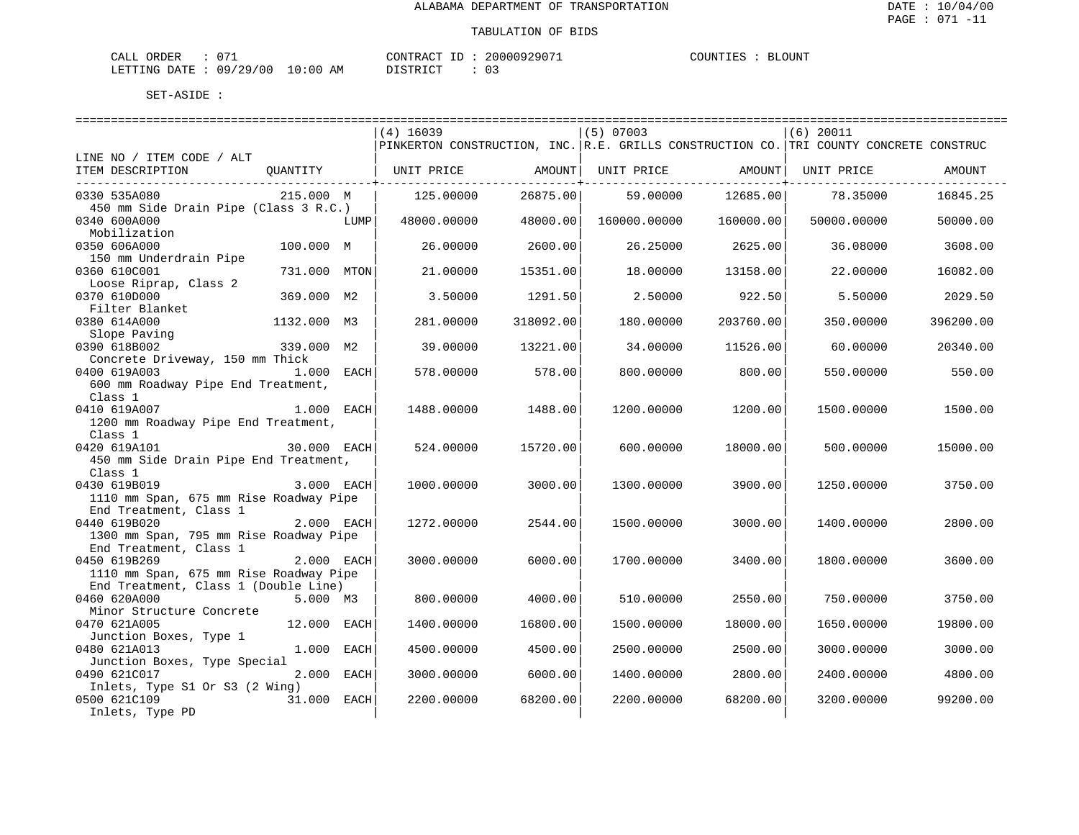| ORDER<br>CALL          | $\sim$ $\sim$ |             | CONTRACT      | $ -$ | 2000092907    | COUNTIES | <b>BLOUNT</b> |
|------------------------|---------------|-------------|---------------|------|---------------|----------|---------------|
| LETTING DATE: 09/29/00 |               | 10:00<br>AΜ | חימת דפידי את |      | $\sim$ $\sim$ |          |               |

|                                                      |              |      | $(4)$ 16039                                                                            |           | $(5)$ 07003  |               | $(6)$ 20011 |           |  |  |
|------------------------------------------------------|--------------|------|----------------------------------------------------------------------------------------|-----------|--------------|---------------|-------------|-----------|--|--|
|                                                      |              |      | PINKERTON CONSTRUCTION, INC. R.E. GRILLS CONSTRUCTION CO. TRI COUNTY CONCRETE CONSTRUC |           |              |               |             |           |  |  |
| LINE NO / ITEM CODE / ALT                            |              |      |                                                                                        |           |              |               |             |           |  |  |
| ITEM DESCRIPTION                                     | OUANTITY     |      | UNIT PRICE                                                                             | AMOUNT    | UNIT PRICE   | AMOUNT        | UNIT PRICE  | AMOUNT    |  |  |
|                                                      |              |      |                                                                                        |           |              | ------------- |             |           |  |  |
| 0330 535A080                                         | 215.000 M    |      | 125.00000                                                                              | 26875.00  | 59.00000     | 12685.00      | 78.35000    | 16845.25  |  |  |
| 450 mm Side Drain Pipe (Class 3 R.C.)                |              |      |                                                                                        |           |              |               |             |           |  |  |
| 0340 600A000                                         |              | LUMP | 48000.00000                                                                            | 48000.00  | 160000.00000 | 160000.00     | 50000.00000 | 50000.00  |  |  |
| Mobilization                                         |              |      |                                                                                        |           |              |               |             |           |  |  |
| 0350 606A000                                         | 100.000 M    |      | 26.00000                                                                               | 2600.00   | 26.25000     | 2625.00       | 36.08000    | 3608.00   |  |  |
| 150 mm Underdrain Pipe                               |              |      |                                                                                        |           |              |               |             |           |  |  |
| 0360 610C001                                         | 731.000 MTON |      | 21.00000                                                                               | 15351.00  | 18.00000     | 13158.00      | 22.00000    | 16082.00  |  |  |
| Loose Riprap, Class 2                                |              |      |                                                                                        |           |              |               |             |           |  |  |
| 0370 610D000                                         | 369.000 M2   |      | 3.50000                                                                                | 1291.50   | 2.50000      | 922.50        | 5.50000     | 2029.50   |  |  |
| Filter Blanket                                       |              |      |                                                                                        |           |              |               |             |           |  |  |
| 0380 614A000                                         | 1132.000 M3  |      | 281.00000                                                                              | 318092.00 | 180.00000    | 203760.00     | 350.00000   | 396200.00 |  |  |
| Slope Paving                                         |              |      |                                                                                        |           |              |               |             |           |  |  |
| 0390 618B002                                         | 339.000 M2   |      | 39.00000                                                                               | 13221.00  | 34.00000     | 11526.00      | 60.00000    | 20340.00  |  |  |
| Concrete Driveway, 150 mm Thick                      |              |      |                                                                                        |           |              |               |             |           |  |  |
| 0400 619A003                                         | 1.000        | EACH | 578.00000                                                                              | 578.00    | 800,00000    | 800.00        | 550.00000   | 550.00    |  |  |
| 600 mm Roadway Pipe End Treatment,                   |              |      |                                                                                        |           |              |               |             |           |  |  |
| Class 1                                              |              |      |                                                                                        |           |              |               |             |           |  |  |
| 0410 619A007                                         | 1.000 EACH   |      | 1488.00000                                                                             | 1488.00   | 1200.00000   | 1200.00       | 1500.00000  | 1500.00   |  |  |
| 1200 mm Roadway Pipe End Treatment,                  |              |      |                                                                                        |           |              |               |             |           |  |  |
| Class 1                                              |              |      |                                                                                        |           |              |               |             |           |  |  |
| 0420 619A101                                         | 30.000 EACH  |      | 524.00000                                                                              | 15720.00  | 600.00000    | 18000.00      | 500.00000   | 15000.00  |  |  |
| 450 mm Side Drain Pipe End Treatment,                |              |      |                                                                                        |           |              |               |             |           |  |  |
| Class 1                                              |              |      |                                                                                        |           |              |               |             |           |  |  |
| 0430 619B019                                         | 3.000 EACH   |      | 1000.00000                                                                             | 3000.00   | 1300.00000   | 3900.00       | 1250.00000  | 3750.00   |  |  |
| 1110 mm Span, 675 mm Rise Roadway Pipe               |              |      |                                                                                        |           |              |               |             |           |  |  |
|                                                      |              |      |                                                                                        |           |              |               |             |           |  |  |
| End Treatment, Class 1<br>0440 619B020               | 2.000 EACH   |      |                                                                                        |           |              | 3000.00       |             |           |  |  |
|                                                      |              |      | 1272.00000                                                                             | 2544.00   | 1500.00000   |               | 1400.00000  | 2800.00   |  |  |
| 1300 mm Span, 795 mm Rise Roadway Pipe               |              |      |                                                                                        |           |              |               |             |           |  |  |
| End Treatment, Class 1<br>0450 619B269               | 2.000 EACH   |      | 3000.00000                                                                             | 6000.00   | 1700.00000   | 3400.00       |             | 3600.00   |  |  |
|                                                      |              |      |                                                                                        |           |              |               | 1800.00000  |           |  |  |
| 1110 mm Span, 675 mm Rise Roadway Pipe               |              |      |                                                                                        |           |              |               |             |           |  |  |
| End Treatment, Class 1 (Double Line)<br>0460 620A000 |              |      |                                                                                        |           |              |               |             |           |  |  |
|                                                      | 5.000 M3     |      | 800.00000                                                                              | 4000.00   | 510.00000    | 2550.00       | 750.00000   | 3750.00   |  |  |
| Minor Structure Concrete                             |              |      |                                                                                        |           |              |               |             |           |  |  |
| 0470 621A005                                         | 12.000 EACH  |      | 1400.00000                                                                             | 16800.00  | 1500.00000   | 18000.00      | 1650.00000  | 19800.00  |  |  |
| Junction Boxes, Type 1                               |              |      |                                                                                        |           |              |               |             |           |  |  |
| 0480 621A013                                         | 1.000 EACH   |      | 4500.00000                                                                             | 4500.00   | 2500.00000   | 2500.00       | 3000.00000  | 3000.00   |  |  |
| Junction Boxes, Type Special                         |              |      |                                                                                        |           |              |               |             |           |  |  |
| 0490 621C017                                         | 2.000        | EACH | 3000.00000                                                                             | 6000.00   | 1400.00000   | 2800.00       | 2400.00000  | 4800.00   |  |  |
| Inlets, Type S1 Or S3 (2 Wing)                       |              |      |                                                                                        |           |              |               |             |           |  |  |
| 0500 621C109                                         | 31.000 EACH  |      | 2200.00000                                                                             | 68200.00  | 2200.00000   | 68200.00      | 3200.00000  | 99200.00  |  |  |
| Inlets, Type PD                                      |              |      |                                                                                        |           |              |               |             |           |  |  |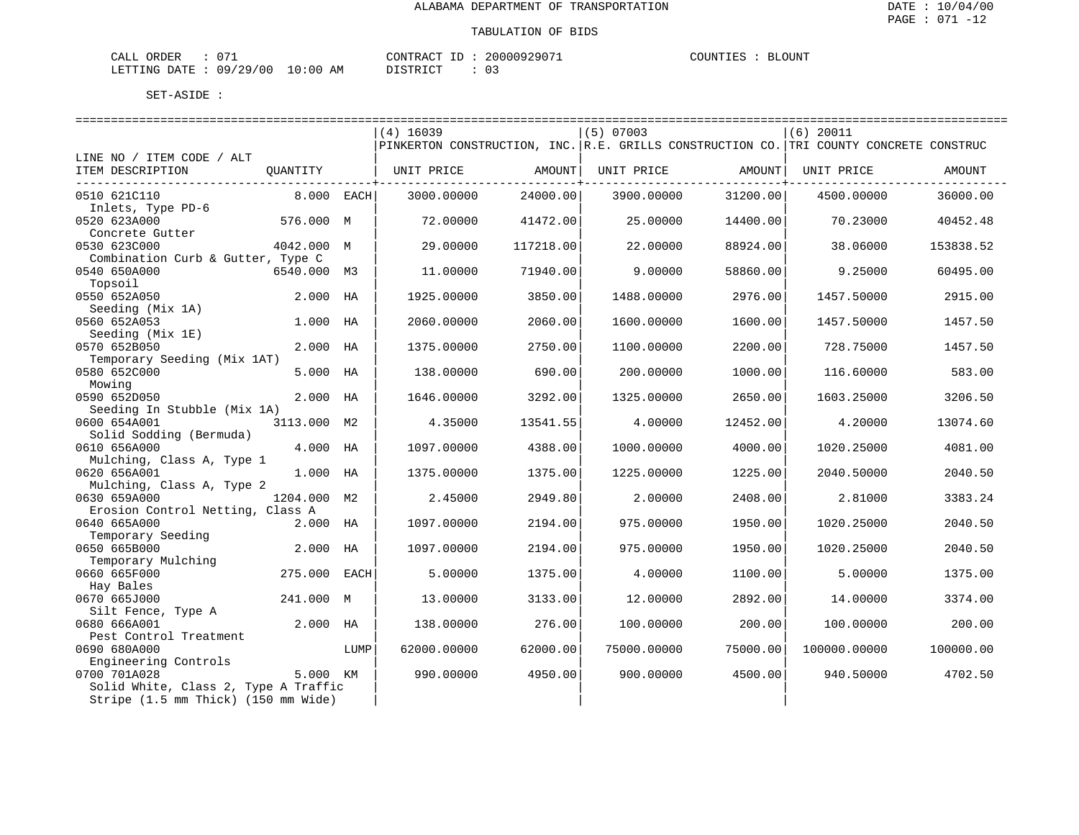| ORDER<br>CALL          | $\sim$ $\sim$ |             | CONTRACT      | $ -$ | 2000092907    | COUNTIES | <b>BLOUNT</b> |
|------------------------|---------------|-------------|---------------|------|---------------|----------|---------------|
| LETTING DATE: 09/29/00 |               | 10:00<br>AΜ | חימת דפידי את |      | $\sim$ $\sim$ |          |               |

|                                                  |              |      | $(4)$ 16039                                                                            |           | $(5)$ 07003 |          | $(6)$ 20011  |           |
|--------------------------------------------------|--------------|------|----------------------------------------------------------------------------------------|-----------|-------------|----------|--------------|-----------|
|                                                  |              |      | PINKERTON CONSTRUCTION, INC. R.E. GRILLS CONSTRUCTION CO. TRI COUNTY CONCRETE CONSTRUC |           |             |          |              |           |
| LINE NO / ITEM CODE / ALT                        |              |      |                                                                                        |           |             |          |              |           |
| ITEM DESCRIPTION                                 | OUANTITY     |      | UNIT PRICE                                                                             | AMOUNT    | UNIT PRICE  | AMOUNT   | UNIT PRICE   | AMOUNT    |
|                                                  |              |      |                                                                                        |           |             |          |              |           |
| 0510 621C110<br>Inlets, Type PD-6                | $8.000$ EACH |      | 3000.00000                                                                             | 24000.00  | 3900.00000  | 31200.00 | 4500.00000   | 36000.00  |
| 0520 623A000                                     | 576.000 M    |      | 72.00000                                                                               | 41472.00  | 25.00000    | 14400.00 | 70.23000     | 40452.48  |
| Concrete Gutter                                  |              |      |                                                                                        |           |             |          |              |           |
| 0530 623C000                                     | 4042.000 M   |      | 29.00000                                                                               | 117218.00 | 22.00000    | 88924.00 | 38.06000     | 153838.52 |
| Combination Curb & Gutter, Type C                |              |      |                                                                                        |           |             |          |              |           |
| 0540 650A000                                     | 6540.000 M3  |      | 11.00000                                                                               | 71940.00  | 9.00000     | 58860.00 | 9.25000      | 60495.00  |
| Topsoil                                          |              |      |                                                                                        |           |             |          |              |           |
| 0550 652A050                                     | 2.000 HA     |      | 1925.00000                                                                             | 3850.00   | 1488.00000  | 2976.00  | 1457.50000   | 2915.00   |
| Seeding (Mix 1A)                                 |              |      |                                                                                        |           |             |          |              |           |
| 0560 652A053                                     | 1,000        | НA   | 2060.00000                                                                             | 2060.00   | 1600.00000  | 1600.00  | 1457.50000   | 1457.50   |
| Seeding (Mix 1E)                                 |              |      |                                                                                        |           |             |          |              |           |
| 0570 652B050                                     | 2.000        | HA   | 1375.00000                                                                             | 2750.00   | 1100.00000  | 2200.00  | 728.75000    | 1457.50   |
| Temporary Seeding (Mix 1AT)<br>0580 652C000      | 5.000        | HA   | 138.00000                                                                              | 690.00    | 200.00000   | 1000.00  | 116.60000    | 583.00    |
| Mowing                                           |              |      |                                                                                        |           |             |          |              |           |
| 0590 652D050                                     | 2.000 HA     |      | 1646.00000                                                                             | 3292.00   | 1325.00000  | 2650.00  | 1603.25000   | 3206.50   |
| Seeding In Stubble (Mix 1A)                      |              |      |                                                                                        |           |             |          |              |           |
| 0600 654A001                                     | 3113.000 M2  |      | 4.35000                                                                                | 13541.55  | 4.00000     | 12452.00 | 4.20000      | 13074.60  |
| Solid Sodding (Bermuda)                          |              |      |                                                                                        |           |             |          |              |           |
| 0610 656A000                                     | 4.000 HA     |      | 1097.00000                                                                             | 4388.00   | 1000.00000  | 4000.00  | 1020.25000   | 4081.00   |
| Mulching, Class A, Type 1                        |              |      |                                                                                        |           |             |          |              |           |
| 0620 656A001                                     | 1.000 HA     |      | 1375.00000                                                                             | 1375.00   | 1225.00000  | 1225.00  | 2040.50000   | 2040.50   |
| Mulching, Class A, Type 2                        |              |      |                                                                                        |           |             |          |              |           |
| 0630 659A000                                     | 1204.000 M2  |      | 2.45000                                                                                | 2949.80   | 2.00000     | 2408.00  | 2.81000      | 3383.24   |
| Erosion Control Netting, Class A<br>0640 665A000 | 2.000 HA     |      | 1097.00000                                                                             | 2194.00   | 975.00000   | 1950.00  | 1020.25000   | 2040.50   |
| Temporary Seeding                                |              |      |                                                                                        |           |             |          |              |           |
| 0650 665B000                                     | 2.000 HA     |      | 1097.00000                                                                             | 2194.00   | 975.00000   | 1950.00  | 1020.25000   | 2040.50   |
| Temporary Mulching                               |              |      |                                                                                        |           |             |          |              |           |
| 0660 665F000                                     | 275.000      | EACH | 5.00000                                                                                | 1375.00   | 4.00000     | 1100.00  | 5.00000      | 1375.00   |
| Hay Bales                                        |              |      |                                                                                        |           |             |          |              |           |
| 0670 665J000                                     | 241.000 M    |      | 13.00000                                                                               | 3133.00   | 12.00000    | 2892.00  | 14,00000     | 3374.00   |
| Silt Fence, Type A                               |              |      |                                                                                        |           |             |          |              |           |
| 0680 666A001                                     | 2.000 HA     |      | 138.00000                                                                              | 276.00    | 100.00000   | 200.00   | 100.00000    | 200.00    |
| Pest Control Treatment                           |              |      |                                                                                        |           |             |          |              |           |
| 0690 680A000                                     |              | LUMP | 62000.00000                                                                            | 62000.00  | 75000.00000 | 75000.00 | 100000.00000 | 100000.00 |
| Engineering Controls<br>0700 701A028             | 5.000 KM     |      | 990.00000                                                                              | 4950.00   | 900.00000   | 4500.00  | 940.50000    | 4702.50   |
| Solid White, Class 2, Type A Traffic             |              |      |                                                                                        |           |             |          |              |           |
| Stripe (1.5 mm Thick) (150 mm Wide)              |              |      |                                                                                        |           |             |          |              |           |
|                                                  |              |      |                                                                                        |           |             |          |              |           |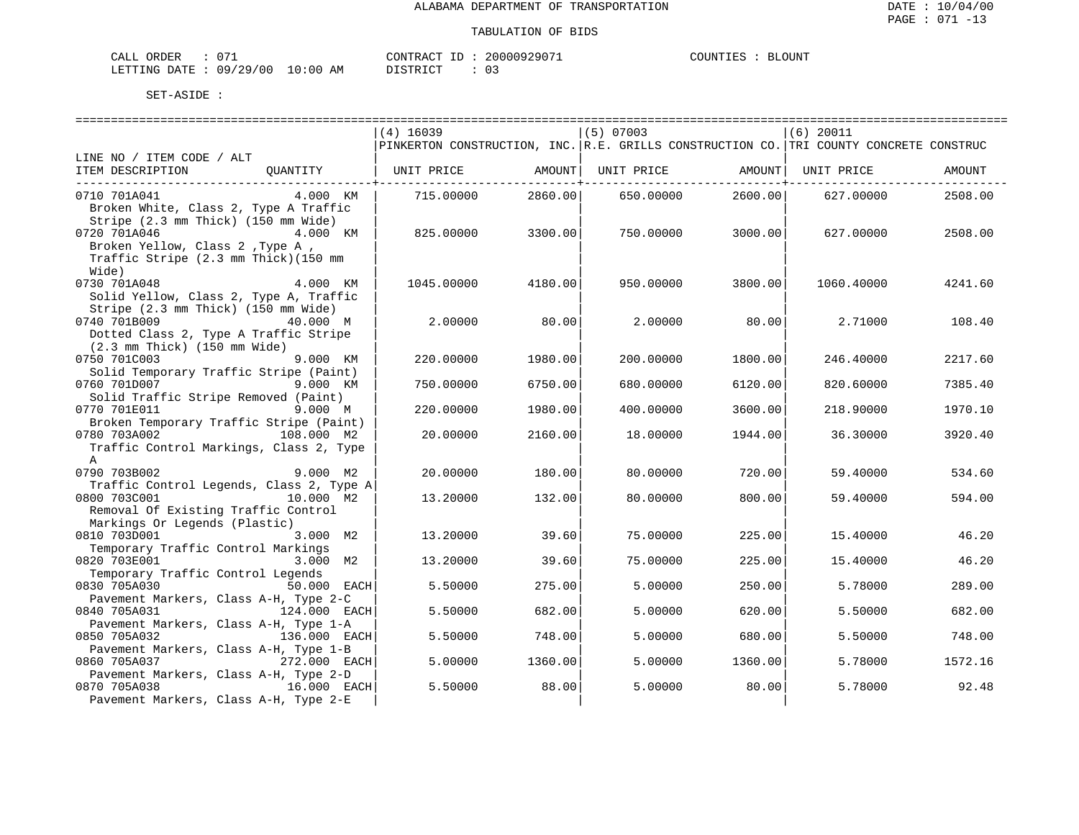| ORDER<br>CALL (                  |  | CONTRACT ID: |  | 20000929071   | COUNTIES | BLOUNT |
|----------------------------------|--|--------------|--|---------------|----------|--------|
| LETTING DATE : 09/29/00 10:00 AM |  | DISTRICT     |  | $\cap$ $\cap$ |          |        |

|                                                                          | $(4)$ 16039       |            | $(5)$ 07003                                                                            |         | $(6)$ 20011 |         |
|--------------------------------------------------------------------------|-------------------|------------|----------------------------------------------------------------------------------------|---------|-------------|---------|
|                                                                          |                   |            | PINKERTON CONSTRUCTION, INC. R.E. GRILLS CONSTRUCTION CO. TRI COUNTY CONCRETE CONSTRUC |         |             |         |
| LINE NO / ITEM CODE / ALT                                                |                   |            |                                                                                        |         |             |         |
| ITEM DESCRIPTION<br>OUANTITY                                             | UNIT PRICE AMOUNT |            | UNIT PRICE AMOUNT                                                                      |         | UNIT PRICE  | AMOUNT  |
|                                                                          |                   | ---------+ |                                                                                        |         |             |         |
| 4.000 KM<br>0710 701A041                                                 | 715,00000         | 2860.00    | 650.00000                                                                              | 2600.00 | 627.00000   | 2508.00 |
| Broken White, Class 2, Type A Traffic                                    |                   |            |                                                                                        |         |             |         |
| Stripe (2.3 mm Thick) (150 mm Wide)                                      |                   |            |                                                                                        |         |             |         |
| 0720 701A046<br>4.000 KM                                                 | 825.00000         | 3300.00    | 750.00000                                                                              | 3000.00 | 627.00000   | 2508.00 |
| Broken Yellow, Class 2, Type A,                                          |                   |            |                                                                                        |         |             |         |
| Traffic Stripe (2.3 mm Thick) (150 mm                                    |                   |            |                                                                                        |         |             |         |
| Wide)                                                                    |                   |            |                                                                                        |         |             |         |
| 0730 701A048<br>4.000 KM                                                 | 1045.00000        | 4180.00    | 950.00000                                                                              | 3800.00 | 1060.40000  | 4241.60 |
| Solid Yellow, Class 2, Type A, Traffic                                   |                   |            |                                                                                        |         |             |         |
| Stripe (2.3 mm Thick) (150 mm Wide)                                      |                   |            |                                                                                        |         |             |         |
| 0740 701B009<br>40.000 M                                                 | 2,00000           | 80.00      | 2.00000                                                                                | 80.00   | 2.71000     | 108.40  |
| Dotted Class 2, Type A Traffic Stripe                                    |                   |            |                                                                                        |         |             |         |
| $(2.3 \, \text{mm} \, \text{Thick})$ $(150 \, \text{mm} \, \text{Wide})$ |                   |            |                                                                                        |         |             |         |
| 0750 701C003<br>9.000 KM                                                 | 220,00000         | 1980.00    | 200.00000                                                                              | 1800.00 | 246.40000   | 2217.60 |
| Solid Temporary Traffic Stripe (Paint)                                   |                   |            |                                                                                        |         |             |         |
| 0760 701D007<br>9.000 KM                                                 | 750.00000         | 6750.00    | 680.00000                                                                              | 6120.00 | 820.60000   | 7385.40 |
| Solid Traffic Stripe Removed (Paint)                                     |                   |            |                                                                                        |         |             |         |
| 0770 701E011<br>9.000 M                                                  | 220.00000         | 1980.00    | 400,00000                                                                              | 3600.00 | 218,90000   | 1970.10 |
| Broken Temporary Traffic Stripe (Paint)                                  |                   |            |                                                                                        |         |             |         |
| 0780 703A002<br>108.000 M2                                               | 20,00000          | 2160.00    | 18,00000                                                                               | 1944.00 | 36.30000    | 3920.40 |
| Traffic Control Markings, Class 2, Type                                  |                   |            |                                                                                        |         |             |         |
| $\mathbb{A}$                                                             |                   |            |                                                                                        |         |             |         |
| 0790 703B002<br>9.000 M2                                                 | 20.00000          | 180.00     | 80.00000                                                                               | 720.00  | 59.40000    | 534.60  |
| Traffic Control Legends, Class 2, Type A                                 |                   |            |                                                                                        |         |             |         |
| 0800 703C001<br>10.000 M2                                                | 13,20000          | 132.00     | 80.00000                                                                               | 800.00  | 59.40000    | 594.00  |
| Removal Of Existing Traffic Control                                      |                   |            |                                                                                        |         |             |         |
| Markings Or Legends (Plastic)                                            |                   |            |                                                                                        |         |             |         |
| 0810 703D001<br>3.000 M2                                                 | 13.20000          | 39.60      | 75.00000                                                                               | 225.00  | 15.40000    | 46.20   |
| Temporary Traffic Control Markings<br>0820 703E001<br>3.000 M2           | 13,20000          | 39.60      | 75.00000                                                                               | 225.00  | 15,40000    | 46.20   |
| Temporary Traffic Control Legends                                        |                   |            |                                                                                        |         |             |         |
| 0830 705A030<br>50.000 EACH                                              | 5.50000           | 275.00     | 5.00000                                                                                | 250.00  | 5.78000     | 289.00  |
| Pavement Markers, Class A-H, Type 2-C                                    |                   |            |                                                                                        |         |             |         |
| 0840 705A031<br>124.000 EACH                                             | 5.50000           | 682.00     | 5.00000                                                                                | 620.00  | 5.50000     | 682.00  |
| Pavement Markers, Class A-H, Type 1-A                                    |                   |            |                                                                                        |         |             |         |
| 0850 705A032<br>136.000 EACH                                             | 5.50000           | 748.00     | 5.00000                                                                                | 680.00  | 5.50000     | 748.00  |
| Pavement Markers, Class A-H, Type 1-B                                    |                   |            |                                                                                        |         |             |         |
| 0860 705A037<br>272.000 EACH                                             | 5.00000           | 1360.00    | 5.00000                                                                                | 1360.00 | 5.78000     | 1572.16 |
| Pavement Markers, Class A-H, Type 2-D                                    |                   |            |                                                                                        |         |             |         |
| 16.000 EACH<br>0870 705A038                                              | 5.50000           | 88.00      | 5.00000                                                                                | 80.00   | 5.78000     | 92.48   |
| Pavement Markers, Class A-H, Type 2-E                                    |                   |            |                                                                                        |         |             |         |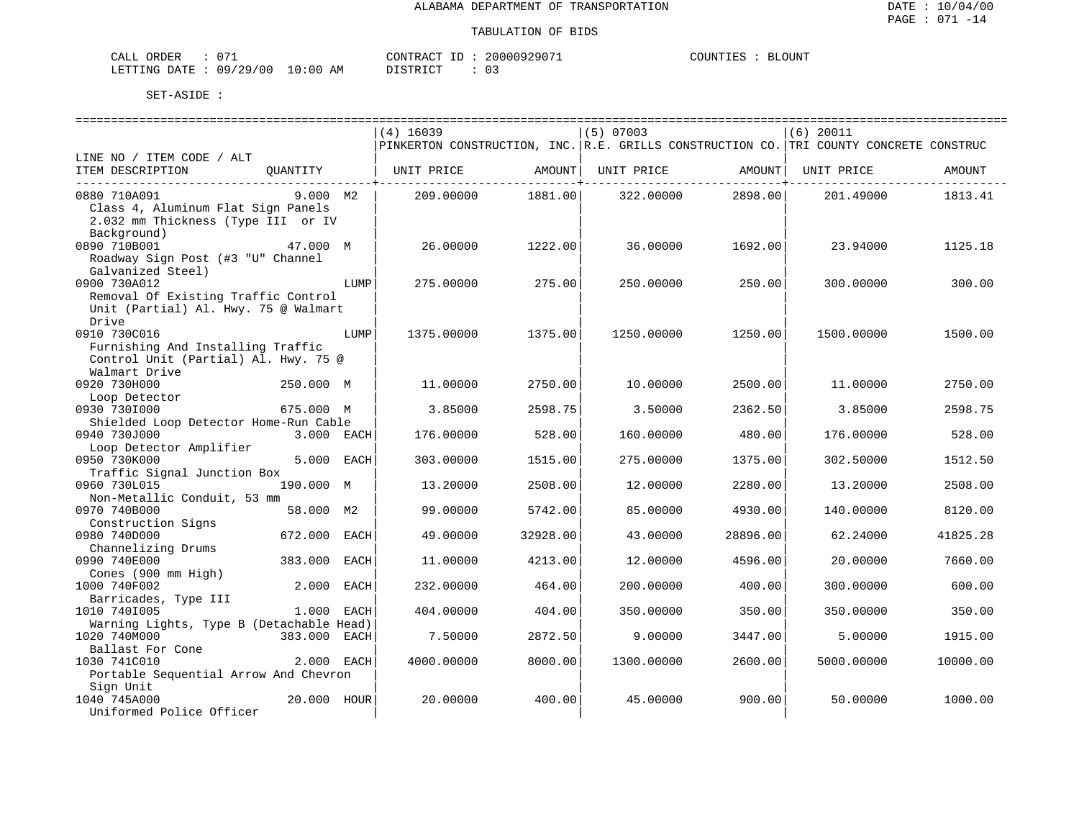| ORDER<br>CALL | $\sim$ $\sim$ |             | $ -$<br>CONTRACT | 2000092907 | COLINT. | <b>CUNT</b> |
|---------------|---------------|-------------|------------------|------------|---------|-------------|
| LETTING DATE  | 09/29/00      | 10:00<br>AM | חי חים דרי       | n 7        |         |             |

|                                             |              |      | $(4)$ 16039                                                                            |                   | $(5)$ 07003 |              | $(6)$ 20011 |          |
|---------------------------------------------|--------------|------|----------------------------------------------------------------------------------------|-------------------|-------------|--------------|-------------|----------|
|                                             |              |      | PINKERTON CONSTRUCTION, INC. R.E. GRILLS CONSTRUCTION CO. TRI COUNTY CONCRETE CONSTRUC |                   |             |              |             |          |
| LINE NO / ITEM CODE / ALT                   |              |      |                                                                                        |                   |             |              |             |          |
| ITEM DESCRIPTION                            | OUANTITY     |      | UNIT PRICE                                                                             | AMOUNT            | UNIT PRICE  | AMOUNT       | UNIT PRICE  | AMOUNT   |
|                                             |              |      |                                                                                        | $- - - - - - - +$ |             | -----------+ |             |          |
| 0880 710A091                                | 9.000 M2     |      | 209,00000                                                                              | 1881.00           | 322.00000   | 2898.00      | 201.49000   | 1813.41  |
| Class 4, Aluminum Flat Sign Panels          |              |      |                                                                                        |                   |             |              |             |          |
| 2.032 mm Thickness (Type III or IV          |              |      |                                                                                        |                   |             |              |             |          |
| Background)                                 |              |      |                                                                                        |                   |             |              |             |          |
| 0890 710B001                                | 47.000 M     |      | 26.00000                                                                               | 1222.00           | 36.00000    | 1692.00      | 23.94000    | 1125.18  |
| Roadway Sign Post (#3 "U" Channel           |              |      |                                                                                        |                   |             |              |             |          |
| Galvanized Steel)                           |              |      |                                                                                        |                   |             |              |             |          |
| 0900 730A012                                |              | LUMP | 275.00000                                                                              | 275.00            | 250.00000   | 250.00       | 300.00000   | 300.00   |
| Removal Of Existing Traffic Control         |              |      |                                                                                        |                   |             |              |             |          |
| Unit (Partial) Al. Hwy. 75 @ Walmart        |              |      |                                                                                        |                   |             |              |             |          |
| Drive                                       |              |      |                                                                                        |                   |             |              |             |          |
| 0910 730C016                                |              | LUMP | 1375.00000                                                                             | 1375.00           | 1250.00000  | 1250.00      | 1500.00000  | 1500.00  |
| Furnishing And Installing Traffic           |              |      |                                                                                        |                   |             |              |             |          |
| Control Unit (Partial) Al. Hwy. 75 @        |              |      |                                                                                        |                   |             |              |             |          |
| Walmart Drive                               |              |      |                                                                                        |                   |             |              |             |          |
| 0920 730H000                                | 250.000 M    |      | 11.00000                                                                               | 2750.00           | 10.00000    | 2500.00      | 11,00000    | 2750.00  |
| Loop Detector                               |              |      |                                                                                        |                   |             |              |             |          |
| 0930 7301000                                | 675.000 M    |      | 3.85000                                                                                | 2598.75           | 3.50000     | 2362.50      | 3.85000     | 2598.75  |
| Shielded Loop Detector Home-Run Cable       |              |      |                                                                                        |                   |             |              |             |          |
| 0940 730J000                                | 3.000 EACH   |      | 176.00000                                                                              | 528.00            | 160.00000   | 480.00       | 176.00000   | 528.00   |
| Loop Detector Amplifier                     |              |      |                                                                                        |                   |             |              |             |          |
| 0950 730K000                                | 5.000 EACH   |      | 303.00000                                                                              | 1515.00           | 275.00000   | 1375.00      | 302.50000   | 1512.50  |
| Traffic Signal Junction Box                 |              |      |                                                                                        |                   |             |              |             |          |
| 0960 730L015                                | 190.000 M    |      | 13.20000                                                                               | 2508.00           | 12.00000    | 2280.00      | 13.20000    | 2508.00  |
| Non-Metallic Conduit, 53 mm<br>0970 740B000 | 58.000 M2    |      | 99.00000                                                                               | 5742.00           | 85.00000    | 4930.00      | 140.00000   | 8120.00  |
| Construction Signs                          |              |      |                                                                                        |                   |             |              |             |          |
| 0980 740D000                                | 672.000 EACH |      | 49.00000                                                                               | 32928.00          | 43.00000    | 28896.00     | 62.24000    | 41825.28 |
| Channelizing Drums                          |              |      |                                                                                        |                   |             |              |             |          |
| 0990 740E000                                | 383.000 EACH |      | 11.00000                                                                               | 4213.00           | 12.00000    | 4596.00      | 20.00000    | 7660.00  |
| Cones (900 mm High)                         |              |      |                                                                                        |                   |             |              |             |          |
| 1000 740F002                                | 2.000 EACH   |      | 232.00000                                                                              | 464.00            | 200.00000   | 400.00       | 300.00000   | 600.00   |
| Barricades, Type III                        |              |      |                                                                                        |                   |             |              |             |          |
| 1010 7401005                                | 1.000 EACH   |      | 404.00000                                                                              | 404.00            | 350.00000   | 350.00       | 350.00000   | 350.00   |
| Warning Lights, Type B (Detachable Head)    |              |      |                                                                                        |                   |             |              |             |          |
| 1020 740M000                                | 383.000 EACH |      | 7.50000                                                                                | 2872.50           | 9.00000     | 3447.00      | 5.00000     | 1915.00  |
| Ballast For Cone                            |              |      |                                                                                        |                   |             |              |             |          |
| 1030 741C010                                | 2.000 EACH   |      | 4000.00000                                                                             | 8000.00           | 1300.00000  | 2600.00      | 5000.00000  | 10000.00 |
| Portable Sequential Arrow And Chevron       |              |      |                                                                                        |                   |             |              |             |          |
| Sign Unit                                   |              |      |                                                                                        |                   |             |              |             |          |
| 1040 745A000                                | 20.000 HOUR  |      | 20.00000                                                                               | 400.00            | 45.00000    | 900.00       | 50.00000    | 1000.00  |
| Uniformed Police Officer                    |              |      |                                                                                        |                   |             |              |             |          |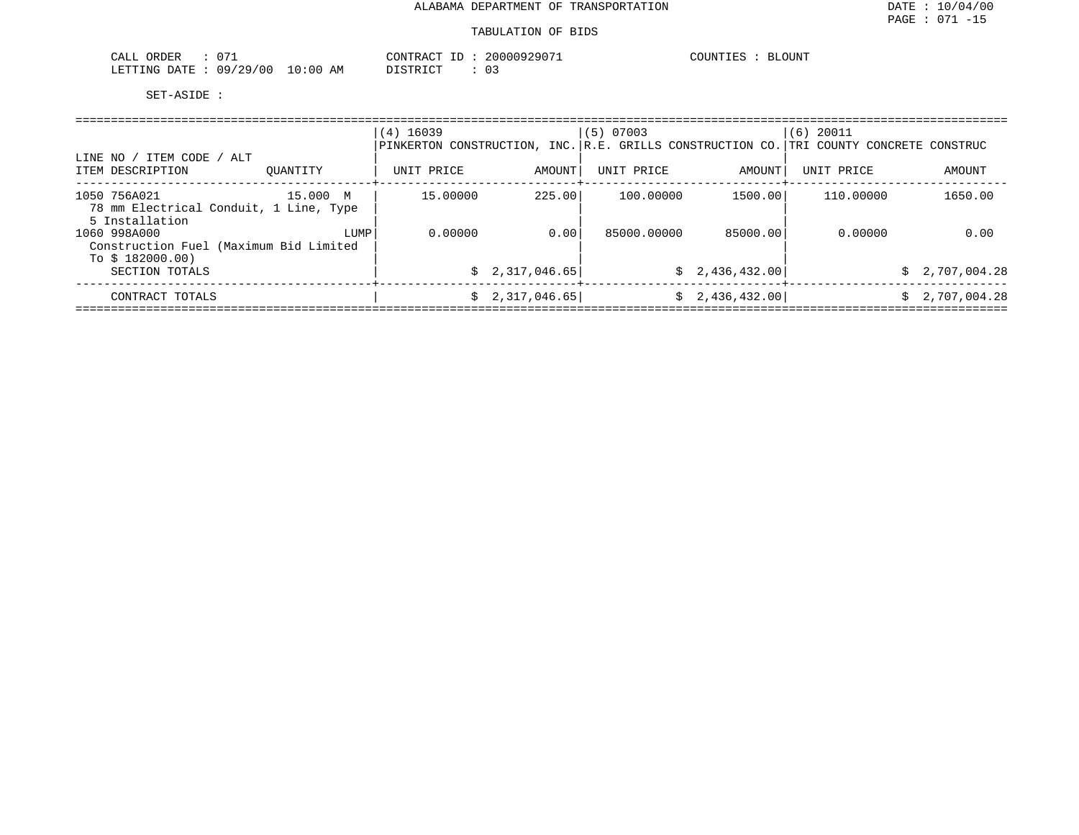| $\sim$ $\sim$<br>ORDER<br>CALL<br>U / ⊥ | CONTRACT ID            | 20000929071 | <b>BLOUNT</b><br>COUNTIES |
|-----------------------------------------|------------------------|-------------|---------------------------|
| 09/29/00<br>LETTING DATE                | $10:00$ AM<br>DISTRICT | U 3         |                           |

| ITEM CODE / ALT<br>LINE NO                                                 |          | $(4)$ 16039 |                 | $(5)$ 07003 |                 | $(6)$ 20011<br>PINKERTON CONSTRUCTION, INC. R.E. GRILLS CONSTRUCTION CO. TRI COUNTY CONCRETE CONSTRUC |                |
|----------------------------------------------------------------------------|----------|-------------|-----------------|-------------|-----------------|-------------------------------------------------------------------------------------------------------|----------------|
| ITEM DESCRIPTION                                                           | OUANTITY | UNIT PRICE  | AMOUNT          | UNIT PRICE  | AMOUNT          | UNIT PRICE                                                                                            | AMOUNT         |
| 1050 756A021<br>78 mm Electrical Conduit, 1 Line, Type<br>5 Installation   | 15.000 M | 15,00000    | 225.00          | 100.00000   | 1500.00         | 110.00000                                                                                             | 1650.00        |
| 1060 998A000<br>Construction Fuel (Maximum Bid Limited<br>To \$ 182000.00) | LUMP     | 0.00000     | 0.00            | 85000.00000 | 85000.00        | 0.00000                                                                                               | 0.00           |
| SECTION TOTALS                                                             |          |             | \$2,317,046.65] |             | \$2,436,432.00  |                                                                                                       | \$2,707,004.28 |
| CONTRACT TOTALS                                                            |          |             | \$2,317,046.65] |             | \$2,436,432.00] |                                                                                                       | \$2,707,004.28 |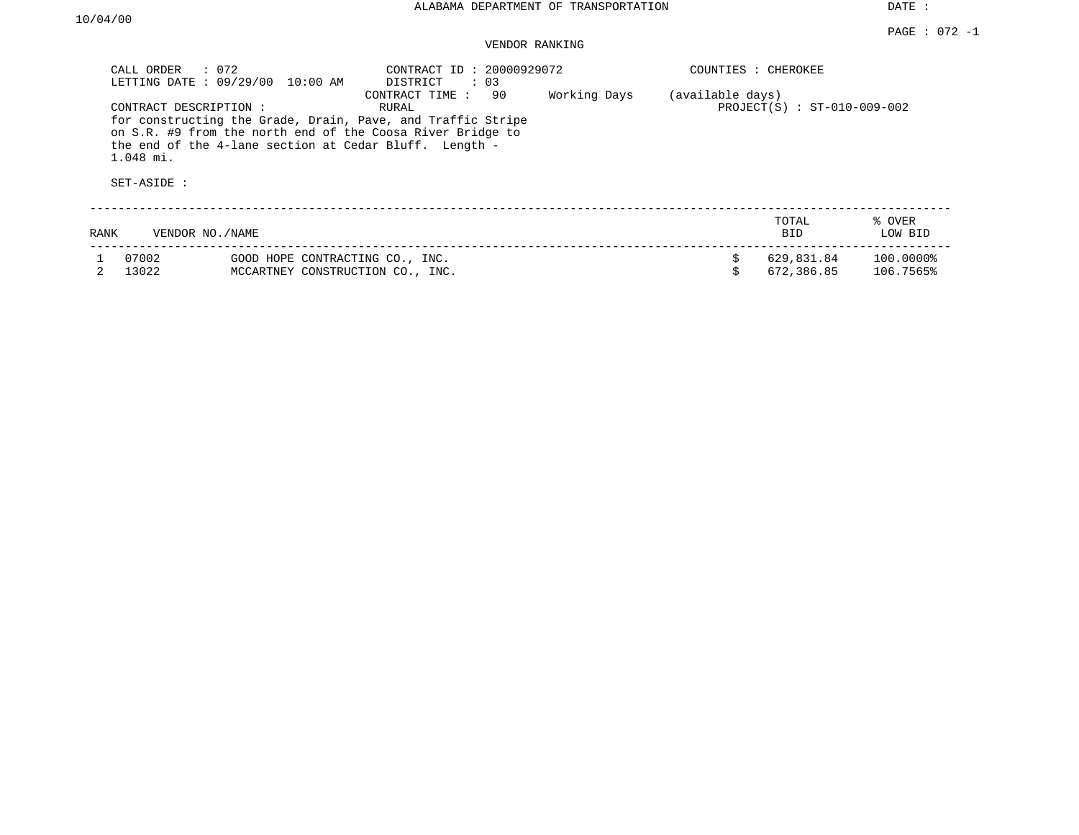DATE :

### VENDOR RANKING

|      | $\therefore$ 072<br>CALL ORDER<br>LETTING DATE: 09/29/00 10:00 AM | CONTRACT ID: 20000929072<br>DISTRICT<br>$\cdot$ 03                                                                                                                                                                   |              |                  | COUNTIES : CHEROKEE           |                        |
|------|-------------------------------------------------------------------|----------------------------------------------------------------------------------------------------------------------------------------------------------------------------------------------------------------------|--------------|------------------|-------------------------------|------------------------|
|      | CONTRACT DESCRIPTION :<br>$1.048$ mi.<br>SET-ASIDE :              | 90<br>CONTRACT TIME:<br>RURAL<br>for constructing the Grade, Drain, Pave, and Traffic Stripe<br>on S.R. #9 from the north end of the Coosa River Bridge to<br>the end of the 4-lane section at Cedar Bluff. Length - | Working Days | (available days) | $PROJECT(S) : ST-010-009-002$ |                        |
| RANK | VENDOR NO. / NAME                                                 |                                                                                                                                                                                                                      |              |                  | TOTAL<br><b>BID</b>           | % OVER<br>LOW BID      |
|      | 07002<br>13022                                                    | GOOD HOPE CONTRACTING CO., INC.<br>MCCARTNEY CONSTRUCTION CO., INC.                                                                                                                                                  |              |                  | 629,831.84<br>672,386.85      | 100.0000%<br>106.7565% |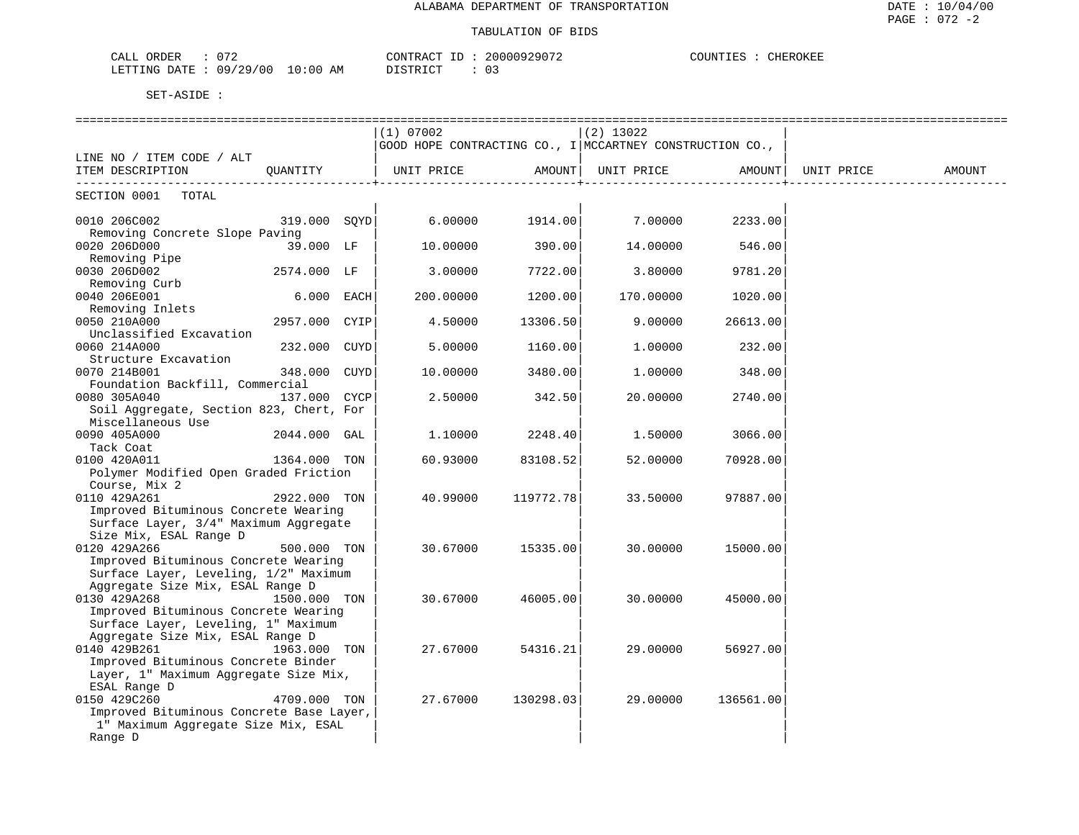| CALL ORDER<br>072               | CONTRACT ID: 20000929072 | COUNTIES :<br>CHEROKEE |
|---------------------------------|--------------------------|------------------------|
| LETTING DATE: 09/29/00 10:00 AM | DISTRICT                 |                        |

|                                          |               |      | (1) 07002                                                        |           | $(2)$ 13022 |           |            |        |
|------------------------------------------|---------------|------|------------------------------------------------------------------|-----------|-------------|-----------|------------|--------|
|                                          |               |      | $ $ GOOD HOPE CONTRACTING CO., I $ $ MCCARTNEY CONSTRUCTION CO., |           |             |           |            |        |
| LINE NO / ITEM CODE / ALT                |               |      |                                                                  |           |             |           |            |        |
| ITEM DESCRIPTION                         | QUANTITY      |      | UNIT PRICE                                                       | AMOUNT    | UNIT PRICE  | AMOUNT    | UNIT PRICE | AMOUNT |
|                                          |               |      |                                                                  |           |             |           |            |        |
| SECTION 0001<br>TOTAL                    |               |      |                                                                  |           |             |           |            |        |
| 0010 206C002                             | 319.000 SOYD  |      | 6.00000                                                          | 1914.00   | 7.00000     | 2233.00   |            |        |
| Removing Concrete Slope Paving           |               |      |                                                                  |           |             |           |            |        |
| 0020 206D000                             | 39.000 LF     |      | 10.00000                                                         | 390.00    | 14.00000    | 546.00    |            |        |
| Removing Pipe                            |               |      |                                                                  |           |             |           |            |        |
| 0030 206D002                             | 2574.000 LF   |      | 3.00000                                                          | 7722.00   | 3.80000     | 9781.20   |            |        |
| Removing Curb                            |               |      |                                                                  |           |             |           |            |        |
| 0040 206E001                             | 6.000 EACH    |      | 200.00000                                                        | 1200.00   | 170.00000   | 1020.00   |            |        |
| Removing Inlets                          |               |      |                                                                  |           |             |           |            |        |
| 0050 210A000                             | 2957.000 CYIP |      | 4.50000                                                          | 13306.50  | 9.00000     | 26613.00  |            |        |
| Unclassified Excavation                  |               |      |                                                                  |           |             |           |            |        |
| 0060 214A000                             | 232.000 CUYD  |      | 5.00000                                                          | 1160.00   | 1,00000     | 232.00    |            |        |
| Structure Excavation                     |               |      |                                                                  |           |             |           |            |        |
| 0070 214B001                             | 348.000       | CUYD | 10.00000                                                         | 3480.00   | 1,00000     | 348.00    |            |        |
| Foundation Backfill, Commercial          |               |      |                                                                  |           |             |           |            |        |
| 0080 305A040                             | 137.000 CYCP  |      | 2.50000                                                          | 342.50    | 20.00000    | 2740.00   |            |        |
| Soil Aggregate, Section 823, Chert, For  |               |      |                                                                  |           |             |           |            |        |
| Miscellaneous Use                        |               |      |                                                                  |           |             |           |            |        |
| 0090 405A000                             | 2044.000 GAL  |      | 1.10000                                                          | 2248.40   | 1.50000     | 3066.00   |            |        |
| Tack Coat                                |               |      |                                                                  |           |             |           |            |        |
| 0100 420A011                             | 1364.000 TON  |      | 60.93000                                                         | 83108.52  | 52.00000    | 70928.00  |            |        |
| Polymer Modified Open Graded Friction    |               |      |                                                                  |           |             |           |            |        |
| Course, Mix 2                            |               |      |                                                                  |           |             |           |            |        |
| 0110 429A261                             | 2922.000 TON  |      | 40.99000                                                         | 119772.78 | 33.50000    | 97887.00  |            |        |
| Improved Bituminous Concrete Wearing     |               |      |                                                                  |           |             |           |            |        |
| Surface Layer, 3/4" Maximum Aggregate    |               |      |                                                                  |           |             |           |            |        |
| Size Mix, ESAL Range D<br>0120 429A266   | 500.000 TON   |      | 30.67000                                                         | 15335.00  | 30.00000    | 15000.00  |            |        |
| Improved Bituminous Concrete Wearing     |               |      |                                                                  |           |             |           |            |        |
| Surface Layer, Leveling, 1/2" Maximum    |               |      |                                                                  |           |             |           |            |        |
| Aggregate Size Mix, ESAL Range D         |               |      |                                                                  |           |             |           |            |        |
| 0130 429A268                             | 1500.000 TON  |      | 30.67000                                                         | 46005.00  | 30.00000    | 45000.00  |            |        |
| Improved Bituminous Concrete Wearing     |               |      |                                                                  |           |             |           |            |        |
| Surface Layer, Leveling, 1" Maximum      |               |      |                                                                  |           |             |           |            |        |
| Aggregate Size Mix, ESAL Range D         |               |      |                                                                  |           |             |           |            |        |
| 0140 429B261                             | 1963.000 TON  |      | 27.67000                                                         | 54316.21  | 29.00000    | 56927.00  |            |        |
| Improved Bituminous Concrete Binder      |               |      |                                                                  |           |             |           |            |        |
| Layer, 1" Maximum Aggregate Size Mix,    |               |      |                                                                  |           |             |           |            |        |
| ESAL Range D                             |               |      |                                                                  |           |             |           |            |        |
| 0150 429C260                             | 4709.000 TON  |      | 27.67000                                                         | 130298.03 | 29.00000    | 136561.00 |            |        |
| Improved Bituminous Concrete Base Layer, |               |      |                                                                  |           |             |           |            |        |
| 1" Maximum Aggregate Size Mix, ESAL      |               |      |                                                                  |           |             |           |            |        |
| Range D                                  |               |      |                                                                  |           |             |           |            |        |
|                                          |               |      |                                                                  |           |             |           |            |        |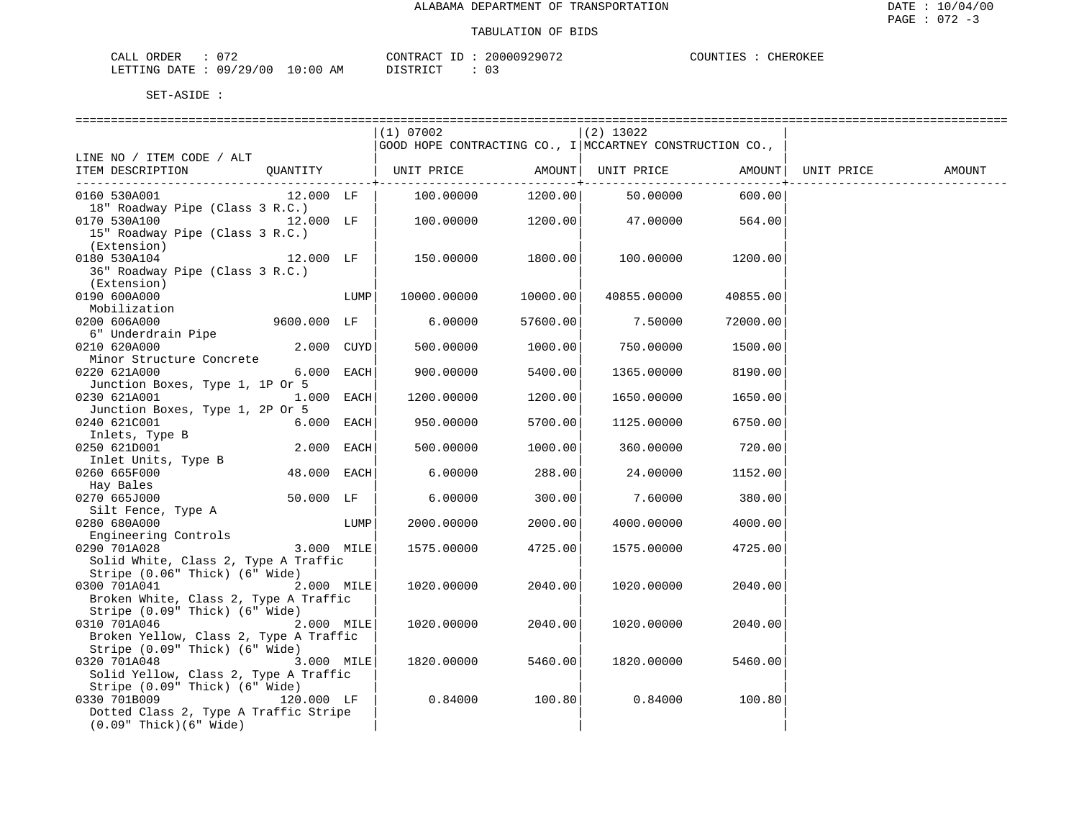| CALL ORDER   | ົດ 711     |            | CONTRACT<br>ID | 20000929072 | COUNTIES : | CHEROKEE |
|--------------|------------|------------|----------------|-------------|------------|----------|
| LETTING DATE | : 09/29/00 | $10:00$ AM | DISTRICT       |             |            |          |

|                                        |             |      | $(1)$ 07002                                              |                               | $(2)$ 13022                  |          |            |        |
|----------------------------------------|-------------|------|----------------------------------------------------------|-------------------------------|------------------------------|----------|------------|--------|
|                                        |             |      | GOOD HOPE CONTRACTING CO., I MCCARTNEY CONSTRUCTION CO., |                               |                              |          |            |        |
| LINE NO / ITEM CODE / ALT              |             |      |                                                          |                               |                              |          |            |        |
| ITEM DESCRIPTION                       |             |      | QUANTITY   UNIT PRICE                                    |                               | AMOUNT   UNIT PRICE   AMOUNT |          | UNIT PRICE | AMOUNT |
| 0160 530A001                           | 12.000 LF   |      | 100.00000                                                | . _ _ _ _ _ _ _ _ _ _ _ _ _ + | 1200.00 50.00000             | 600.00   |            |        |
| 18" Roadway Pipe (Class 3 R.C.)        |             |      |                                                          |                               |                              |          |            |        |
| 0170 530A100                           |             |      | 12.000 LF   100.00000 1200.00                            |                               | 47.00000                     | 564.00   |            |        |
| 15" Roadway Pipe (Class 3 R.C.)        |             |      |                                                          |                               |                              |          |            |        |
| (Extension)                            |             |      |                                                          |                               |                              |          |            |        |
| 0180 530A104                           | 12.000 LF   |      | 150.00000                                                | 1800.00                       | 100.00000                    | 1200.00  |            |        |
| 36" Roadway Pipe (Class 3 R.C.)        |             |      |                                                          |                               |                              |          |            |        |
| (Extension)                            |             |      |                                                          |                               |                              |          |            |        |
| 0190 600A000                           |             | LUMP | 10000.00000                                              | 10000.00                      | 40855.00000                  | 40855.00 |            |        |
| Mobilization                           |             |      |                                                          |                               |                              |          |            |        |
| 0200 606A000                           | 9600.000 LF |      | 6.00000                                                  | 57600.00                      | 7.50000                      | 72000.00 |            |        |
| 6" Underdrain Pipe                     |             |      |                                                          |                               |                              |          |            |        |
| 0210 620A000                           | 2.000 CUYD  |      | 500.00000                                                | 1000.00                       | 750.00000                    | 1500.00  |            |        |
| Minor Structure Concrete               |             |      |                                                          |                               |                              |          |            |        |
| 0220 621A000                           | 6.000 EACH  |      | 900.00000                                                | 5400.00                       | 1365.00000                   | 8190.00  |            |        |
| Junction Boxes, Type 1, 1P Or 5        |             |      |                                                          |                               |                              |          |            |        |
| 0230 621A001                           | 1.000 EACH  |      | 1200.00000                                               | 1200.00                       | 1650.00000                   | 1650.00  |            |        |
| Junction Boxes, Type 1, 2P Or 5        |             |      |                                                          |                               |                              |          |            |        |
| 0240 621C001                           | 6.000 EACH  |      | 950.00000                                                | 5700.00                       | 1125.00000                   | 6750.00  |            |        |
| Inlets, Type B                         | 2.000 EACH  |      |                                                          | 1000.00                       |                              |          |            |        |
| 0250 621D001                           |             |      | 500.00000                                                |                               | 360.00000                    | 720.00   |            |        |
| Inlet Units, Type B<br>0260 665F000    | 48.000 EACH |      | 6.00000                                                  | 288.00                        | 24.00000                     | 1152.00  |            |        |
| Hay Bales                              |             |      |                                                          |                               |                              |          |            |        |
| 0270 665J000                           | 50.000 LF   |      | 6.00000                                                  | 300.00                        | 7.60000                      | 380.00   |            |        |
| Silt Fence, Type A                     |             |      |                                                          |                               |                              |          |            |        |
| 0280 680A000                           |             | LUMP | 2000.00000                                               | 2000.00                       | 4000.00000                   | 4000.00  |            |        |
| Engineering Controls                   |             |      |                                                          |                               |                              |          |            |        |
| 0290 701A028                           | 3.000 MILE  |      | 1575.00000                                               | 4725.00                       | 1575.00000                   | 4725.00  |            |        |
| Solid White, Class 2, Type A Traffic   |             |      |                                                          |                               |                              |          |            |        |
| Stripe (0.06" Thick) (6" Wide)         |             |      |                                                          |                               |                              |          |            |        |
| 0300 701A041                           | 2.000 MILE  |      | 1020.00000                                               | 2040.00                       | 1020.00000                   | 2040.00  |            |        |
| Broken White, Class 2, Type A Traffic  |             |      |                                                          |                               |                              |          |            |        |
| Stripe (0.09" Thick) (6" Wide)         |             |      |                                                          |                               |                              |          |            |        |
| 0310 701A046                           | 2.000 MILE  |      | 1020.00000                                               | 2040.00                       | 1020.00000                   | 2040.00  |            |        |
| Broken Yellow, Class 2, Type A Traffic |             |      |                                                          |                               |                              |          |            |        |
| Stripe (0.09" Thick) (6" Wide)         |             |      |                                                          |                               |                              |          |            |        |
| 0320 701A048                           | 3.000 MILE  |      | 1820.00000                                               | 5460.00                       | 1820.00000                   | 5460.00  |            |        |
| Solid Yellow, Class 2, Type A Traffic  |             |      |                                                          |                               |                              |          |            |        |
| Stripe (0.09" Thick) (6" Wide)         |             |      |                                                          |                               |                              |          |            |        |
| 0330 701B009<br>120.000 LF             |             |      | 0.84000                                                  | 100.80                        | 0.84000                      | 100.80   |            |        |
| Dotted Class 2, Type A Traffic Stripe  |             |      |                                                          |                               |                              |          |            |        |
| $(0.09"$ Thick $)(6"$ Wide $)$         |             |      |                                                          |                               |                              |          |            |        |
|                                        |             |      |                                                          |                               |                              |          |            |        |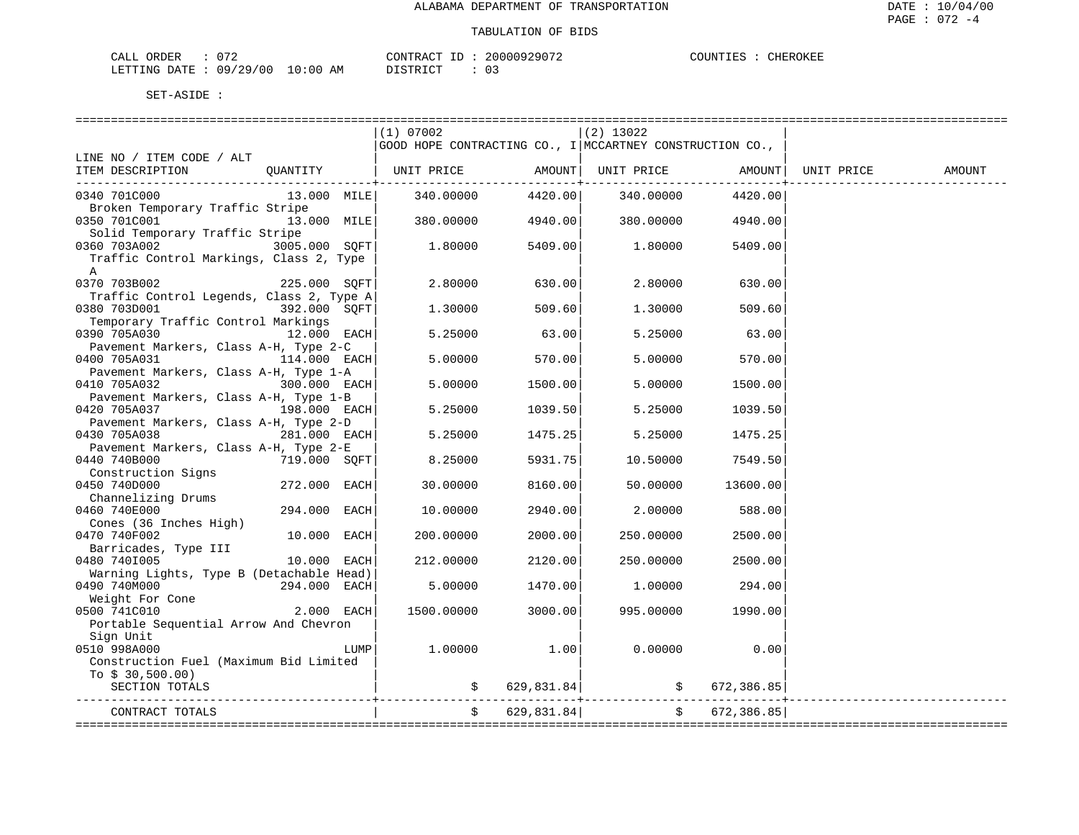| CALL ORDER                      |  |          |  | CONTRACT ID: 20000929072 | COUNTIES : ( | CHEROKEE |
|---------------------------------|--|----------|--|--------------------------|--------------|----------|
| LETTING DATE: 09/29/00 10:00 AM |  | DISTRICT |  |                          |              |          |

|                                                       |               | $(1)$ 07002                                              |                            | $(2)$ 13022                |                |            |        |
|-------------------------------------------------------|---------------|----------------------------------------------------------|----------------------------|----------------------------|----------------|------------|--------|
|                                                       |               | GOOD HOPE CONTRACTING CO., I MCCARTNEY CONSTRUCTION CO., |                            |                            |                |            |        |
| LINE NO / ITEM CODE / ALT                             |               |                                                          |                            |                            |                |            |        |
| ITEM DESCRIPTION                                      | OUANTITY      | UNIT PRICE                                               |                            | AMOUNT   UNIT PRICE AMOUNT |                | UNIT PRICE | AMOUNT |
| 0340 701C000                                          | 13.000 MILE   | 340.00000                                                | ------------+--<br>4420.00 | 340.00000                  | 4420.00        |            |        |
| Broken Temporary Traffic Stripe                       |               |                                                          |                            |                            |                |            |        |
| 0350 701C001                                          | 13.000 MILE   | 380.00000                                                | 4940.00                    | 380.00000                  | 4940.00        |            |        |
| Solid Temporary Traffic Stripe                        |               |                                                          |                            |                            |                |            |        |
| 0360 703A002                                          | 3005.000 SQFT | 1.80000                                                  | 5409.00                    | 1.80000                    | 5409.00        |            |        |
| Traffic Control Markings, Class 2, Type               |               |                                                          |                            |                            |                |            |        |
| A                                                     |               |                                                          |                            |                            |                |            |        |
| 0370 703B002                                          | 225.000 SOFT  | 2.80000                                                  | 630.00                     | 2.80000                    | 630.00         |            |        |
| Traffic Control Legends, Class 2, Type A              |               |                                                          |                            |                            |                |            |        |
| 0380 703D001                                          | 392.000 SOFT  | 1,30000                                                  | 509.60                     | 1,30000                    | 509.60         |            |        |
| Temporary Traffic Control Markings                    |               |                                                          |                            |                            |                |            |        |
| 0390 705A030                                          | 12.000 EACH   | 5.25000                                                  | 63.00                      | 5.25000                    | 63.00          |            |        |
| Pavement Markers, Class A-H, Type 2-C                 |               |                                                          |                            |                            |                |            |        |
| 0400 705A031                                          | 114.000 EACH  | 5.00000                                                  | 570.00                     | 5.00000                    | 570.00         |            |        |
| Pavement Markers, Class A-H, Type 1-A                 |               |                                                          | 1500.00                    |                            |                |            |        |
| 0410 705A032                                          | 300.000 EACH  | 5.00000                                                  |                            | 5.00000                    | 1500.00        |            |        |
| Pavement Markers, Class A-H, Type 1-B<br>0420 705A037 | 198.000 EACH  | 5.25000                                                  | 1039.50                    | 5.25000                    | 1039.50        |            |        |
| Pavement Markers, Class A-H, Type 2-D                 |               |                                                          |                            |                            |                |            |        |
| 0430 705A038                                          | 281.000 EACH  | 5.25000                                                  | 1475.25                    | 5.25000                    | 1475.25        |            |        |
| Pavement Markers, Class A-H, Type 2-E                 |               |                                                          |                            |                            |                |            |        |
| 0440 740B000                                          | 719.000 SOFT  | 8.25000                                                  | 5931.75                    | 10.50000                   | 7549.50        |            |        |
| Construction Signs                                    |               |                                                          |                            |                            |                |            |        |
| 0450 740D000                                          | 272.000 EACH  | 30.00000                                                 | 8160.00                    | 50.00000                   | 13600.00       |            |        |
| Channelizing Drums                                    |               |                                                          |                            |                            |                |            |        |
| 0460 740E000                                          | 294.000 EACH  | 10.00000                                                 | 2940.00                    | 2,00000                    | 588.00         |            |        |
| Cones (36 Inches High)                                |               |                                                          |                            |                            |                |            |        |
| 0470 740F002                                          | 10.000 EACH   | 200.00000                                                | 2000.00                    | 250.00000                  | 2500.00        |            |        |
| Barricades, Type III                                  |               |                                                          |                            |                            |                |            |        |
| 0480 7401005                                          | 10.000 EACH   | 212.00000                                                | 2120.00                    | 250.00000                  | 2500.00        |            |        |
| Warning Lights, Type B (Detachable Head)              |               |                                                          |                            |                            |                |            |        |
| 0490 740M000<br>Weight For Cone                       | 294.000 EACH  | 5.00000                                                  | 1470.00                    | 1.00000                    | 294.00         |            |        |
| 0500 741C010                                          | 2.000 EACH    | 1500.00000                                               | 3000.00                    | 995,00000                  | 1990.00        |            |        |
| Portable Sequential Arrow And Chevron                 |               |                                                          |                            |                            |                |            |        |
| Sign Unit                                             |               |                                                          |                            |                            |                |            |        |
| 0510 998A000                                          | LUMP          | 1.00000                                                  | 1.00                       | 0.00000                    | 0.00           |            |        |
| Construction Fuel (Maximum Bid Limited                |               |                                                          |                            |                            |                |            |        |
| To $$30,500.00)$                                      |               |                                                          |                            |                            |                |            |        |
| SECTION TOTALS                                        |               |                                                          | \$629,831.84]              |                            | \$ 672,386.85] |            |        |
|                                                       |               |                                                          |                            |                            |                |            |        |
| CONTRACT TOTALS                                       |               |                                                          | \$629,831.84]              |                            | \$672,386.85]  |            |        |
|                                                       |               |                                                          |                            |                            |                |            |        |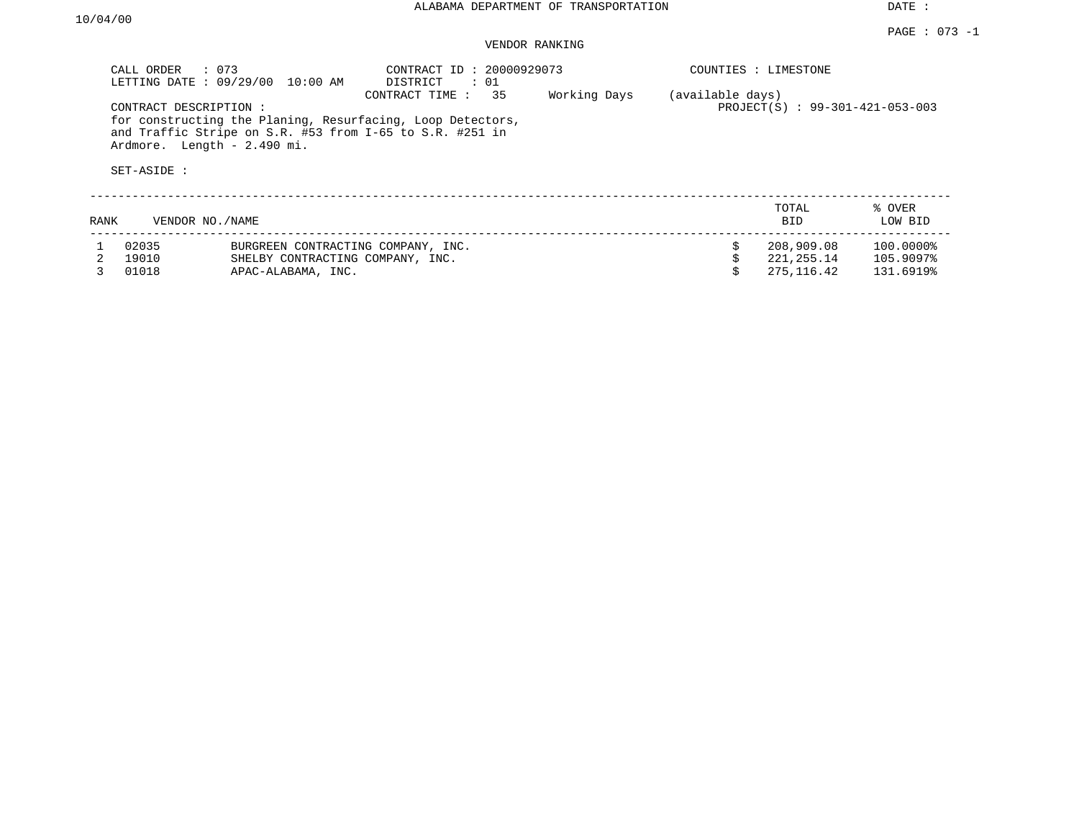DATE :

## VENDOR RANKING

|      | $\therefore$ 073<br>CALL ORDER<br>LETTING DATE: 09/29/00            | 10:00 AM                                                                                     | CONTRACT ID: 20000929073<br>DISTRICT<br>: 01                                                                                                   |              |                  | COUNTIES : LIMESTONE                   |                                     |
|------|---------------------------------------------------------------------|----------------------------------------------------------------------------------------------|------------------------------------------------------------------------------------------------------------------------------------------------|--------------|------------------|----------------------------------------|-------------------------------------|
|      | CONTRACT DESCRIPTION:<br>Ardmore. Length - 2.490 mi.<br>SET-ASIDE : |                                                                                              | 35<br>CONTRACT TIME:<br>for constructing the Planing, Resurfacing, Loop Detectors,<br>and Traffic Stripe on S.R. #53 from I-65 to S.R. #251 in | Working Days | (available days) | PROJECT(S) : 99-301-421-053-003        |                                     |
| RANK | VENDOR NO. / NAME                                                   |                                                                                              |                                                                                                                                                |              |                  | TOTAL<br><b>BID</b>                    | % OVER<br>LOW BID                   |
|      | 02035<br>19010<br>01018                                             | BURGREEN CONTRACTING COMPANY, INC.<br>SHELBY CONTRACTING COMPANY, INC.<br>APAC-ALABAMA, INC. |                                                                                                                                                |              | Ŝ                | 208,909.08<br>221,255.14<br>275,116.42 | 100.0000%<br>105.9097%<br>131.6919% |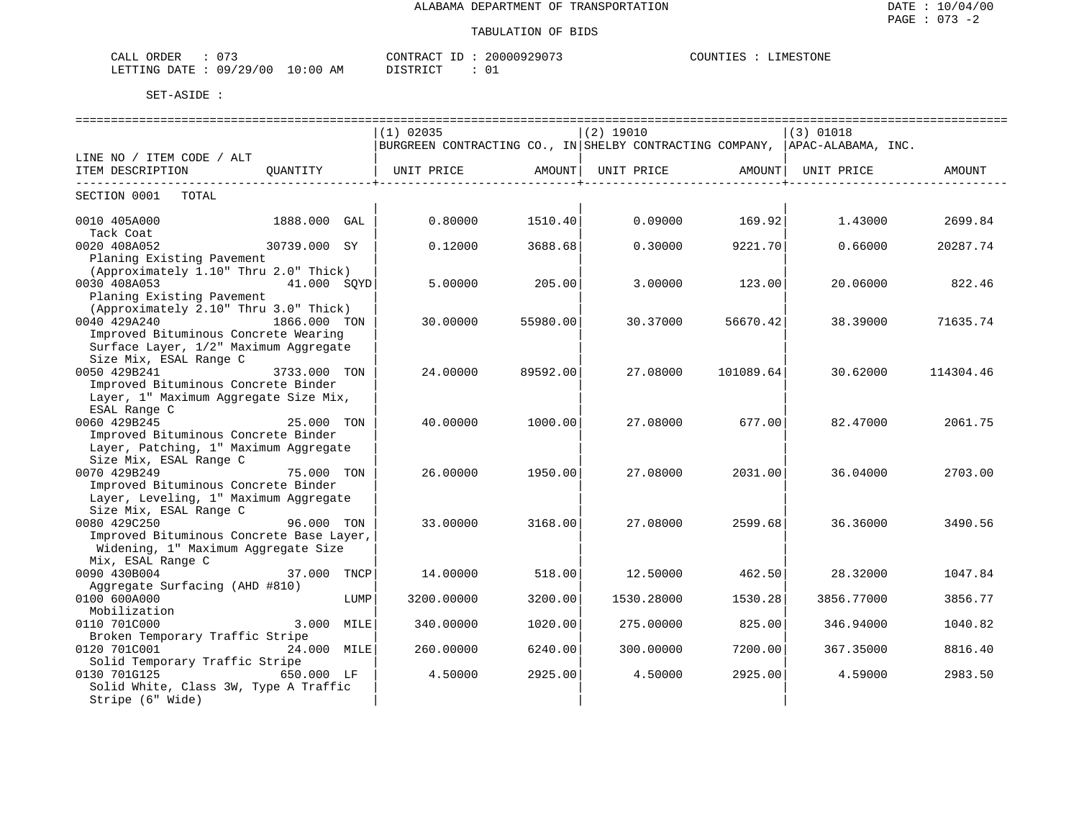| ORDER<br>U<br>للسلطات                 |                                  | $\sim$<br>CONTF | ∍∩∩∩י        | STONE<br>POINTTES<br>⊤Мь. |
|---------------------------------------|----------------------------------|-----------------|--------------|---------------------------|
| n a<br>LETTING<br>DATE.<br>, , ,<br>U | $\sim$<br>ΑM<br>0 I O O<br>. V . | $- \cap$        | $\cap$<br>∪⊥ |                           |

|                                                          |              |      | $(1)$ 02035                                                                  |          | $(2)$ 19010 |           | $(3)$ 01018 |           |
|----------------------------------------------------------|--------------|------|------------------------------------------------------------------------------|----------|-------------|-----------|-------------|-----------|
|                                                          |              |      | BURGREEN CONTRACTING CO., IN SHELBY CONTRACTING COMPANY,  APAC-ALABAMA, INC. |          |             |           |             |           |
| LINE NO / ITEM CODE / ALT                                |              |      |                                                                              |          |             |           |             |           |
| ITEM DESCRIPTION                                         | OUANTITY     |      |                                                                              |          |             | AMOUNT    | UNIT PRICE  | AMOUNT    |
| -----------------------<br>SECTION 0001 TOTAL            |              |      |                                                                              |          |             |           |             |           |
|                                                          |              |      |                                                                              |          |             |           |             |           |
| 0010 405A000                                             | 1888.000 GAL |      | 0.80000                                                                      | 1510.40  | 0.09000     | 169.92    | 1.43000     | 2699.84   |
| Tack Coat<br>0020 408A052                                | 30739.000 SY |      | 0.12000                                                                      | 3688.68  | 0.30000     | 9221.70   | 0.66000     | 20287.74  |
| Planing Existing Pavement                                |              |      |                                                                              |          |             |           |             |           |
| (Approximately 1.10" Thru 2.0" Thick)                    |              |      |                                                                              |          |             |           |             |           |
| 0030 408A053                                             | 41.000 SQYD  |      | 5.00000                                                                      | 205.00   | 3.00000     | 123.00    | 20.06000    | 822.46    |
| Planing Existing Pavement                                |              |      |                                                                              |          |             |           |             |           |
| (Approximately 2.10" Thru 3.0" Thick)                    |              |      |                                                                              |          |             |           |             |           |
| 0040 429A240                                             | 1866.000 TON |      | 30.00000                                                                     | 55980.00 | 30.37000    | 56670.42  | 38.39000    | 71635.74  |
| Improved Bituminous Concrete Wearing                     |              |      |                                                                              |          |             |           |             |           |
| Surface Layer, 1/2" Maximum Aggregate                    |              |      |                                                                              |          |             |           |             |           |
| Size Mix, ESAL Range C                                   |              |      |                                                                              |          |             |           |             |           |
| 0050 429B241                                             | 3733.000 TON |      | 24.00000                                                                     | 89592.00 | 27.08000    | 101089.64 | 30.62000    | 114304.46 |
| Improved Bituminous Concrete Binder                      |              |      |                                                                              |          |             |           |             |           |
| Layer, 1" Maximum Aggregate Size Mix,                    |              |      |                                                                              |          |             |           |             |           |
| ESAL Range C                                             |              |      |                                                                              |          |             |           |             |           |
| 0060 429B245                                             | 25.000 TON   |      | 40.00000                                                                     | 1000.00  | 27.08000    | 677.00    | 82.47000    | 2061.75   |
| Improved Bituminous Concrete Binder                      |              |      |                                                                              |          |             |           |             |           |
| Layer, Patching, 1" Maximum Aggregate                    |              |      |                                                                              |          |             |           |             |           |
| Size Mix, ESAL Range C                                   |              |      |                                                                              |          |             |           |             |           |
| 0070 429B249                                             | 75.000 TON   |      | 26.00000                                                                     | 1950.00  | 27.08000    | 2031.00   | 36.04000    | 2703.00   |
| Improved Bituminous Concrete Binder                      |              |      |                                                                              |          |             |           |             |           |
| Layer, Leveling, 1" Maximum Aggregate                    |              |      |                                                                              |          |             |           |             |           |
| Size Mix, ESAL Range C                                   | 96.000 TON   |      | 33.00000                                                                     |          |             | 2599.68   | 36.36000    |           |
| 0080 429C250<br>Improved Bituminous Concrete Base Layer, |              |      |                                                                              | 3168.00  | 27.08000    |           |             | 3490.56   |
| Widening, 1" Maximum Aggregate Size                      |              |      |                                                                              |          |             |           |             |           |
| Mix, ESAL Range C                                        |              |      |                                                                              |          |             |           |             |           |
| 0090 430B004                                             | 37.000 TNCP  |      | 14.00000                                                                     | 518.00   | 12.50000    | 462.50    | 28.32000    | 1047.84   |
| Aggregate Surfacing (AHD #810)                           |              |      |                                                                              |          |             |           |             |           |
| 0100 600A000                                             |              | LUMP | 3200.00000                                                                   | 3200.00  | 1530.28000  | 1530.28   | 3856.77000  | 3856.77   |
| Mobilization                                             |              |      |                                                                              |          |             |           |             |           |
| 0110 701C000                                             | 3.000        | MILE | 340.00000                                                                    | 1020.00  | 275.00000   | 825.00    | 346.94000   | 1040.82   |
| Broken Temporary Traffic Stripe                          |              |      |                                                                              |          |             |           |             |           |
| 0120 701C001                                             | 24.000 MILE  |      | 260.00000                                                                    | 6240.00  | 300.00000   | 7200.00   | 367.35000   | 8816.40   |
| Solid Temporary Traffic Stripe                           |              |      |                                                                              |          |             |           |             |           |
| 0130 701G125                                             | 650.000 LF   |      | 4.50000                                                                      | 2925.00  | 4.50000     | 2925.00   | 4.59000     | 2983.50   |
| Solid White, Class 3W, Type A Traffic                    |              |      |                                                                              |          |             |           |             |           |
| Stripe (6" Wide)                                         |              |      |                                                                              |          |             |           |             |           |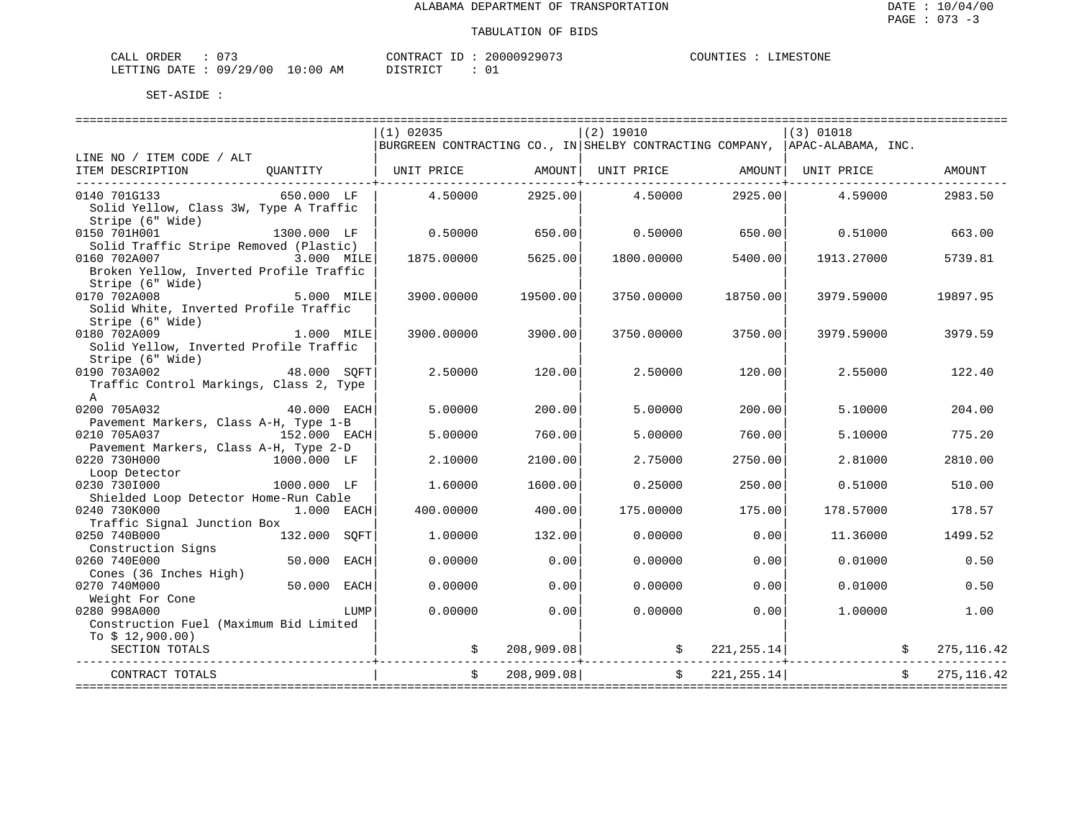| CALL ORDER                      |  |  |          | CONTRACT ID: 20000929073 |  | COUNTIES : LIMESTONE |
|---------------------------------|--|--|----------|--------------------------|--|----------------------|
| LETTING DATE: 09/29/00 10:00 AM |  |  | DISTRICT |                          |  |                      |

|                                                             |                |                   | =============================== | ==============================                                              |                           | ================================ |                |             |
|-------------------------------------------------------------|----------------|-------------------|---------------------------------|-----------------------------------------------------------------------------|---------------------------|----------------------------------|----------------|-------------|
|                                                             |                | $(1)$ 02035       |                                 | $(2)$ 19010                                                                 |                           | $(3)$ 01018                      |                |             |
|                                                             |                |                   |                                 | BURGREEN CONTRACTING CO., IN SHELBY CONTRACTING COMPANY, APAC-ALABAMA, INC. |                           |                                  |                |             |
| LINE NO / ITEM CODE / ALT                                   |                |                   |                                 |                                                                             |                           |                                  |                |             |
| ITEM DESCRIPTION                                            | OUANTITY       | UNIT PRICE AMOUNT |                                 |                                                                             | UNIT PRICE AMOUNT         | UNIT PRICE                       |                | AMOUNT      |
| 0140 701G133                                                | 650.000 LF     | 4.50000           | 2925.00                         | 4.50000                                                                     | 2925.00                   | 4.59000                          |                | 2983.50     |
| Solid Yellow, Class 3W, Type A Traffic<br>Stripe (6" Wide)  |                |                   |                                 |                                                                             |                           |                                  |                |             |
| 0150 701H001                                                | 1300.000 LF    | 0.50000           | 650.00                          | 0.50000                                                                     | 650.00                    | 0.51000                          |                | 663.00      |
| Solid Traffic Stripe Removed (Plastic)                      |                |                   |                                 |                                                                             |                           |                                  |                |             |
| 0160 702A007                                                | 3.000 MILE     | 1875.00000        | 5625.00                         | 1800.00000                                                                  | 5400.00                   | 1913.27000                       |                | 5739.81     |
| Broken Yellow, Inverted Profile Traffic<br>Stripe (6" Wide) |                |                   |                                 |                                                                             |                           |                                  |                |             |
| 0170 702A008                                                | 5.000 MILE     | 3900.00000        | 19500.00                        | 3750.00000                                                                  | 18750.00                  | 3979.59000                       |                | 19897.95    |
| Solid White, Inverted Profile Traffic                       |                |                   |                                 |                                                                             |                           |                                  |                |             |
| Stripe (6" Wide)                                            |                |                   |                                 |                                                                             |                           |                                  |                |             |
| 0180 702A009                                                | 1.000 MILE     | 3900.00000        | 3900.00                         | 3750.00000                                                                  | 3750.00                   | 3979.59000                       |                | 3979.59     |
| Solid Yellow, Inverted Profile Traffic                      |                |                   |                                 |                                                                             |                           |                                  |                |             |
| Stripe (6" Wide)                                            |                |                   |                                 |                                                                             |                           |                                  |                |             |
| 0190 703A002                                                | 48.000 SOFT    | 2.50000           | 120.00                          | 2.50000                                                                     | 120.00                    | 2.55000                          |                | 122.40      |
| Traffic Control Markings, Class 2, Type<br>A                |                |                   |                                 |                                                                             |                           |                                  |                |             |
| 0200 705A032                                                | 40.000 EACH    | 5.00000           | 200.00                          | 5.00000                                                                     | 200.00                    | 5.10000                          |                | 204.00      |
| Pavement Markers, Class A-H, Type 1-B                       |                |                   |                                 |                                                                             |                           |                                  |                |             |
| 0210 705A037                                                | 152.000 EACH   | 5.00000           | 760.00                          | 5.00000                                                                     | 760.00                    | 5.10000                          |                | 775.20      |
| Pavement Markers, Class A-H, Type 2-D                       |                |                   |                                 |                                                                             |                           |                                  |                |             |
| 0220 730H000                                                | 1000.000 LF    | 2.10000           | 2100.00                         | 2.75000                                                                     | 2750.00                   | 2.81000                          |                | 2810.00     |
| Loop Detector                                               |                |                   |                                 |                                                                             |                           |                                  |                |             |
| 0230 7301000                                                | 1000.000 LF    | 1.60000           | 1600.00                         | 0.25000                                                                     | 250.00                    | 0.51000                          |                | 510.00      |
| Shielded Loop Detector Home-Run Cable<br>0240 730K000       | 1.000 EACH     | 400.00000         | 400.00                          | 175,00000                                                                   | 175.00                    | 178.57000                        |                | 178.57      |
| Traffic Signal Junction Box                                 |                |                   |                                 |                                                                             |                           |                                  |                |             |
| 0250 740B000                                                | 132.000 SQFT   | 1,00000           | 132.00                          | 0.00000                                                                     | 0.00                      | 11.36000                         |                | 1499.52     |
| Construction Signs                                          |                |                   |                                 |                                                                             |                           |                                  |                |             |
| 0260 740E000                                                | 50.000<br>EACH | 0.00000           | 0.00                            | 0.00000                                                                     | 0.00                      | 0.01000                          |                | 0.50        |
| Cones (36 Inches High)                                      |                |                   |                                 |                                                                             |                           |                                  |                |             |
| 0270 740M000                                                | 50.000 EACH    | 0.00000           | 0.00                            | 0.00000                                                                     | 0.00                      | 0.01000                          |                | 0.50        |
| Weight For Cone                                             |                |                   |                                 |                                                                             |                           |                                  |                |             |
| 0280 998A000                                                | LUMP           | 0.00000           | 0.00                            | 0.00000                                                                     | 0.00                      | 1,00000                          |                | 1.00        |
| Construction Fuel (Maximum Bid Limited                      |                |                   |                                 |                                                                             |                           |                                  |                |             |
| To $$12,900.00)$<br>SECTION TOTALS                          |                |                   | \$208,909.08]                   |                                                                             | \$221, 255.14]            |                                  | S.             | 275, 116.42 |
|                                                             |                |                   |                                 |                                                                             |                           |                                  |                |             |
| CONTRACT TOTALS                                             |                | $\ddot{s}$        | 208,909.08                      |                                                                             | 221, 255.14<br>$\ddot{s}$ |                                  | $\mathsf{S}^-$ | 275, 116.42 |
|                                                             |                |                   |                                 |                                                                             |                           |                                  |                |             |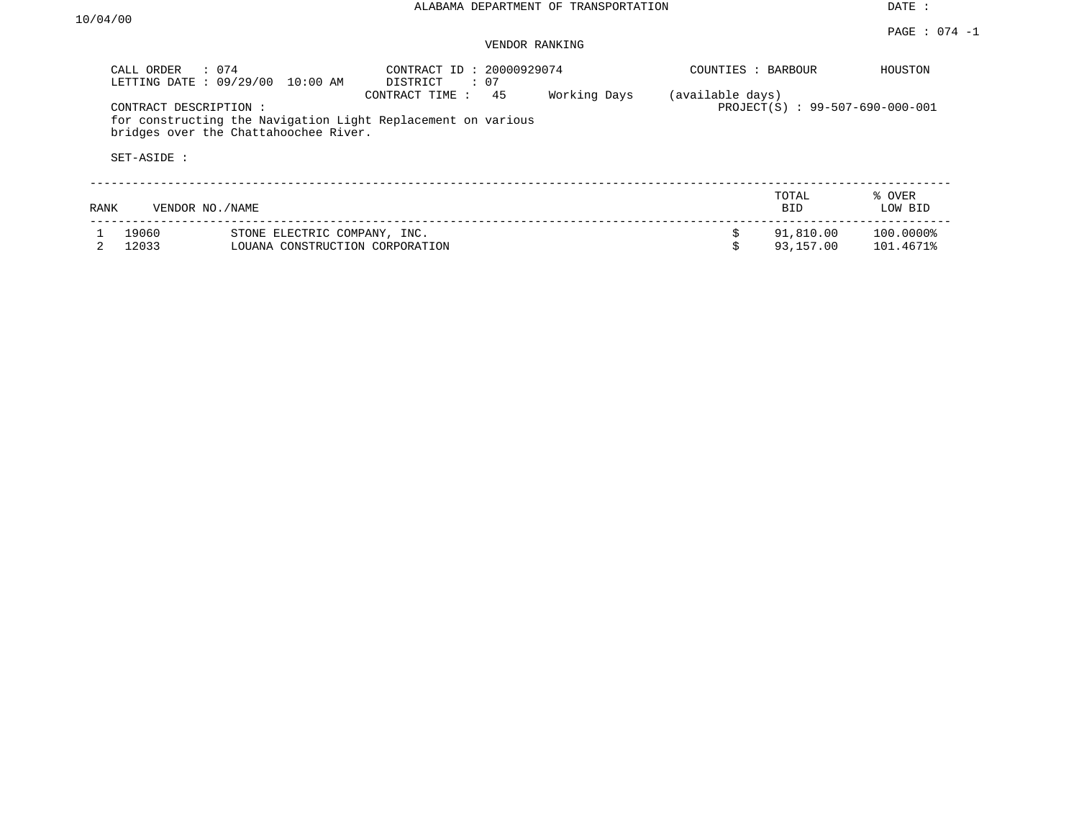DATE :

#### PAGE : 074 -1 VENDOR RANKING

|                | CALL ORDER<br>: 074<br>LETTING DATE: 09/29/00<br>10:00 AM                                                                                     | CONTRACT ID: 20000929074<br>: 07<br>DISTRICT |              | COUNTIES : BARBOUR |                                 | HOUSTON                |
|----------------|-----------------------------------------------------------------------------------------------------------------------------------------------|----------------------------------------------|--------------|--------------------|---------------------------------|------------------------|
|                | CONTRACT DESCRIPTION:<br>for constructing the Navigation Light Replacement on various<br>bridges over the Chattahoochee River.<br>SET-ASIDE : | 45<br>CONTRACT TIME:                         | Working Days | (available days)   | PROJECT(S) : 99-507-690-000-001 |                        |
| RANK           | VENDOR NO. / NAME                                                                                                                             |                                              |              |                    | TOTAL<br>BID.                   | % OVER<br>LOW BID      |
| 19060<br>12033 | STONE ELECTRIC COMPANY, INC.<br>LOUANA CONSTRUCTION CORPORATION                                                                               |                                              |              |                    | 91,810.00<br>93,157.00          | 100.0000%<br>101.4671% |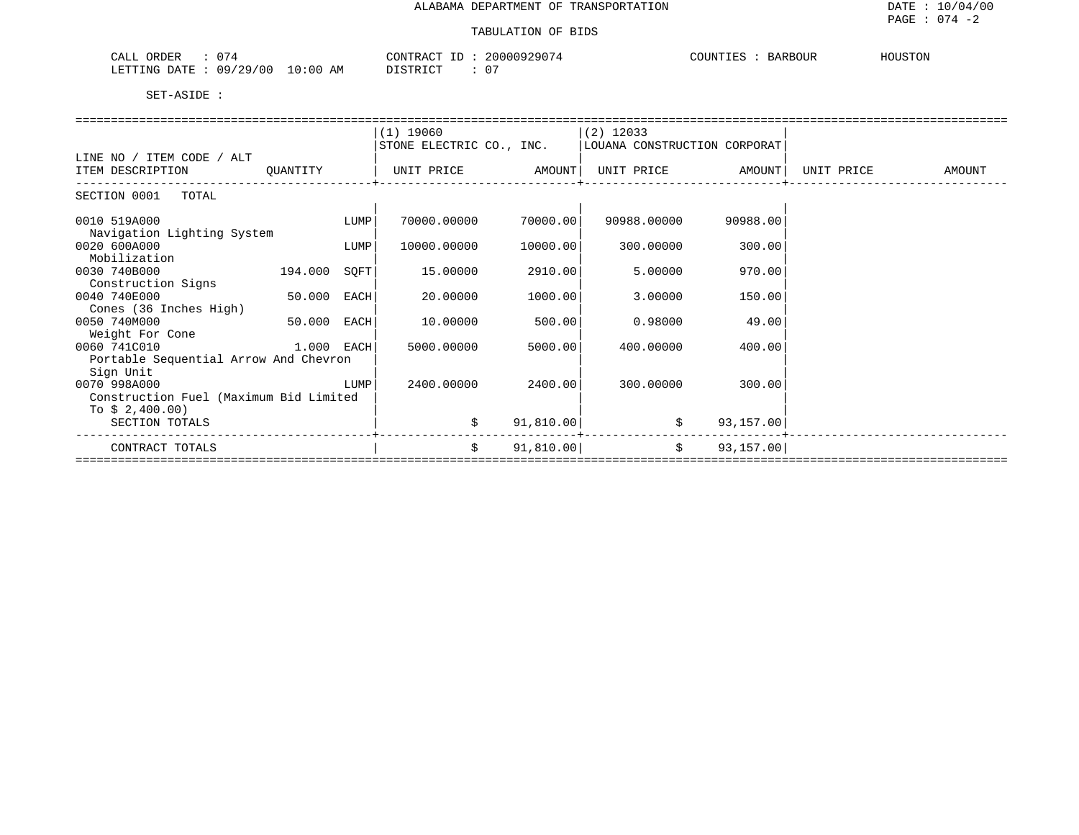# TABULATION OF BIDS

| 7۲.<br>ORDER<br>لللمب                                                                                       | .42900<br>$\Lambda$<br>აიიი | HOUSTON<br>COUNT<br>----<br>"BUUL.<br>→ <del>△</del> ★ ′<br>ا د سال ساس . |
|-------------------------------------------------------------------------------------------------------------|-----------------------------|---------------------------------------------------------------------------|
| LETTING<br>n a<br>00 /<br><b>DATR</b><br>$\cap$<br>ΑM<br>$^{\circ}$ $\circ$ $\circ$ .<br>: 00<br>- 92<br>-- | CTDDTCT                     |                                                                           |

|                                        |              |      | $(1)$ 19060              |            | $(2)$ 12033                  |            |            |        |
|----------------------------------------|--------------|------|--------------------------|------------|------------------------------|------------|------------|--------|
|                                        |              |      | STONE ELECTRIC CO., INC. |            | LOUANA CONSTRUCTION CORPORAT |            |            |        |
| LINE NO / ITEM CODE / ALT              |              |      |                          |            |                              |            |            |        |
| ITEM DESCRIPTION                       | QUANTITY     |      | UNIT PRICE               |            | AMOUNT  UNIT PRICE           | AMOUNT     | UNIT PRICE | AMOUNT |
|                                        |              |      |                          |            |                              |            |            |        |
| SECTION 0001 TOTAL                     |              |      |                          |            |                              |            |            |        |
| 0010 519A000                           |              | LUMP | 70000.00000              | 70000.00   | 90988.00000                  | 90988.00   |            |        |
| Navigation Lighting System             |              |      |                          |            |                              |            |            |        |
| 0020 600A000                           |              | LUMP | 10000.00000              | 10000.00   | 300.00000                    | 300.00     |            |        |
| Mobilization                           |              |      |                          |            |                              |            |            |        |
| 0030 740B000                           | 194.000      | SQFT | 15.00000                 | 2910.00    | 5.00000                      | 970.00     |            |        |
| Construction Signs                     |              |      |                          |            |                              |            |            |        |
| 0040 740E000                           | 50.000 EACH  |      | 20.00000                 | 1000.00    | 3.00000                      | 150.00     |            |        |
|                                        |              |      |                          |            |                              |            |            |        |
| Cones (36 Inches High)                 |              |      |                          |            |                              |            |            |        |
| 0050 740M000                           | 50.000       | EACH | 10.00000                 | 500.00     | 0.98000                      | 49.00      |            |        |
| Weight For Cone                        |              |      |                          |            |                              |            |            |        |
| 0060 741C010                           | $1.000$ EACH |      | 5000.00000               | 5000.00    | 400.00000                    | 400.00     |            |        |
| Portable Sequential Arrow And Chevron  |              |      |                          |            |                              |            |            |        |
| Sign Unit                              |              |      |                          |            |                              |            |            |        |
| 0070 998A000                           |              | LUMP | 2400.00000               | 2400.00    | 300.00000                    | 300.00     |            |        |
| Construction Fuel (Maximum Bid Limited |              |      |                          |            |                              |            |            |        |
| To $$2,400.00)$                        |              |      |                          |            |                              |            |            |        |
| SECTION TOTALS                         |              |      | \$                       | 91, 810.00 | \$                           | 93,157.00  |            |        |
| CONTRACT TOTALS                        |              |      | \$                       | 91,810.00  | \$                           | 93, 157.00 |            |        |
|                                        |              |      |                          |            |                              |            |            |        |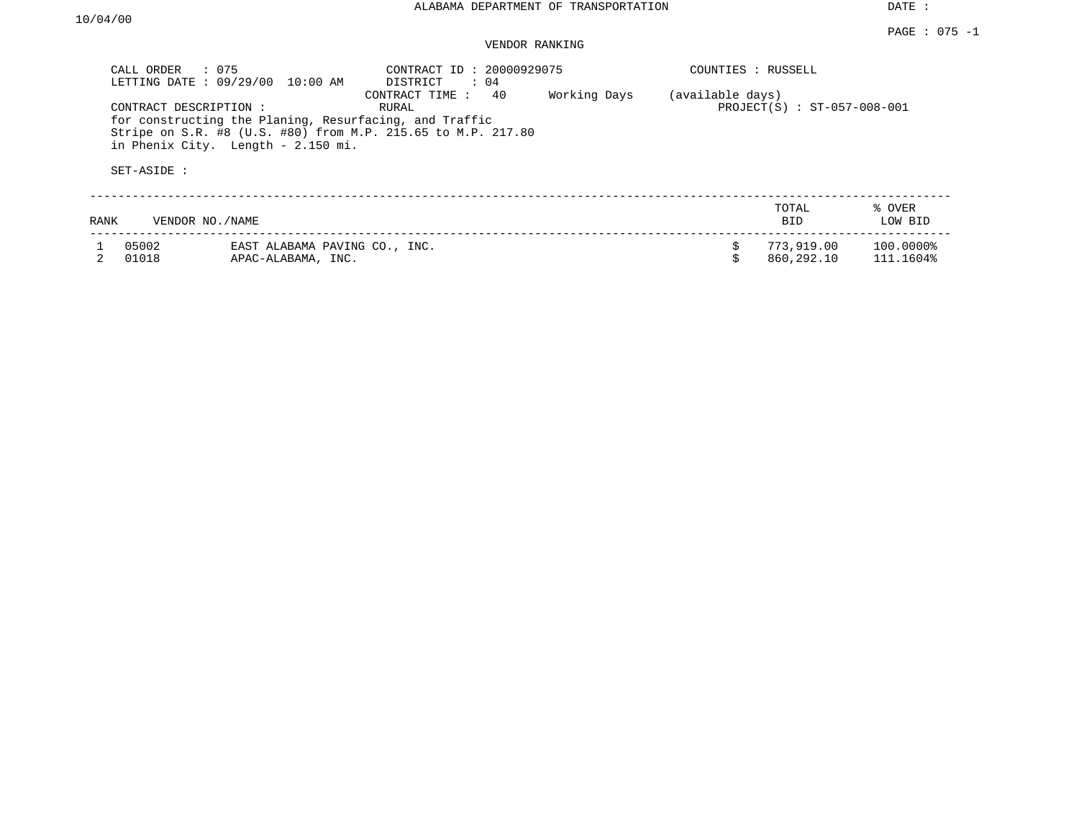DATE :

# VENDOR RANKING

|      | $\therefore$ 075<br>CALL ORDER<br>LETTING DATE: 09/29/00 | 10:00 AM                                            | CONTRACT ID: 20000929075<br>$\colon$ 04<br>DISTRICT                                                                                                   |                                  | COUNTIES : RUSSELL            |                        |
|------|----------------------------------------------------------|-----------------------------------------------------|-------------------------------------------------------------------------------------------------------------------------------------------------------|----------------------------------|-------------------------------|------------------------|
|      | CONTRACT DESCRIPTION:<br>SET-ASIDE :                     | in Phenix City. Length - 2.150 mi.                  | CONTRACT TIME : 40<br>RURAL<br>for constructing the Planing, Resurfacing, and Traffic<br>Stripe on S.R. #8 (U.S. #80) from M.P. 215.65 to M.P. 217.80 | Working Days<br>(available days) | $PROJECT(S) : ST-057-008-001$ |                        |
| RANK | VENDOR NO./NAME                                          |                                                     |                                                                                                                                                       |                                  | TOTAL<br><b>BID</b>           | % OVER<br>LOW BID      |
|      | 05002<br>01018                                           | EAST ALABAMA PAVING CO., INC.<br>APAC-ALABAMA, INC. |                                                                                                                                                       |                                  | 773,919.00<br>860,292.10      | 100.0000%<br>111.1604% |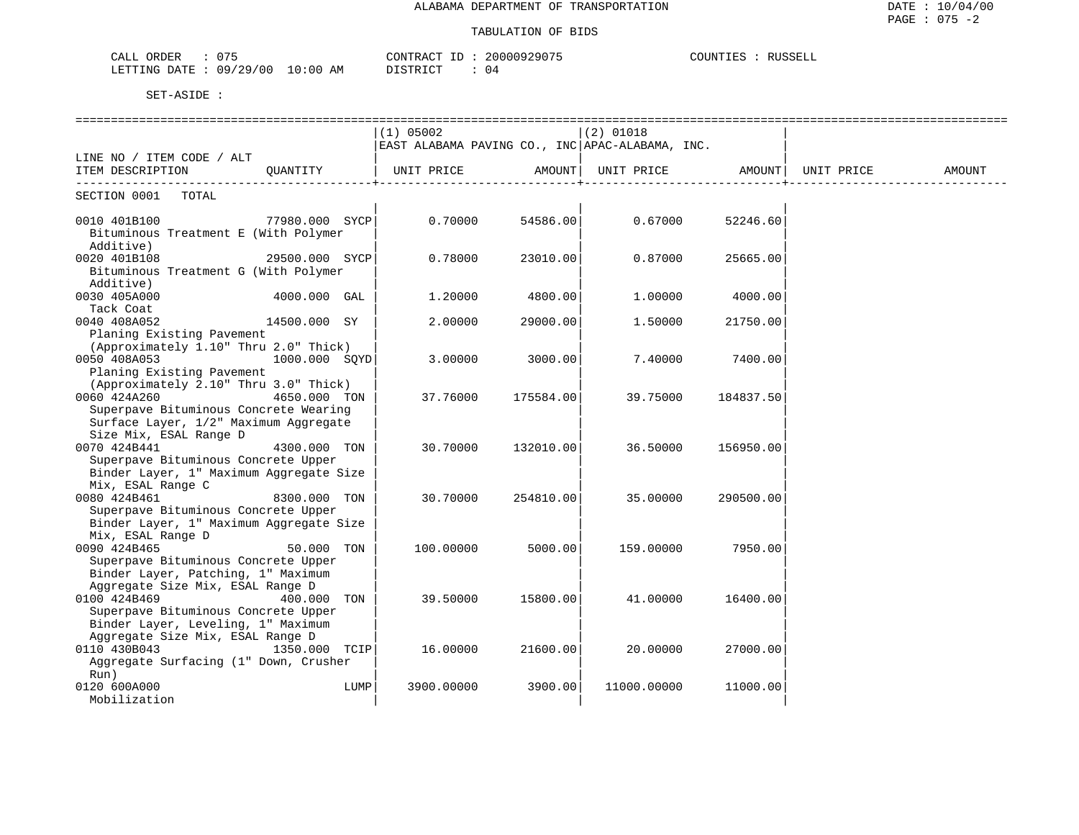### TABULATION OF BIDS

| CALL ORDER<br>075               | CONTRACT ID: 20000929075 | COUNTIES : RUSSELL |  |
|---------------------------------|--------------------------|--------------------|--|
| LETTING DATE: 09/29/00 10:00 AM | DISTRICT<br>04           |                    |  |

|                                         |                |      | ----------------------------- |           |                                                 |           |            |        |
|-----------------------------------------|----------------|------|-------------------------------|-----------|-------------------------------------------------|-----------|------------|--------|
|                                         |                |      | $(1)$ 05002                   |           | $(2)$ 01018                                     |           |            |        |
|                                         |                |      |                               |           | EAST ALABAMA PAVING CO., INC APAC-ALABAMA, INC. |           |            |        |
| LINE NO / ITEM CODE / ALT               |                |      |                               |           |                                                 |           |            |        |
| ITEM DESCRIPTION                        | OUANTITY       |      | UNIT PRICE                    | AMOUNT I  | UNIT PRICE AMOUNT                               |           | UNIT PRICE | AMOUNT |
|                                         |                |      |                               |           |                                                 |           |            |        |
| SECTION 0001<br>TOTAL                   |                |      |                               |           |                                                 |           |            |        |
| 0010 401B100                            | 77980.000 SYCP |      | 0.70000                       | 54586.00  | 0.67000                                         | 52246.60  |            |        |
| Bituminous Treatment E (With Polymer    |                |      |                               |           |                                                 |           |            |        |
| Additive)                               |                |      |                               |           |                                                 |           |            |        |
| 0020 401B108                            | 29500.000 SYCP |      | 0.78000                       | 23010.00  | 0.87000                                         | 25665.00  |            |        |
| Bituminous Treatment G (With Polymer    |                |      |                               |           |                                                 |           |            |        |
| Additive)                               |                |      |                               |           |                                                 |           |            |        |
| 0030 405A000                            | 4000.000 GAL   |      | 1,20000                       | 4800.00   | 1,00000                                         | 4000.00   |            |        |
| Tack Coat                               |                |      |                               |           |                                                 |           |            |        |
| 0040 408A052                            | 14500.000 SY   |      | 2,00000                       | 29000.00  | 1,50000                                         | 21750.00  |            |        |
| Planing Existing Pavement               |                |      |                               |           |                                                 |           |            |        |
| (Approximately 1.10" Thru 2.0" Thick)   |                |      |                               |           |                                                 |           |            |        |
| 0050 408A053                            | 1000.000 SOYD  |      | 3.00000                       | 3000.00   | 7.40000                                         | 7400.00   |            |        |
| Planing Existing Pavement               |                |      |                               |           |                                                 |           |            |        |
| (Approximately 2.10" Thru 3.0" Thick)   |                |      |                               |           |                                                 |           |            |        |
| 0060 424A260                            | 4650.000 TON   |      | 37.76000                      | 175584.00 | 39.75000                                        | 184837.50 |            |        |
| Superpave Bituminous Concrete Wearing   |                |      |                               |           |                                                 |           |            |        |
| Surface Layer, 1/2" Maximum Aggregate   |                |      |                               |           |                                                 |           |            |        |
| Size Mix, ESAL Range D                  |                |      |                               |           |                                                 |           |            |        |
| 0070 424B441                            | 4300.000 TON   |      | 30.70000                      | 132010.00 | 36.50000                                        | 156950.00 |            |        |
| Superpave Bituminous Concrete Upper     |                |      |                               |           |                                                 |           |            |        |
| Binder Layer, 1" Maximum Aggregate Size |                |      |                               |           |                                                 |           |            |        |
| Mix, ESAL Range C                       |                |      |                               |           |                                                 |           |            |        |
| 0080 424B461                            | 8300.000 TON   |      | 30.70000                      | 254810.00 | 35.00000                                        | 290500.00 |            |        |
| Superpave Bituminous Concrete Upper     |                |      |                               |           |                                                 |           |            |        |
| Binder Layer, 1" Maximum Aggregate Size |                |      |                               |           |                                                 |           |            |        |
| Mix, ESAL Range D                       |                |      |                               |           |                                                 |           |            |        |
| 0090 424B465                            | 50.000 TON     |      | 100.00000                     | 5000.00   | 159.00000                                       | 7950.00   |            |        |
| Superpave Bituminous Concrete Upper     |                |      |                               |           |                                                 |           |            |        |
| Binder Layer, Patching, 1" Maximum      |                |      |                               |           |                                                 |           |            |        |
| Aggregate Size Mix, ESAL Range D        |                |      |                               |           |                                                 |           |            |        |
| 0100 424B469                            | 400.000 TON    |      | 39.50000                      | 15800.00  | 41.00000                                        | 16400.00  |            |        |
| Superpave Bituminous Concrete Upper     |                |      |                               |           |                                                 |           |            |        |
| Binder Layer, Leveling, 1" Maximum      |                |      |                               |           |                                                 |           |            |        |
| Aggregate Size Mix, ESAL Range D        |                |      |                               |           |                                                 |           |            |        |
| 0110 430B043                            | 1350.000 TCIP  |      | 16.00000                      | 21600.00  | 20.00000                                        | 27000.00  |            |        |
| Aggregate Surfacing (1" Down, Crusher   |                |      |                               |           |                                                 |           |            |        |
| Run)                                    |                |      |                               |           |                                                 |           |            |        |
| 0120 600A000                            |                | LUMP | 3900.00000                    | 3900.00   | 11000.00000                                     | 11000.00  |            |        |
| Mobilization                            |                |      |                               |           |                                                 |           |            |        |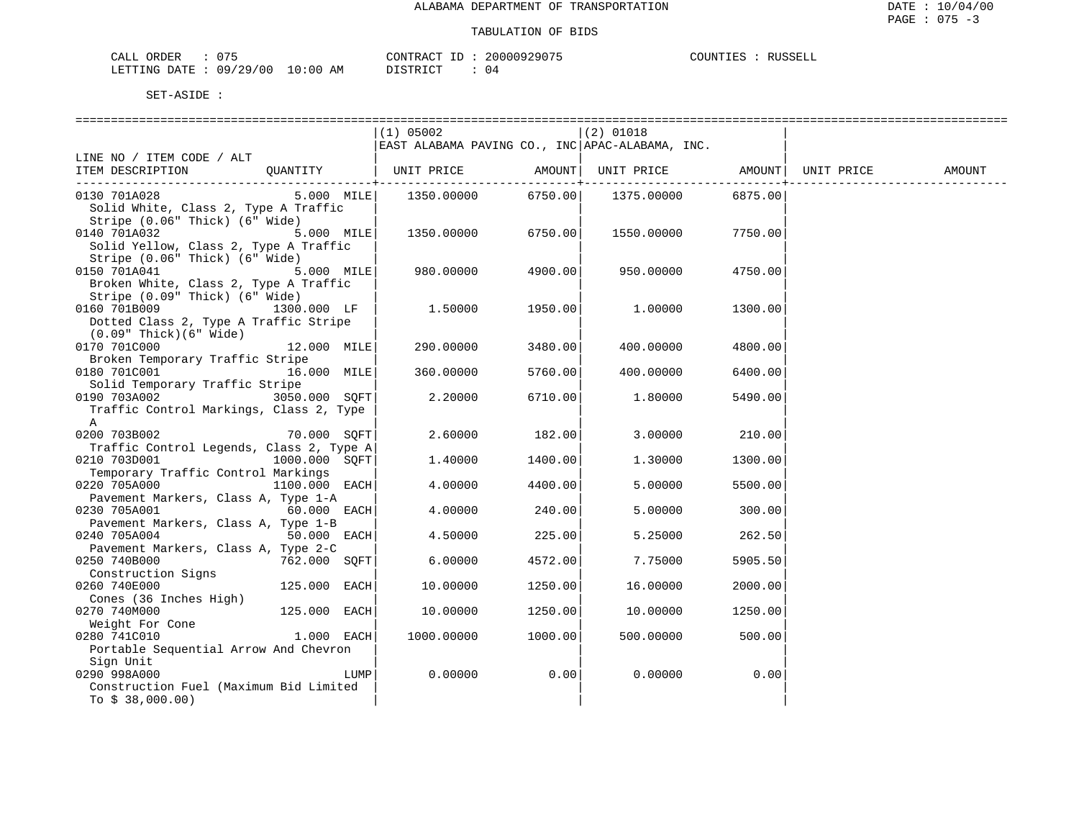| ORDER<br>CALI |          |               | CONTRACT<br>TD. | 20000929075 | COUNTIES | RUSSELL |
|---------------|----------|---------------|-----------------|-------------|----------|---------|
| LETTING DATE  | 09/29/00 | LO : 00<br>ΑM | ነፐ ሮጥ ጋፐ ጦጥ     | 14          |          |         |

|                                                              |                 |      | $(1)$ 05002                                     |                      | $(2)$ 01018                   |         |            |        |
|--------------------------------------------------------------|-----------------|------|-------------------------------------------------|----------------------|-------------------------------|---------|------------|--------|
|                                                              |                 |      | EAST ALABAMA PAVING CO., INC APAC-ALABAMA, INC. |                      |                               |         |            |        |
| LINE NO / ITEM CODE / ALT                                    |                 |      |                                                 |                      |                               |         |            |        |
| ITEM DESCRIPTION<br>QUANTITY                                 |                 |      | UNIT PRICE                                      | ------------+------- | AMOUNT   UNIT PRICE AMOUNT    |         | UNIT PRICE | AMOUNT |
| 0130 701A028                                                 | 5.000 MILE      |      |                                                 |                      | 1350.00000 6750.00 1375.00000 | 6875.00 |            |        |
| Solid White, Class 2, Type A Traffic                         |                 |      |                                                 |                      |                               |         |            |        |
| Stripe (0.06" Thick) (6" Wide)                               |                 |      |                                                 |                      |                               |         |            |        |
| 0140 701A032                                                 | $5.000$ MILE    |      | 1350.00000 6750.00                              |                      | 1550.00000                    | 7750.00 |            |        |
| Solid Yellow, Class 2, Type A Traffic                        |                 |      |                                                 |                      |                               |         |            |        |
| Stripe (0.06" Thick) (6" Wide)                               |                 |      |                                                 |                      |                               |         |            |        |
| 0150 701A041 5.000 MILE                                      |                 |      | 980.00000                                       | 4900.00              | 950.00000                     | 4750.00 |            |        |
| Broken White, Class 2, Type A Traffic                        |                 |      |                                                 |                      |                               |         |            |        |
| Stripe (0.09" Thick) (6" Wide)                               |                 |      |                                                 |                      |                               |         |            |        |
| 0160 701B009 1300.000 LF                                     |                 |      | 1,50000                                         | 1950.00              | 1.00000                       | 1300.00 |            |        |
| Dotted Class 2, Type A Traffic Stripe                        |                 |      |                                                 |                      |                               |         |            |        |
| $(0.09"$ Thick $)(6"$ Wide $)$                               |                 |      |                                                 |                      |                               |         |            |        |
| 0170 701C000                                                 | 12.000 MILE     |      | 290.00000                                       | 3480.00              | 400.00000                     | 4800.00 |            |        |
| Broken Temporary Traffic Stripe                              |                 |      |                                                 |                      |                               |         |            |        |
| 0180 701C001                                                 | 16.000 MILE     |      | 360.00000                                       | 5760.00              | 400.00000                     | 6400.00 |            |        |
| Solid Temporary Traffic Stripe<br>0190 703A002 3050.000 SOFT |                 |      |                                                 |                      |                               |         |            |        |
| Traffic Control Markings, Class 2, Type                      |                 |      | 2,20000                                         | 6710.00              | 1.80000                       | 5490.00 |            |        |
| $\mathbb{A}$                                                 |                 |      |                                                 |                      |                               |         |            |        |
| $70.000$ SQFT<br>0200 703B002                                |                 |      | 2.60000                                         | 182.00               | 3.00000                       | 210.00  |            |        |
| Traffic Control Legends, Class 2, Type A                     |                 |      |                                                 |                      |                               |         |            |        |
| 0210 703D001                                                 | 1000.000 SOFT   |      | 1.40000                                         | 1400.00              | 1,30000                       | 1300.00 |            |        |
| Temporary Traffic Control Markings                           |                 |      |                                                 |                      |                               |         |            |        |
| 0220 705A000                                                 | $1100.000$ EACH |      | 4.00000                                         | 4400.00              | 5.00000                       | 5500.00 |            |        |
| Pavement Markers, Class A, Type 1-A                          |                 |      |                                                 |                      |                               |         |            |        |
| $60.000$ EACH<br>0230 705A001                                |                 |      | 4.00000                                         | 240.00               | 5.00000                       | 300.00  |            |        |
| Pavement Markers, Class A, Type 1-B                          |                 |      |                                                 |                      |                               |         |            |        |
| 0240 705A004                                                 | 50.000 EACH     |      | 4.50000                                         | 225.00               | 5.25000                       | 262.50  |            |        |
| Pavement Markers, Class A, Type 2-C                          |                 |      |                                                 |                      |                               |         |            |        |
| 0250 740B000                                                 | 762.000 SOFT    |      | 6.00000                                         | 4572.00              | 7.75000                       | 5905.50 |            |        |
| Construction Signs                                           |                 |      |                                                 |                      |                               |         |            |        |
| 0260 740E000                                                 | 125.000 EACH    |      | 10.00000                                        | 1250.00              | 16.00000                      | 2000.00 |            |        |
| Cones (36 Inches High)                                       |                 |      |                                                 |                      |                               |         |            |        |
| 0270 740M000                                                 | 125.000 EACH    |      | 10.00000                                        | 1250.00              | 10.00000                      | 1250.00 |            |        |
| Weight For Cone                                              | $1.000$ EACH    |      |                                                 | 1000.00              |                               |         |            |        |
| 0280 741C010<br>Portable Sequential Arrow And Chevron        |                 |      | 1000.00000                                      |                      | 500.00000                     | 500.00  |            |        |
| Sign Unit                                                    |                 |      |                                                 |                      |                               |         |            |        |
| 0290 998A000                                                 |                 | LUMP | 0.00000                                         | 0.00                 | 0.00000                       | 0.00    |            |        |
| Construction Fuel (Maximum Bid Limited                       |                 |      |                                                 |                      |                               |         |            |        |
| To $$38,000.00)$                                             |                 |      |                                                 |                      |                               |         |            |        |
|                                                              |                 |      |                                                 |                      |                               |         |            |        |